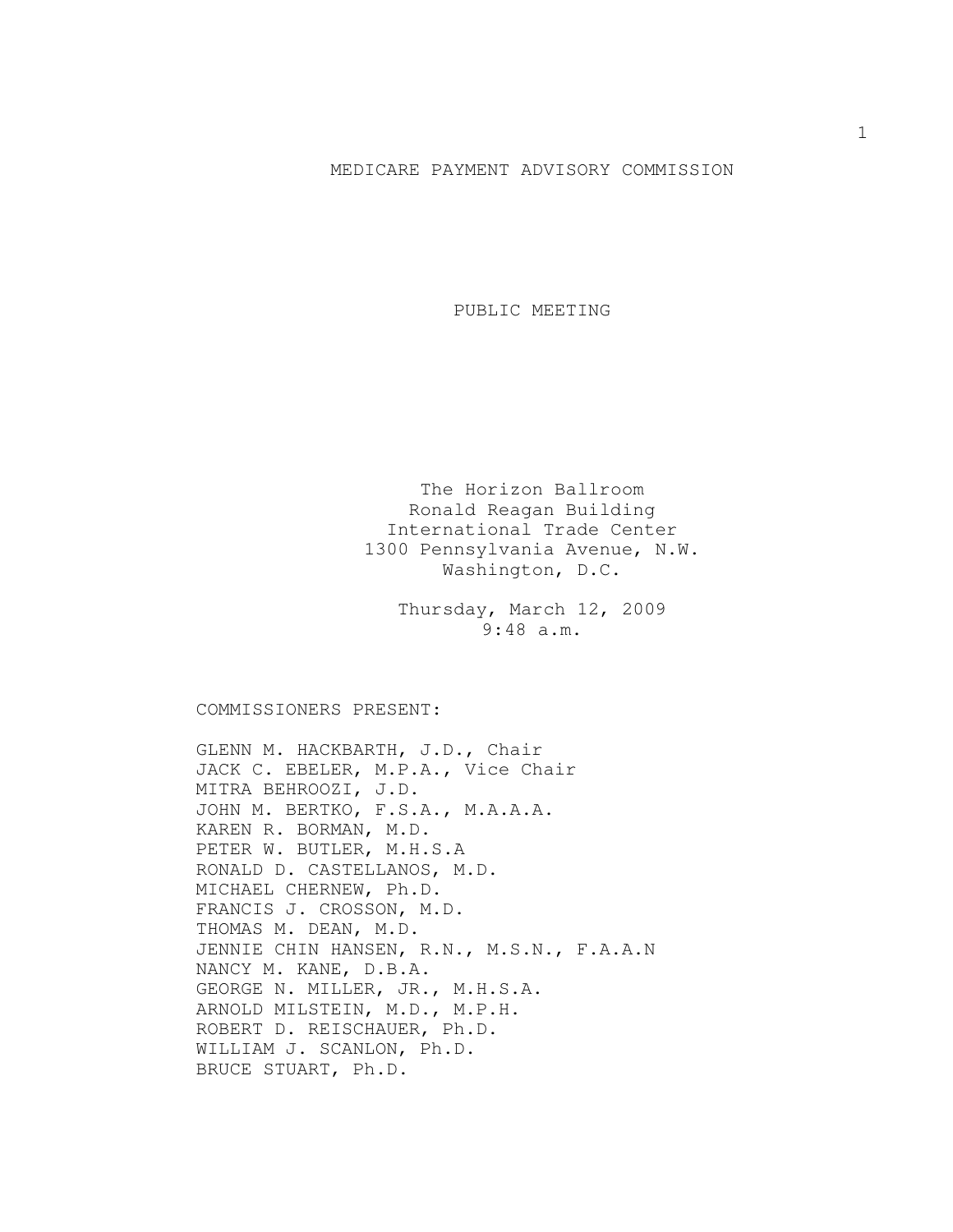## MEDICARE PAYMENT ADVISORY COMMISSION

PUBLIC MEETING

The Horizon Ballroom Ronald Reagan Building International Trade Center 1300 Pennsylvania Avenue, N.W. Washington, D.C.

Thursday, March 12, 2009 9:48 a.m.

COMMISSIONERS PRESENT:

GLENN M. HACKBARTH, J.D., Chair JACK C. EBELER, M.P.A., Vice Chair MITRA BEHROOZI, J.D. JOHN M. BERTKO, F.S.A., M.A.A.A. KAREN R. BORMAN, M.D. PETER W. BUTLER, M.H.S.A RONALD D. CASTELLANOS, M.D. MICHAEL CHERNEW, Ph.D. FRANCIS J. CROSSON, M.D. THOMAS M. DEAN, M.D. JENNIE CHIN HANSEN, R.N., M.S.N., F.A.A.N NANCY M. KANE, D.B.A. GEORGE N. MILLER, JR., M.H.S.A. ARNOLD MILSTEIN, M.D., M.P.H. ROBERT D. REISCHAUER, Ph.D. WILLIAM J. SCANLON, Ph.D. BRUCE STUART, Ph.D.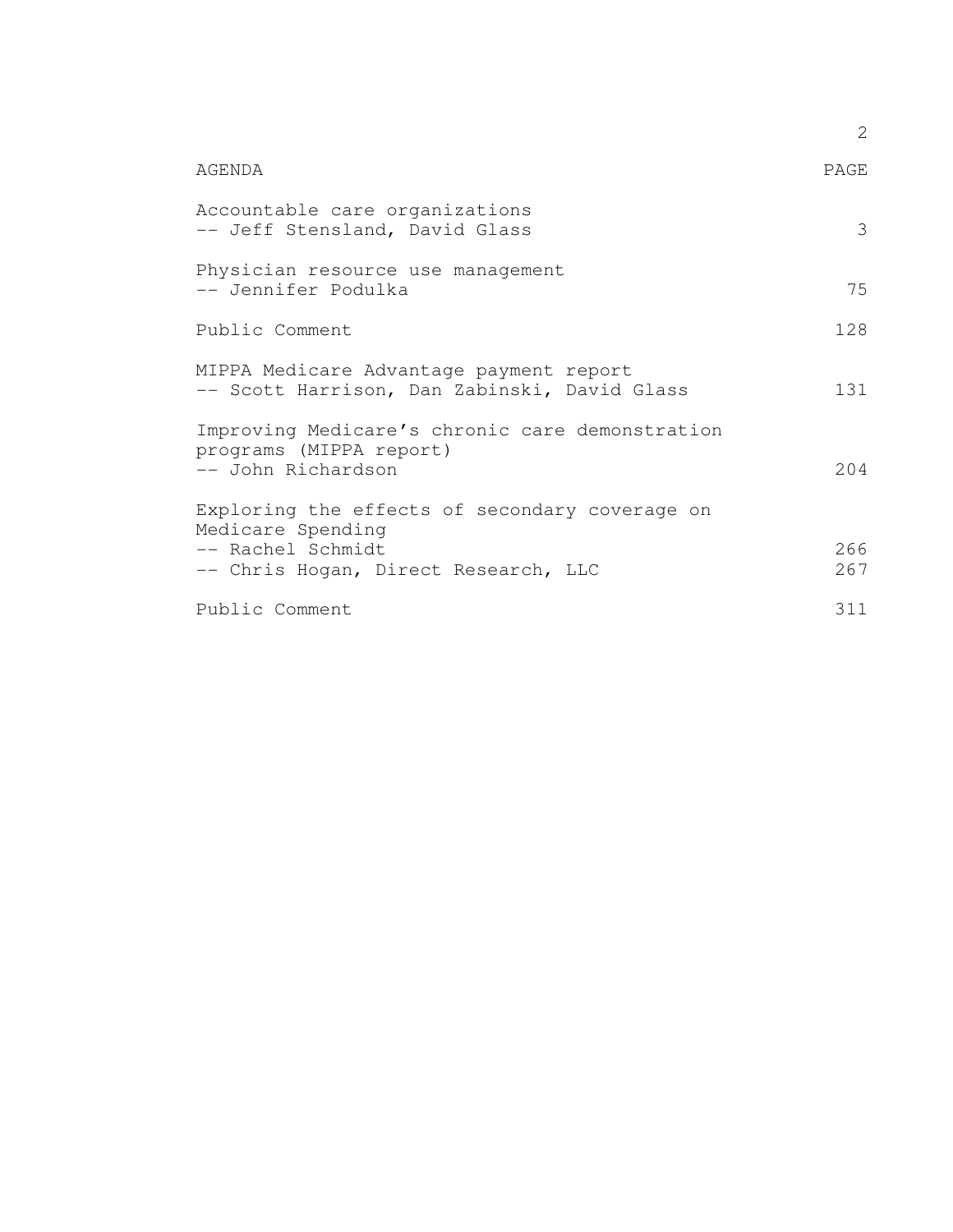|                                                                                                                                  | 2          |
|----------------------------------------------------------------------------------------------------------------------------------|------------|
| AGENDA                                                                                                                           | PAGE       |
| Accountable care organizations<br>-- Jeff Stensland, David Glass                                                                 | 3          |
| Physician resource use management<br>-- Jennifer Podulka                                                                         | 75         |
| Public Comment                                                                                                                   | 128        |
| MIPPA Medicare Advantage payment report<br>-- Scott Harrison, Dan Zabinski, David Glass                                          | 131        |
| Improving Medicare's chronic care demonstration<br>programs (MIPPA report)<br>-- John Richardson                                 | 204        |
| Exploring the effects of secondary coverage on<br>Medicare Spending<br>-- Rachel Schmidt<br>-- Chris Hogan, Direct Research, LLC | 266<br>267 |
| Public Comment                                                                                                                   | 311        |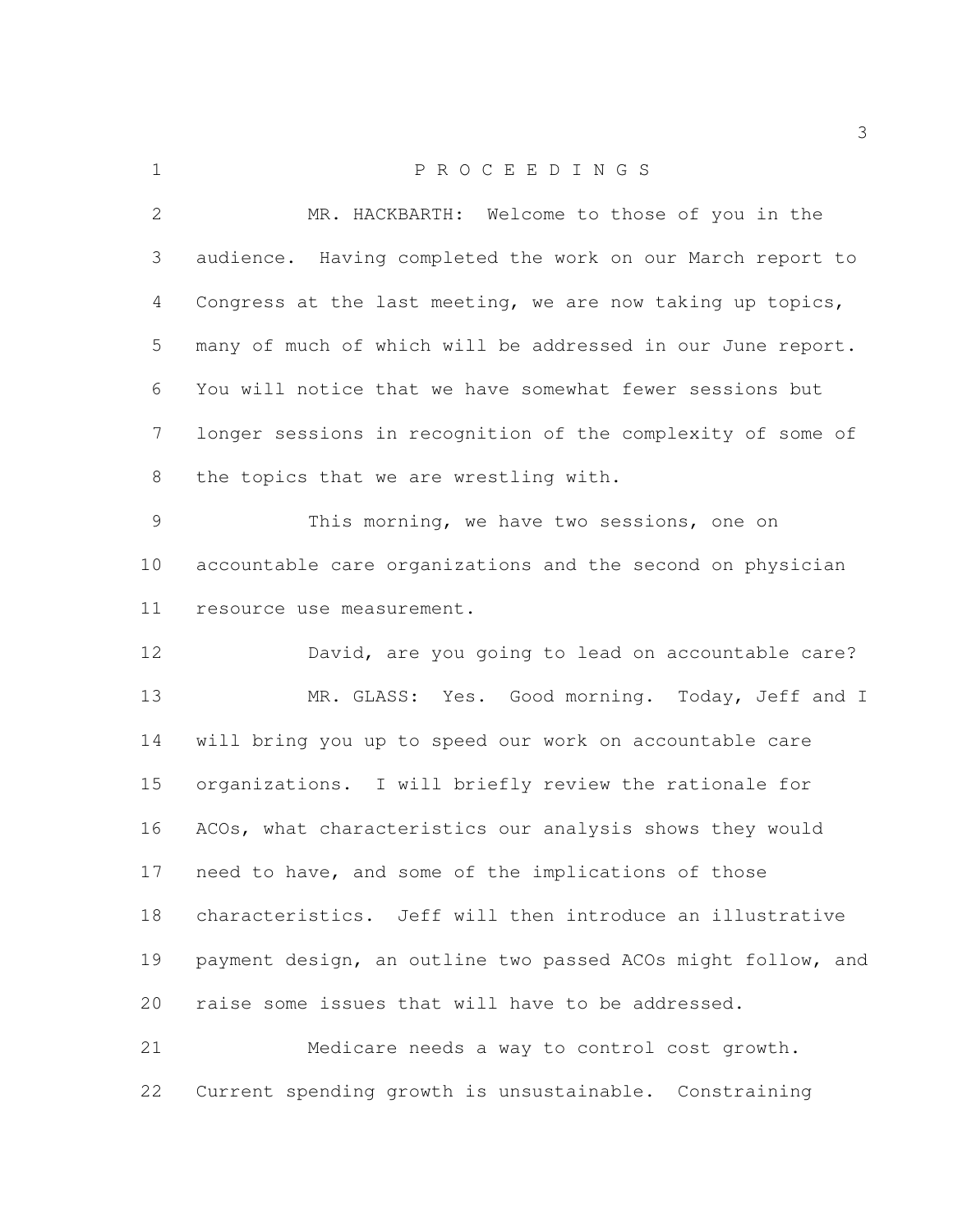| $\mathbf 1$     | PROCEEDINGS                                                  |
|-----------------|--------------------------------------------------------------|
| $\mathbf{2}$    | MR. HACKBARTH: Welcome to those of you in the                |
| 3               | audience. Having completed the work on our March report to   |
| 4               | Congress at the last meeting, we are now taking up topics,   |
| 5               | many of much of which will be addressed in our June report.  |
| 6               | You will notice that we have somewhat fewer sessions but     |
| $7\phantom{.0}$ | longer sessions in recognition of the complexity of some of  |
| 8               | the topics that we are wrestling with.                       |
| 9               | This morning, we have two sessions, one on                   |
| 10              | accountable care organizations and the second on physician   |
| 11              | resource use measurement.                                    |
| 12              | David, are you going to lead on accountable care?            |
| 13              | MR. GLASS: Yes. Good morning. Today, Jeff and I              |
| 14              | will bring you up to speed our work on accountable care      |
| 15 <sub>1</sub> | organizations. I will briefly review the rationale for       |
| 16              | ACOs, what characteristics our analysis shows they would     |
| 17              | need to have, and some of the implications of those          |
| 18              | characteristics. Jeff will then introduce an illustrative    |
| 19              | payment design, an outline two passed ACOs might follow, and |
| 20              | raise some issues that will have to be addressed.            |
| 21              | Medicare needs a way to control cost growth.                 |
| 22              | Current spending growth is unsustainable. Constraining       |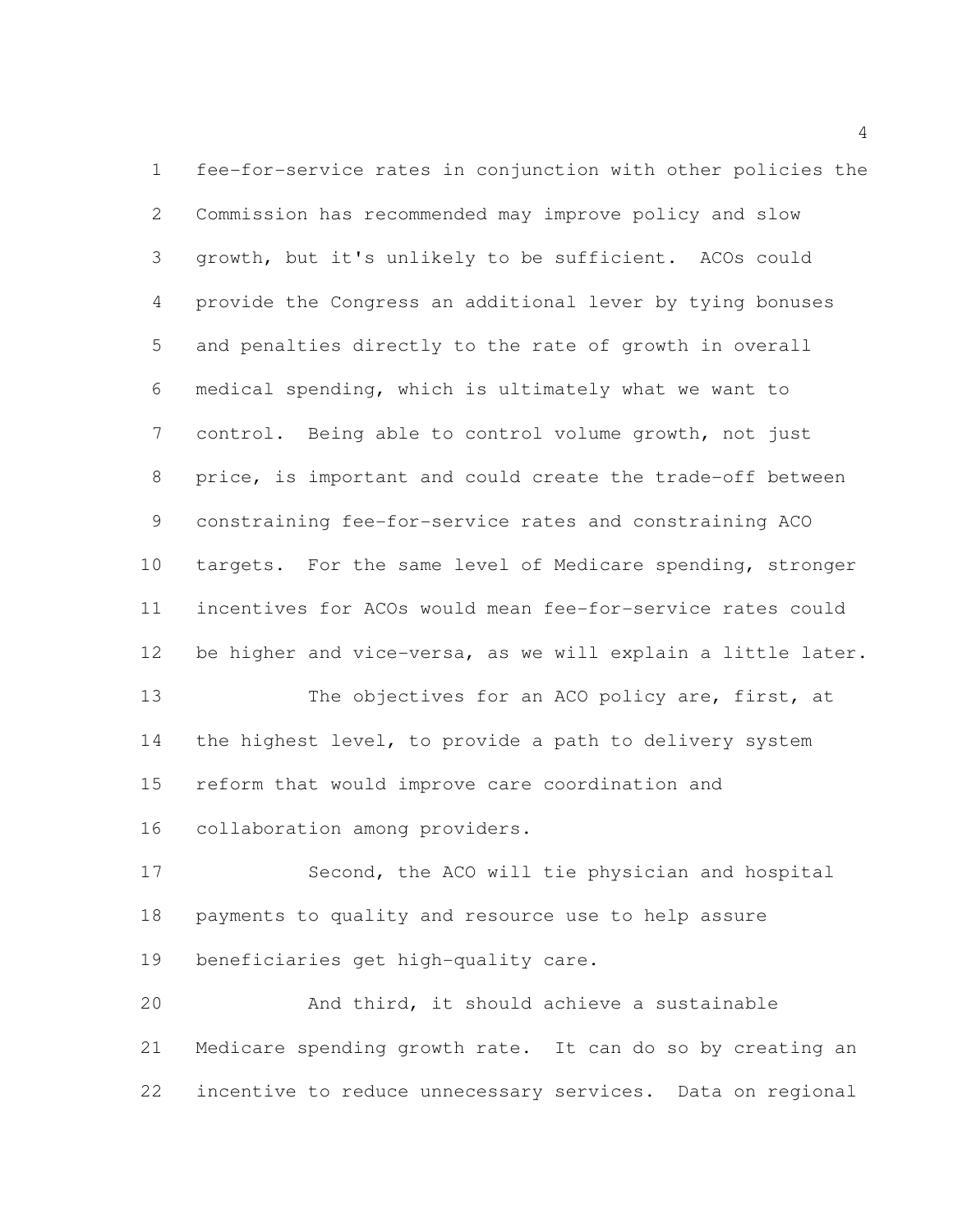fee-for-service rates in conjunction with other policies the Commission has recommended may improve policy and slow growth, but it's unlikely to be sufficient. ACOs could provide the Congress an additional lever by tying bonuses and penalties directly to the rate of growth in overall medical spending, which is ultimately what we want to control. Being able to control volume growth, not just price, is important and could create the trade-off between constraining fee-for-service rates and constraining ACO targets. For the same level of Medicare spending, stronger incentives for ACOs would mean fee-for-service rates could be higher and vice-versa, as we will explain a little later. 13 The objectives for an ACO policy are, first, at the highest level, to provide a path to delivery system reform that would improve care coordination and

collaboration among providers.

 Second, the ACO will tie physician and hospital payments to quality and resource use to help assure beneficiaries get high-quality care.

 And third, it should achieve a sustainable Medicare spending growth rate. It can do so by creating an incentive to reduce unnecessary services. Data on regional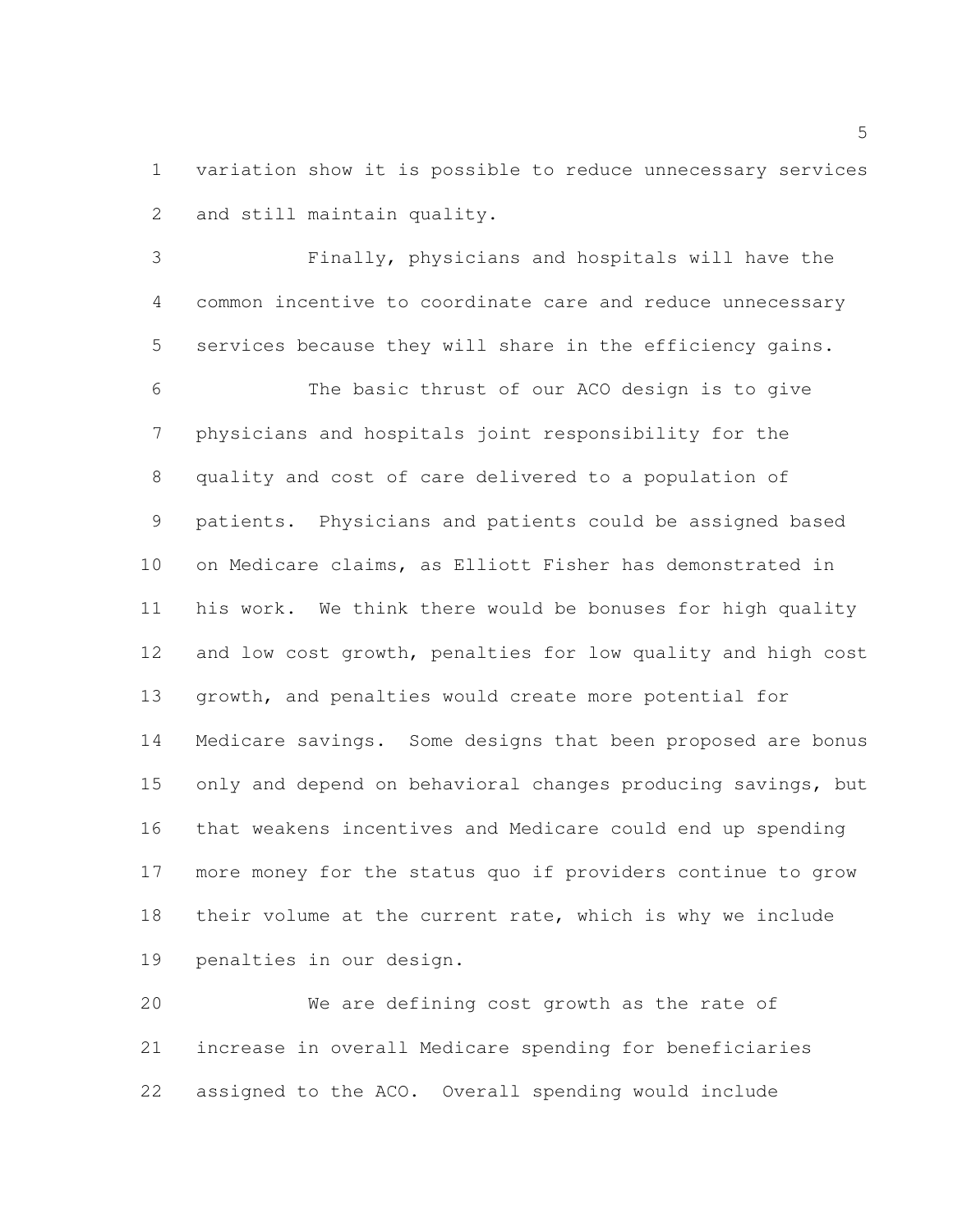variation show it is possible to reduce unnecessary services and still maintain quality.

 Finally, physicians and hospitals will have the common incentive to coordinate care and reduce unnecessary services because they will share in the efficiency gains.

 The basic thrust of our ACO design is to give physicians and hospitals joint responsibility for the quality and cost of care delivered to a population of patients. Physicians and patients could be assigned based on Medicare claims, as Elliott Fisher has demonstrated in his work. We think there would be bonuses for high quality and low cost growth, penalties for low quality and high cost growth, and penalties would create more potential for Medicare savings. Some designs that been proposed are bonus only and depend on behavioral changes producing savings, but that weakens incentives and Medicare could end up spending more money for the status quo if providers continue to grow their volume at the current rate, which is why we include penalties in our design.

 We are defining cost growth as the rate of increase in overall Medicare spending for beneficiaries assigned to the ACO. Overall spending would include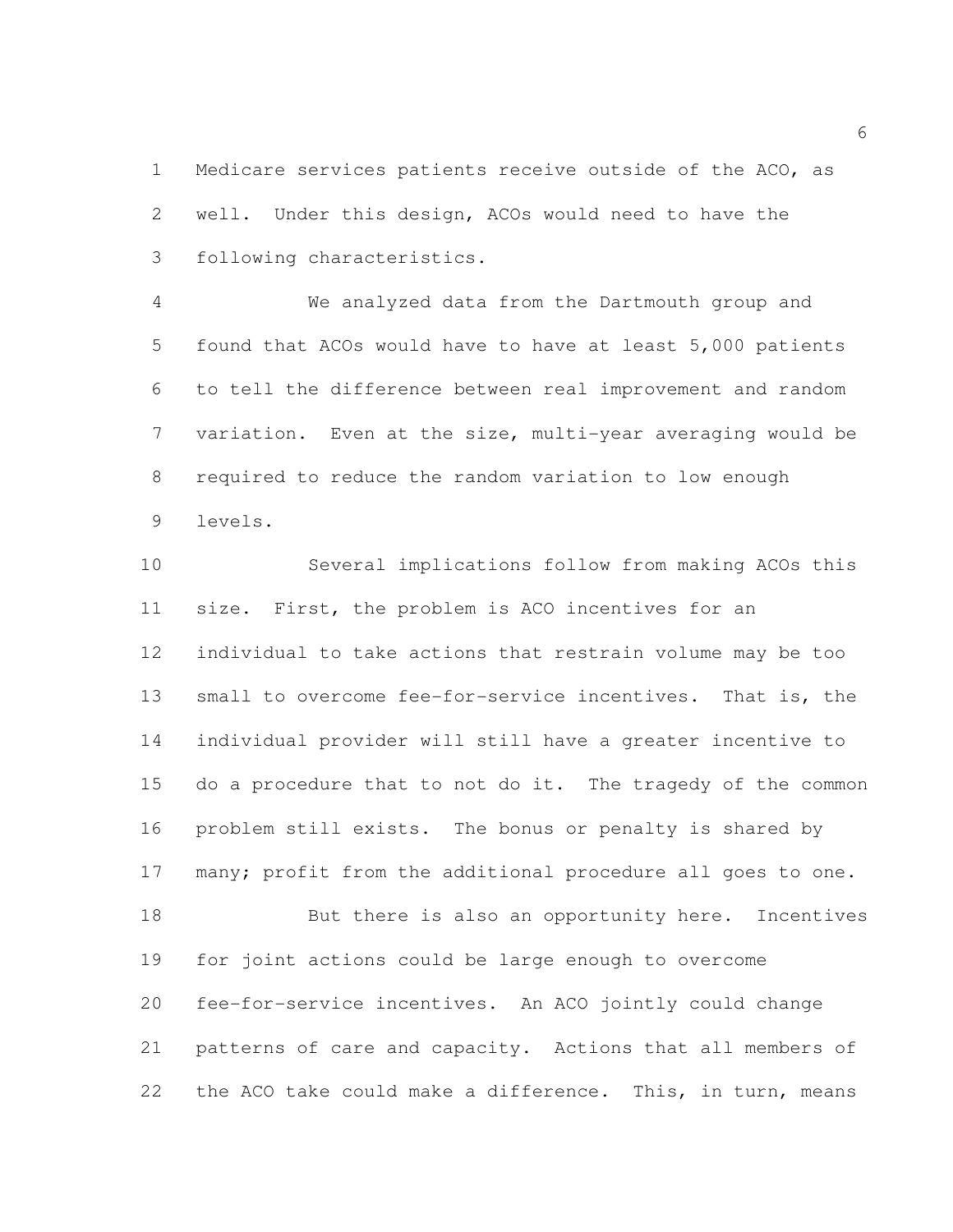Medicare services patients receive outside of the ACO, as well. Under this design, ACOs would need to have the following characteristics.

 We analyzed data from the Dartmouth group and found that ACOs would have to have at least 5,000 patients to tell the difference between real improvement and random variation. Even at the size, multi-year averaging would be required to reduce the random variation to low enough levels.

 Several implications follow from making ACOs this size. First, the problem is ACO incentives for an individual to take actions that restrain volume may be too small to overcome fee-for-service incentives. That is, the individual provider will still have a greater incentive to do a procedure that to not do it. The tragedy of the common problem still exists. The bonus or penalty is shared by 17 many; profit from the additional procedure all goes to one. 18 But there is also an opportunity here. Incentives for joint actions could be large enough to overcome fee-for-service incentives. An ACO jointly could change patterns of care and capacity. Actions that all members of 22 the ACO take could make a difference. This, in turn, means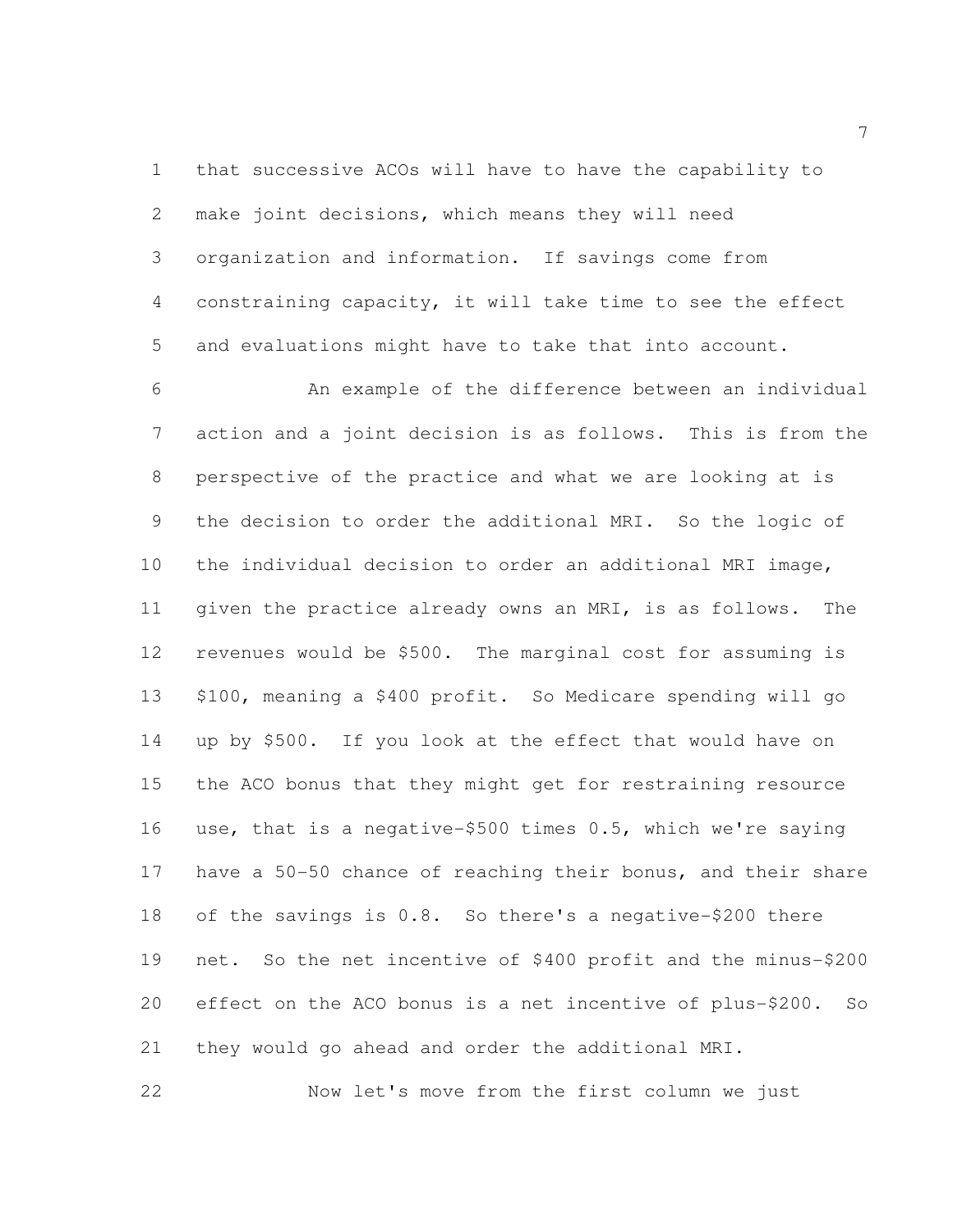that successive ACOs will have to have the capability to make joint decisions, which means they will need organization and information. If savings come from constraining capacity, it will take time to see the effect and evaluations might have to take that into account.

 An example of the difference between an individual action and a joint decision is as follows. This is from the perspective of the practice and what we are looking at is the decision to order the additional MRI. So the logic of the individual decision to order an additional MRI image, given the practice already owns an MRI, is as follows. The revenues would be \$500. The marginal cost for assuming is \$100, meaning a \$400 profit. So Medicare spending will go up by \$500. If you look at the effect that would have on the ACO bonus that they might get for restraining resource use, that is a negative-\$500 times 0.5, which we're saying have a 50-50 chance of reaching their bonus, and their share of the savings is 0.8. So there's a negative-\$200 there net. So the net incentive of \$400 profit and the minus-\$200 effect on the ACO bonus is a net incentive of plus-\$200. So they would go ahead and order the additional MRI.

Now let's move from the first column we just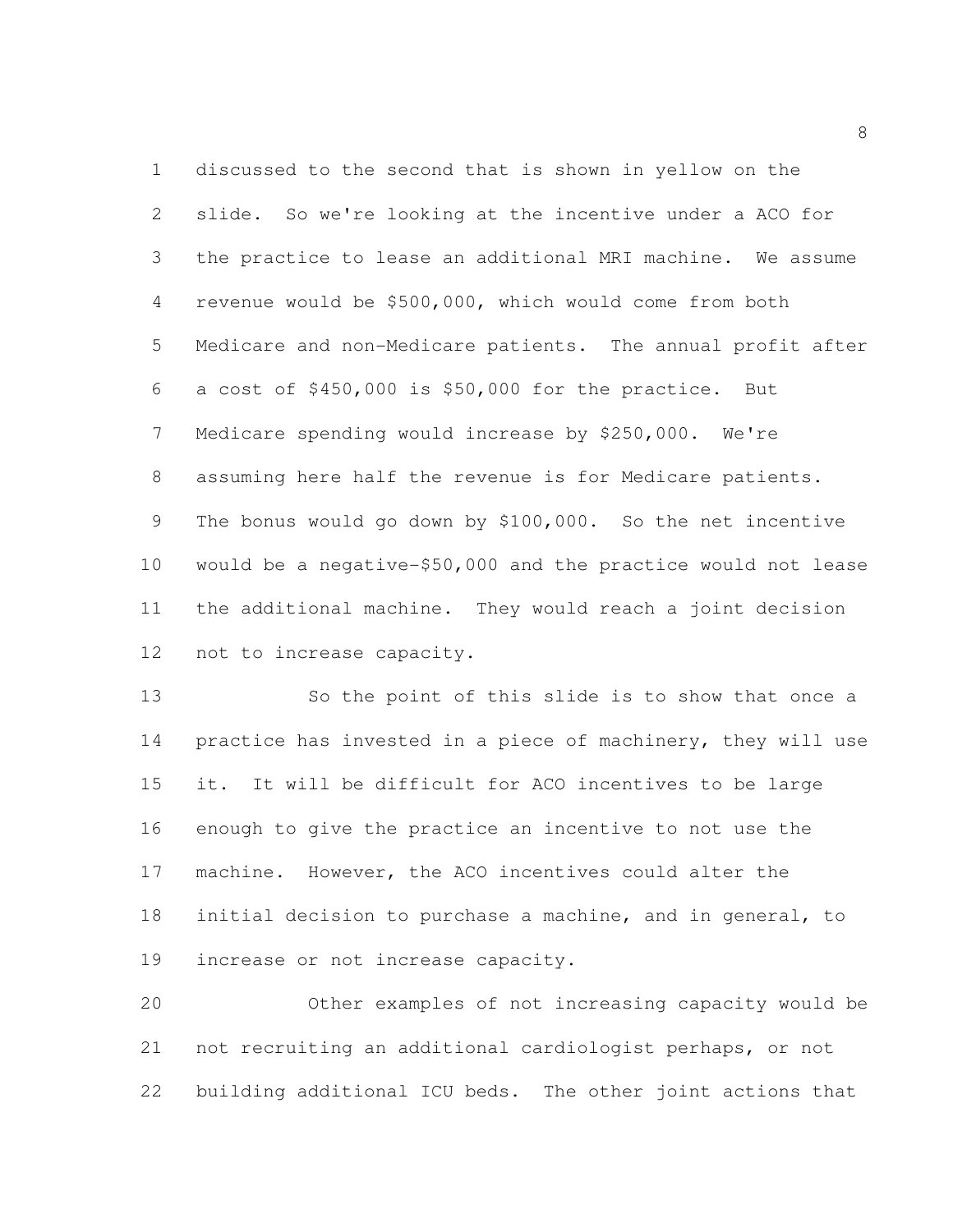discussed to the second that is shown in yellow on the slide. So we're looking at the incentive under a ACO for the practice to lease an additional MRI machine. We assume revenue would be \$500,000, which would come from both Medicare and non-Medicare patients. The annual profit after a cost of \$450,000 is \$50,000 for the practice. But Medicare spending would increase by \$250,000. We're assuming here half the revenue is for Medicare patients. The bonus would go down by \$100,000. So the net incentive would be a negative-\$50,000 and the practice would not lease the additional machine. They would reach a joint decision not to increase capacity.

 So the point of this slide is to show that once a practice has invested in a piece of machinery, they will use it. It will be difficult for ACO incentives to be large enough to give the practice an incentive to not use the machine. However, the ACO incentives could alter the initial decision to purchase a machine, and in general, to increase or not increase capacity.

 Other examples of not increasing capacity would be not recruiting an additional cardiologist perhaps, or not building additional ICU beds. The other joint actions that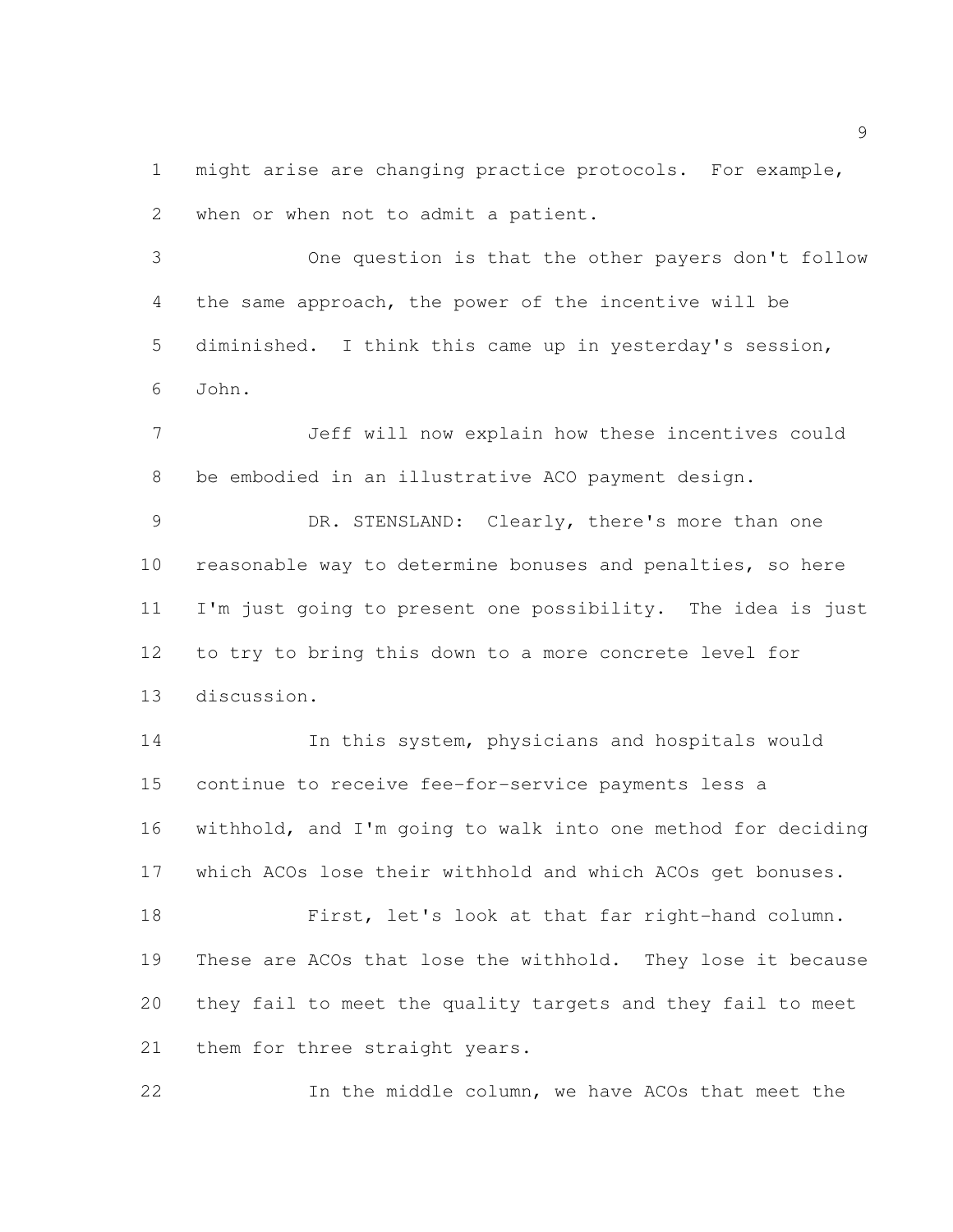might arise are changing practice protocols. For example, when or when not to admit a patient.

 One question is that the other payers don't follow the same approach, the power of the incentive will be diminished. I think this came up in yesterday's session, John.

 Jeff will now explain how these incentives could be embodied in an illustrative ACO payment design.

 DR. STENSLAND: Clearly, there's more than one reasonable way to determine bonuses and penalties, so here I'm just going to present one possibility. The idea is just to try to bring this down to a more concrete level for discussion.

 In this system, physicians and hospitals would continue to receive fee-for-service payments less a withhold, and I'm going to walk into one method for deciding which ACOs lose their withhold and which ACOs get bonuses.

 First, let's look at that far right-hand column. These are ACOs that lose the withhold. They lose it because they fail to meet the quality targets and they fail to meet 21 them for three straight years.

In the middle column, we have ACOs that meet the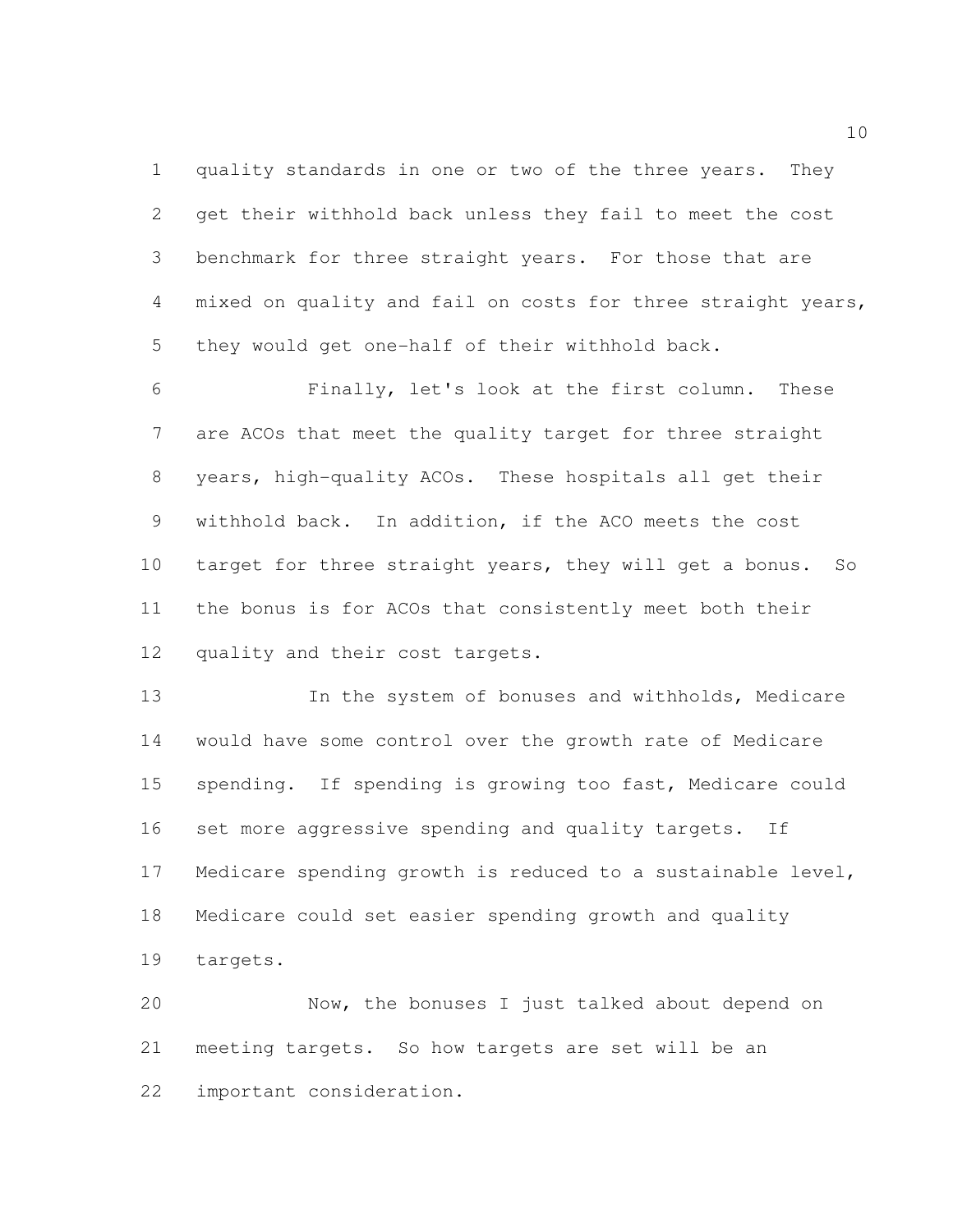quality standards in one or two of the three years. They get their withhold back unless they fail to meet the cost benchmark for three straight years. For those that are mixed on quality and fail on costs for three straight years, they would get one-half of their withhold back.

 Finally, let's look at the first column. These are ACOs that meet the quality target for three straight years, high-quality ACOs. These hospitals all get their withhold back. In addition, if the ACO meets the cost target for three straight years, they will get a bonus. So the bonus is for ACOs that consistently meet both their quality and their cost targets.

 In the system of bonuses and withholds, Medicare would have some control over the growth rate of Medicare spending. If spending is growing too fast, Medicare could set more aggressive spending and quality targets. If Medicare spending growth is reduced to a sustainable level, Medicare could set easier spending growth and quality targets.

 Now, the bonuses I just talked about depend on meeting targets. So how targets are set will be an important consideration.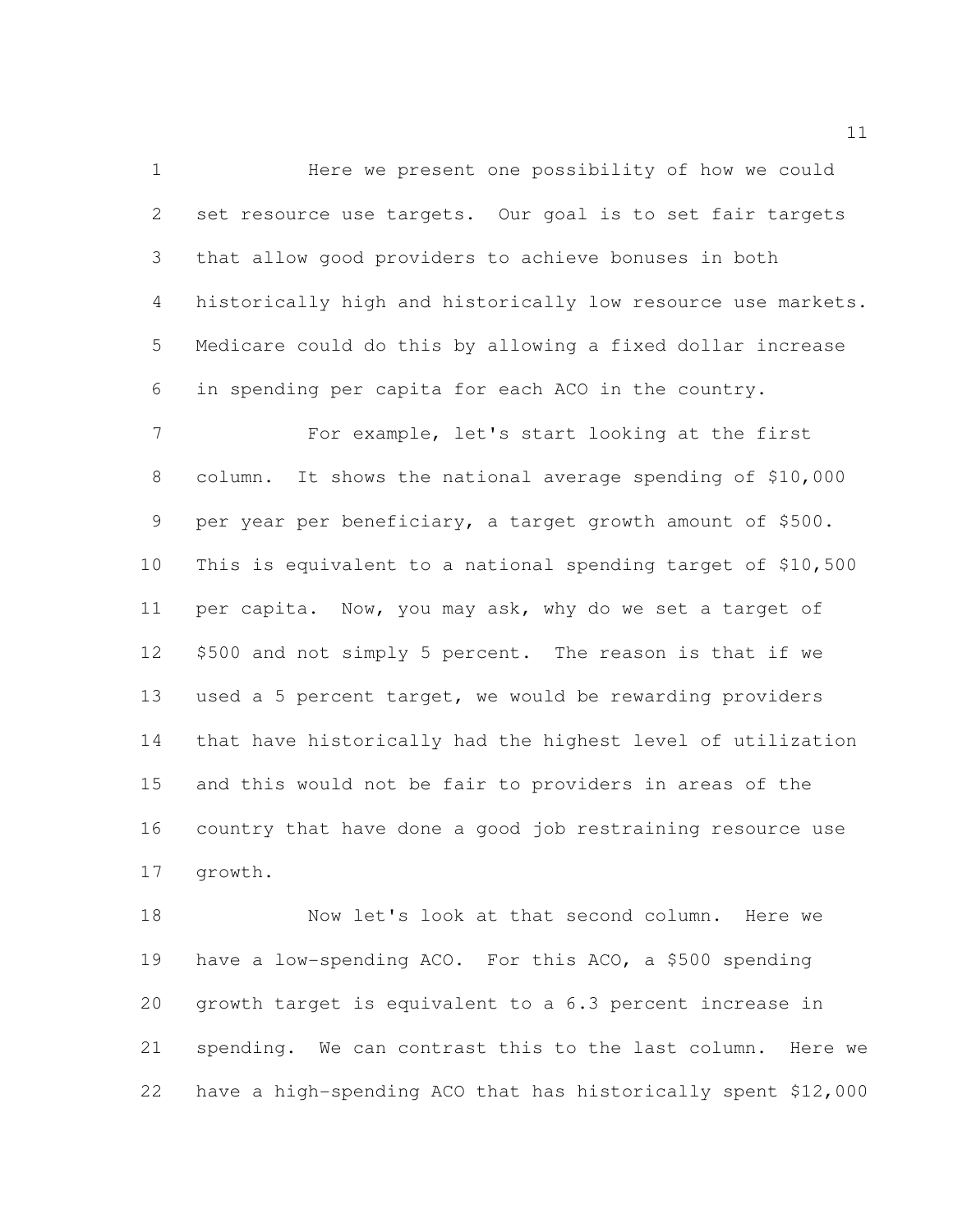Here we present one possibility of how we could set resource use targets. Our goal is to set fair targets that allow good providers to achieve bonuses in both historically high and historically low resource use markets. Medicare could do this by allowing a fixed dollar increase in spending per capita for each ACO in the country.

 For example, let's start looking at the first column. It shows the national average spending of \$10,000 per year per beneficiary, a target growth amount of \$500. This is equivalent to a national spending target of \$10,500 per capita. Now, you may ask, why do we set a target of \$500 and not simply 5 percent. The reason is that if we used a 5 percent target, we would be rewarding providers that have historically had the highest level of utilization and this would not be fair to providers in areas of the country that have done a good job restraining resource use growth.

 Now let's look at that second column. Here we have a low-spending ACO. For this ACO, a \$500 spending growth target is equivalent to a 6.3 percent increase in spending. We can contrast this to the last column. Here we have a high-spending ACO that has historically spent \$12,000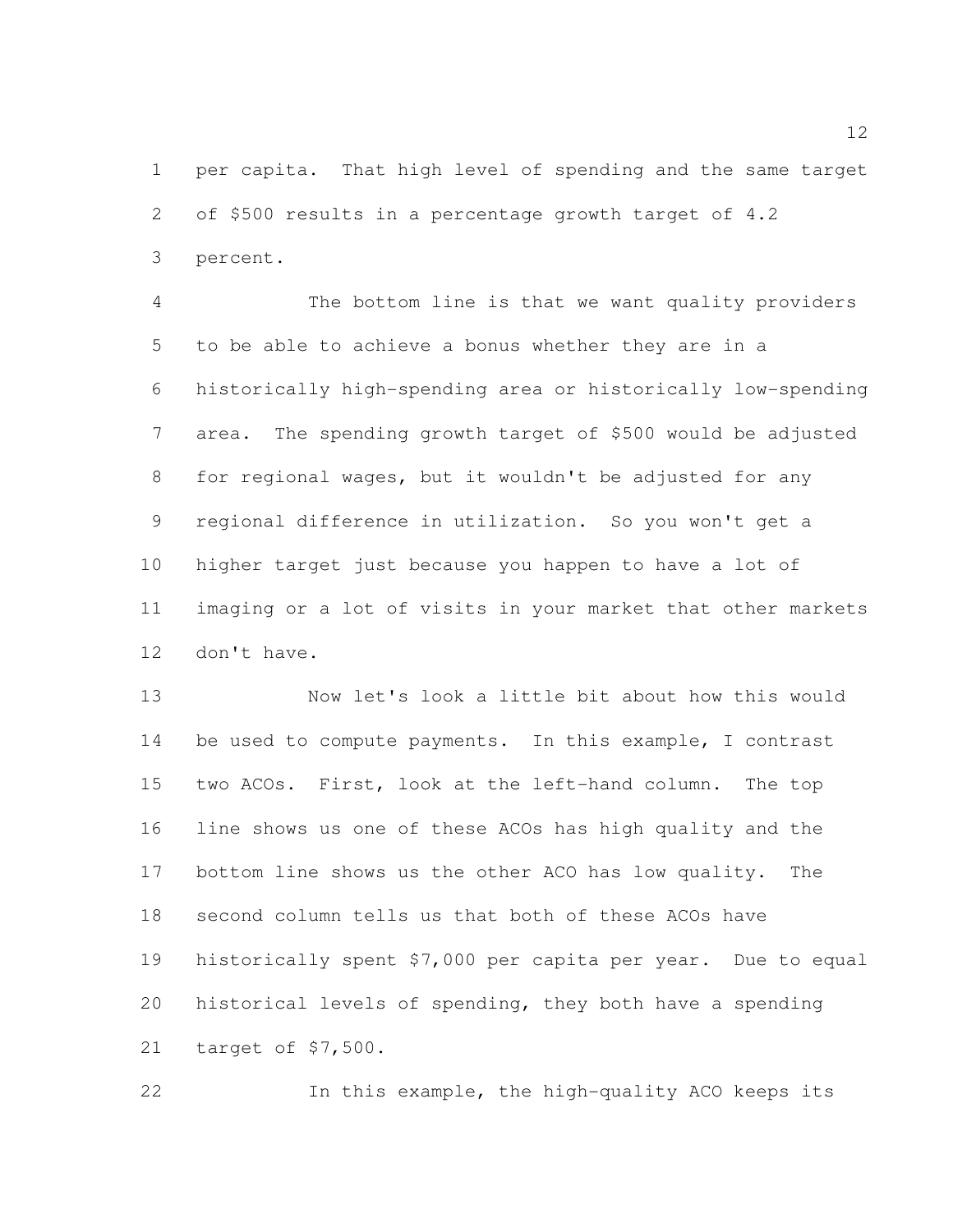per capita. That high level of spending and the same target of \$500 results in a percentage growth target of 4.2 percent.

 The bottom line is that we want quality providers to be able to achieve a bonus whether they are in a historically high-spending area or historically low-spending area. The spending growth target of \$500 would be adjusted for regional wages, but it wouldn't be adjusted for any regional difference in utilization. So you won't get a higher target just because you happen to have a lot of imaging or a lot of visits in your market that other markets don't have.

 Now let's look a little bit about how this would be used to compute payments. In this example, I contrast two ACOs. First, look at the left-hand column. The top line shows us one of these ACOs has high quality and the bottom line shows us the other ACO has low quality. The second column tells us that both of these ACOs have historically spent \$7,000 per capita per year. Due to equal historical levels of spending, they both have a spending target of \$7,500.

In this example, the high-quality ACO keeps its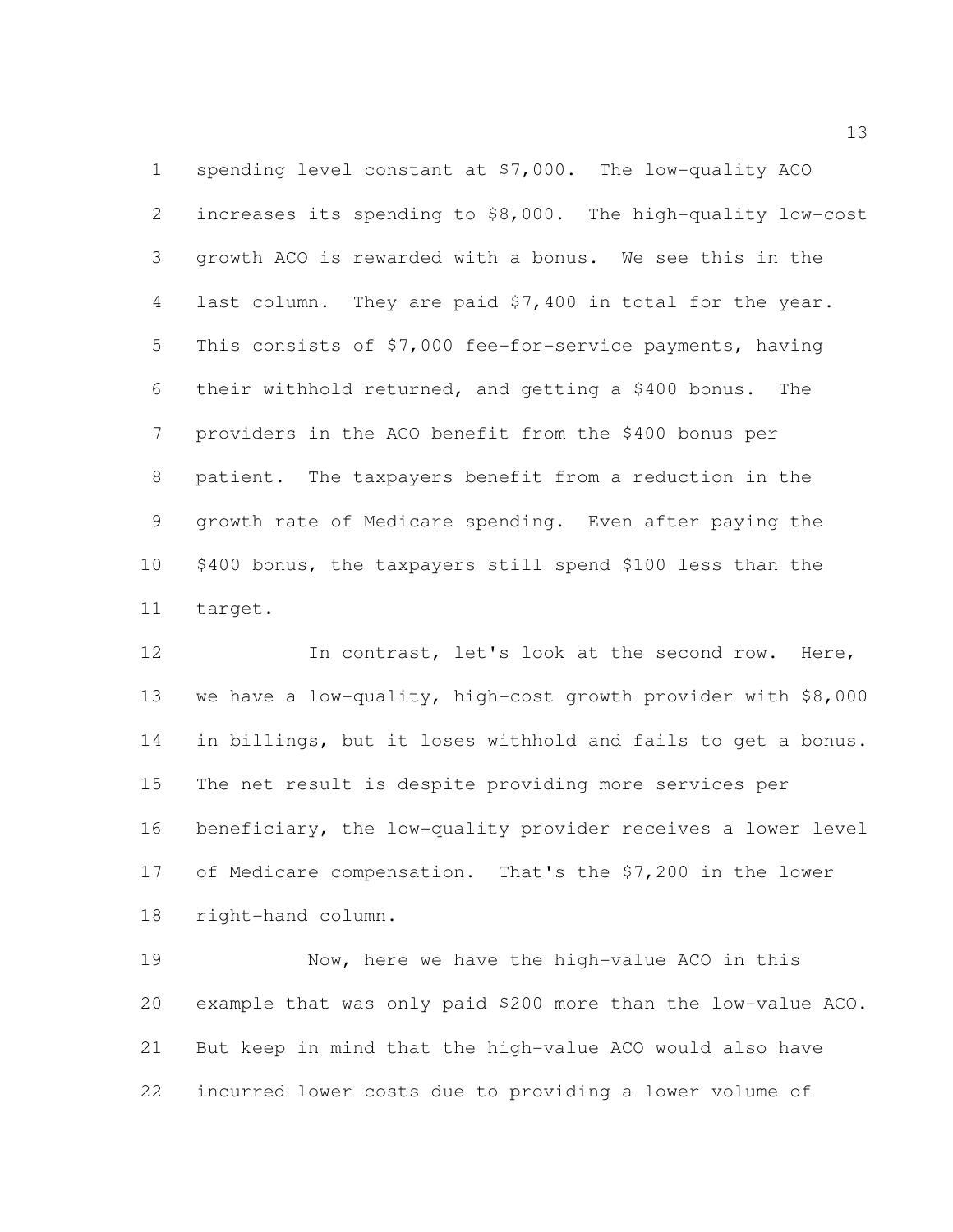spending level constant at \$7,000. The low-quality ACO increases its spending to \$8,000. The high-quality low-cost growth ACO is rewarded with a bonus. We see this in the last column. They are paid \$7,400 in total for the year. This consists of \$7,000 fee-for-service payments, having their withhold returned, and getting a \$400 bonus. The providers in the ACO benefit from the \$400 bonus per patient. The taxpayers benefit from a reduction in the growth rate of Medicare spending. Even after paying the \$400 bonus, the taxpayers still spend \$100 less than the target.

 In contrast, let's look at the second row. Here, we have a low-quality, high-cost growth provider with \$8,000 in billings, but it loses withhold and fails to get a bonus. The net result is despite providing more services per beneficiary, the low-quality provider receives a lower level of Medicare compensation. That's the \$7,200 in the lower right-hand column.

 Now, here we have the high-value ACO in this example that was only paid \$200 more than the low-value ACO. But keep in mind that the high-value ACO would also have incurred lower costs due to providing a lower volume of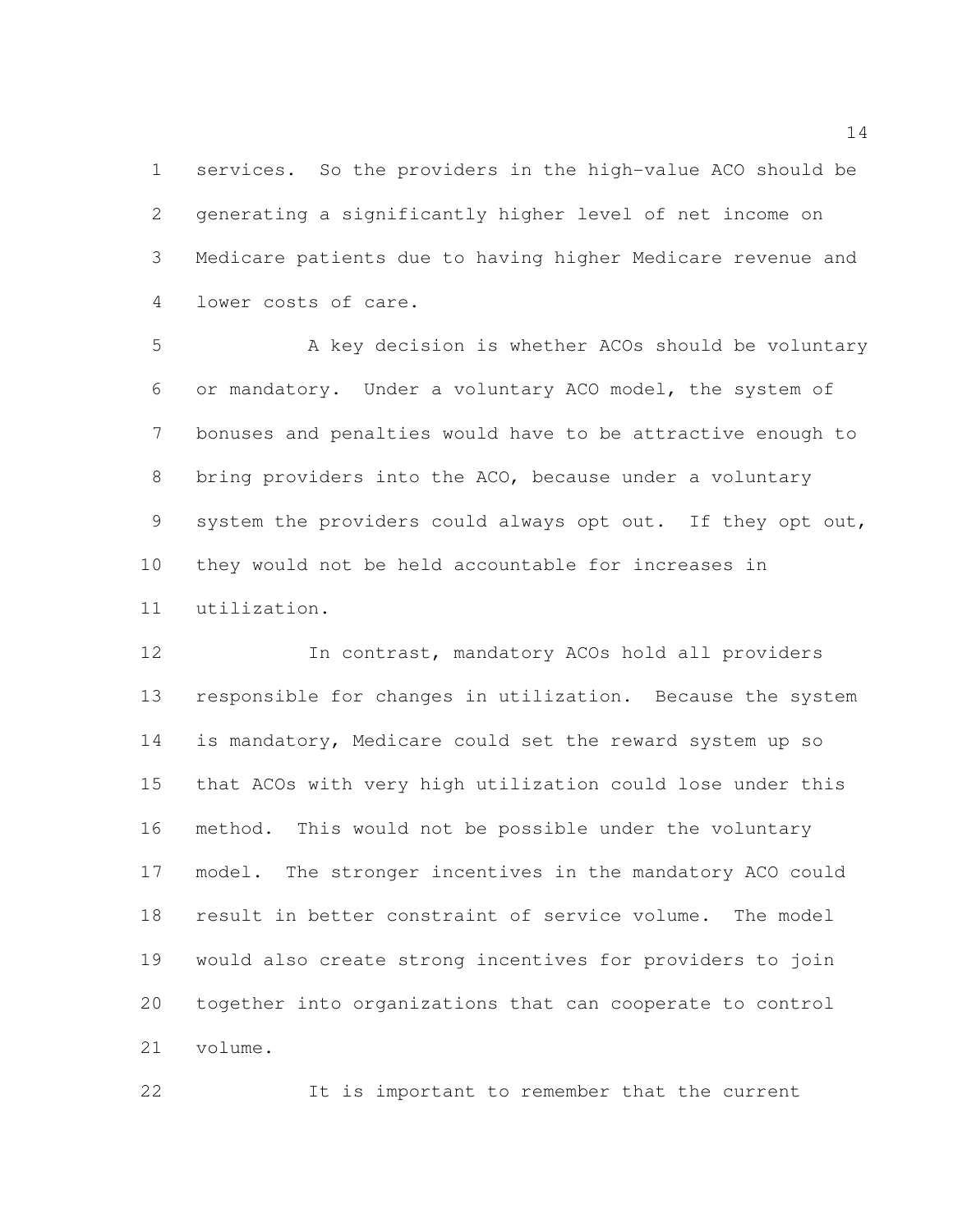services. So the providers in the high-value ACO should be generating a significantly higher level of net income on Medicare patients due to having higher Medicare revenue and lower costs of care.

 A key decision is whether ACOs should be voluntary or mandatory. Under a voluntary ACO model, the system of bonuses and penalties would have to be attractive enough to bring providers into the ACO, because under a voluntary system the providers could always opt out. If they opt out, they would not be held accountable for increases in utilization.

 In contrast, mandatory ACOs hold all providers responsible for changes in utilization. Because the system is mandatory, Medicare could set the reward system up so that ACOs with very high utilization could lose under this method. This would not be possible under the voluntary model. The stronger incentives in the mandatory ACO could result in better constraint of service volume. The model would also create strong incentives for providers to join together into organizations that can cooperate to control volume.

It is important to remember that the current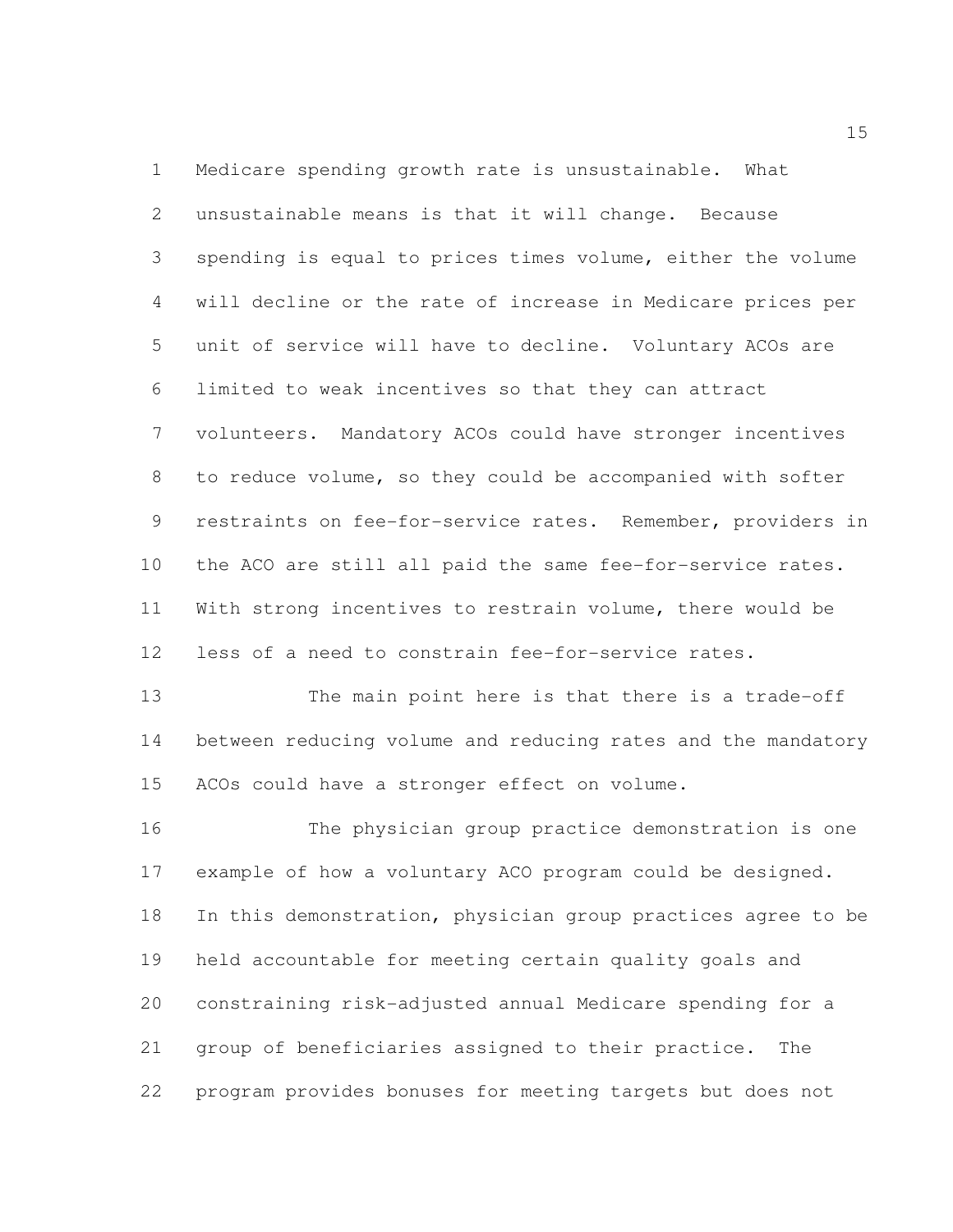Medicare spending growth rate is unsustainable. What unsustainable means is that it will change. Because spending is equal to prices times volume, either the volume will decline or the rate of increase in Medicare prices per unit of service will have to decline. Voluntary ACOs are limited to weak incentives so that they can attract volunteers. Mandatory ACOs could have stronger incentives to reduce volume, so they could be accompanied with softer restraints on fee-for-service rates. Remember, providers in the ACO are still all paid the same fee-for-service rates. With strong incentives to restrain volume, there would be less of a need to constrain fee-for-service rates.

 The main point here is that there is a trade-off between reducing volume and reducing rates and the mandatory ACOs could have a stronger effect on volume.

 The physician group practice demonstration is one example of how a voluntary ACO program could be designed. In this demonstration, physician group practices agree to be held accountable for meeting certain quality goals and constraining risk-adjusted annual Medicare spending for a group of beneficiaries assigned to their practice. The program provides bonuses for meeting targets but does not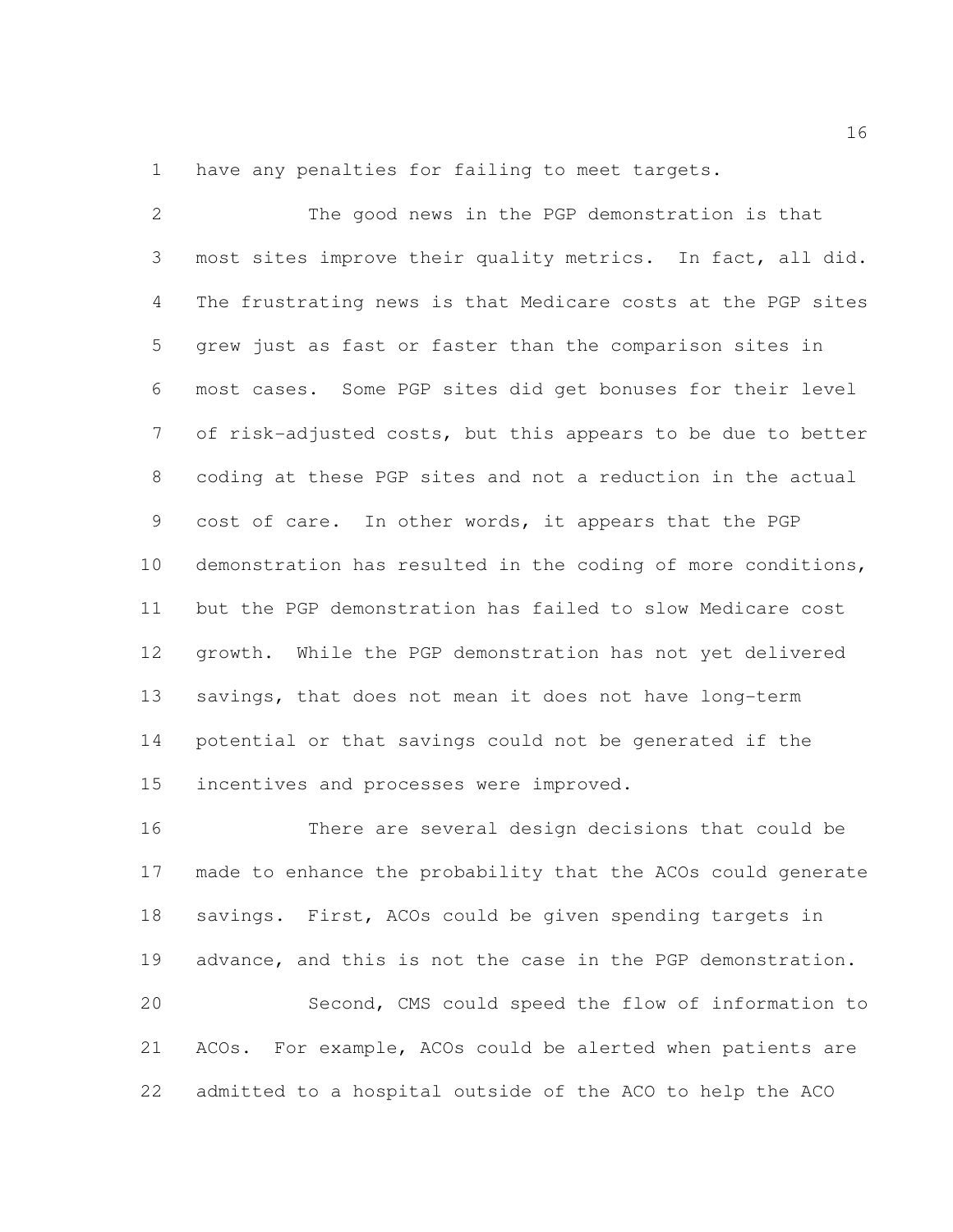have any penalties for failing to meet targets.

 The good news in the PGP demonstration is that most sites improve their quality metrics. In fact, all did. The frustrating news is that Medicare costs at the PGP sites grew just as fast or faster than the comparison sites in most cases. Some PGP sites did get bonuses for their level of risk-adjusted costs, but this appears to be due to better coding at these PGP sites and not a reduction in the actual cost of care. In other words, it appears that the PGP demonstration has resulted in the coding of more conditions, but the PGP demonstration has failed to slow Medicare cost growth. While the PGP demonstration has not yet delivered savings, that does not mean it does not have long-term potential or that savings could not be generated if the incentives and processes were improved.

 There are several design decisions that could be made to enhance the probability that the ACOs could generate savings. First, ACOs could be given spending targets in advance, and this is not the case in the PGP demonstration. Second, CMS could speed the flow of information to ACOs. For example, ACOs could be alerted when patients are admitted to a hospital outside of the ACO to help the ACO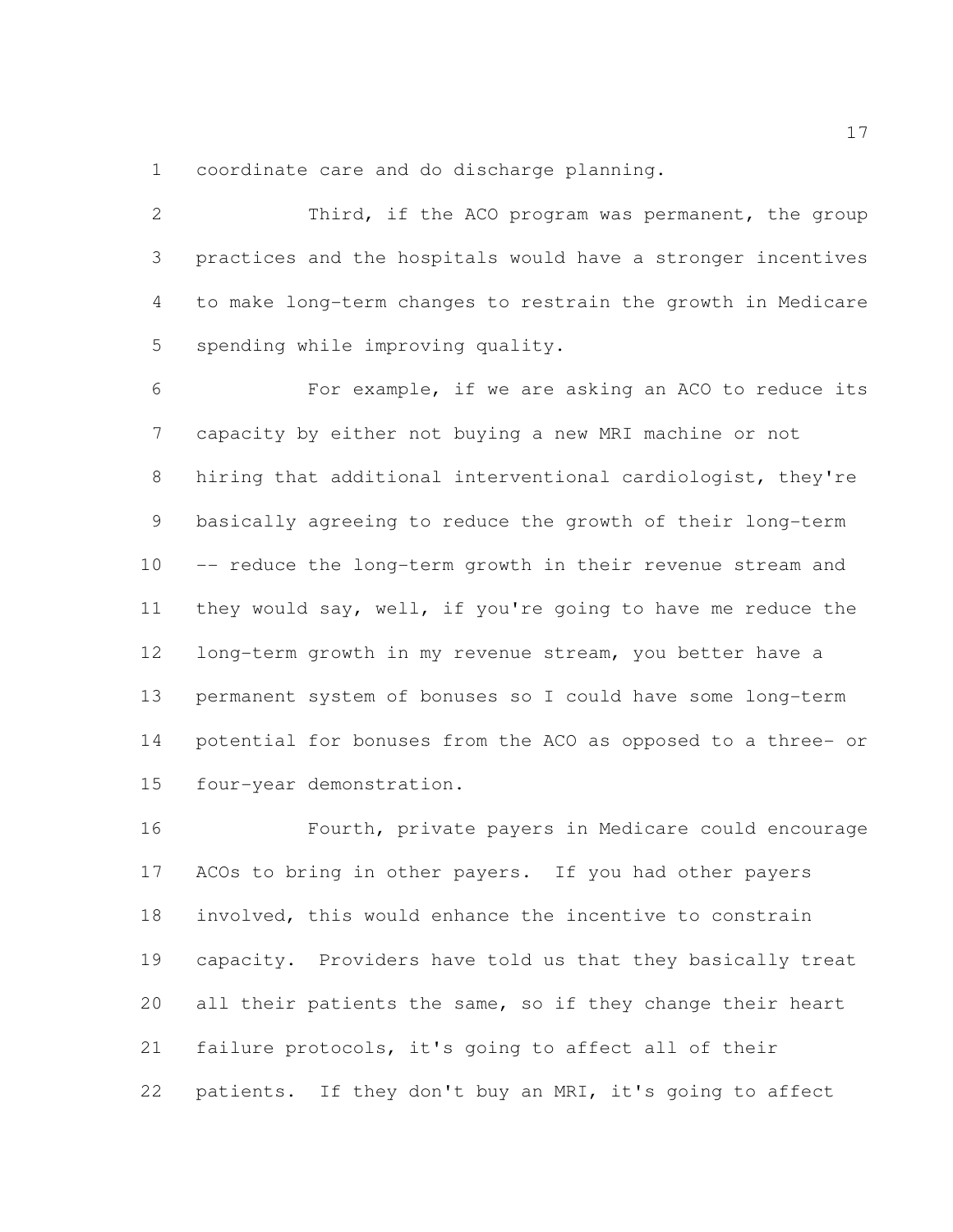coordinate care and do discharge planning.

 Third, if the ACO program was permanent, the group practices and the hospitals would have a stronger incentives to make long-term changes to restrain the growth in Medicare spending while improving quality. For example, if we are asking an ACO to reduce its

 capacity by either not buying a new MRI machine or not hiring that additional interventional cardiologist, they're basically agreeing to reduce the growth of their long-term -- reduce the long-term growth in their revenue stream and they would say, well, if you're going to have me reduce the long-term growth in my revenue stream, you better have a permanent system of bonuses so I could have some long-term potential for bonuses from the ACO as opposed to a three- or four-year demonstration.

 Fourth, private payers in Medicare could encourage ACOs to bring in other payers. If you had other payers involved, this would enhance the incentive to constrain capacity. Providers have told us that they basically treat 20 all their patients the same, so if they change their heart failure protocols, it's going to affect all of their patients. If they don't buy an MRI, it's going to affect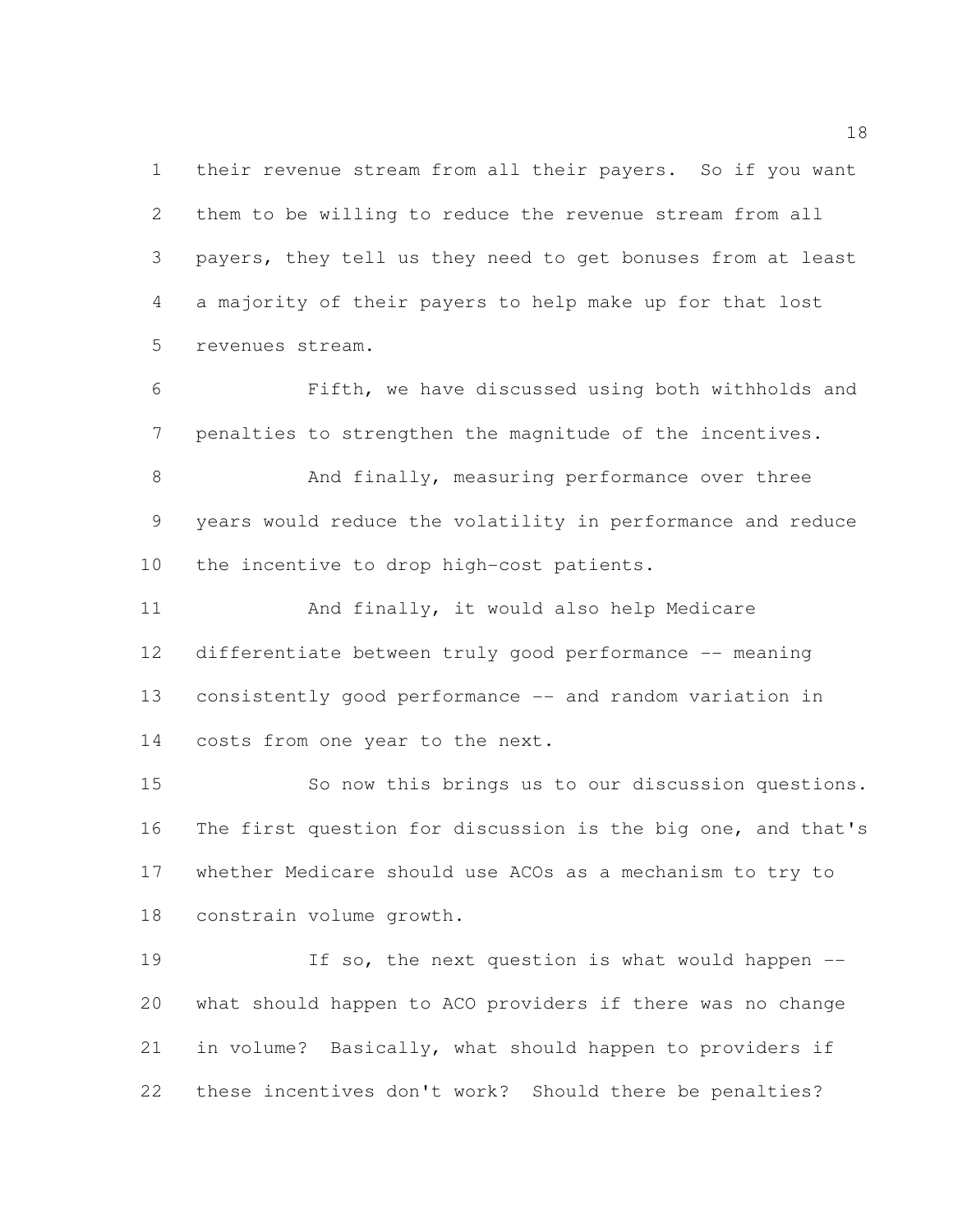their revenue stream from all their payers. So if you want them to be willing to reduce the revenue stream from all payers, they tell us they need to get bonuses from at least a majority of their payers to help make up for that lost revenues stream.

 Fifth, we have discussed using both withholds and penalties to strengthen the magnitude of the incentives.

8 And finally, measuring performance over three years would reduce the volatility in performance and reduce the incentive to drop high-cost patients.

 And finally, it would also help Medicare differentiate between truly good performance -- meaning consistently good performance -- and random variation in costs from one year to the next.

 So now this brings us to our discussion questions. The first question for discussion is the big one, and that's whether Medicare should use ACOs as a mechanism to try to constrain volume growth.

19 19 If so, the next question is what would happen  $-$  what should happen to ACO providers if there was no change in volume? Basically, what should happen to providers if these incentives don't work? Should there be penalties?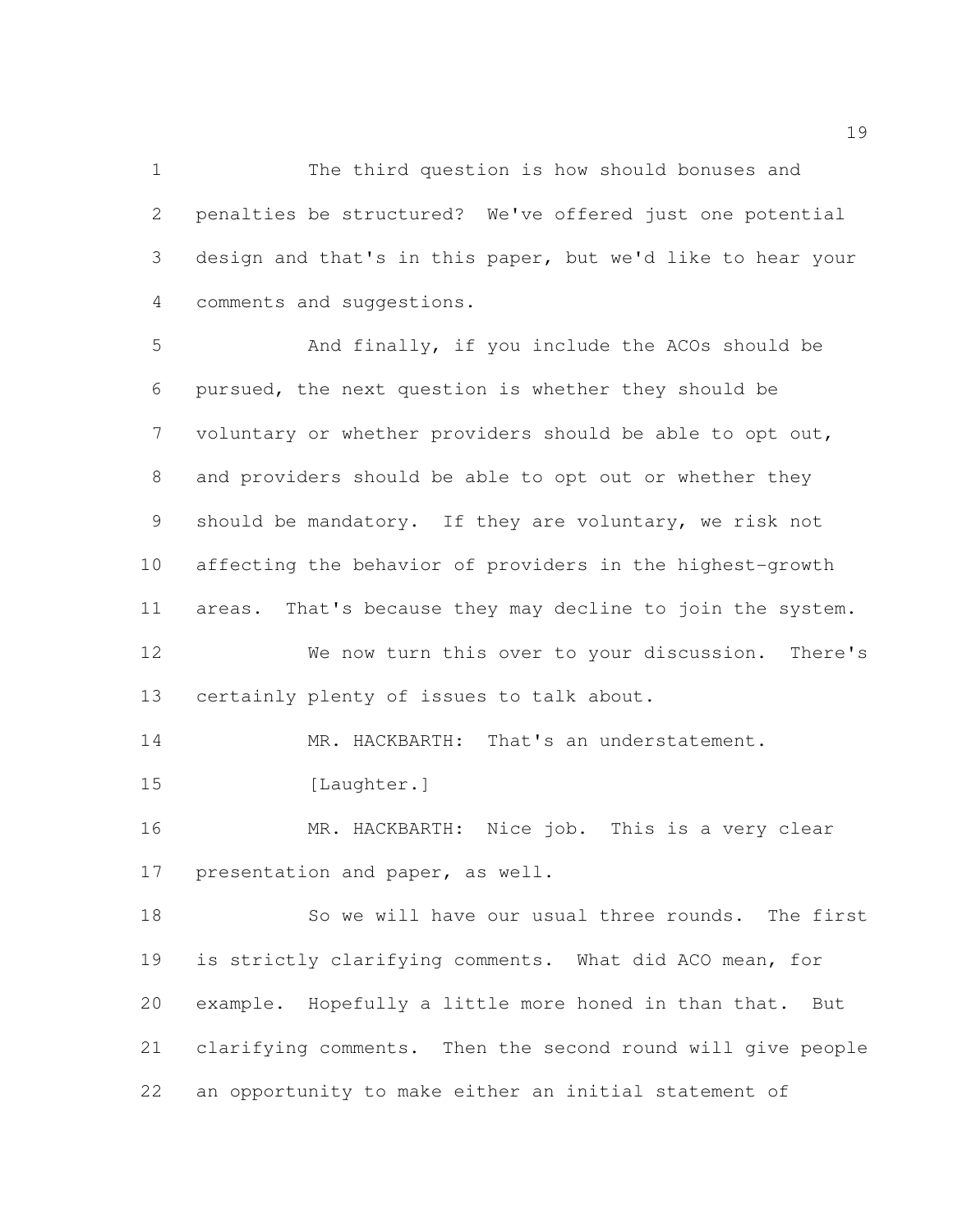The third question is how should bonuses and penalties be structured? We've offered just one potential design and that's in this paper, but we'd like to hear your comments and suggestions.

 And finally, if you include the ACOs should be pursued, the next question is whether they should be voluntary or whether providers should be able to opt out, and providers should be able to opt out or whether they should be mandatory. If they are voluntary, we risk not affecting the behavior of providers in the highest-growth areas. That's because they may decline to join the system. We now turn this over to your discussion. There's certainly plenty of issues to talk about. MR. HACKBARTH: That's an understatement. 15 [Laughter.]

 MR. HACKBARTH: Nice job. This is a very clear presentation and paper, as well.

 So we will have our usual three rounds. The first is strictly clarifying comments. What did ACO mean, for example. Hopefully a little more honed in than that. But clarifying comments. Then the second round will give people an opportunity to make either an initial statement of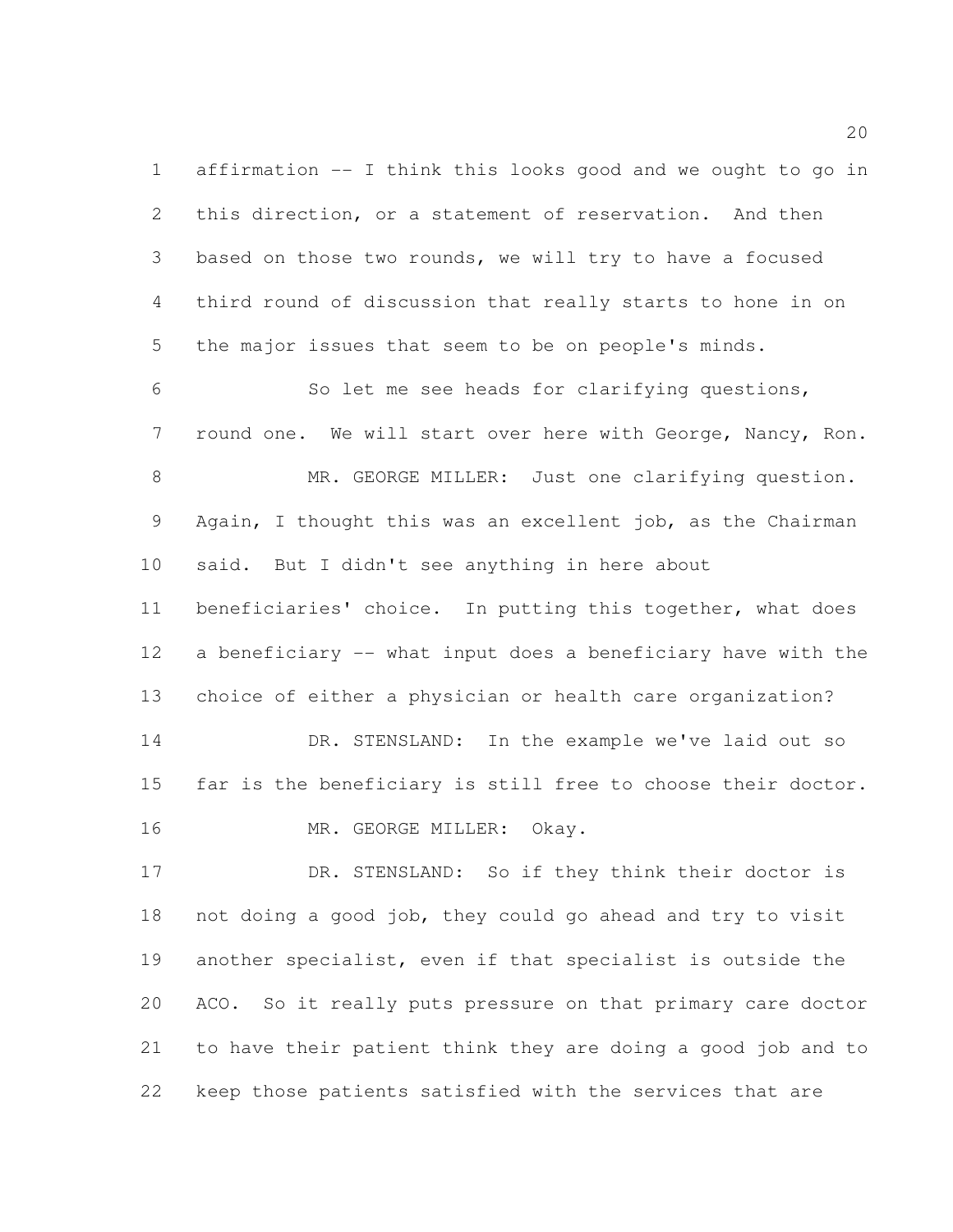affirmation -- I think this looks good and we ought to go in this direction, or a statement of reservation. And then based on those two rounds, we will try to have a focused third round of discussion that really starts to hone in on the major issues that seem to be on people's minds.

 So let me see heads for clarifying questions, round one. We will start over here with George, Nancy, Ron. 8 MR. GEORGE MILLER: Just one clarifying question. Again, I thought this was an excellent job, as the Chairman said. But I didn't see anything in here about beneficiaries' choice. In putting this together, what does a beneficiary -- what input does a beneficiary have with the choice of either a physician or health care organization? DR. STENSLAND: In the example we've laid out so far is the beneficiary is still free to choose their doctor.

16 MR. GEORGE MILLER: Okay.

17 DR. STENSLAND: So if they think their doctor is not doing a good job, they could go ahead and try to visit another specialist, even if that specialist is outside the ACO. So it really puts pressure on that primary care doctor to have their patient think they are doing a good job and to keep those patients satisfied with the services that are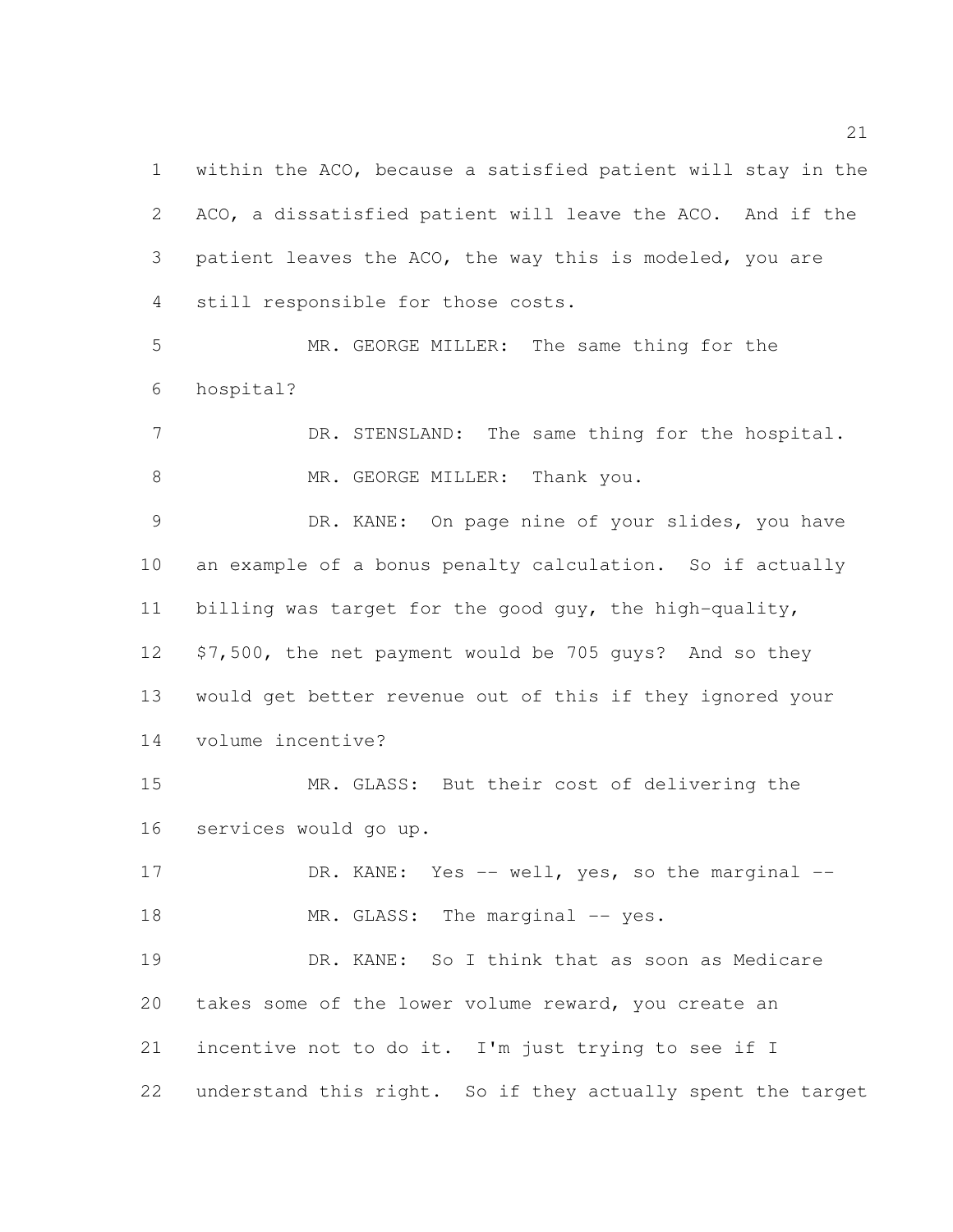within the ACO, because a satisfied patient will stay in the ACO, a dissatisfied patient will leave the ACO. And if the patient leaves the ACO, the way this is modeled, you are still responsible for those costs.

 MR. GEORGE MILLER: The same thing for the hospital?

7 DR. STENSLAND: The same thing for the hospital. 8 MR. GEORGE MILLER: Thank you.

 DR. KANE: On page nine of your slides, you have an example of a bonus penalty calculation. So if actually billing was target for the good guy, the high-quality, \$7,500, the net payment would be 705 guys? And so they would get better revenue out of this if they ignored your volume incentive?

 MR. GLASS: But their cost of delivering the services would go up.

17 DR. KANE: Yes -- well, yes, so the marginal --18 MR. GLASS: The marginal -- yes.

 DR. KANE: So I think that as soon as Medicare takes some of the lower volume reward, you create an incentive not to do it. I'm just trying to see if I understand this right. So if they actually spent the target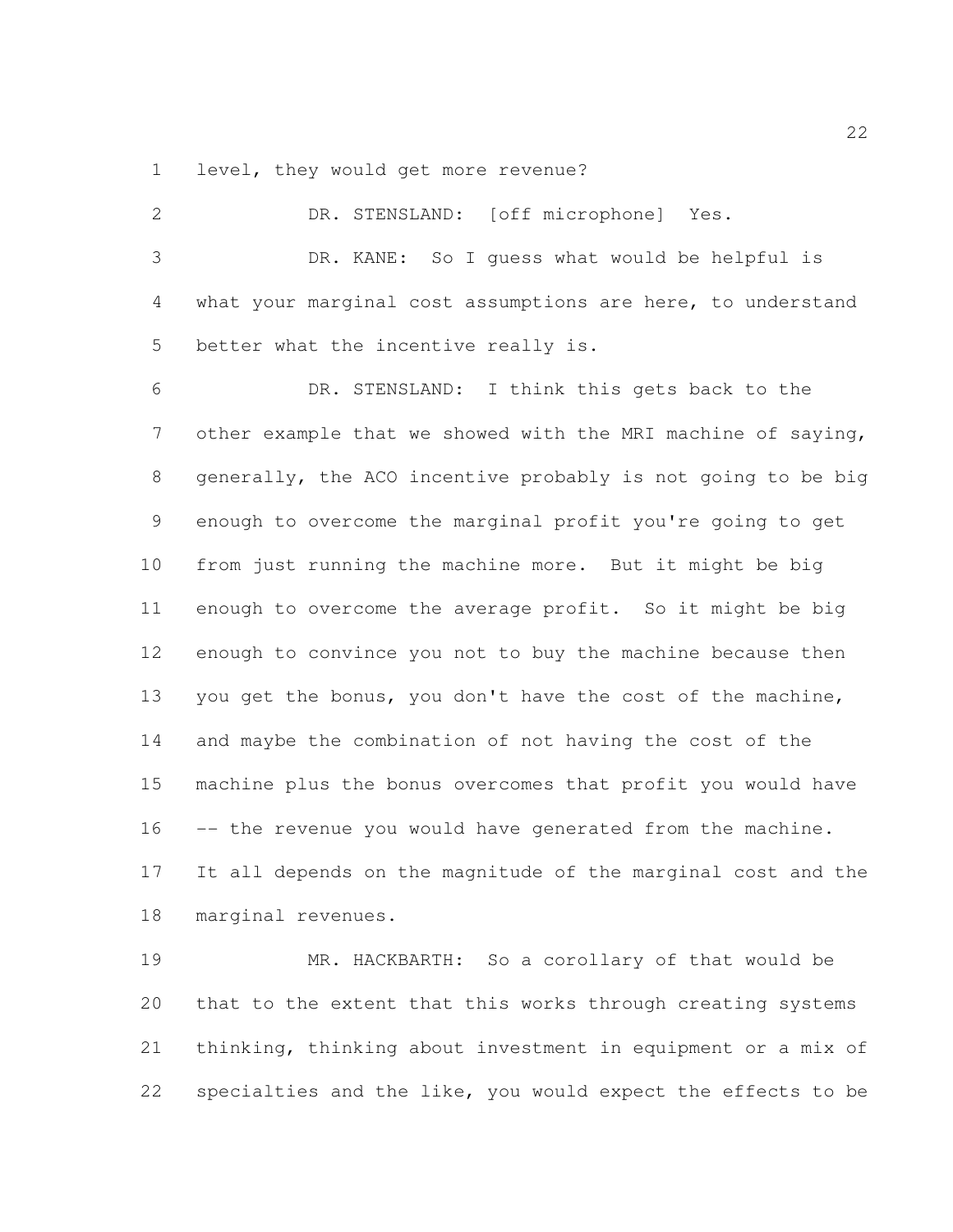level, they would get more revenue?

| $\overline{2}$ | DR. STENSLAND: [off microphone] Yes.                         |
|----------------|--------------------------------------------------------------|
| 3              | DR. KANE: So I quess what would be helpful is                |
| 4              | what your marginal cost assumptions are here, to understand  |
| 5              | better what the incentive really is.                         |
| 6              | DR. STENSLAND: I think this gets back to the                 |
| $\overline{7}$ | other example that we showed with the MRI machine of saying, |
| 8              | generally, the ACO incentive probably is not going to be big |
| 9              | enough to overcome the marginal profit you're going to get   |
| 10             | from just running the machine more. But it might be big      |
| 11             | enough to overcome the average profit. So it might be big    |
| 12             | enough to convince you not to buy the machine because then   |
| 13             | you get the bonus, you don't have the cost of the machine,   |
| 14             | and maybe the combination of not having the cost of the      |
| 15             | machine plus the bonus overcomes that profit you would have  |
| 16             | -- the revenue you would have generated from the machine.    |
| 17             | It all depends on the magnitude of the marginal cost and the |
| 18             | marginal revenues.                                           |
| 19             | So a corollary of that would be<br>MR. HACKBARTH:            |

 that to the extent that this works through creating systems thinking, thinking about investment in equipment or a mix of specialties and the like, you would expect the effects to be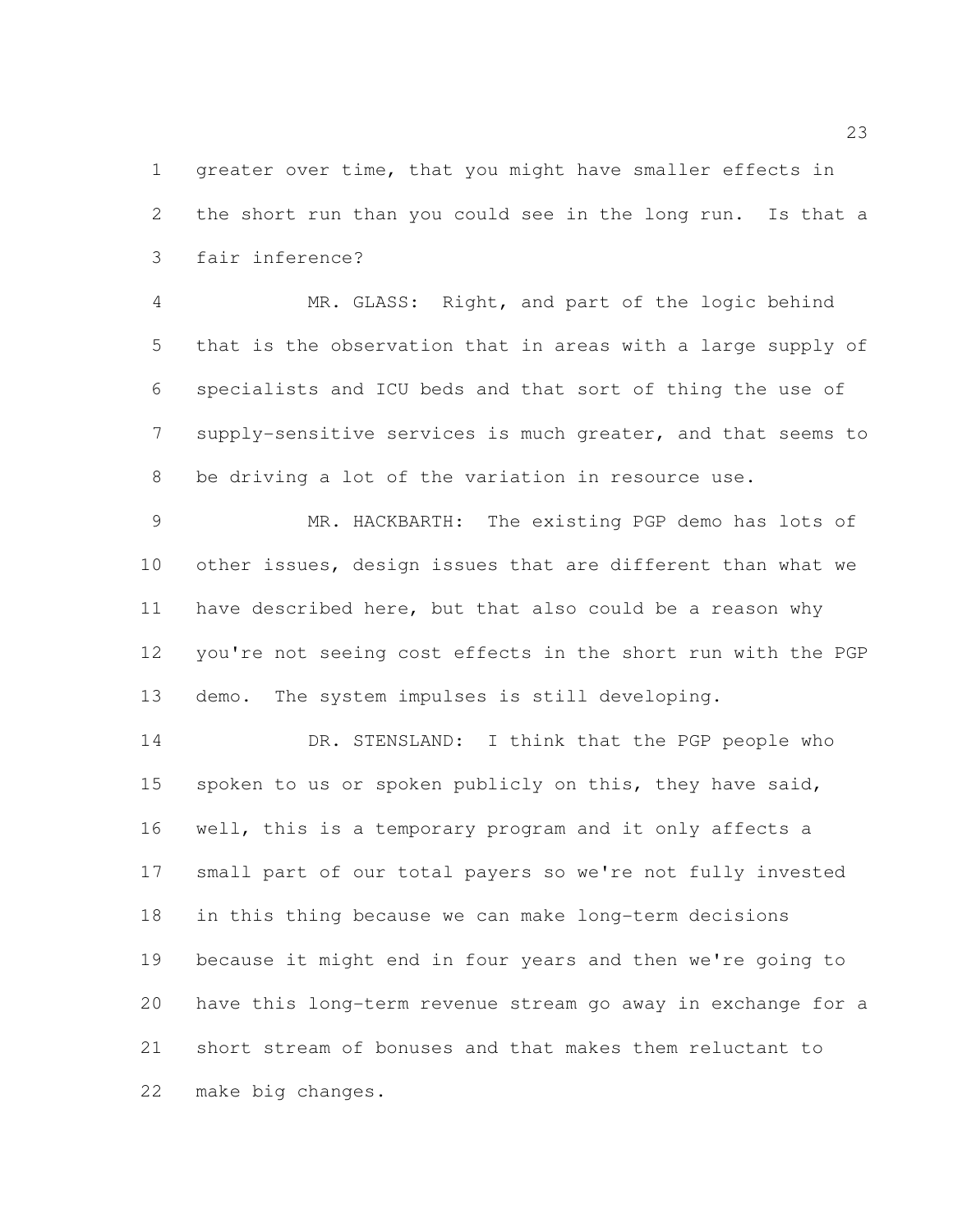greater over time, that you might have smaller effects in the short run than you could see in the long run. Is that a fair inference?

 MR. GLASS: Right, and part of the logic behind that is the observation that in areas with a large supply of specialists and ICU beds and that sort of thing the use of supply-sensitive services is much greater, and that seems to be driving a lot of the variation in resource use.

 MR. HACKBARTH: The existing PGP demo has lots of other issues, design issues that are different than what we have described here, but that also could be a reason why you're not seeing cost effects in the short run with the PGP demo. The system impulses is still developing.

14 DR. STENSLAND: I think that the PGP people who 15 spoken to us or spoken publicly on this, they have said, well, this is a temporary program and it only affects a small part of our total payers so we're not fully invested in this thing because we can make long-term decisions because it might end in four years and then we're going to have this long-term revenue stream go away in exchange for a short stream of bonuses and that makes them reluctant to make big changes.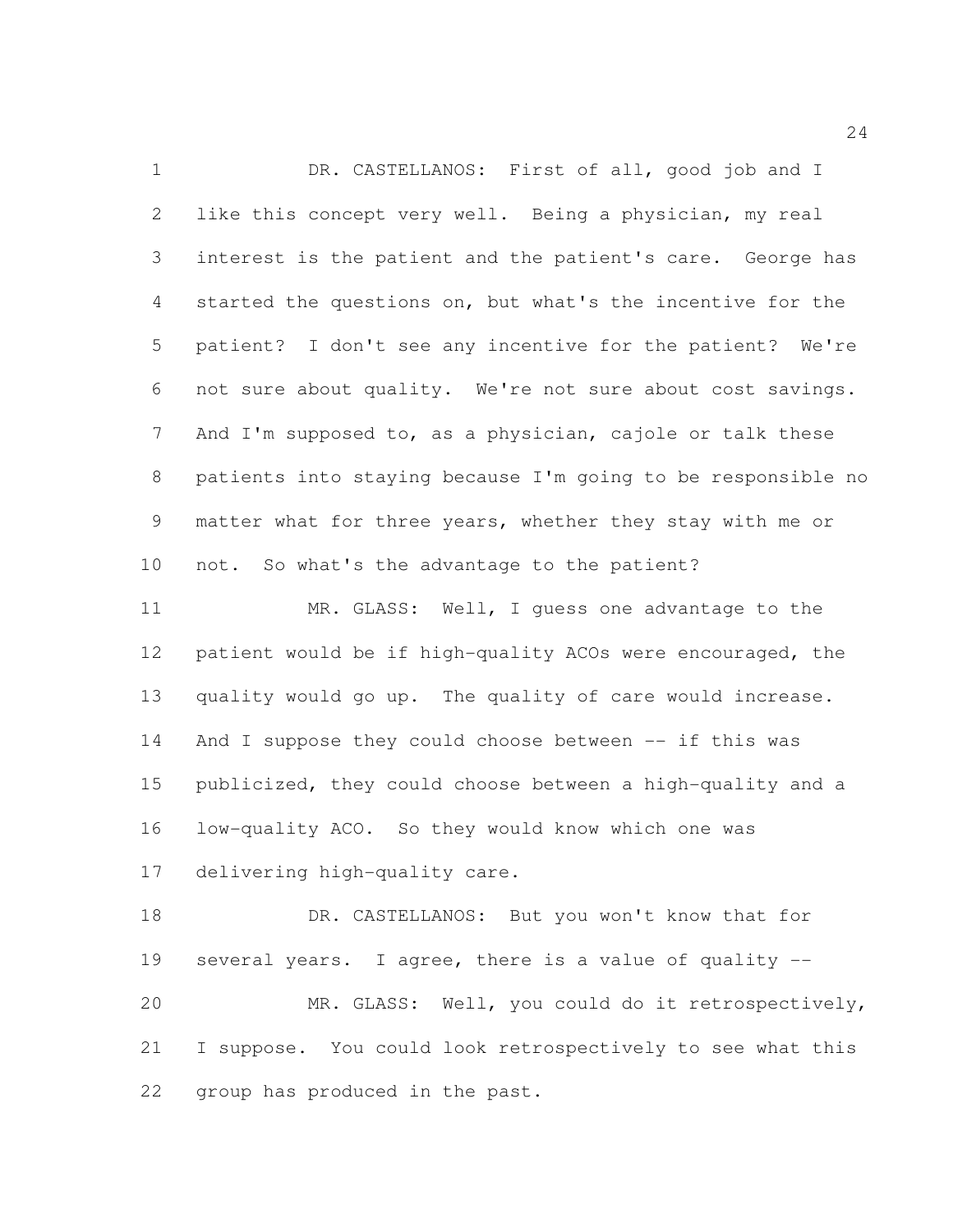DR. CASTELLANOS: First of all, good job and I like this concept very well. Being a physician, my real interest is the patient and the patient's care. George has started the questions on, but what's the incentive for the patient? I don't see any incentive for the patient? We're not sure about quality. We're not sure about cost savings. And I'm supposed to, as a physician, cajole or talk these patients into staying because I'm going to be responsible no matter what for three years, whether they stay with me or not. So what's the advantage to the patient?

 MR. GLASS: Well, I guess one advantage to the patient would be if high-quality ACOs were encouraged, the quality would go up. The quality of care would increase. And I suppose they could choose between -- if this was publicized, they could choose between a high-quality and a low-quality ACO. So they would know which one was delivering high-quality care.

 DR. CASTELLANOS: But you won't know that for several years. I agree, there is a value of quality -- MR. GLASS: Well, you could do it retrospectively, I suppose. You could look retrospectively to see what this group has produced in the past.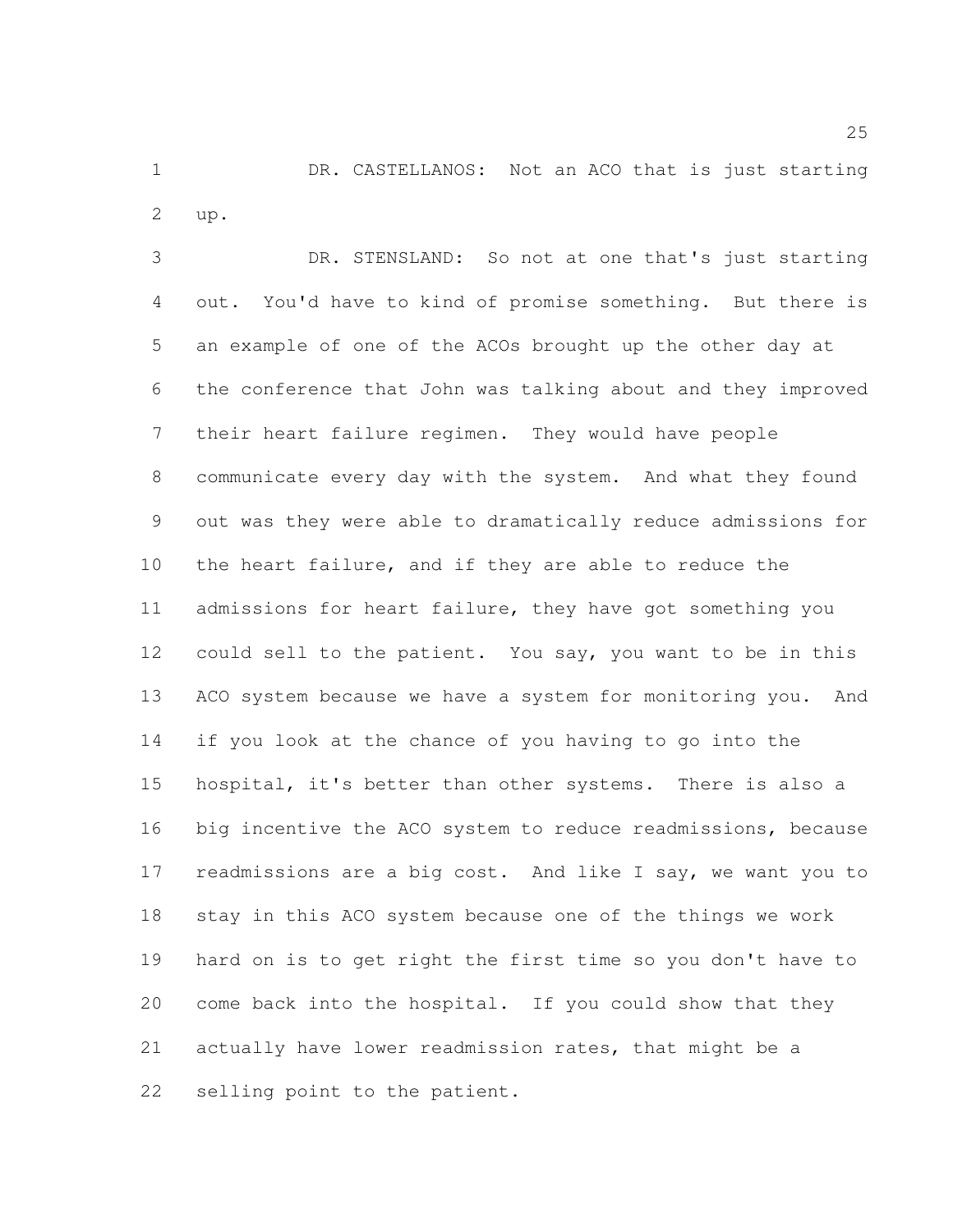1 DR. CASTELLANOS: Not an ACO that is just starting up.

 DR. STENSLAND: So not at one that's just starting out. You'd have to kind of promise something. But there is an example of one of the ACOs brought up the other day at the conference that John was talking about and they improved their heart failure regimen. They would have people communicate every day with the system. And what they found out was they were able to dramatically reduce admissions for the heart failure, and if they are able to reduce the 11 admissions for heart failure, they have got something you could sell to the patient. You say, you want to be in this 13 ACO system because we have a system for monitoring you. And if you look at the chance of you having to go into the hospital, it's better than other systems. There is also a big incentive the ACO system to reduce readmissions, because 17 readmissions are a big cost. And like I say, we want you to stay in this ACO system because one of the things we work hard on is to get right the first time so you don't have to come back into the hospital. If you could show that they actually have lower readmission rates, that might be a selling point to the patient.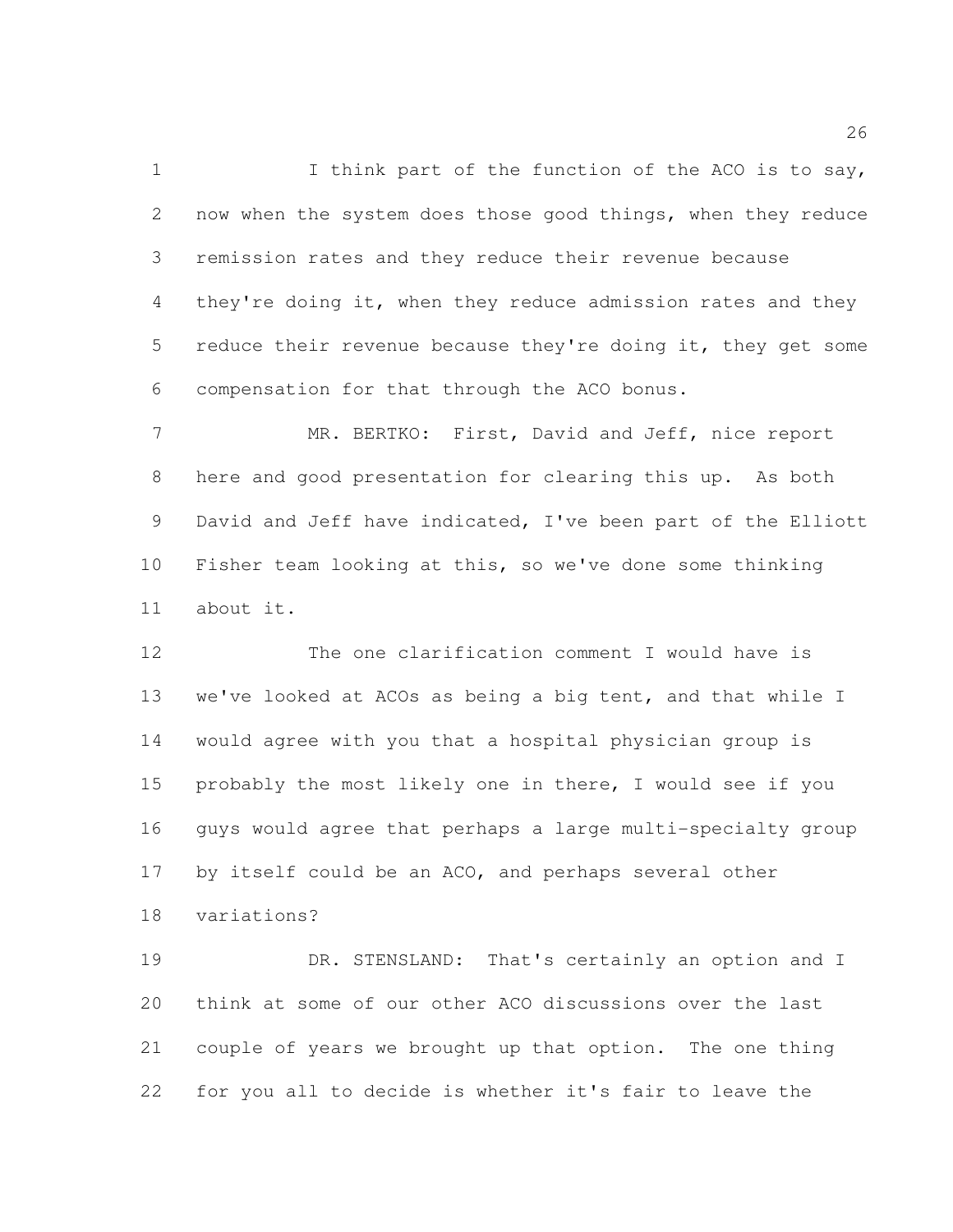1 I think part of the function of the ACO is to say, now when the system does those good things, when they reduce remission rates and they reduce their revenue because 4 they're doing it, when they reduce admission rates and they 5 reduce their revenue because they're doing it, they get some compensation for that through the ACO bonus.

 MR. BERTKO: First, David and Jeff, nice report here and good presentation for clearing this up. As both David and Jeff have indicated, I've been part of the Elliott Fisher team looking at this, so we've done some thinking about it.

 The one clarification comment I would have is we've looked at ACOs as being a big tent, and that while I would agree with you that a hospital physician group is probably the most likely one in there, I would see if you guys would agree that perhaps a large multi-specialty group by itself could be an ACO, and perhaps several other variations?

 DR. STENSLAND: That's certainly an option and I think at some of our other ACO discussions over the last couple of years we brought up that option. The one thing for you all to decide is whether it's fair to leave the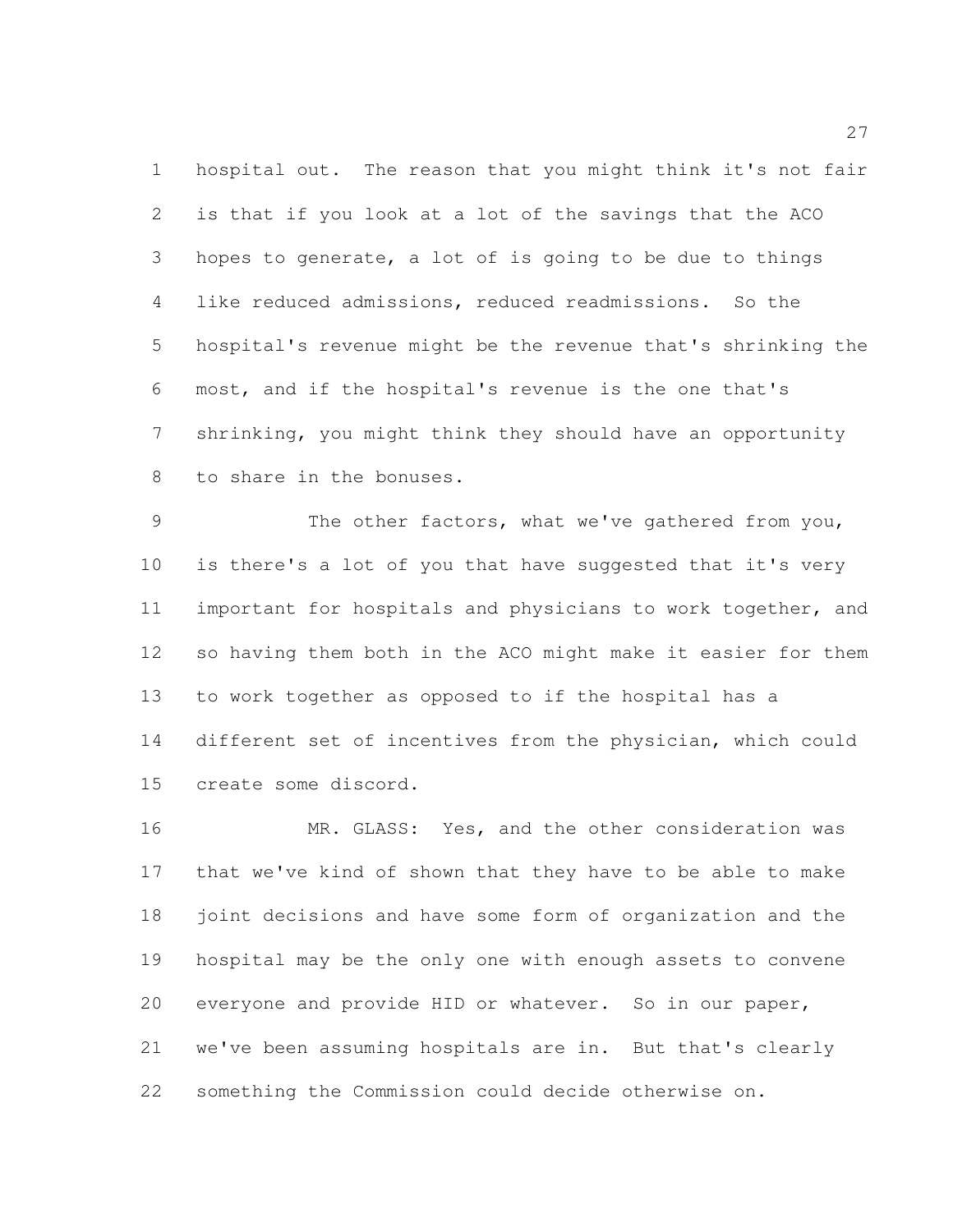hospital out. The reason that you might think it's not fair is that if you look at a lot of the savings that the ACO hopes to generate, a lot of is going to be due to things like reduced admissions, reduced readmissions. So the hospital's revenue might be the revenue that's shrinking the most, and if the hospital's revenue is the one that's shrinking, you might think they should have an opportunity to share in the bonuses.

 The other factors, what we've gathered from you, is there's a lot of you that have suggested that it's very important for hospitals and physicians to work together, and so having them both in the ACO might make it easier for them to work together as opposed to if the hospital has a different set of incentives from the physician, which could create some discord.

 MR. GLASS: Yes, and the other consideration was that we've kind of shown that they have to be able to make joint decisions and have some form of organization and the hospital may be the only one with enough assets to convene everyone and provide HID or whatever. So in our paper, we've been assuming hospitals are in. But that's clearly something the Commission could decide otherwise on.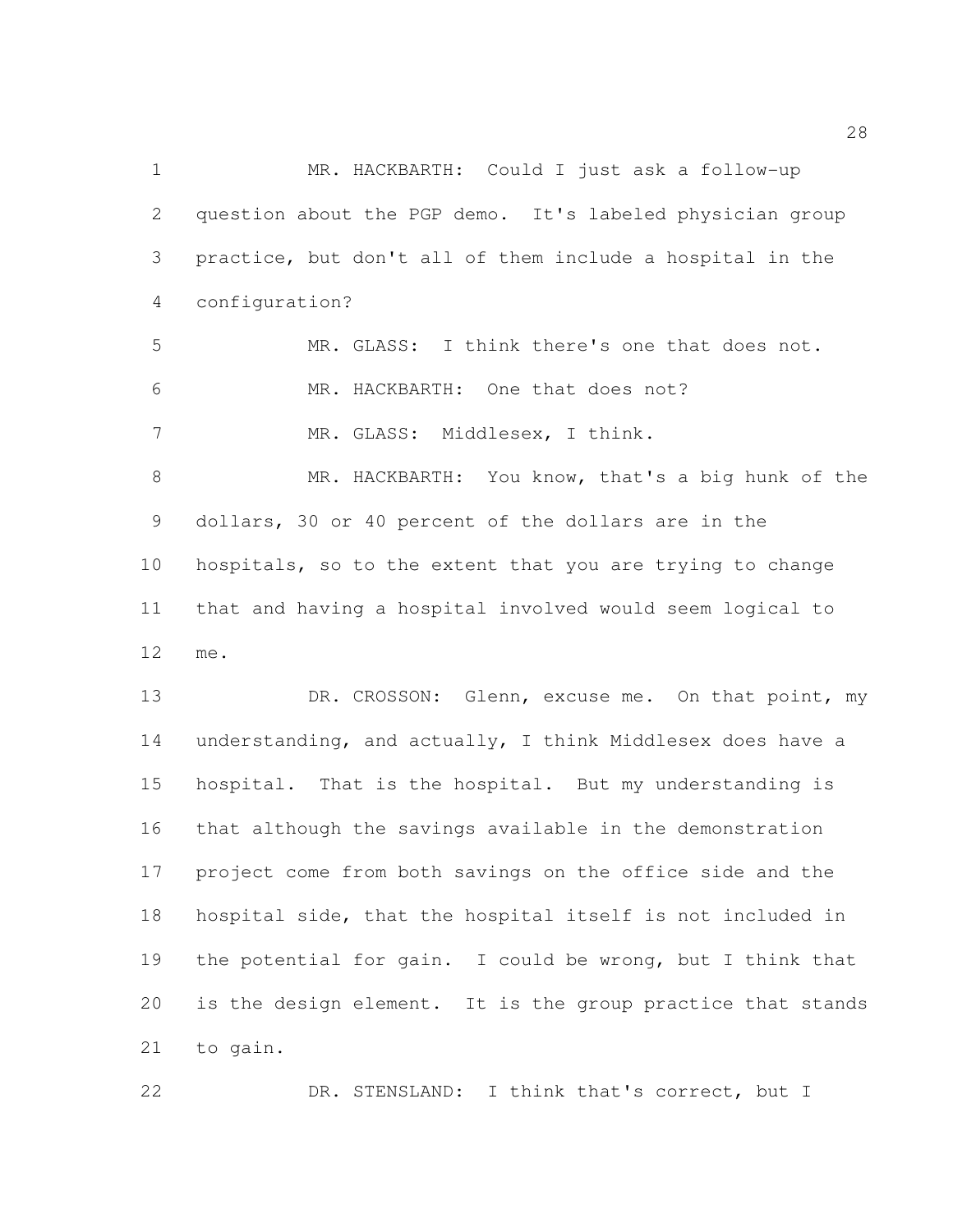MR. HACKBARTH: Could I just ask a follow-up question about the PGP demo. It's labeled physician group practice, but don't all of them include a hospital in the configuration?

 MR. GLASS: I think there's one that does not. 6 MR. HACKBARTH: One that does not? 7 MR. GLASS: Middlesex, I think.

 MR. HACKBARTH: You know, that's a big hunk of the dollars, 30 or 40 percent of the dollars are in the hospitals, so to the extent that you are trying to change that and having a hospital involved would seem logical to me.

13 DR. CROSSON: Glenn, excuse me. On that point, my understanding, and actually, I think Middlesex does have a hospital. That is the hospital. But my understanding is that although the savings available in the demonstration project come from both savings on the office side and the hospital side, that the hospital itself is not included in the potential for gain. I could be wrong, but I think that is the design element. It is the group practice that stands to gain.

DR. STENSLAND: I think that's correct, but I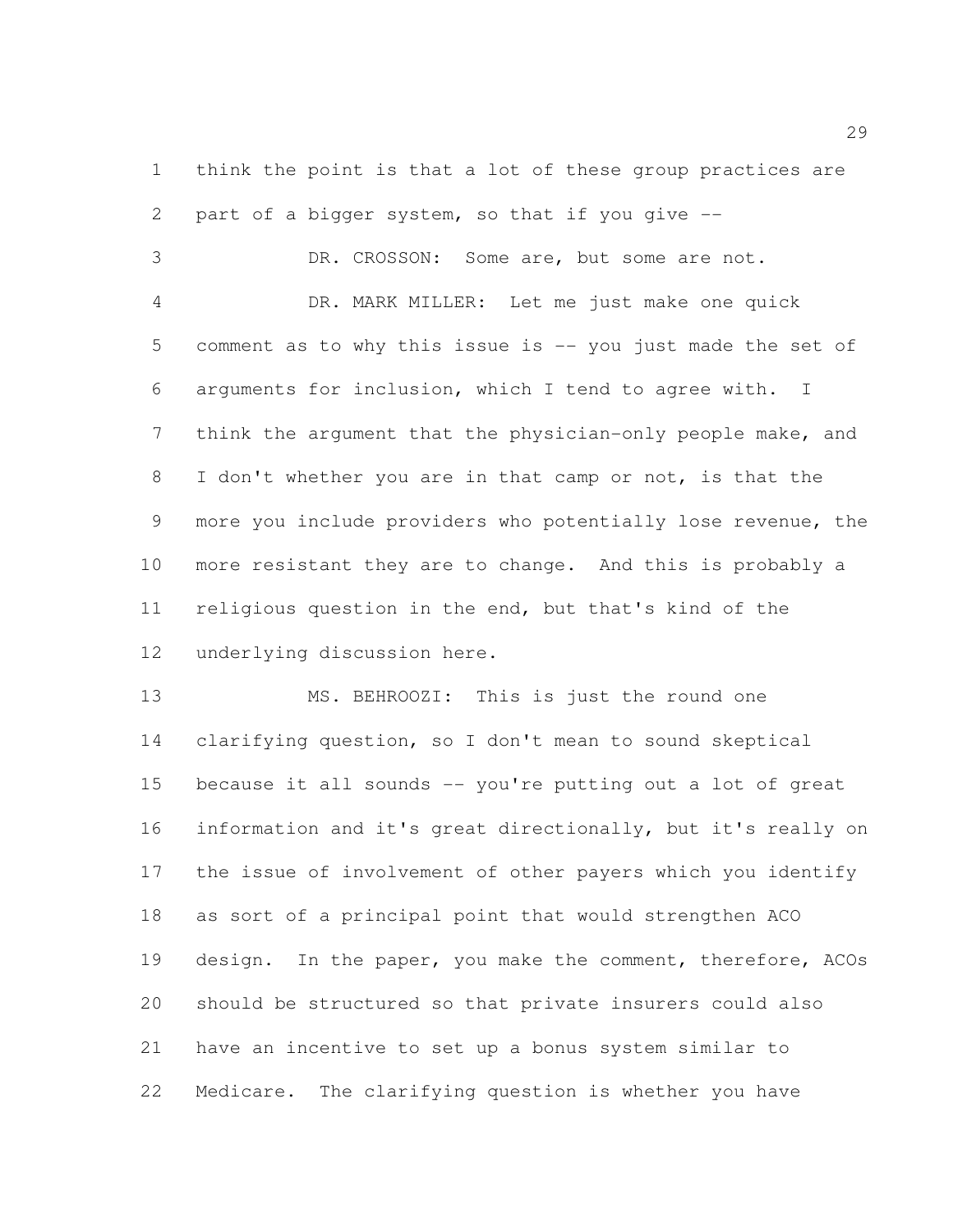think the point is that a lot of these group practices are part of a bigger system, so that if you give --

 DR. CROSSON: Some are, but some are not. DR. MARK MILLER: Let me just make one quick comment as to why this issue is -- you just made the set of arguments for inclusion, which I tend to agree with. I think the argument that the physician-only people make, and I don't whether you are in that camp or not, is that the more you include providers who potentially lose revenue, the more resistant they are to change. And this is probably a religious question in the end, but that's kind of the underlying discussion here.

 MS. BEHROOZI: This is just the round one clarifying question, so I don't mean to sound skeptical because it all sounds -- you're putting out a lot of great information and it's great directionally, but it's really on the issue of involvement of other payers which you identify as sort of a principal point that would strengthen ACO 19 design. In the paper, you make the comment, therefore, ACOs should be structured so that private insurers could also have an incentive to set up a bonus system similar to Medicare. The clarifying question is whether you have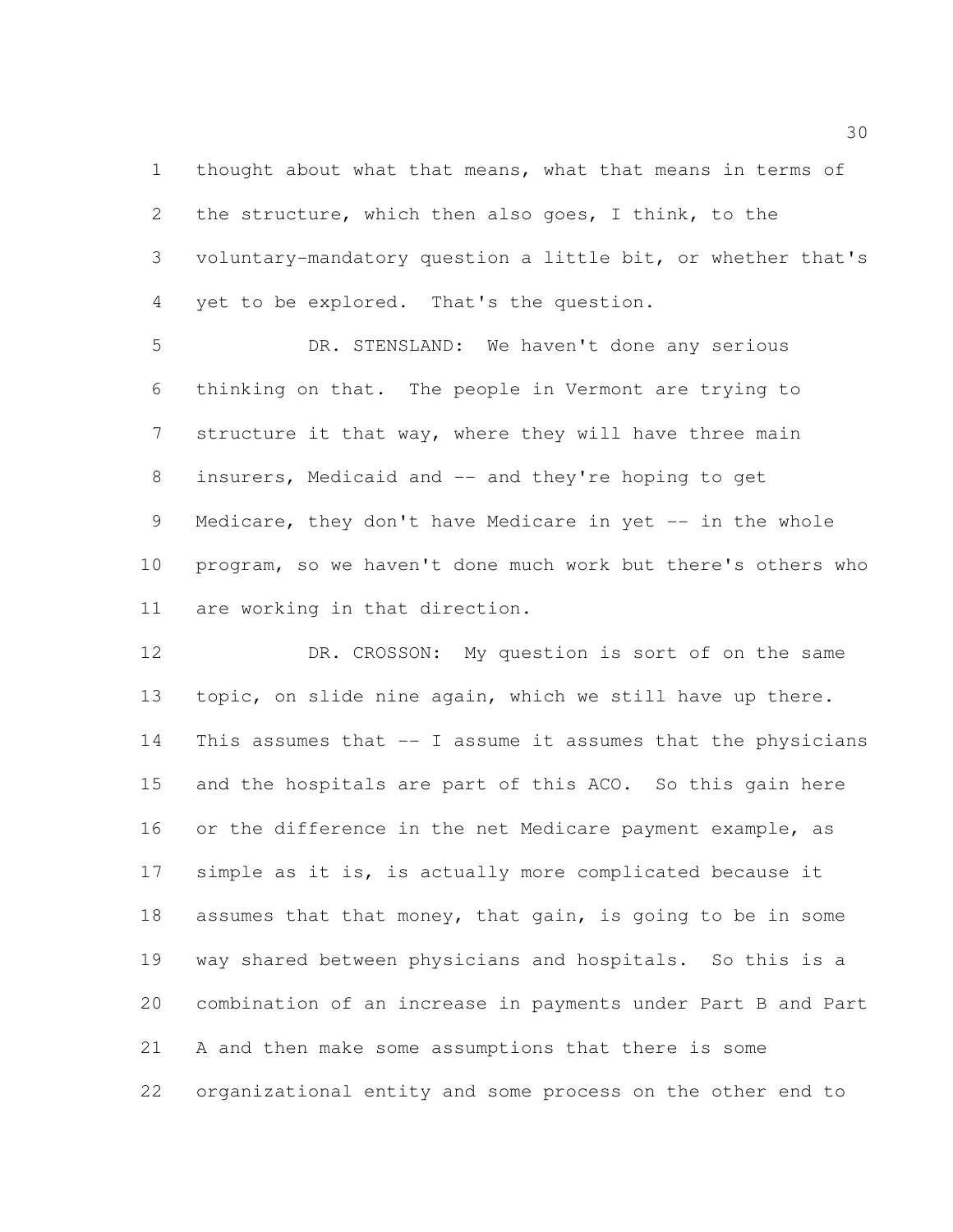thought about what that means, what that means in terms of the structure, which then also goes, I think, to the voluntary-mandatory question a little bit, or whether that's yet to be explored. That's the question.

 DR. STENSLAND: We haven't done any serious thinking on that. The people in Vermont are trying to structure it that way, where they will have three main insurers, Medicaid and -- and they're hoping to get Medicare, they don't have Medicare in yet -- in the whole program, so we haven't done much work but there's others who are working in that direction.

 DR. CROSSON: My question is sort of on the same topic, on slide nine again, which we still have up there. This assumes that -- I assume it assumes that the physicians and the hospitals are part of this ACO. So this gain here 16 or the difference in the net Medicare payment example, as simple as it is, is actually more complicated because it assumes that that money, that gain, is going to be in some way shared between physicians and hospitals. So this is a combination of an increase in payments under Part B and Part A and then make some assumptions that there is some organizational entity and some process on the other end to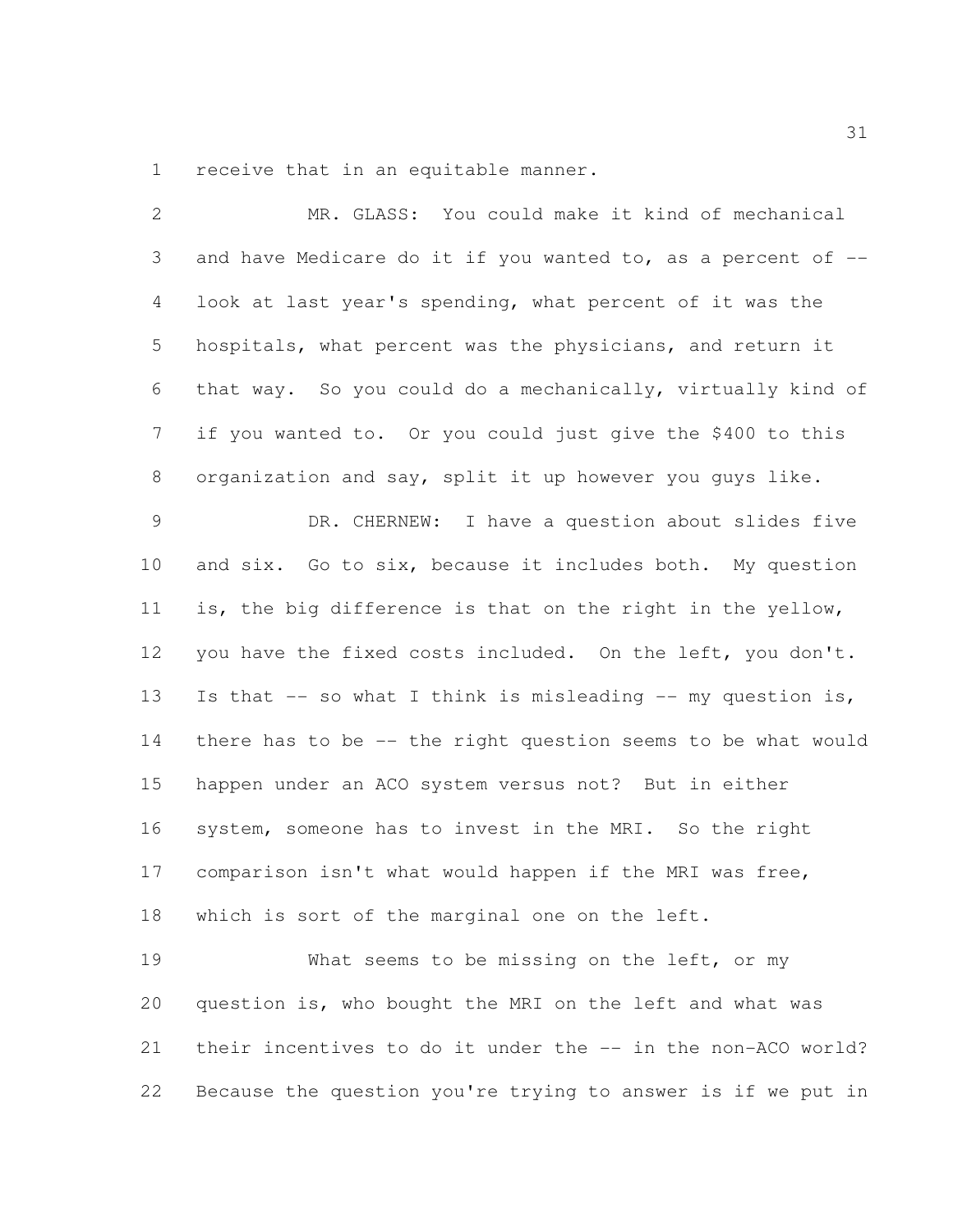receive that in an equitable manner.

| 2              | MR. GLASS: You could make it kind of mechanical              |
|----------------|--------------------------------------------------------------|
| 3              | and have Medicare do it if you wanted to, as a percent of -- |
| 4              | look at last year's spending, what percent of it was the     |
| 5              | hospitals, what percent was the physicians, and return it    |
| 6              | that way. So you could do a mechanically, virtually kind of  |
| $\overline{7}$ | if you wanted to. Or you could just give the \$400 to this   |
| 8              | organization and say, split it up however you guys like.     |
| $\mathcal{G}$  | DR. CHERNEW: I have a question about slides five             |
| 10             | and six. Go to six, because it includes both. My question    |
| 11             | is, the big difference is that on the right in the yellow,   |
| 12             | you have the fixed costs included. On the left, you don't.   |
| 13             | Is that -- so what I think is misleading -- my question is,  |
| 14             | there has to be -- the right question seems to be what would |
| 15             | happen under an ACO system versus not? But in either         |
| 16             | system, someone has to invest in the MRI. So the right       |
| 17             | comparison isn't what would happen if the MRI was free,      |
| 18             | which is sort of the marginal one on the left.               |
| 19             | What seems to be missing on the left, or my                  |
| 20             | question is, who bought the MRI on the left and what was     |
| 21             | their incentives to do it under the -- in the non-ACO world? |
| 22             | Because the question you're trying to answer is if we put in |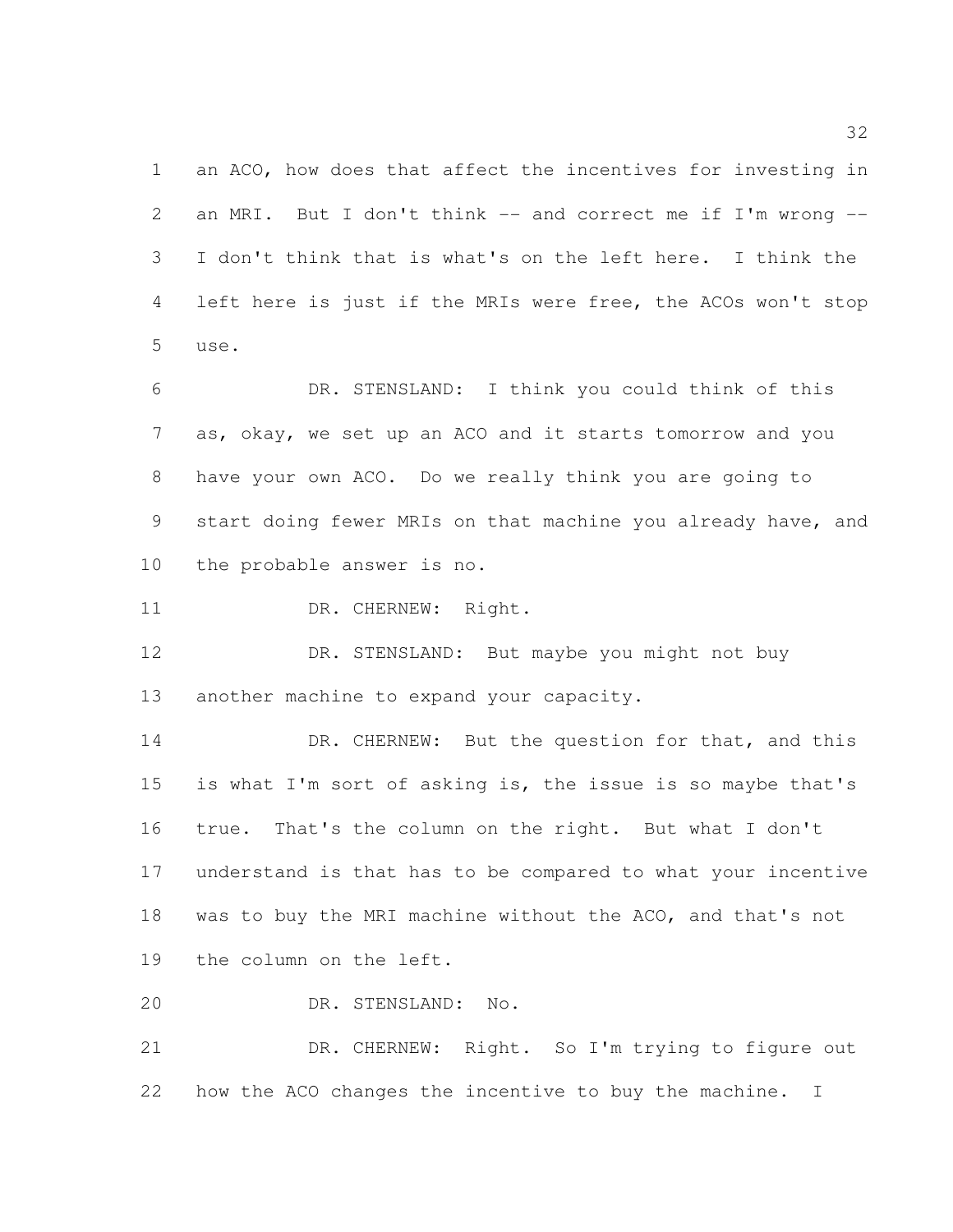an ACO, how does that affect the incentives for investing in 2 an MRI. But I don't think -- and correct me if I'm wrong -- I don't think that is what's on the left here. I think the left here is just if the MRIs were free, the ACOs won't stop use.

 DR. STENSLAND: I think you could think of this as, okay, we set up an ACO and it starts tomorrow and you have your own ACO. Do we really think you are going to start doing fewer MRIs on that machine you already have, and the probable answer is no.

11 DR. CHERNEW: Right.

 DR. STENSLAND: But maybe you might not buy 13 another machine to expand your capacity.

14 DR. CHERNEW: But the question for that, and this is what I'm sort of asking is, the issue is so maybe that's true. That's the column on the right. But what I don't understand is that has to be compared to what your incentive 18 was to buy the MRI machine without the ACO, and that's not the column on the left.

DR. STENSLAND: No.

 DR. CHERNEW: Right. So I'm trying to figure out how the ACO changes the incentive to buy the machine. I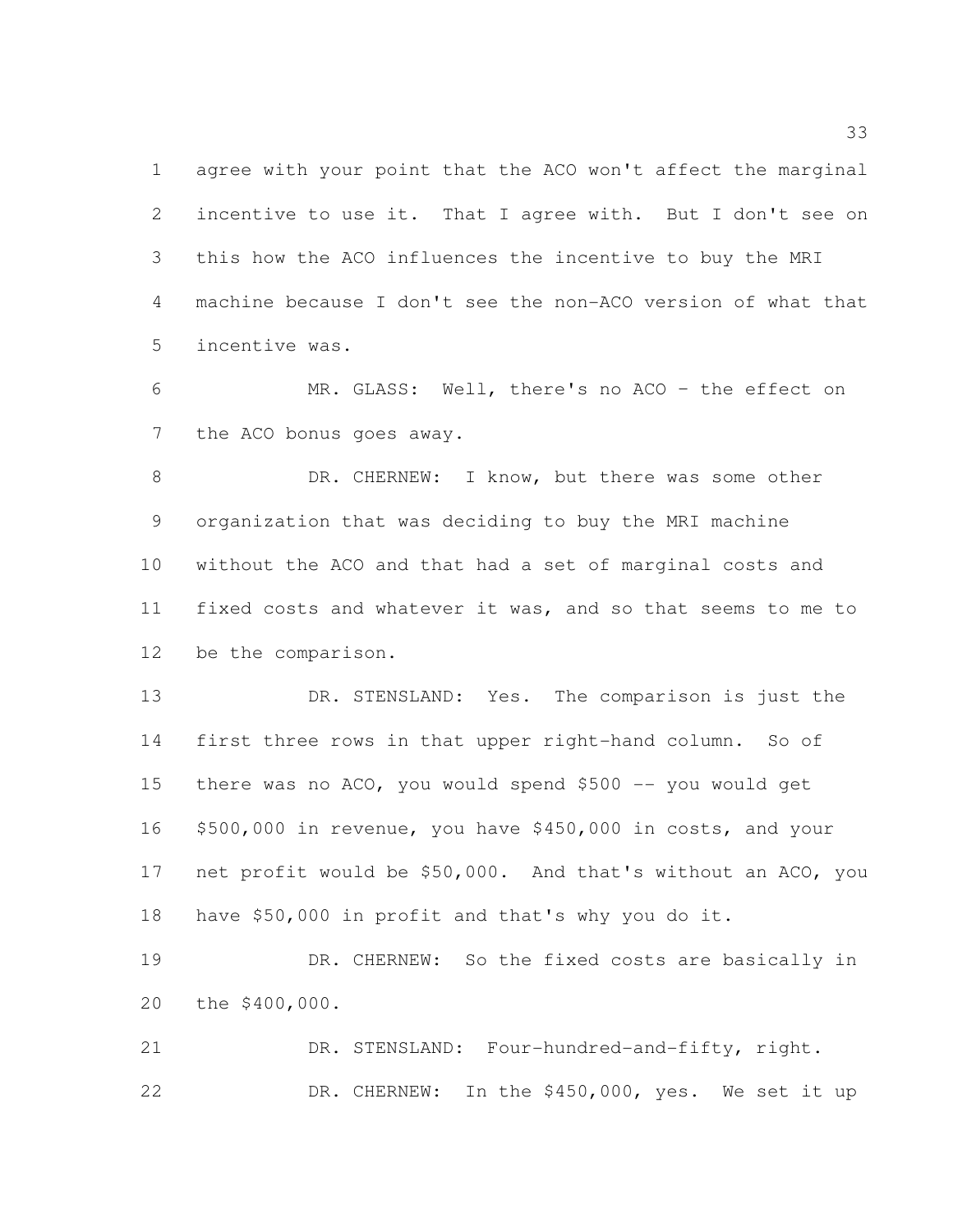agree with your point that the ACO won't affect the marginal incentive to use it. That I agree with. But I don't see on this how the ACO influences the incentive to buy the MRI machine because I don't see the non-ACO version of what that incentive was.

 MR. GLASS: Well, there's no ACO – the effect on 7 the ACO bonus goes away.

8 DR. CHERNEW: I know, but there was some other organization that was deciding to buy the MRI machine without the ACO and that had a set of marginal costs and fixed costs and whatever it was, and so that seems to me to be the comparison.

 DR. STENSLAND: Yes. The comparison is just the first three rows in that upper right-hand column. So of 15 there was no ACO, you would spend \$500 -- you would get \$500,000 in revenue, you have \$450,000 in costs, and your net profit would be \$50,000. And that's without an ACO, you have \$50,000 in profit and that's why you do it.

 DR. CHERNEW: So the fixed costs are basically in the \$400,000.

 DR. STENSLAND: Four-hundred-and-fifty, right. DR. CHERNEW: In the \$450,000, yes. We set it up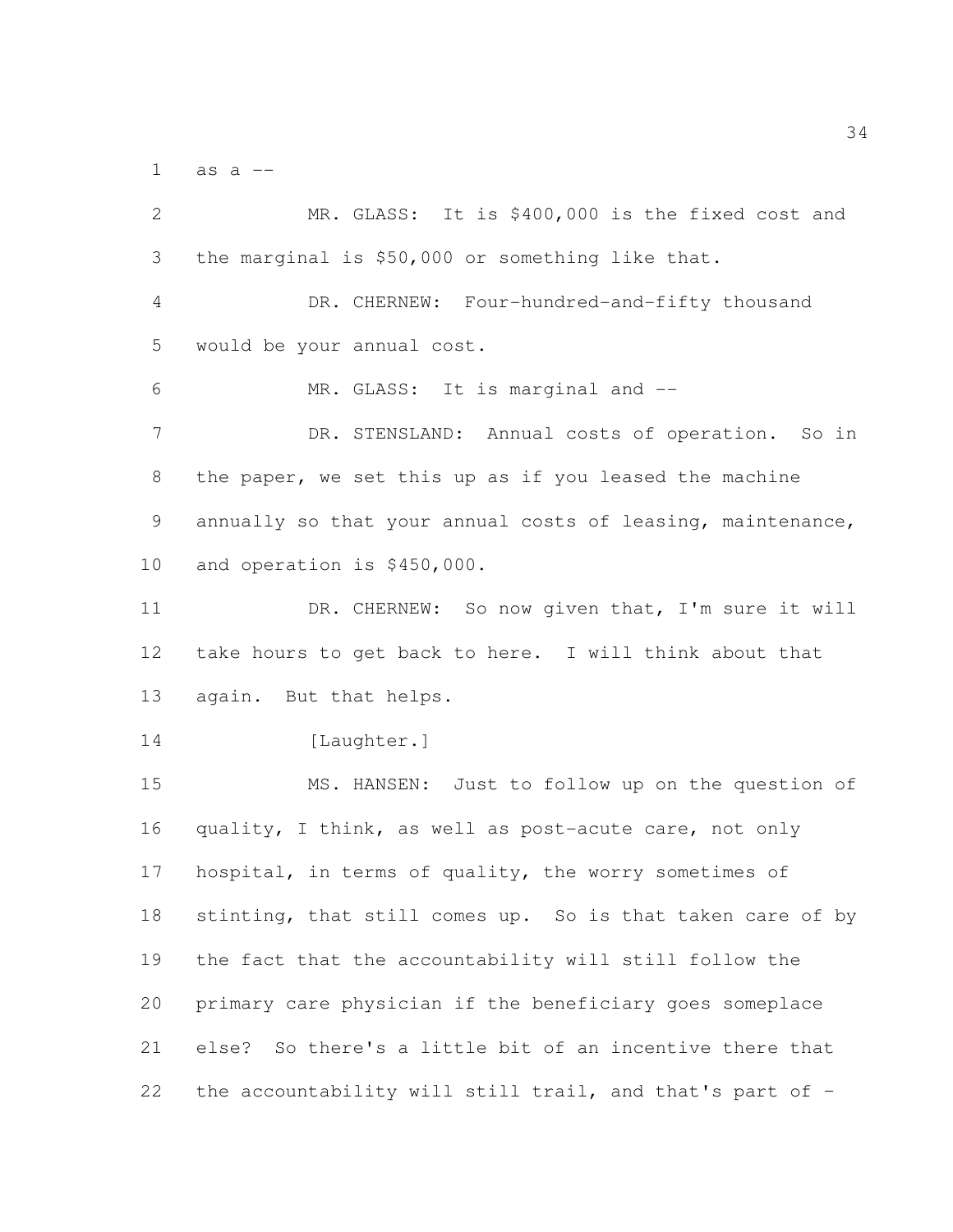as a  $-$ 

 MR. GLASS: It is \$400,000 is the fixed cost and the marginal is \$50,000 or something like that. DR. CHERNEW: Four-hundred-and-fifty thousand would be your annual cost. MR. GLASS: It is marginal and -- DR. STENSLAND: Annual costs of operation. So in the paper, we set this up as if you leased the machine annually so that your annual costs of leasing, maintenance, and operation is \$450,000. DR. CHERNEW: So now given that, I'm sure it will take hours to get back to here. I will think about that again. But that helps. 14 [Laughter.] MS. HANSEN: Just to follow up on the question of quality, I think, as well as post-acute care, not only hospital, in terms of quality, the worry sometimes of 18 stinting, that still comes up. So is that taken care of by the fact that the accountability will still follow the primary care physician if the beneficiary goes someplace else? So there's a little bit of an incentive there that the accountability will still trail, and that's part of –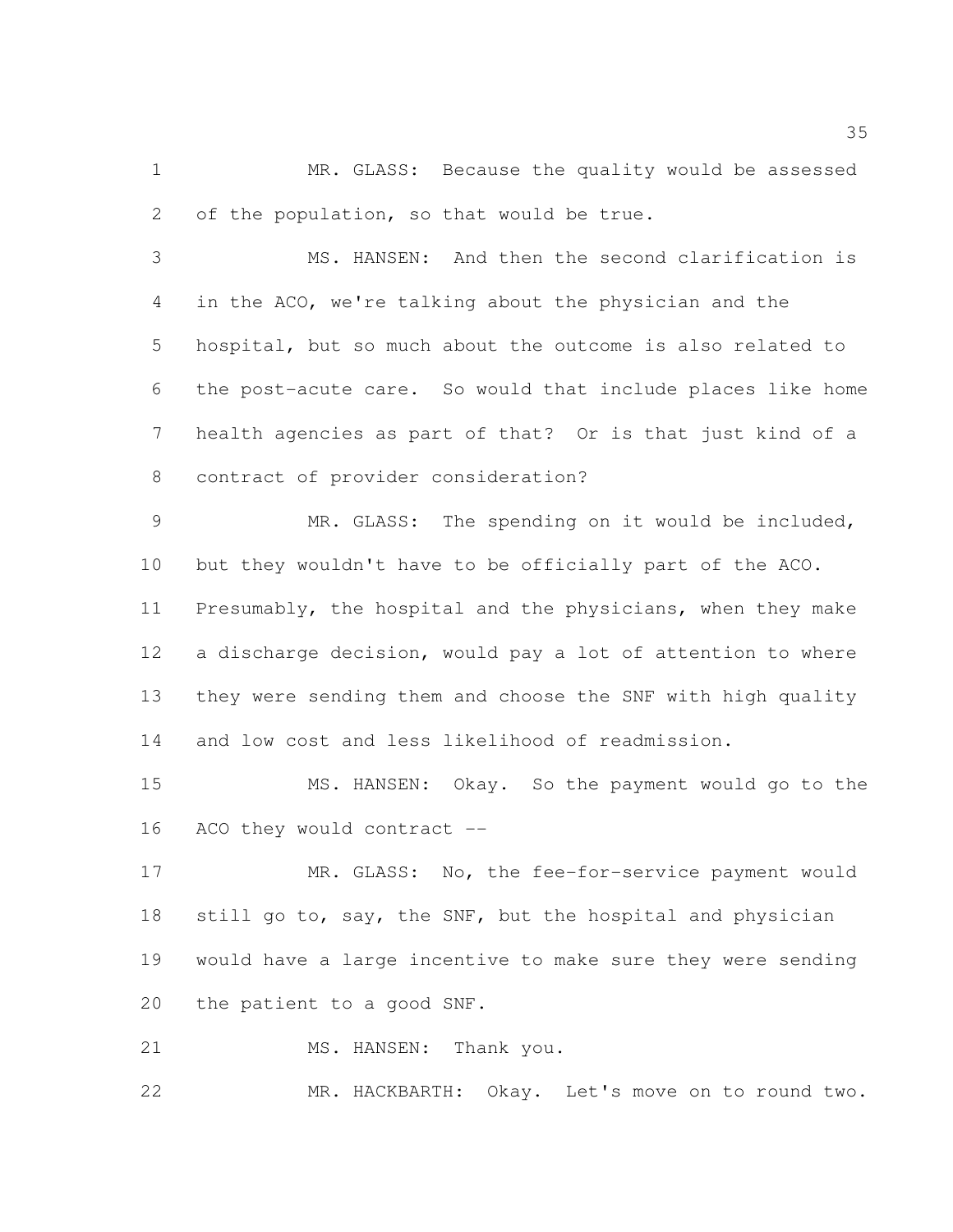MR. GLASS: Because the quality would be assessed 2 of the population, so that would be true.

 MS. HANSEN: And then the second clarification is in the ACO, we're talking about the physician and the hospital, but so much about the outcome is also related to the post-acute care. So would that include places like home health agencies as part of that? Or is that just kind of a contract of provider consideration?

 MR. GLASS: The spending on it would be included, but they wouldn't have to be officially part of the ACO. Presumably, the hospital and the physicians, when they make a discharge decision, would pay a lot of attention to where they were sending them and choose the SNF with high quality and low cost and less likelihood of readmission.

 MS. HANSEN: Okay. So the payment would go to the ACO they would contract --

17 MR. GLASS: No, the fee-for-service payment would 18 still go to, say, the SNF, but the hospital and physician would have a large incentive to make sure they were sending the patient to a good SNF.

21 MS. HANSEN: Thank you.

MR. HACKBARTH: Okay. Let's move on to round two.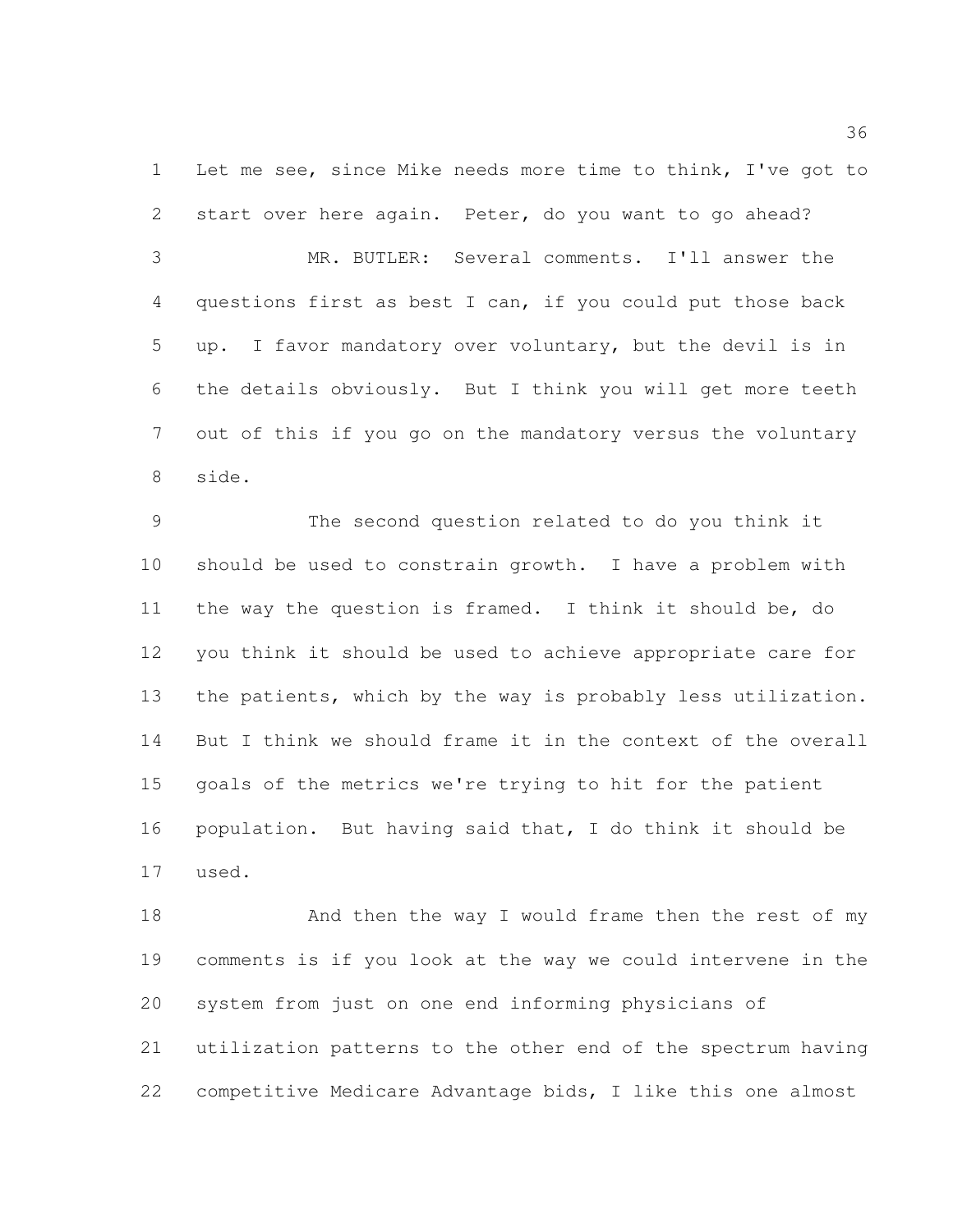Let me see, since Mike needs more time to think, I've got to start over here again. Peter, do you want to go ahead?

 MR. BUTLER: Several comments. I'll answer the questions first as best I can, if you could put those back up. I favor mandatory over voluntary, but the devil is in the details obviously. But I think you will get more teeth out of this if you go on the mandatory versus the voluntary side.

 The second question related to do you think it should be used to constrain growth. I have a problem with the way the question is framed. I think it should be, do you think it should be used to achieve appropriate care for the patients, which by the way is probably less utilization. But I think we should frame it in the context of the overall goals of the metrics we're trying to hit for the patient population. But having said that, I do think it should be used.

18 And then the way I would frame then the rest of my comments is if you look at the way we could intervene in the system from just on one end informing physicians of utilization patterns to the other end of the spectrum having competitive Medicare Advantage bids, I like this one almost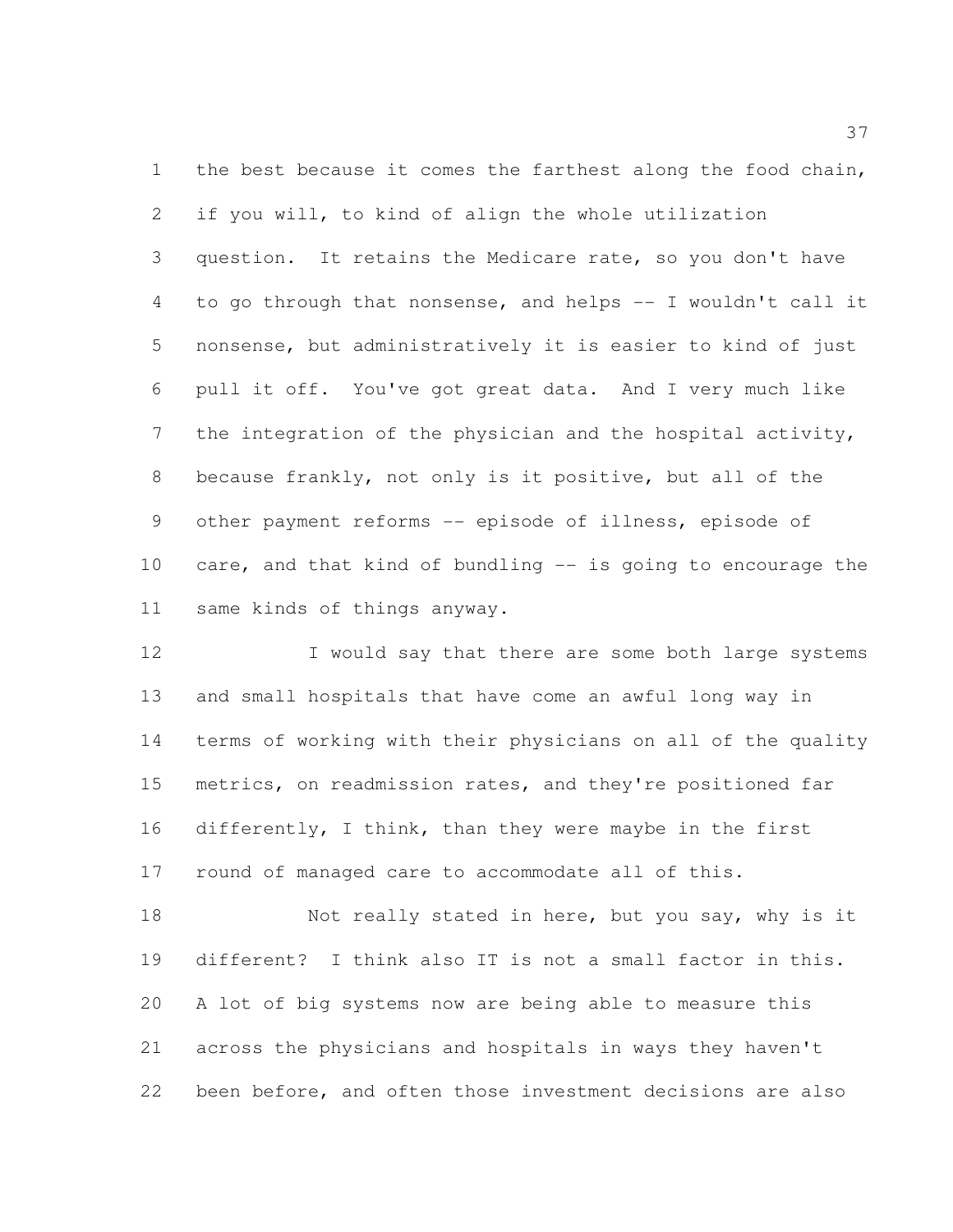1 the best because it comes the farthest along the food chain, if you will, to kind of align the whole utilization question. It retains the Medicare rate, so you don't have to go through that nonsense, and helps -- I wouldn't call it nonsense, but administratively it is easier to kind of just pull it off. You've got great data. And I very much like the integration of the physician and the hospital activity, because frankly, not only is it positive, but all of the other payment reforms -- episode of illness, episode of care, and that kind of bundling -- is going to encourage the same kinds of things anyway.

12 I would say that there are some both large systems and small hospitals that have come an awful long way in terms of working with their physicians on all of the quality metrics, on readmission rates, and they're positioned far differently, I think, than they were maybe in the first round of managed care to accommodate all of this.

18 Not really stated in here, but you say, why is it different? I think also IT is not a small factor in this. A lot of big systems now are being able to measure this across the physicians and hospitals in ways they haven't been before, and often those investment decisions are also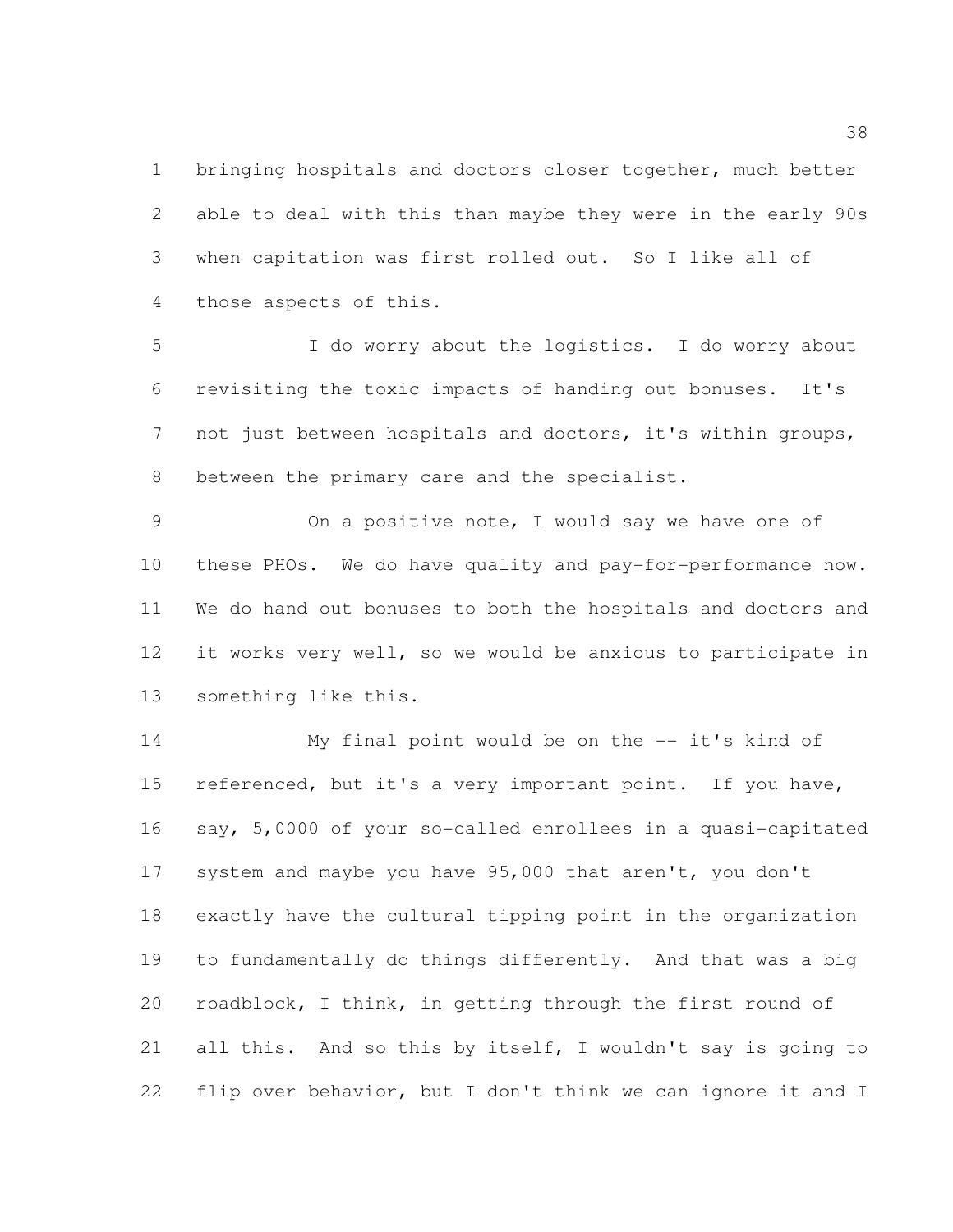bringing hospitals and doctors closer together, much better able to deal with this than maybe they were in the early 90s when capitation was first rolled out. So I like all of those aspects of this.

 I do worry about the logistics. I do worry about revisiting the toxic impacts of handing out bonuses. It's not just between hospitals and doctors, it's within groups, between the primary care and the specialist.

 On a positive note, I would say we have one of these PHOs. We do have quality and pay-for-performance now. We do hand out bonuses to both the hospitals and doctors and it works very well, so we would be anxious to participate in something like this.

 My final point would be on the -- it's kind of referenced, but it's a very important point. If you have, say, 5,0000 of your so-called enrollees in a quasi-capitated system and maybe you have 95,000 that aren't, you don't exactly have the cultural tipping point in the organization to fundamentally do things differently. And that was a big roadblock, I think, in getting through the first round of all this. And so this by itself, I wouldn't say is going to flip over behavior, but I don't think we can ignore it and I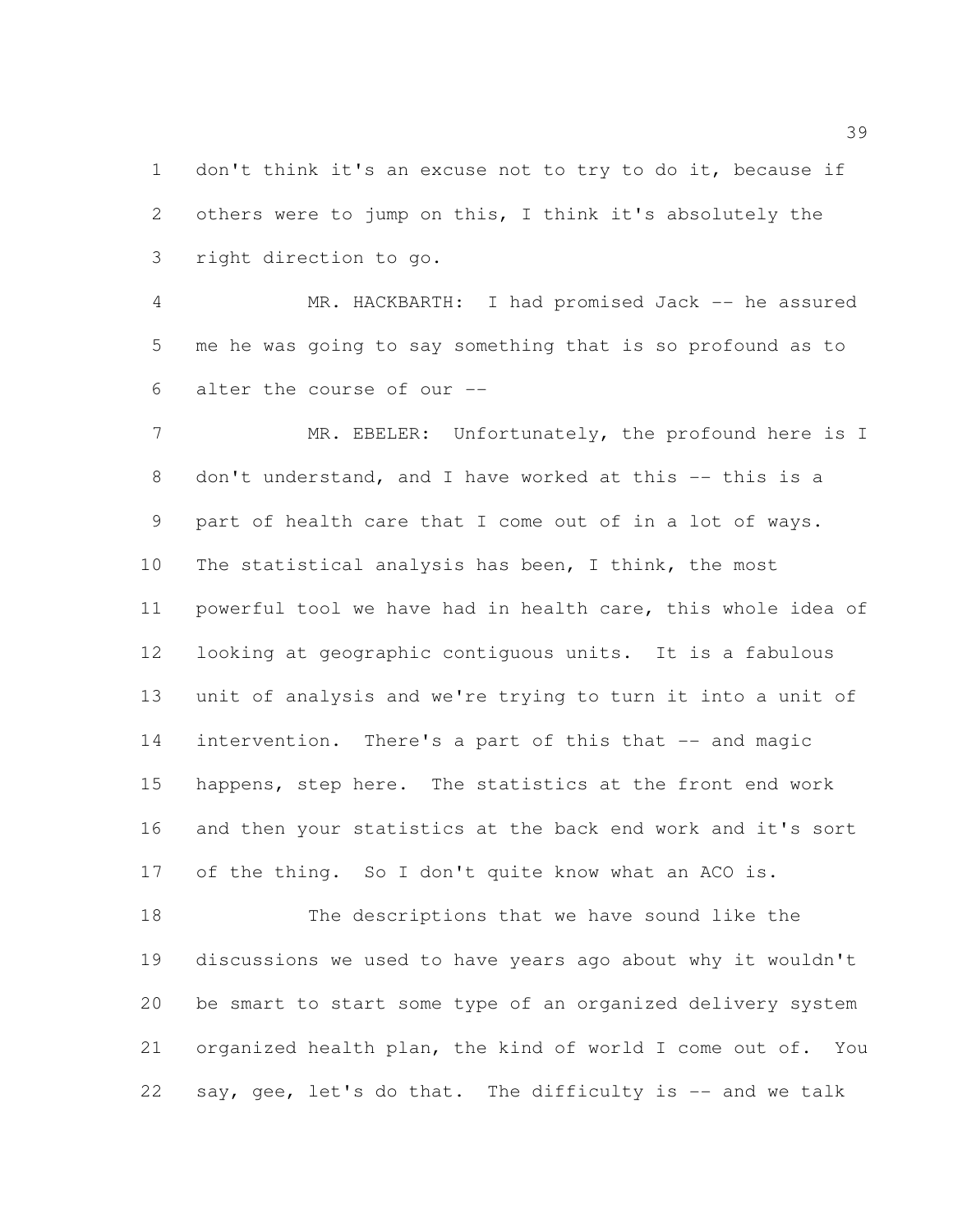don't think it's an excuse not to try to do it, because if others were to jump on this, I think it's absolutely the right direction to go.

 MR. HACKBARTH: I had promised Jack -- he assured me he was going to say something that is so profound as to alter the course of our --

7 MR. EBELER: Unfortunately, the profound here is I don't understand, and I have worked at this -- this is a part of health care that I come out of in a lot of ways. The statistical analysis has been, I think, the most powerful tool we have had in health care, this whole idea of looking at geographic contiguous units. It is a fabulous unit of analysis and we're trying to turn it into a unit of 14 intervention. There's a part of this that -- and magic happens, step here. The statistics at the front end work and then your statistics at the back end work and it's sort 17 of the thing. So I don't quite know what an ACO is.

 The descriptions that we have sound like the discussions we used to have years ago about why it wouldn't be smart to start some type of an organized delivery system organized health plan, the kind of world I come out of. You say, gee, let's do that. The difficulty is -- and we talk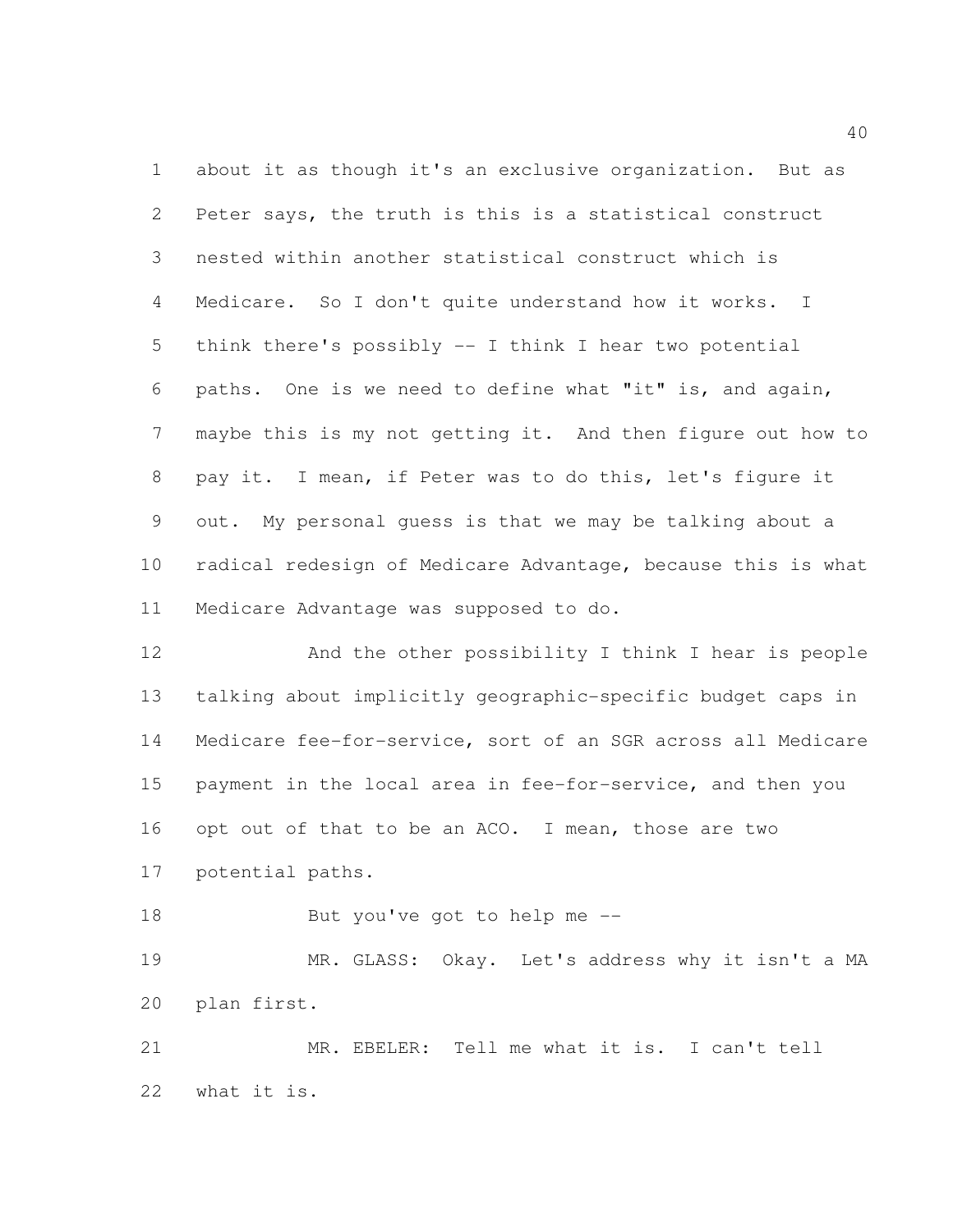about it as though it's an exclusive organization. But as Peter says, the truth is this is a statistical construct nested within another statistical construct which is Medicare. So I don't quite understand how it works. I think there's possibly -- I think I hear two potential paths. One is we need to define what "it" is, and again, maybe this is my not getting it. And then figure out how to pay it. I mean, if Peter was to do this, let's figure it out. My personal guess is that we may be talking about a radical redesign of Medicare Advantage, because this is what Medicare Advantage was supposed to do.

 And the other possibility I think I hear is people talking about implicitly geographic-specific budget caps in Medicare fee-for-service, sort of an SGR across all Medicare payment in the local area in fee-for-service, and then you opt out of that to be an ACO. I mean, those are two potential paths.

But you've got to help me --

 MR. GLASS: Okay. Let's address why it isn't a MA plan first.

 MR. EBELER: Tell me what it is. I can't tell what it is.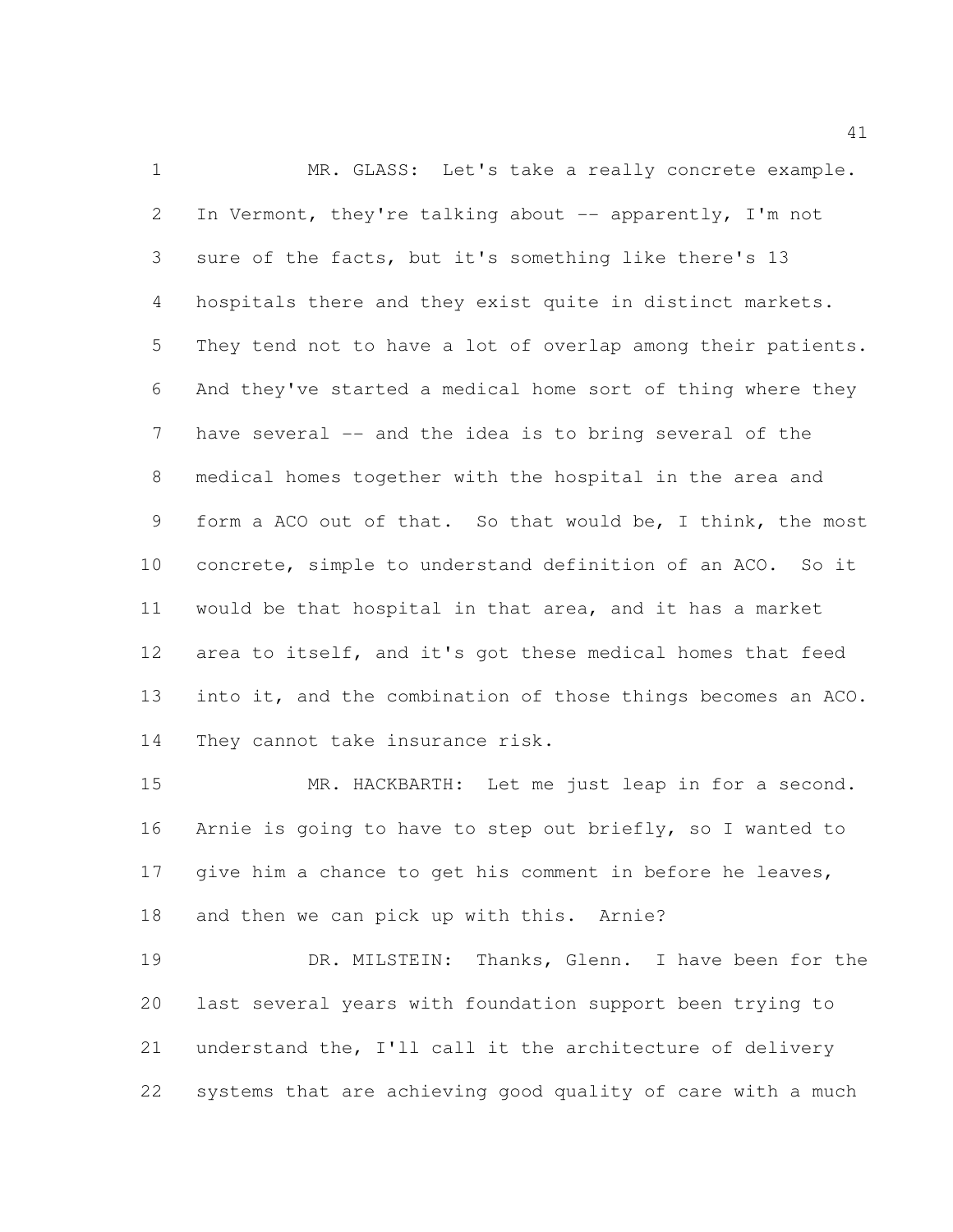MR. GLASS: Let's take a really concrete example. 2 In Vermont, they're talking about -- apparently, I'm not sure of the facts, but it's something like there's 13 hospitals there and they exist quite in distinct markets. They tend not to have a lot of overlap among their patients. And they've started a medical home sort of thing where they have several -- and the idea is to bring several of the medical homes together with the hospital in the area and form a ACO out of that. So that would be, I think, the most concrete, simple to understand definition of an ACO. So it would be that hospital in that area, and it has a market area to itself, and it's got these medical homes that feed into it, and the combination of those things becomes an ACO. They cannot take insurance risk.

 MR. HACKBARTH: Let me just leap in for a second. Arnie is going to have to step out briefly, so I wanted to 17 give him a chance to get his comment in before he leaves, and then we can pick up with this. Arnie?

 DR. MILSTEIN: Thanks, Glenn. I have been for the last several years with foundation support been trying to understand the, I'll call it the architecture of delivery systems that are achieving good quality of care with a much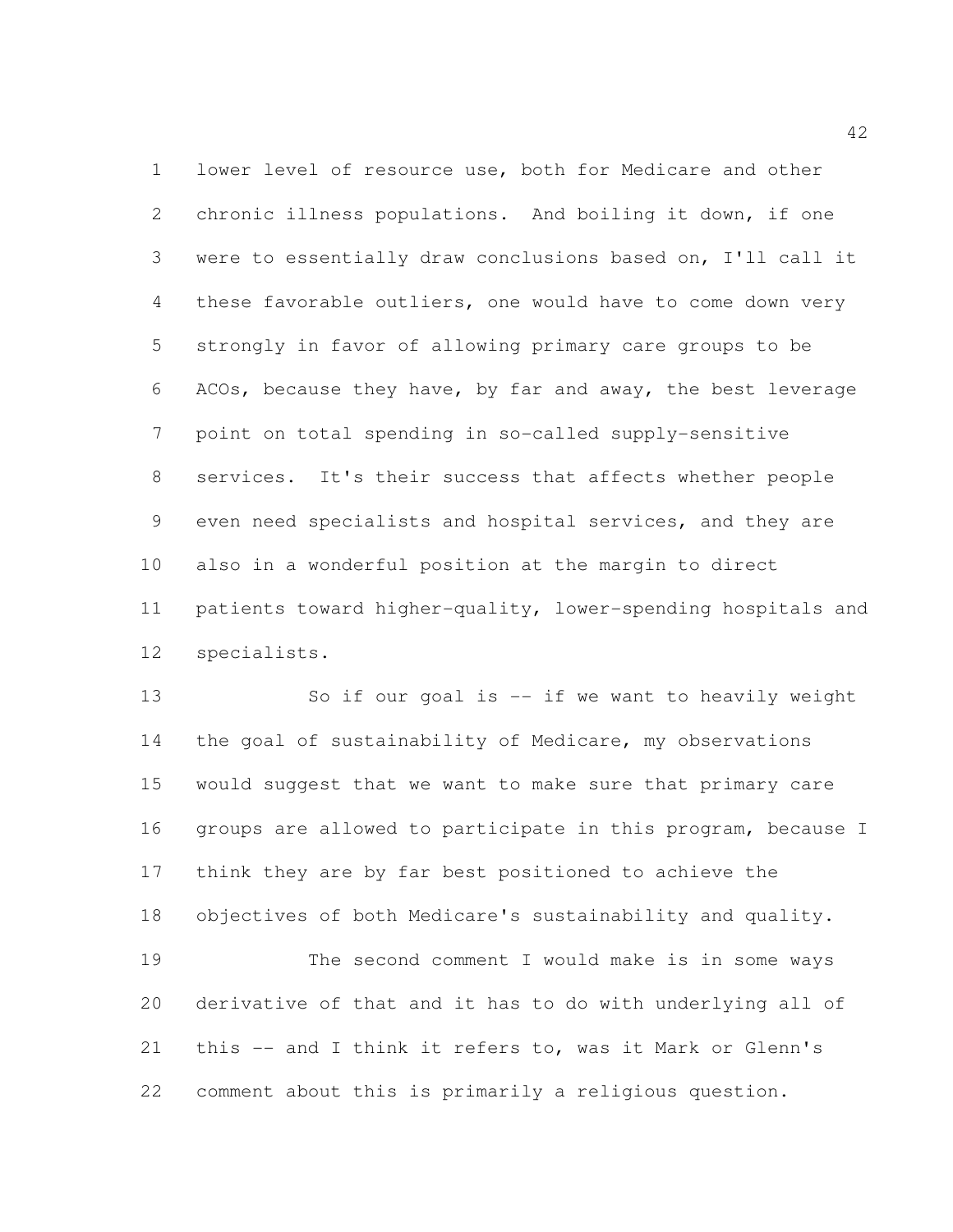lower level of resource use, both for Medicare and other chronic illness populations. And boiling it down, if one were to essentially draw conclusions based on, I'll call it these favorable outliers, one would have to come down very strongly in favor of allowing primary care groups to be ACOs, because they have, by far and away, the best leverage point on total spending in so-called supply-sensitive services. It's their success that affects whether people even need specialists and hospital services, and they are also in a wonderful position at the margin to direct patients toward higher-quality, lower-spending hospitals and specialists.

 So if our goal is -- if we want to heavily weight 14 the goal of sustainability of Medicare, my observations would suggest that we want to make sure that primary care groups are allowed to participate in this program, because I think they are by far best positioned to achieve the objectives of both Medicare's sustainability and quality. The second comment I would make is in some ways derivative of that and it has to do with underlying all of this -- and I think it refers to, was it Mark or Glenn's comment about this is primarily a religious question.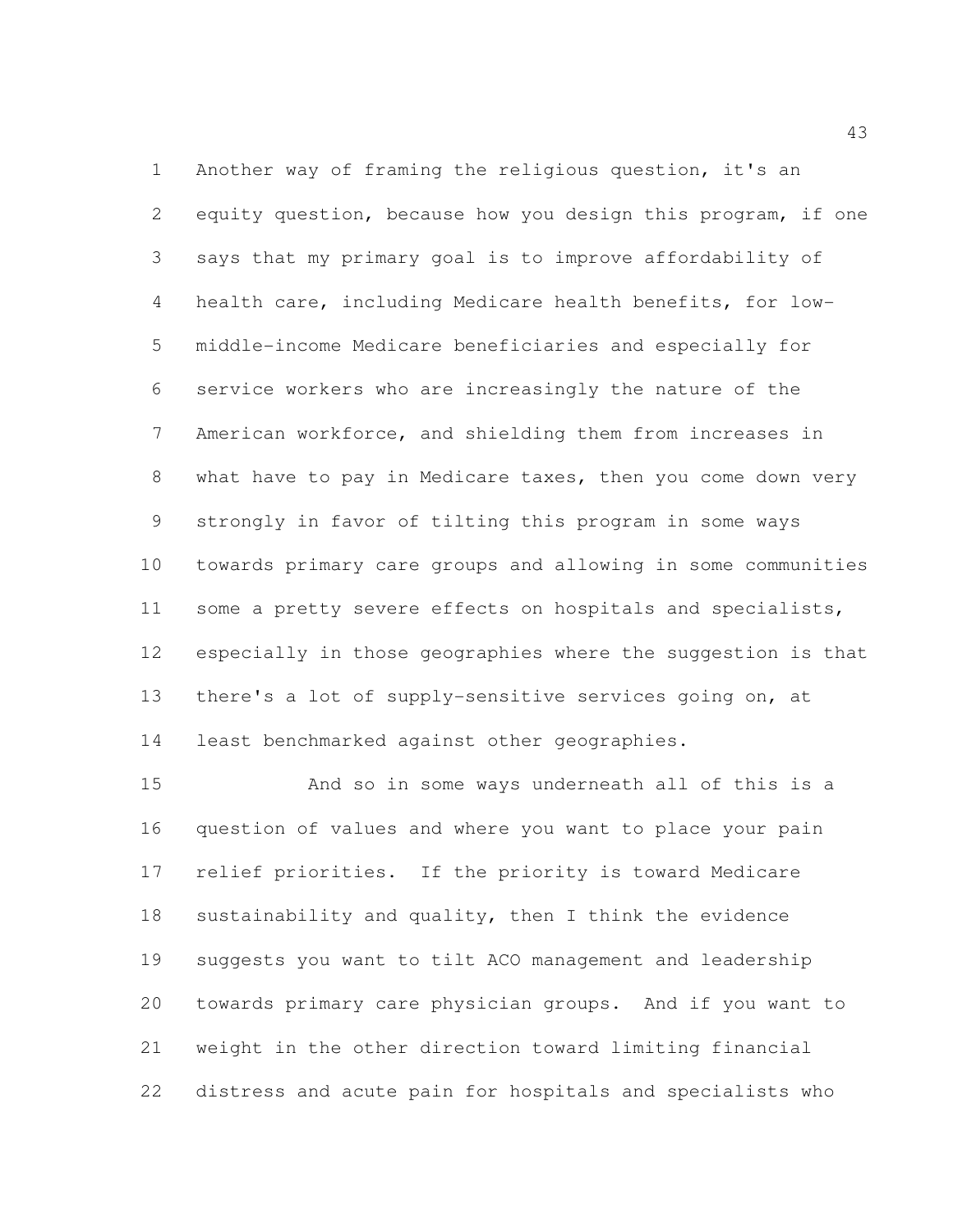Another way of framing the religious question, it's an equity question, because how you design this program, if one says that my primary goal is to improve affordability of health care, including Medicare health benefits, for low- middle-income Medicare beneficiaries and especially for service workers who are increasingly the nature of the American workforce, and shielding them from increases in what have to pay in Medicare taxes, then you come down very strongly in favor of tilting this program in some ways towards primary care groups and allowing in some communities some a pretty severe effects on hospitals and specialists, especially in those geographies where the suggestion is that there's a lot of supply-sensitive services going on, at least benchmarked against other geographies.

 And so in some ways underneath all of this is a question of values and where you want to place your pain relief priorities. If the priority is toward Medicare 18 sustainability and quality, then I think the evidence suggests you want to tilt ACO management and leadership towards primary care physician groups. And if you want to weight in the other direction toward limiting financial distress and acute pain for hospitals and specialists who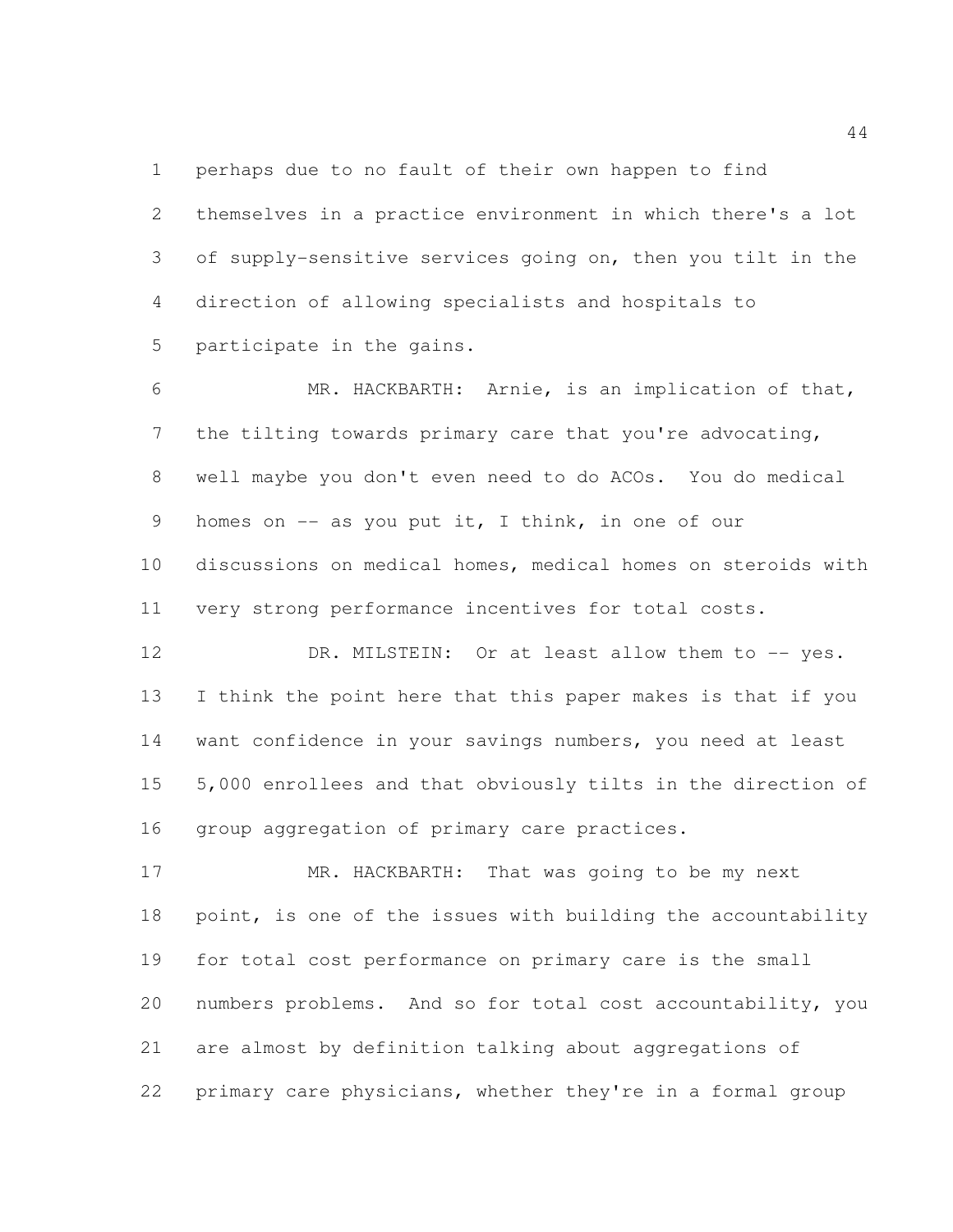perhaps due to no fault of their own happen to find

 themselves in a practice environment in which there's a lot of supply-sensitive services going on, then you tilt in the direction of allowing specialists and hospitals to participate in the gains.

 MR. HACKBARTH: Arnie, is an implication of that, the tilting towards primary care that you're advocating, well maybe you don't even need to do ACOs. You do medical homes on -- as you put it, I think, in one of our discussions on medical homes, medical homes on steroids with very strong performance incentives for total costs.

12 DR. MILSTEIN: Or at least allow them to -- yes. I think the point here that this paper makes is that if you want confidence in your savings numbers, you need at least 5,000 enrollees and that obviously tilts in the direction of group aggregation of primary care practices.

17 MR. HACKBARTH: That was going to be my next point, is one of the issues with building the accountability for total cost performance on primary care is the small numbers problems. And so for total cost accountability, you are almost by definition talking about aggregations of primary care physicians, whether they're in a formal group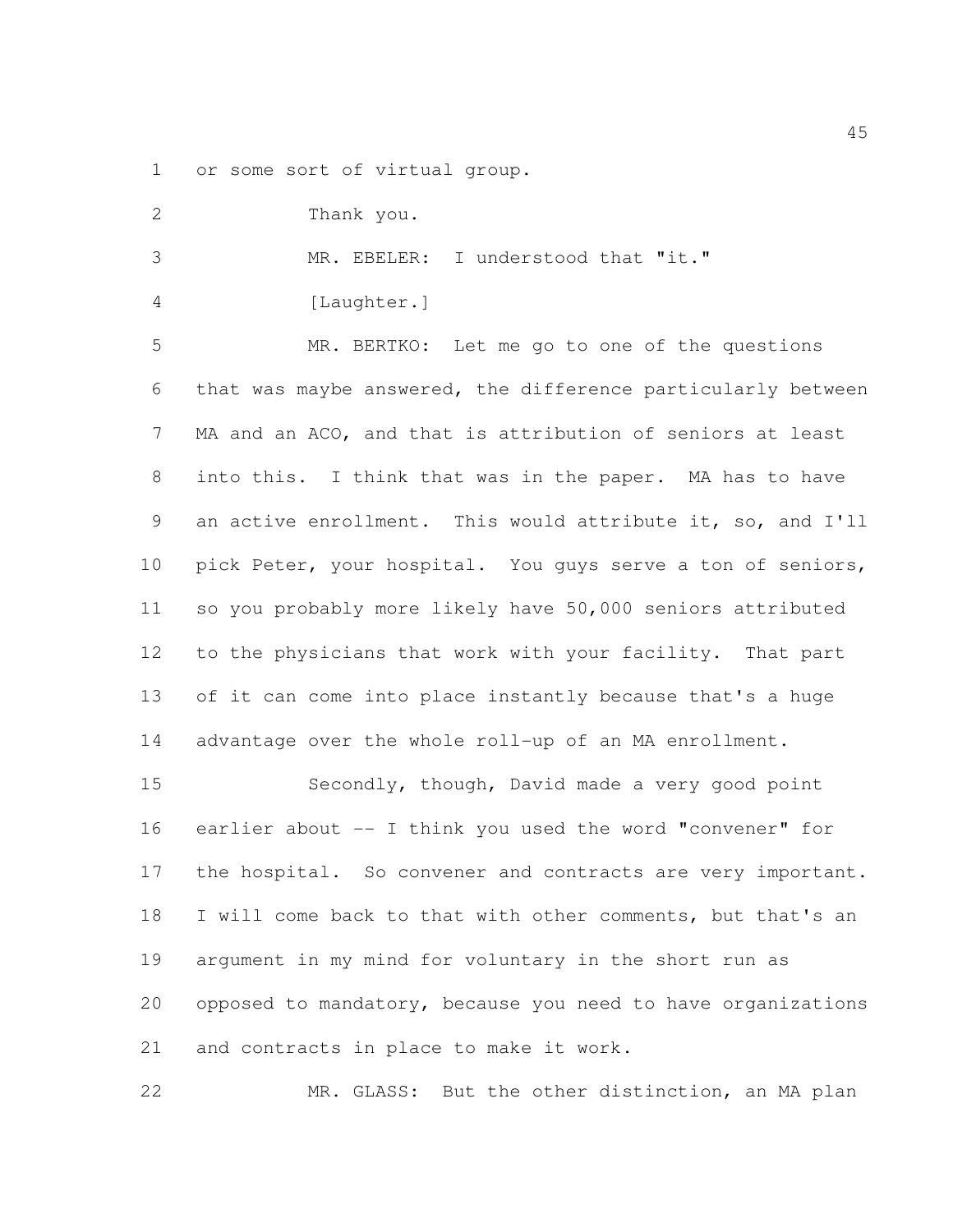or some sort of virtual group.

| $\overline{2}$ | Thank you.                                                   |
|----------------|--------------------------------------------------------------|
| 3              | MR. EBELER: I understood that "it."                          |
| 4              | [Laughter.]                                                  |
| 5              | MR. BERTKO: Let me go to one of the questions                |
| 6              | that was maybe answered, the difference particularly between |
| $\overline{7}$ | MA and an ACO, and that is attribution of seniors at least   |
| 8              | into this. I think that was in the paper. MA has to have     |
| 9              | an active enrollment. This would attribute it, so, and I'll  |
| 10             | pick Peter, your hospital. You guys serve a ton of seniors,  |
| 11             | so you probably more likely have 50,000 seniors attributed   |
| 12             | to the physicians that work with your facility. That part    |
| 13             | of it can come into place instantly because that's a huge    |
| 14             | advantage over the whole roll-up of an MA enrollment.        |
| 15             | Secondly, though, David made a very good point               |
| 16             | earlier about -- I think you used the word "convener" for    |
| 17             | the hospital. So convener and contracts are very important.  |
| 18             | I will come back to that with other comments, but that's an  |
| 19             | argument in my mind for voluntary in the short run as        |
| 20             | opposed to mandatory, because you need to have organizations |
| 21             | and contracts in place to make it work.                      |
| 22             | MR. GLASS: But the other distinction, an MA plan             |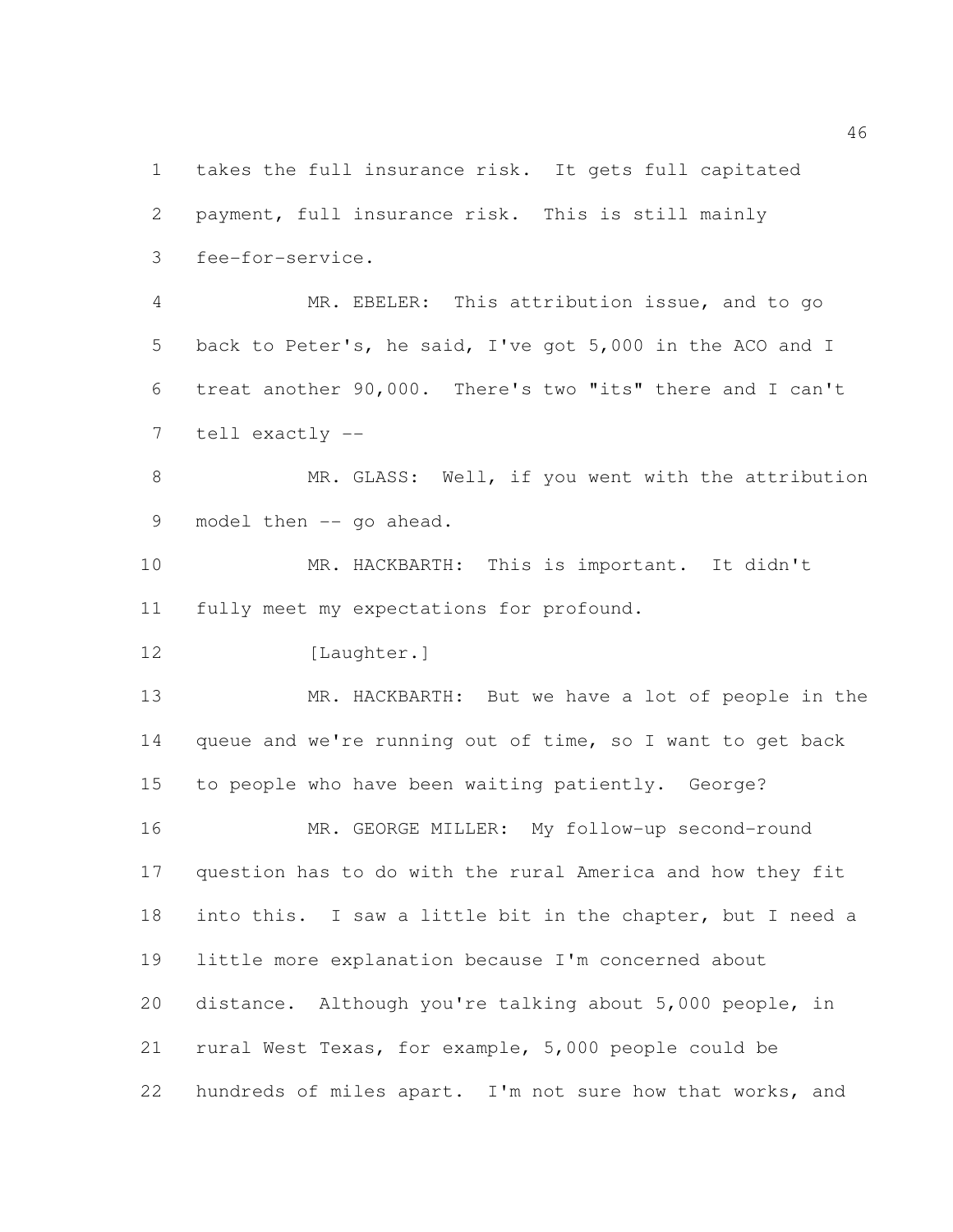takes the full insurance risk. It gets full capitated payment, full insurance risk. This is still mainly fee-for-service. MR. EBELER: This attribution issue, and to go back to Peter's, he said, I've got 5,000 in the ACO and I treat another 90,000. There's two "its" there and I can't tell exactly -- 8 MR. GLASS: Well, if you went with the attribution 9 model then -- go ahead. MR. HACKBARTH: This is important. It didn't fully meet my expectations for profound. 12 [Laughter.] MR. HACKBARTH: But we have a lot of people in the queue and we're running out of time, so I want to get back to people who have been waiting patiently. George? MR. GEORGE MILLER: My follow-up second-round question has to do with the rural America and how they fit into this. I saw a little bit in the chapter, but I need a little more explanation because I'm concerned about distance. Although you're talking about 5,000 people, in rural West Texas, for example, 5,000 people could be hundreds of miles apart. I'm not sure how that works, and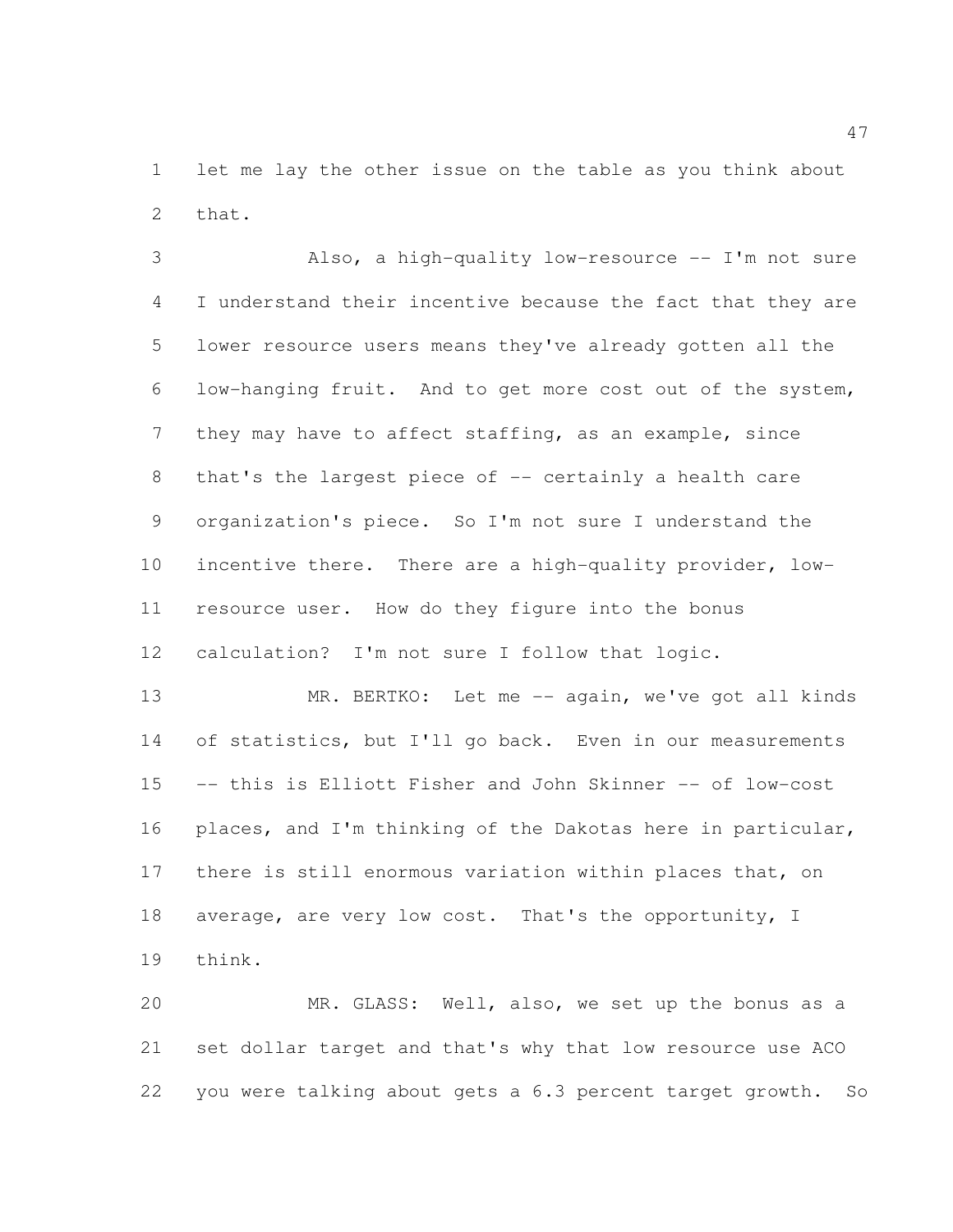let me lay the other issue on the table as you think about that.

 Also, a high-quality low-resource -- I'm not sure I understand their incentive because the fact that they are lower resource users means they've already gotten all the low-hanging fruit. And to get more cost out of the system, they may have to affect staffing, as an example, since 8 that's the largest piece of -- certainly a health care organization's piece. So I'm not sure I understand the incentive there. There are a high-quality provider, low- resource user. How do they figure into the bonus calculation? I'm not sure I follow that logic.

13 MR. BERTKO: Let me -- again, we've got all kinds of statistics, but I'll go back. Even in our measurements -- this is Elliott Fisher and John Skinner -- of low-cost places, and I'm thinking of the Dakotas here in particular, there is still enormous variation within places that, on 18 average, are very low cost. That's the opportunity, I think.

 MR. GLASS: Well, also, we set up the bonus as a set dollar target and that's why that low resource use ACO you were talking about gets a 6.3 percent target growth. So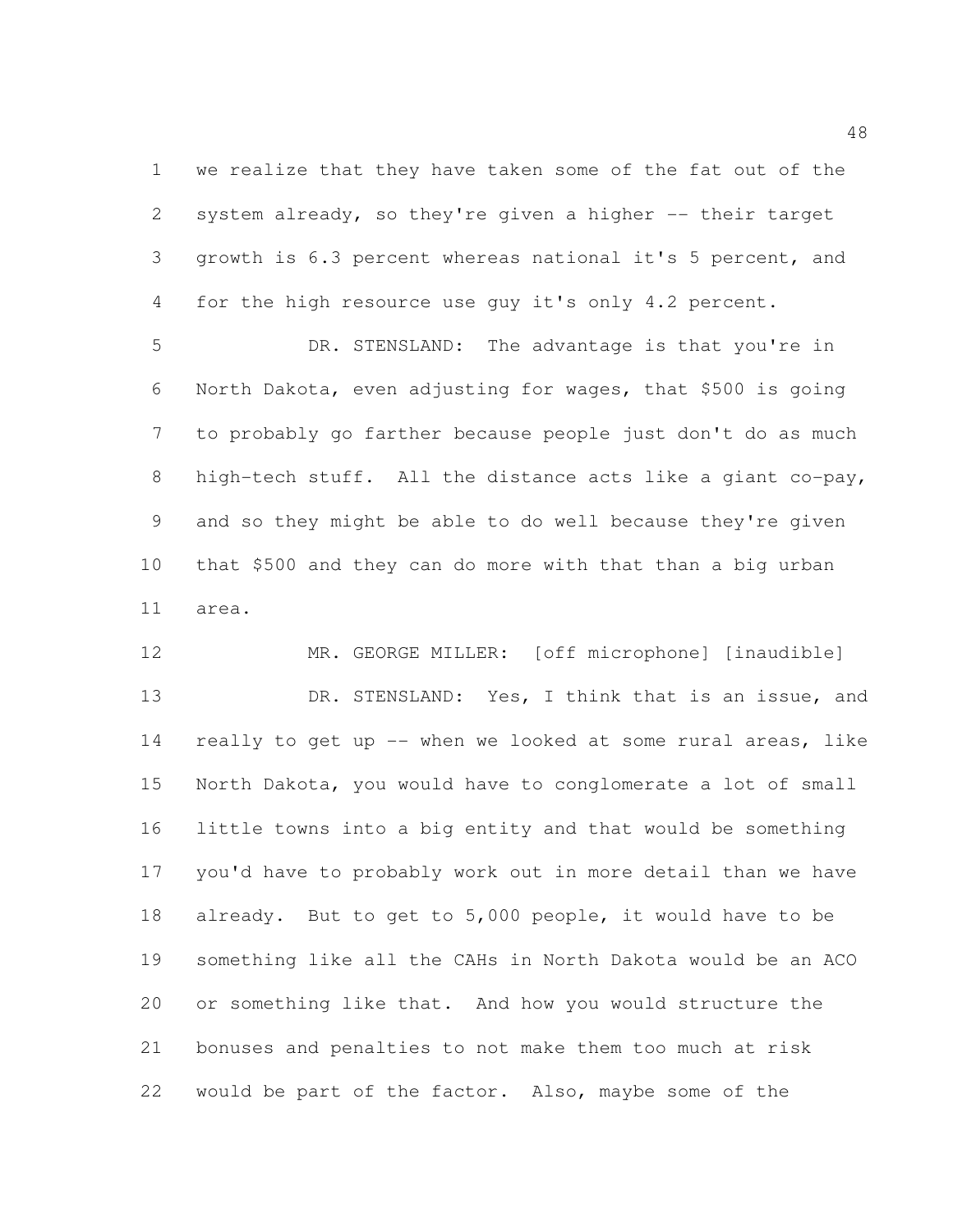we realize that they have taken some of the fat out of the system already, so they're given a higher -- their target growth is 6.3 percent whereas national it's 5 percent, and for the high resource use guy it's only 4.2 percent.

 DR. STENSLAND: The advantage is that you're in North Dakota, even adjusting for wages, that \$500 is going to probably go farther because people just don't do as much high-tech stuff. All the distance acts like a giant co-pay, and so they might be able to do well because they're given that \$500 and they can do more with that than a big urban area.

 MR. GEORGE MILLER: [off microphone] [inaudible] DR. STENSLAND: Yes, I think that is an issue, and really to get up -- when we looked at some rural areas, like North Dakota, you would have to conglomerate a lot of small little towns into a big entity and that would be something you'd have to probably work out in more detail than we have already. But to get to 5,000 people, it would have to be something like all the CAHs in North Dakota would be an ACO or something like that. And how you would structure the bonuses and penalties to not make them too much at risk would be part of the factor. Also, maybe some of the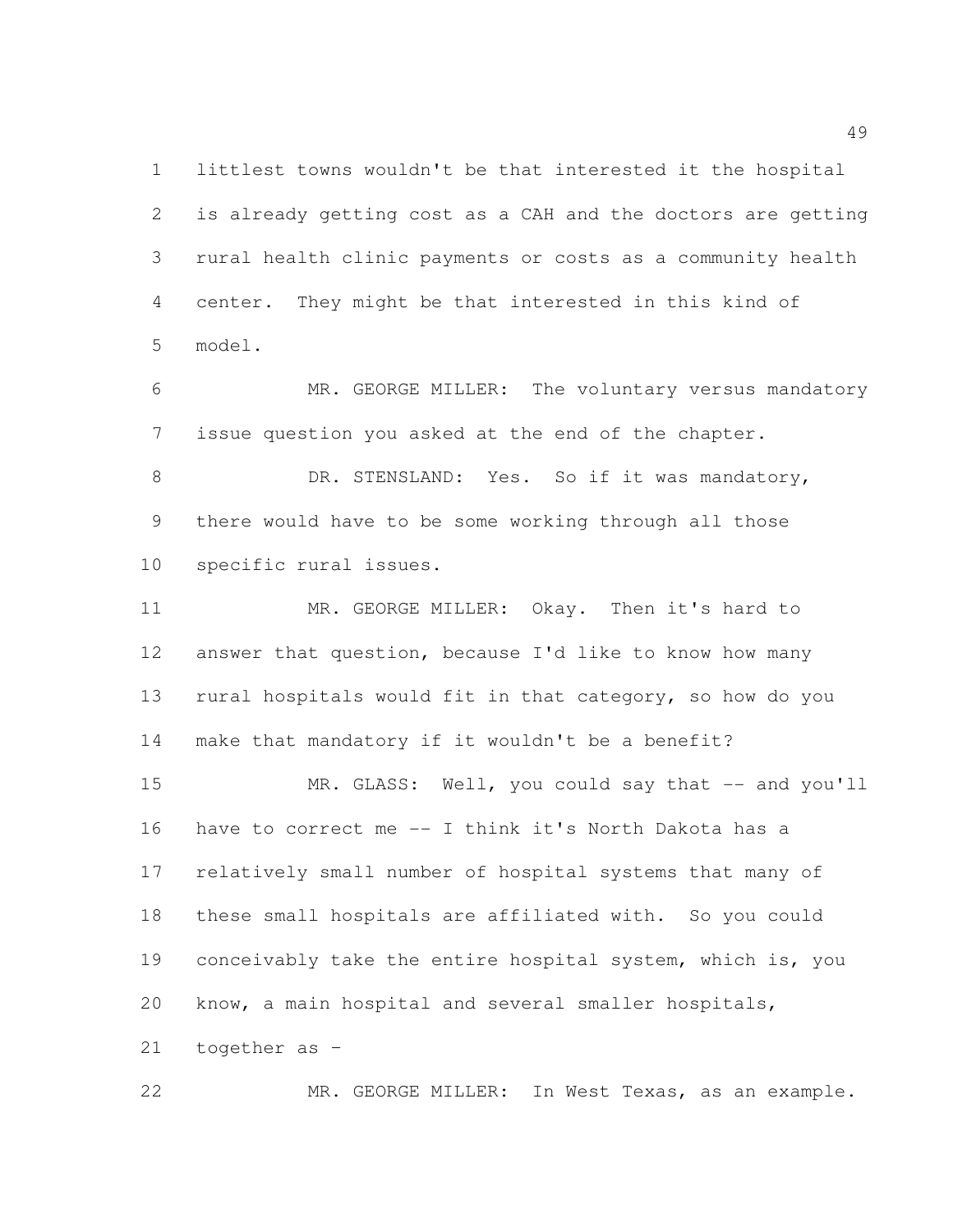littlest towns wouldn't be that interested it the hospital is already getting cost as a CAH and the doctors are getting rural health clinic payments or costs as a community health center. They might be that interested in this kind of model.

 MR. GEORGE MILLER: The voluntary versus mandatory issue question you asked at the end of the chapter.

8 DR. STENSLAND: Yes. So if it was mandatory, there would have to be some working through all those specific rural issues.

 MR. GEORGE MILLER: Okay. Then it's hard to answer that question, because I'd like to know how many rural hospitals would fit in that category, so how do you make that mandatory if it wouldn't be a benefit? 15 MR. GLASS: Well, you could say that -- and you'll have to correct me -- I think it's North Dakota has a relatively small number of hospital systems that many of these small hospitals are affiliated with. So you could 19 conceivably take the entire hospital system, which is, you know, a main hospital and several smaller hospitals, together as –

MR. GEORGE MILLER: In West Texas, as an example.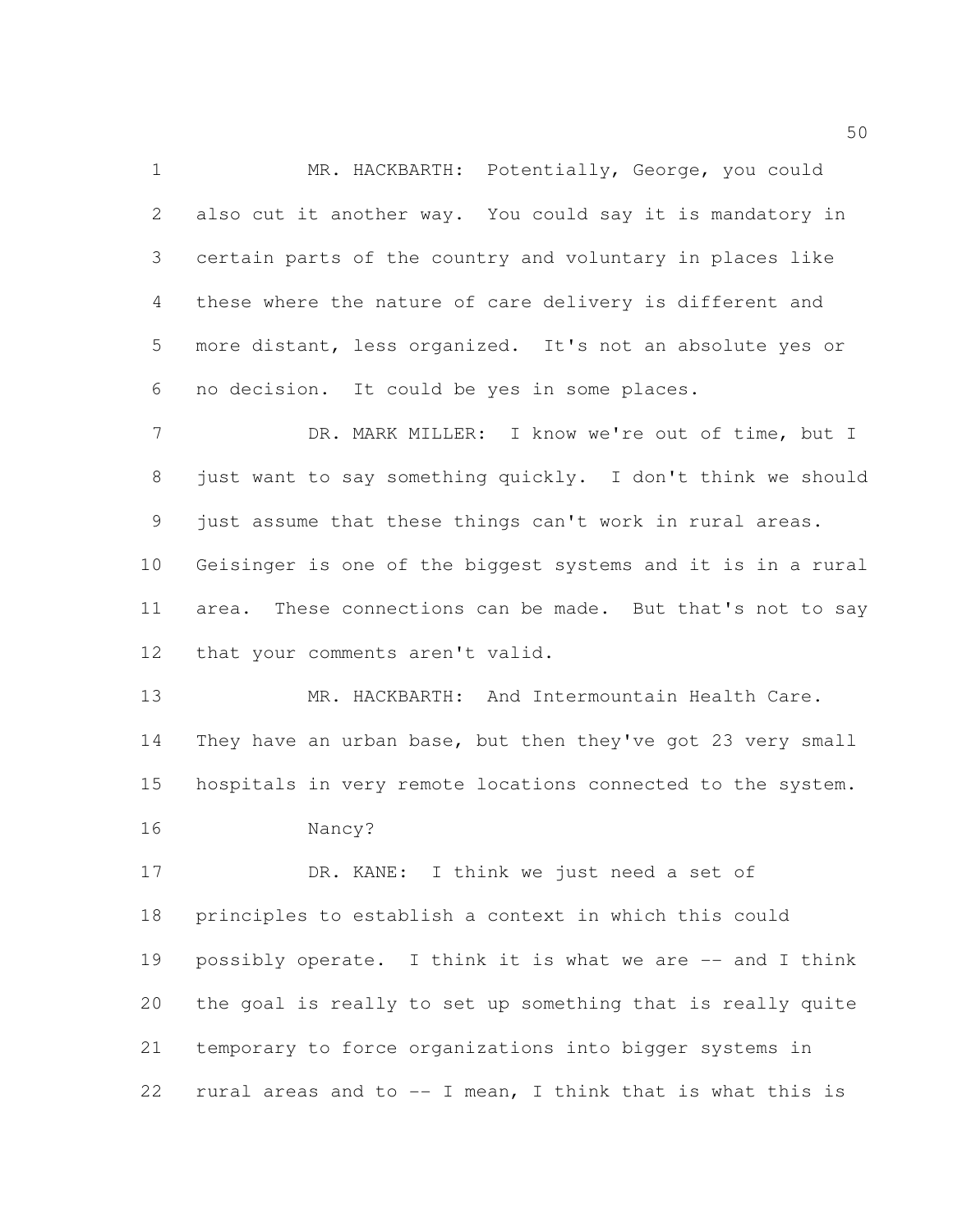MR. HACKBARTH: Potentially, George, you could also cut it another way. You could say it is mandatory in certain parts of the country and voluntary in places like these where the nature of care delivery is different and more distant, less organized. It's not an absolute yes or no decision. It could be yes in some places.

 DR. MARK MILLER: I know we're out of time, but I just want to say something quickly. I don't think we should just assume that these things can't work in rural areas. Geisinger is one of the biggest systems and it is in a rural area. These connections can be made. But that's not to say that your comments aren't valid.

 MR. HACKBARTH: And Intermountain Health Care. They have an urban base, but then they've got 23 very small hospitals in very remote locations connected to the system.

Nancy?

17 DR. KANE: I think we just need a set of principles to establish a context in which this could possibly operate. I think it is what we are -- and I think the goal is really to set up something that is really quite temporary to force organizations into bigger systems in 22 rural areas and to  $-$  I mean, I think that is what this is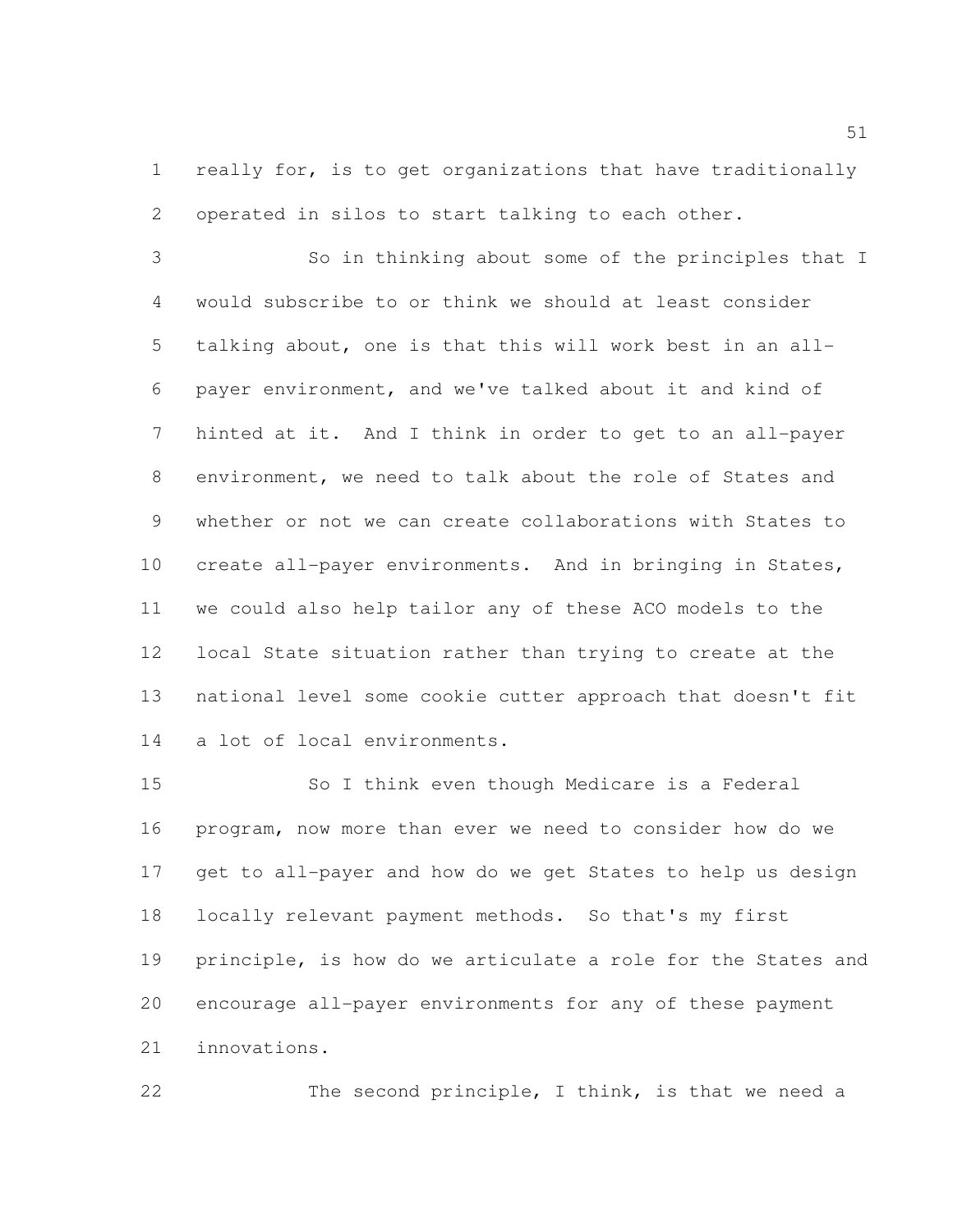really for, is to get organizations that have traditionally operated in silos to start talking to each other.

 So in thinking about some of the principles that I would subscribe to or think we should at least consider talking about, one is that this will work best in an all- payer environment, and we've talked about it and kind of hinted at it. And I think in order to get to an all-payer environment, we need to talk about the role of States and whether or not we can create collaborations with States to create all-payer environments. And in bringing in States, we could also help tailor any of these ACO models to the local State situation rather than trying to create at the national level some cookie cutter approach that doesn't fit a lot of local environments.

 So I think even though Medicare is a Federal program, now more than ever we need to consider how do we get to all-payer and how do we get States to help us design locally relevant payment methods. So that's my first principle, is how do we articulate a role for the States and encourage all-payer environments for any of these payment innovations.

The second principle, I think, is that we need a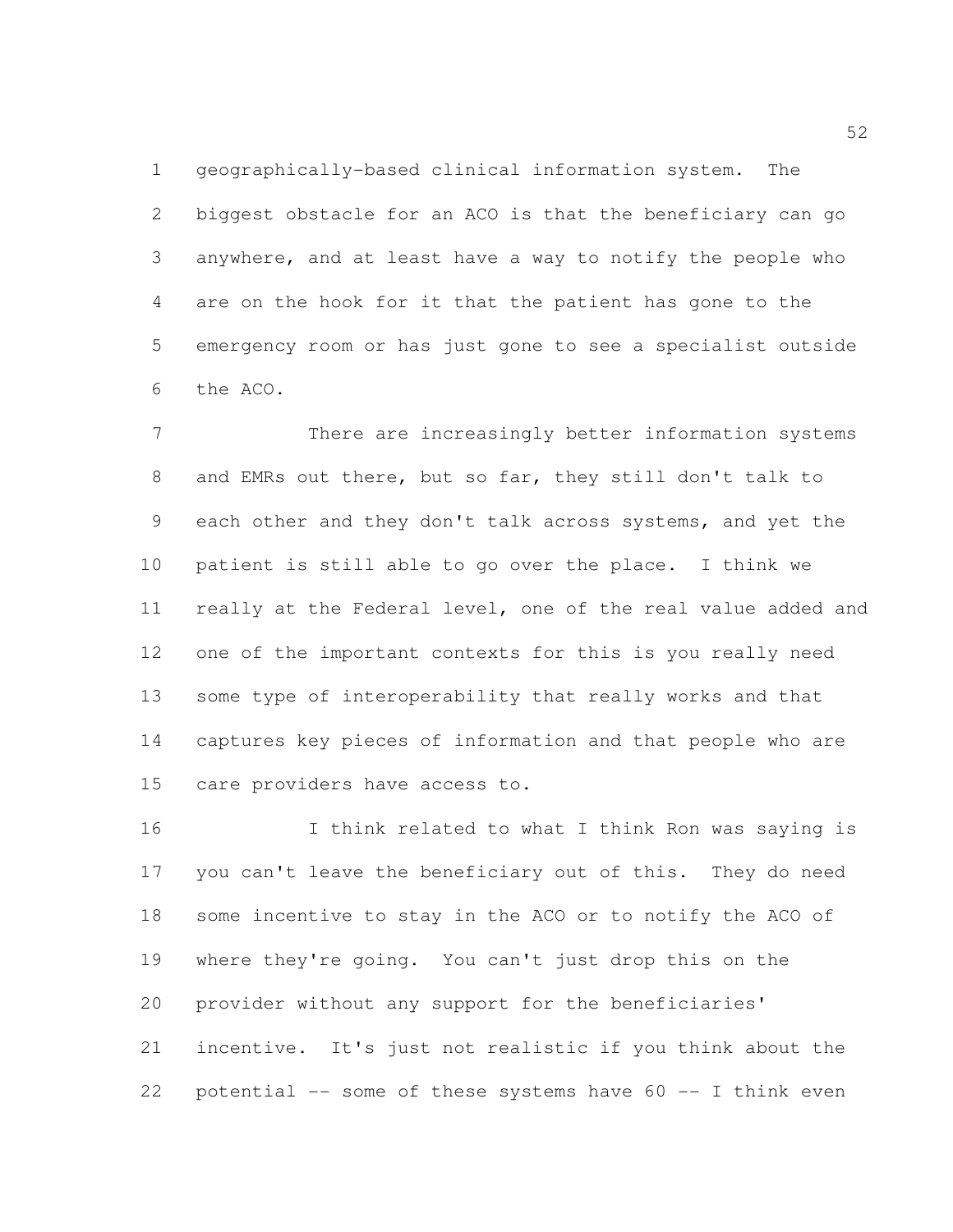geographically-based clinical information system. The biggest obstacle for an ACO is that the beneficiary can go anywhere, and at least have a way to notify the people who are on the hook for it that the patient has gone to the emergency room or has just gone to see a specialist outside the ACO.

 There are increasingly better information systems and EMRs out there, but so far, they still don't talk to each other and they don't talk across systems, and yet the patient is still able to go over the place. I think we really at the Federal level, one of the real value added and one of the important contexts for this is you really need some type of interoperability that really works and that captures key pieces of information and that people who are care providers have access to.

16 16 I think related to what I think Ron was saying is you can't leave the beneficiary out of this. They do need some incentive to stay in the ACO or to notify the ACO of where they're going. You can't just drop this on the provider without any support for the beneficiaries' incentive. It's just not realistic if you think about the 22 potential  $-$  some of these systems have  $60 -$  I think even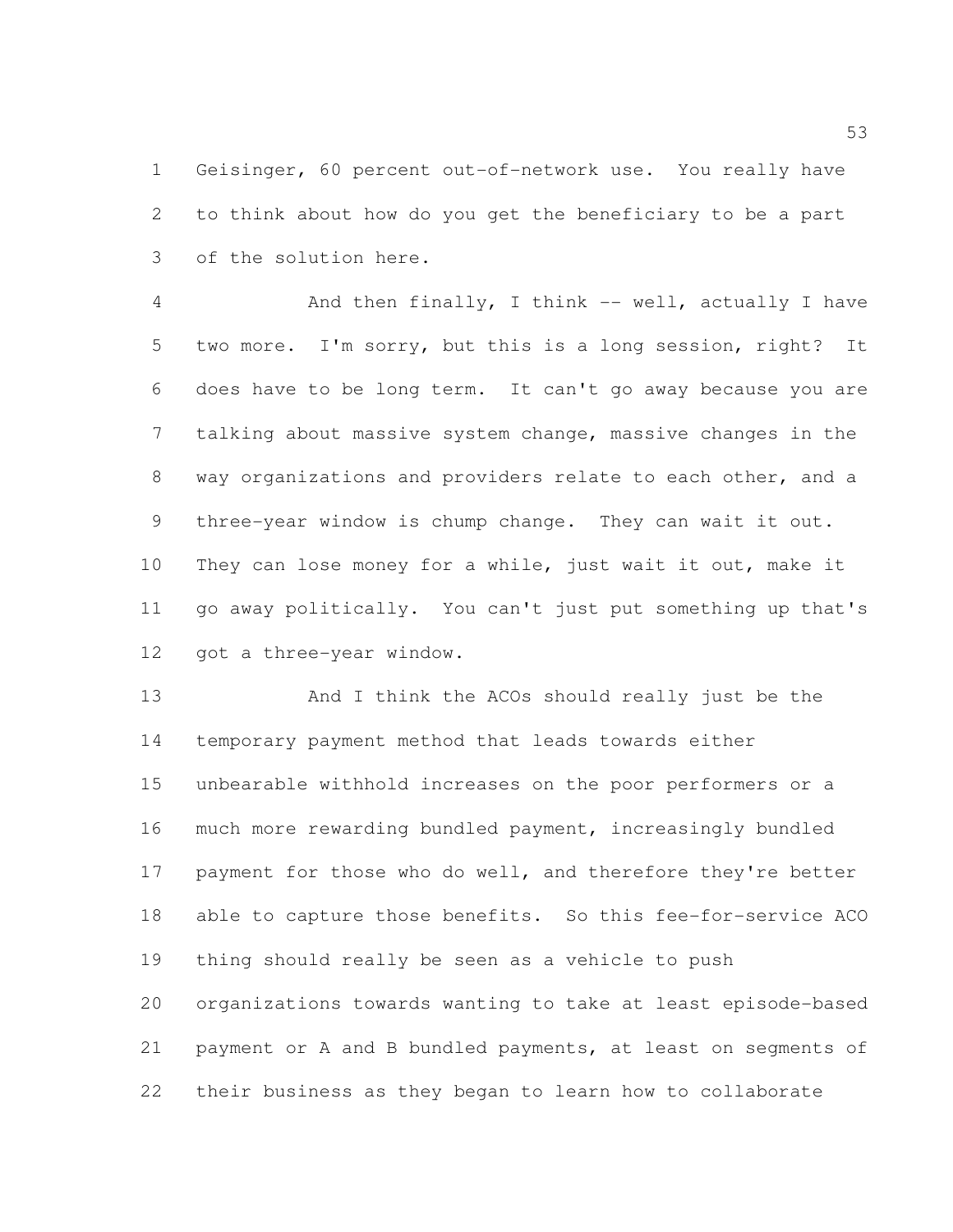Geisinger, 60 percent out-of-network use. You really have to think about how do you get the beneficiary to be a part of the solution here.

4 And then finally, I think -- well, actually I have two more. I'm sorry, but this is a long session, right? It does have to be long term. It can't go away because you are talking about massive system change, massive changes in the way organizations and providers relate to each other, and a three-year window is chump change. They can wait it out. They can lose money for a while, just wait it out, make it go away politically. You can't just put something up that's got a three-year window.

 And I think the ACOs should really just be the temporary payment method that leads towards either unbearable withhold increases on the poor performers or a much more rewarding bundled payment, increasingly bundled 17 payment for those who do well, and therefore they're better able to capture those benefits. So this fee-for-service ACO thing should really be seen as a vehicle to push organizations towards wanting to take at least episode-based payment or A and B bundled payments, at least on segments of their business as they began to learn how to collaborate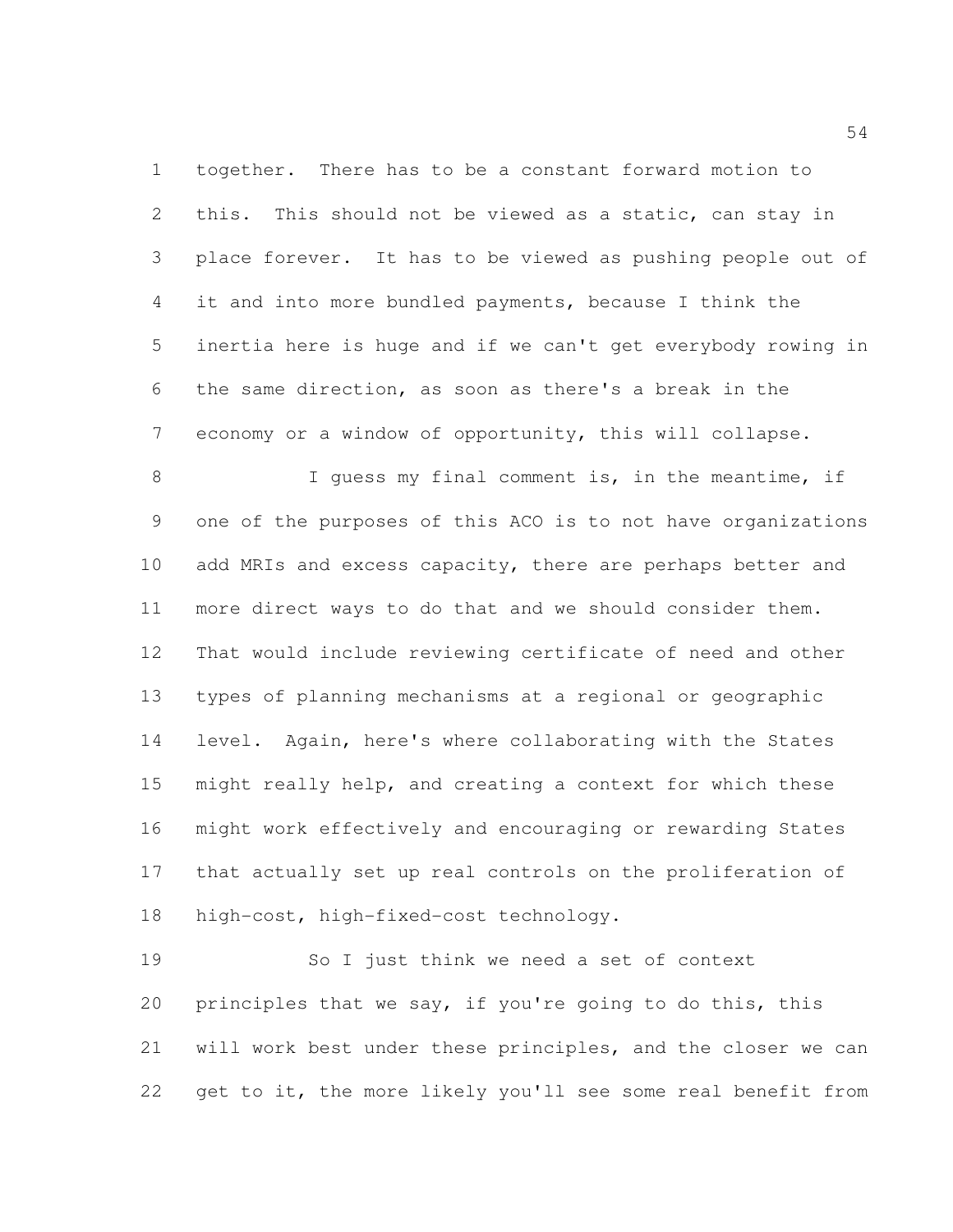together. There has to be a constant forward motion to this. This should not be viewed as a static, can stay in place forever. It has to be viewed as pushing people out of it and into more bundled payments, because I think the inertia here is huge and if we can't get everybody rowing in the same direction, as soon as there's a break in the economy or a window of opportunity, this will collapse.

 I guess my final comment is, in the meantime, if one of the purposes of this ACO is to not have organizations 10 add MRIs and excess capacity, there are perhaps better and more direct ways to do that and we should consider them. That would include reviewing certificate of need and other types of planning mechanisms at a regional or geographic level. Again, here's where collaborating with the States might really help, and creating a context for which these might work effectively and encouraging or rewarding States that actually set up real controls on the proliferation of high-cost, high-fixed-cost technology.

 So I just think we need a set of context principles that we say, if you're going to do this, this will work best under these principles, and the closer we can get to it, the more likely you'll see some real benefit from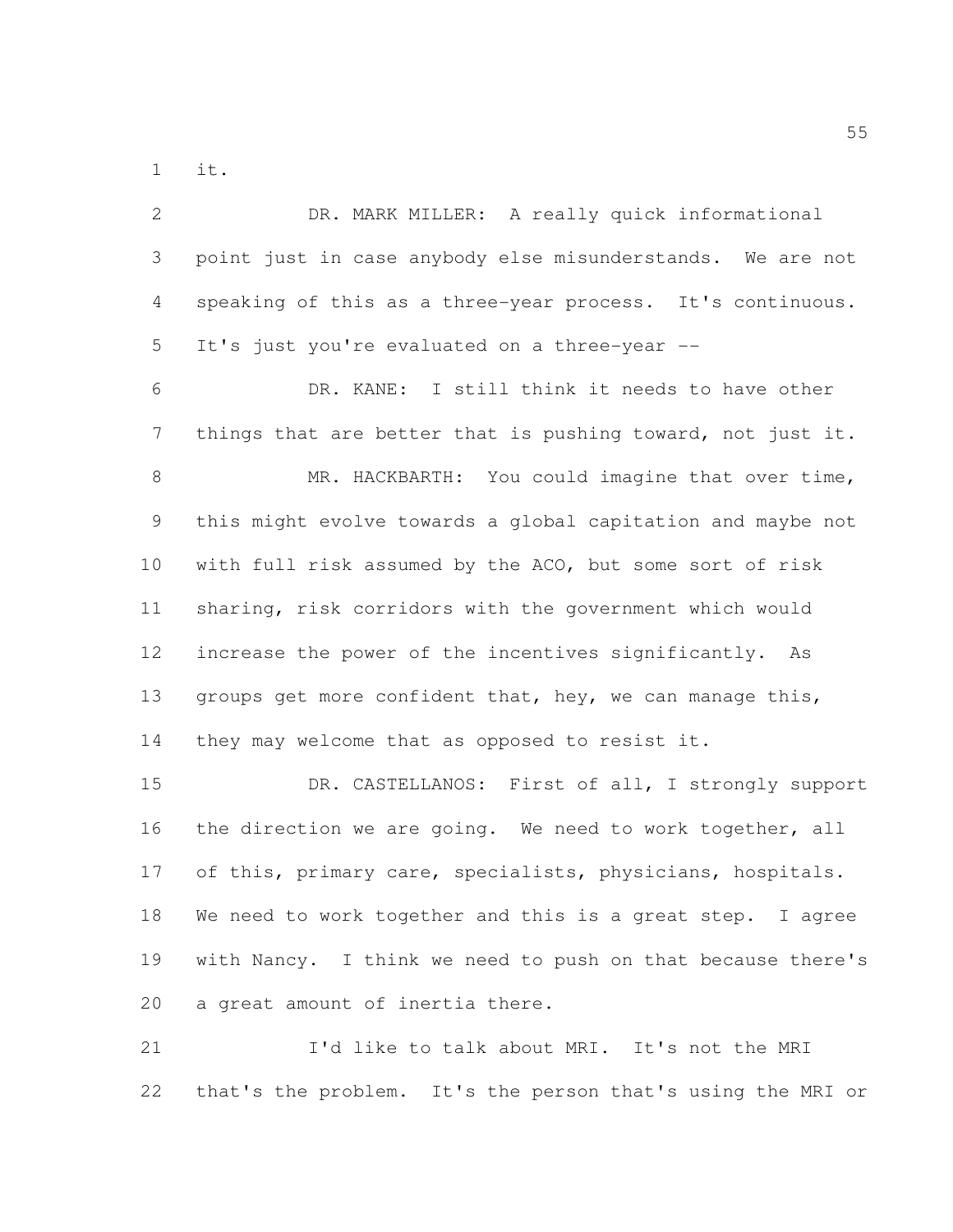it.

| $\mathbf{2}$   | DR. MARK MILLER: A really quick informational               |
|----------------|-------------------------------------------------------------|
| $\mathcal{S}$  | point just in case anybody else misunderstands. We are not  |
| 4              | speaking of this as a three-year process. It's continuous.  |
| 5              | It's just you're evaluated on a three-year --               |
| 6              | DR. KANE: I still think it needs to have other              |
| $\overline{7}$ | things that are better that is pushing toward, not just it. |
| $\,8\,$        | MR. HACKBARTH: You could imagine that over time,            |
| 9              | this might evolve towards a global capitation and maybe not |
| 10             | with full risk assumed by the ACO, but some sort of risk    |
| 11             | sharing, risk corridors with the government which would     |
| 12             | increase the power of the incentives significantly. As      |
| 13             | groups get more confident that, hey, we can manage this,    |
| 14             | they may welcome that as opposed to resist it.              |
| 15             | DR. CASTELLANOS: First of all, I strongly support           |
| 16             | the direction we are going. We need to work together, all   |
| 17             | of this, primary care, specialists, physicians, hospitals.  |
| 18             | We need to work together and this is a great step. I agree  |
| 19             | with Nancy. I think we need to push on that because there's |
| 20             | a great amount of inertia there.                            |
| 21             | I'd like to talk about MRI. It's not the MRI                |
| 22             | that's the problem. It's the person that's using the MRI or |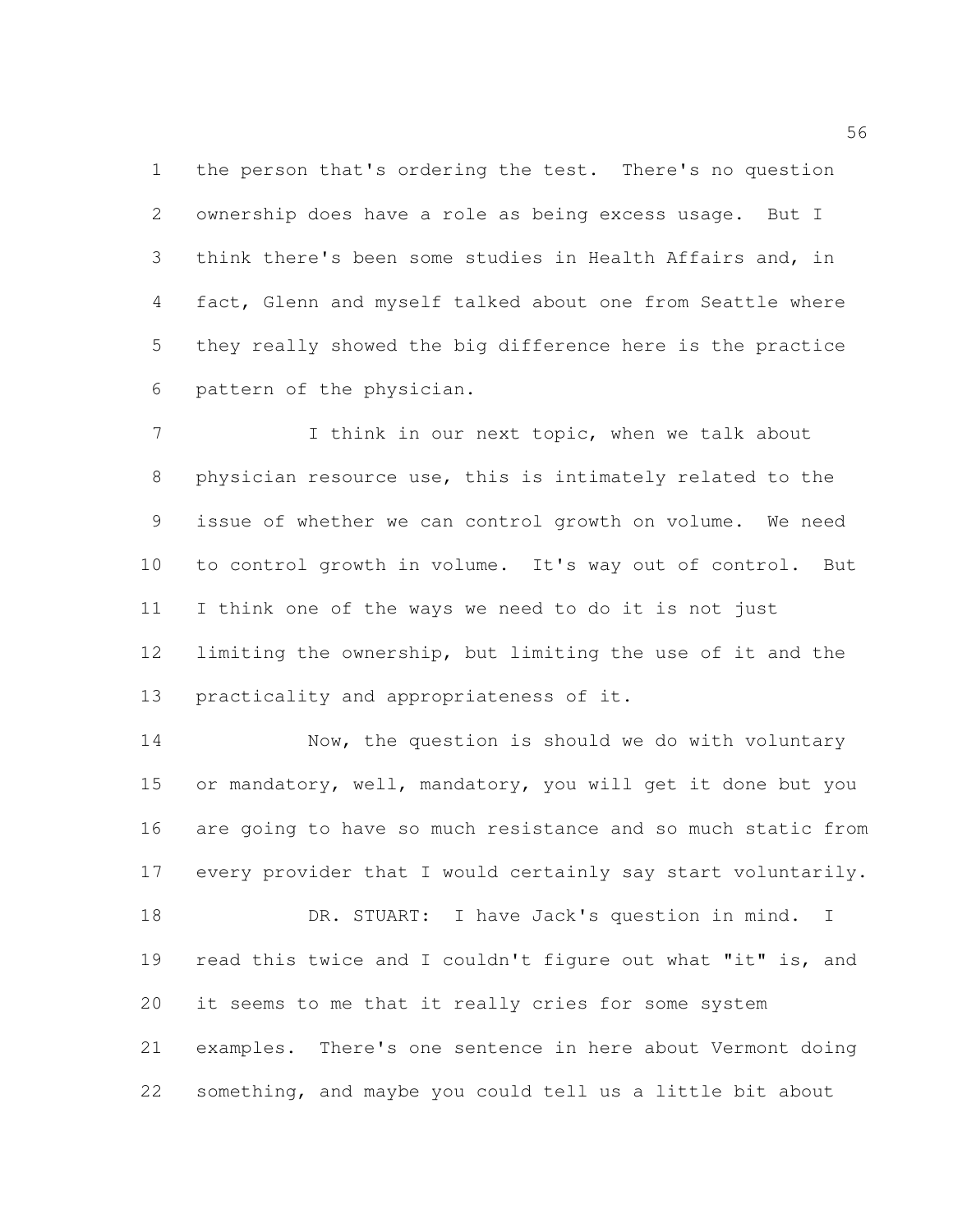the person that's ordering the test. There's no question ownership does have a role as being excess usage. But I think there's been some studies in Health Affairs and, in fact, Glenn and myself talked about one from Seattle where they really showed the big difference here is the practice pattern of the physician.

7 I think in our next topic, when we talk about physician resource use, this is intimately related to the issue of whether we can control growth on volume. We need to control growth in volume. It's way out of control. But I think one of the ways we need to do it is not just limiting the ownership, but limiting the use of it and the practicality and appropriateness of it.

14 Now, the question is should we do with voluntary or mandatory, well, mandatory, you will get it done but you are going to have so much resistance and so much static from every provider that I would certainly say start voluntarily.

18 DR. STUART: I have Jack's question in mind. I read this twice and I couldn't figure out what "it" is, and it seems to me that it really cries for some system examples. There's one sentence in here about Vermont doing something, and maybe you could tell us a little bit about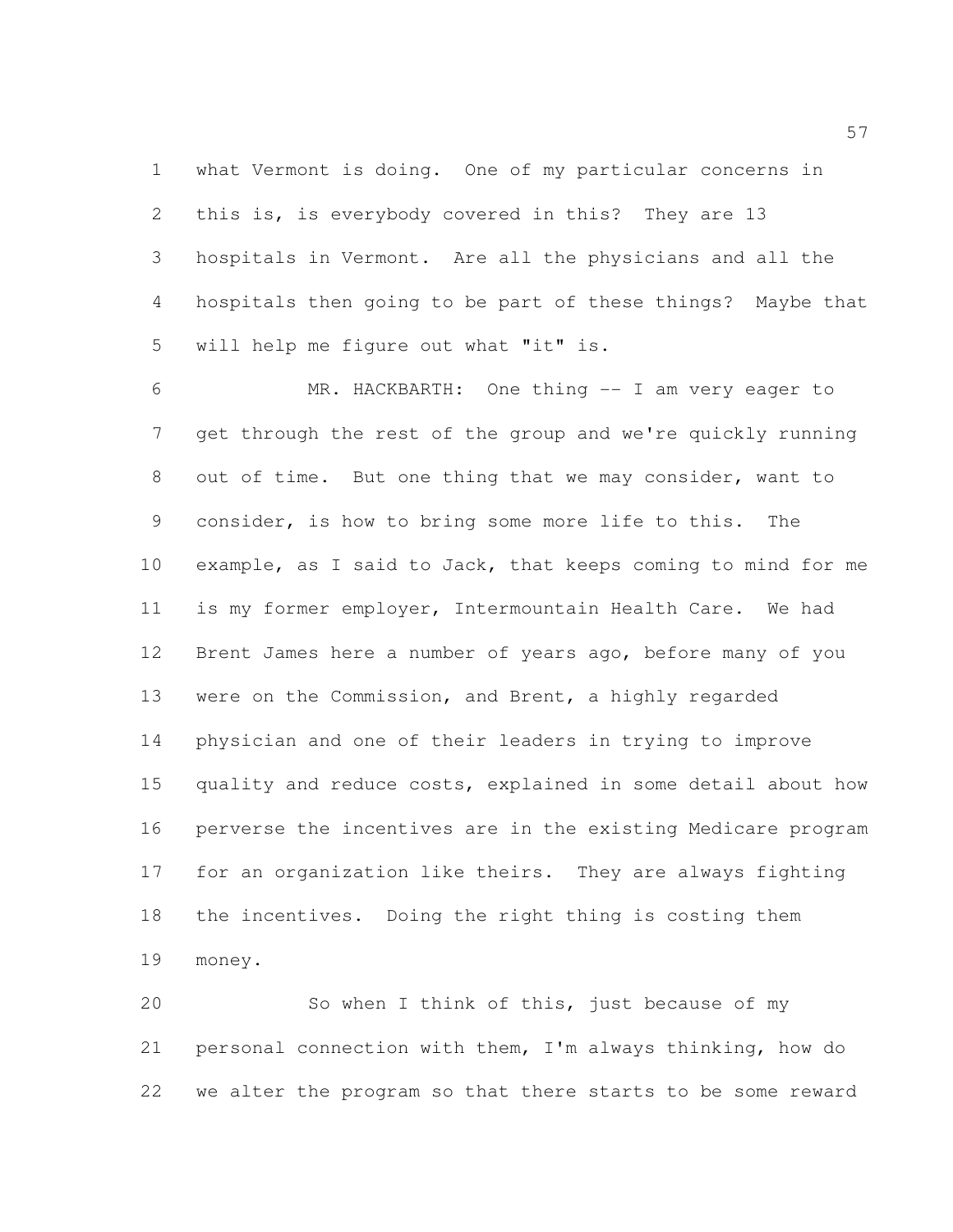what Vermont is doing. One of my particular concerns in this is, is everybody covered in this? They are 13 hospitals in Vermont. Are all the physicians and all the hospitals then going to be part of these things? Maybe that will help me figure out what "it" is.

 MR. HACKBARTH: One thing -- I am very eager to get through the rest of the group and we're quickly running out of time. But one thing that we may consider, want to consider, is how to bring some more life to this. The example, as I said to Jack, that keeps coming to mind for me is my former employer, Intermountain Health Care. We had Brent James here a number of years ago, before many of you were on the Commission, and Brent, a highly regarded physician and one of their leaders in trying to improve quality and reduce costs, explained in some detail about how perverse the incentives are in the existing Medicare program for an organization like theirs. They are always fighting the incentives. Doing the right thing is costing them money.

 So when I think of this, just because of my personal connection with them, I'm always thinking, how do we alter the program so that there starts to be some reward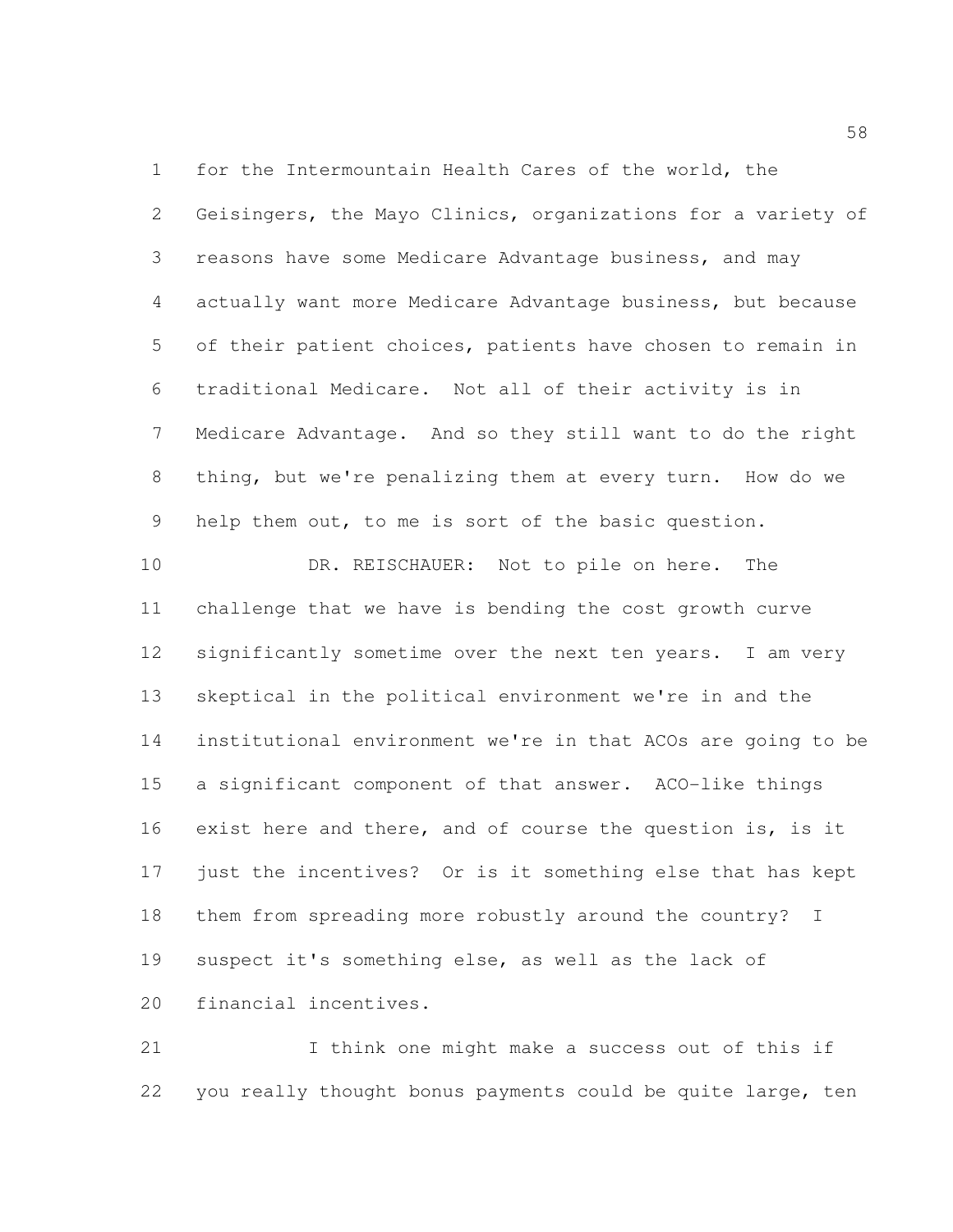for the Intermountain Health Cares of the world, the Geisingers, the Mayo Clinics, organizations for a variety of reasons have some Medicare Advantage business, and may actually want more Medicare Advantage business, but because of their patient choices, patients have chosen to remain in traditional Medicare. Not all of their activity is in Medicare Advantage. And so they still want to do the right thing, but we're penalizing them at every turn. How do we help them out, to me is sort of the basic question.

10 DR. REISCHAUER: Not to pile on here. The challenge that we have is bending the cost growth curve significantly sometime over the next ten years. I am very skeptical in the political environment we're in and the institutional environment we're in that ACOs are going to be a significant component of that answer. ACO-like things exist here and there, and of course the question is, is it just the incentives? Or is it something else that has kept them from spreading more robustly around the country? I suspect it's something else, as well as the lack of financial incentives.

 I think one might make a success out of this if you really thought bonus payments could be quite large, ten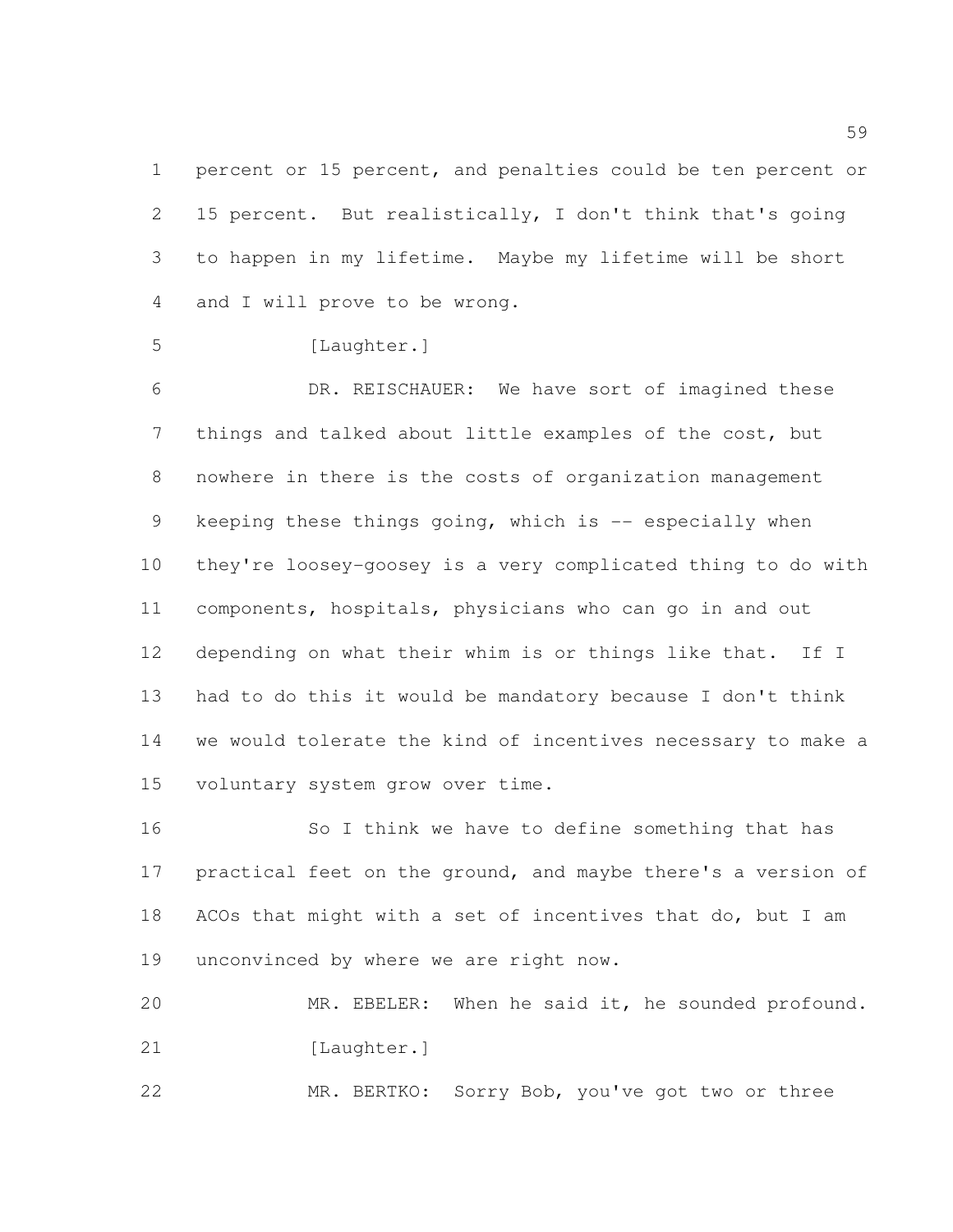percent or 15 percent, and penalties could be ten percent or 15 percent. But realistically, I don't think that's going to happen in my lifetime. Maybe my lifetime will be short and I will prove to be wrong.

```
5 [Laughter.]
```
 DR. REISCHAUER: We have sort of imagined these things and talked about little examples of the cost, but nowhere in there is the costs of organization management keeping these things going, which is -- especially when they're loosey-goosey is a very complicated thing to do with components, hospitals, physicians who can go in and out depending on what their whim is or things like that. If I had to do this it would be mandatory because I don't think we would tolerate the kind of incentives necessary to make a voluntary system grow over time.

 So I think we have to define something that has 17 practical feet on the ground, and maybe there's a version of 18 ACOs that might with a set of incentives that do, but I am unconvinced by where we are right now.

 MR. EBELER: When he said it, he sounded profound. 21 [Laughter.]

MR. BERTKO: Sorry Bob, you've got two or three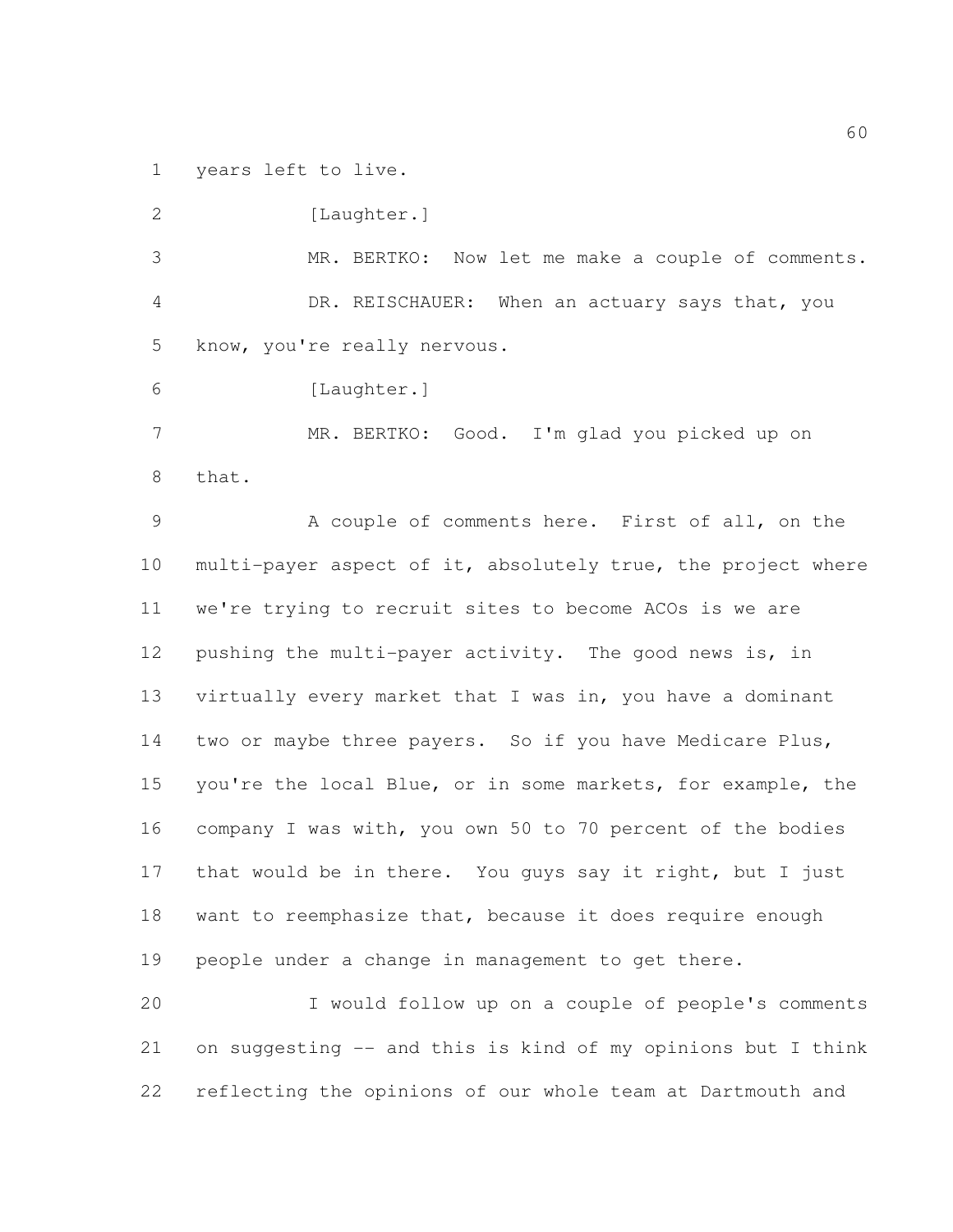years left to live.

2 [Laughter.] MR. BERTKO: Now let me make a couple of comments. DR. REISCHAUER: When an actuary says that, you know, you're really nervous. [Laughter.] MR. BERTKO: Good. I'm glad you picked up on that. A couple of comments here. First of all, on the multi-payer aspect of it, absolutely true, the project where we're trying to recruit sites to become ACOs is we are pushing the multi-payer activity. The good news is, in virtually every market that I was in, you have a dominant two or maybe three payers. So if you have Medicare Plus, you're the local Blue, or in some markets, for example, the company I was with, you own 50 to 70 percent of the bodies that would be in there. You guys say it right, but I just want to reemphasize that, because it does require enough

 I would follow up on a couple of people's comments on suggesting -- and this is kind of my opinions but I think reflecting the opinions of our whole team at Dartmouth and

people under a change in management to get there.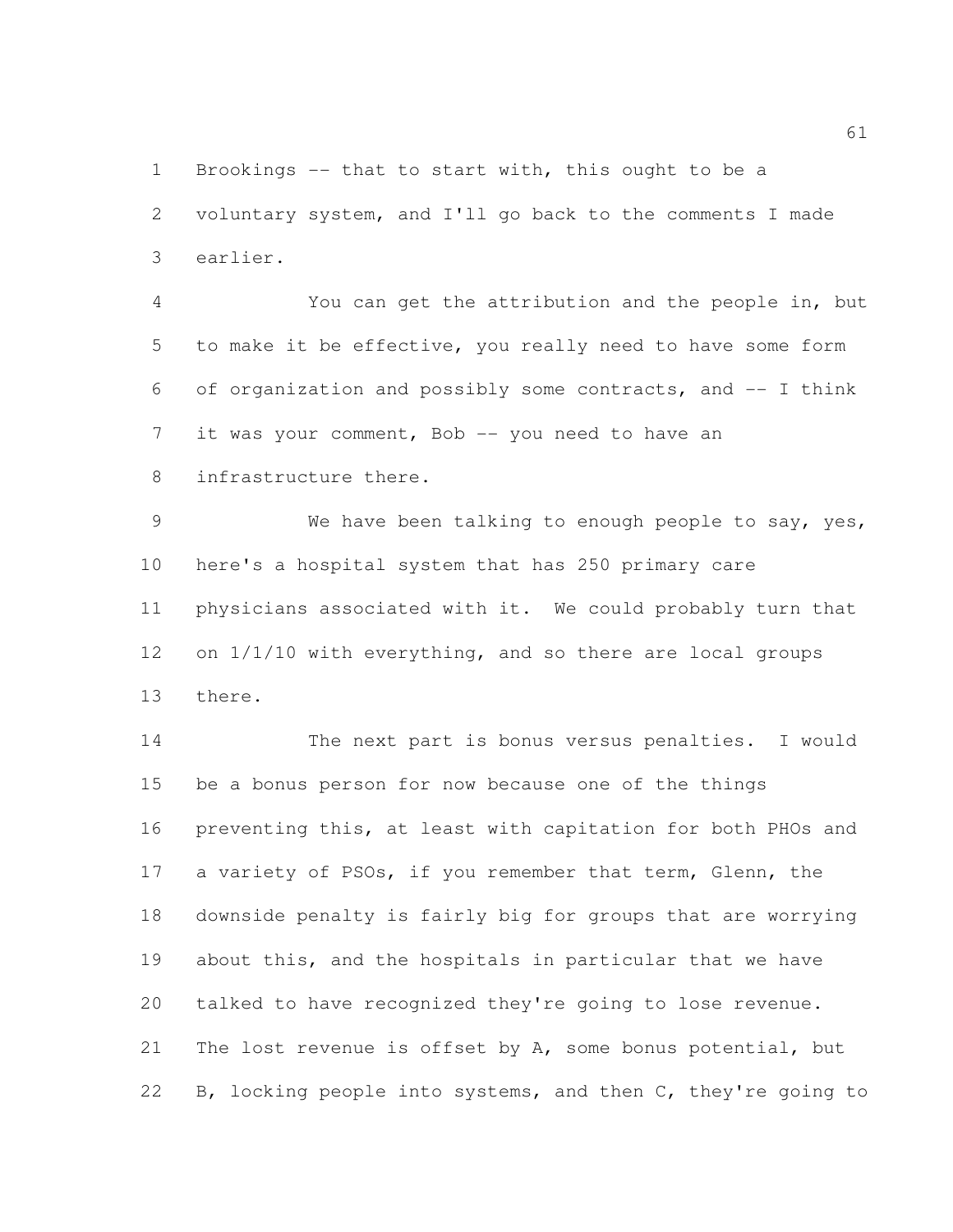Brookings -- that to start with, this ought to be a voluntary system, and I'll go back to the comments I made earlier.

 You can get the attribution and the people in, but to make it be effective, you really need to have some form of organization and possibly some contracts, and -- I think 7 it was your comment, Bob -- you need to have an infrastructure there.

 We have been talking to enough people to say, yes, here's a hospital system that has 250 primary care physicians associated with it. We could probably turn that on 1/1/10 with everything, and so there are local groups there.

 The next part is bonus versus penalties. I would be a bonus person for now because one of the things preventing this, at least with capitation for both PHOs and a variety of PSOs, if you remember that term, Glenn, the downside penalty is fairly big for groups that are worrying about this, and the hospitals in particular that we have talked to have recognized they're going to lose revenue. 21 The lost revenue is offset by A, some bonus potential, but B, locking people into systems, and then C, they're going to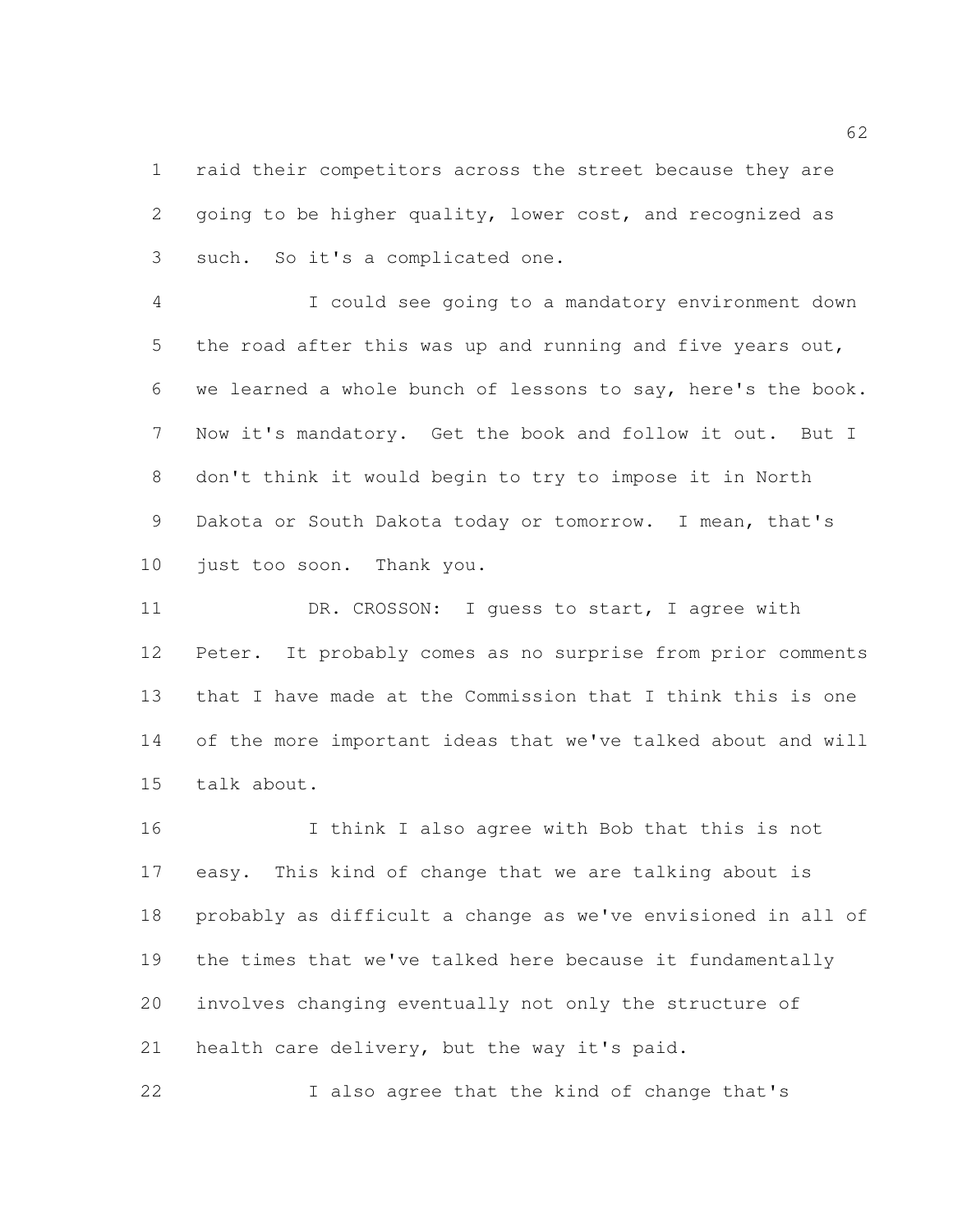raid their competitors across the street because they are going to be higher quality, lower cost, and recognized as such. So it's a complicated one.

 I could see going to a mandatory environment down 5 the road after this was up and running and five years out, we learned a whole bunch of lessons to say, here's the book. Now it's mandatory. Get the book and follow it out. But I don't think it would begin to try to impose it in North Dakota or South Dakota today or tomorrow. I mean, that's just too soon. Thank you.

11 DR. CROSSON: I quess to start, I agree with Peter. It probably comes as no surprise from prior comments that I have made at the Commission that I think this is one of the more important ideas that we've talked about and will talk about.

 I think I also agree with Bob that this is not easy. This kind of change that we are talking about is probably as difficult a change as we've envisioned in all of the times that we've talked here because it fundamentally involves changing eventually not only the structure of health care delivery, but the way it's paid.

I also agree that the kind of change that's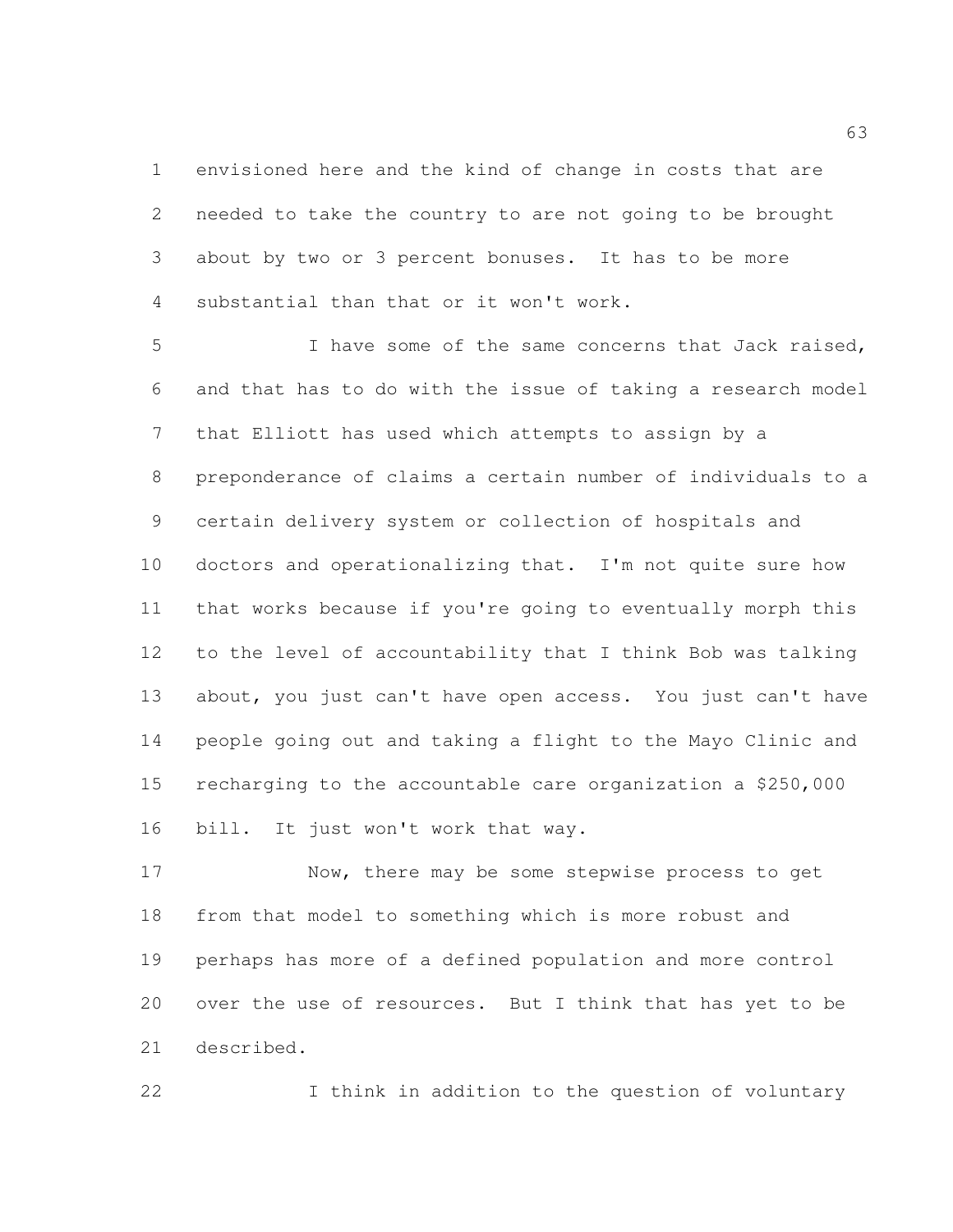envisioned here and the kind of change in costs that are needed to take the country to are not going to be brought about by two or 3 percent bonuses. It has to be more substantial than that or it won't work.

 I have some of the same concerns that Jack raised, and that has to do with the issue of taking a research model that Elliott has used which attempts to assign by a preponderance of claims a certain number of individuals to a certain delivery system or collection of hospitals and doctors and operationalizing that. I'm not quite sure how that works because if you're going to eventually morph this to the level of accountability that I think Bob was talking about, you just can't have open access. You just can't have people going out and taking a flight to the Mayo Clinic and recharging to the accountable care organization a \$250,000 bill. It just won't work that way.

 Now, there may be some stepwise process to get from that model to something which is more robust and perhaps has more of a defined population and more control over the use of resources. But I think that has yet to be described.

I think in addition to the question of voluntary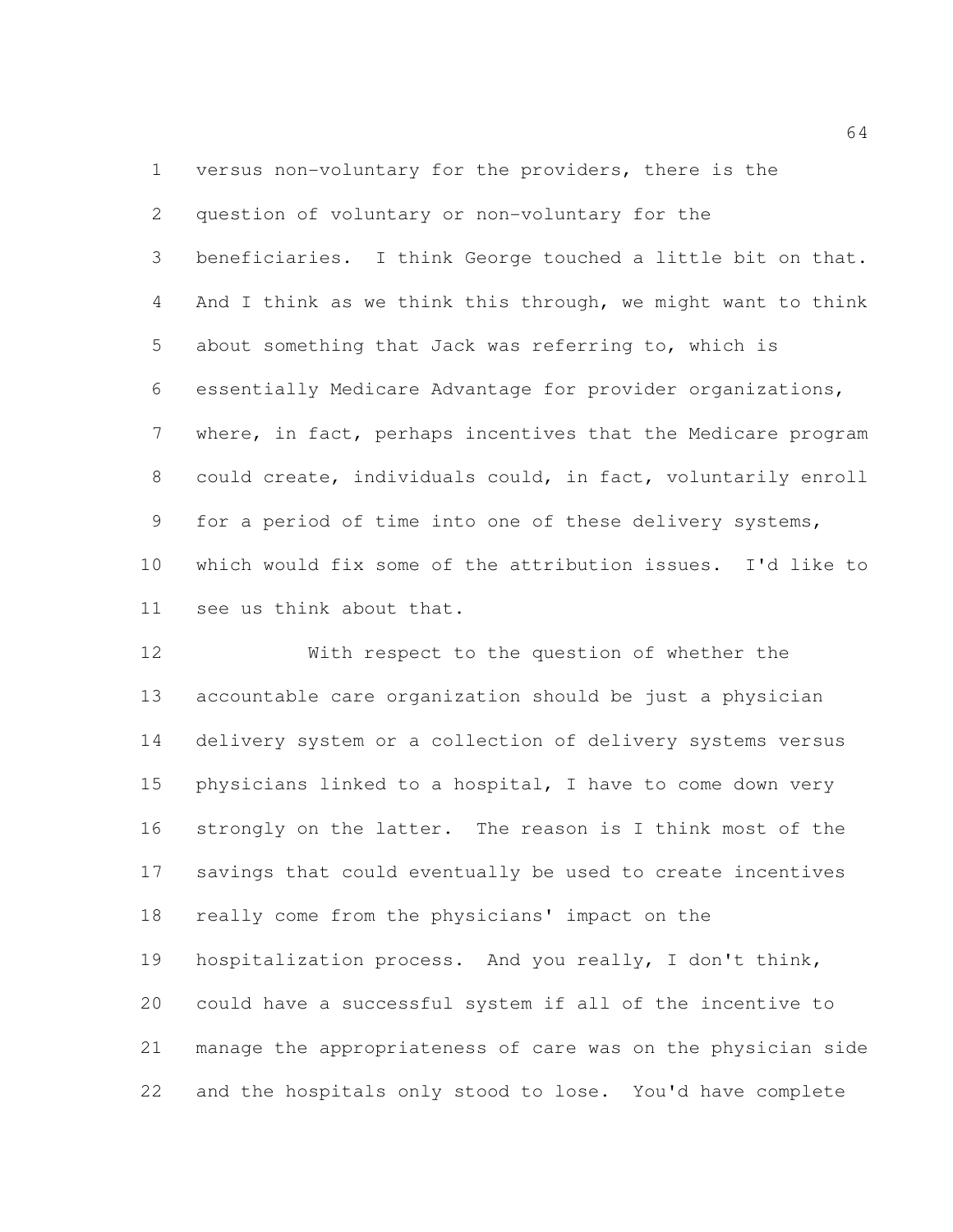versus non-voluntary for the providers, there is the question of voluntary or non-voluntary for the beneficiaries. I think George touched a little bit on that. And I think as we think this through, we might want to think about something that Jack was referring to, which is essentially Medicare Advantage for provider organizations, where, in fact, perhaps incentives that the Medicare program could create, individuals could, in fact, voluntarily enroll for a period of time into one of these delivery systems, which would fix some of the attribution issues. I'd like to see us think about that.

 With respect to the question of whether the accountable care organization should be just a physician delivery system or a collection of delivery systems versus physicians linked to a hospital, I have to come down very strongly on the latter. The reason is I think most of the savings that could eventually be used to create incentives really come from the physicians' impact on the hospitalization process. And you really, I don't think, could have a successful system if all of the incentive to manage the appropriateness of care was on the physician side and the hospitals only stood to lose. You'd have complete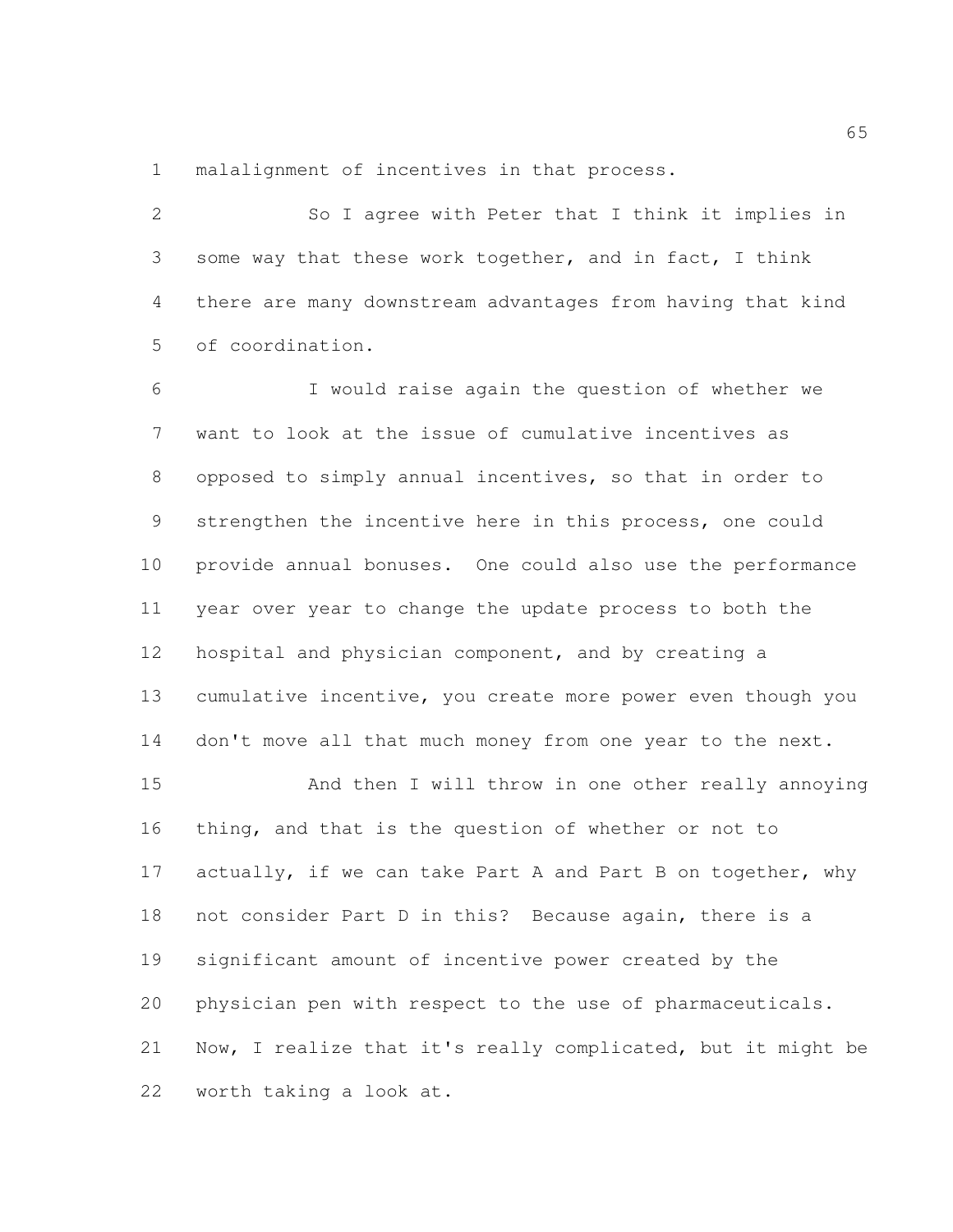malalignment of incentives in that process.

 So I agree with Peter that I think it implies in some way that these work together, and in fact, I think there are many downstream advantages from having that kind of coordination.

 I would raise again the question of whether we want to look at the issue of cumulative incentives as opposed to simply annual incentives, so that in order to strengthen the incentive here in this process, one could provide annual bonuses. One could also use the performance year over year to change the update process to both the hospital and physician component, and by creating a cumulative incentive, you create more power even though you 14 don't move all that much money from one year to the next.

 And then I will throw in one other really annoying thing, and that is the question of whether or not to 17 actually, if we can take Part A and Part B on together, why not consider Part D in this? Because again, there is a significant amount of incentive power created by the physician pen with respect to the use of pharmaceuticals. Now, I realize that it's really complicated, but it might be worth taking a look at.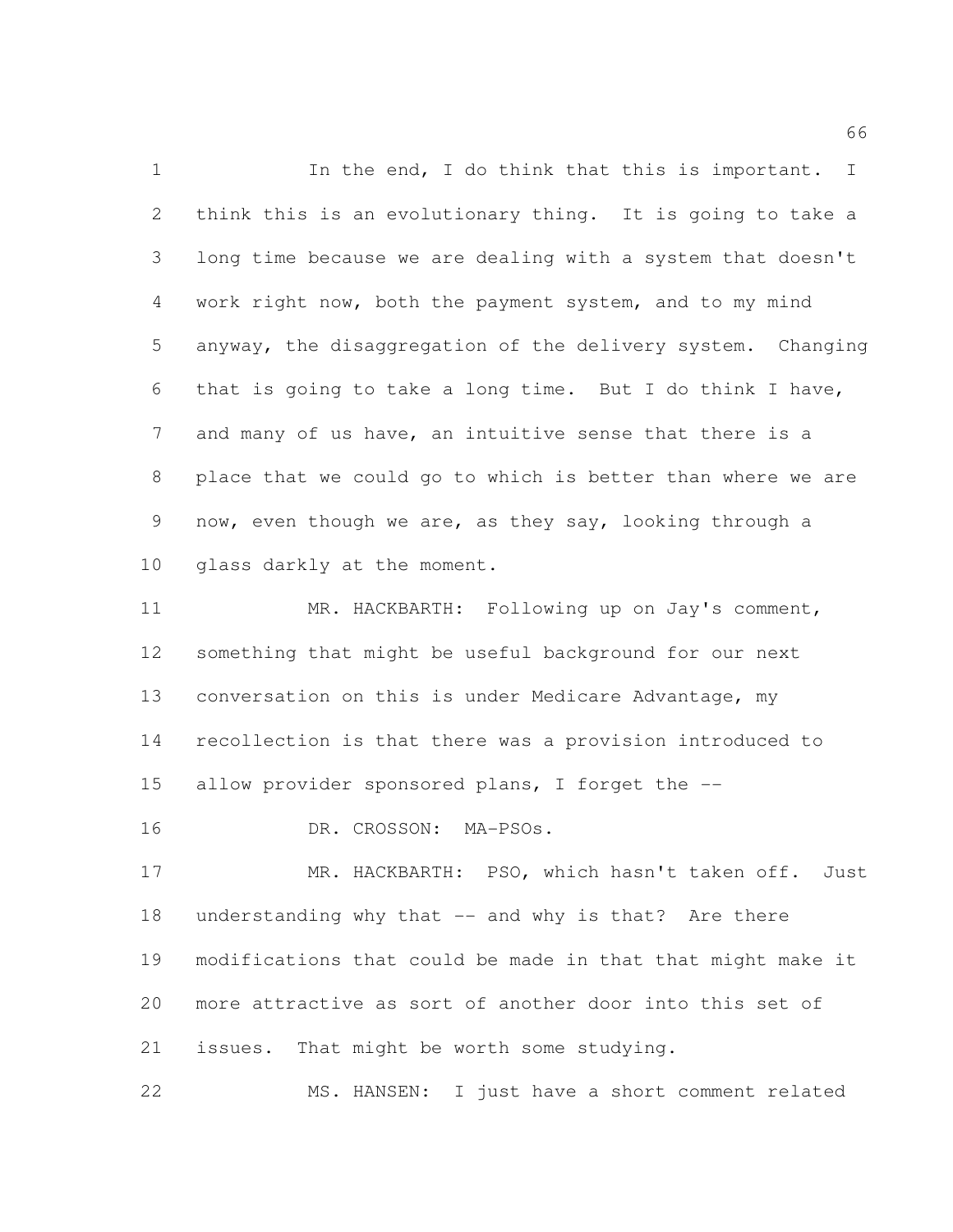1 In the end, I do think that this is important. I think this is an evolutionary thing. It is going to take a long time because we are dealing with a system that doesn't work right now, both the payment system, and to my mind anyway, the disaggregation of the delivery system. Changing that is going to take a long time. But I do think I have, and many of us have, an intuitive sense that there is a place that we could go to which is better than where we are now, even though we are, as they say, looking through a glass darkly at the moment.

 MR. HACKBARTH: Following up on Jay's comment, something that might be useful background for our next conversation on this is under Medicare Advantage, my recollection is that there was a provision introduced to allow provider sponsored plans, I forget the --

DR. CROSSON: MA-PSOs.

 MR. HACKBARTH: PSO, which hasn't taken off. Just understanding why that -- and why is that? Are there modifications that could be made in that that might make it more attractive as sort of another door into this set of issues. That might be worth some studying.

MS. HANSEN: I just have a short comment related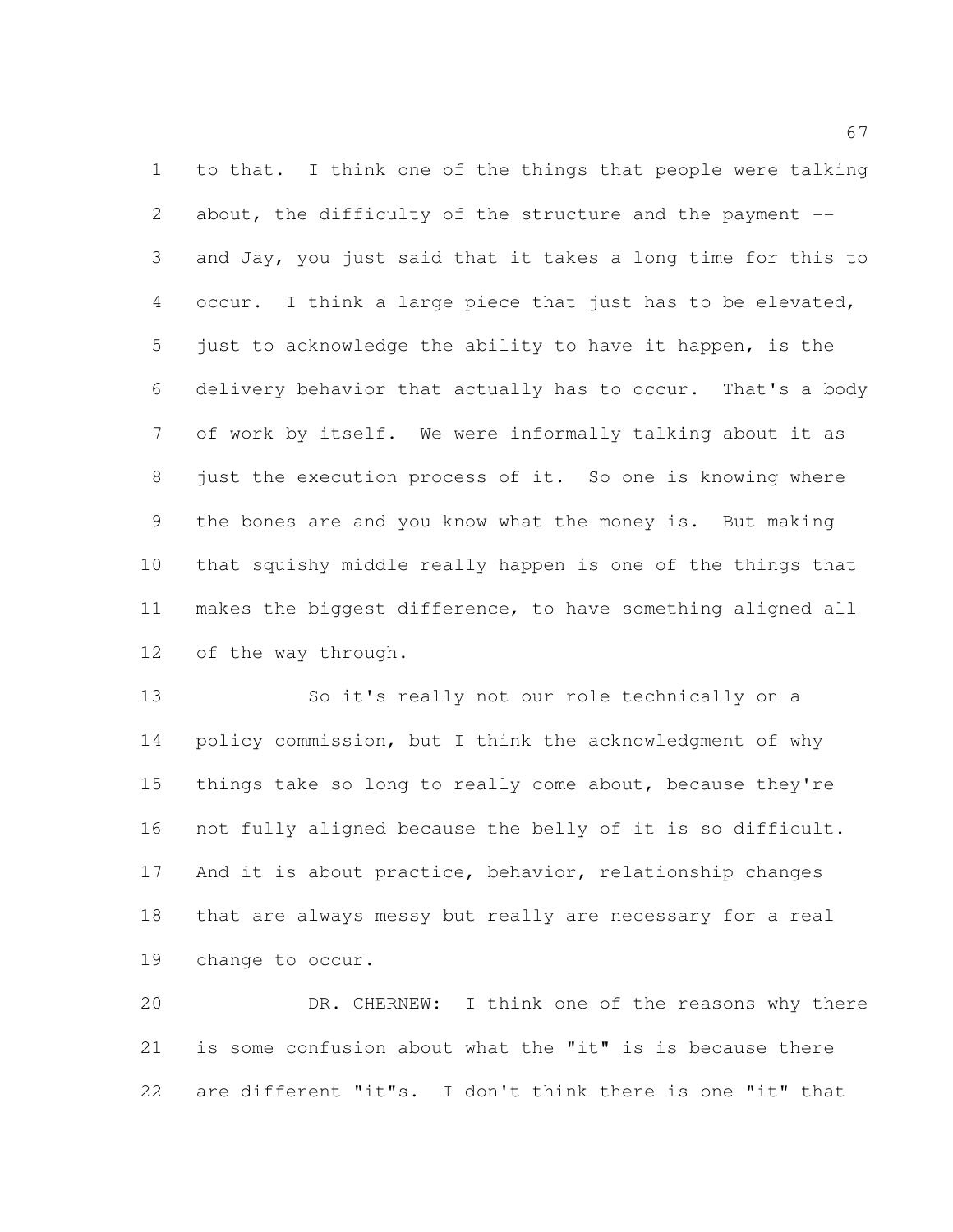to that. I think one of the things that people were talking about, the difficulty of the structure and the payment -- and Jay, you just said that it takes a long time for this to occur. I think a large piece that just has to be elevated, just to acknowledge the ability to have it happen, is the delivery behavior that actually has to occur. That's a body of work by itself. We were informally talking about it as just the execution process of it. So one is knowing where the bones are and you know what the money is. But making that squishy middle really happen is one of the things that makes the biggest difference, to have something aligned all of the way through.

 So it's really not our role technically on a policy commission, but I think the acknowledgment of why things take so long to really come about, because they're not fully aligned because the belly of it is so difficult. And it is about practice, behavior, relationship changes that are always messy but really are necessary for a real change to occur.

 DR. CHERNEW: I think one of the reasons why there is some confusion about what the "it" is is because there are different "it"s. I don't think there is one "it" that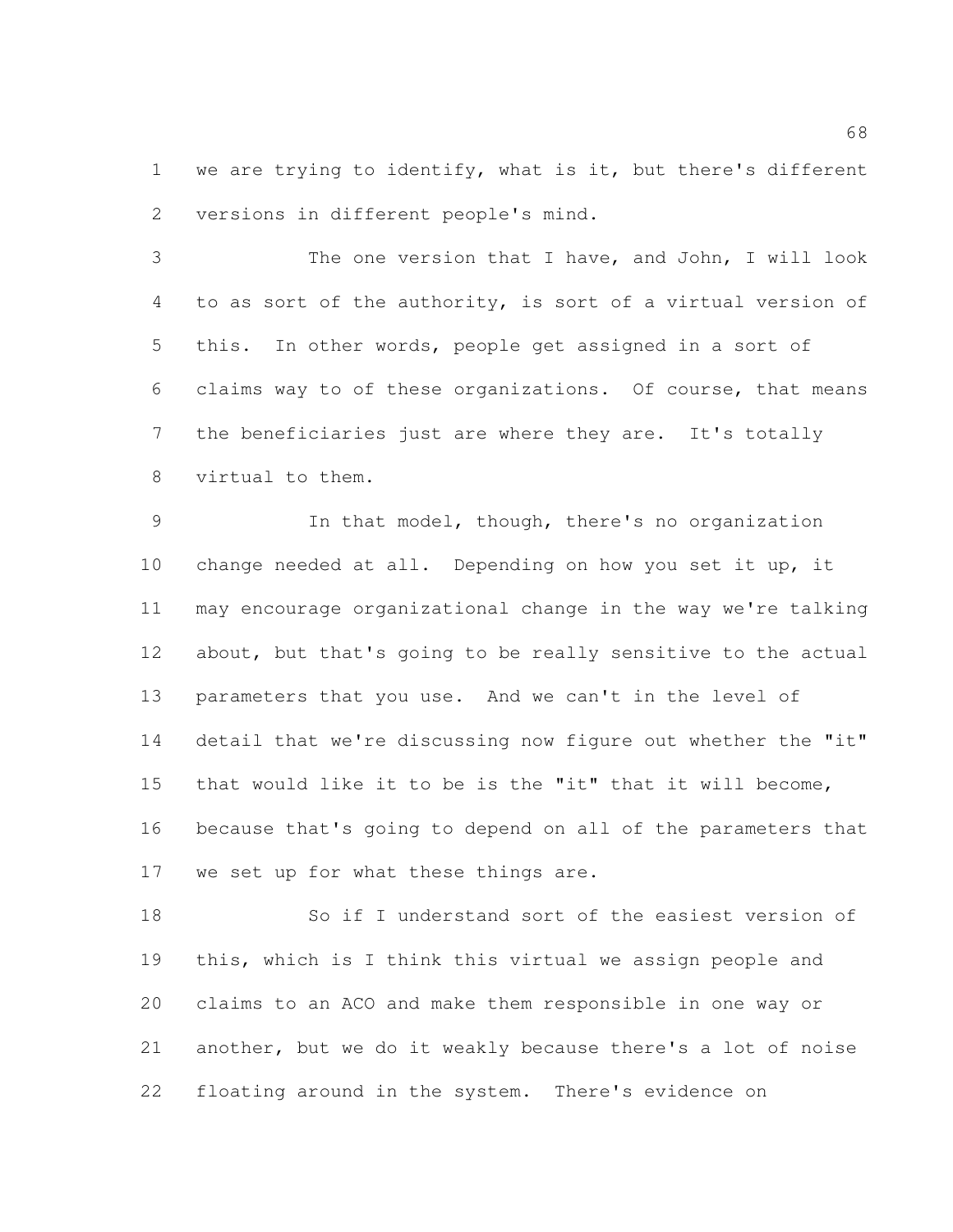1 we are trying to identify, what is it, but there's different versions in different people's mind.

 The one version that I have, and John, I will look to as sort of the authority, is sort of a virtual version of this. In other words, people get assigned in a sort of claims way to of these organizations. Of course, that means the beneficiaries just are where they are. It's totally virtual to them.

 In that model, though, there's no organization change needed at all. Depending on how you set it up, it may encourage organizational change in the way we're talking about, but that's going to be really sensitive to the actual parameters that you use. And we can't in the level of detail that we're discussing now figure out whether the "it" that would like it to be is the "it" that it will become, because that's going to depend on all of the parameters that we set up for what these things are.

 So if I understand sort of the easiest version of this, which is I think this virtual we assign people and claims to an ACO and make them responsible in one way or another, but we do it weakly because there's a lot of noise floating around in the system. There's evidence on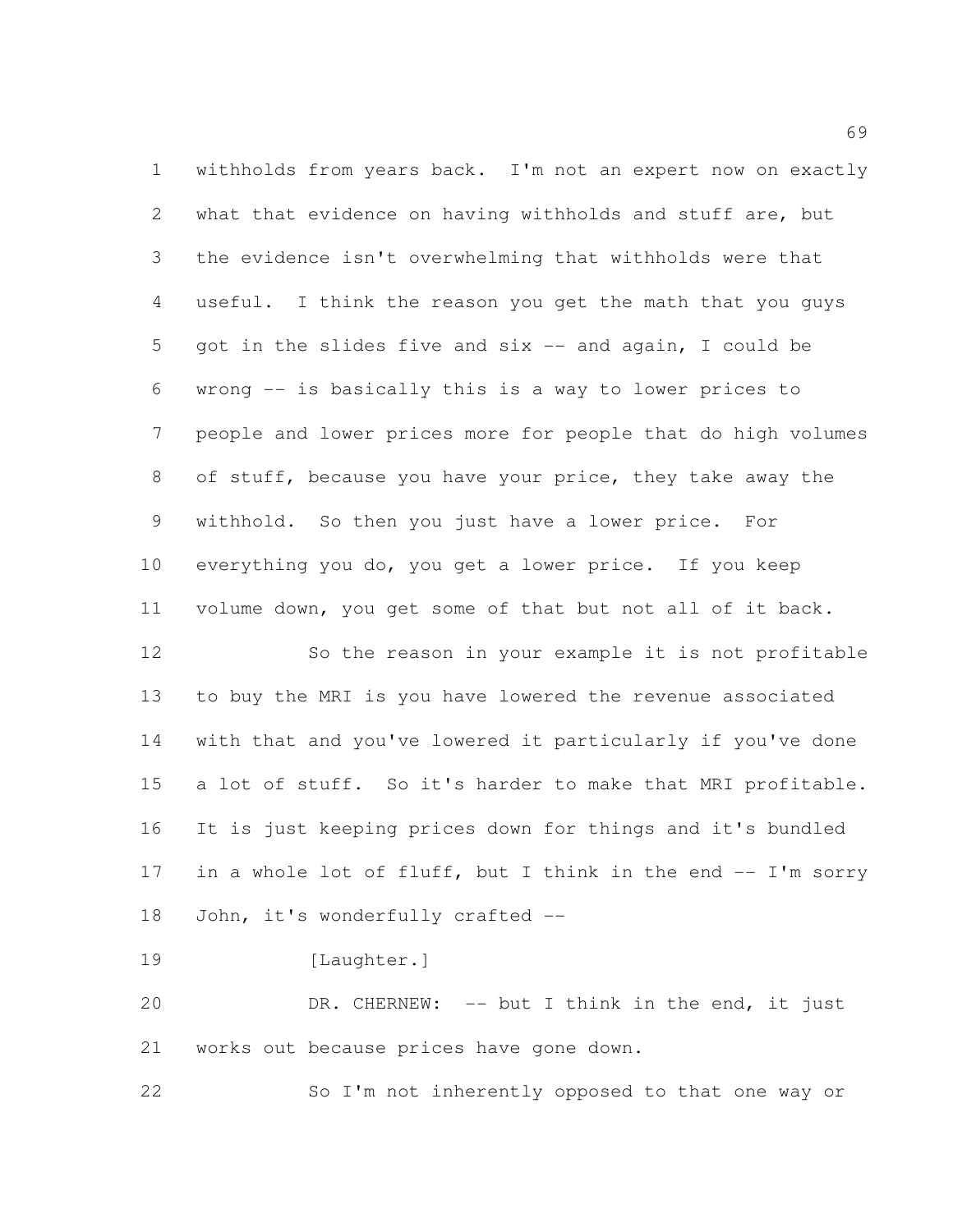withholds from years back. I'm not an expert now on exactly what that evidence on having withholds and stuff are, but the evidence isn't overwhelming that withholds were that useful. I think the reason you get the math that you guys got in the slides five and six -- and again, I could be wrong -- is basically this is a way to lower prices to people and lower prices more for people that do high volumes of stuff, because you have your price, they take away the withhold. So then you just have a lower price. For everything you do, you get a lower price. If you keep volume down, you get some of that but not all of it back.

 So the reason in your example it is not profitable to buy the MRI is you have lowered the revenue associated with that and you've lowered it particularly if you've done a lot of stuff. So it's harder to make that MRI profitable. It is just keeping prices down for things and it's bundled 17 in a whole lot of fluff, but I think in the end -- I'm sorry 18 John, it's wonderfully crafted --

19 [Laughter.]

 DR. CHERNEW: -- but I think in the end, it just works out because prices have gone down.

So I'm not inherently opposed to that one way or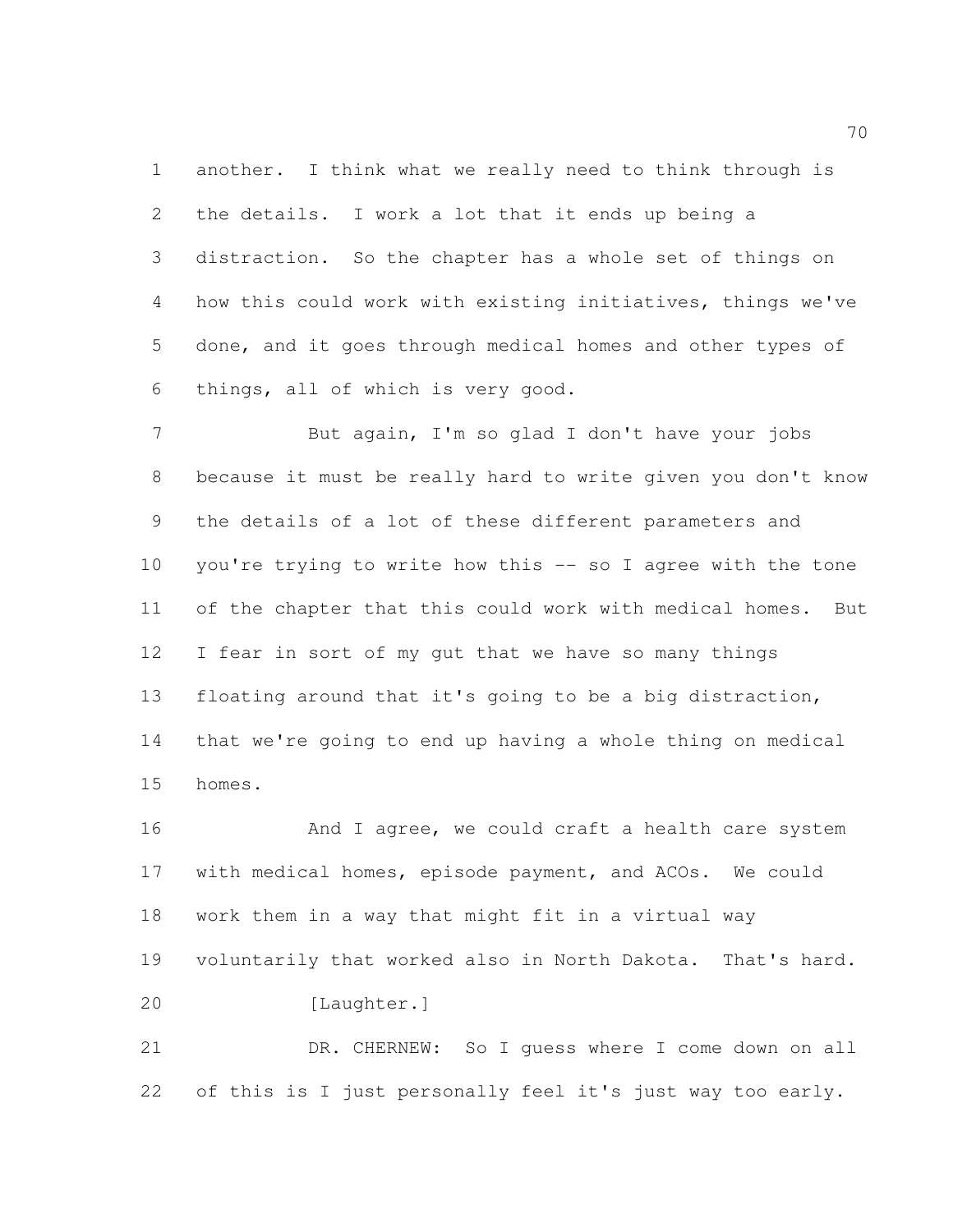another. I think what we really need to think through is the details. I work a lot that it ends up being a distraction. So the chapter has a whole set of things on how this could work with existing initiatives, things we've done, and it goes through medical homes and other types of things, all of which is very good.

 But again, I'm so glad I don't have your jobs because it must be really hard to write given you don't know the details of a lot of these different parameters and you're trying to write how this -- so I agree with the tone of the chapter that this could work with medical homes. But I fear in sort of my gut that we have so many things floating around that it's going to be a big distraction, that we're going to end up having a whole thing on medical homes.

16 And I agree, we could craft a health care system with medical homes, episode payment, and ACOs. We could work them in a way that might fit in a virtual way voluntarily that worked also in North Dakota. That's hard. 20 [Laughter.]

 DR. CHERNEW: So I guess where I come down on all 22 of this is I just personally feel it's just way too early.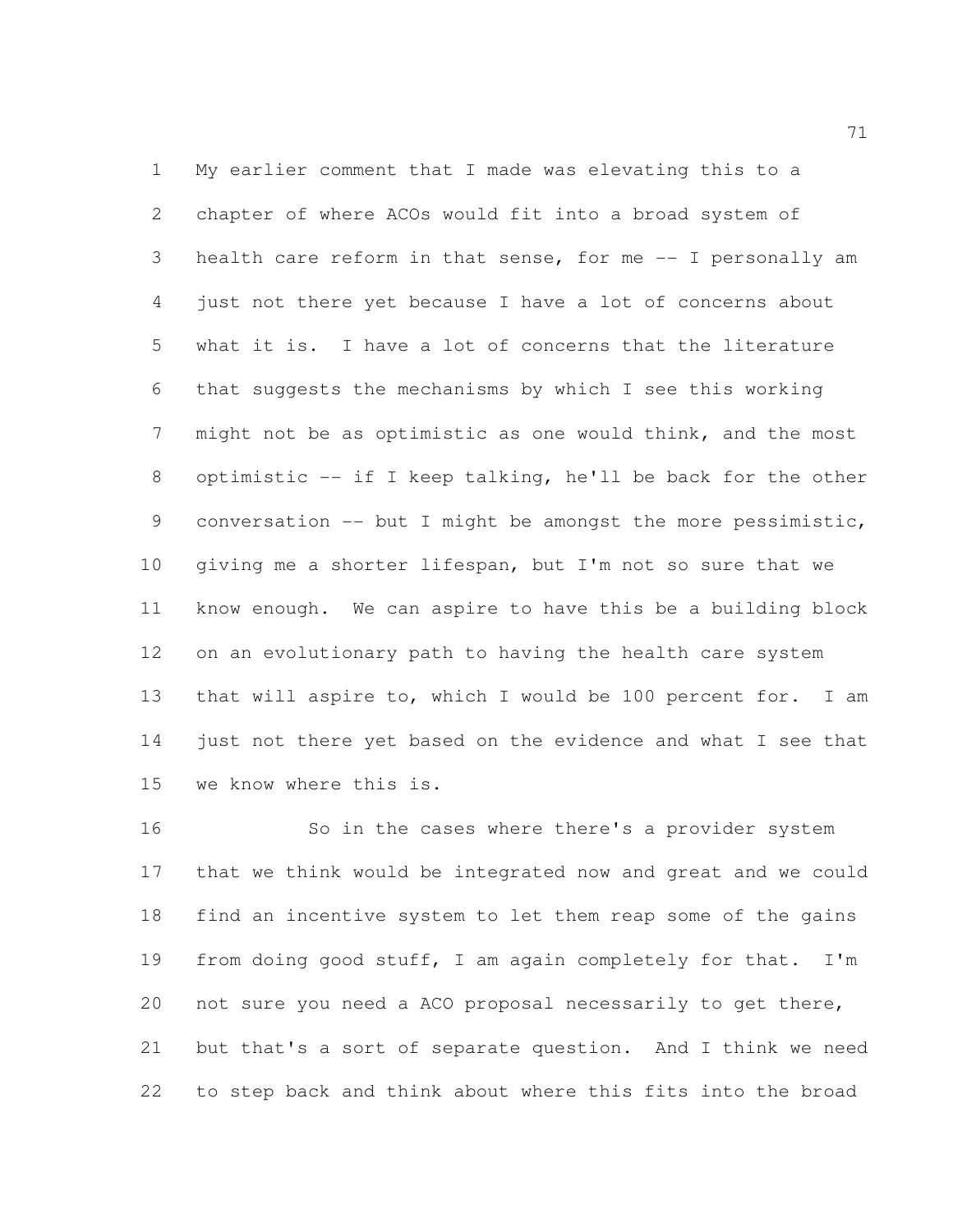My earlier comment that I made was elevating this to a chapter of where ACOs would fit into a broad system of health care reform in that sense, for me -- I personally am just not there yet because I have a lot of concerns about what it is. I have a lot of concerns that the literature that suggests the mechanisms by which I see this working might not be as optimistic as one would think, and the most optimistic -- if I keep talking, he'll be back for the other conversation -- but I might be amongst the more pessimistic, giving me a shorter lifespan, but I'm not so sure that we know enough. We can aspire to have this be a building block on an evolutionary path to having the health care system that will aspire to, which I would be 100 percent for. I am just not there yet based on the evidence and what I see that we know where this is.

 So in the cases where there's a provider system that we think would be integrated now and great and we could find an incentive system to let them reap some of the gains 19 from doing good stuff, I am again completely for that. I'm not sure you need a ACO proposal necessarily to get there, but that's a sort of separate question. And I think we need to step back and think about where this fits into the broad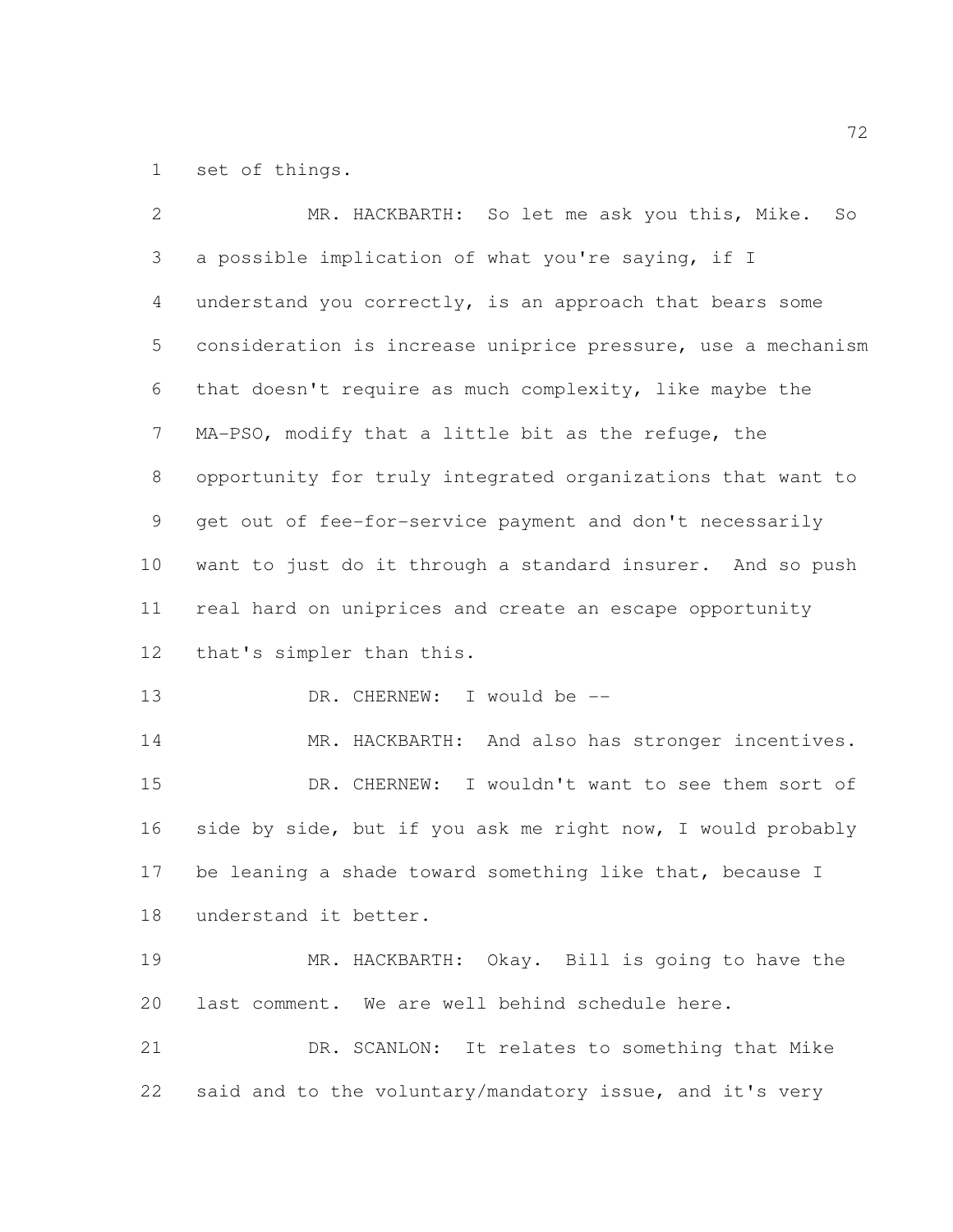set of things.

| $\overline{2}$  | MR. HACKBARTH: So let me ask you this, Mike. So              |
|-----------------|--------------------------------------------------------------|
| $\mathfrak{Z}$  | a possible implication of what you're saying, if I           |
| 4               | understand you correctly, is an approach that bears some     |
| 5               | consideration is increase uniprice pressure, use a mechanism |
| 6               | that doesn't require as much complexity, like maybe the      |
| $7\phantom{.0}$ | MA-PSO, modify that a little bit as the refuge, the          |
| 8               | opportunity for truly integrated organizations that want to  |
| 9               | get out of fee-for-service payment and don't necessarily     |
| 10              | want to just do it through a standard insurer. And so push   |
| 11              | real hard on uniprices and create an escape opportunity      |
| 12              | that's simpler than this.                                    |
| 13              | DR. CHERNEW: I would be --                                   |
| 14              | MR. HACKBARTH: And also has stronger incentives.             |
| 15              | DR. CHERNEW: I wouldn't want to see them sort of             |
| 16              | side by side, but if you ask me right now, I would probably  |
| 17              | be leaning a shade toward something like that, because I     |
| 18              | understand it better.                                        |
| 19              | MR. HACKBARTH: Okay. Bill is going to have the               |
| 20              | last comment. We are well behind schedule here.              |
| 21              | DR. SCANLON: It relates to something that Mike               |
| 22              | said and to the voluntary/mandatory issue, and it's very     |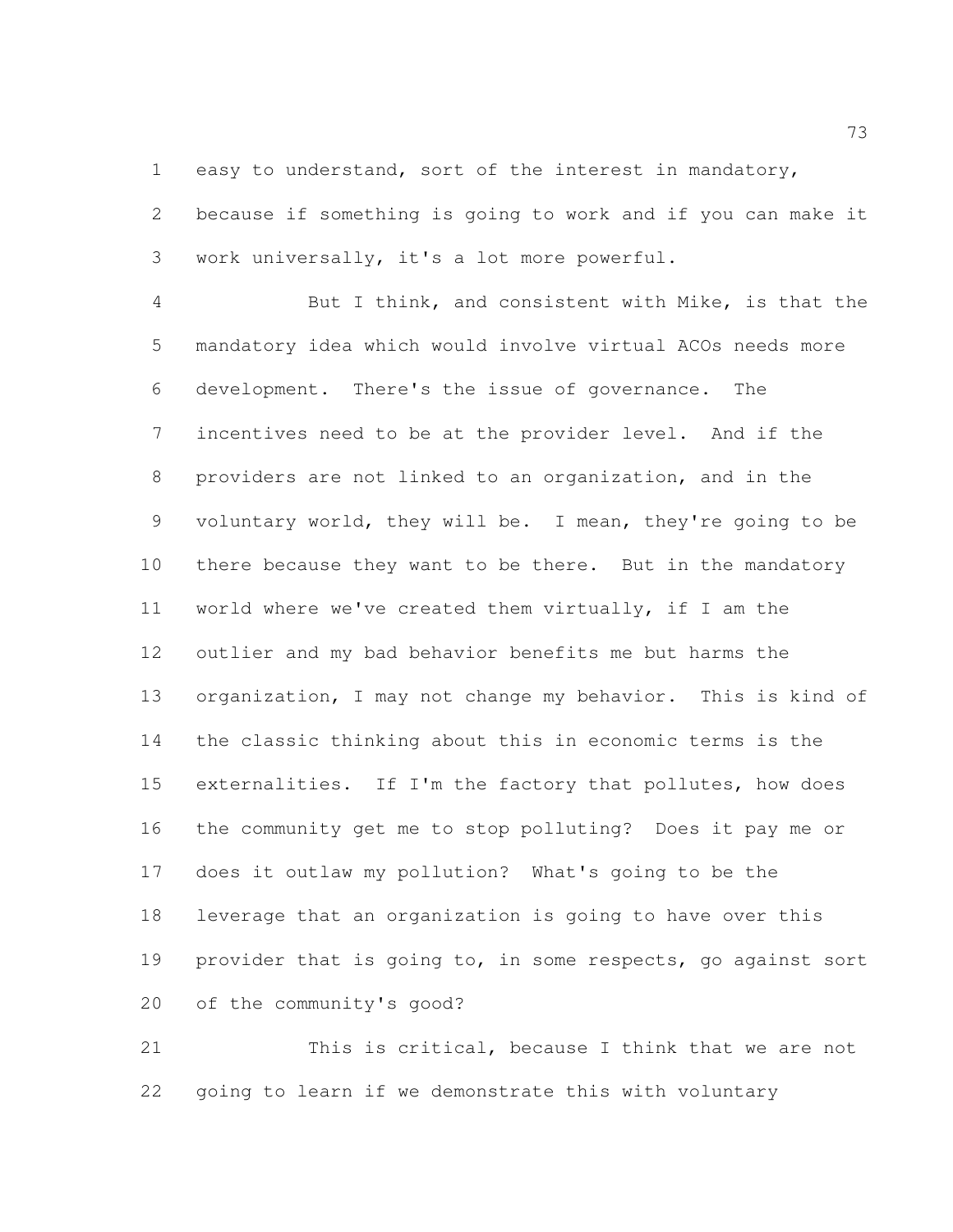easy to understand, sort of the interest in mandatory,

 because if something is going to work and if you can make it work universally, it's a lot more powerful.

 But I think, and consistent with Mike, is that the mandatory idea which would involve virtual ACOs needs more development. There's the issue of governance. The incentives need to be at the provider level. And if the providers are not linked to an organization, and in the voluntary world, they will be. I mean, they're going to be there because they want to be there. But in the mandatory world where we've created them virtually, if I am the outlier and my bad behavior benefits me but harms the organization, I may not change my behavior. This is kind of the classic thinking about this in economic terms is the 15 externalities. If I'm the factory that pollutes, how does the community get me to stop polluting? Does it pay me or does it outlaw my pollution? What's going to be the leverage that an organization is going to have over this provider that is going to, in some respects, go against sort of the community's good?

 This is critical, because I think that we are not going to learn if we demonstrate this with voluntary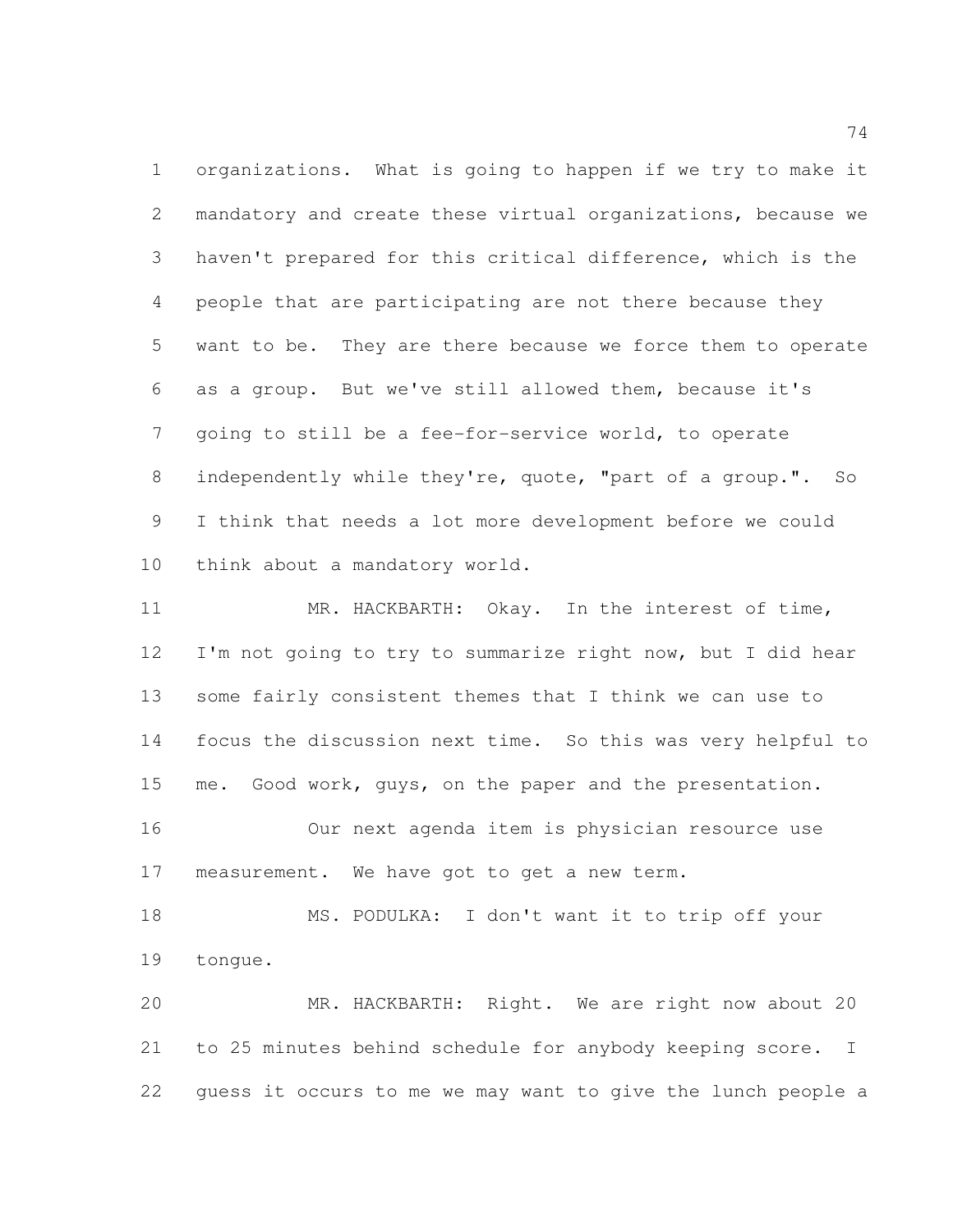organizations. What is going to happen if we try to make it mandatory and create these virtual organizations, because we haven't prepared for this critical difference, which is the people that are participating are not there because they want to be. They are there because we force them to operate as a group. But we've still allowed them, because it's going to still be a fee-for-service world, to operate independently while they're, quote, "part of a group.". So I think that needs a lot more development before we could think about a mandatory world.

 MR. HACKBARTH: Okay. In the interest of time, 12 I'm not going to try to summarize right now, but I did hear some fairly consistent themes that I think we can use to focus the discussion next time. So this was very helpful to me. Good work, guys, on the paper and the presentation. Our next agenda item is physician resource use

measurement. We have got to get a new term.

 MS. PODULKA: I don't want it to trip off your tongue.

 MR. HACKBARTH: Right. We are right now about 20 to 25 minutes behind schedule for anybody keeping score. I guess it occurs to me we may want to give the lunch people a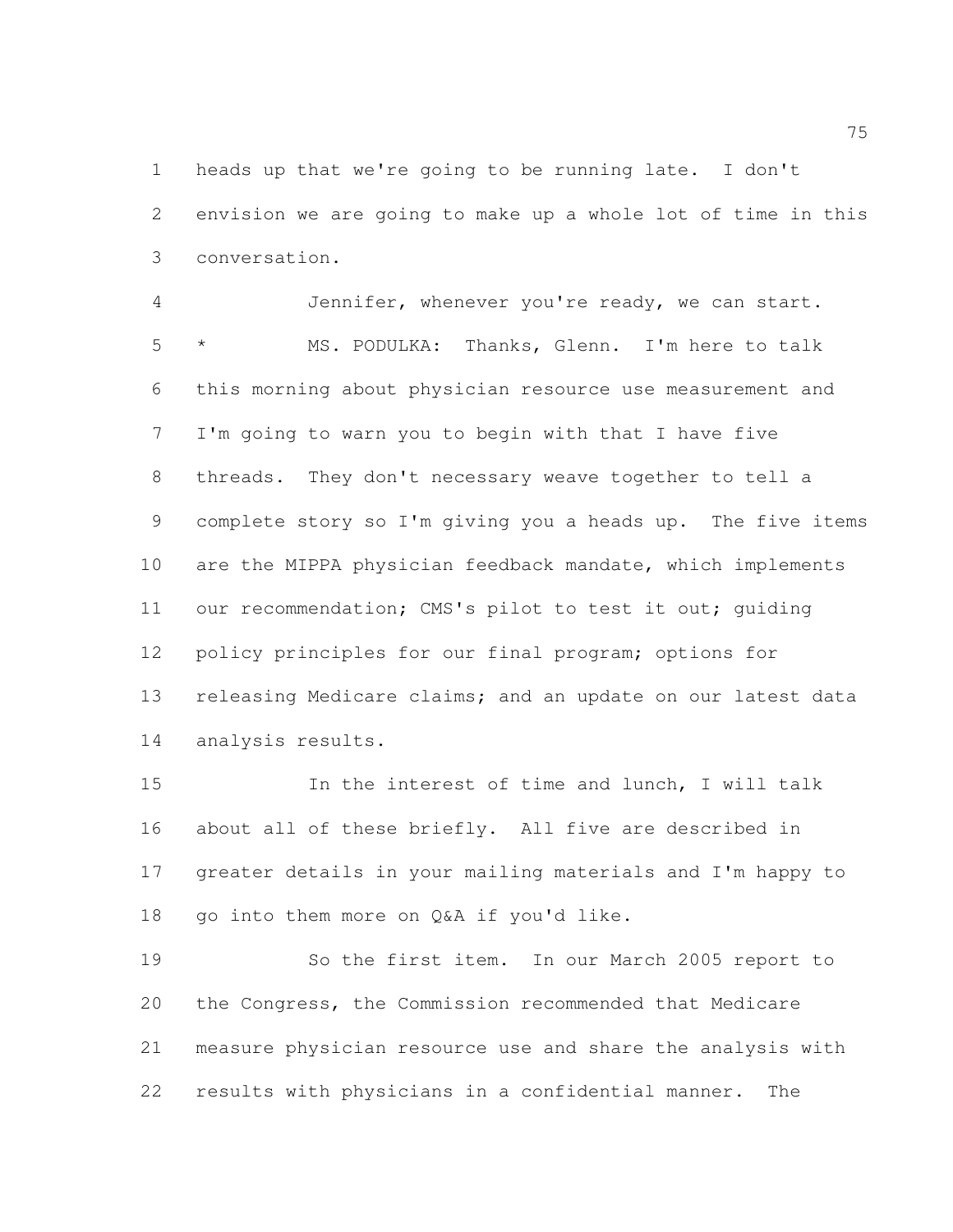heads up that we're going to be running late. I don't envision we are going to make up a whole lot of time in this conversation.

 Jennifer, whenever you're ready, we can start. \* MS. PODULKA: Thanks, Glenn. I'm here to talk this morning about physician resource use measurement and I'm going to warn you to begin with that I have five threads. They don't necessary weave together to tell a complete story so I'm giving you a heads up. The five items are the MIPPA physician feedback mandate, which implements our recommendation; CMS's pilot to test it out; guiding 12 policy principles for our final program; options for releasing Medicare claims; and an update on our latest data analysis results.

 In the interest of time and lunch, I will talk about all of these briefly. All five are described in greater details in your mailing materials and I'm happy to 18 go into them more on Q&A if you'd like.

 So the first item. In our March 2005 report to the Congress, the Commission recommended that Medicare measure physician resource use and share the analysis with results with physicians in a confidential manner. The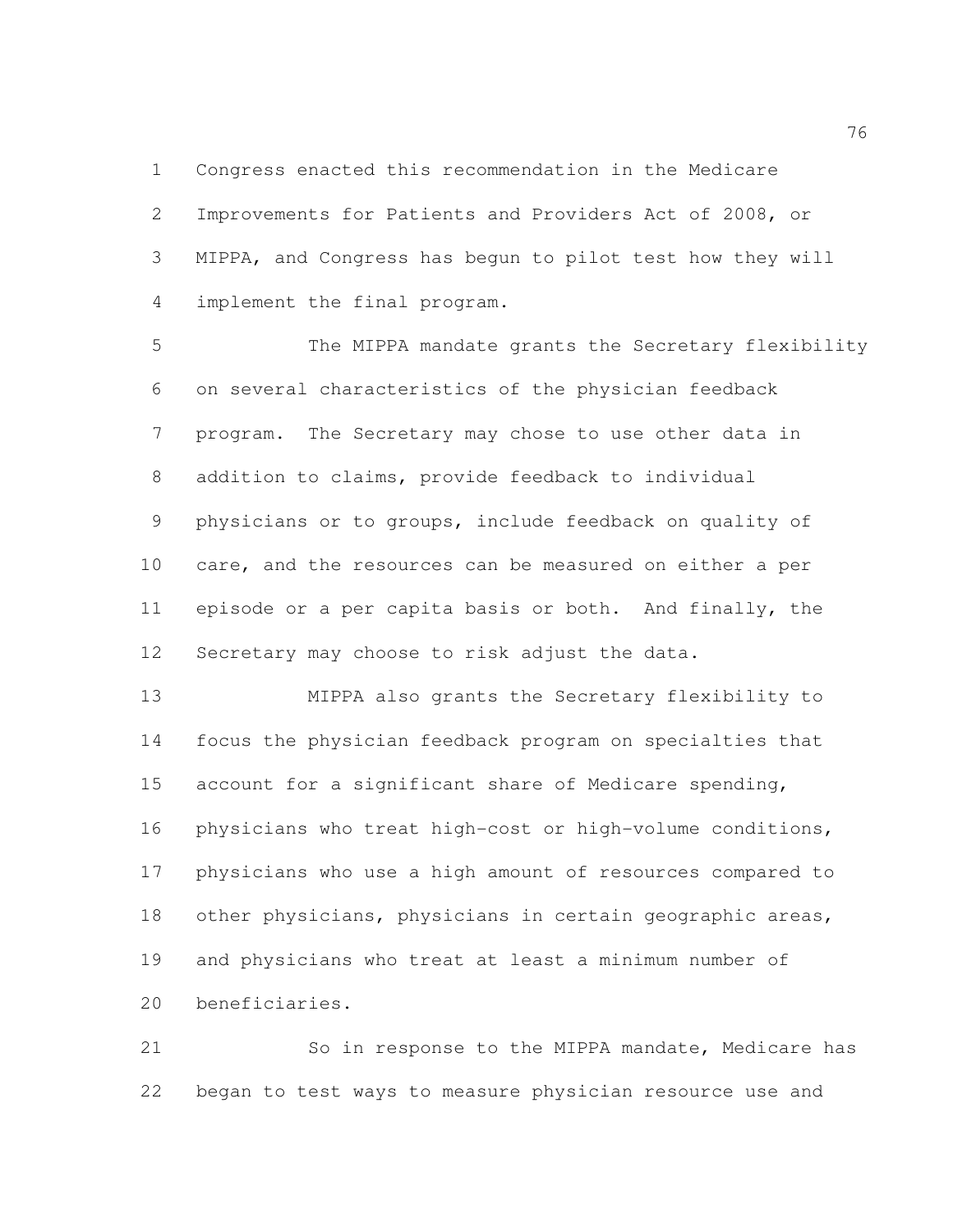Congress enacted this recommendation in the Medicare Improvements for Patients and Providers Act of 2008, or MIPPA, and Congress has begun to pilot test how they will implement the final program.

 The MIPPA mandate grants the Secretary flexibility on several characteristics of the physician feedback program. The Secretary may chose to use other data in addition to claims, provide feedback to individual physicians or to groups, include feedback on quality of care, and the resources can be measured on either a per episode or a per capita basis or both. And finally, the Secretary may choose to risk adjust the data.

 MIPPA also grants the Secretary flexibility to focus the physician feedback program on specialties that account for a significant share of Medicare spending, physicians who treat high-cost or high-volume conditions, physicians who use a high amount of resources compared to 18 other physicians, physicians in certain geographic areas, and physicians who treat at least a minimum number of beneficiaries.

21 So in response to the MIPPA mandate, Medicare has began to test ways to measure physician resource use and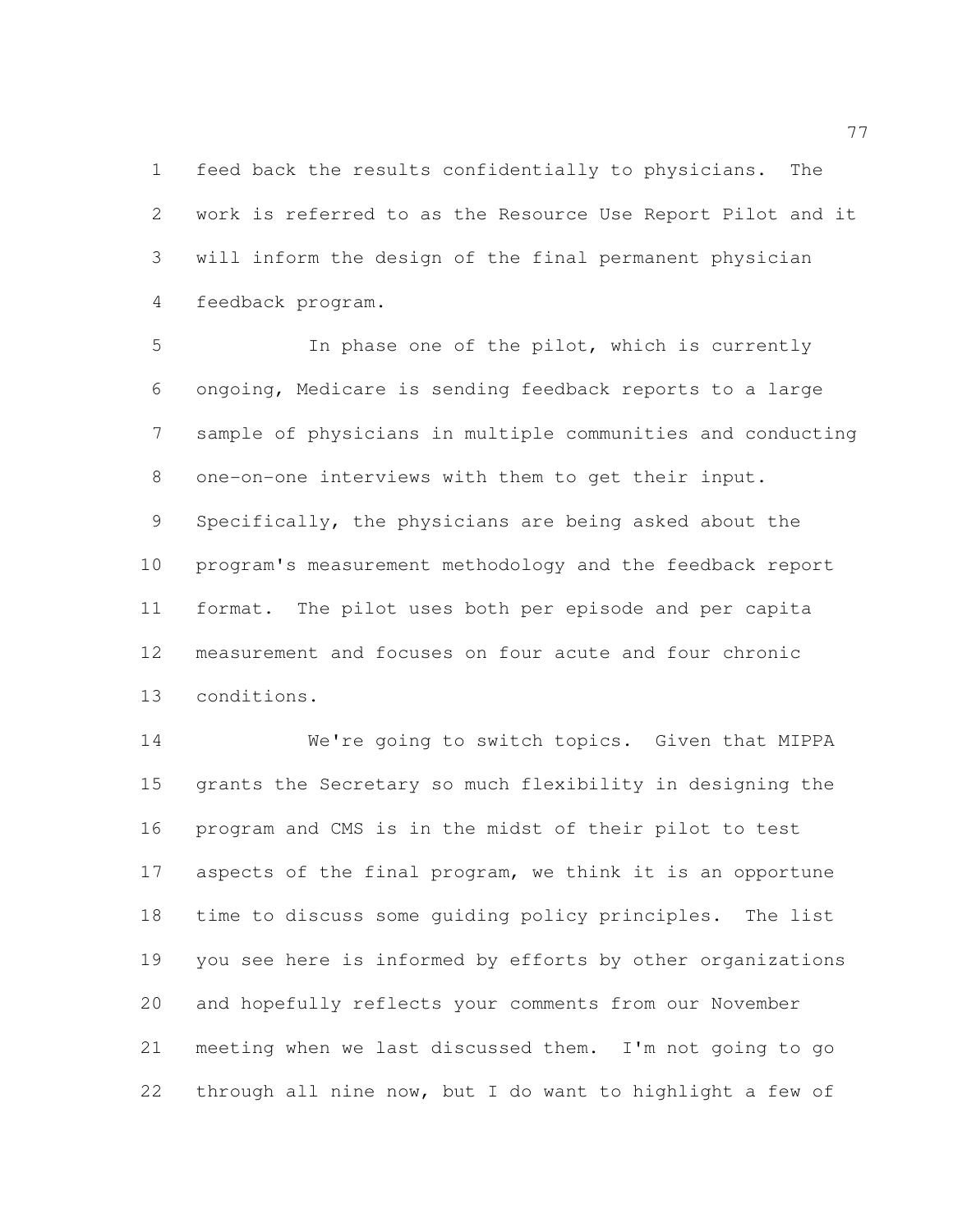feed back the results confidentially to physicians. The work is referred to as the Resource Use Report Pilot and it will inform the design of the final permanent physician feedback program.

 In phase one of the pilot, which is currently ongoing, Medicare is sending feedback reports to a large sample of physicians in multiple communities and conducting one-on-one interviews with them to get their input. Specifically, the physicians are being asked about the program's measurement methodology and the feedback report format. The pilot uses both per episode and per capita measurement and focuses on four acute and four chronic conditions.

 We're going to switch topics. Given that MIPPA grants the Secretary so much flexibility in designing the program and CMS is in the midst of their pilot to test aspects of the final program, we think it is an opportune time to discuss some guiding policy principles. The list you see here is informed by efforts by other organizations and hopefully reflects your comments from our November meeting when we last discussed them. I'm not going to go through all nine now, but I do want to highlight a few of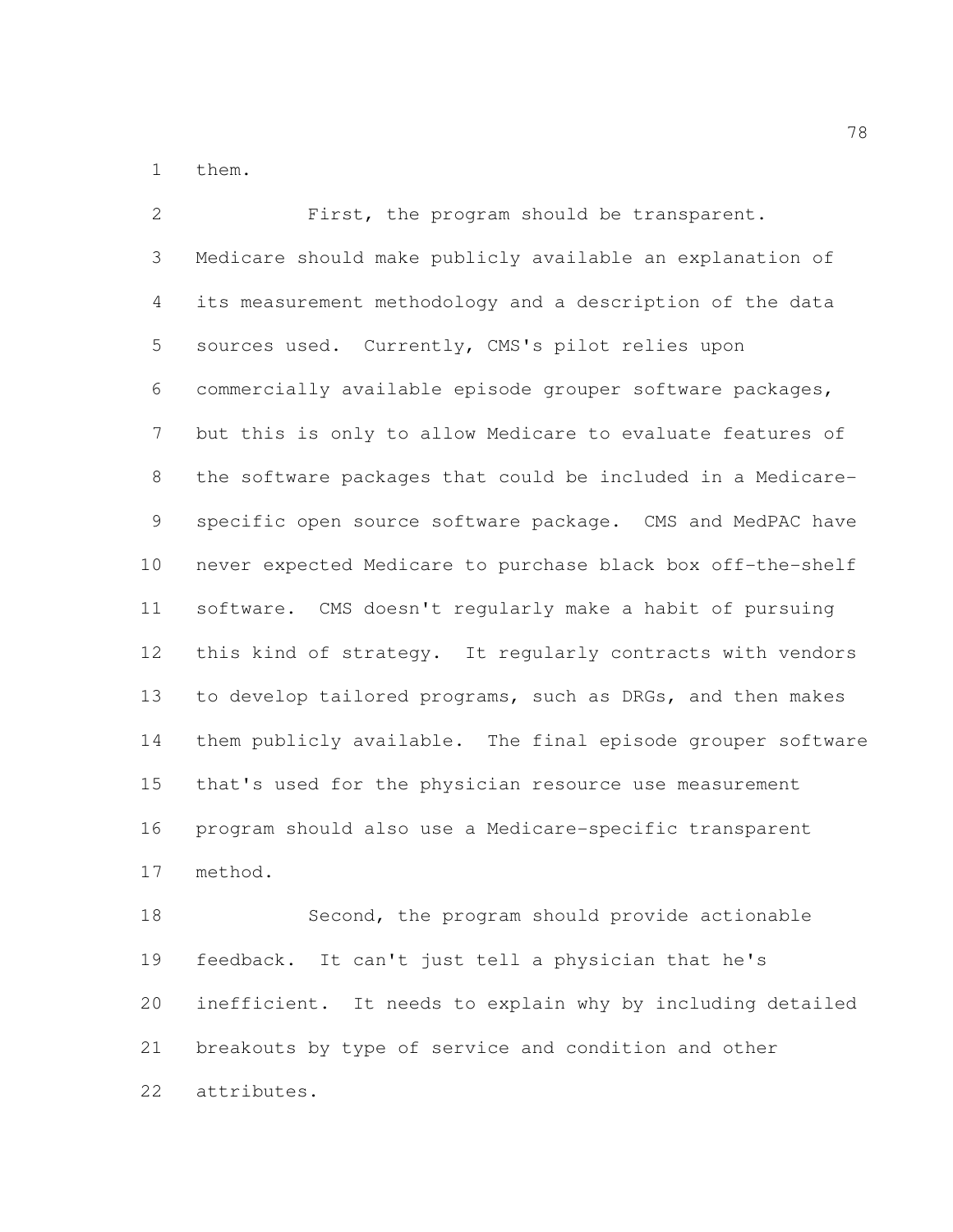them.

 First, the program should be transparent. Medicare should make publicly available an explanation of its measurement methodology and a description of the data sources used. Currently, CMS's pilot relies upon commercially available episode grouper software packages, but this is only to allow Medicare to evaluate features of the software packages that could be included in a Medicare- specific open source software package. CMS and MedPAC have never expected Medicare to purchase black box off-the-shelf software. CMS doesn't regularly make a habit of pursuing this kind of strategy. It regularly contracts with vendors 13 to develop tailored programs, such as DRGs, and then makes them publicly available. The final episode grouper software that's used for the physician resource use measurement program should also use a Medicare-specific transparent method.

 Second, the program should provide actionable feedback. It can't just tell a physician that he's inefficient. It needs to explain why by including detailed breakouts by type of service and condition and other attributes.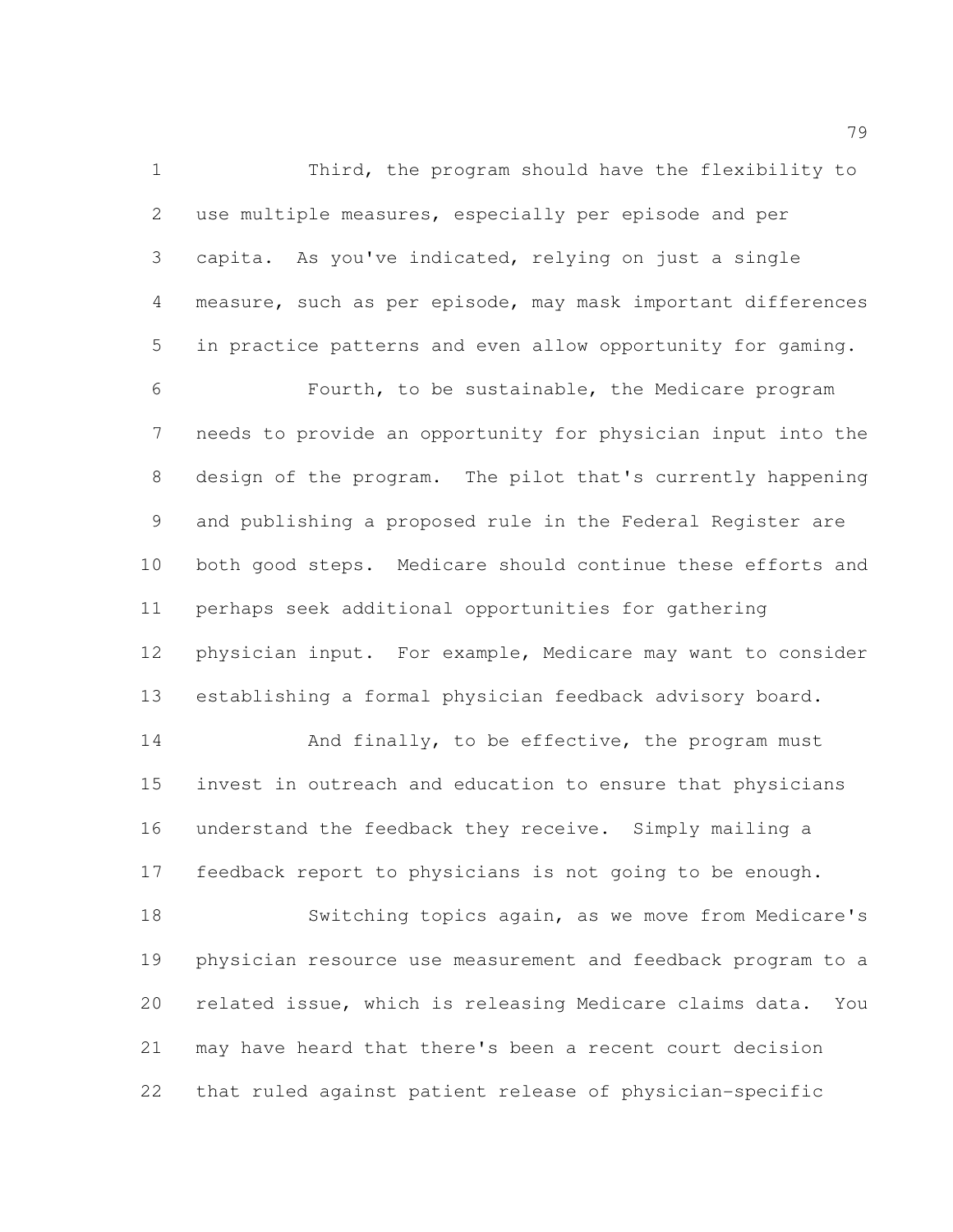Third, the program should have the flexibility to use multiple measures, especially per episode and per capita. As you've indicated, relying on just a single measure, such as per episode, may mask important differences in practice patterns and even allow opportunity for gaming. Fourth, to be sustainable, the Medicare program needs to provide an opportunity for physician input into the design of the program. The pilot that's currently happening and publishing a proposed rule in the Federal Register are both good steps. Medicare should continue these efforts and perhaps seek additional opportunities for gathering physician input. For example, Medicare may want to consider establishing a formal physician feedback advisory board. 14 And finally, to be effective, the program must

 invest in outreach and education to ensure that physicians understand the feedback they receive. Simply mailing a feedback report to physicians is not going to be enough.

 Switching topics again, as we move from Medicare's physician resource use measurement and feedback program to a related issue, which is releasing Medicare claims data. You may have heard that there's been a recent court decision that ruled against patient release of physician-specific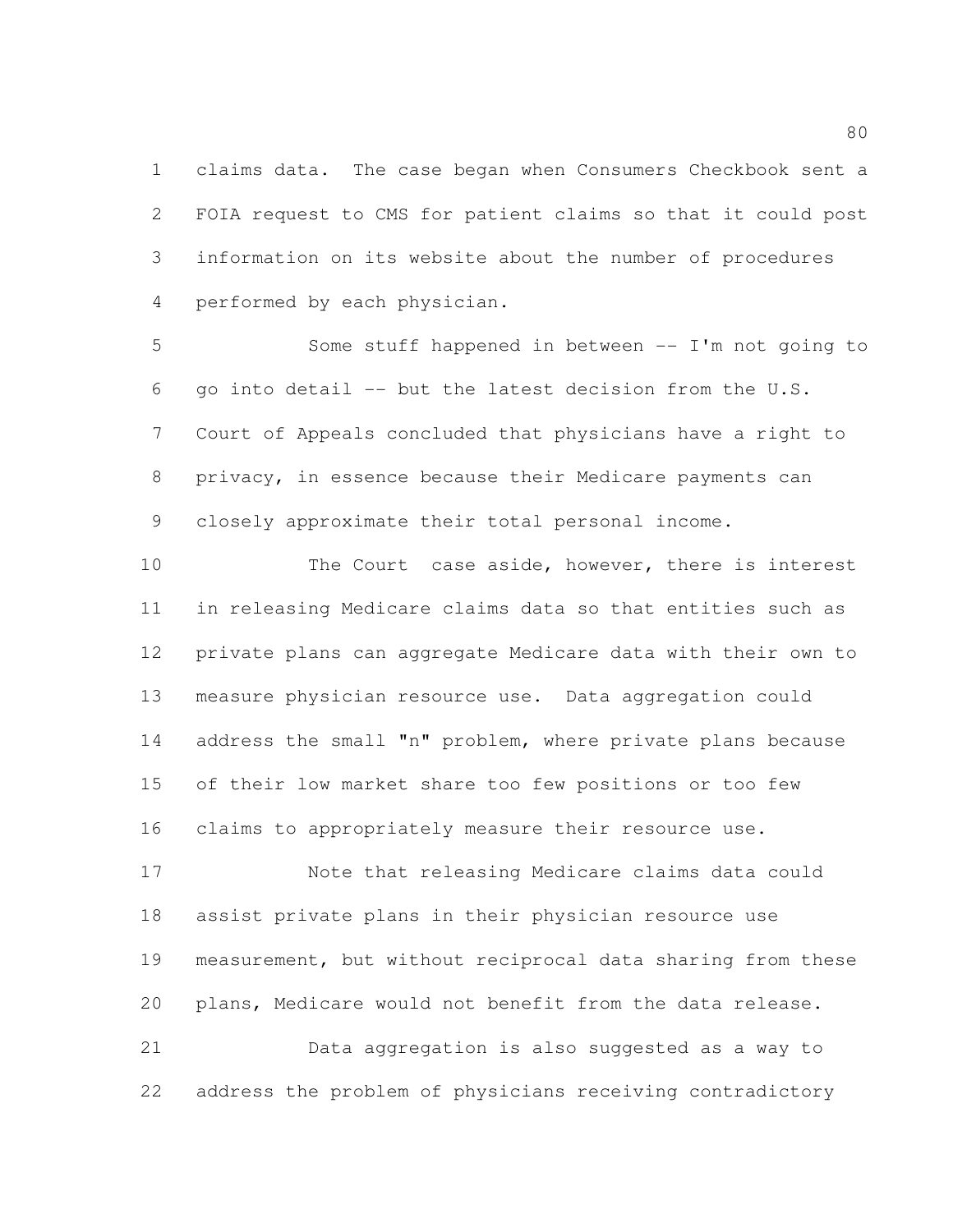claims data. The case began when Consumers Checkbook sent a FOIA request to CMS for patient claims so that it could post information on its website about the number of procedures performed by each physician.

 Some stuff happened in between -- I'm not going to go into detail -- but the latest decision from the U.S. Court of Appeals concluded that physicians have a right to privacy, in essence because their Medicare payments can closely approximate their total personal income.

10 The Court case aside, however, there is interest in releasing Medicare claims data so that entities such as private plans can aggregate Medicare data with their own to measure physician resource use. Data aggregation could 14 address the small "n" problem, where private plans because of their low market share too few positions or too few claims to appropriately measure their resource use.

 Note that releasing Medicare claims data could assist private plans in their physician resource use measurement, but without reciprocal data sharing from these plans, Medicare would not benefit from the data release.

 Data aggregation is also suggested as a way to address the problem of physicians receiving contradictory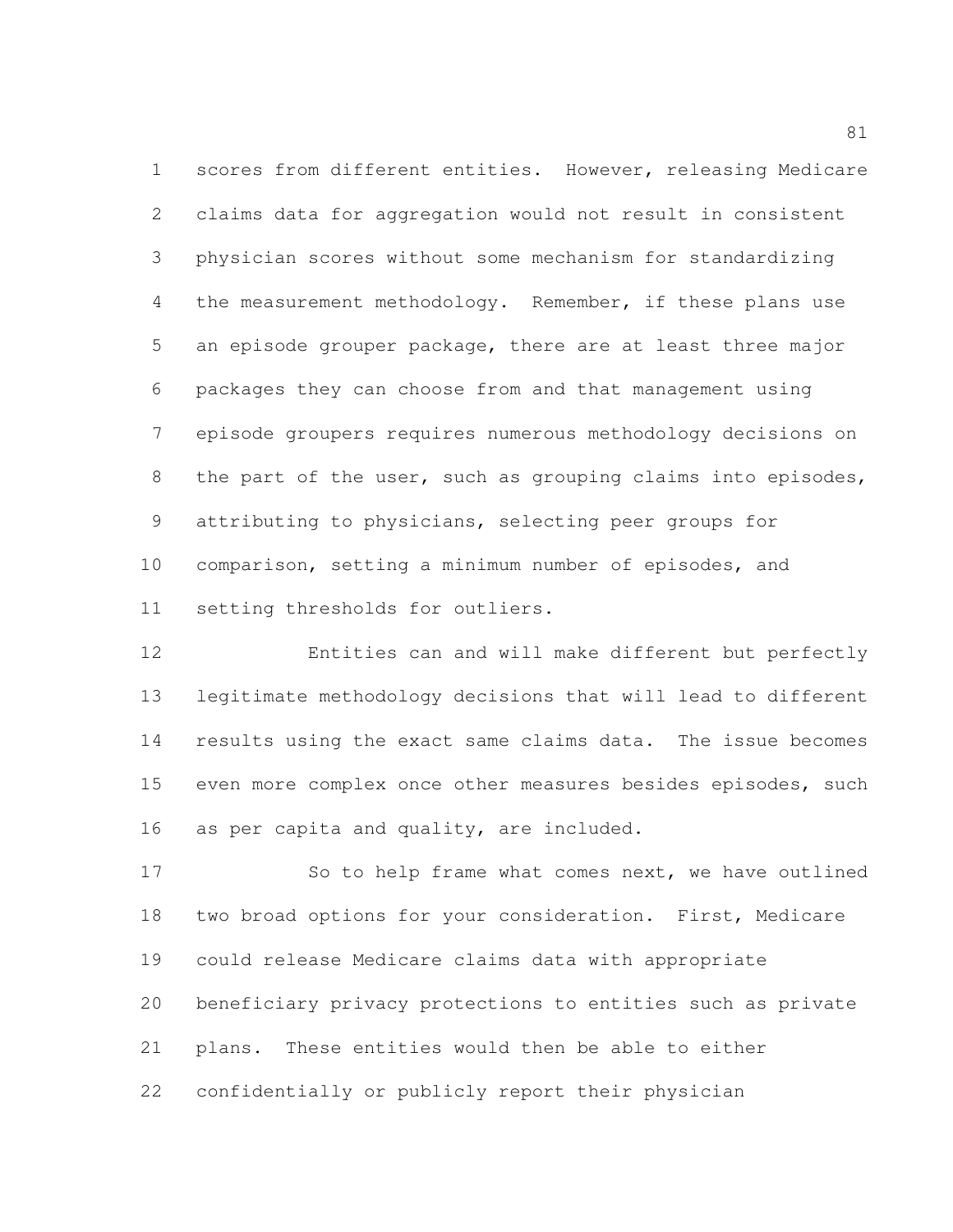scores from different entities. However, releasing Medicare claims data for aggregation would not result in consistent physician scores without some mechanism for standardizing 4 the measurement methodology. Remember, if these plans use an episode grouper package, there are at least three major packages they can choose from and that management using episode groupers requires numerous methodology decisions on 8 the part of the user, such as grouping claims into episodes, attributing to physicians, selecting peer groups for comparison, setting a minimum number of episodes, and setting thresholds for outliers.

 Entities can and will make different but perfectly legitimate methodology decisions that will lead to different results using the exact same claims data. The issue becomes even more complex once other measures besides episodes, such as per capita and quality, are included.

17 So to help frame what comes next, we have outlined two broad options for your consideration. First, Medicare could release Medicare claims data with appropriate beneficiary privacy protections to entities such as private plans. These entities would then be able to either confidentially or publicly report their physician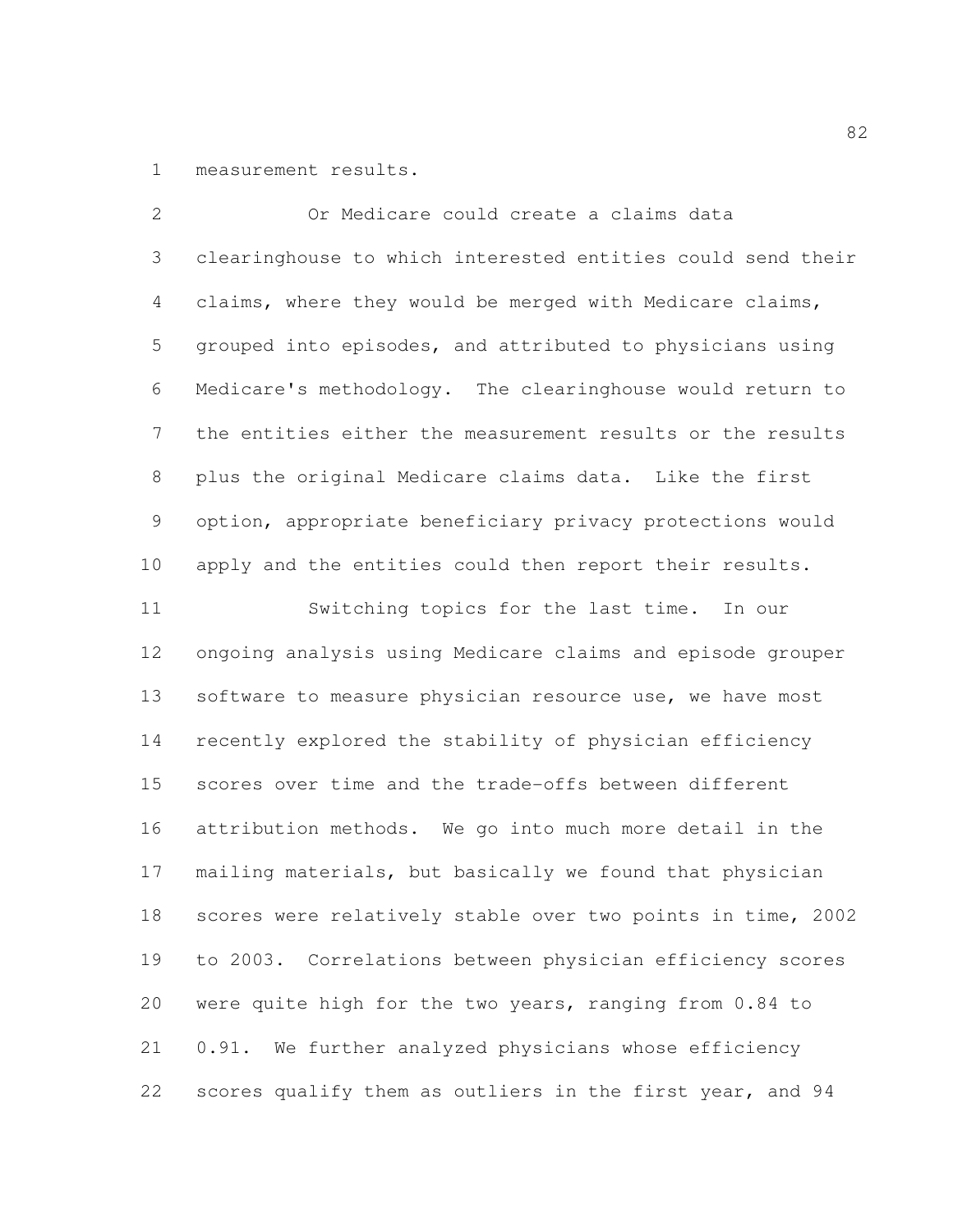measurement results.

 Or Medicare could create a claims data clearinghouse to which interested entities could send their claims, where they would be merged with Medicare claims, grouped into episodes, and attributed to physicians using Medicare's methodology. The clearinghouse would return to the entities either the measurement results or the results plus the original Medicare claims data. Like the first option, appropriate beneficiary privacy protections would apply and the entities could then report their results. Switching topics for the last time. In our ongoing analysis using Medicare claims and episode grouper 13 software to measure physician resource use, we have most recently explored the stability of physician efficiency scores over time and the trade-offs between different attribution methods. We go into much more detail in the mailing materials, but basically we found that physician scores were relatively stable over two points in time, 2002 to 2003. Correlations between physician efficiency scores were quite high for the two years, ranging from 0.84 to 0.91. We further analyzed physicians whose efficiency scores qualify them as outliers in the first year, and 94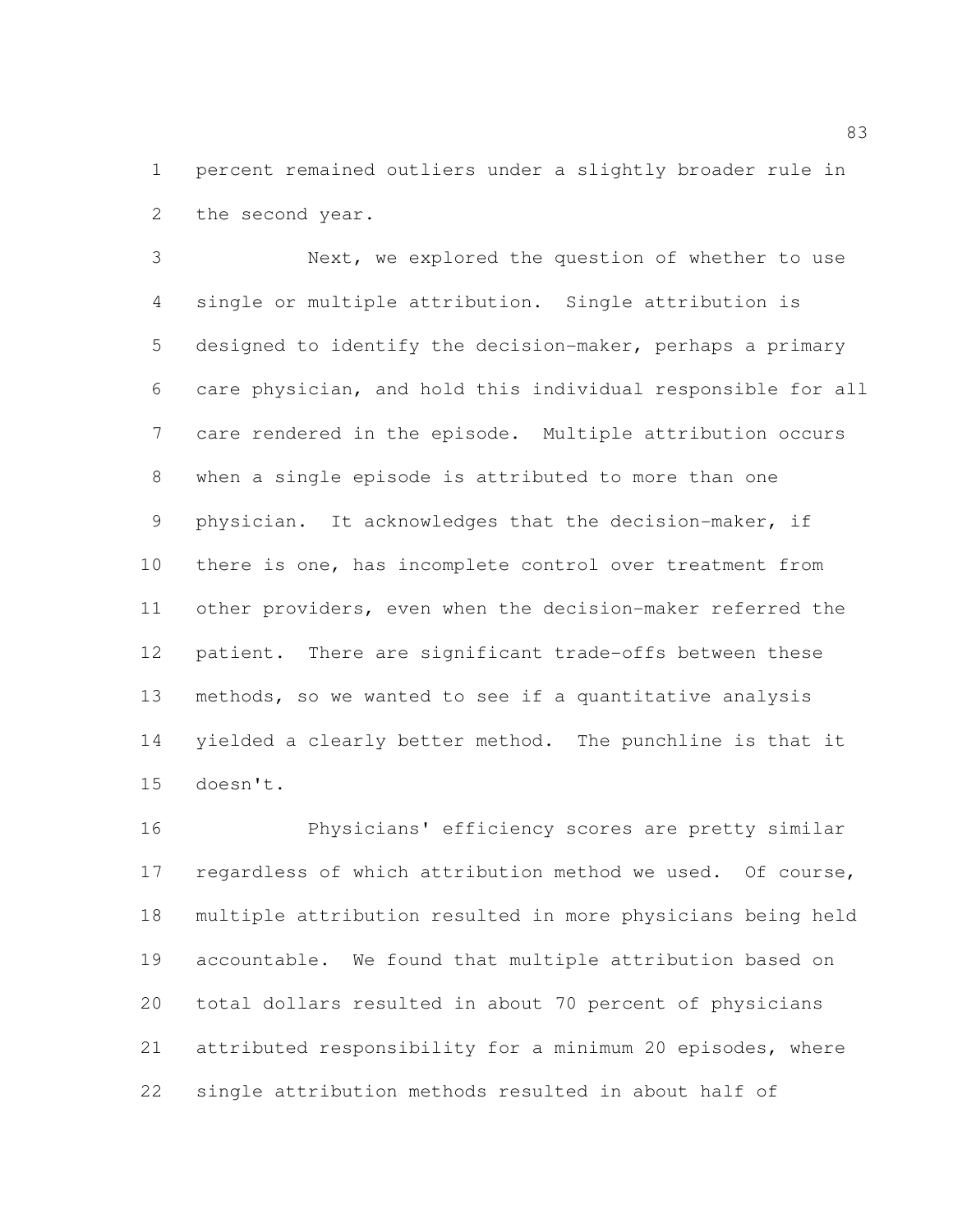percent remained outliers under a slightly broader rule in the second year.

 Next, we explored the question of whether to use single or multiple attribution. Single attribution is designed to identify the decision-maker, perhaps a primary care physician, and hold this individual responsible for all care rendered in the episode. Multiple attribution occurs when a single episode is attributed to more than one physician. It acknowledges that the decision-maker, if there is one, has incomplete control over treatment from other providers, even when the decision-maker referred the patient. There are significant trade-offs between these methods, so we wanted to see if a quantitative analysis yielded a clearly better method. The punchline is that it doesn't.

 Physicians' efficiency scores are pretty similar 17 regardless of which attribution method we used. Of course, multiple attribution resulted in more physicians being held accountable. We found that multiple attribution based on total dollars resulted in about 70 percent of physicians attributed responsibility for a minimum 20 episodes, where single attribution methods resulted in about half of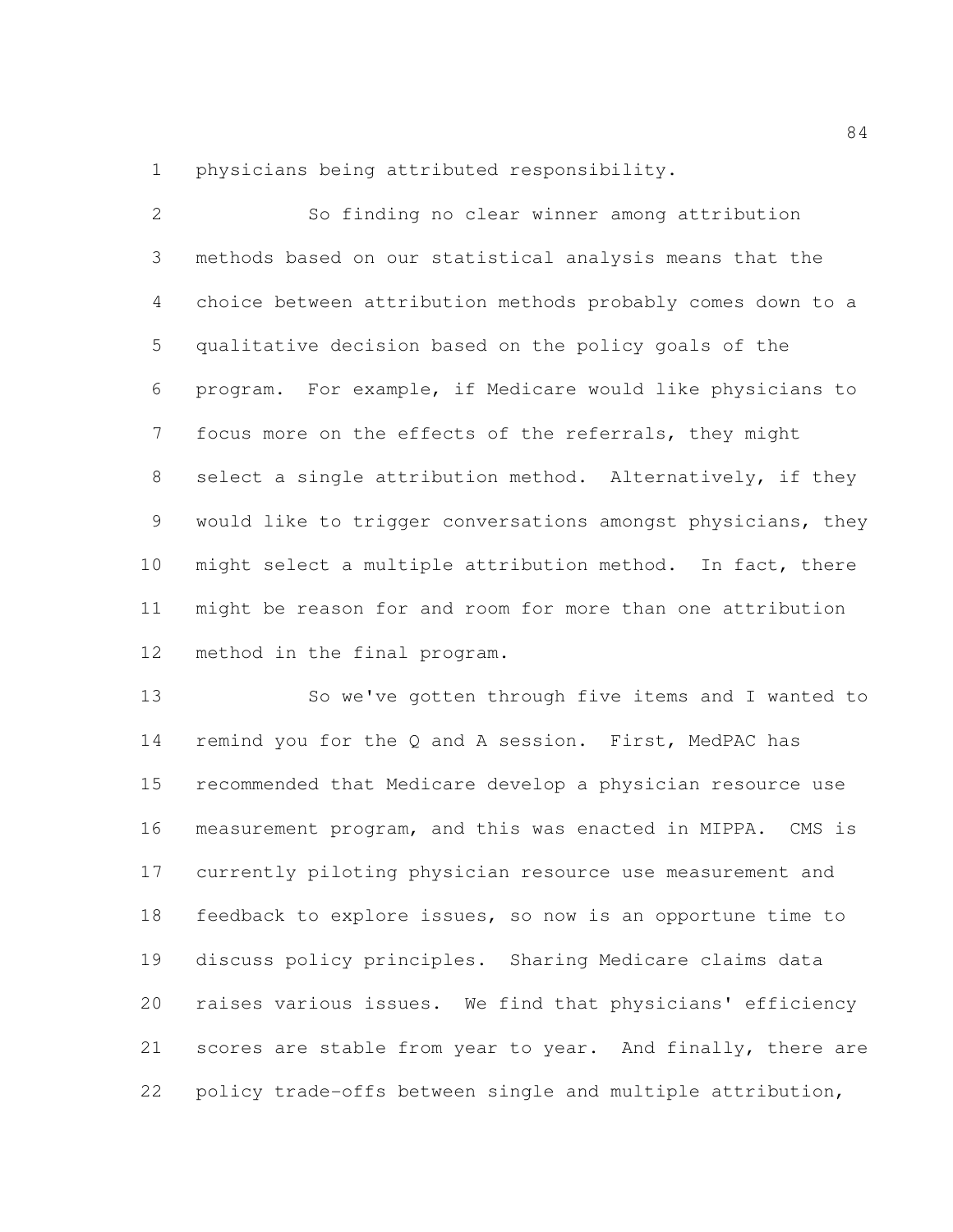physicians being attributed responsibility.

 So finding no clear winner among attribution methods based on our statistical analysis means that the choice between attribution methods probably comes down to a qualitative decision based on the policy goals of the program. For example, if Medicare would like physicians to focus more on the effects of the referrals, they might select a single attribution method. Alternatively, if they would like to trigger conversations amongst physicians, they might select a multiple attribution method. In fact, there might be reason for and room for more than one attribution method in the final program.

 So we've gotten through five items and I wanted to 14 remind you for the Q and A session. First, MedPAC has recommended that Medicare develop a physician resource use measurement program, and this was enacted in MIPPA. CMS is currently piloting physician resource use measurement and feedback to explore issues, so now is an opportune time to discuss policy principles. Sharing Medicare claims data raises various issues. We find that physicians' efficiency 21 scores are stable from year to year. And finally, there are policy trade-offs between single and multiple attribution,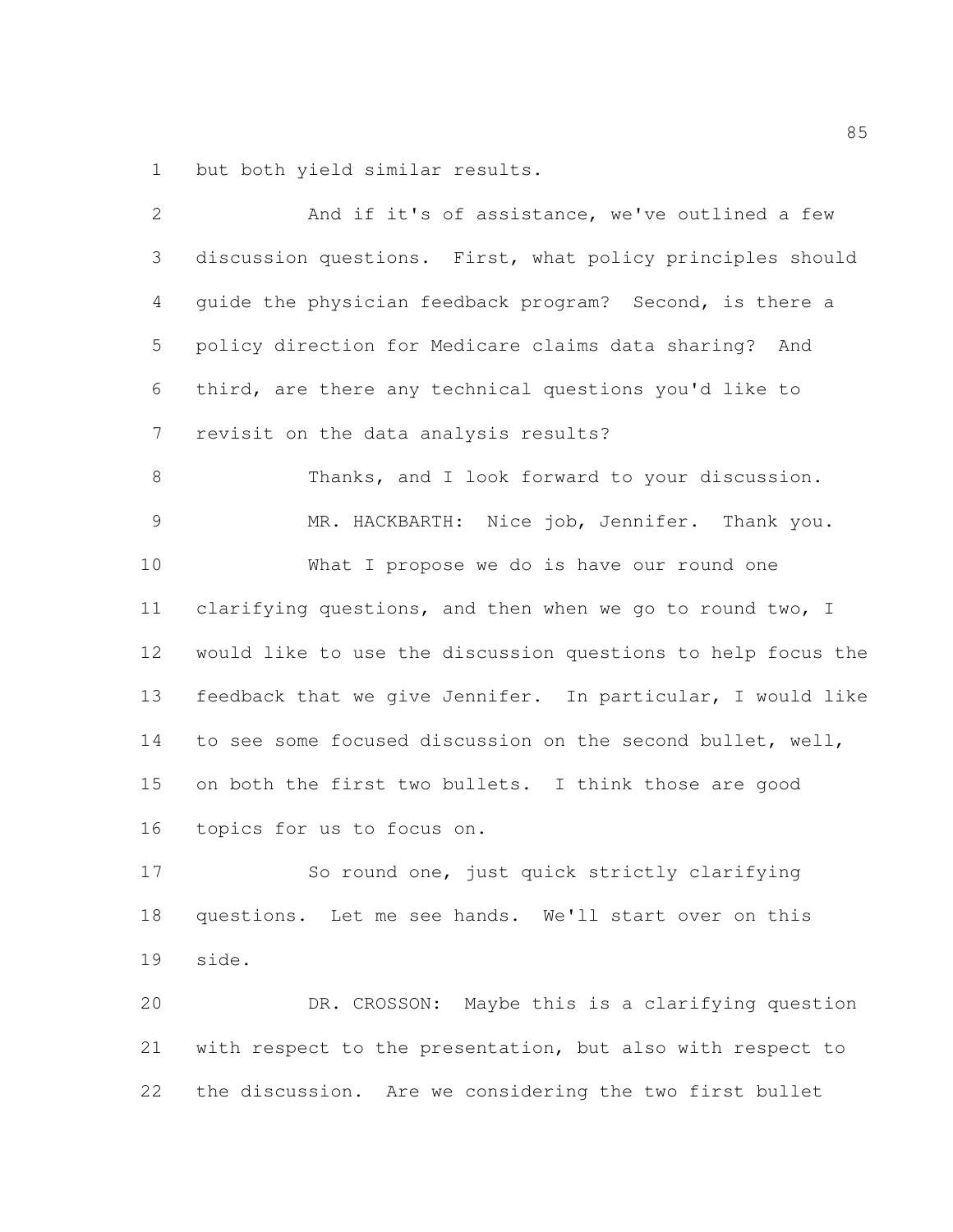but both yield similar results.

| $\mathbf{2}$ | And if it's of assistance, we've outlined a few              |
|--------------|--------------------------------------------------------------|
| 3            | discussion questions. First, what policy principles should   |
| 4            | guide the physician feedback program? Second, is there a     |
| 5            | policy direction for Medicare claims data sharing? And       |
| 6            | third, are there any technical questions you'd like to       |
| 7            | revisit on the data analysis results?                        |
| $\,8\,$      | Thanks, and I look forward to your discussion.               |
| 9            | MR. HACKBARTH: Nice job, Jennifer. Thank you.                |
| 10           | What I propose we do is have our round one                   |
| 11           | clarifying questions, and then when we go to round two, I    |
| 12           | would like to use the discussion questions to help focus the |
| 13           | feedback that we give Jennifer. In particular, I would like  |
| 14           | to see some focused discussion on the second bullet, well,   |
| 15           | on both the first two bullets. I think those are good        |
| 16           | topics for us to focus on.                                   |
| 17           | So round one, just quick strictly clarifying                 |
| 18           | questions. Let me see hands. We'll start over on this        |
| 19           | side.                                                        |
| 20           | DR. CROSSON: Maybe this is a clarifying question             |
| 21           | with respect to the presentation, but also with respect to   |
| 22           | the discussion. Are we considering the two first bullet      |
|              |                                                              |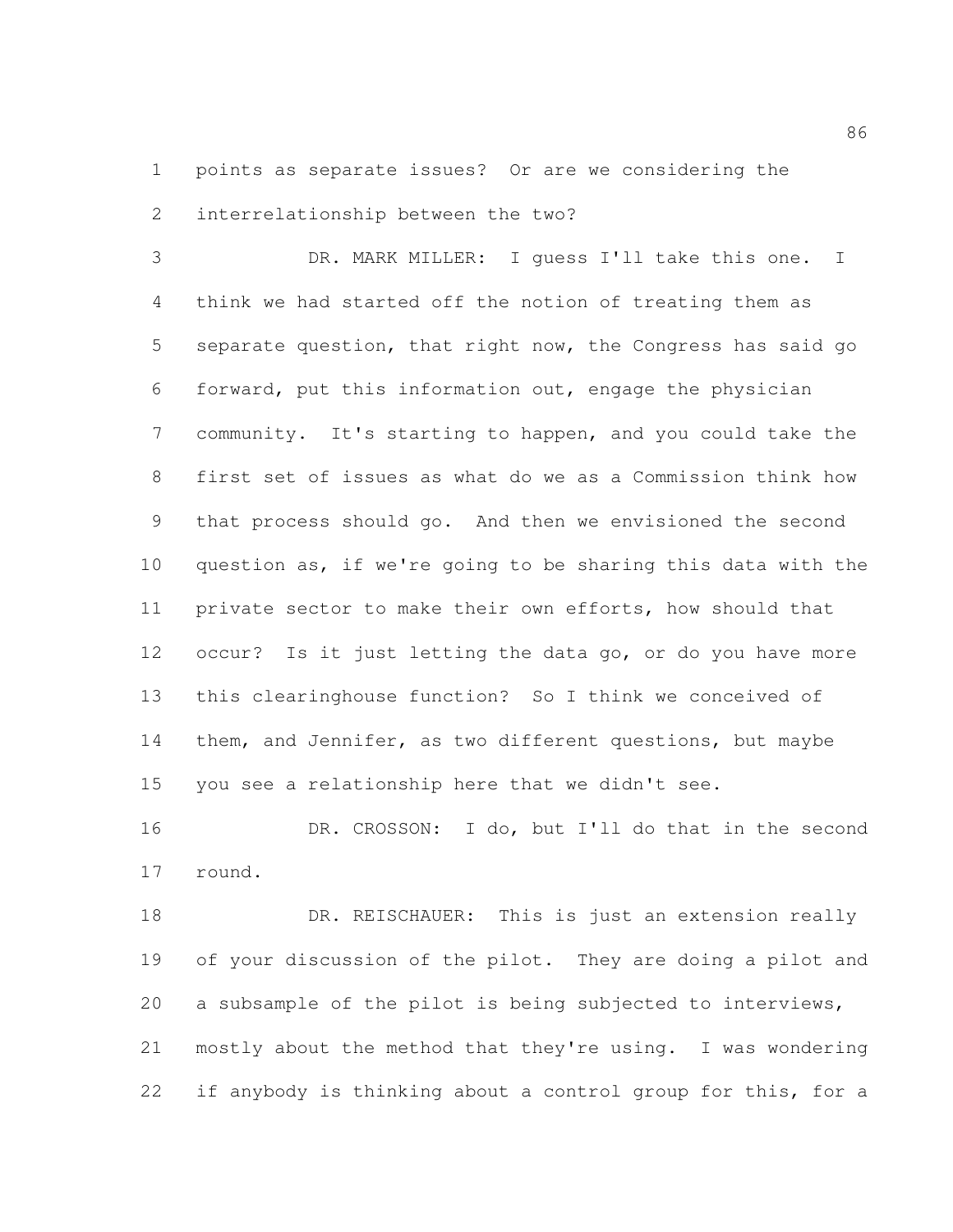points as separate issues? Or are we considering the interrelationship between the two?

 DR. MARK MILLER: I guess I'll take this one. I think we had started off the notion of treating them as separate question, that right now, the Congress has said go forward, put this information out, engage the physician community. It's starting to happen, and you could take the first set of issues as what do we as a Commission think how that process should go. And then we envisioned the second question as, if we're going to be sharing this data with the private sector to make their own efforts, how should that occur? Is it just letting the data go, or do you have more this clearinghouse function? So I think we conceived of them, and Jennifer, as two different questions, but maybe you see a relationship here that we didn't see.

 DR. CROSSON: I do, but I'll do that in the second round.

18 DR. REISCHAUER: This is just an extension really of your discussion of the pilot. They are doing a pilot and a subsample of the pilot is being subjected to interviews, mostly about the method that they're using. I was wondering 22 if anybody is thinking about a control group for this, for a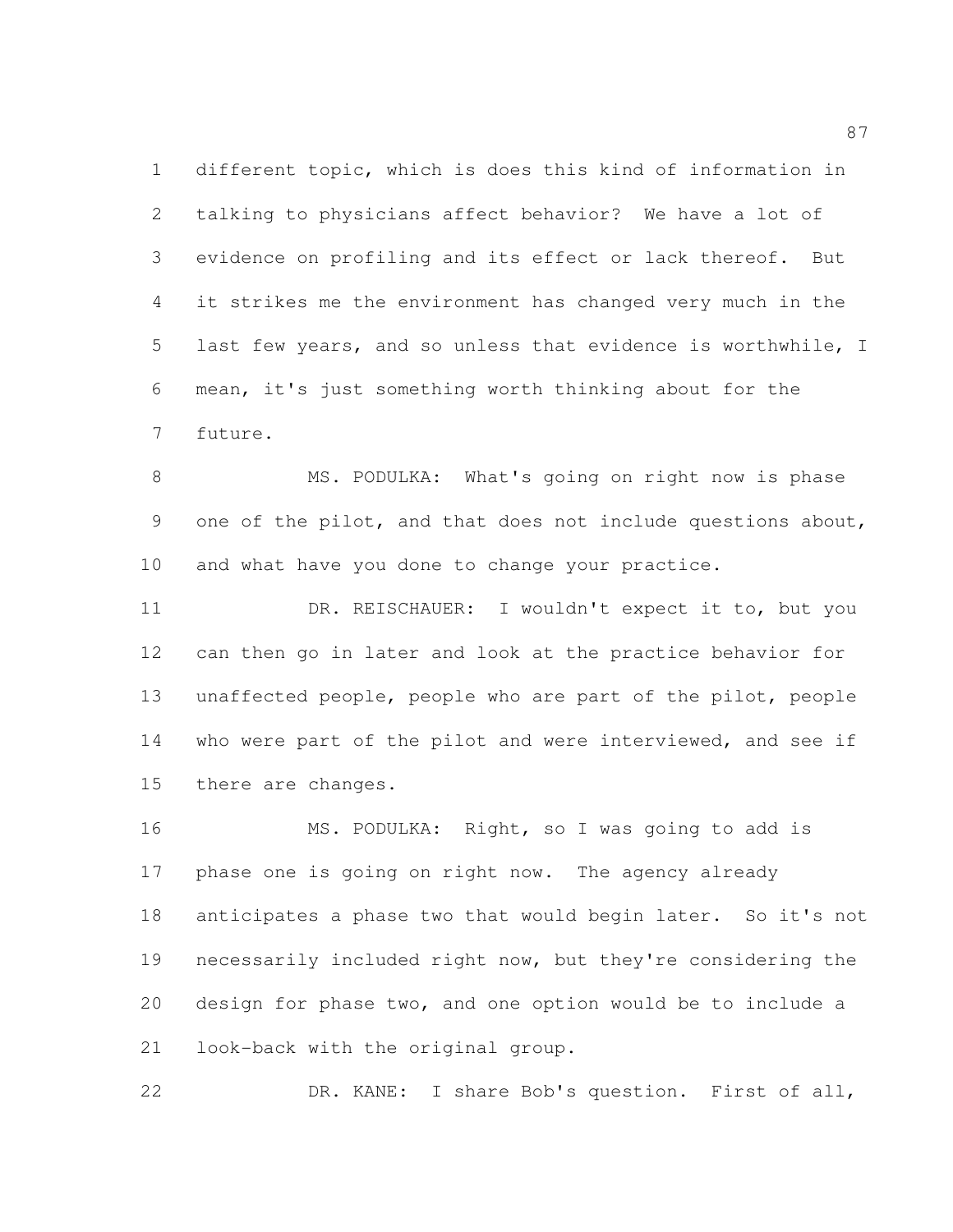different topic, which is does this kind of information in talking to physicians affect behavior? We have a lot of evidence on profiling and its effect or lack thereof. But it strikes me the environment has changed very much in the last few years, and so unless that evidence is worthwhile, I mean, it's just something worth thinking about for the future.

8 MS. PODULKA: What's going on right now is phase one of the pilot, and that does not include questions about, and what have you done to change your practice.

 DR. REISCHAUER: I wouldn't expect it to, but you can then go in later and look at the practice behavior for unaffected people, people who are part of the pilot, people who were part of the pilot and were interviewed, and see if there are changes.

 MS. PODULKA: Right, so I was going to add is 17 phase one is going on right now. The agency already 18 anticipates a phase two that would begin later. So it's not necessarily included right now, but they're considering the design for phase two, and one option would be to include a look-back with the original group.

DR. KANE: I share Bob's question. First of all,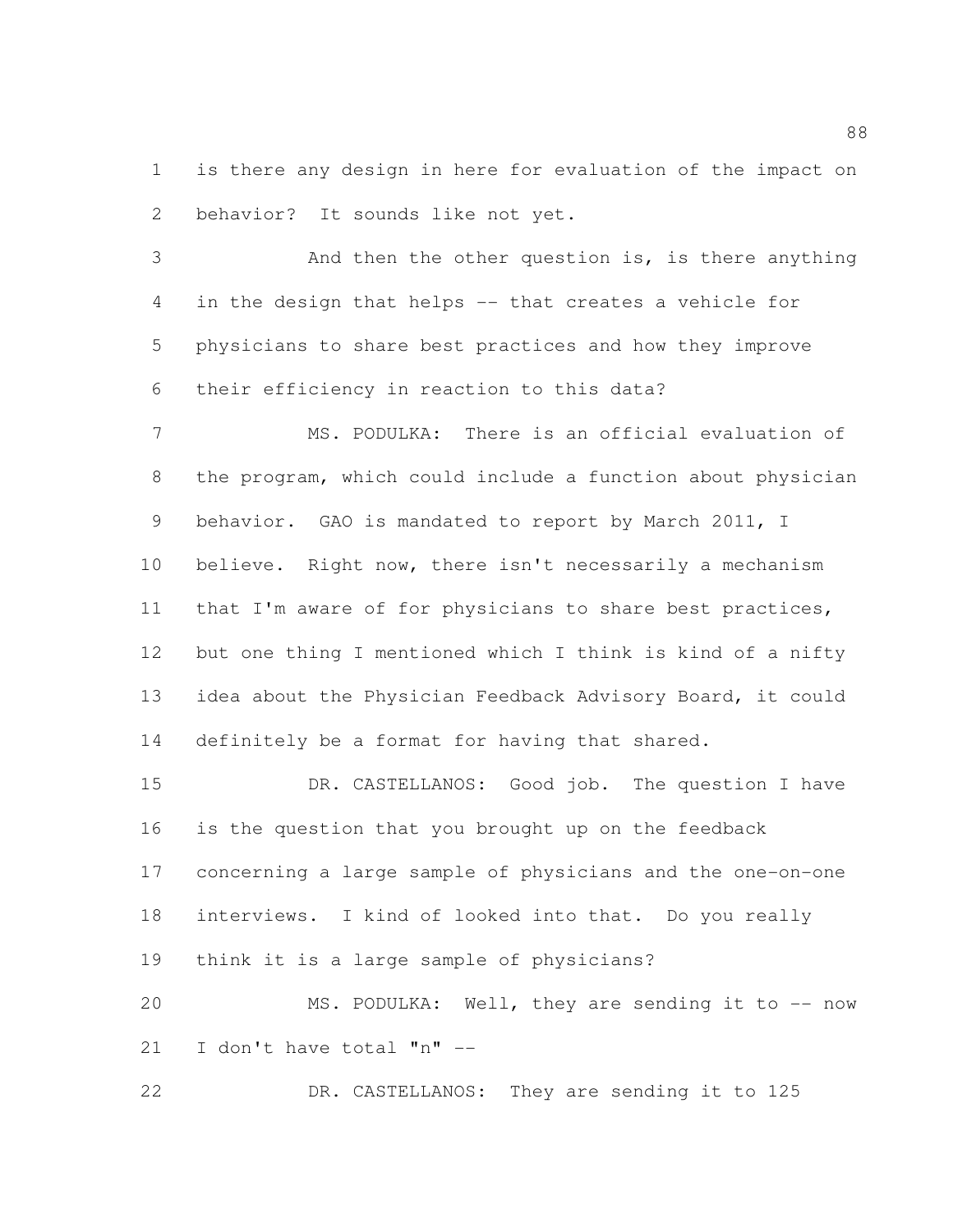is there any design in here for evaluation of the impact on behavior? It sounds like not yet.

 And then the other question is, is there anything in the design that helps -- that creates a vehicle for physicians to share best practices and how they improve their efficiency in reaction to this data?

 MS. PODULKA: There is an official evaluation of the program, which could include a function about physician behavior. GAO is mandated to report by March 2011, I believe. Right now, there isn't necessarily a mechanism 11 that I'm aware of for physicians to share best practices, but one thing I mentioned which I think is kind of a nifty idea about the Physician Feedback Advisory Board, it could definitely be a format for having that shared.

 DR. CASTELLANOS: Good job. The question I have is the question that you brought up on the feedback concerning a large sample of physicians and the one-on-one interviews. I kind of looked into that. Do you really think it is a large sample of physicians?

 MS. PODULKA: Well, they are sending it to -- now I don't have total "n" --

DR. CASTELLANOS: They are sending it to 125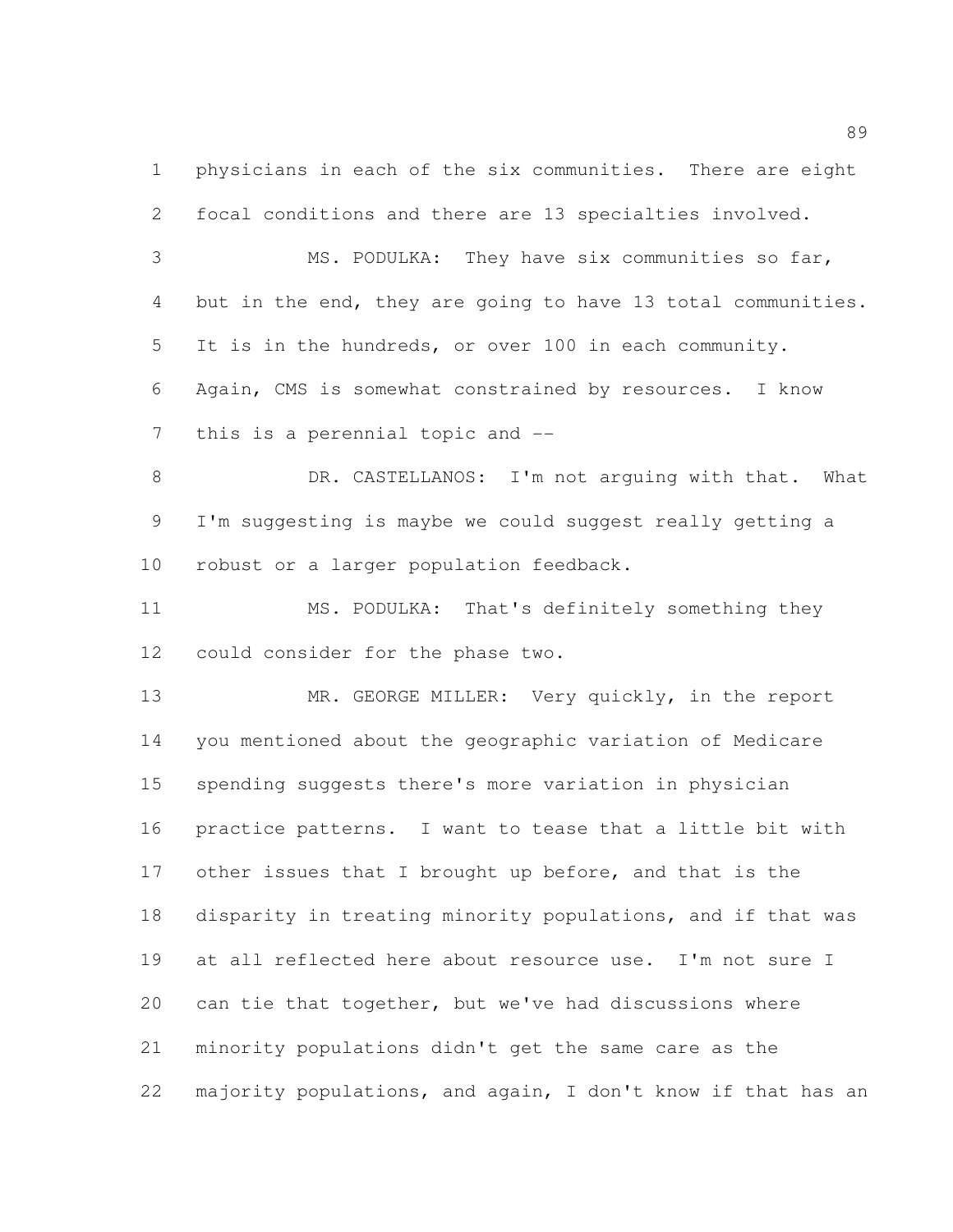physicians in each of the six communities. There are eight focal conditions and there are 13 specialties involved.

 MS. PODULKA: They have six communities so far, but in the end, they are going to have 13 total communities. It is in the hundreds, or over 100 in each community. Again, CMS is somewhat constrained by resources. I know this is a perennial topic and --

8 DR. CASTELLANOS: I'm not arguing with that. What I'm suggesting is maybe we could suggest really getting a robust or a larger population feedback.

 MS. PODULKA: That's definitely something they could consider for the phase two.

 MR. GEORGE MILLER: Very quickly, in the report you mentioned about the geographic variation of Medicare spending suggests there's more variation in physician practice patterns. I want to tease that a little bit with other issues that I brought up before, and that is the disparity in treating minority populations, and if that was at all reflected here about resource use. I'm not sure I can tie that together, but we've had discussions where minority populations didn't get the same care as the majority populations, and again, I don't know if that has an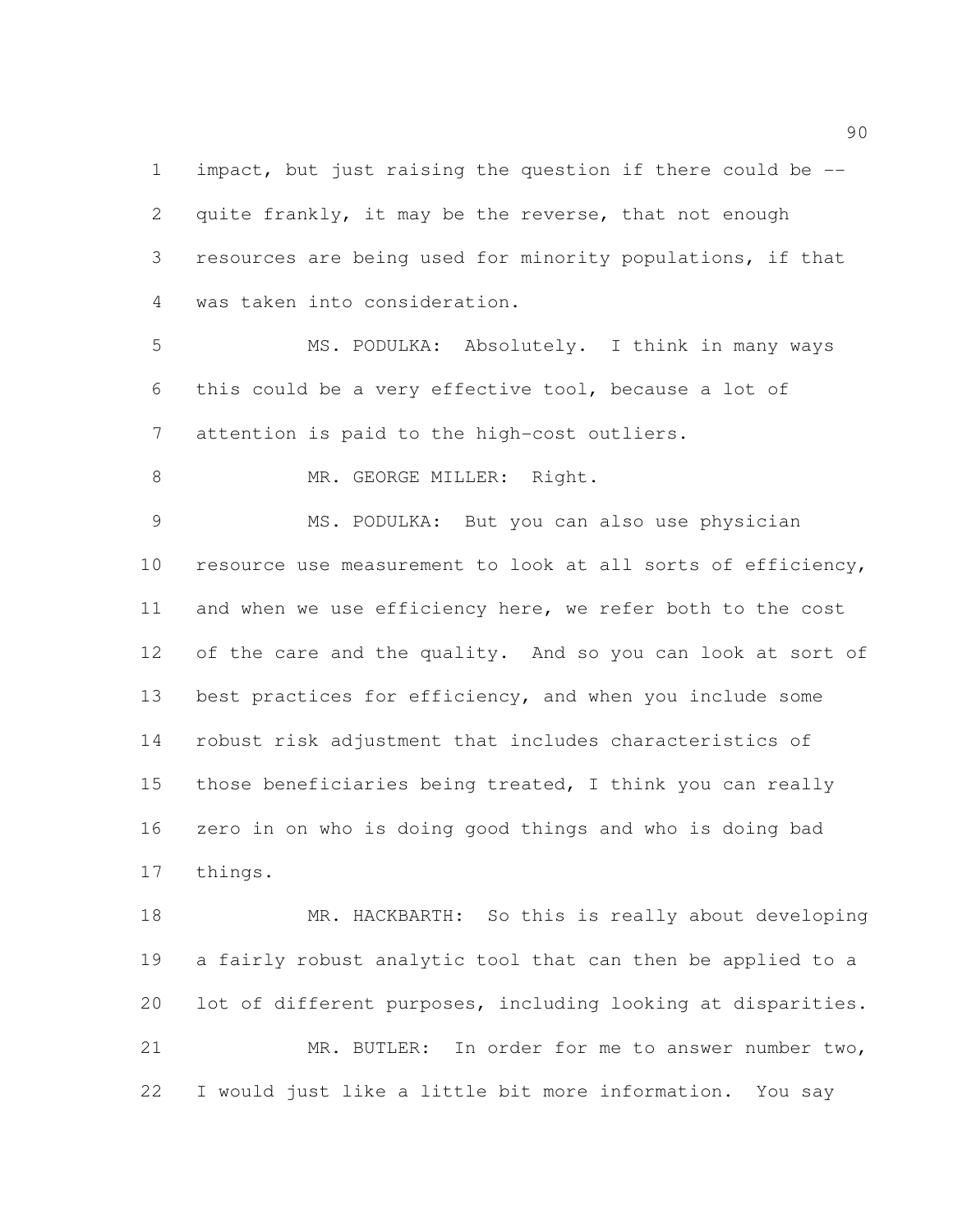impact, but just raising the question if there could be -- quite frankly, it may be the reverse, that not enough resources are being used for minority populations, if that was taken into consideration.

 MS. PODULKA: Absolutely. I think in many ways this could be a very effective tool, because a lot of attention is paid to the high-cost outliers.

8 MR. GEORGE MILLER: Right.

 MS. PODULKA: But you can also use physician resource use measurement to look at all sorts of efficiency, 11 and when we use efficiency here, we refer both to the cost 12 of the care and the quality. And so you can look at sort of best practices for efficiency, and when you include some robust risk adjustment that includes characteristics of those beneficiaries being treated, I think you can really zero in on who is doing good things and who is doing bad things.

 MR. HACKBARTH: So this is really about developing a fairly robust analytic tool that can then be applied to a lot of different purposes, including looking at disparities. MR. BUTLER: In order for me to answer number two, I would just like a little bit more information. You say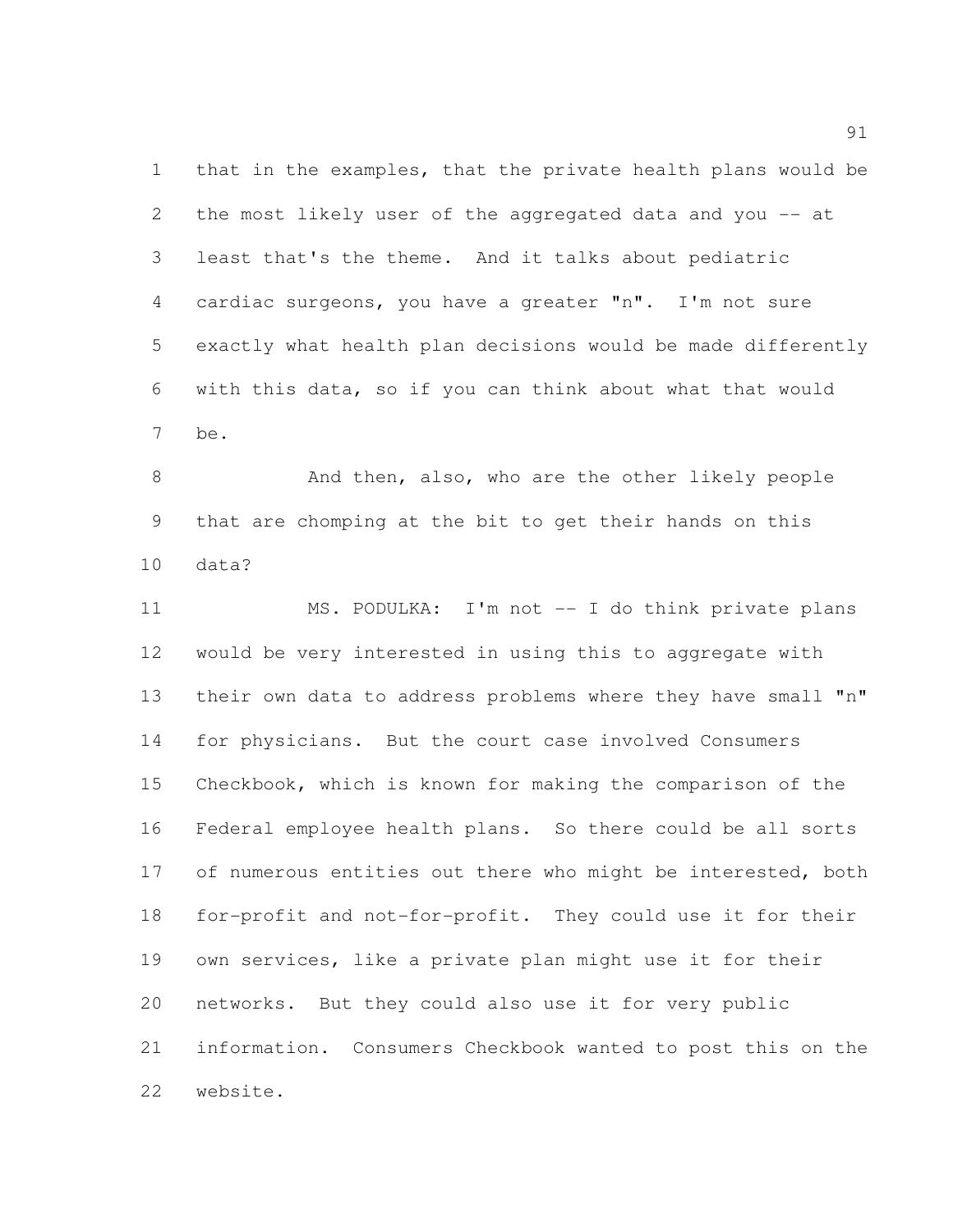that in the examples, that the private health plans would be the most likely user of the aggregated data and you -- at least that's the theme. And it talks about pediatric cardiac surgeons, you have a greater "n". I'm not sure exactly what health plan decisions would be made differently with this data, so if you can think about what that would be.

8 And then, also, who are the other likely people that are chomping at the bit to get their hands on this data?

 MS. PODULKA: I'm not -- I do think private plans would be very interested in using this to aggregate with their own data to address problems where they have small "n" for physicians. But the court case involved Consumers Checkbook, which is known for making the comparison of the Federal employee health plans. So there could be all sorts 17 of numerous entities out there who might be interested, both for-profit and not-for-profit. They could use it for their own services, like a private plan might use it for their networks. But they could also use it for very public information. Consumers Checkbook wanted to post this on the website.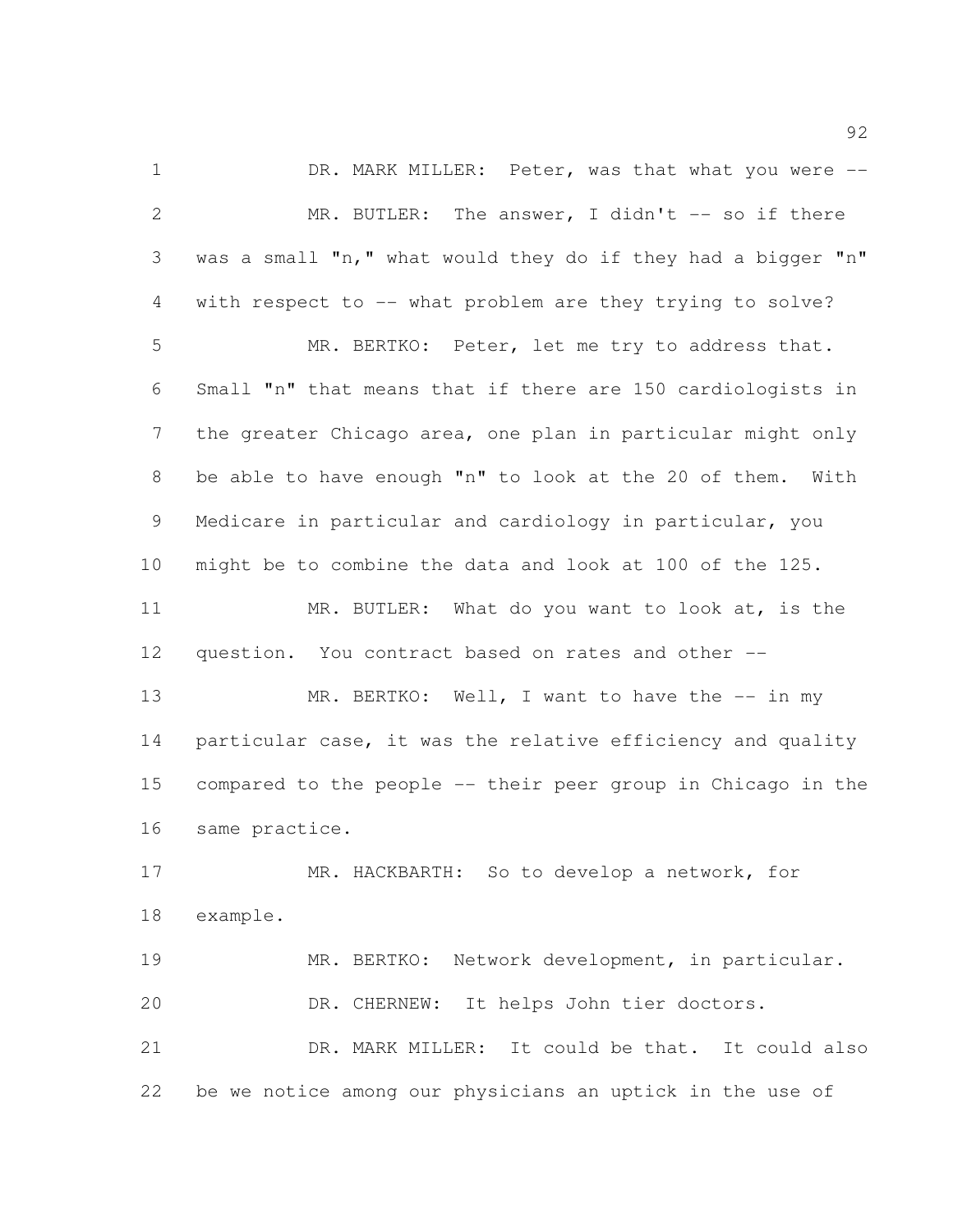1 DR. MARK MILLER: Peter, was that what you were --2 MR. BUTLER: The answer, I didn't -- so if there was a small "n," what would they do if they had a bigger "n" with respect to -- what problem are they trying to solve? MR. BERTKO: Peter, let me try to address that. Small "n" that means that if there are 150 cardiologists in the greater Chicago area, one plan in particular might only be able to have enough "n" to look at the 20 of them. With Medicare in particular and cardiology in particular, you might be to combine the data and look at 100 of the 125. MR. BUTLER: What do you want to look at, is the question. You contract based on rates and other -- 13 MR. BERTKO: Well, I want to have the -- in my 14 particular case, it was the relative efficiency and quality compared to the people -- their peer group in Chicago in the same practice. MR. HACKBARTH: So to develop a network, for example. MR. BERTKO: Network development, in particular. DR. CHERNEW: It helps John tier doctors. DR. MARK MILLER: It could be that. It could also be we notice among our physicians an uptick in the use of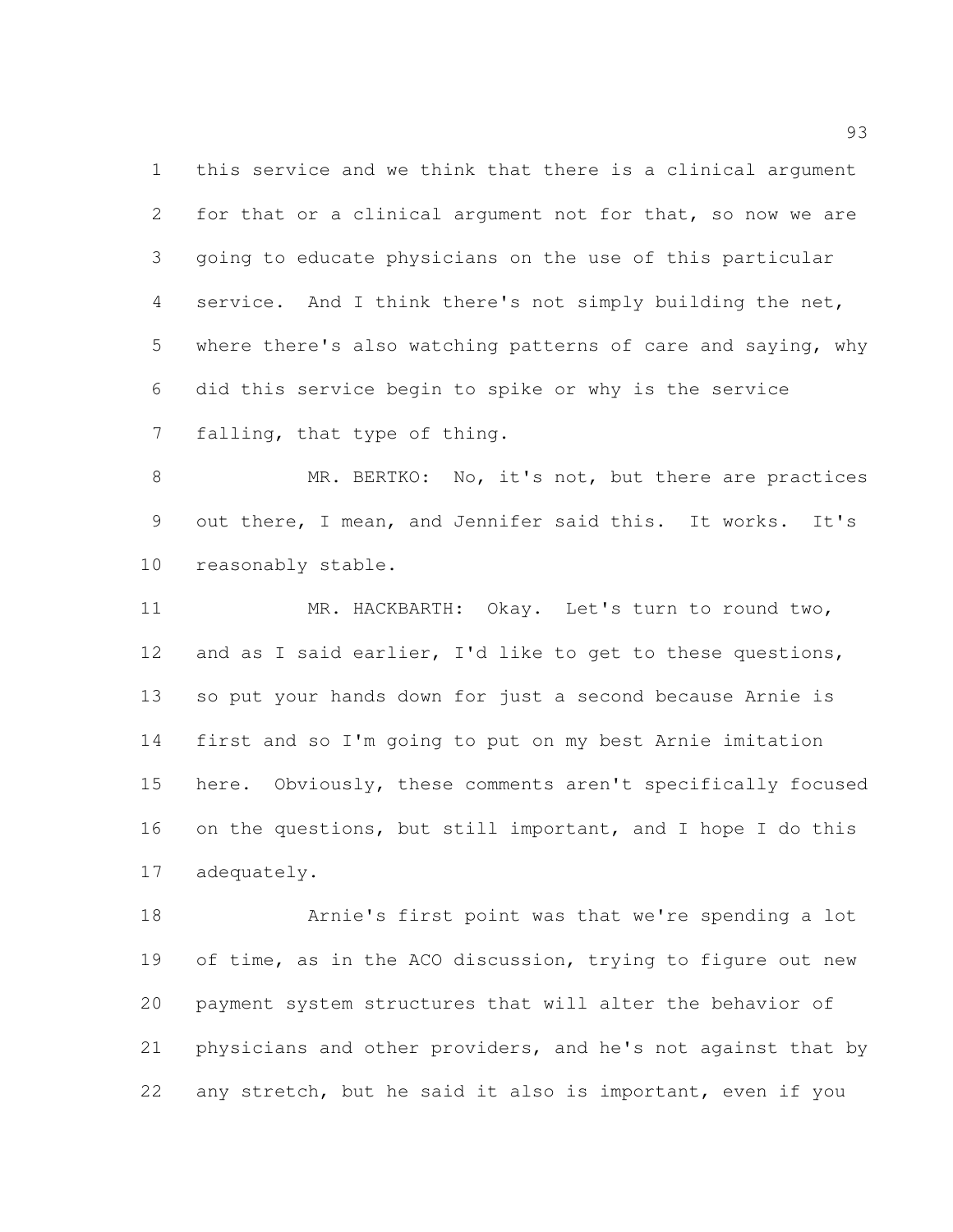this service and we think that there is a clinical argument for that or a clinical argument not for that, so now we are going to educate physicians on the use of this particular service. And I think there's not simply building the net, where there's also watching patterns of care and saying, why did this service begin to spike or why is the service falling, that type of thing.

8 MR. BERTKO: No, it's not, but there are practices out there, I mean, and Jennifer said this. It works. It's reasonably stable.

 MR. HACKBARTH: Okay. Let's turn to round two, and as I said earlier, I'd like to get to these questions, so put your hands down for just a second because Arnie is first and so I'm going to put on my best Arnie imitation here. Obviously, these comments aren't specifically focused on the questions, but still important, and I hope I do this adequately.

 Arnie's first point was that we're spending a lot 19 of time, as in the ACO discussion, trying to figure out new payment system structures that will alter the behavior of physicians and other providers, and he's not against that by any stretch, but he said it also is important, even if you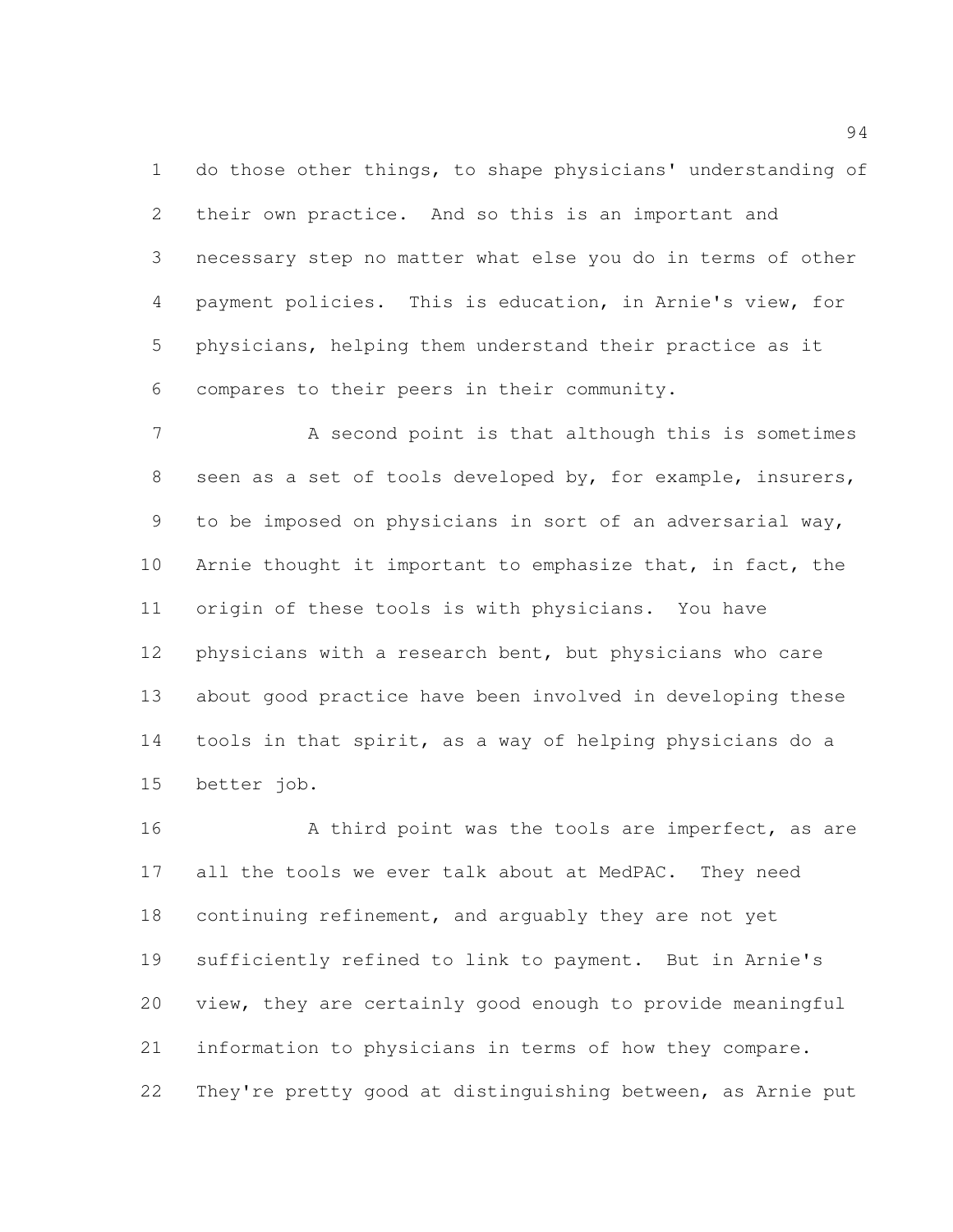do those other things, to shape physicians' understanding of their own practice. And so this is an important and necessary step no matter what else you do in terms of other payment policies. This is education, in Arnie's view, for physicians, helping them understand their practice as it compares to their peers in their community.

7 A second point is that although this is sometimes seen as a set of tools developed by, for example, insurers, to be imposed on physicians in sort of an adversarial way, 10 Arnie thought it important to emphasize that, in fact, the origin of these tools is with physicians. You have physicians with a research bent, but physicians who care about good practice have been involved in developing these tools in that spirit, as a way of helping physicians do a better job.

16 A third point was the tools are imperfect, as are 17 all the tools we ever talk about at MedPAC. They need continuing refinement, and arguably they are not yet sufficiently refined to link to payment. But in Arnie's view, they are certainly good enough to provide meaningful information to physicians in terms of how they compare. They're pretty good at distinguishing between, as Arnie put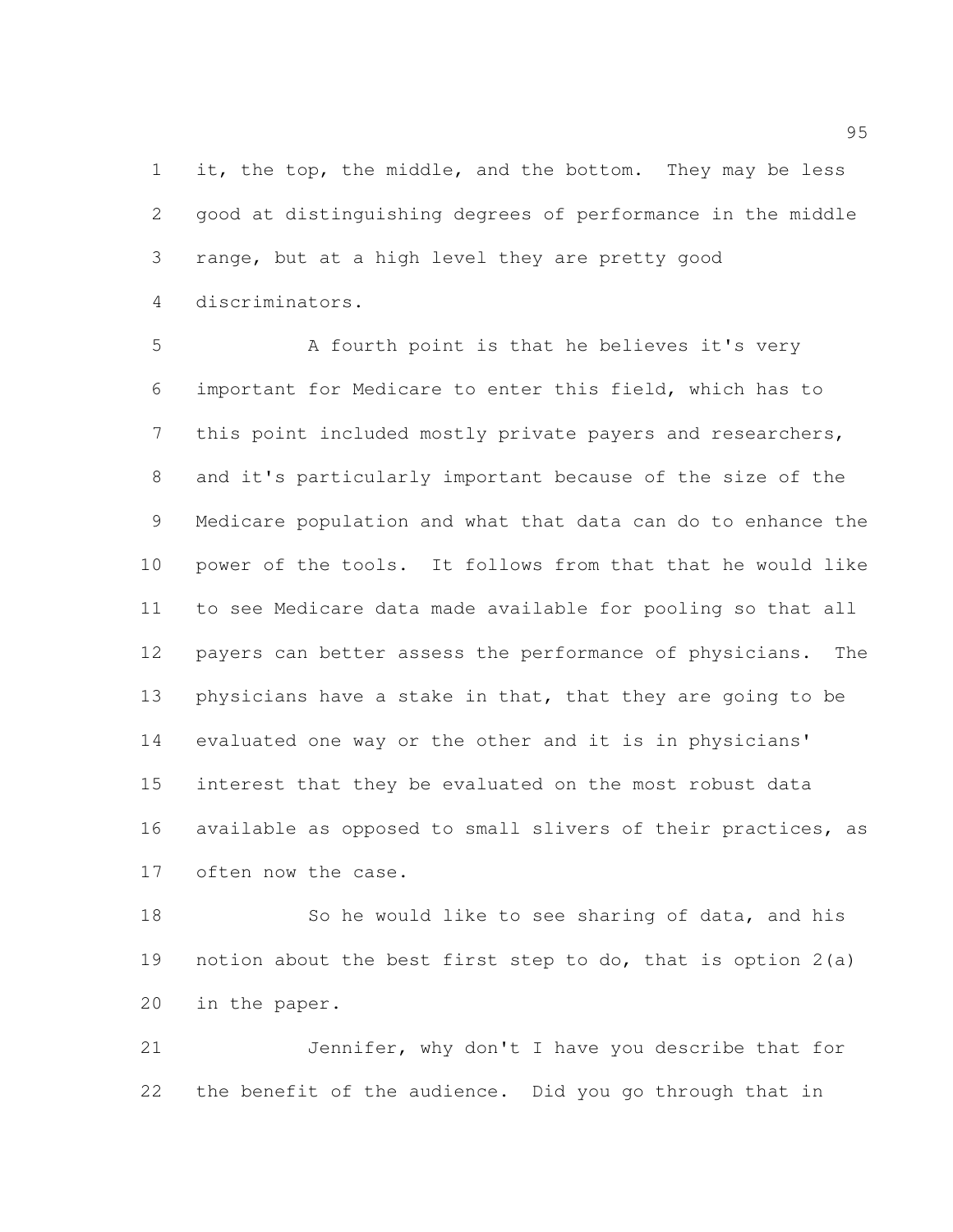1 it, the top, the middle, and the bottom. They may be less good at distinguishing degrees of performance in the middle range, but at a high level they are pretty good discriminators.

5 A fourth point is that he believes it's very important for Medicare to enter this field, which has to this point included mostly private payers and researchers, and it's particularly important because of the size of the Medicare population and what that data can do to enhance the power of the tools. It follows from that that he would like to see Medicare data made available for pooling so that all payers can better assess the performance of physicians. The 13 physicians have a stake in that, that they are going to be evaluated one way or the other and it is in physicians' interest that they be evaluated on the most robust data available as opposed to small slivers of their practices, as often now the case.

18 So he would like to see sharing of data, and his notion about the best first step to do, that is option 2(a) in the paper.

 Jennifer, why don't I have you describe that for the benefit of the audience. Did you go through that in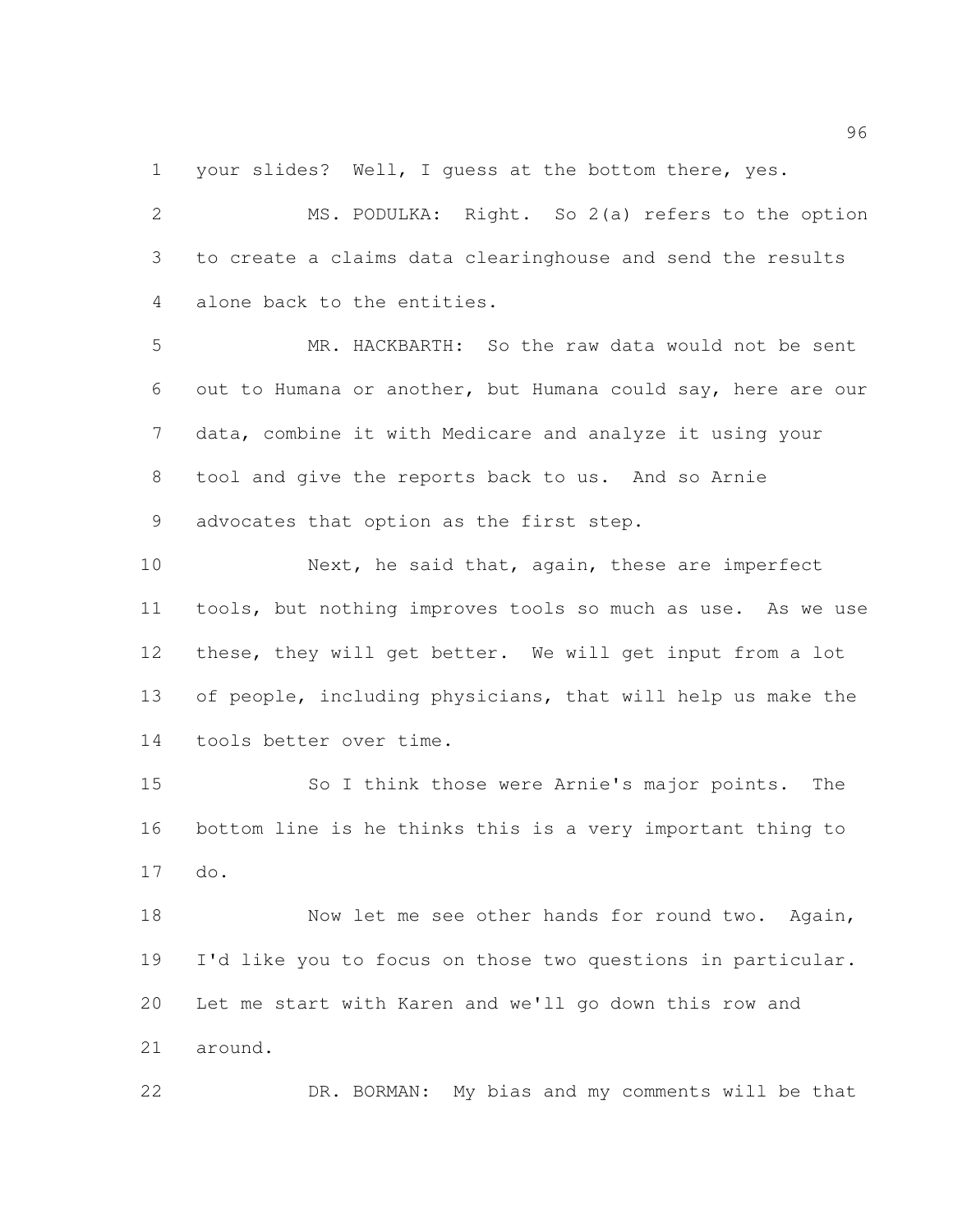your slides? Well, I guess at the bottom there, yes.

 MS. PODULKA: Right. So 2(a) refers to the option to create a claims data clearinghouse and send the results alone back to the entities.

 MR. HACKBARTH: So the raw data would not be sent out to Humana or another, but Humana could say, here are our data, combine it with Medicare and analyze it using your tool and give the reports back to us. And so Arnie advocates that option as the first step.

10 Next, he said that, again, these are imperfect tools, but nothing improves tools so much as use. As we use these, they will get better. We will get input from a lot of people, including physicians, that will help us make the tools better over time.

 So I think those were Arnie's major points. The bottom line is he thinks this is a very important thing to do.

18 Now let me see other hands for round two. Again, I'd like you to focus on those two questions in particular. Let me start with Karen and we'll go down this row and around.

DR. BORMAN: My bias and my comments will be that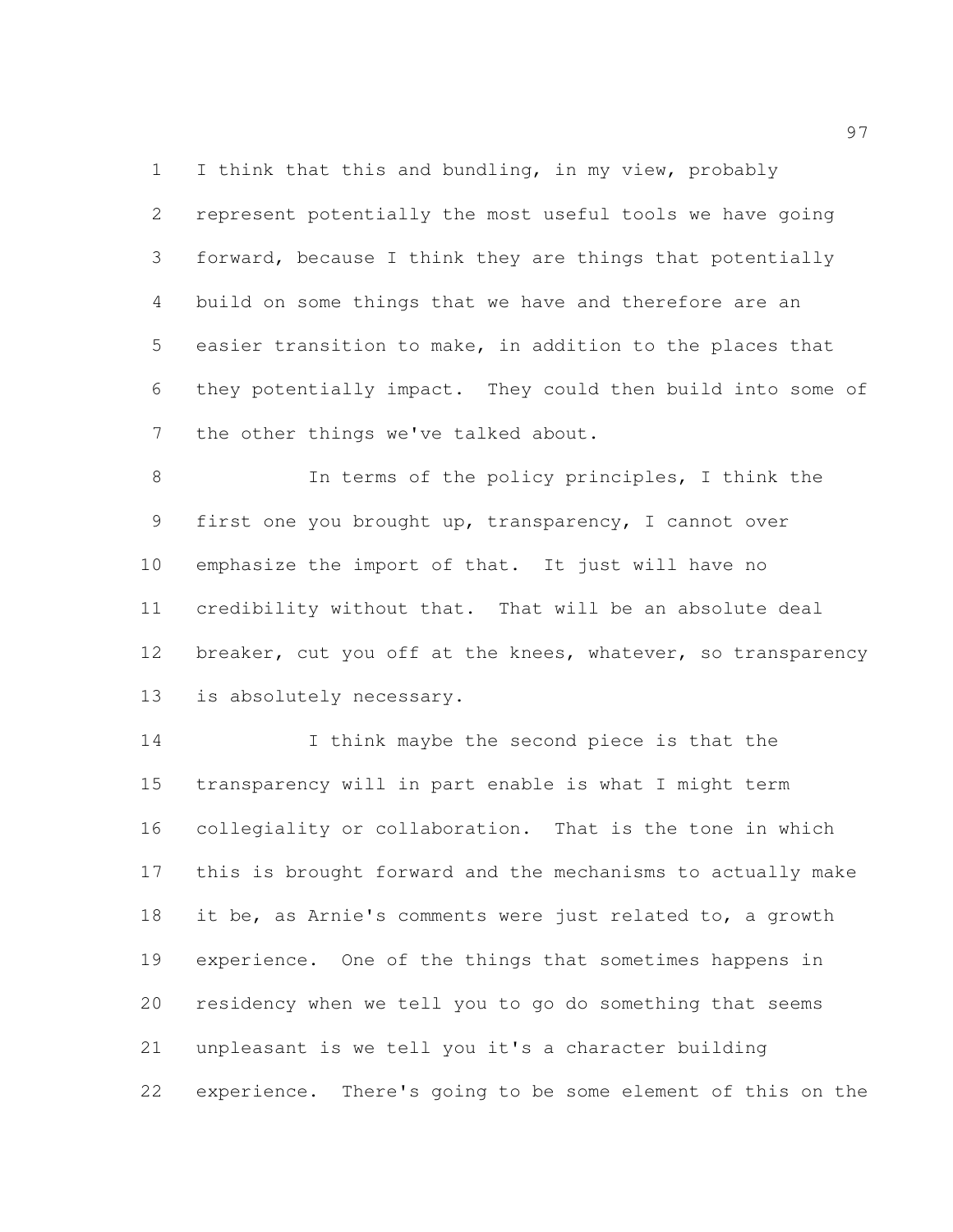I think that this and bundling, in my view, probably represent potentially the most useful tools we have going forward, because I think they are things that potentially build on some things that we have and therefore are an easier transition to make, in addition to the places that they potentially impact. They could then build into some of the other things we've talked about.

 In terms of the policy principles, I think the first one you brought up, transparency, I cannot over emphasize the import of that. It just will have no credibility without that. That will be an absolute deal 12 breaker, cut you off at the knees, whatever, so transparency is absolutely necessary.

14 I think maybe the second piece is that the transparency will in part enable is what I might term collegiality or collaboration. That is the tone in which this is brought forward and the mechanisms to actually make it be, as Arnie's comments were just related to, a growth experience. One of the things that sometimes happens in residency when we tell you to go do something that seems unpleasant is we tell you it's a character building experience. There's going to be some element of this on the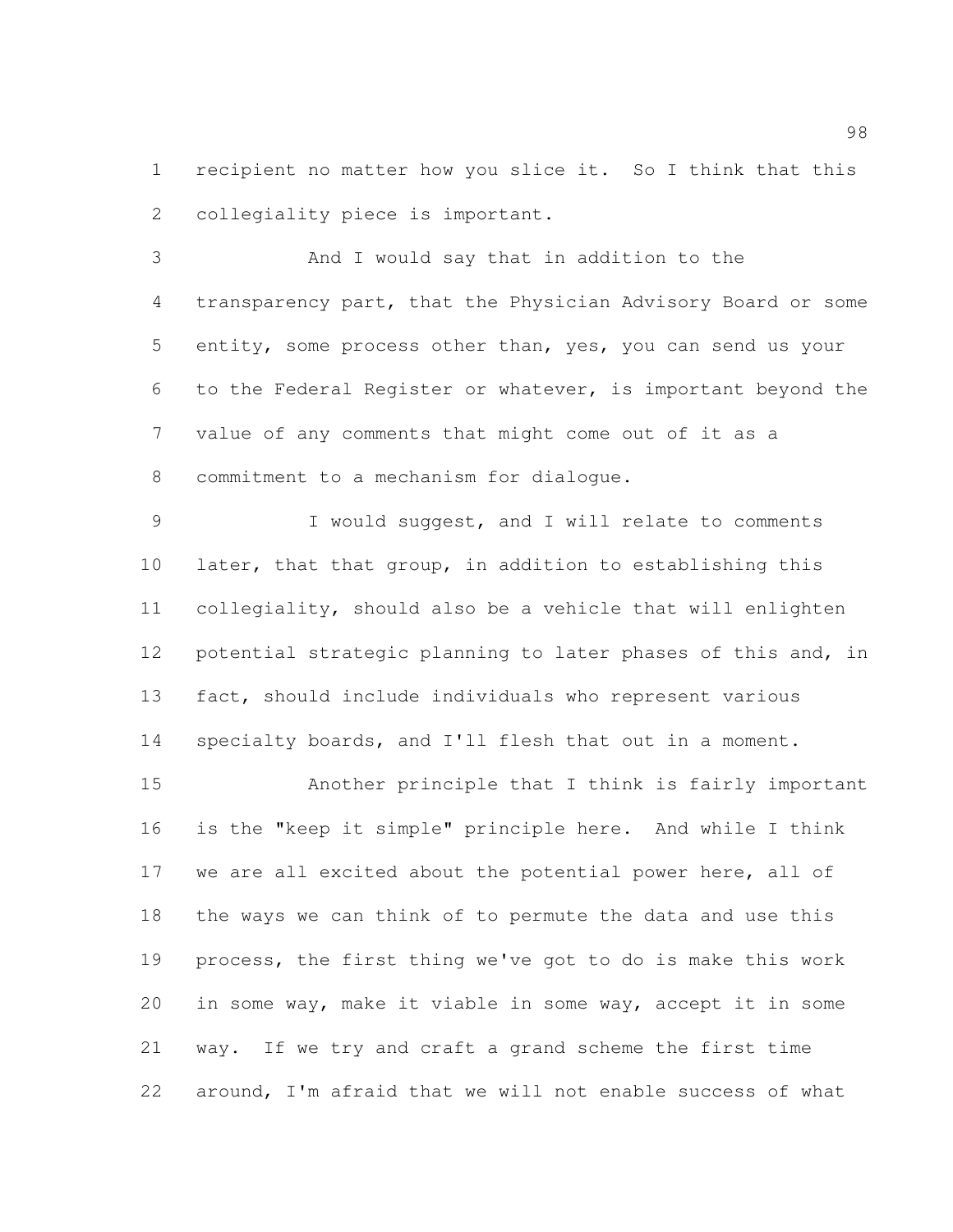recipient no matter how you slice it. So I think that this collegiality piece is important.

 And I would say that in addition to the transparency part, that the Physician Advisory Board or some entity, some process other than, yes, you can send us your to the Federal Register or whatever, is important beyond the value of any comments that might come out of it as a commitment to a mechanism for dialogue.

 I would suggest, and I will relate to comments later, that that group, in addition to establishing this collegiality, should also be a vehicle that will enlighten potential strategic planning to later phases of this and, in fact, should include individuals who represent various specialty boards, and I'll flesh that out in a moment.

 Another principle that I think is fairly important is the "keep it simple" principle here. And while I think we are all excited about the potential power here, all of the ways we can think of to permute the data and use this process, the first thing we've got to do is make this work in some way, make it viable in some way, accept it in some way. If we try and craft a grand scheme the first time around, I'm afraid that we will not enable success of what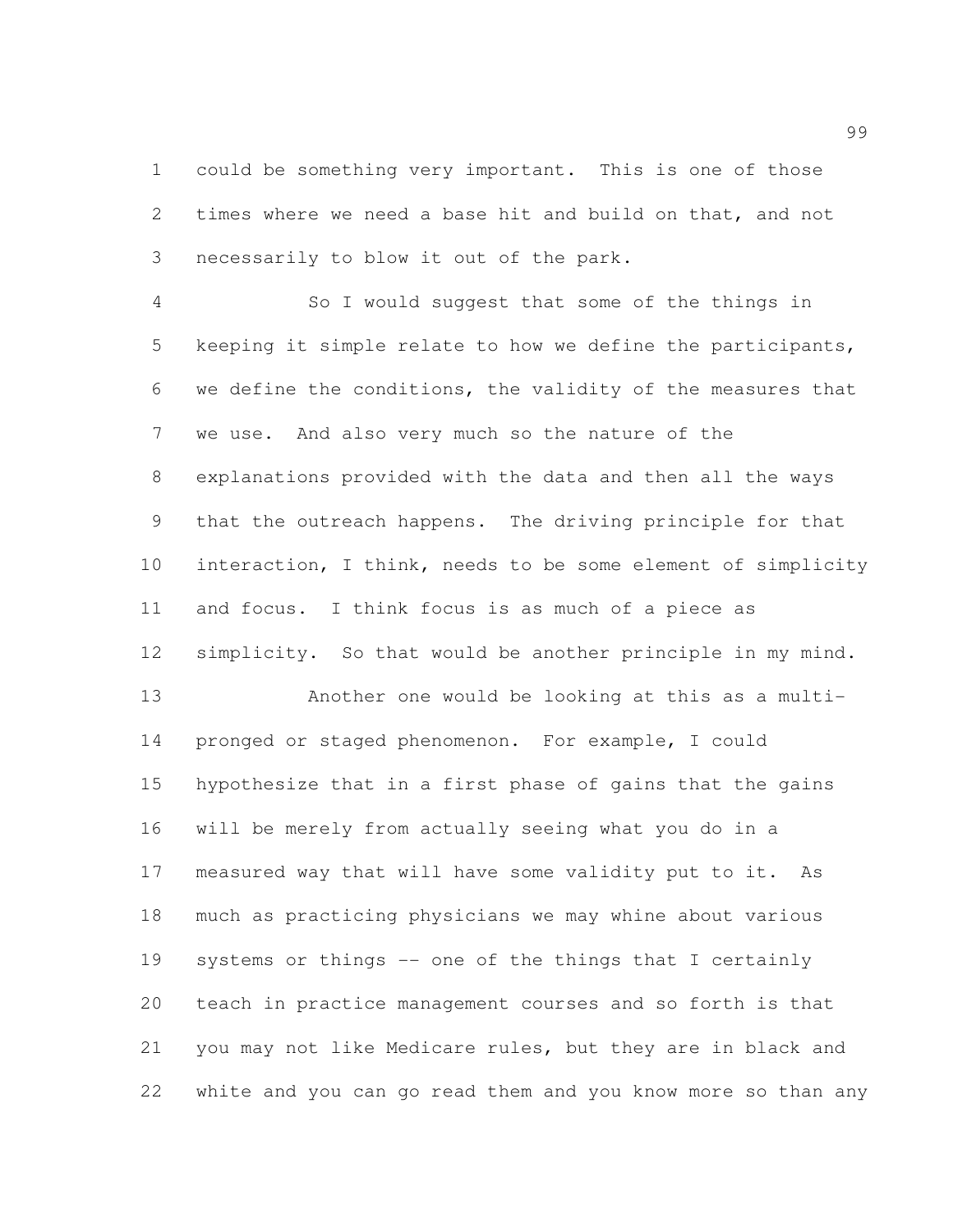could be something very important. This is one of those times where we need a base hit and build on that, and not necessarily to blow it out of the park.

 So I would suggest that some of the things in keeping it simple relate to how we define the participants, we define the conditions, the validity of the measures that we use. And also very much so the nature of the explanations provided with the data and then all the ways that the outreach happens. The driving principle for that interaction, I think, needs to be some element of simplicity and focus. I think focus is as much of a piece as simplicity. So that would be another principle in my mind. Another one would be looking at this as a multi- pronged or staged phenomenon. For example, I could hypothesize that in a first phase of gains that the gains will be merely from actually seeing what you do in a measured way that will have some validity put to it. As much as practicing physicians we may whine about various

 systems or things -- one of the things that I certainly teach in practice management courses and so forth is that you may not like Medicare rules, but they are in black and white and you can go read them and you know more so than any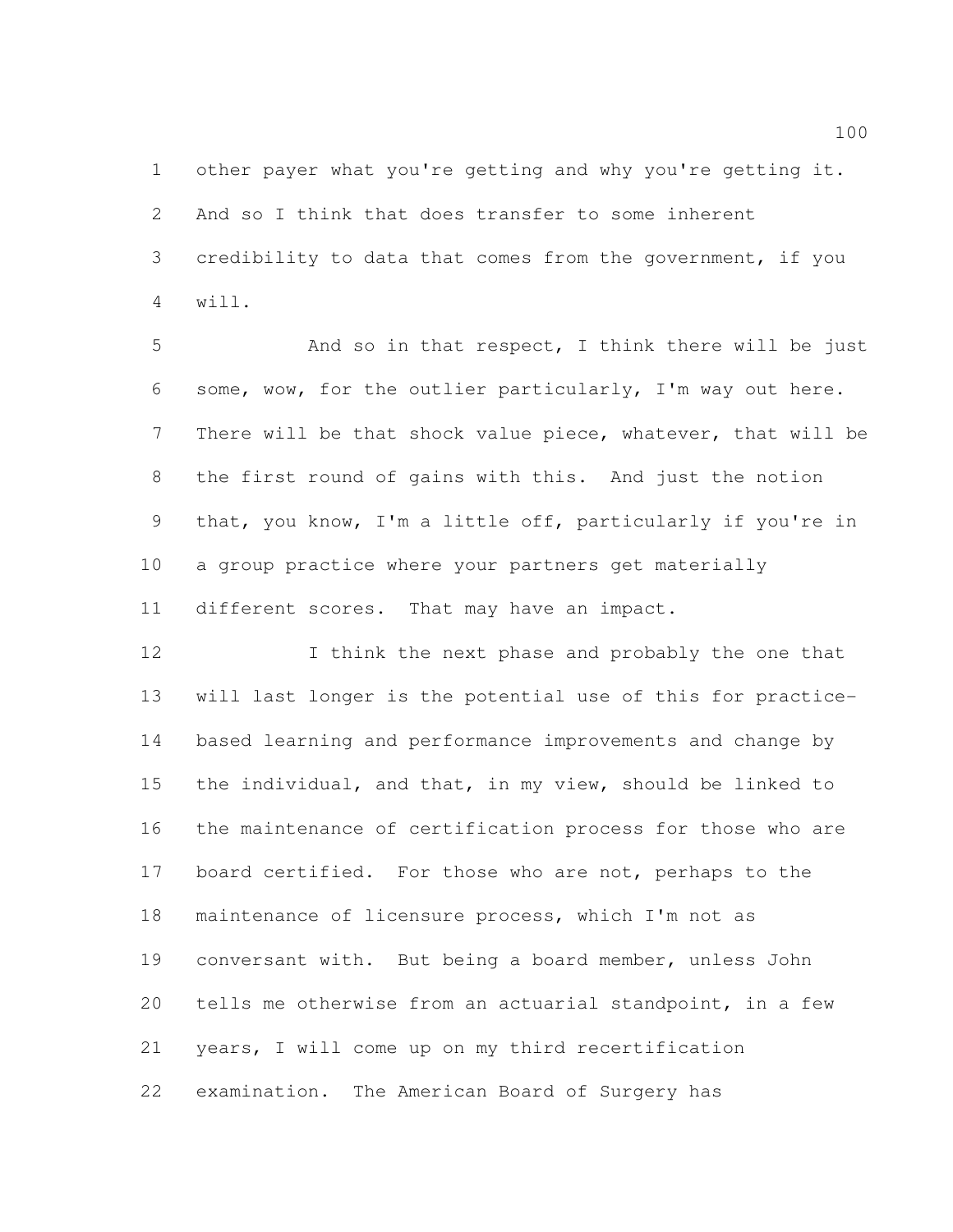other payer what you're getting and why you're getting it. And so I think that does transfer to some inherent credibility to data that comes from the government, if you will.

5 And so in that respect, I think there will be just some, wow, for the outlier particularly, I'm way out here. There will be that shock value piece, whatever, that will be the first round of gains with this. And just the notion that, you know, I'm a little off, particularly if you're in a group practice where your partners get materially different scores. That may have an impact.

12 I think the next phase and probably the one that will last longer is the potential use of this for practice- based learning and performance improvements and change by the individual, and that, in my view, should be linked to the maintenance of certification process for those who are 17 board certified. For those who are not, perhaps to the maintenance of licensure process, which I'm not as conversant with. But being a board member, unless John tells me otherwise from an actuarial standpoint, in a few years, I will come up on my third recertification examination. The American Board of Surgery has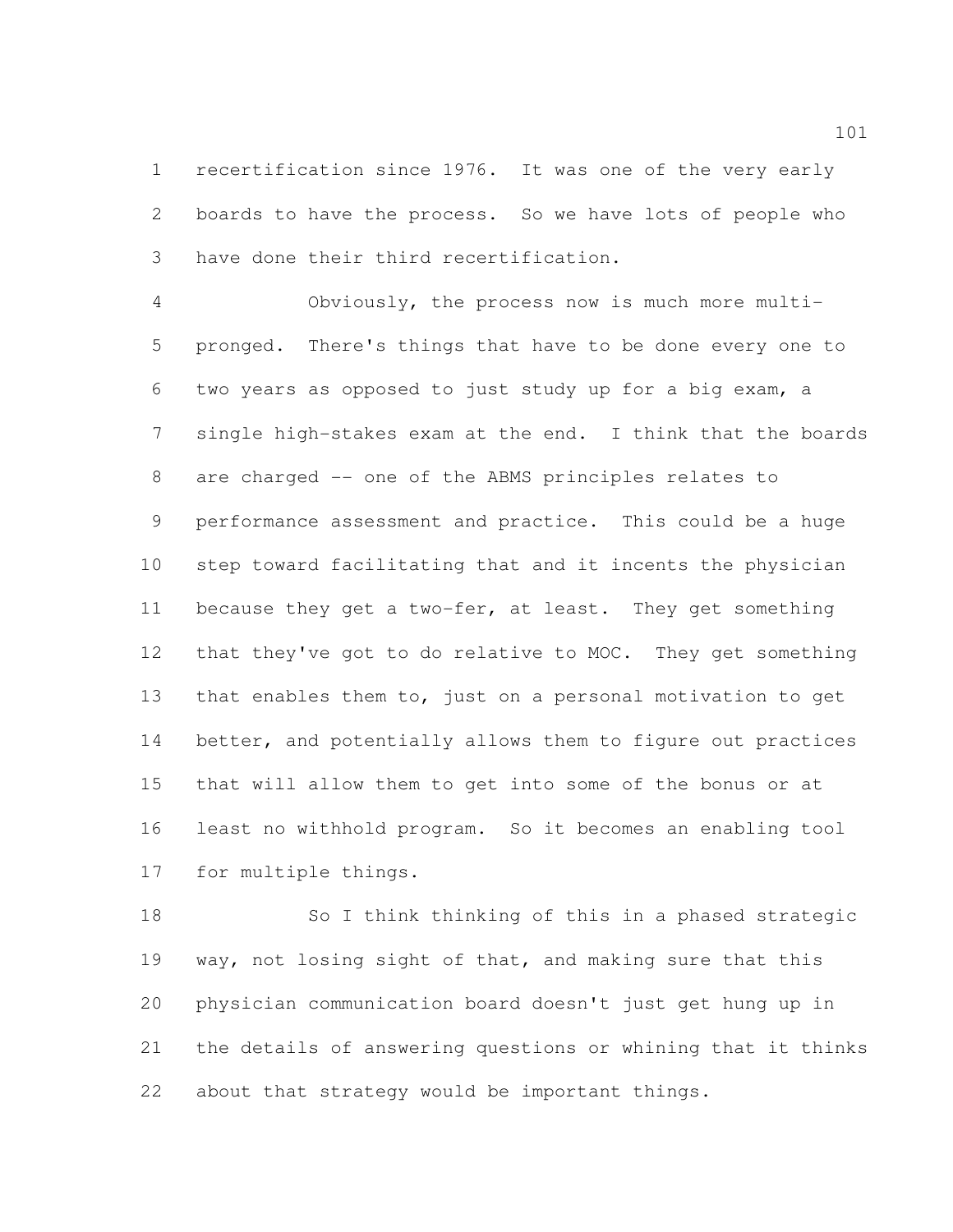recertification since 1976. It was one of the very early boards to have the process. So we have lots of people who have done their third recertification.

 Obviously, the process now is much more multi- pronged. There's things that have to be done every one to two years as opposed to just study up for a big exam, a single high-stakes exam at the end. I think that the boards are charged -- one of the ABMS principles relates to performance assessment and practice. This could be a huge step toward facilitating that and it incents the physician because they get a two-fer, at least. They get something that they've got to do relative to MOC. They get something that enables them to, just on a personal motivation to get 14 better, and potentially allows them to figure out practices that will allow them to get into some of the bonus or at least no withhold program. So it becomes an enabling tool for multiple things.

 So I think thinking of this in a phased strategic way, not losing sight of that, and making sure that this physician communication board doesn't just get hung up in the details of answering questions or whining that it thinks about that strategy would be important things.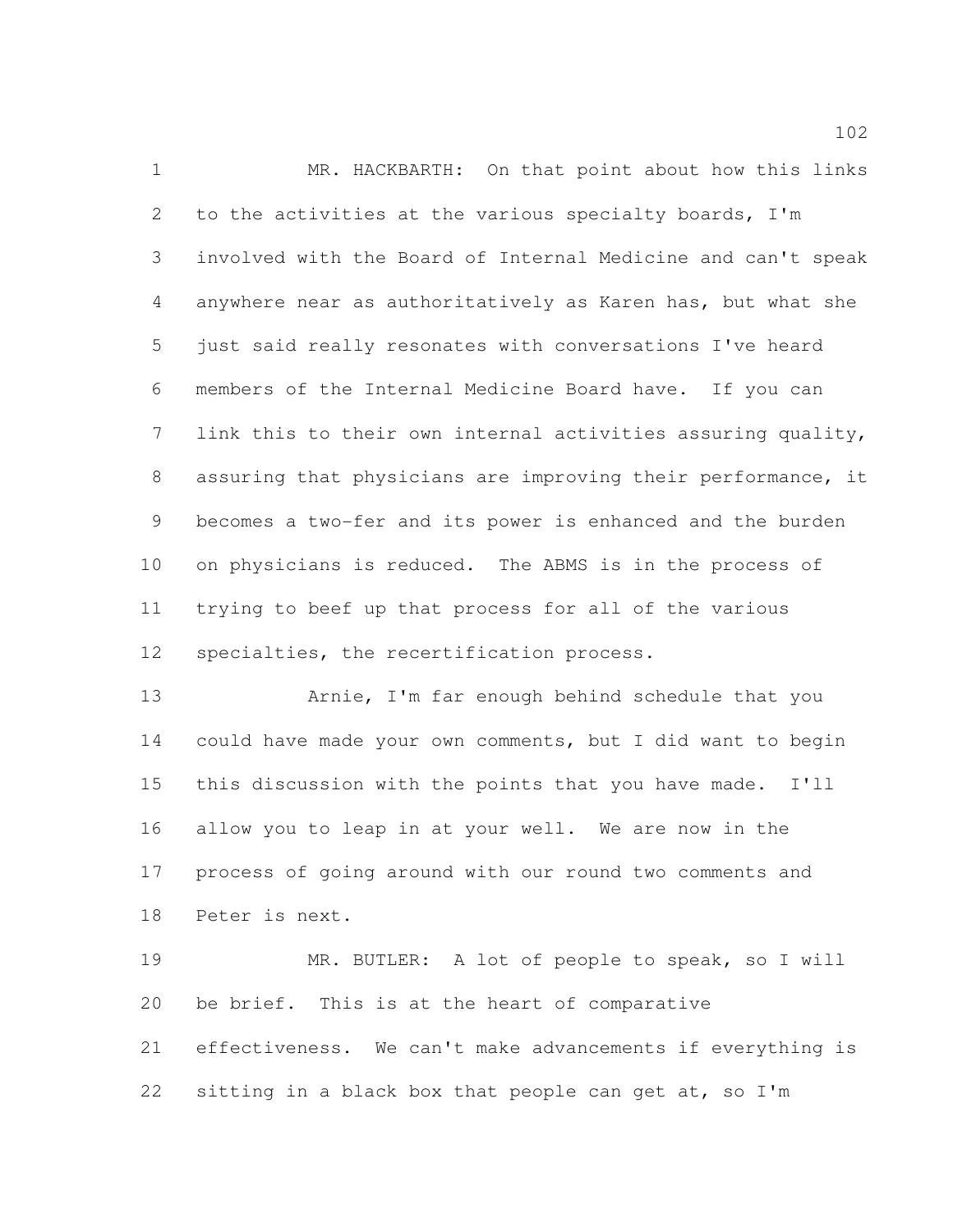MR. HACKBARTH: On that point about how this links to the activities at the various specialty boards, I'm involved with the Board of Internal Medicine and can't speak anywhere near as authoritatively as Karen has, but what she just said really resonates with conversations I've heard members of the Internal Medicine Board have. If you can link this to their own internal activities assuring quality, assuring that physicians are improving their performance, it becomes a two-fer and its power is enhanced and the burden on physicians is reduced. The ABMS is in the process of trying to beef up that process for all of the various specialties, the recertification process.

 Arnie, I'm far enough behind schedule that you could have made your own comments, but I did want to begin this discussion with the points that you have made. I'll allow you to leap in at your well. We are now in the process of going around with our round two comments and Peter is next.

 MR. BUTLER: A lot of people to speak, so I will be brief. This is at the heart of comparative effectiveness. We can't make advancements if everything is sitting in a black box that people can get at, so I'm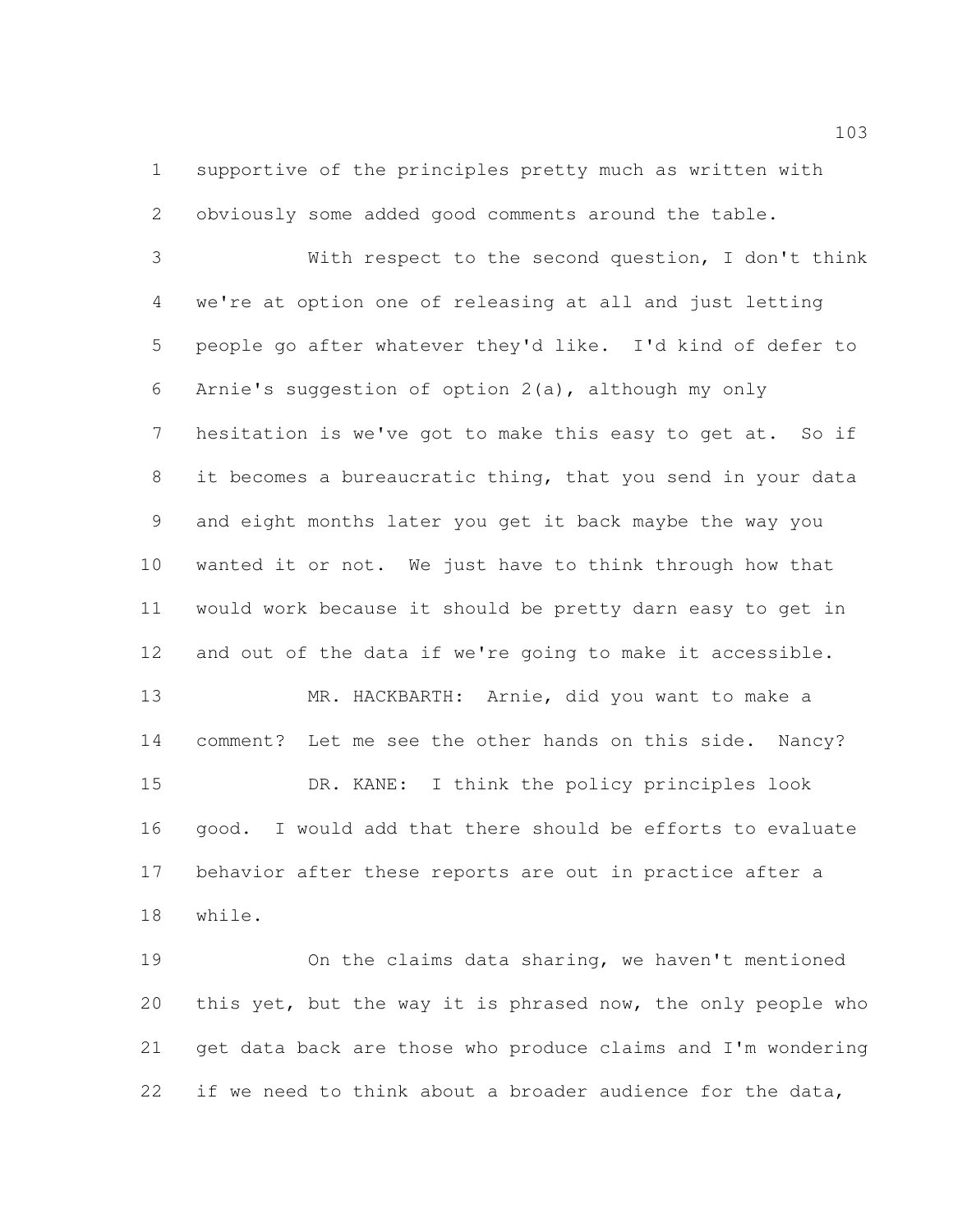supportive of the principles pretty much as written with obviously some added good comments around the table.

 With respect to the second question, I don't think we're at option one of releasing at all and just letting people go after whatever they'd like. I'd kind of defer to Arnie's suggestion of option 2(a), although my only 7 hesitation is we've got to make this easy to get at. So if it becomes a bureaucratic thing, that you send in your data and eight months later you get it back maybe the way you wanted it or not. We just have to think through how that would work because it should be pretty darn easy to get in and out of the data if we're going to make it accessible. MR. HACKBARTH: Arnie, did you want to make a comment? Let me see the other hands on this side. Nancy? DR. KANE: I think the policy principles look good. I would add that there should be efforts to evaluate

 behavior after these reports are out in practice after a while.

 On the claims data sharing, we haven't mentioned this yet, but the way it is phrased now, the only people who get data back are those who produce claims and I'm wondering 22 if we need to think about a broader audience for the data,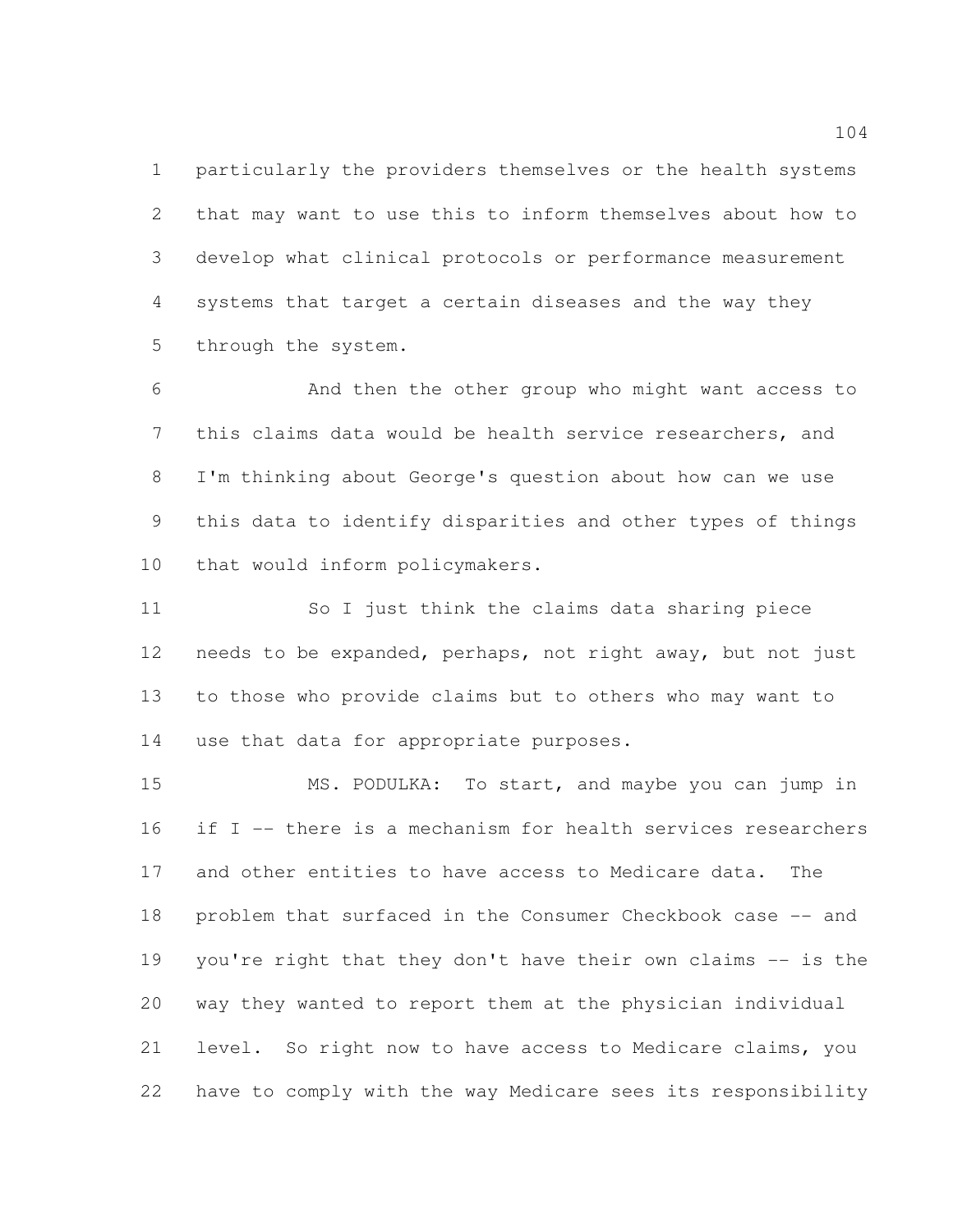particularly the providers themselves or the health systems that may want to use this to inform themselves about how to develop what clinical protocols or performance measurement systems that target a certain diseases and the way they through the system.

 And then the other group who might want access to this claims data would be health service researchers, and I'm thinking about George's question about how can we use this data to identify disparities and other types of things that would inform policymakers.

 So I just think the claims data sharing piece needs to be expanded, perhaps, not right away, but not just to those who provide claims but to others who may want to use that data for appropriate purposes.

 MS. PODULKA: To start, and maybe you can jump in if I -- there is a mechanism for health services researchers and other entities to have access to Medicare data. The problem that surfaced in the Consumer Checkbook case -- and you're right that they don't have their own claims -- is the way they wanted to report them at the physician individual level. So right now to have access to Medicare claims, you have to comply with the way Medicare sees its responsibility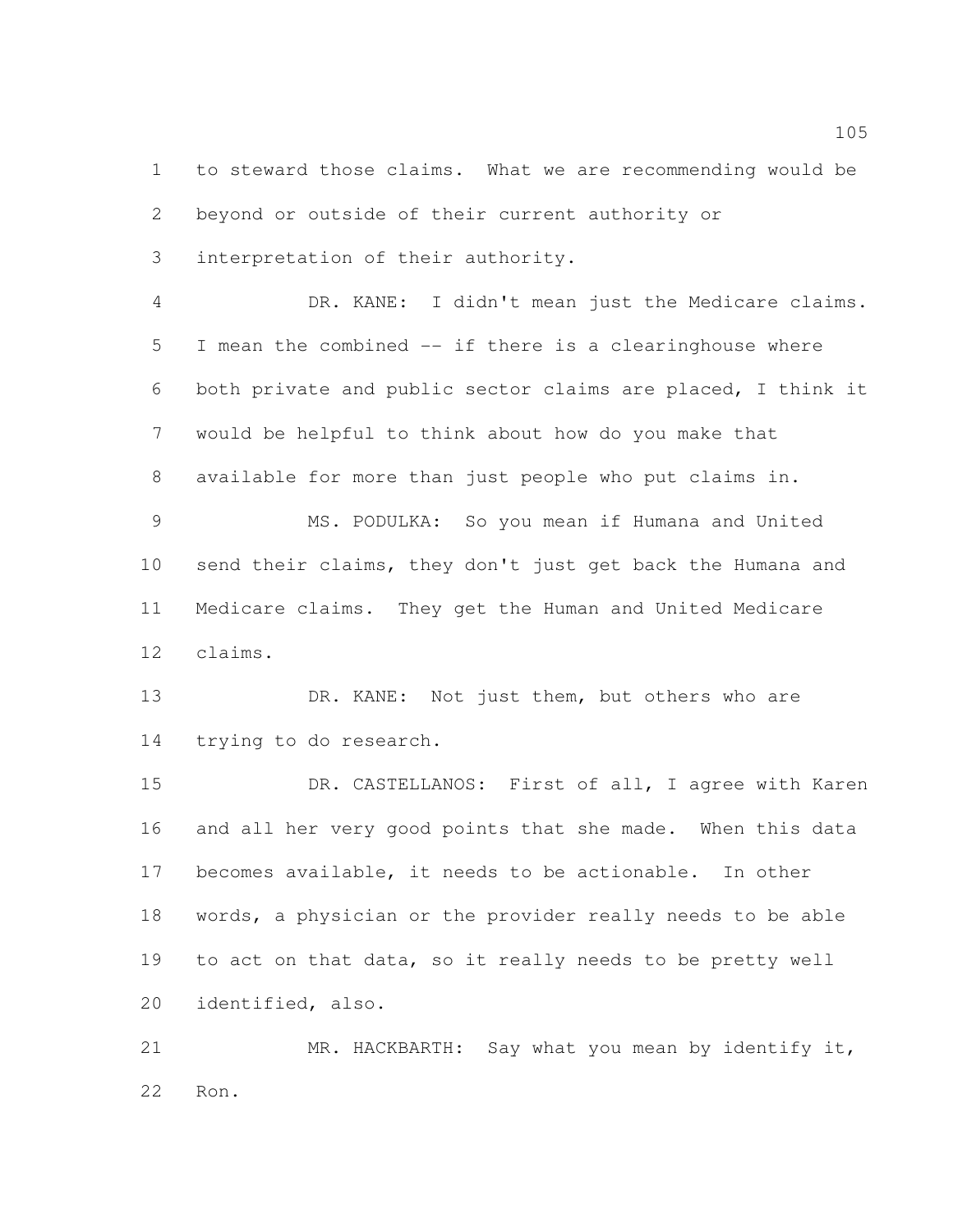to steward those claims. What we are recommending would be beyond or outside of their current authority or interpretation of their authority.

 DR. KANE: I didn't mean just the Medicare claims. I mean the combined -- if there is a clearinghouse where both private and public sector claims are placed, I think it would be helpful to think about how do you make that available for more than just people who put claims in. MS. PODULKA: So you mean if Humana and United send their claims, they don't just get back the Humana and Medicare claims. They get the Human and United Medicare

claims.

13 DR. KANE: Not just them, but others who are trying to do research.

 DR. CASTELLANOS: First of all, I agree with Karen and all her very good points that she made. When this data becomes available, it needs to be actionable. In other words, a physician or the provider really needs to be able to act on that data, so it really needs to be pretty well identified, also.

 MR. HACKBARTH: Say what you mean by identify it, Ron.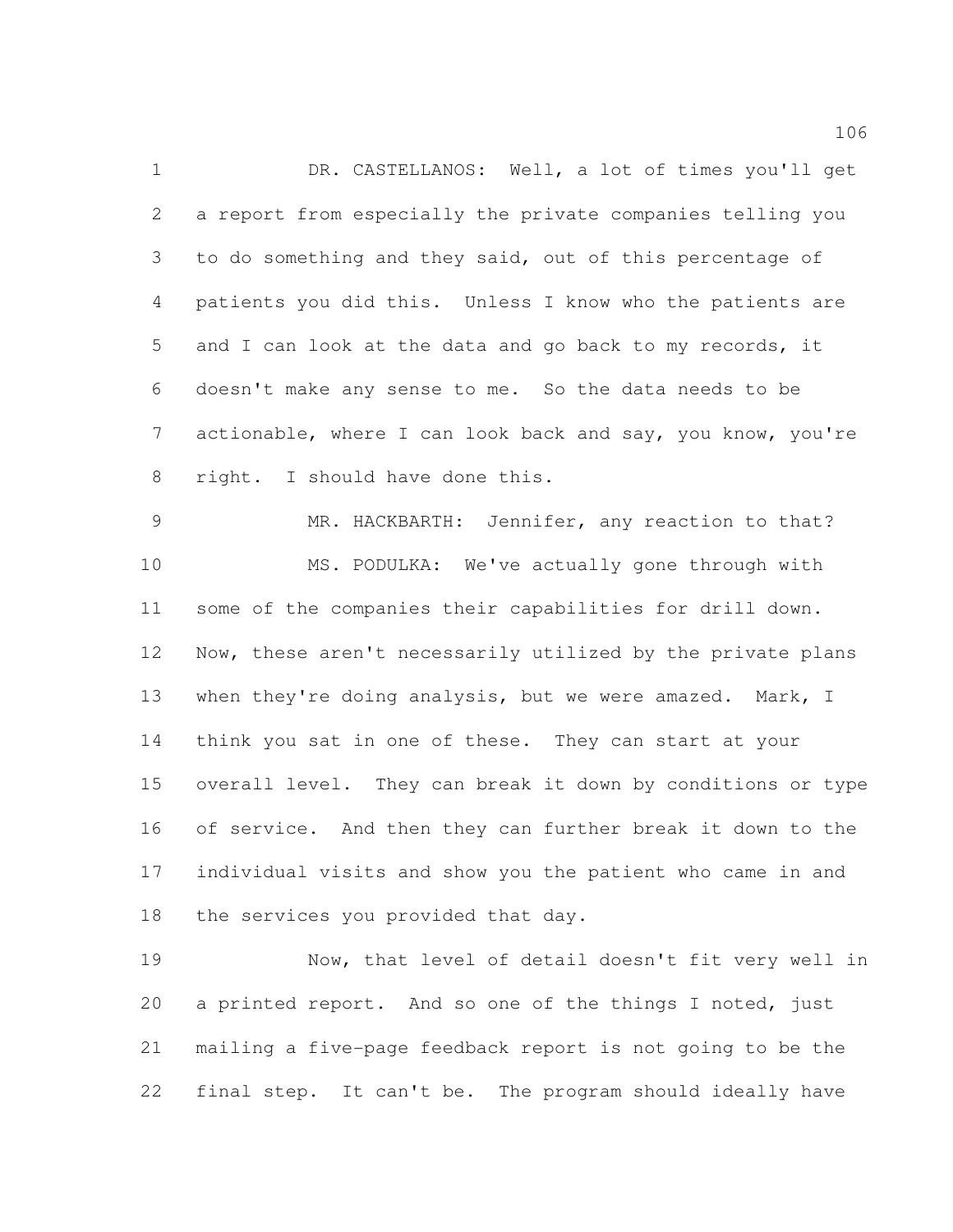DR. CASTELLANOS: Well, a lot of times you'll get a report from especially the private companies telling you to do something and they said, out of this percentage of patients you did this. Unless I know who the patients are and I can look at the data and go back to my records, it doesn't make any sense to me. So the data needs to be actionable, where I can look back and say, you know, you're right. I should have done this.

 MR. HACKBARTH: Jennifer, any reaction to that? MS. PODULKA: We've actually gone through with some of the companies their capabilities for drill down. Now, these aren't necessarily utilized by the private plans 13 when they're doing analysis, but we were amazed. Mark, I think you sat in one of these. They can start at your overall level. They can break it down by conditions or type of service. And then they can further break it down to the individual visits and show you the patient who came in and 18 the services you provided that day.

 Now, that level of detail doesn't fit very well in a printed report. And so one of the things I noted, just mailing a five-page feedback report is not going to be the final step. It can't be. The program should ideally have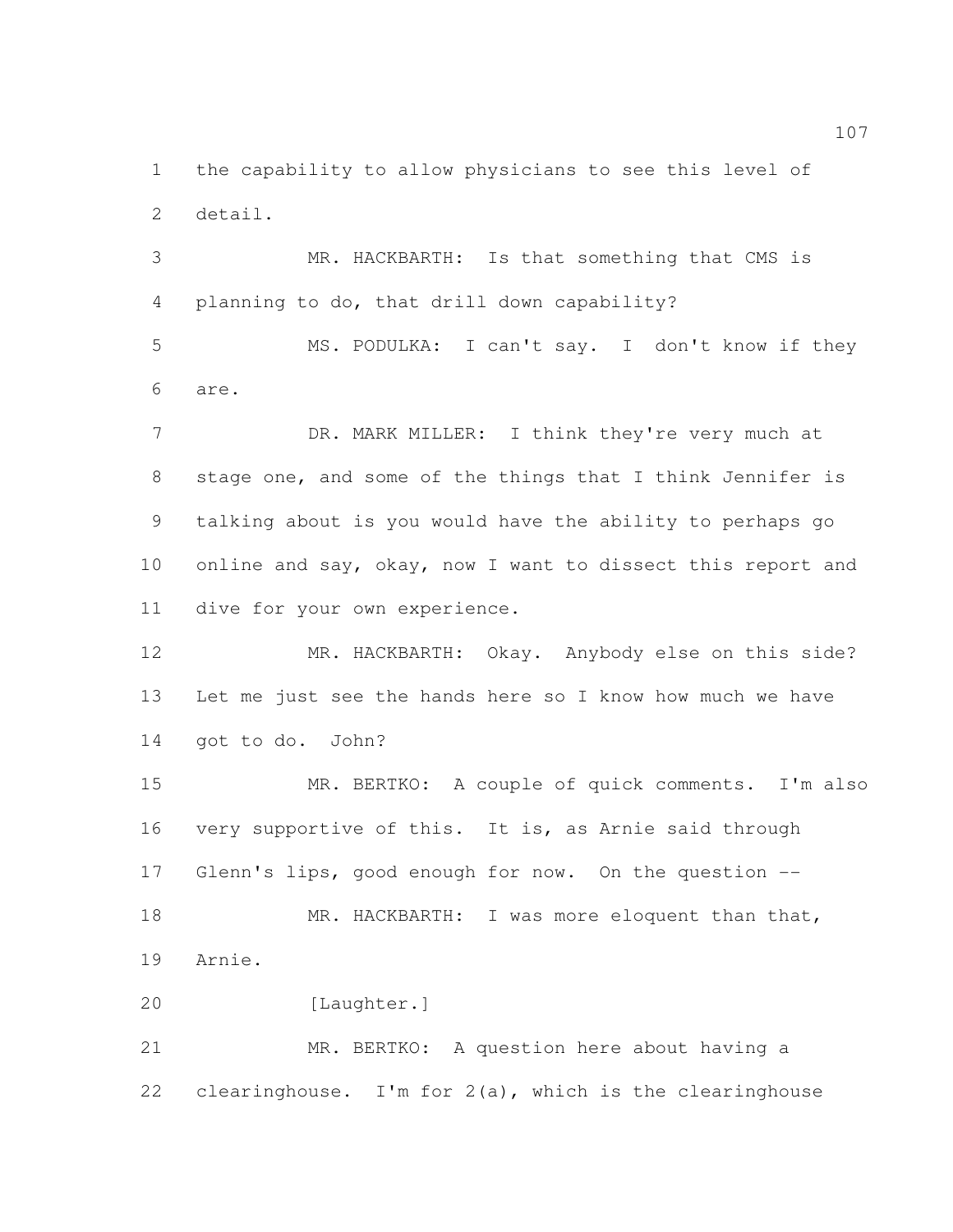the capability to allow physicians to see this level of detail.

 MR. HACKBARTH: Is that something that CMS is planning to do, that drill down capability?

 MS. PODULKA: I can't say. I don't know if they are.

7 DR. MARK MILLER: I think they're very much at stage one, and some of the things that I think Jennifer is talking about is you would have the ability to perhaps go online and say, okay, now I want to dissect this report and dive for your own experience.

12 MR. HACKBARTH: Okay. Anybody else on this side? Let me just see the hands here so I know how much we have got to do. John?

 MR. BERTKO: A couple of quick comments. I'm also very supportive of this. It is, as Arnie said through Glenn's lips, good enough for now. On the question -- 18 MR. HACKBARTH: I was more eloquent than that, Arnie.

20 [Laughter.]

 MR. BERTKO: A question here about having a 22 clearinghouse. I'm for  $2(a)$ , which is the clearinghouse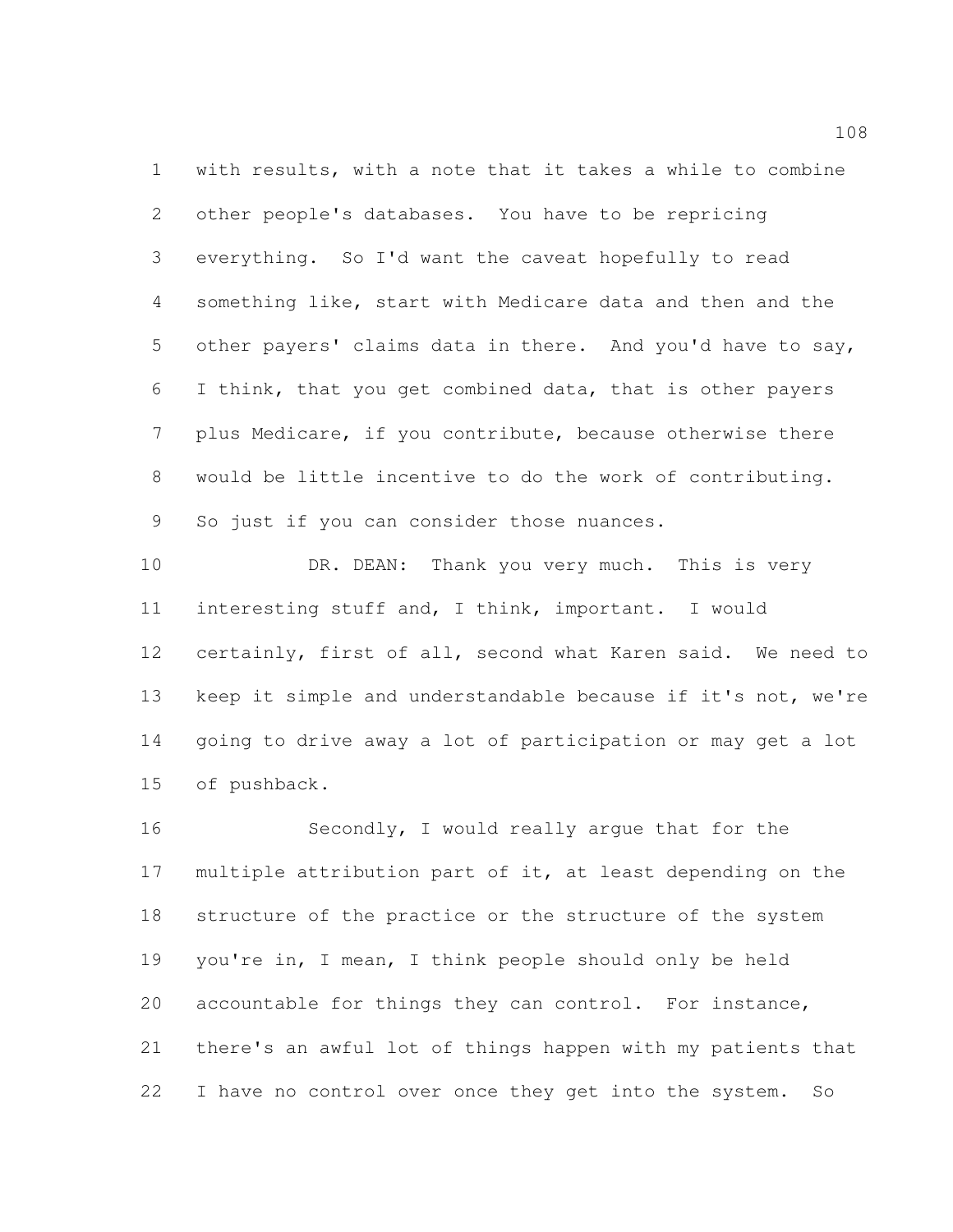with results, with a note that it takes a while to combine other people's databases. You have to be repricing everything. So I'd want the caveat hopefully to read something like, start with Medicare data and then and the other payers' claims data in there. And you'd have to say, I think, that you get combined data, that is other payers plus Medicare, if you contribute, because otherwise there would be little incentive to do the work of contributing. So just if you can consider those nuances.

10 DR. DEAN: Thank you very much. This is very interesting stuff and, I think, important. I would certainly, first of all, second what Karen said. We need to keep it simple and understandable because if it's not, we're going to drive away a lot of participation or may get a lot of pushback.

 Secondly, I would really argue that for the multiple attribution part of it, at least depending on the structure of the practice or the structure of the system you're in, I mean, I think people should only be held accountable for things they can control. For instance, there's an awful lot of things happen with my patients that I have no control over once they get into the system. So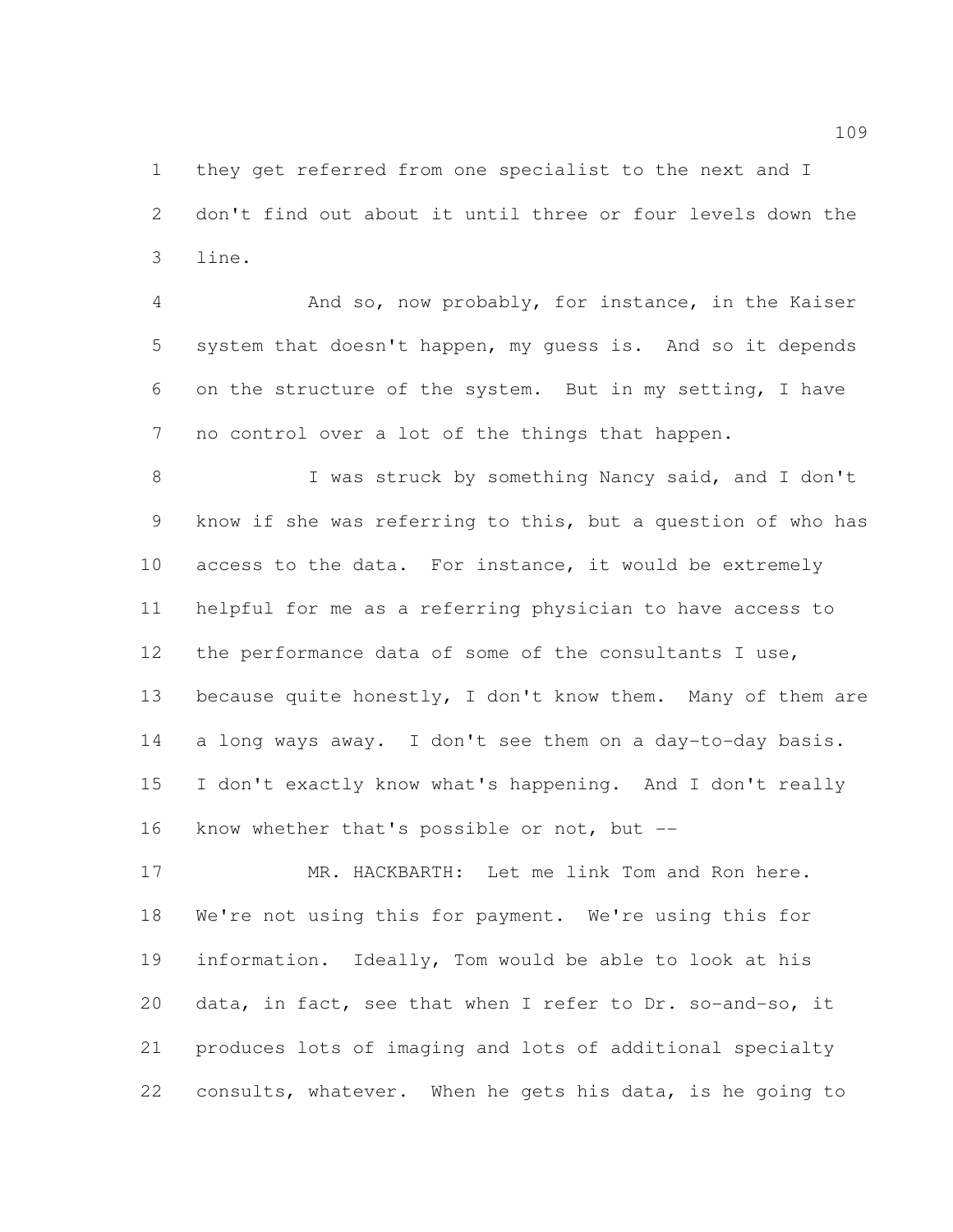they get referred from one specialist to the next and I don't find out about it until three or four levels down the line.

 And so, now probably, for instance, in the Kaiser system that doesn't happen, my guess is. And so it depends on the structure of the system. But in my setting, I have no control over a lot of the things that happen.

8 I was struck by something Nancy said, and I don't know if she was referring to this, but a question of who has access to the data. For instance, it would be extremely helpful for me as a referring physician to have access to the performance data of some of the consultants I use, 13 because quite honestly, I don't know them. Many of them are a long ways away. I don't see them on a day-to-day basis. I don't exactly know what's happening. And I don't really know whether that's possible or not, but --

 MR. HACKBARTH: Let me link Tom and Ron here. We're not using this for payment. We're using this for information. Ideally, Tom would be able to look at his data, in fact, see that when I refer to Dr. so-and-so, it produces lots of imaging and lots of additional specialty consults, whatever. When he gets his data, is he going to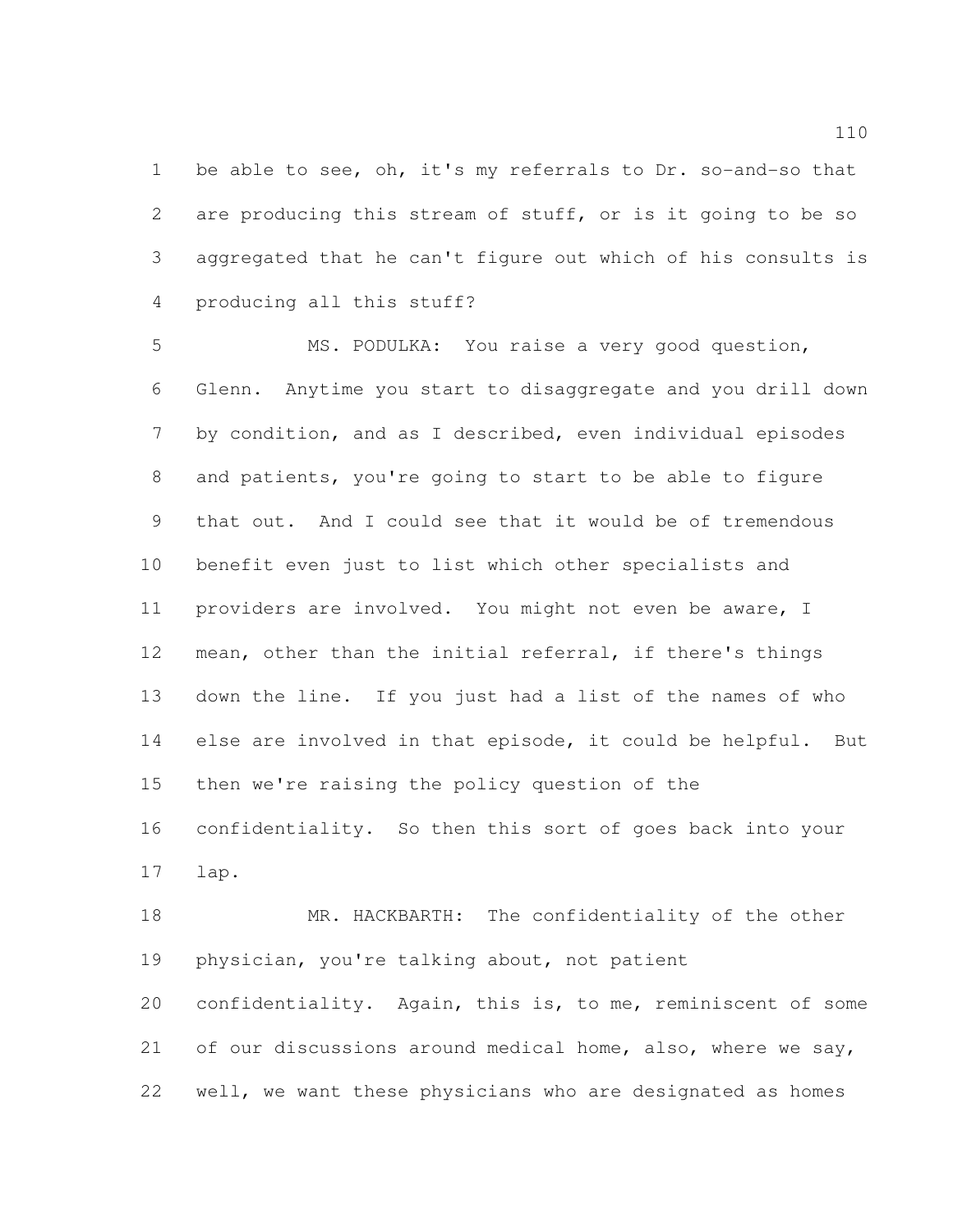1 be able to see, oh, it's my referrals to Dr. so-and-so that are producing this stream of stuff, or is it going to be so aggregated that he can't figure out which of his consults is producing all this stuff?

 MS. PODULKA: You raise a very good question, Glenn. Anytime you start to disaggregate and you drill down by condition, and as I described, even individual episodes and patients, you're going to start to be able to figure that out. And I could see that it would be of tremendous benefit even just to list which other specialists and providers are involved. You might not even be aware, I mean, other than the initial referral, if there's things down the line. If you just had a list of the names of who else are involved in that episode, it could be helpful. But then we're raising the policy question of the confidentiality. So then this sort of goes back into your lap.

18 MR. HACKBARTH: The confidentiality of the other physician, you're talking about, not patient

 confidentiality. Again, this is, to me, reminiscent of some 21 of our discussions around medical home, also, where we say, well, we want these physicians who are designated as homes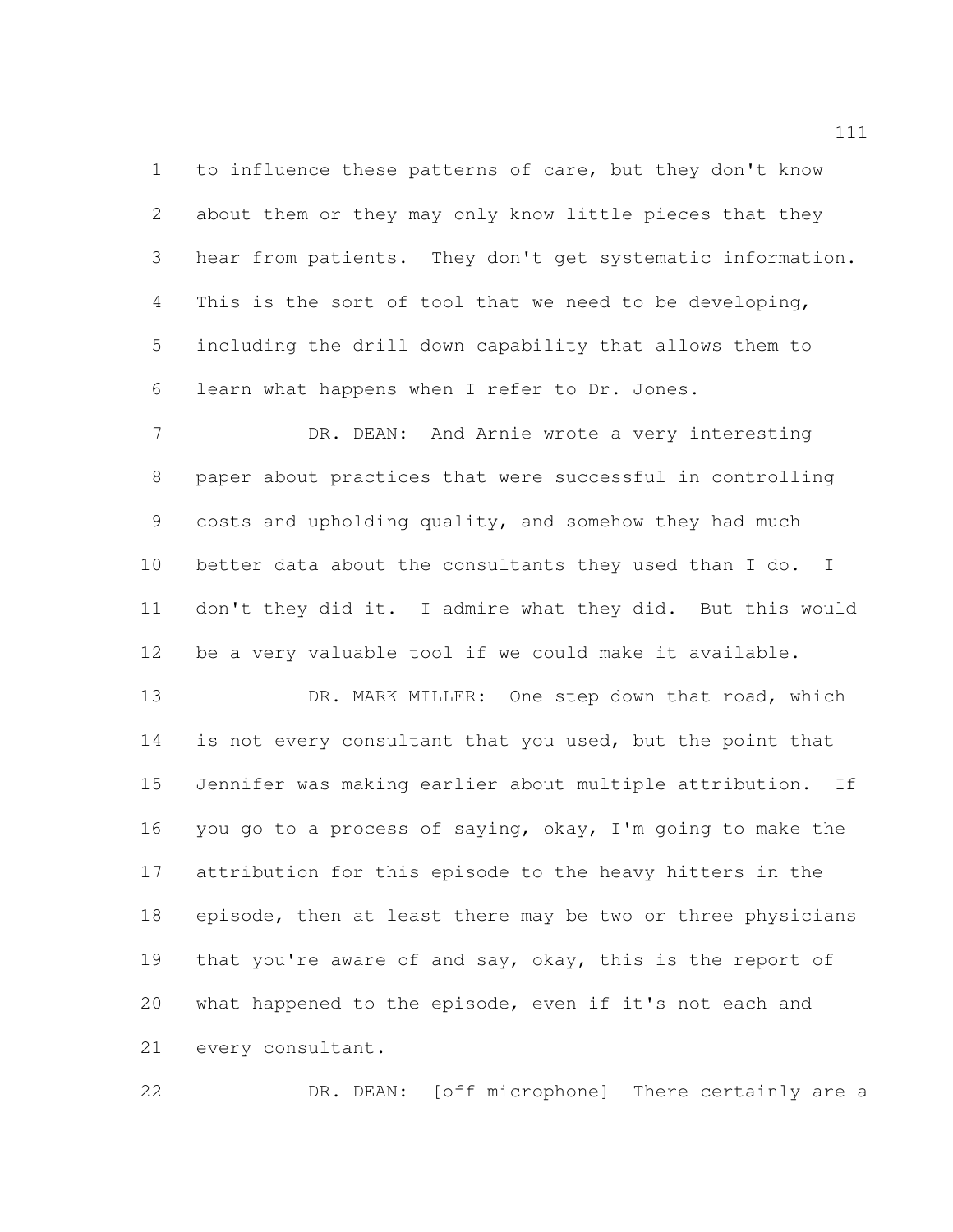to influence these patterns of care, but they don't know about them or they may only know little pieces that they hear from patients. They don't get systematic information. This is the sort of tool that we need to be developing, including the drill down capability that allows them to learn what happens when I refer to Dr. Jones.

 DR. DEAN: And Arnie wrote a very interesting paper about practices that were successful in controlling costs and upholding quality, and somehow they had much better data about the consultants they used than I do. I don't they did it. I admire what they did. But this would be a very valuable tool if we could make it available.

13 DR. MARK MILLER: One step down that road, which 14 is not every consultant that you used, but the point that Jennifer was making earlier about multiple attribution. If you go to a process of saying, okay, I'm going to make the attribution for this episode to the heavy hitters in the episode, then at least there may be two or three physicians 19 that you're aware of and say, okay, this is the report of what happened to the episode, even if it's not each and every consultant.

DR. DEAN: [off microphone] There certainly are a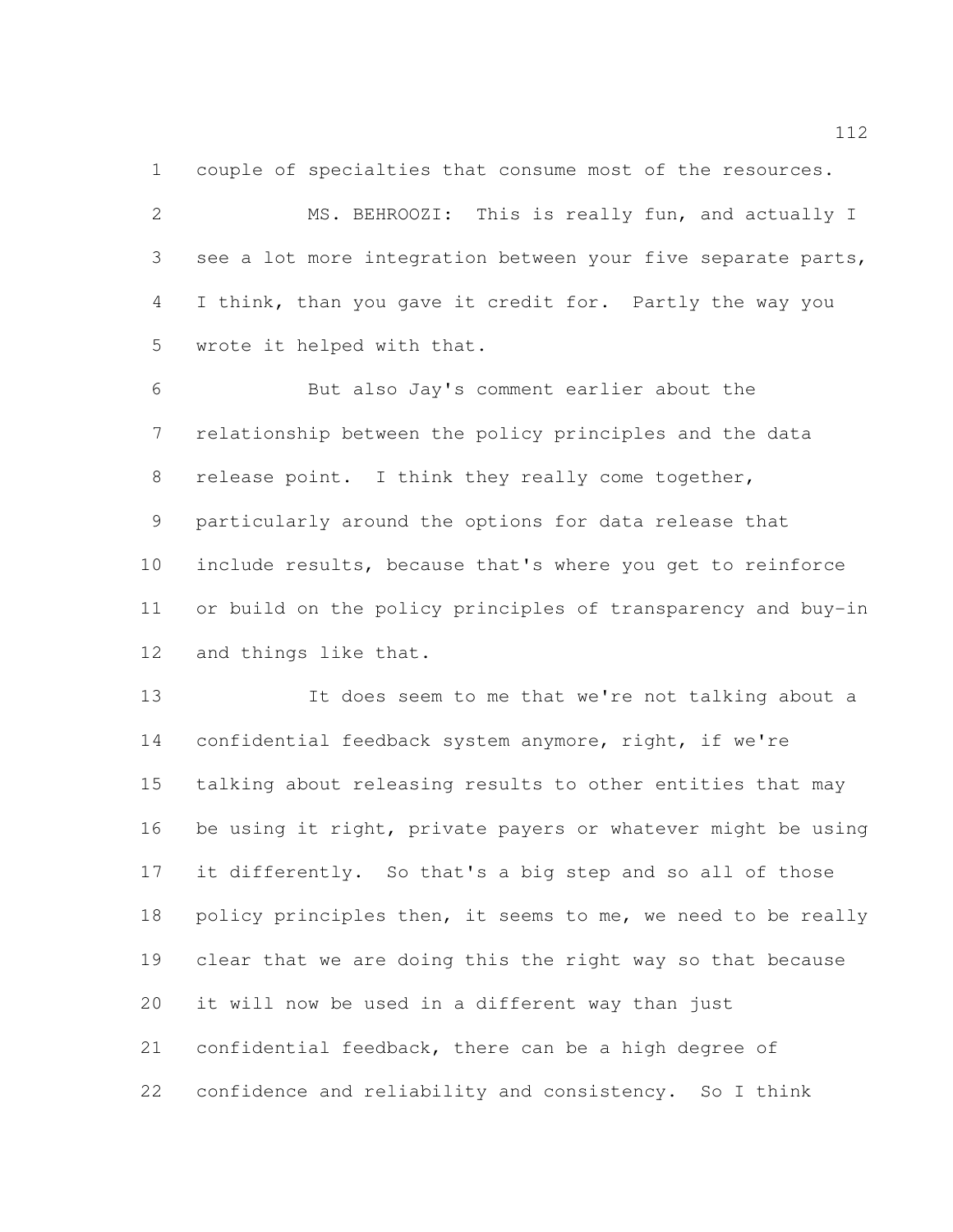couple of specialties that consume most of the resources.

 MS. BEHROOZI: This is really fun, and actually I see a lot more integration between your five separate parts, I think, than you gave it credit for. Partly the way you wrote it helped with that.

 But also Jay's comment earlier about the relationship between the policy principles and the data release point. I think they really come together, particularly around the options for data release that include results, because that's where you get to reinforce or build on the policy principles of transparency and buy-in and things like that.

 It does seem to me that we're not talking about a confidential feedback system anymore, right, if we're talking about releasing results to other entities that may be using it right, private payers or whatever might be using it differently. So that's a big step and so all of those 18 policy principles then, it seems to me, we need to be really clear that we are doing this the right way so that because it will now be used in a different way than just confidential feedback, there can be a high degree of confidence and reliability and consistency. So I think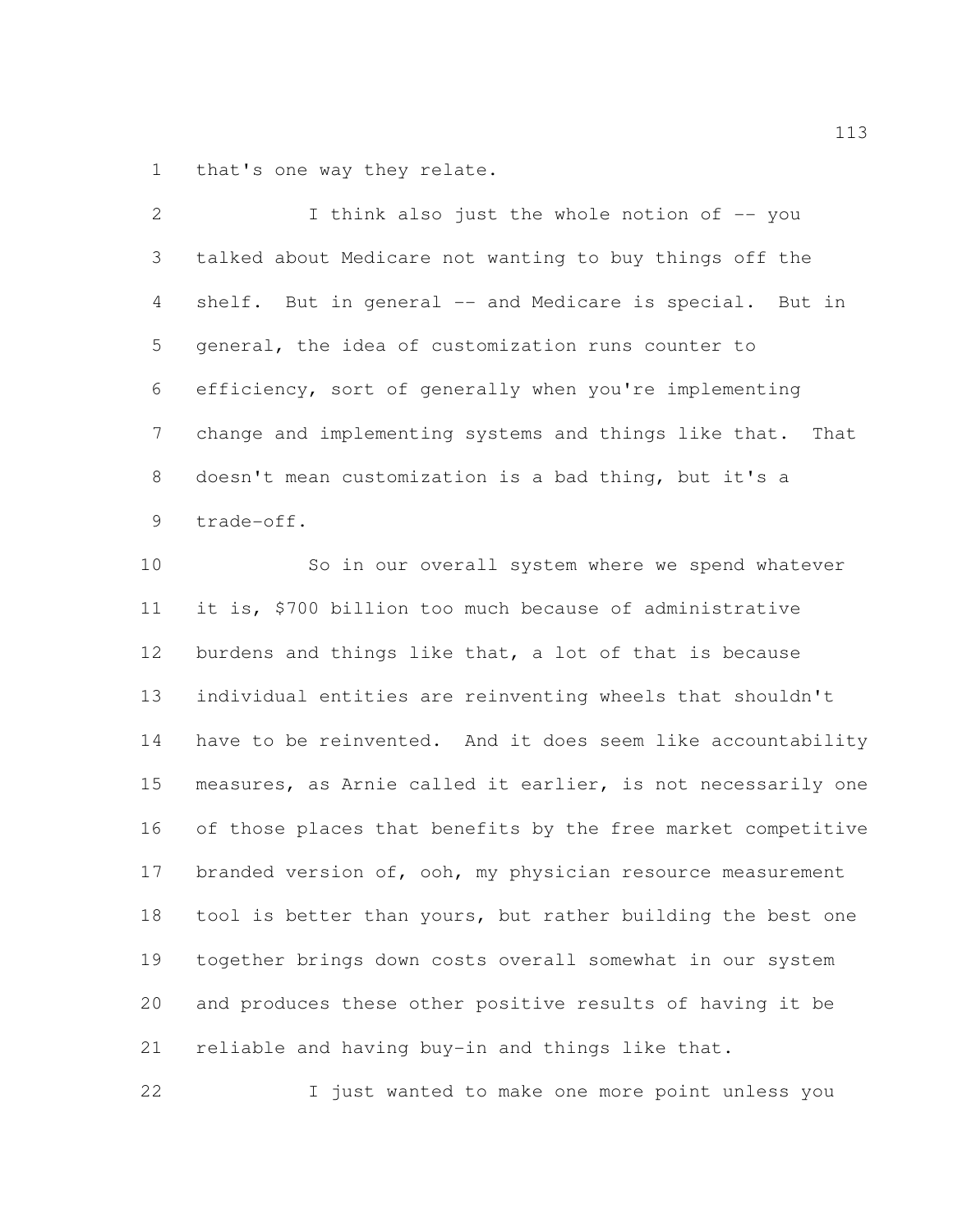that's one way they relate.

 I think also just the whole notion of -- you talked about Medicare not wanting to buy things off the shelf. But in general -- and Medicare is special. But in general, the idea of customization runs counter to efficiency, sort of generally when you're implementing change and implementing systems and things like that. That doesn't mean customization is a bad thing, but it's a trade-off.

 So in our overall system where we spend whatever it is, \$700 billion too much because of administrative burdens and things like that, a lot of that is because individual entities are reinventing wheels that shouldn't have to be reinvented. And it does seem like accountability measures, as Arnie called it earlier, is not necessarily one of those places that benefits by the free market competitive 17 branded version of, ooh, my physician resource measurement 18 tool is better than yours, but rather building the best one together brings down costs overall somewhat in our system and produces these other positive results of having it be reliable and having buy-in and things like that.

I just wanted to make one more point unless you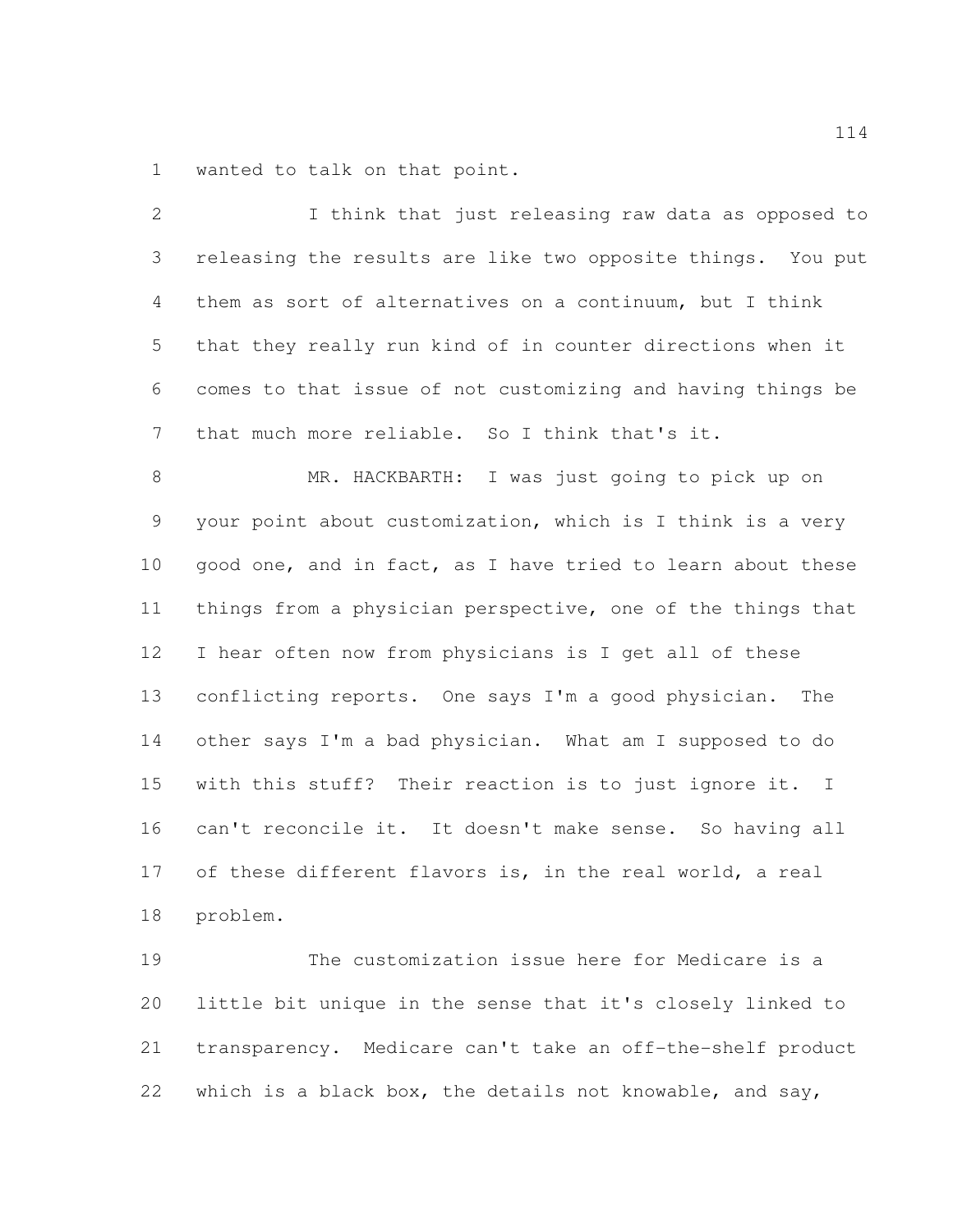wanted to talk on that point.

| 2             | I think that just releasing raw data as opposed to          |
|---------------|-------------------------------------------------------------|
| 3             | releasing the results are like two opposite things. You put |
| 4             | them as sort of alternatives on a continuum, but I think    |
| 5             | that they really run kind of in counter directions when it  |
| 6             | comes to that issue of not customizing and having things be |
| 7             | that much more reliable. So I think that's it.              |
| 8             | MR. HACKBARTH: I was just going to pick up on               |
| $\mathcal{G}$ | your point about customization, which is I think is a very  |
| 10            | good one, and in fact, as I have tried to learn about these |
| 11            | things from a physician perspective, one of the things that |
| 12            | I hear often now from physicians is I get all of these      |
| 13            | conflicting reports. One says I'm a good physician.<br>The  |
| 14            | other says I'm a bad physician. What am I supposed to do    |
| 15            | with this stuff? Their reaction is to just ignore it. I     |
| 16            | can't reconcile it. It doesn't make sense. So having all    |
| 17            | of these different flavors is, in the real world, a real    |
| 18            | problem.                                                    |
| 19            | The customization issue here for Medicare is a              |
| 20            | little bit unique in the sense that it's closely linked to  |
| 21            | transparency. Medicare can't take an off-the-shelf product  |

which is a black box, the details not knowable, and say,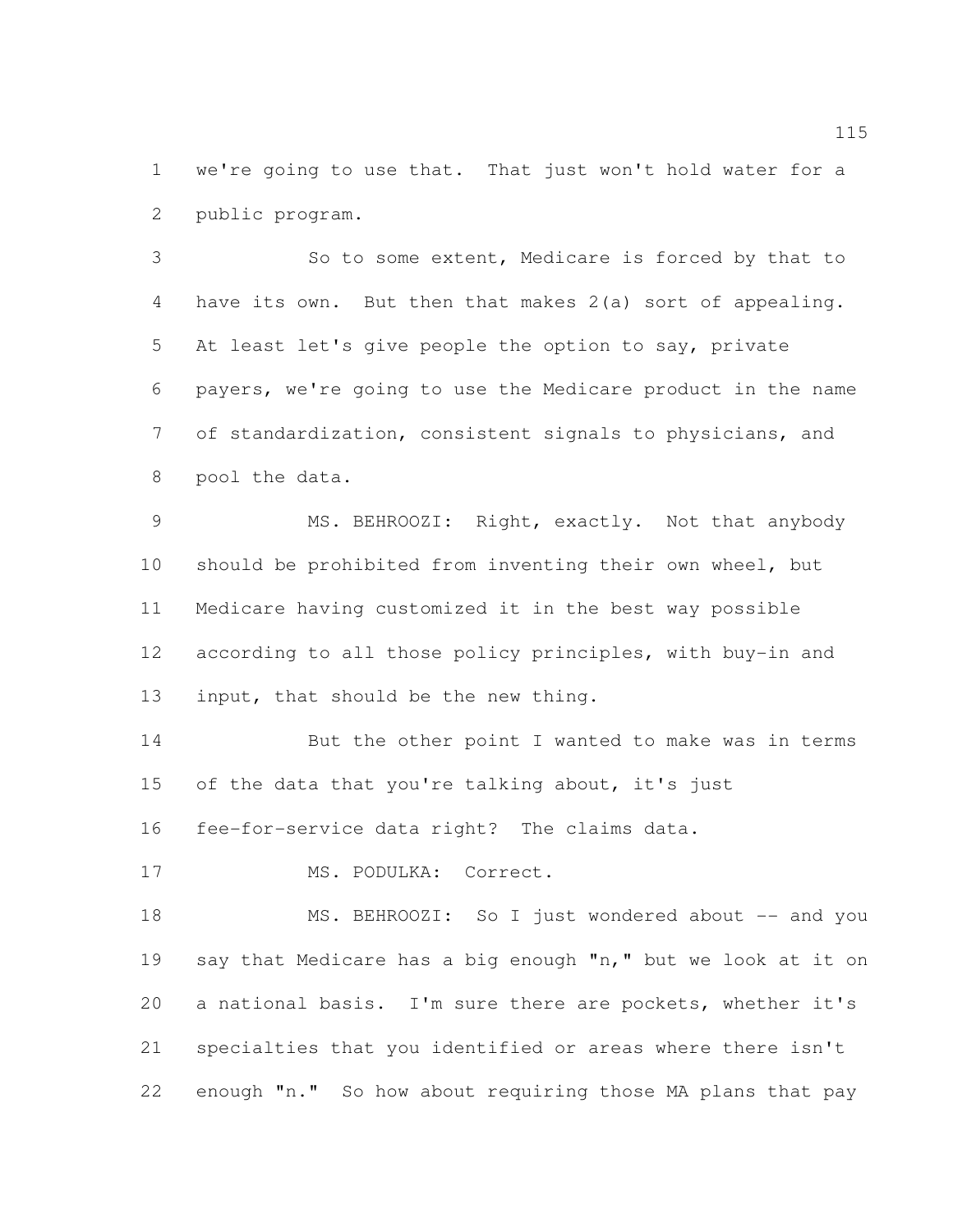we're going to use that. That just won't hold water for a public program.

 So to some extent, Medicare is forced by that to have its own. But then that makes 2(a) sort of appealing. At least let's give people the option to say, private payers, we're going to use the Medicare product in the name of standardization, consistent signals to physicians, and pool the data.

 MS. BEHROOZI: Right, exactly. Not that anybody should be prohibited from inventing their own wheel, but Medicare having customized it in the best way possible 12 according to all those policy principles, with buy-in and input, that should be the new thing.

 But the other point I wanted to make was in terms 15 of the data that you're talking about, it's just

fee-for-service data right? The claims data.

17 MS. PODULKA: Correct.

18 MS. BEHROOZI: So I just wondered about -- and you say that Medicare has a big enough "n," but we look at it on a national basis. I'm sure there are pockets, whether it's specialties that you identified or areas where there isn't enough "n." So how about requiring those MA plans that pay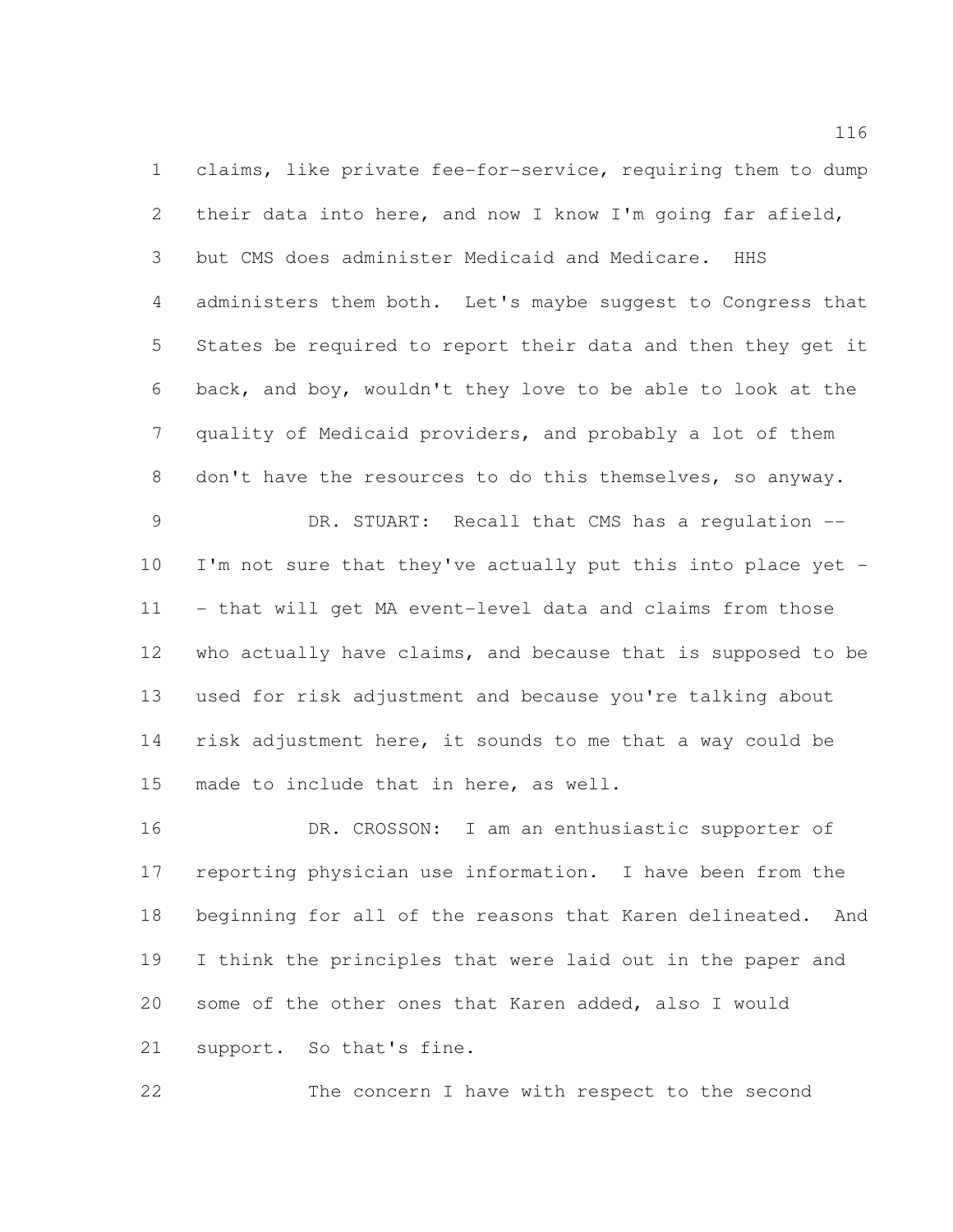claims, like private fee-for-service, requiring them to dump their data into here, and now I know I'm going far afield, but CMS does administer Medicaid and Medicare. HHS administers them both. Let's maybe suggest to Congress that States be required to report their data and then they get it back, and boy, wouldn't they love to be able to look at the quality of Medicaid providers, and probably a lot of them don't have the resources to do this themselves, so anyway. 9 DR. STUART: Recall that CMS has a requlation --

 I'm not sure that they've actually put this into place yet - - that will get MA event-level data and claims from those 12 who actually have claims, and because that is supposed to be used for risk adjustment and because you're talking about risk adjustment here, it sounds to me that a way could be made to include that in here, as well.

 DR. CROSSON: I am an enthusiastic supporter of reporting physician use information. I have been from the beginning for all of the reasons that Karen delineated. And I think the principles that were laid out in the paper and some of the other ones that Karen added, also I would support. So that's fine.

The concern I have with respect to the second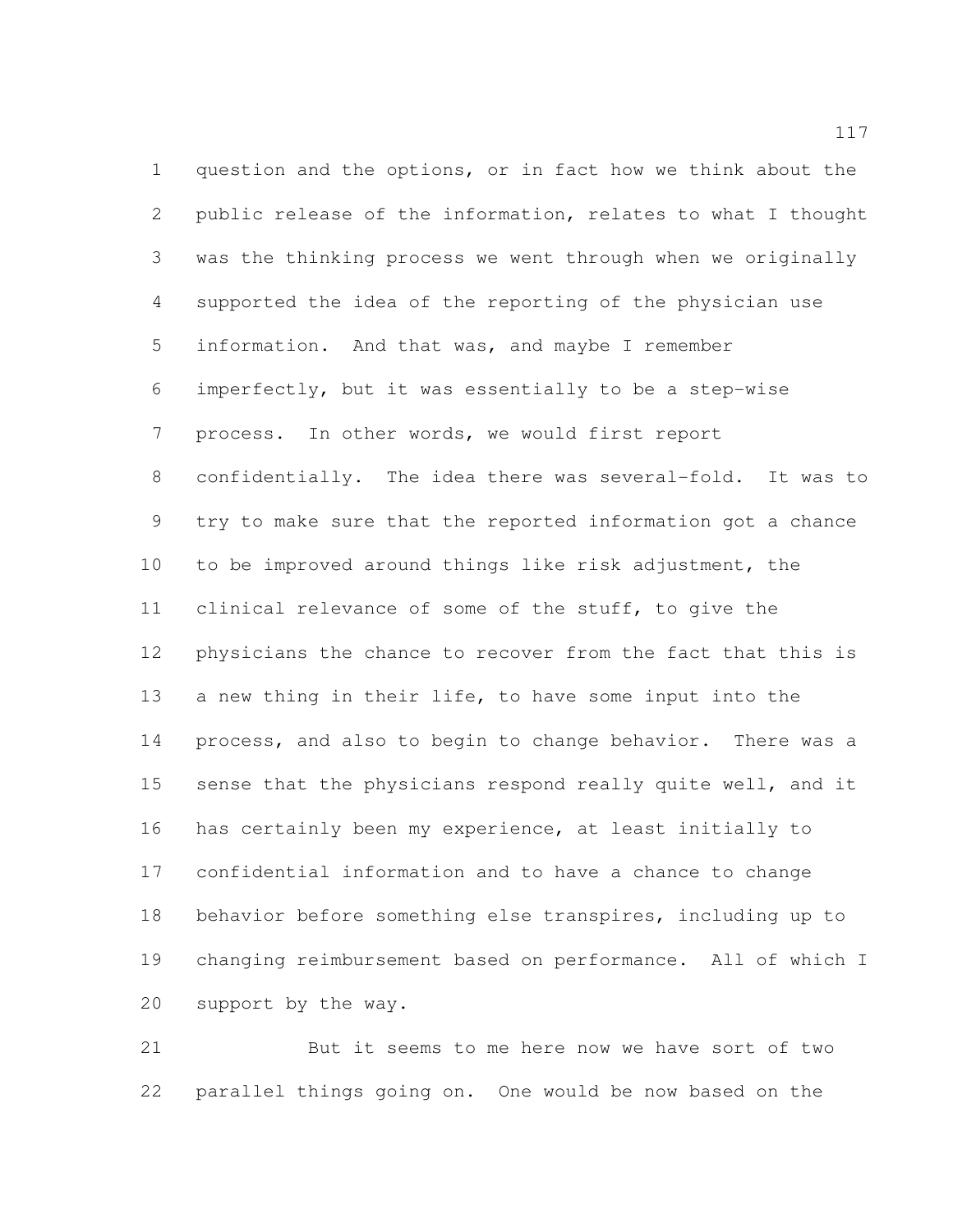question and the options, or in fact how we think about the public release of the information, relates to what I thought was the thinking process we went through when we originally supported the idea of the reporting of the physician use information. And that was, and maybe I remember imperfectly, but it was essentially to be a step-wise process. In other words, we would first report confidentially. The idea there was several-fold. It was to try to make sure that the reported information got a chance to be improved around things like risk adjustment, the clinical relevance of some of the stuff, to give the physicians the chance to recover from the fact that this is a new thing in their life, to have some input into the process, and also to begin to change behavior. There was a sense that the physicians respond really quite well, and it has certainly been my experience, at least initially to confidential information and to have a chance to change behavior before something else transpires, including up to changing reimbursement based on performance. All of which I support by the way.

 But it seems to me here now we have sort of two parallel things going on. One would be now based on the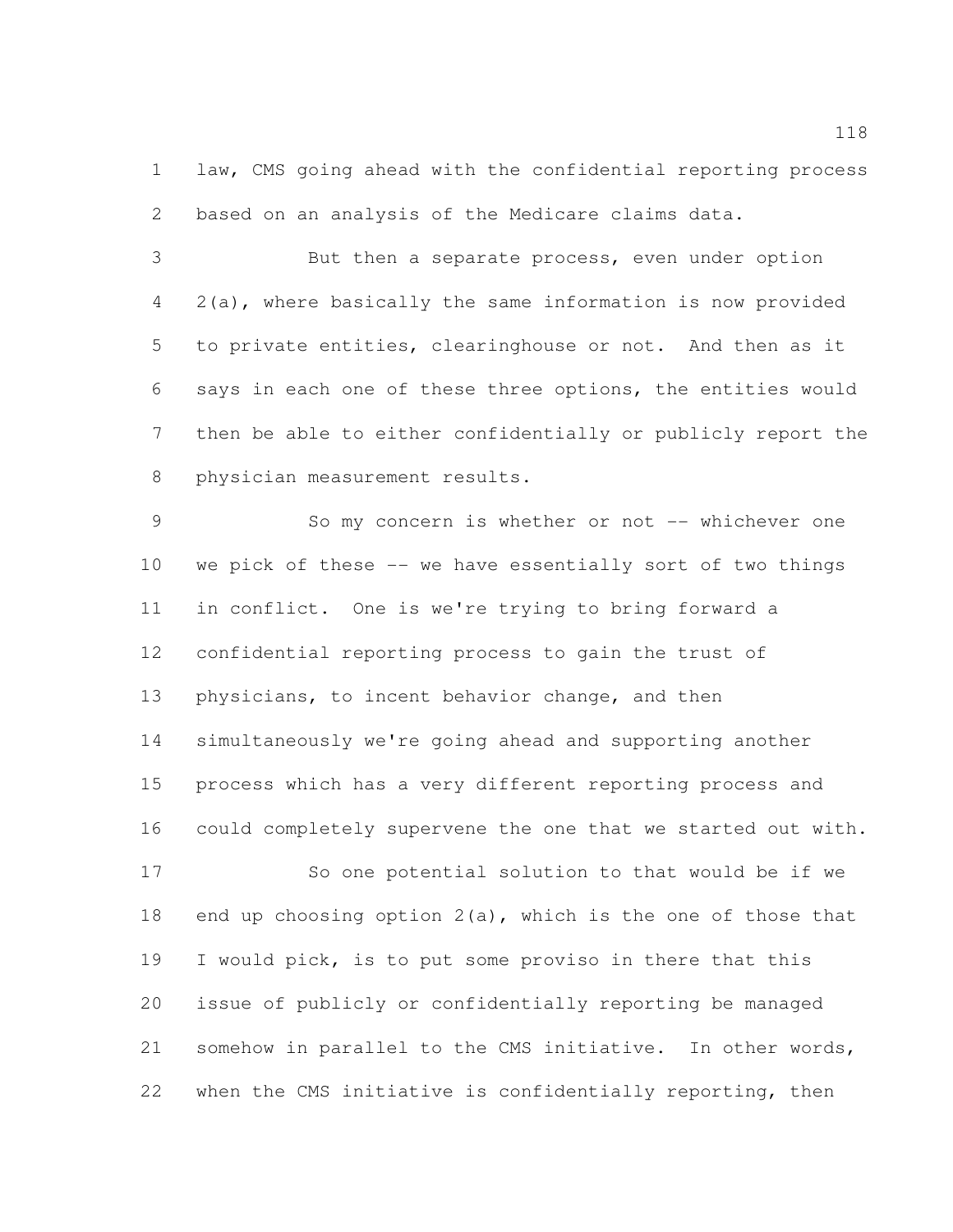law, CMS going ahead with the confidential reporting process based on an analysis of the Medicare claims data.

 But then a separate process, even under option 2(a), where basically the same information is now provided to private entities, clearinghouse or not. And then as it says in each one of these three options, the entities would then be able to either confidentially or publicly report the physician measurement results.

 So my concern is whether or not -- whichever one we pick of these -- we have essentially sort of two things in conflict. One is we're trying to bring forward a confidential reporting process to gain the trust of physicians, to incent behavior change, and then simultaneously we're going ahead and supporting another process which has a very different reporting process and could completely supervene the one that we started out with.

 So one potential solution to that would be if we end up choosing option 2(a), which is the one of those that I would pick, is to put some proviso in there that this issue of publicly or confidentially reporting be managed somehow in parallel to the CMS initiative. In other words, when the CMS initiative is confidentially reporting, then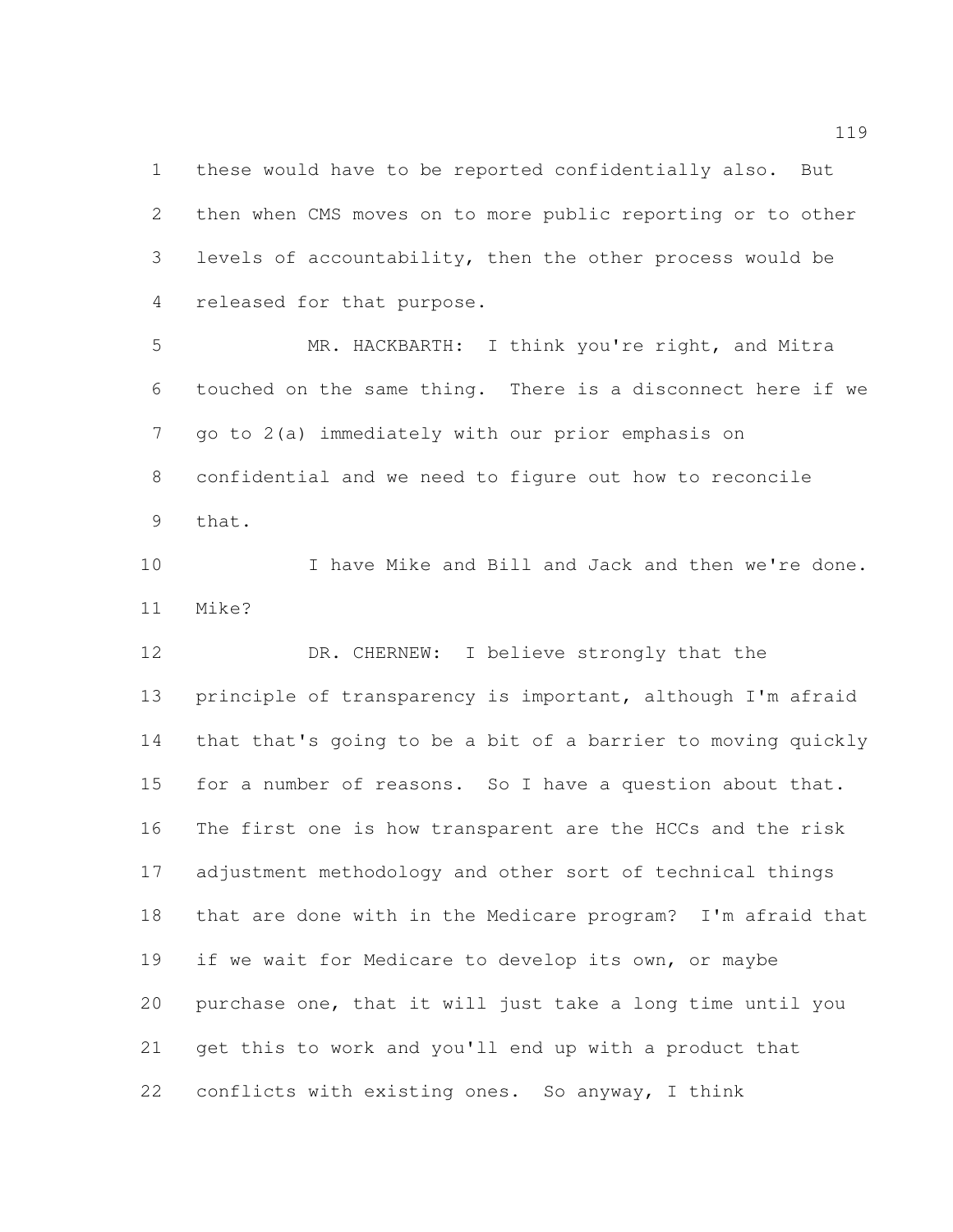these would have to be reported confidentially also. But then when CMS moves on to more public reporting or to other levels of accountability, then the other process would be released for that purpose.

 MR. HACKBARTH: I think you're right, and Mitra touched on the same thing. There is a disconnect here if we go to 2(a) immediately with our prior emphasis on confidential and we need to figure out how to reconcile that.

 I have Mike and Bill and Jack and then we're done. Mike?

12 DR. CHERNEW: I believe strongly that the principle of transparency is important, although I'm afraid that that's going to be a bit of a barrier to moving quickly 15 for a number of reasons. So I have a question about that. The first one is how transparent are the HCCs and the risk adjustment methodology and other sort of technical things that are done with in the Medicare program? I'm afraid that if we wait for Medicare to develop its own, or maybe purchase one, that it will just take a long time until you get this to work and you'll end up with a product that conflicts with existing ones. So anyway, I think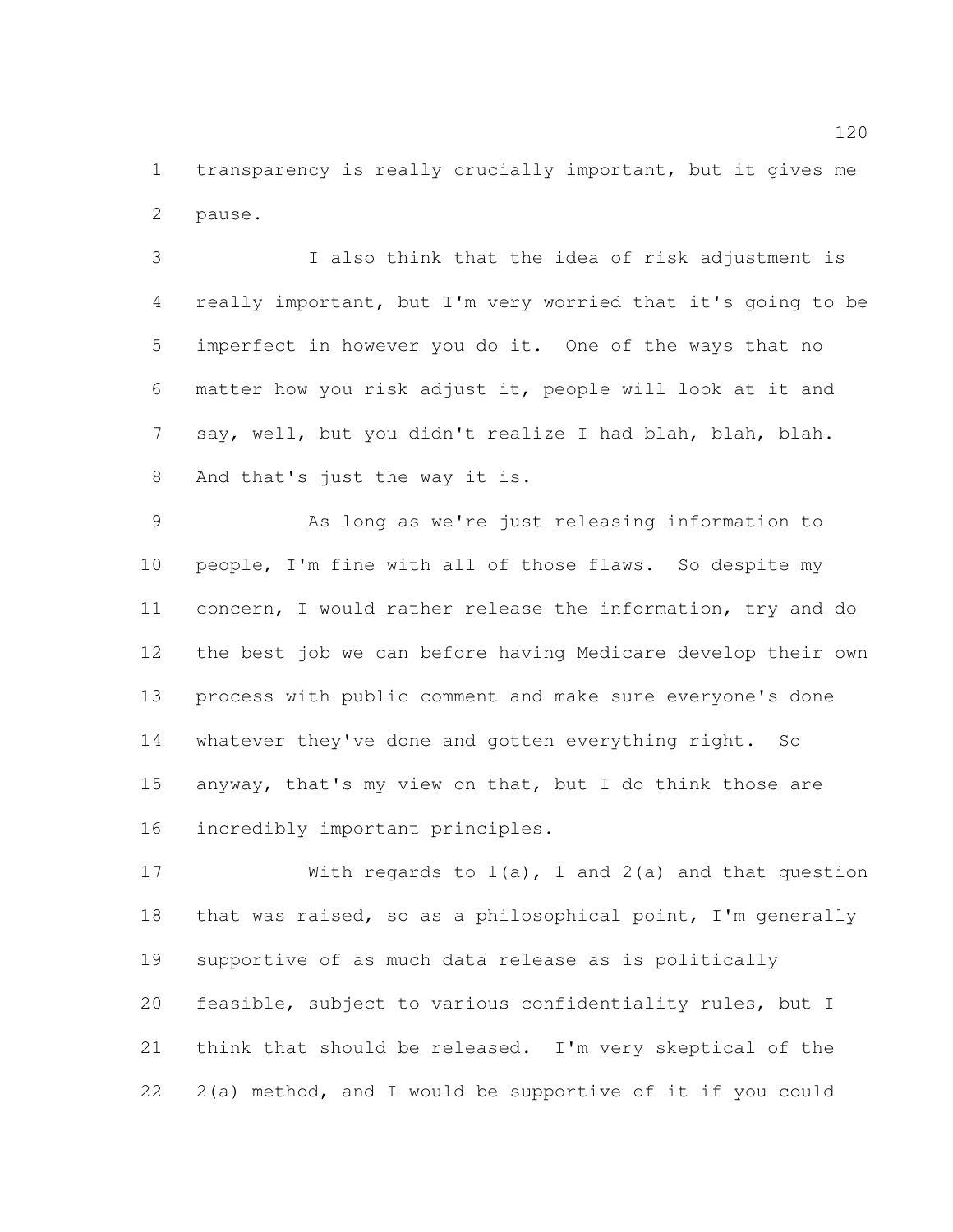transparency is really crucially important, but it gives me pause.

 I also think that the idea of risk adjustment is really important, but I'm very worried that it's going to be imperfect in however you do it. One of the ways that no matter how you risk adjust it, people will look at it and say, well, but you didn't realize I had blah, blah, blah. And that's just the way it is.

 As long as we're just releasing information to people, I'm fine with all of those flaws. So despite my concern, I would rather release the information, try and do the best job we can before having Medicare develop their own process with public comment and make sure everyone's done whatever they've done and gotten everything right. So anyway, that's my view on that, but I do think those are incredibly important principles.

 With regards to 1(a), 1 and 2(a) and that question that was raised, so as a philosophical point, I'm generally supportive of as much data release as is politically feasible, subject to various confidentiality rules, but I think that should be released. I'm very skeptical of the 2(a) method, and I would be supportive of it if you could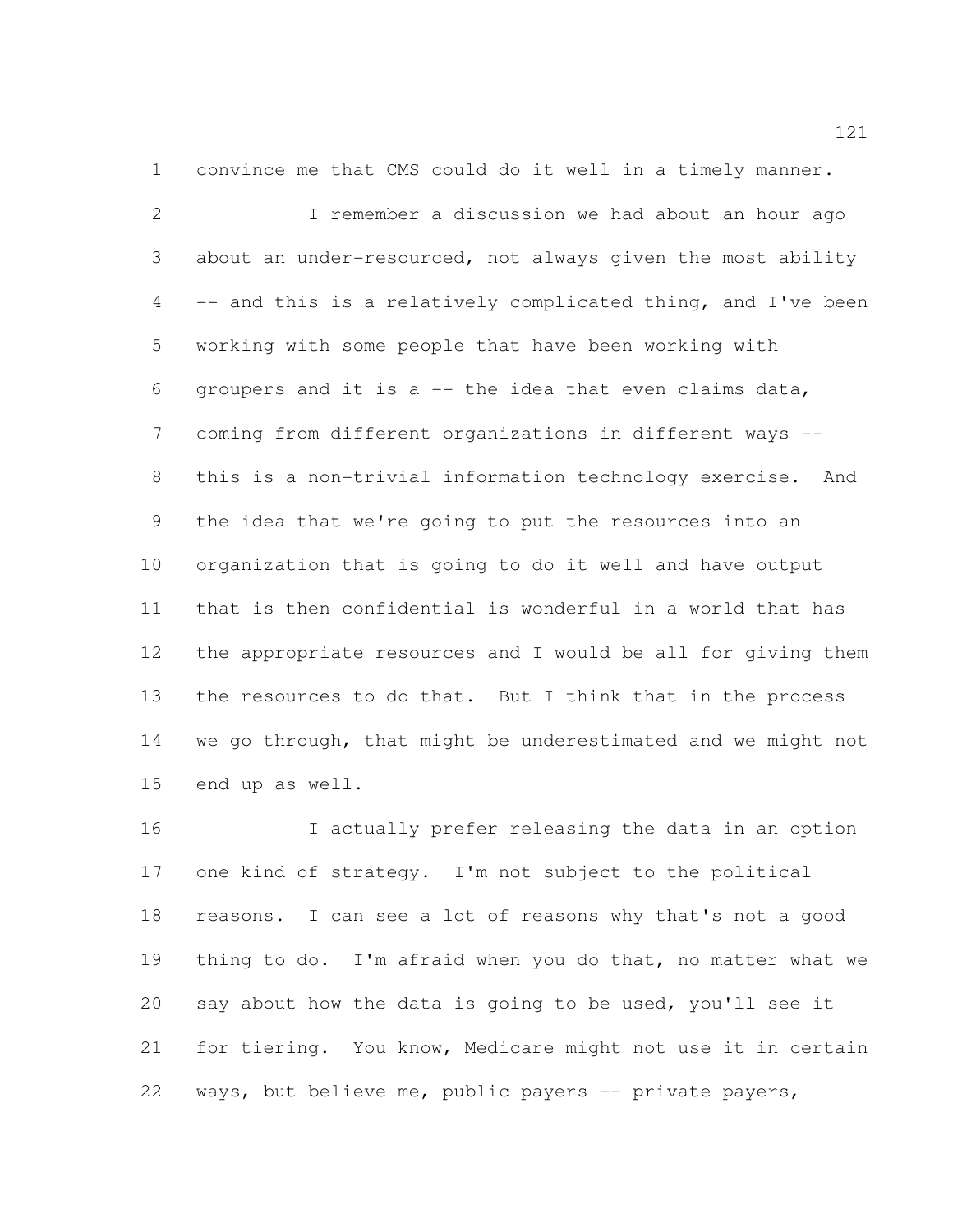convince me that CMS could do it well in a timely manner.

 I remember a discussion we had about an hour ago about an under-resourced, not always given the most ability -- and this is a relatively complicated thing, and I've been working with some people that have been working with groupers and it is a -- the idea that even claims data, coming from different organizations in different ways -- this is a non-trivial information technology exercise. And the idea that we're going to put the resources into an organization that is going to do it well and have output that is then confidential is wonderful in a world that has the appropriate resources and I would be all for giving them the resources to do that. But I think that in the process we go through, that might be underestimated and we might not end up as well.

 I actually prefer releasing the data in an option one kind of strategy. I'm not subject to the political reasons. I can see a lot of reasons why that's not a good thing to do. I'm afraid when you do that, no matter what we say about how the data is going to be used, you'll see it for tiering. You know, Medicare might not use it in certain ways, but believe me, public payers -- private payers,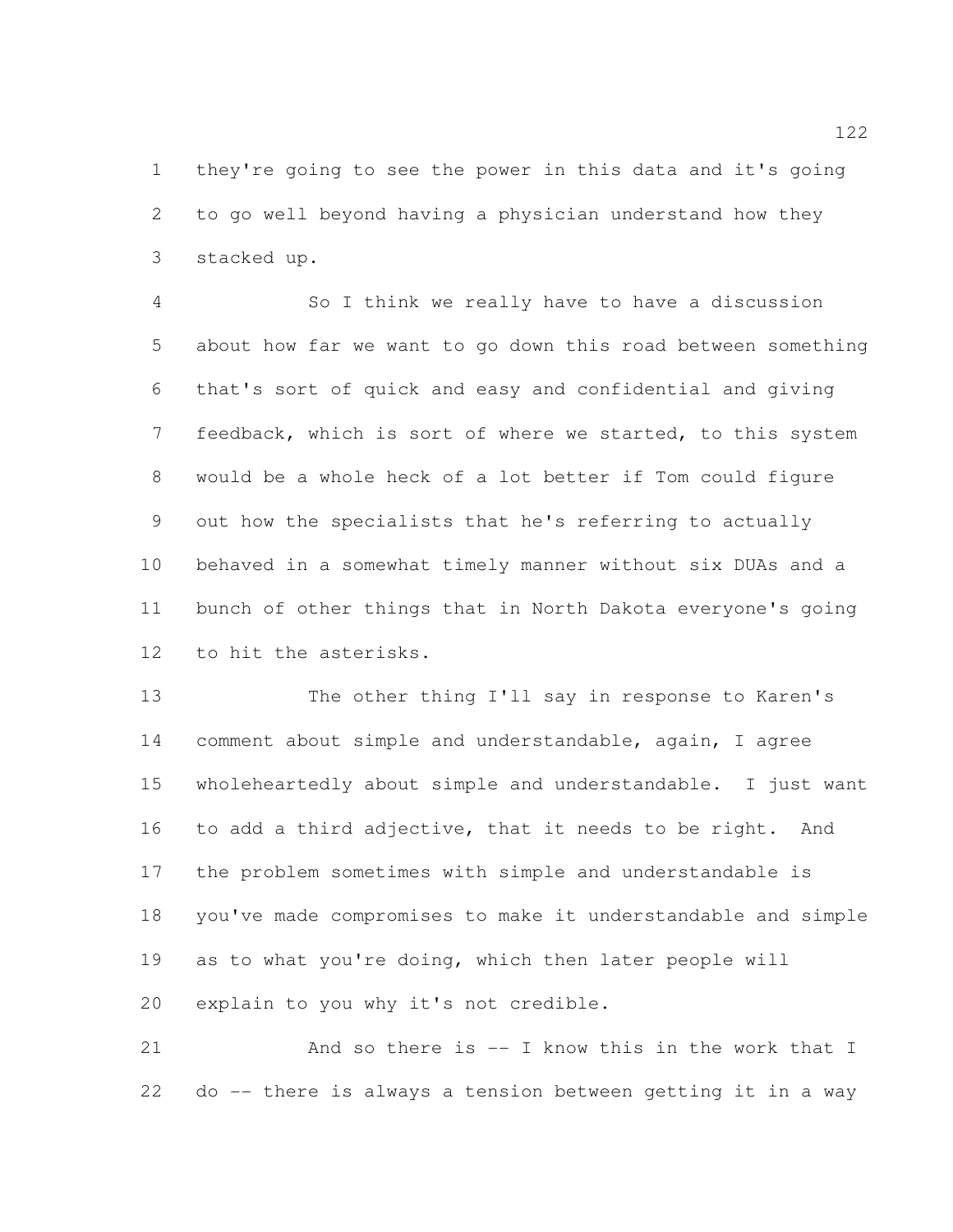they're going to see the power in this data and it's going to go well beyond having a physician understand how they stacked up.

 So I think we really have to have a discussion about how far we want to go down this road between something that's sort of quick and easy and confidential and giving feedback, which is sort of where we started, to this system would be a whole heck of a lot better if Tom could figure out how the specialists that he's referring to actually behaved in a somewhat timely manner without six DUAs and a bunch of other things that in North Dakota everyone's going to hit the asterisks.

 The other thing I'll say in response to Karen's comment about simple and understandable, again, I agree wholeheartedly about simple and understandable. I just want to add a third adjective, that it needs to be right. And the problem sometimes with simple and understandable is you've made compromises to make it understandable and simple as to what you're doing, which then later people will explain to you why it's not credible.

21 And so there is -- I know this in the work that I do -- there is always a tension between getting it in a way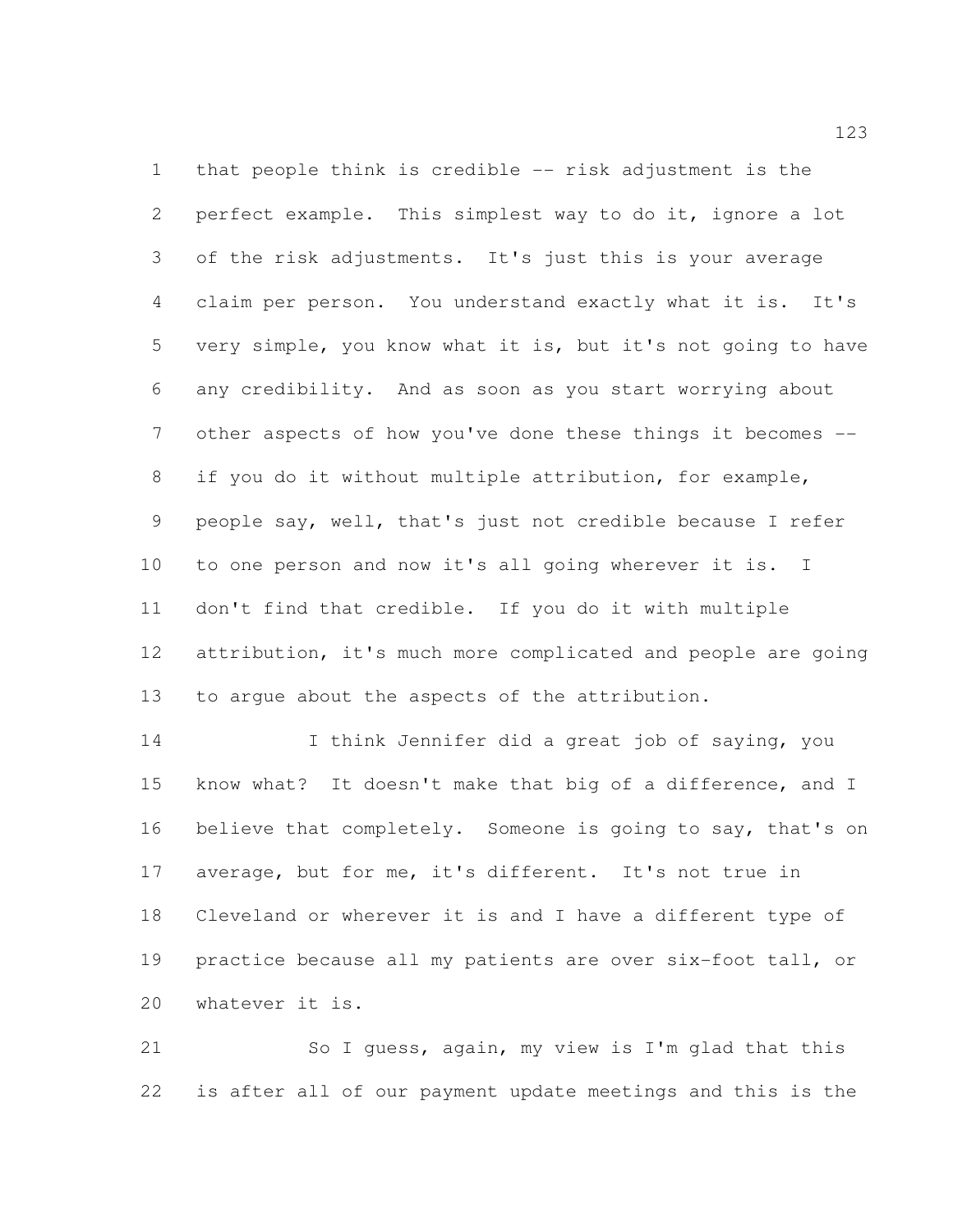that people think is credible -- risk adjustment is the perfect example. This simplest way to do it, ignore a lot of the risk adjustments. It's just this is your average claim per person. You understand exactly what it is. It's very simple, you know what it is, but it's not going to have any credibility. And as soon as you start worrying about other aspects of how you've done these things it becomes -- if you do it without multiple attribution, for example, people say, well, that's just not credible because I refer to one person and now it's all going wherever it is. I don't find that credible. If you do it with multiple attribution, it's much more complicated and people are going to argue about the aspects of the attribution.

 I think Jennifer did a great job of saying, you know what? It doesn't make that big of a difference, and I believe that completely. Someone is going to say, that's on average, but for me, it's different. It's not true in Cleveland or wherever it is and I have a different type of practice because all my patients are over six-foot tall, or whatever it is.

 So I guess, again, my view is I'm glad that this is after all of our payment update meetings and this is the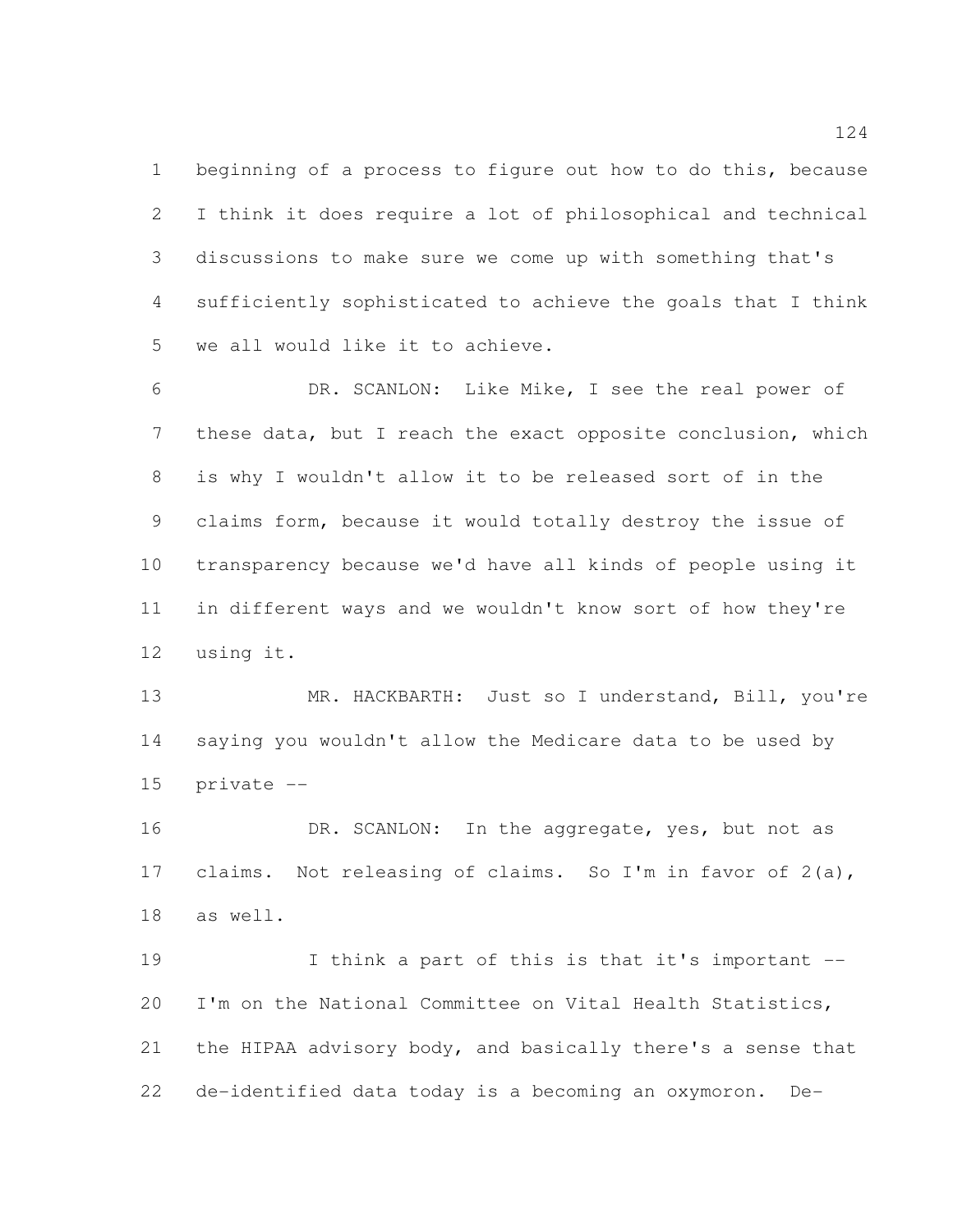beginning of a process to figure out how to do this, because I think it does require a lot of philosophical and technical discussions to make sure we come up with something that's sufficiently sophisticated to achieve the goals that I think we all would like it to achieve.

 DR. SCANLON: Like Mike, I see the real power of these data, but I reach the exact opposite conclusion, which is why I wouldn't allow it to be released sort of in the claims form, because it would totally destroy the issue of transparency because we'd have all kinds of people using it in different ways and we wouldn't know sort of how they're using it.

 MR. HACKBARTH: Just so I understand, Bill, you're saying you wouldn't allow the Medicare data to be used by private --

16 DR. SCANLON: In the aggregate, yes, but not as claims. Not releasing of claims. So I'm in favor of 2(a), as well.

 I think a part of this is that it's important -- I'm on the National Committee on Vital Health Statistics, the HIPAA advisory body, and basically there's a sense that de-identified data today is a becoming an oxymoron. De-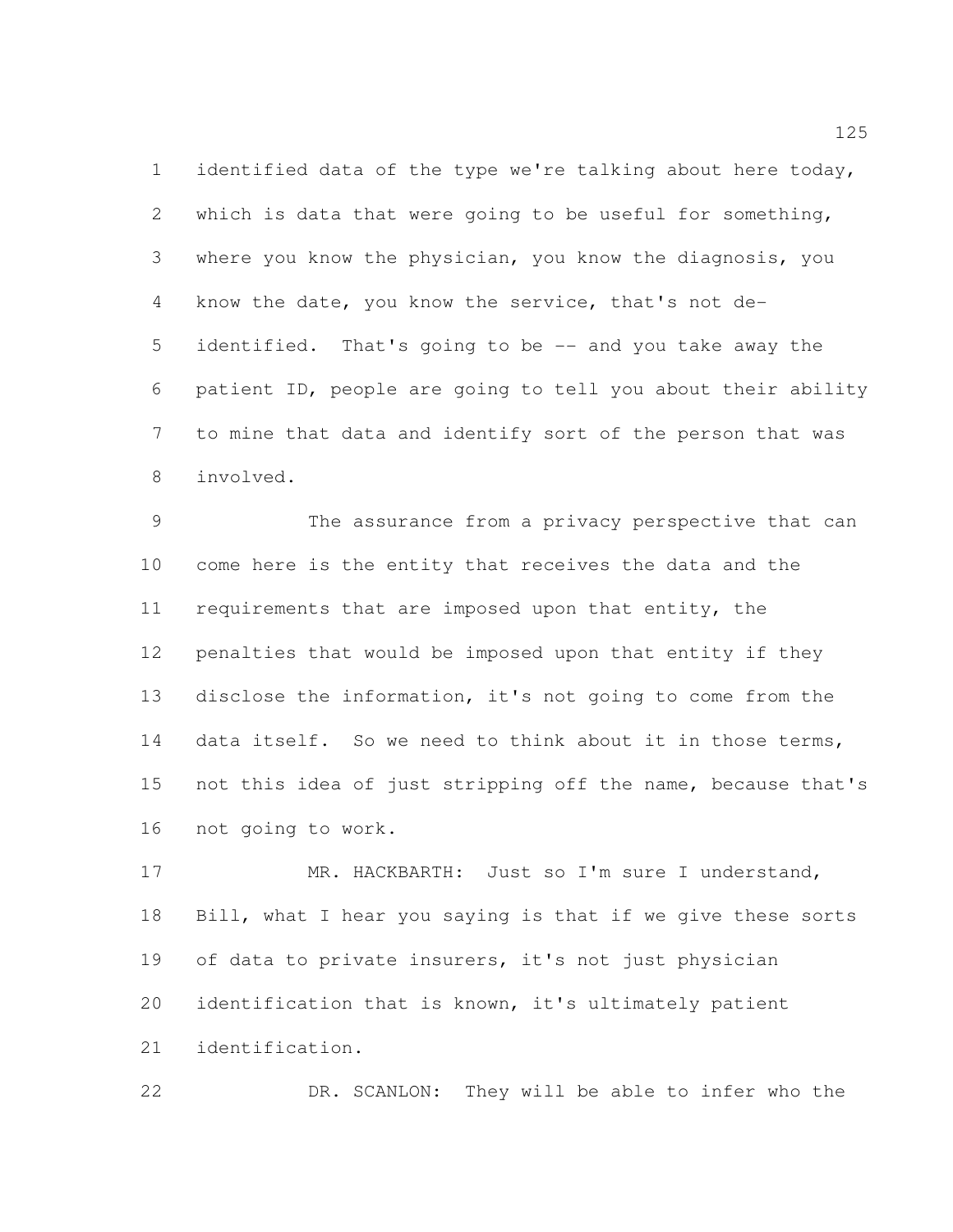identified data of the type we're talking about here today, which is data that were going to be useful for something, where you know the physician, you know the diagnosis, you know the date, you know the service, that's not de- identified. That's going to be -- and you take away the patient ID, people are going to tell you about their ability to mine that data and identify sort of the person that was involved.

 The assurance from a privacy perspective that can come here is the entity that receives the data and the requirements that are imposed upon that entity, the penalties that would be imposed upon that entity if they disclose the information, it's not going to come from the 14 data itself. So we need to think about it in those terms, not this idea of just stripping off the name, because that's not going to work.

17 MR. HACKBARTH: Just so I'm sure I understand, Bill, what I hear you saying is that if we give these sorts of data to private insurers, it's not just physician identification that is known, it's ultimately patient identification.

DR. SCANLON: They will be able to infer who the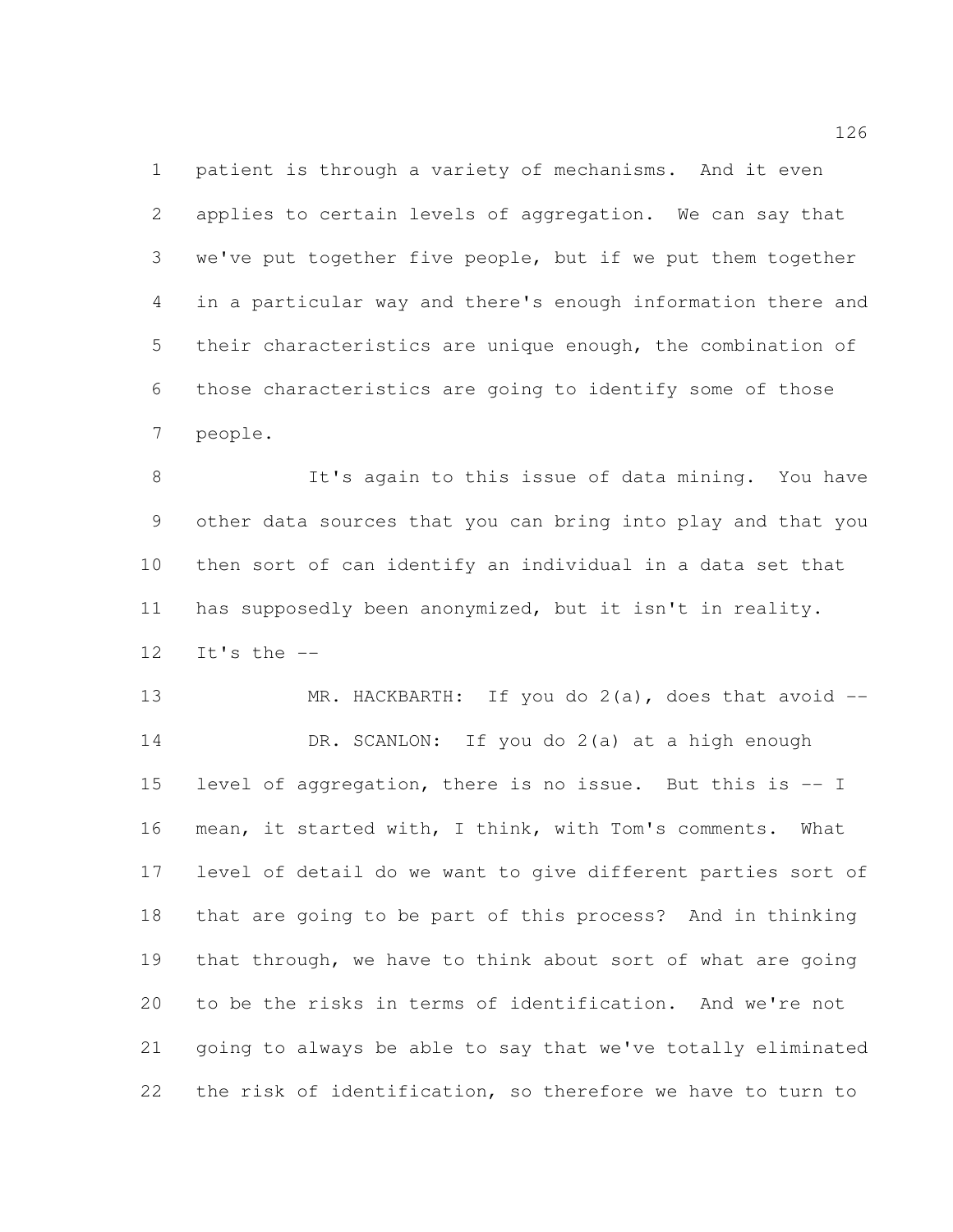patient is through a variety of mechanisms. And it even applies to certain levels of aggregation. We can say that we've put together five people, but if we put them together in a particular way and there's enough information there and their characteristics are unique enough, the combination of those characteristics are going to identify some of those people.

8 It's again to this issue of data mining. You have other data sources that you can bring into play and that you then sort of can identify an individual in a data set that has supposedly been anonymized, but it isn't in reality. It's the --

 MR. HACKBARTH: If you do 2(a), does that avoid -- DR. SCANLON: If you do 2(a) at a high enough level of aggregation, there is no issue. But this is -- I mean, it started with, I think, with Tom's comments. What level of detail do we want to give different parties sort of that are going to be part of this process? And in thinking that through, we have to think about sort of what are going to be the risks in terms of identification. And we're not going to always be able to say that we've totally eliminated the risk of identification, so therefore we have to turn to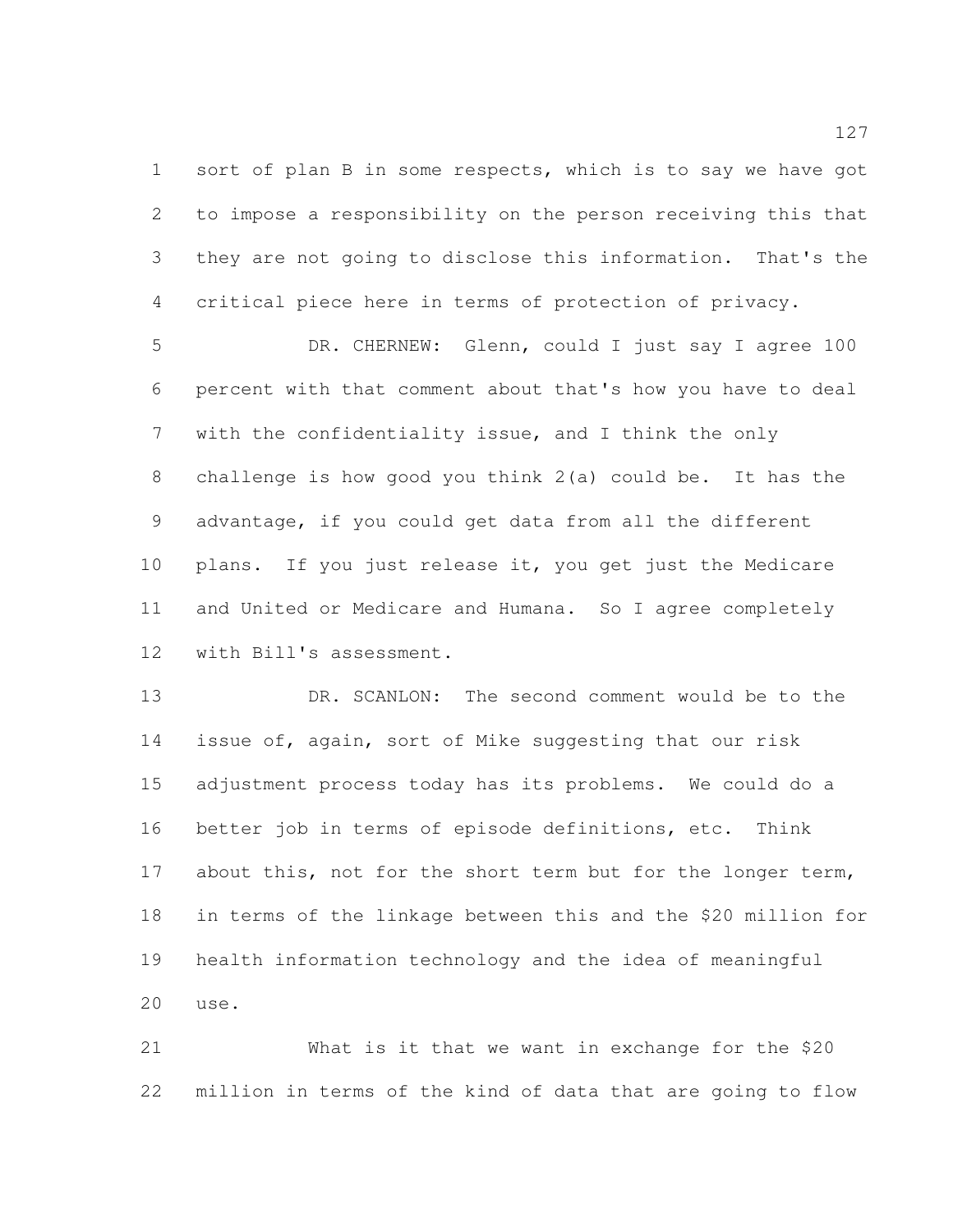1 sort of plan B in some respects, which is to say we have got to impose a responsibility on the person receiving this that they are not going to disclose this information. That's the critical piece here in terms of protection of privacy.

5 DR. CHERNEW: Glenn, could I just say I agree 100 percent with that comment about that's how you have to deal with the confidentiality issue, and I think the only challenge is how good you think 2(a) could be. It has the advantage, if you could get data from all the different plans. If you just release it, you get just the Medicare and United or Medicare and Humana. So I agree completely with Bill's assessment.

 DR. SCANLON: The second comment would be to the issue of, again, sort of Mike suggesting that our risk adjustment process today has its problems. We could do a better job in terms of episode definitions, etc. Think 17 about this, not for the short term but for the longer term, in terms of the linkage between this and the \$20 million for health information technology and the idea of meaningful use.

 What is it that we want in exchange for the \$20 million in terms of the kind of data that are going to flow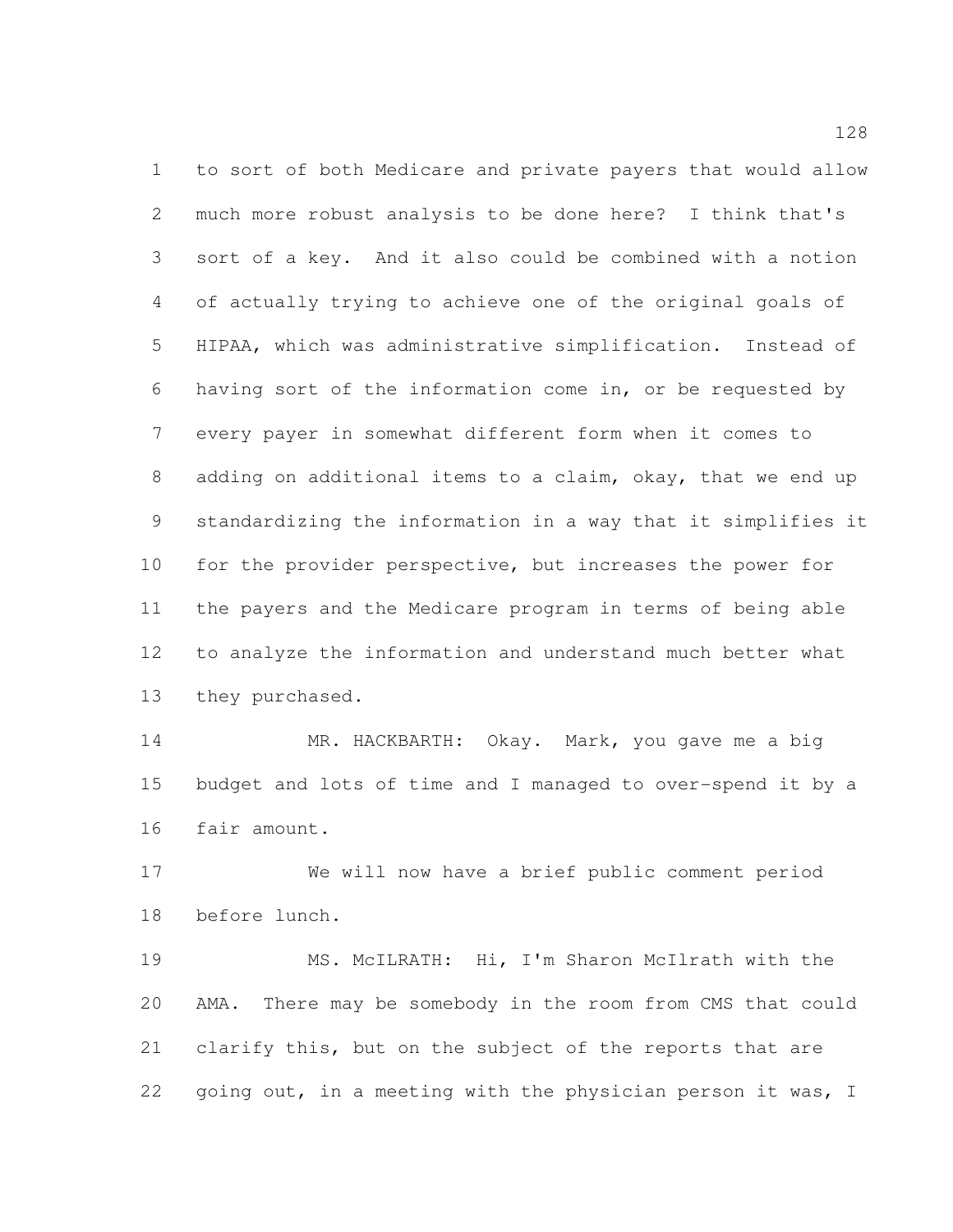to sort of both Medicare and private payers that would allow much more robust analysis to be done here? I think that's sort of a key. And it also could be combined with a notion of actually trying to achieve one of the original goals of HIPAA, which was administrative simplification. Instead of having sort of the information come in, or be requested by every payer in somewhat different form when it comes to adding on additional items to a claim, okay, that we end up standardizing the information in a way that it simplifies it for the provider perspective, but increases the power for the payers and the Medicare program in terms of being able to analyze the information and understand much better what they purchased.

 MR. HACKBARTH: Okay. Mark, you gave me a big budget and lots of time and I managed to over-spend it by a fair amount.

 We will now have a brief public comment period before lunch.

 MS. McILRATH: Hi, I'm Sharon McIlrath with the AMA. There may be somebody in the room from CMS that could clarify this, but on the subject of the reports that are 22 going out, in a meeting with the physician person it was, I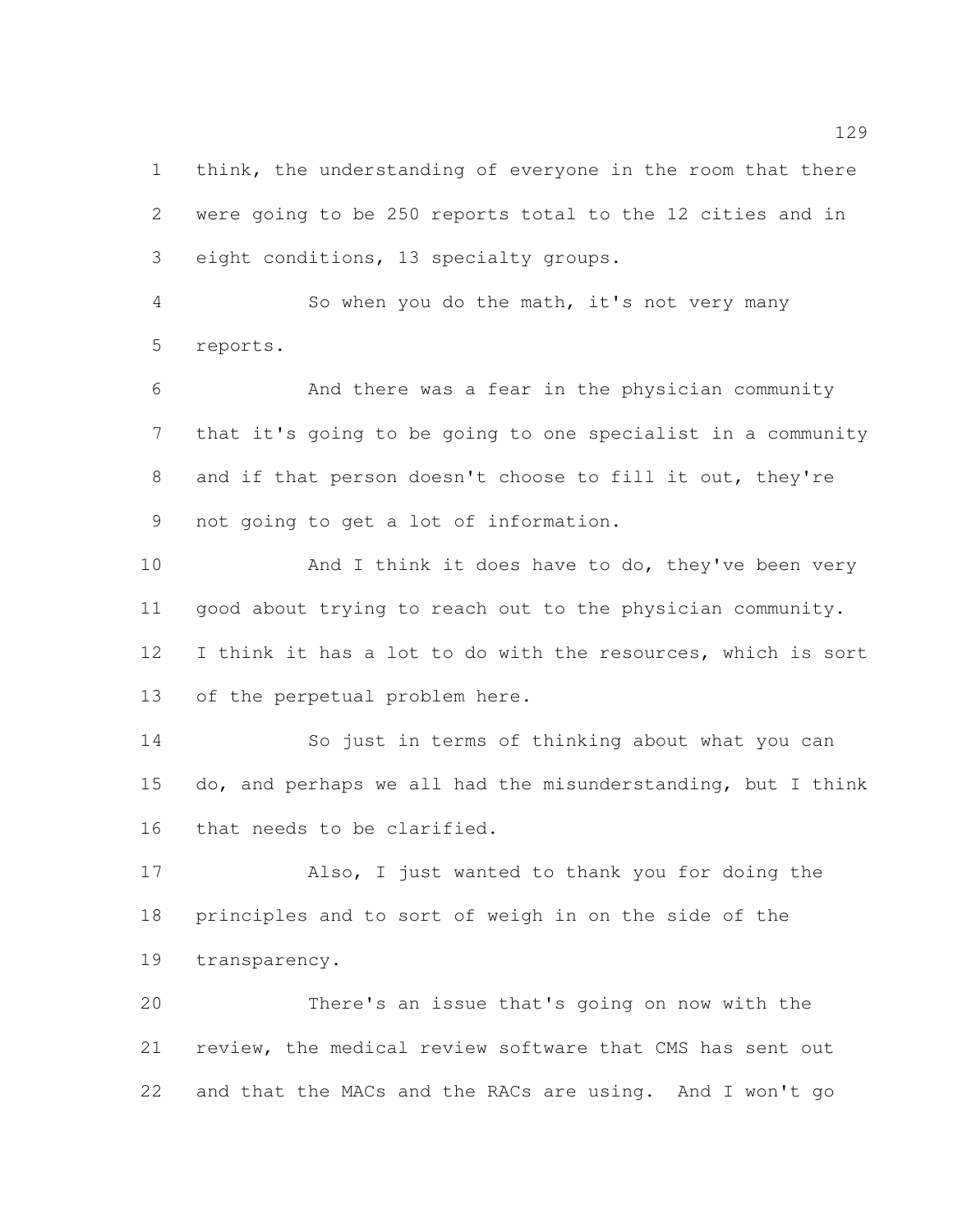1 think, the understanding of everyone in the room that there were going to be 250 reports total to the 12 cities and in eight conditions, 13 specialty groups.

 So when you do the math, it's not very many reports.

 And there was a fear in the physician community that it's going to be going to one specialist in a community and if that person doesn't choose to fill it out, they're not going to get a lot of information.

10 And I think it does have to do, they've been very good about trying to reach out to the physician community. I think it has a lot to do with the resources, which is sort of the perpetual problem here.

 So just in terms of thinking about what you can do, and perhaps we all had the misunderstanding, but I think that needs to be clarified.

 Also, I just wanted to thank you for doing the principles and to sort of weigh in on the side of the transparency.

 There's an issue that's going on now with the review, the medical review software that CMS has sent out and that the MACs and the RACs are using. And I won't go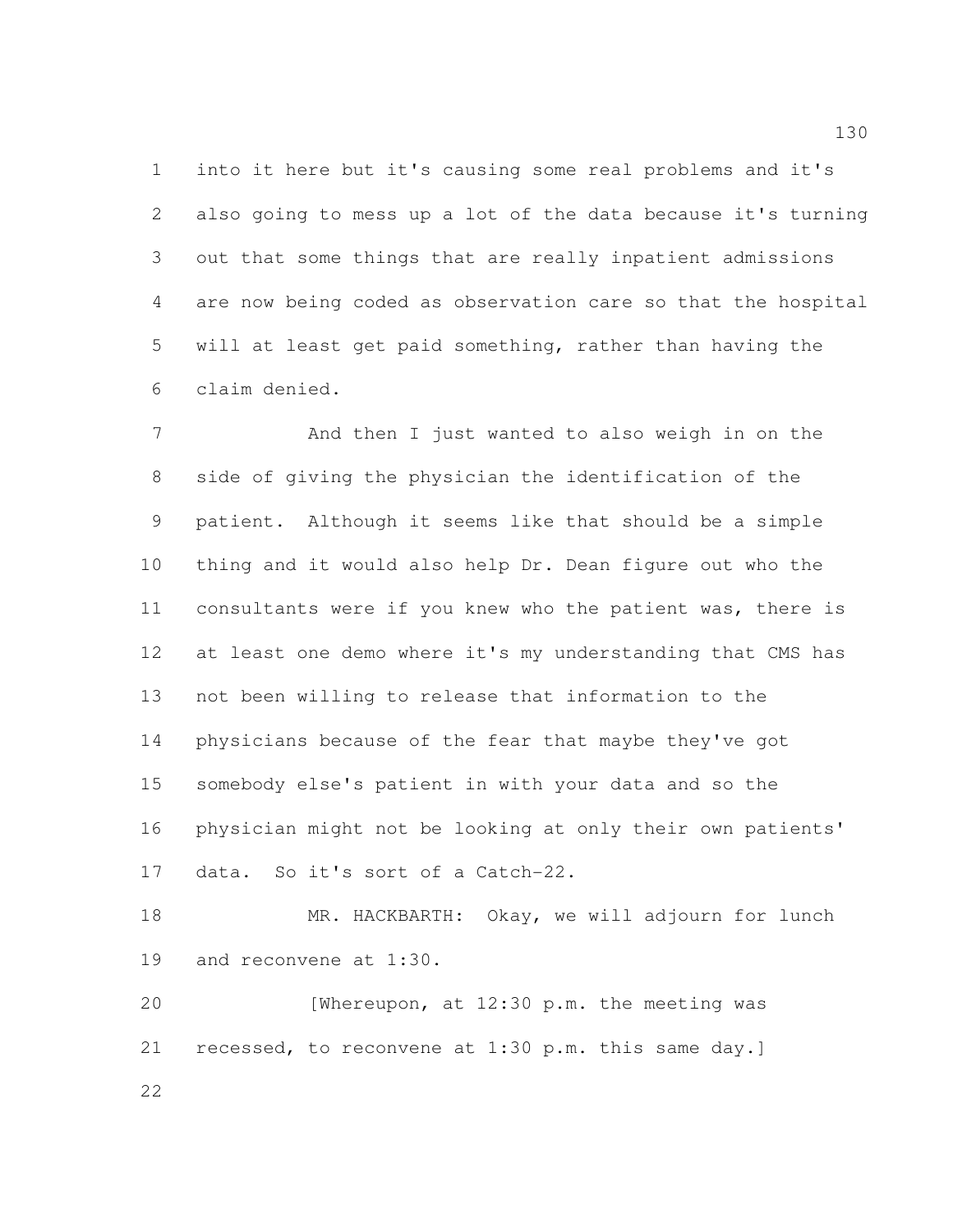into it here but it's causing some real problems and it's also going to mess up a lot of the data because it's turning out that some things that are really inpatient admissions are now being coded as observation care so that the hospital will at least get paid something, rather than having the claim denied.

 And then I just wanted to also weigh in on the side of giving the physician the identification of the patient. Although it seems like that should be a simple thing and it would also help Dr. Dean figure out who the consultants were if you knew who the patient was, there is 12 at least one demo where it's my understanding that CMS has not been willing to release that information to the physicians because of the fear that maybe they've got somebody else's patient in with your data and so the physician might not be looking at only their own patients' data. So it's sort of a Catch-22.

 MR. HACKBARTH: Okay, we will adjourn for lunch and reconvene at 1:30.

 [Whereupon, at 12:30 p.m. the meeting was recessed, to reconvene at 1:30 p.m. this same day.]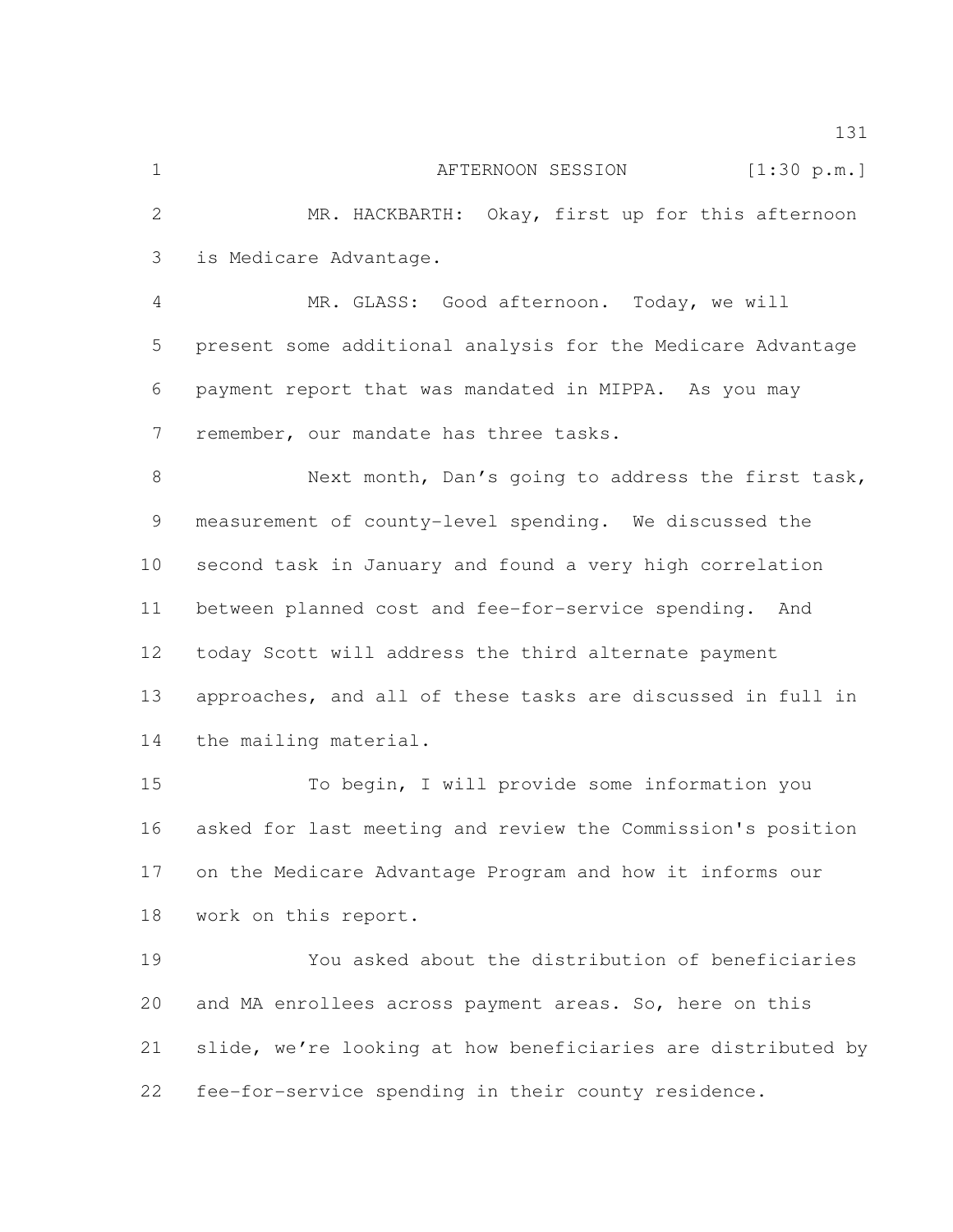is Medicare Advantage.

 MR. GLASS: Good afternoon. Today, we will present some additional analysis for the Medicare Advantage payment report that was mandated in MIPPA. As you may remember, our mandate has three tasks.

 Next month, Dan's going to address the first task, measurement of county-level spending. We discussed the second task in January and found a very high correlation between planned cost and fee-for-service spending. And today Scott will address the third alternate payment approaches, and all of these tasks are discussed in full in the mailing material.

 To begin, I will provide some information you asked for last meeting and review the Commission's position on the Medicare Advantage Program and how it informs our work on this report.

 You asked about the distribution of beneficiaries and MA enrollees across payment areas. So, here on this slide, we're looking at how beneficiaries are distributed by fee-for-service spending in their county residence.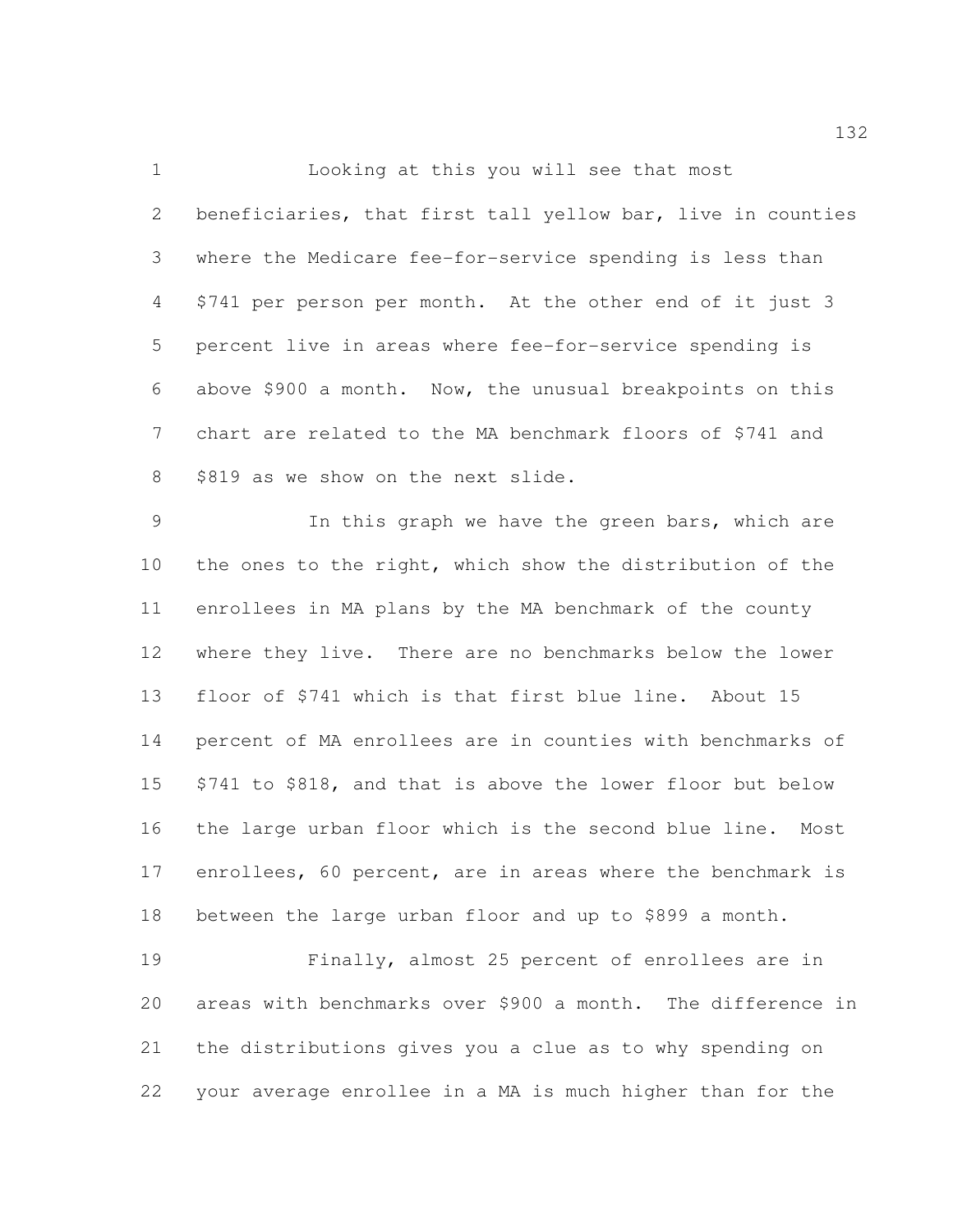Looking at this you will see that most beneficiaries, that first tall yellow bar, live in counties where the Medicare fee-for-service spending is less than \$741 per person per month. At the other end of it just 3 percent live in areas where fee-for-service spending is above \$900 a month. Now, the unusual breakpoints on this chart are related to the MA benchmark floors of \$741 and 8 \$819 as we show on the next slide.

 In this graph we have the green bars, which are the ones to the right, which show the distribution of the enrollees in MA plans by the MA benchmark of the county where they live. There are no benchmarks below the lower floor of \$741 which is that first blue line. About 15 percent of MA enrollees are in counties with benchmarks of \$741 to \$818, and that is above the lower floor but below the large urban floor which is the second blue line. Most enrollees, 60 percent, are in areas where the benchmark is between the large urban floor and up to \$899 a month.

 Finally, almost 25 percent of enrollees are in areas with benchmarks over \$900 a month. The difference in the distributions gives you a clue as to why spending on your average enrollee in a MA is much higher than for the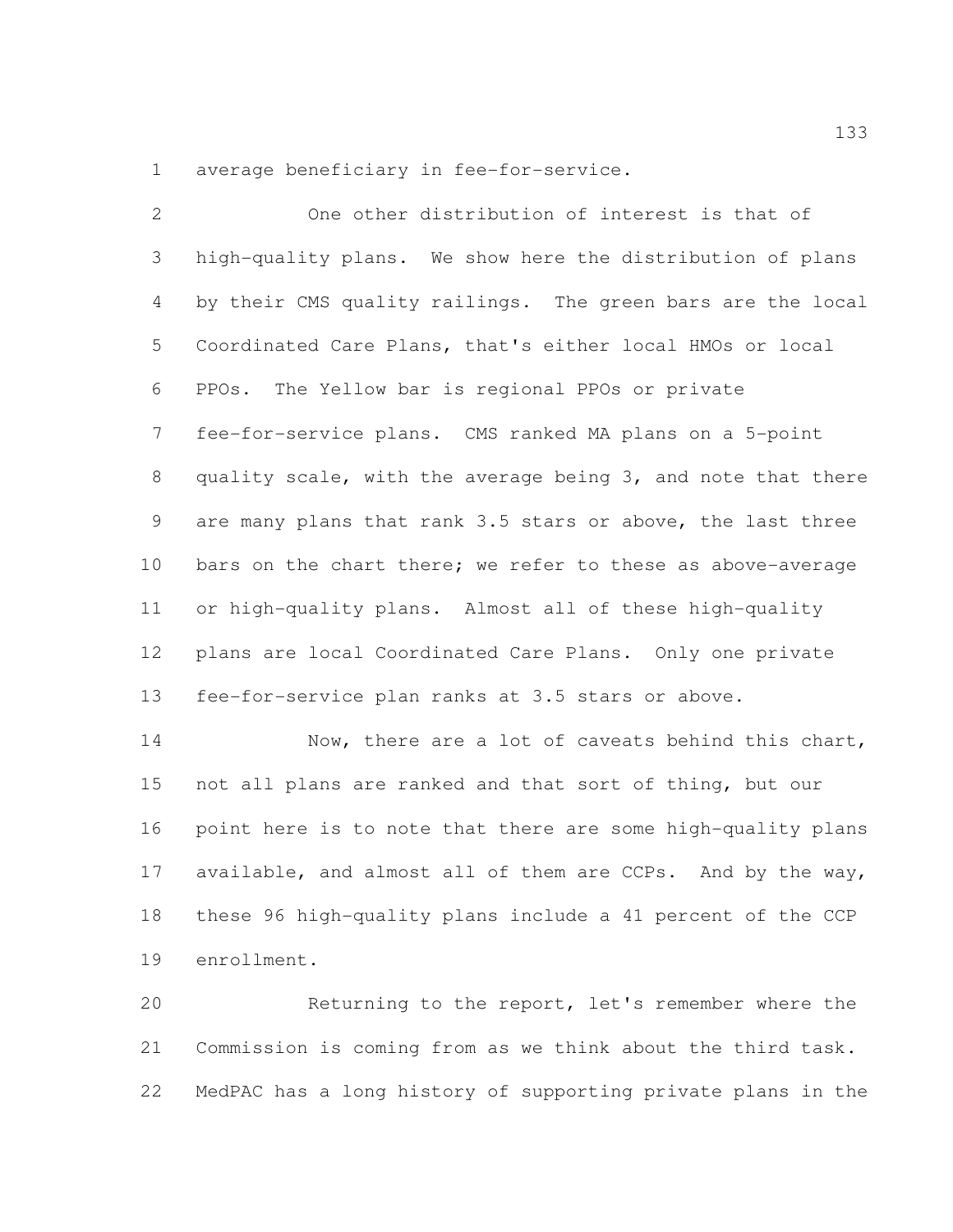average beneficiary in fee-for-service.

| $\mathbf{2}$   | One other distribution of interest is that of                |
|----------------|--------------------------------------------------------------|
| 3              | high-quality plans. We show here the distribution of plans   |
| 4              | by their CMS quality railings. The green bars are the local  |
| 5              | Coordinated Care Plans, that's either local HMOs or local    |
| 6              | The Yellow bar is regional PPOs or private<br>PPOs.          |
| $7\phantom{.}$ | fee-for-service plans. CMS ranked MA plans on a 5-point      |
| 8              | quality scale, with the average being 3, and note that there |
| 9              | are many plans that rank 3.5 stars or above, the last three  |
| 10             | bars on the chart there; we refer to these as above-average  |
| 11             | or high-quality plans. Almost all of these high-quality      |
| 12             | plans are local Coordinated Care Plans. Only one private     |
| 13             | fee-for-service plan ranks at 3.5 stars or above.            |
| 14             | Now, there are a lot of caveats behind this chart,           |
| 15             | not all plans are ranked and that sort of thing, but our     |
| 16             | point here is to note that there are some high-quality plans |

 available, and almost all of them are CCPs. And by the way, these 96 high-quality plans include a 41 percent of the CCP enrollment.

 Returning to the report, let's remember where the Commission is coming from as we think about the third task. MedPAC has a long history of supporting private plans in the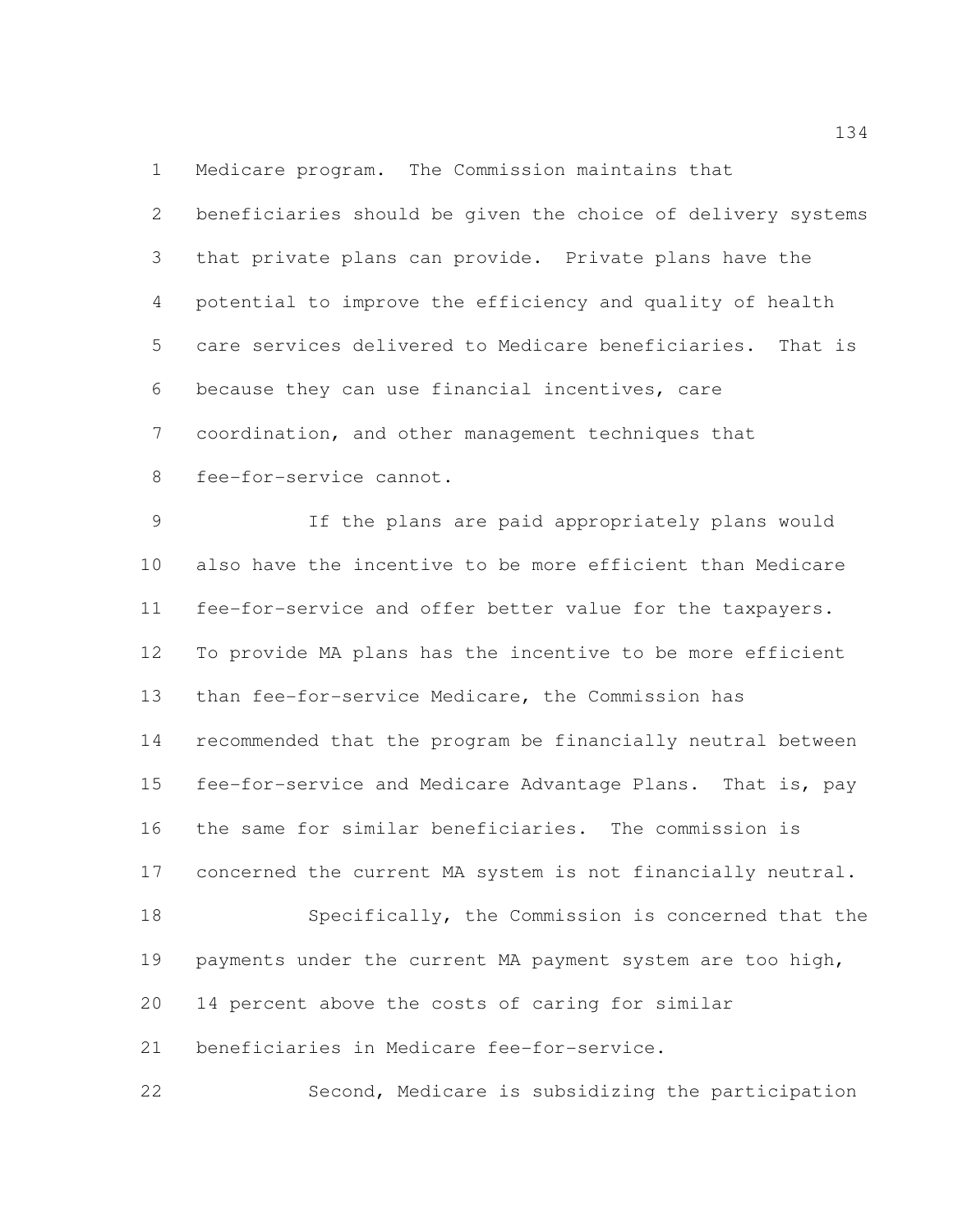Medicare program. The Commission maintains that

 beneficiaries should be given the choice of delivery systems that private plans can provide. Private plans have the potential to improve the efficiency and quality of health care services delivered to Medicare beneficiaries. That is because they can use financial incentives, care coordination, and other management techniques that fee-for-service cannot.

 If the plans are paid appropriately plans would also have the incentive to be more efficient than Medicare fee-for-service and offer better value for the taxpayers. To provide MA plans has the incentive to be more efficient than fee-for-service Medicare, the Commission has recommended that the program be financially neutral between fee-for-service and Medicare Advantage Plans. That is, pay the same for similar beneficiaries. The commission is concerned the current MA system is not financially neutral. Specifically, the Commission is concerned that the 19 payments under the current MA payment system are too high, 14 percent above the costs of caring for similar

beneficiaries in Medicare fee-for-service.

Second, Medicare is subsidizing the participation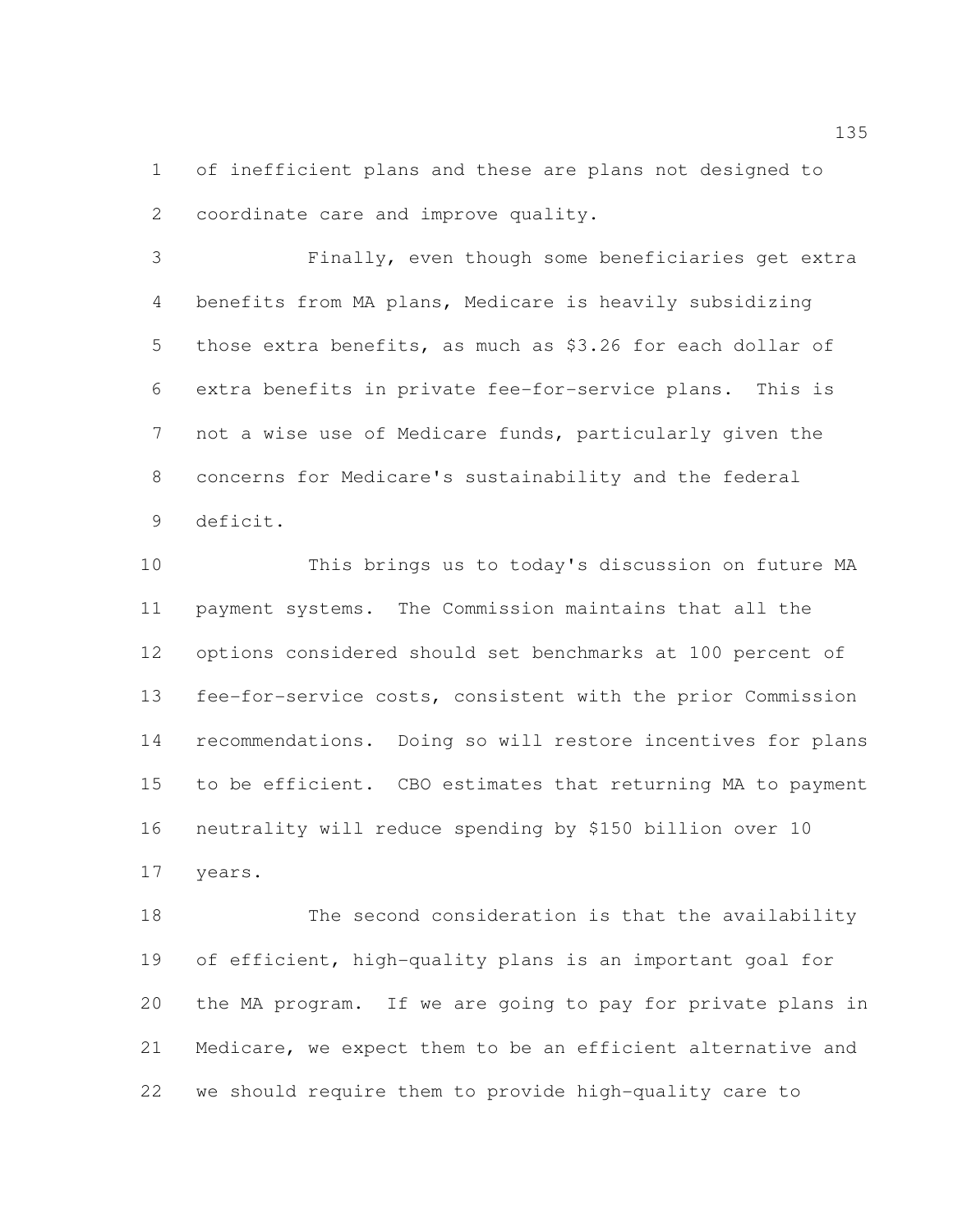of inefficient plans and these are plans not designed to coordinate care and improve quality.

 Finally, even though some beneficiaries get extra benefits from MA plans, Medicare is heavily subsidizing those extra benefits, as much as \$3.26 for each dollar of extra benefits in private fee-for-service plans. This is not a wise use of Medicare funds, particularly given the concerns for Medicare's sustainability and the federal deficit.

 This brings us to today's discussion on future MA payment systems. The Commission maintains that all the options considered should set benchmarks at 100 percent of fee-for-service costs, consistent with the prior Commission recommendations. Doing so will restore incentives for plans to be efficient. CBO estimates that returning MA to payment neutrality will reduce spending by \$150 billion over 10 years.

 The second consideration is that the availability of efficient, high-quality plans is an important goal for the MA program. If we are going to pay for private plans in Medicare, we expect them to be an efficient alternative and we should require them to provide high-quality care to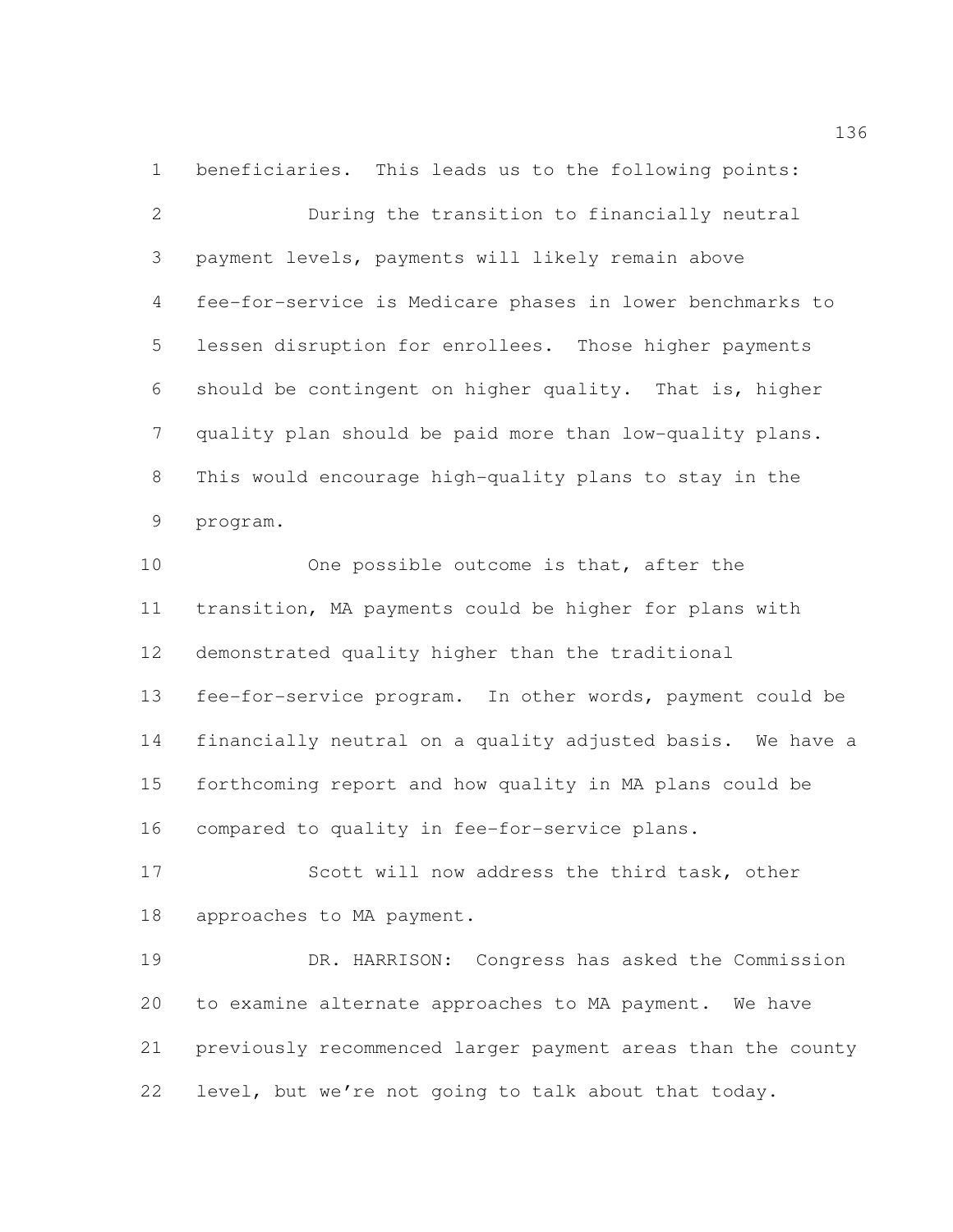beneficiaries. This leads us to the following points: During the transition to financially neutral payment levels, payments will likely remain above fee-for-service is Medicare phases in lower benchmarks to lessen disruption for enrollees. Those higher payments should be contingent on higher quality. That is, higher quality plan should be paid more than low-quality plans. This would encourage high-quality plans to stay in the program.

10 One possible outcome is that, after the transition, MA payments could be higher for plans with demonstrated quality higher than the traditional fee-for-service program. In other words, payment could be financially neutral on a quality adjusted basis. We have a forthcoming report and how quality in MA plans could be compared to quality in fee-for-service plans.

 Scott will now address the third task, other approaches to MA payment.

 DR. HARRISON: Congress has asked the Commission to examine alternate approaches to MA payment. We have previously recommenced larger payment areas than the county level, but we're not going to talk about that today.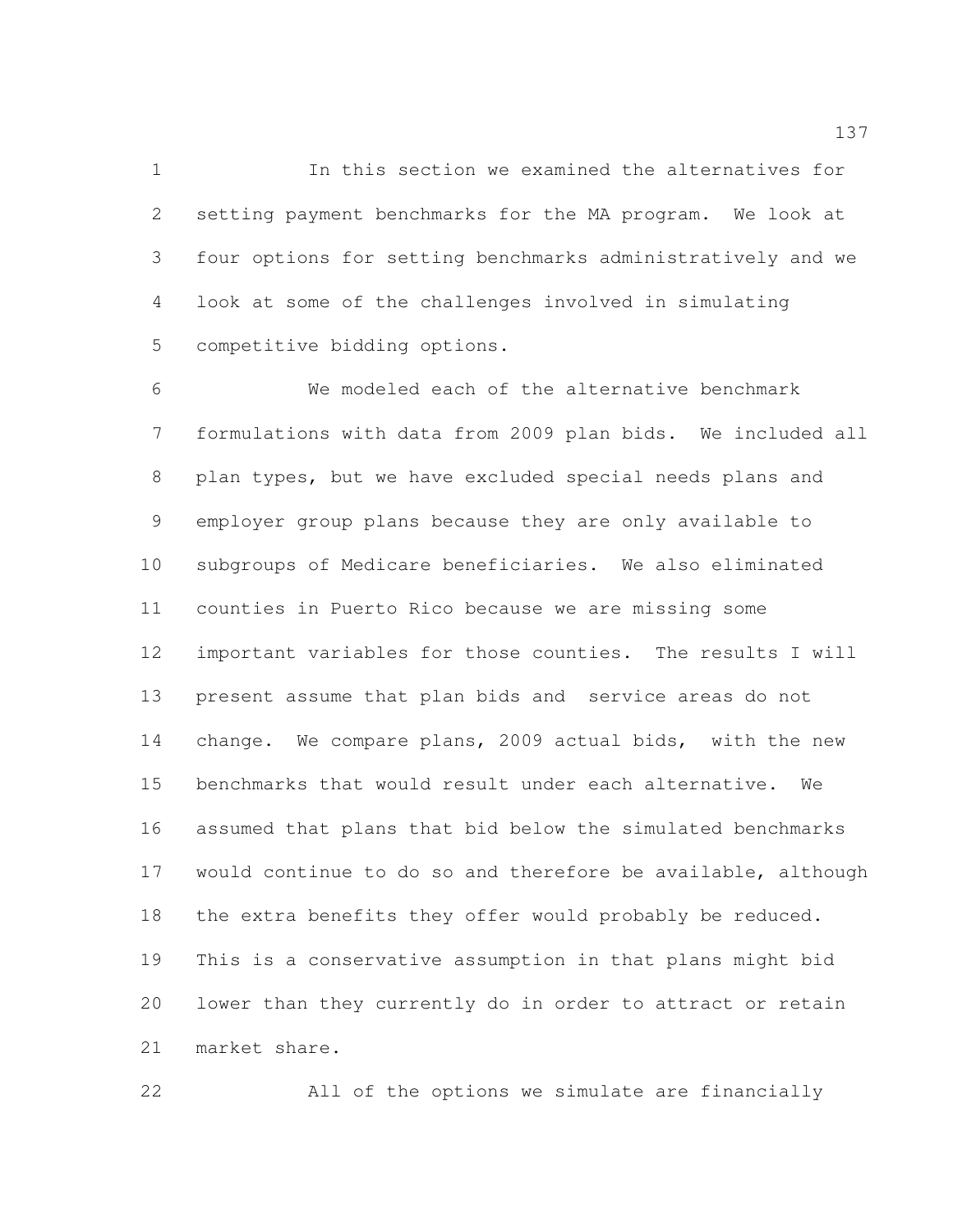In this section we examined the alternatives for setting payment benchmarks for the MA program. We look at four options for setting benchmarks administratively and we look at some of the challenges involved in simulating competitive bidding options.

 We modeled each of the alternative benchmark formulations with data from 2009 plan bids. We included all plan types, but we have excluded special needs plans and employer group plans because they are only available to subgroups of Medicare beneficiaries. We also eliminated counties in Puerto Rico because we are missing some important variables for those counties. The results I will present assume that plan bids and service areas do not change. We compare plans, 2009 actual bids, with the new benchmarks that would result under each alternative. We assumed that plans that bid below the simulated benchmarks would continue to do so and therefore be available, although the extra benefits they offer would probably be reduced. This is a conservative assumption in that plans might bid lower than they currently do in order to attract or retain market share.

All of the options we simulate are financially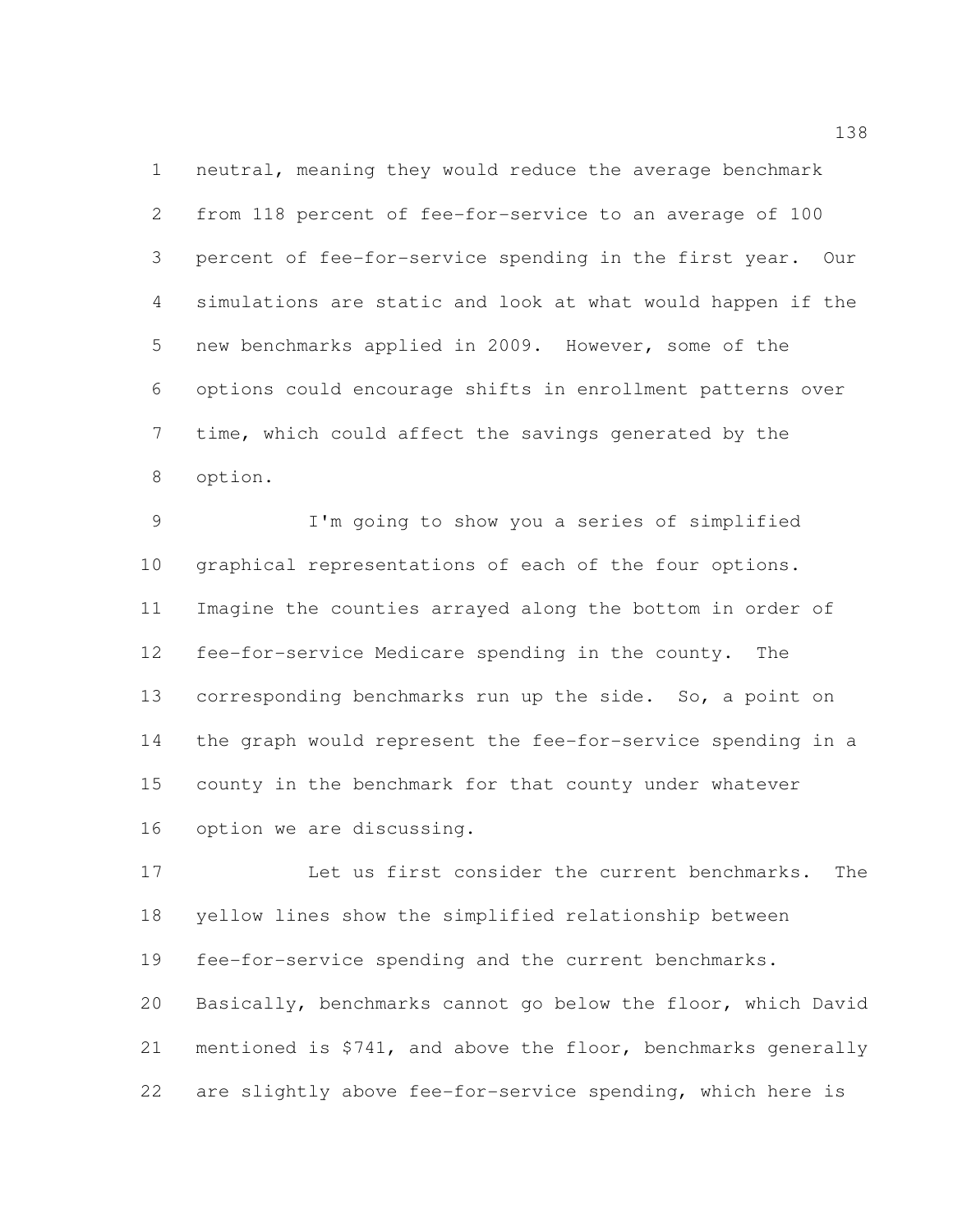neutral, meaning they would reduce the average benchmark from 118 percent of fee-for-service to an average of 100 percent of fee-for-service spending in the first year. Our simulations are static and look at what would happen if the new benchmarks applied in 2009. However, some of the options could encourage shifts in enrollment patterns over time, which could affect the savings generated by the option.

 I'm going to show you a series of simplified graphical representations of each of the four options. Imagine the counties arrayed along the bottom in order of fee-for-service Medicare spending in the county. The corresponding benchmarks run up the side. So, a point on the graph would represent the fee-for-service spending in a county in the benchmark for that county under whatever option we are discussing.

 Let us first consider the current benchmarks. The yellow lines show the simplified relationship between fee-for-service spending and the current benchmarks. Basically, benchmarks cannot go below the floor, which David mentioned is \$741, and above the floor, benchmarks generally are slightly above fee-for-service spending, which here is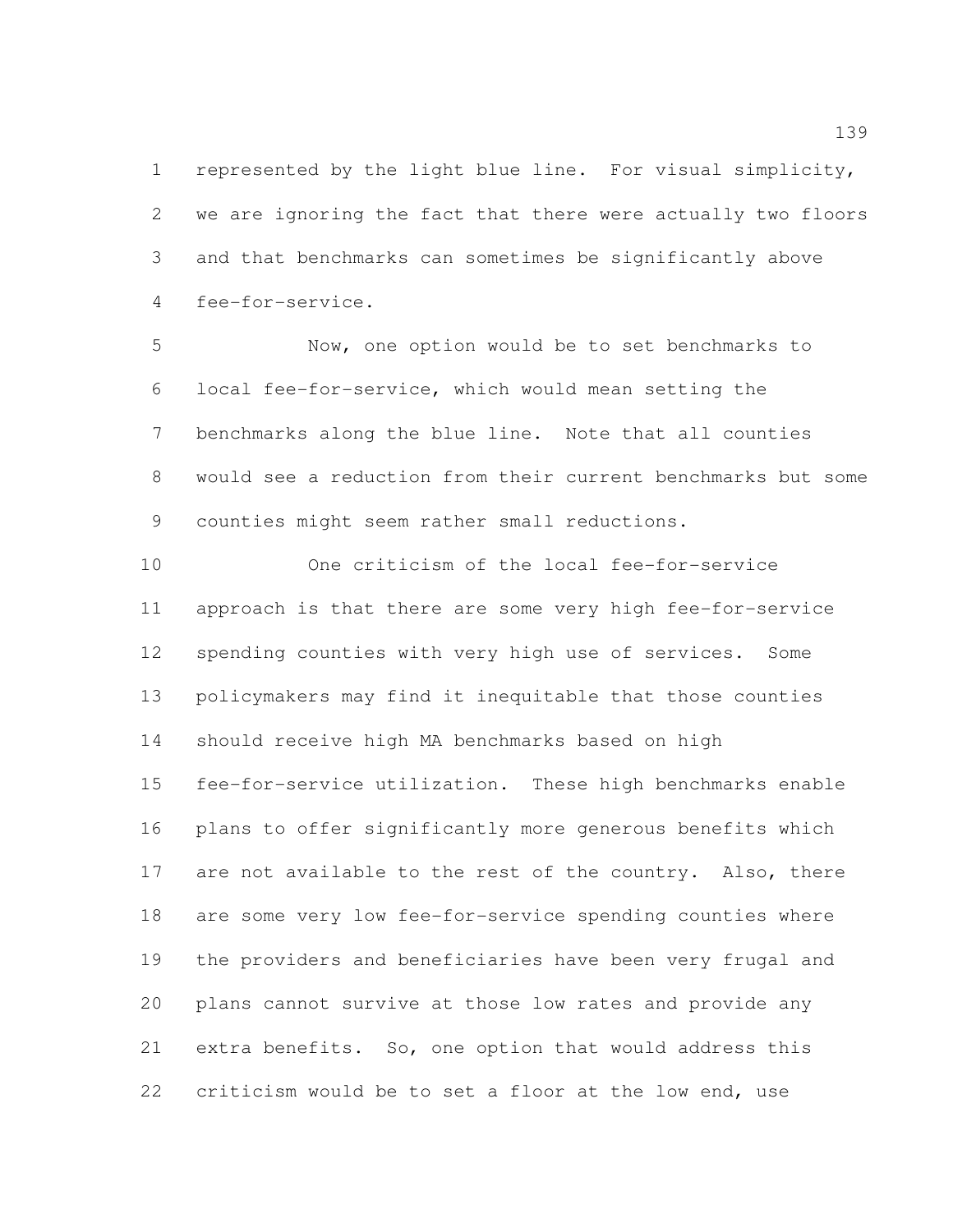represented by the light blue line. For visual simplicity, we are ignoring the fact that there were actually two floors and that benchmarks can sometimes be significantly above fee-for-service.

 Now, one option would be to set benchmarks to local fee-for-service, which would mean setting the benchmarks along the blue line. Note that all counties would see a reduction from their current benchmarks but some counties might seem rather small reductions.

 One criticism of the local fee-for-service approach is that there are some very high fee-for-service spending counties with very high use of services. Some policymakers may find it inequitable that those counties should receive high MA benchmarks based on high fee-for-service utilization. These high benchmarks enable plans to offer significantly more generous benefits which 17 are not available to the rest of the country. Also, there are some very low fee-for-service spending counties where the providers and beneficiaries have been very frugal and plans cannot survive at those low rates and provide any extra benefits. So, one option that would address this criticism would be to set a floor at the low end, use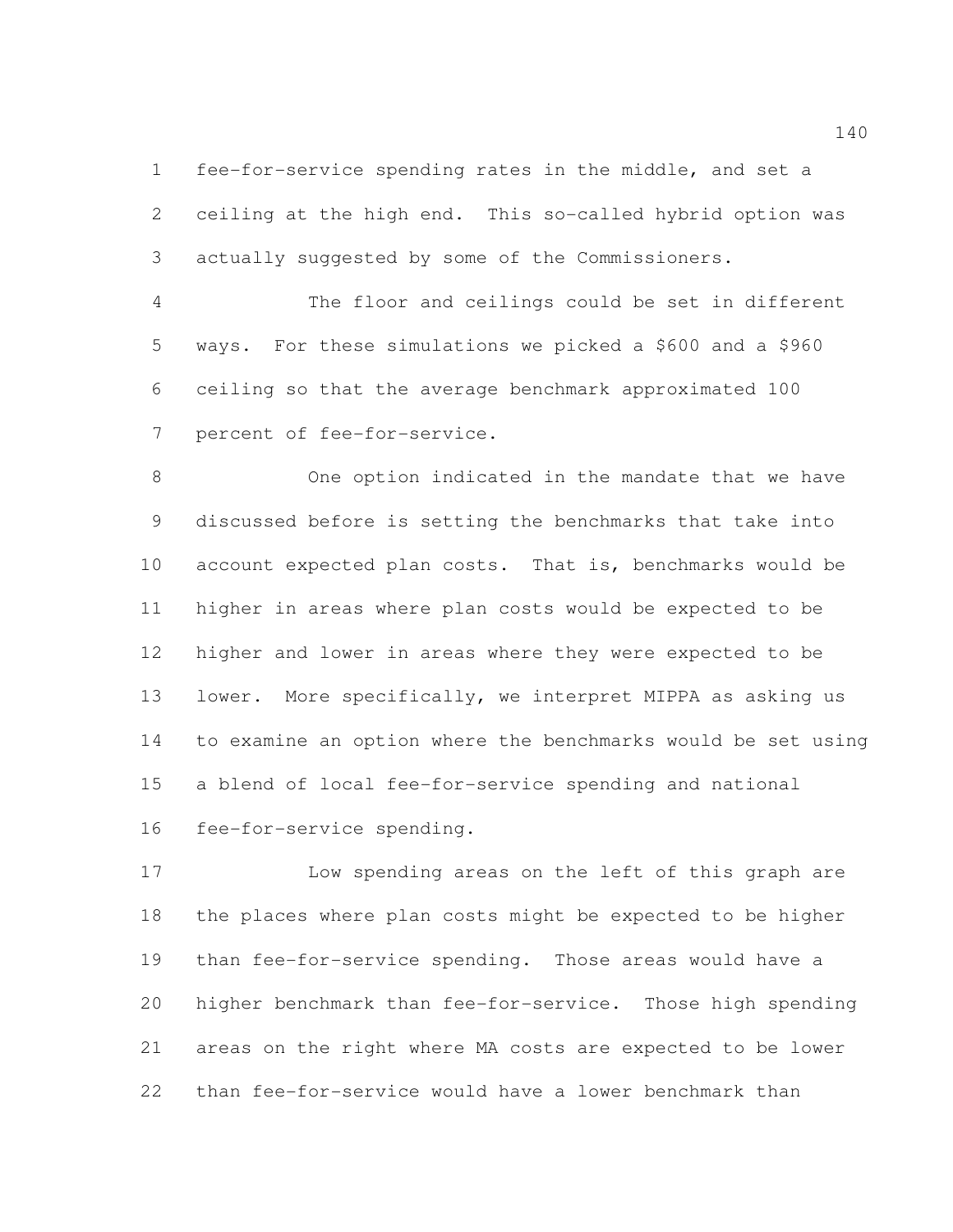fee-for-service spending rates in the middle, and set a ceiling at the high end. This so-called hybrid option was actually suggested by some of the Commissioners.

 The floor and ceilings could be set in different ways. For these simulations we picked a \$600 and a \$960 ceiling so that the average benchmark approximated 100 percent of fee-for-service.

 One option indicated in the mandate that we have discussed before is setting the benchmarks that take into account expected plan costs. That is, benchmarks would be higher in areas where plan costs would be expected to be higher and lower in areas where they were expected to be lower. More specifically, we interpret MIPPA as asking us to examine an option where the benchmarks would be set using a blend of local fee-for-service spending and national fee-for-service spending.

 Low spending areas on the left of this graph are the places where plan costs might be expected to be higher than fee-for-service spending. Those areas would have a higher benchmark than fee-for-service. Those high spending areas on the right where MA costs are expected to be lower than fee-for-service would have a lower benchmark than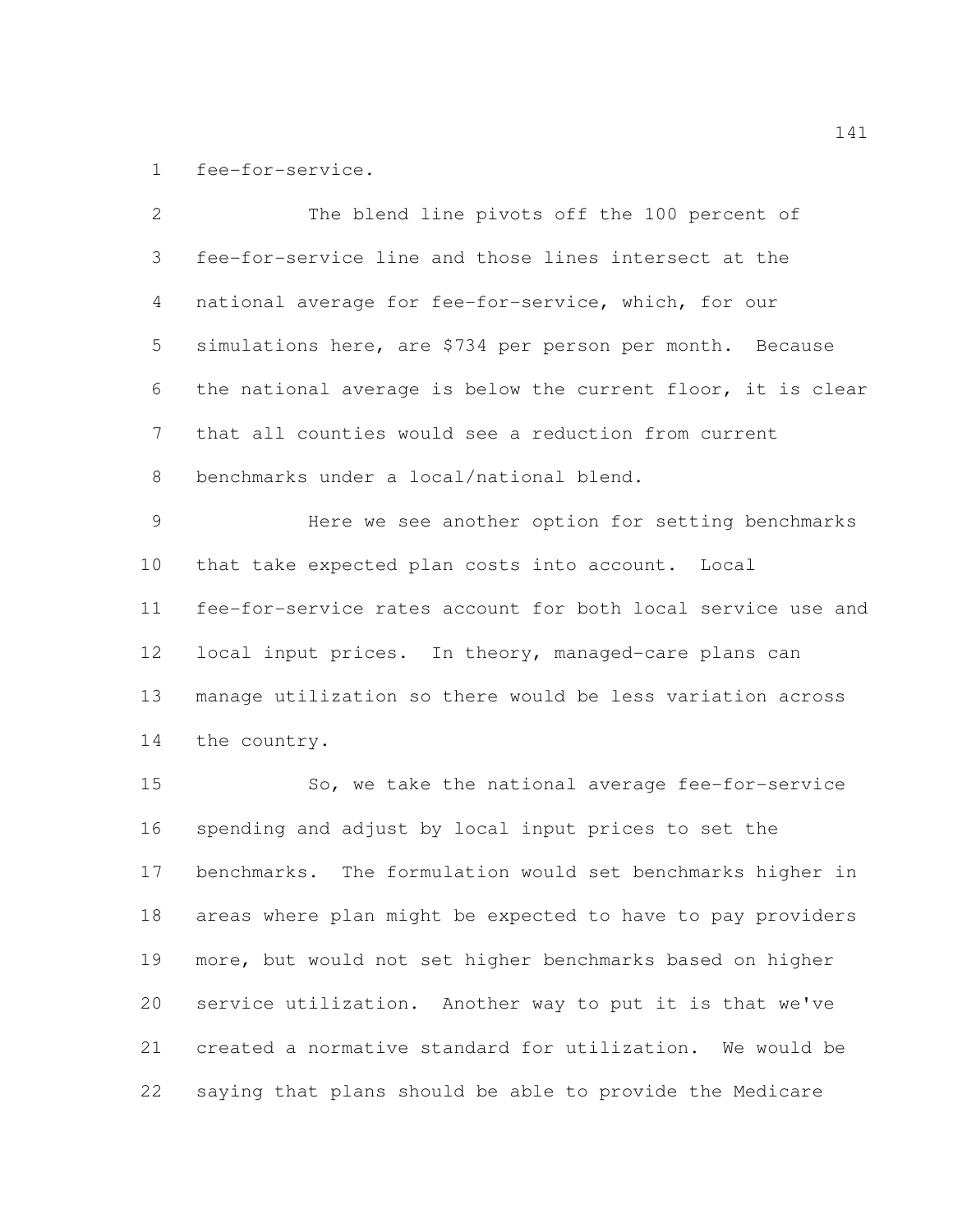fee-for-service.

 The blend line pivots off the 100 percent of fee-for-service line and those lines intersect at the national average for fee-for-service, which, for our simulations here, are \$734 per person per month. Because the national average is below the current floor, it is clear that all counties would see a reduction from current benchmarks under a local/national blend. Here we see another option for setting benchmarks that take expected plan costs into account. Local fee-for-service rates account for both local service use and local input prices. In theory, managed-care plans can manage utilization so there would be less variation across the country. 15 So, we take the national average fee-for-service spending and adjust by local input prices to set the benchmarks. The formulation would set benchmarks higher in areas where plan might be expected to have to pay providers more, but would not set higher benchmarks based on higher service utilization. Another way to put it is that we've created a normative standard for utilization. We would be saying that plans should be able to provide the Medicare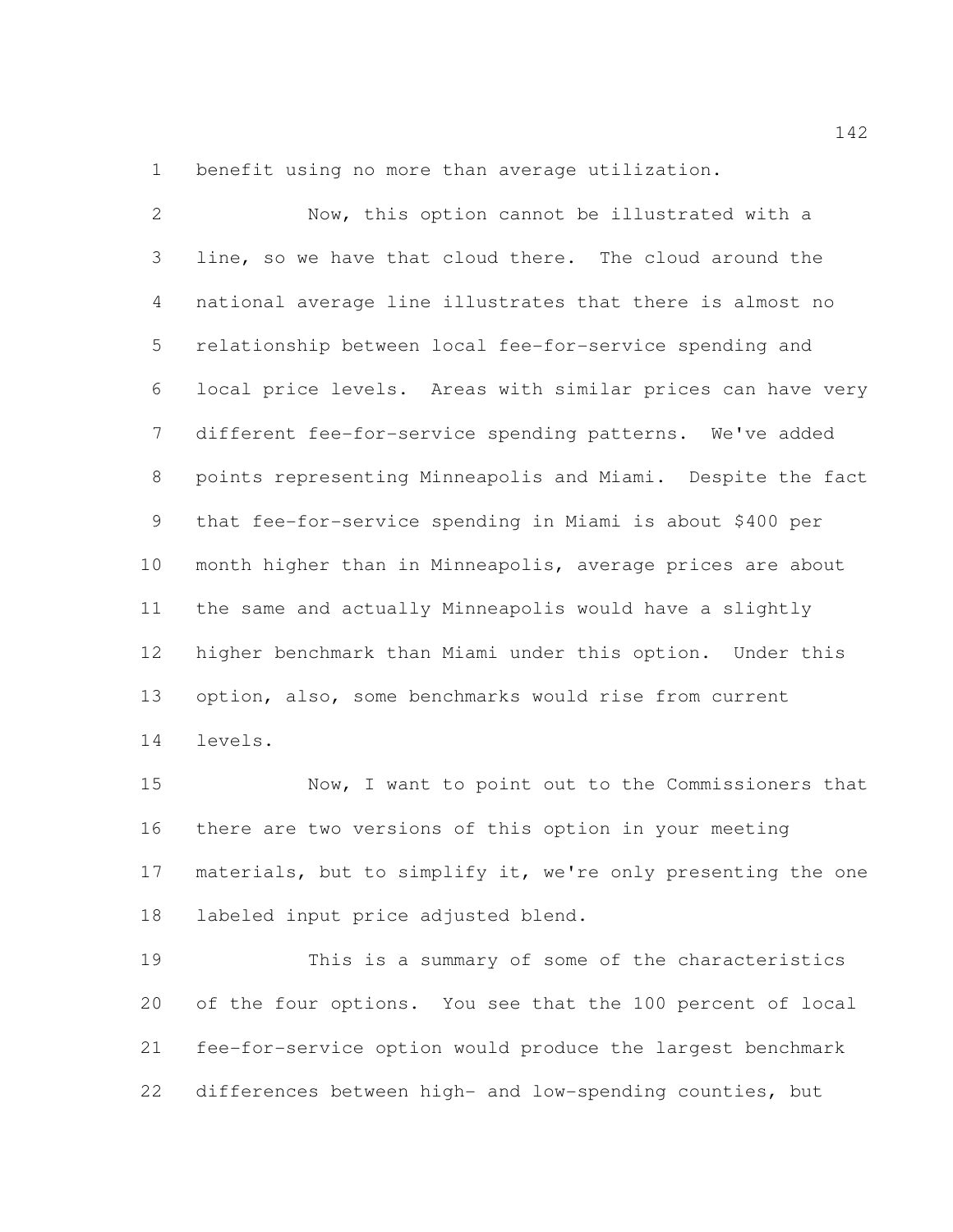benefit using no more than average utilization.

 Now, this option cannot be illustrated with a line, so we have that cloud there. The cloud around the national average line illustrates that there is almost no relationship between local fee-for-service spending and local price levels. Areas with similar prices can have very different fee-for-service spending patterns. We've added points representing Minneapolis and Miami. Despite the fact that fee-for-service spending in Miami is about \$400 per month higher than in Minneapolis, average prices are about the same and actually Minneapolis would have a slightly higher benchmark than Miami under this option. Under this option, also, some benchmarks would rise from current levels.

 Now, I want to point out to the Commissioners that there are two versions of this option in your meeting materials, but to simplify it, we're only presenting the one labeled input price adjusted blend.

 This is a summary of some of the characteristics of the four options. You see that the 100 percent of local fee-for-service option would produce the largest benchmark differences between high- and low-spending counties, but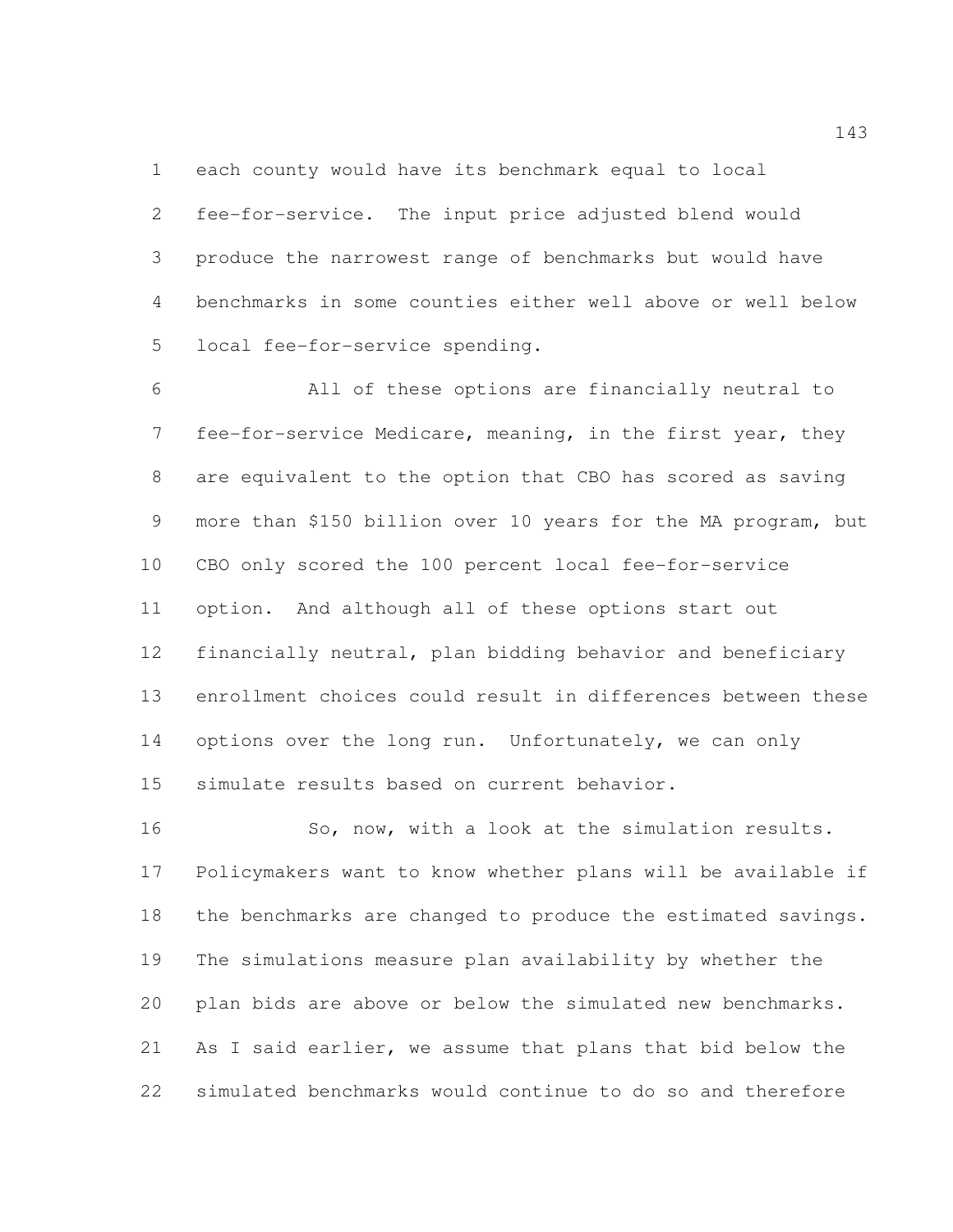each county would have its benchmark equal to local

 fee-for-service. The input price adjusted blend would produce the narrowest range of benchmarks but would have benchmarks in some counties either well above or well below local fee-for-service spending.

 All of these options are financially neutral to fee-for-service Medicare, meaning, in the first year, they are equivalent to the option that CBO has scored as saving more than \$150 billion over 10 years for the MA program, but CBO only scored the 100 percent local fee-for-service option. And although all of these options start out financially neutral, plan bidding behavior and beneficiary enrollment choices could result in differences between these 14 options over the long run. Unfortunately, we can only simulate results based on current behavior.

16 So, now, with a look at the simulation results. Policymakers want to know whether plans will be available if the benchmarks are changed to produce the estimated savings. The simulations measure plan availability by whether the plan bids are above or below the simulated new benchmarks. As I said earlier, we assume that plans that bid below the simulated benchmarks would continue to do so and therefore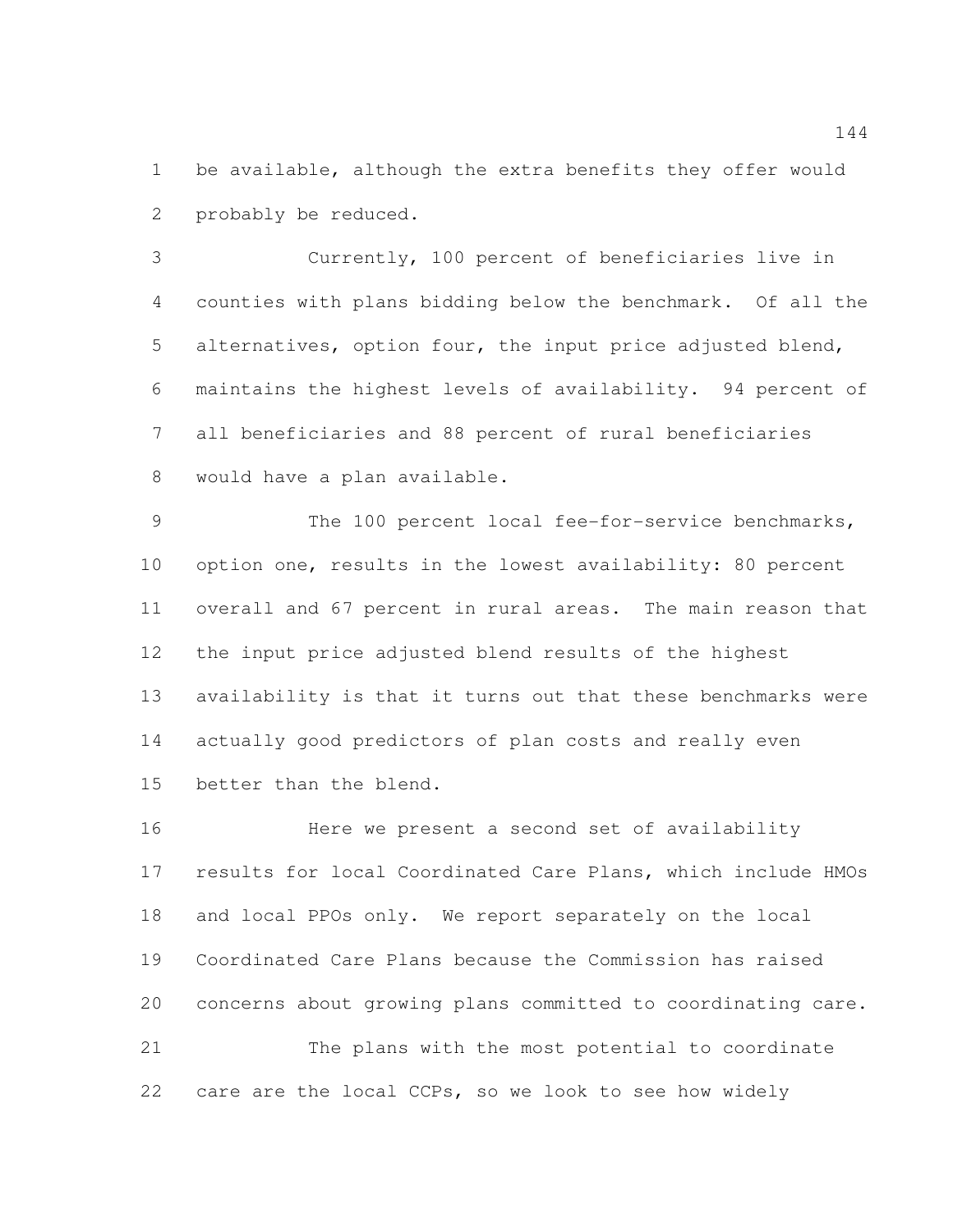be available, although the extra benefits they offer would probably be reduced.

 Currently, 100 percent of beneficiaries live in counties with plans bidding below the benchmark. Of all the alternatives, option four, the input price adjusted blend, maintains the highest levels of availability. 94 percent of all beneficiaries and 88 percent of rural beneficiaries would have a plan available.

 The 100 percent local fee-for-service benchmarks, option one, results in the lowest availability: 80 percent overall and 67 percent in rural areas. The main reason that the input price adjusted blend results of the highest availability is that it turns out that these benchmarks were actually good predictors of plan costs and really even better than the blend.

 Here we present a second set of availability results for local Coordinated Care Plans, which include HMOs and local PPOs only. We report separately on the local Coordinated Care Plans because the Commission has raised concerns about growing plans committed to coordinating care. The plans with the most potential to coordinate care are the local CCPs, so we look to see how widely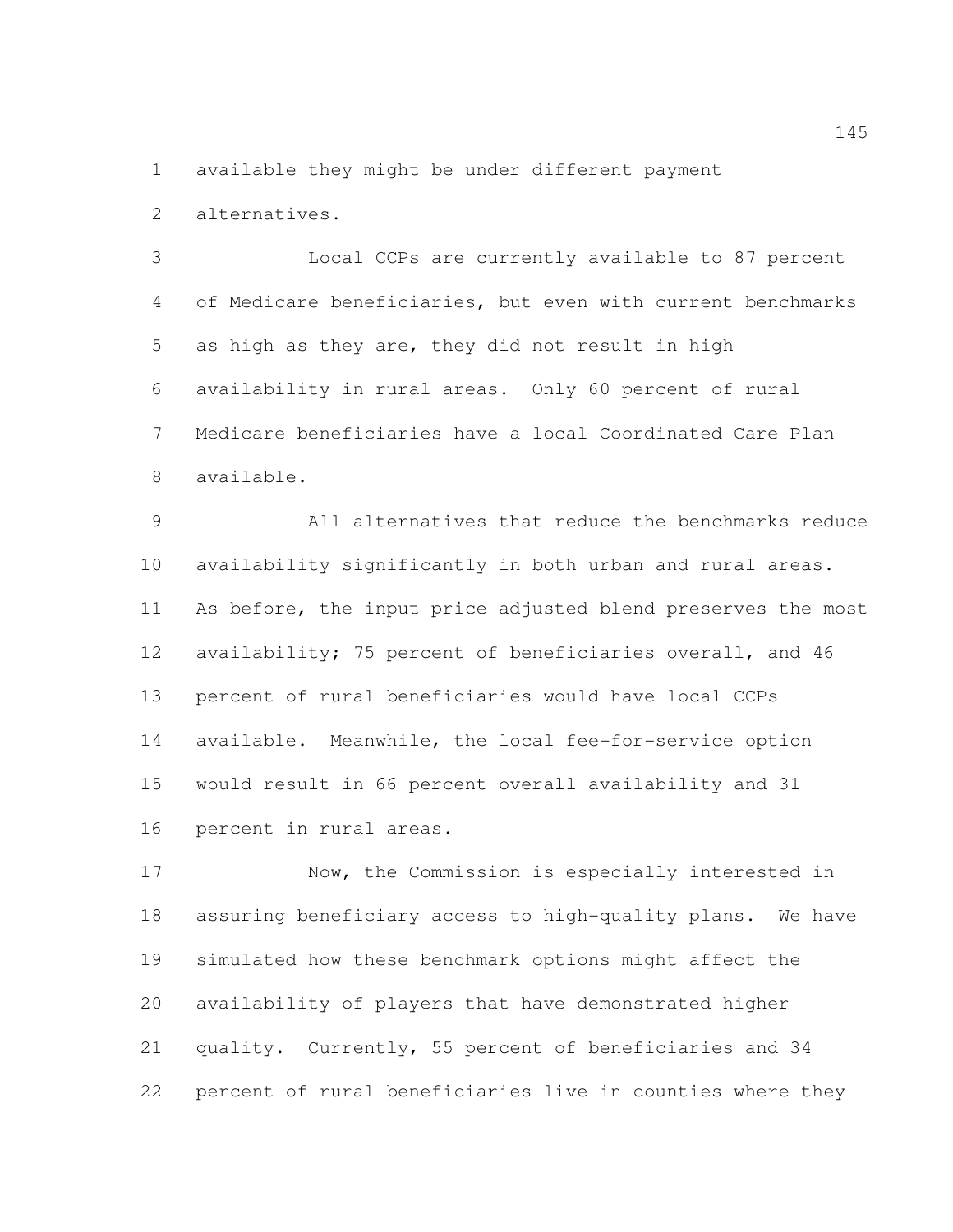available they might be under different payment

alternatives.

 Local CCPs are currently available to 87 percent of Medicare beneficiaries, but even with current benchmarks as high as they are, they did not result in high availability in rural areas. Only 60 percent of rural Medicare beneficiaries have a local Coordinated Care Plan available.

 All alternatives that reduce the benchmarks reduce availability significantly in both urban and rural areas. As before, the input price adjusted blend preserves the most availability; 75 percent of beneficiaries overall, and 46 percent of rural beneficiaries would have local CCPs available. Meanwhile, the local fee-for-service option would result in 66 percent overall availability and 31 percent in rural areas.

 Now, the Commission is especially interested in assuring beneficiary access to high-quality plans. We have simulated how these benchmark options might affect the availability of players that have demonstrated higher quality. Currently, 55 percent of beneficiaries and 34 percent of rural beneficiaries live in counties where they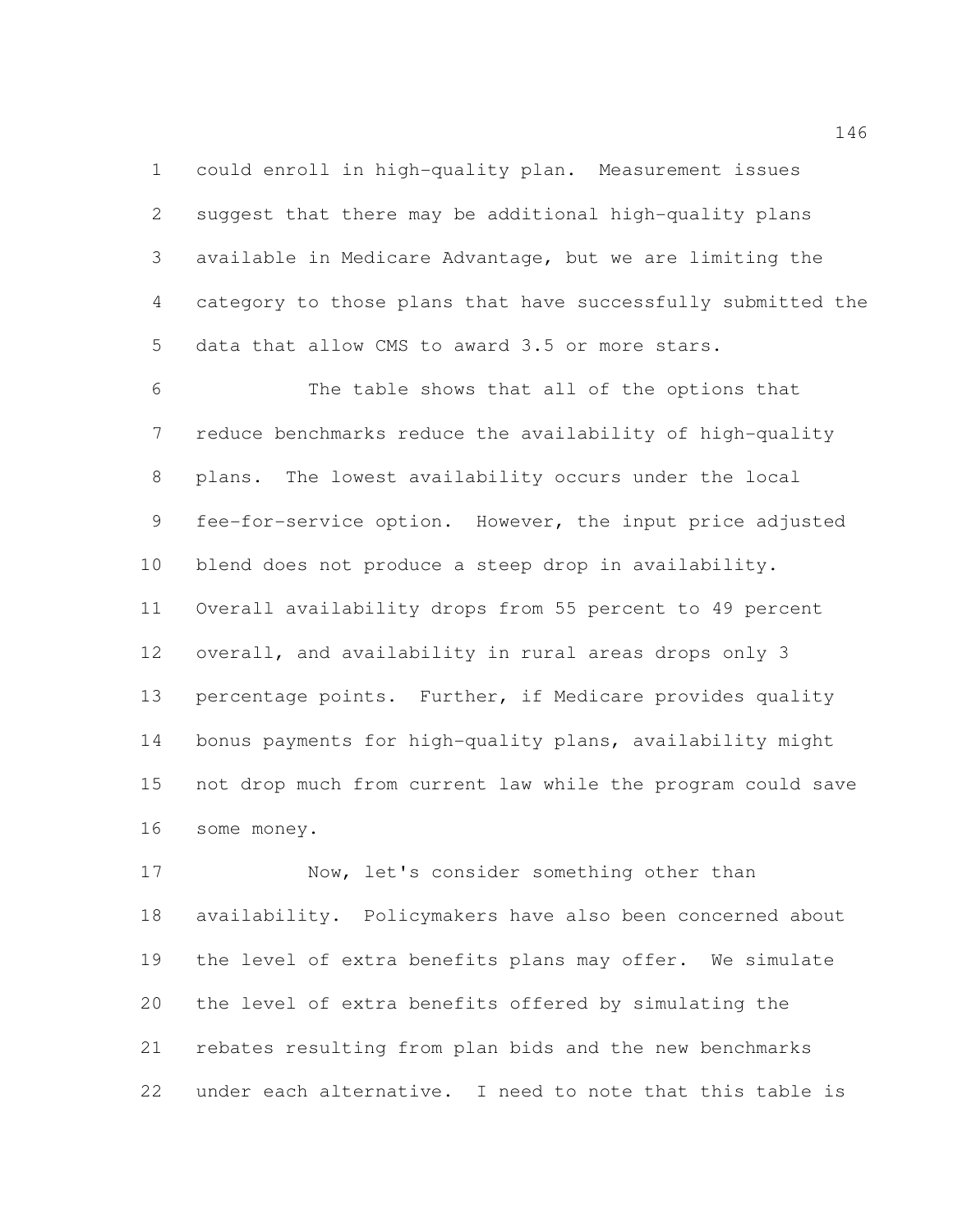could enroll in high-quality plan. Measurement issues suggest that there may be additional high-quality plans available in Medicare Advantage, but we are limiting the category to those plans that have successfully submitted the data that allow CMS to award 3.5 or more stars.

 The table shows that all of the options that reduce benchmarks reduce the availability of high-quality plans. The lowest availability occurs under the local fee-for-service option. However, the input price adjusted blend does not produce a steep drop in availability. Overall availability drops from 55 percent to 49 percent overall, and availability in rural areas drops only 3 percentage points. Further, if Medicare provides quality bonus payments for high-quality plans, availability might not drop much from current law while the program could save some money.

17 Now, let's consider something other than availability. Policymakers have also been concerned about the level of extra benefits plans may offer. We simulate the level of extra benefits offered by simulating the rebates resulting from plan bids and the new benchmarks under each alternative. I need to note that this table is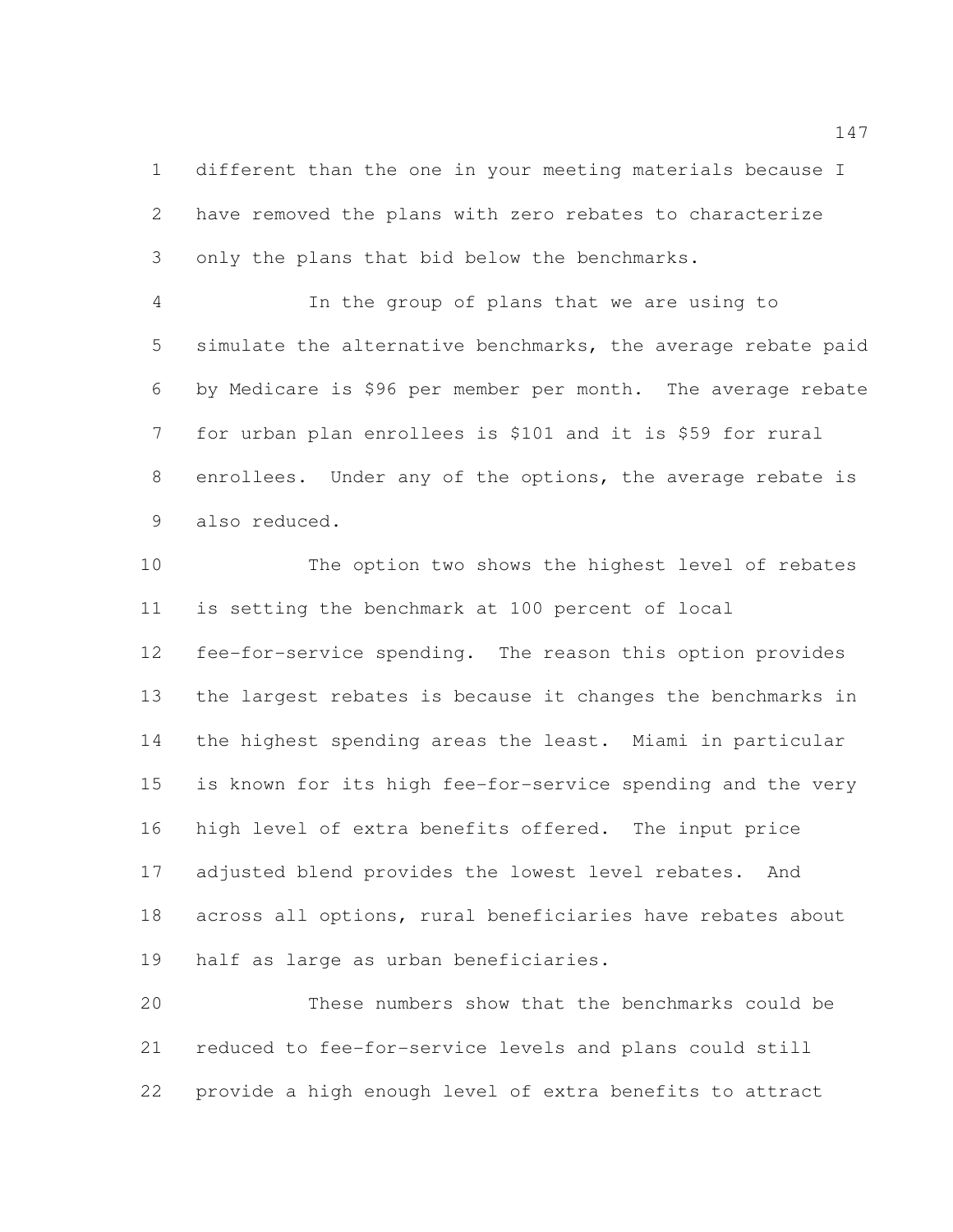different than the one in your meeting materials because I have removed the plans with zero rebates to characterize only the plans that bid below the benchmarks.

 In the group of plans that we are using to simulate the alternative benchmarks, the average rebate paid by Medicare is \$96 per member per month. The average rebate for urban plan enrollees is \$101 and it is \$59 for rural enrollees. Under any of the options, the average rebate is also reduced.

 The option two shows the highest level of rebates is setting the benchmark at 100 percent of local fee-for-service spending. The reason this option provides the largest rebates is because it changes the benchmarks in the highest spending areas the least. Miami in particular is known for its high fee-for-service spending and the very high level of extra benefits offered. The input price adjusted blend provides the lowest level rebates. And across all options, rural beneficiaries have rebates about half as large as urban beneficiaries.

 These numbers show that the benchmarks could be reduced to fee-for-service levels and plans could still provide a high enough level of extra benefits to attract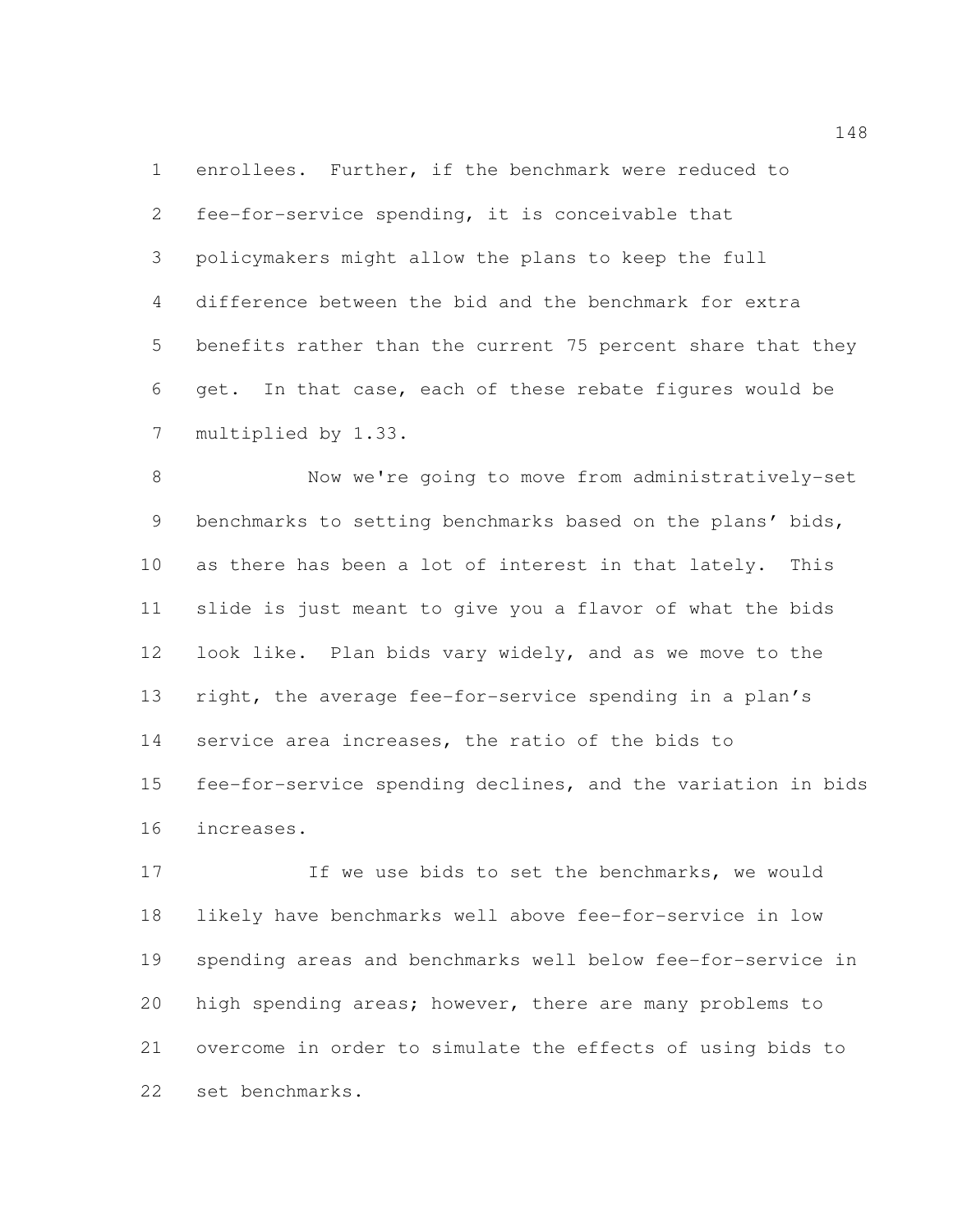enrollees. Further, if the benchmark were reduced to fee-for-service spending, it is conceivable that policymakers might allow the plans to keep the full difference between the bid and the benchmark for extra benefits rather than the current 75 percent share that they get. In that case, each of these rebate figures would be multiplied by 1.33.

 Now we're going to move from administratively-set benchmarks to setting benchmarks based on the plans' bids, as there has been a lot of interest in that lately. This slide is just meant to give you a flavor of what the bids look like. Plan bids vary widely, and as we move to the right, the average fee-for-service spending in a plan's service area increases, the ratio of the bids to fee-for-service spending declines, and the variation in bids increases.

17 If we use bids to set the benchmarks, we would likely have benchmarks well above fee-for-service in low spending areas and benchmarks well below fee-for-service in high spending areas; however, there are many problems to overcome in order to simulate the effects of using bids to set benchmarks.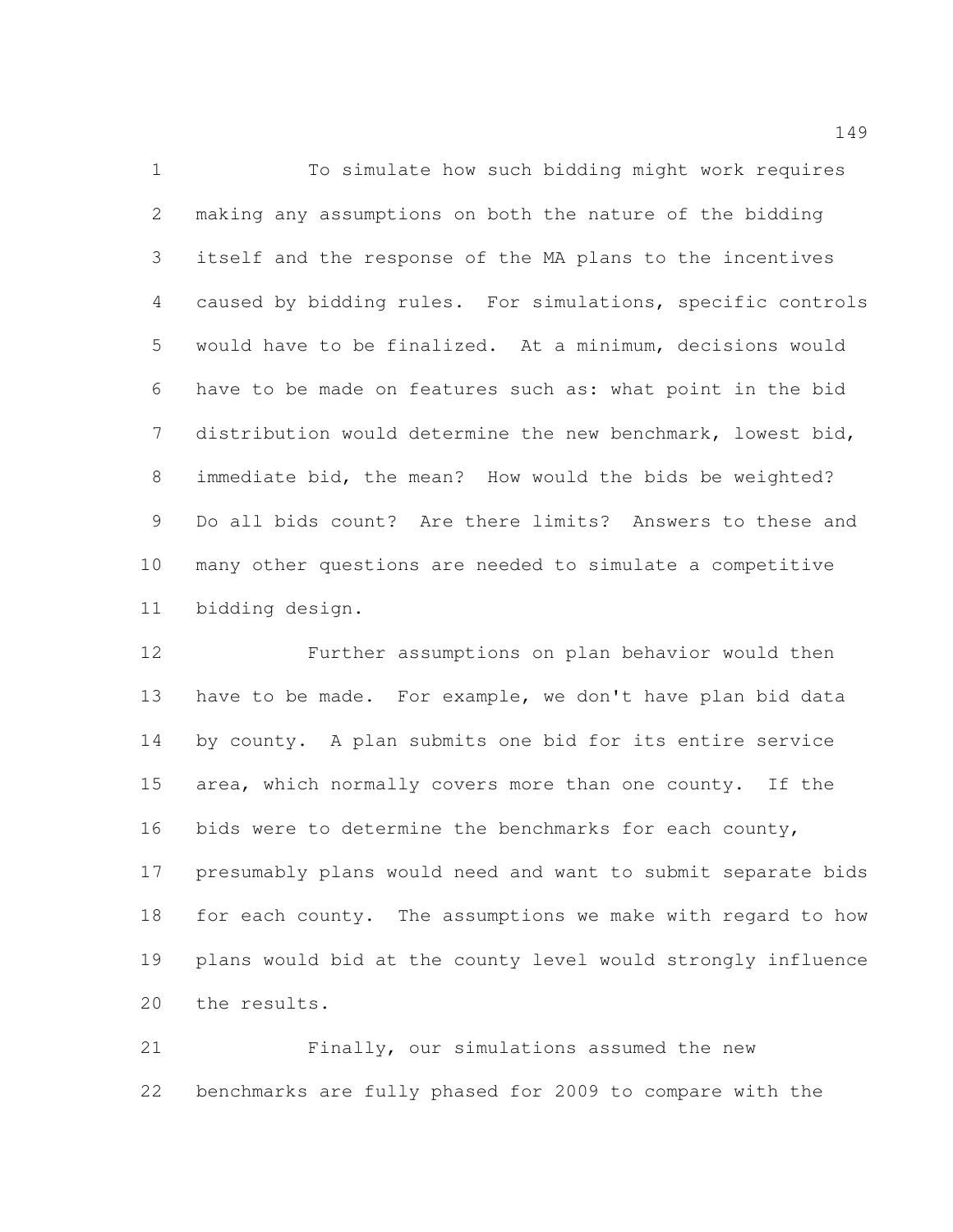To simulate how such bidding might work requires making any assumptions on both the nature of the bidding itself and the response of the MA plans to the incentives caused by bidding rules. For simulations, specific controls would have to be finalized. At a minimum, decisions would have to be made on features such as: what point in the bid distribution would determine the new benchmark, lowest bid, immediate bid, the mean? How would the bids be weighted? Do all bids count? Are there limits? Answers to these and many other questions are needed to simulate a competitive bidding design.

 Further assumptions on plan behavior would then have to be made. For example, we don't have plan bid data by county. A plan submits one bid for its entire service area, which normally covers more than one county. If the 16 bids were to determine the benchmarks for each county, presumably plans would need and want to submit separate bids for each county. The assumptions we make with regard to how plans would bid at the county level would strongly influence the results.

 Finally, our simulations assumed the new benchmarks are fully phased for 2009 to compare with the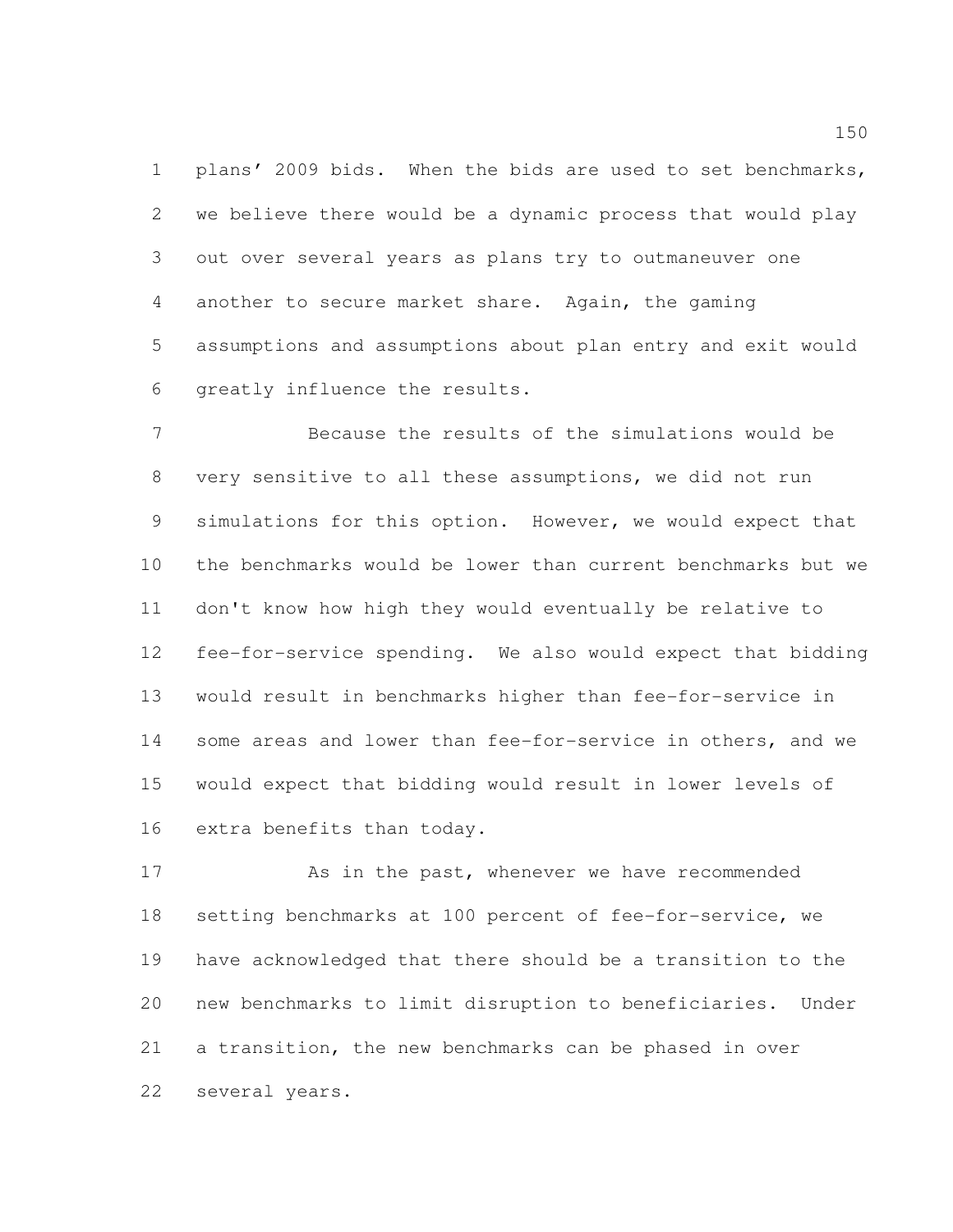plans' 2009 bids. When the bids are used to set benchmarks, we believe there would be a dynamic process that would play out over several years as plans try to outmaneuver one another to secure market share. Again, the gaming assumptions and assumptions about plan entry and exit would greatly influence the results.

 Because the results of the simulations would be very sensitive to all these assumptions, we did not run simulations for this option. However, we would expect that the benchmarks would be lower than current benchmarks but we don't know how high they would eventually be relative to fee-for-service spending. We also would expect that bidding would result in benchmarks higher than fee-for-service in some areas and lower than fee-for-service in others, and we would expect that bidding would result in lower levels of extra benefits than today.

 As in the past, whenever we have recommended setting benchmarks at 100 percent of fee-for-service, we have acknowledged that there should be a transition to the new benchmarks to limit disruption to beneficiaries. Under a transition, the new benchmarks can be phased in over several years.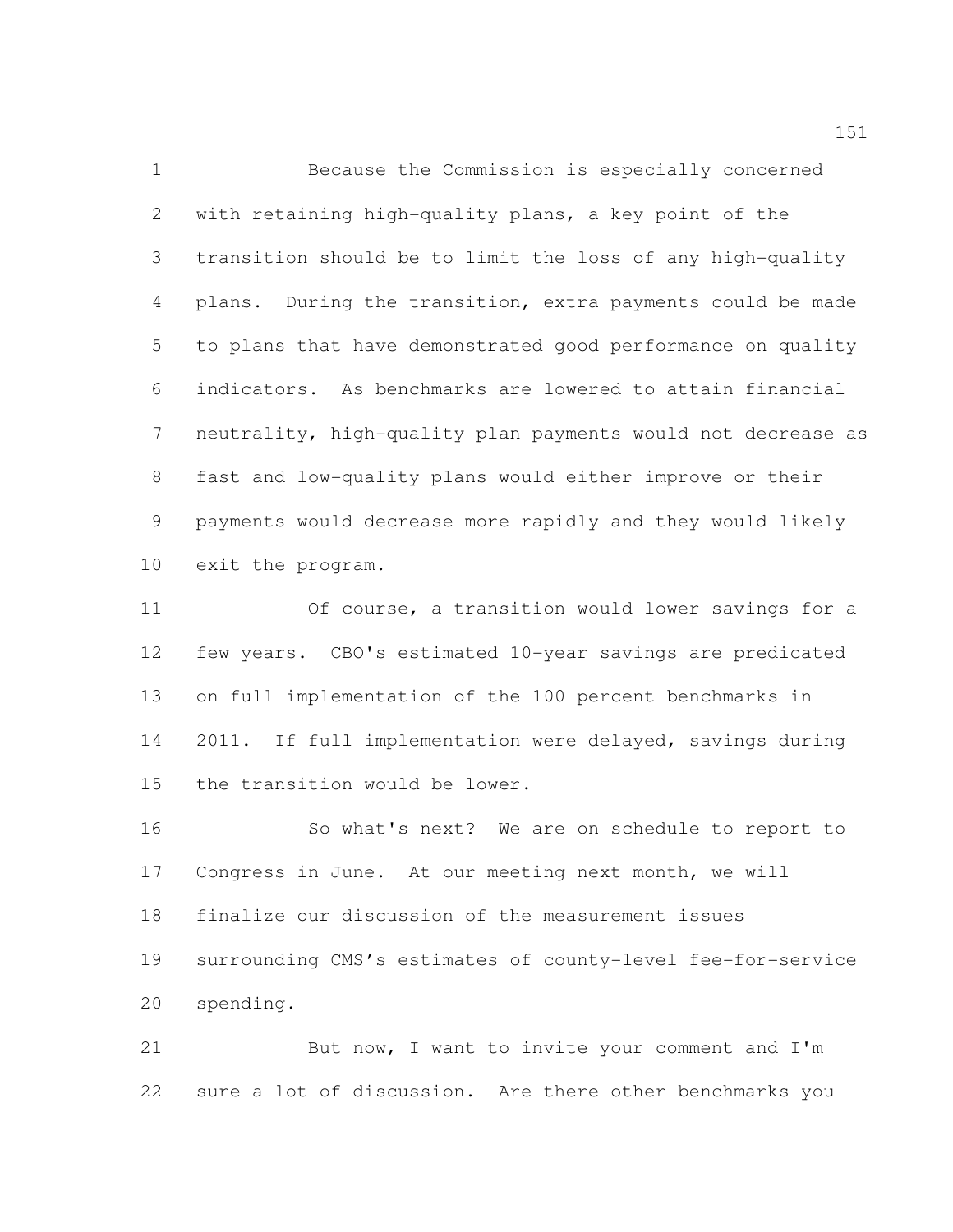Because the Commission is especially concerned with retaining high-quality plans, a key point of the transition should be to limit the loss of any high-quality plans. During the transition, extra payments could be made to plans that have demonstrated good performance on quality indicators. As benchmarks are lowered to attain financial neutrality, high-quality plan payments would not decrease as fast and low-quality plans would either improve or their payments would decrease more rapidly and they would likely exit the program.

 Of course, a transition would lower savings for a few years. CBO's estimated 10-year savings are predicated on full implementation of the 100 percent benchmarks in 2011. If full implementation were delayed, savings during the transition would be lower.

 So what's next? We are on schedule to report to Congress in June. At our meeting next month, we will finalize our discussion of the measurement issues surrounding CMS's estimates of county-level fee-for-service spending.

21 But now, I want to invite your comment and I'm sure a lot of discussion. Are there other benchmarks you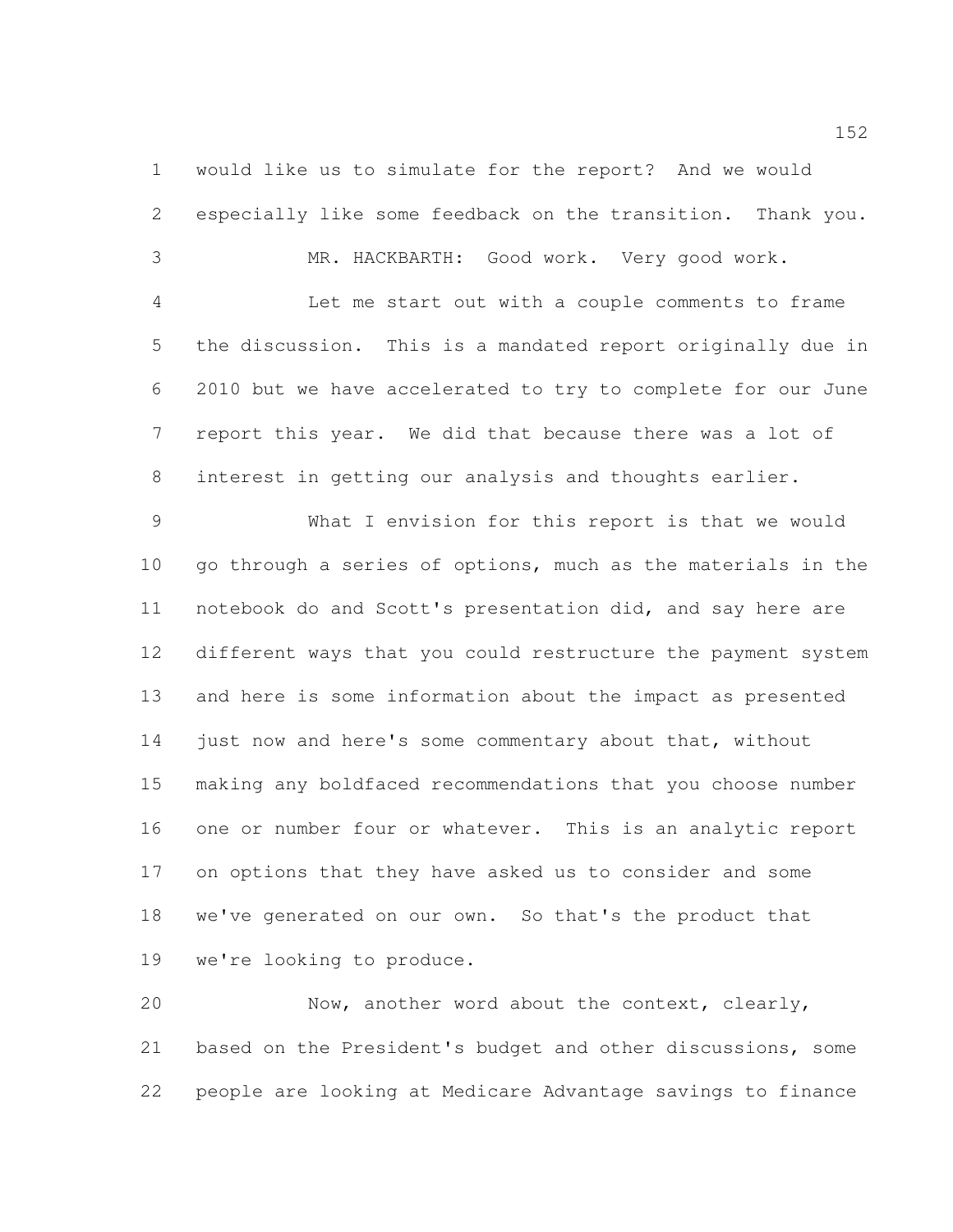would like us to simulate for the report? And we would especially like some feedback on the transition. Thank you.

MR. HACKBARTH: Good work. Very good work.

 Let me start out with a couple comments to frame the discussion. This is a mandated report originally due in 2010 but we have accelerated to try to complete for our June report this year. We did that because there was a lot of interest in getting our analysis and thoughts earlier.

 What I envision for this report is that we would go through a series of options, much as the materials in the notebook do and Scott's presentation did, and say here are different ways that you could restructure the payment system and here is some information about the impact as presented 14 just now and here's some commentary about that, without making any boldfaced recommendations that you choose number one or number four or whatever. This is an analytic report on options that they have asked us to consider and some we've generated on our own. So that's the product that we're looking to produce.

 Now, another word about the context, clearly, based on the President's budget and other discussions, some people are looking at Medicare Advantage savings to finance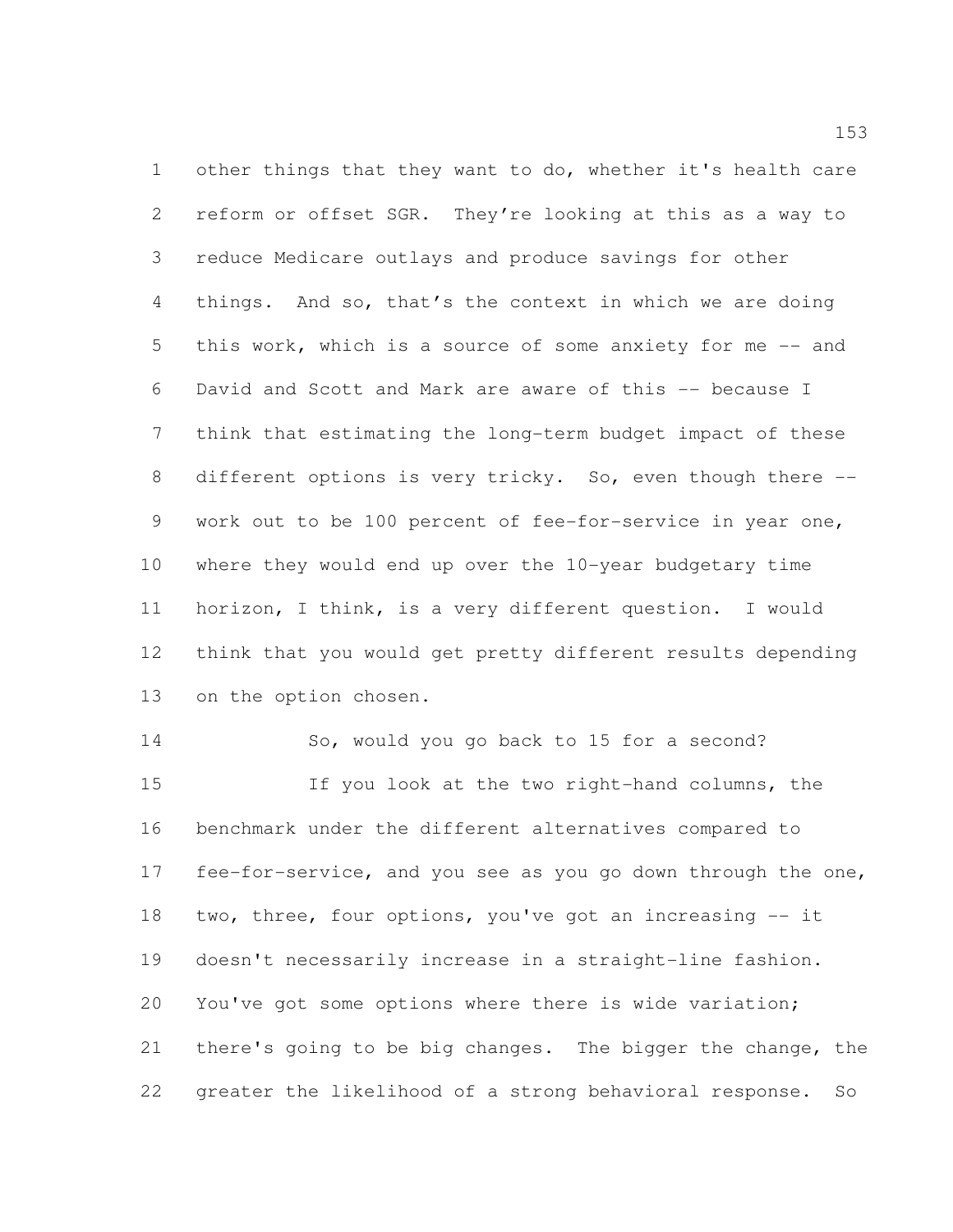other things that they want to do, whether it's health care reform or offset SGR. They're looking at this as a way to reduce Medicare outlays and produce savings for other things. And so, that's the context in which we are doing this work, which is a source of some anxiety for me -- and David and Scott and Mark are aware of this -- because I think that estimating the long-term budget impact of these different options is very tricky. So, even though there -- work out to be 100 percent of fee-for-service in year one, where they would end up over the 10-year budgetary time horizon, I think, is a very different question. I would think that you would get pretty different results depending on the option chosen.

 So, would you go back to 15 for a second? If you look at the two right-hand columns, the benchmark under the different alternatives compared to fee-for-service, and you see as you go down through the one, two, three, four options, you've got an increasing -- it doesn't necessarily increase in a straight-line fashion. You've got some options where there is wide variation; there's going to be big changes. The bigger the change, the greater the likelihood of a strong behavioral response. So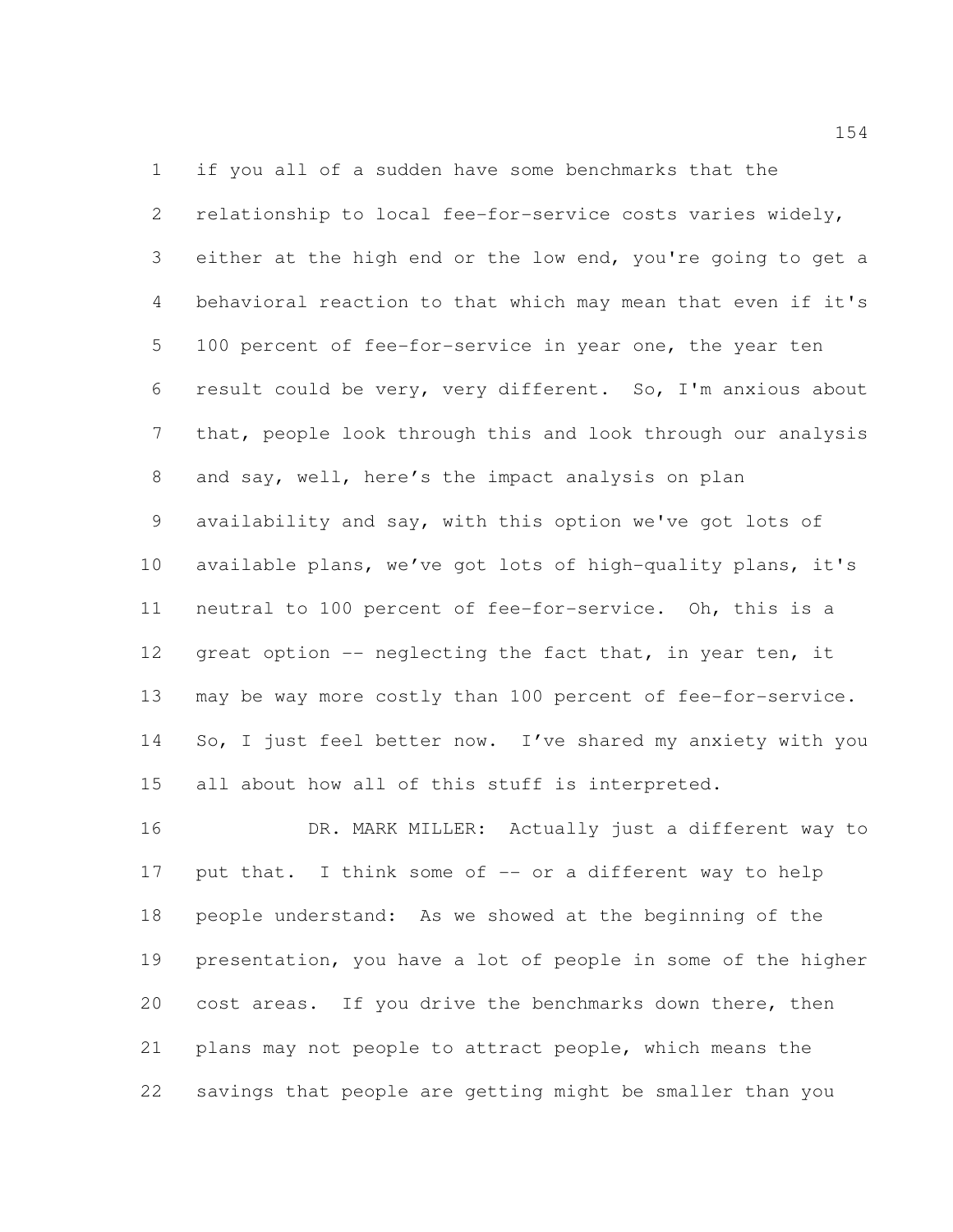if you all of a sudden have some benchmarks that the relationship to local fee-for-service costs varies widely, either at the high end or the low end, you're going to get a behavioral reaction to that which may mean that even if it's 100 percent of fee-for-service in year one, the year ten result could be very, very different. So, I'm anxious about that, people look through this and look through our analysis and say, well, here's the impact analysis on plan availability and say, with this option we've got lots of available plans, we've got lots of high-quality plans, it's neutral to 100 percent of fee-for-service. Oh, this is a 12 great option -- neglecting the fact that, in year ten, it may be way more costly than 100 percent of fee-for-service. 14 So, I just feel better now. I've shared my anxiety with you all about how all of this stuff is interpreted.

 DR. MARK MILLER: Actually just a different way to 17 put that. I think some of -- or a different way to help people understand: As we showed at the beginning of the presentation, you have a lot of people in some of the higher 20 cost areas. If you drive the benchmarks down there, then plans may not people to attract people, which means the savings that people are getting might be smaller than you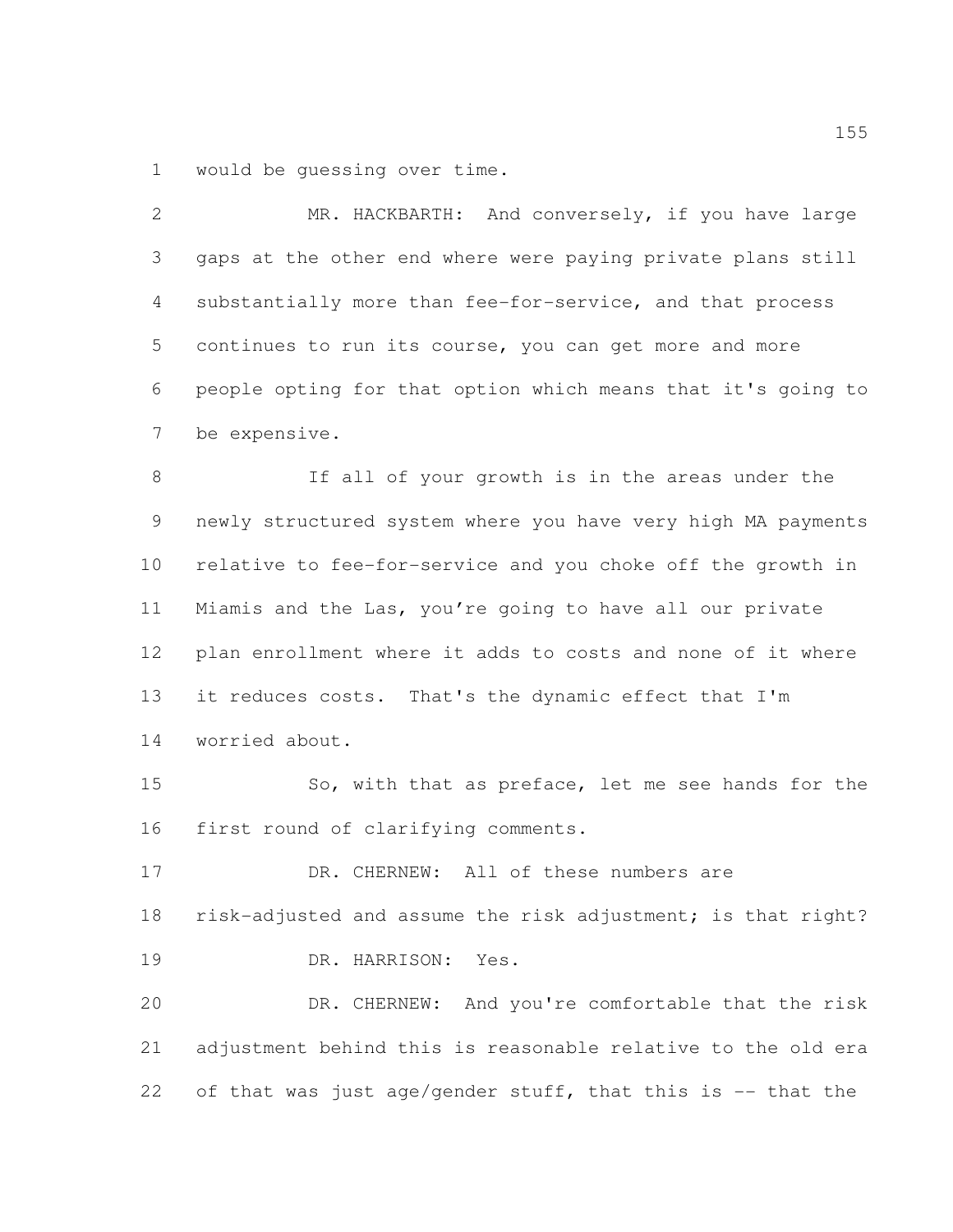would be guessing over time.

| 2  | MR. HACKBARTH: And conversely, if you have large             |
|----|--------------------------------------------------------------|
| 3  | gaps at the other end where were paying private plans still  |
| 4  | substantially more than fee-for-service, and that process    |
| 5  | continues to run its course, you can get more and more       |
| 6  | people opting for that option which means that it's going to |
| 7  | be expensive.                                                |
| 8  | If all of your growth is in the areas under the              |
| 9  | newly structured system where you have very high MA payments |
| 10 | relative to fee-for-service and you choke off the growth in  |
| 11 | Miamis and the Las, you're going to have all our private     |
| 12 | plan enrollment where it adds to costs and none of it where  |
| 13 | it reduces costs. That's the dynamic effect that I'm         |
| 14 | worried about.                                               |
| 15 | So, with that as preface, let me see hands for the           |
| 16 | first round of clarifying comments.                          |
| 17 | DR. CHERNEW: All of these numbers are                        |
| 18 | risk-adjusted and assume the risk adjustment; is that right? |
| 19 | DR. HARRISON:<br>Yes.                                        |
| 20 | DR. CHERNEW: And you're comfortable that the risk            |
| 21 | adjustment behind this is reasonable relative to the old era |
| 22 | of that was just age/gender stuff, that this is -- that the  |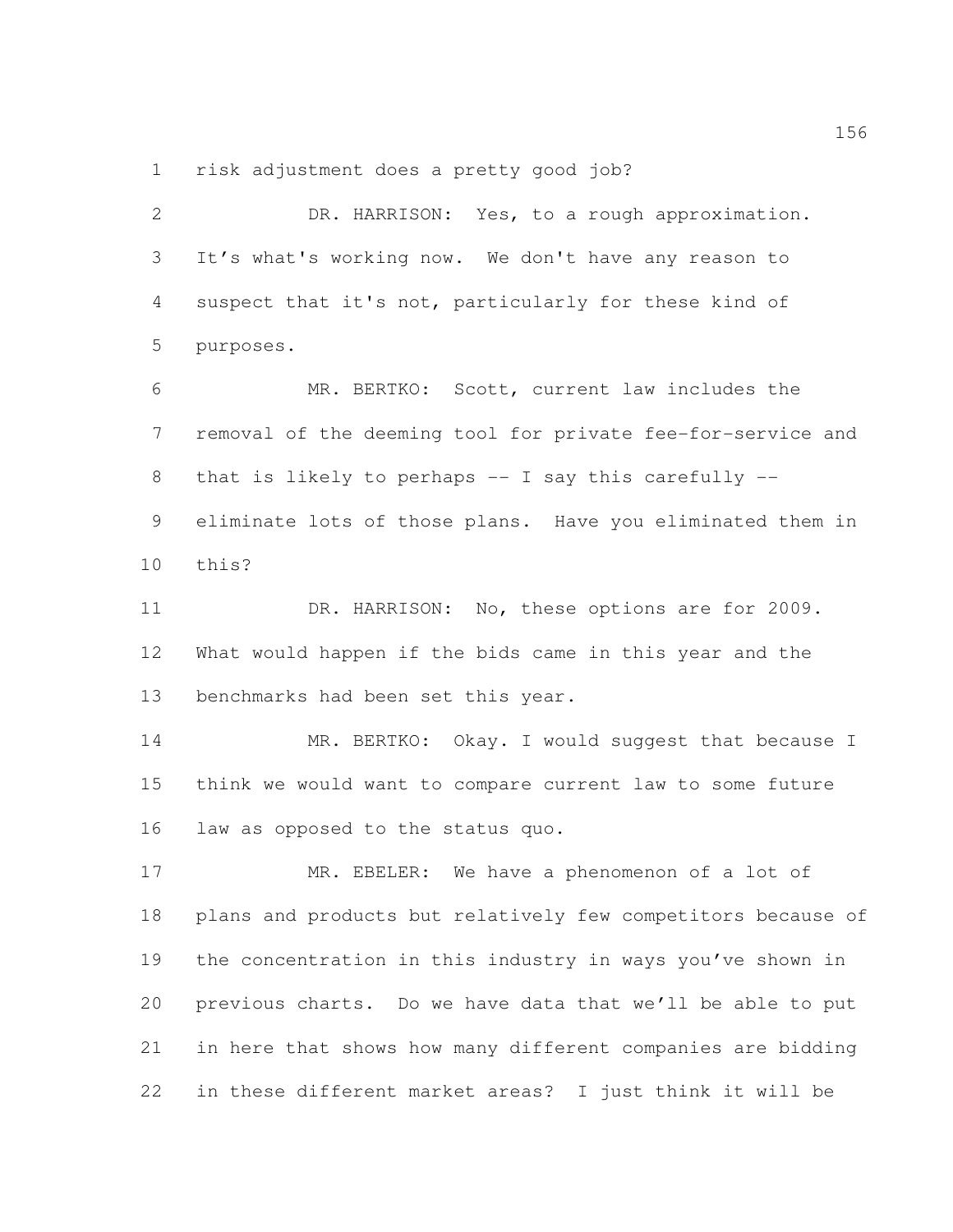risk adjustment does a pretty good job?

 DR. HARRISON: Yes, to a rough approximation. It's what's working now. We don't have any reason to suspect that it's not, particularly for these kind of purposes. MR. BERTKO: Scott, current law includes the removal of the deeming tool for private fee-for-service and that is likely to perhaps -- I say this carefully -- eliminate lots of those plans. Have you eliminated them in this? DR. HARRISON: No, these options are for 2009. What would happen if the bids came in this year and the benchmarks had been set this year. 14 MR. BERTKO: Okay. I would suggest that because I think we would want to compare current law to some future law as opposed to the status quo. MR. EBELER: We have a phenomenon of a lot of plans and products but relatively few competitors because of the concentration in this industry in ways you've shown in previous charts. Do we have data that we'll be able to put in here that shows how many different companies are bidding in these different market areas? I just think it will be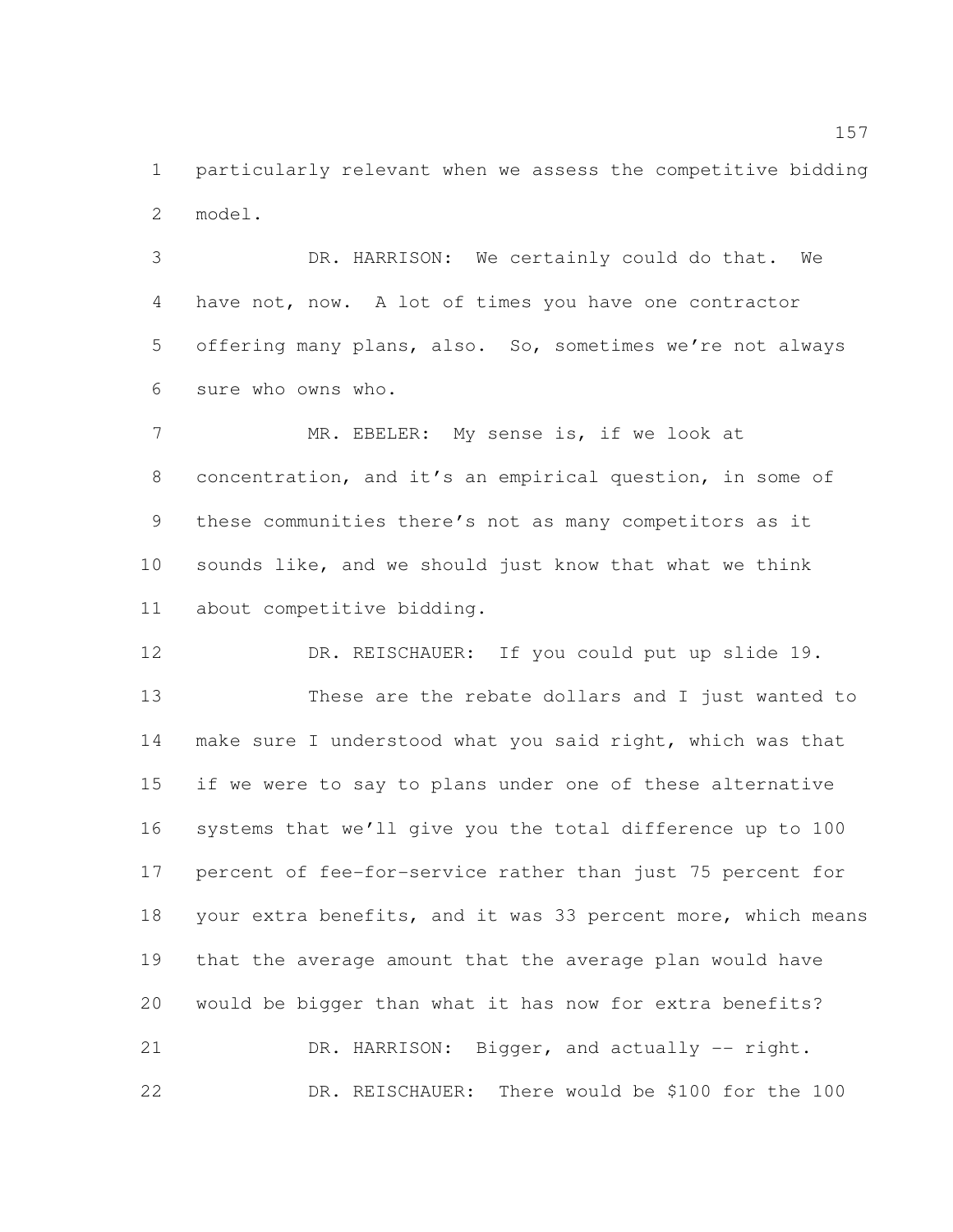particularly relevant when we assess the competitive bidding model.

 DR. HARRISON: We certainly could do that. We have not, now. A lot of times you have one contractor offering many plans, also. So, sometimes we're not always sure who owns who.

 MR. EBELER: My sense is, if we look at concentration, and it's an empirical question, in some of these communities there's not as many competitors as it sounds like, and we should just know that what we think about competitive bidding.

 DR. REISCHAUER: If you could put up slide 19. These are the rebate dollars and I just wanted to make sure I understood what you said right, which was that if we were to say to plans under one of these alternative systems that we'll give you the total difference up to 100 percent of fee-for-service rather than just 75 percent for 18 your extra benefits, and it was 33 percent more, which means that the average amount that the average plan would have would be bigger than what it has now for extra benefits? 21 DR. HARRISON: Bigger, and actually -- right. DR. REISCHAUER: There would be \$100 for the 100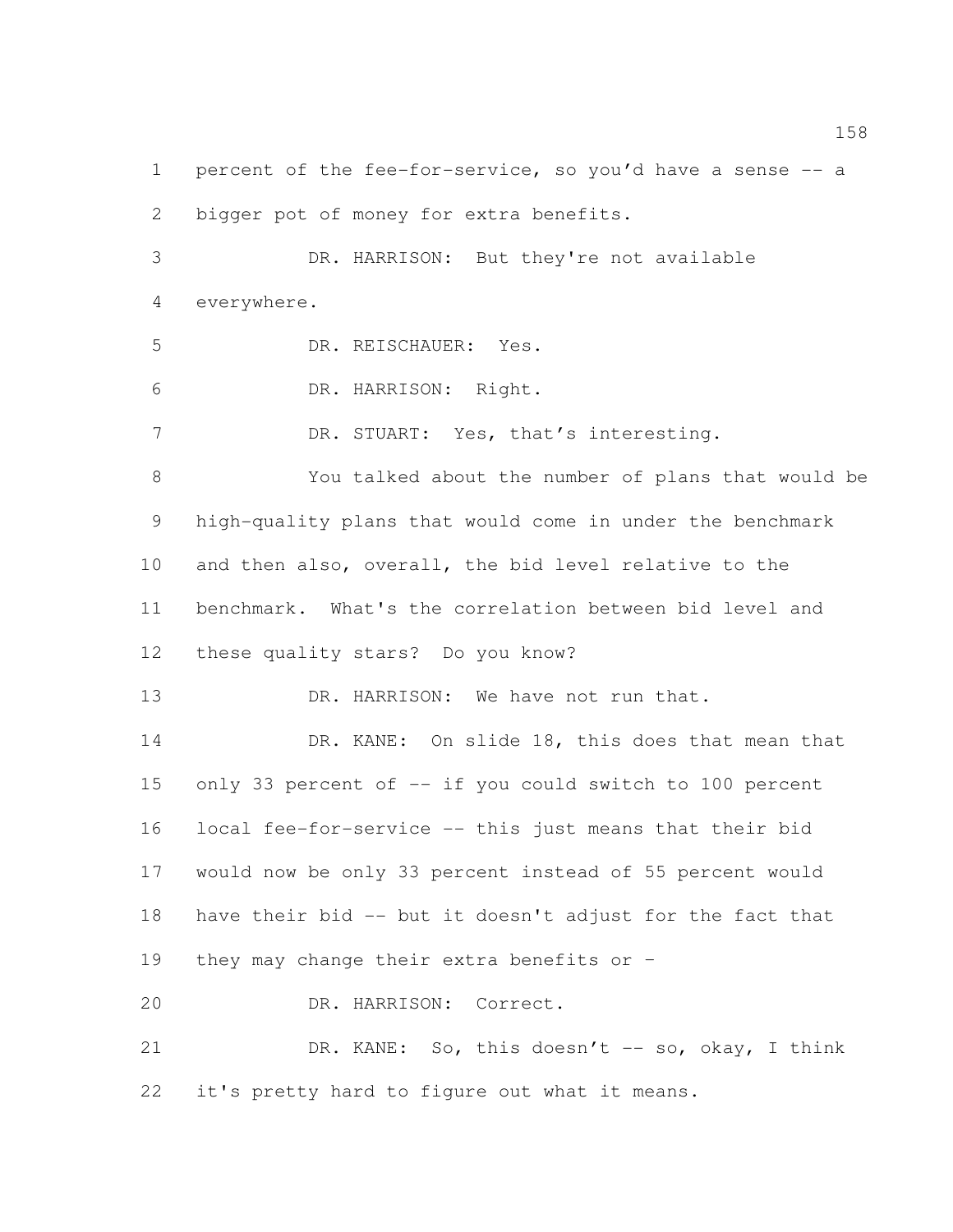percent of the fee-for-service, so you'd have a sense -- a bigger pot of money for extra benefits. DR. HARRISON: But they're not available

everywhere.

DR. REISCHAUER: Yes.

DR. HARRISON: Right.

7 DR. STUART: Yes, that's interesting.

 You talked about the number of plans that would be high-quality plans that would come in under the benchmark and then also, overall, the bid level relative to the benchmark. What's the correlation between bid level and these quality stars? Do you know?

13 DR. HARRISON: We have not run that.

14 DR. KANE: On slide 18, this does that mean that only 33 percent of -- if you could switch to 100 percent local fee-for-service -- this just means that their bid would now be only 33 percent instead of 55 percent would have their bid -- but it doesn't adjust for the fact that they may change their extra benefits or –

DR. HARRISON: Correct.

21 DR. KANE: So, this doesn't -- so, okay, I think it's pretty hard to figure out what it means.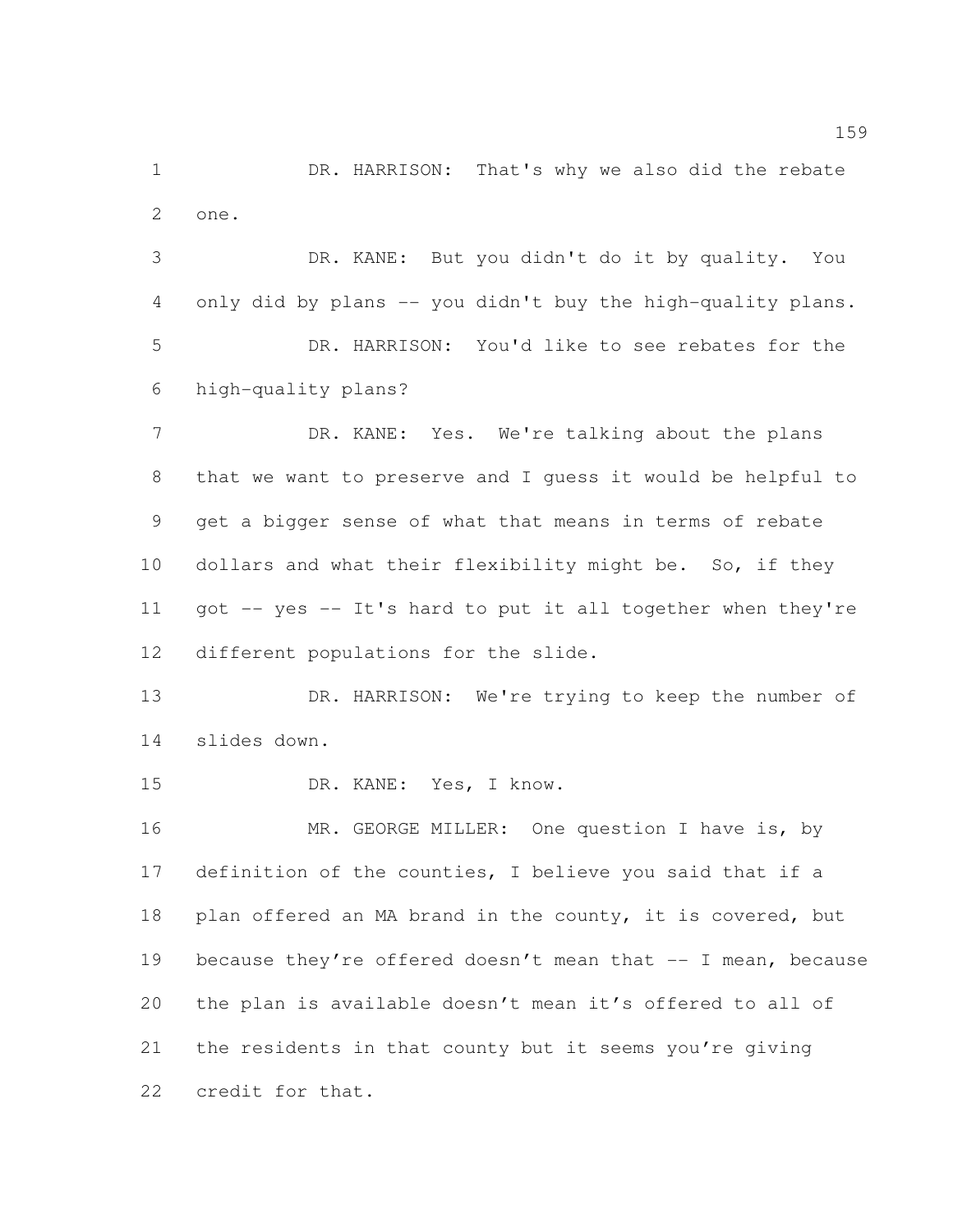1 DR. HARRISON: That's why we also did the rebate one.

 DR. KANE: But you didn't do it by quality. You 4 only did by plans -- you didn't buy the high-quality plans. DR. HARRISON: You'd like to see rebates for the high-quality plans?

 DR. KANE: Yes. We're talking about the plans that we want to preserve and I guess it would be helpful to get a bigger sense of what that means in terms of rebate dollars and what their flexibility might be. So, if they got -- yes -- It's hard to put it all together when they're different populations for the slide.

 DR. HARRISON: We're trying to keep the number of slides down.

DR. KANE: Yes, I know.

 MR. GEORGE MILLER: One question I have is, by definition of the counties, I believe you said that if a 18 plan offered an MA brand in the county, it is covered, but 19 because they're offered doesn't mean that -- I mean, because the plan is available doesn't mean it's offered to all of the residents in that county but it seems you're giving credit for that.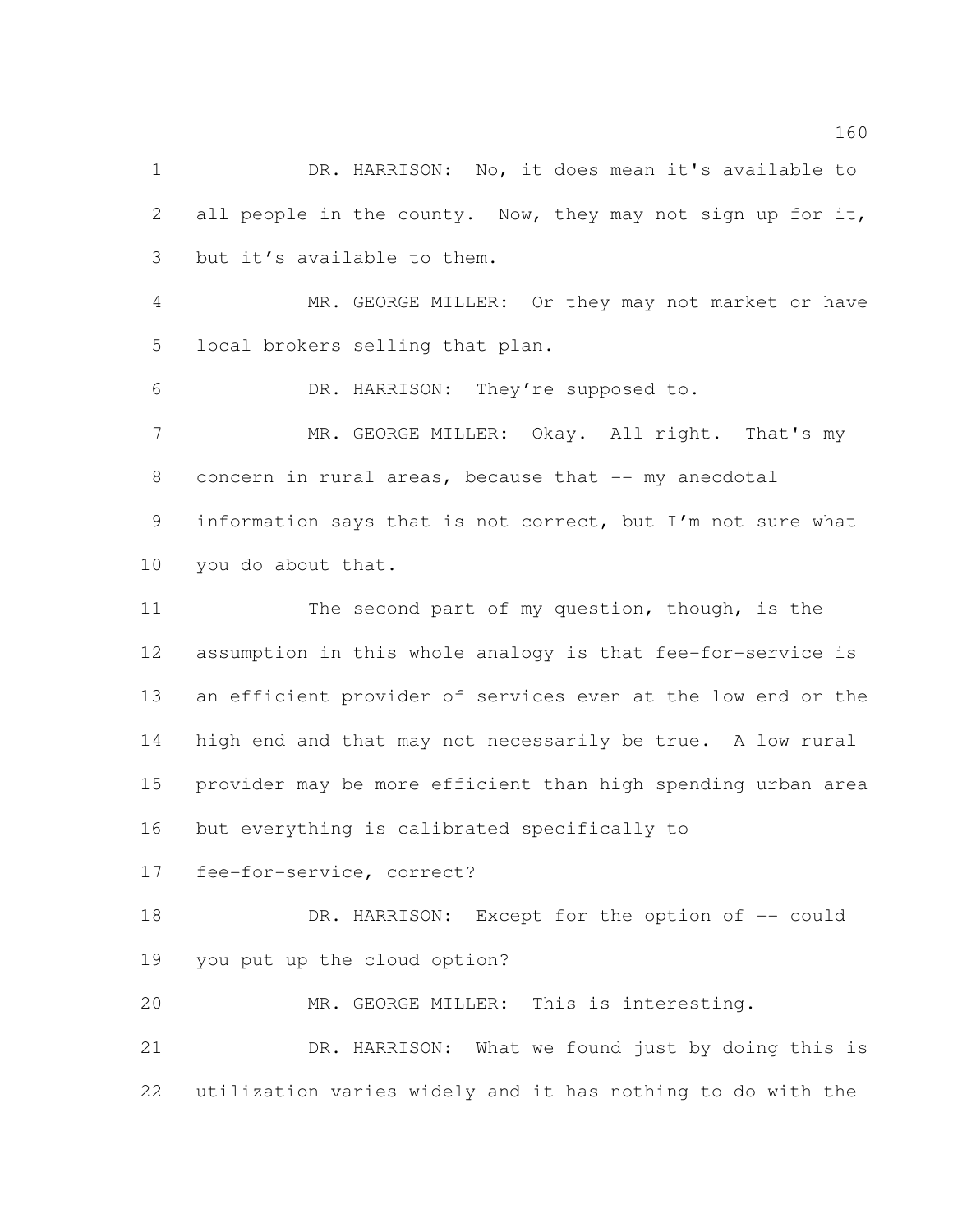1 DR. HARRISON: No, it does mean it's available to 2 all people in the county. Now, they may not sign up for it, but it's available to them.

 MR. GEORGE MILLER: Or they may not market or have local brokers selling that plan.

DR. HARRISON: They're supposed to.

7 MR. GEORGE MILLER: Okay. All right. That's my 8 concern in rural areas, because that -- my anecdotal information says that is not correct, but I'm not sure what

you do about that.

 The second part of my question, though, is the assumption in this whole analogy is that fee-for-service is an efficient provider of services even at the low end or the high end and that may not necessarily be true. A low rural provider may be more efficient than high spending urban area but everything is calibrated specifically to

fee-for-service, correct?

18 DR. HARRISON: Except for the option of -- could you put up the cloud option?

MR. GEORGE MILLER: This is interesting.

 DR. HARRISON: What we found just by doing this is utilization varies widely and it has nothing to do with the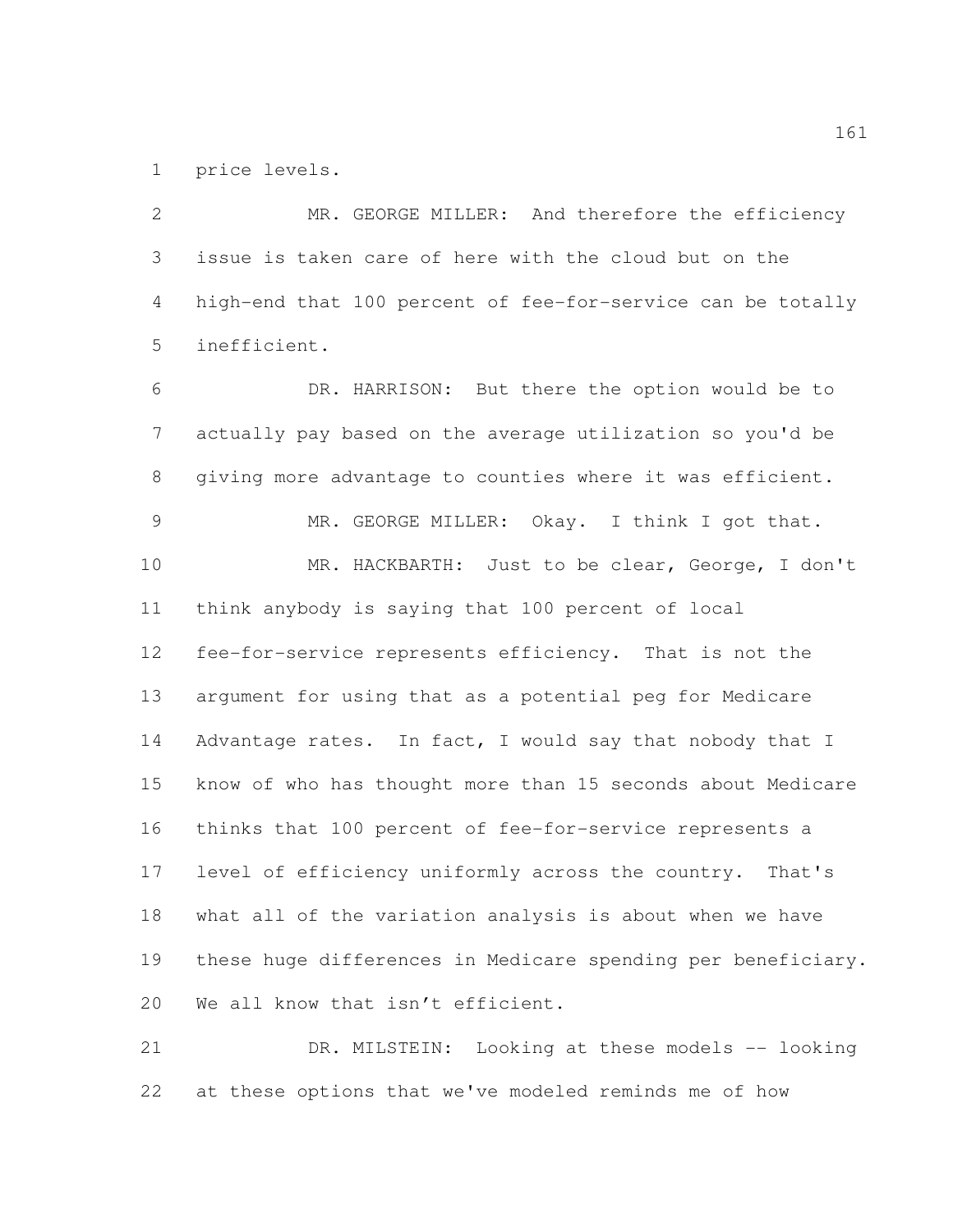price levels.

 MR. GEORGE MILLER: And therefore the efficiency issue is taken care of here with the cloud but on the high-end that 100 percent of fee-for-service can be totally inefficient. DR. HARRISON: But there the option would be to actually pay based on the average utilization so you'd be giving more advantage to counties where it was efficient. MR. GEORGE MILLER: Okay. I think I got that. MR. HACKBARTH: Just to be clear, George, I don't think anybody is saying that 100 percent of local fee-for-service represents efficiency. That is not the argument for using that as a potential peg for Medicare 14 Advantage rates. In fact, I would say that nobody that I know of who has thought more than 15 seconds about Medicare thinks that 100 percent of fee-for-service represents a level of efficiency uniformly across the country. That's what all of the variation analysis is about when we have these huge differences in Medicare spending per beneficiary. 20 We all know that isn't efficient. DR. MILSTEIN: Looking at these models -- looking

at these options that we've modeled reminds me of how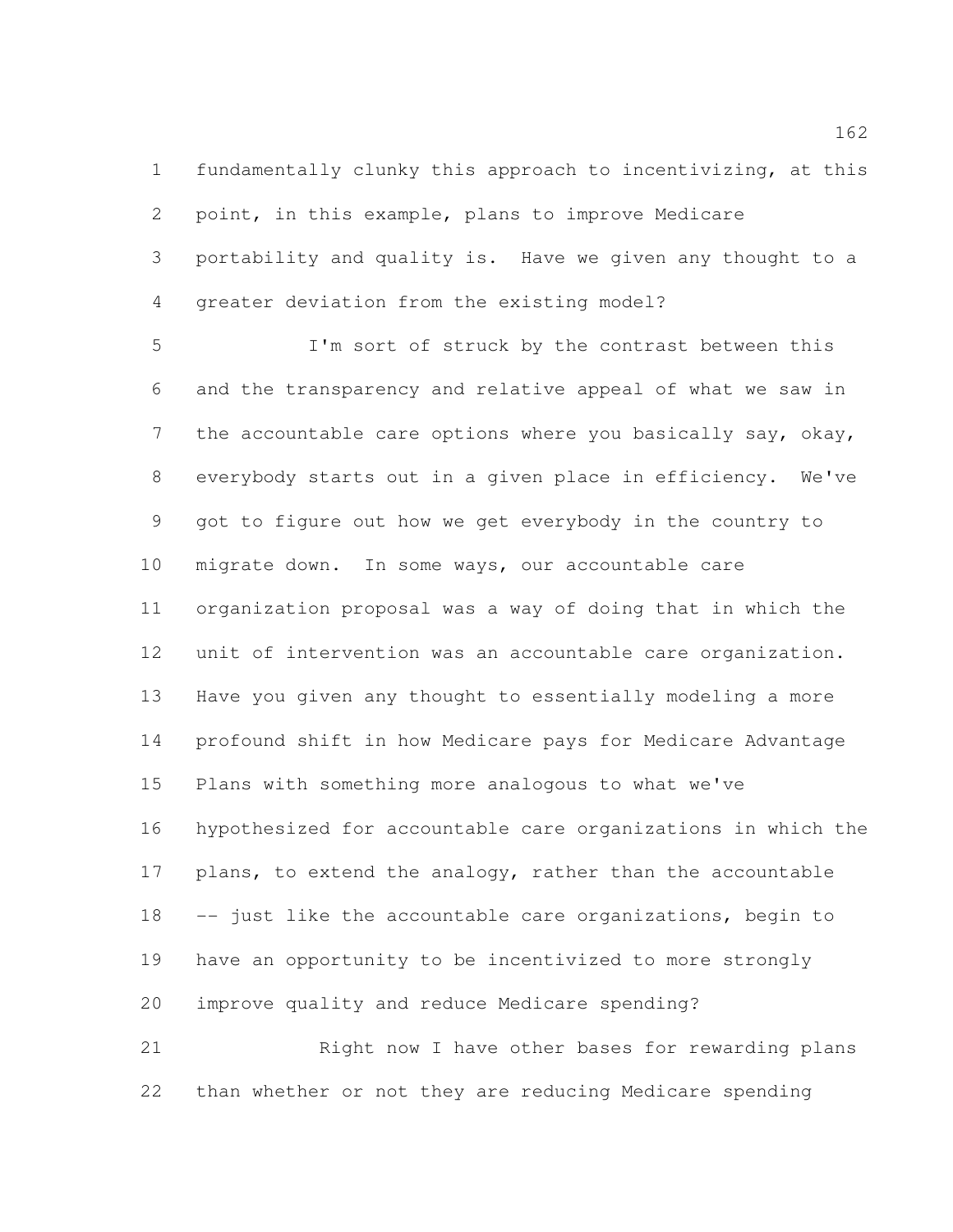fundamentally clunky this approach to incentivizing, at this point, in this example, plans to improve Medicare portability and quality is. Have we given any thought to a greater deviation from the existing model?

 I'm sort of struck by the contrast between this and the transparency and relative appeal of what we saw in 7 the accountable care options where you basically say, okay, everybody starts out in a given place in efficiency. We've got to figure out how we get everybody in the country to migrate down. In some ways, our accountable care organization proposal was a way of doing that in which the unit of intervention was an accountable care organization. Have you given any thought to essentially modeling a more profound shift in how Medicare pays for Medicare Advantage Plans with something more analogous to what we've hypothesized for accountable care organizations in which the 17 plans, to extend the analogy, rather than the accountable -- just like the accountable care organizations, begin to have an opportunity to be incentivized to more strongly improve quality and reduce Medicare spending? 21 Right now I have other bases for rewarding plans

than whether or not they are reducing Medicare spending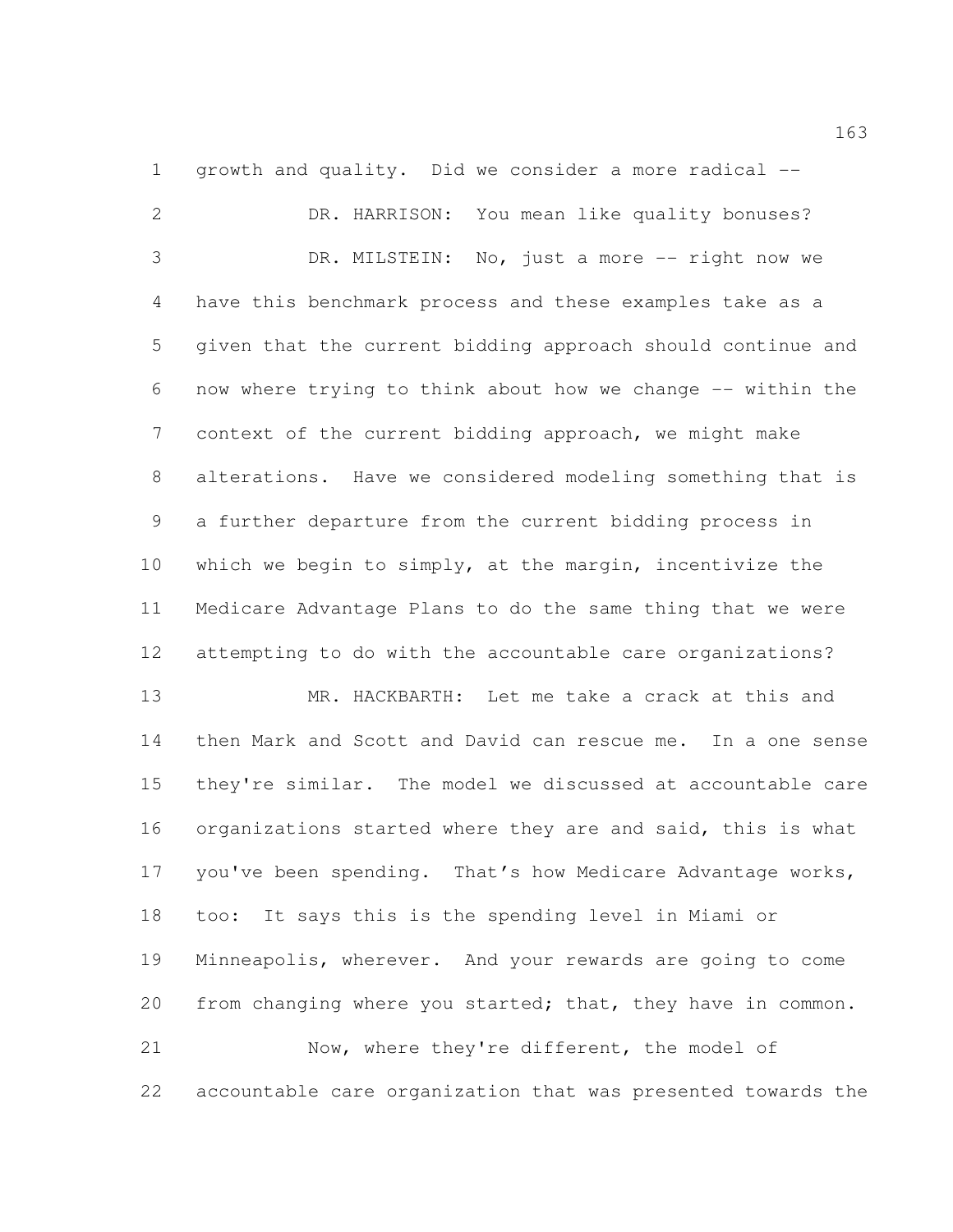growth and quality. Did we consider a more radical --

 DR. HARRISON: You mean like quality bonuses? DR. MILSTEIN: No, just a more -- right now we have this benchmark process and these examples take as a given that the current bidding approach should continue and now where trying to think about how we change -- within the context of the current bidding approach, we might make alterations. Have we considered modeling something that is a further departure from the current bidding process in which we begin to simply, at the margin, incentivize the Medicare Advantage Plans to do the same thing that we were attempting to do with the accountable care organizations? MR. HACKBARTH: Let me take a crack at this and then Mark and Scott and David can rescue me. In a one sense they're similar. The model we discussed at accountable care organizations started where they are and said, this is what 17 you've been spending. That's how Medicare Advantage works, too: It says this is the spending level in Miami or Minneapolis, wherever. And your rewards are going to come 20 from changing where you started; that, they have in common. Now, where they're different, the model of accountable care organization that was presented towards the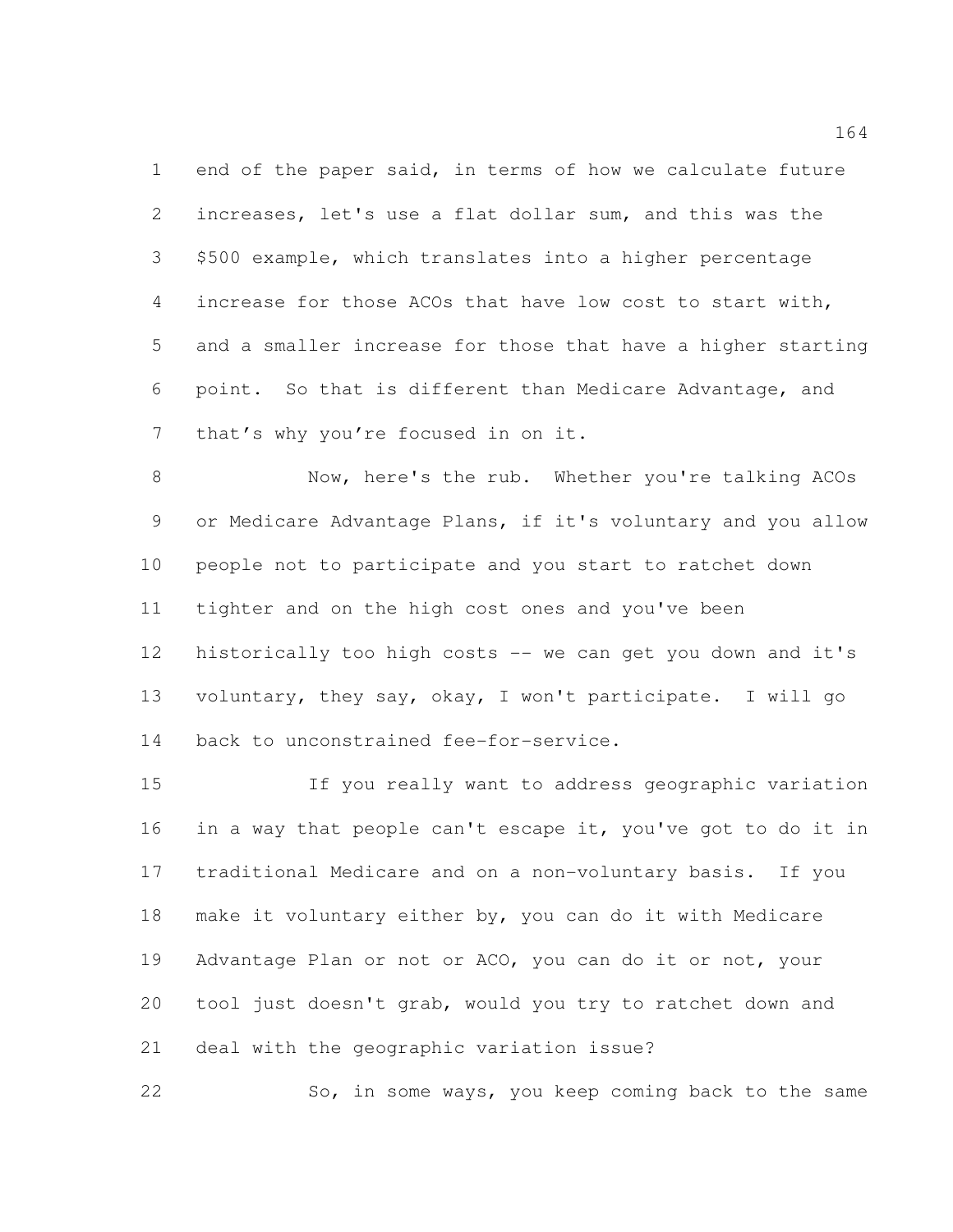end of the paper said, in terms of how we calculate future increases, let's use a flat dollar sum, and this was the \$500 example, which translates into a higher percentage increase for those ACOs that have low cost to start with, and a smaller increase for those that have a higher starting point. So that is different than Medicare Advantage, and that's why you're focused in on it.

 Now, here's the rub. Whether you're talking ACOs or Medicare Advantage Plans, if it's voluntary and you allow people not to participate and you start to ratchet down tighter and on the high cost ones and you've been historically too high costs -- we can get you down and it's voluntary, they say, okay, I won't participate. I will go back to unconstrained fee-for-service.

 If you really want to address geographic variation in a way that people can't escape it, you've got to do it in traditional Medicare and on a non-voluntary basis. If you make it voluntary either by, you can do it with Medicare Advantage Plan or not or ACO, you can do it or not, your tool just doesn't grab, would you try to ratchet down and deal with the geographic variation issue?

22 So, in some ways, you keep coming back to the same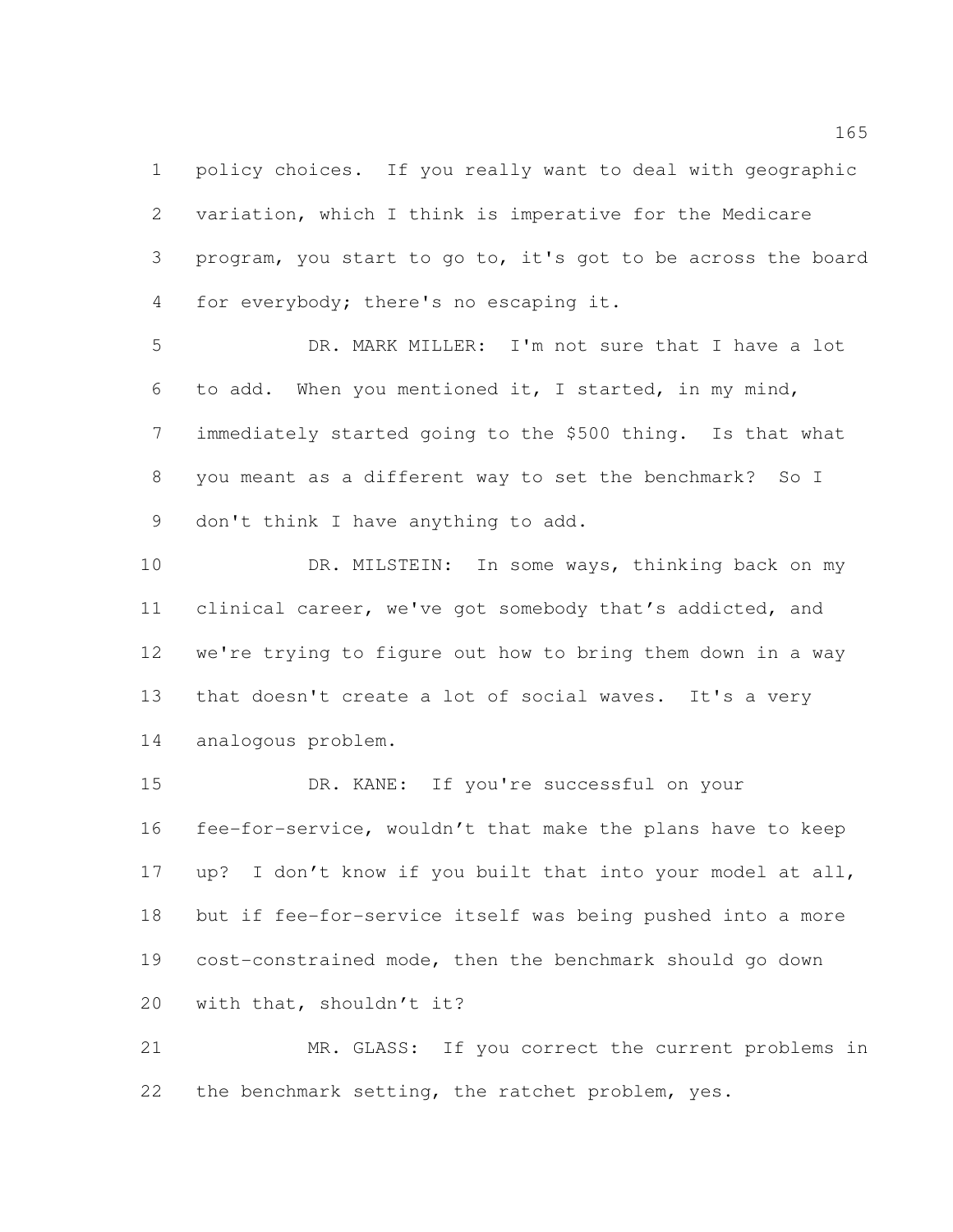policy choices. If you really want to deal with geographic variation, which I think is imperative for the Medicare program, you start to go to, it's got to be across the board for everybody; there's no escaping it.

 DR. MARK MILLER: I'm not sure that I have a lot to add. When you mentioned it, I started, in my mind, immediately started going to the \$500 thing. Is that what you meant as a different way to set the benchmark? So I don't think I have anything to add.

10 DR. MILSTEIN: In some ways, thinking back on my clinical career, we've got somebody that's addicted, and we're trying to figure out how to bring them down in a way that doesn't create a lot of social waves. It's a very analogous problem.

 DR. KANE: If you're successful on your fee-for-service, wouldn't that make the plans have to keep up? I don't know if you built that into your model at all, but if fee-for-service itself was being pushed into a more cost-constrained mode, then the benchmark should go down with that, shouldn't it?

 MR. GLASS: If you correct the current problems in the benchmark setting, the ratchet problem, yes.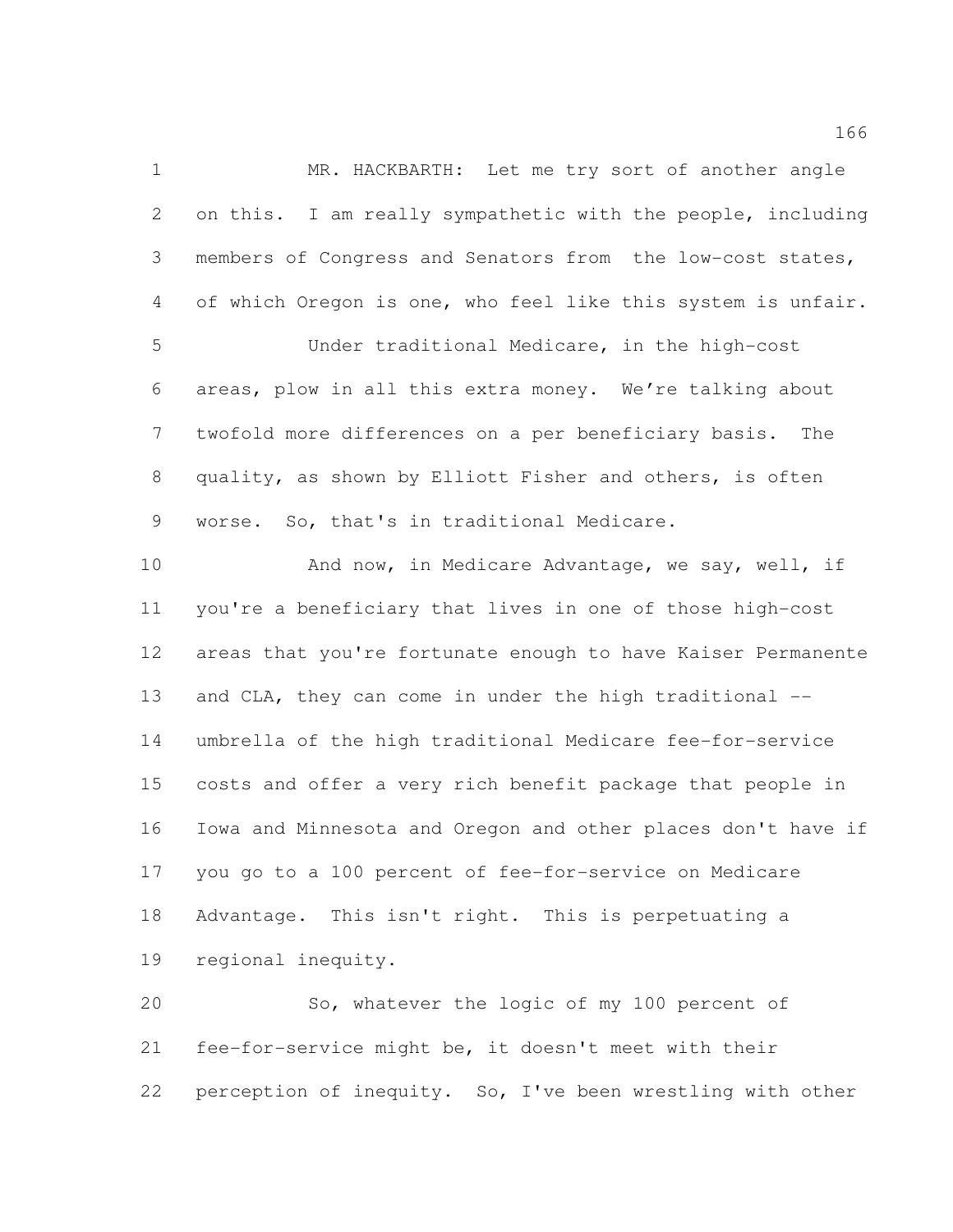MR. HACKBARTH: Let me try sort of another angle on this. I am really sympathetic with the people, including members of Congress and Senators from the low-cost states, of which Oregon is one, who feel like this system is unfair. Under traditional Medicare, in the high-cost areas, plow in all this extra money. We're talking about twofold more differences on a per beneficiary basis. The quality, as shown by Elliott Fisher and others, is often worse. So, that's in traditional Medicare. 10 And now, in Medicare Advantage, we say, well, if you're a beneficiary that lives in one of those high-cost areas that you're fortunate enough to have Kaiser Permanente

13 and CLA, they can come in under the high traditional -- umbrella of the high traditional Medicare fee-for-service costs and offer a very rich benefit package that people in Iowa and Minnesota and Oregon and other places don't have if you go to a 100 percent of fee-for-service on Medicare Advantage. This isn't right. This is perpetuating a regional inequity.

 So, whatever the logic of my 100 percent of fee-for-service might be, it doesn't meet with their perception of inequity. So, I've been wrestling with other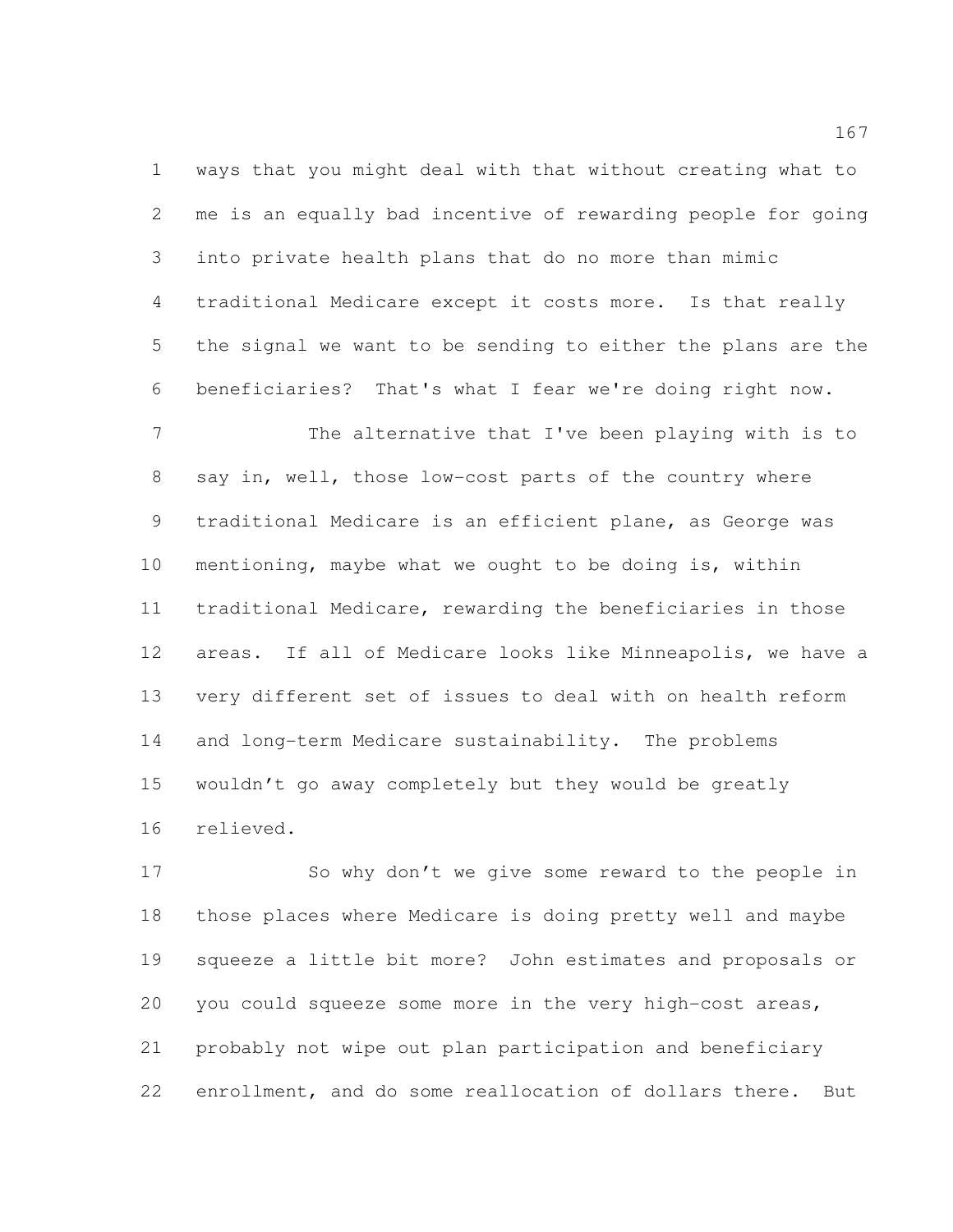ways that you might deal with that without creating what to me is an equally bad incentive of rewarding people for going into private health plans that do no more than mimic traditional Medicare except it costs more. Is that really the signal we want to be sending to either the plans are the beneficiaries? That's what I fear we're doing right now.

7 The alternative that I've been playing with is to say in, well, those low-cost parts of the country where traditional Medicare is an efficient plane, as George was mentioning, maybe what we ought to be doing is, within traditional Medicare, rewarding the beneficiaries in those areas. If all of Medicare looks like Minneapolis, we have a very different set of issues to deal with on health reform and long-term Medicare sustainability. The problems wouldn't go away completely but they would be greatly relieved.

 So why don't we give some reward to the people in those places where Medicare is doing pretty well and maybe squeeze a little bit more? John estimates and proposals or you could squeeze some more in the very high-cost areas, probably not wipe out plan participation and beneficiary enrollment, and do some reallocation of dollars there. But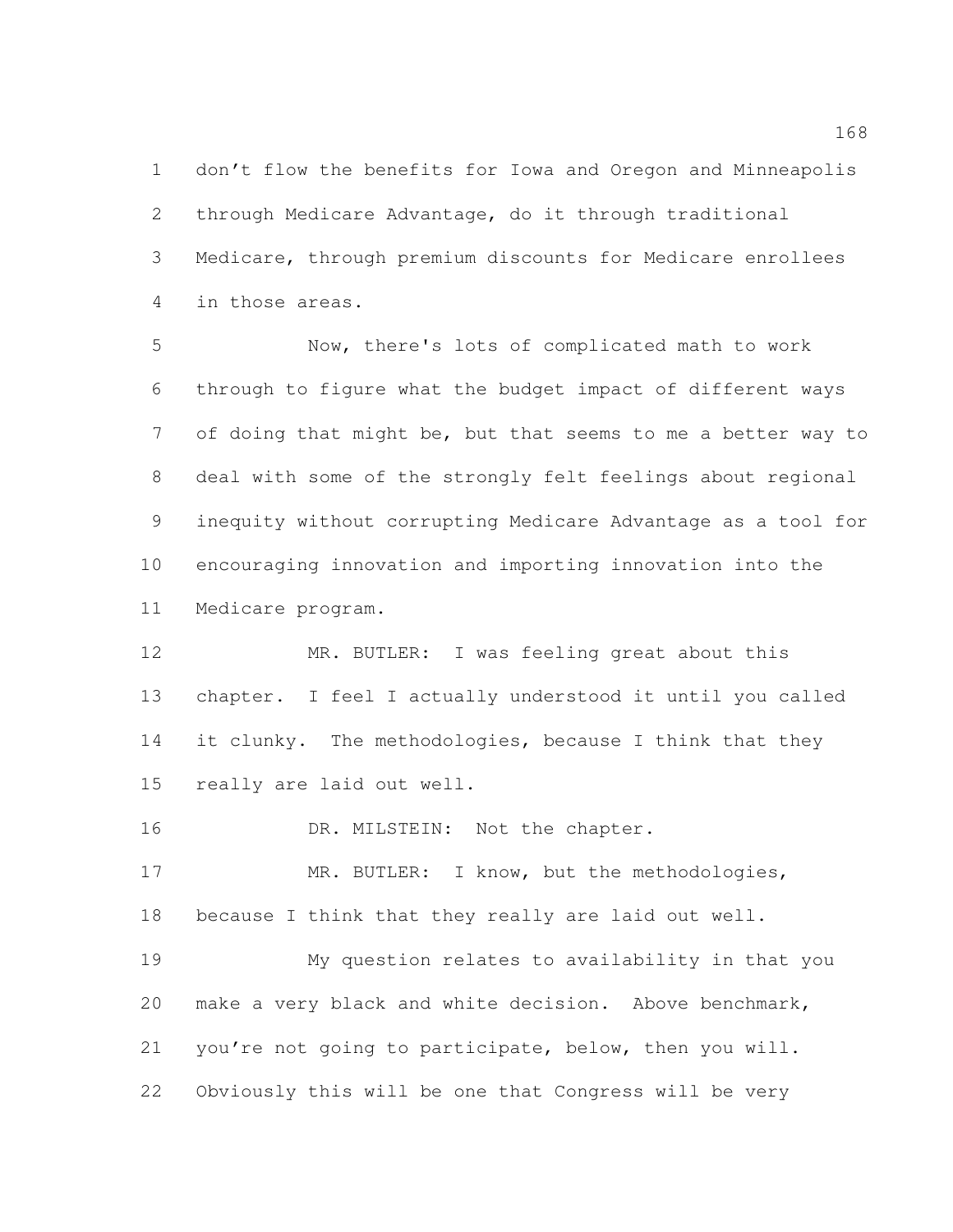don't flow the benefits for Iowa and Oregon and Minneapolis through Medicare Advantage, do it through traditional Medicare, through premium discounts for Medicare enrollees in those areas.

 Now, there's lots of complicated math to work through to figure what the budget impact of different ways 7 of doing that might be, but that seems to me a better way to deal with some of the strongly felt feelings about regional inequity without corrupting Medicare Advantage as a tool for encouraging innovation and importing innovation into the Medicare program.

 MR. BUTLER: I was feeling great about this chapter. I feel I actually understood it until you called 14 it clunky. The methodologies, because I think that they really are laid out well.

16 DR. MILSTEIN: Not the chapter.

17 MR. BUTLER: I know, but the methodologies, because I think that they really are laid out well.

 My question relates to availability in that you make a very black and white decision. Above benchmark, you're not going to participate, below, then you will. Obviously this will be one that Congress will be very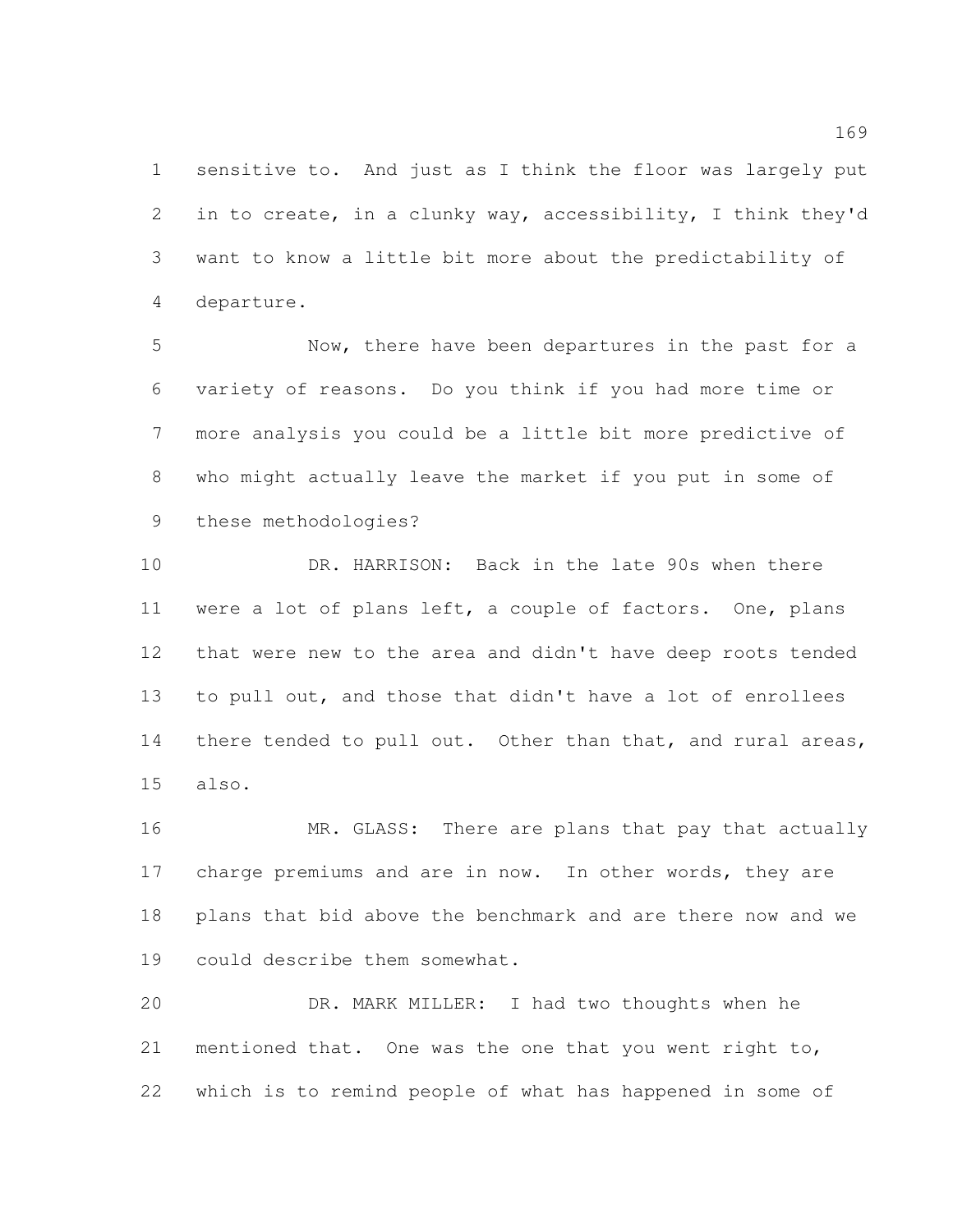sensitive to. And just as I think the floor was largely put in to create, in a clunky way, accessibility, I think they'd want to know a little bit more about the predictability of departure.

 Now, there have been departures in the past for a variety of reasons. Do you think if you had more time or more analysis you could be a little bit more predictive of who might actually leave the market if you put in some of these methodologies?

 DR. HARRISON: Back in the late 90s when there were a lot of plans left, a couple of factors. One, plans that were new to the area and didn't have deep roots tended to pull out, and those that didn't have a lot of enrollees 14 there tended to pull out. Other than that, and rural areas, also.

 MR. GLASS: There are plans that pay that actually 17 charge premiums and are in now. In other words, they are plans that bid above the benchmark and are there now and we could describe them somewhat.

 DR. MARK MILLER: I had two thoughts when he mentioned that. One was the one that you went right to, which is to remind people of what has happened in some of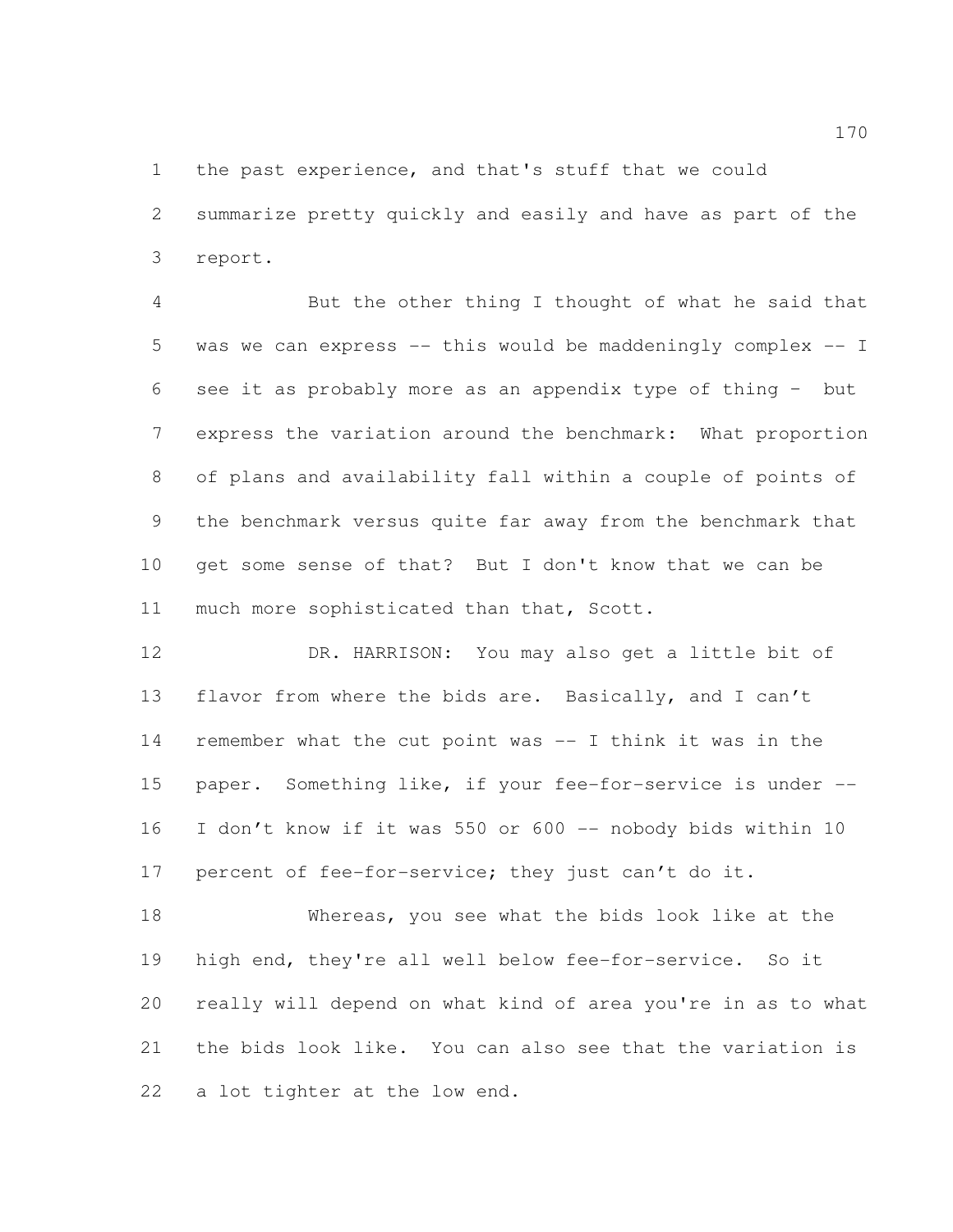the past experience, and that's stuff that we could

 summarize pretty quickly and easily and have as part of the report.

 But the other thing I thought of what he said that was we can express -- this would be maddeningly complex -- I see it as probably more as an appendix type of thing – but express the variation around the benchmark: What proportion of plans and availability fall within a couple of points of the benchmark versus quite far away from the benchmark that get some sense of that? But I don't know that we can be 11 much more sophisticated than that, Scott.

 DR. HARRISON: You may also get a little bit of flavor from where the bids are. Basically, and I can't remember what the cut point was -- I think it was in the paper. Something like, if your fee-for-service is under -- 16 I don't know if it was 550 or 600 -- nobody bids within 10 17 percent of fee-for-service; they just can't do it.

 Whereas, you see what the bids look like at the high end, they're all well below fee-for-service. So it really will depend on what kind of area you're in as to what the bids look like. You can also see that the variation is a lot tighter at the low end.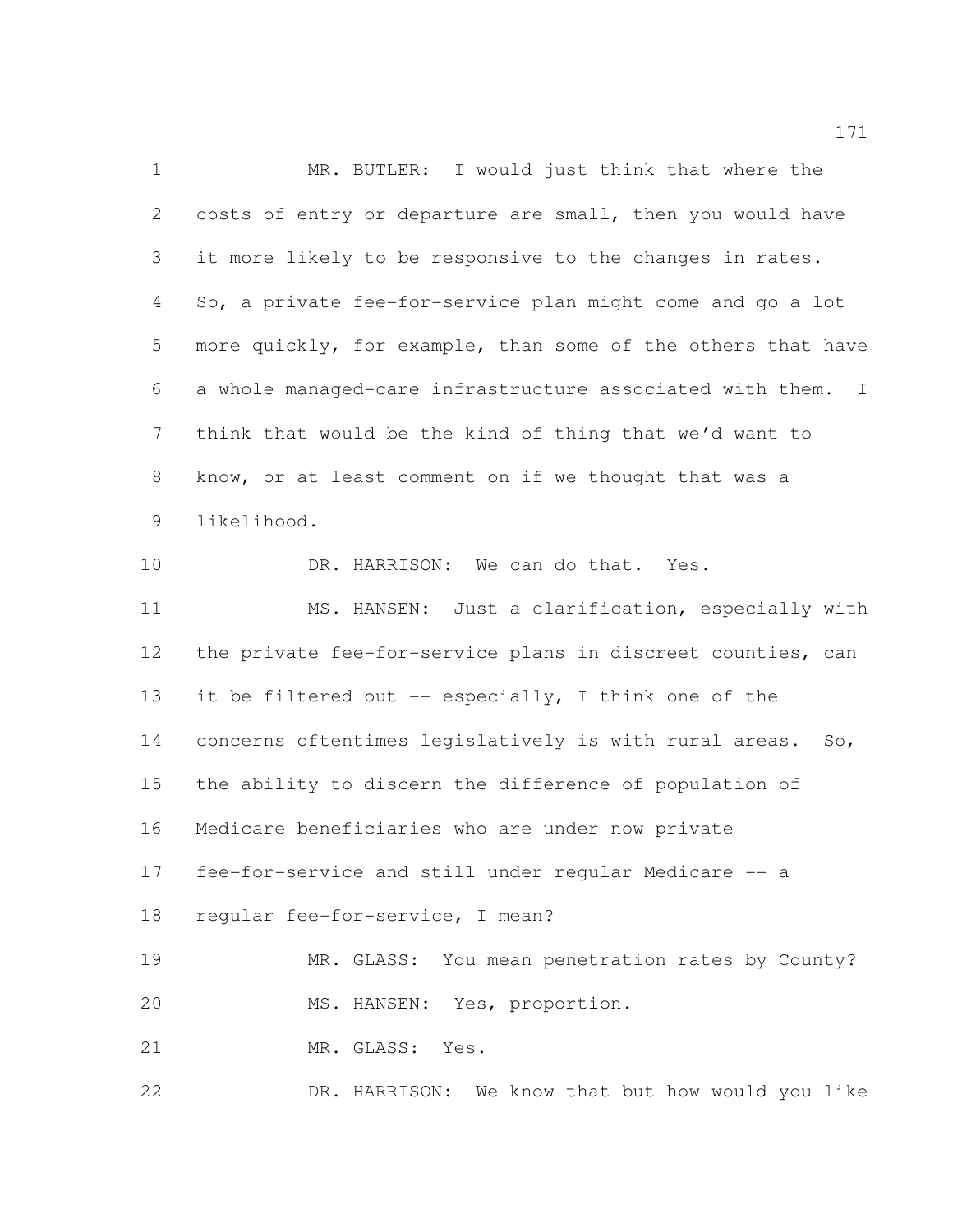MR. BUTLER: I would just think that where the costs of entry or departure are small, then you would have it more likely to be responsive to the changes in rates. So, a private fee-for-service plan might come and go a lot more quickly, for example, than some of the others that have a whole managed-care infrastructure associated with them. I think that would be the kind of thing that we'd want to know, or at least comment on if we thought that was a likelihood. 10 DR. HARRISON: We can do that. Yes. MS. HANSEN: Just a clarification, especially with the private fee-for-service plans in discreet counties, can 13 it be filtered out -- especially, I think one of the concerns oftentimes legislatively is with rural areas. So, the ability to discern the difference of population of Medicare beneficiaries who are under now private fee-for-service and still under regular Medicare -- a regular fee-for-service, I mean? MR. GLASS: You mean penetration rates by County? MS. HANSEN: Yes, proportion. 21 MR. GLASS: Yes. DR. HARRISON: We know that but how would you like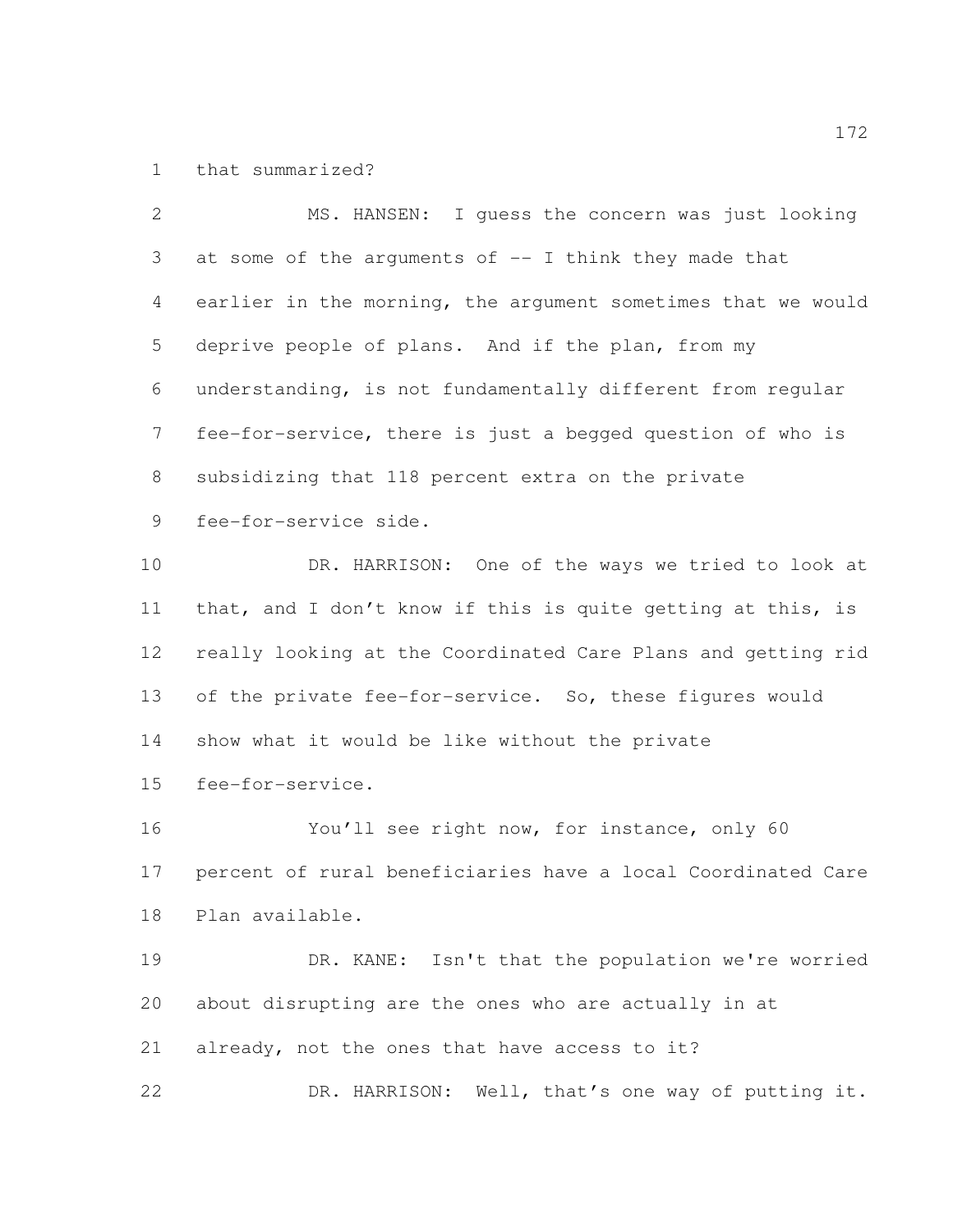that summarized?

 MS. HANSEN: I guess the concern was just looking at some of the arguments of -- I think they made that earlier in the morning, the argument sometimes that we would deprive people of plans. And if the plan, from my understanding, is not fundamentally different from regular fee-for-service, there is just a begged question of who is subsidizing that 118 percent extra on the private fee-for-service side. DR. HARRISON: One of the ways we tried to look at that, and I don't know if this is quite getting at this, is really looking at the Coordinated Care Plans and getting rid of the private fee-for-service. So, these figures would show what it would be like without the private fee-for-service. You'll see right now, for instance, only 60 percent of rural beneficiaries have a local Coordinated Care Plan available. DR. KANE: Isn't that the population we're worried about disrupting are the ones who are actually in at already, not the ones that have access to it? DR. HARRISON: Well, that's one way of putting it.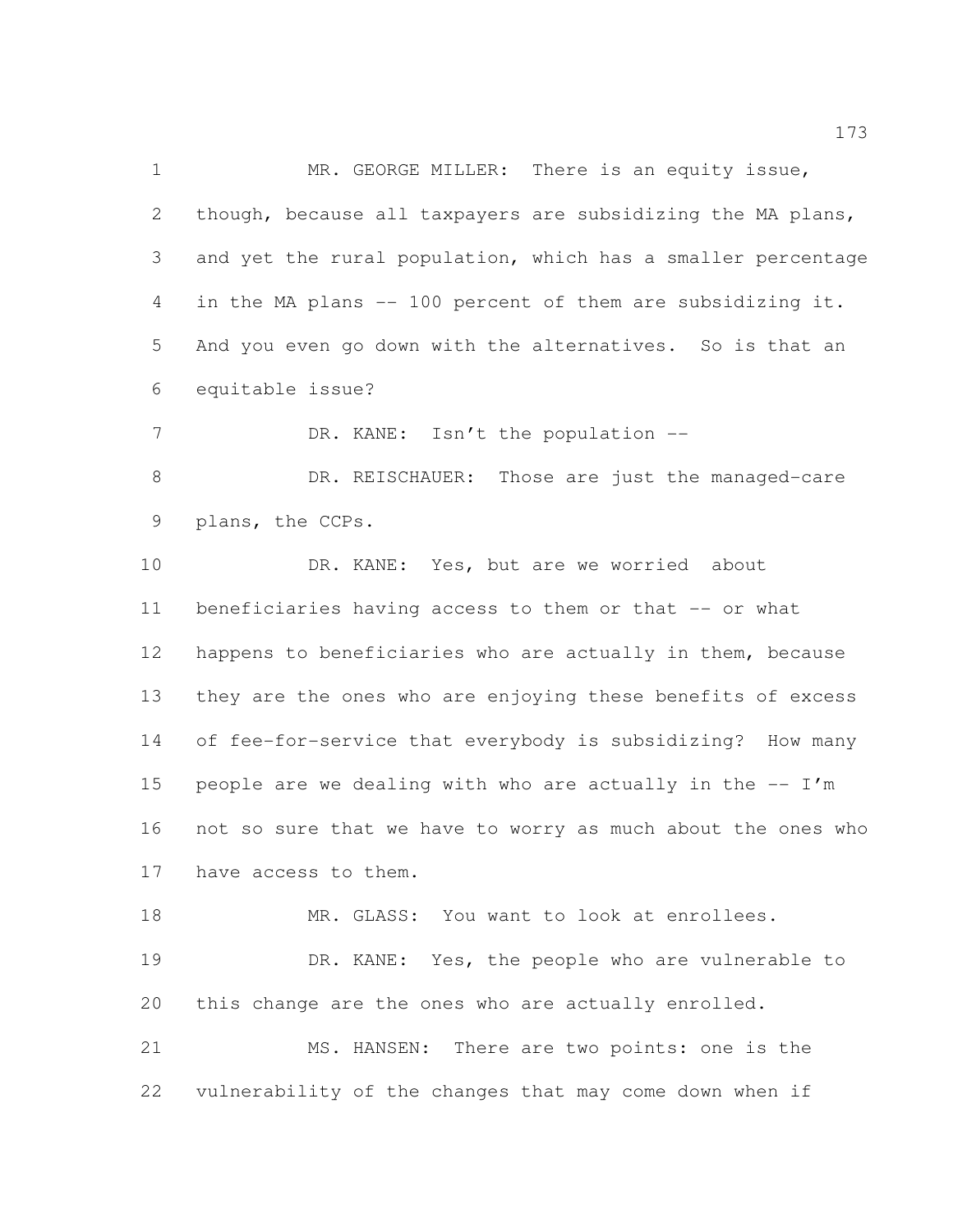MR. GEORGE MILLER: There is an equity issue, though, because all taxpayers are subsidizing the MA plans, and yet the rural population, which has a smaller percentage in the MA plans -- 100 percent of them are subsidizing it. And you even go down with the alternatives. So is that an equitable issue? 7 DR. KANE: Isn't the population --8 DR. REISCHAUER: Those are just the managed-care plans, the CCPs. 10 DR. KANE: Yes, but are we worried about beneficiaries having access to them or that -- or what happens to beneficiaries who are actually in them, because they are the ones who are enjoying these benefits of excess of fee-for-service that everybody is subsidizing? How many 15 people are we dealing with who are actually in the  $- - I'm$  not so sure that we have to worry as much about the ones who have access to them. 18 MR. GLASS: You want to look at enrollees. DR. KANE: Yes, the people who are vulnerable to this change are the ones who are actually enrolled.

 MS. HANSEN: There are two points: one is the vulnerability of the changes that may come down when if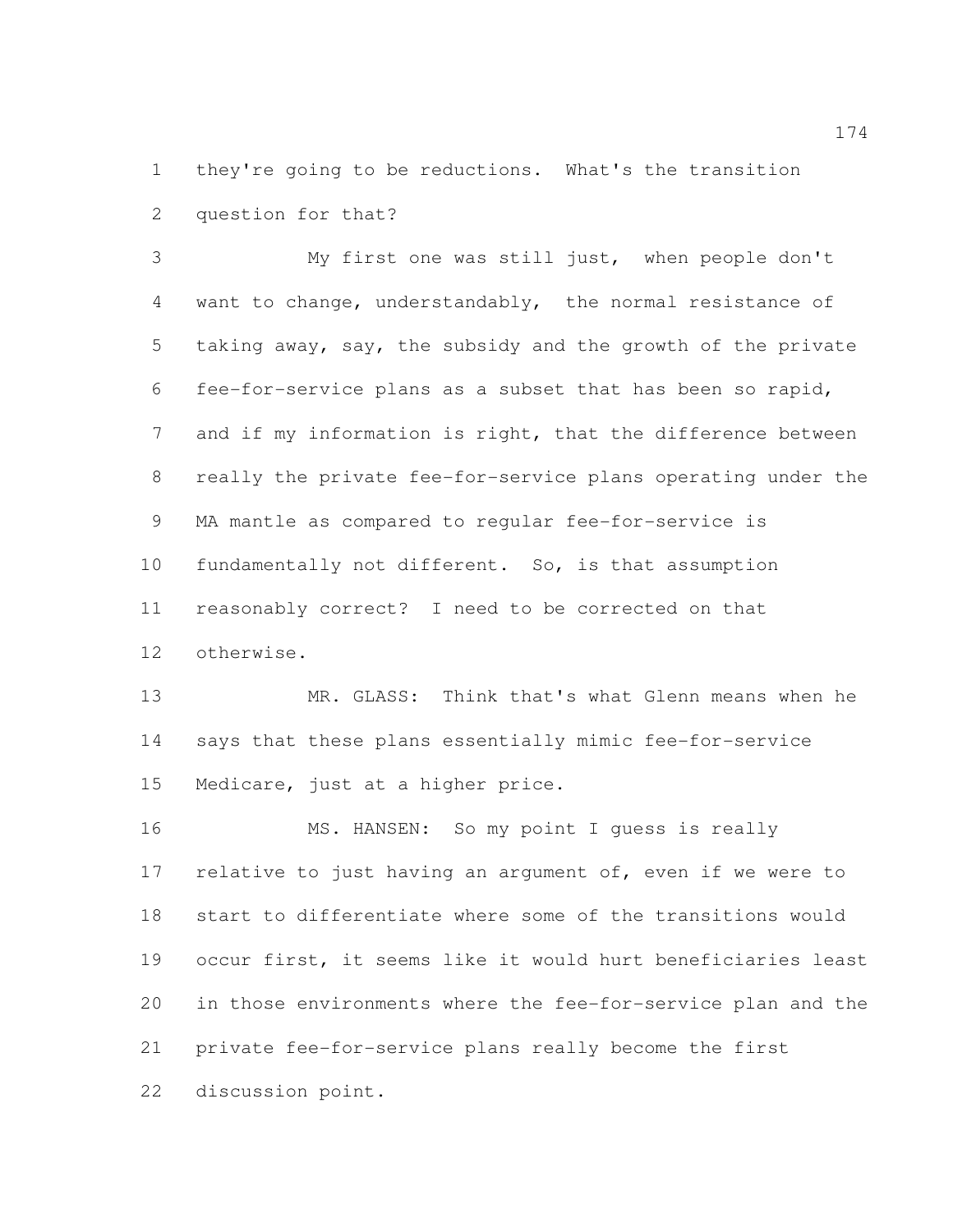they're going to be reductions. What's the transition question for that?

 My first one was still just, when people don't want to change, understandably, the normal resistance of taking away, say, the subsidy and the growth of the private fee-for-service plans as a subset that has been so rapid, and if my information is right, that the difference between really the private fee-for-service plans operating under the MA mantle as compared to regular fee-for-service is fundamentally not different. So, is that assumption reasonably correct? I need to be corrected on that otherwise.

 MR. GLASS: Think that's what Glenn means when he says that these plans essentially mimic fee-for-service Medicare, just at a higher price.

16 MS. HANSEN: So my point I guess is really 17 relative to just having an argument of, even if we were to start to differentiate where some of the transitions would occur first, it seems like it would hurt beneficiaries least in those environments where the fee-for-service plan and the private fee-for-service plans really become the first discussion point.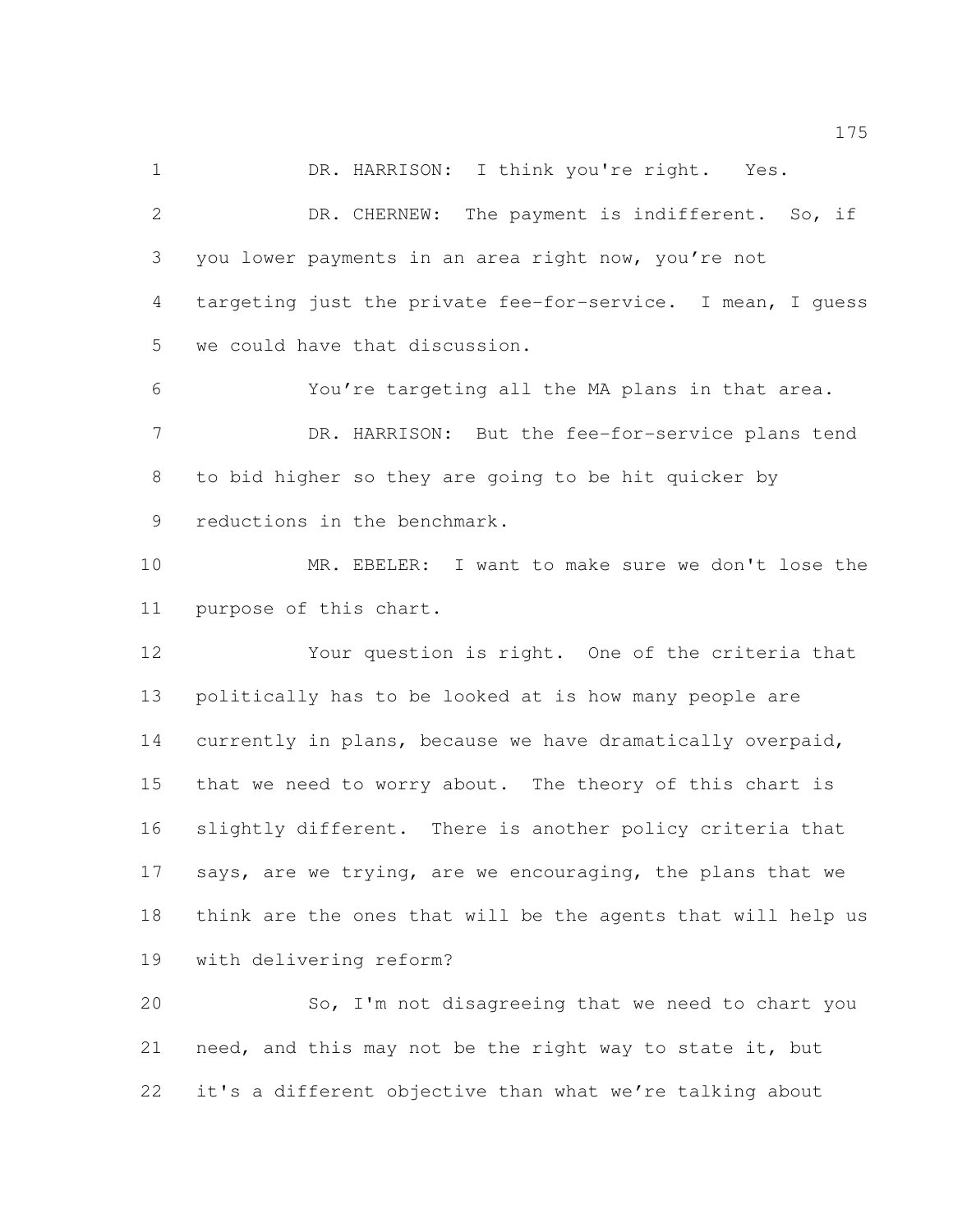1 DR. HARRISON: I think you're right. Yes.

 DR. CHERNEW: The payment is indifferent. So, if you lower payments in an area right now, you're not targeting just the private fee-for-service. I mean, I guess we could have that discussion.

 You're targeting all the MA plans in that area. 7 DR. HARRISON: But the fee-for-service plans tend to bid higher so they are going to be hit quicker by reductions in the benchmark.

 MR. EBELER: I want to make sure we don't lose the purpose of this chart.

 Your question is right. One of the criteria that politically has to be looked at is how many people are currently in plans, because we have dramatically overpaid, that we need to worry about. The theory of this chart is slightly different. There is another policy criteria that says, are we trying, are we encouraging, the plans that we think are the ones that will be the agents that will help us with delivering reform?

 So, I'm not disagreeing that we need to chart you need, and this may not be the right way to state it, but it's a different objective than what we're talking about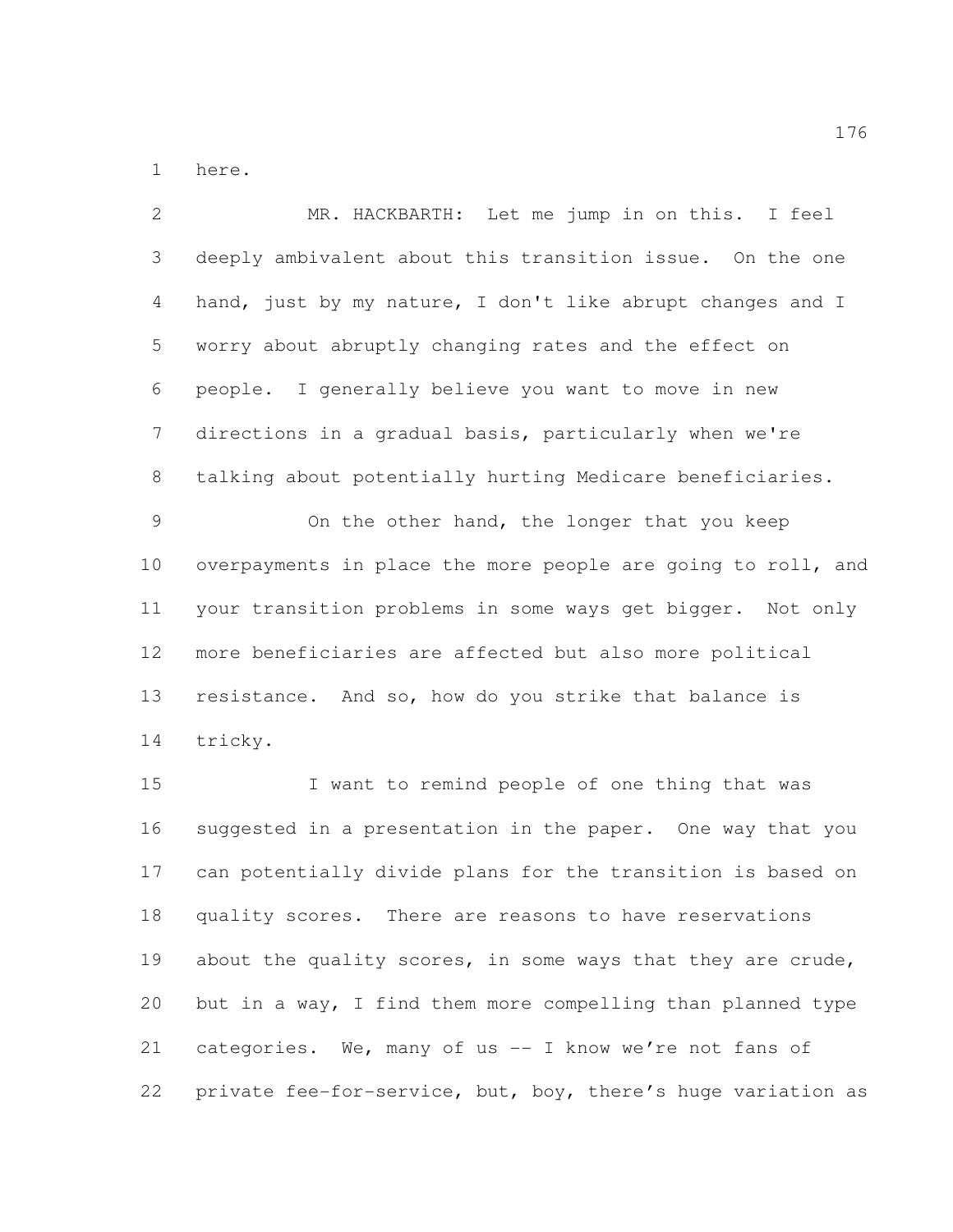here.

 MR. HACKBARTH: Let me jump in on this. I feel deeply ambivalent about this transition issue. On the one hand, just by my nature, I don't like abrupt changes and I worry about abruptly changing rates and the effect on people. I generally believe you want to move in new directions in a gradual basis, particularly when we're talking about potentially hurting Medicare beneficiaries. On the other hand, the longer that you keep overpayments in place the more people are going to roll, and your transition problems in some ways get bigger. Not only more beneficiaries are affected but also more political resistance. And so, how do you strike that balance is tricky. I want to remind people of one thing that was suggested in a presentation in the paper. One way that you can potentially divide plans for the transition is based on quality scores. There are reasons to have reservations 19 about the quality scores, in some ways that they are crude, but in a way, I find them more compelling than planned type categories. We, many of us -- I know we're not fans of private fee-for-service, but, boy, there's huge variation as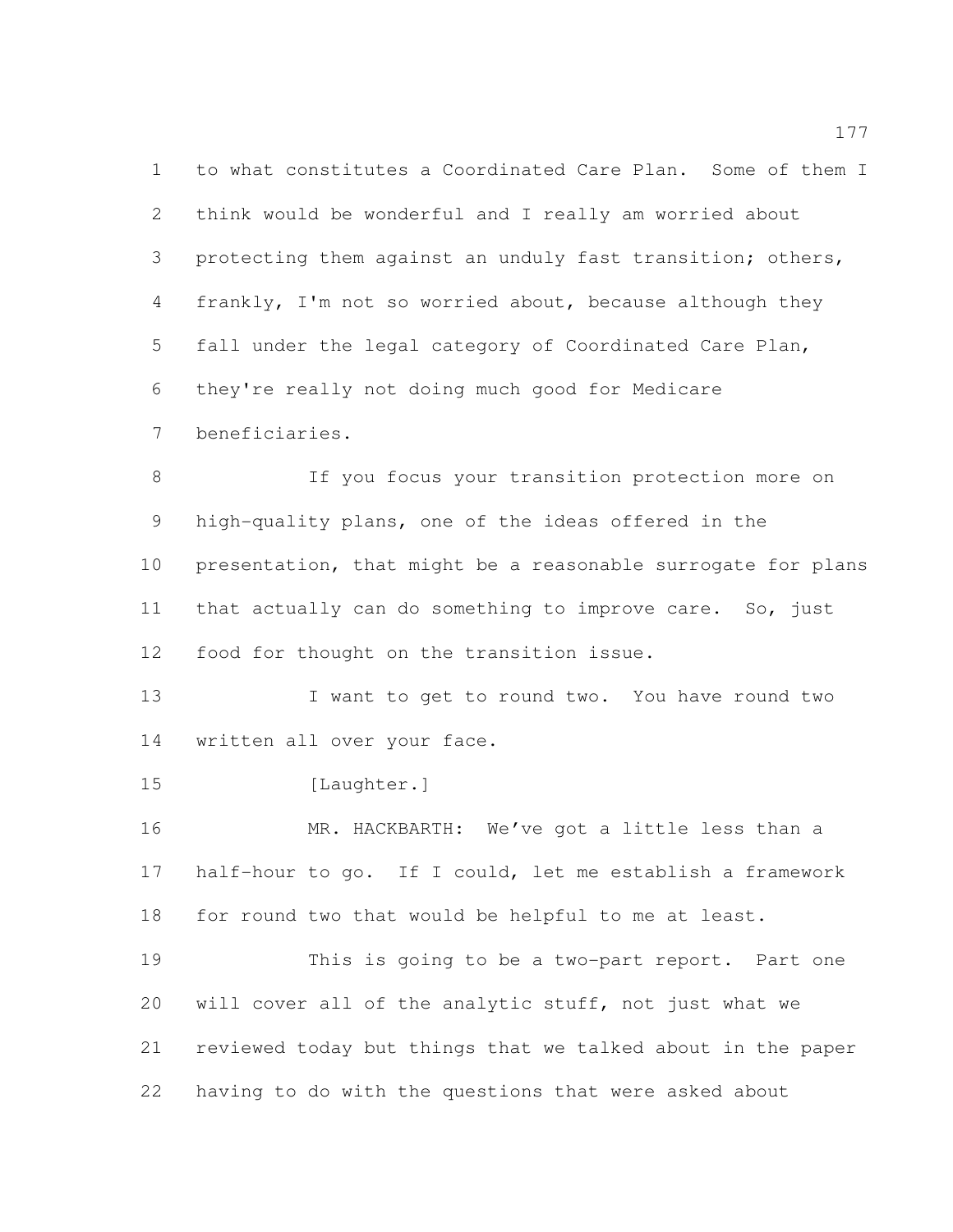to what constitutes a Coordinated Care Plan. Some of them I think would be wonderful and I really am worried about 3 protecting them against an unduly fast transition; others, frankly, I'm not so worried about, because although they fall under the legal category of Coordinated Care Plan, they're really not doing much good for Medicare beneficiaries.

 If you focus your transition protection more on high-quality plans, one of the ideas offered in the presentation, that might be a reasonable surrogate for plans that actually can do something to improve care. So, just food for thought on the transition issue.

13 I want to get to round two. You have round two written all over your face.

15 [Laughter.]

 MR. HACKBARTH: We've got a little less than a half-hour to go. If I could, let me establish a framework for round two that would be helpful to me at least.

 This is going to be a two-part report. Part one will cover all of the analytic stuff, not just what we reviewed today but things that we talked about in the paper having to do with the questions that were asked about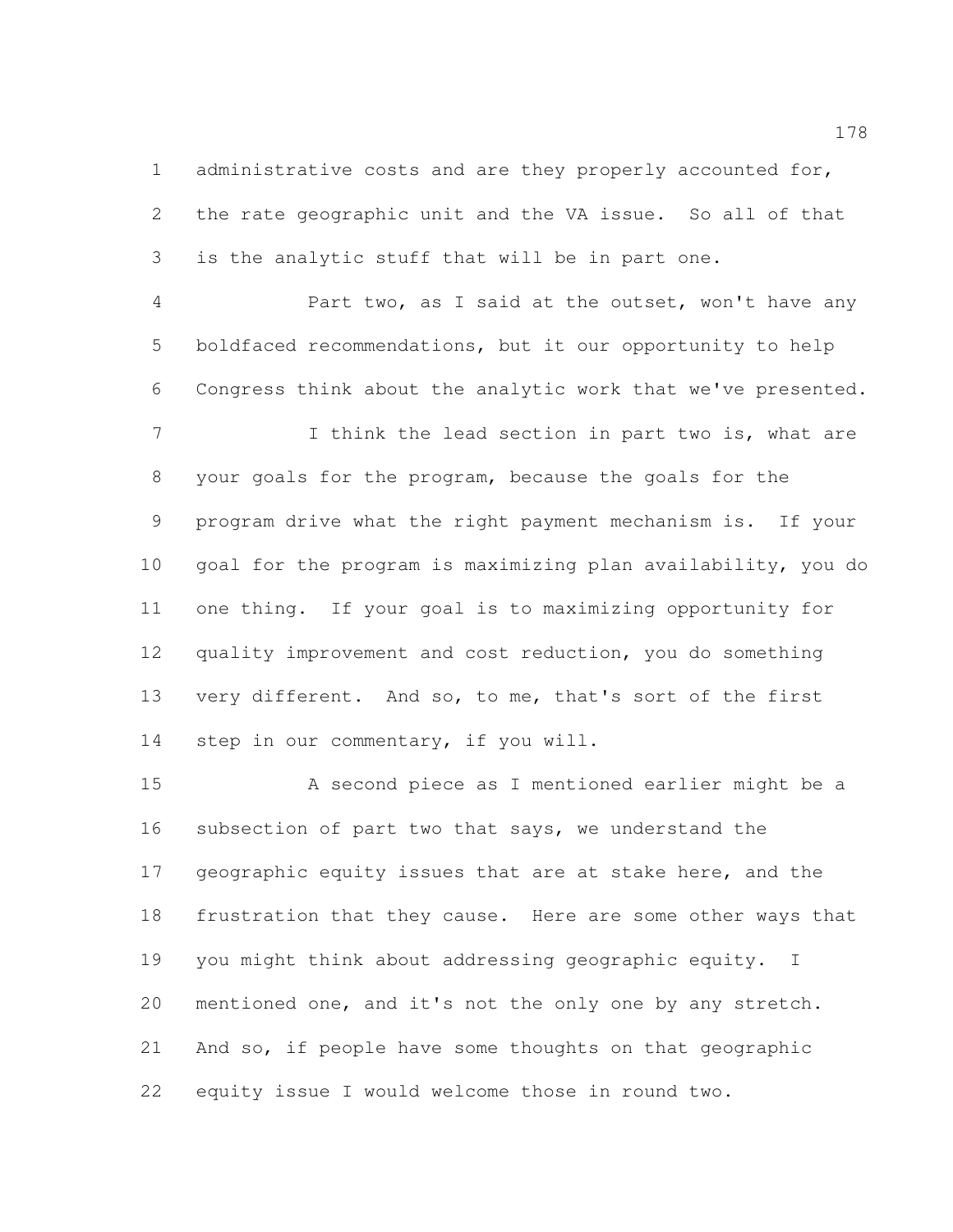administrative costs and are they properly accounted for, the rate geographic unit and the VA issue. So all of that is the analytic stuff that will be in part one.

 Part two, as I said at the outset, won't have any boldfaced recommendations, but it our opportunity to help Congress think about the analytic work that we've presented.

7 I think the lead section in part two is, what are your goals for the program, because the goals for the program drive what the right payment mechanism is. If your goal for the program is maximizing plan availability, you do one thing. If your goal is to maximizing opportunity for quality improvement and cost reduction, you do something very different. And so, to me, that's sort of the first step in our commentary, if you will.

 A second piece as I mentioned earlier might be a subsection of part two that says, we understand the geographic equity issues that are at stake here, and the frustration that they cause. Here are some other ways that 19 you might think about addressing geographic equity. I mentioned one, and it's not the only one by any stretch. And so, if people have some thoughts on that geographic equity issue I would welcome those in round two.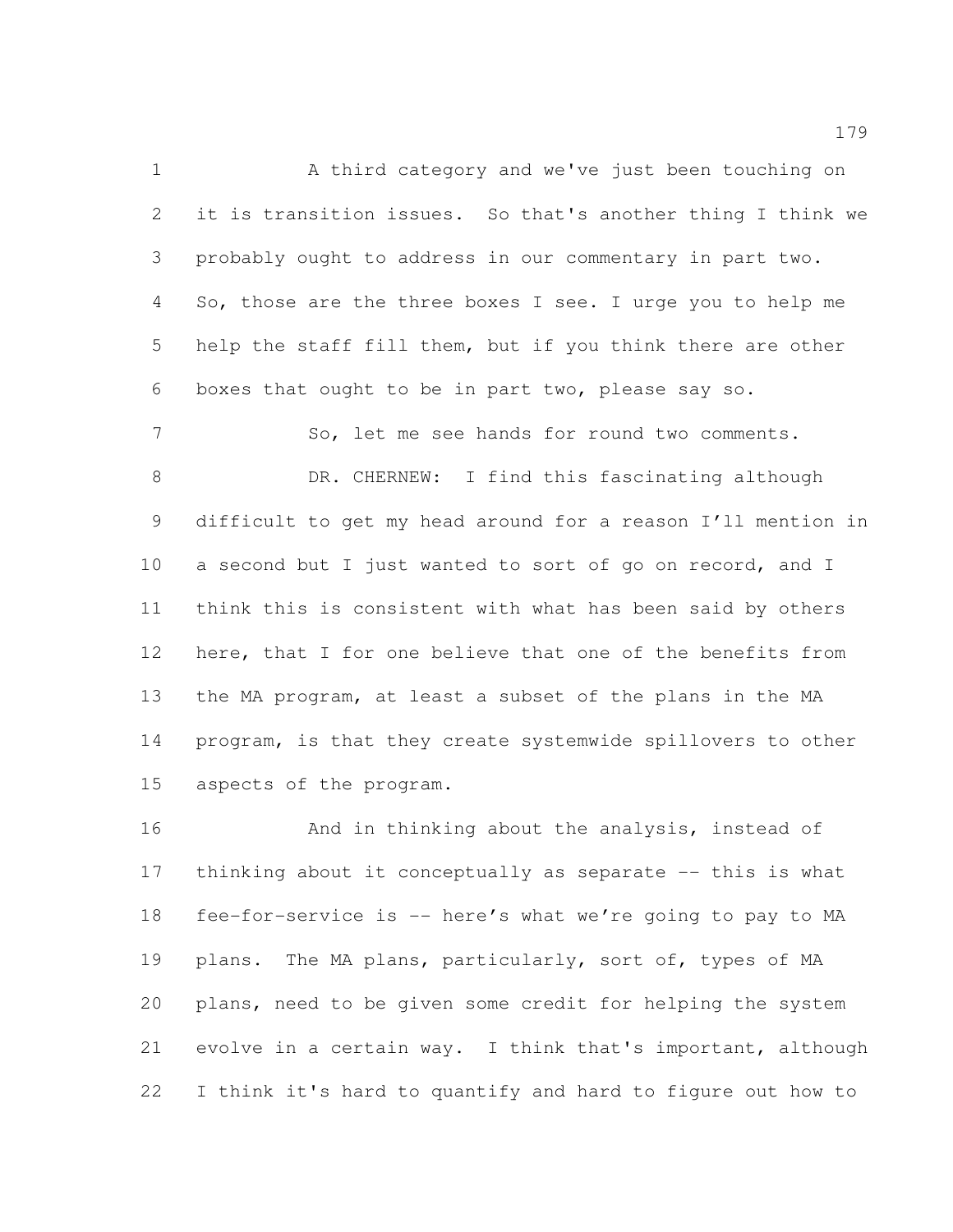1 A third category and we've just been touching on it is transition issues. So that's another thing I think we probably ought to address in our commentary in part two. So, those are the three boxes I see. I urge you to help me help the staff fill them, but if you think there are other boxes that ought to be in part two, please say so.

 So, let me see hands for round two comments. DR. CHERNEW: I find this fascinating although difficult to get my head around for a reason I'll mention in 10 a second but I just wanted to sort of go on record, and I think this is consistent with what has been said by others here, that I for one believe that one of the benefits from the MA program, at least a subset of the plans in the MA program, is that they create systemwide spillovers to other aspects of the program.

 And in thinking about the analysis, instead of thinking about it conceptually as separate -- this is what fee-for-service is -- here's what we're going to pay to MA 19 plans. The MA plans, particularly, sort of, types of MA plans, need to be given some credit for helping the system evolve in a certain way. I think that's important, although I think it's hard to quantify and hard to figure out how to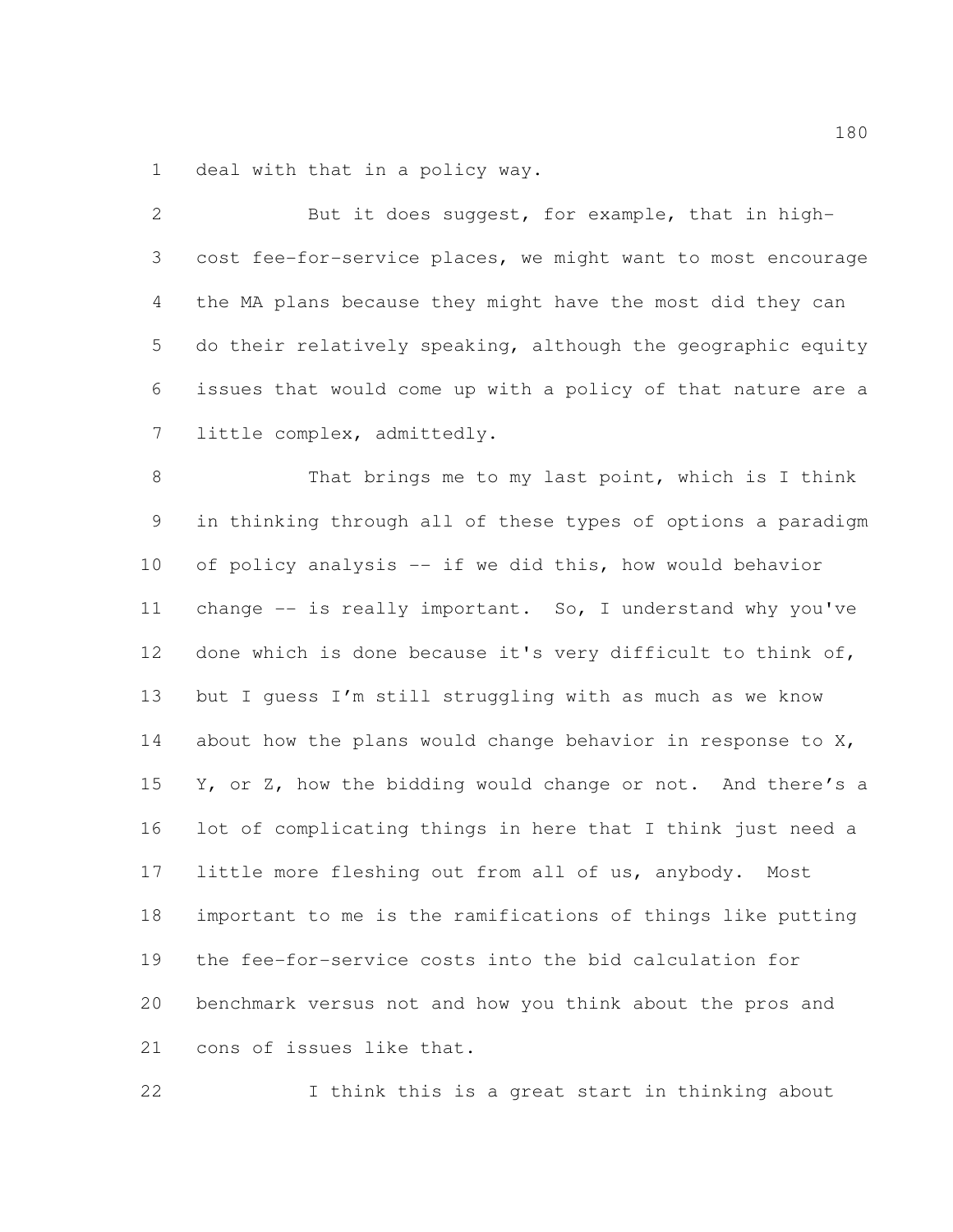deal with that in a policy way.

| $\overline{2}$ | But it does suggest, for example, that in high-              |
|----------------|--------------------------------------------------------------|
| 3              | cost fee-for-service places, we might want to most encourage |
| 4              | the MA plans because they might have the most did they can   |
| 5              | do their relatively speaking, although the geographic equity |
| 6              | issues that would come up with a policy of that nature are a |
| 7              | little complex, admittedly.                                  |
| $8\,$          | That brings me to my last point, which is I think            |
| $\mathsf 9$    | in thinking through all of these types of options a paradigm |
| 10             | of policy analysis -- if we did this, how would behavior     |
| 11             | change $--$ is really important. So, I understand why you've |
| 12             | done which is done because it's very difficult to think of,  |
| 13             | but I quess I'm still struggling with as much as we know     |
| 14             | about how the plans would change behavior in response to X,  |
| 15             | Y, or Z, how the bidding would change or not. And there's a  |
| 16             | lot of complicating things in here that I think just need a  |
| 17             | little more fleshing out from all of us, anybody.<br>Most    |
| 18             | important to me is the ramifications of things like putting  |
| 19             | the fee-for-service costs into the bid calculation for       |
| 20             | benchmark versus not and how you think about the pros and    |
| 21             | cons of issues like that.                                    |

I think this is a great start in thinking about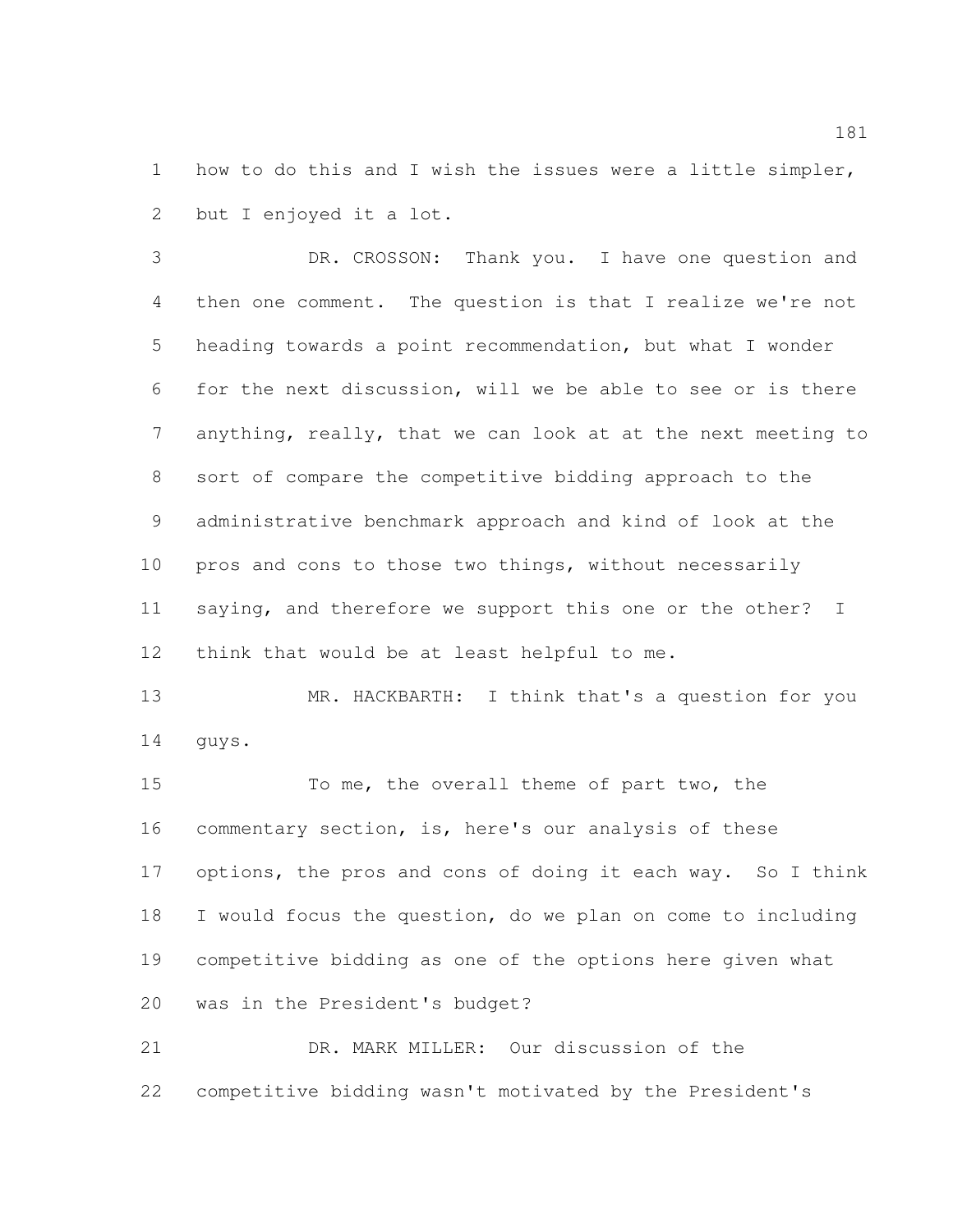how to do this and I wish the issues were a little simpler, but I enjoyed it a lot.

 DR. CROSSON: Thank you. I have one question and then one comment. The question is that I realize we're not heading towards a point recommendation, but what I wonder for the next discussion, will we be able to see or is there anything, really, that we can look at at the next meeting to sort of compare the competitive bidding approach to the administrative benchmark approach and kind of look at the pros and cons to those two things, without necessarily saying, and therefore we support this one or the other? I think that would be at least helpful to me.

 MR. HACKBARTH: I think that's a question for you guys.

 To me, the overall theme of part two, the commentary section, is, here's our analysis of these options, the pros and cons of doing it each way. So I think I would focus the question, do we plan on come to including competitive bidding as one of the options here given what was in the President's budget?

 DR. MARK MILLER: Our discussion of the competitive bidding wasn't motivated by the President's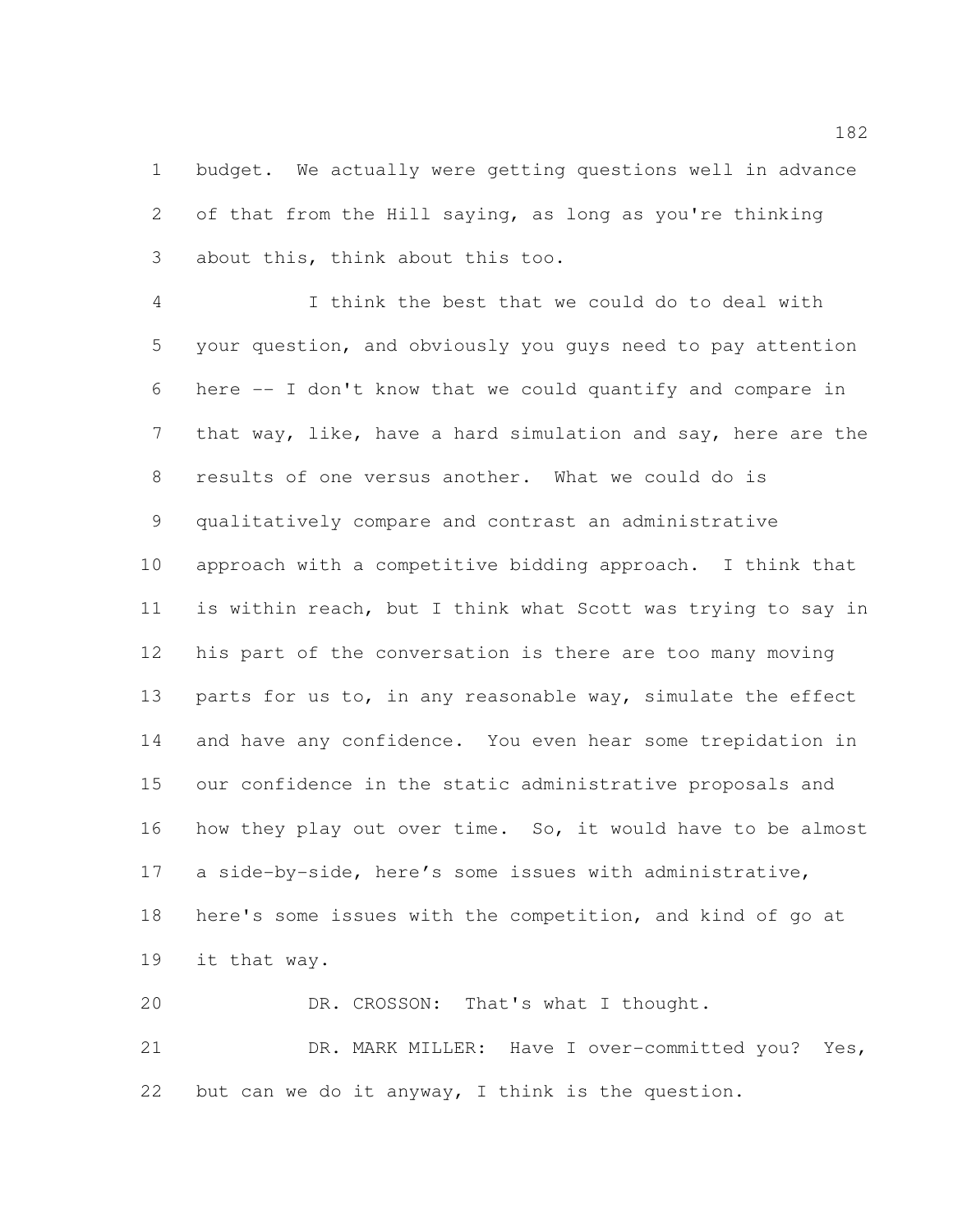budget. We actually were getting questions well in advance of that from the Hill saying, as long as you're thinking about this, think about this too.

 I think the best that we could do to deal with your question, and obviously you guys need to pay attention here -- I don't know that we could quantify and compare in that way, like, have a hard simulation and say, here are the results of one versus another. What we could do is qualitatively compare and contrast an administrative approach with a competitive bidding approach. I think that is within reach, but I think what Scott was trying to say in his part of the conversation is there are too many moving 13 parts for us to, in any reasonable way, simulate the effect and have any confidence. You even hear some trepidation in our confidence in the static administrative proposals and how they play out over time. So, it would have to be almost a side-by-side, here's some issues with administrative, here's some issues with the competition, and kind of go at it that way.

20 DR. CROSSON: That's what I thought. DR. MARK MILLER: Have I over-committed you? Yes, but can we do it anyway, I think is the question.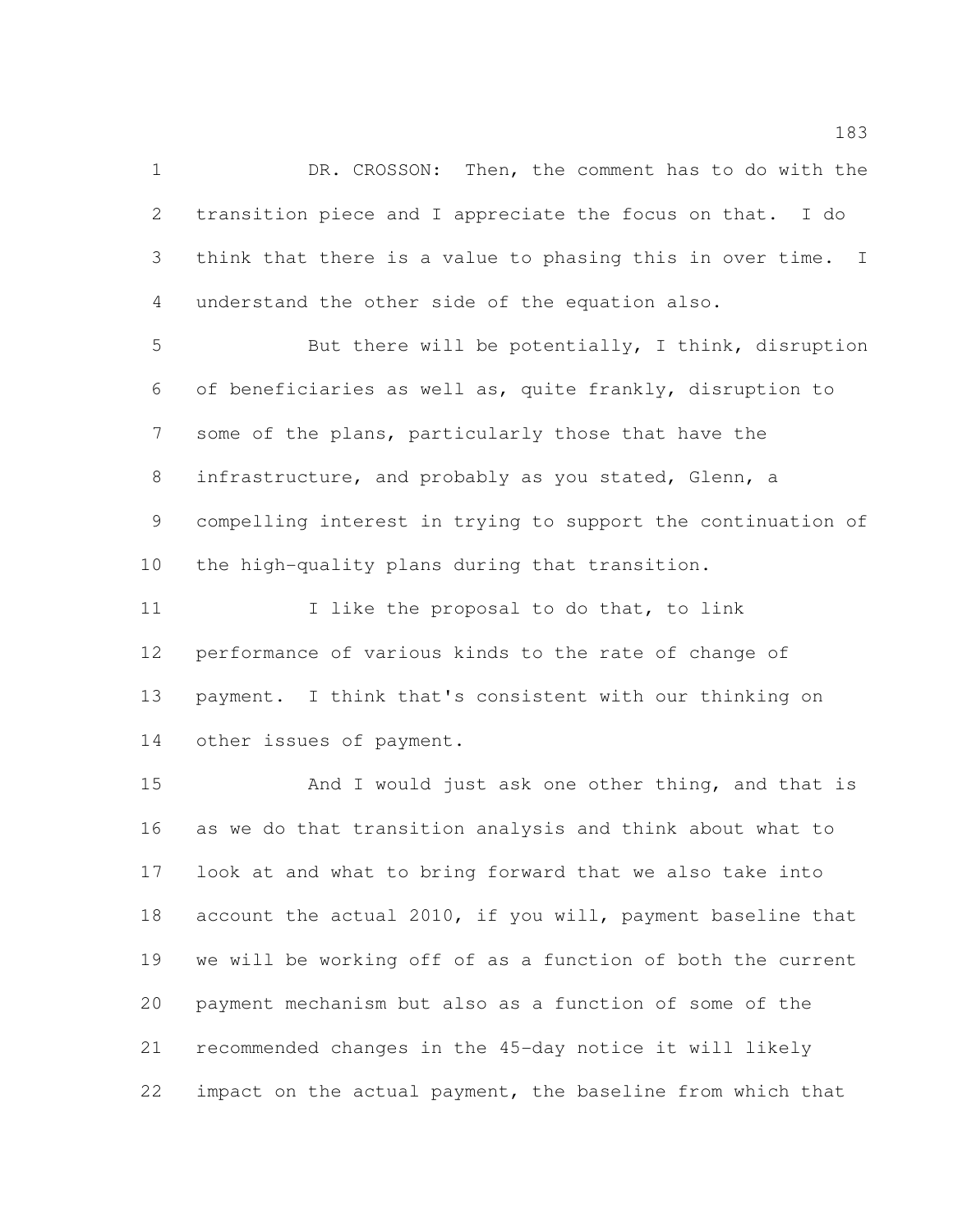DR. CROSSON: Then, the comment has to do with the transition piece and I appreciate the focus on that. I do think that there is a value to phasing this in over time. I understand the other side of the equation also.

 But there will be potentially, I think, disruption of beneficiaries as well as, quite frankly, disruption to some of the plans, particularly those that have the infrastructure, and probably as you stated, Glenn, a compelling interest in trying to support the continuation of the high-quality plans during that transition.

11 11 I like the proposal to do that, to link performance of various kinds to the rate of change of payment. I think that's consistent with our thinking on other issues of payment.

15 And I would just ask one other thing, and that is as we do that transition analysis and think about what to look at and what to bring forward that we also take into 18 account the actual 2010, if you will, payment baseline that we will be working off of as a function of both the current payment mechanism but also as a function of some of the recommended changes in the 45-day notice it will likely impact on the actual payment, the baseline from which that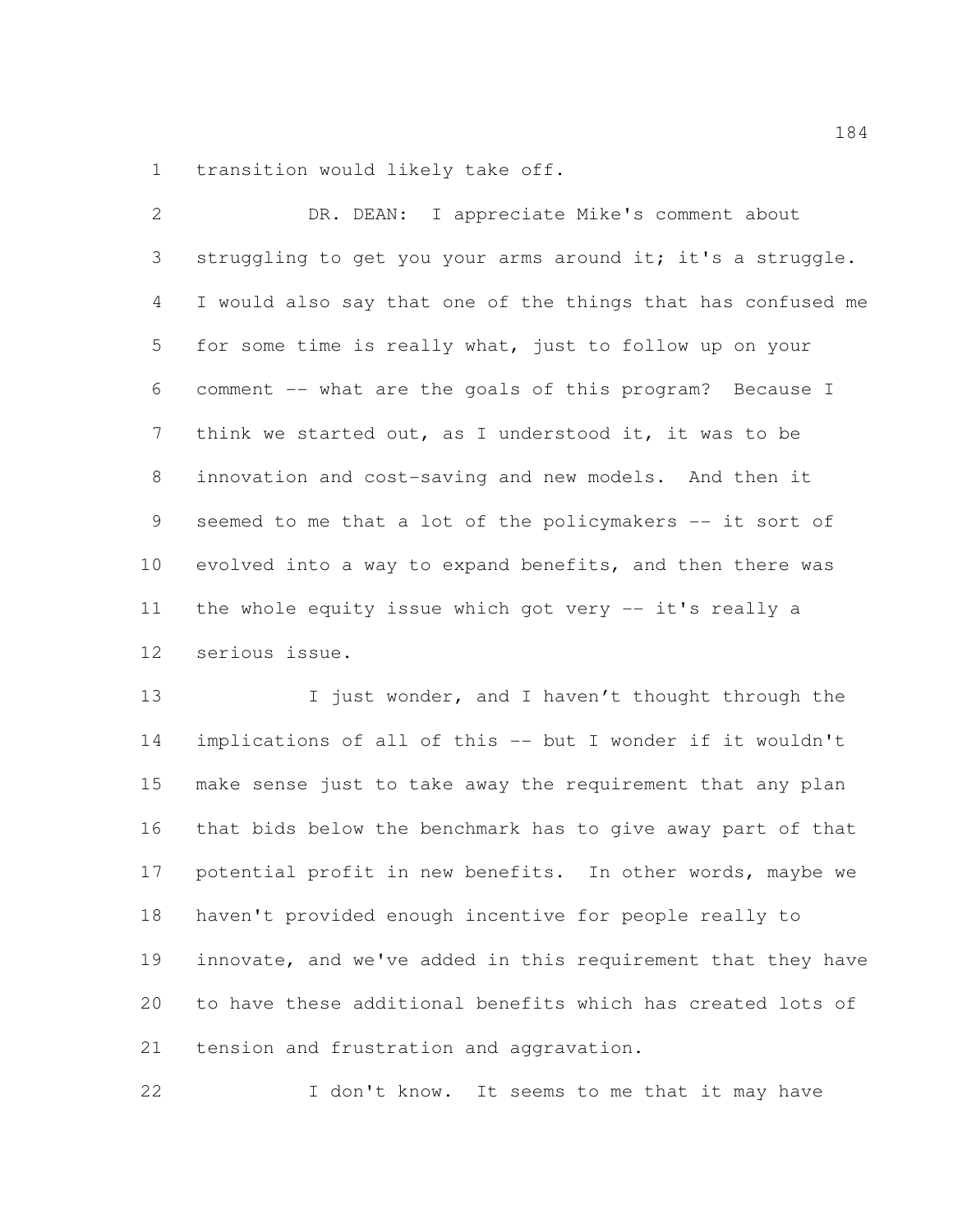transition would likely take off.

| 2               | DR. DEAN: I appreciate Mike's comment about                  |
|-----------------|--------------------------------------------------------------|
| 3               | struggling to get you your arms around it; it's a struggle.  |
| 4               | I would also say that one of the things that has confused me |
| 5               | for some time is really what, just to follow up on your      |
| 6               | comment -- what are the goals of this program? Because I     |
| $7\overline{ }$ | think we started out, as I understood it, it was to be       |
| 8               | innovation and cost-saving and new models. And then it       |
| 9               | seemed to me that a lot of the policymakers -- it sort of    |
| 10              | evolved into a way to expand benefits, and then there was    |
| 11              | the whole equity issue which got very -- it's really a       |
| 12              | serious issue.                                               |

13 I just wonder, and I haven't thought through the implications of all of this -- but I wonder if it wouldn't make sense just to take away the requirement that any plan that bids below the benchmark has to give away part of that potential profit in new benefits. In other words, maybe we haven't provided enough incentive for people really to innovate, and we've added in this requirement that they have to have these additional benefits which has created lots of tension and frustration and aggravation.

22 I don't know. It seems to me that it may have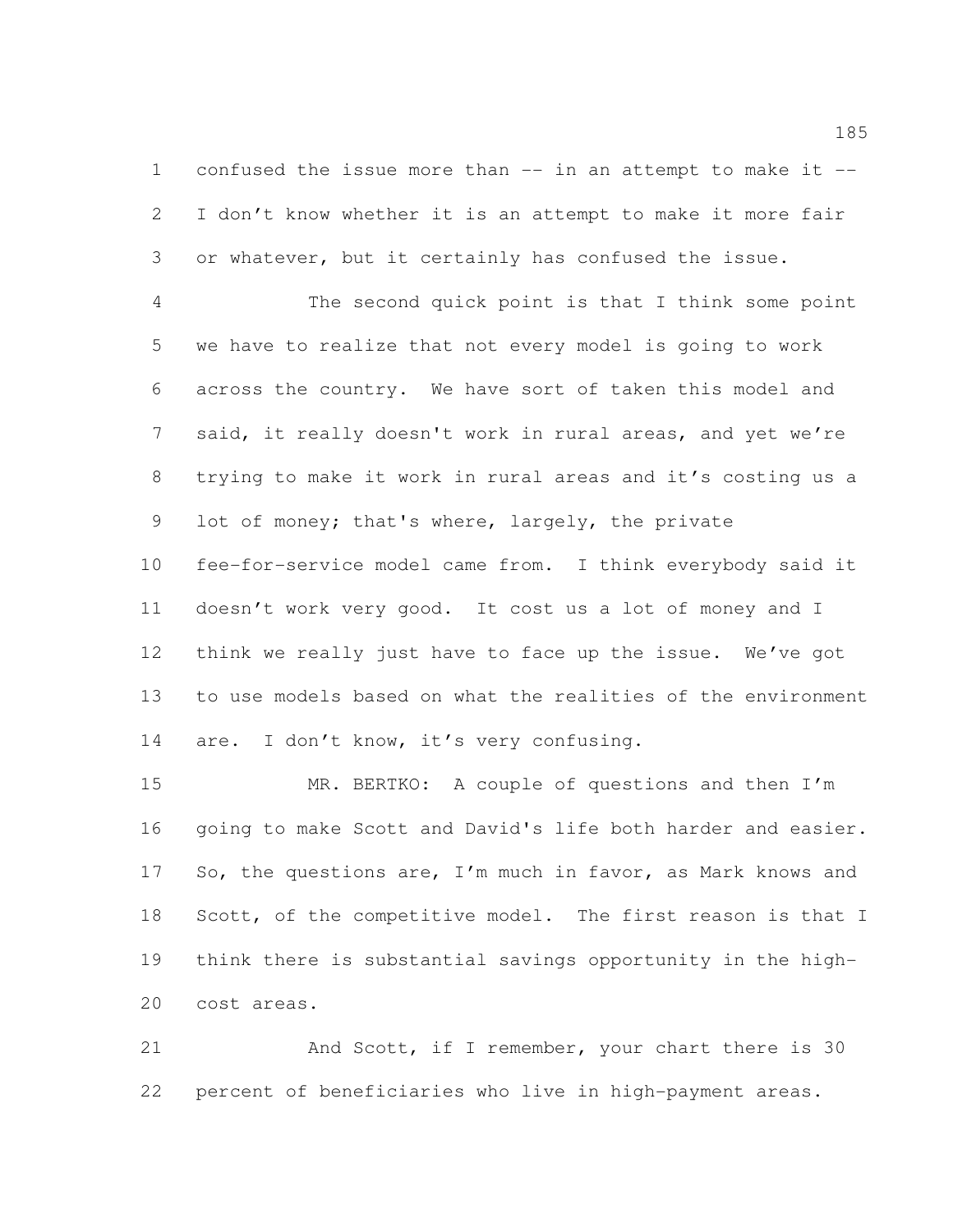confused the issue more than -- in an attempt to make it -- I don't know whether it is an attempt to make it more fair or whatever, but it certainly has confused the issue.

 The second quick point is that I think some point we have to realize that not every model is going to work across the country. We have sort of taken this model and said, it really doesn't work in rural areas, and yet we're trying to make it work in rural areas and it's costing us a lot of money; that's where, largely, the private fee-for-service model came from. I think everybody said it doesn't work very good. It cost us a lot of money and I think we really just have to face up the issue. We've got to use models based on what the realities of the environment 14 are. I don't know, it's very confusing.

 MR. BERTKO: A couple of questions and then I'm going to make Scott and David's life both harder and easier. 17 So, the questions are, I'm much in favor, as Mark knows and 18 Scott, of the competitive model. The first reason is that I think there is substantial savings opportunity in the high-cost areas.

21 And Scott, if I remember, your chart there is 30 percent of beneficiaries who live in high-payment areas.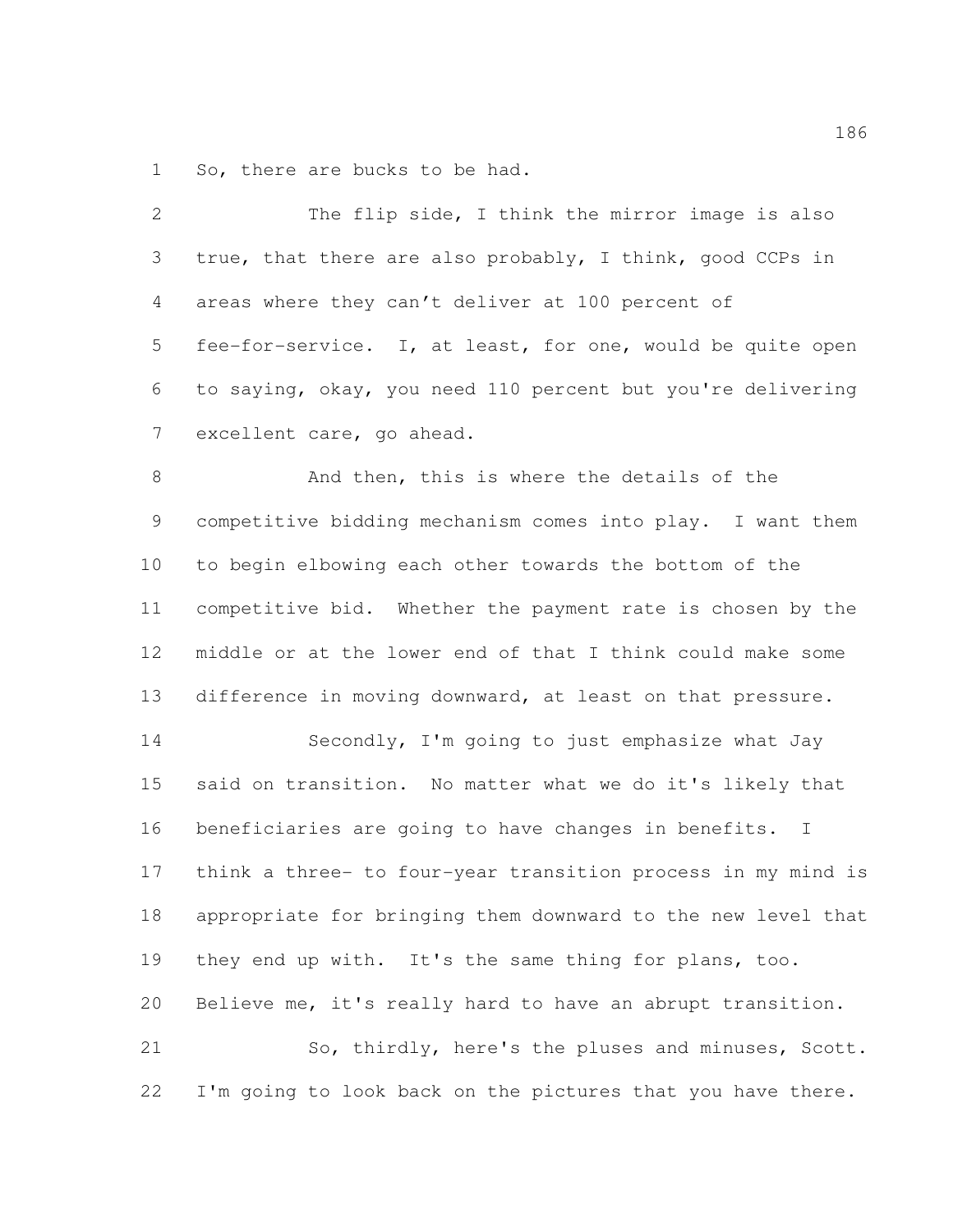So, there are bucks to be had.

| $\overline{2}$ | The flip side, I think the mirror image is also                      |
|----------------|----------------------------------------------------------------------|
| 3              | true, that there are also probably, I think, good CCPs in            |
| $\overline{4}$ | areas where they can't deliver at 100 percent of                     |
| 5              | fee-for-service. I, at least, for one, would be quite open           |
| 6              | to saying, okay, you need 110 percent but you're delivering          |
| $\overline{7}$ | excellent care, go ahead.                                            |
| 8              | And then, this is where the details of the                           |
| 9              | competitive bidding mechanism comes into play. I want them           |
| 10             | to begin elbowing each other towards the bottom of the               |
| 11             | competitive bid. Whether the payment rate is chosen by the           |
| 12             | middle or at the lower end of that I think could make some           |
| 13             | difference in moving downward, at least on that pressure.            |
| 14             | Secondly, I'm going to just emphasize what Jay                       |
| 15             | said on transition. No matter what we do it's likely that            |
| 16             | beneficiaries are going to have changes in benefits.<br>$\mathbf{I}$ |
| 17             | think a three- to four-year transition process in my mind is         |
| 18             | appropriate for bringing them downward to the new level that         |
| 19             | they end up with. It's the same thing for plans, too.                |
| 20             | Believe me, it's really hard to have an abrupt transition.           |
| 21             | So, thirdly, here's the pluses and minuses, Scott.                   |
| 22             | I'm going to look back on the pictures that you have there.          |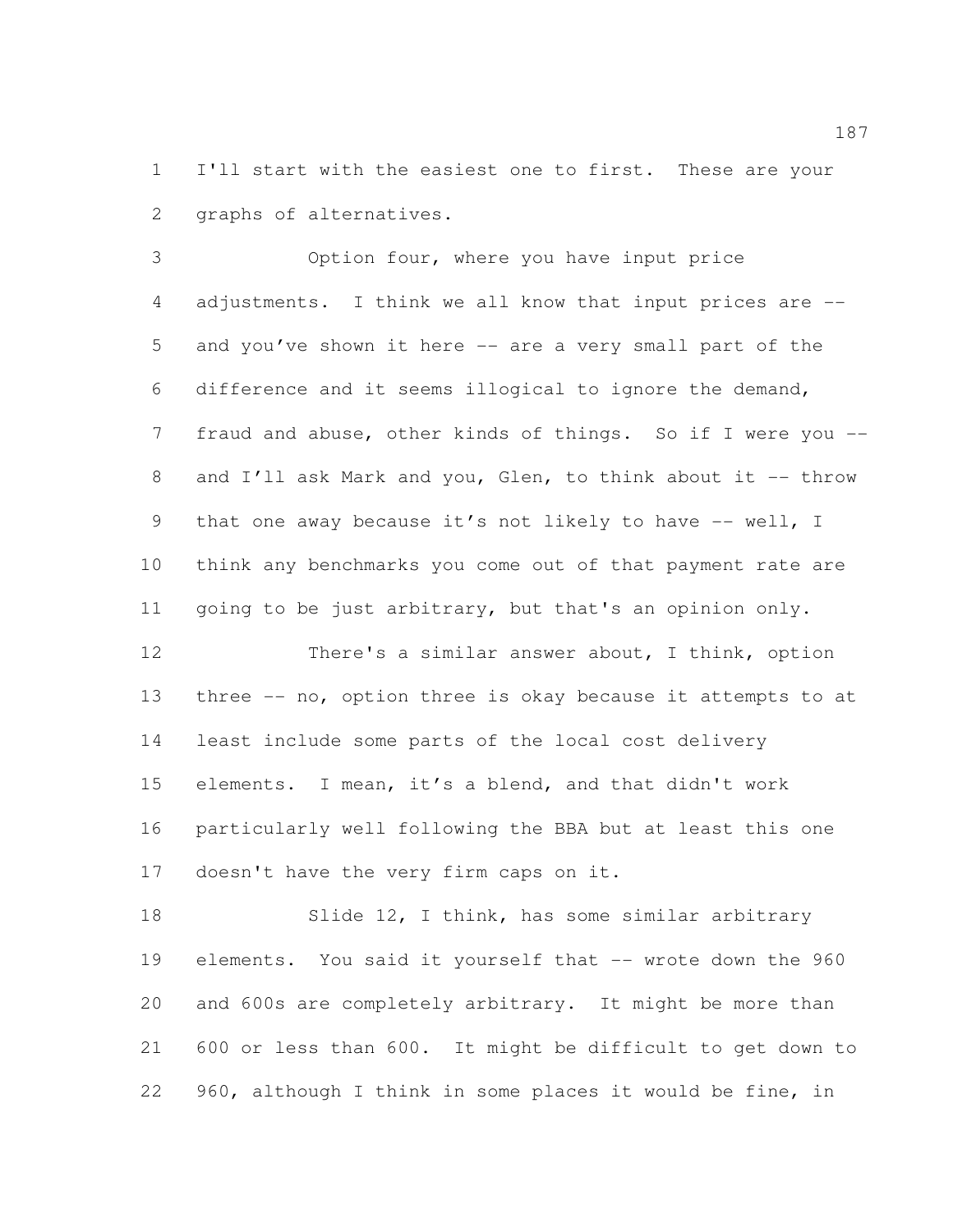I'll start with the easiest one to first. These are your graphs of alternatives.

 Option four, where you have input price adjustments. I think we all know that input prices are -- and you've shown it here -- are a very small part of the difference and it seems illogical to ignore the demand, fraud and abuse, other kinds of things. So if I were you -- 8 and I'll ask Mark and you, Glen, to think about it -- throw 9 that one away because it's not likely to have -- well, I think any benchmarks you come out of that payment rate are going to be just arbitrary, but that's an opinion only.

 There's a similar answer about, I think, option three -- no, option three is okay because it attempts to at least include some parts of the local cost delivery elements. I mean, it's a blend, and that didn't work particularly well following the BBA but at least this one doesn't have the very firm caps on it.

18 Slide 12, I think, has some similar arbitrary elements. You said it yourself that -- wrote down the 960 and 600s are completely arbitrary. It might be more than 600 or less than 600. It might be difficult to get down to 960, although I think in some places it would be fine, in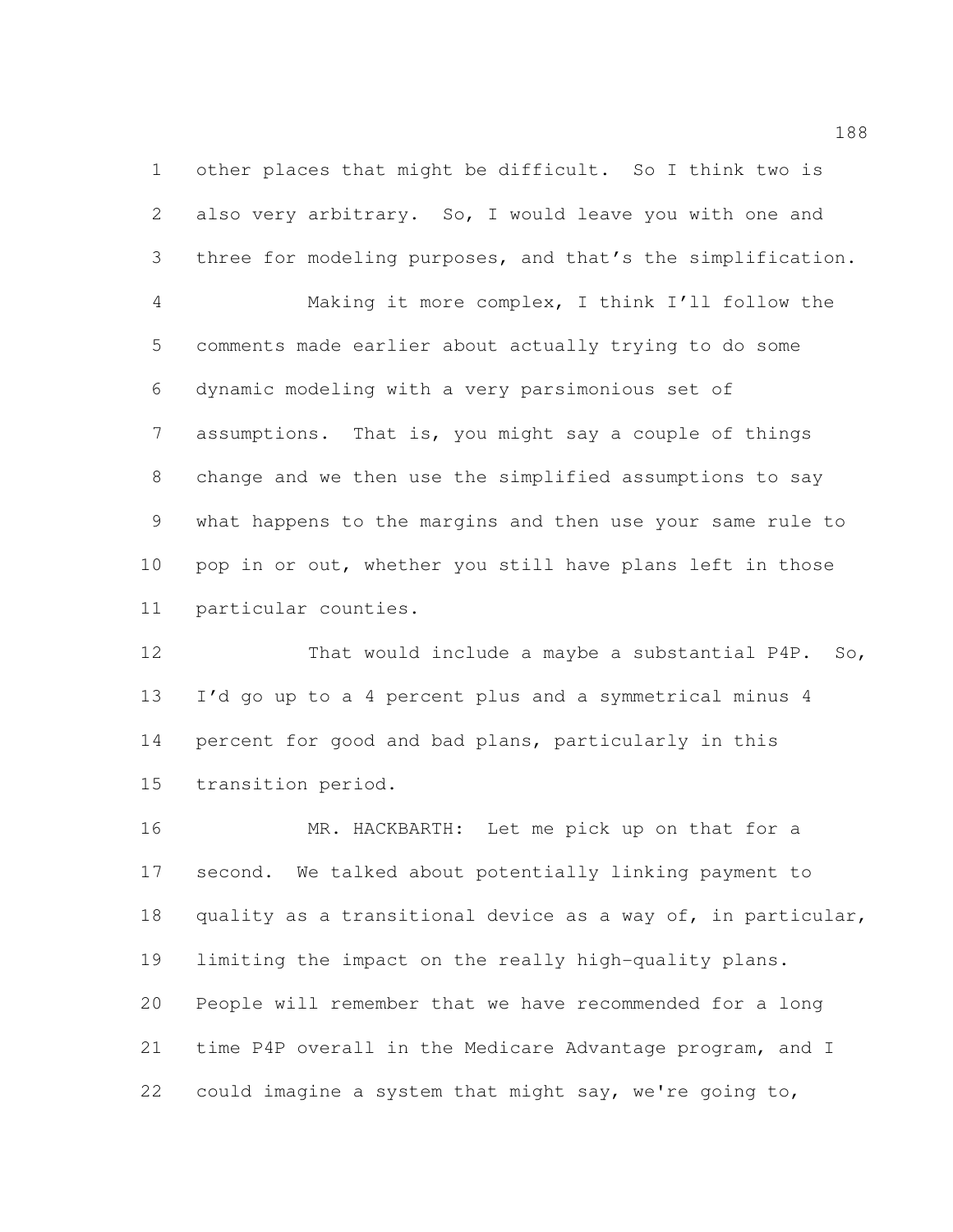other places that might be difficult. So I think two is also very arbitrary. So, I would leave you with one and three for modeling purposes, and that's the simplification.

 Making it more complex, I think I'll follow the comments made earlier about actually trying to do some dynamic modeling with a very parsimonious set of assumptions. That is, you might say a couple of things change and we then use the simplified assumptions to say what happens to the margins and then use your same rule to pop in or out, whether you still have plans left in those particular counties.

 That would include a maybe a substantial P4P. So, I'd go up to a 4 percent plus and a symmetrical minus 4 percent for good and bad plans, particularly in this transition period.

 MR. HACKBARTH: Let me pick up on that for a second. We talked about potentially linking payment to quality as a transitional device as a way of, in particular, limiting the impact on the really high-quality plans. People will remember that we have recommended for a long time P4P overall in the Medicare Advantage program, and I could imagine a system that might say, we're going to,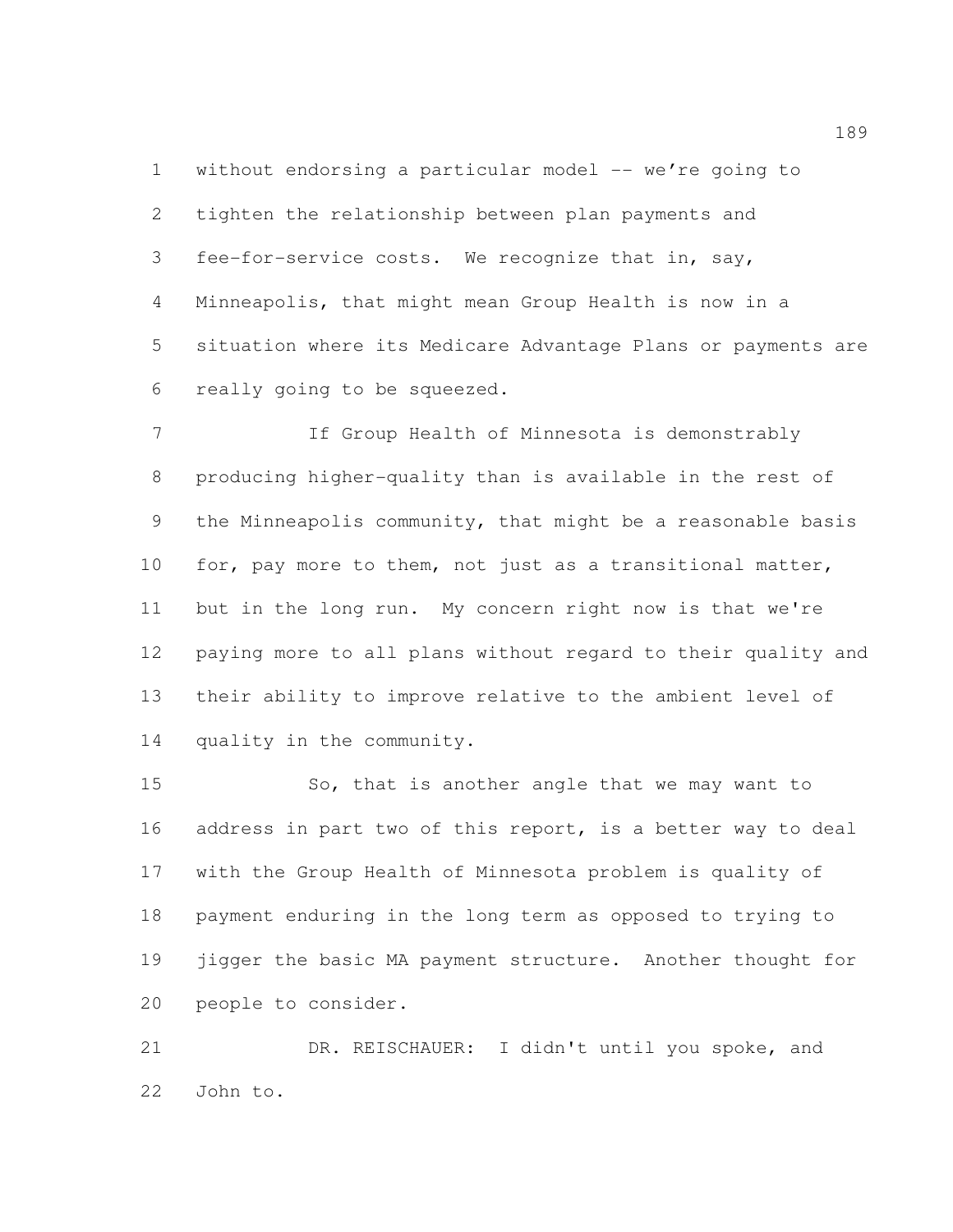1 without endorsing a particular model -- we're going to tighten the relationship between plan payments and fee-for-service costs. We recognize that in, say, Minneapolis, that might mean Group Health is now in a situation where its Medicare Advantage Plans or payments are really going to be squeezed.

 If Group Health of Minnesota is demonstrably producing higher-quality than is available in the rest of the Minneapolis community, that might be a reasonable basis for, pay more to them, not just as a transitional matter, but in the long run. My concern right now is that we're paying more to all plans without regard to their quality and their ability to improve relative to the ambient level of quality in the community.

15 So, that is another angle that we may want to address in part two of this report, is a better way to deal with the Group Health of Minnesota problem is quality of payment enduring in the long term as opposed to trying to 19 jigger the basic MA payment structure. Another thought for people to consider.

 DR. REISCHAUER: I didn't until you spoke, and John to.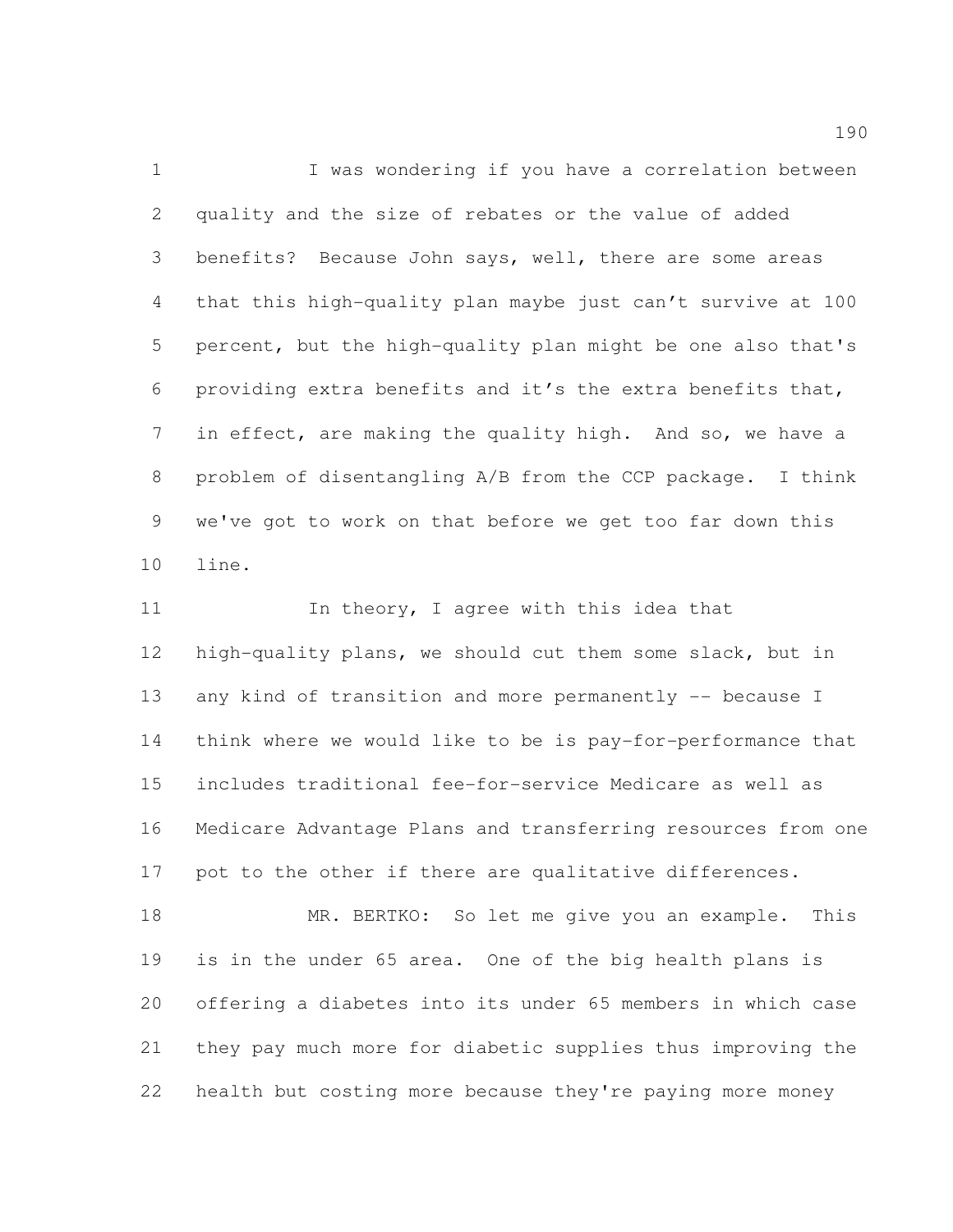1 I was wondering if you have a correlation between quality and the size of rebates or the value of added benefits? Because John says, well, there are some areas that this high-quality plan maybe just can't survive at 100 percent, but the high-quality plan might be one also that's providing extra benefits and it's the extra benefits that, in effect, are making the quality high. And so, we have a problem of disentangling A/B from the CCP package. I think we've got to work on that before we get too far down this line.

11 In theory, I agree with this idea that high-quality plans, we should cut them some slack, but in 13 any kind of transition and more permanently -- because I think where we would like to be is pay-for-performance that includes traditional fee-for-service Medicare as well as Medicare Advantage Plans and transferring resources from one pot to the other if there are qualitative differences.

18 MR. BERTKO: So let me give you an example. This is in the under 65 area. One of the big health plans is offering a diabetes into its under 65 members in which case they pay much more for diabetic supplies thus improving the health but costing more because they're paying more money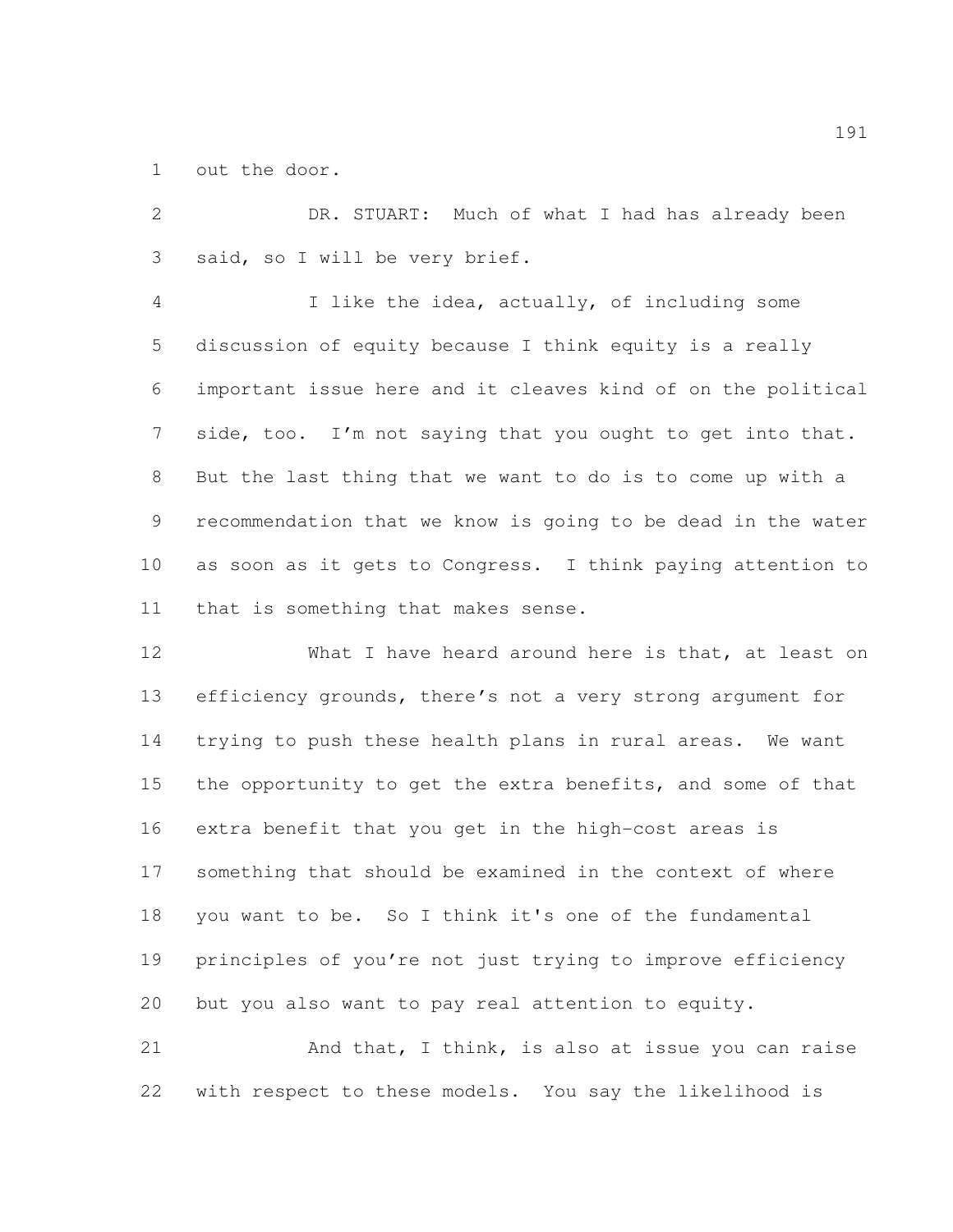out the door.

 DR. STUART: Much of what I had has already been said, so I will be very brief.

 I like the idea, actually, of including some discussion of equity because I think equity is a really important issue here and it cleaves kind of on the political 7 side, too. I'm not saying that you ought to get into that. But the last thing that we want to do is to come up with a recommendation that we know is going to be dead in the water as soon as it gets to Congress. I think paying attention to that is something that makes sense.

12 What I have heard around here is that, at least on efficiency grounds, there's not a very strong argument for trying to push these health plans in rural areas. We want 15 the opportunity to get the extra benefits, and some of that extra benefit that you get in the high-cost areas is something that should be examined in the context of where you want to be. So I think it's one of the fundamental principles of you're not just trying to improve efficiency but you also want to pay real attention to equity.

21 And that, I think, is also at issue you can raise with respect to these models. You say the likelihood is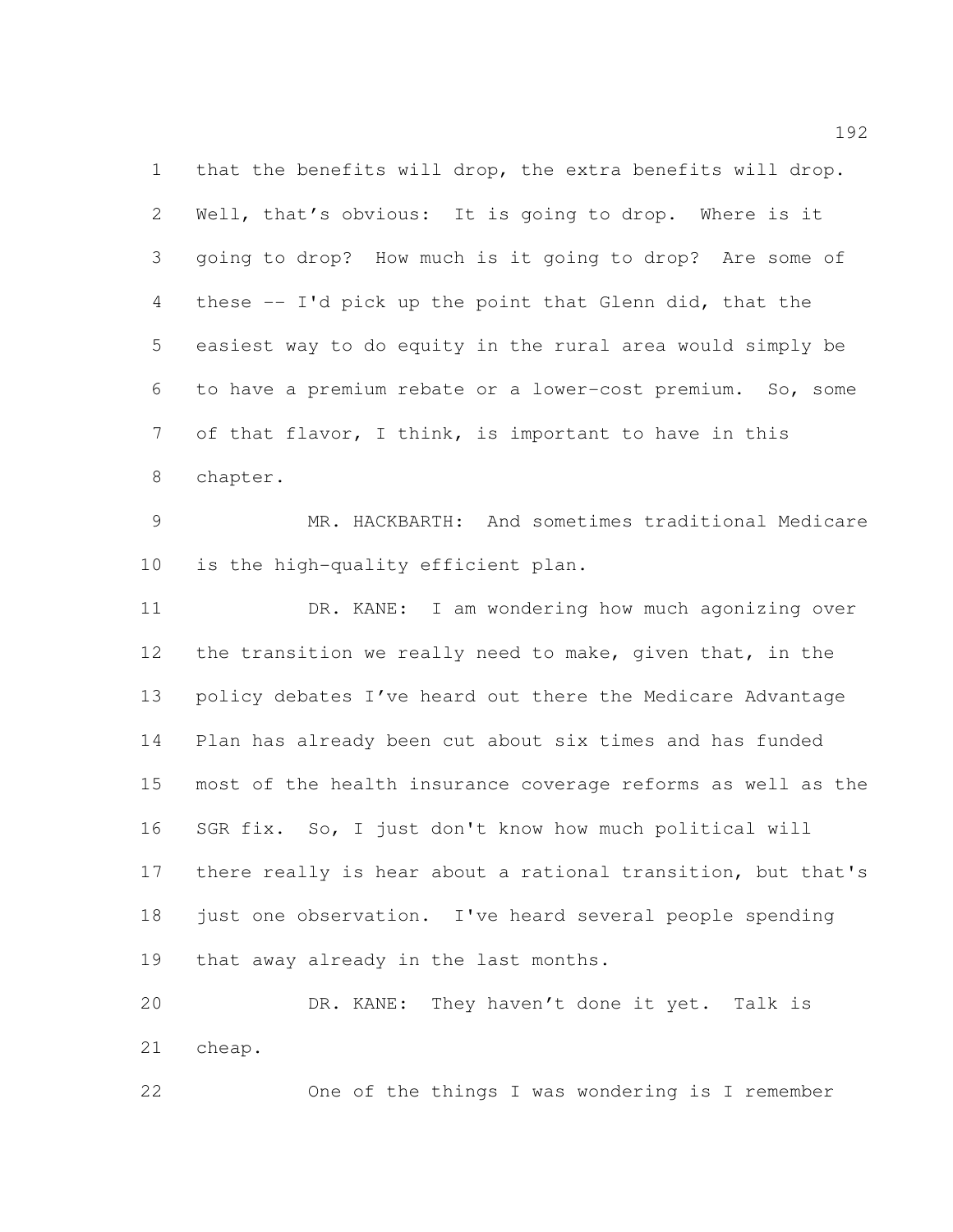that the benefits will drop, the extra benefits will drop. Well, that's obvious: It is going to drop. Where is it going to drop? How much is it going to drop? Are some of these -- I'd pick up the point that Glenn did, that the easiest way to do equity in the rural area would simply be to have a premium rebate or a lower-cost premium. So, some of that flavor, I think, is important to have in this chapter.

 MR. HACKBARTH: And sometimes traditional Medicare is the high-quality efficient plan.

 DR. KANE: I am wondering how much agonizing over 12 the transition we really need to make, given that, in the policy debates I've heard out there the Medicare Advantage Plan has already been cut about six times and has funded most of the health insurance coverage reforms as well as the SGR fix. So, I just don't know how much political will there really is hear about a rational transition, but that's just one observation. I've heard several people spending that away already in the last months.

 DR. KANE: They haven't done it yet. Talk is cheap.

One of the things I was wondering is I remember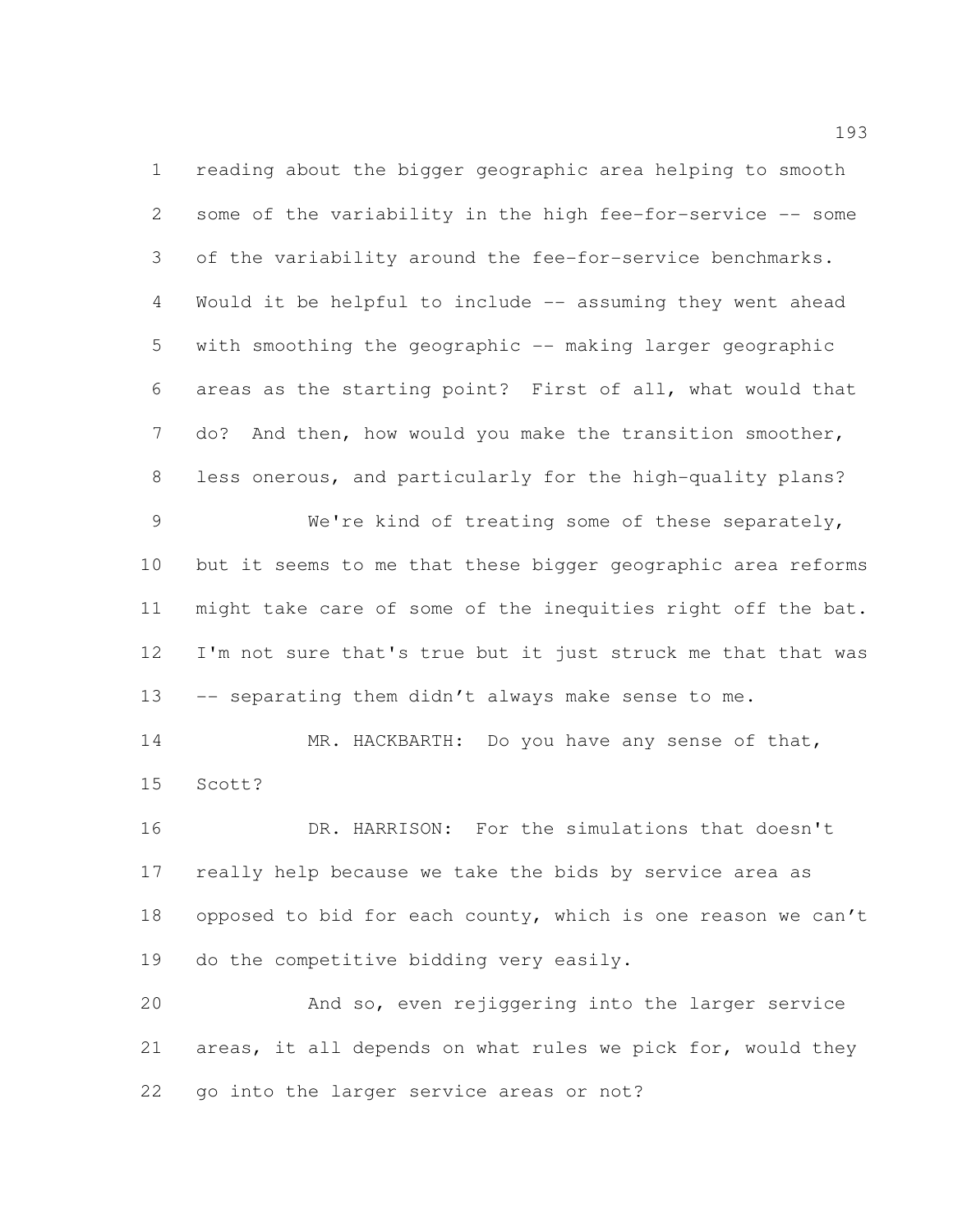reading about the bigger geographic area helping to smooth some of the variability in the high fee-for-service -- some of the variability around the fee-for-service benchmarks. Would it be helpful to include -- assuming they went ahead with smoothing the geographic -- making larger geographic areas as the starting point? First of all, what would that do? And then, how would you make the transition smoother, less onerous, and particularly for the high-quality plans?

 We're kind of treating some of these separately, but it seems to me that these bigger geographic area reforms might take care of some of the inequities right off the bat. I'm not sure that's true but it just struck me that that was 13 -- separating them didn't always make sense to me.

 MR. HACKBARTH: Do you have any sense of that, Scott?

 DR. HARRISON: For the simulations that doesn't really help because we take the bids by service area as opposed to bid for each county, which is one reason we can't 19 do the competitive bidding very easily.

 And so, even rejiggering into the larger service areas, it all depends on what rules we pick for, would they go into the larger service areas or not?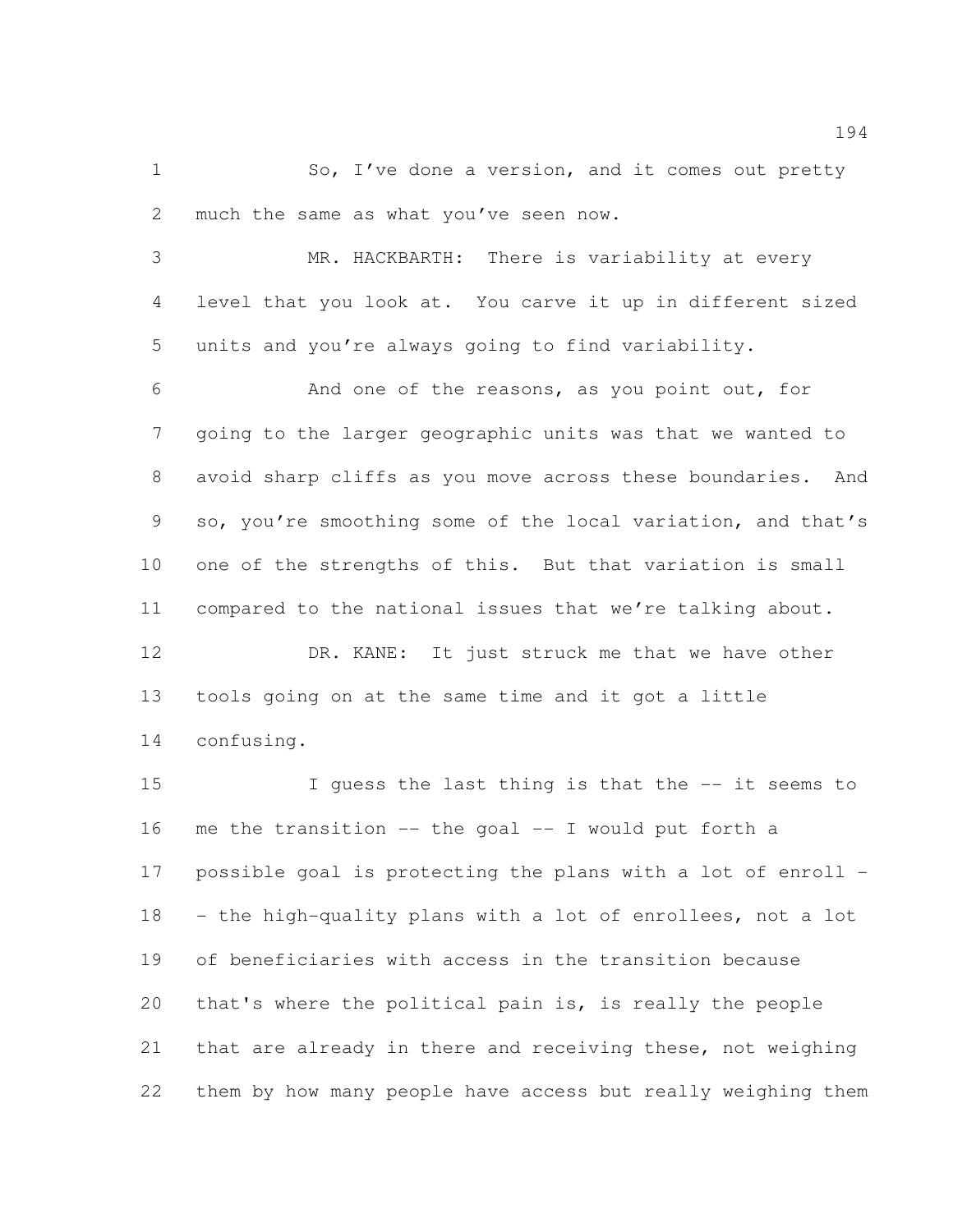1 So, I've done a version, and it comes out pretty much the same as what you've seen now.

 MR. HACKBARTH: There is variability at every level that you look at. You carve it up in different sized units and you're always going to find variability.

 And one of the reasons, as you point out, for going to the larger geographic units was that we wanted to avoid sharp cliffs as you move across these boundaries. And so, you're smoothing some of the local variation, and that's one of the strengths of this. But that variation is small compared to the national issues that we're talking about.

 DR. KANE: It just struck me that we have other tools going on at the same time and it got a little confusing.

 I guess the last thing is that the -- it seems to me the transition -- the goal -- I would put forth a possible goal is protecting the plans with a lot of enroll - - the high-quality plans with a lot of enrollees, not a lot of beneficiaries with access in the transition because that's where the political pain is, is really the people that are already in there and receiving these, not weighing them by how many people have access but really weighing them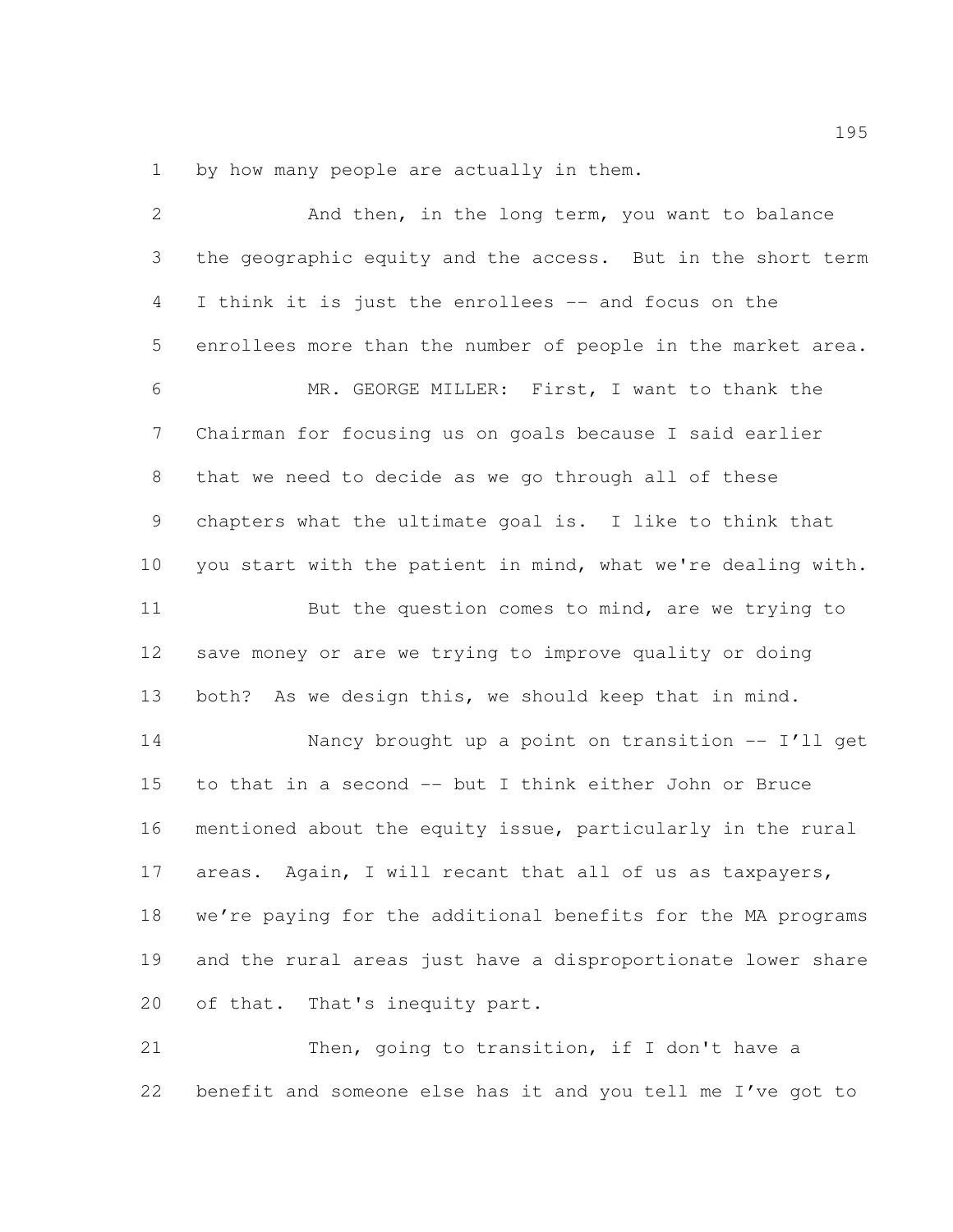by how many people are actually in them.

| $\overline{2}$ | And then, in the long term, you want to balance              |
|----------------|--------------------------------------------------------------|
| 3              | the geographic equity and the access. But in the short term  |
| $\overline{4}$ | I think it is just the enrollees -- and focus on the         |
| 5              | enrollees more than the number of people in the market area. |
| 6              | MR. GEORGE MILLER: First, I want to thank the                |
| $7\phantom{.}$ | Chairman for focusing us on goals because I said earlier     |
| 8              | that we need to decide as we go through all of these         |
| 9              | chapters what the ultimate goal is. I like to think that     |
| 10             | you start with the patient in mind, what we're dealing with. |
| 11             | But the question comes to mind, are we trying to             |
| 12             | save money or are we trying to improve quality or doing      |
| 13             | both? As we design this, we should keep that in mind.        |
| 14             | Nancy brought up a point on transition -- I'll get           |
| 15             | to that in a second -- but I think either John or Bruce      |
| 16             | mentioned about the equity issue, particularly in the rural  |
| 17             | areas. Again, I will recant that all of us as taxpayers,     |
| 18             | we're paying for the additional benefits for the MA programs |
| 19             | and the rural areas just have a disproportionate lower share |
| 20             | of that. That's inequity part.                               |
| 21             | Then, going to transition, if I don't have a                 |

benefit and someone else has it and you tell me I've got to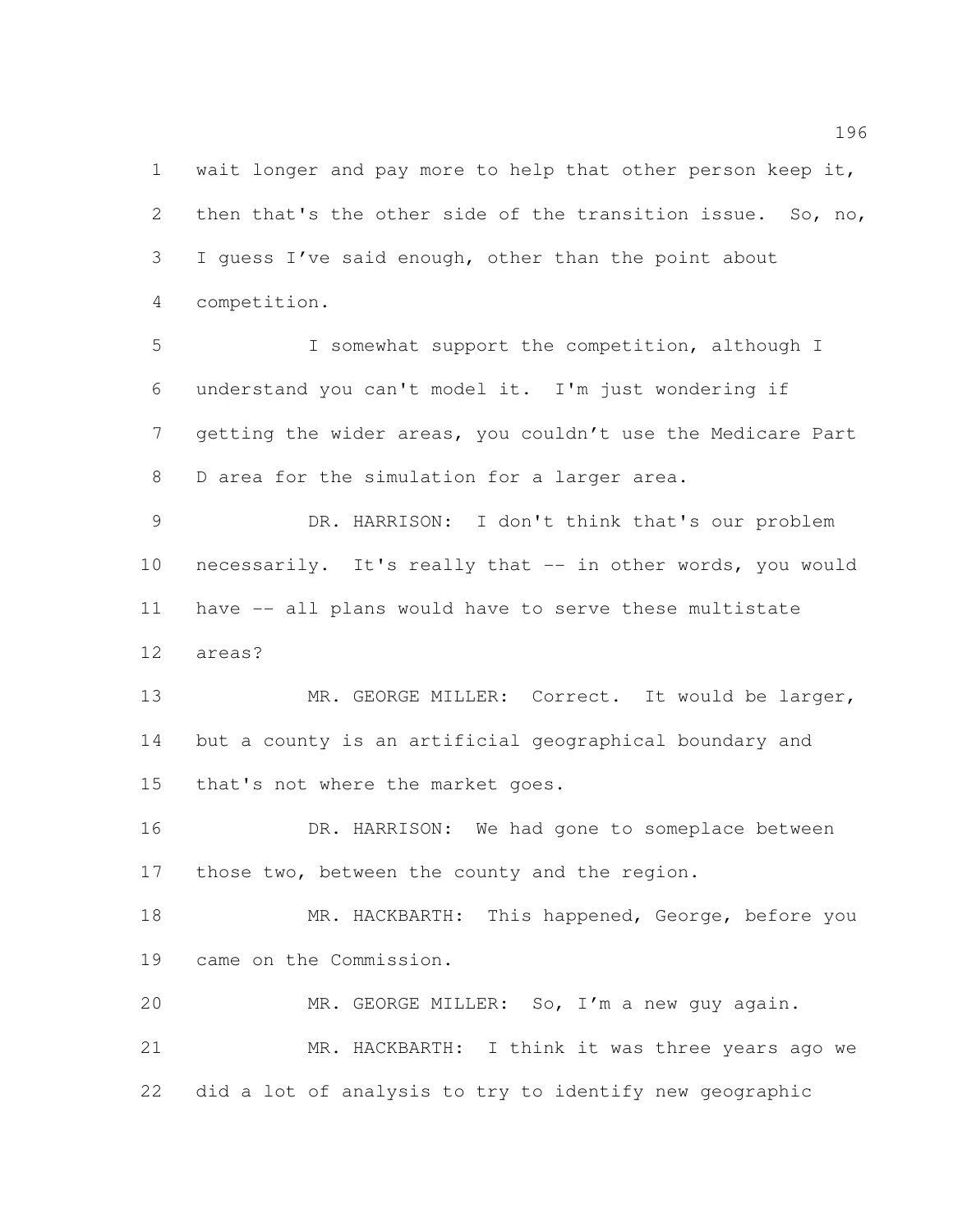1 wait longer and pay more to help that other person keep it, 2 then that's the other side of the transition issue. So, no, I guess I've said enough, other than the point about competition.

 I somewhat support the competition, although I understand you can't model it. I'm just wondering if getting the wider areas, you couldn't use the Medicare Part 8 D area for the simulation for a larger area.

 DR. HARRISON: I don't think that's our problem necessarily. It's really that -- in other words, you would have -- all plans would have to serve these multistate areas?

13 MR. GEORGE MILLER: Correct. It would be larger, but a county is an artificial geographical boundary and that's not where the market goes.

 DR. HARRISON: We had gone to someplace between 17 those two, between the county and the region.

18 MR. HACKBARTH: This happened, George, before you came on the Commission.

 MR. GEORGE MILLER: So, I'm a new guy again. MR. HACKBARTH: I think it was three years ago we did a lot of analysis to try to identify new geographic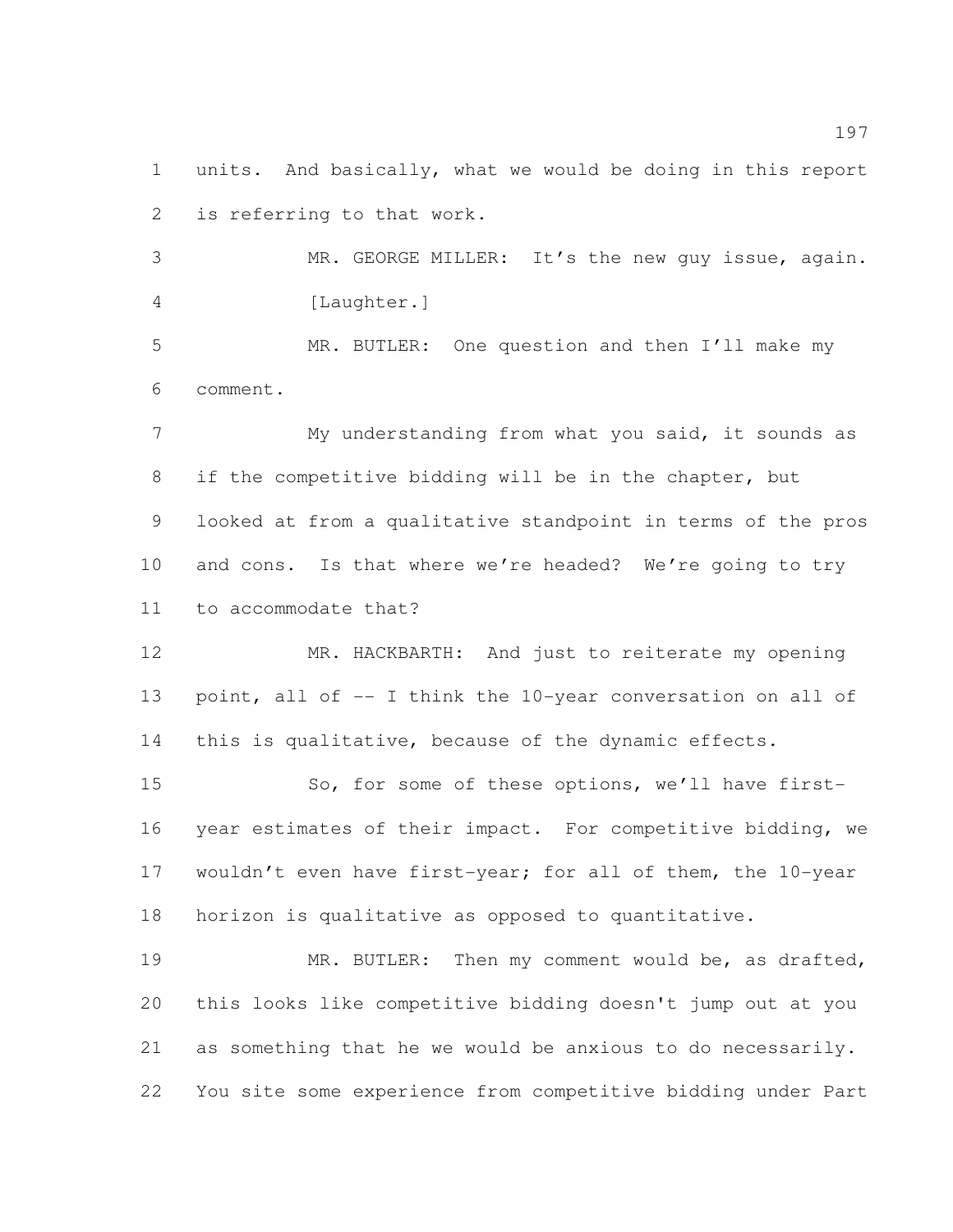units. And basically, what we would be doing in this report is referring to that work.

 MR. GEORGE MILLER: It's the new guy issue, again. 4 [Laughter.]

 MR. BUTLER: One question and then I'll make my comment.

7 My understanding from what you said, it sounds as if the competitive bidding will be in the chapter, but looked at from a qualitative standpoint in terms of the pros 10 and cons. Is that where we're headed? We're going to try to accommodate that?

 MR. HACKBARTH: And just to reiterate my opening 13 point, all of -- I think the 10-year conversation on all of this is qualitative, because of the dynamic effects.

15 So, for some of these options, we'll have first- year estimates of their impact. For competitive bidding, we 17 wouldn't even have first-year; for all of them, the 10-year horizon is qualitative as opposed to quantitative.

 MR. BUTLER: Then my comment would be, as drafted, this looks like competitive bidding doesn't jump out at you as something that he we would be anxious to do necessarily. You site some experience from competitive bidding under Part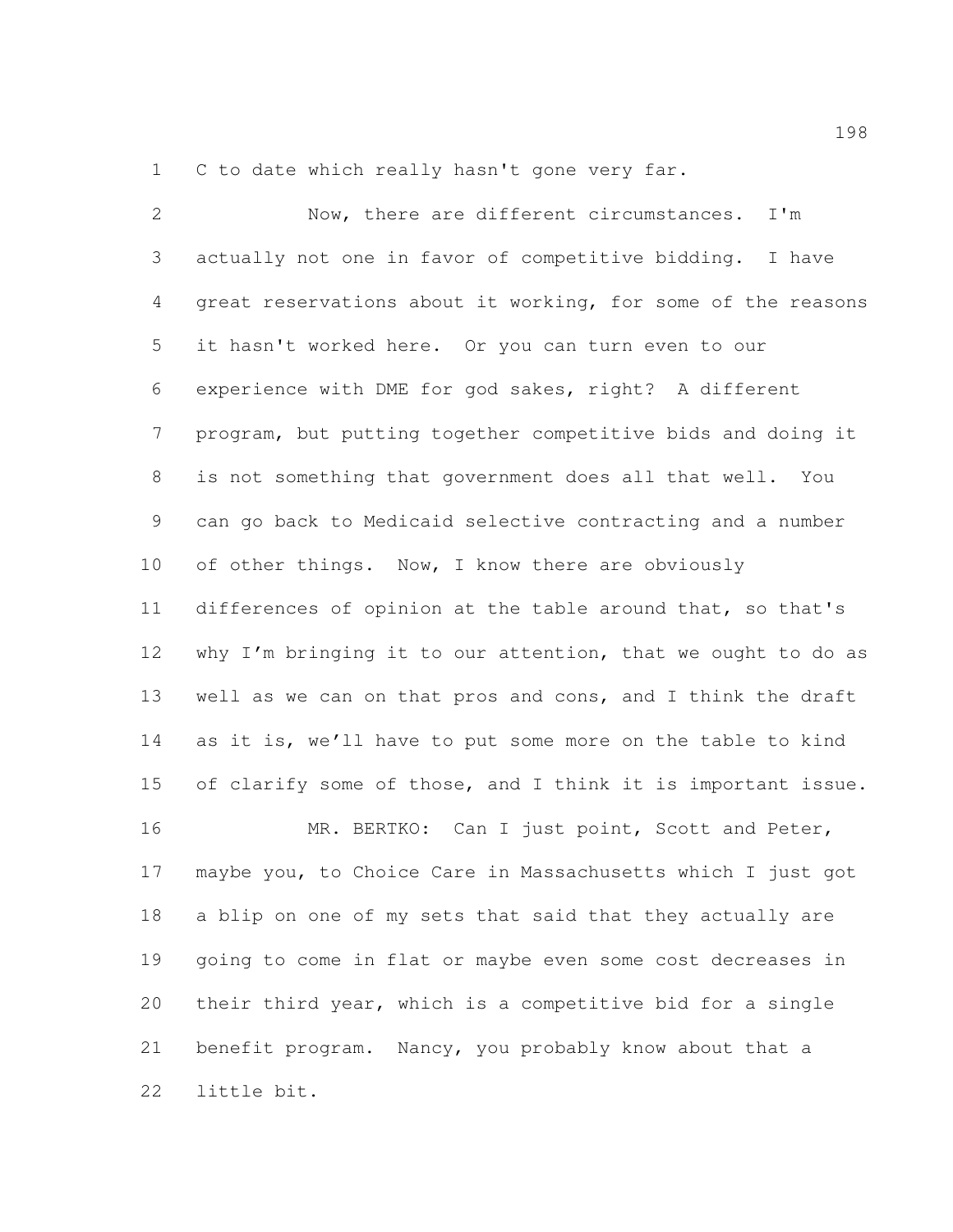1 C to date which really hasn't gone very far.

 Now, there are different circumstances. I'm actually not one in favor of competitive bidding. I have great reservations about it working, for some of the reasons it hasn't worked here. Or you can turn even to our experience with DME for god sakes, right? A different program, but putting together competitive bids and doing it is not something that government does all that well. You can go back to Medicaid selective contracting and a number 10 of other things. Now, I know there are obviously differences of opinion at the table around that, so that's why I'm bringing it to our attention, that we ought to do as well as we can on that pros and cons, and I think the draft as it is, we'll have to put some more on the table to kind of clarify some of those, and I think it is important issue. MR. BERTKO: Can I just point, Scott and Peter, maybe you, to Choice Care in Massachusetts which I just got a blip on one of my sets that said that they actually are going to come in flat or maybe even some cost decreases in their third year, which is a competitive bid for a single benefit program. Nancy, you probably know about that a little bit.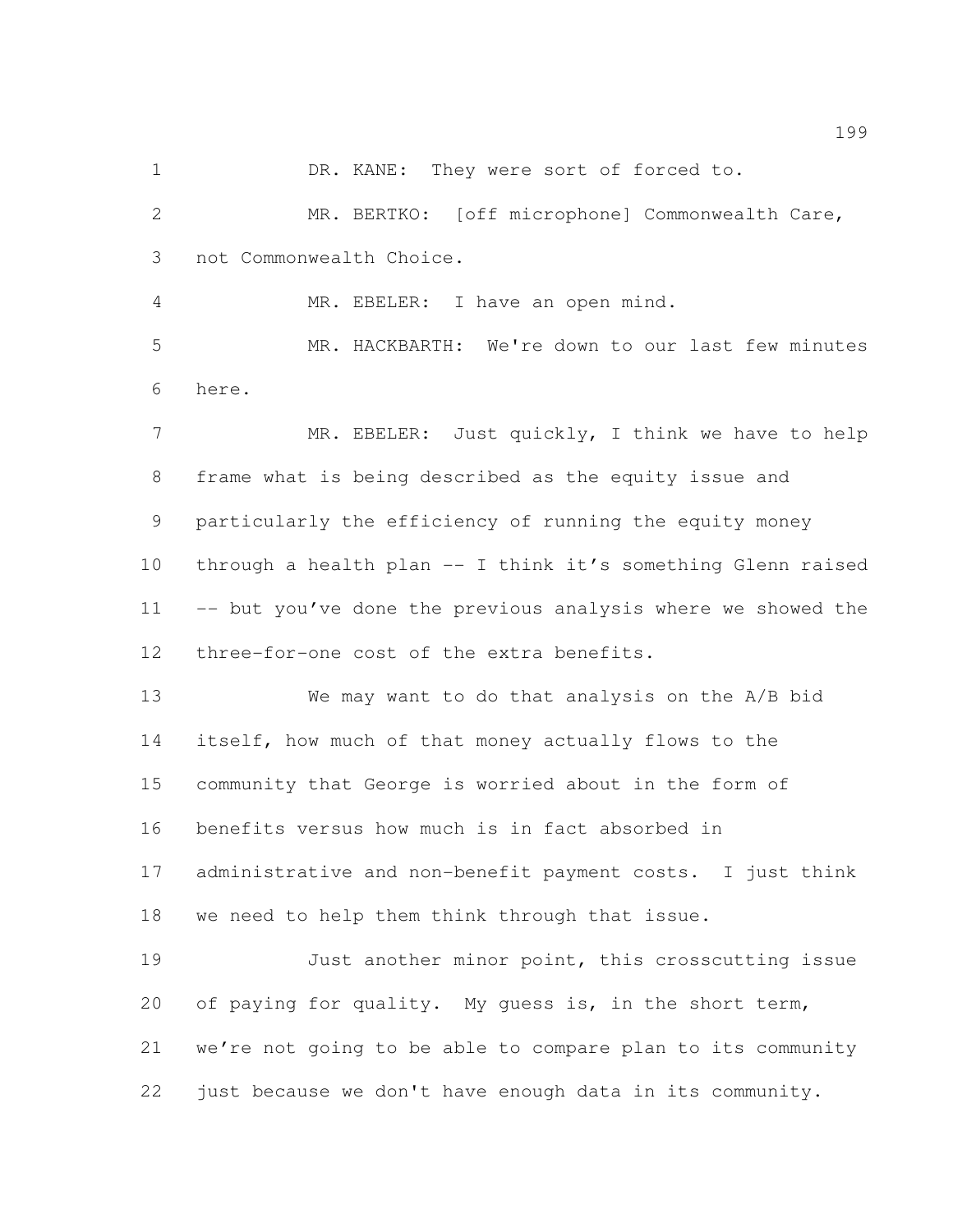1 DR. KANE: They were sort of forced to.

 MR. BERTKO: [off microphone] Commonwealth Care, not Commonwealth Choice.

MR. EBELER: I have an open mind.

 MR. HACKBARTH: We're down to our last few minutes here.

7 MR. EBELER: Just quickly, I think we have to help frame what is being described as the equity issue and particularly the efficiency of running the equity money through a health plan -- I think it's something Glenn raised -- but you've done the previous analysis where we showed the three-for-one cost of the extra benefits.

 We may want to do that analysis on the A/B bid itself, how much of that money actually flows to the community that George is worried about in the form of benefits versus how much is in fact absorbed in administrative and non-benefit payment costs. I just think we need to help them think through that issue.

 Just another minor point, this crosscutting issue 20 of paying for quality. My quess is, in the short term, we're not going to be able to compare plan to its community just because we don't have enough data in its community.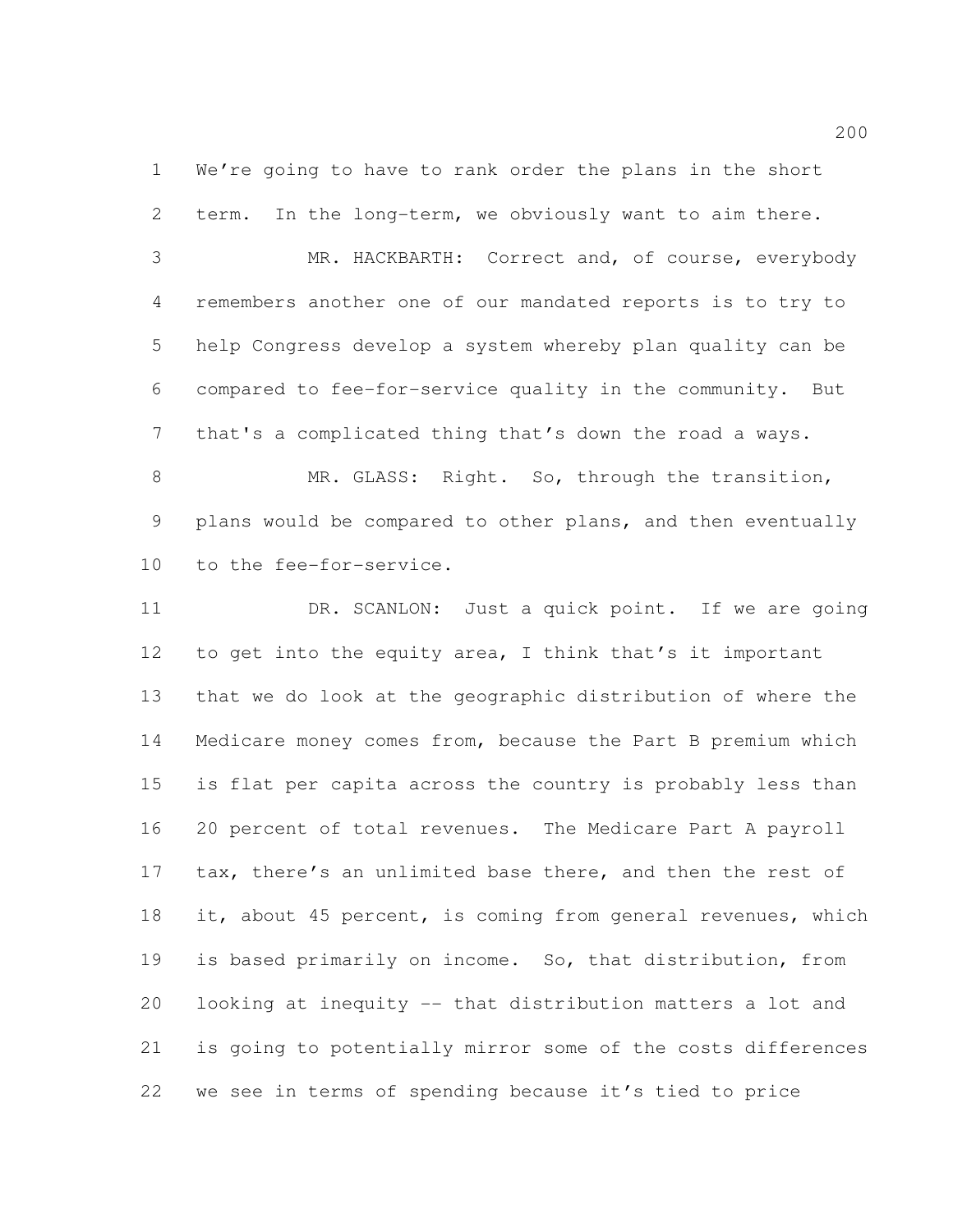We're going to have to rank order the plans in the short term. In the long-term, we obviously want to aim there.

 MR. HACKBARTH: Correct and, of course, everybody remembers another one of our mandated reports is to try to help Congress develop a system whereby plan quality can be compared to fee-for-service quality in the community. But that's a complicated thing that's down the road a ways.

8 MR. GLASS: Right. So, through the transition, plans would be compared to other plans, and then eventually to the fee-for-service.

 DR. SCANLON: Just a quick point. If we are going to get into the equity area, I think that's it important that we do look at the geographic distribution of where the Medicare money comes from, because the Part B premium which is flat per capita across the country is probably less than 20 percent of total revenues. The Medicare Part A payroll 17 tax, there's an unlimited base there, and then the rest of 18 it, about 45 percent, is coming from general revenues, which is based primarily on income. So, that distribution, from looking at inequity -- that distribution matters a lot and is going to potentially mirror some of the costs differences we see in terms of spending because it's tied to price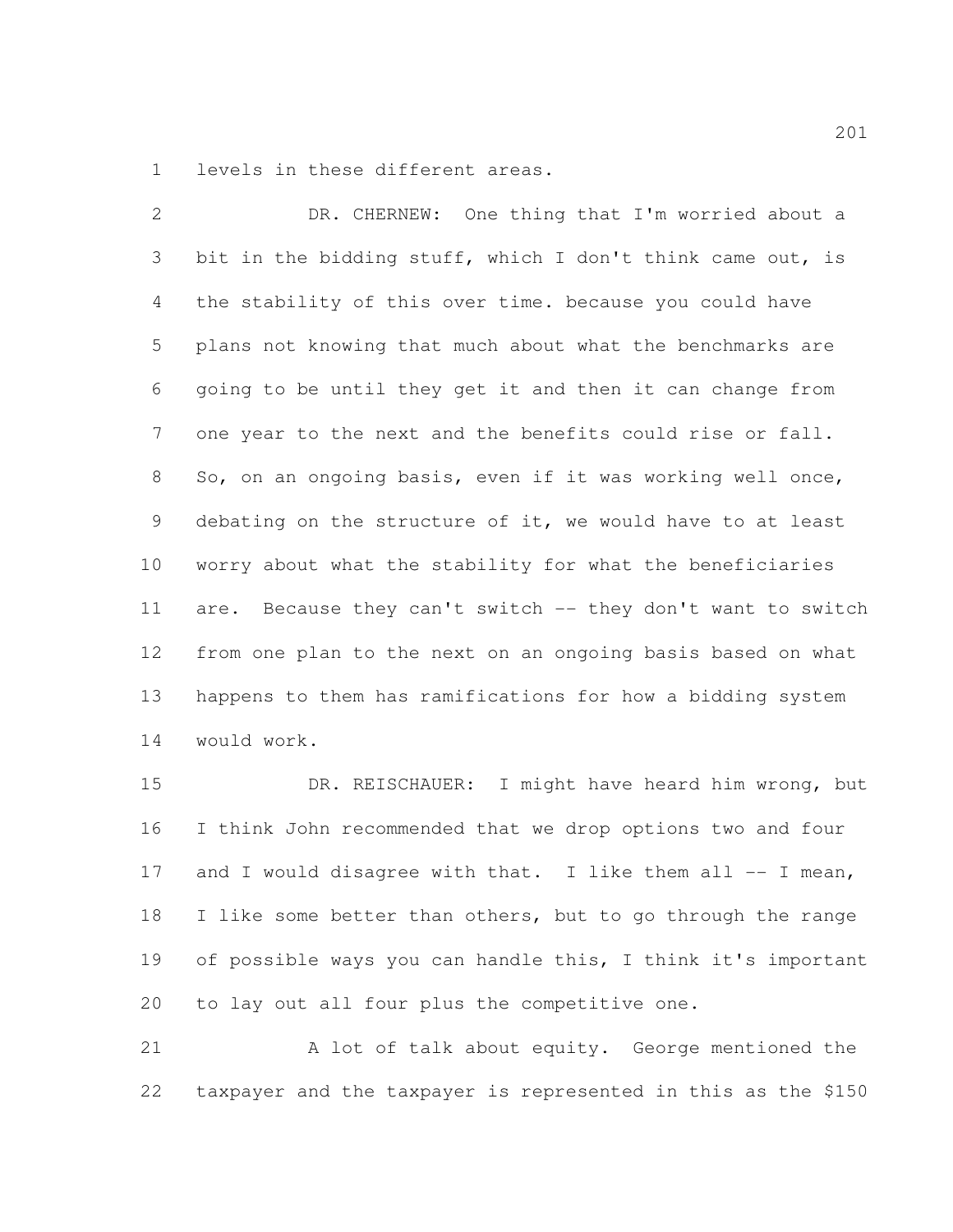levels in these different areas.

 DR. CHERNEW: One thing that I'm worried about a bit in the bidding stuff, which I don't think came out, is the stability of this over time. because you could have plans not knowing that much about what the benchmarks are going to be until they get it and then it can change from one year to the next and the benefits could rise or fall. So, on an ongoing basis, even if it was working well once, debating on the structure of it, we would have to at least worry about what the stability for what the beneficiaries 11 are. Because they can't switch -- they don't want to switch from one plan to the next on an ongoing basis based on what happens to them has ramifications for how a bidding system would work.

 DR. REISCHAUER: I might have heard him wrong, but I think John recommended that we drop options two and four 17 and I would disagree with that. I like them all  $--$  I mean, 18 I like some better than others, but to go through the range of possible ways you can handle this, I think it's important to lay out all four plus the competitive one.

 A lot of talk about equity. George mentioned the taxpayer and the taxpayer is represented in this as the \$150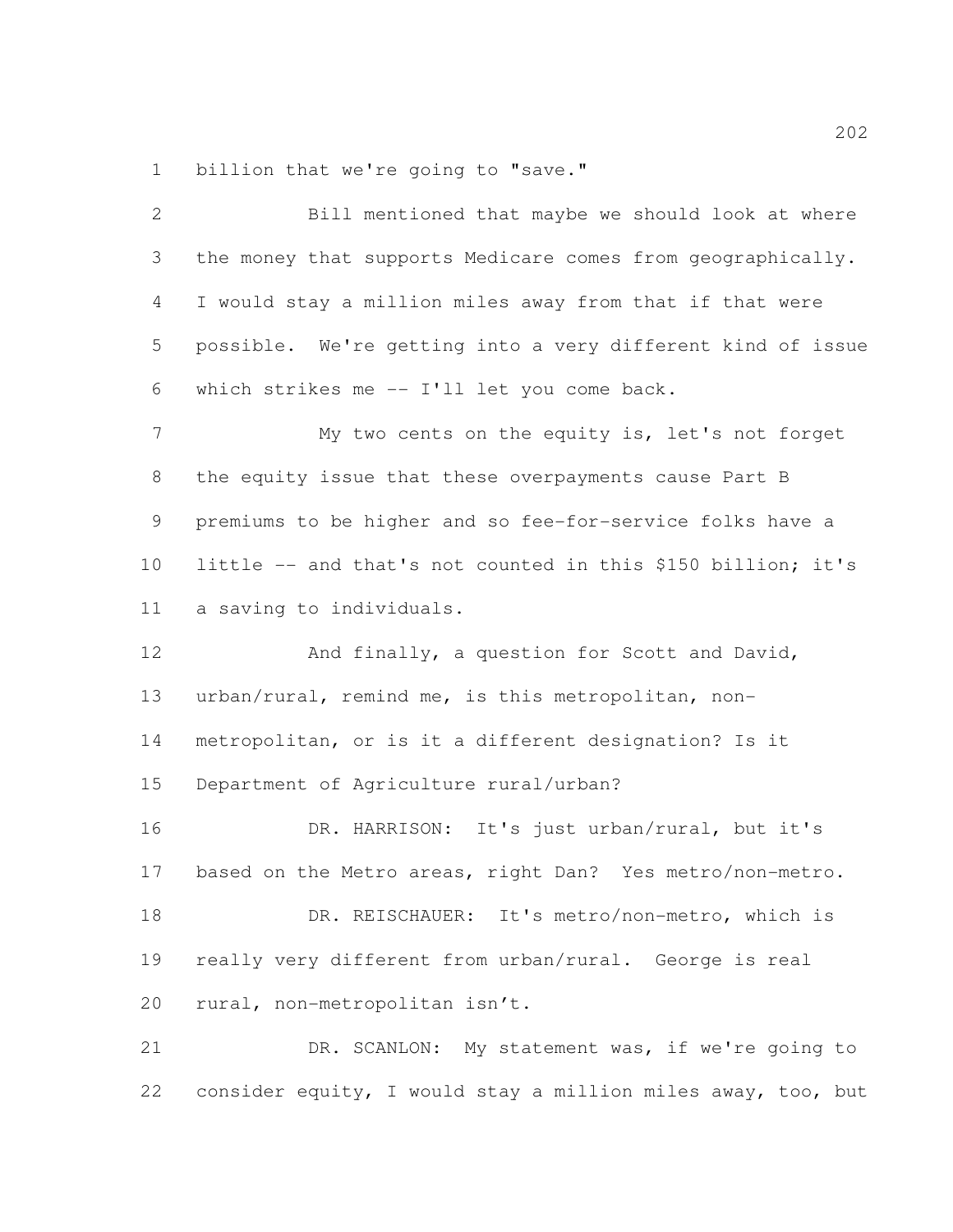billion that we're going to "save."

| $\overline{2}$ | Bill mentioned that maybe we should look at where            |
|----------------|--------------------------------------------------------------|
| 3              | the money that supports Medicare comes from geographically.  |
| $\overline{4}$ | I would stay a million miles away from that if that were     |
| 5              | possible. We're getting into a very different kind of issue  |
| 6              | which strikes me -- I'll let you come back.                  |
| $\overline{7}$ | My two cents on the equity is, let's not forget              |
| 8              | the equity issue that these overpayments cause Part B        |
| 9              | premiums to be higher and so fee-for-service folks have a    |
| 10             | little -- and that's not counted in this \$150 billion; it's |
| 11             | a saving to individuals.                                     |
| 12             | And finally, a question for Scott and David,                 |
| 13             | urban/rural, remind me, is this metropolitan, non-           |
| 14             | metropolitan, or is it a different designation? Is it        |
| 15             | Department of Agriculture rural/urban?                       |
| 16             | DR. HARRISON: It's just urban/rural, but it's                |
| 17             | based on the Metro areas, right Dan? Yes metro/non-metro.    |
| 18             | DR. REISCHAUER: It's metro/non-metro, which is               |
| 19             | really very different from urban/rural. George is real       |
| 20             | rural, non-metropolitan isn't.                               |
| 21             | DR. SCANLON: My statement was, if we're going to             |
| 22             | consider equity, I would stay a million miles away, too, but |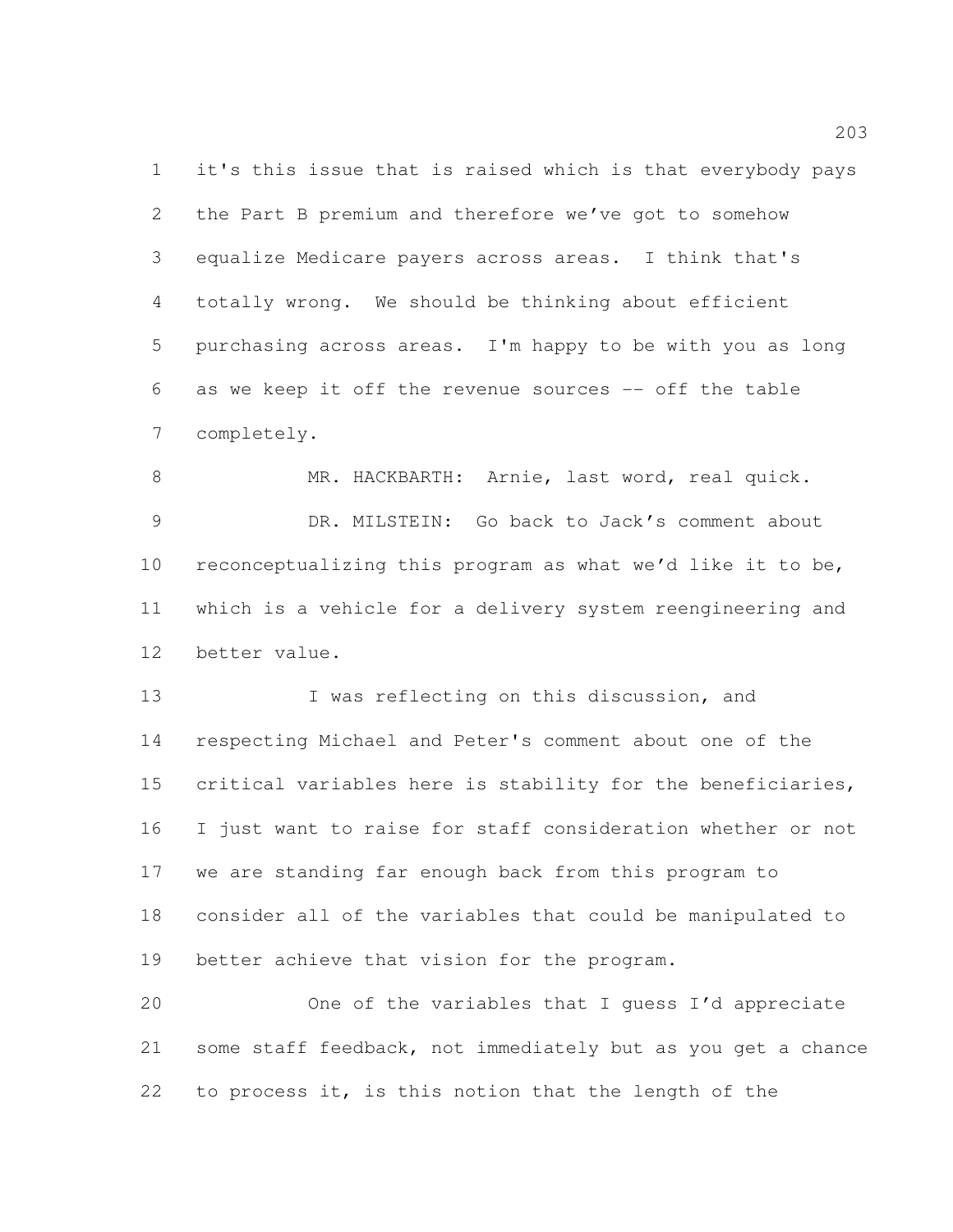it's this issue that is raised which is that everybody pays the Part B premium and therefore we've got to somehow equalize Medicare payers across areas. I think that's totally wrong. We should be thinking about efficient purchasing across areas. I'm happy to be with you as long as we keep it off the revenue sources -- off the table completely.

 MR. HACKBARTH: Arnie, last word, real quick. DR. MILSTEIN: Go back to Jack's comment about reconceptualizing this program as what we'd like it to be, which is a vehicle for a delivery system reengineering and better value.

13 I was reflecting on this discussion, and respecting Michael and Peter's comment about one of the critical variables here is stability for the beneficiaries, I just want to raise for staff consideration whether or not we are standing far enough back from this program to consider all of the variables that could be manipulated to better achieve that vision for the program.

 One of the variables that I guess I'd appreciate some staff feedback, not immediately but as you get a chance to process it, is this notion that the length of the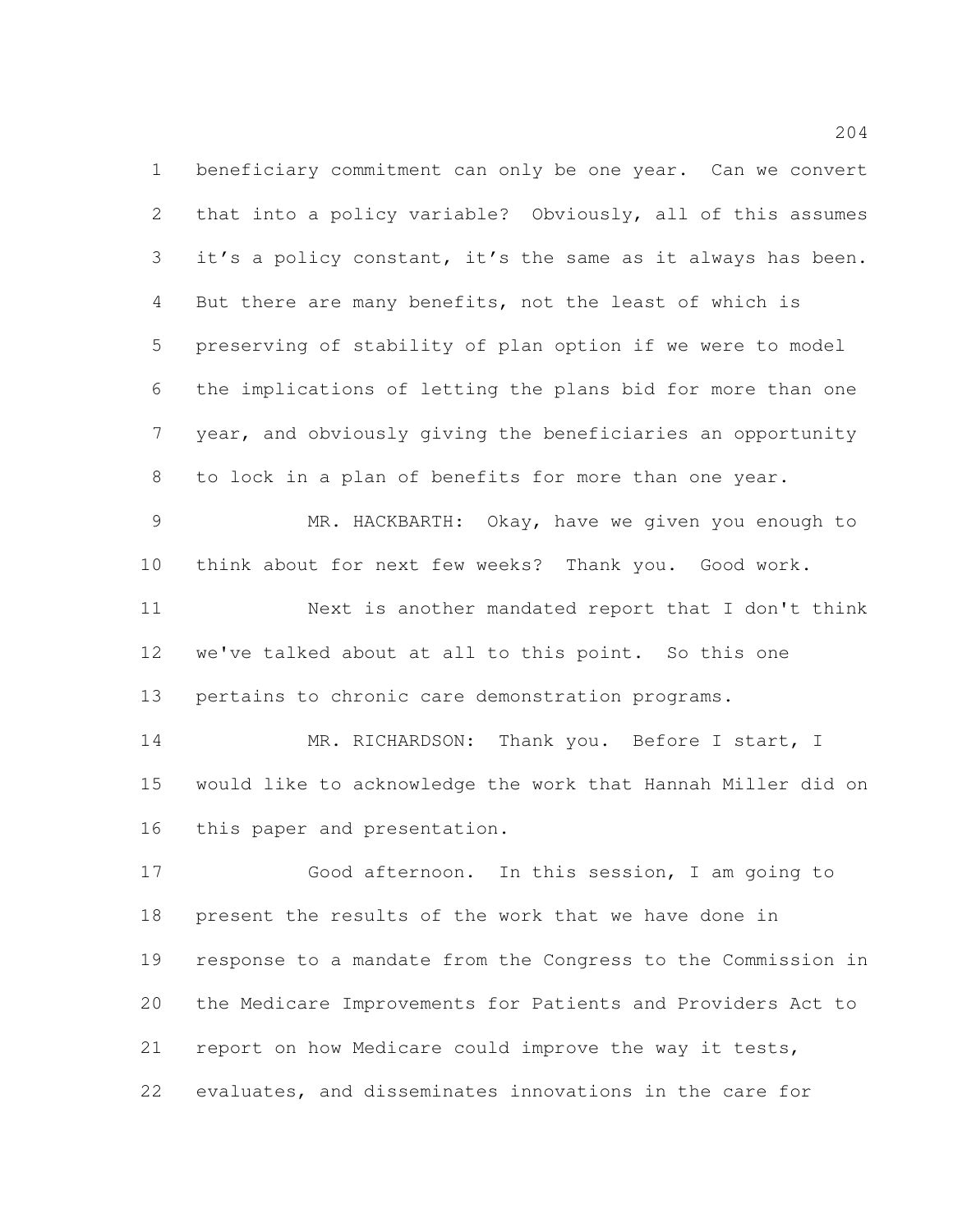beneficiary commitment can only be one year. Can we convert that into a policy variable? Obviously, all of this assumes it's a policy constant, it's the same as it always has been. But there are many benefits, not the least of which is preserving of stability of plan option if we were to model the implications of letting the plans bid for more than one year, and obviously giving the beneficiaries an opportunity to lock in a plan of benefits for more than one year. MR. HACKBARTH: Okay, have we given you enough to think about for next few weeks? Thank you. Good work. Next is another mandated report that I don't think we've talked about at all to this point. So this one pertains to chronic care demonstration programs. 14 MR. RICHARDSON: Thank you. Before I start, I would like to acknowledge the work that Hannah Miller did on this paper and presentation. Good afternoon. In this session, I am going to

 present the results of the work that we have done in response to a mandate from the Congress to the Commission in the Medicare Improvements for Patients and Providers Act to report on how Medicare could improve the way it tests, evaluates, and disseminates innovations in the care for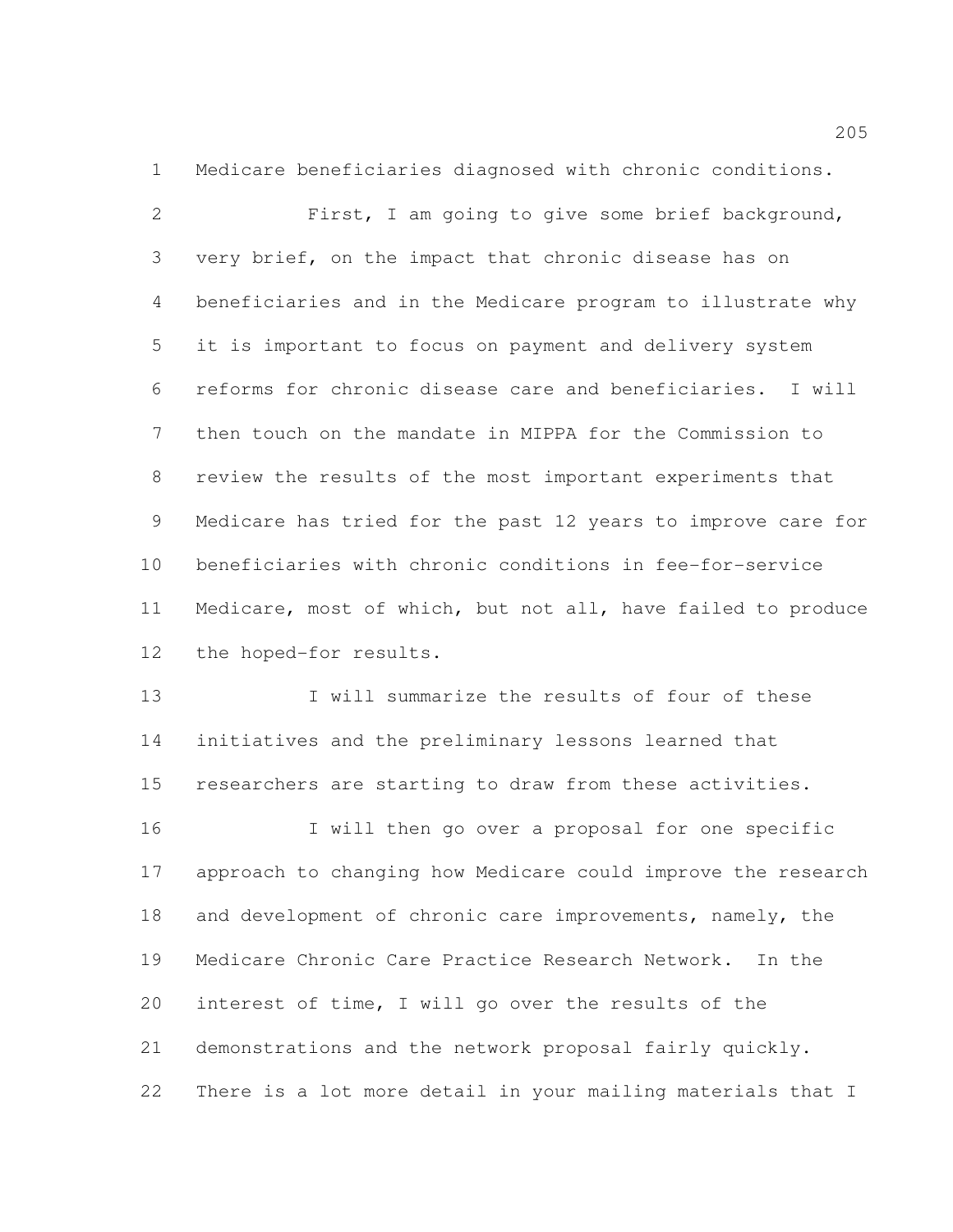Medicare beneficiaries diagnosed with chronic conditions.

 First, I am going to give some brief background, very brief, on the impact that chronic disease has on beneficiaries and in the Medicare program to illustrate why it is important to focus on payment and delivery system reforms for chronic disease care and beneficiaries. I will then touch on the mandate in MIPPA for the Commission to review the results of the most important experiments that Medicare has tried for the past 12 years to improve care for beneficiaries with chronic conditions in fee-for-service Medicare, most of which, but not all, have failed to produce the hoped-for results.

 I will summarize the results of four of these initiatives and the preliminary lessons learned that researchers are starting to draw from these activities.

 I will then go over a proposal for one specific approach to changing how Medicare could improve the research 18 and development of chronic care improvements, namely, the Medicare Chronic Care Practice Research Network. In the interest of time, I will go over the results of the demonstrations and the network proposal fairly quickly. There is a lot more detail in your mailing materials that I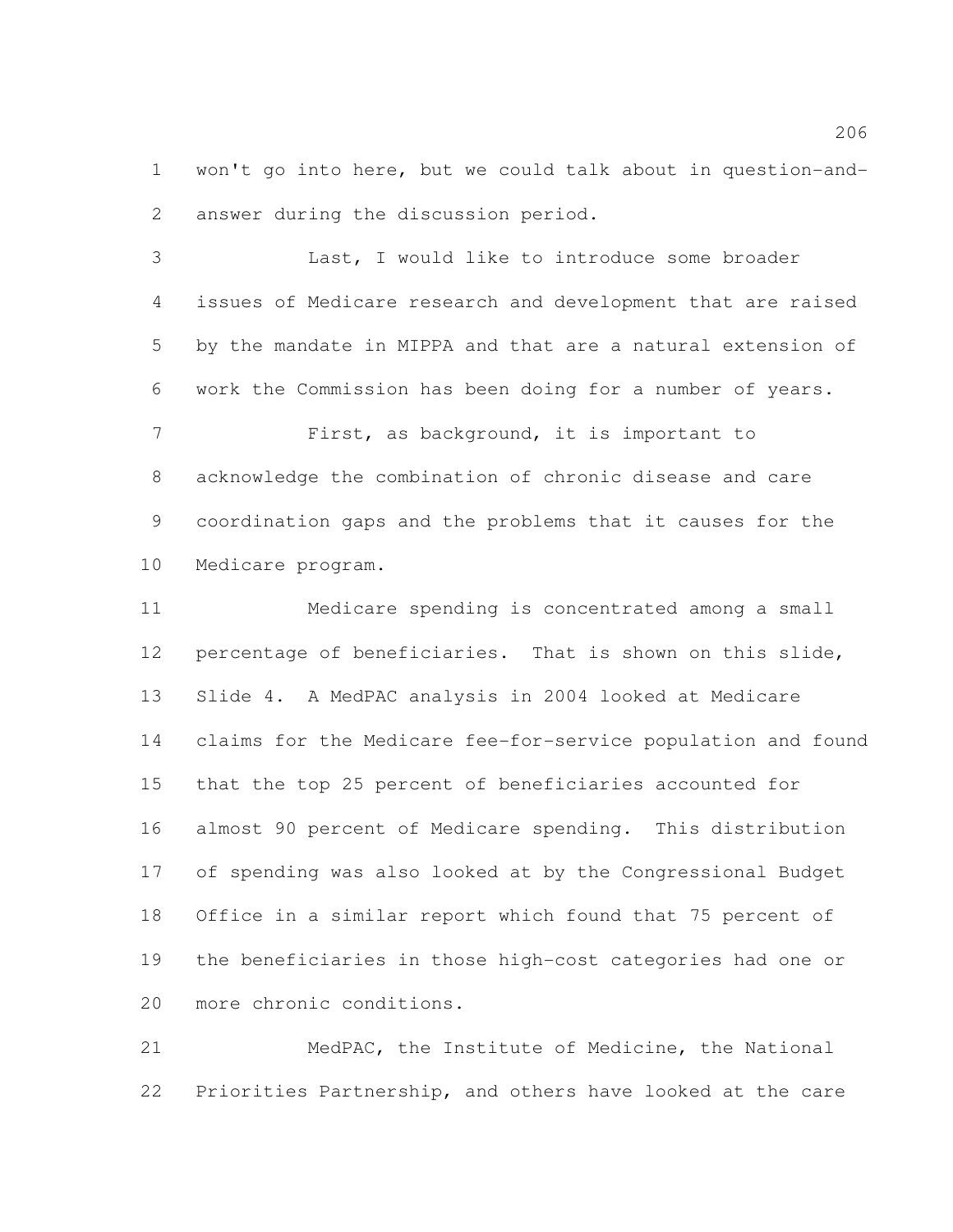won't go into here, but we could talk about in question-and-answer during the discussion period.

 Last, I would like to introduce some broader issues of Medicare research and development that are raised by the mandate in MIPPA and that are a natural extension of work the Commission has been doing for a number of years. First, as background, it is important to

 acknowledge the combination of chronic disease and care coordination gaps and the problems that it causes for the Medicare program.

 Medicare spending is concentrated among a small percentage of beneficiaries. That is shown on this slide, Slide 4. A MedPAC analysis in 2004 looked at Medicare claims for the Medicare fee-for-service population and found that the top 25 percent of beneficiaries accounted for almost 90 percent of Medicare spending. This distribution of spending was also looked at by the Congressional Budget Office in a similar report which found that 75 percent of the beneficiaries in those high-cost categories had one or more chronic conditions.

 MedPAC, the Institute of Medicine, the National Priorities Partnership, and others have looked at the care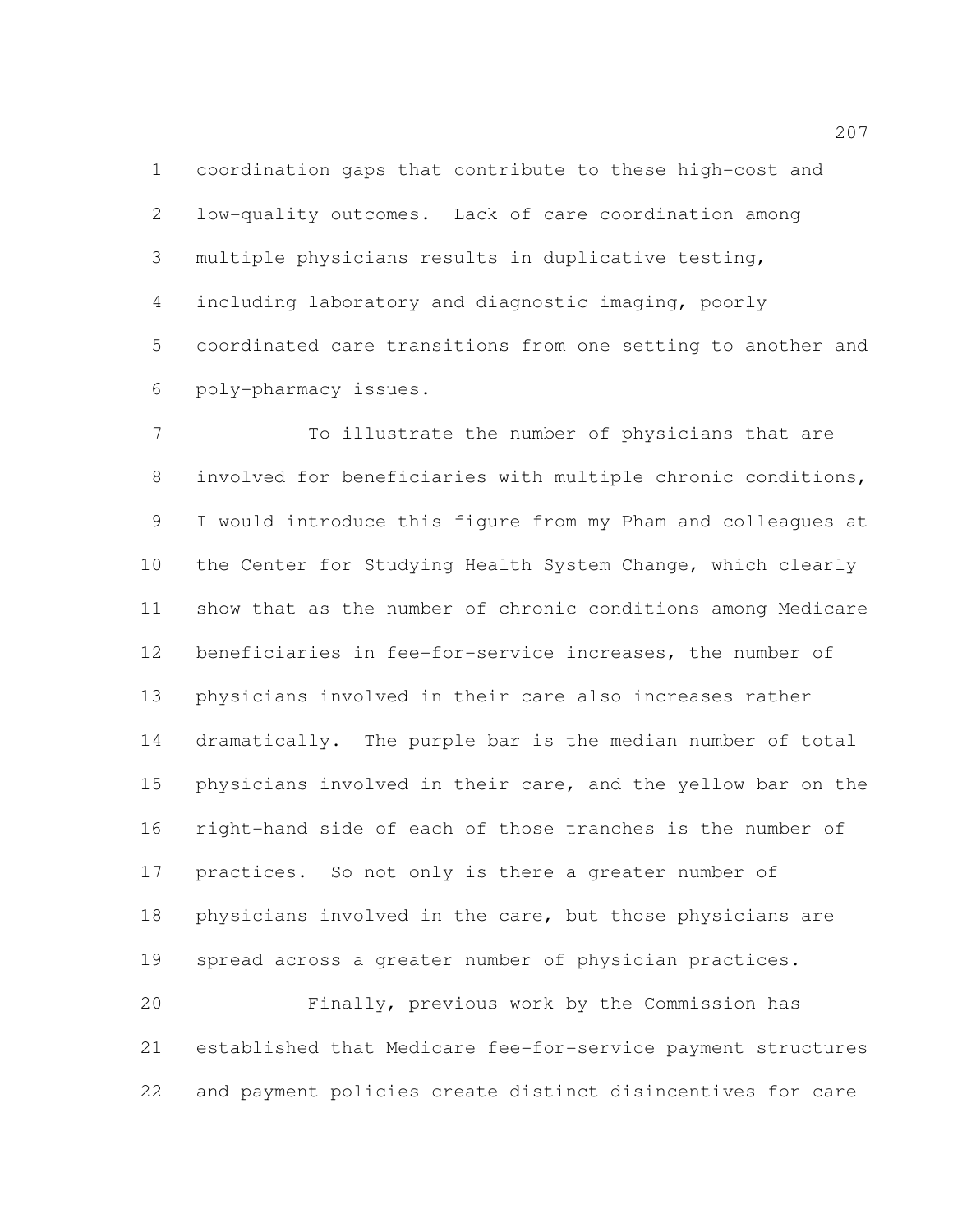coordination gaps that contribute to these high-cost and low-quality outcomes. Lack of care coordination among multiple physicians results in duplicative testing, including laboratory and diagnostic imaging, poorly coordinated care transitions from one setting to another and poly-pharmacy issues.

 To illustrate the number of physicians that are involved for beneficiaries with multiple chronic conditions, I would introduce this figure from my Pham and colleagues at the Center for Studying Health System Change, which clearly show that as the number of chronic conditions among Medicare beneficiaries in fee-for-service increases, the number of physicians involved in their care also increases rather dramatically. The purple bar is the median number of total physicians involved in their care, and the yellow bar on the right-hand side of each of those tranches is the number of practices. So not only is there a greater number of physicians involved in the care, but those physicians are spread across a greater number of physician practices. Finally, previous work by the Commission has

 established that Medicare fee-for-service payment structures and payment policies create distinct disincentives for care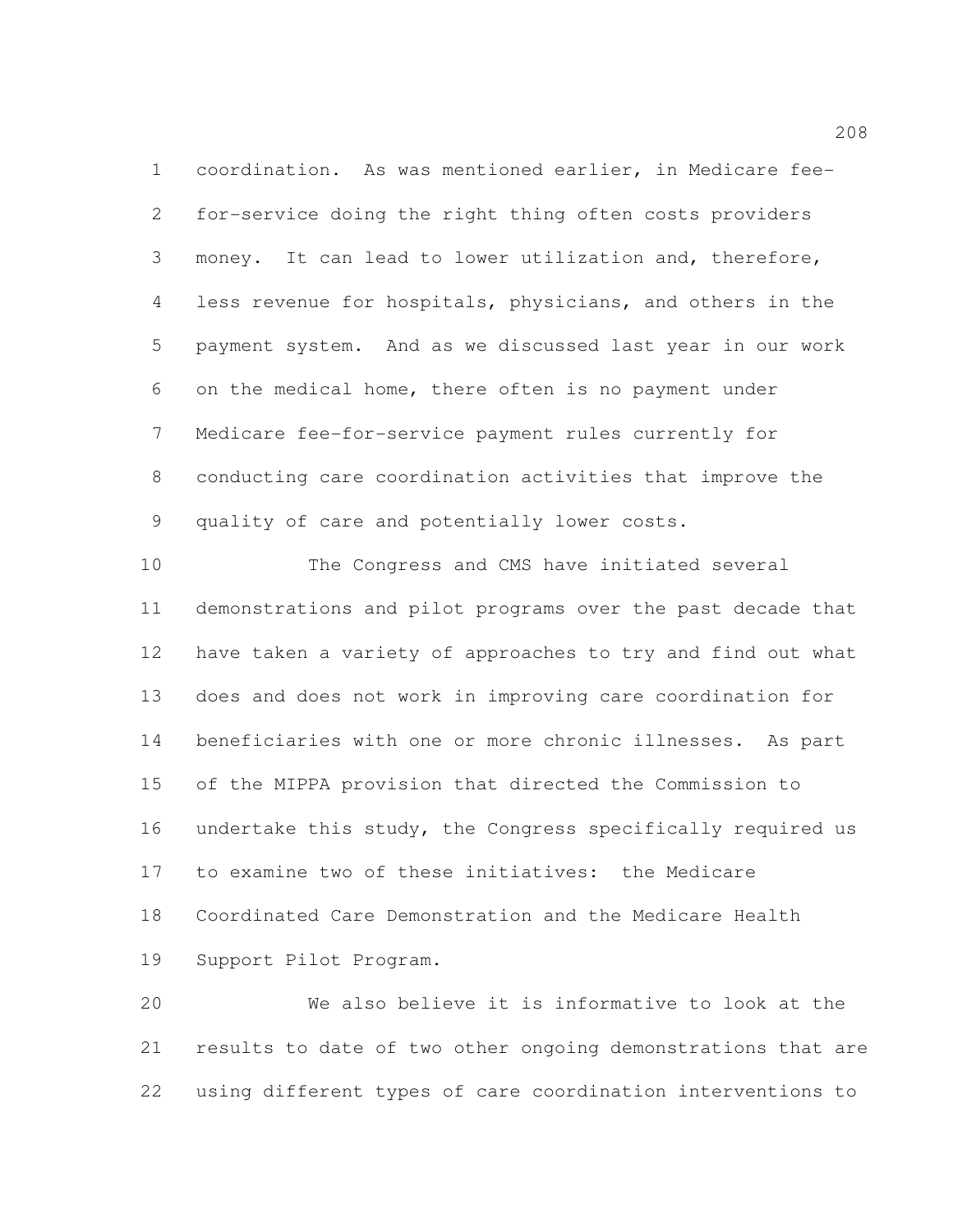coordination. As was mentioned earlier, in Medicare fee- for-service doing the right thing often costs providers money. It can lead to lower utilization and, therefore, less revenue for hospitals, physicians, and others in the payment system. And as we discussed last year in our work on the medical home, there often is no payment under Medicare fee-for-service payment rules currently for conducting care coordination activities that improve the quality of care and potentially lower costs.

 The Congress and CMS have initiated several demonstrations and pilot programs over the past decade that have taken a variety of approaches to try and find out what does and does not work in improving care coordination for beneficiaries with one or more chronic illnesses. As part of the MIPPA provision that directed the Commission to undertake this study, the Congress specifically required us to examine two of these initiatives: the Medicare Coordinated Care Demonstration and the Medicare Health Support Pilot Program.

 We also believe it is informative to look at the results to date of two other ongoing demonstrations that are using different types of care coordination interventions to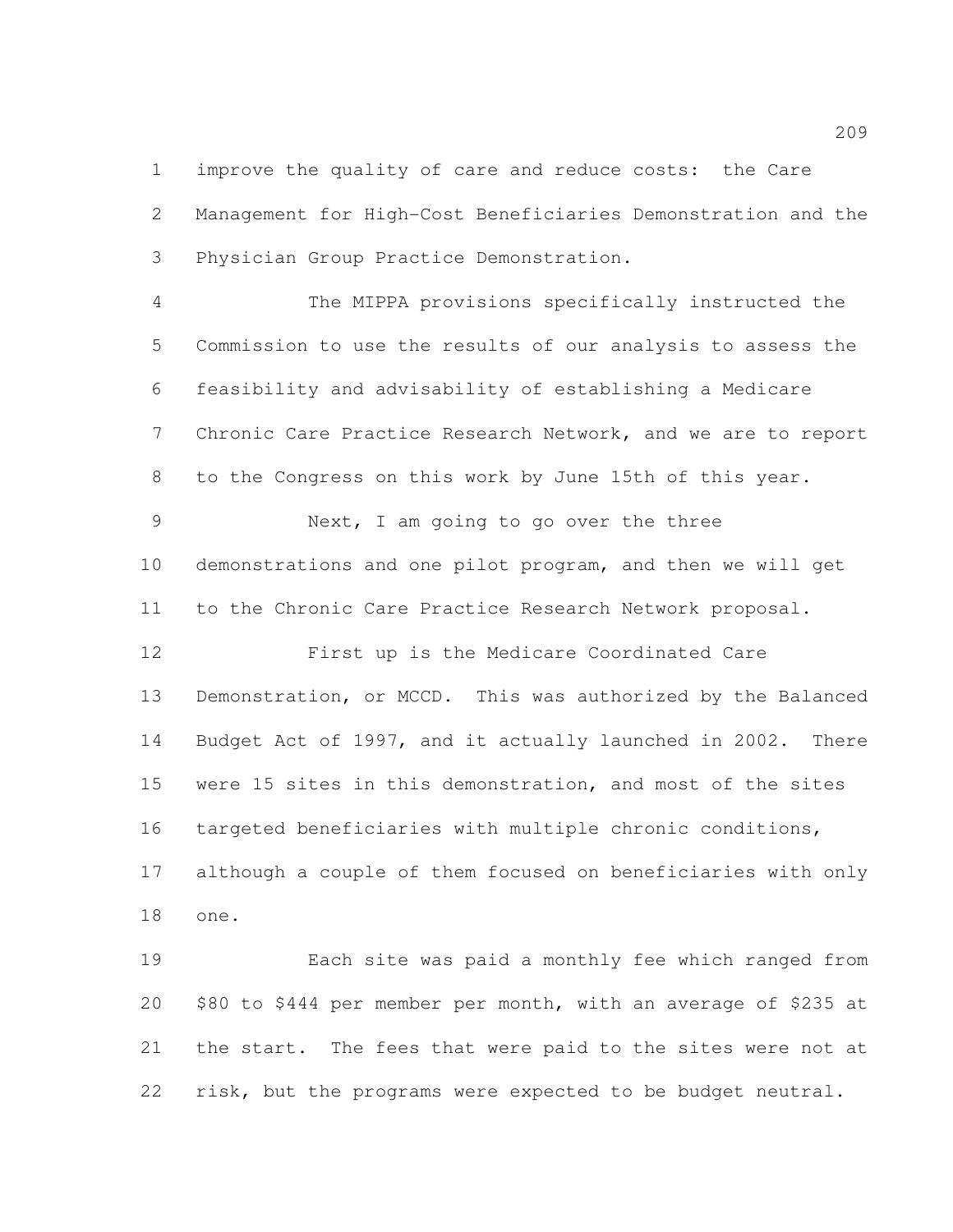improve the quality of care and reduce costs: the Care Management for High-Cost Beneficiaries Demonstration and the Physician Group Practice Demonstration.

 The MIPPA provisions specifically instructed the Commission to use the results of our analysis to assess the feasibility and advisability of establishing a Medicare Chronic Care Practice Research Network, and we are to report to the Congress on this work by June 15th of this year.

 Next, I am going to go over the three demonstrations and one pilot program, and then we will get to the Chronic Care Practice Research Network proposal.

 First up is the Medicare Coordinated Care Demonstration, or MCCD. This was authorized by the Balanced Budget Act of 1997, and it actually launched in 2002. There were 15 sites in this demonstration, and most of the sites targeted beneficiaries with multiple chronic conditions, although a couple of them focused on beneficiaries with only one.

 Each site was paid a monthly fee which ranged from \$80 to \$444 per member per month, with an average of \$235 at the start. The fees that were paid to the sites were not at risk, but the programs were expected to be budget neutral.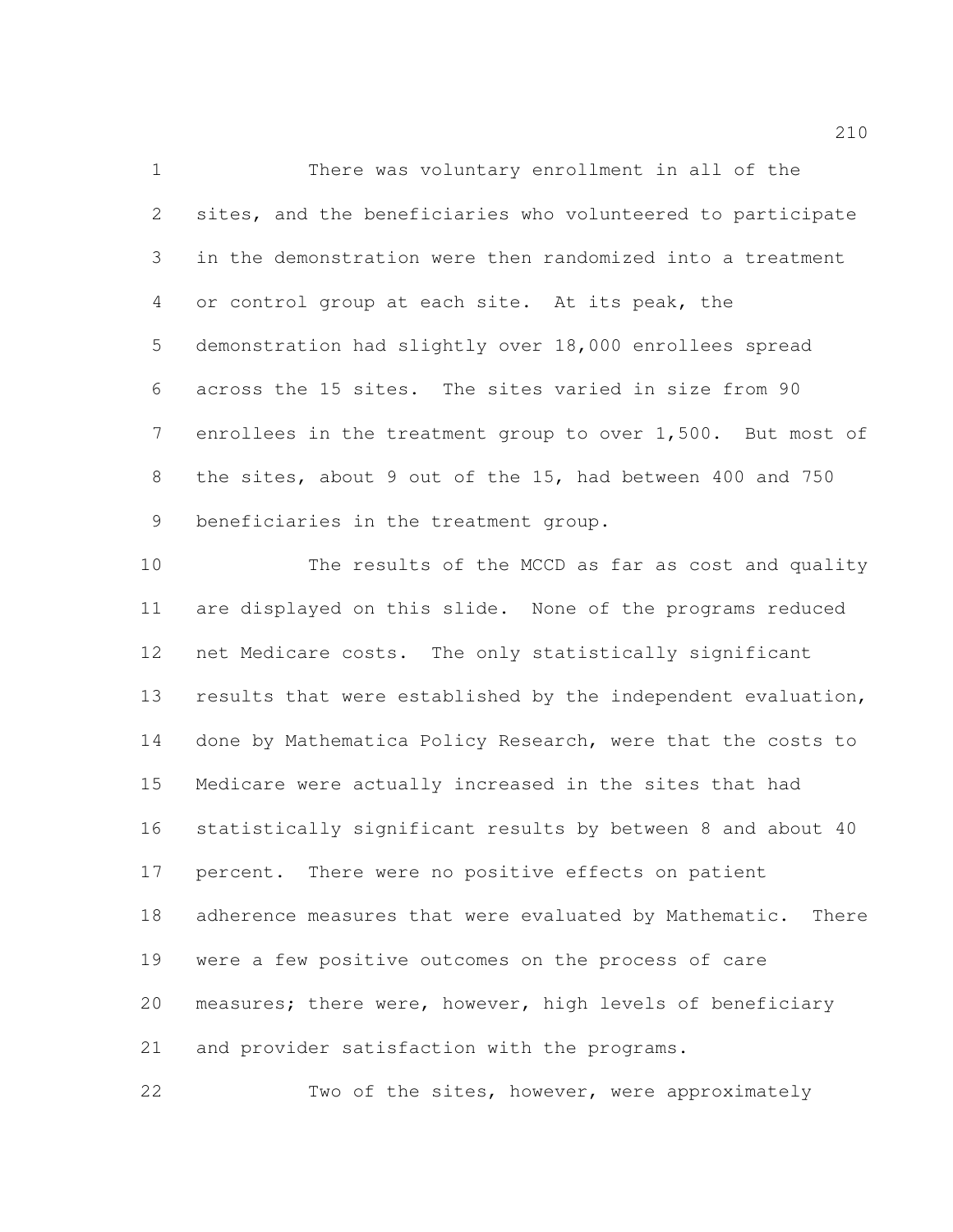There was voluntary enrollment in all of the sites, and the beneficiaries who volunteered to participate in the demonstration were then randomized into a treatment or control group at each site. At its peak, the demonstration had slightly over 18,000 enrollees spread across the 15 sites. The sites varied in size from 90 enrollees in the treatment group to over 1,500. But most of the sites, about 9 out of the 15, had between 400 and 750 beneficiaries in the treatment group.

 The results of the MCCD as far as cost and quality are displayed on this slide. None of the programs reduced net Medicare costs. The only statistically significant results that were established by the independent evaluation, done by Mathematica Policy Research, were that the costs to Medicare were actually increased in the sites that had statistically significant results by between 8 and about 40 percent. There were no positive effects on patient adherence measures that were evaluated by Mathematic. There were a few positive outcomes on the process of care measures; there were, however, high levels of beneficiary and provider satisfaction with the programs.

Two of the sites, however, were approximately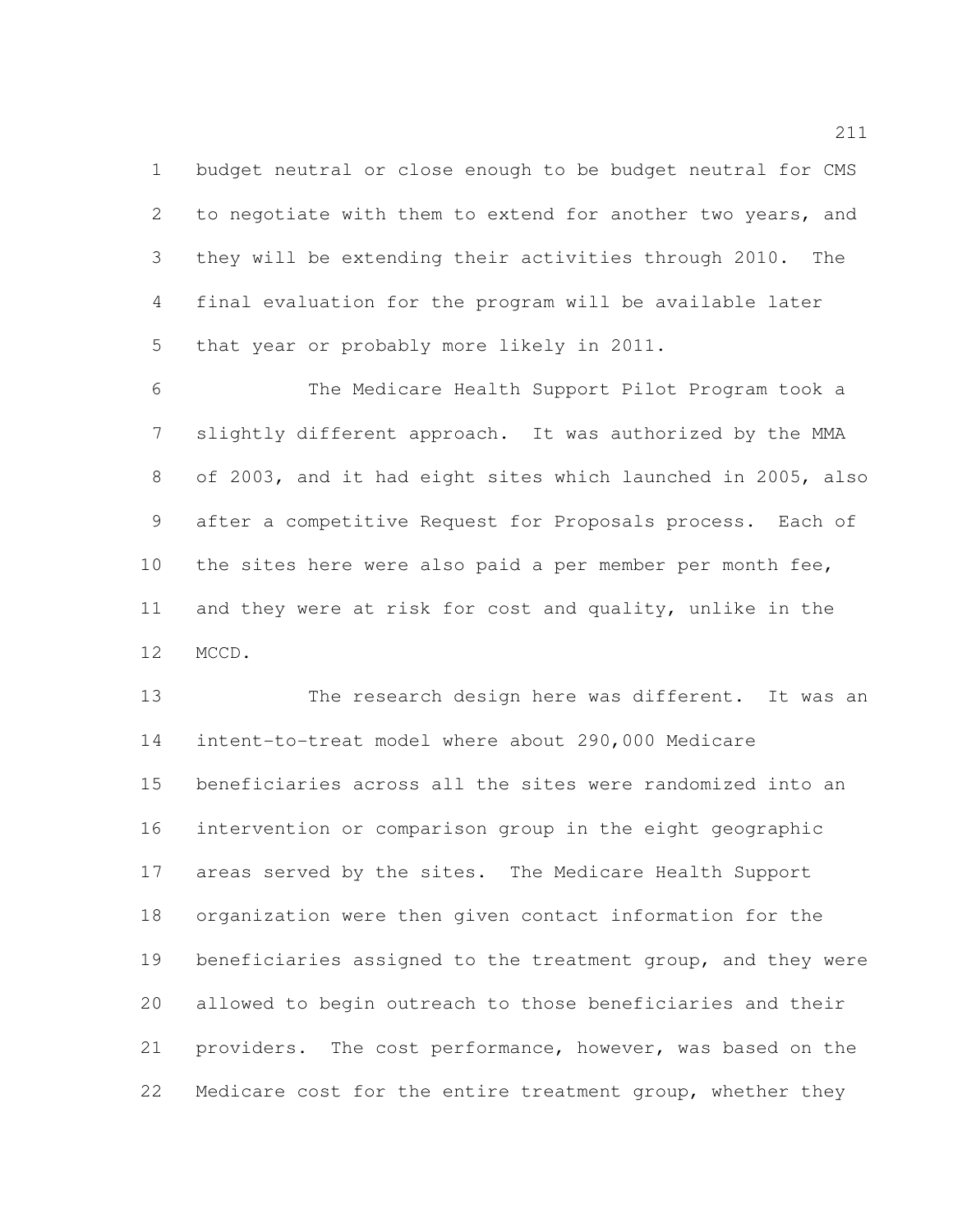budget neutral or close enough to be budget neutral for CMS to negotiate with them to extend for another two years, and they will be extending their activities through 2010. The final evaluation for the program will be available later that year or probably more likely in 2011.

 The Medicare Health Support Pilot Program took a slightly different approach. It was authorized by the MMA of 2003, and it had eight sites which launched in 2005, also after a competitive Request for Proposals process. Each of the sites here were also paid a per member per month fee, and they were at risk for cost and quality, unlike in the MCCD.

 The research design here was different. It was an intent-to-treat model where about 290,000 Medicare beneficiaries across all the sites were randomized into an intervention or comparison group in the eight geographic areas served by the sites. The Medicare Health Support organization were then given contact information for the beneficiaries assigned to the treatment group, and they were allowed to begin outreach to those beneficiaries and their providers. The cost performance, however, was based on the Medicare cost for the entire treatment group, whether they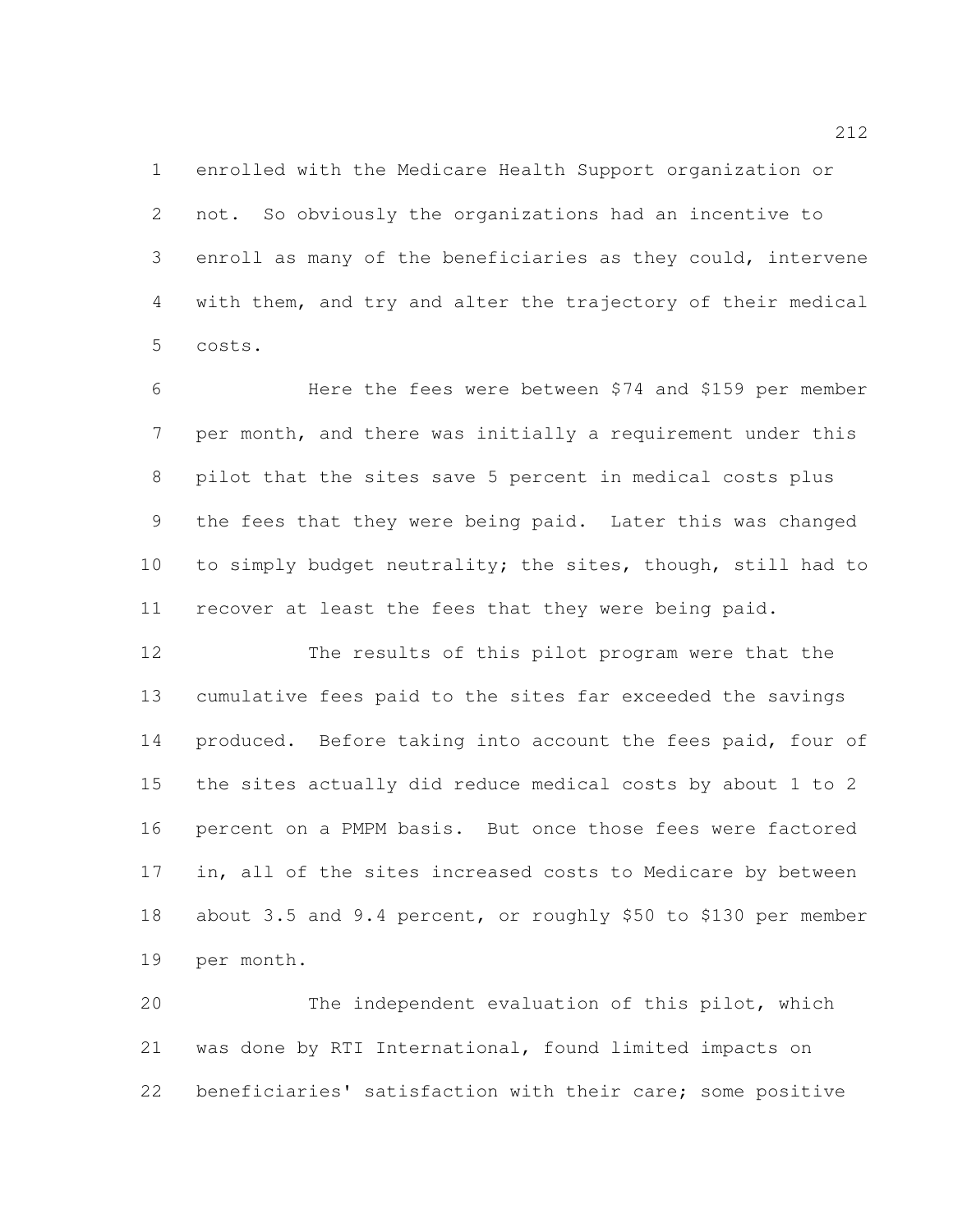enrolled with the Medicare Health Support organization or not. So obviously the organizations had an incentive to enroll as many of the beneficiaries as they could, intervene with them, and try and alter the trajectory of their medical costs.

 Here the fees were between \$74 and \$159 per member per month, and there was initially a requirement under this pilot that the sites save 5 percent in medical costs plus the fees that they were being paid. Later this was changed to simply budget neutrality; the sites, though, still had to recover at least the fees that they were being paid.

 The results of this pilot program were that the cumulative fees paid to the sites far exceeded the savings 14 produced. Before taking into account the fees paid, four of the sites actually did reduce medical costs by about 1 to 2 percent on a PMPM basis. But once those fees were factored in, all of the sites increased costs to Medicare by between about 3.5 and 9.4 percent, or roughly \$50 to \$130 per member per month.

 The independent evaluation of this pilot, which was done by RTI International, found limited impacts on beneficiaries' satisfaction with their care; some positive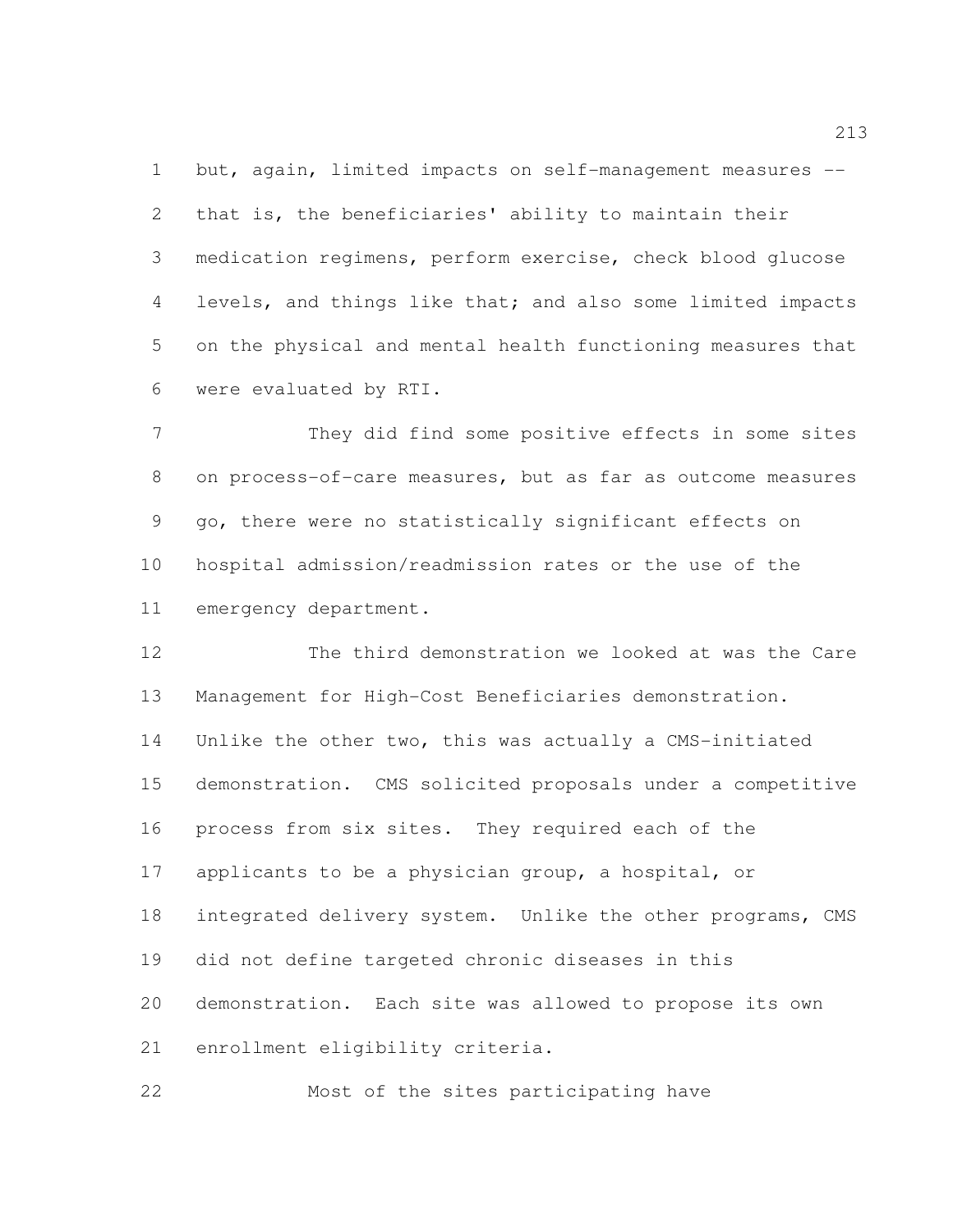but, again, limited impacts on self-management measures -- that is, the beneficiaries' ability to maintain their medication regimens, perform exercise, check blood glucose levels, and things like that; and also some limited impacts on the physical and mental health functioning measures that were evaluated by RTI.

 They did find some positive effects in some sites on process-of-care measures, but as far as outcome measures go, there were no statistically significant effects on hospital admission/readmission rates or the use of the emergency department.

 The third demonstration we looked at was the Care Management for High-Cost Beneficiaries demonstration. Unlike the other two, this was actually a CMS-initiated demonstration. CMS solicited proposals under a competitive process from six sites. They required each of the applicants to be a physician group, a hospital, or integrated delivery system. Unlike the other programs, CMS did not define targeted chronic diseases in this demonstration. Each site was allowed to propose its own enrollment eligibility criteria.

Most of the sites participating have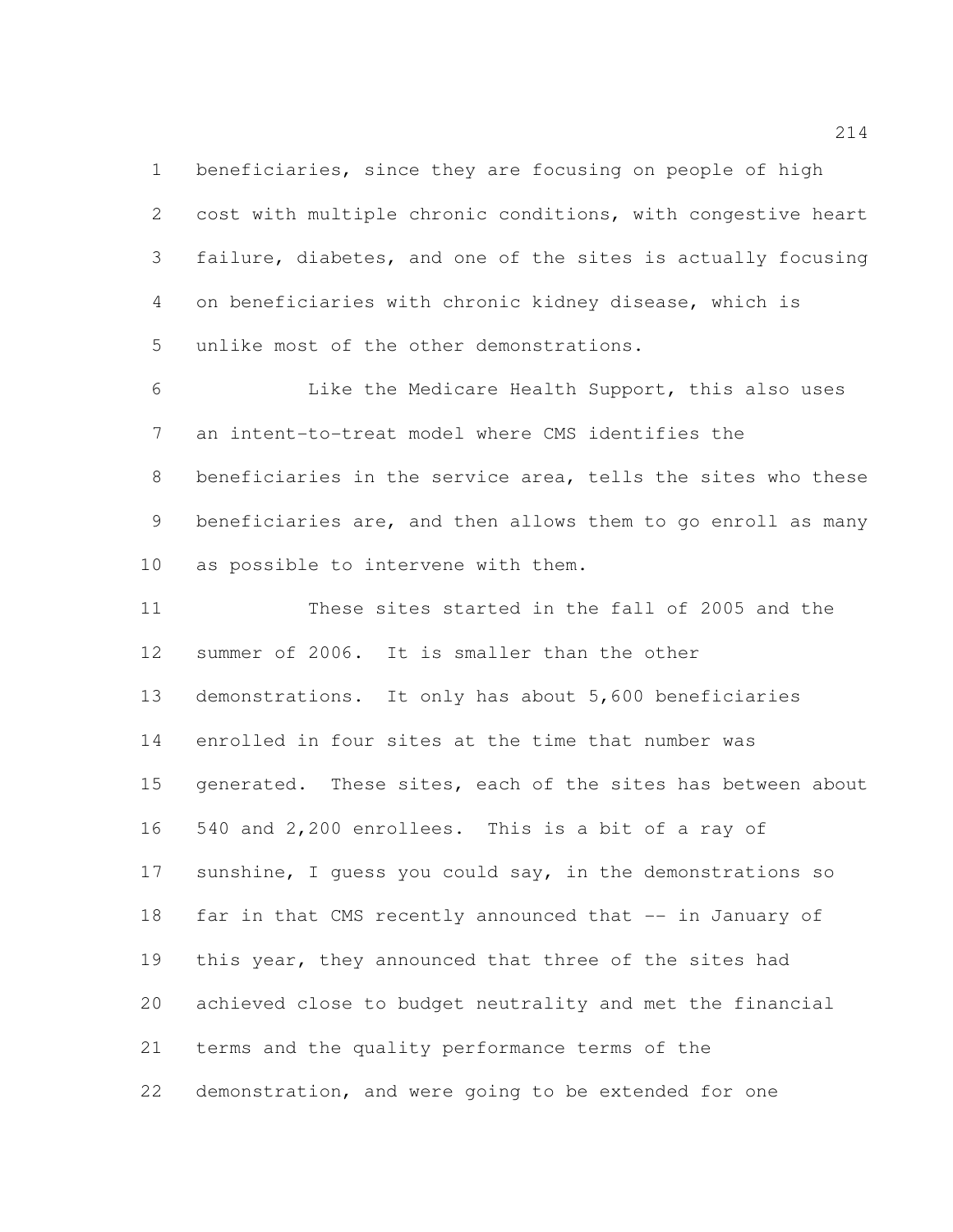beneficiaries, since they are focusing on people of high cost with multiple chronic conditions, with congestive heart failure, diabetes, and one of the sites is actually focusing on beneficiaries with chronic kidney disease, which is unlike most of the other demonstrations.

 Like the Medicare Health Support, this also uses an intent-to-treat model where CMS identifies the beneficiaries in the service area, tells the sites who these beneficiaries are, and then allows them to go enroll as many as possible to intervene with them.

 These sites started in the fall of 2005 and the summer of 2006. It is smaller than the other demonstrations. It only has about 5,600 beneficiaries enrolled in four sites at the time that number was 15 generated. These sites, each of the sites has between about 540 and 2,200 enrollees. This is a bit of a ray of sunshine, I guess you could say, in the demonstrations so 18 far in that CMS recently announced that -- in January of this year, they announced that three of the sites had achieved close to budget neutrality and met the financial terms and the quality performance terms of the demonstration, and were going to be extended for one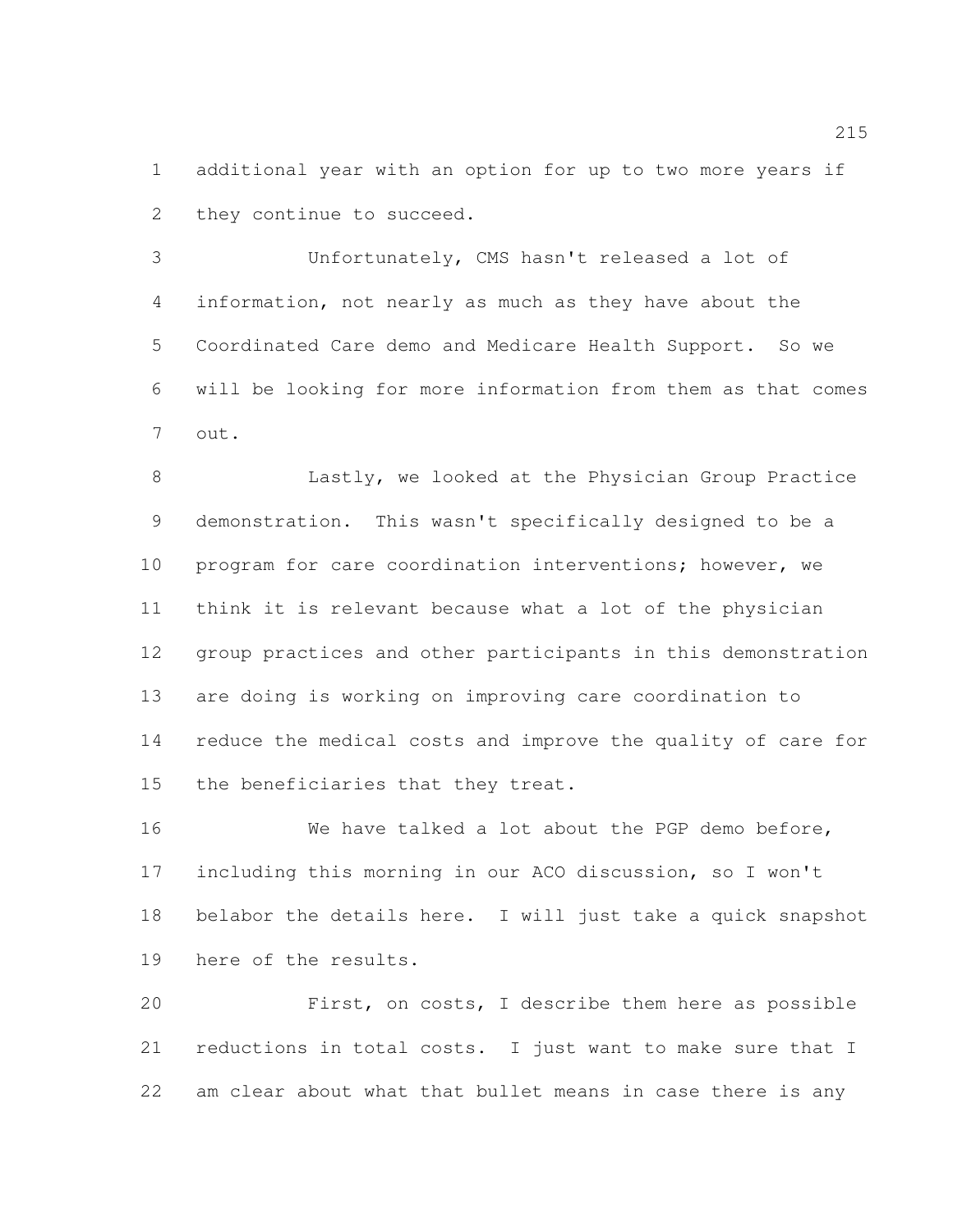additional year with an option for up to two more years if they continue to succeed.

 Unfortunately, CMS hasn't released a lot of information, not nearly as much as they have about the Coordinated Care demo and Medicare Health Support. So we will be looking for more information from them as that comes out.

**Eastly, we looked at the Physician Group Practice**  demonstration. This wasn't specifically designed to be a program for care coordination interventions; however, we think it is relevant because what a lot of the physician group practices and other participants in this demonstration are doing is working on improving care coordination to reduce the medical costs and improve the quality of care for the beneficiaries that they treat.

 We have talked a lot about the PGP demo before, including this morning in our ACO discussion, so I won't belabor the details here. I will just take a quick snapshot here of the results.

 First, on costs, I describe them here as possible reductions in total costs. I just want to make sure that I am clear about what that bullet means in case there is any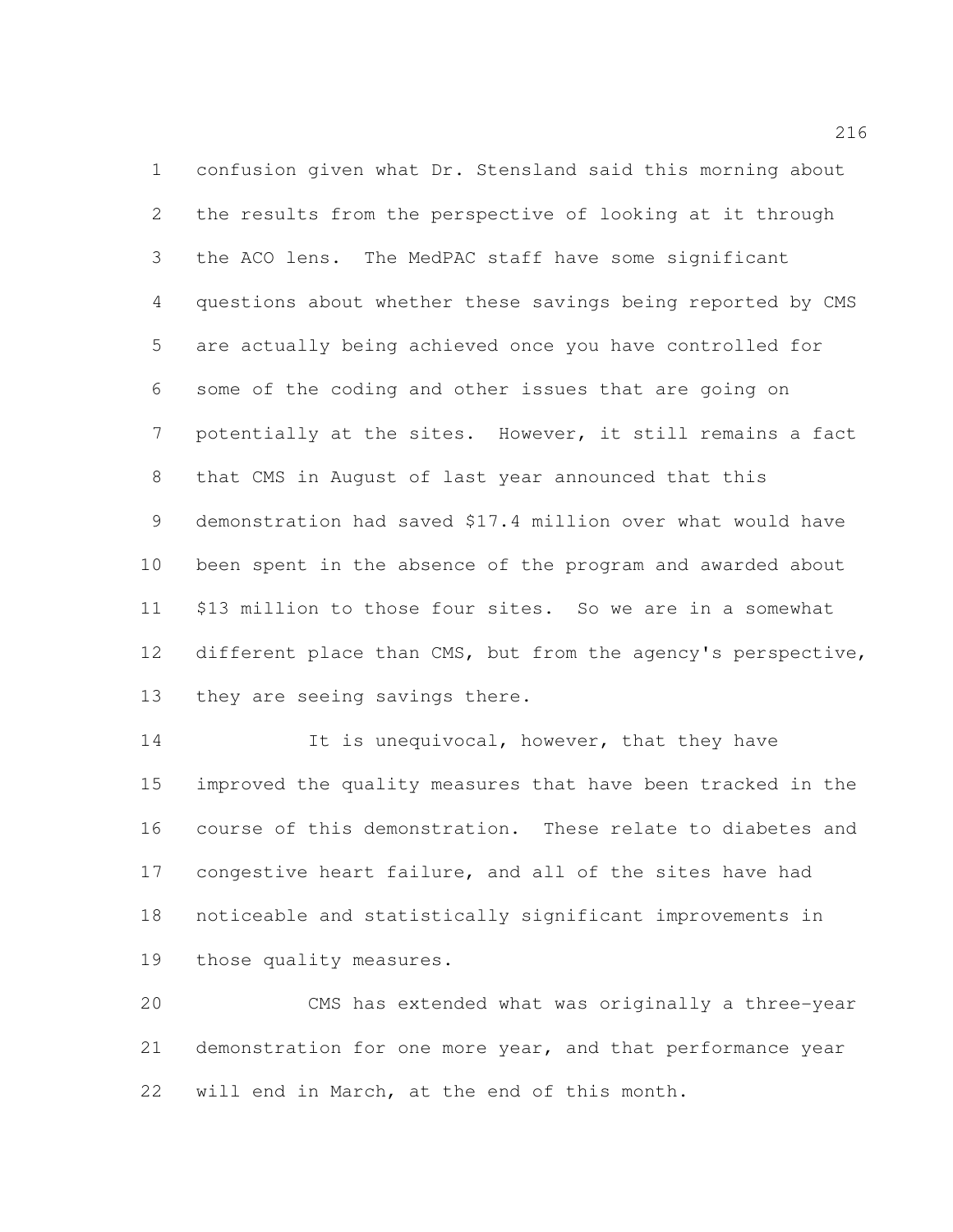confusion given what Dr. Stensland said this morning about the results from the perspective of looking at it through the ACO lens. The MedPAC staff have some significant questions about whether these savings being reported by CMS are actually being achieved once you have controlled for some of the coding and other issues that are going on potentially at the sites. However, it still remains a fact that CMS in August of last year announced that this demonstration had saved \$17.4 million over what would have been spent in the absence of the program and awarded about \$13 million to those four sites. So we are in a somewhat 12 different place than CMS, but from the agency's perspective, they are seeing savings there.

14 It is unequivocal, however, that they have improved the quality measures that have been tracked in the course of this demonstration. These relate to diabetes and congestive heart failure, and all of the sites have had noticeable and statistically significant improvements in those quality measures.

 CMS has extended what was originally a three-year demonstration for one more year, and that performance year will end in March, at the end of this month.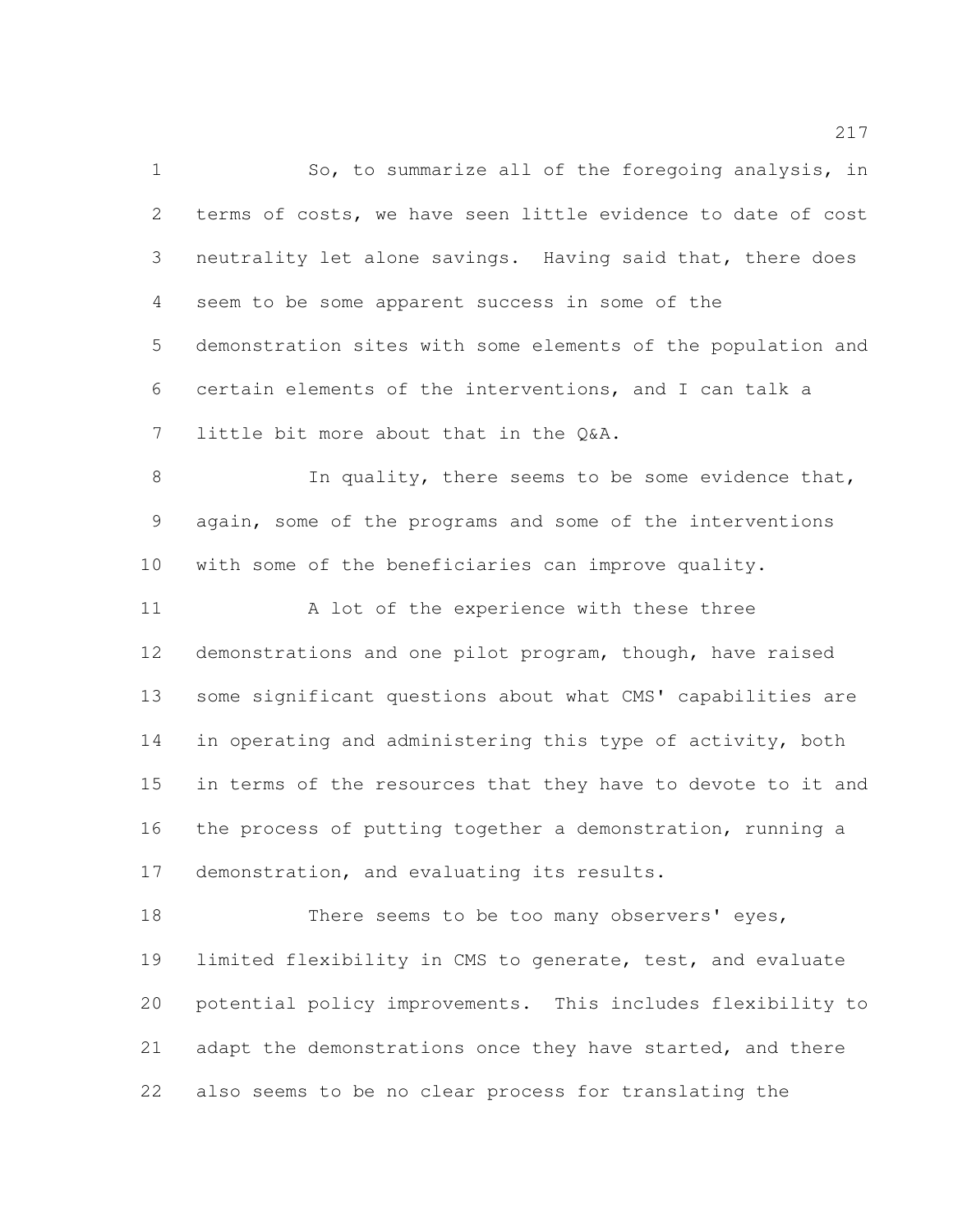1 So, to summarize all of the foregoing analysis, in terms of costs, we have seen little evidence to date of cost neutrality let alone savings. Having said that, there does seem to be some apparent success in some of the demonstration sites with some elements of the population and certain elements of the interventions, and I can talk a little bit more about that in the Q&A. 8 In quality, there seems to be some evidence that, again, some of the programs and some of the interventions with some of the beneficiaries can improve quality. 11 A lot of the experience with these three demonstrations and one pilot program, though, have raised some significant questions about what CMS' capabilities are 14 in operating and administering this type of activity, both in terms of the resources that they have to devote to it and the process of putting together a demonstration, running a demonstration, and evaluating its results. 18 There seems to be too many observers' eyes,

 limited flexibility in CMS to generate, test, and evaluate potential policy improvements. This includes flexibility to 21 adapt the demonstrations once they have started, and there also seems to be no clear process for translating the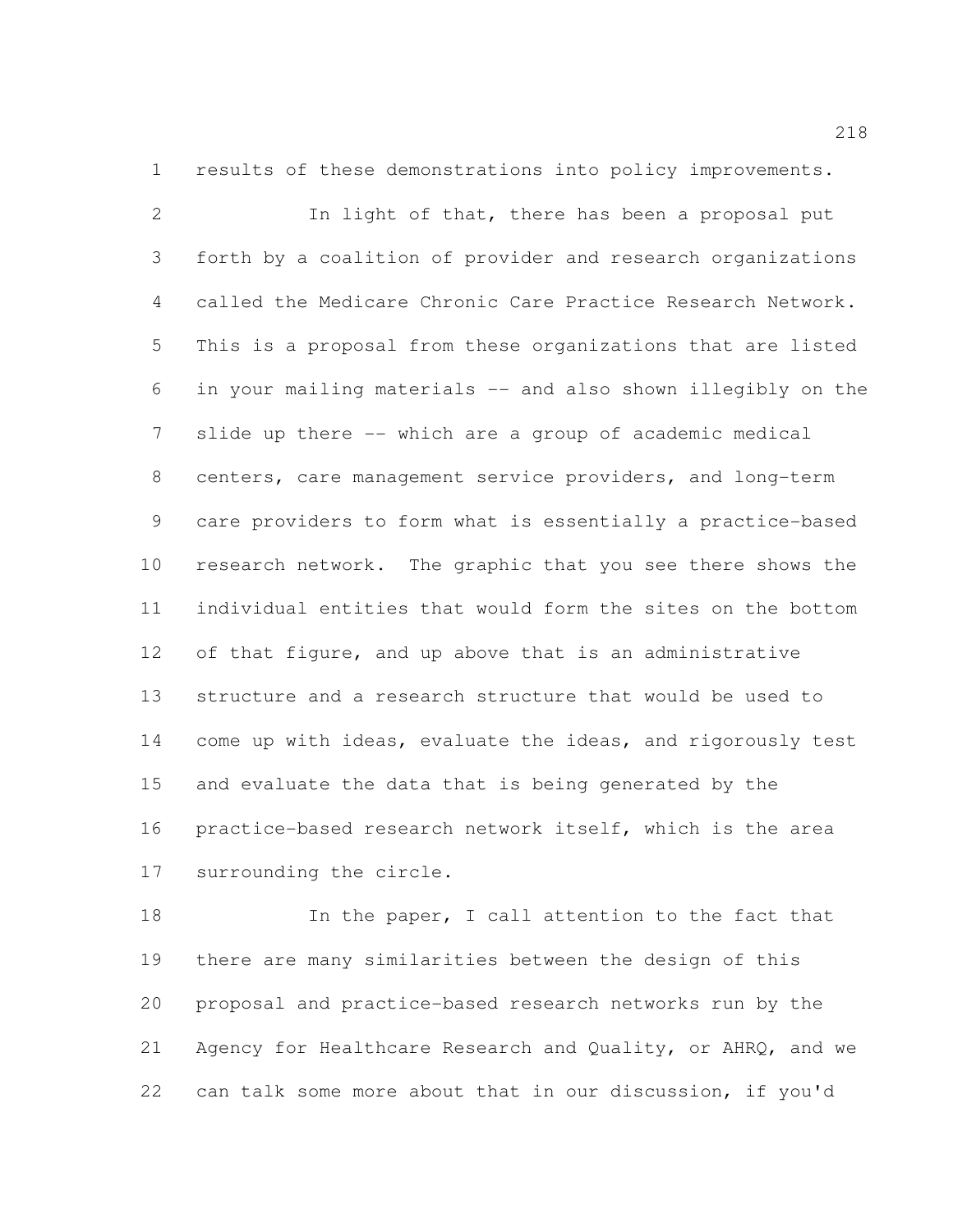results of these demonstrations into policy improvements.

 In light of that, there has been a proposal put forth by a coalition of provider and research organizations called the Medicare Chronic Care Practice Research Network. This is a proposal from these organizations that are listed in your mailing materials -- and also shown illegibly on the slide up there -- which are a group of academic medical centers, care management service providers, and long-term care providers to form what is essentially a practice-based research network. The graphic that you see there shows the individual entities that would form the sites on the bottom of that figure, and up above that is an administrative structure and a research structure that would be used to come up with ideas, evaluate the ideas, and rigorously test and evaluate the data that is being generated by the practice-based research network itself, which is the area surrounding the circle.

18 In the paper, I call attention to the fact that there are many similarities between the design of this proposal and practice-based research networks run by the Agency for Healthcare Research and Quality, or AHRQ, and we can talk some more about that in our discussion, if you'd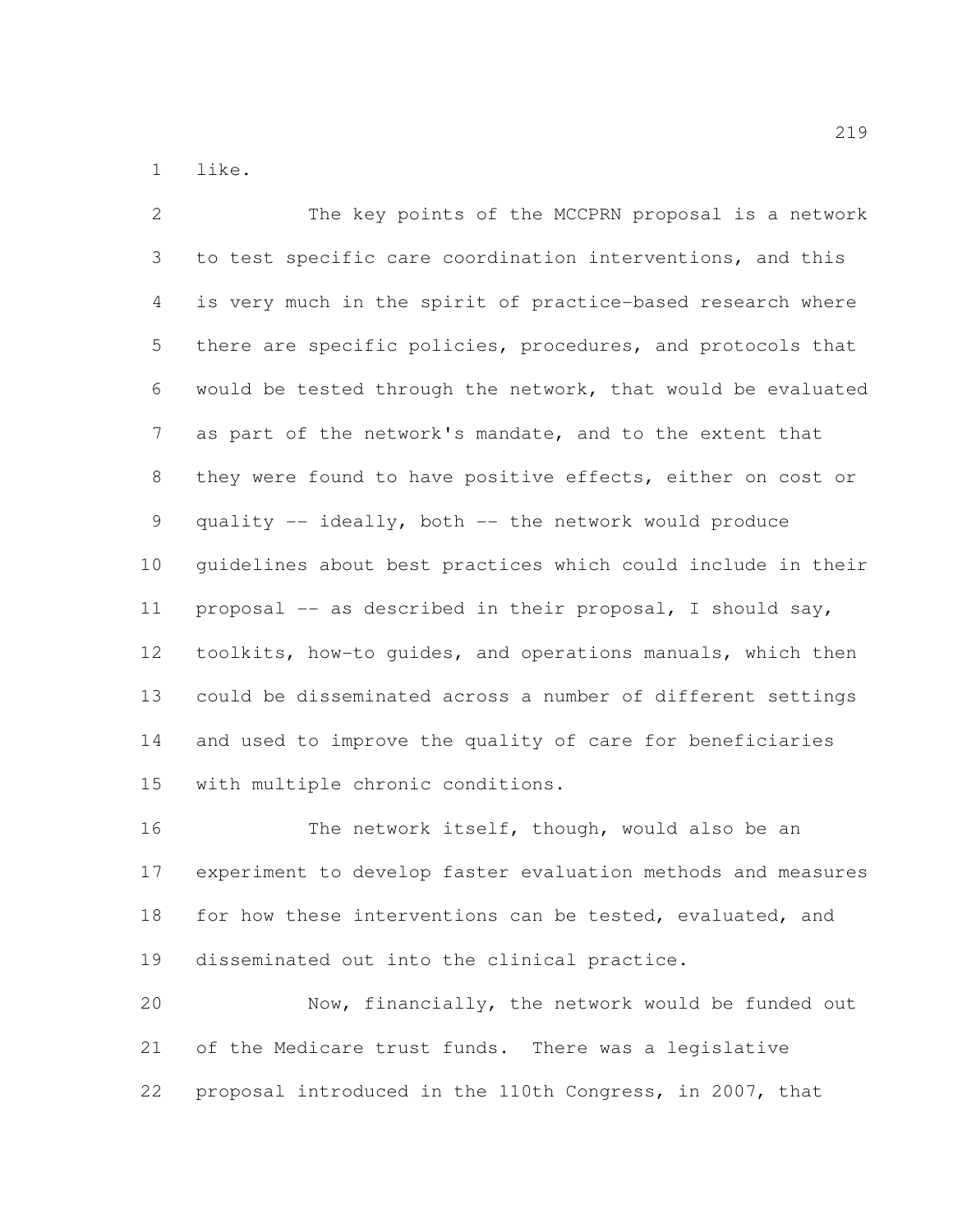like.

 The key points of the MCCPRN proposal is a network to test specific care coordination interventions, and this is very much in the spirit of practice-based research where 5 there are specific policies, procedures, and protocols that would be tested through the network, that would be evaluated as part of the network's mandate, and to the extent that they were found to have positive effects, either on cost or quality -- ideally, both -- the network would produce guidelines about best practices which could include in their proposal -- as described in their proposal, I should say, toolkits, how-to guides, and operations manuals, which then could be disseminated across a number of different settings and used to improve the quality of care for beneficiaries with multiple chronic conditions.

 The network itself, though, would also be an experiment to develop faster evaluation methods and measures 18 for how these interventions can be tested, evaluated, and disseminated out into the clinical practice.

 Now, financially, the network would be funded out of the Medicare trust funds. There was a legislative proposal introduced in the 110th Congress, in 2007, that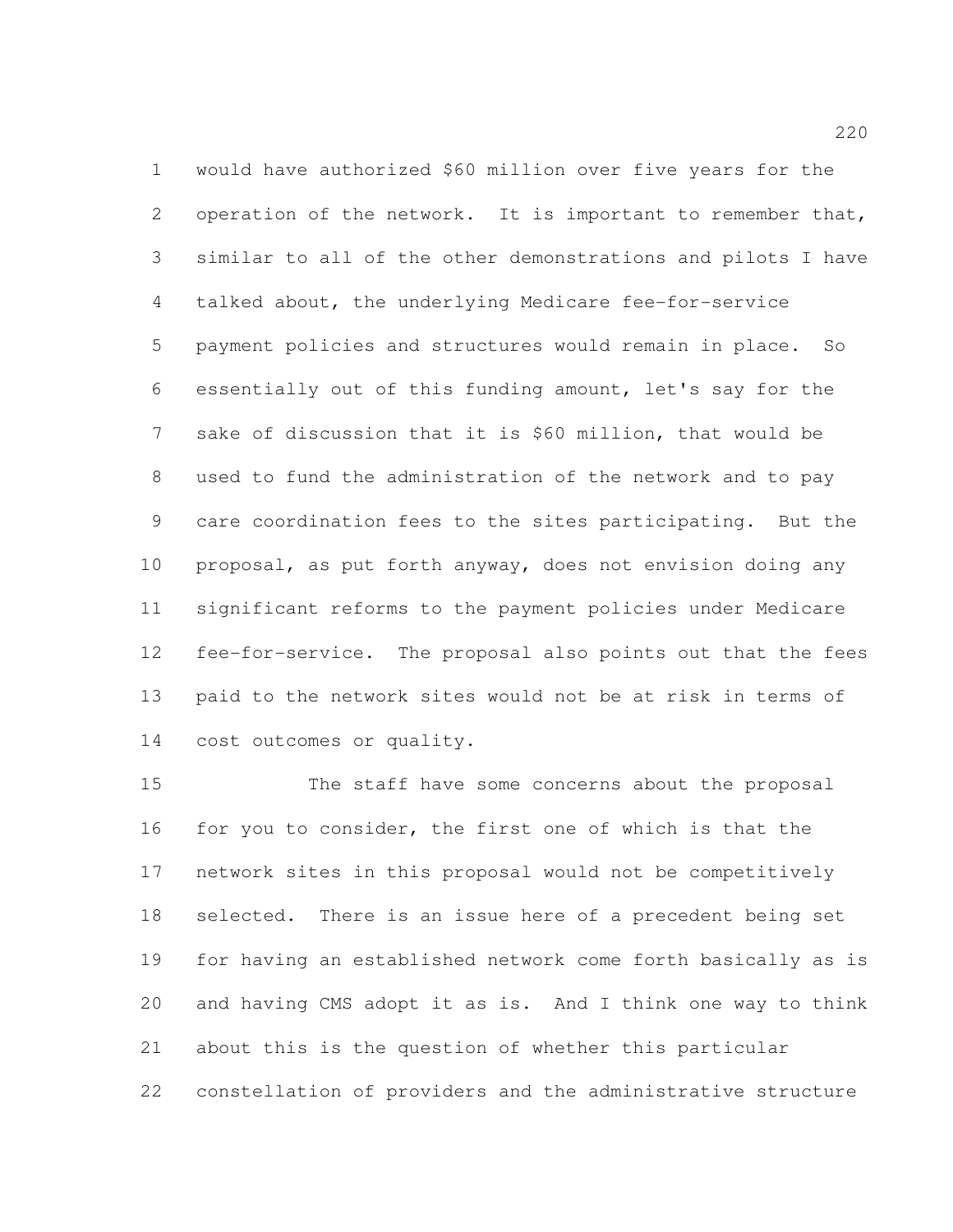would have authorized \$60 million over five years for the operation of the network. It is important to remember that, similar to all of the other demonstrations and pilots I have talked about, the underlying Medicare fee-for-service payment policies and structures would remain in place. So essentially out of this funding amount, let's say for the sake of discussion that it is \$60 million, that would be used to fund the administration of the network and to pay care coordination fees to the sites participating. But the proposal, as put forth anyway, does not envision doing any significant reforms to the payment policies under Medicare fee-for-service. The proposal also points out that the fees paid to the network sites would not be at risk in terms of cost outcomes or quality.

 The staff have some concerns about the proposal for you to consider, the first one of which is that the network sites in this proposal would not be competitively selected. There is an issue here of a precedent being set for having an established network come forth basically as is and having CMS adopt it as is. And I think one way to think about this is the question of whether this particular constellation of providers and the administrative structure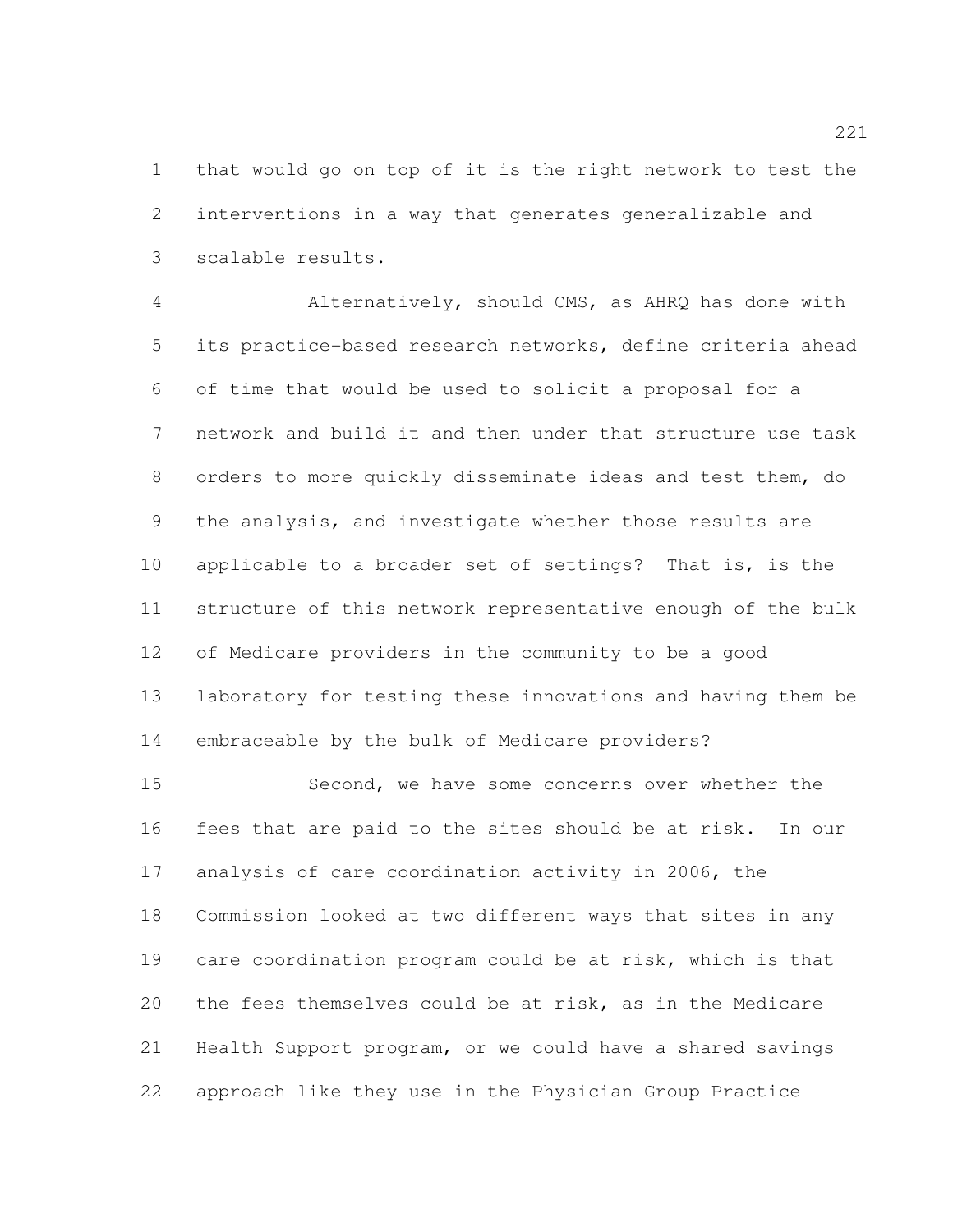that would go on top of it is the right network to test the interventions in a way that generates generalizable and scalable results.

 Alternatively, should CMS, as AHRQ has done with its practice-based research networks, define criteria ahead of time that would be used to solicit a proposal for a network and build it and then under that structure use task orders to more quickly disseminate ideas and test them, do the analysis, and investigate whether those results are applicable to a broader set of settings? That is, is the structure of this network representative enough of the bulk of Medicare providers in the community to be a good laboratory for testing these innovations and having them be embraceable by the bulk of Medicare providers?

15 Second, we have some concerns over whether the fees that are paid to the sites should be at risk. In our analysis of care coordination activity in 2006, the Commission looked at two different ways that sites in any care coordination program could be at risk, which is that the fees themselves could be at risk, as in the Medicare Health Support program, or we could have a shared savings approach like they use in the Physician Group Practice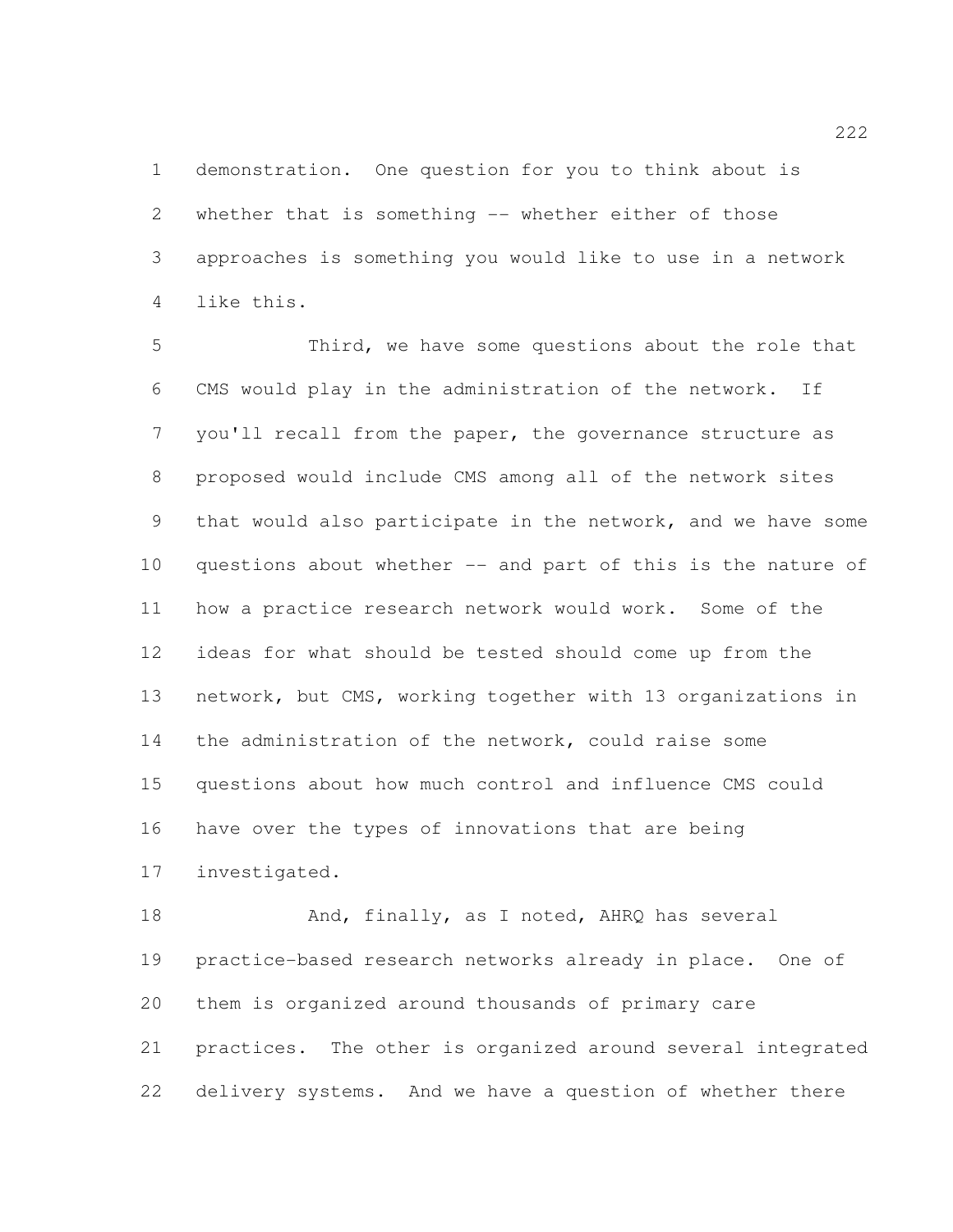demonstration. One question for you to think about is whether that is something -- whether either of those approaches is something you would like to use in a network like this.

 Third, we have some questions about the role that CMS would play in the administration of the network. If you'll recall from the paper, the governance structure as proposed would include CMS among all of the network sites that would also participate in the network, and we have some questions about whether -- and part of this is the nature of how a practice research network would work. Some of the ideas for what should be tested should come up from the network, but CMS, working together with 13 organizations in the administration of the network, could raise some questions about how much control and influence CMS could have over the types of innovations that are being investigated.

18 And, finally, as I noted, AHRQ has several practice-based research networks already in place. One of them is organized around thousands of primary care practices. The other is organized around several integrated delivery systems. And we have a question of whether there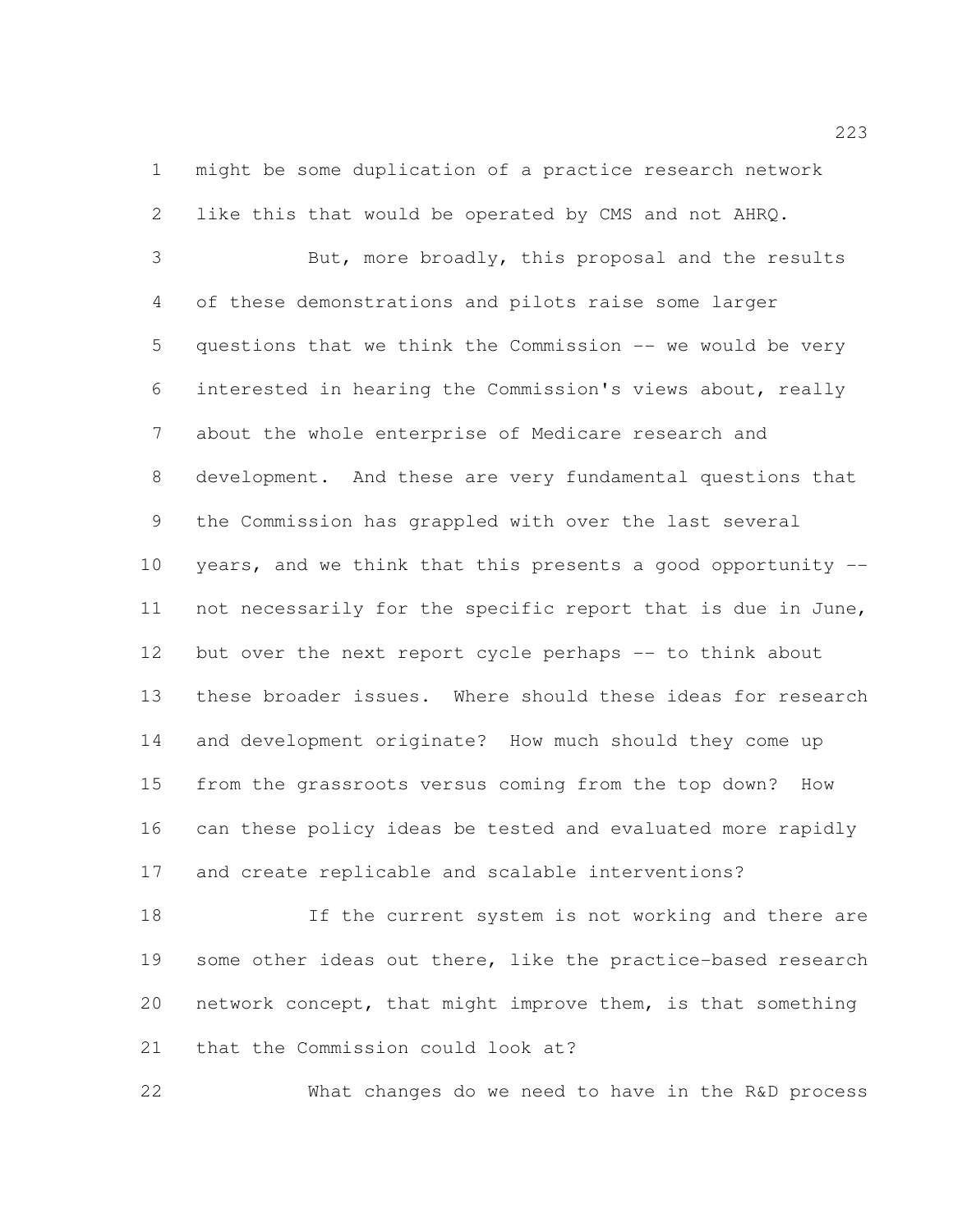might be some duplication of a practice research network like this that would be operated by CMS and not AHRQ.

 But, more broadly, this proposal and the results of these demonstrations and pilots raise some larger questions that we think the Commission -- we would be very interested in hearing the Commission's views about, really about the whole enterprise of Medicare research and development. And these are very fundamental questions that the Commission has grappled with over the last several years, and we think that this presents a good opportunity -- not necessarily for the specific report that is due in June, but over the next report cycle perhaps -- to think about these broader issues. Where should these ideas for research and development originate? How much should they come up from the grassroots versus coming from the top down? How can these policy ideas be tested and evaluated more rapidly and create replicable and scalable interventions?

 If the current system is not working and there are some other ideas out there, like the practice-based research network concept, that might improve them, is that something that the Commission could look at?

What changes do we need to have in the R&D process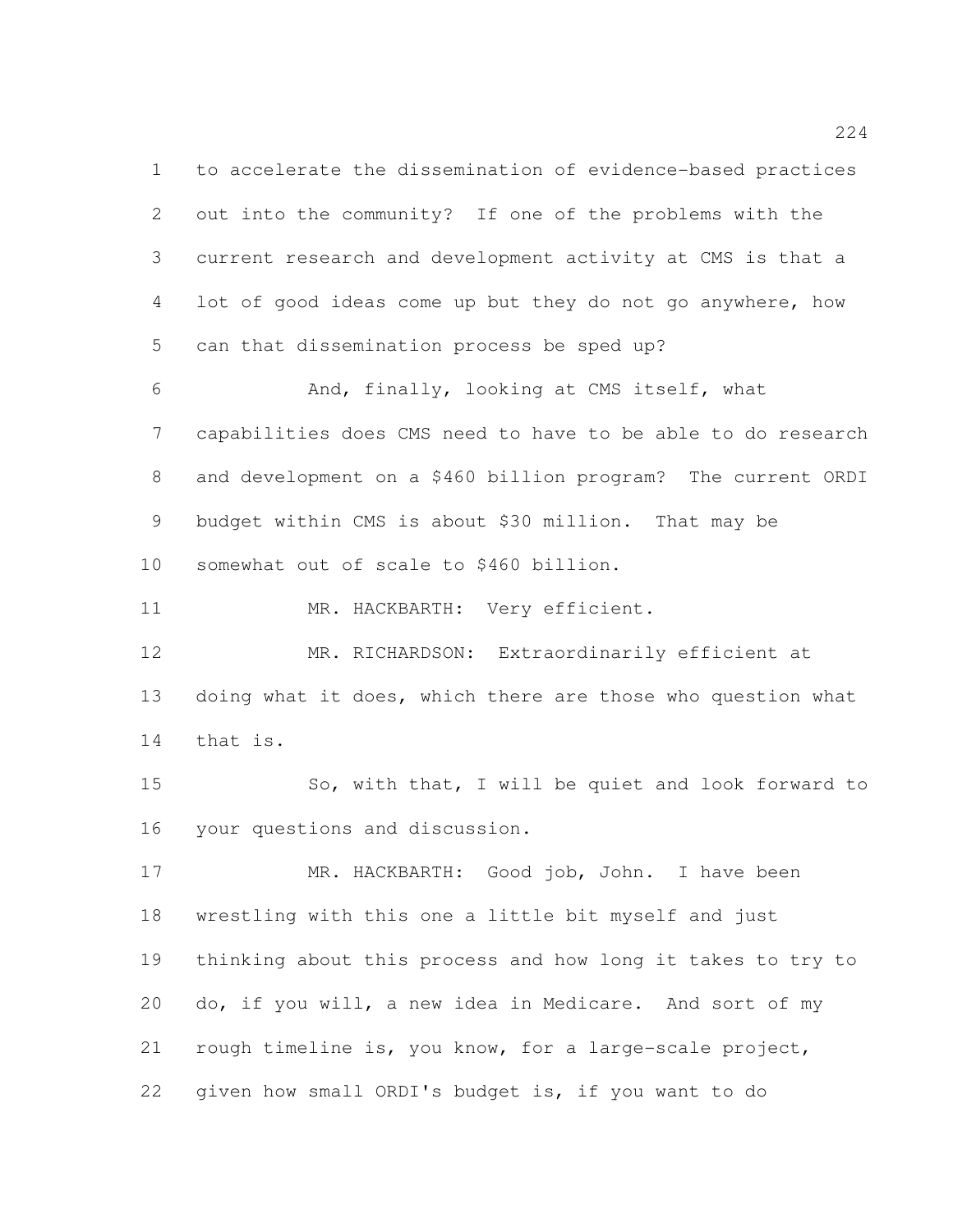to accelerate the dissemination of evidence-based practices out into the community? If one of the problems with the current research and development activity at CMS is that a lot of good ideas come up but they do not go anywhere, how can that dissemination process be sped up? And, finally, looking at CMS itself, what capabilities does CMS need to have to be able to do research and development on a \$460 billion program? The current ORDI budget within CMS is about \$30 million. That may be somewhat out of scale to \$460 billion. MR. HACKBARTH: Very efficient. MR. RICHARDSON: Extraordinarily efficient at doing what it does, which there are those who question what that is. So, with that, I will be quiet and look forward to your questions and discussion. MR. HACKBARTH: Good job, John. I have been wrestling with this one a little bit myself and just thinking about this process and how long it takes to try to do, if you will, a new idea in Medicare. And sort of my

rough timeline is, you know, for a large-scale project,

given how small ORDI's budget is, if you want to do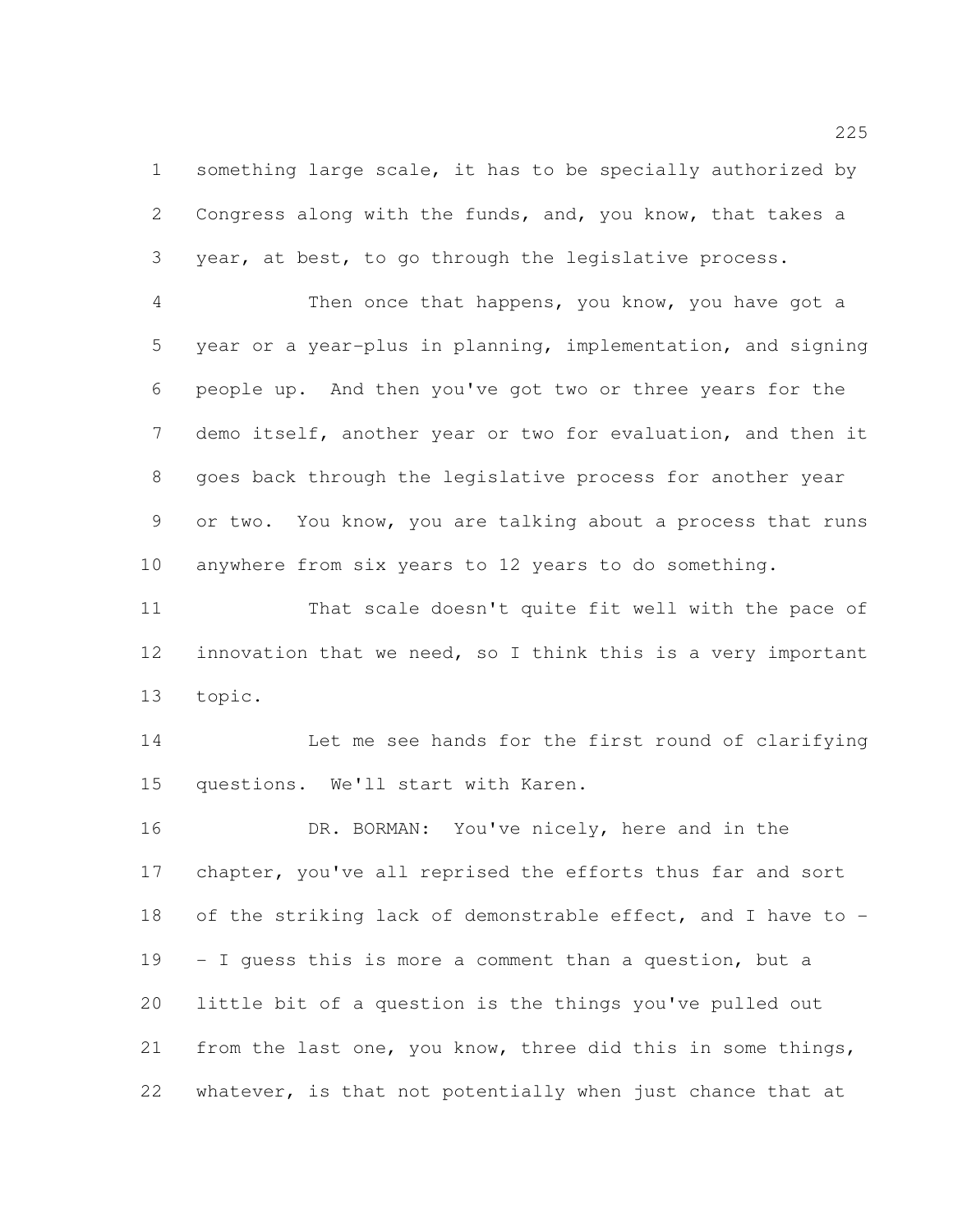something large scale, it has to be specially authorized by Congress along with the funds, and, you know, that takes a year, at best, to go through the legislative process.

 Then once that happens, you know, you have got a year or a year-plus in planning, implementation, and signing people up. And then you've got two or three years for the demo itself, another year or two for evaluation, and then it goes back through the legislative process for another year or two. You know, you are talking about a process that runs anywhere from six years to 12 years to do something.

 That scale doesn't quite fit well with the pace of innovation that we need, so I think this is a very important topic.

 Let me see hands for the first round of clarifying questions. We'll start with Karen.

 DR. BORMAN: You've nicely, here and in the chapter, you've all reprised the efforts thus far and sort of the striking lack of demonstrable effect, and I have to - - I guess this is more a comment than a question, but a little bit of a question is the things you've pulled out from the last one, you know, three did this in some things, whatever, is that not potentially when just chance that at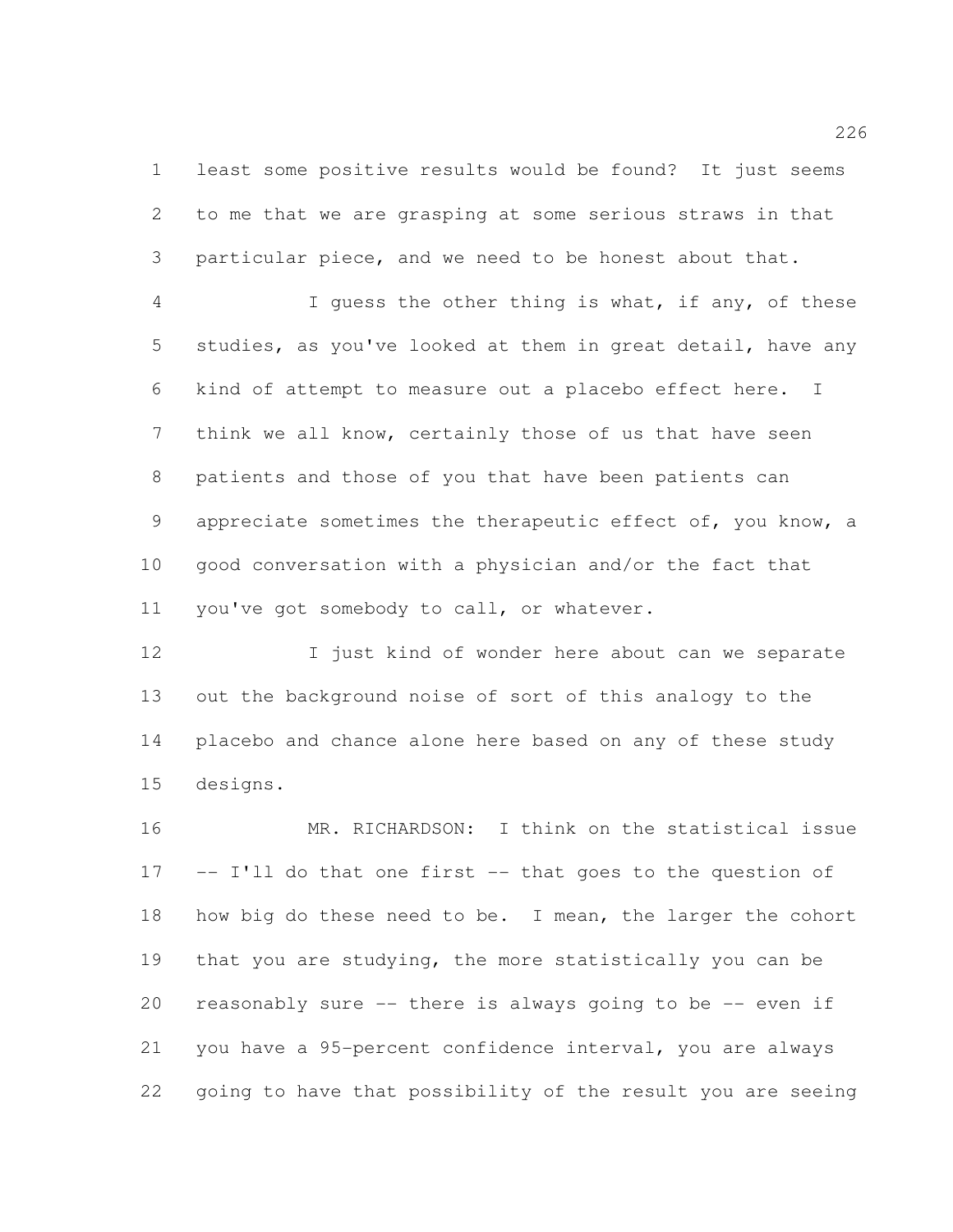least some positive results would be found? It just seems to me that we are grasping at some serious straws in that particular piece, and we need to be honest about that.

 I guess the other thing is what, if any, of these studies, as you've looked at them in great detail, have any kind of attempt to measure out a placebo effect here. I think we all know, certainly those of us that have seen patients and those of you that have been patients can appreciate sometimes the therapeutic effect of, you know, a good conversation with a physician and/or the fact that 11 you've got somebody to call, or whatever.

12 I just kind of wonder here about can we separate out the background noise of sort of this analogy to the placebo and chance alone here based on any of these study designs.

 MR. RICHARDSON: I think on the statistical issue -- I'll do that one first -- that goes to the question of 18 how big do these need to be. I mean, the larger the cohort that you are studying, the more statistically you can be reasonably sure -- there is always going to be -- even if you have a 95-percent confidence interval, you are always going to have that possibility of the result you are seeing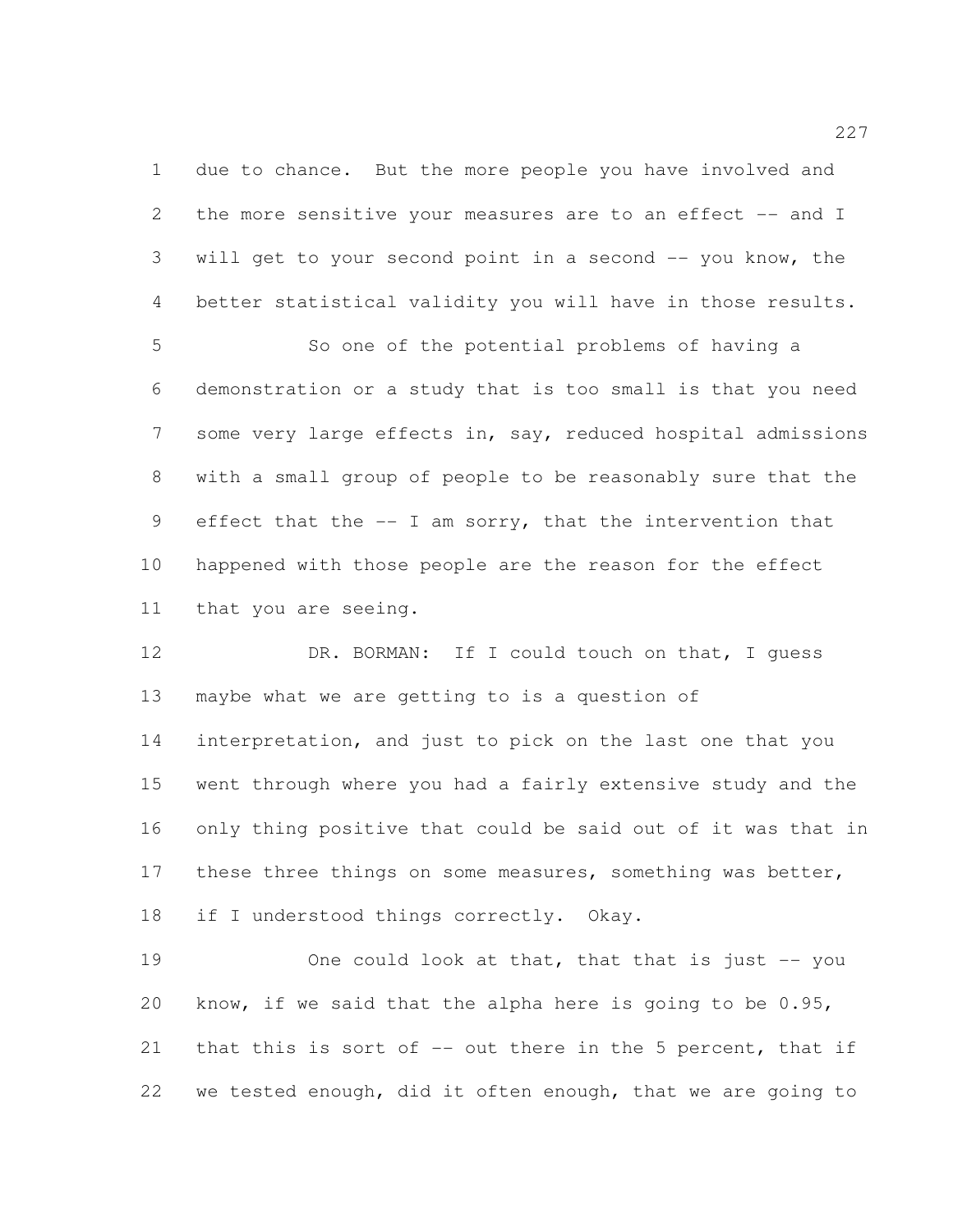due to chance. But the more people you have involved and 2 the more sensitive your measures are to an effect -- and I will get to your second point in a second -- you know, the better statistical validity you will have in those results.

 So one of the potential problems of having a demonstration or a study that is too small is that you need some very large effects in, say, reduced hospital admissions with a small group of people to be reasonably sure that the effect that the -- I am sorry, that the intervention that happened with those people are the reason for the effect that you are seeing.

12 DR. BORMAN: If I could touch on that, I quess maybe what we are getting to is a question of interpretation, and just to pick on the last one that you went through where you had a fairly extensive study and the only thing positive that could be said out of it was that in 17 these three things on some measures, something was better, 18 if I understood things correctly. Okay.

19 One could look at that, that that is just -- you know, if we said that the alpha here is going to be 0.95, that this is sort of -- out there in the 5 percent, that if we tested enough, did it often enough, that we are going to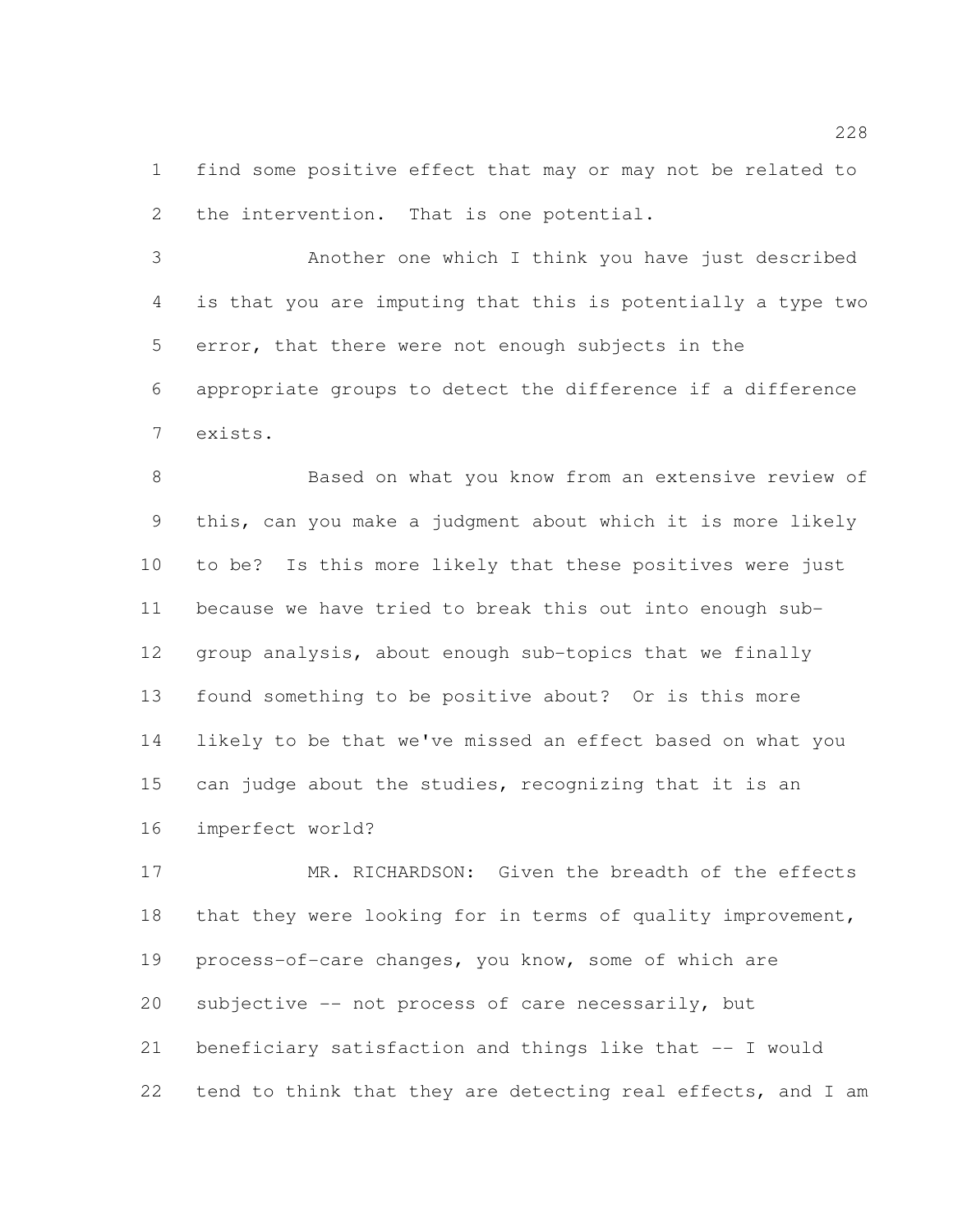find some positive effect that may or may not be related to 2 the intervention. That is one potential.

 Another one which I think you have just described is that you are imputing that this is potentially a type two error, that there were not enough subjects in the appropriate groups to detect the difference if a difference exists.

 Based on what you know from an extensive review of this, can you make a judgment about which it is more likely to be? Is this more likely that these positives were just because we have tried to break this out into enough sub- group analysis, about enough sub-topics that we finally found something to be positive about? Or is this more likely to be that we've missed an effect based on what you can judge about the studies, recognizing that it is an imperfect world?

 MR. RICHARDSON: Given the breadth of the effects 18 that they were looking for in terms of quality improvement, process-of-care changes, you know, some of which are subjective -- not process of care necessarily, but beneficiary satisfaction and things like that -- I would 22 tend to think that they are detecting real effects, and I am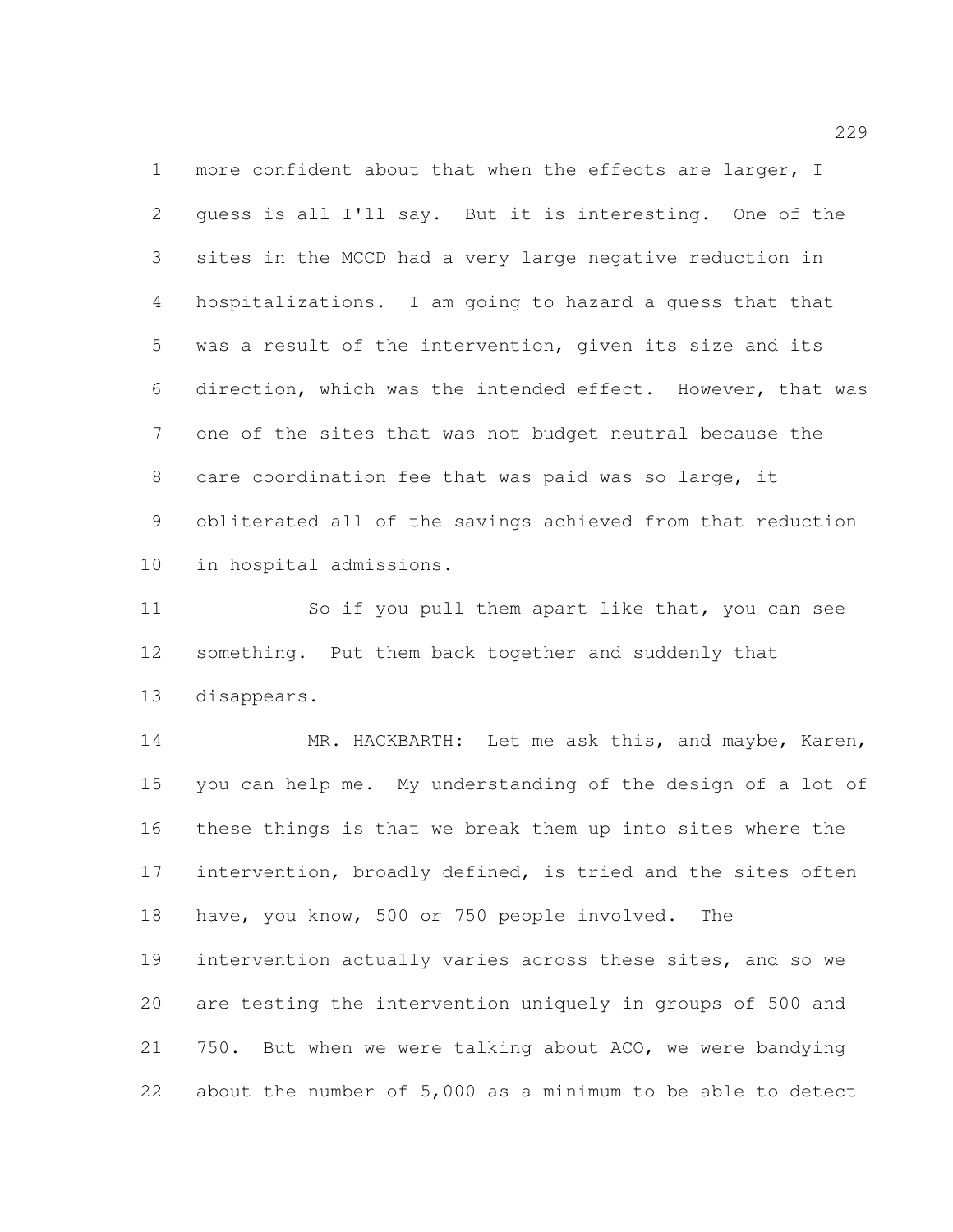more confident about that when the effects are larger, I guess is all I'll say. But it is interesting. One of the sites in the MCCD had a very large negative reduction in hospitalizations. I am going to hazard a guess that that was a result of the intervention, given its size and its direction, which was the intended effect. However, that was one of the sites that was not budget neutral because the care coordination fee that was paid was so large, it obliterated all of the savings achieved from that reduction in hospital admissions.

11 So if you pull them apart like that, you can see something. Put them back together and suddenly that disappears.

 MR. HACKBARTH: Let me ask this, and maybe, Karen, you can help me. My understanding of the design of a lot of these things is that we break them up into sites where the 17 intervention, broadly defined, is tried and the sites often have, you know, 500 or 750 people involved. The intervention actually varies across these sites, and so we are testing the intervention uniquely in groups of 500 and 750. But when we were talking about ACO, we were bandying about the number of 5,000 as a minimum to be able to detect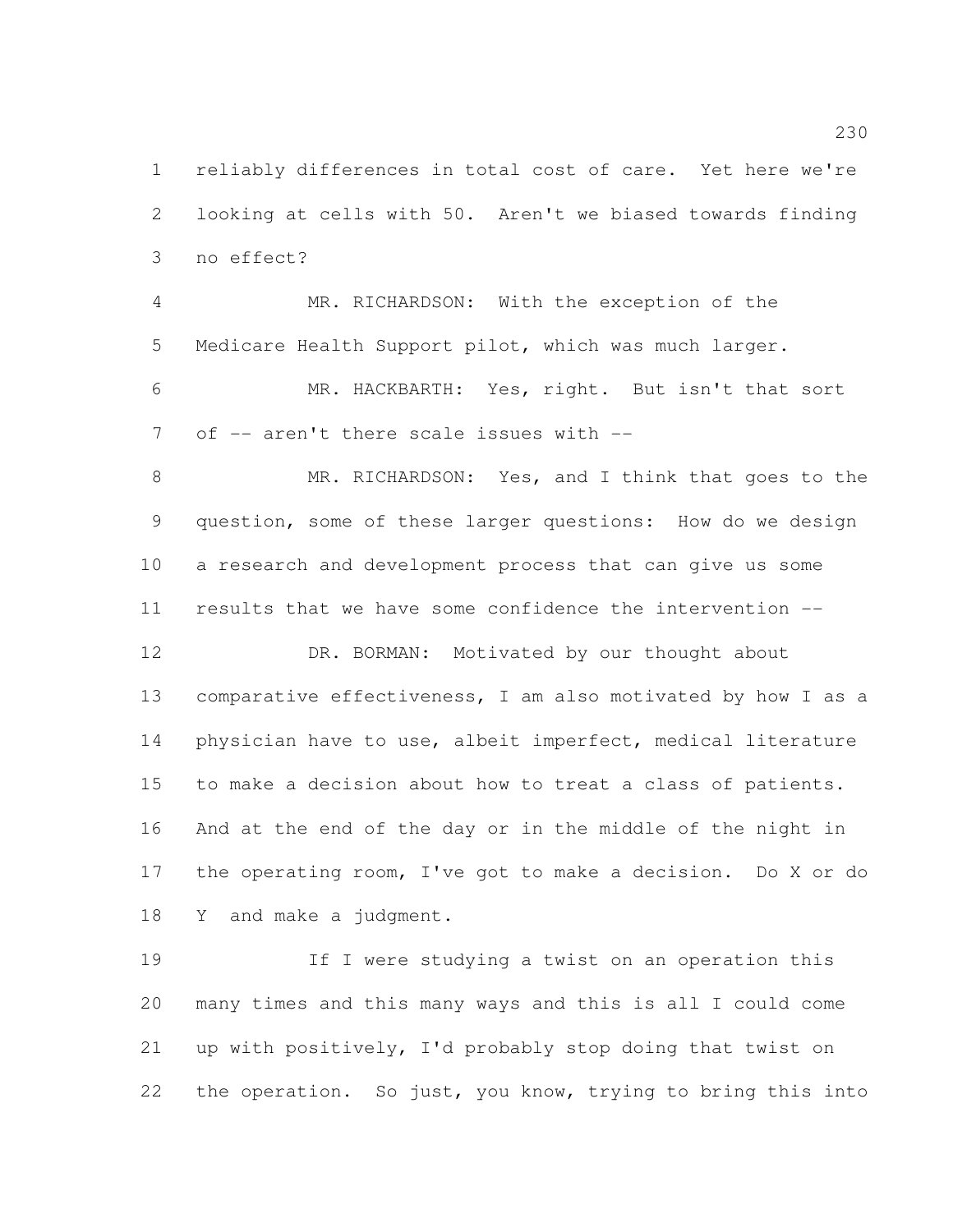reliably differences in total cost of care. Yet here we're looking at cells with 50. Aren't we biased towards finding no effect?

 MR. RICHARDSON: With the exception of the Medicare Health Support pilot, which was much larger. MR. HACKBARTH: Yes, right. But isn't that sort

7 of -- aren't there scale issues with --

8 MR. RICHARDSON: Yes, and I think that goes to the question, some of these larger questions: How do we design a research and development process that can give us some results that we have some confidence the intervention --

12 DR. BORMAN: Motivated by our thought about comparative effectiveness, I am also motivated by how I as a physician have to use, albeit imperfect, medical literature to make a decision about how to treat a class of patients. And at the end of the day or in the middle of the night in the operating room, I've got to make a decision. Do X or do Y and make a judgment.

 If I were studying a twist on an operation this many times and this many ways and this is all I could come up with positively, I'd probably stop doing that twist on 22 the operation. So just, you know, trying to bring this into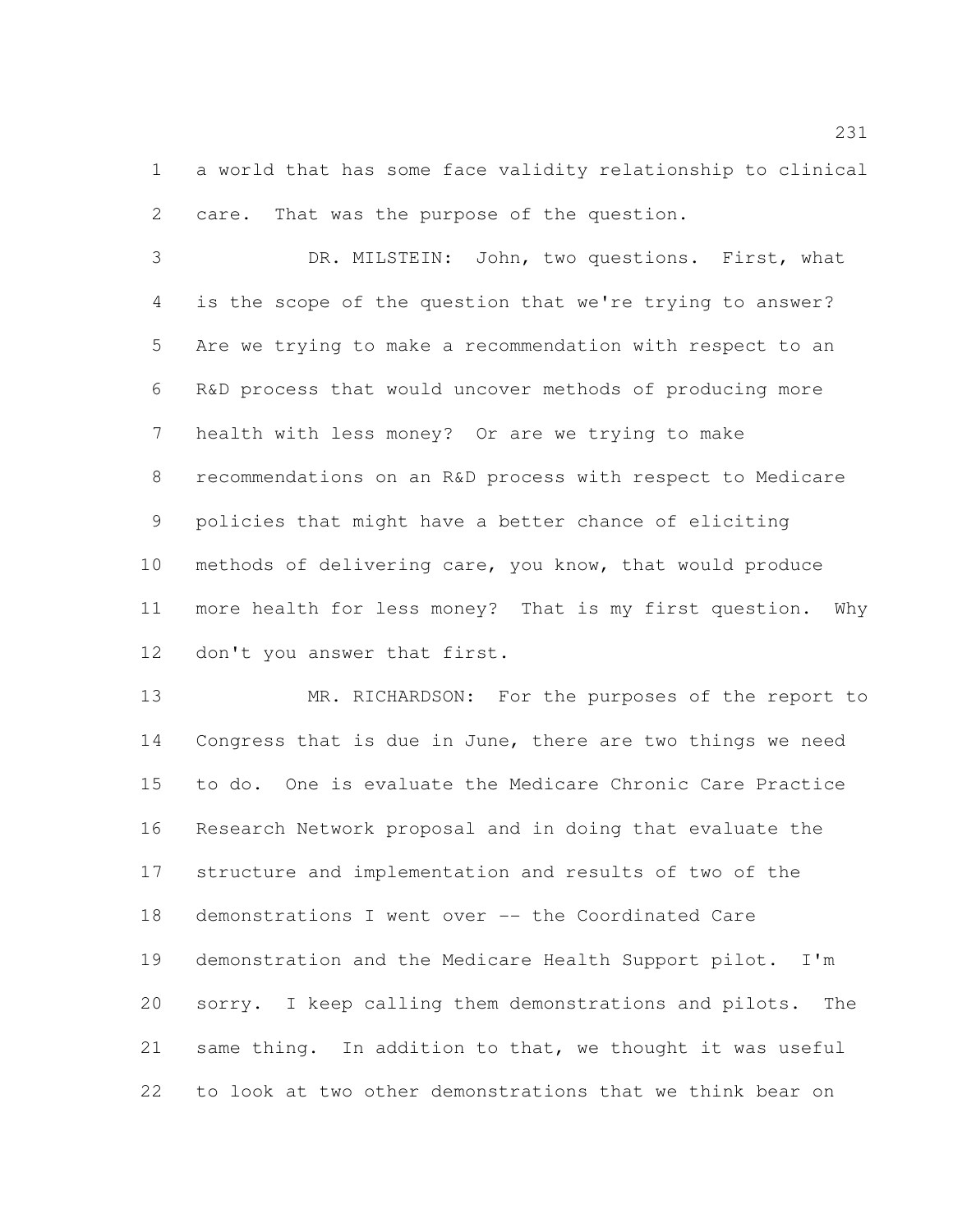a world that has some face validity relationship to clinical care. That was the purpose of the question.

 DR. MILSTEIN: John, two questions. First, what is the scope of the question that we're trying to answer? Are we trying to make a recommendation with respect to an R&D process that would uncover methods of producing more health with less money? Or are we trying to make recommendations on an R&D process with respect to Medicare policies that might have a better chance of eliciting methods of delivering care, you know, that would produce more health for less money? That is my first question. Why don't you answer that first.

 MR. RICHARDSON: For the purposes of the report to Congress that is due in June, there are two things we need to do. One is evaluate the Medicare Chronic Care Practice Research Network proposal and in doing that evaluate the structure and implementation and results of two of the demonstrations I went over -- the Coordinated Care demonstration and the Medicare Health Support pilot. I'm sorry. I keep calling them demonstrations and pilots. The same thing. In addition to that, we thought it was useful to look at two other demonstrations that we think bear on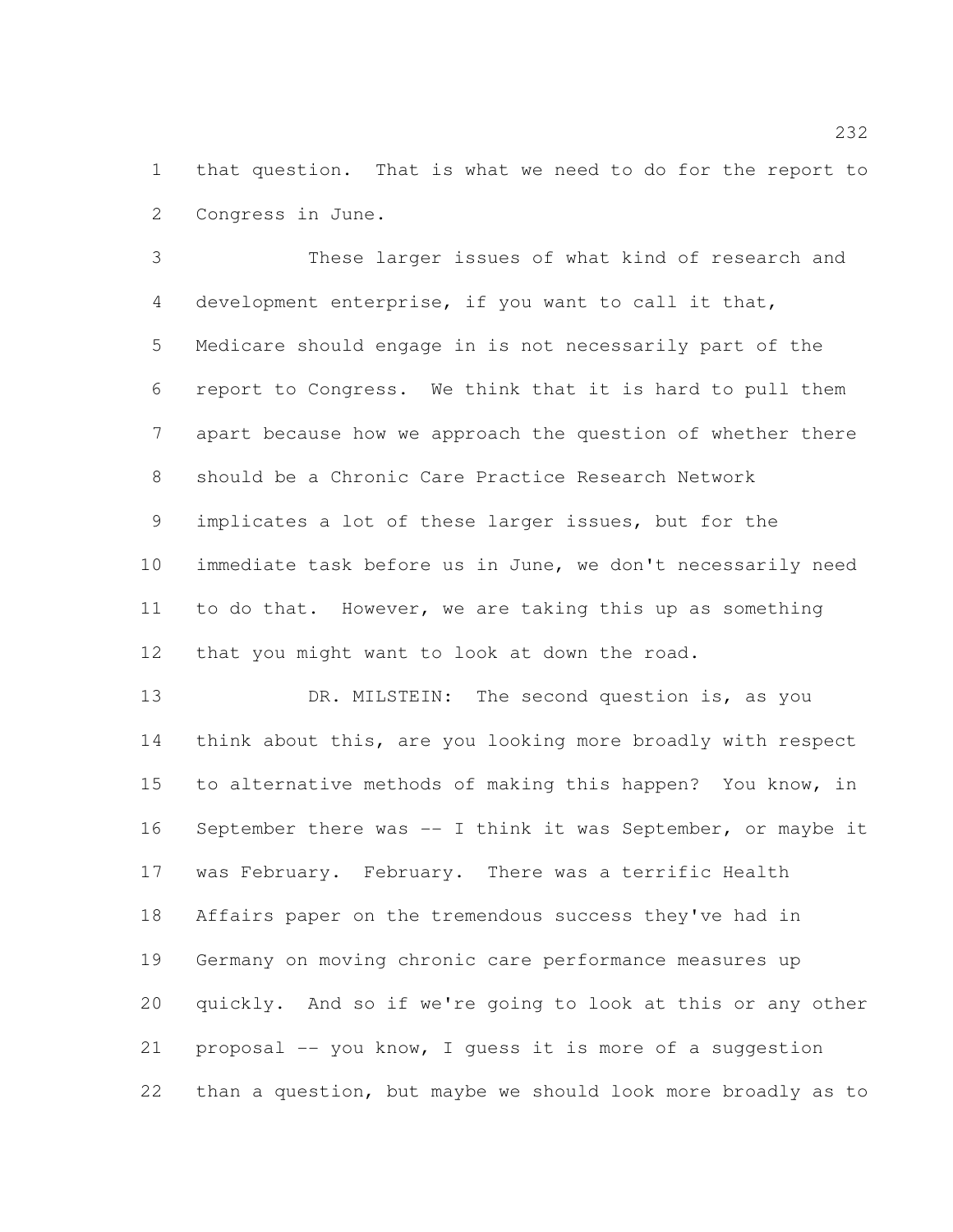that question. That is what we need to do for the report to Congress in June.

 These larger issues of what kind of research and development enterprise, if you want to call it that, Medicare should engage in is not necessarily part of the report to Congress. We think that it is hard to pull them apart because how we approach the question of whether there should be a Chronic Care Practice Research Network implicates a lot of these larger issues, but for the immediate task before us in June, we don't necessarily need to do that. However, we are taking this up as something that you might want to look at down the road.

13 DR. MILSTEIN: The second question is, as you think about this, are you looking more broadly with respect to alternative methods of making this happen? You know, in September there was -- I think it was September, or maybe it was February. February. There was a terrific Health Affairs paper on the tremendous success they've had in Germany on moving chronic care performance measures up quickly. And so if we're going to look at this or any other proposal -- you know, I guess it is more of a suggestion than a question, but maybe we should look more broadly as to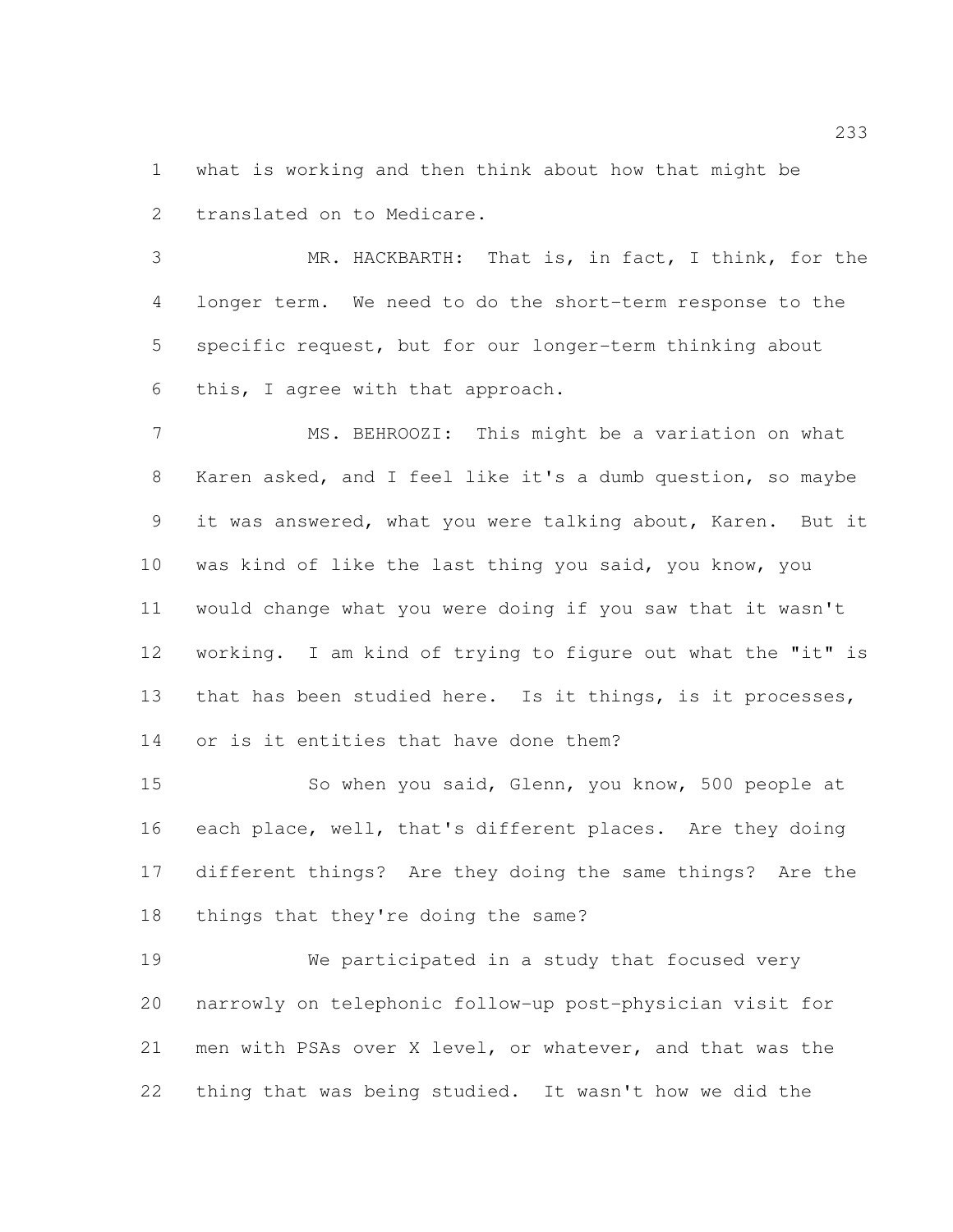what is working and then think about how that might be translated on to Medicare.

 MR. HACKBARTH: That is, in fact, I think, for the longer term. We need to do the short-term response to the specific request, but for our longer-term thinking about this, I agree with that approach.

 MS. BEHROOZI: This might be a variation on what Karen asked, and I feel like it's a dumb question, so maybe it was answered, what you were talking about, Karen. But it was kind of like the last thing you said, you know, you would change what you were doing if you saw that it wasn't working. I am kind of trying to figure out what the "it" is 13 that has been studied here. Is it things, is it processes, or is it entities that have done them?

15 So when you said, Glenn, you know, 500 people at each place, well, that's different places. Are they doing different things? Are they doing the same things? Are the things that they're doing the same?

 We participated in a study that focused very narrowly on telephonic follow-up post-physician visit for men with PSAs over X level, or whatever, and that was the thing that was being studied. It wasn't how we did the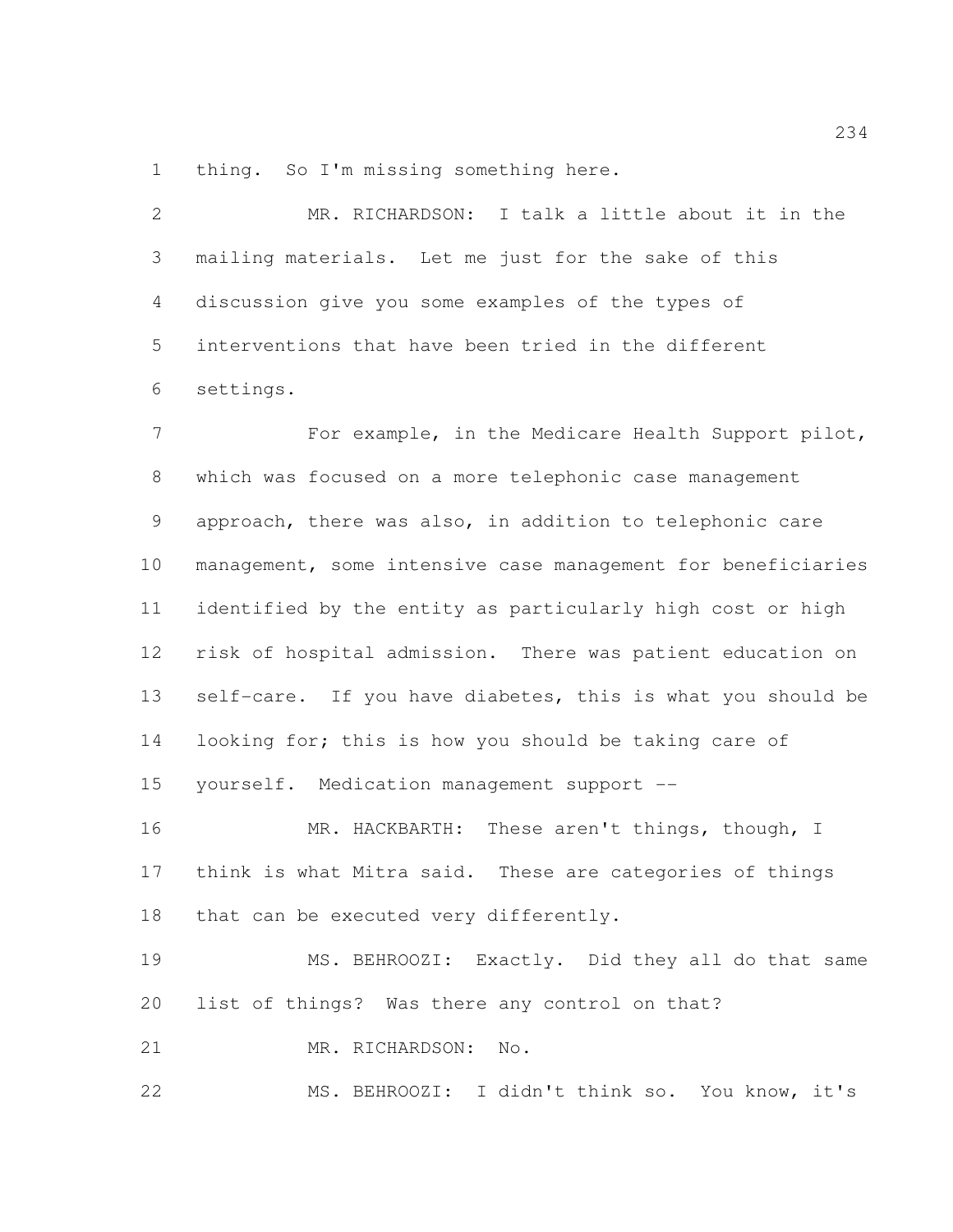thing. So I'm missing something here.

| 2               | MR. RICHARDSON: I talk a little about it in the     |
|-----------------|-----------------------------------------------------|
| 3               | mailing materials. Let me just for the sake of this |
| $4\overline{ }$ | discussion give you some examples of the types of   |
| 5               | interventions that have been tried in the different |
| 6               | settings.                                           |

 For example, in the Medicare Health Support pilot, which was focused on a more telephonic case management approach, there was also, in addition to telephonic care management, some intensive case management for beneficiaries identified by the entity as particularly high cost or high risk of hospital admission. There was patient education on 13 self-care. If you have diabetes, this is what you should be 14 looking for; this is how you should be taking care of yourself. Medication management support --

 MR. HACKBARTH: These aren't things, though, I think is what Mitra said. These are categories of things 18 that can be executed very differently.

 MS. BEHROOZI: Exactly. Did they all do that same list of things? Was there any control on that?

21 MR. RICHARDSON: No.

MS. BEHROOZI: I didn't think so. You know, it's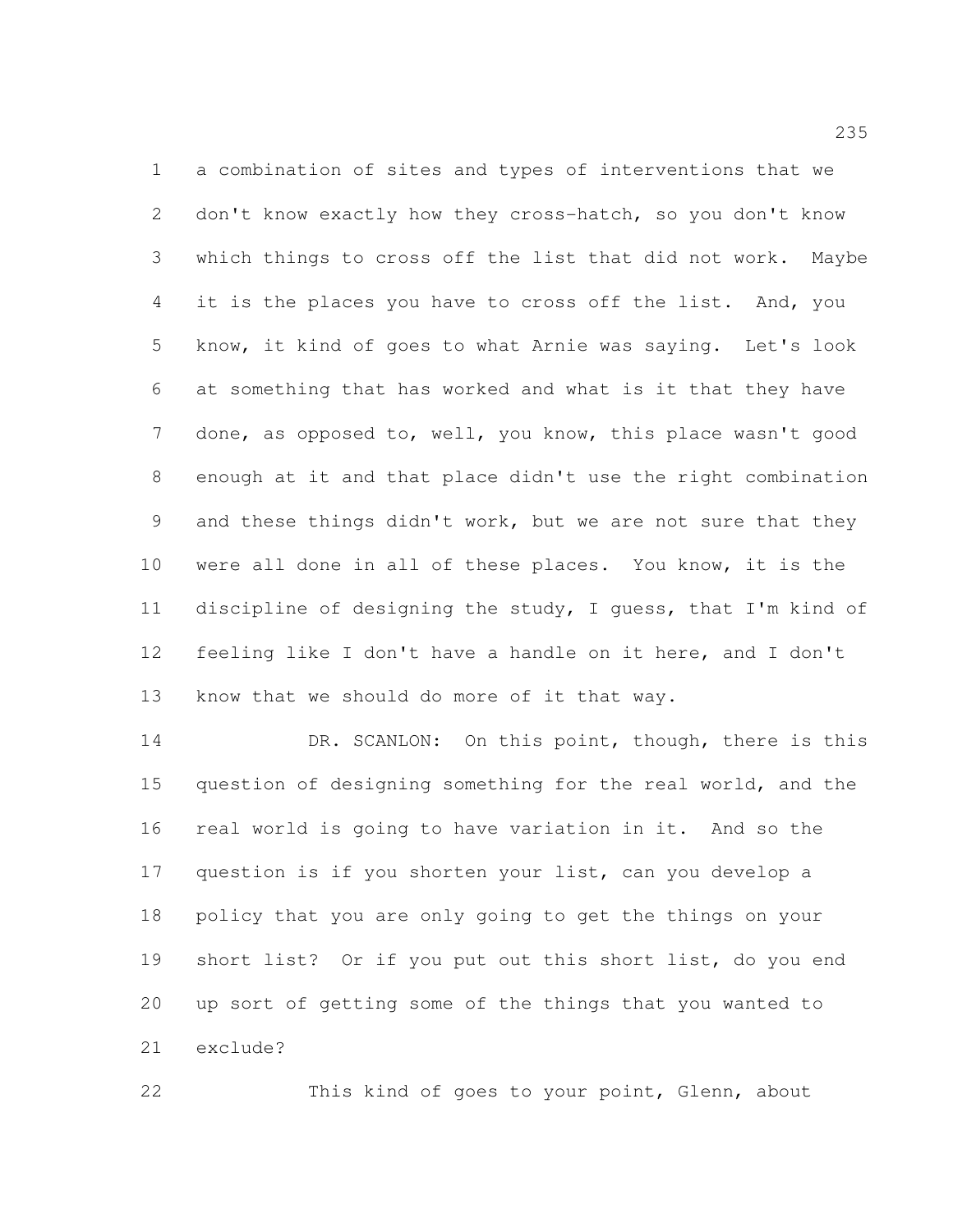a combination of sites and types of interventions that we don't know exactly how they cross-hatch, so you don't know which things to cross off the list that did not work. Maybe 4 it is the places you have to cross off the list. And, you know, it kind of goes to what Arnie was saying. Let's look at something that has worked and what is it that they have done, as opposed to, well, you know, this place wasn't good enough at it and that place didn't use the right combination and these things didn't work, but we are not sure that they were all done in all of these places. You know, it is the discipline of designing the study, I guess, that I'm kind of feeling like I don't have a handle on it here, and I don't know that we should do more of it that way.

14 DR. SCANLON: On this point, though, there is this question of designing something for the real world, and the real world is going to have variation in it. And so the question is if you shorten your list, can you develop a policy that you are only going to get the things on your short list? Or if you put out this short list, do you end up sort of getting some of the things that you wanted to exclude?

This kind of goes to your point, Glenn, about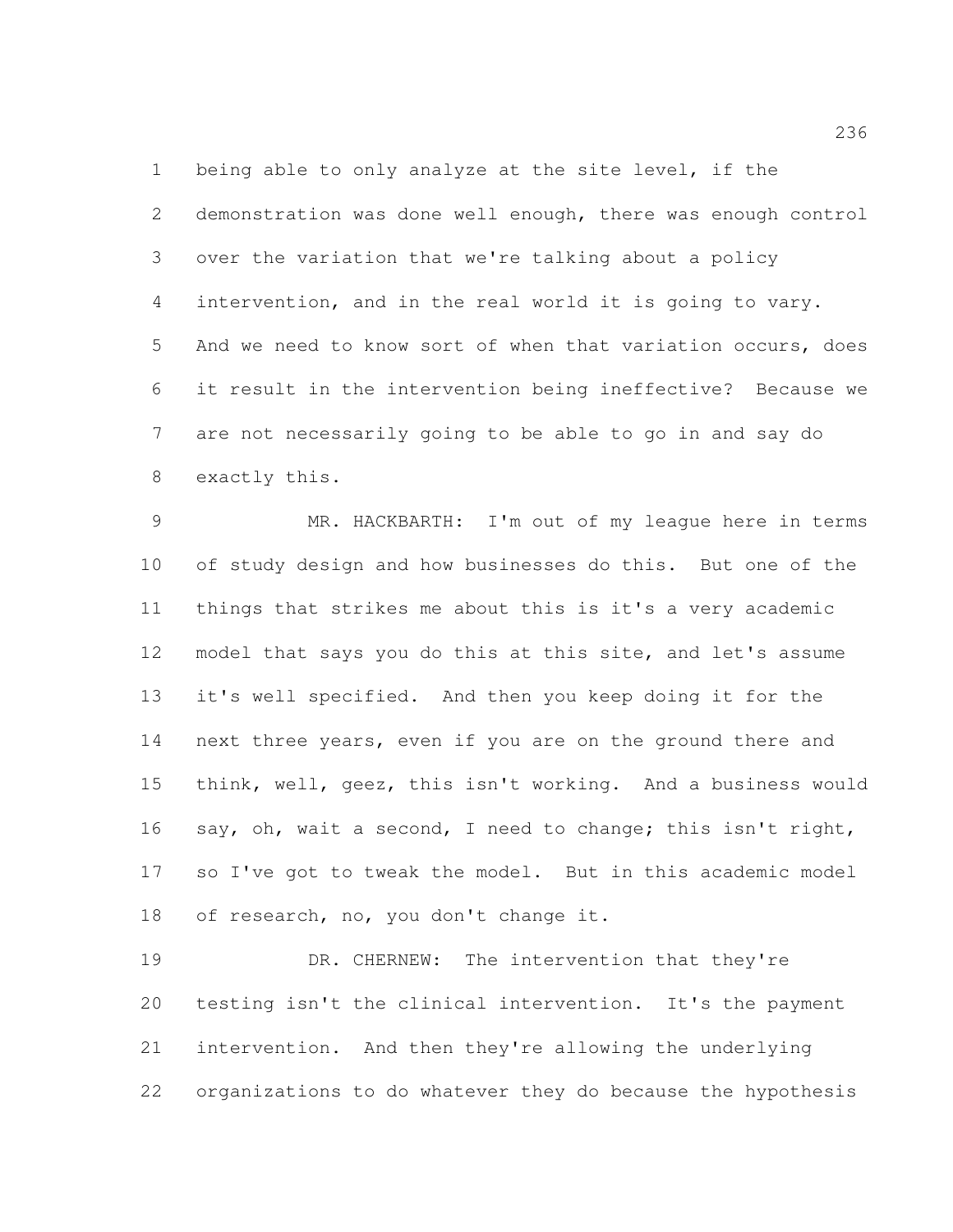being able to only analyze at the site level, if the demonstration was done well enough, there was enough control over the variation that we're talking about a policy intervention, and in the real world it is going to vary. And we need to know sort of when that variation occurs, does it result in the intervention being ineffective? Because we are not necessarily going to be able to go in and say do exactly this.

 MR. HACKBARTH: I'm out of my league here in terms of study design and how businesses do this. But one of the things that strikes me about this is it's a very academic model that says you do this at this site, and let's assume it's well specified. And then you keep doing it for the next three years, even if you are on the ground there and think, well, geez, this isn't working. And a business would say, oh, wait a second, I need to change; this isn't right, so I've got to tweak the model. But in this academic model of research, no, you don't change it.

 DR. CHERNEW: The intervention that they're testing isn't the clinical intervention. It's the payment intervention. And then they're allowing the underlying organizations to do whatever they do because the hypothesis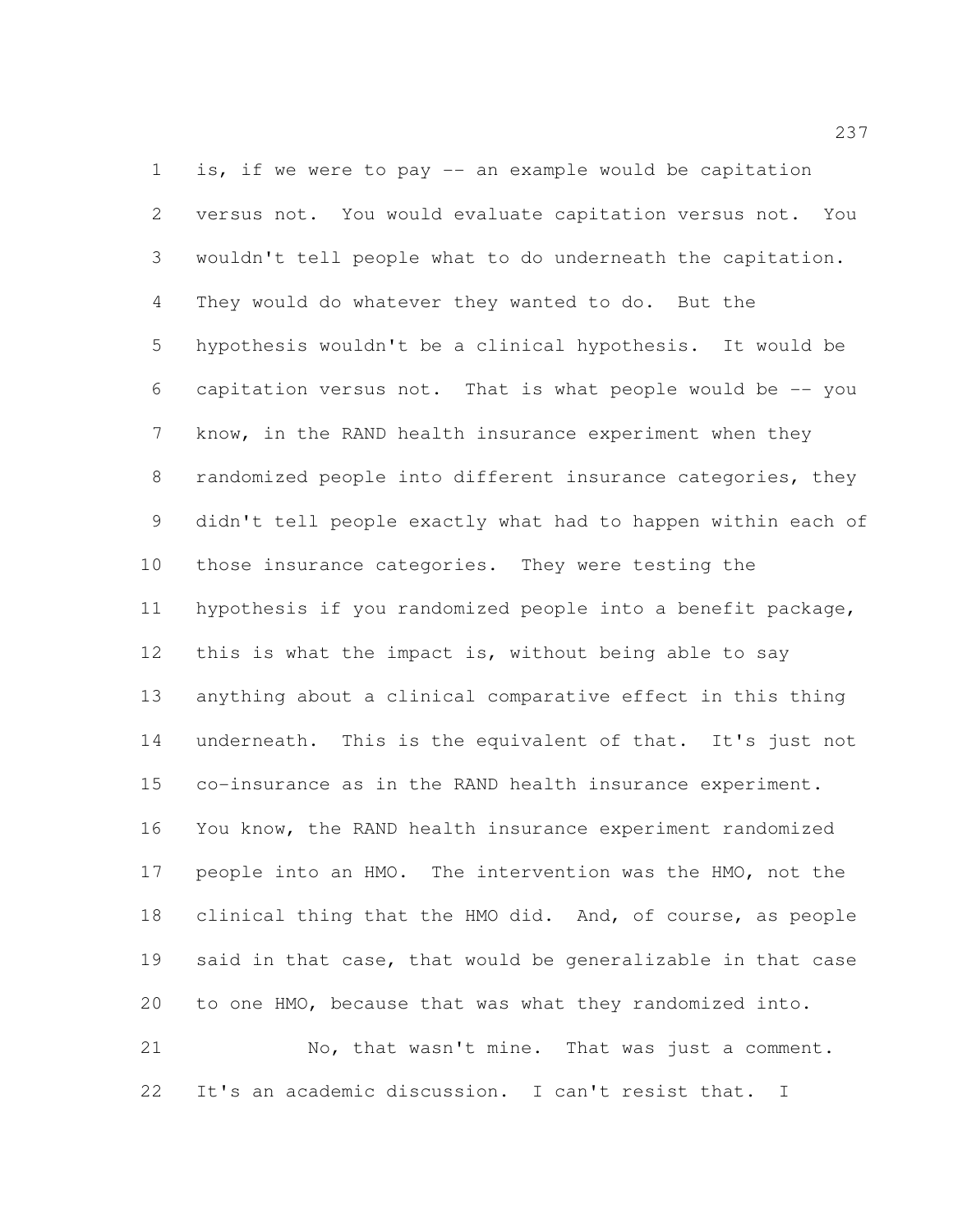is, if we were to pay -- an example would be capitation versus not. You would evaluate capitation versus not. You wouldn't tell people what to do underneath the capitation. They would do whatever they wanted to do. But the hypothesis wouldn't be a clinical hypothesis. It would be capitation versus not. That is what people would be -- you know, in the RAND health insurance experiment when they randomized people into different insurance categories, they didn't tell people exactly what had to happen within each of those insurance categories. They were testing the hypothesis if you randomized people into a benefit package, 12 this is what the impact is, without being able to say anything about a clinical comparative effect in this thing 14 underneath. This is the equivalent of that. It's just not co-insurance as in the RAND health insurance experiment. You know, the RAND health insurance experiment randomized people into an HMO. The intervention was the HMO, not the clinical thing that the HMO did. And, of course, as people said in that case, that would be generalizable in that case to one HMO, because that was what they randomized into. No, that wasn't mine. That was just a comment.

It's an academic discussion. I can't resist that. I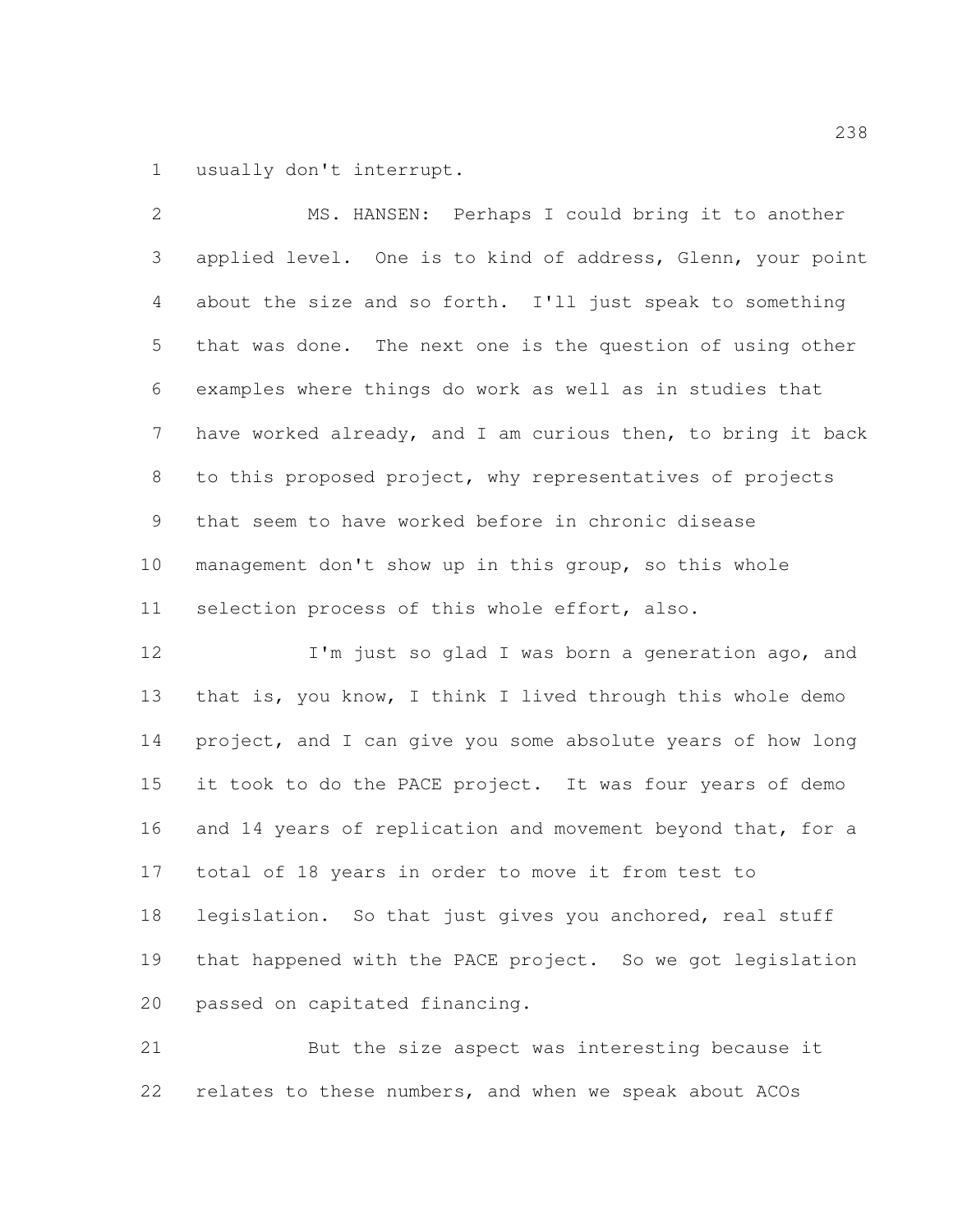usually don't interrupt.

 MS. HANSEN: Perhaps I could bring it to another applied level. One is to kind of address, Glenn, your point about the size and so forth. I'll just speak to something that was done. The next one is the question of using other examples where things do work as well as in studies that have worked already, and I am curious then, to bring it back to this proposed project, why representatives of projects that seem to have worked before in chronic disease management don't show up in this group, so this whole selection process of this whole effort, also. 12 I'm just so glad I was born a generation ago, and that is, you know, I think I lived through this whole demo

 project, and I can give you some absolute years of how long it took to do the PACE project. It was four years of demo 16 and 14 years of replication and movement beyond that, for a total of 18 years in order to move it from test to legislation. So that just gives you anchored, real stuff that happened with the PACE project. So we got legislation passed on capitated financing.

 But the size aspect was interesting because it relates to these numbers, and when we speak about ACOs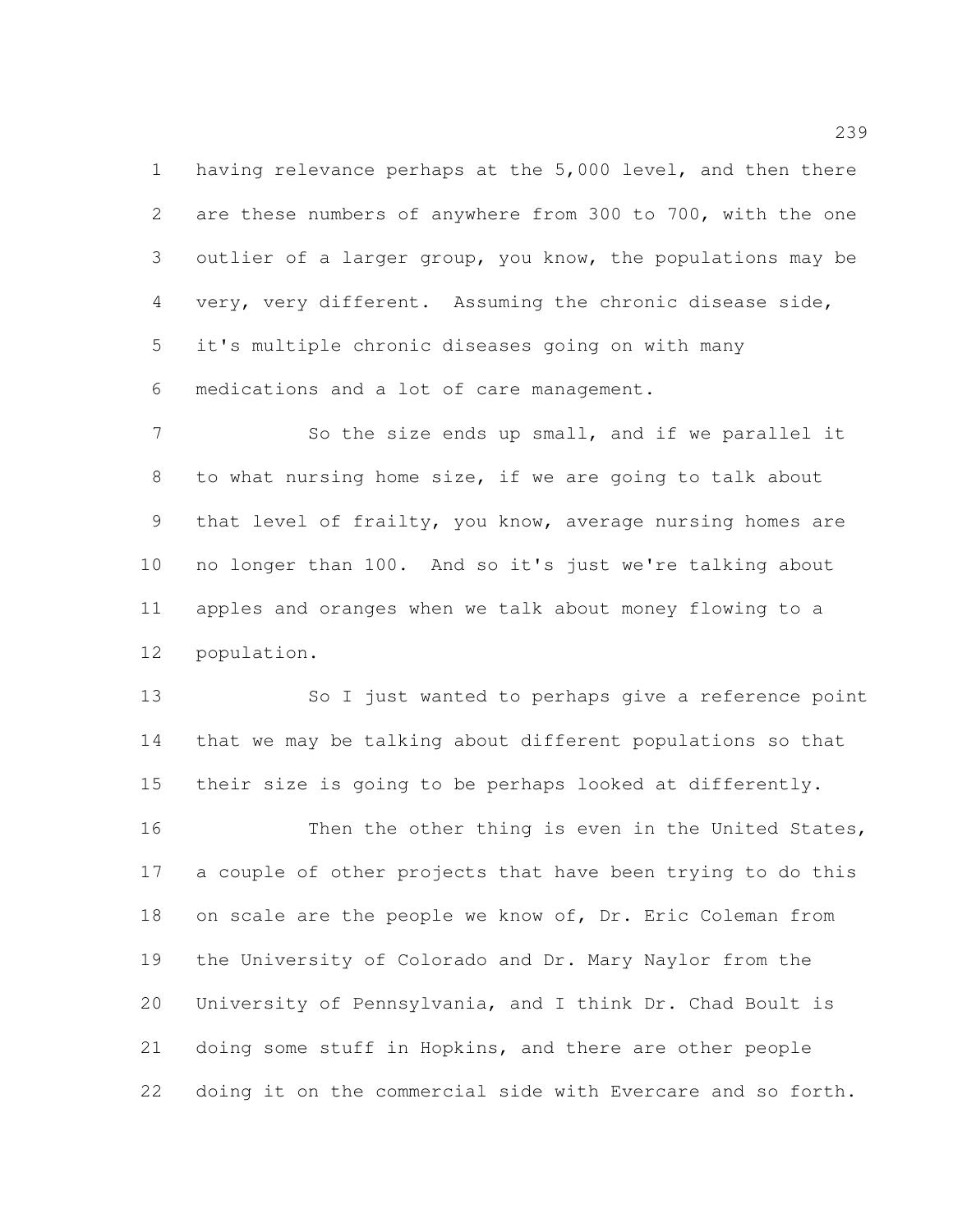having relevance perhaps at the 5,000 level, and then there are these numbers of anywhere from 300 to 700, with the one outlier of a larger group, you know, the populations may be very, very different. Assuming the chronic disease side, it's multiple chronic diseases going on with many medications and a lot of care management.

7 So the size ends up small, and if we parallel it to what nursing home size, if we are going to talk about that level of frailty, you know, average nursing homes are no longer than 100. And so it's just we're talking about apples and oranges when we talk about money flowing to a population.

 So I just wanted to perhaps give a reference point that we may be talking about different populations so that their size is going to be perhaps looked at differently.

16 Then the other thing is even in the United States, a couple of other projects that have been trying to do this 18 on scale are the people we know of, Dr. Eric Coleman from the University of Colorado and Dr. Mary Naylor from the University of Pennsylvania, and I think Dr. Chad Boult is doing some stuff in Hopkins, and there are other people doing it on the commercial side with Evercare and so forth.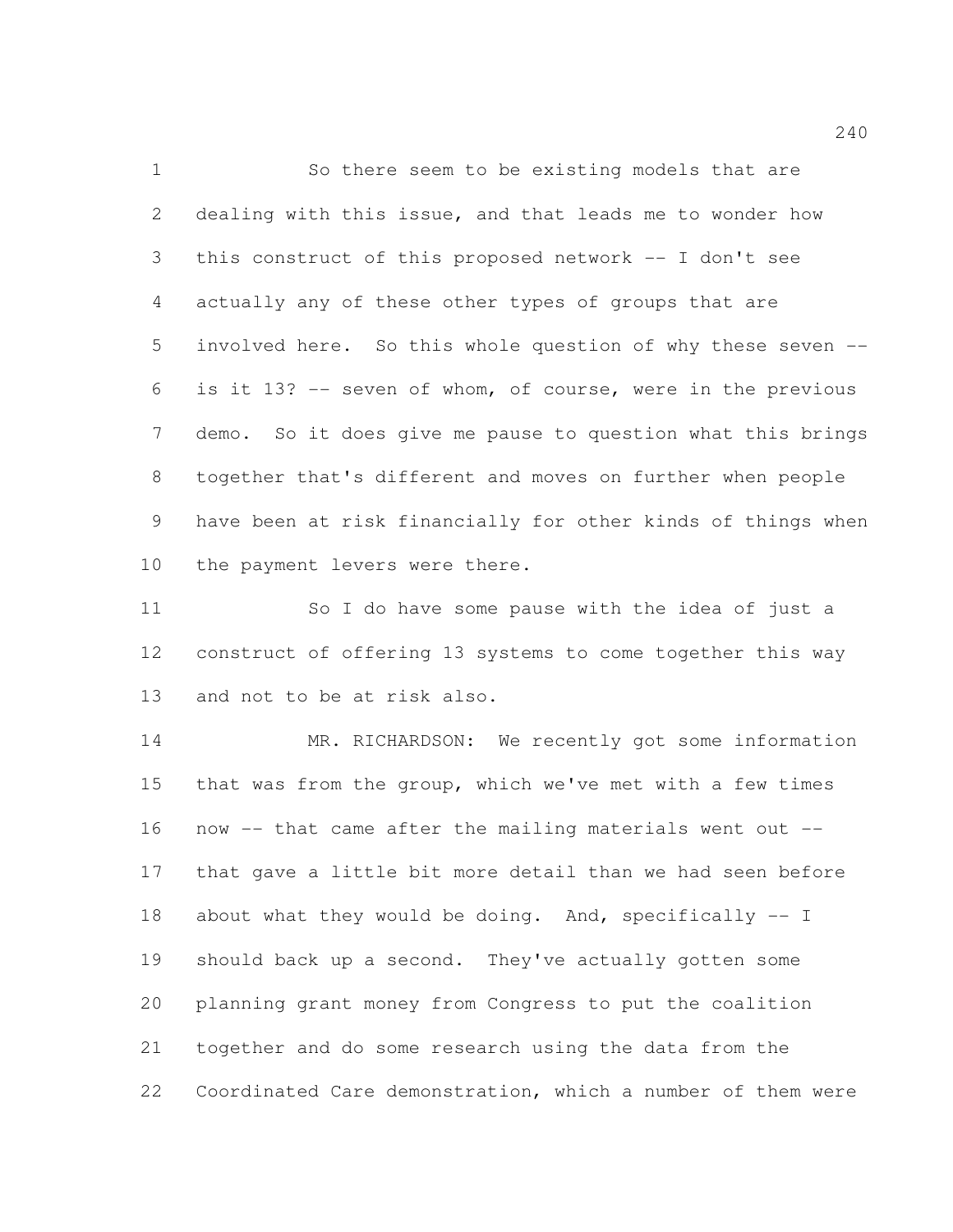So there seem to be existing models that are dealing with this issue, and that leads me to wonder how this construct of this proposed network -- I don't see actually any of these other types of groups that are involved here. So this whole question of why these seven -- is it 13? -- seven of whom, of course, were in the previous demo. So it does give me pause to question what this brings together that's different and moves on further when people have been at risk financially for other kinds of things when the payment levers were there.

 So I do have some pause with the idea of just a construct of offering 13 systems to come together this way and not to be at risk also.

14 MR. RICHARDSON: We recently got some information that was from the group, which we've met with a few times now -- that came after the mailing materials went out -- that gave a little bit more detail than we had seen before 18 about what they would be doing. And, specifically -- I should back up a second. They've actually gotten some planning grant money from Congress to put the coalition together and do some research using the data from the Coordinated Care demonstration, which a number of them were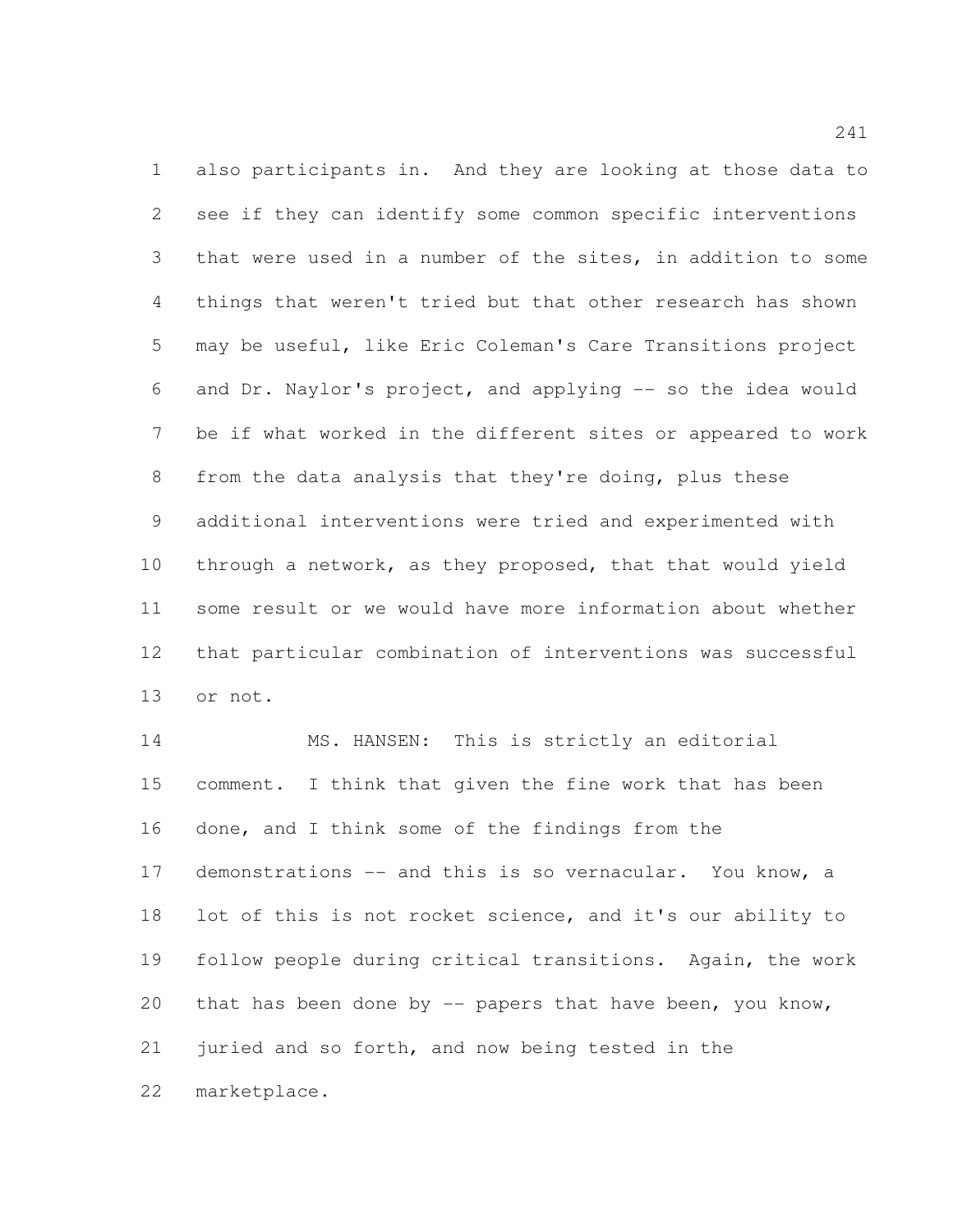also participants in. And they are looking at those data to see if they can identify some common specific interventions that were used in a number of the sites, in addition to some things that weren't tried but that other research has shown may be useful, like Eric Coleman's Care Transitions project and Dr. Naylor's project, and applying -- so the idea would be if what worked in the different sites or appeared to work from the data analysis that they're doing, plus these additional interventions were tried and experimented with through a network, as they proposed, that that would yield some result or we would have more information about whether that particular combination of interventions was successful or not.

14 MS. HANSEN: This is strictly an editorial comment. I think that given the fine work that has been done, and I think some of the findings from the 17 demonstrations -- and this is so vernacular. You know, a lot of this is not rocket science, and it's our ability to follow people during critical transitions. Again, the work that has been done by -- papers that have been, you know, juried and so forth, and now being tested in the marketplace.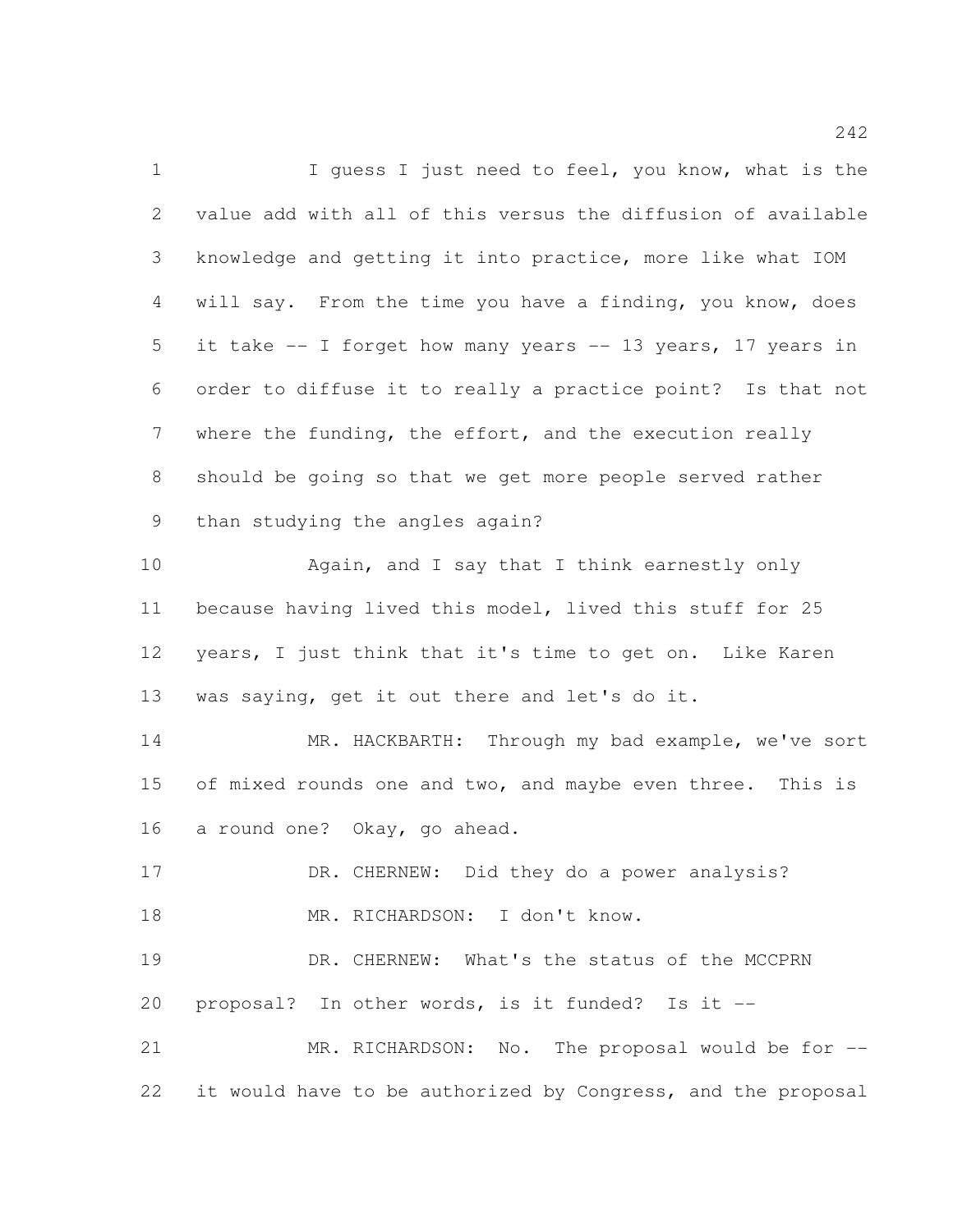1 I guess I just need to feel, you know, what is the value add with all of this versus the diffusion of available knowledge and getting it into practice, more like what IOM will say. From the time you have a finding, you know, does it take -- I forget how many years -- 13 years, 17 years in order to diffuse it to really a practice point? Is that not where the funding, the effort, and the execution really should be going so that we get more people served rather than studying the angles again? Again, and I say that I think earnestly only because having lived this model, lived this stuff for 25 years, I just think that it's time to get on. Like Karen was saying, get it out there and let's do it. MR. HACKBARTH: Through my bad example, we've sort 15 of mixed rounds one and two, and maybe even three. This is a round one? Okay, go ahead. 17 DR. CHERNEW: Did they do a power analysis? 18 MR. RICHARDSON: I don't know. DR. CHERNEW: What's the status of the MCCPRN proposal? In other words, is it funded? Is it -- MR. RICHARDSON: No. The proposal would be for -- it would have to be authorized by Congress, and the proposal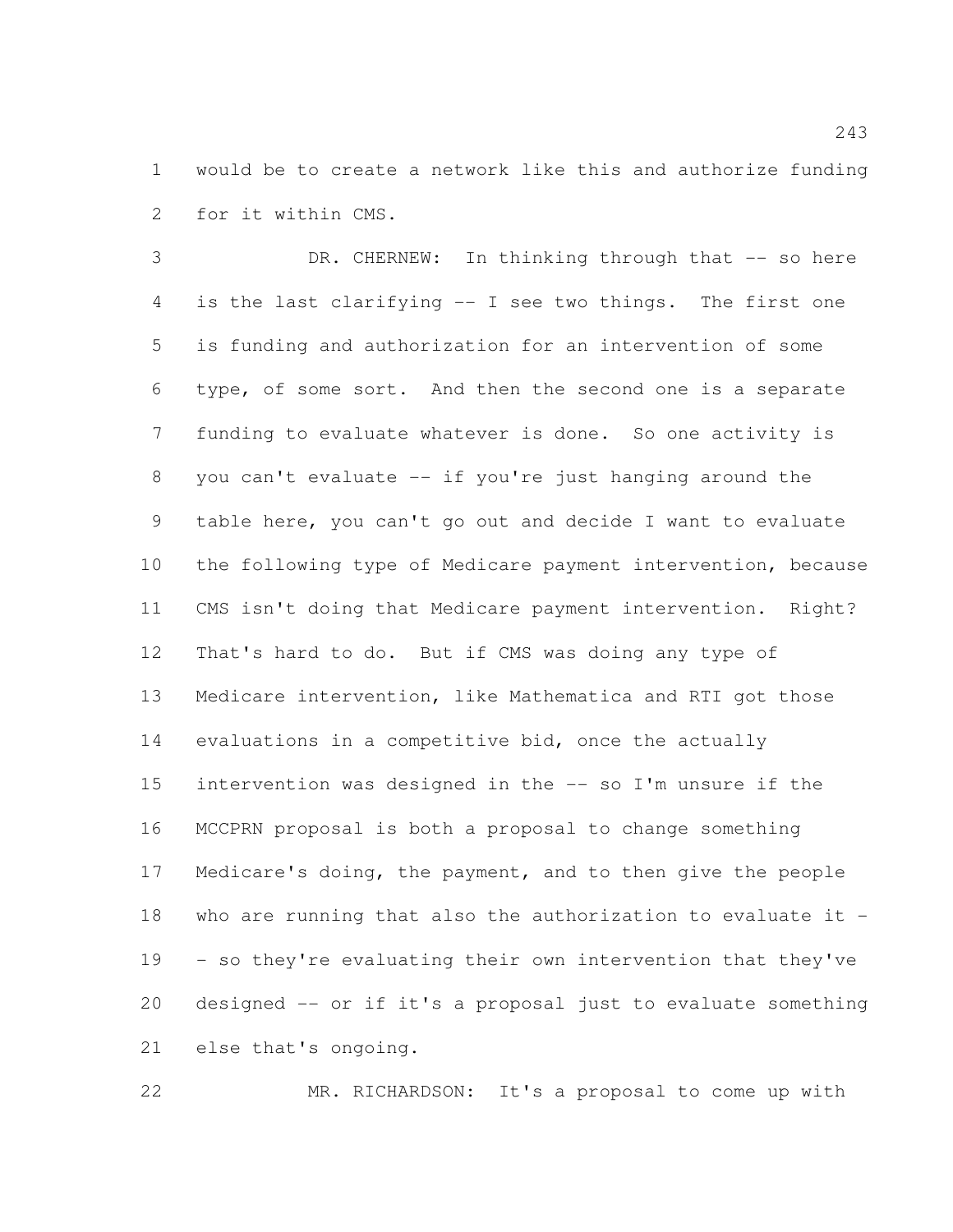would be to create a network like this and authorize funding for it within CMS.

 DR. CHERNEW: In thinking through that -- so here is the last clarifying -- I see two things. The first one is funding and authorization for an intervention of some type, of some sort. And then the second one is a separate funding to evaluate whatever is done. So one activity is you can't evaluate -- if you're just hanging around the table here, you can't go out and decide I want to evaluate the following type of Medicare payment intervention, because CMS isn't doing that Medicare payment intervention. Right? That's hard to do. But if CMS was doing any type of Medicare intervention, like Mathematica and RTI got those evaluations in a competitive bid, once the actually intervention was designed in the -- so I'm unsure if the MCCPRN proposal is both a proposal to change something Medicare's doing, the payment, and to then give the people who are running that also the authorization to evaluate it - - so they're evaluating their own intervention that they've designed -- or if it's a proposal just to evaluate something else that's ongoing.

MR. RICHARDSON: It's a proposal to come up with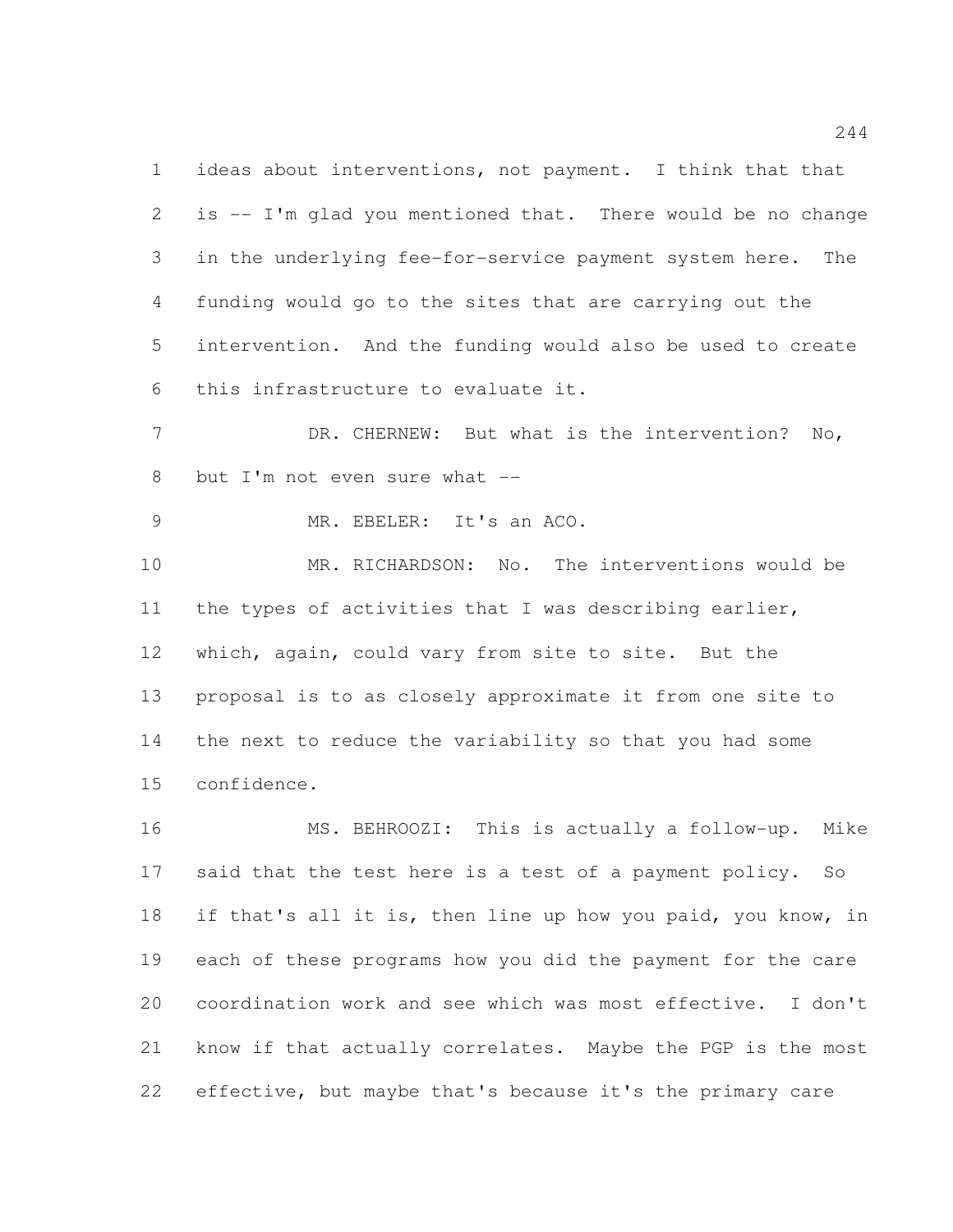ideas about interventions, not payment. I think that that is -- I'm glad you mentioned that. There would be no change in the underlying fee-for-service payment system here. The funding would go to the sites that are carrying out the intervention. And the funding would also be used to create this infrastructure to evaluate it.

 DR. CHERNEW: But what is the intervention? No, 8 but I'm not even sure what --

MR. EBELER: It's an ACO.

 MR. RICHARDSON: No. The interventions would be the types of activities that I was describing earlier, which, again, could vary from site to site. But the proposal is to as closely approximate it from one site to the next to reduce the variability so that you had some confidence.

 MS. BEHROOZI: This is actually a follow-up. Mike said that the test here is a test of a payment policy. So if that's all it is, then line up how you paid, you know, in each of these programs how you did the payment for the care coordination work and see which was most effective. I don't know if that actually correlates. Maybe the PGP is the most effective, but maybe that's because it's the primary care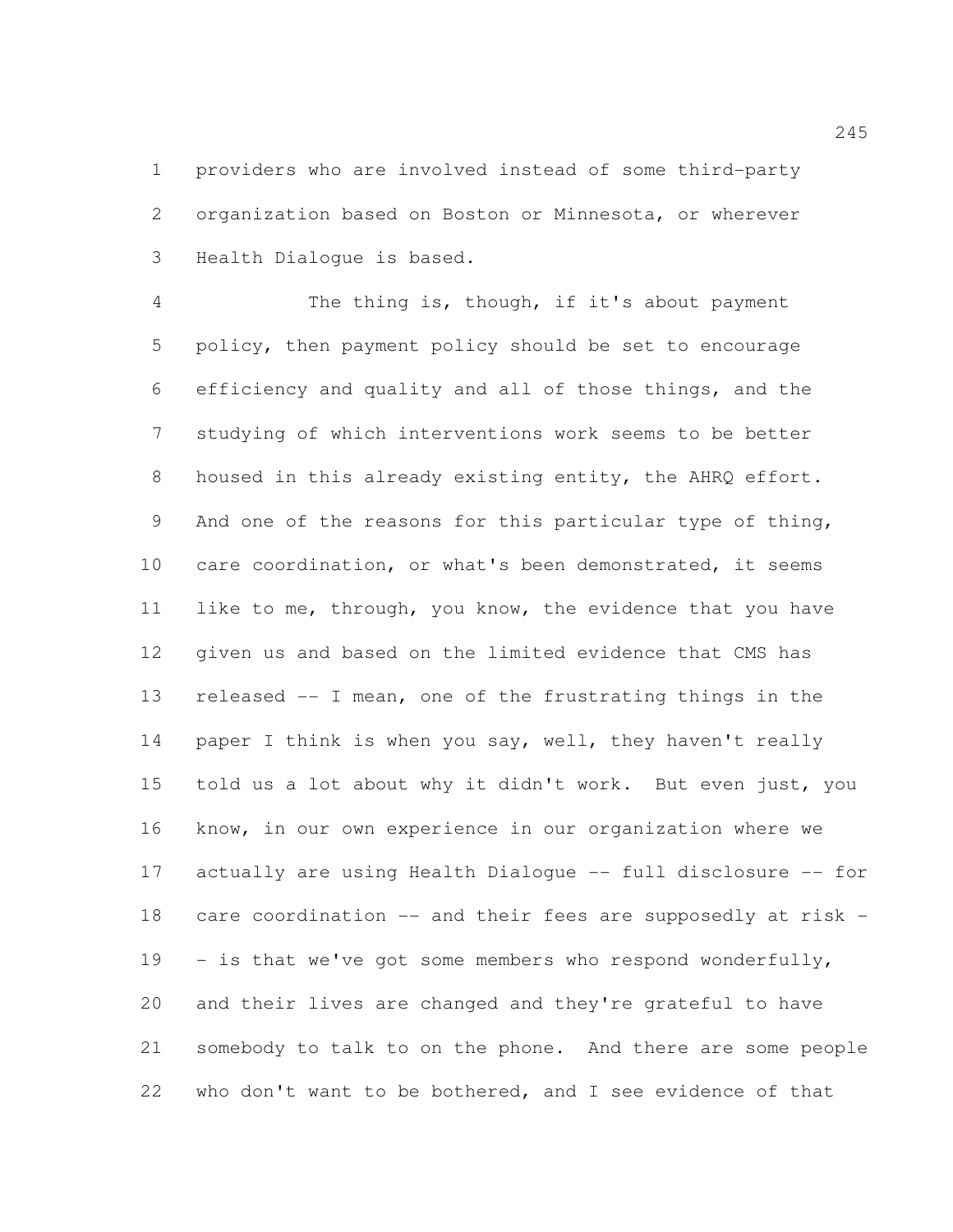providers who are involved instead of some third-party organization based on Boston or Minnesota, or wherever Health Dialogue is based.

 The thing is, though, if it's about payment policy, then payment policy should be set to encourage efficiency and quality and all of those things, and the studying of which interventions work seems to be better housed in this already existing entity, the AHRQ effort. And one of the reasons for this particular type of thing, care coordination, or what's been demonstrated, it seems like to me, through, you know, the evidence that you have given us and based on the limited evidence that CMS has released -- I mean, one of the frustrating things in the 14 paper I think is when you say, well, they haven't really told us a lot about why it didn't work. But even just, you know, in our own experience in our organization where we actually are using Health Dialogue -- full disclosure -- for care coordination -- and their fees are supposedly at risk - 19 - is that we've got some members who respond wonderfully, and their lives are changed and they're grateful to have somebody to talk to on the phone. And there are some people who don't want to be bothered, and I see evidence of that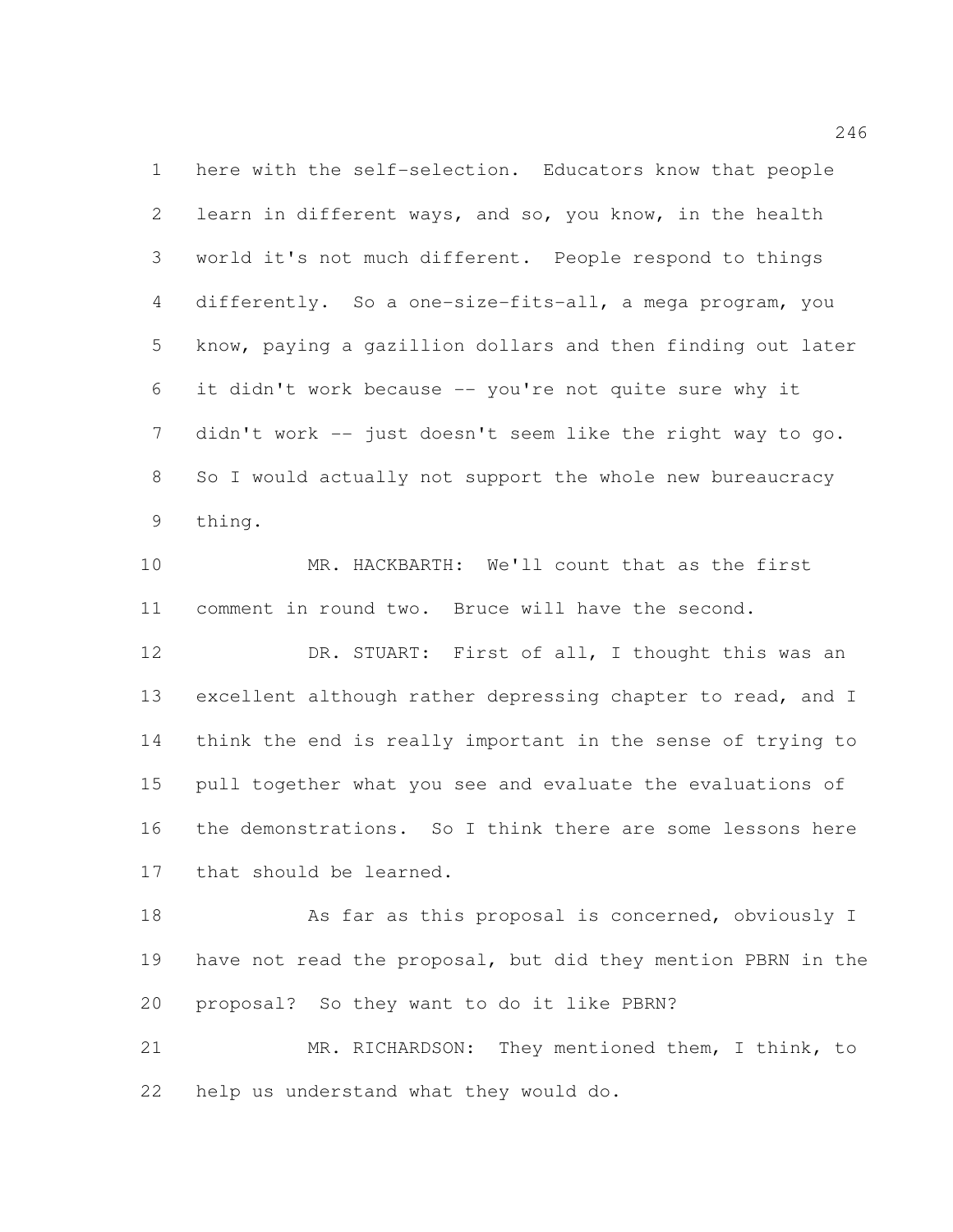here with the self-selection. Educators know that people learn in different ways, and so, you know, in the health world it's not much different. People respond to things differently. So a one-size-fits-all, a mega program, you know, paying a gazillion dollars and then finding out later it didn't work because -- you're not quite sure why it 7 didn't work -- just doesn't seem like the right way to go. So I would actually not support the whole new bureaucracy thing.

 MR. HACKBARTH: We'll count that as the first comment in round two. Bruce will have the second.

12 DR. STUART: First of all, I thought this was an excellent although rather depressing chapter to read, and I think the end is really important in the sense of trying to pull together what you see and evaluate the evaluations of the demonstrations. So I think there are some lessons here that should be learned.

18 As far as this proposal is concerned, obviously I have not read the proposal, but did they mention PBRN in the proposal? So they want to do it like PBRN?

 MR. RICHARDSON: They mentioned them, I think, to help us understand what they would do.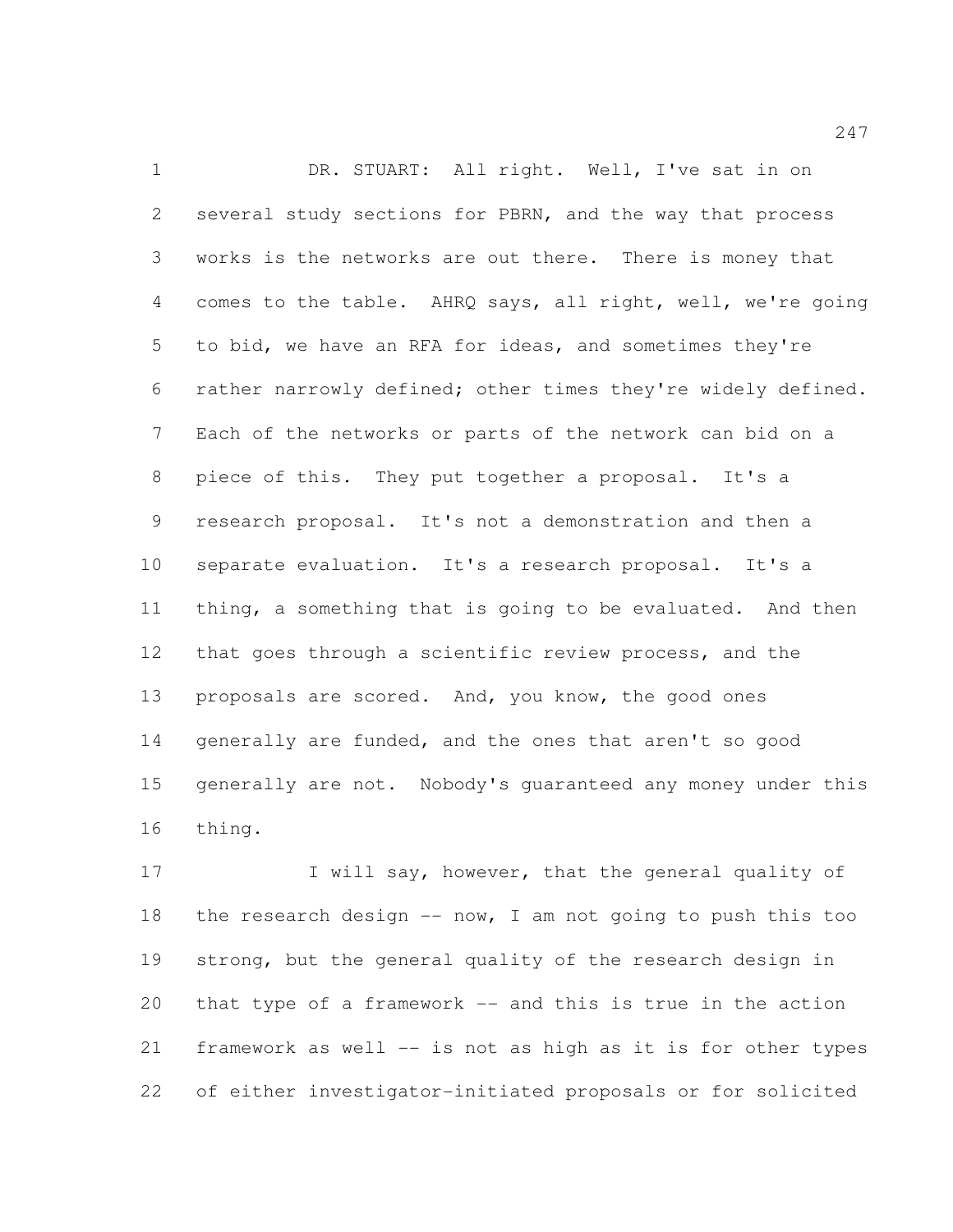1 DR. STUART: All right. Well, I've sat in on several study sections for PBRN, and the way that process works is the networks are out there. There is money that comes to the table. AHRQ says, all right, well, we're going to bid, we have an RFA for ideas, and sometimes they're rather narrowly defined; other times they're widely defined. Each of the networks or parts of the network can bid on a piece of this. They put together a proposal. It's a research proposal. It's not a demonstration and then a separate evaluation. It's a research proposal. It's a thing, a something that is going to be evaluated. And then that goes through a scientific review process, and the proposals are scored. And, you know, the good ones generally are funded, and the ones that aren't so good generally are not. Nobody's guaranteed any money under this thing.

17 I will say, however, that the general quality of 18 the research design  $--$  now, I am not going to push this too strong, but the general quality of the research design in that type of a framework -- and this is true in the action framework as well -- is not as high as it is for other types of either investigator-initiated proposals or for solicited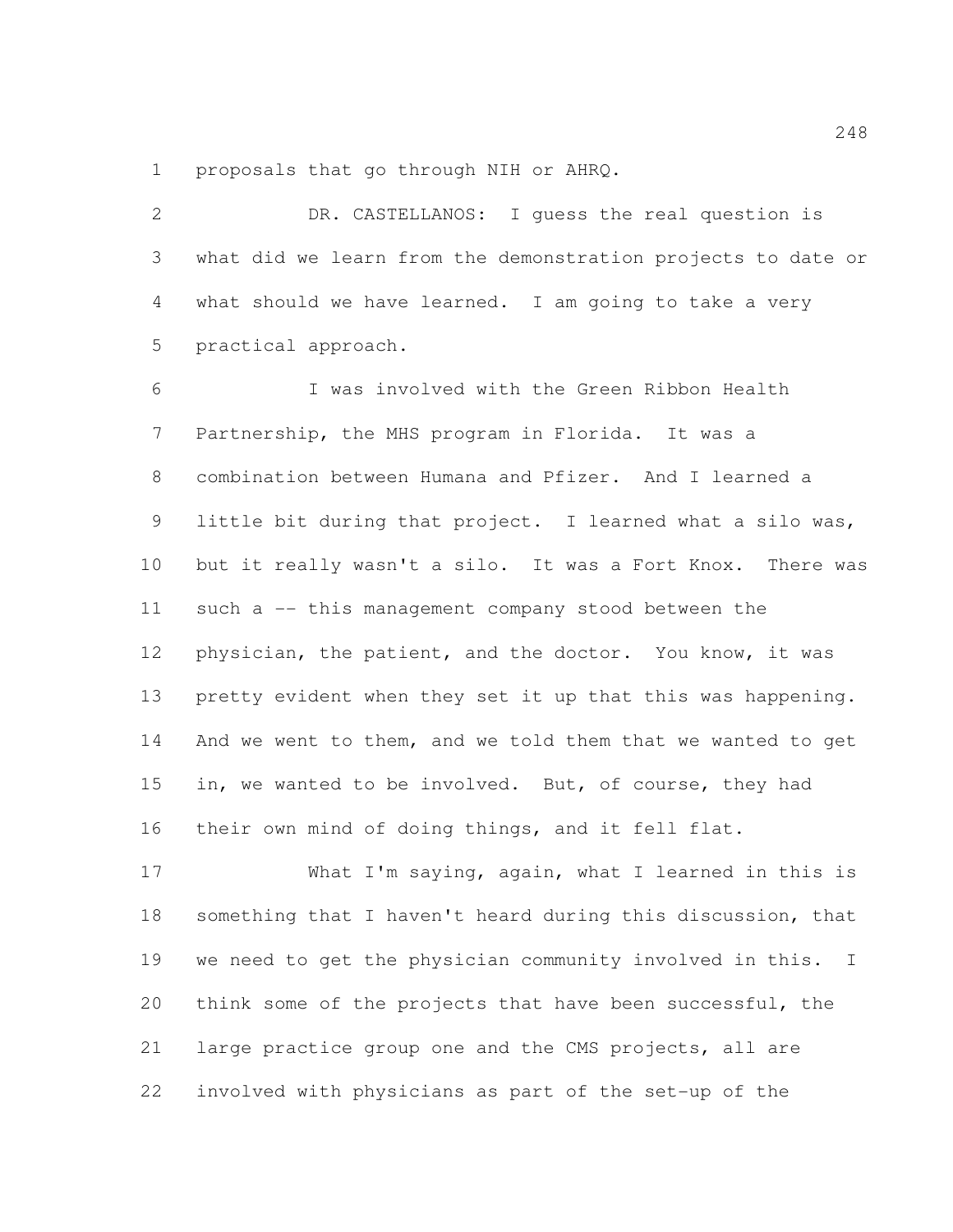proposals that go through NIH or AHRQ.

 DR. CASTELLANOS: I guess the real question is what did we learn from the demonstration projects to date or what should we have learned. I am going to take a very practical approach. I was involved with the Green Ribbon Health Partnership, the MHS program in Florida. It was a combination between Humana and Pfizer. And I learned a little bit during that project. I learned what a silo was, but it really wasn't a silo. It was a Fort Knox. There was such a -- this management company stood between the physician, the patient, and the doctor. You know, it was pretty evident when they set it up that this was happening. And we went to them, and we told them that we wanted to get in, we wanted to be involved. But, of course, they had their own mind of doing things, and it fell flat.

 What I'm saying, again, what I learned in this is something that I haven't heard during this discussion, that we need to get the physician community involved in this. I think some of the projects that have been successful, the large practice group one and the CMS projects, all are involved with physicians as part of the set-up of the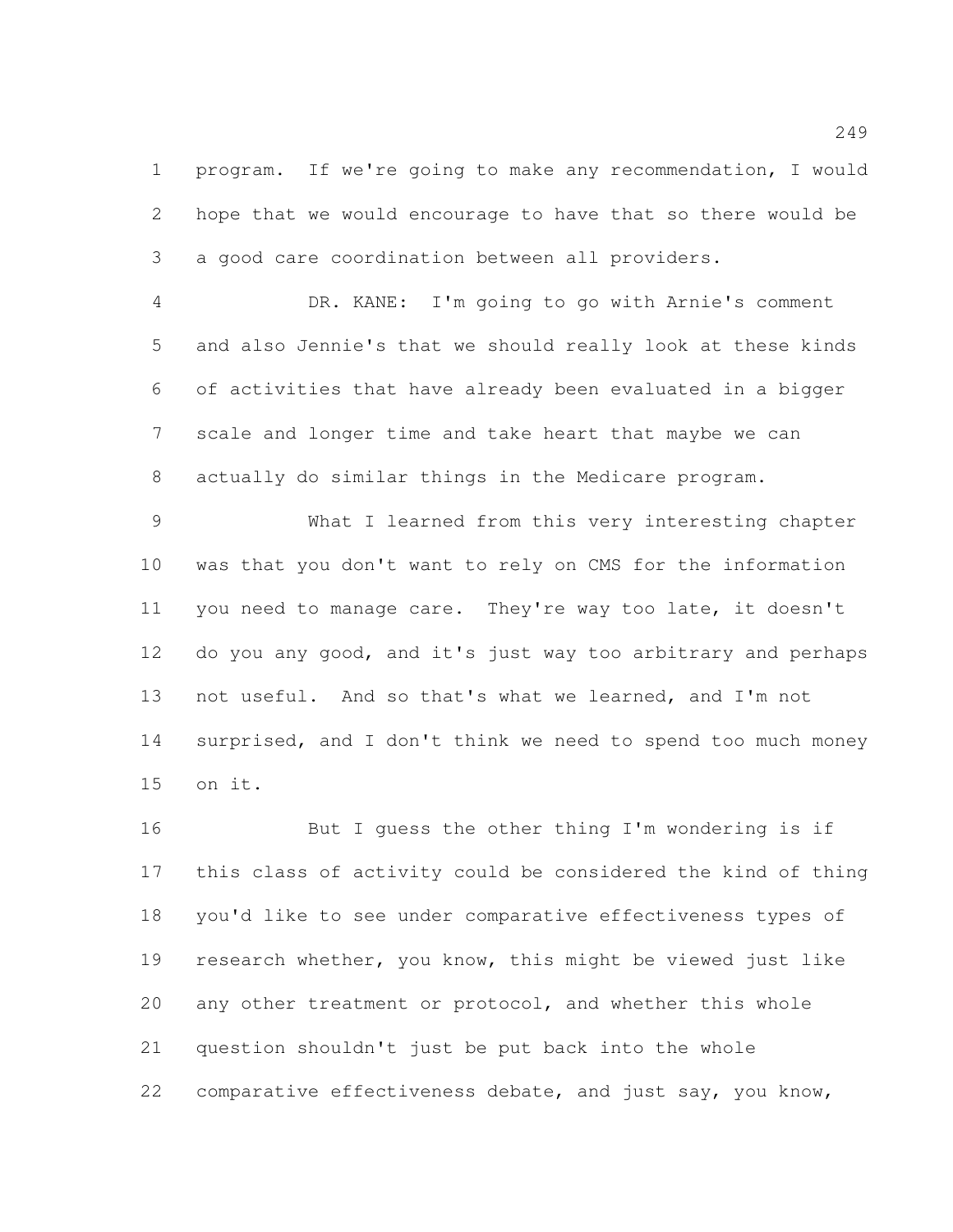program. If we're going to make any recommendation, I would hope that we would encourage to have that so there would be a good care coordination between all providers.

 DR. KANE: I'm going to go with Arnie's comment and also Jennie's that we should really look at these kinds of activities that have already been evaluated in a bigger scale and longer time and take heart that maybe we can actually do similar things in the Medicare program.

 What I learned from this very interesting chapter was that you don't want to rely on CMS for the information you need to manage care. They're way too late, it doesn't do you any good, and it's just way too arbitrary and perhaps not useful. And so that's what we learned, and I'm not surprised, and I don't think we need to spend too much money on it.

 But I guess the other thing I'm wondering is if this class of activity could be considered the kind of thing you'd like to see under comparative effectiveness types of research whether, you know, this might be viewed just like any other treatment or protocol, and whether this whole question shouldn't just be put back into the whole 22 comparative effectiveness debate, and just say, you know,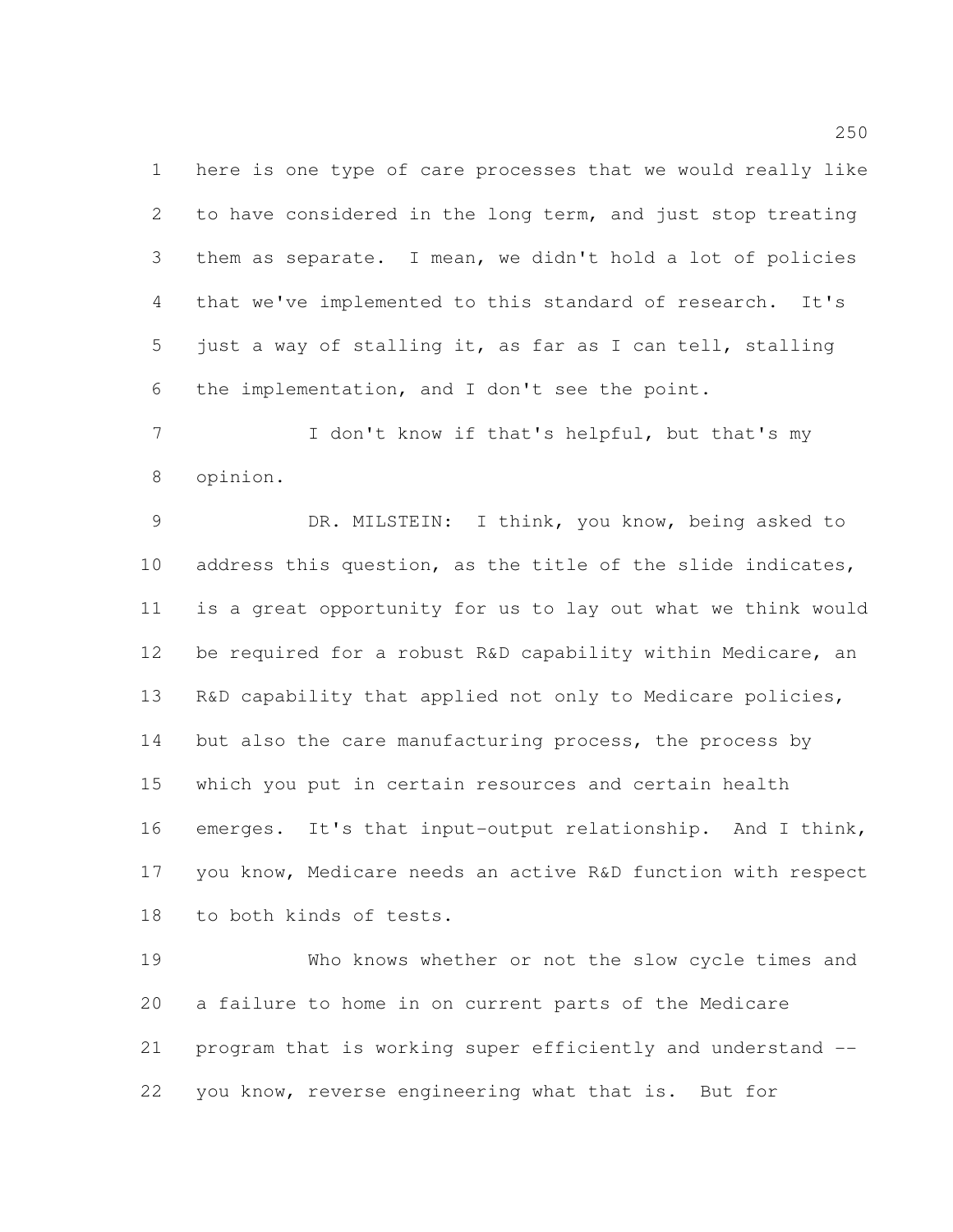here is one type of care processes that we would really like to have considered in the long term, and just stop treating them as separate. I mean, we didn't hold a lot of policies that we've implemented to this standard of research. It's just a way of stalling it, as far as I can tell, stalling the implementation, and I don't see the point.

 I don't know if that's helpful, but that's my opinion.

 DR. MILSTEIN: I think, you know, being asked to address this question, as the title of the slide indicates, is a great opportunity for us to lay out what we think would be required for a robust R&D capability within Medicare, an 13 R&D capability that applied not only to Medicare policies, 14 but also the care manufacturing process, the process by which you put in certain resources and certain health emerges. It's that input-output relationship. And I think, you know, Medicare needs an active R&D function with respect to both kinds of tests.

 Who knows whether or not the slow cycle times and a failure to home in on current parts of the Medicare program that is working super efficiently and understand -- you know, reverse engineering what that is. But for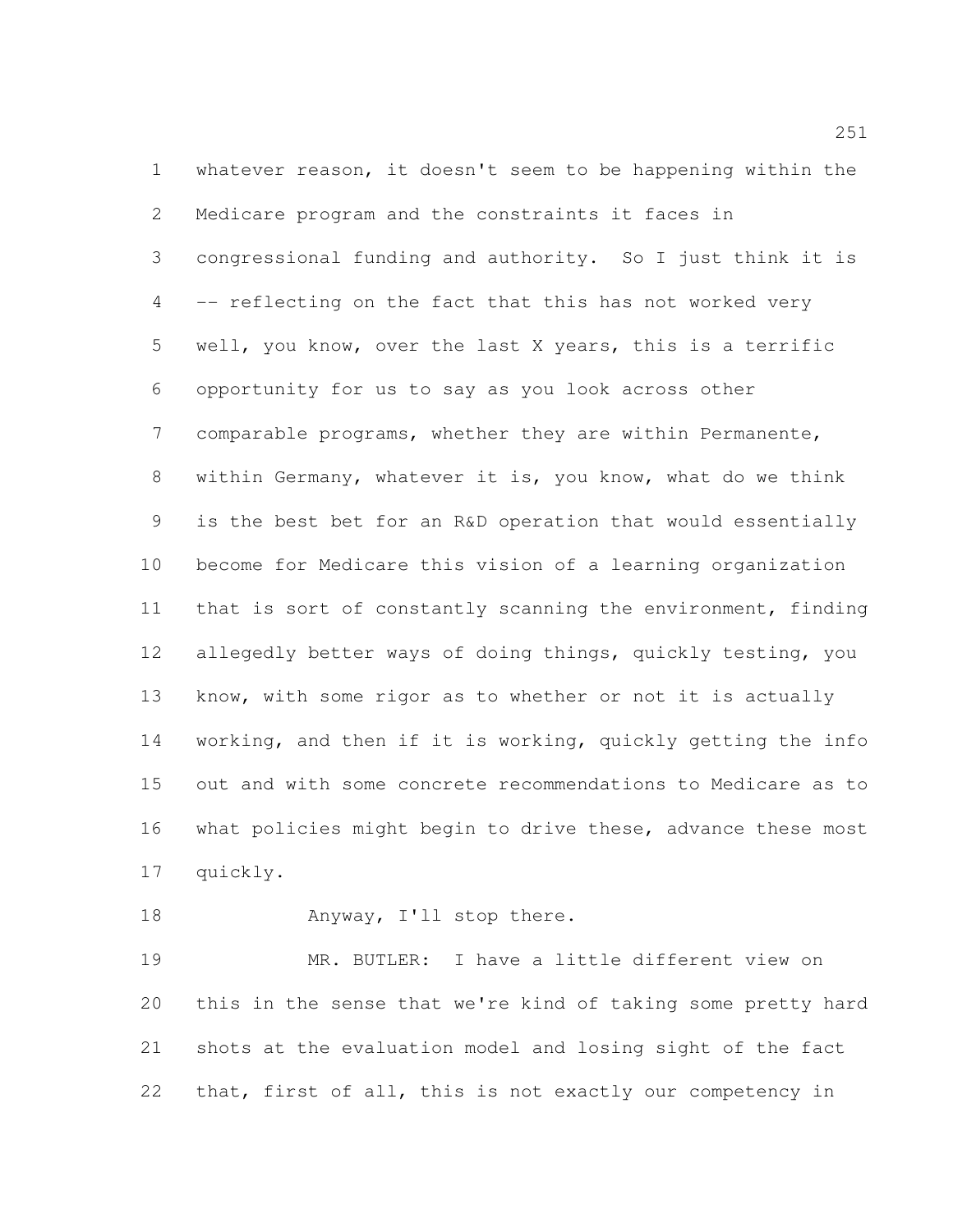whatever reason, it doesn't seem to be happening within the Medicare program and the constraints it faces in congressional funding and authority. So I just think it is -- reflecting on the fact that this has not worked very well, you know, over the last X years, this is a terrific opportunity for us to say as you look across other comparable programs, whether they are within Permanente, within Germany, whatever it is, you know, what do we think is the best bet for an R&D operation that would essentially become for Medicare this vision of a learning organization that is sort of constantly scanning the environment, finding allegedly better ways of doing things, quickly testing, you know, with some rigor as to whether or not it is actually working, and then if it is working, quickly getting the info out and with some concrete recommendations to Medicare as to what policies might begin to drive these, advance these most quickly.

18 Anyway, I'll stop there.

 MR. BUTLER: I have a little different view on this in the sense that we're kind of taking some pretty hard shots at the evaluation model and losing sight of the fact that, first of all, this is not exactly our competency in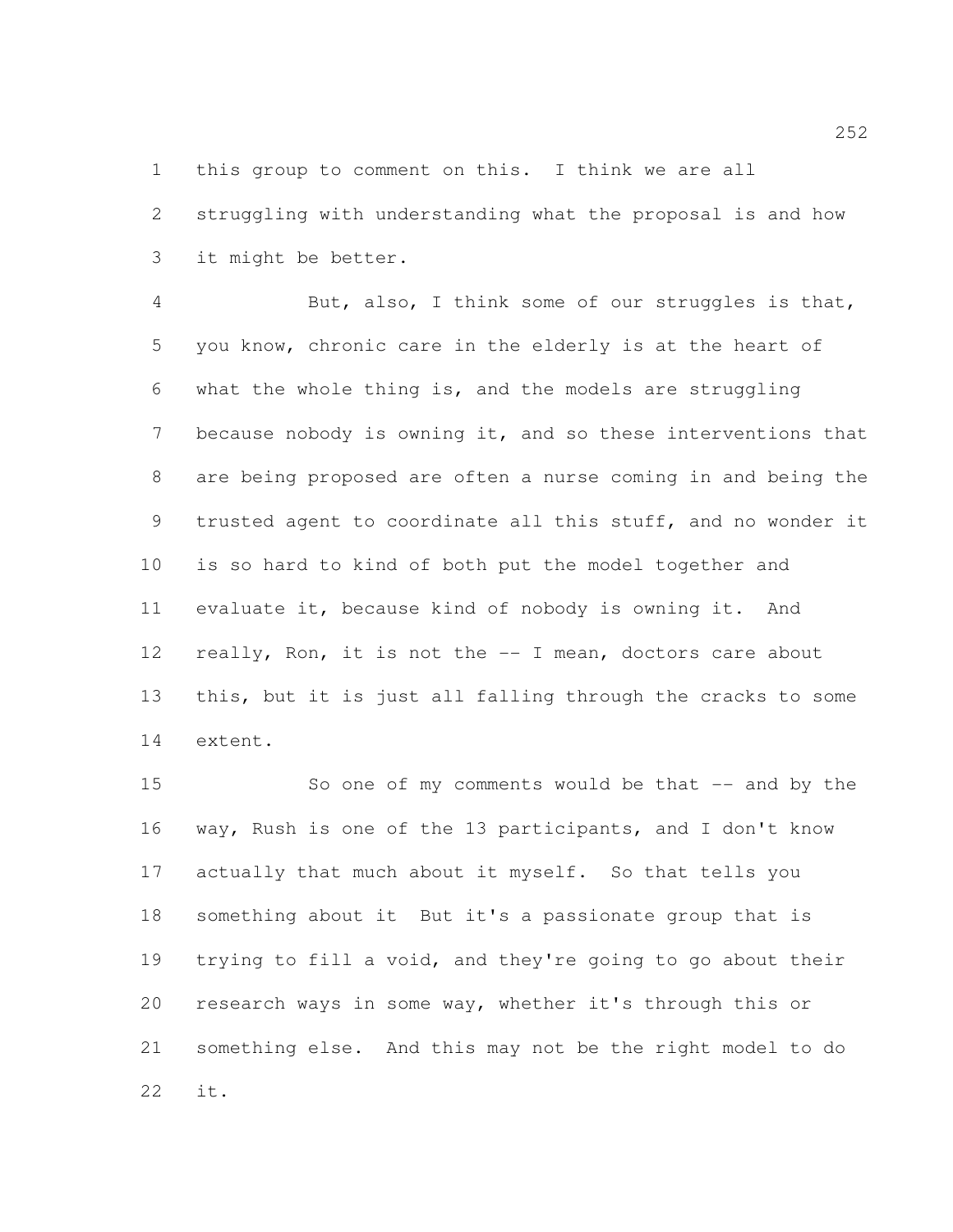this group to comment on this. I think we are all

 struggling with understanding what the proposal is and how it might be better.

 But, also, I think some of our struggles is that, you know, chronic care in the elderly is at the heart of what the whole thing is, and the models are struggling because nobody is owning it, and so these interventions that are being proposed are often a nurse coming in and being the trusted agent to coordinate all this stuff, and no wonder it is so hard to kind of both put the model together and evaluate it, because kind of nobody is owning it. And 12 really, Ron, it is not the -- I mean, doctors care about this, but it is just all falling through the cracks to some extent.

15 So one of my comments would be that -- and by the way, Rush is one of the 13 participants, and I don't know actually that much about it myself. So that tells you something about it But it's a passionate group that is trying to fill a void, and they're going to go about their research ways in some way, whether it's through this or something else. And this may not be the right model to do it.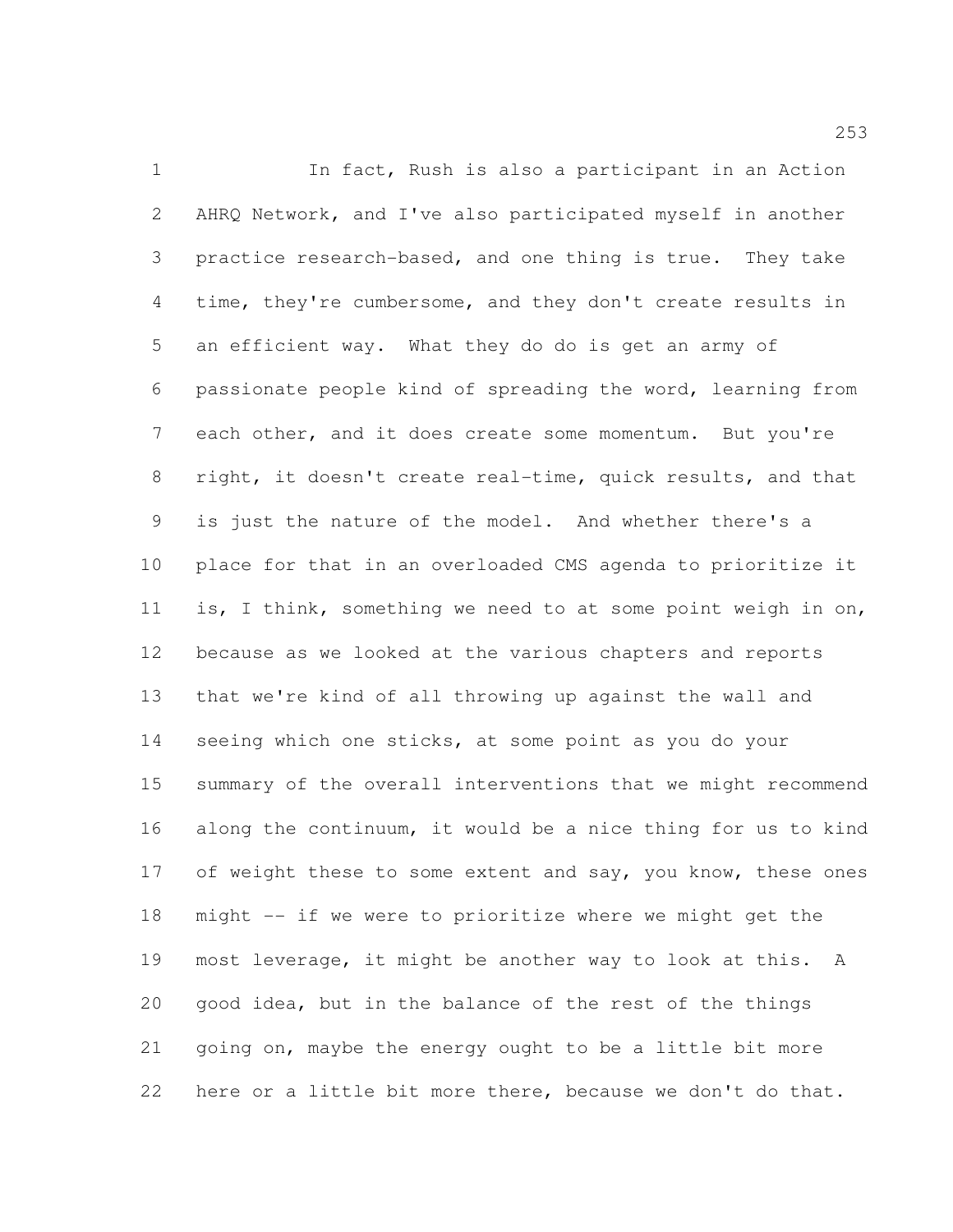In fact, Rush is also a participant in an Action AHRQ Network, and I've also participated myself in another practice research-based, and one thing is true. They take time, they're cumbersome, and they don't create results in an efficient way. What they do do is get an army of passionate people kind of spreading the word, learning from each other, and it does create some momentum. But you're right, it doesn't create real-time, quick results, and that is just the nature of the model. And whether there's a place for that in an overloaded CMS agenda to prioritize it is, I think, something we need to at some point weigh in on, because as we looked at the various chapters and reports that we're kind of all throwing up against the wall and 14 seeing which one sticks, at some point as you do your summary of the overall interventions that we might recommend along the continuum, it would be a nice thing for us to kind 17 of weight these to some extent and say, you know, these ones might -- if we were to prioritize where we might get the most leverage, it might be another way to look at this. A good idea, but in the balance of the rest of the things going on, maybe the energy ought to be a little bit more here or a little bit more there, because we don't do that.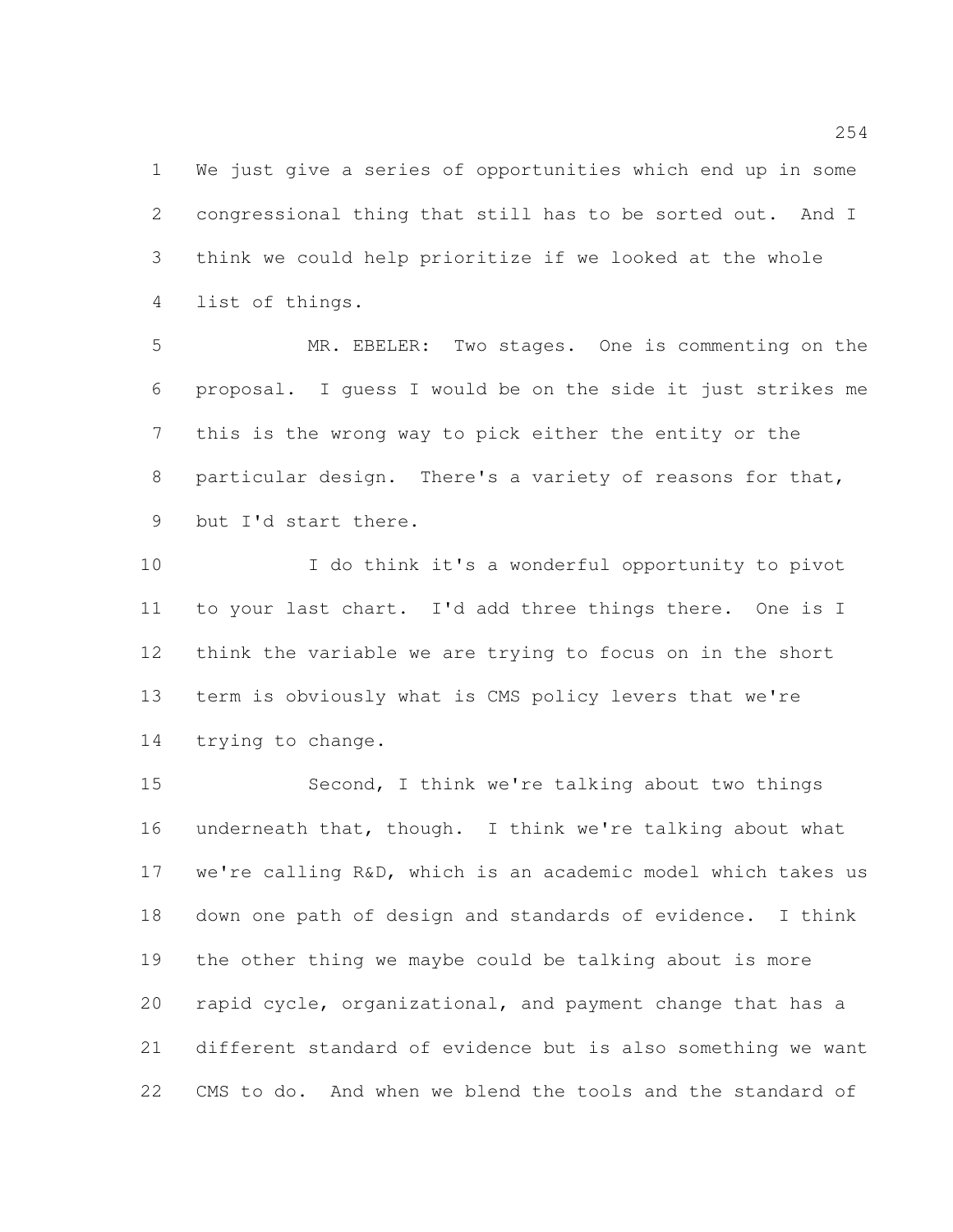We just give a series of opportunities which end up in some congressional thing that still has to be sorted out. And I think we could help prioritize if we looked at the whole list of things.

 MR. EBELER: Two stages. One is commenting on the proposal. I guess I would be on the side it just strikes me this is the wrong way to pick either the entity or the particular design. There's a variety of reasons for that, but I'd start there.

 I do think it's a wonderful opportunity to pivot to your last chart. I'd add three things there. One is I think the variable we are trying to focus on in the short term is obviously what is CMS policy levers that we're trying to change.

 Second, I think we're talking about two things underneath that, though. I think we're talking about what we're calling R&D, which is an academic model which takes us down one path of design and standards of evidence. I think the other thing we maybe could be talking about is more rapid cycle, organizational, and payment change that has a different standard of evidence but is also something we want CMS to do. And when we blend the tools and the standard of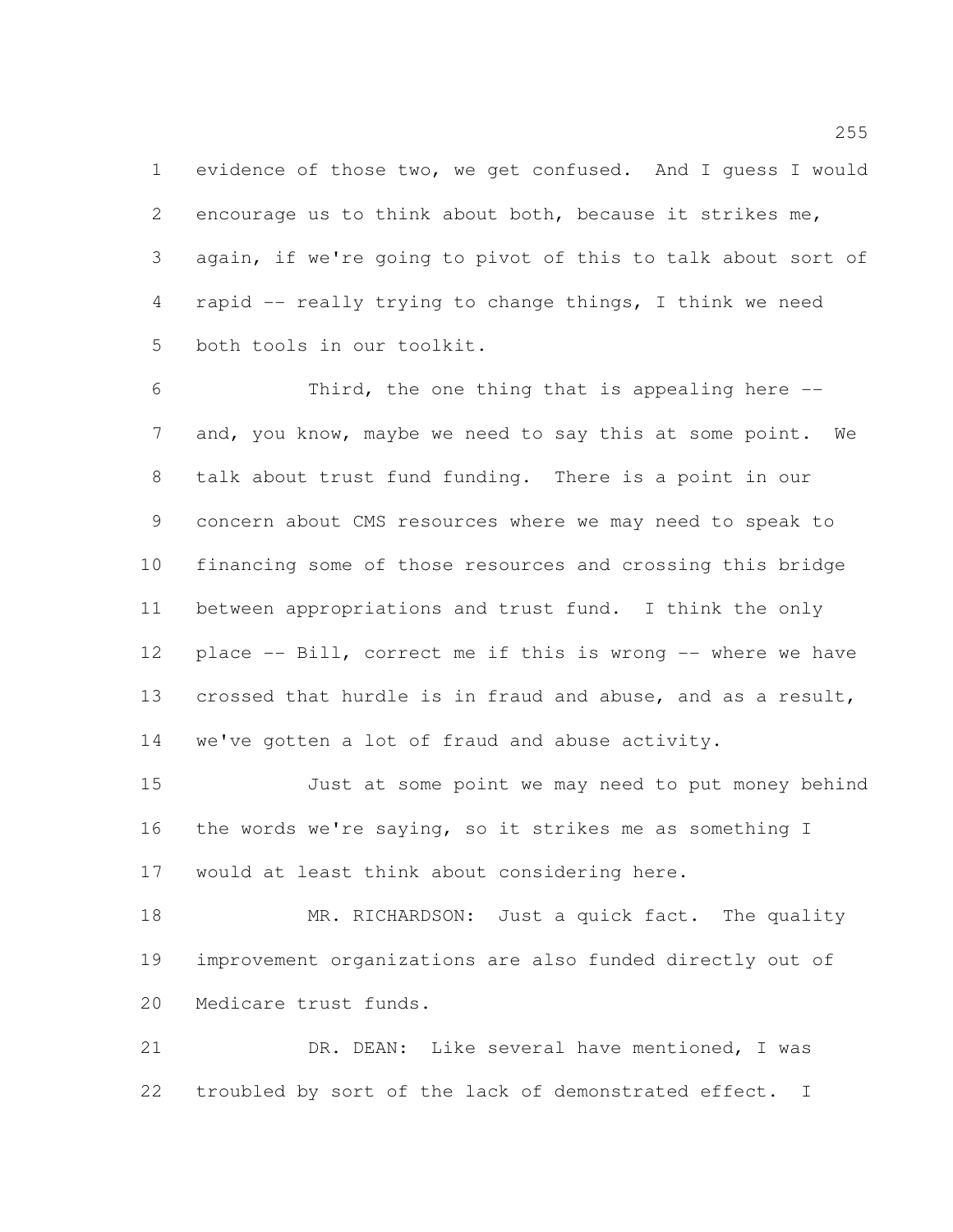evidence of those two, we get confused. And I guess I would encourage us to think about both, because it strikes me, again, if we're going to pivot of this to talk about sort of rapid -- really trying to change things, I think we need both tools in our toolkit.

 Third, the one thing that is appealing here -- and, you know, maybe we need to say this at some point. We talk about trust fund funding. There is a point in our concern about CMS resources where we may need to speak to financing some of those resources and crossing this bridge between appropriations and trust fund. I think the only place -- Bill, correct me if this is wrong -- where we have crossed that hurdle is in fraud and abuse, and as a result, we've gotten a lot of fraud and abuse activity.

 Just at some point we may need to put money behind the words we're saying, so it strikes me as something I would at least think about considering here.

18 MR. RICHARDSON: Just a quick fact. The quality improvement organizations are also funded directly out of Medicare trust funds.

 DR. DEAN: Like several have mentioned, I was troubled by sort of the lack of demonstrated effect. I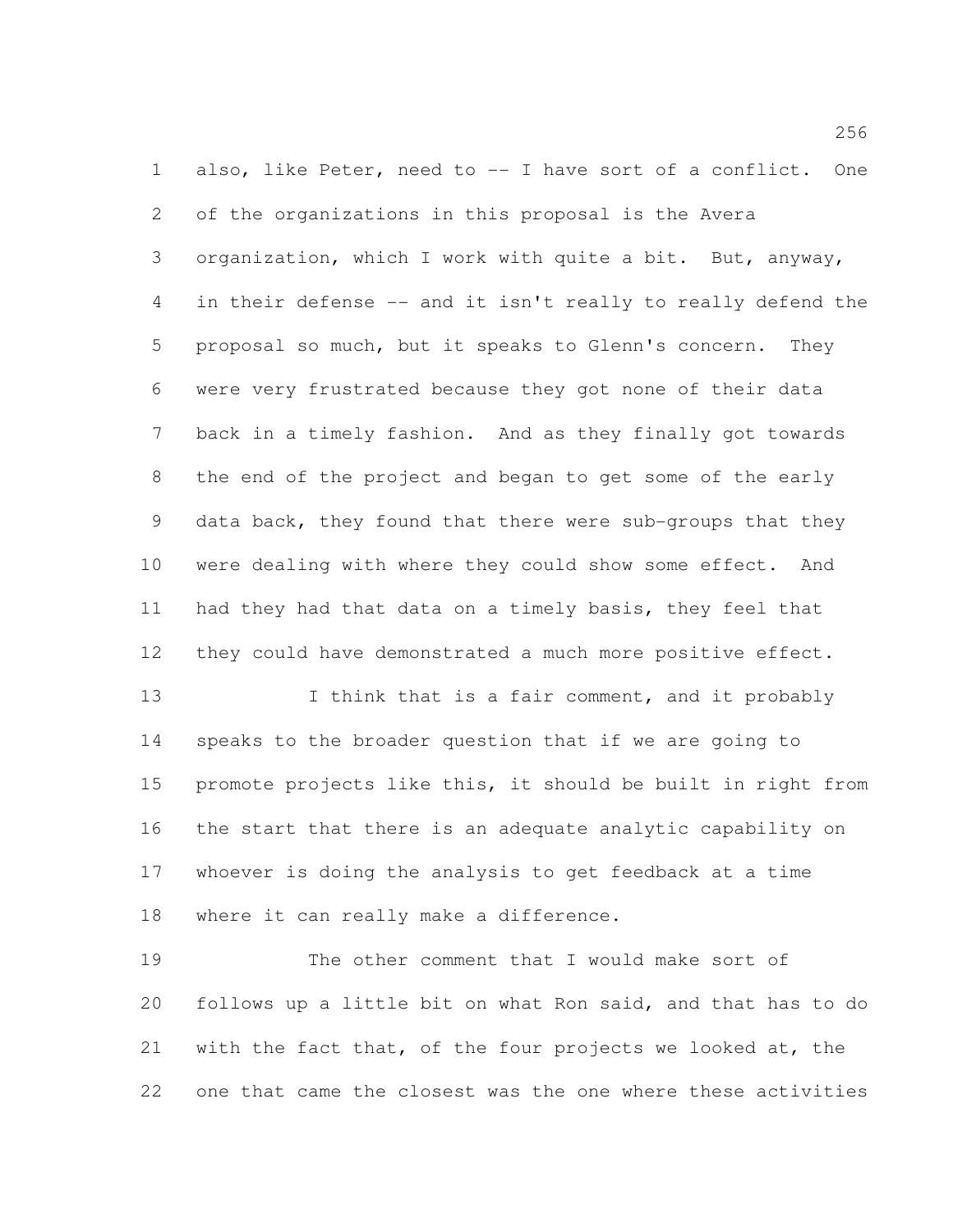also, like Peter, need to -- I have sort of a conflict. One of the organizations in this proposal is the Avera organization, which I work with quite a bit. But, anyway, in their defense -- and it isn't really to really defend the proposal so much, but it speaks to Glenn's concern. They were very frustrated because they got none of their data back in a timely fashion. And as they finally got towards the end of the project and began to get some of the early data back, they found that there were sub-groups that they were dealing with where they could show some effect. And had they had that data on a timely basis, they feel that they could have demonstrated a much more positive effect.

13 I think that is a fair comment, and it probably speaks to the broader question that if we are going to promote projects like this, it should be built in right from the start that there is an adequate analytic capability on whoever is doing the analysis to get feedback at a time where it can really make a difference.

 The other comment that I would make sort of follows up a little bit on what Ron said, and that has to do with the fact that, of the four projects we looked at, the one that came the closest was the one where these activities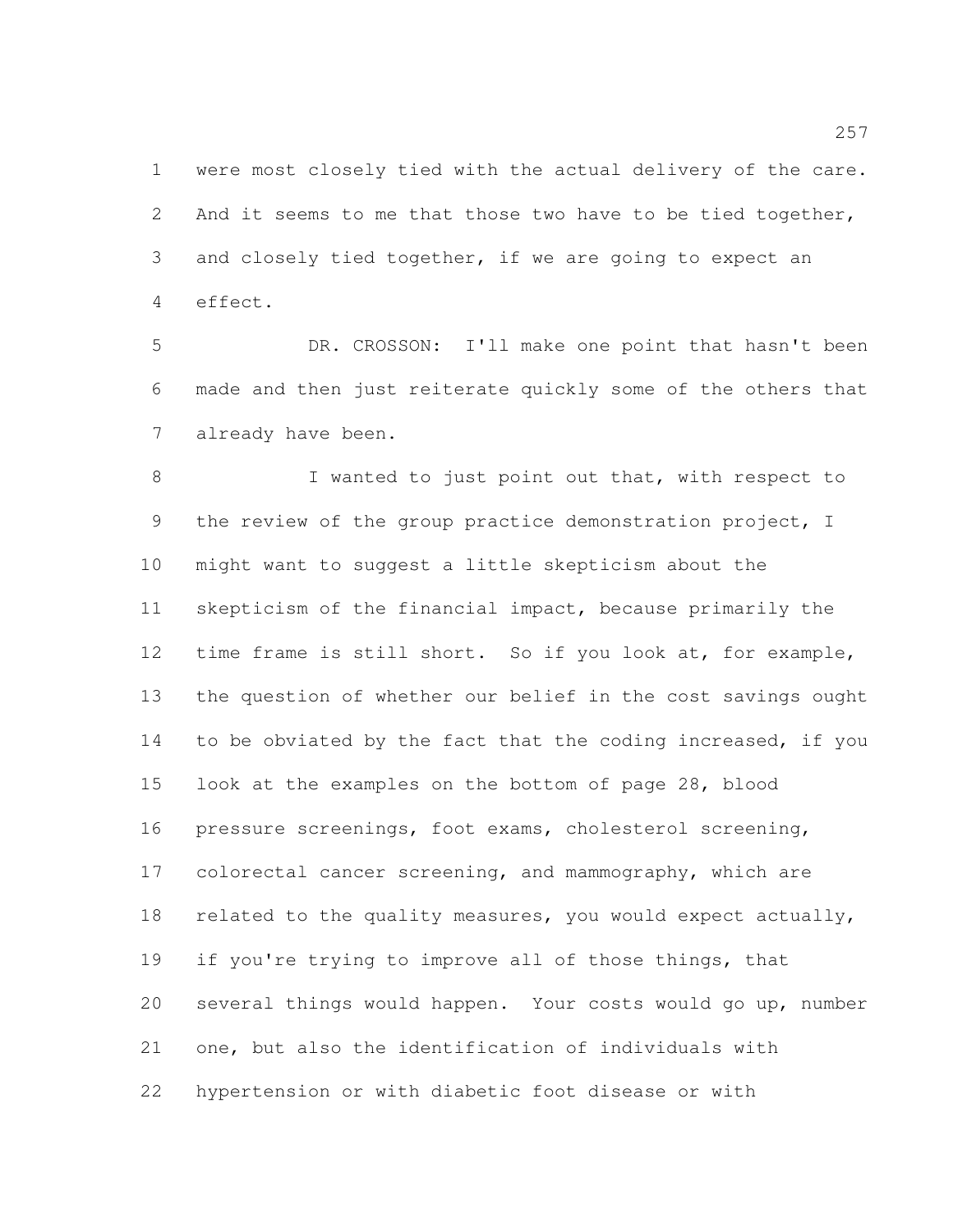were most closely tied with the actual delivery of the care. 2 And it seems to me that those two have to be tied together, and closely tied together, if we are going to expect an effect.

 DR. CROSSON: I'll make one point that hasn't been made and then just reiterate quickly some of the others that already have been.

8 I wanted to just point out that, with respect to the review of the group practice demonstration project, I might want to suggest a little skepticism about the skepticism of the financial impact, because primarily the time frame is still short. So if you look at, for example, the question of whether our belief in the cost savings ought to be obviated by the fact that the coding increased, if you look at the examples on the bottom of page 28, blood pressure screenings, foot exams, cholesterol screening, colorectal cancer screening, and mammography, which are related to the quality measures, you would expect actually, if you're trying to improve all of those things, that several things would happen. Your costs would go up, number one, but also the identification of individuals with hypertension or with diabetic foot disease or with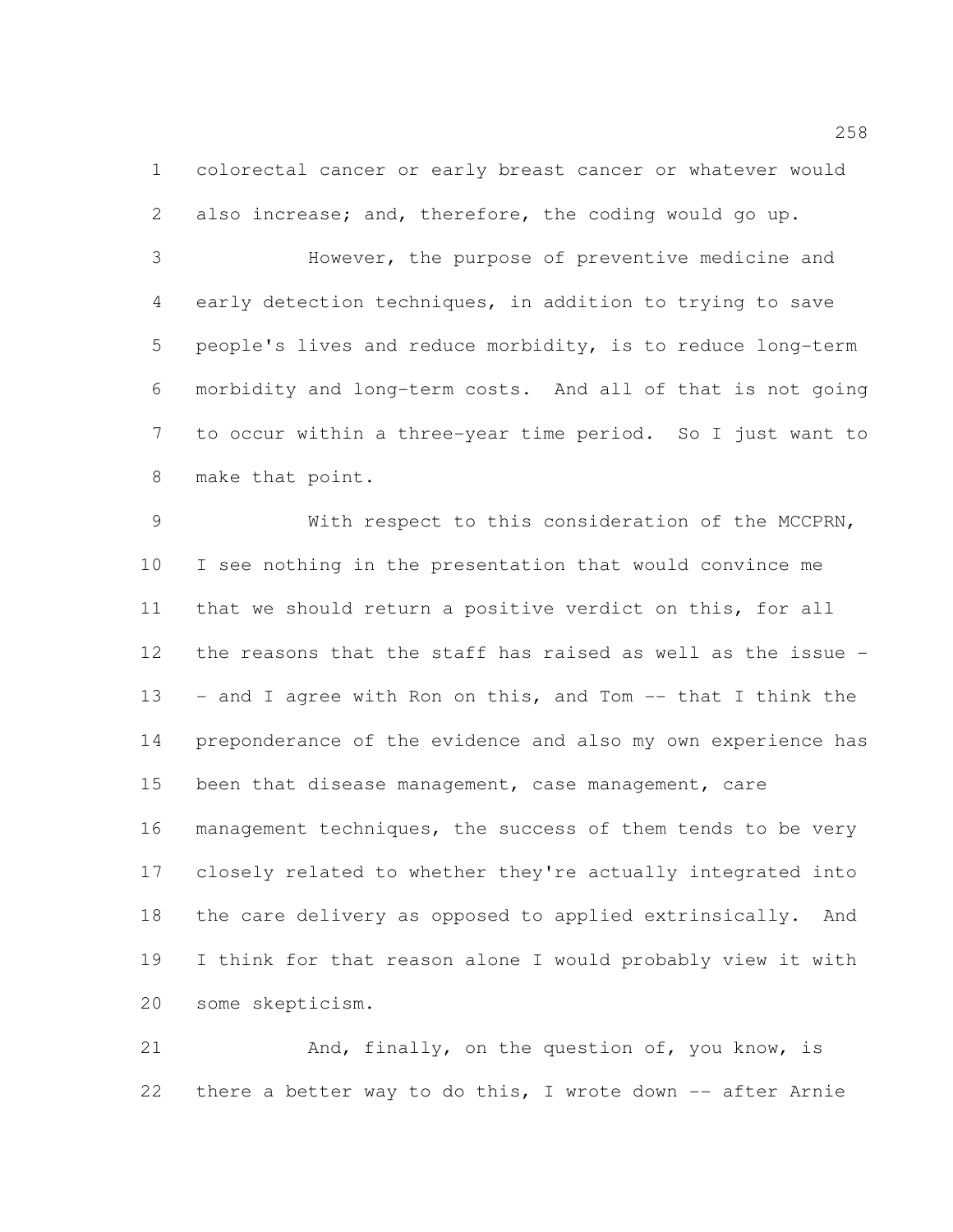colorectal cancer or early breast cancer or whatever would also increase; and, therefore, the coding would go up.

 However, the purpose of preventive medicine and early detection techniques, in addition to trying to save people's lives and reduce morbidity, is to reduce long-term morbidity and long-term costs. And all of that is not going to occur within a three-year time period. So I just want to make that point.

 With respect to this consideration of the MCCPRN, I see nothing in the presentation that would convince me that we should return a positive verdict on this, for all the reasons that the staff has raised as well as the issue - - and I agree with Ron on this, and Tom -- that I think the preponderance of the evidence and also my own experience has 15 been that disease management, case management, care management techniques, the success of them tends to be very closely related to whether they're actually integrated into the care delivery as opposed to applied extrinsically. And I think for that reason alone I would probably view it with some skepticism.

21 And, finally, on the question of, you know, is there a better way to do this, I wrote down -- after Arnie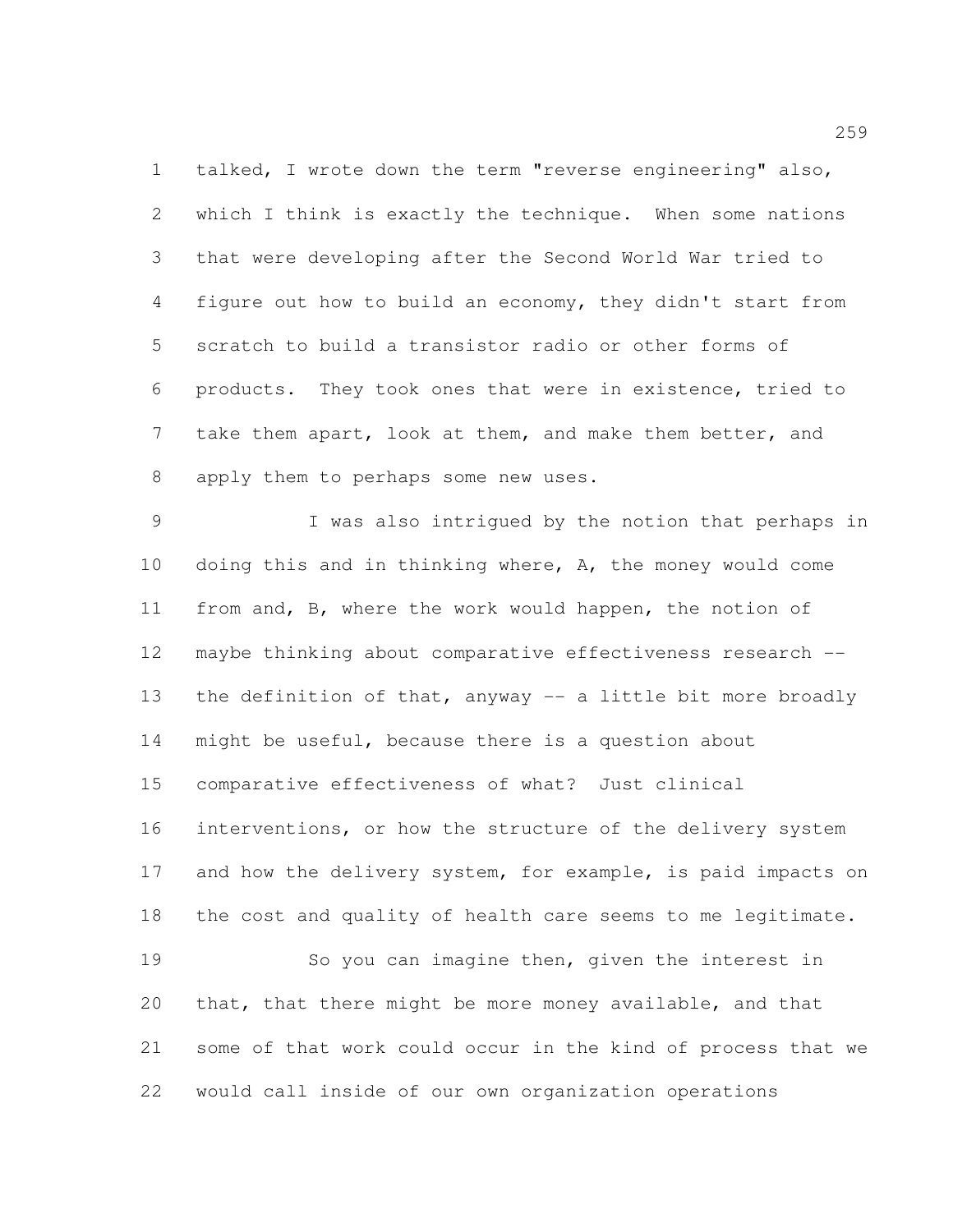talked, I wrote down the term "reverse engineering" also, which I think is exactly the technique. When some nations that were developing after the Second World War tried to figure out how to build an economy, they didn't start from scratch to build a transistor radio or other forms of products. They took ones that were in existence, tried to take them apart, look at them, and make them better, and apply them to perhaps some new uses.

 I was also intrigued by the notion that perhaps in doing this and in thinking where, A, the money would come from and, B, where the work would happen, the notion of maybe thinking about comparative effectiveness research -- 13 the definition of that, anyway -- a little bit more broadly might be useful, because there is a question about comparative effectiveness of what? Just clinical interventions, or how the structure of the delivery system 17 and how the delivery system, for example, is paid impacts on the cost and quality of health care seems to me legitimate. So you can imagine then, given the interest in that, that there might be more money available, and that some of that work could occur in the kind of process that we would call inside of our own organization operations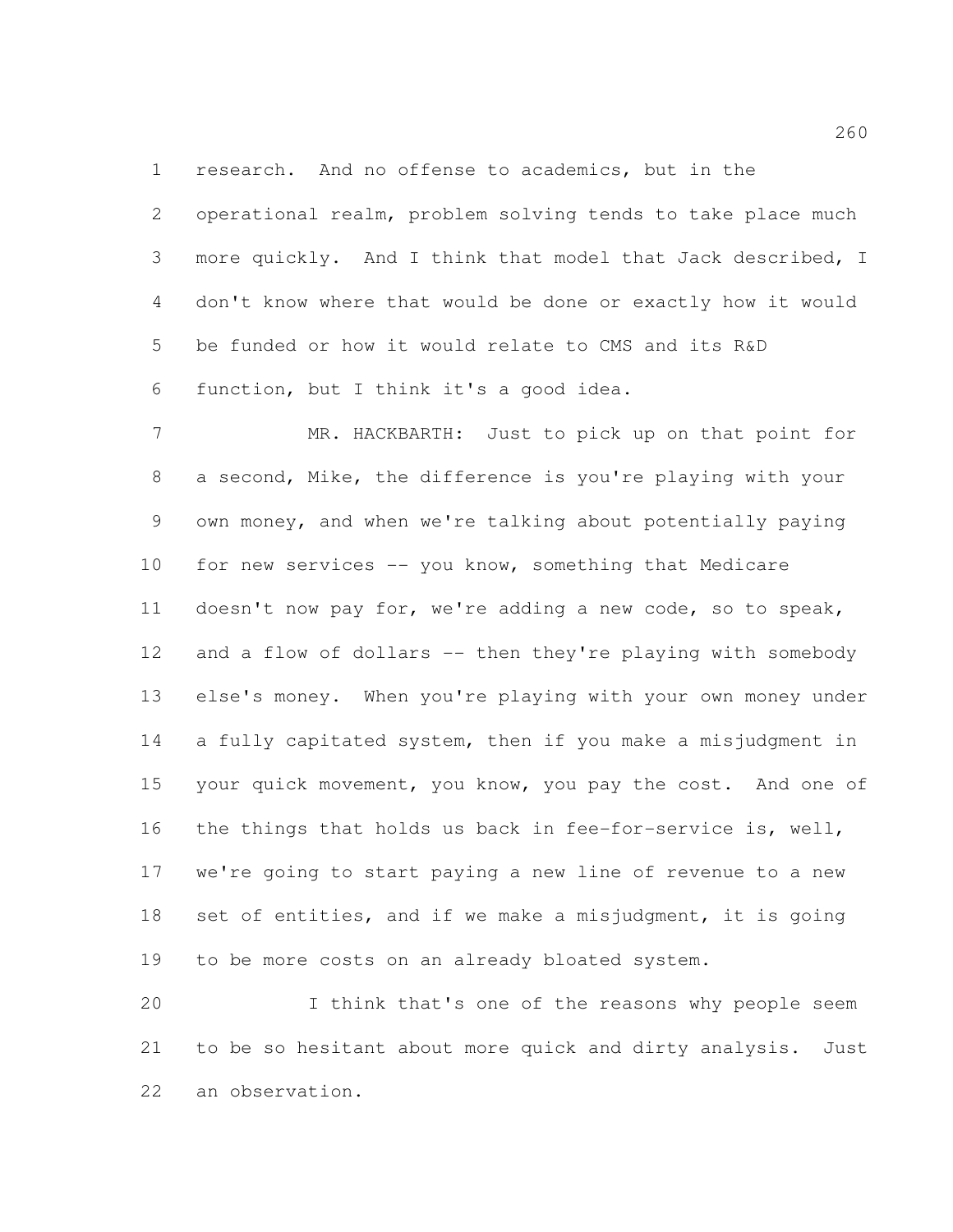research. And no offense to academics, but in the

 operational realm, problem solving tends to take place much more quickly. And I think that model that Jack described, I don't know where that would be done or exactly how it would be funded or how it would relate to CMS and its R&D function, but I think it's a good idea.

 MR. HACKBARTH: Just to pick up on that point for a second, Mike, the difference is you're playing with your own money, and when we're talking about potentially paying 10 for new services -- you know, something that Medicare doesn't now pay for, we're adding a new code, so to speak, 12 and a flow of dollars -- then they're playing with somebody else's money. When you're playing with your own money under a fully capitated system, then if you make a misjudgment in 15 your quick movement, you know, you pay the cost. And one of the things that holds us back in fee-for-service is, well, we're going to start paying a new line of revenue to a new 18 set of entities, and if we make a misjudgment, it is going to be more costs on an already bloated system.

 I think that's one of the reasons why people seem to be so hesitant about more quick and dirty analysis. Just an observation.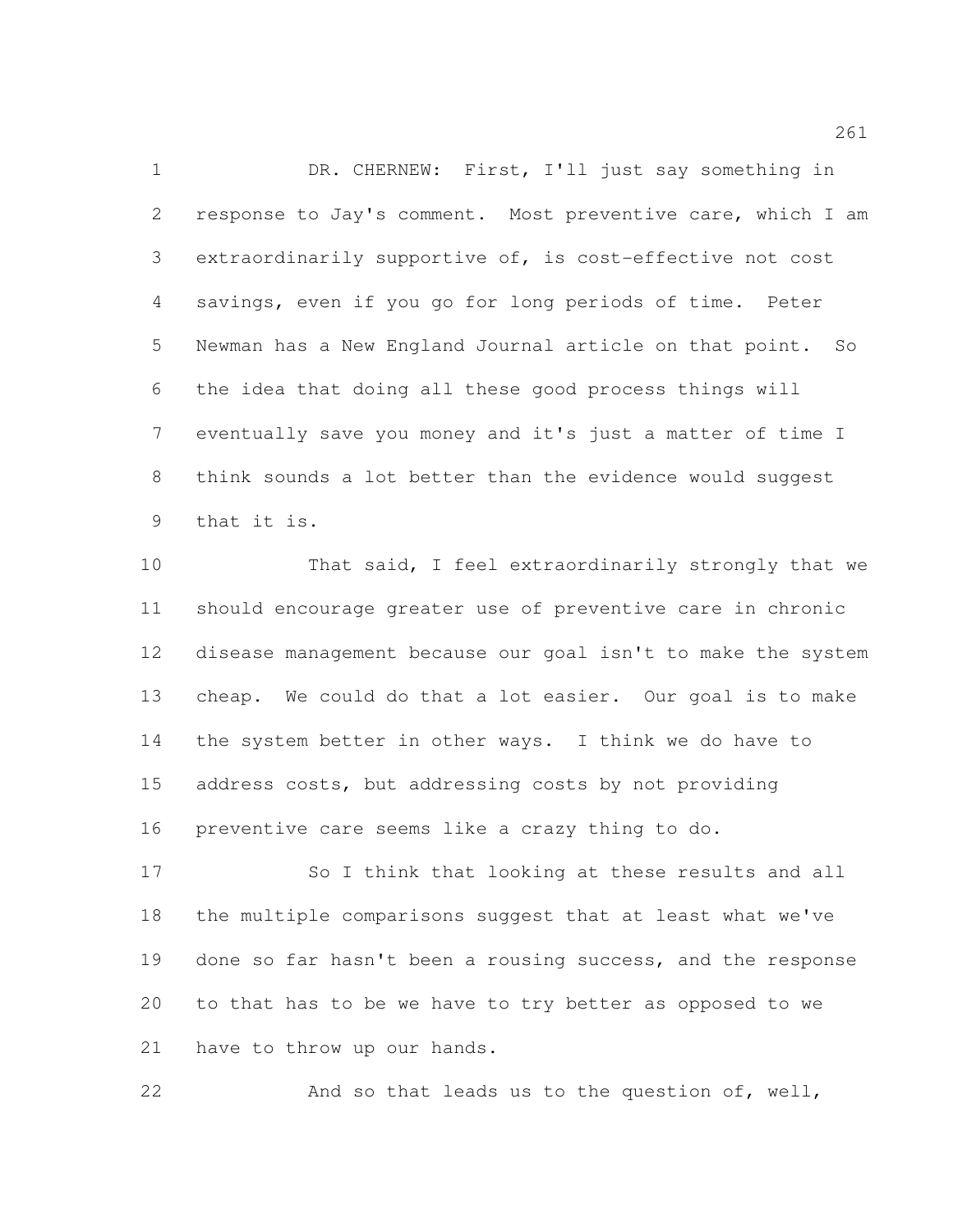DR. CHERNEW: First, I'll just say something in response to Jay's comment. Most preventive care, which I am extraordinarily supportive of, is cost-effective not cost savings, even if you go for long periods of time. Peter Newman has a New England Journal article on that point. So the idea that doing all these good process things will eventually save you money and it's just a matter of time I think sounds a lot better than the evidence would suggest that it is.

 That said, I feel extraordinarily strongly that we should encourage greater use of preventive care in chronic disease management because our goal isn't to make the system cheap. We could do that a lot easier. Our goal is to make the system better in other ways. I think we do have to address costs, but addressing costs by not providing preventive care seems like a crazy thing to do.

 So I think that looking at these results and all the multiple comparisons suggest that at least what we've done so far hasn't been a rousing success, and the response to that has to be we have to try better as opposed to we have to throw up our hands.

And so that leads us to the question of, well,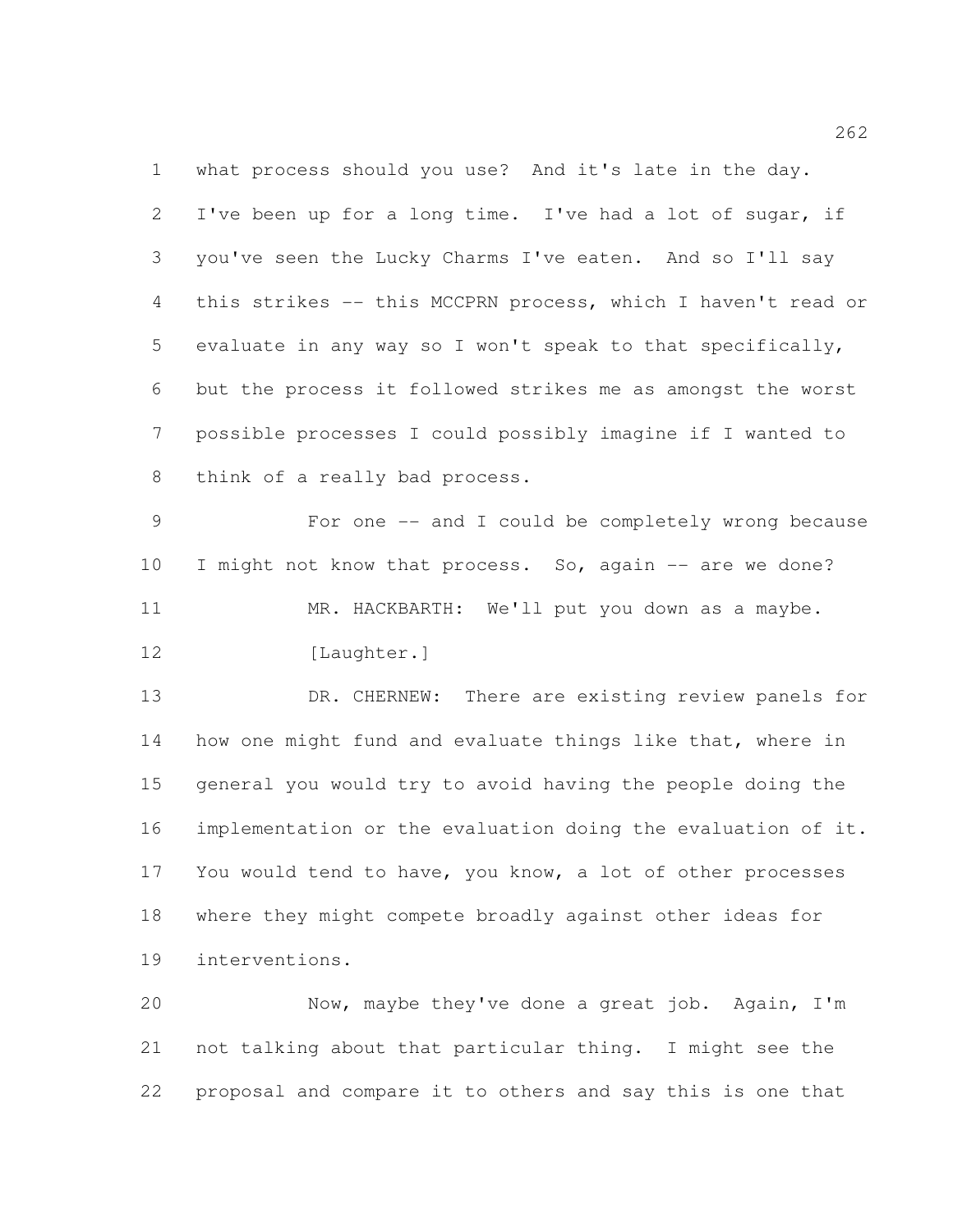what process should you use? And it's late in the day. I've been up for a long time. I've had a lot of sugar, if you've seen the Lucky Charms I've eaten. And so I'll say this strikes -- this MCCPRN process, which I haven't read or evaluate in any way so I won't speak to that specifically, but the process it followed strikes me as amongst the worst possible processes I could possibly imagine if I wanted to think of a really bad process.

 For one -- and I could be completely wrong because I might not know that process. So, again -- are we done? MR. HACKBARTH: We'll put you down as a maybe. 12 [Laughter.]

 DR. CHERNEW: There are existing review panels for 14 how one might fund and evaluate things like that, where in general you would try to avoid having the people doing the implementation or the evaluation doing the evaluation of it. You would tend to have, you know, a lot of other processes where they might compete broadly against other ideas for interventions.

 Now, maybe they've done a great job. Again, I'm not talking about that particular thing. I might see the proposal and compare it to others and say this is one that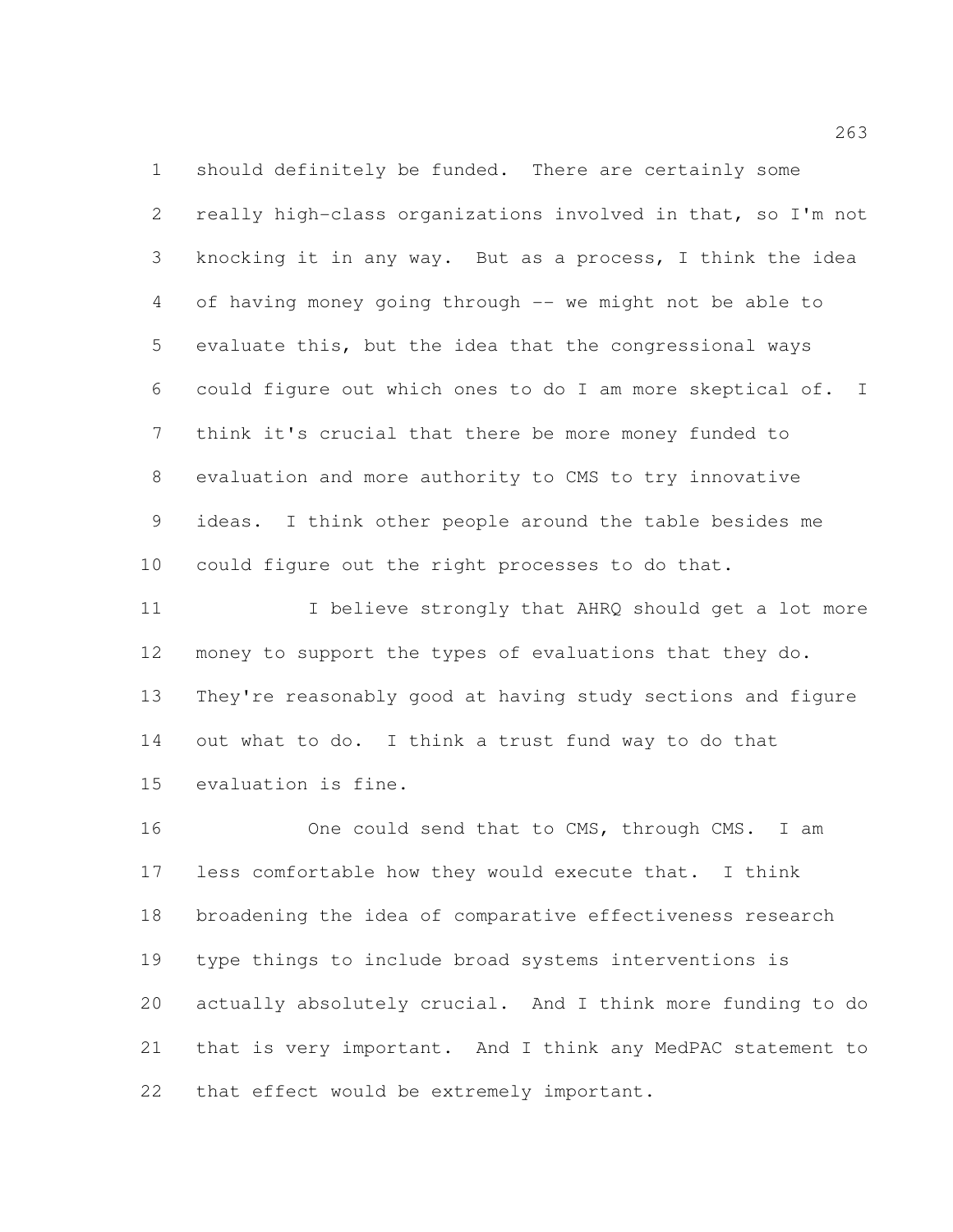should definitely be funded. There are certainly some really high-class organizations involved in that, so I'm not knocking it in any way. But as a process, I think the idea of having money going through -- we might not be able to evaluate this, but the idea that the congressional ways could figure out which ones to do I am more skeptical of. I think it's crucial that there be more money funded to evaluation and more authority to CMS to try innovative ideas. I think other people around the table besides me could figure out the right processes to do that.

11 I believe strongly that AHRQ should get a lot more money to support the types of evaluations that they do. They're reasonably good at having study sections and figure out what to do. I think a trust fund way to do that evaluation is fine.

16 One could send that to CMS, through CMS. I am less comfortable how they would execute that. I think broadening the idea of comparative effectiveness research type things to include broad systems interventions is actually absolutely crucial. And I think more funding to do that is very important. And I think any MedPAC statement to that effect would be extremely important.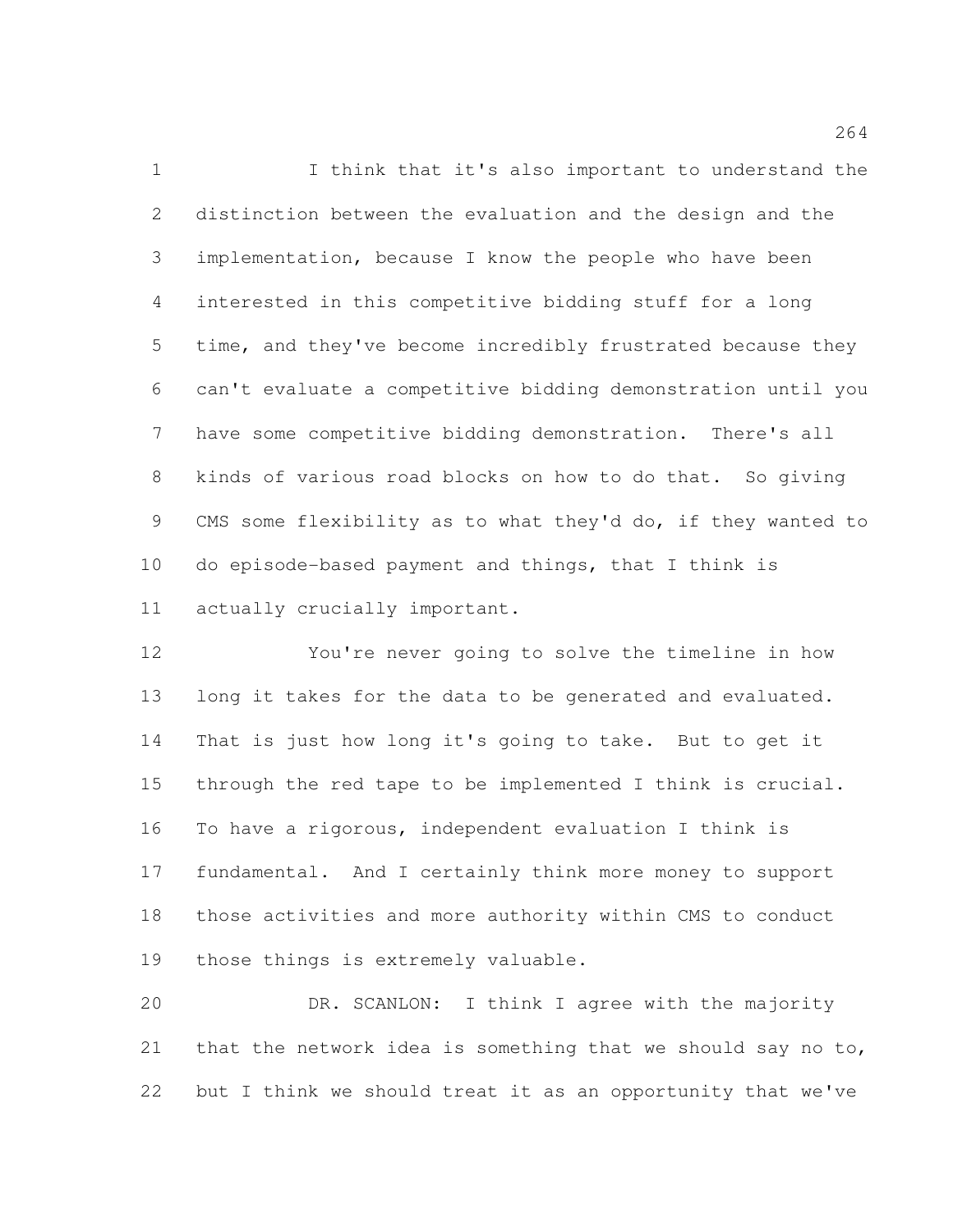I think that it's also important to understand the distinction between the evaluation and the design and the implementation, because I know the people who have been interested in this competitive bidding stuff for a long time, and they've become incredibly frustrated because they can't evaluate a competitive bidding demonstration until you have some competitive bidding demonstration. There's all kinds of various road blocks on how to do that. So giving CMS some flexibility as to what they'd do, if they wanted to do episode-based payment and things, that I think is actually crucially important.

 You're never going to solve the timeline in how long it takes for the data to be generated and evaluated. That is just how long it's going to take. But to get it through the red tape to be implemented I think is crucial. To have a rigorous, independent evaluation I think is fundamental. And I certainly think more money to support those activities and more authority within CMS to conduct those things is extremely valuable.

 DR. SCANLON: I think I agree with the majority that the network idea is something that we should say no to, but I think we should treat it as an opportunity that we've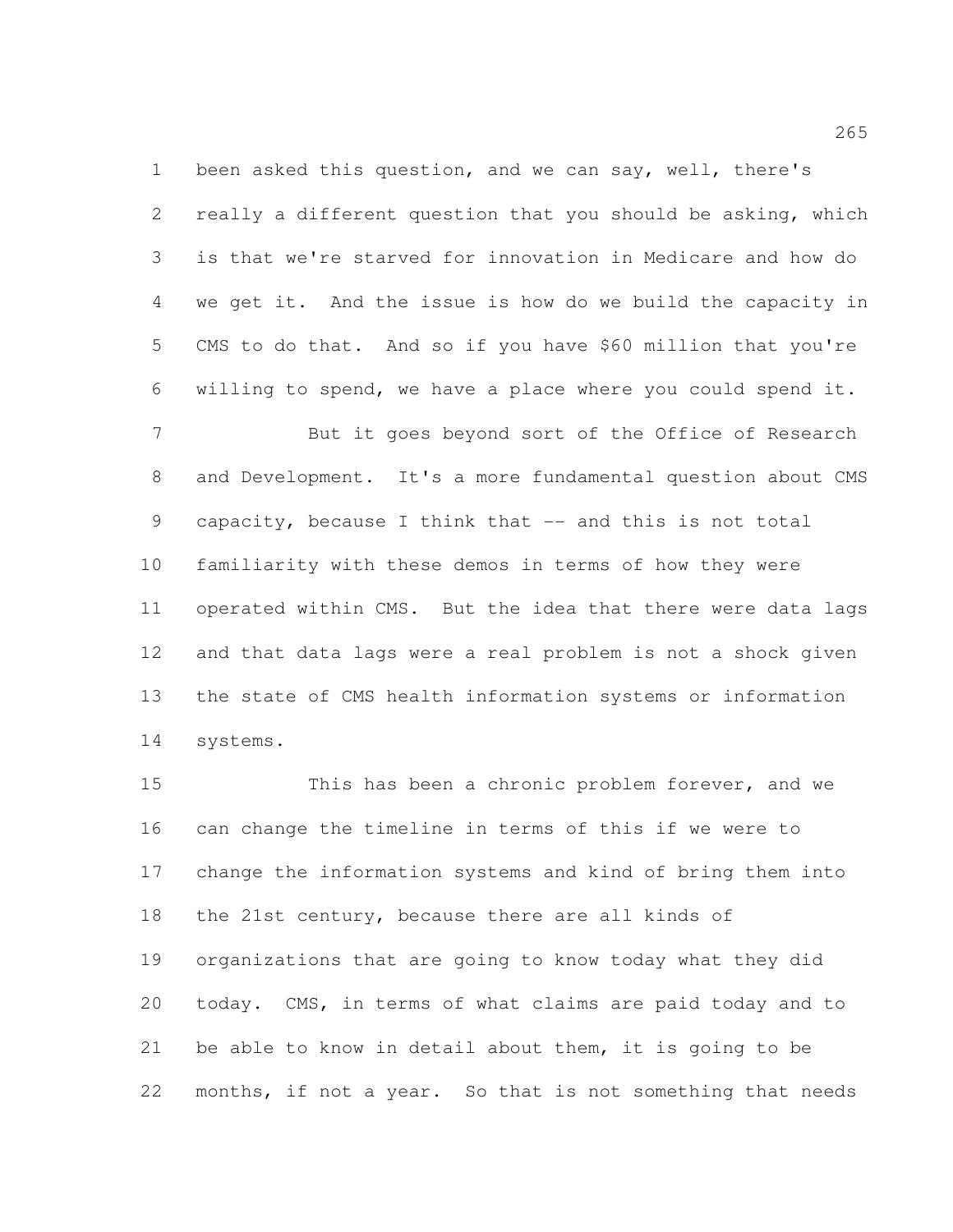been asked this question, and we can say, well, there's really a different question that you should be asking, which is that we're starved for innovation in Medicare and how do we get it. And the issue is how do we build the capacity in CMS to do that. And so if you have \$60 million that you're willing to spend, we have a place where you could spend it.

7 But it goes beyond sort of the Office of Research and Development. It's a more fundamental question about CMS capacity, because I think that -- and this is not total familiarity with these demos in terms of how they were operated within CMS. But the idea that there were data lags and that data lags were a real problem is not a shock given the state of CMS health information systems or information systems.

 This has been a chronic problem forever, and we can change the timeline in terms of this if we were to change the information systems and kind of bring them into the 21st century, because there are all kinds of organizations that are going to know today what they did today. CMS, in terms of what claims are paid today and to be able to know in detail about them, it is going to be months, if not a year. So that is not something that needs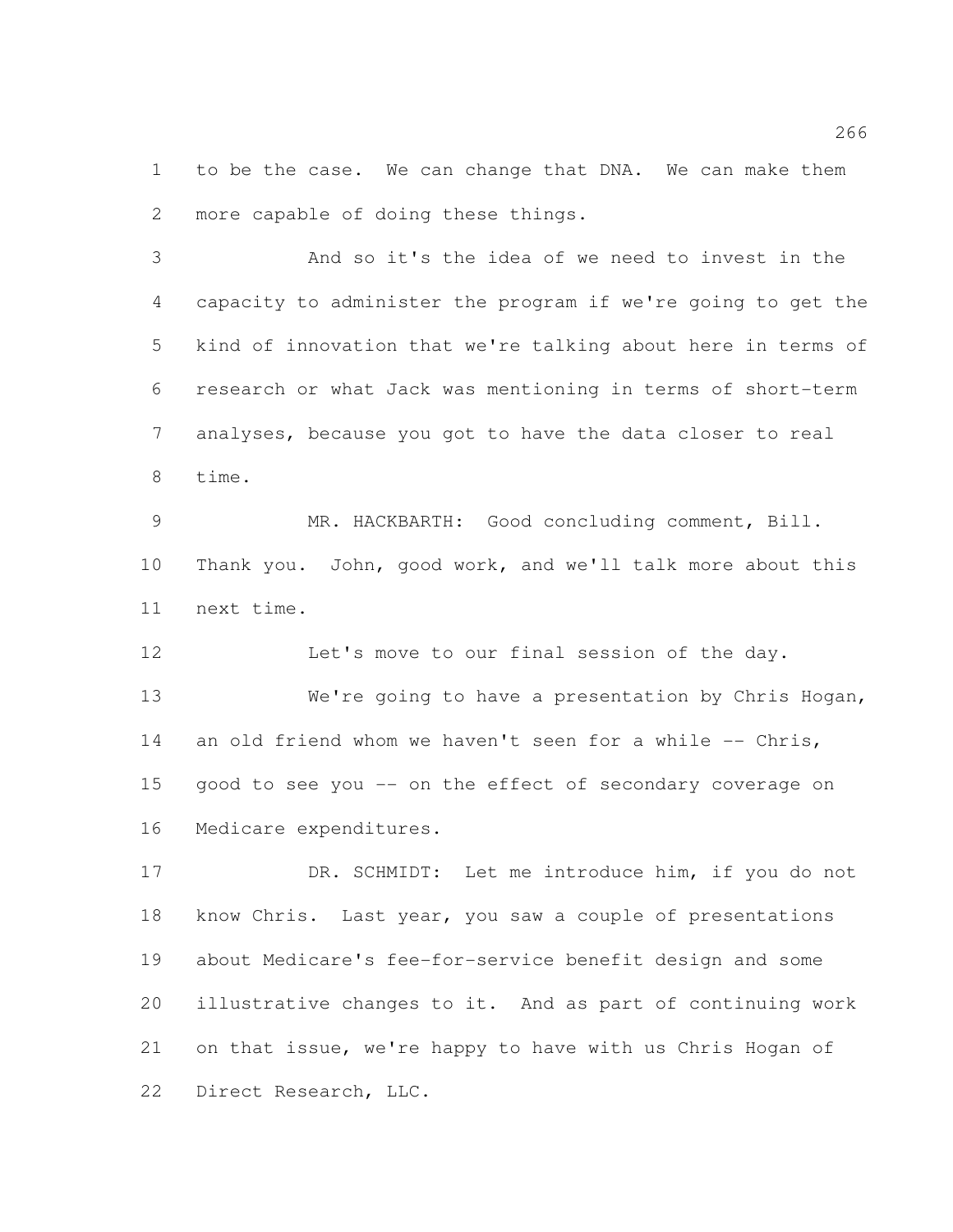to be the case. We can change that DNA. We can make them more capable of doing these things.

 And so it's the idea of we need to invest in the capacity to administer the program if we're going to get the kind of innovation that we're talking about here in terms of research or what Jack was mentioning in terms of short-term analyses, because you got to have the data closer to real time.

 MR. HACKBARTH: Good concluding comment, Bill. Thank you. John, good work, and we'll talk more about this next time.

Let's move to our final session of the day.

 We're going to have a presentation by Chris Hogan, 14 an old friend whom we haven't seen for a while -- Chris, good to see you -- on the effect of secondary coverage on Medicare expenditures.

17 DR. SCHMIDT: Let me introduce him, if you do not know Chris. Last year, you saw a couple of presentations about Medicare's fee-for-service benefit design and some illustrative changes to it. And as part of continuing work on that issue, we're happy to have with us Chris Hogan of Direct Research, LLC.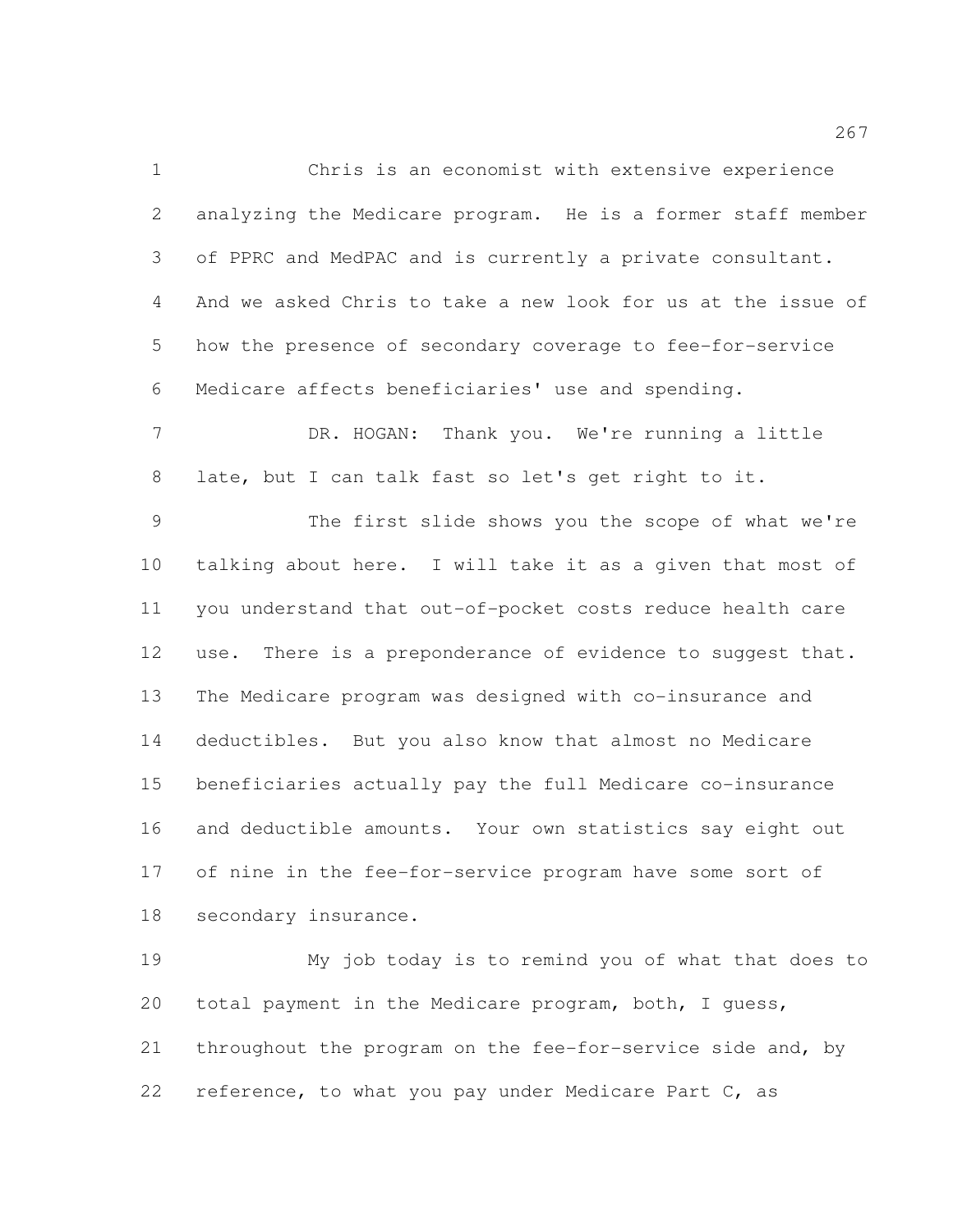Chris is an economist with extensive experience analyzing the Medicare program. He is a former staff member of PPRC and MedPAC and is currently a private consultant. And we asked Chris to take a new look for us at the issue of how the presence of secondary coverage to fee-for-service Medicare affects beneficiaries' use and spending.

7 DR. HOGAN: Thank you. We're running a little late, but I can talk fast so let's get right to it.

 The first slide shows you the scope of what we're talking about here. I will take it as a given that most of you understand that out-of-pocket costs reduce health care 12 use. There is a preponderance of evidence to suggest that. The Medicare program was designed with co-insurance and deductibles. But you also know that almost no Medicare beneficiaries actually pay the full Medicare co-insurance and deductible amounts. Your own statistics say eight out of nine in the fee-for-service program have some sort of secondary insurance.

 My job today is to remind you of what that does to total payment in the Medicare program, both, I guess, 21 throughout the program on the fee-for-service side and, by reference, to what you pay under Medicare Part C, as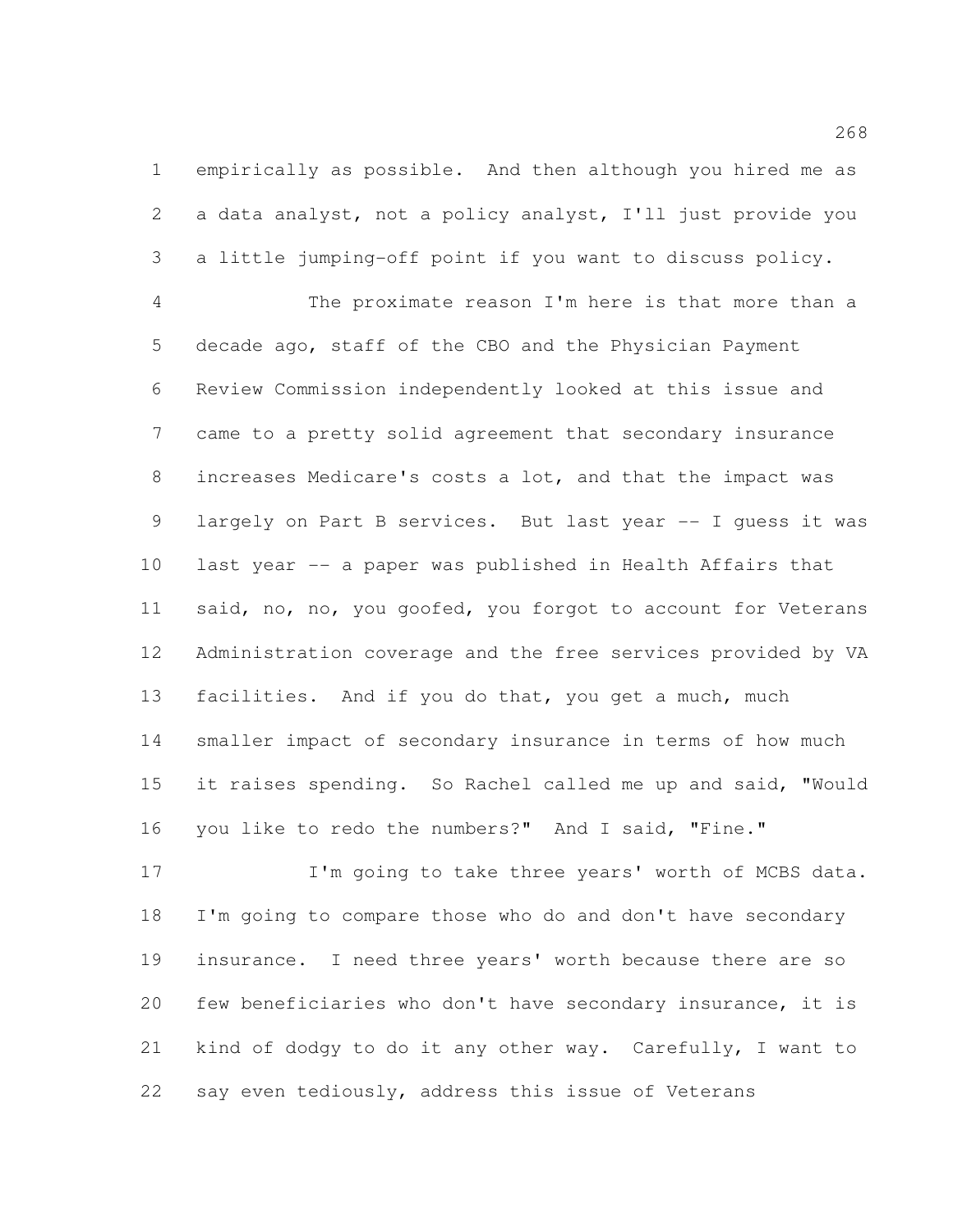empirically as possible. And then although you hired me as a data analyst, not a policy analyst, I'll just provide you a little jumping-off point if you want to discuss policy.

 The proximate reason I'm here is that more than a decade ago, staff of the CBO and the Physician Payment Review Commission independently looked at this issue and came to a pretty solid agreement that secondary insurance increases Medicare's costs a lot, and that the impact was largely on Part B services. But last year -- I guess it was last year -- a paper was published in Health Affairs that 11 said, no, no, you goofed, you forgot to account for Veterans Administration coverage and the free services provided by VA 13 facilities. And if you do that, you get a much, much smaller impact of secondary insurance in terms of how much it raises spending. So Rachel called me up and said, "Would you like to redo the numbers?" And I said, "Fine."

17 I'm going to take three years' worth of MCBS data. I'm going to compare those who do and don't have secondary insurance. I need three years' worth because there are so few beneficiaries who don't have secondary insurance, it is kind of dodgy to do it any other way. Carefully, I want to say even tediously, address this issue of Veterans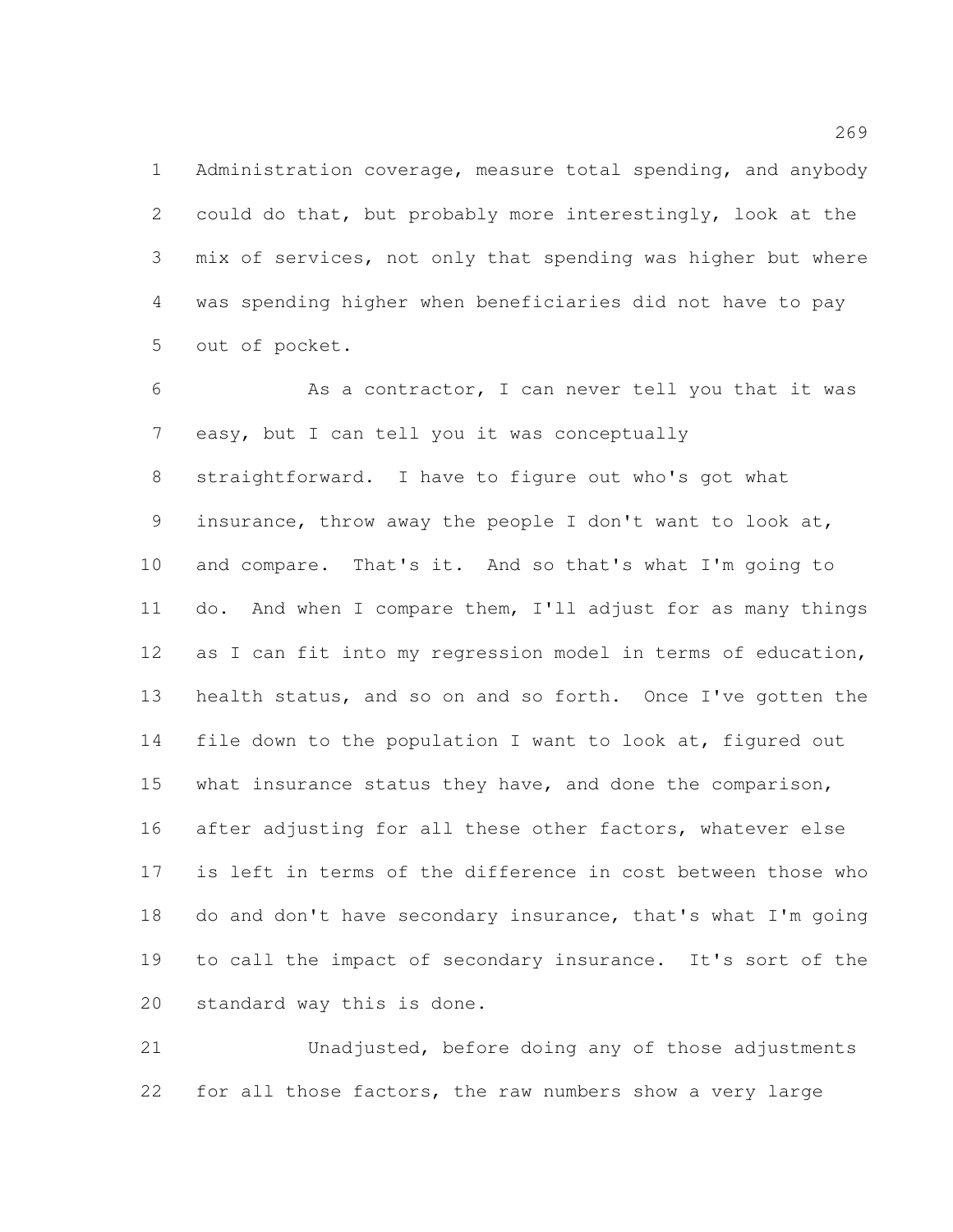Administration coverage, measure total spending, and anybody could do that, but probably more interestingly, look at the mix of services, not only that spending was higher but where was spending higher when beneficiaries did not have to pay out of pocket.

 As a contractor, I can never tell you that it was easy, but I can tell you it was conceptually straightforward. I have to figure out who's got what insurance, throw away the people I don't want to look at, and compare. That's it. And so that's what I'm going to do. And when I compare them, I'll adjust for as many things 12 as I can fit into my regression model in terms of education, health status, and so on and so forth. Once I've gotten the 14 file down to the population I want to look at, figured out 15 what insurance status they have, and done the comparison, after adjusting for all these other factors, whatever else is left in terms of the difference in cost between those who do and don't have secondary insurance, that's what I'm going to call the impact of secondary insurance. It's sort of the standard way this is done.

 Unadjusted, before doing any of those adjustments for all those factors, the raw numbers show a very large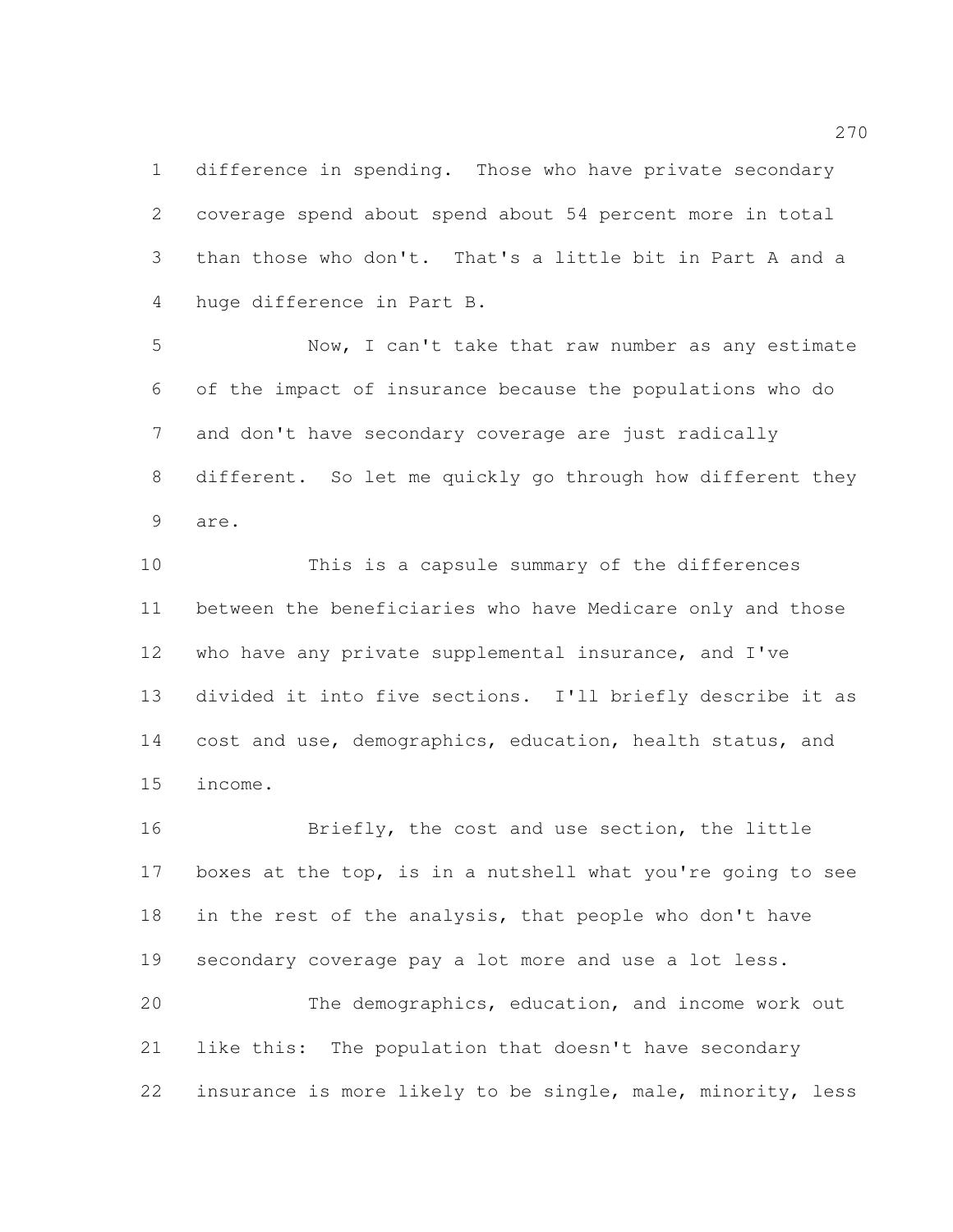difference in spending. Those who have private secondary coverage spend about spend about 54 percent more in total than those who don't. That's a little bit in Part A and a huge difference in Part B.

 Now, I can't take that raw number as any estimate of the impact of insurance because the populations who do and don't have secondary coverage are just radically different. So let me quickly go through how different they are.

 This is a capsule summary of the differences between the beneficiaries who have Medicare only and those 12 who have any private supplemental insurance, and I've divided it into five sections. I'll briefly describe it as 14 cost and use, demographics, education, health status, and income.

 Briefly, the cost and use section, the little boxes at the top, is in a nutshell what you're going to see in the rest of the analysis, that people who don't have secondary coverage pay a lot more and use a lot less. The demographics, education, and income work out

 like this: The population that doesn't have secondary insurance is more likely to be single, male, minority, less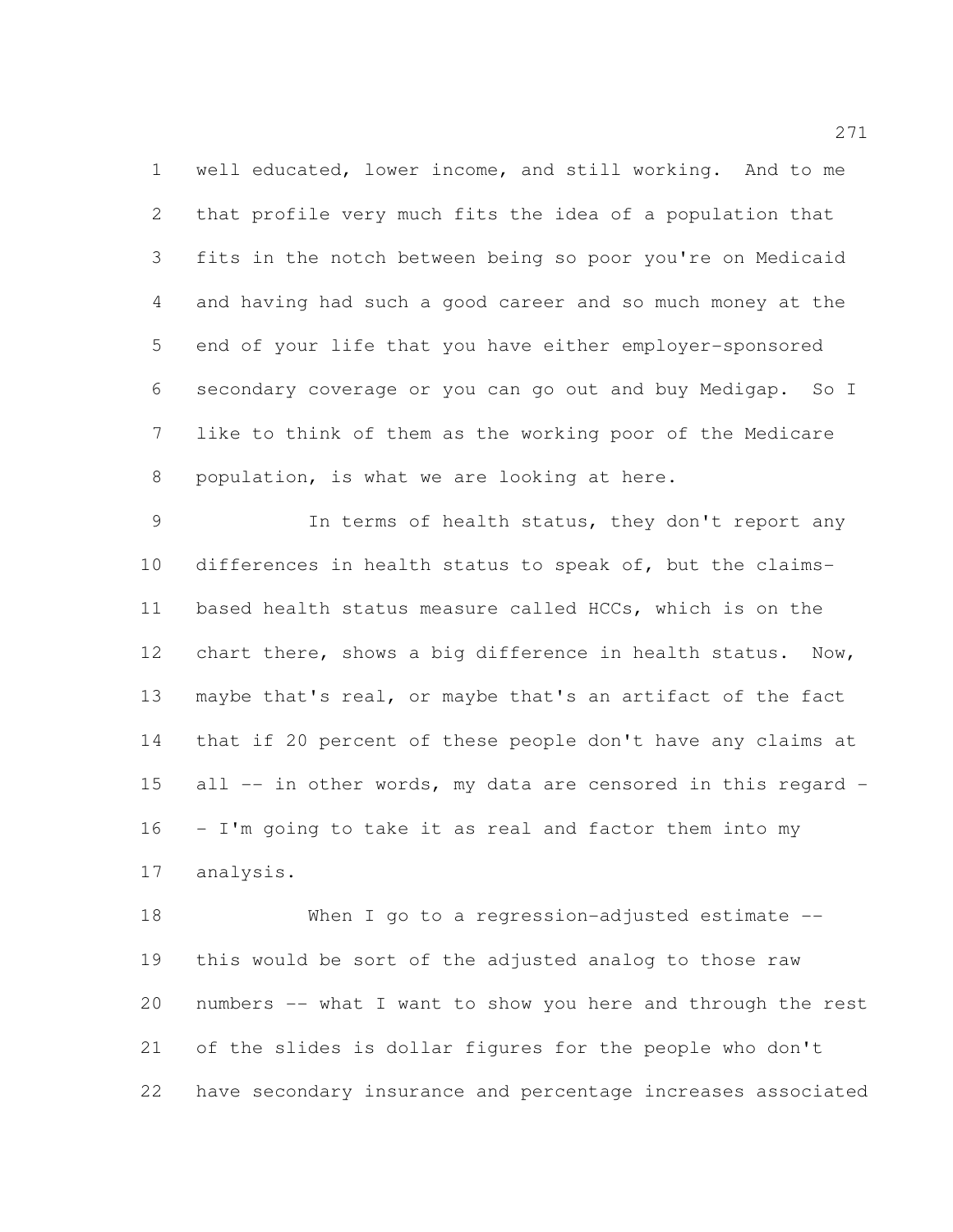well educated, lower income, and still working. And to me that profile very much fits the idea of a population that fits in the notch between being so poor you're on Medicaid and having had such a good career and so much money at the end of your life that you have either employer-sponsored secondary coverage or you can go out and buy Medigap. So I like to think of them as the working poor of the Medicare population, is what we are looking at here.

 In terms of health status, they don't report any differences in health status to speak of, but the claims- based health status measure called HCCs, which is on the 12 chart there, shows a big difference in health status. Now, maybe that's real, or maybe that's an artifact of the fact that if 20 percent of these people don't have any claims at all -- in other words, my data are censored in this regard - - I'm going to take it as real and factor them into my analysis.

 When I go to a regression-adjusted estimate -- this would be sort of the adjusted analog to those raw numbers -- what I want to show you here and through the rest of the slides is dollar figures for the people who don't have secondary insurance and percentage increases associated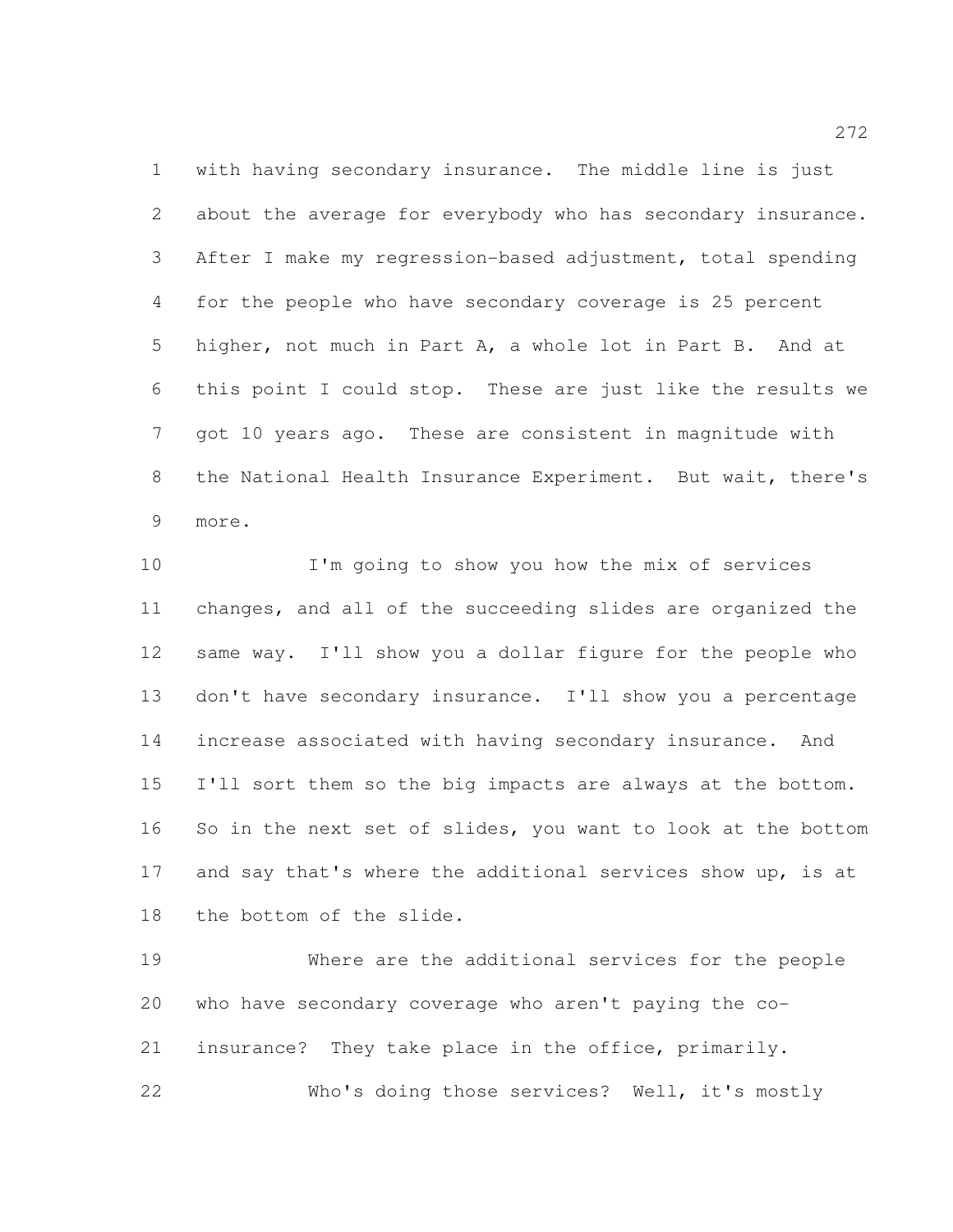with having secondary insurance. The middle line is just about the average for everybody who has secondary insurance. After I make my regression-based adjustment, total spending for the people who have secondary coverage is 25 percent higher, not much in Part A, a whole lot in Part B. And at this point I could stop. These are just like the results we got 10 years ago. These are consistent in magnitude with the National Health Insurance Experiment. But wait, there's more.

 I'm going to show you how the mix of services changes, and all of the succeeding slides are organized the same way. I'll show you a dollar figure for the people who don't have secondary insurance. I'll show you a percentage increase associated with having secondary insurance. And I'll sort them so the big impacts are always at the bottom. So in the next set of slides, you want to look at the bottom 17 and say that's where the additional services show up, is at the bottom of the slide.

 Where are the additional services for the people who have secondary coverage who aren't paying the co- insurance? They take place in the office, primarily. Who's doing those services? Well, it's mostly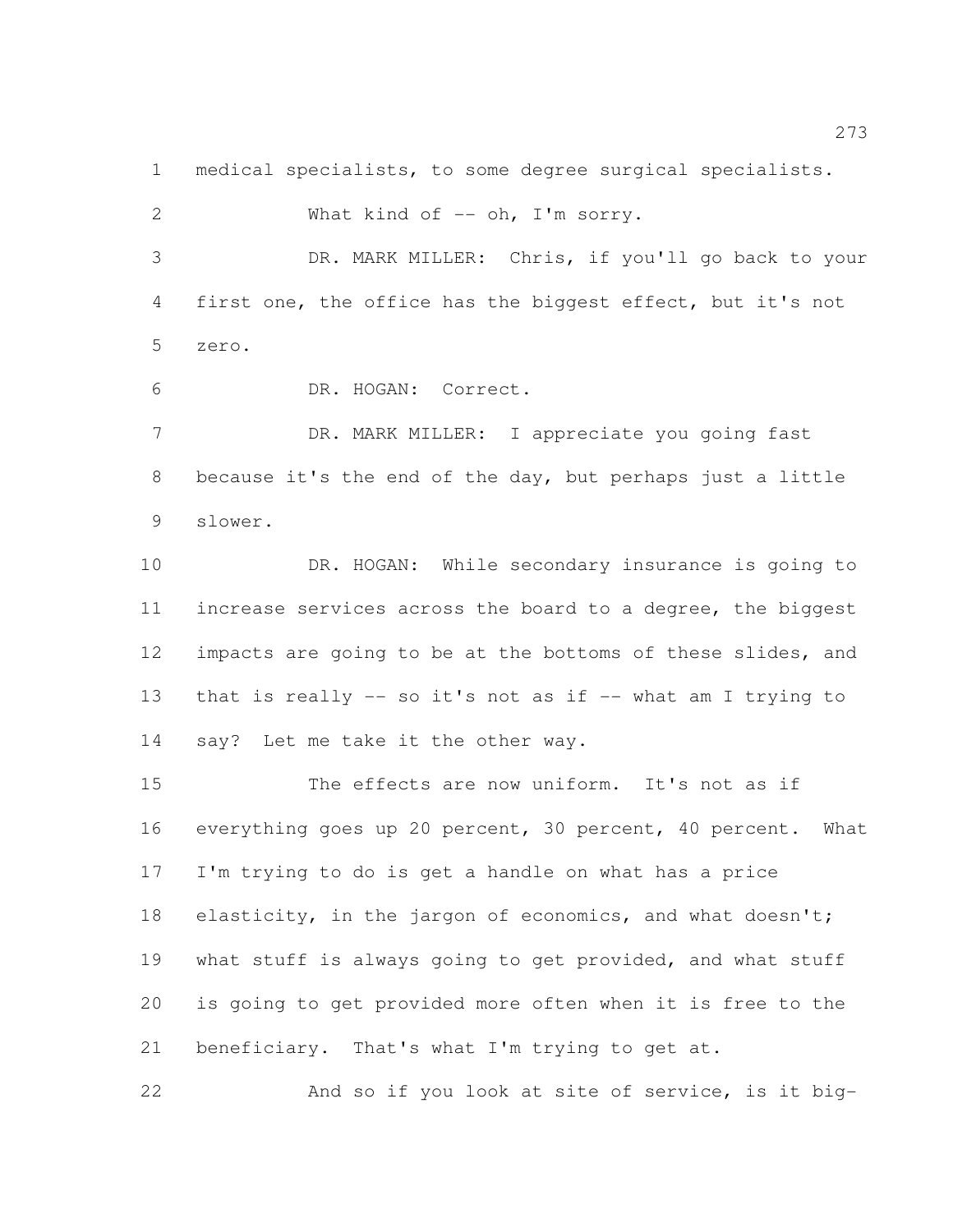medical specialists, to some degree surgical specialists.

2 What kind of -- oh, I'm sorry. DR. MARK MILLER: Chris, if you'll go back to your first one, the office has the biggest effect, but it's not zero. DR. HOGAN: Correct. 7 DR. MARK MILLER: I appreciate you going fast because it's the end of the day, but perhaps just a little slower. DR. HOGAN: While secondary insurance is going to increase services across the board to a degree, the biggest impacts are going to be at the bottoms of these slides, and that is really -- so it's not as if -- what am I trying to say? Let me take it the other way. The effects are now uniform. It's not as if everything goes up 20 percent, 30 percent, 40 percent. What I'm trying to do is get a handle on what has a price 18 elasticity, in the jargon of economics, and what doesn't; 19 what stuff is always going to get provided, and what stuff is going to get provided more often when it is free to the

beneficiary. That's what I'm trying to get at.

And so if you look at site of service, is it big-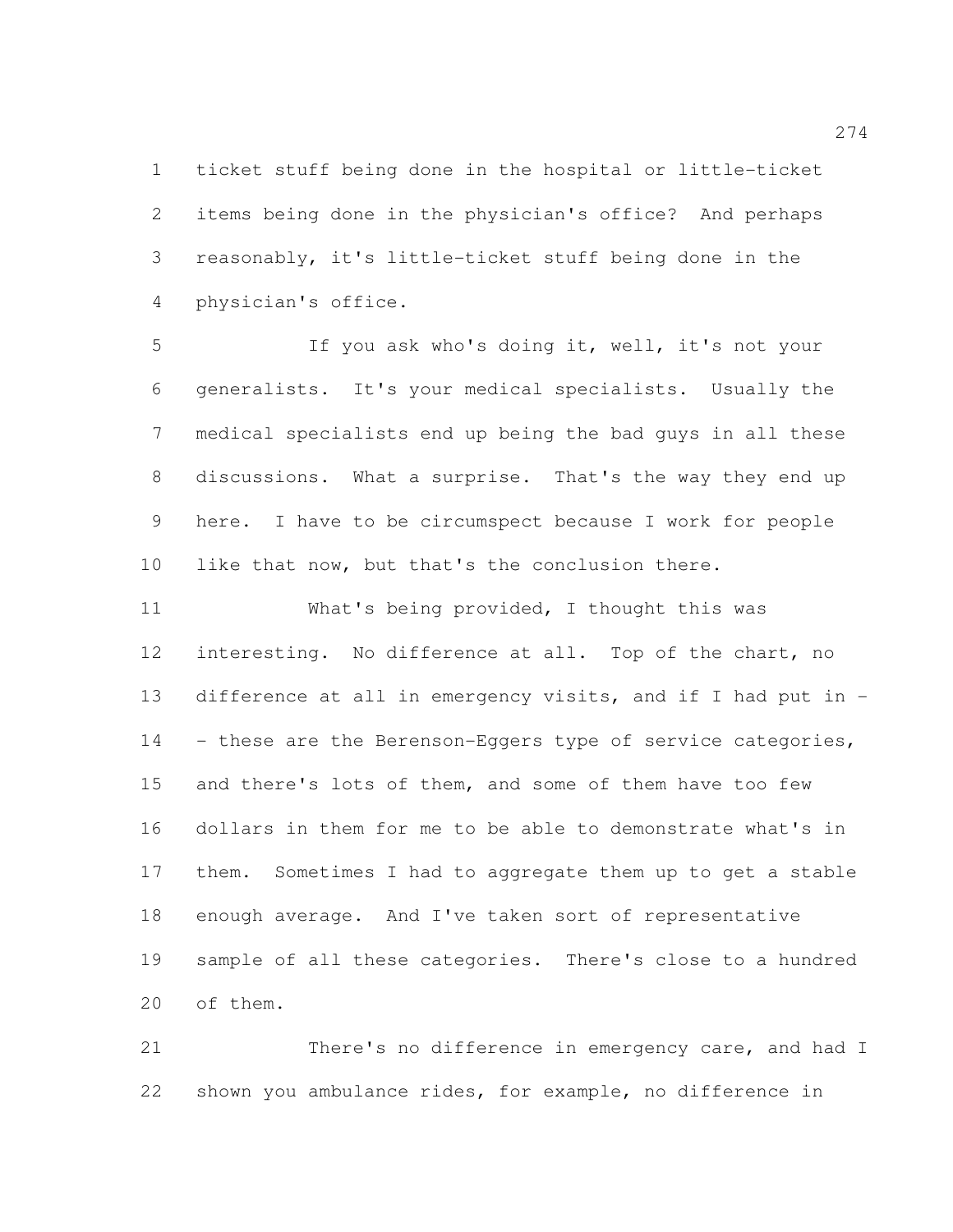ticket stuff being done in the hospital or little-ticket items being done in the physician's office? And perhaps reasonably, it's little-ticket stuff being done in the physician's office.

 If you ask who's doing it, well, it's not your generalists. It's your medical specialists. Usually the medical specialists end up being the bad guys in all these discussions. What a surprise. That's the way they end up here. I have to be circumspect because I work for people like that now, but that's the conclusion there.

 What's being provided, I thought this was interesting. No difference at all. Top of the chart, no difference at all in emergency visits, and if I had put in - 14 - these are the Berenson-Eggers type of service categories, and there's lots of them, and some of them have too few dollars in them for me to be able to demonstrate what's in them. Sometimes I had to aggregate them up to get a stable enough average. And I've taken sort of representative sample of all these categories. There's close to a hundred of them.

 There's no difference in emergency care, and had I shown you ambulance rides, for example, no difference in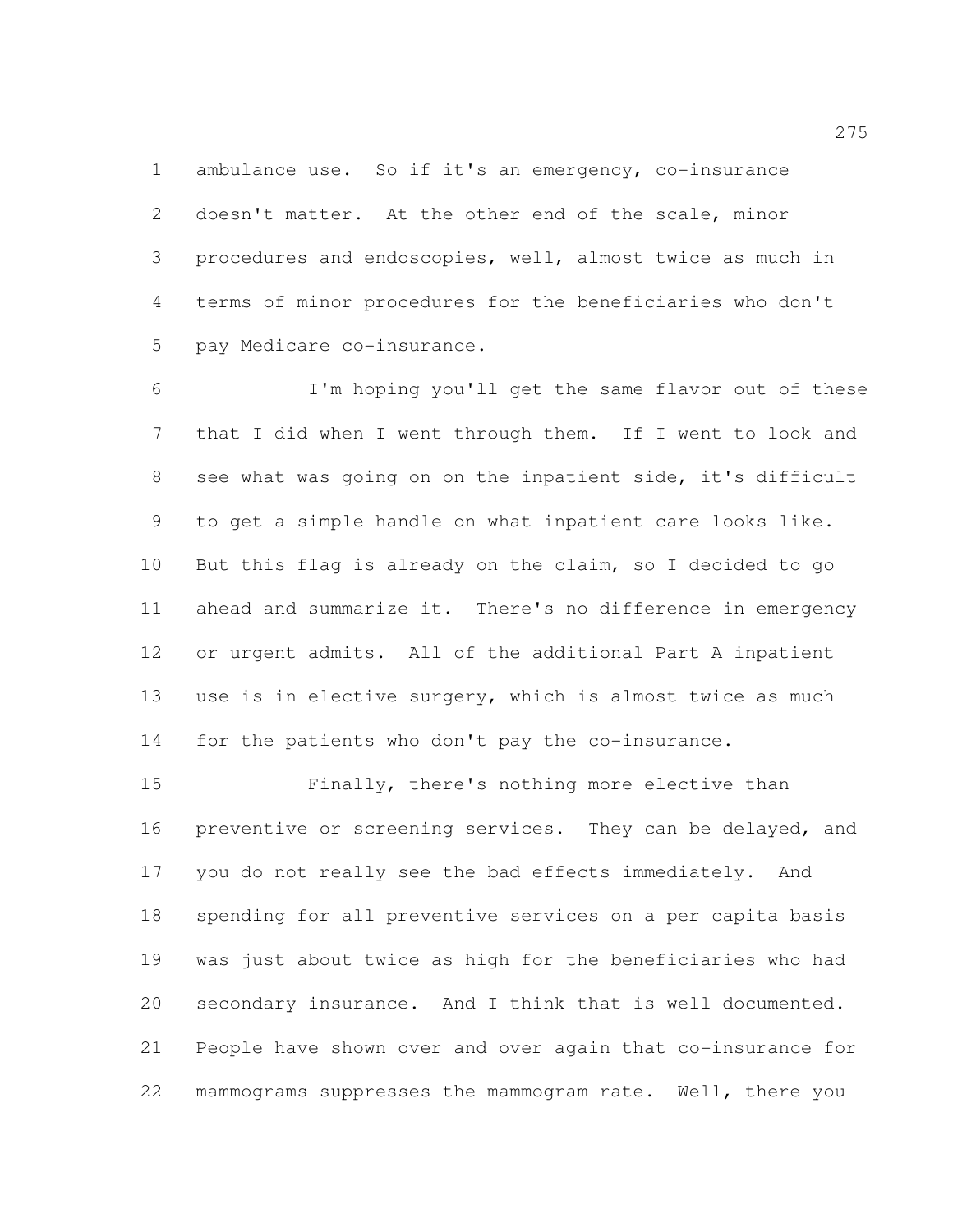ambulance use. So if it's an emergency, co-insurance doesn't matter. At the other end of the scale, minor procedures and endoscopies, well, almost twice as much in terms of minor procedures for the beneficiaries who don't pay Medicare co-insurance.

 I'm hoping you'll get the same flavor out of these that I did when I went through them. If I went to look and see what was going on on the inpatient side, it's difficult to get a simple handle on what inpatient care looks like. But this flag is already on the claim, so I decided to go ahead and summarize it. There's no difference in emergency or urgent admits. All of the additional Part A inpatient use is in elective surgery, which is almost twice as much for the patients who don't pay the co-insurance.

 Finally, there's nothing more elective than 16 preventive or screening services. They can be delayed, and you do not really see the bad effects immediately. And spending for all preventive services on a per capita basis was just about twice as high for the beneficiaries who had secondary insurance. And I think that is well documented. People have shown over and over again that co-insurance for mammograms suppresses the mammogram rate. Well, there you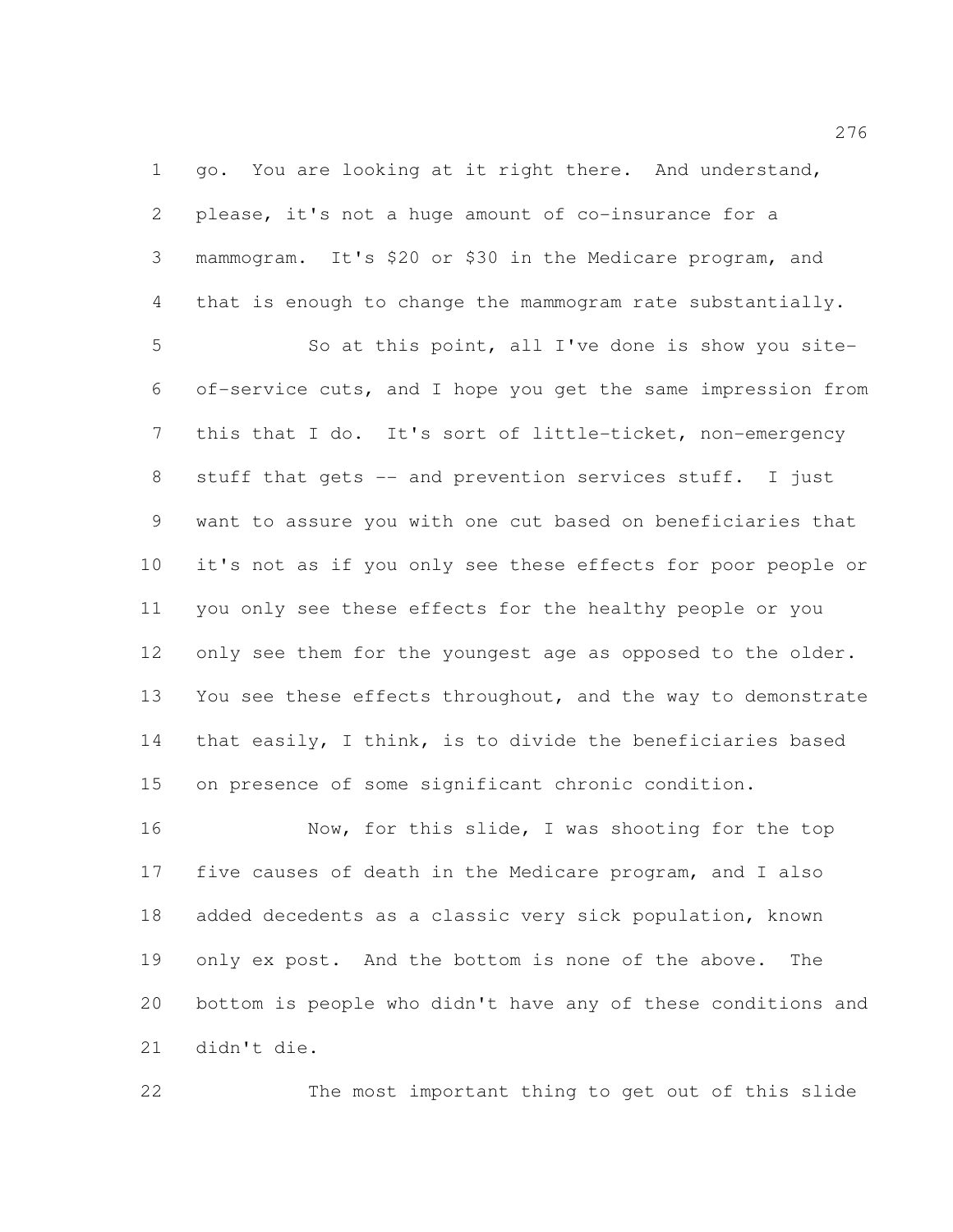go. You are looking at it right there. And understand, please, it's not a huge amount of co-insurance for a mammogram. It's \$20 or \$30 in the Medicare program, and that is enough to change the mammogram rate substantially.

 So at this point, all I've done is show you site- of-service cuts, and I hope you get the same impression from this that I do. It's sort of little-ticket, non-emergency stuff that gets -- and prevention services stuff. I just want to assure you with one cut based on beneficiaries that it's not as if you only see these effects for poor people or you only see these effects for the healthy people or you 12 only see them for the youngest age as opposed to the older. You see these effects throughout, and the way to demonstrate that easily, I think, is to divide the beneficiaries based on presence of some significant chronic condition.

 Now, for this slide, I was shooting for the top five causes of death in the Medicare program, and I also added decedents as a classic very sick population, known only ex post. And the bottom is none of the above. The bottom is people who didn't have any of these conditions and didn't die.

The most important thing to get out of this slide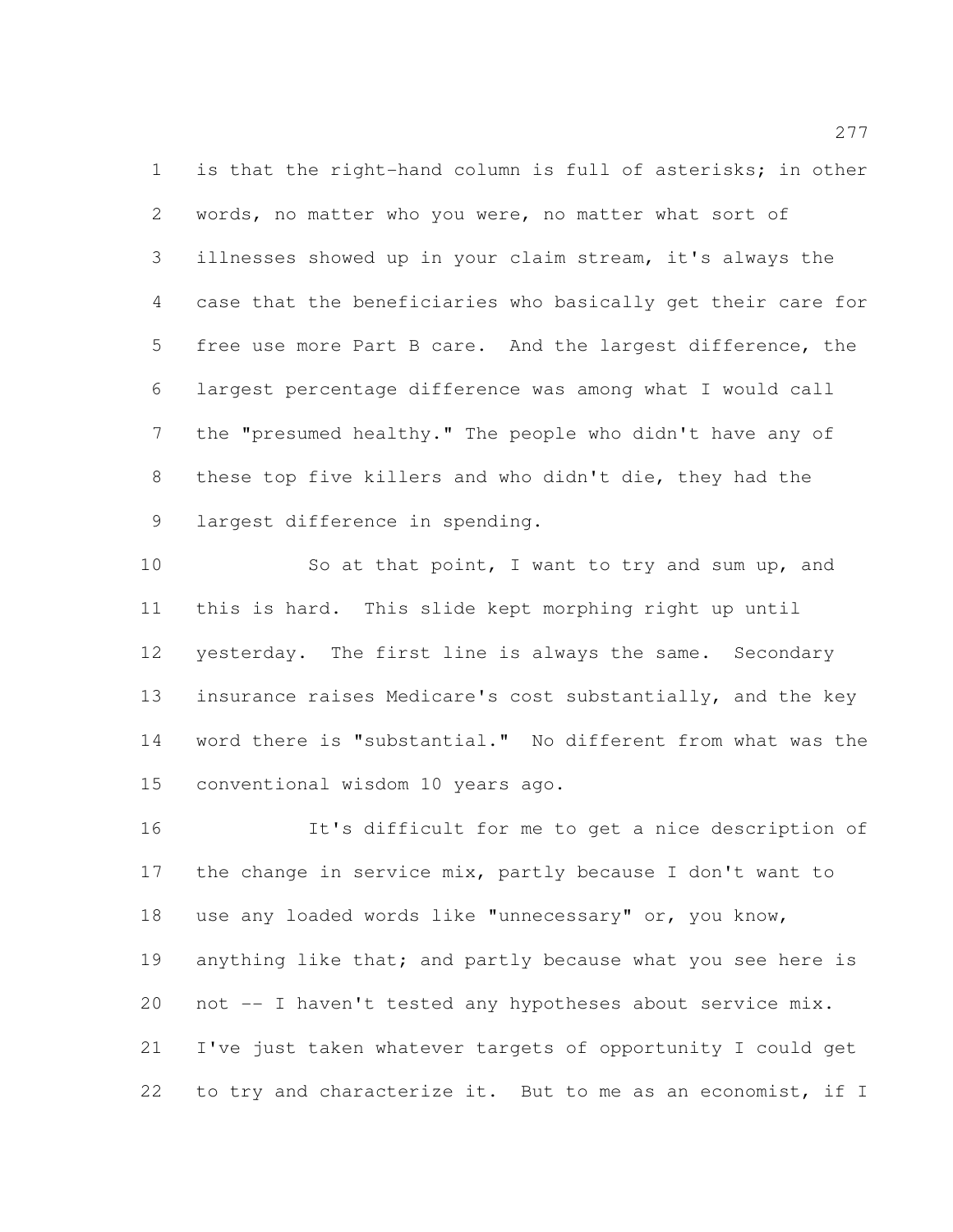is that the right-hand column is full of asterisks; in other words, no matter who you were, no matter what sort of illnesses showed up in your claim stream, it's always the case that the beneficiaries who basically get their care for free use more Part B care. And the largest difference, the largest percentage difference was among what I would call the "presumed healthy." The people who didn't have any of these top five killers and who didn't die, they had the largest difference in spending.

10 So at that point, I want to try and sum up, and this is hard. This slide kept morphing right up until yesterday. The first line is always the same. Secondary insurance raises Medicare's cost substantially, and the key word there is "substantial." No different from what was the conventional wisdom 10 years ago.

 It's difficult for me to get a nice description of the change in service mix, partly because I don't want to use any loaded words like "unnecessary" or, you know, 19 anything like that; and partly because what you see here is not -- I haven't tested any hypotheses about service mix. I've just taken whatever targets of opportunity I could get 22 to try and characterize it. But to me as an economist, if I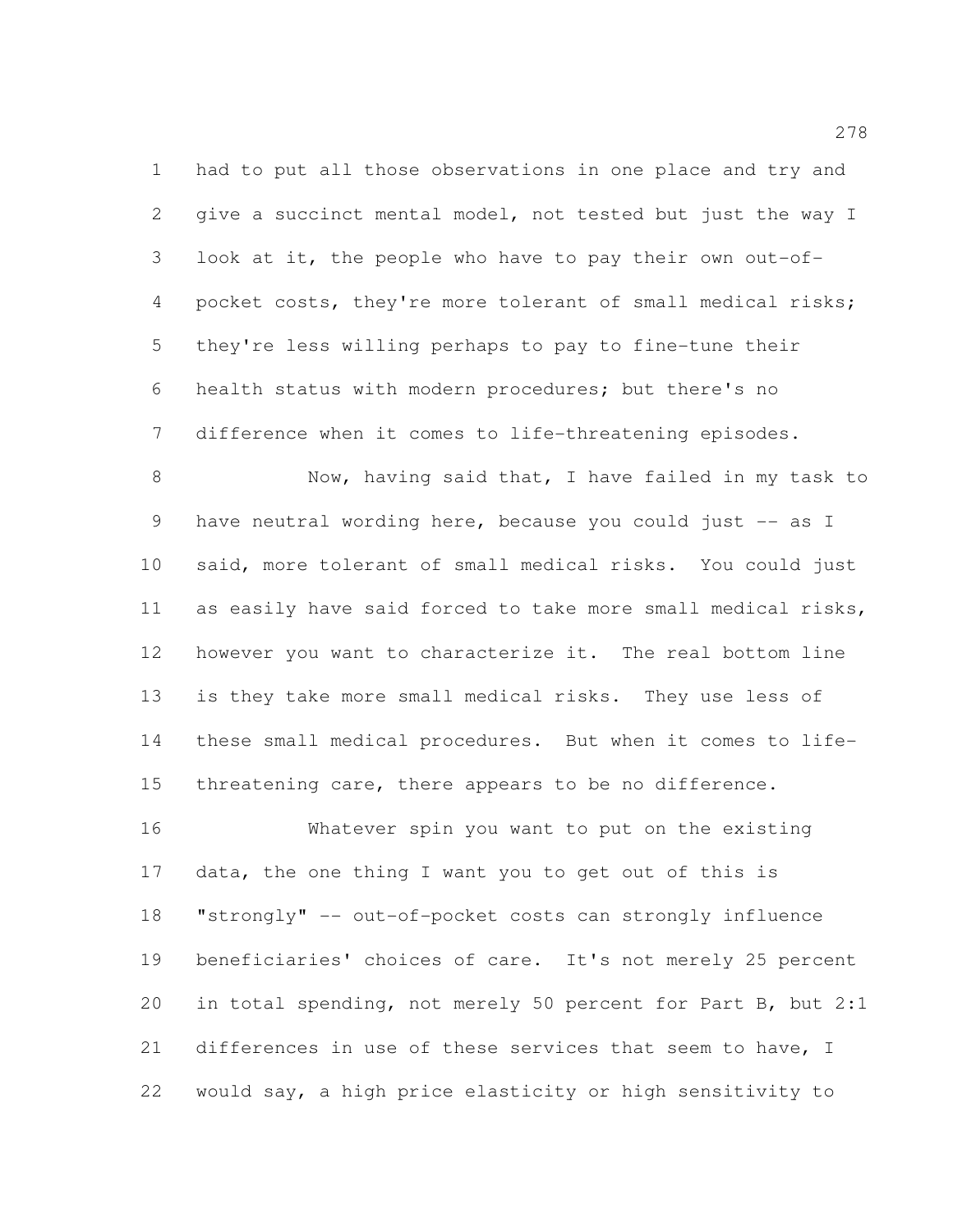had to put all those observations in one place and try and give a succinct mental model, not tested but just the way I look at it, the people who have to pay their own out-of- pocket costs, they're more tolerant of small medical risks; they're less willing perhaps to pay to fine-tune their health status with modern procedures; but there's no difference when it comes to life-threatening episodes.

 Now, having said that, I have failed in my task to have neutral wording here, because you could just -- as I said, more tolerant of small medical risks. You could just as easily have said forced to take more small medical risks, however you want to characterize it. The real bottom line is they take more small medical risks. They use less of these small medical procedures. But when it comes to life-15 threatening care, there appears to be no difference.

 Whatever spin you want to put on the existing data, the one thing I want you to get out of this is "strongly" -- out-of-pocket costs can strongly influence beneficiaries' choices of care. It's not merely 25 percent in total spending, not merely 50 percent for Part B, but 2:1 differences in use of these services that seem to have, I would say, a high price elasticity or high sensitivity to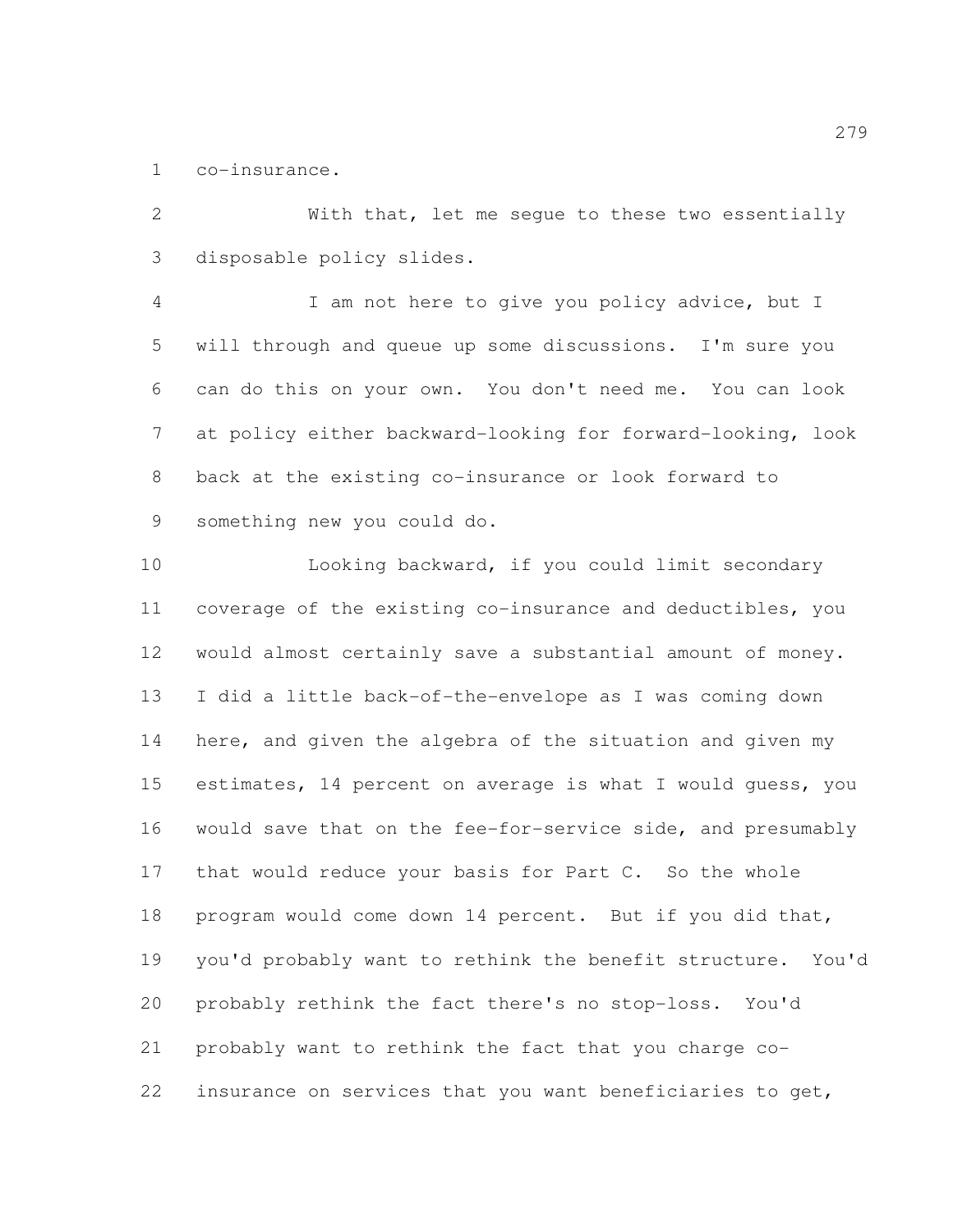co-insurance.

 With that, let me segue to these two essentially disposable policy slides.

 I am not here to give you policy advice, but I will through and queue up some discussions. I'm sure you can do this on your own. You don't need me. You can look at policy either backward-looking for forward-looking, look back at the existing co-insurance or look forward to something new you could do.

 Looking backward, if you could limit secondary coverage of the existing co-insurance and deductibles, you would almost certainly save a substantial amount of money. I did a little back-of-the-envelope as I was coming down here, and given the algebra of the situation and given my estimates, 14 percent on average is what I would guess, you would save that on the fee-for-service side, and presumably 17 that would reduce your basis for Part C. So the whole program would come down 14 percent. But if you did that, you'd probably want to rethink the benefit structure. You'd probably rethink the fact there's no stop-loss. You'd probably want to rethink the fact that you charge co-insurance on services that you want beneficiaries to get,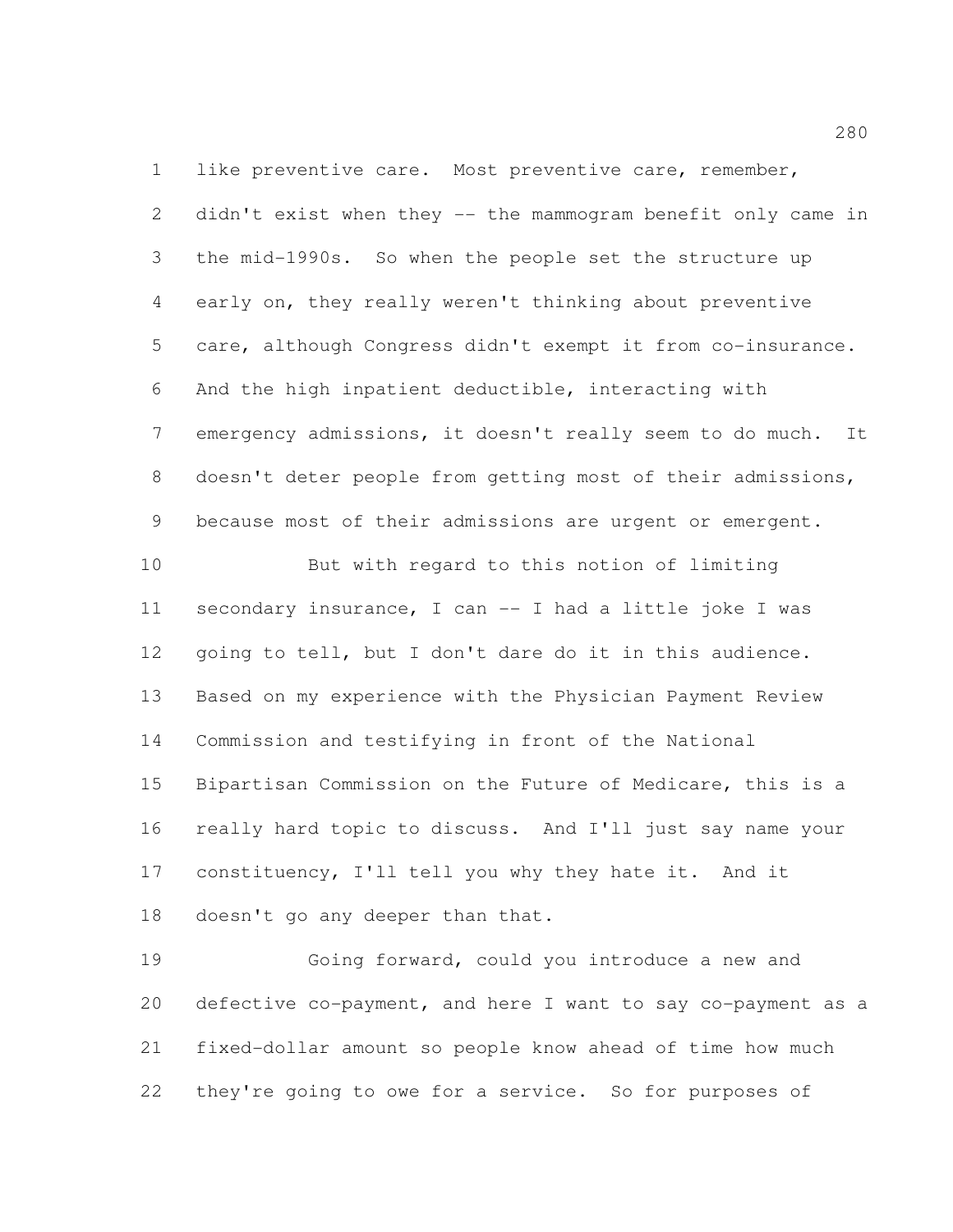like preventive care. Most preventive care, remember, didn't exist when they -- the mammogram benefit only came in the mid-1990s. So when the people set the structure up early on, they really weren't thinking about preventive care, although Congress didn't exempt it from co-insurance. And the high inpatient deductible, interacting with emergency admissions, it doesn't really seem to do much. It doesn't deter people from getting most of their admissions, because most of their admissions are urgent or emergent. But with regard to this notion of limiting secondary insurance, I can -- I had a little joke I was going to tell, but I don't dare do it in this audience. Based on my experience with the Physician Payment Review Commission and testifying in front of the National Bipartisan Commission on the Future of Medicare, this is a really hard topic to discuss. And I'll just say name your 17 constituency, I'll tell you why they hate it. And it 18 doesn't go any deeper than that.

 Going forward, could you introduce a new and defective co-payment, and here I want to say co-payment as a fixed-dollar amount so people know ahead of time how much they're going to owe for a service. So for purposes of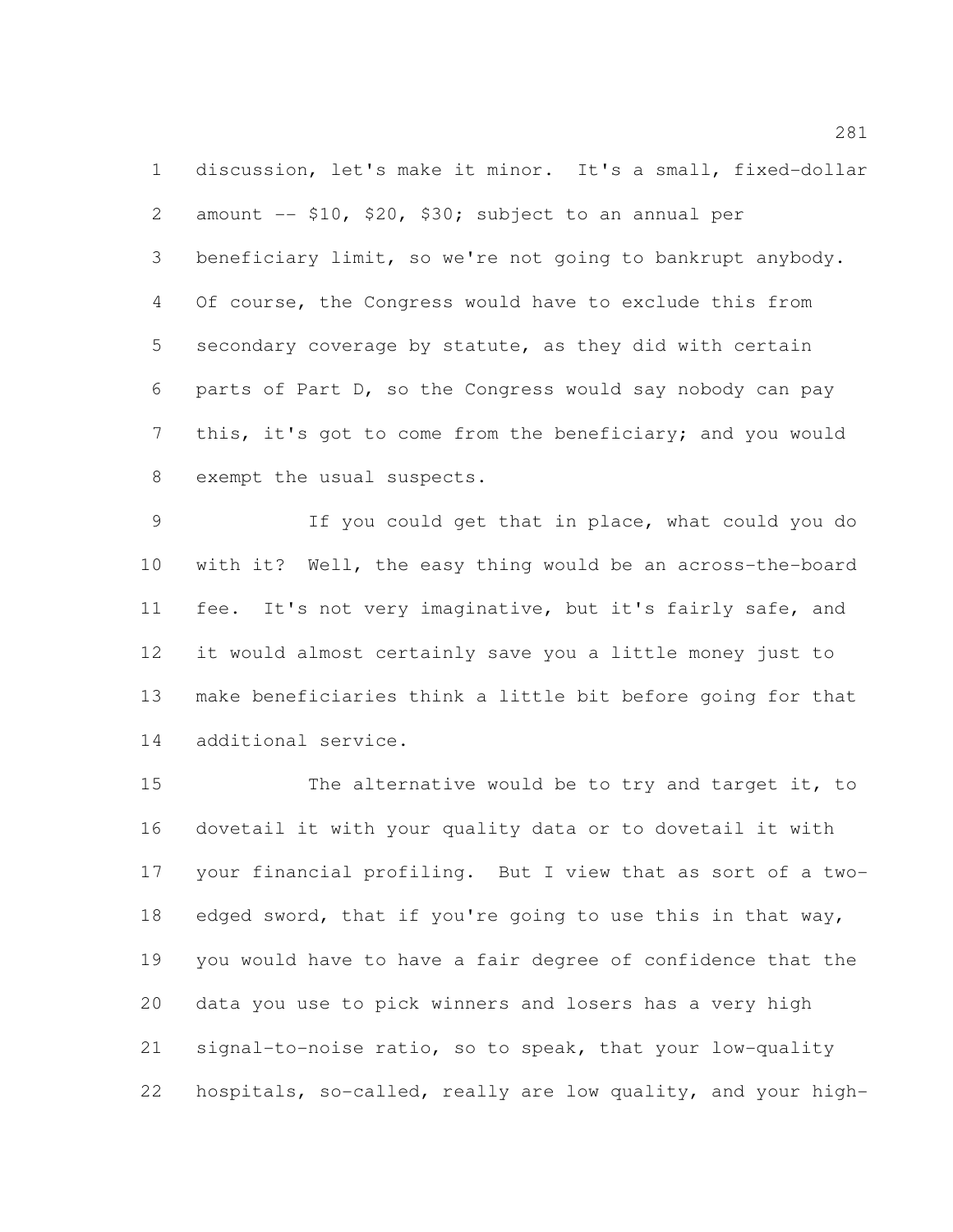discussion, let's make it minor. It's a small, fixed-dollar 2 amount  $-$  \$10, \$20, \$30; subject to an annual per beneficiary limit, so we're not going to bankrupt anybody. Of course, the Congress would have to exclude this from secondary coverage by statute, as they did with certain parts of Part D, so the Congress would say nobody can pay this, it's got to come from the beneficiary; and you would exempt the usual suspects.

 If you could get that in place, what could you do with it? Well, the easy thing would be an across-the-board fee. It's not very imaginative, but it's fairly safe, and it would almost certainly save you a little money just to make beneficiaries think a little bit before going for that additional service.

15 The alternative would be to try and target it, to dovetail it with your quality data or to dovetail it with your financial profiling. But I view that as sort of a two- edged sword, that if you're going to use this in that way, you would have to have a fair degree of confidence that the data you use to pick winners and losers has a very high signal-to-noise ratio, so to speak, that your low-quality hospitals, so-called, really are low quality, and your high-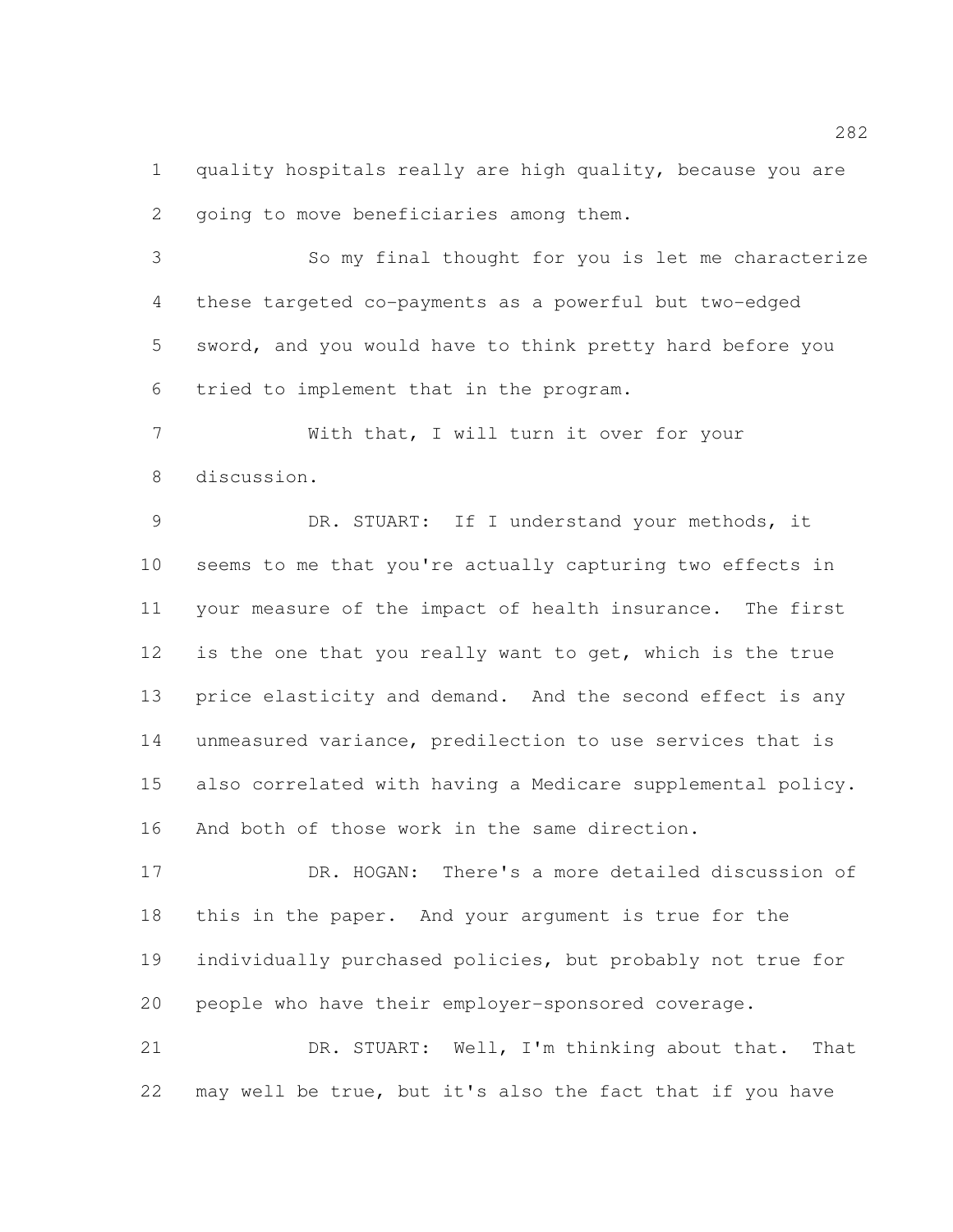quality hospitals really are high quality, because you are going to move beneficiaries among them.

 So my final thought for you is let me characterize these targeted co-payments as a powerful but two-edged sword, and you would have to think pretty hard before you tried to implement that in the program.

 With that, I will turn it over for your discussion.

 DR. STUART: If I understand your methods, it seems to me that you're actually capturing two effects in your measure of the impact of health insurance. The first is the one that you really want to get, which is the true price elasticity and demand. And the second effect is any unmeasured variance, predilection to use services that is also correlated with having a Medicare supplemental policy. And both of those work in the same direction.

 DR. HOGAN: There's a more detailed discussion of this in the paper. And your argument is true for the individually purchased policies, but probably not true for people who have their employer-sponsored coverage.

 DR. STUART: Well, I'm thinking about that. That may well be true, but it's also the fact that if you have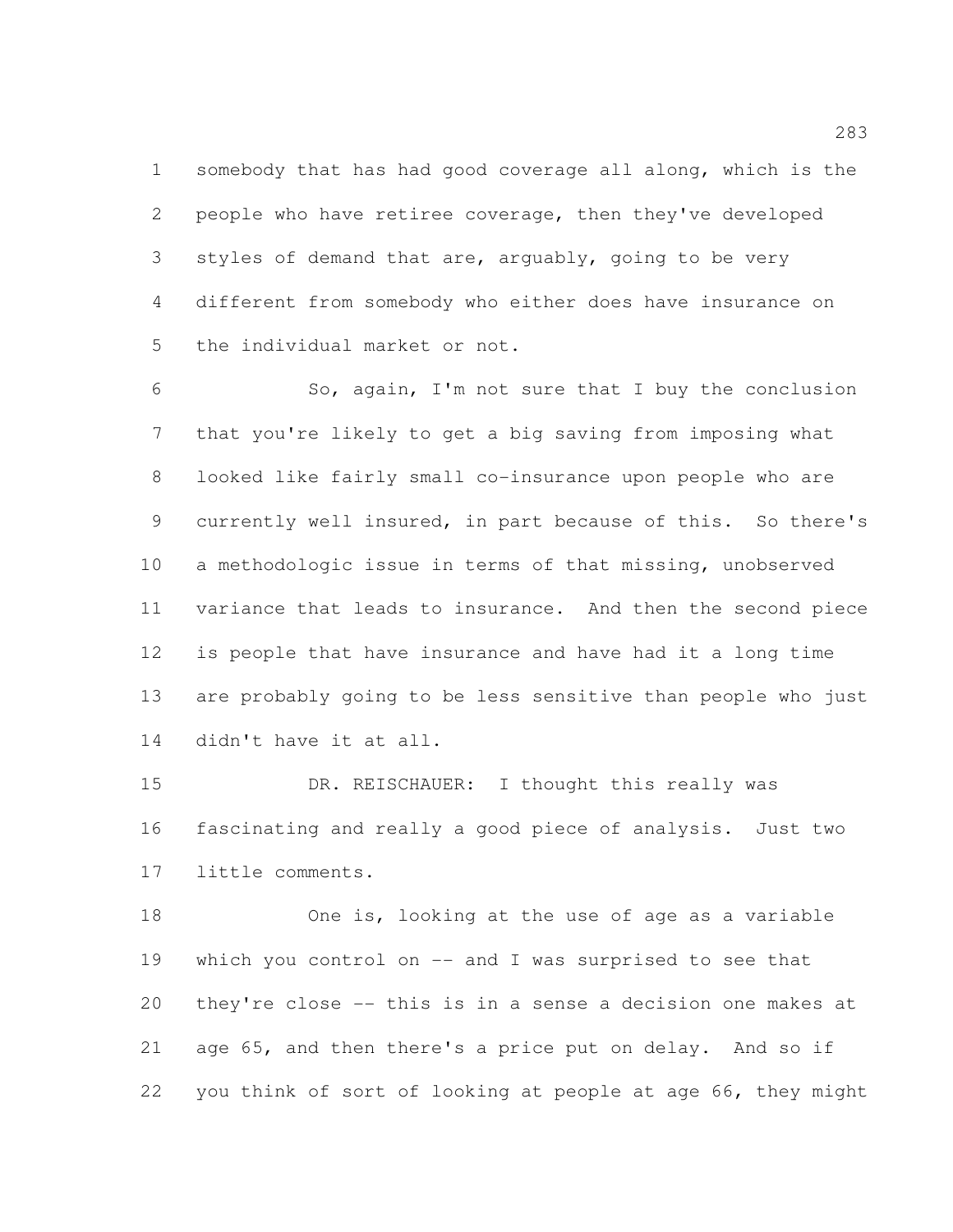somebody that has had good coverage all along, which is the people who have retiree coverage, then they've developed styles of demand that are, arguably, going to be very different from somebody who either does have insurance on the individual market or not.

 So, again, I'm not sure that I buy the conclusion that you're likely to get a big saving from imposing what looked like fairly small co-insurance upon people who are currently well insured, in part because of this. So there's a methodologic issue in terms of that missing, unobserved variance that leads to insurance. And then the second piece is people that have insurance and have had it a long time are probably going to be less sensitive than people who just didn't have it at all.

15 DR. REISCHAUER: I thought this really was fascinating and really a good piece of analysis. Just two little comments.

 One is, looking at the use of age as a variable which you control on -- and I was surprised to see that they're close -- this is in a sense a decision one makes at age 65, and then there's a price put on delay. And so if you think of sort of looking at people at age 66, they might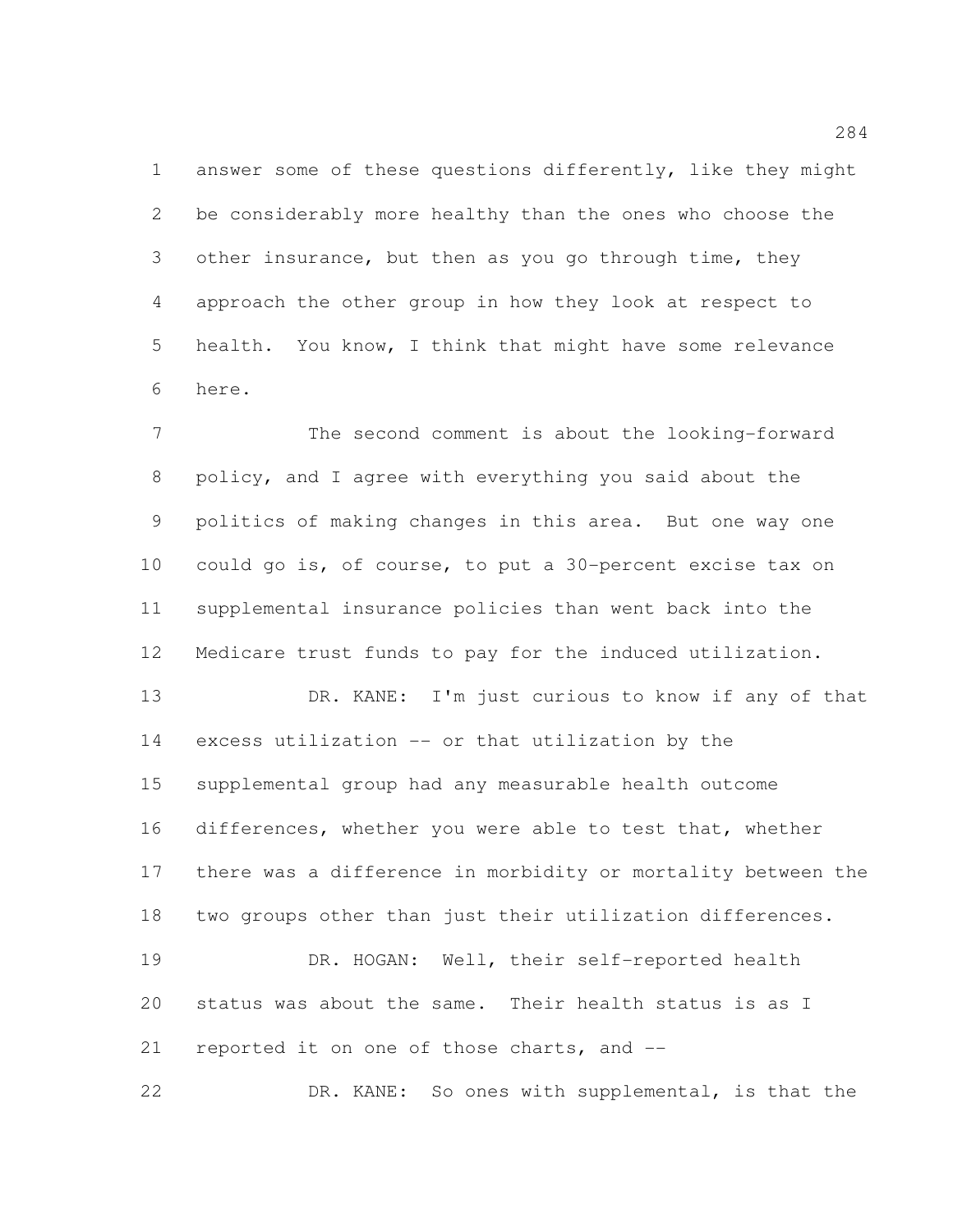answer some of these questions differently, like they might be considerably more healthy than the ones who choose the other insurance, but then as you go through time, they approach the other group in how they look at respect to health. You know, I think that might have some relevance here.

 The second comment is about the looking-forward policy, and I agree with everything you said about the politics of making changes in this area. But one way one could go is, of course, to put a 30-percent excise tax on supplemental insurance policies than went back into the Medicare trust funds to pay for the induced utilization.

 DR. KANE: I'm just curious to know if any of that excess utilization -- or that utilization by the supplemental group had any measurable health outcome differences, whether you were able to test that, whether there was a difference in morbidity or mortality between the two groups other than just their utilization differences. DR. HOGAN: Well, their self-reported health status was about the same. Their health status is as I

reported it on one of those charts, and --

DR. KANE: So ones with supplemental, is that the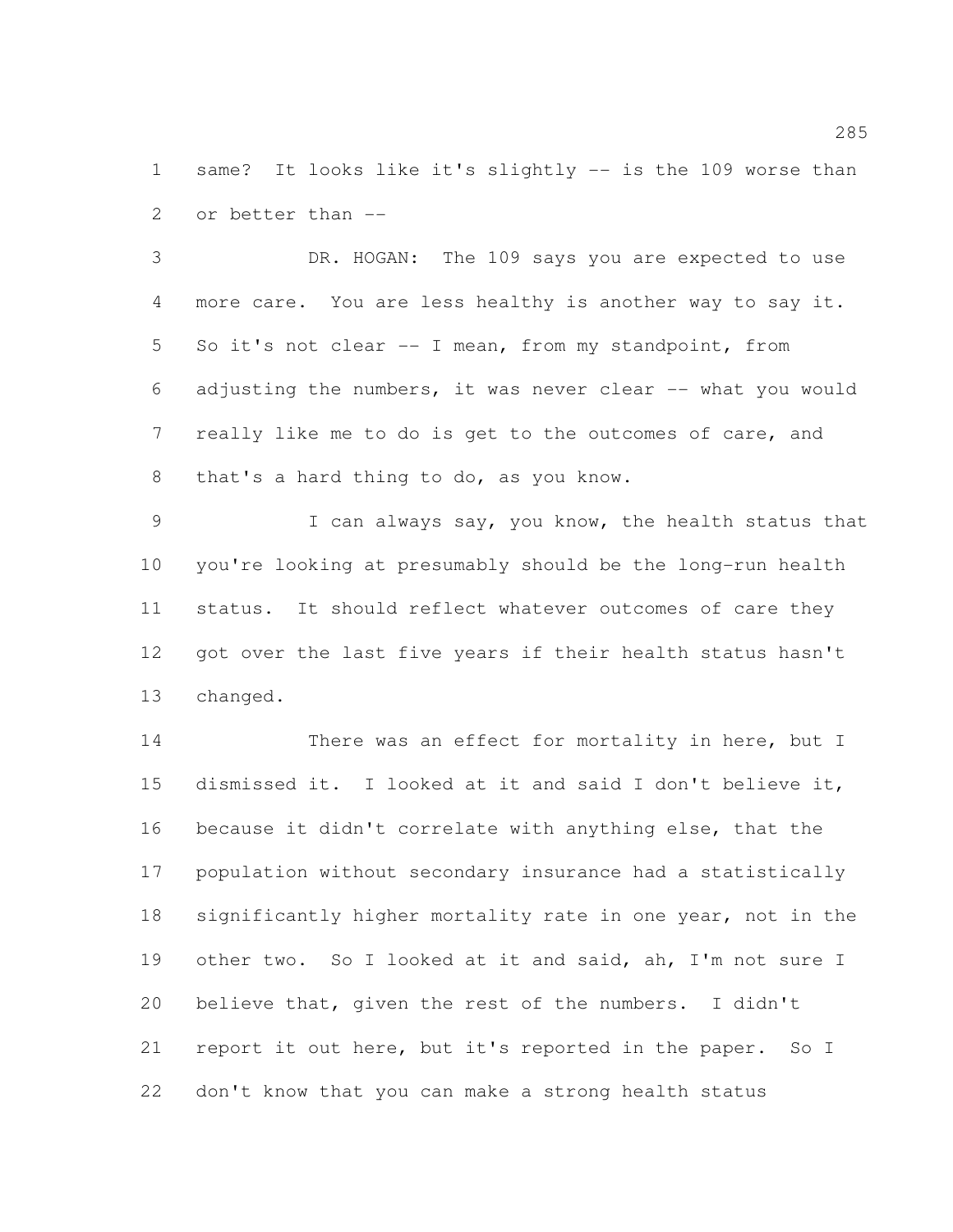same? It looks like it's slightly -- is the 109 worse than or better than --

 DR. HOGAN: The 109 says you are expected to use more care. You are less healthy is another way to say it. So it's not clear -- I mean, from my standpoint, from adjusting the numbers, it was never clear -- what you would really like me to do is get to the outcomes of care, and that's a hard thing to do, as you know.

 I can always say, you know, the health status that you're looking at presumably should be the long-run health status. It should reflect whatever outcomes of care they got over the last five years if their health status hasn't changed.

14 There was an effect for mortality in here, but I dismissed it. I looked at it and said I don't believe it, because it didn't correlate with anything else, that the population without secondary insurance had a statistically 18 significantly higher mortality rate in one year, not in the other two. So I looked at it and said, ah, I'm not sure I believe that, given the rest of the numbers. I didn't report it out here, but it's reported in the paper. So I don't know that you can make a strong health status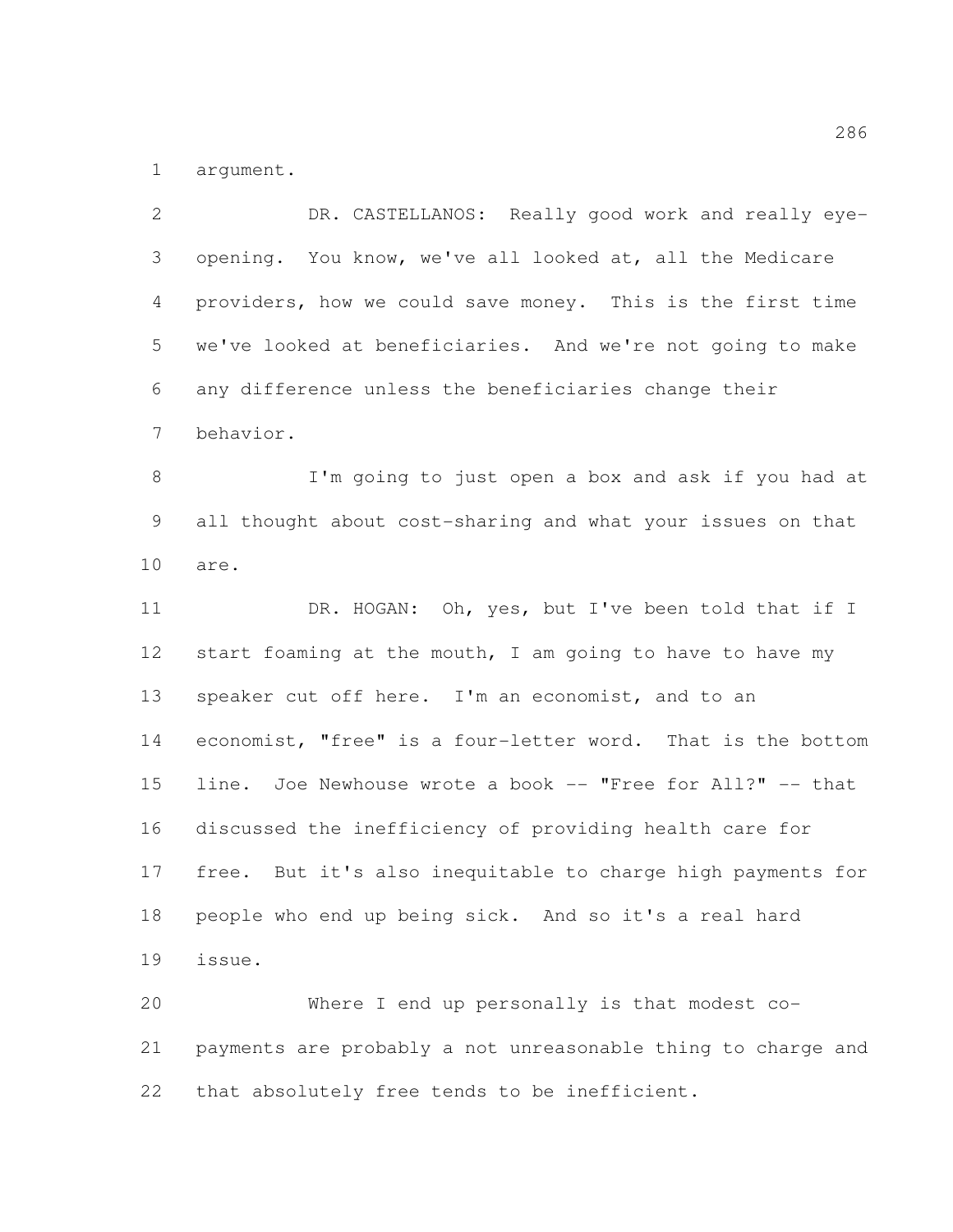argument.

 DR. CASTELLANOS: Really good work and really eye- opening. You know, we've all looked at, all the Medicare providers, how we could save money. This is the first time we've looked at beneficiaries. And we're not going to make any difference unless the beneficiaries change their behavior. I'm going to just open a box and ask if you had at all thought about cost-sharing and what your issues on that are. 11 DR. HOGAN: Oh, yes, but I've been told that if I 12 start foaming at the mouth, I am going to have to have my speaker cut off here. I'm an economist, and to an economist, "free" is a four-letter word. That is the bottom 15 line. Joe Newhouse wrote a book -- "Free for All?" -- that discussed the inefficiency of providing health care for free. But it's also inequitable to charge high payments for people who end up being sick. And so it's a real hard issue. Where I end up personally is that modest co- payments are probably a not unreasonable thing to charge and that absolutely free tends to be inefficient.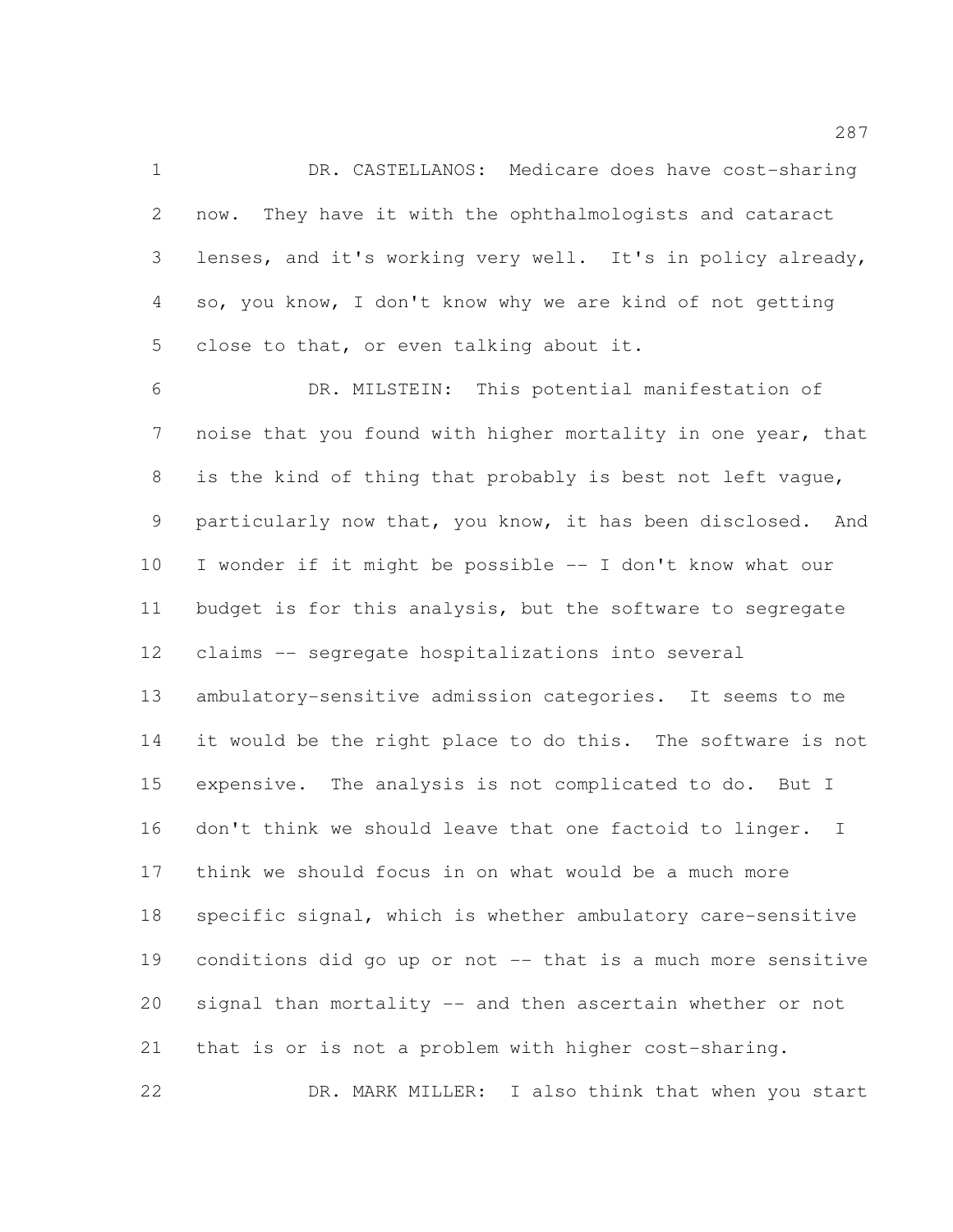DR. CASTELLANOS: Medicare does have cost-sharing now. They have it with the ophthalmologists and cataract lenses, and it's working very well. It's in policy already, so, you know, I don't know why we are kind of not getting 5 close to that, or even talking about it.

 DR. MILSTEIN: This potential manifestation of noise that you found with higher mortality in one year, that is the kind of thing that probably is best not left vague, particularly now that, you know, it has been disclosed. And I wonder if it might be possible -- I don't know what our budget is for this analysis, but the software to segregate claims -- segregate hospitalizations into several ambulatory-sensitive admission categories. It seems to me 14 it would be the right place to do this. The software is not expensive. The analysis is not complicated to do. But I don't think we should leave that one factoid to linger. I think we should focus in on what would be a much more specific signal, which is whether ambulatory care-sensitive conditions did go up or not -- that is a much more sensitive signal than mortality -- and then ascertain whether or not that is or is not a problem with higher cost-sharing. DR. MARK MILLER: I also think that when you start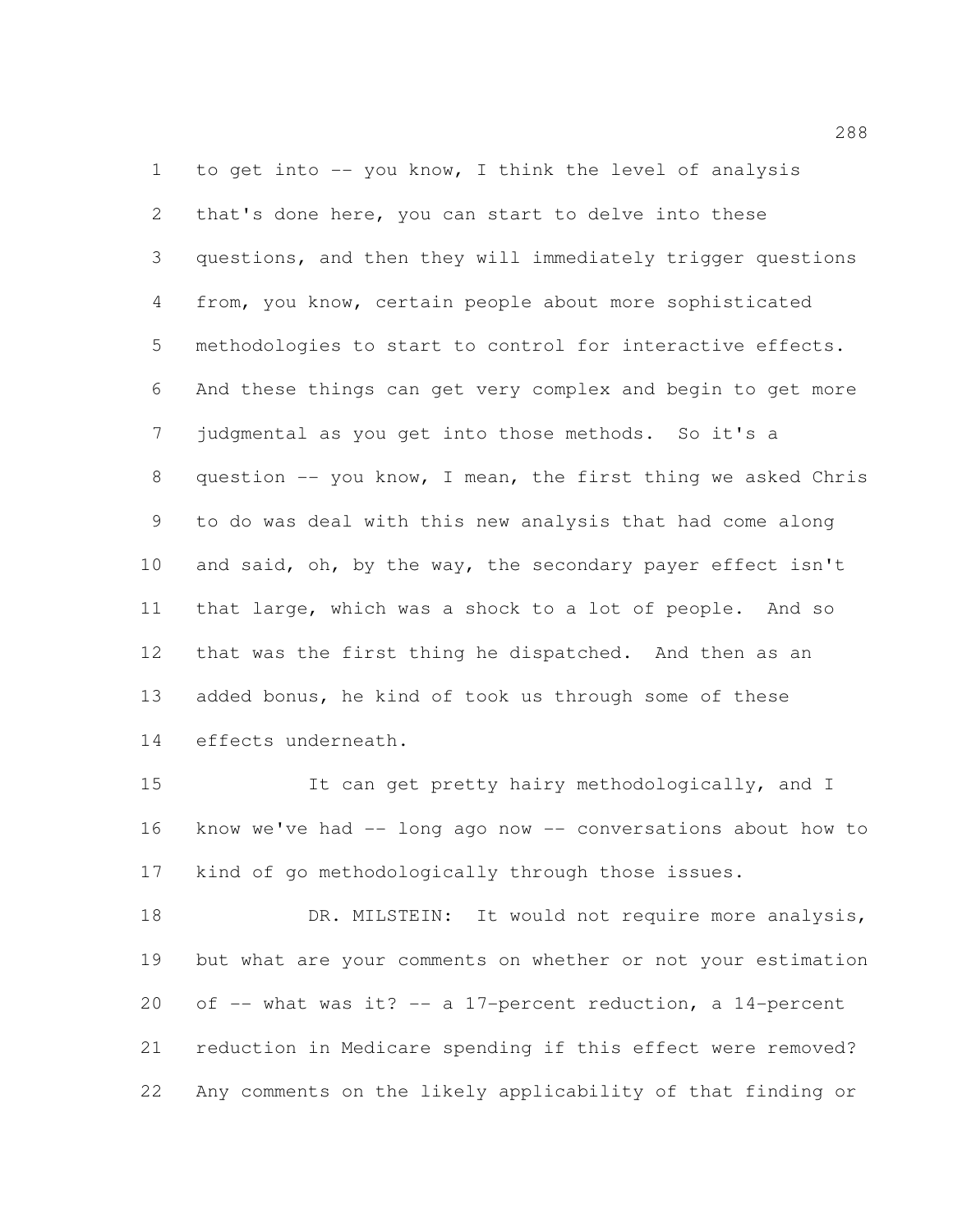to get into -- you know, I think the level of analysis that's done here, you can start to delve into these questions, and then they will immediately trigger questions from, you know, certain people about more sophisticated methodologies to start to control for interactive effects. And these things can get very complex and begin to get more judgmental as you get into those methods. So it's a question -- you know, I mean, the first thing we asked Chris to do was deal with this new analysis that had come along 10 and said, oh, by the way, the secondary payer effect isn't that large, which was a shock to a lot of people. And so that was the first thing he dispatched. And then as an added bonus, he kind of took us through some of these effects underneath.

15 It can get pretty hairy methodologically, and I know we've had -- long ago now -- conversations about how to kind of go methodologically through those issues.

18 DR. MILSTEIN: It would not require more analysis, but what are your comments on whether or not your estimation 20 of  $-$ - what was it?  $-$  a 17-percent reduction, a 14-percent reduction in Medicare spending if this effect were removed? Any comments on the likely applicability of that finding or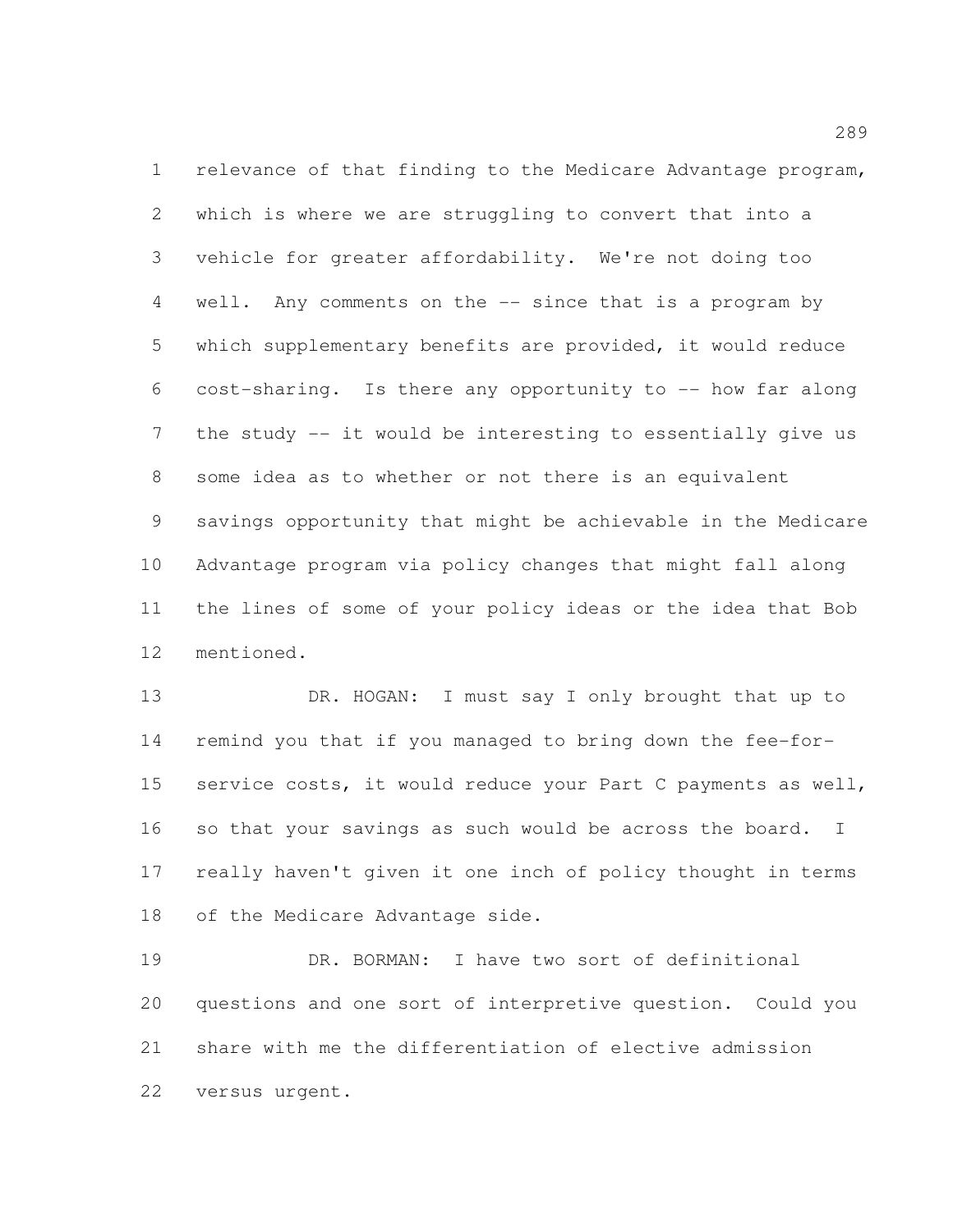relevance of that finding to the Medicare Advantage program, which is where we are struggling to convert that into a vehicle for greater affordability. We're not doing too well. Any comments on the -- since that is a program by which supplementary benefits are provided, it would reduce cost-sharing. Is there any opportunity to -- how far along the study -- it would be interesting to essentially give us some idea as to whether or not there is an equivalent savings opportunity that might be achievable in the Medicare Advantage program via policy changes that might fall along the lines of some of your policy ideas or the idea that Bob mentioned.

13 DR. HOGAN: I must say I only brought that up to remind you that if you managed to bring down the fee-for- service costs, it would reduce your Part C payments as well, 16 so that your savings as such would be across the board. I really haven't given it one inch of policy thought in terms of the Medicare Advantage side.

 DR. BORMAN: I have two sort of definitional questions and one sort of interpretive question. Could you share with me the differentiation of elective admission versus urgent.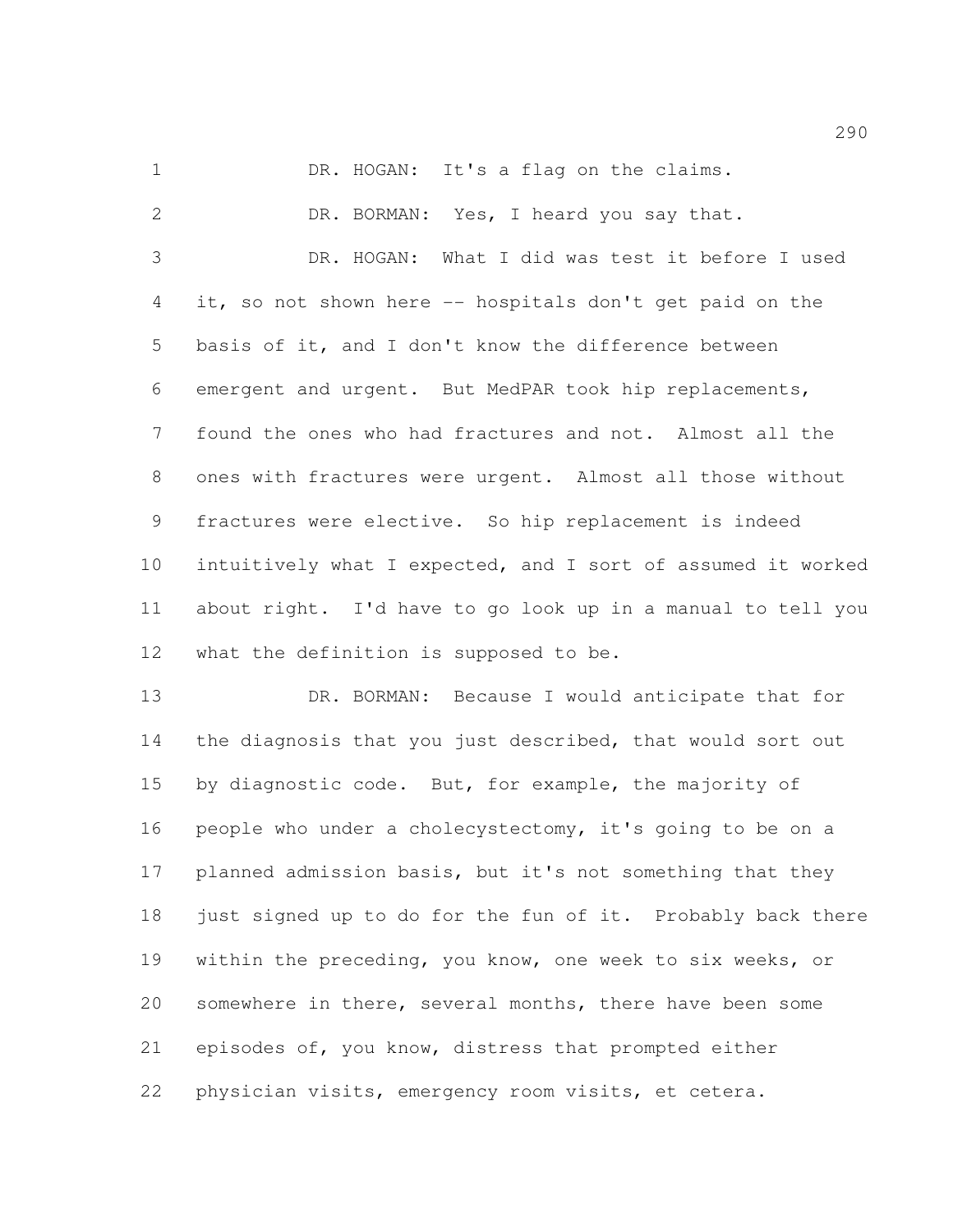1 DR. HOGAN: It's a flag on the claims.

 DR. BORMAN: Yes, I heard you say that. DR. HOGAN: What I did was test it before I used it, so not shown here -- hospitals don't get paid on the basis of it, and I don't know the difference between emergent and urgent. But MedPAR took hip replacements, found the ones who had fractures and not. Almost all the ones with fractures were urgent. Almost all those without fractures were elective. So hip replacement is indeed intuitively what I expected, and I sort of assumed it worked about right. I'd have to go look up in a manual to tell you what the definition is supposed to be.

 DR. BORMAN: Because I would anticipate that for the diagnosis that you just described, that would sort out by diagnostic code. But, for example, the majority of people who under a cholecystectomy, it's going to be on a planned admission basis, but it's not something that they 18 just signed up to do for the fun of it. Probably back there within the preceding, you know, one week to six weeks, or somewhere in there, several months, there have been some episodes of, you know, distress that prompted either physician visits, emergency room visits, et cetera.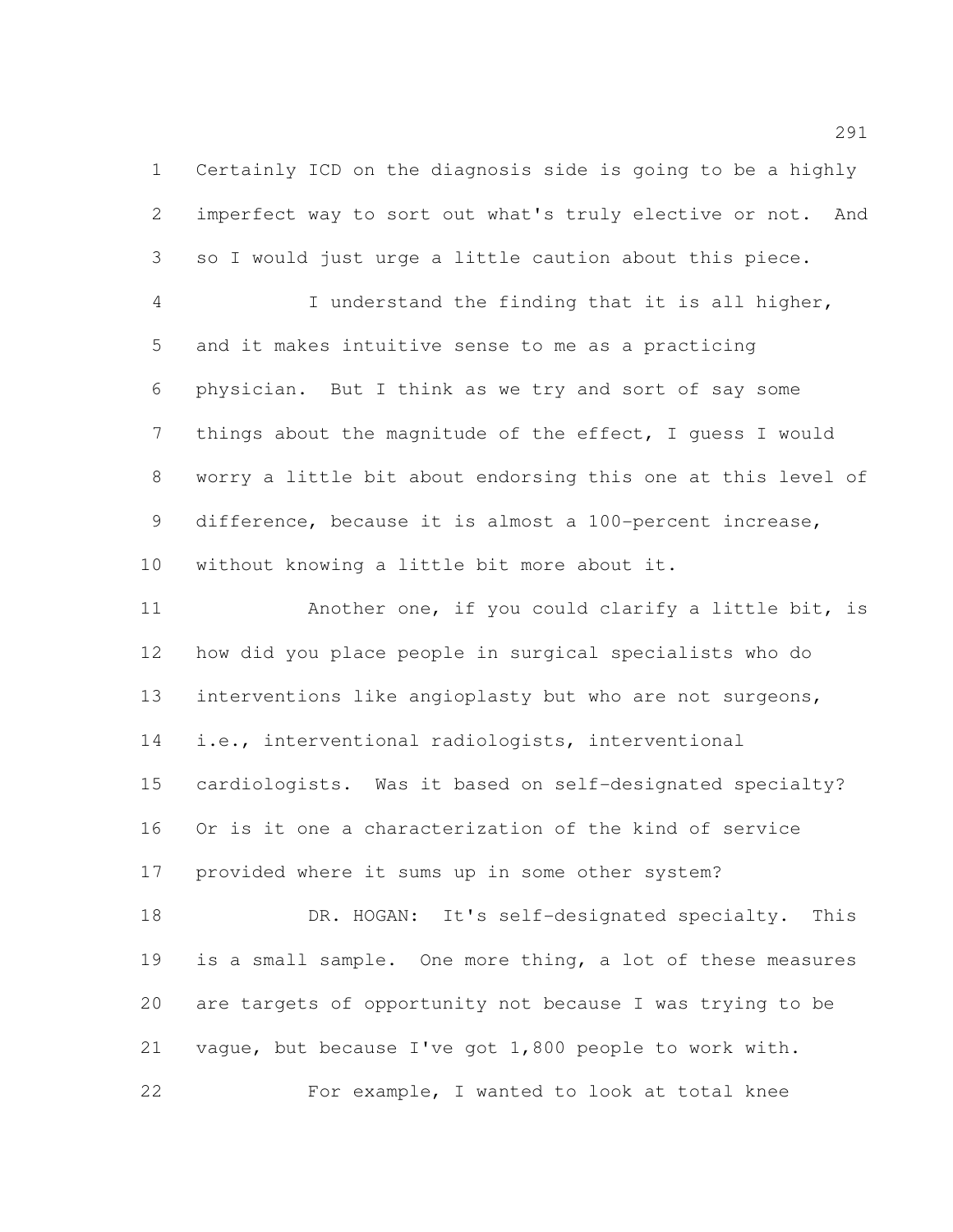Certainly ICD on the diagnosis side is going to be a highly imperfect way to sort out what's truly elective or not. And so I would just urge a little caution about this piece. I understand the finding that it is all higher, and it makes intuitive sense to me as a practicing

 physician. But I think as we try and sort of say some things about the magnitude of the effect, I guess I would worry a little bit about endorsing this one at this level of difference, because it is almost a 100-percent increase, without knowing a little bit more about it.

 Another one, if you could clarify a little bit, is how did you place people in surgical specialists who do interventions like angioplasty but who are not surgeons, i.e., interventional radiologists, interventional cardiologists. Was it based on self-designated specialty? Or is it one a characterization of the kind of service provided where it sums up in some other system? 18 DR. HOGAN: It's self-designated specialty. This is a small sample. One more thing, a lot of these measures are targets of opportunity not because I was trying to be

vague, but because I've got 1,800 people to work with.

For example, I wanted to look at total knee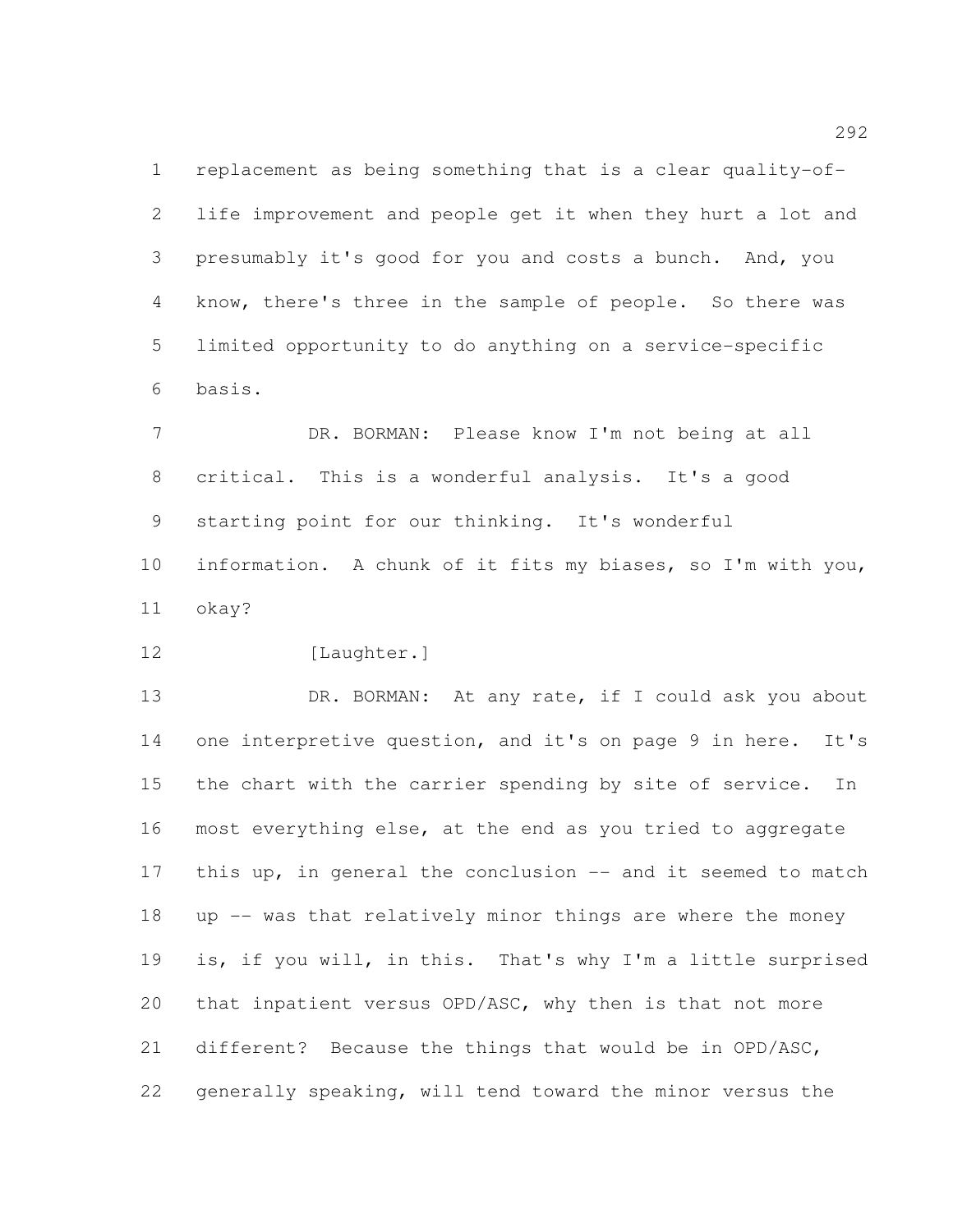replacement as being something that is a clear quality-of- life improvement and people get it when they hurt a lot and presumably it's good for you and costs a bunch. And, you know, there's three in the sample of people. So there was limited opportunity to do anything on a service-specific basis.

 DR. BORMAN: Please know I'm not being at all critical. This is a wonderful analysis. It's a good starting point for our thinking. It's wonderful information. A chunk of it fits my biases, so I'm with you, okay?

12 [Laughter.]

13 DR. BORMAN: At any rate, if I could ask you about 14 one interpretive question, and it's on page 9 in here. It's the chart with the carrier spending by site of service. In most everything else, at the end as you tried to aggregate 17 this up, in general the conclusion -- and it seemed to match up -- was that relatively minor things are where the money is, if you will, in this. That's why I'm a little surprised that inpatient versus OPD/ASC, why then is that not more different? Because the things that would be in OPD/ASC, generally speaking, will tend toward the minor versus the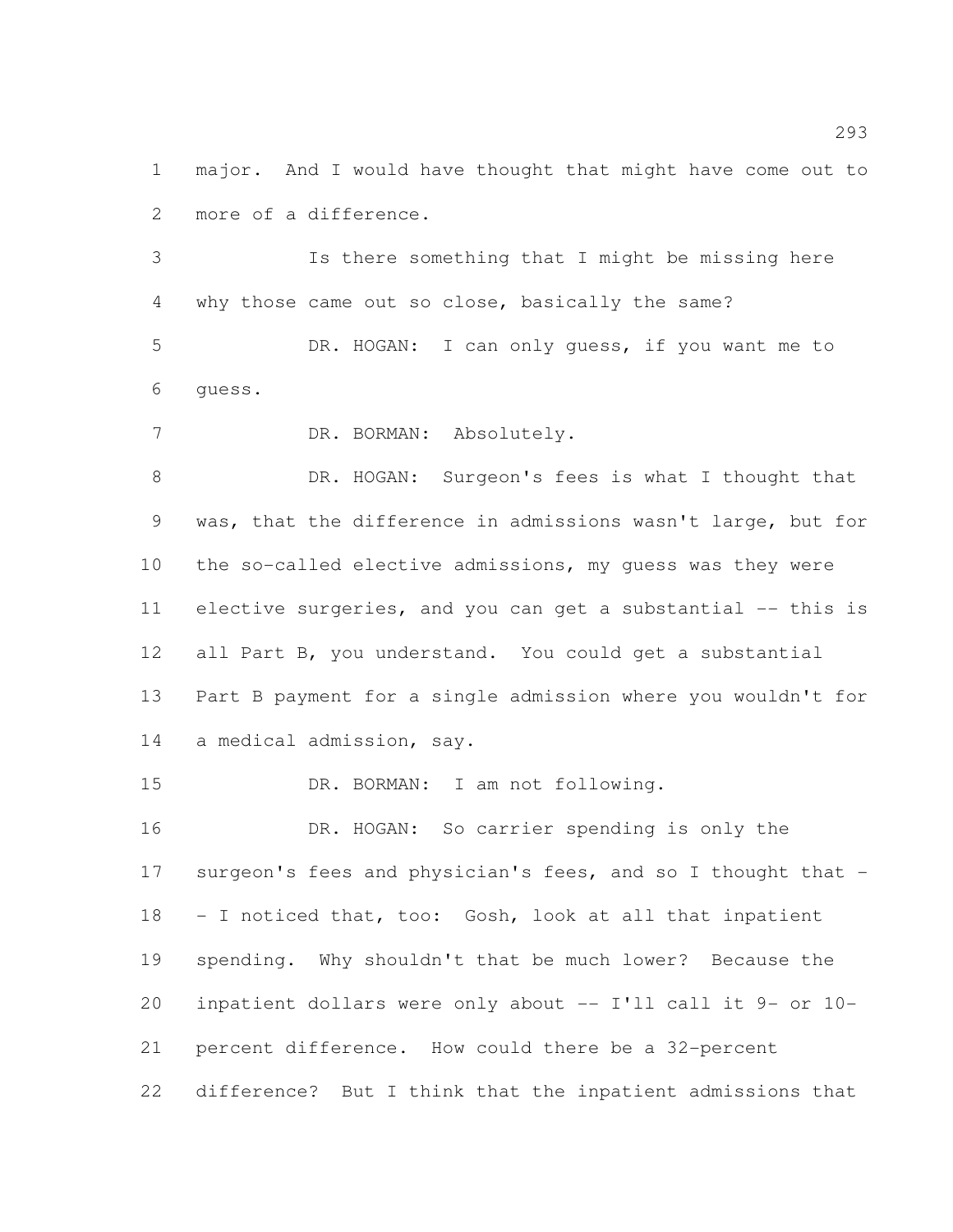major. And I would have thought that might have come out to more of a difference.

 Is there something that I might be missing here why those came out so close, basically the same?

 DR. HOGAN: I can only guess, if you want me to guess.

DR. BORMAN: Absolutely.

 DR. HOGAN: Surgeon's fees is what I thought that was, that the difference in admissions wasn't large, but for the so-called elective admissions, my guess was they were elective surgeries, and you can get a substantial -- this is all Part B, you understand. You could get a substantial Part B payment for a single admission where you wouldn't for a medical admission, say.

DR. BORMAN: I am not following.

 DR. HOGAN: So carrier spending is only the surgeon's fees and physician's fees, and so I thought that - - I noticed that, too: Gosh, look at all that inpatient spending. Why shouldn't that be much lower? Because the inpatient dollars were only about -- I'll call it 9- or 10- percent difference. How could there be a 32-percent difference? But I think that the inpatient admissions that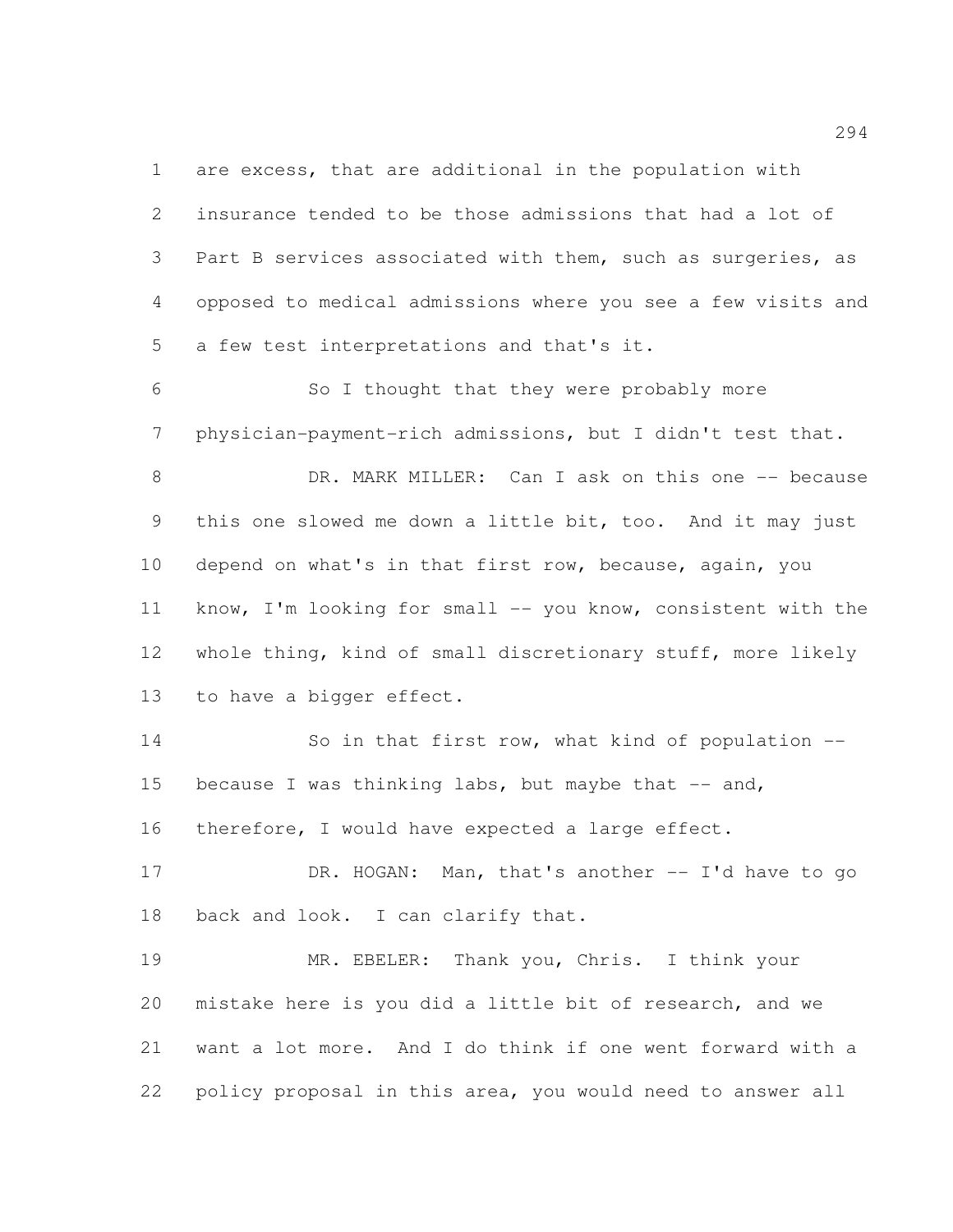are excess, that are additional in the population with insurance tended to be those admissions that had a lot of Part B services associated with them, such as surgeries, as opposed to medical admissions where you see a few visits and a few test interpretations and that's it.

 So I thought that they were probably more physician-payment-rich admissions, but I didn't test that. 8 DR. MARK MILLER: Can I ask on this one -- because this one slowed me down a little bit, too. And it may just depend on what's in that first row, because, again, you know, I'm looking for small -- you know, consistent with the whole thing, kind of small discretionary stuff, more likely to have a bigger effect.

 So in that first row, what kind of population -- 15 because I was thinking labs, but maybe that  $--$  and, therefore, I would have expected a large effect.

17 DR. HOGAN: Man, that's another -- I'd have to go 18 back and look. I can clarify that.

 MR. EBELER: Thank you, Chris. I think your mistake here is you did a little bit of research, and we want a lot more. And I do think if one went forward with a policy proposal in this area, you would need to answer all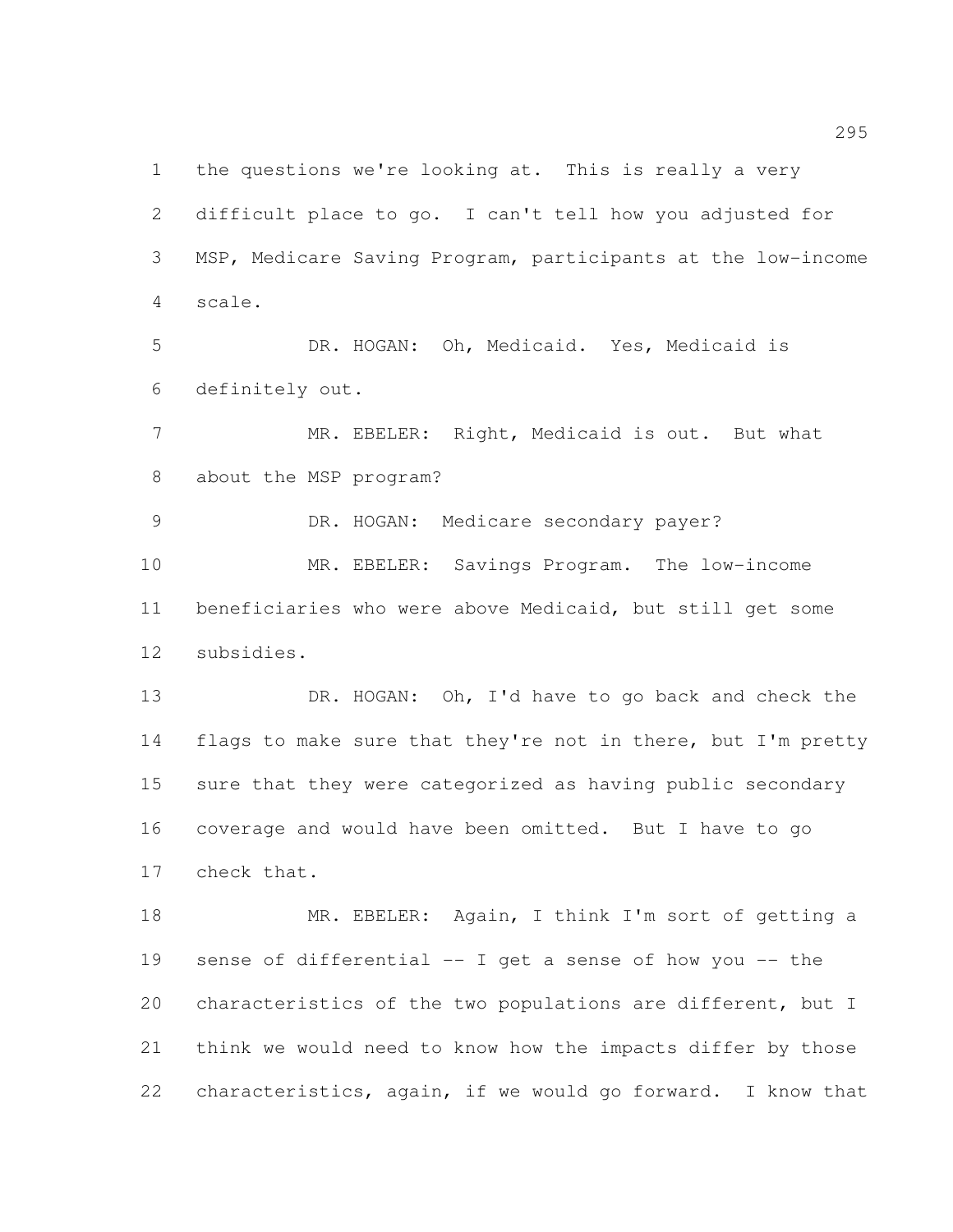the questions we're looking at. This is really a very difficult place to go. I can't tell how you adjusted for MSP, Medicare Saving Program, participants at the low-income scale.

 DR. HOGAN: Oh, Medicaid. Yes, Medicaid is definitely out.

 MR. EBELER: Right, Medicaid is out. But what about the MSP program?

 DR. HOGAN: Medicare secondary payer? MR. EBELER: Savings Program. The low-income beneficiaries who were above Medicaid, but still get some subsidies.

13 DR. HOGAN: Oh, I'd have to go back and check the 14 flags to make sure that they're not in there, but I'm pretty sure that they were categorized as having public secondary coverage and would have been omitted. But I have to go check that.

18 MR. EBELER: Again, I think I'm sort of getting a sense of differential -- I get a sense of how you -- the characteristics of the two populations are different, but I think we would need to know how the impacts differ by those characteristics, again, if we would go forward. I know that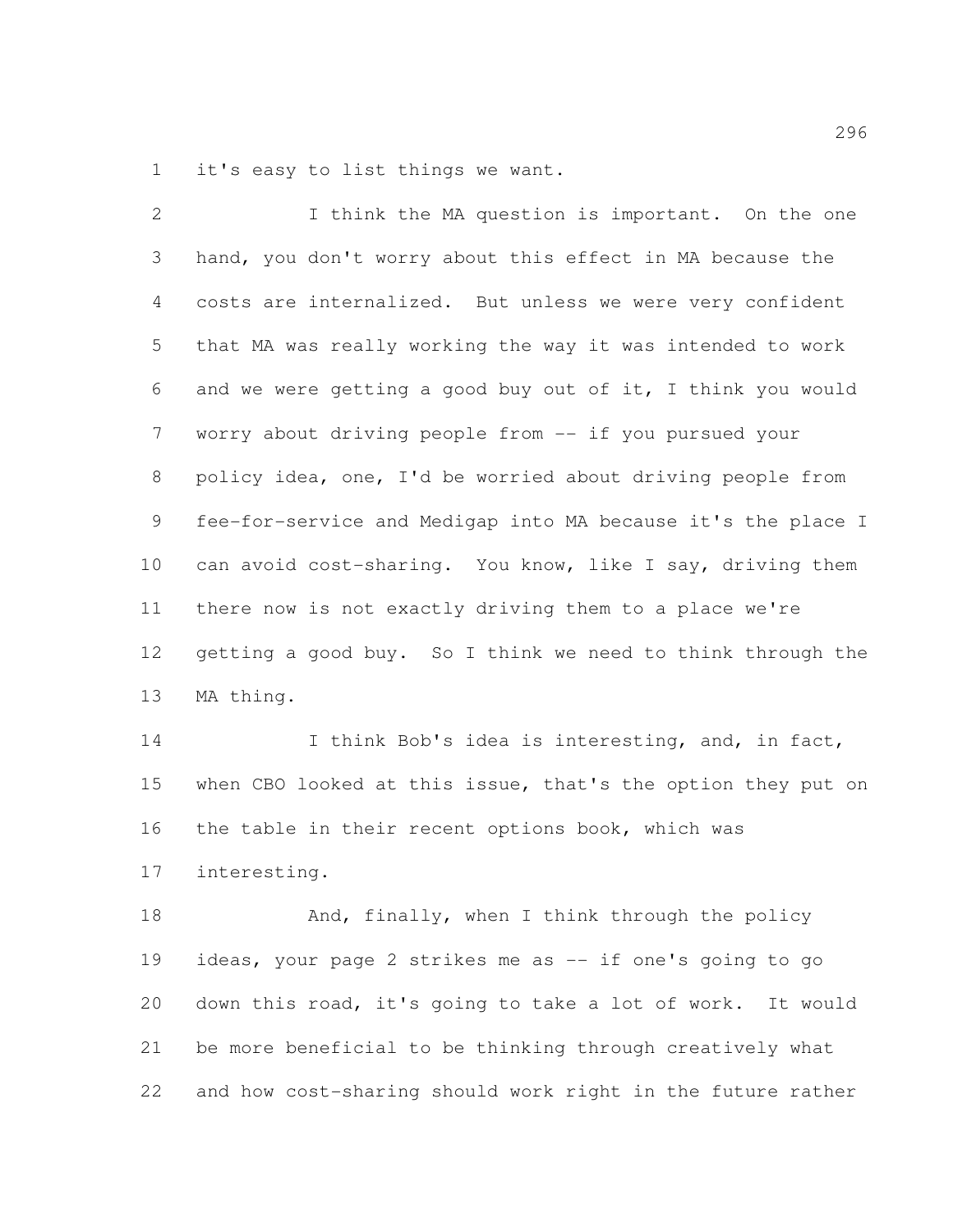it's easy to list things we want.

2 I think the MA question is important. On the one hand, you don't worry about this effect in MA because the costs are internalized. But unless we were very confident that MA was really working the way it was intended to work and we were getting a good buy out of it, I think you would worry about driving people from -- if you pursued your policy idea, one, I'd be worried about driving people from fee-for-service and Medigap into MA because it's the place I can avoid cost-sharing. You know, like I say, driving them there now is not exactly driving them to a place we're getting a good buy. So I think we need to think through the MA thing. 14 I think Bob's idea is interesting, and, in fact, when CBO looked at this issue, that's the option they put on the table in their recent options book, which was interesting. 18 And, finally, when I think through the policy ideas, your page 2 strikes me as -- if one's going to go down this road, it's going to take a lot of work. It would

 be more beneficial to be thinking through creatively what and how cost-sharing should work right in the future rather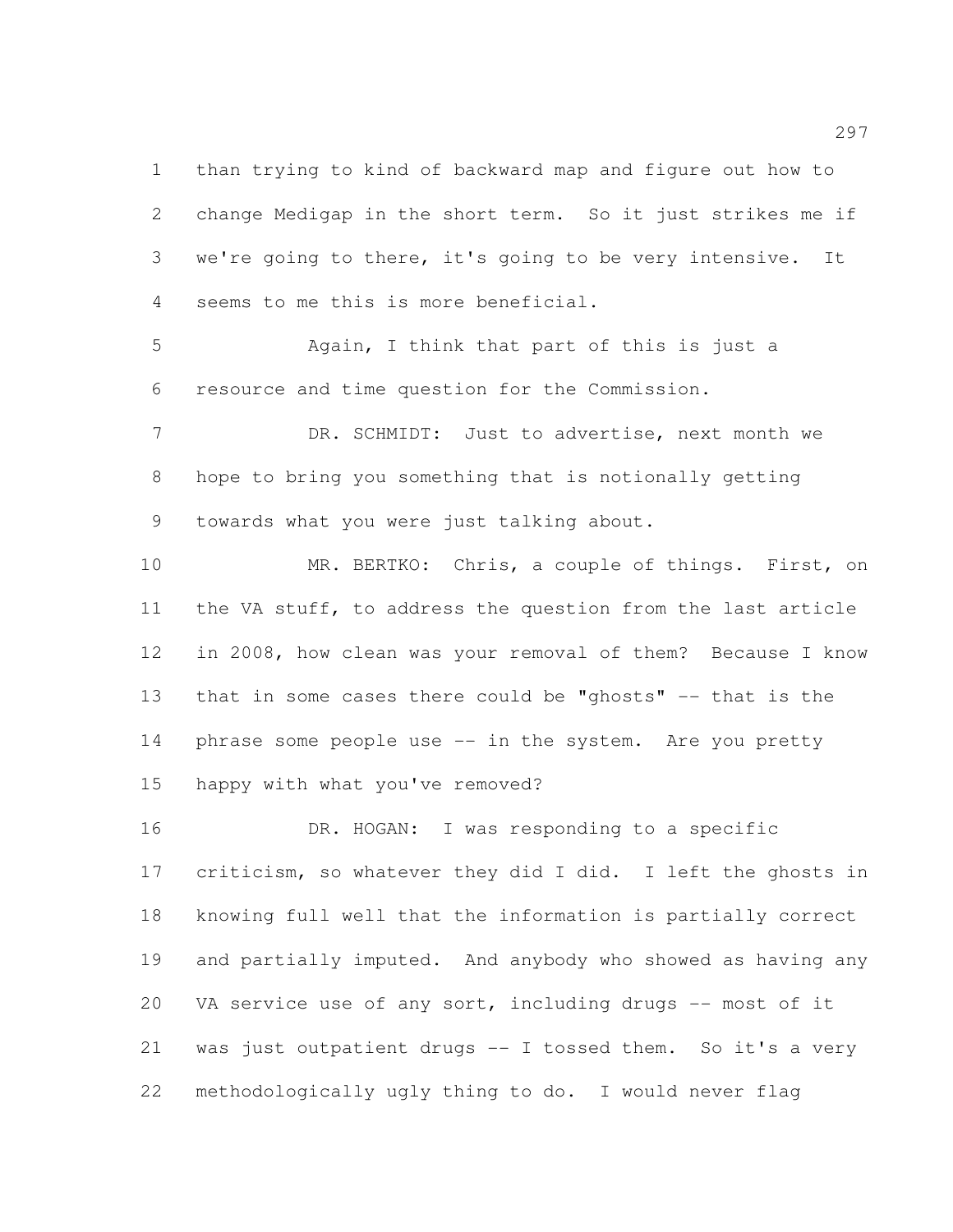than trying to kind of backward map and figure out how to change Medigap in the short term. So it just strikes me if we're going to there, it's going to be very intensive. It seems to me this is more beneficial.

 Again, I think that part of this is just a resource and time question for the Commission.

 DR. SCHMIDT: Just to advertise, next month we hope to bring you something that is notionally getting towards what you were just talking about.

 MR. BERTKO: Chris, a couple of things. First, on the VA stuff, to address the question from the last article in 2008, how clean was your removal of them? Because I know that in some cases there could be "ghosts" -- that is the 14 phrase some people use -- in the system. Are you pretty happy with what you've removed?

 DR. HOGAN: I was responding to a specific criticism, so whatever they did I did. I left the ghosts in knowing full well that the information is partially correct and partially imputed. And anybody who showed as having any 20 VA service use of any sort, including drugs -- most of it was just outpatient drugs -- I tossed them. So it's a very methodologically ugly thing to do. I would never flag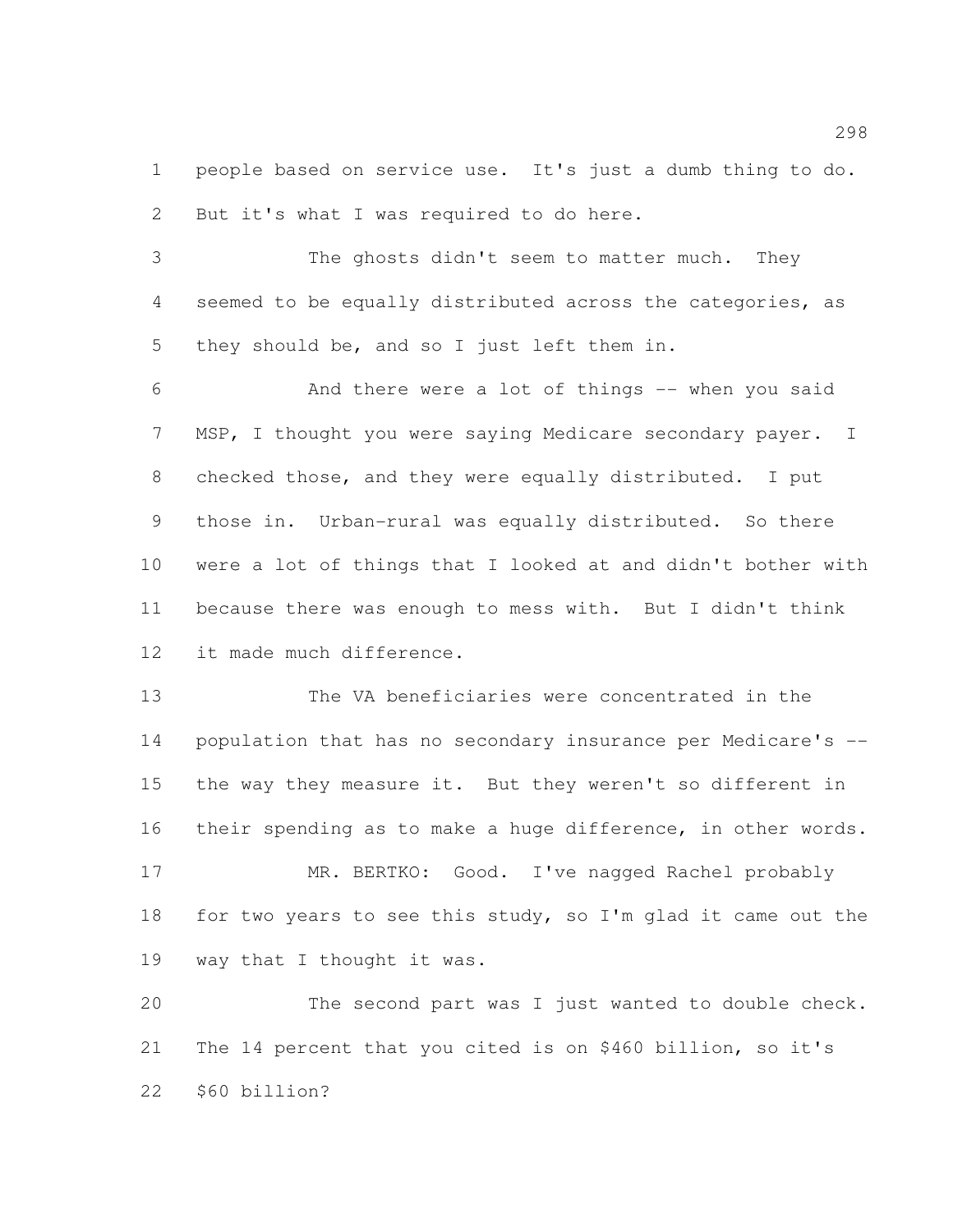people based on service use. It's just a dumb thing to do. But it's what I was required to do here.

 The ghosts didn't seem to matter much. They seemed to be equally distributed across the categories, as they should be, and so I just left them in.

 And there were a lot of things -- when you said MSP, I thought you were saying Medicare secondary payer. I checked those, and they were equally distributed. I put those in. Urban-rural was equally distributed. So there were a lot of things that I looked at and didn't bother with because there was enough to mess with. But I didn't think it made much difference.

 The VA beneficiaries were concentrated in the population that has no secondary insurance per Medicare's -- the way they measure it. But they weren't so different in their spending as to make a huge difference, in other words.

 MR. BERTKO: Good. I've nagged Rachel probably 18 for two years to see this study, so I'm glad it came out the way that I thought it was.

 The second part was I just wanted to double check. The 14 percent that you cited is on \$460 billion, so it's \$60 billion?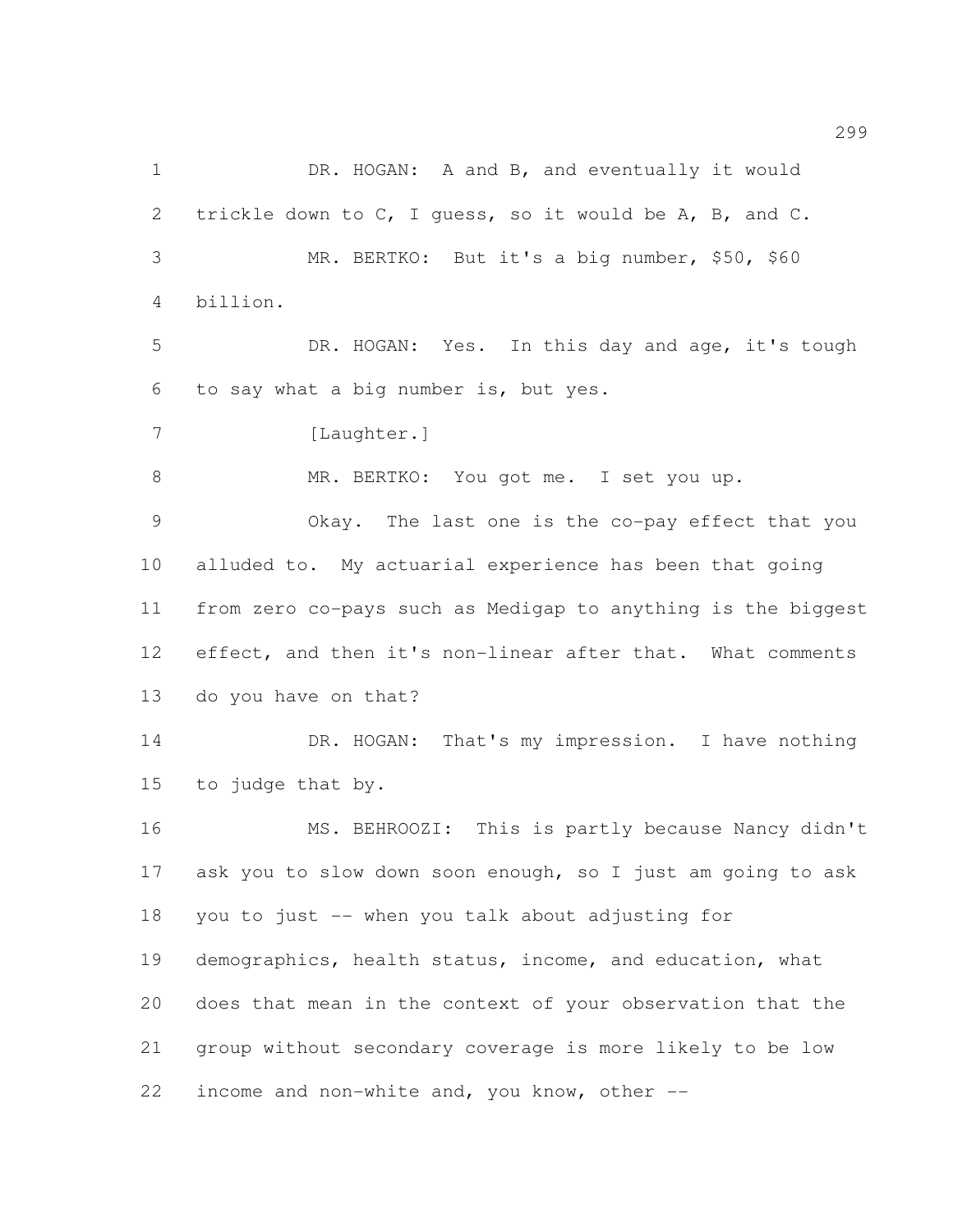1 DR. HOGAN: A and B, and eventually it would trickle down to C, I guess, so it would be A, B, and C. MR. BERTKO: But it's a big number, \$50, \$60 billion. DR. HOGAN: Yes. In this day and age, it's tough to say what a big number is, but yes. 7 [Laughter.] MR. BERTKO: You got me. I set you up. Okay. The last one is the co-pay effect that you alluded to. My actuarial experience has been that going from zero co-pays such as Medigap to anything is the biggest effect, and then it's non-linear after that. What comments do you have on that? 14 DR. HOGAN: That's my impression. I have nothing to judge that by. MS. BEHROOZI: This is partly because Nancy didn't ask you to slow down soon enough, so I just am going to ask you to just -- when you talk about adjusting for demographics, health status, income, and education, what does that mean in the context of your observation that the group without secondary coverage is more likely to be low income and non-white and, you know, other --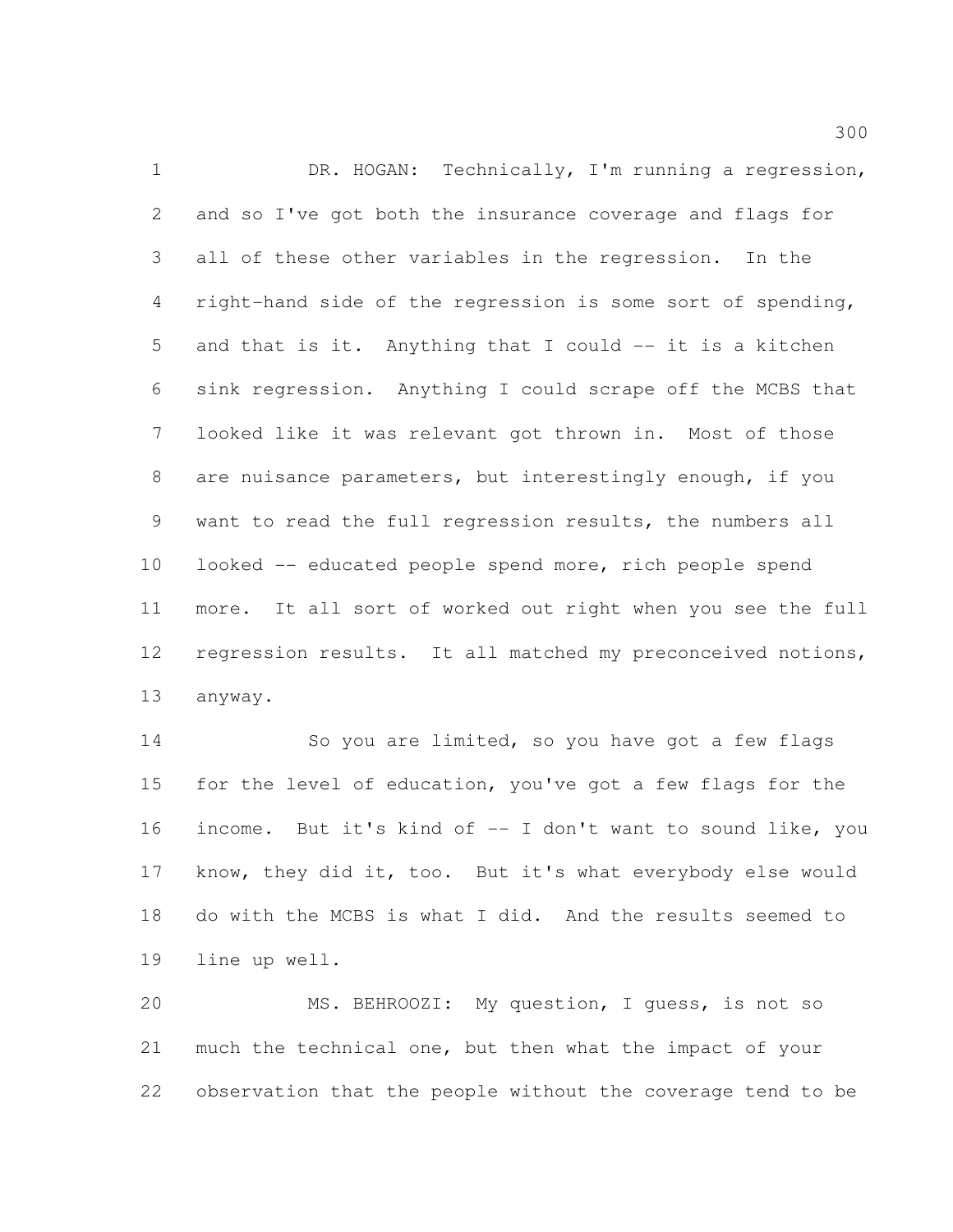1 DR. HOGAN: Technically, I'm running a regression, and so I've got both the insurance coverage and flags for all of these other variables in the regression. In the right-hand side of the regression is some sort of spending, and that is it. Anything that I could -- it is a kitchen sink regression. Anything I could scrape off the MCBS that looked like it was relevant got thrown in. Most of those are nuisance parameters, but interestingly enough, if you want to read the full regression results, the numbers all looked -- educated people spend more, rich people spend more. It all sort of worked out right when you see the full regression results. It all matched my preconceived notions, anyway.

14 So you are limited, so you have got a few flags for the level of education, you've got a few flags for the income. But it's kind of -- I don't want to sound like, you know, they did it, too. But it's what everybody else would do with the MCBS is what I did. And the results seemed to line up well.

 MS. BEHROOZI: My question, I guess, is not so much the technical one, but then what the impact of your observation that the people without the coverage tend to be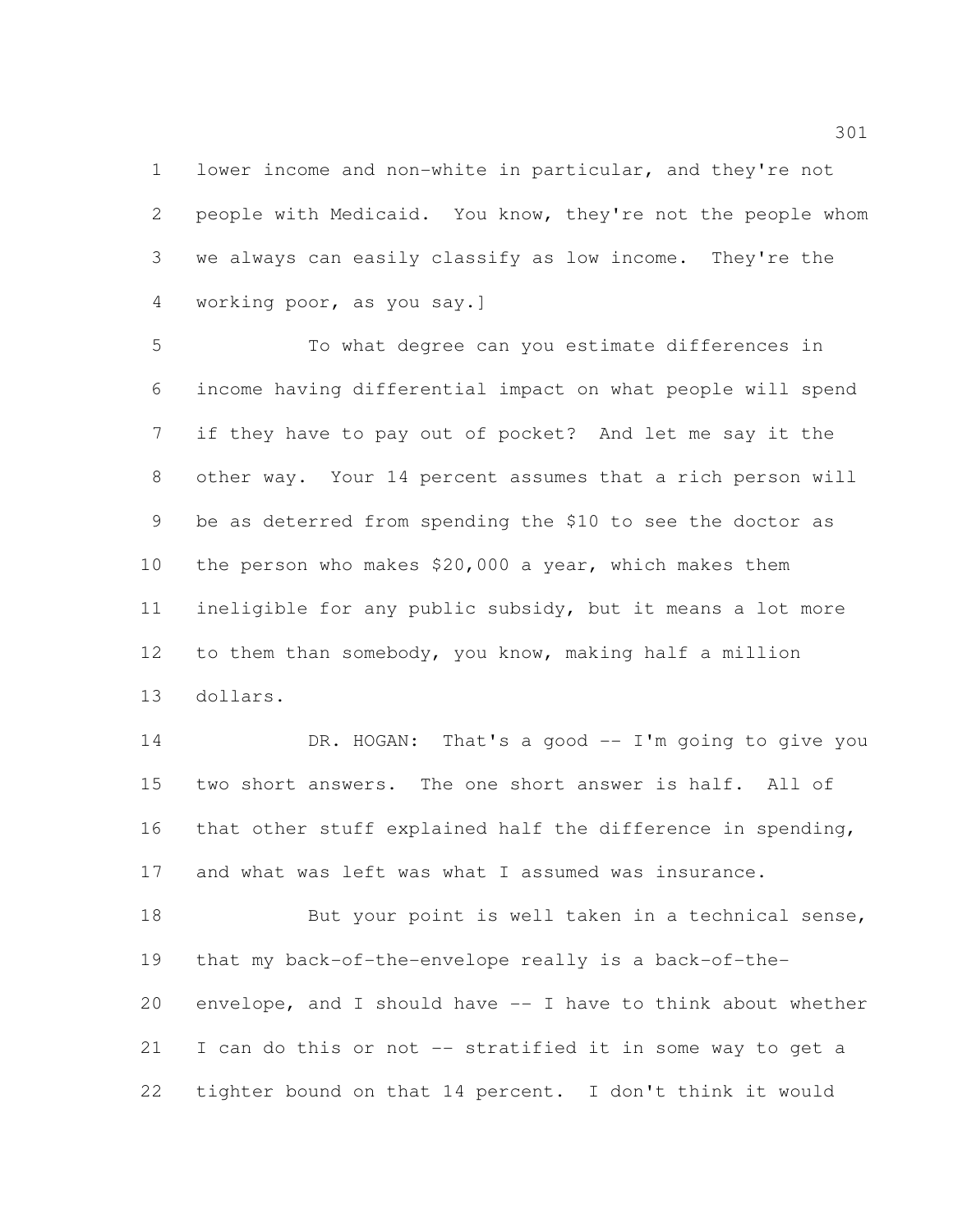lower income and non-white in particular, and they're not people with Medicaid. You know, they're not the people whom we always can easily classify as low income. They're the working poor, as you say.]

 To what degree can you estimate differences in income having differential impact on what people will spend if they have to pay out of pocket? And let me say it the other way. Your 14 percent assumes that a rich person will be as deterred from spending the \$10 to see the doctor as the person who makes \$20,000 a year, which makes them ineligible for any public subsidy, but it means a lot more to them than somebody, you know, making half a million dollars.

 DR. HOGAN: That's a good -- I'm going to give you two short answers. The one short answer is half. All of that other stuff explained half the difference in spending, and what was left was what I assumed was insurance.

18 But your point is well taken in a technical sense, that my back-of-the-envelope really is a back-of-the- envelope, and I should have -- I have to think about whether I can do this or not -- stratified it in some way to get a tighter bound on that 14 percent. I don't think it would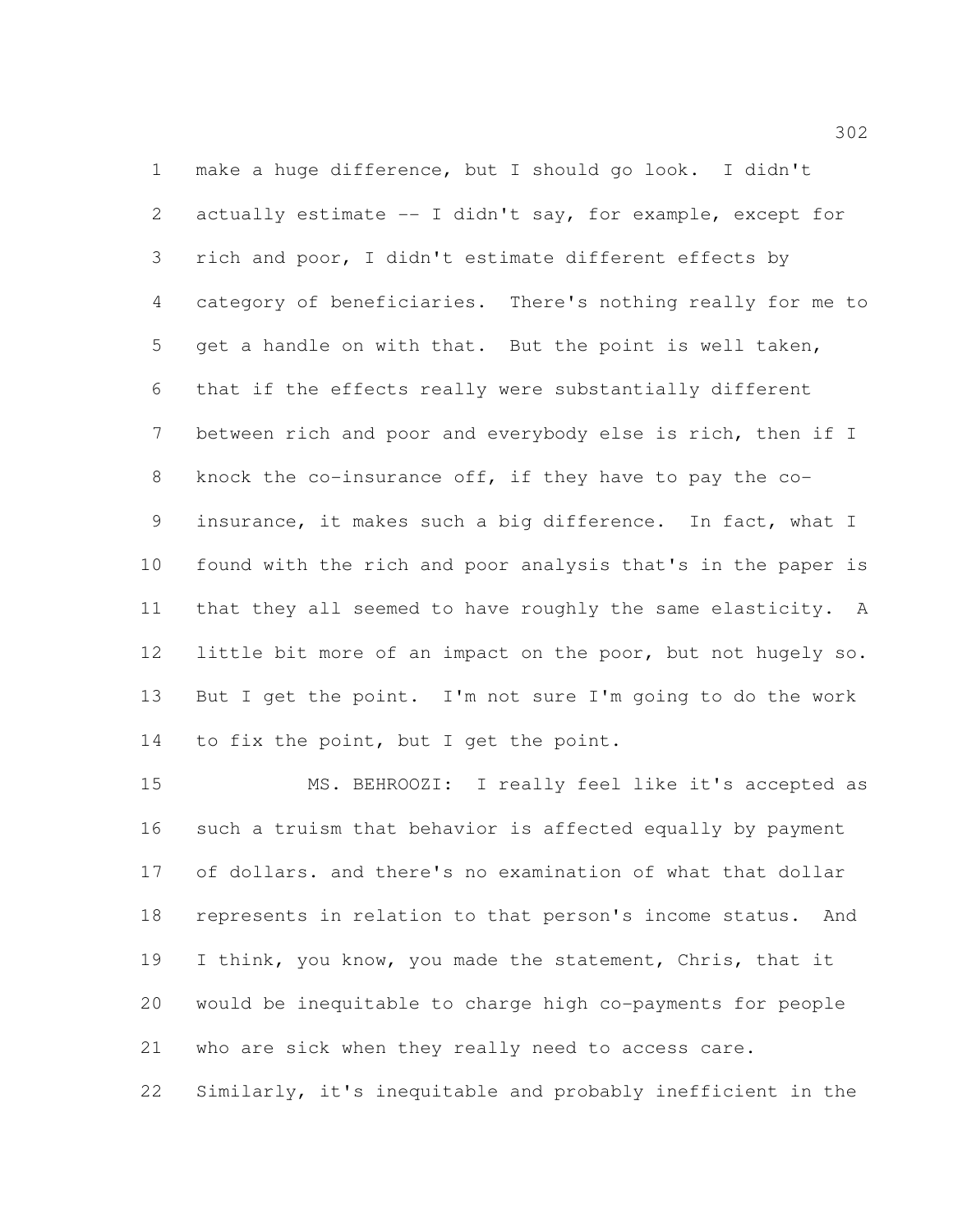make a huge difference, but I should go look. I didn't actually estimate -- I didn't say, for example, except for rich and poor, I didn't estimate different effects by category of beneficiaries. There's nothing really for me to get a handle on with that. But the point is well taken, that if the effects really were substantially different between rich and poor and everybody else is rich, then if I knock the co-insurance off, if they have to pay the co- insurance, it makes such a big difference. In fact, what I found with the rich and poor analysis that's in the paper is that they all seemed to have roughly the same elasticity. A little bit more of an impact on the poor, but not hugely so. But I get the point. I'm not sure I'm going to do the work to fix the point, but I get the point.

 MS. BEHROOZI: I really feel like it's accepted as such a truism that behavior is affected equally by payment of dollars. and there's no examination of what that dollar represents in relation to that person's income status. And I think, you know, you made the statement, Chris, that it would be inequitable to charge high co-payments for people who are sick when they really need to access care. Similarly, it's inequitable and probably inefficient in the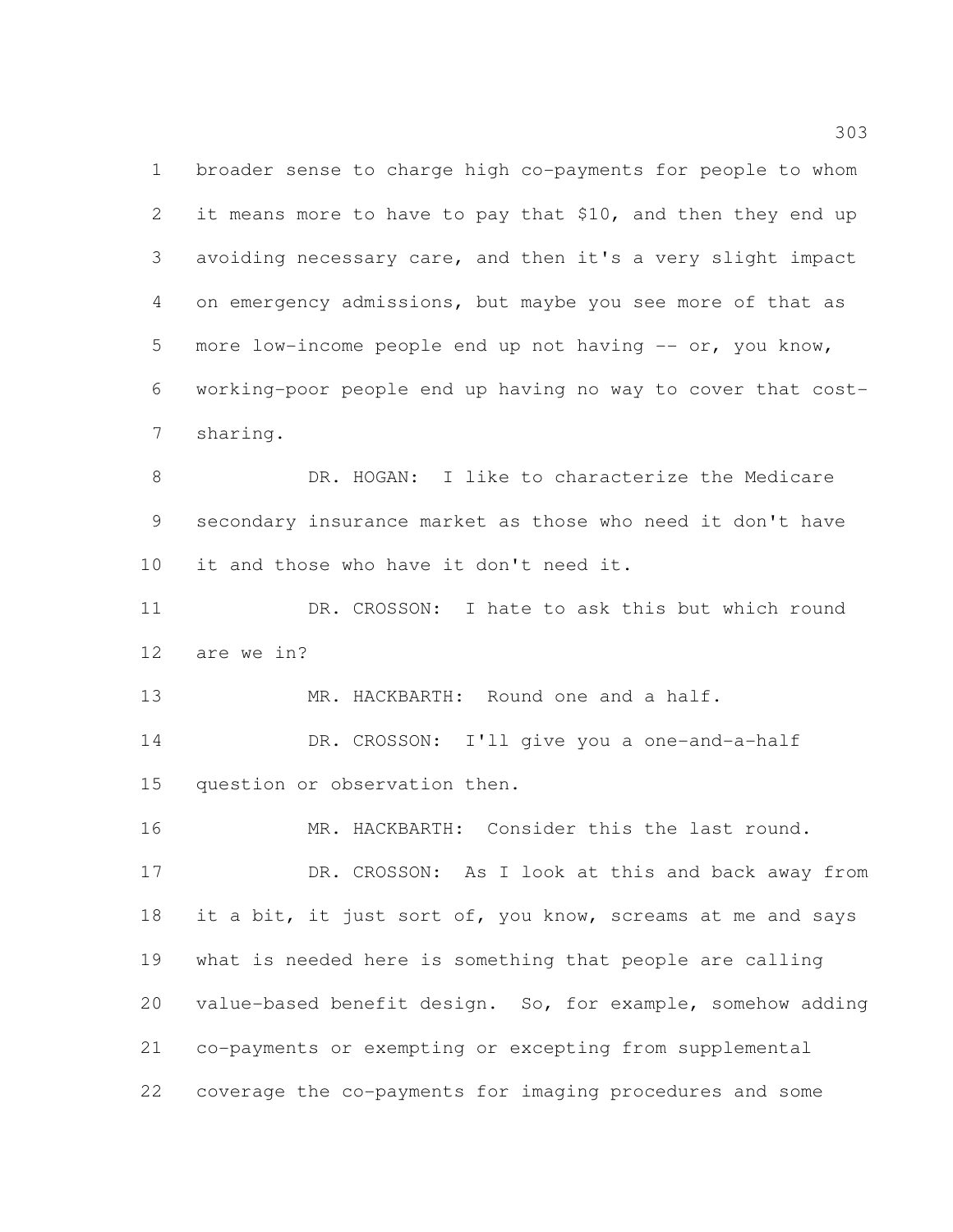broader sense to charge high co-payments for people to whom 2 it means more to have to pay that \$10, and then they end up avoiding necessary care, and then it's a very slight impact on emergency admissions, but maybe you see more of that as 5 more low-income people end up not having -- or, you know, working-poor people end up having no way to cover that cost-sharing.

 DR. HOGAN: I like to characterize the Medicare secondary insurance market as those who need it don't have it and those who have it don't need it.

 DR. CROSSON: I hate to ask this but which round are we in?

 MR. HACKBARTH: Round one and a half. DR. CROSSON: I'll give you a one-and-a-half question or observation then.

 MR. HACKBARTH: Consider this the last round. 17 DR. CROSSON: As I look at this and back away from 18 it a bit, it just sort of, you know, screams at me and says what is needed here is something that people are calling value-based benefit design. So, for example, somehow adding co-payments or exempting or excepting from supplemental coverage the co-payments for imaging procedures and some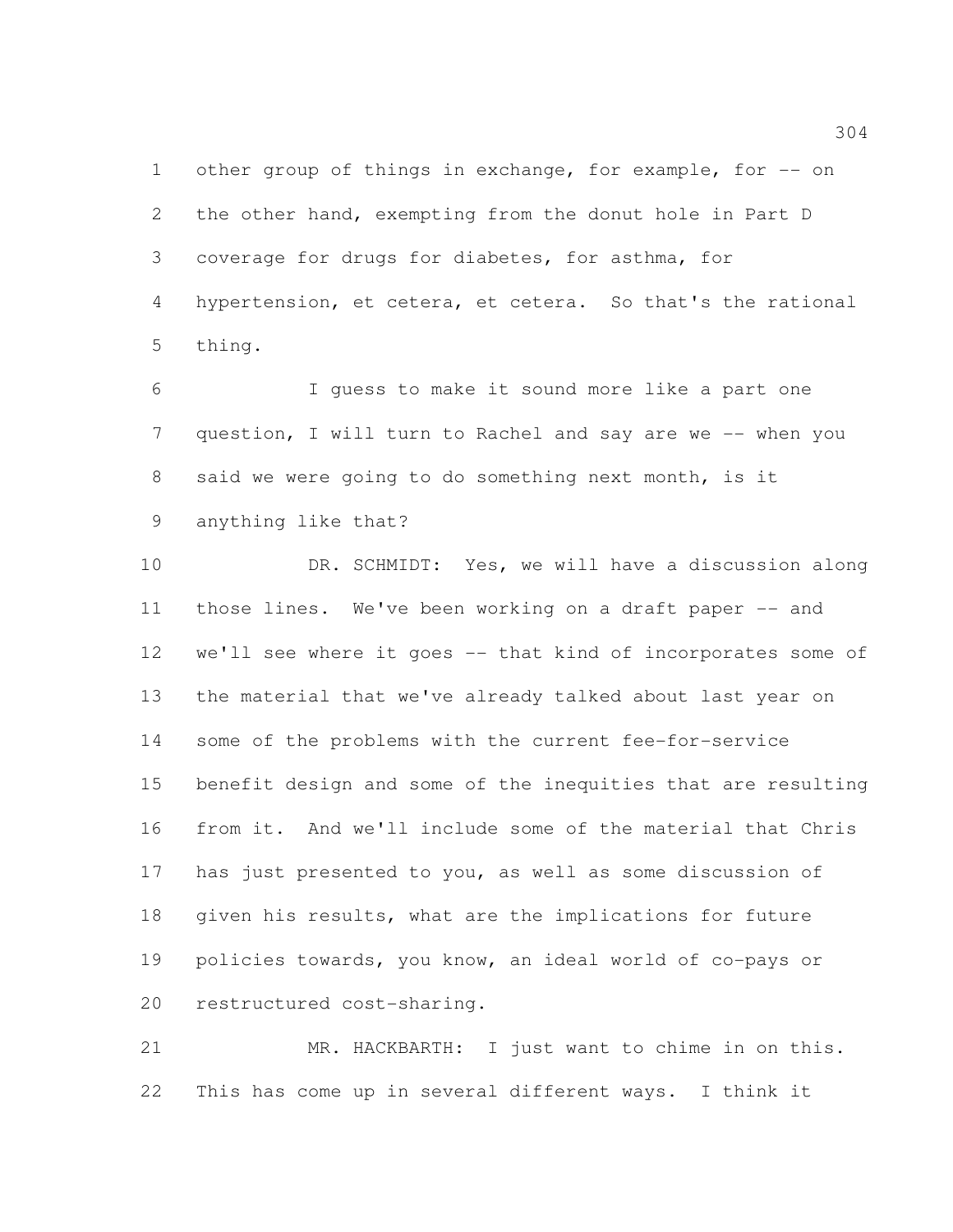1 other group of things in exchange, for example, for -- on the other hand, exempting from the donut hole in Part D coverage for drugs for diabetes, for asthma, for hypertension, et cetera, et cetera. So that's the rational thing.

 I guess to make it sound more like a part one question, I will turn to Rachel and say are we -- when you said we were going to do something next month, is it anything like that?

 DR. SCHMIDT: Yes, we will have a discussion along 11 those lines. We've been working on a draft paper -- and we'll see where it goes -- that kind of incorporates some of the material that we've already talked about last year on some of the problems with the current fee-for-service benefit design and some of the inequities that are resulting from it. And we'll include some of the material that Chris has just presented to you, as well as some discussion of given his results, what are the implications for future policies towards, you know, an ideal world of co-pays or restructured cost-sharing.

 MR. HACKBARTH: I just want to chime in on this. This has come up in several different ways. I think it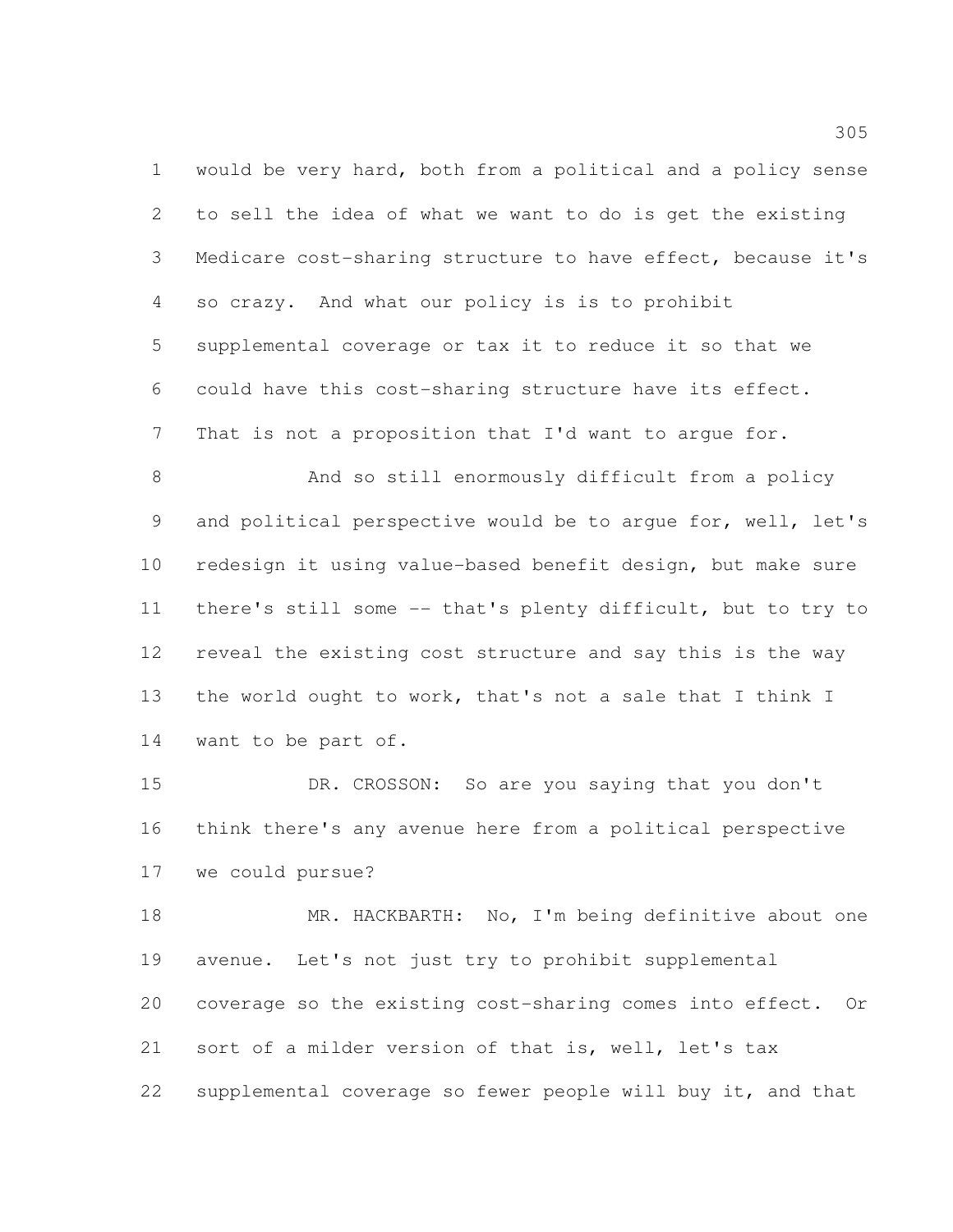would be very hard, both from a political and a policy sense to sell the idea of what we want to do is get the existing Medicare cost-sharing structure to have effect, because it's so crazy. And what our policy is is to prohibit supplemental coverage or tax it to reduce it so that we could have this cost-sharing structure have its effect. That is not a proposition that I'd want to argue for.

 And so still enormously difficult from a policy and political perspective would be to argue for, well, let's redesign it using value-based benefit design, but make sure there's still some -- that's plenty difficult, but to try to reveal the existing cost structure and say this is the way the world ought to work, that's not a sale that I think I want to be part of.

 DR. CROSSON: So are you saying that you don't think there's any avenue here from a political perspective we could pursue?

 MR. HACKBARTH: No, I'm being definitive about one avenue. Let's not just try to prohibit supplemental coverage so the existing cost-sharing comes into effect. Or sort of a milder version of that is, well, let's tax supplemental coverage so fewer people will buy it, and that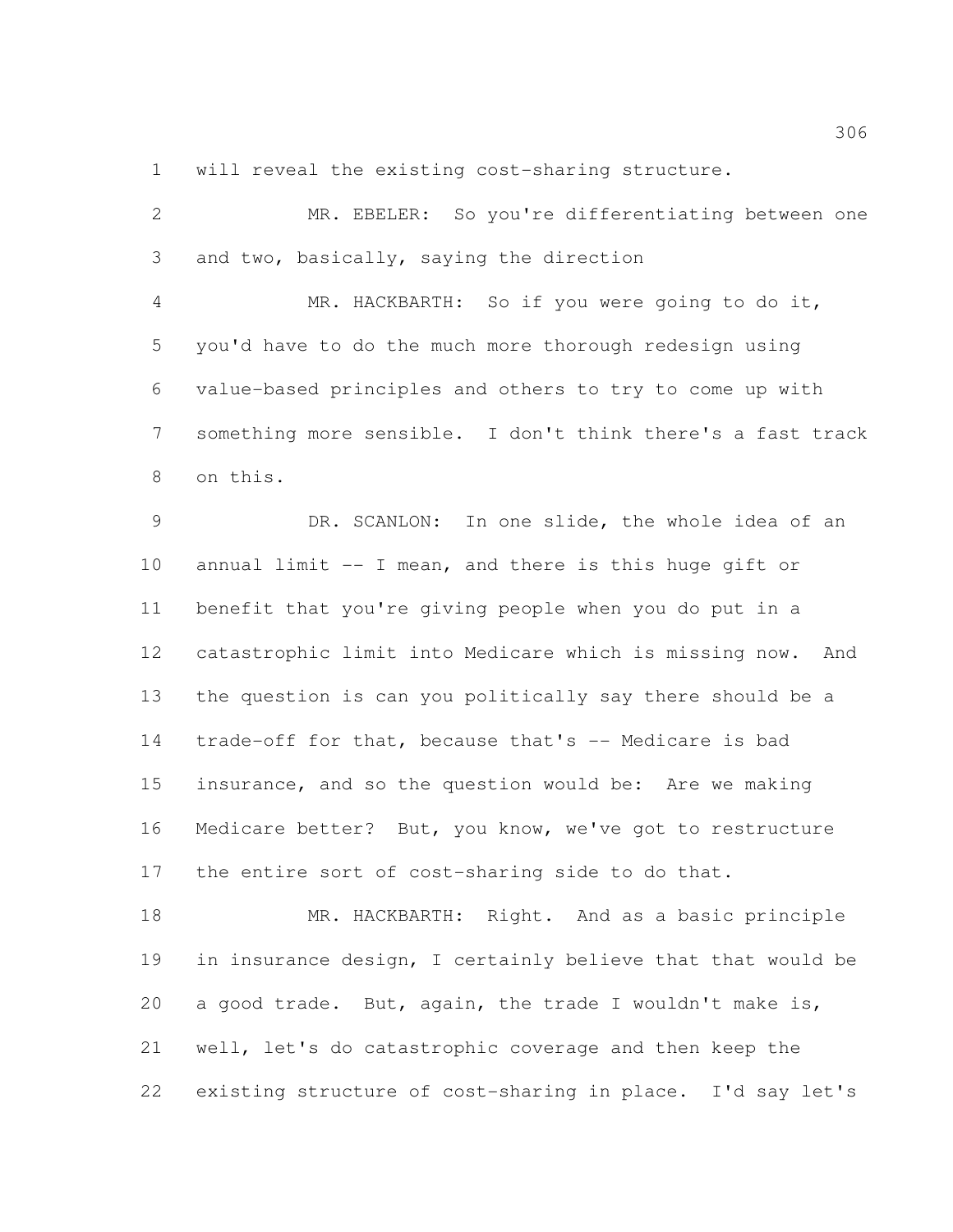will reveal the existing cost-sharing structure.

| 2               | MR. EBELER: So you're differentiating between one             |
|-----------------|---------------------------------------------------------------|
| 3               | and two, basically, saying the direction                      |
| $\overline{4}$  | MR. HACKBARTH: So if you were going to do it,                 |
| 5               | you'd have to do the much more thorough redesign using        |
| 6               | value-based principles and others to try to come up with      |
| $7\phantom{.0}$ | something more sensible. I don't think there's a fast track   |
| 8               | on this.                                                      |
| 9               | DR. SCANLON: In one slide, the whole idea of an               |
| 10              | annual limit -- I mean, and there is this huge gift or        |
| 11              | benefit that you're giving people when you do put in a        |
| 12              | catastrophic limit into Medicare which is missing now.<br>And |
| 13              | the question is can you politically say there should be a     |
| 14              | trade-off for that, because that's -- Medicare is bad         |
| 15              | insurance, and so the question would be: Are we making        |
| 16              | Medicare better? But, you know, we've got to restructure      |
| 17              | the entire sort of cost-sharing side to do that.              |
| 18              | MR. HACKBARTH: Right. And as a basic principle                |
| 19              | in insurance design, I certainly believe that that would be   |
| 20              | a good trade. But, again, the trade I wouldn't make is,       |
| 21              | well, let's do catastrophic coverage and then keep the        |
| 22              | existing structure of cost-sharing in place. I'd say let's    |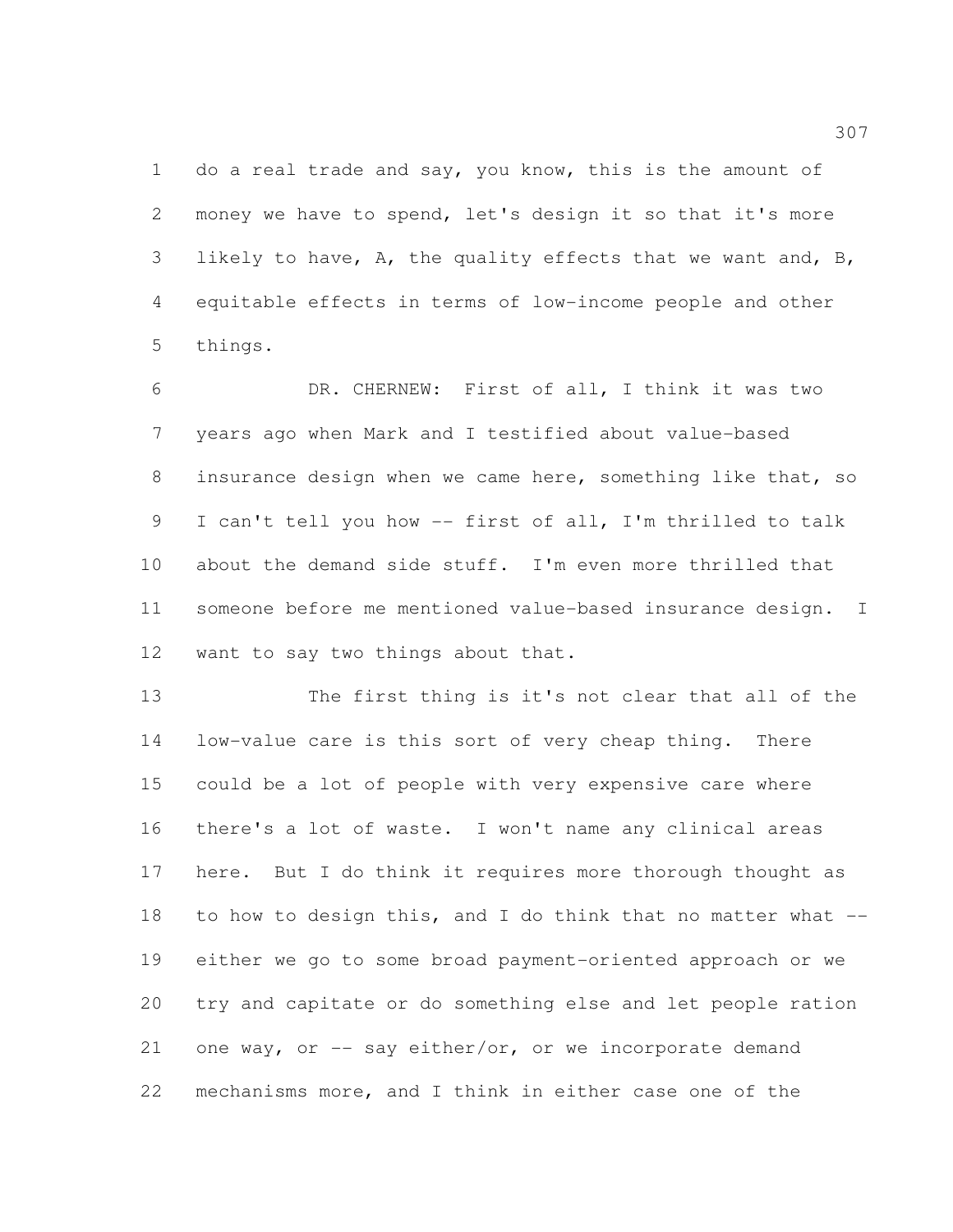1 do a real trade and say, you know, this is the amount of money we have to spend, let's design it so that it's more likely to have, A, the quality effects that we want and, B, equitable effects in terms of low-income people and other things.

 DR. CHERNEW: First of all, I think it was two years ago when Mark and I testified about value-based insurance design when we came here, something like that, so I can't tell you how -- first of all, I'm thrilled to talk about the demand side stuff. I'm even more thrilled that someone before me mentioned value-based insurance design. I want to say two things about that.

 The first thing is it's not clear that all of the low-value care is this sort of very cheap thing. There could be a lot of people with very expensive care where there's a lot of waste. I won't name any clinical areas here. But I do think it requires more thorough thought as to how to design this, and I do think that no matter what -- either we go to some broad payment-oriented approach or we try and capitate or do something else and let people ration 21 one way, or -- say either/or, or we incorporate demand mechanisms more, and I think in either case one of the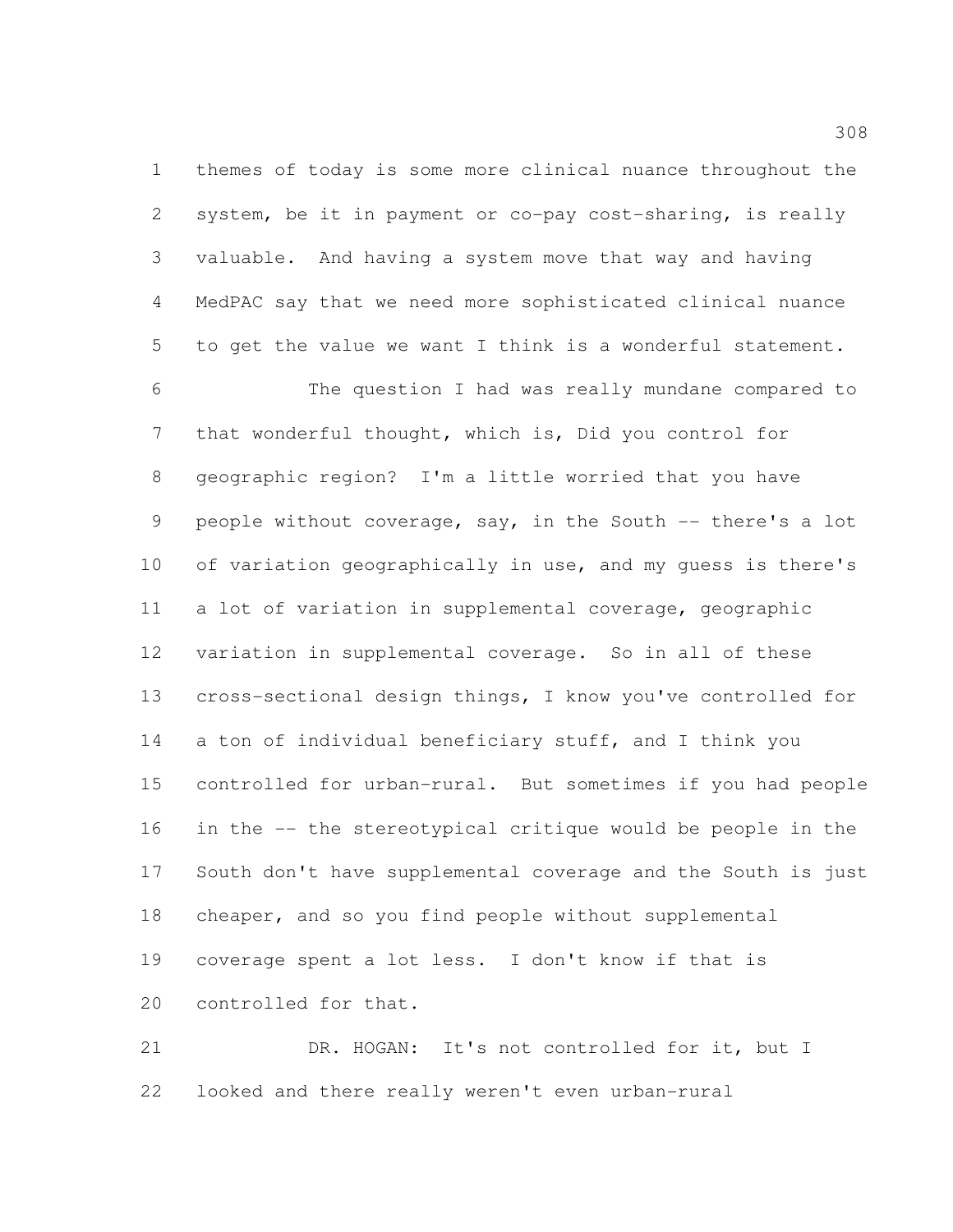themes of today is some more clinical nuance throughout the system, be it in payment or co-pay cost-sharing, is really valuable. And having a system move that way and having MedPAC say that we need more sophisticated clinical nuance to get the value we want I think is a wonderful statement.

 The question I had was really mundane compared to that wonderful thought, which is, Did you control for geographic region? I'm a little worried that you have people without coverage, say, in the South -- there's a lot of variation geographically in use, and my guess is there's a lot of variation in supplemental coverage, geographic variation in supplemental coverage. So in all of these cross-sectional design things, I know you've controlled for a ton of individual beneficiary stuff, and I think you controlled for urban-rural. But sometimes if you had people in the -- the stereotypical critique would be people in the South don't have supplemental coverage and the South is just cheaper, and so you find people without supplemental coverage spent a lot less. I don't know if that is controlled for that.

 DR. HOGAN: It's not controlled for it, but I looked and there really weren't even urban-rural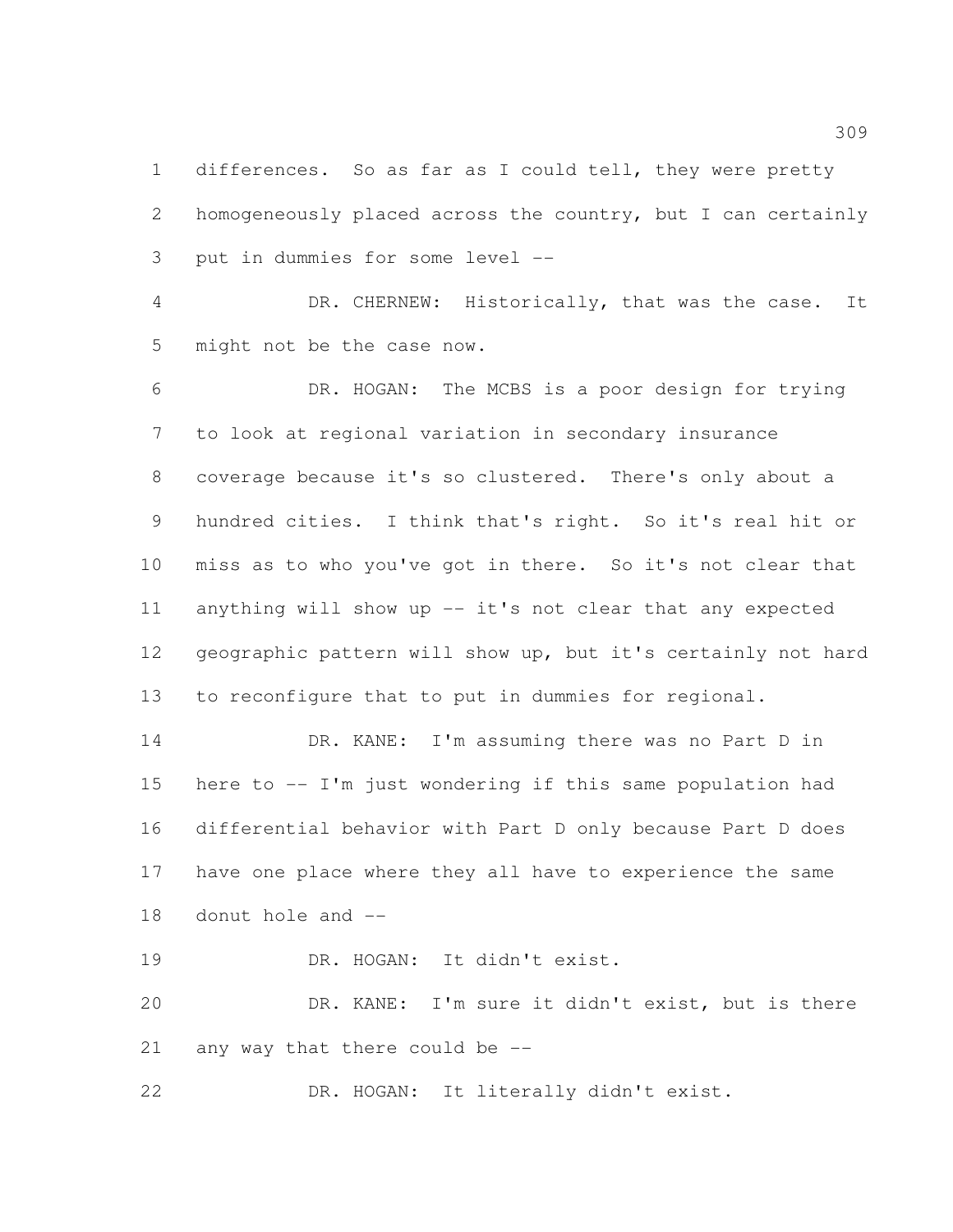differences. So as far as I could tell, they were pretty homogeneously placed across the country, but I can certainly put in dummies for some level --

 DR. CHERNEW: Historically, that was the case. It might not be the case now.

 DR. HOGAN: The MCBS is a poor design for trying to look at regional variation in secondary insurance coverage because it's so clustered. There's only about a hundred cities. I think that's right. So it's real hit or miss as to who you've got in there. So it's not clear that 11 anything will show up -- it's not clear that any expected geographic pattern will show up, but it's certainly not hard to reconfigure that to put in dummies for regional.

 DR. KANE: I'm assuming there was no Part D in here to -- I'm just wondering if this same population had differential behavior with Part D only because Part D does have one place where they all have to experience the same donut hole and --

19 DR. HOGAN: It didn't exist.

 DR. KANE: I'm sure it didn't exist, but is there any way that there could be --

DR. HOGAN: It literally didn't exist.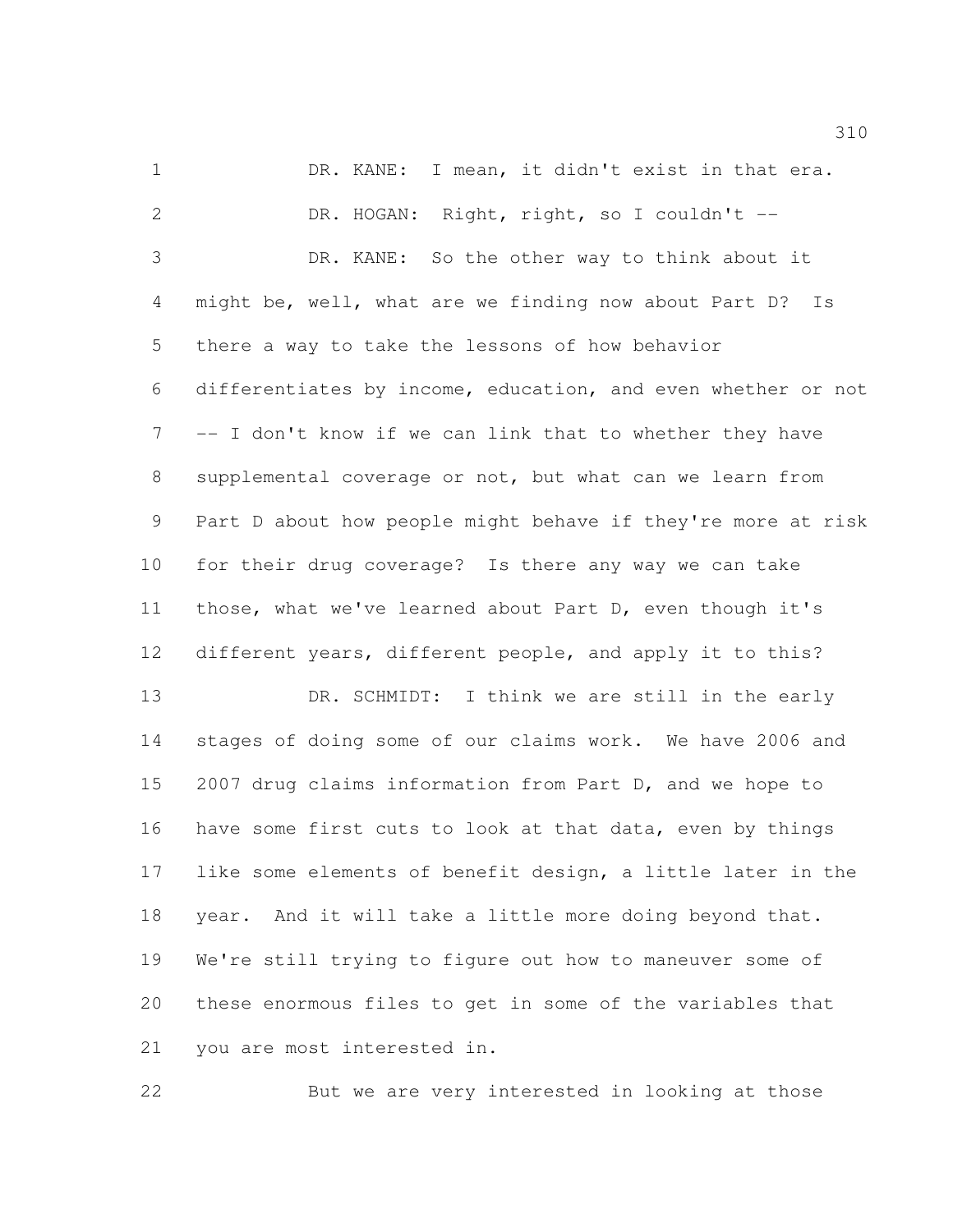1 DR. KANE: I mean, it didn't exist in that era. DR. HOGAN: Right, right, so I couldn't -- DR. KANE: So the other way to think about it might be, well, what are we finding now about Part D? Is there a way to take the lessons of how behavior differentiates by income, education, and even whether or not -- I don't know if we can link that to whether they have supplemental coverage or not, but what can we learn from Part D about how people might behave if they're more at risk for their drug coverage? Is there any way we can take those, what we've learned about Part D, even though it's different years, different people, and apply it to this? 13 DR. SCHMIDT: I think we are still in the early stages of doing some of our claims work. We have 2006 and 2007 drug claims information from Part D, and we hope to have some first cuts to look at that data, even by things like some elements of benefit design, a little later in the year. And it will take a little more doing beyond that. We're still trying to figure out how to maneuver some of

you are most interested in.

But we are very interested in looking at those

these enormous files to get in some of the variables that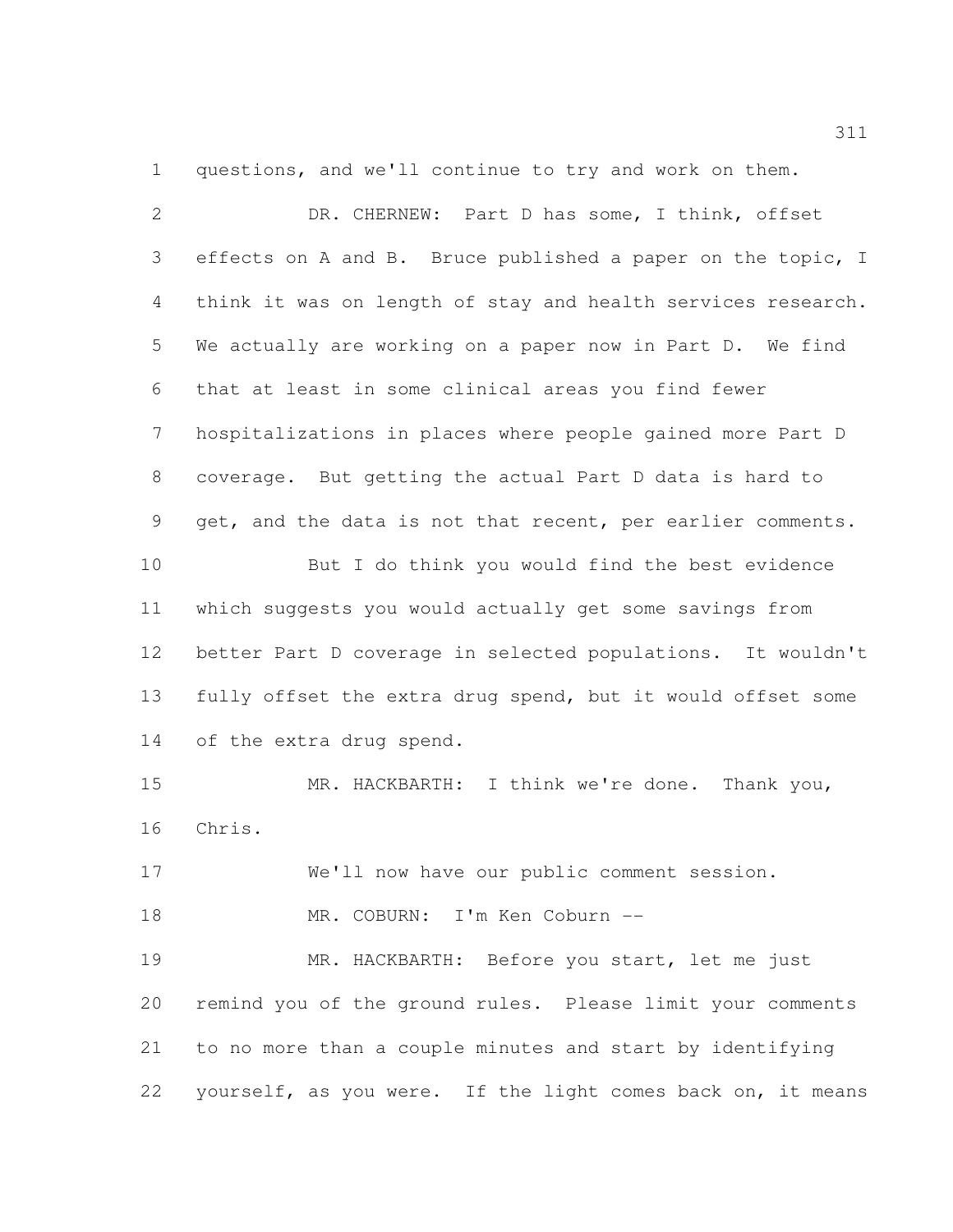questions, and we'll continue to try and work on them.

| $\overline{2}$  | DR. CHERNEW: Part D has some, I think, offset                |
|-----------------|--------------------------------------------------------------|
| 3               | effects on A and B. Bruce published a paper on the topic, I  |
| 4               | think it was on length of stay and health services research. |
| 5               | We actually are working on a paper now in Part D. We find    |
| 6               | that at least in some clinical areas you find fewer          |
| $7\phantom{.0}$ | hospitalizations in places where people gained more Part D   |
| $8\,$           | coverage. But getting the actual Part D data is hard to      |
| 9               | get, and the data is not that recent, per earlier comments.  |
| 10              | But I do think you would find the best evidence              |
| 11              | which suggests you would actually get some savings from      |
| 12              | better Part D coverage in selected populations. It wouldn't  |
| 13              | fully offset the extra drug spend, but it would offset some  |
| 14              | of the extra drug spend.                                     |
| 15              | MR. HACKBARTH: I think we're done. Thank you,                |
| 16              | Chris.                                                       |
| 17              | We'll now have our public comment session.                   |
| 18              | MR. COBURN: I'm Ken Coburn --                                |
| 19              | MR. HACKBARTH: Before you start, let me just                 |
| 20              | remind you of the ground rules. Please limit your comments   |
| 21              | to no more than a couple minutes and start by identifying    |
| 22              | yourself, as you were. If the light comes back on, it means  |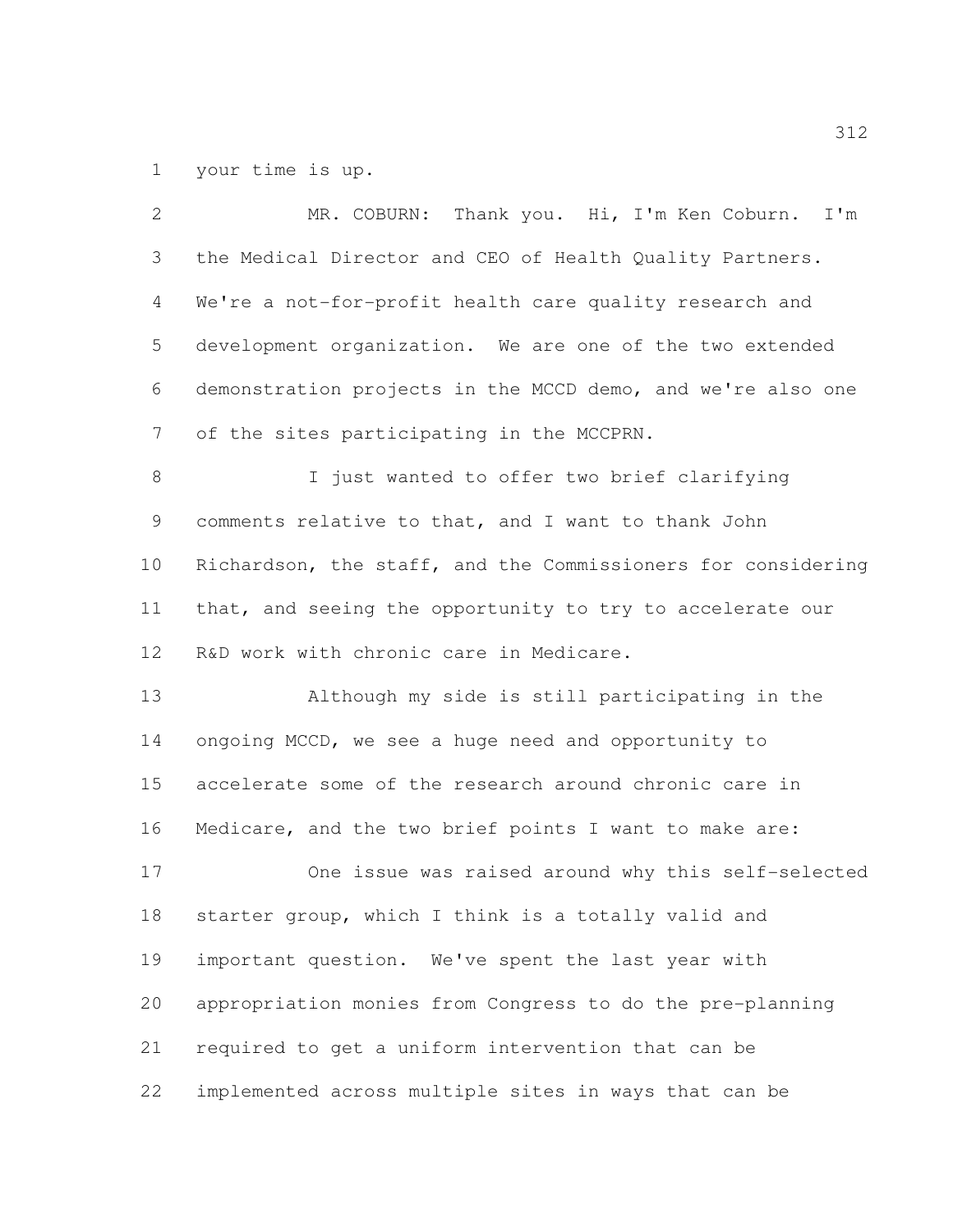your time is up.

 MR. COBURN: Thank you. Hi, I'm Ken Coburn. I'm the Medical Director and CEO of Health Quality Partners. We're a not-for-profit health care quality research and development organization. We are one of the two extended demonstration projects in the MCCD demo, and we're also one of the sites participating in the MCCPRN. I just wanted to offer two brief clarifying comments relative to that, and I want to thank John Richardson, the staff, and the Commissioners for considering that, and seeing the opportunity to try to accelerate our R&D work with chronic care in Medicare. Although my side is still participating in the ongoing MCCD, we see a huge need and opportunity to accelerate some of the research around chronic care in Medicare, and the two brief points I want to make are: One issue was raised around why this self-selected starter group, which I think is a totally valid and important question. We've spent the last year with appropriation monies from Congress to do the pre-planning required to get a uniform intervention that can be implemented across multiple sites in ways that can be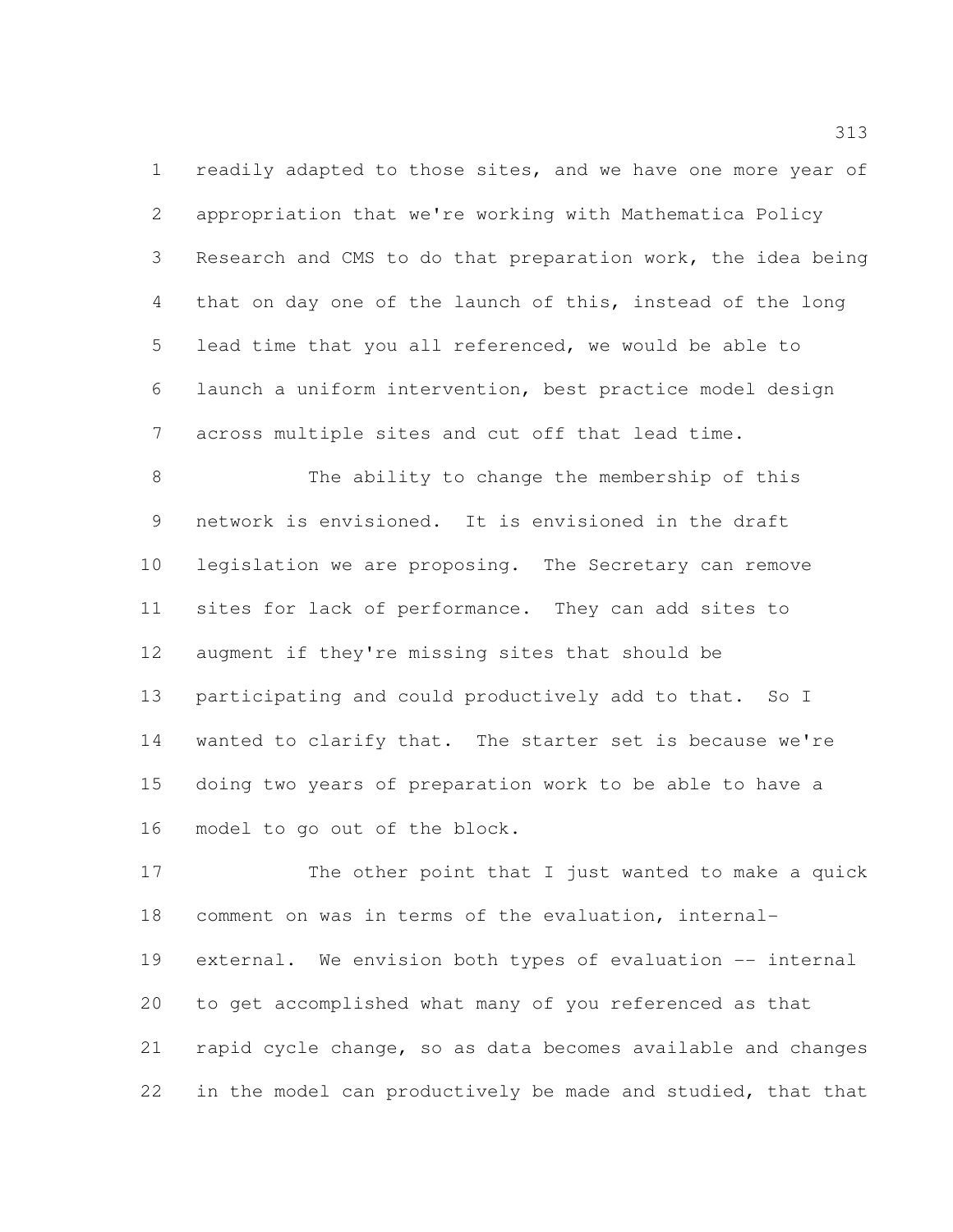1 readily adapted to those sites, and we have one more year of appropriation that we're working with Mathematica Policy Research and CMS to do that preparation work, the idea being that on day one of the launch of this, instead of the long lead time that you all referenced, we would be able to launch a uniform intervention, best practice model design across multiple sites and cut off that lead time.

 The ability to change the membership of this network is envisioned. It is envisioned in the draft legislation we are proposing. The Secretary can remove sites for lack of performance. They can add sites to augment if they're missing sites that should be participating and could productively add to that. So I wanted to clarify that. The starter set is because we're doing two years of preparation work to be able to have a model to go out of the block.

 The other point that I just wanted to make a quick comment on was in terms of the evaluation, internal- external. We envision both types of evaluation -- internal to get accomplished what many of you referenced as that rapid cycle change, so as data becomes available and changes in the model can productively be made and studied, that that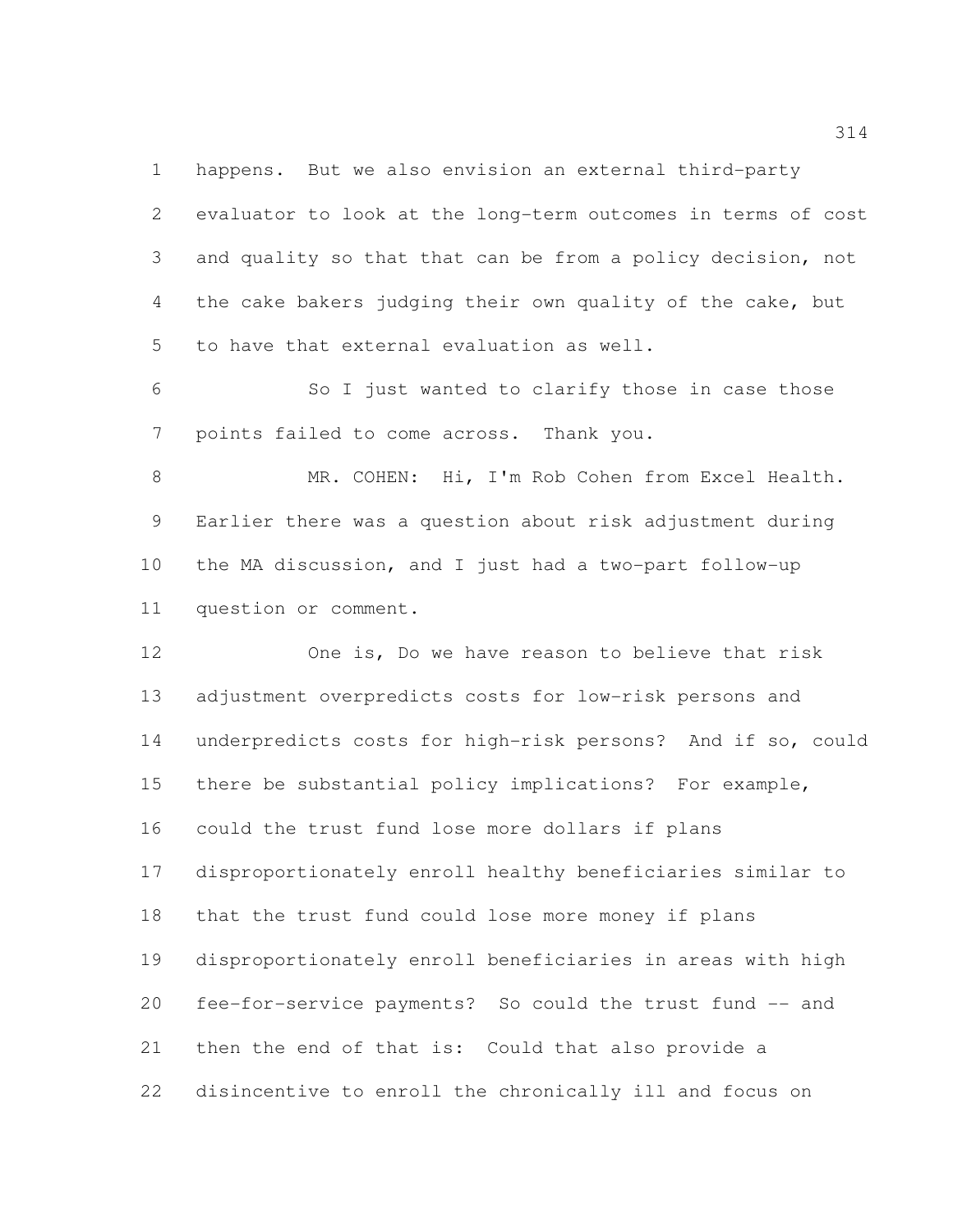happens. But we also envision an external third-party evaluator to look at the long-term outcomes in terms of cost and quality so that that can be from a policy decision, not the cake bakers judging their own quality of the cake, but to have that external evaluation as well.

 So I just wanted to clarify those in case those points failed to come across. Thank you.

 MR. COHEN: Hi, I'm Rob Cohen from Excel Health. Earlier there was a question about risk adjustment during the MA discussion, and I just had a two-part follow-up question or comment.

 One is, Do we have reason to believe that risk adjustment overpredicts costs for low-risk persons and underpredicts costs for high-risk persons? And if so, could there be substantial policy implications? For example, could the trust fund lose more dollars if plans disproportionately enroll healthy beneficiaries similar to that the trust fund could lose more money if plans disproportionately enroll beneficiaries in areas with high fee-for-service payments? So could the trust fund -- and then the end of that is: Could that also provide a disincentive to enroll the chronically ill and focus on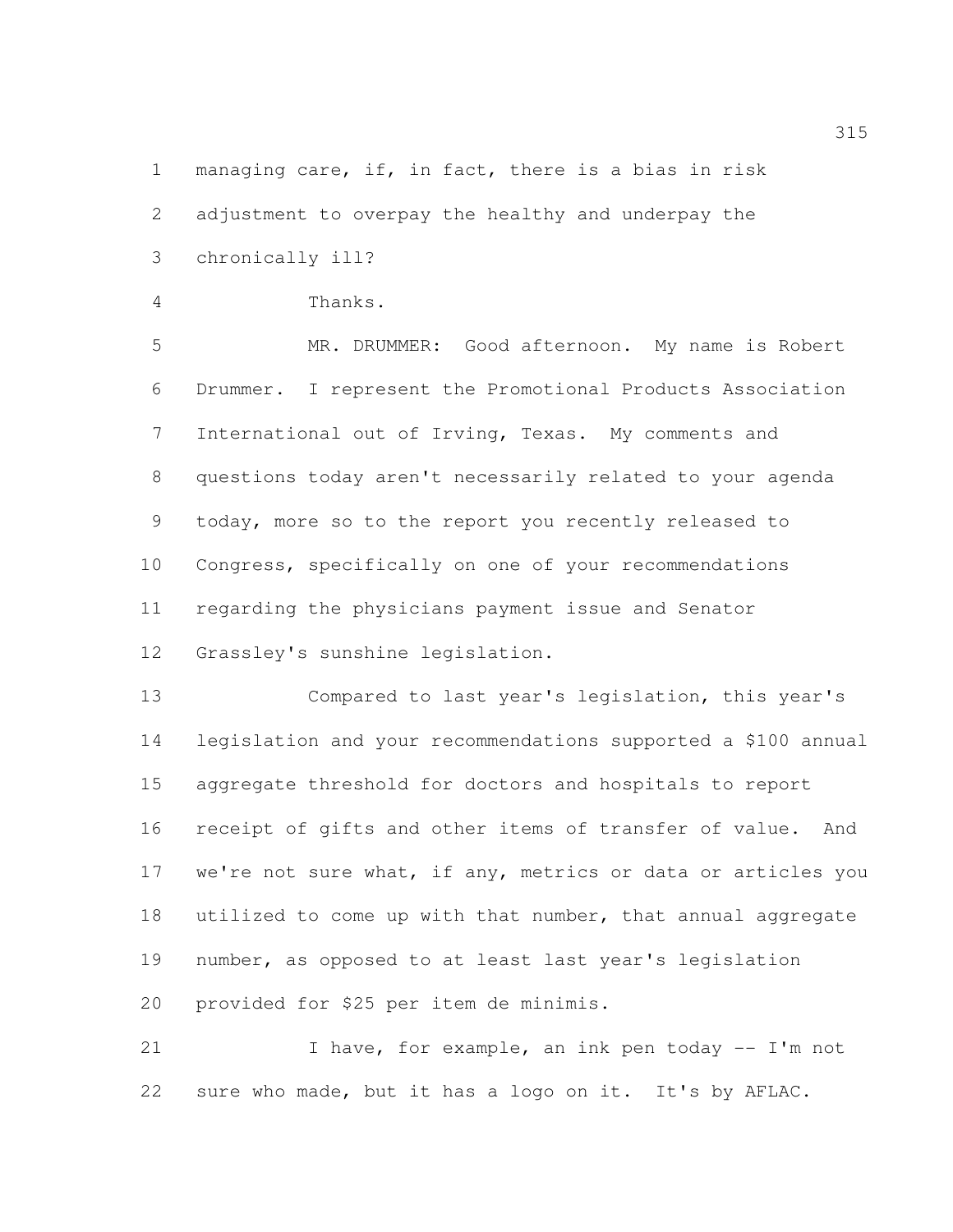managing care, if, in fact, there is a bias in risk

adjustment to overpay the healthy and underpay the

chronically ill?

Thanks.

 MR. DRUMMER: Good afternoon. My name is Robert Drummer. I represent the Promotional Products Association International out of Irving, Texas. My comments and questions today aren't necessarily related to your agenda today, more so to the report you recently released to Congress, specifically on one of your recommendations regarding the physicians payment issue and Senator Grassley's sunshine legislation.

 Compared to last year's legislation, this year's legislation and your recommendations supported a \$100 annual aggregate threshold for doctors and hospitals to report receipt of gifts and other items of transfer of value. And 17 we're not sure what, if any, metrics or data or articles you utilized to come up with that number, that annual aggregate number, as opposed to at least last year's legislation provided for \$25 per item de minimis.

21 I have, for example, an ink pen today -- I'm not sure who made, but it has a logo on it. It's by AFLAC.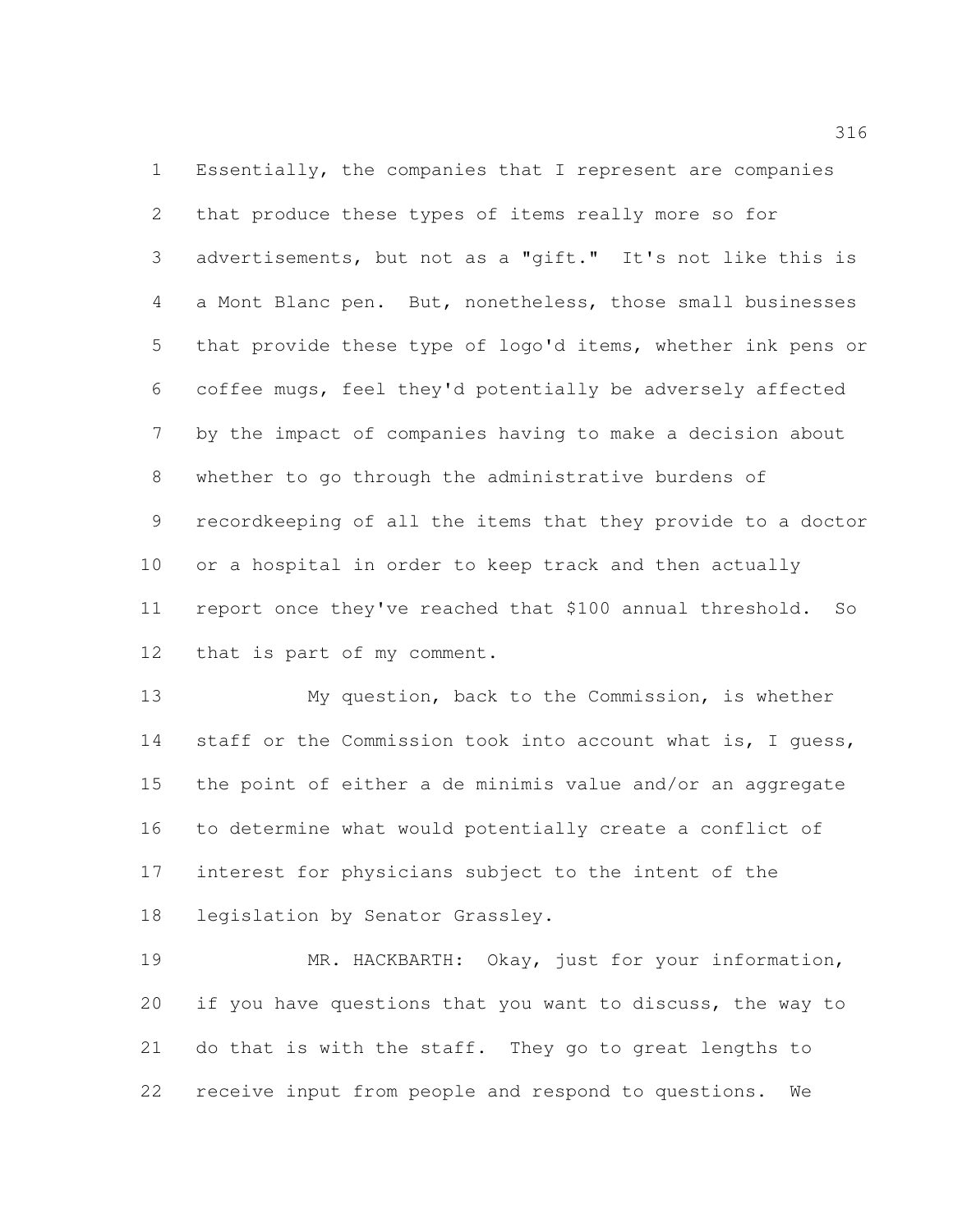Essentially, the companies that I represent are companies that produce these types of items really more so for advertisements, but not as a "gift." It's not like this is a Mont Blanc pen. But, nonetheless, those small businesses that provide these type of logo'd items, whether ink pens or coffee mugs, feel they'd potentially be adversely affected by the impact of companies having to make a decision about whether to go through the administrative burdens of recordkeeping of all the items that they provide to a doctor or a hospital in order to keep track and then actually report once they've reached that \$100 annual threshold. So that is part of my comment.

 My question, back to the Commission, is whether 14 staff or the Commission took into account what is, I quess, the point of either a de minimis value and/or an aggregate to determine what would potentially create a conflict of interest for physicians subject to the intent of the legislation by Senator Grassley.

19 MR. HACKBARTH: Okay, just for your information, if you have questions that you want to discuss, the way to do that is with the staff. They go to great lengths to receive input from people and respond to questions. We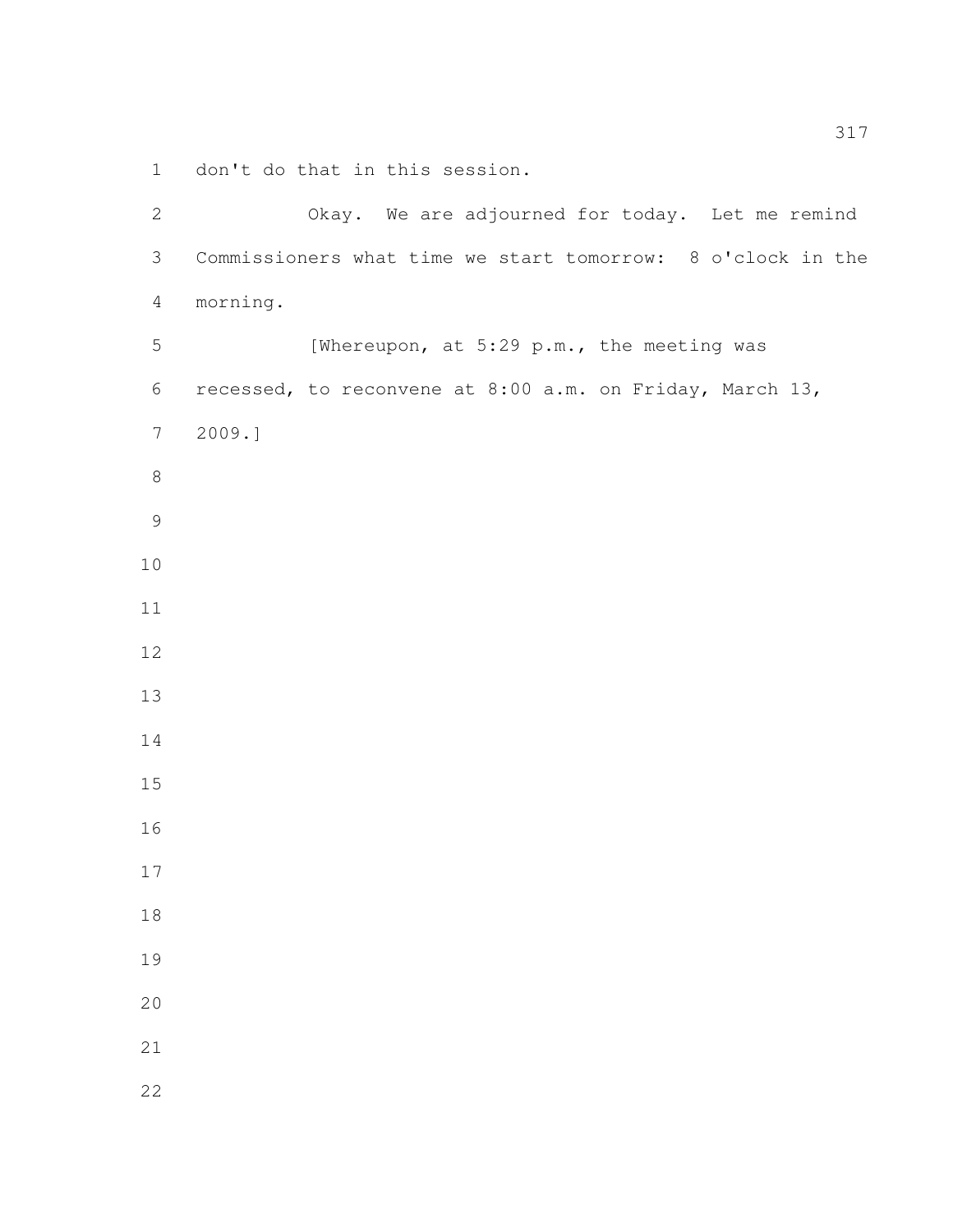don't do that in this session.

| $\mathbf{2}$    | Okay. We are adjourned for today. Let me remind             |
|-----------------|-------------------------------------------------------------|
| $\mathfrak{Z}$  | Commissioners what time we start tomorrow: 8 o'clock in the |
| $\overline{4}$  | morning.                                                    |
| $\mathsf S$     | [Whereupon, at 5:29 p.m., the meeting was                   |
| 6               | recessed, to reconvene at 8:00 a.m. on Friday, March 13,    |
| $7\phantom{.0}$ | 2009.]                                                      |
| $8\,$           |                                                             |
| $\mathcal{G}$   |                                                             |
| 10              |                                                             |
| 11              |                                                             |
| 12              |                                                             |
| 13              |                                                             |
| 14              |                                                             |
| 15              |                                                             |
| 16              |                                                             |
| 17              |                                                             |
| 18              |                                                             |
| 19              |                                                             |
| 20              |                                                             |
| 21              |                                                             |
| 22              |                                                             |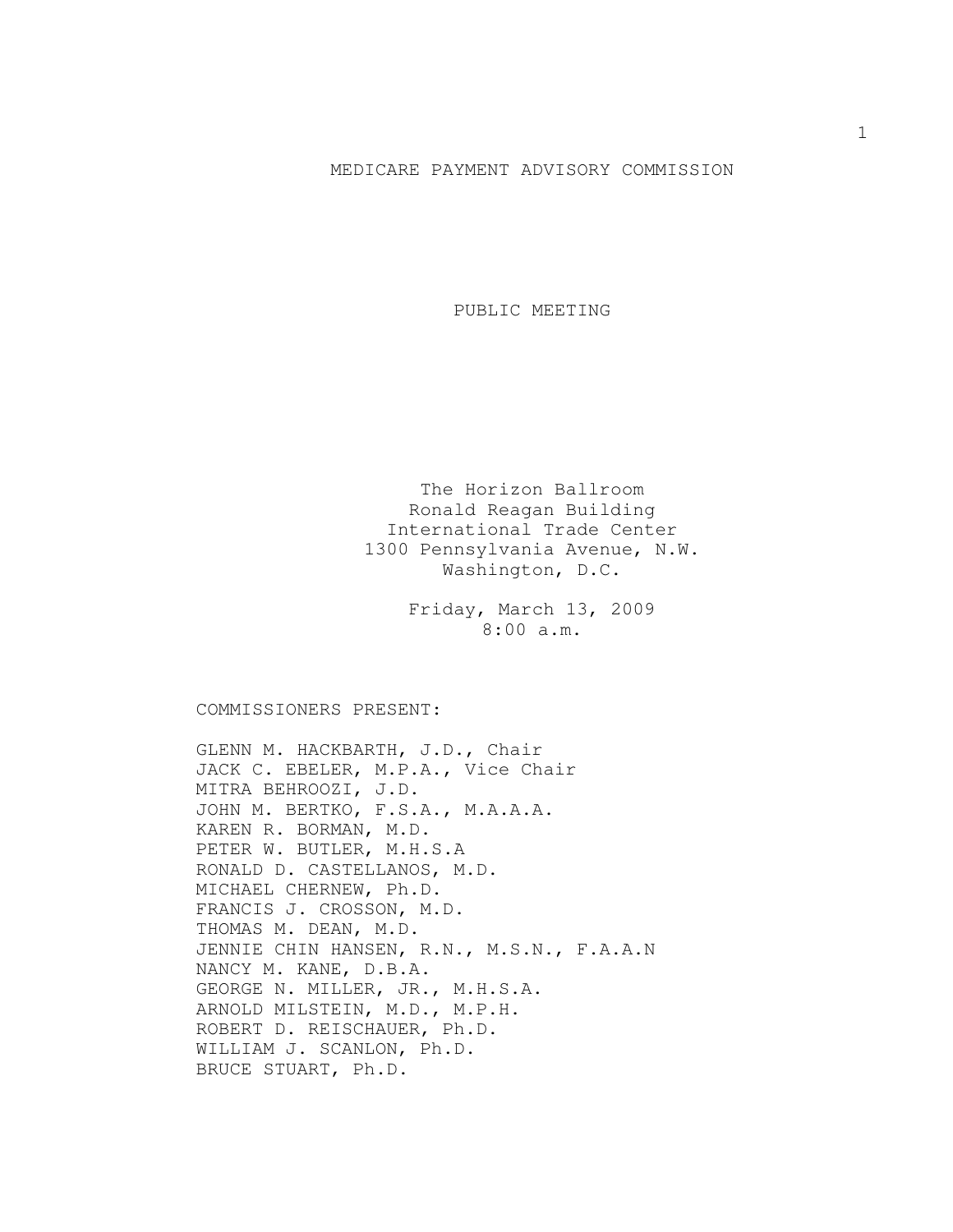## MEDICARE PAYMENT ADVISORY COMMISSION

PUBLIC MEETING

The Horizon Ballroom Ronald Reagan Building International Trade Center 1300 Pennsylvania Avenue, N.W. Washington, D.C.

> Friday, March 13, 2009 8:00 a.m.

COMMISSIONERS PRESENT:

GLENN M. HACKBARTH, J.D., Chair JACK C. EBELER, M.P.A., Vice Chair MITRA BEHROOZI, J.D. JOHN M. BERTKO, F.S.A., M.A.A.A. KAREN R. BORMAN, M.D. PETER W. BUTLER, M.H.S.A RONALD D. CASTELLANOS, M.D. MICHAEL CHERNEW, Ph.D. FRANCIS J. CROSSON, M.D. THOMAS M. DEAN, M.D. JENNIE CHIN HANSEN, R.N., M.S.N., F.A.A.N NANCY M. KANE, D.B.A. GEORGE N. MILLER, JR., M.H.S.A. ARNOLD MILSTEIN, M.D., M.P.H. ROBERT D. REISCHAUER, Ph.D. WILLIAM J. SCANLON, Ph.D. BRUCE STUART, Ph.D.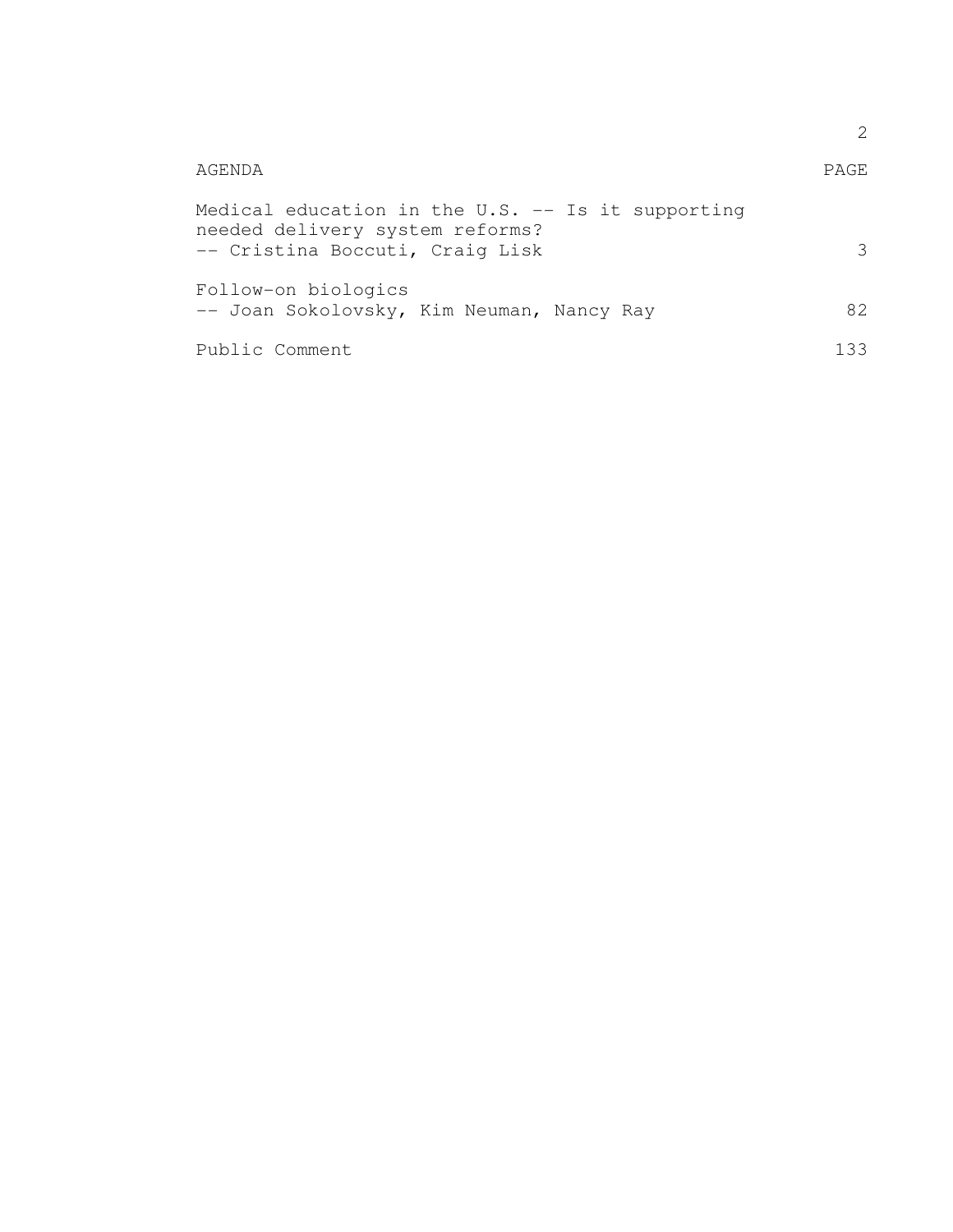|                                                                                                                           | 2           |
|---------------------------------------------------------------------------------------------------------------------------|-------------|
| AGENDA                                                                                                                    | <b>PAGE</b> |
| Medical education in the $U.S.$ -- Is it supporting<br>needed delivery system reforms?<br>-- Cristina Boccuti, Craig Lisk | 3           |
| Follow-on biologics<br>-- Joan Sokolovsky, Kim Neuman, Nancy Ray                                                          | 82          |
| Public Comment                                                                                                            | 133         |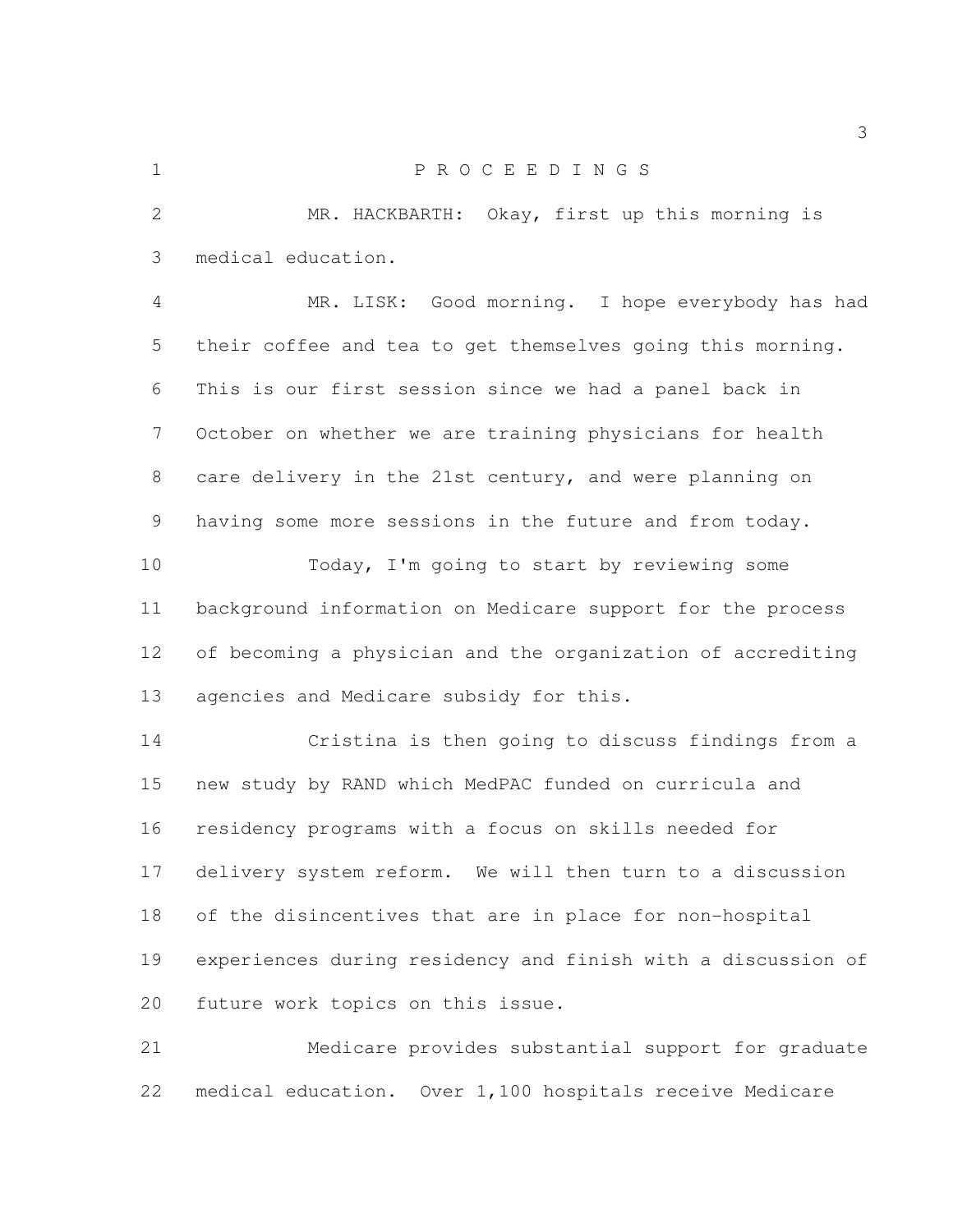## P R O C E E D I N G S

 MR. HACKBARTH: Okay, first up this morning is medical education.

 MR. LISK: Good morning. I hope everybody has had their coffee and tea to get themselves going this morning. This is our first session since we had a panel back in October on whether we are training physicians for health care delivery in the 21st century, and were planning on having some more sessions in the future and from today.

 Today, I'm going to start by reviewing some background information on Medicare support for the process of becoming a physician and the organization of accrediting agencies and Medicare subsidy for this.

 Cristina is then going to discuss findings from a new study by RAND which MedPAC funded on curricula and residency programs with a focus on skills needed for delivery system reform. We will then turn to a discussion of the disincentives that are in place for non-hospital experiences during residency and finish with a discussion of future work topics on this issue.

 Medicare provides substantial support for graduate medical education. Over 1,100 hospitals receive Medicare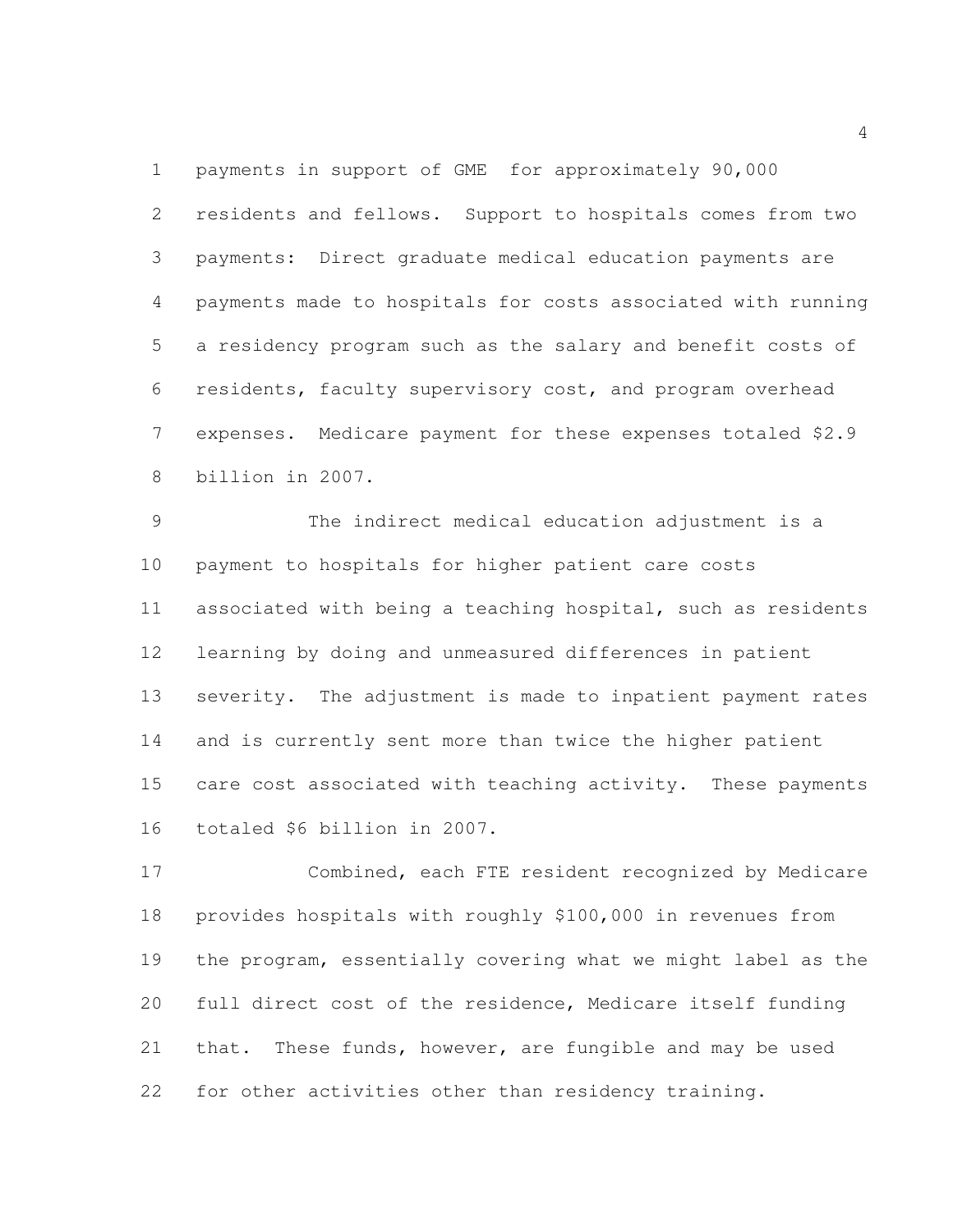payments in support of GME for approximately 90,000 residents and fellows. Support to hospitals comes from two payments: Direct graduate medical education payments are payments made to hospitals for costs associated with running a residency program such as the salary and benefit costs of residents, faculty supervisory cost, and program overhead expenses. Medicare payment for these expenses totaled \$2.9 billion in 2007.

 The indirect medical education adjustment is a payment to hospitals for higher patient care costs associated with being a teaching hospital, such as residents learning by doing and unmeasured differences in patient severity. The adjustment is made to inpatient payment rates and is currently sent more than twice the higher patient care cost associated with teaching activity. These payments totaled \$6 billion in 2007.

 Combined, each FTE resident recognized by Medicare provides hospitals with roughly \$100,000 in revenues from the program, essentially covering what we might label as the full direct cost of the residence, Medicare itself funding that. These funds, however, are fungible and may be used for other activities other than residency training.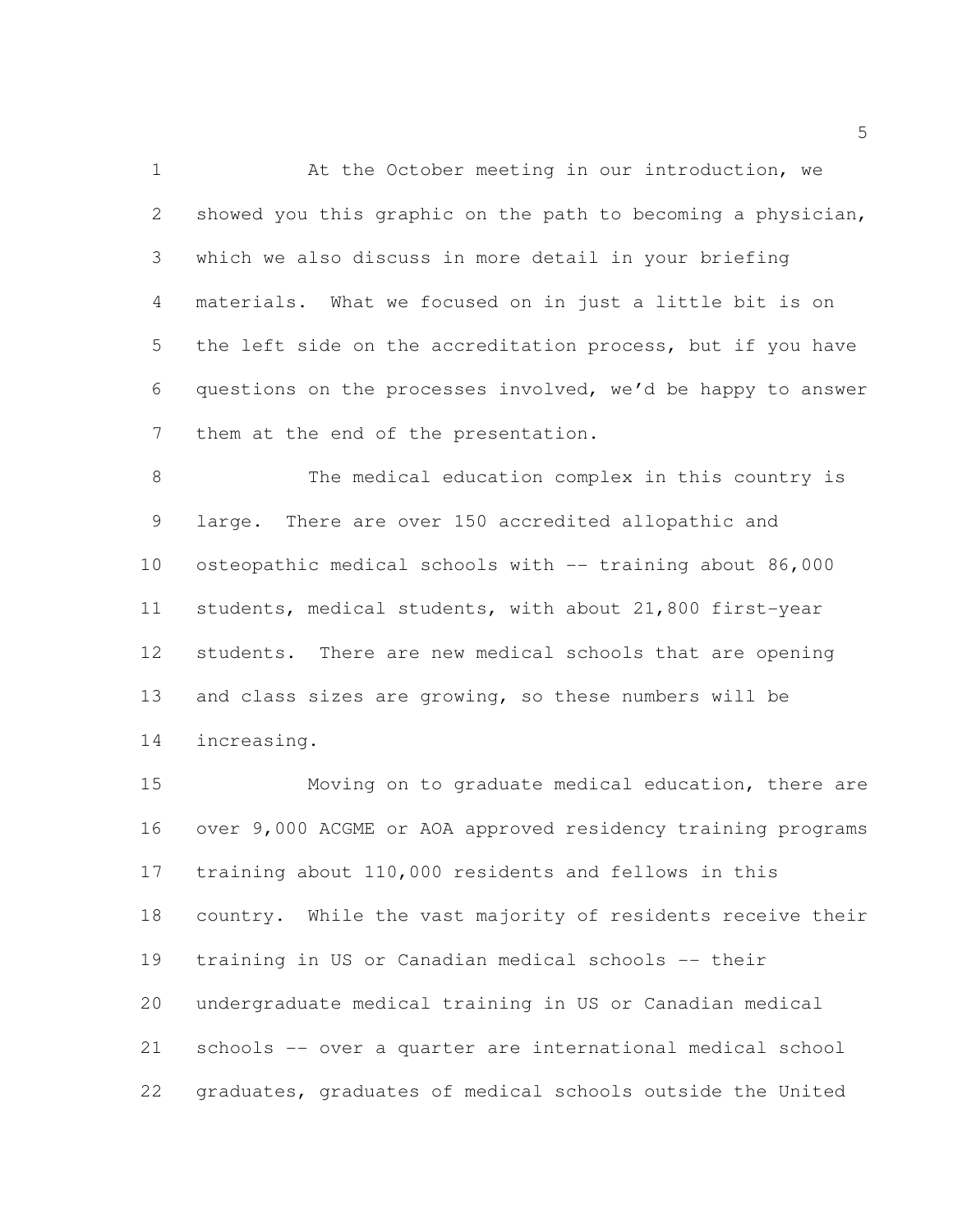At the October meeting in our introduction, we showed you this graphic on the path to becoming a physician, which we also discuss in more detail in your briefing materials. What we focused on in just a little bit is on the left side on the accreditation process, but if you have questions on the processes involved, we'd be happy to answer them at the end of the presentation.

 The medical education complex in this country is large. There are over 150 accredited allopathic and osteopathic medical schools with -- training about 86,000 students, medical students, with about 21,800 first-year students. There are new medical schools that are opening and class sizes are growing, so these numbers will be increasing.

 Moving on to graduate medical education, there are over 9,000 ACGME or AOA approved residency training programs training about 110,000 residents and fellows in this country. While the vast majority of residents receive their training in US or Canadian medical schools -- their undergraduate medical training in US or Canadian medical schools -- over a quarter are international medical school graduates, graduates of medical schools outside the United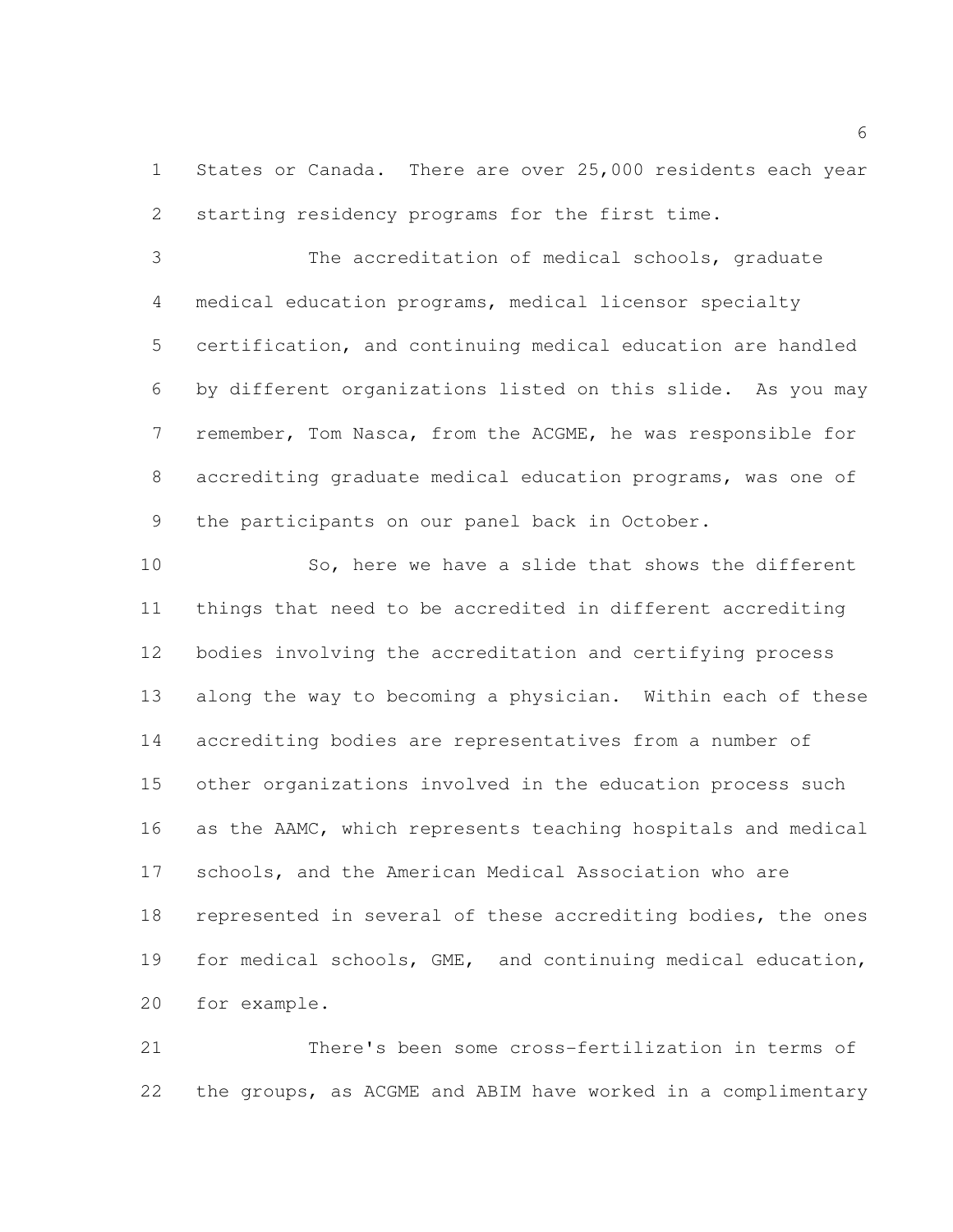1 States or Canada. There are over 25,000 residents each year starting residency programs for the first time.

 The accreditation of medical schools, graduate medical education programs, medical licensor specialty certification, and continuing medical education are handled by different organizations listed on this slide. As you may remember, Tom Nasca, from the ACGME, he was responsible for accrediting graduate medical education programs, was one of the participants on our panel back in October.

 So, here we have a slide that shows the different things that need to be accredited in different accrediting bodies involving the accreditation and certifying process along the way to becoming a physician. Within each of these accrediting bodies are representatives from a number of other organizations involved in the education process such as the AAMC, which represents teaching hospitals and medical schools, and the American Medical Association who are represented in several of these accrediting bodies, the ones for medical schools, GME, and continuing medical education, for example.

 There's been some cross-fertilization in terms of the groups, as ACGME and ABIM have worked in a complimentary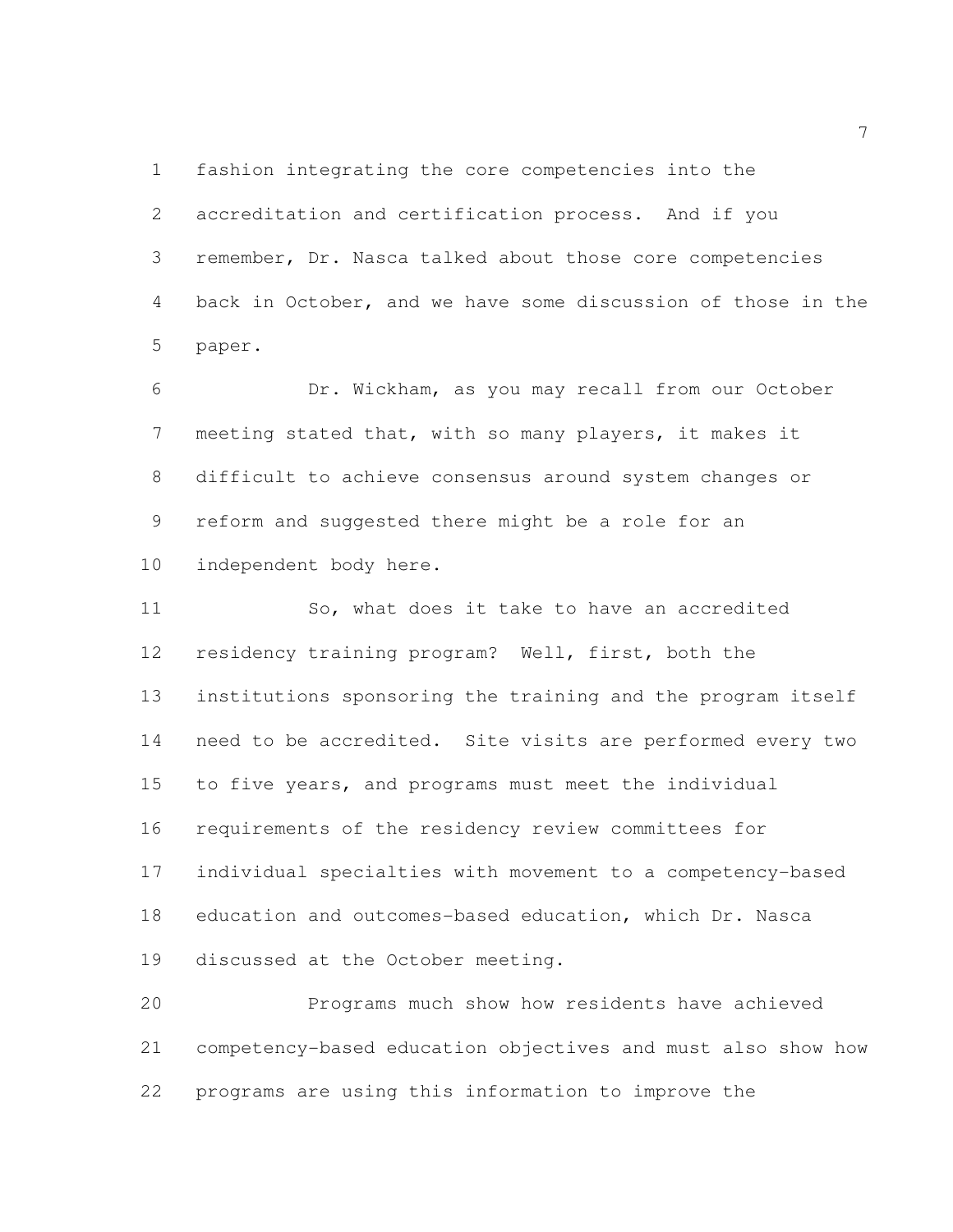fashion integrating the core competencies into the accreditation and certification process. And if you remember, Dr. Nasca talked about those core competencies back in October, and we have some discussion of those in the paper.

 Dr. Wickham, as you may recall from our October meeting stated that, with so many players, it makes it difficult to achieve consensus around system changes or reform and suggested there might be a role for an independent body here.

11 So, what does it take to have an accredited residency training program? Well, first, both the institutions sponsoring the training and the program itself need to be accredited. Site visits are performed every two to five years, and programs must meet the individual requirements of the residency review committees for individual specialties with movement to a competency-based education and outcomes-based education, which Dr. Nasca discussed at the October meeting.

 Programs much show how residents have achieved competency-based education objectives and must also show how programs are using this information to improve the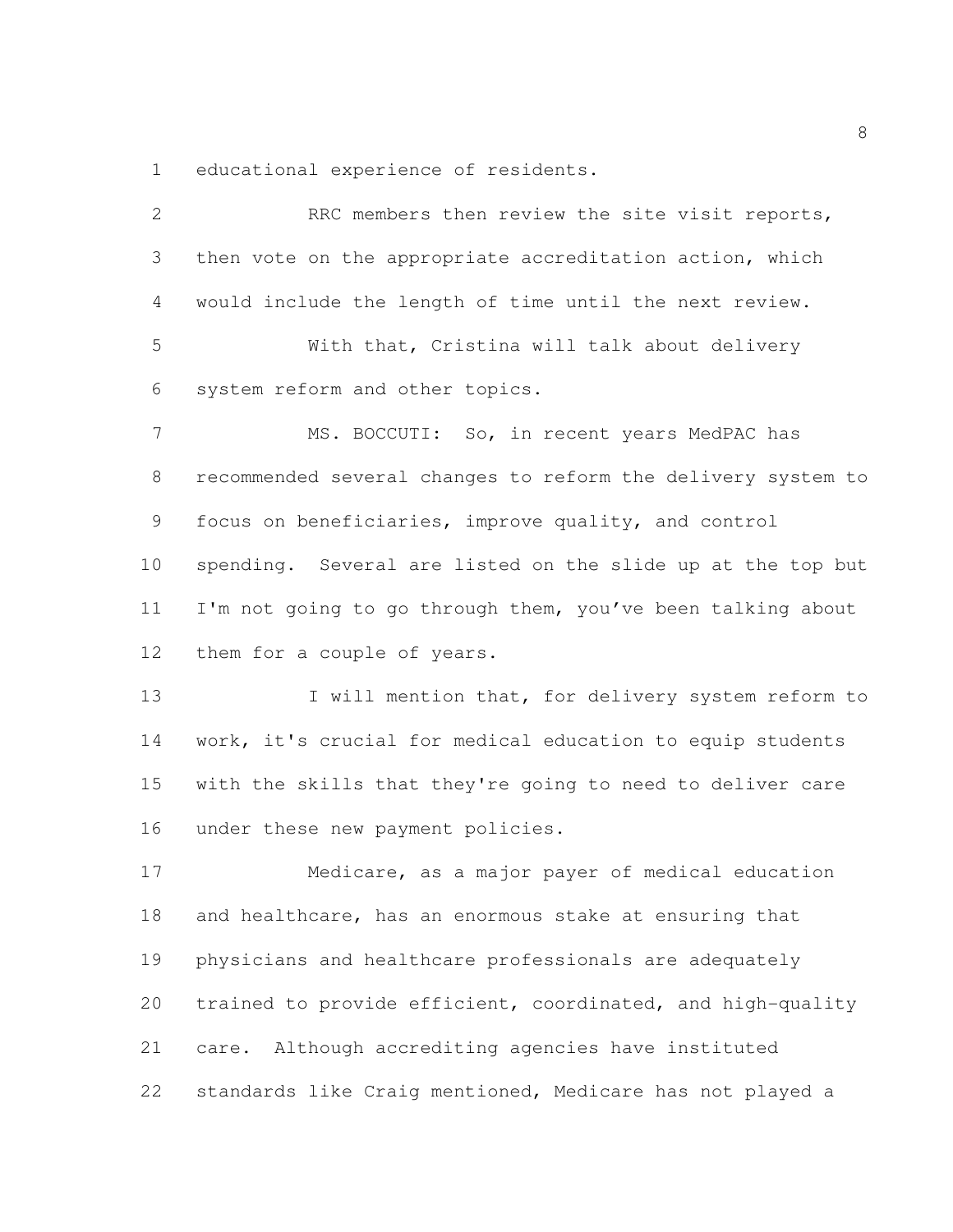educational experience of residents.

| $\mathbf{2}$   | RRC members then review the site visit reports,              |
|----------------|--------------------------------------------------------------|
| 3              | then vote on the appropriate accreditation action, which     |
| $\overline{4}$ | would include the length of time until the next review.      |
| 5              | With that, Cristina will talk about delivery                 |
| 6              | system reform and other topics.                              |
| $\overline{7}$ | MS. BOCCUTI: So, in recent years MedPAC has                  |
| 8              | recommended several changes to reform the delivery system to |
| 9              | focus on beneficiaries, improve quality, and control         |
| 10             | spending. Several are listed on the slide up at the top but  |
| 11             | I'm not going to go through them, you've been talking about  |
| 12             | them for a couple of years.                                  |
| 13             | I will mention that, for delivery system reform to           |
| 14             | work, it's crucial for medical education to equip students   |
| 15             | with the skills that they're going to need to deliver care   |
| 16             | under these new payment policies.                            |
| 17             | Medicare, as a major payer of medical education              |
| 18             | and healthcare, has an enormous stake at ensuring that       |
| 19             | physicians and healthcare professionals are adequately       |
| 20             | trained to provide efficient, coordinated, and high-quality  |
| 21             | care. Although accrediting agencies have instituted          |
| 22             | standards like Craig mentioned, Medicare has not played a    |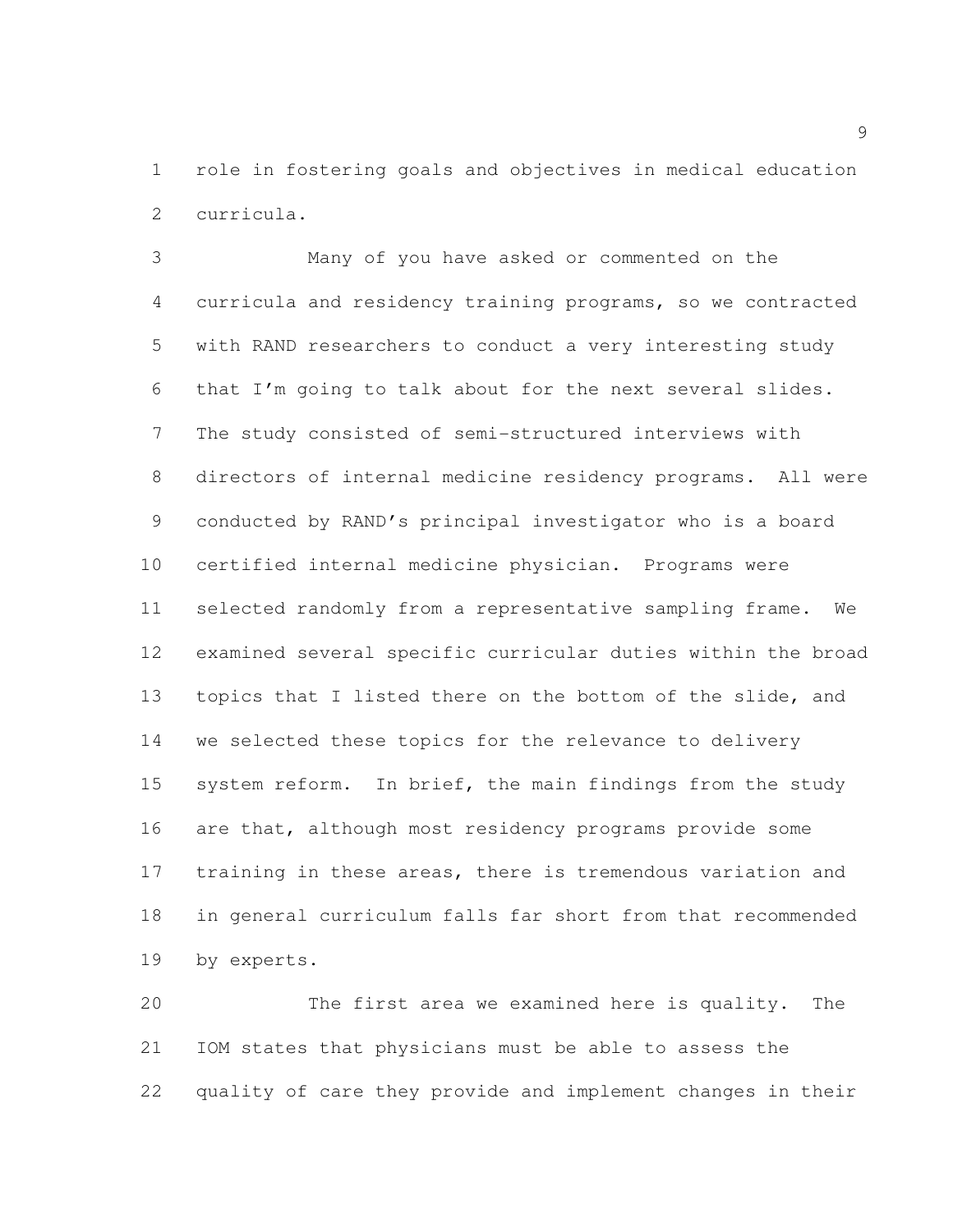role in fostering goals and objectives in medical education curricula.

 Many of you have asked or commented on the curricula and residency training programs, so we contracted with RAND researchers to conduct a very interesting study that I'm going to talk about for the next several slides. The study consisted of semi-structured interviews with directors of internal medicine residency programs. All were conducted by RAND's principal investigator who is a board certified internal medicine physician. Programs were selected randomly from a representative sampling frame. We examined several specific curricular duties within the broad 13 topics that I listed there on the bottom of the slide, and we selected these topics for the relevance to delivery 15 system reform. In brief, the main findings from the study are that, although most residency programs provide some training in these areas, there is tremendous variation and in general curriculum falls far short from that recommended by experts.

 The first area we examined here is quality. The IOM states that physicians must be able to assess the quality of care they provide and implement changes in their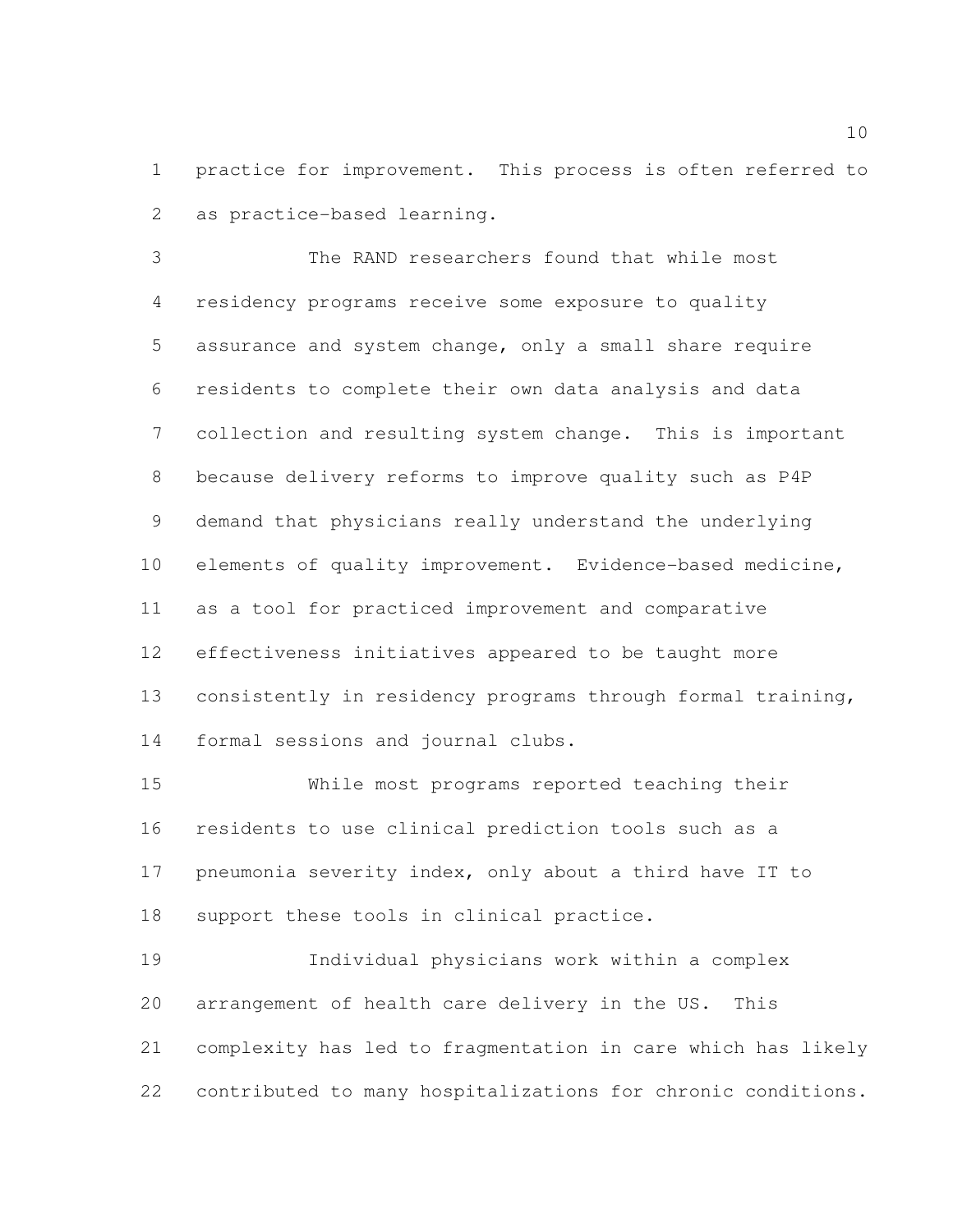practice for improvement. This process is often referred to as practice-based learning.

 The RAND researchers found that while most residency programs receive some exposure to quality assurance and system change, only a small share require residents to complete their own data analysis and data collection and resulting system change. This is important because delivery reforms to improve quality such as P4P demand that physicians really understand the underlying elements of quality improvement. Evidence-based medicine, as a tool for practiced improvement and comparative effectiveness initiatives appeared to be taught more consistently in residency programs through formal training, formal sessions and journal clubs.

 While most programs reported teaching their residents to use clinical prediction tools such as a pneumonia severity index, only about a third have IT to support these tools in clinical practice.

 Individual physicians work within a complex arrangement of health care delivery in the US. This complexity has led to fragmentation in care which has likely contributed to many hospitalizations for chronic conditions.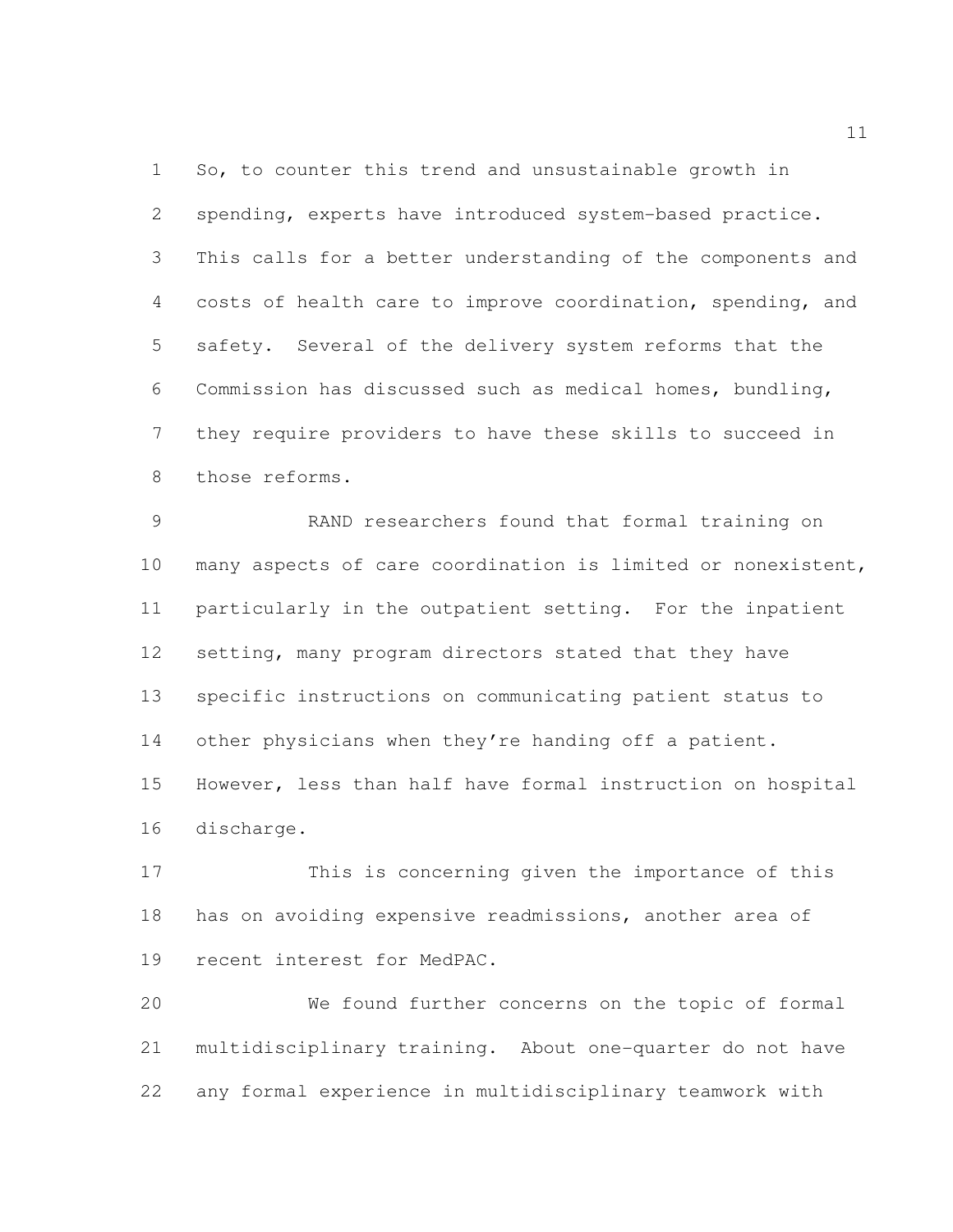So, to counter this trend and unsustainable growth in spending, experts have introduced system-based practice. This calls for a better understanding of the components and costs of health care to improve coordination, spending, and safety. Several of the delivery system reforms that the Commission has discussed such as medical homes, bundling, they require providers to have these skills to succeed in those reforms.

 RAND researchers found that formal training on many aspects of care coordination is limited or nonexistent, particularly in the outpatient setting. For the inpatient setting, many program directors stated that they have specific instructions on communicating patient status to 14 other physicians when they're handing off a patient. However, less than half have formal instruction on hospital discharge.

 This is concerning given the importance of this has on avoiding expensive readmissions, another area of recent interest for MedPAC.

 We found further concerns on the topic of formal multidisciplinary training. About one-quarter do not have any formal experience in multidisciplinary teamwork with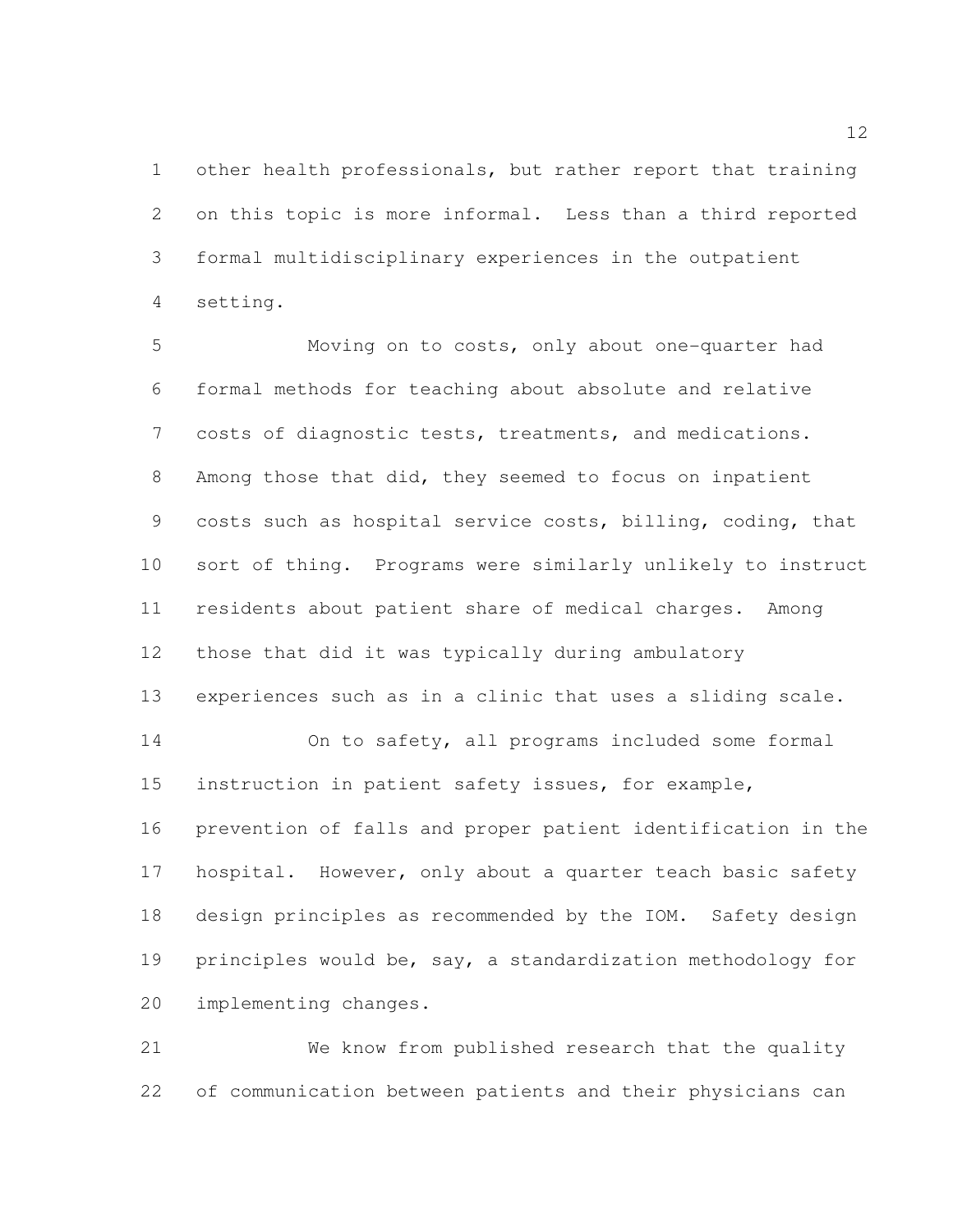other health professionals, but rather report that training on this topic is more informal. Less than a third reported formal multidisciplinary experiences in the outpatient setting.

 Moving on to costs, only about one-quarter had formal methods for teaching about absolute and relative costs of diagnostic tests, treatments, and medications. Among those that did, they seemed to focus on inpatient costs such as hospital service costs, billing, coding, that sort of thing. Programs were similarly unlikely to instruct residents about patient share of medical charges. Among those that did it was typically during ambulatory experiences such as in a clinic that uses a sliding scale. On to safety, all programs included some formal instruction in patient safety issues, for example, prevention of falls and proper patient identification in the 17 hospital. However, only about a quarter teach basic safety design principles as recommended by the IOM. Safety design principles would be, say, a standardization methodology for implementing changes.

 We know from published research that the quality of communication between patients and their physicians can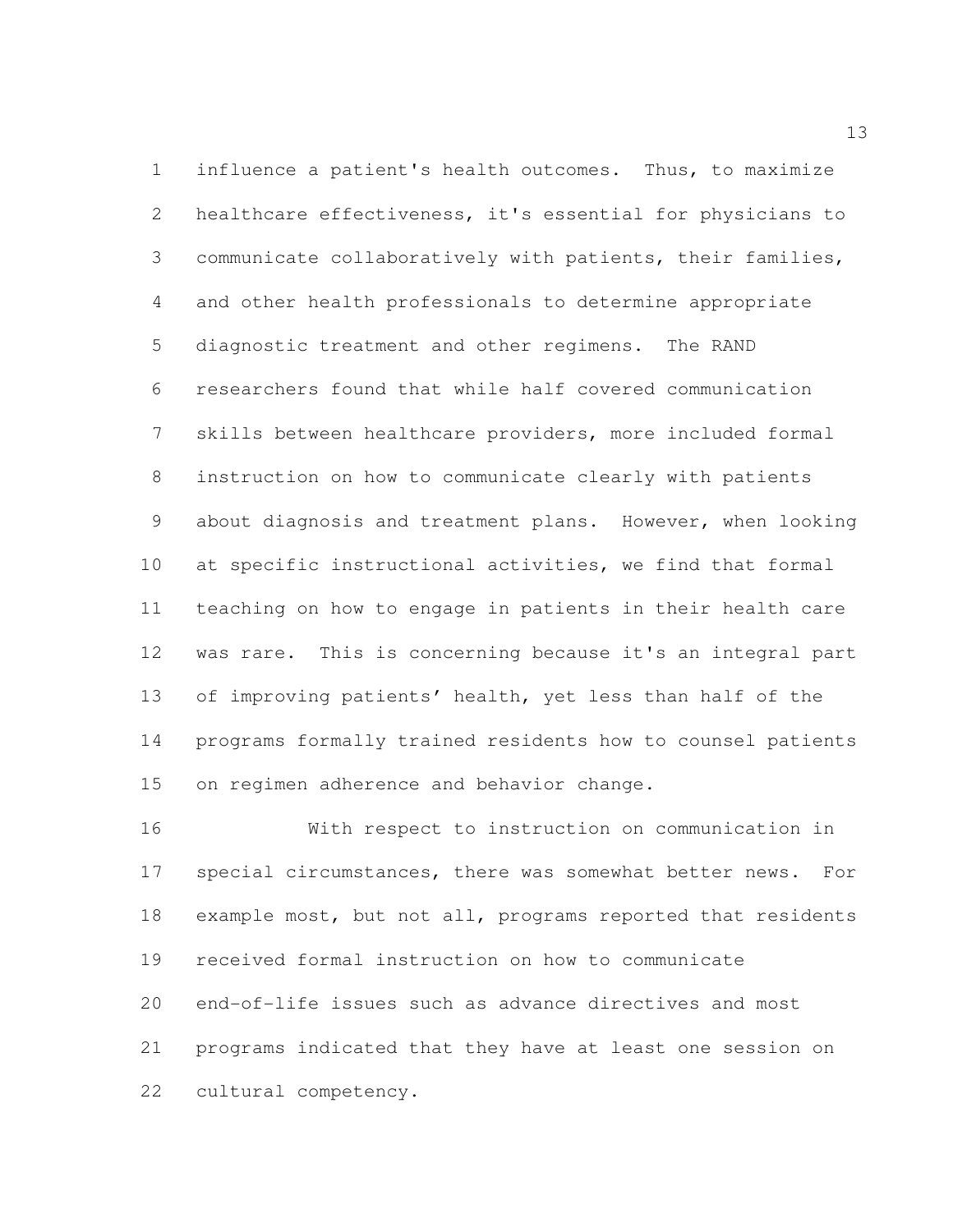influence a patient's health outcomes. Thus, to maximize healthcare effectiveness, it's essential for physicians to communicate collaboratively with patients, their families, and other health professionals to determine appropriate diagnostic treatment and other regimens. The RAND researchers found that while half covered communication skills between healthcare providers, more included formal instruction on how to communicate clearly with patients about diagnosis and treatment plans. However, when looking at specific instructional activities, we find that formal teaching on how to engage in patients in their health care was rare. This is concerning because it's an integral part of improving patients' health, yet less than half of the programs formally trained residents how to counsel patients on regimen adherence and behavior change.

 With respect to instruction on communication in special circumstances, there was somewhat better news. For example most, but not all, programs reported that residents received formal instruction on how to communicate end-of-life issues such as advance directives and most programs indicated that they have at least one session on cultural competency.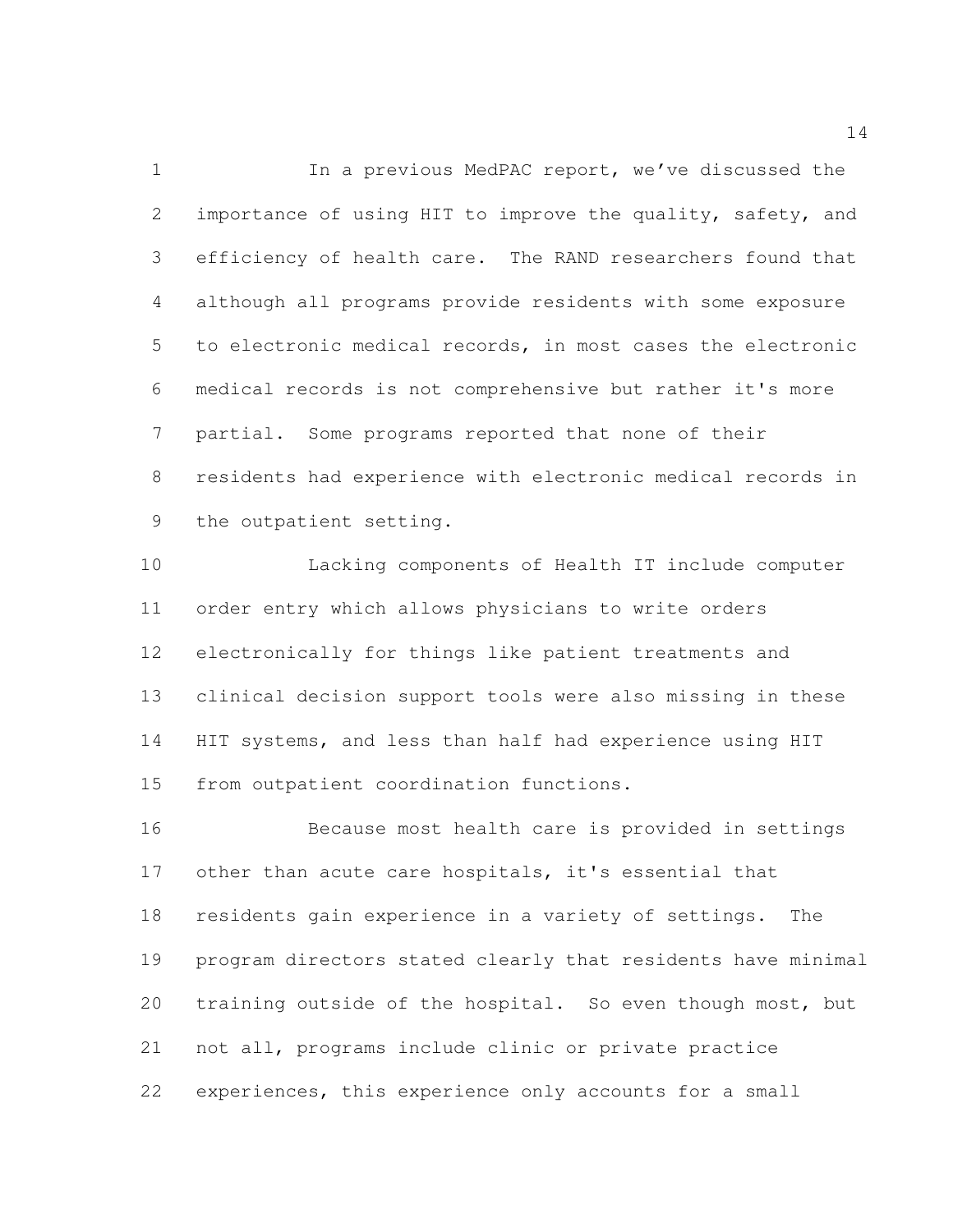1 In a previous MedPAC report, we've discussed the 2 importance of using HIT to improve the quality, safety, and efficiency of health care. The RAND researchers found that although all programs provide residents with some exposure to electronic medical records, in most cases the electronic medical records is not comprehensive but rather it's more partial. Some programs reported that none of their residents had experience with electronic medical records in the outpatient setting.

 Lacking components of Health IT include computer order entry which allows physicians to write orders electronically for things like patient treatments and clinical decision support tools were also missing in these HIT systems, and less than half had experience using HIT from outpatient coordination functions.

 Because most health care is provided in settings other than acute care hospitals, it's essential that residents gain experience in a variety of settings. The program directors stated clearly that residents have minimal training outside of the hospital. So even though most, but not all, programs include clinic or private practice experiences, this experience only accounts for a small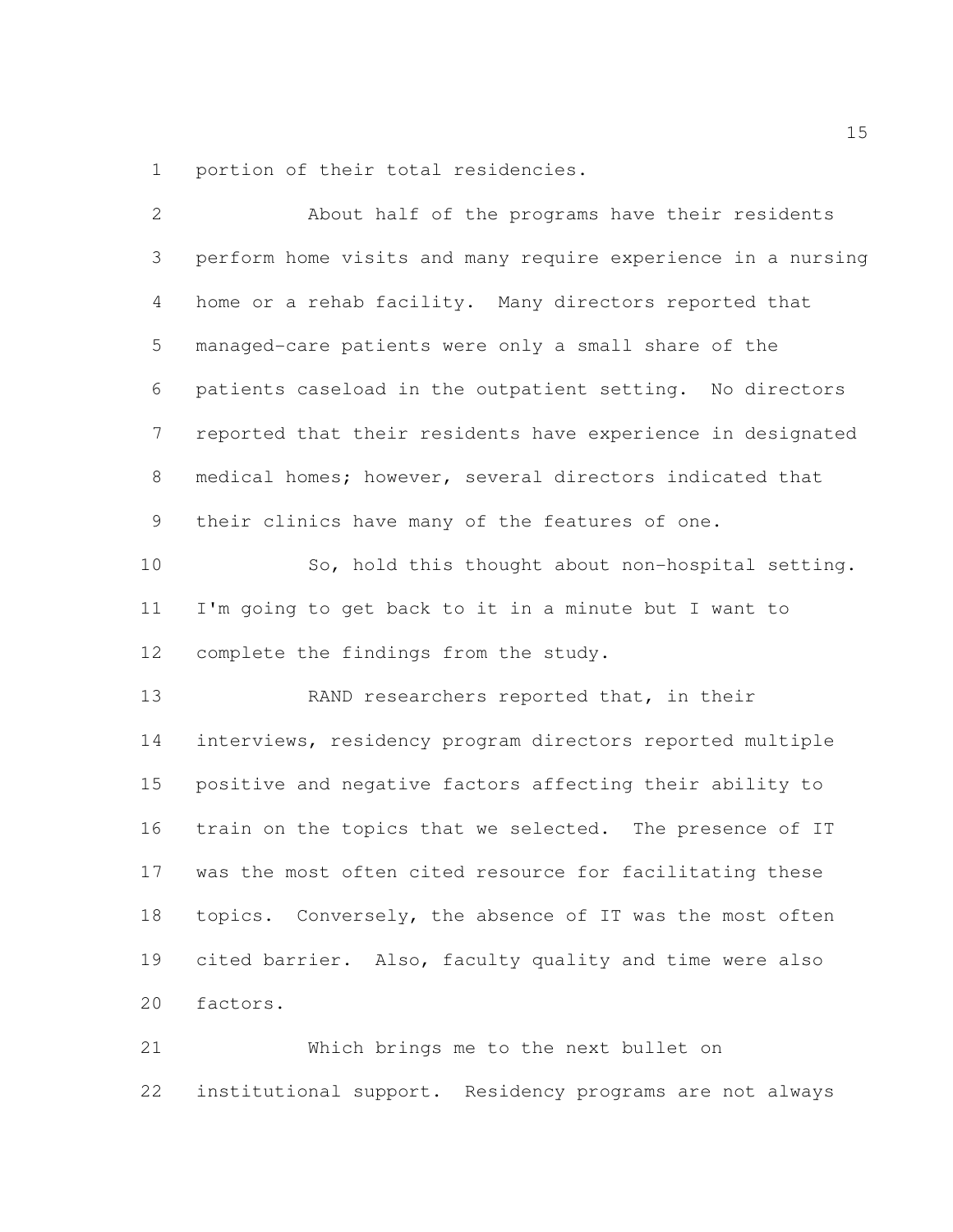portion of their total residencies.

| $\overline{2}$ | About half of the programs have their residents              |
|----------------|--------------------------------------------------------------|
| 3              | perform home visits and many require experience in a nursing |
| $\overline{4}$ | home or a rehab facility. Many directors reported that       |
| 5              | managed-care patients were only a small share of the         |
| 6              | patients caseload in the outpatient setting. No directors    |
| $7\phantom{.}$ | reported that their residents have experience in designated  |
| 8              | medical homes; however, several directors indicated that     |
| 9              | their clinics have many of the features of one.              |
| 10             | So, hold this thought about non-hospital setting.            |
| 11             | I'm going to get back to it in a minute but I want to        |
| 12             | complete the findings from the study.                        |
| 13             | RAND researchers reported that, in their                     |
| 14             | interviews, residency program directors reported multiple    |
| 15             | positive and negative factors affecting their ability to     |
| 16             | train on the topics that we selected. The presence of IT     |
| 17             | was the most often cited resource for facilitating these     |
| 18             | topics. Conversely, the absence of IT was the most often     |
| 19             | cited barrier. Also, faculty quality and time were also      |
| 20             | factors.                                                     |
| 21             | Which brings me to the next bullet on                        |

institutional support. Residency programs are not always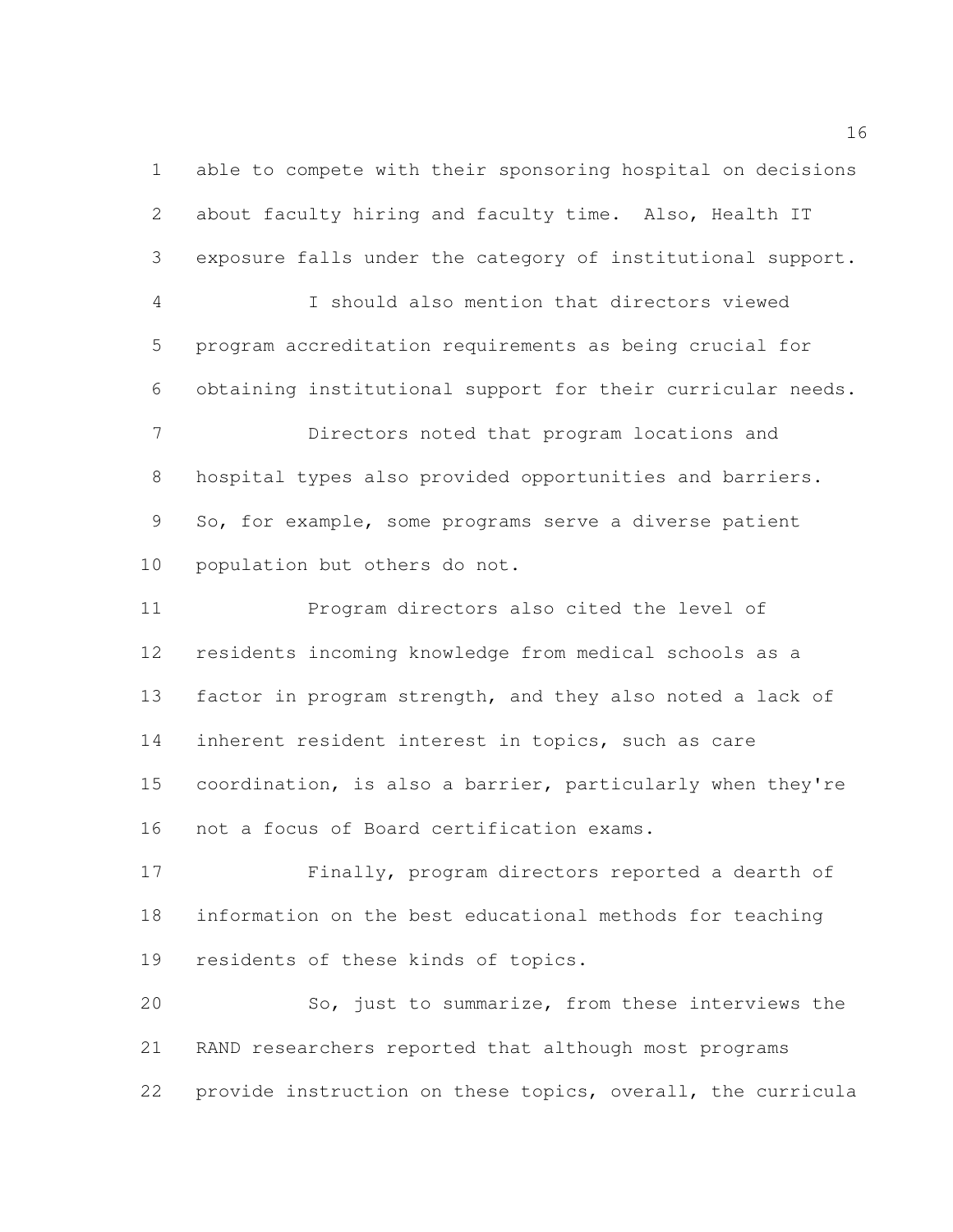able to compete with their sponsoring hospital on decisions about faculty hiring and faculty time. Also, Health IT exposure falls under the category of institutional support. I should also mention that directors viewed program accreditation requirements as being crucial for obtaining institutional support for their curricular needs. Directors noted that program locations and hospital types also provided opportunities and barriers. So, for example, some programs serve a diverse patient population but others do not. Program directors also cited the level of residents incoming knowledge from medical schools as a factor in program strength, and they also noted a lack of inherent resident interest in topics, such as care coordination, is also a barrier, particularly when they're not a focus of Board certification exams. Finally, program directors reported a dearth of

 information on the best educational methods for teaching residents of these kinds of topics.

 So, just to summarize, from these interviews the RAND researchers reported that although most programs provide instruction on these topics, overall, the curricula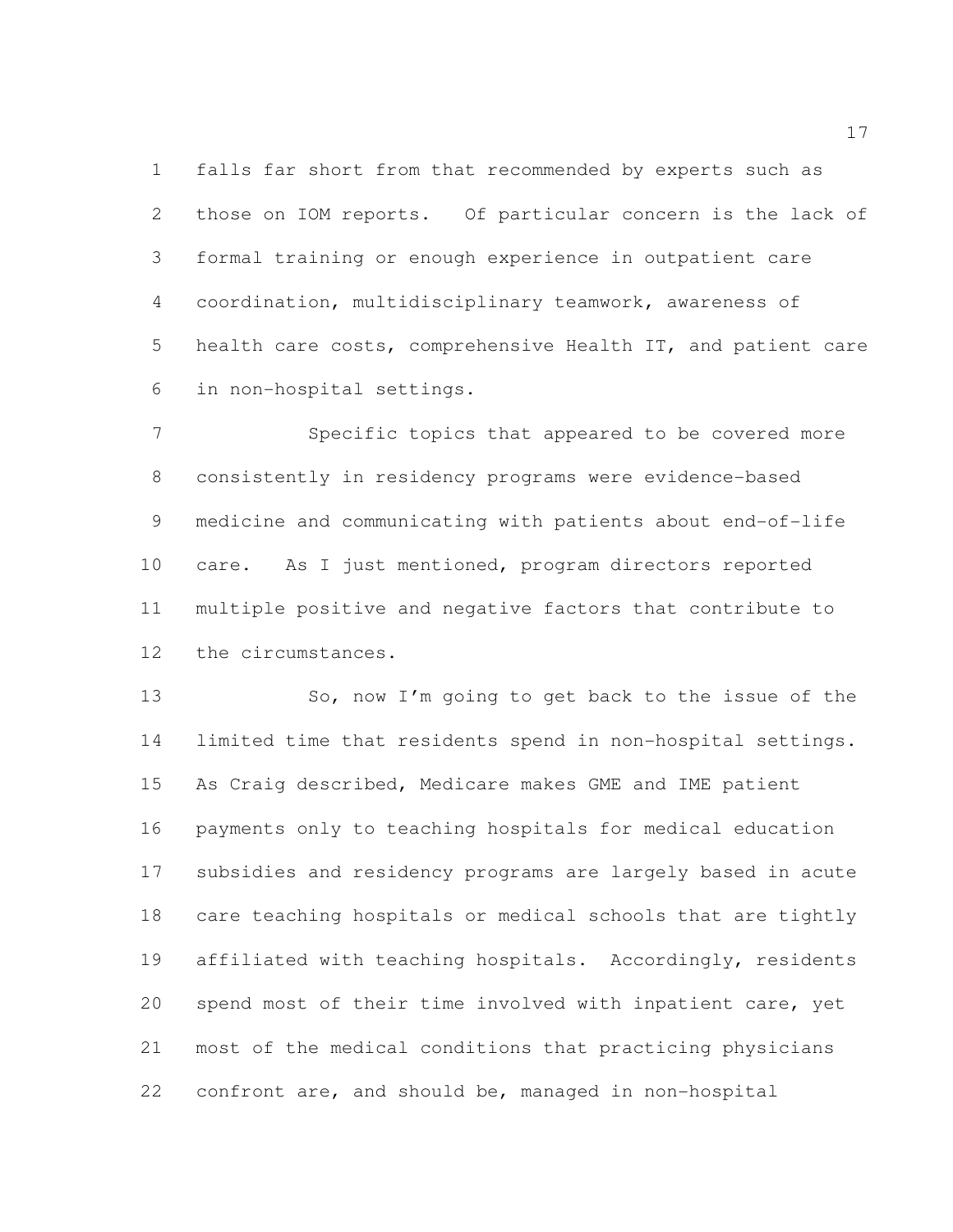falls far short from that recommended by experts such as those on IOM reports. Of particular concern is the lack of formal training or enough experience in outpatient care coordination, multidisciplinary teamwork, awareness of health care costs, comprehensive Health IT, and patient care in non-hospital settings.

 Specific topics that appeared to be covered more consistently in residency programs were evidence-based medicine and communicating with patients about end-of-life care. As I just mentioned, program directors reported multiple positive and negative factors that contribute to the circumstances.

13 So, now I'm going to get back to the issue of the limited time that residents spend in non-hospital settings. As Craig described, Medicare makes GME and IME patient payments only to teaching hospitals for medical education subsidies and residency programs are largely based in acute care teaching hospitals or medical schools that are tightly affiliated with teaching hospitals. Accordingly, residents spend most of their time involved with inpatient care, yet most of the medical conditions that practicing physicians confront are, and should be, managed in non-hospital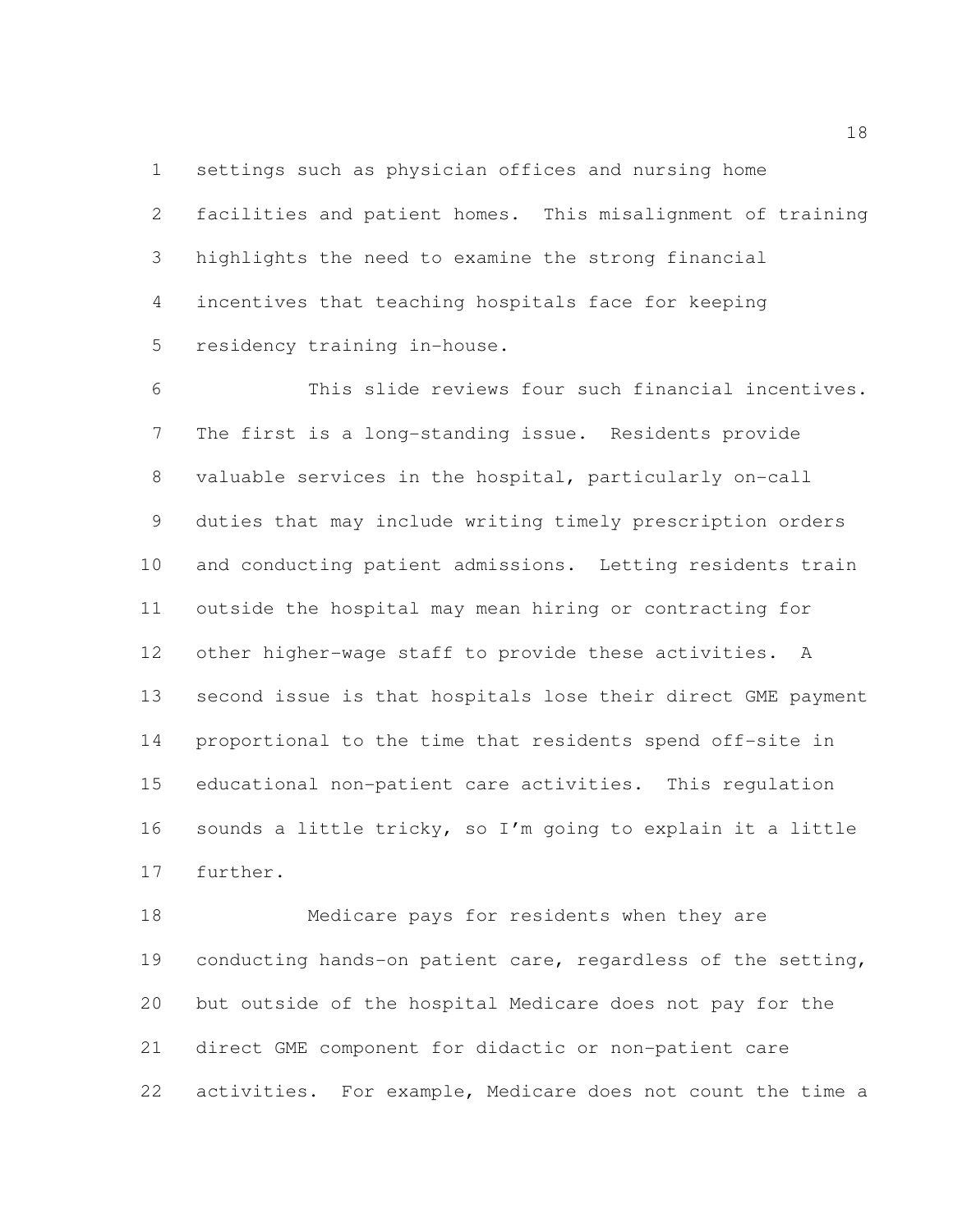settings such as physician offices and nursing home

 facilities and patient homes. This misalignment of training highlights the need to examine the strong financial incentives that teaching hospitals face for keeping residency training in-house.

 This slide reviews four such financial incentives. The first is a long-standing issue. Residents provide valuable services in the hospital, particularly on-call duties that may include writing timely prescription orders and conducting patient admissions. Letting residents train outside the hospital may mean hiring or contracting for other higher-wage staff to provide these activities. A second issue is that hospitals lose their direct GME payment proportional to the time that residents spend off-site in educational non-patient care activities. This regulation sounds a little tricky, so I'm going to explain it a little further.

 Medicare pays for residents when they are conducting hands-on patient care, regardless of the setting, but outside of the hospital Medicare does not pay for the direct GME component for didactic or non-patient care activities. For example, Medicare does not count the time a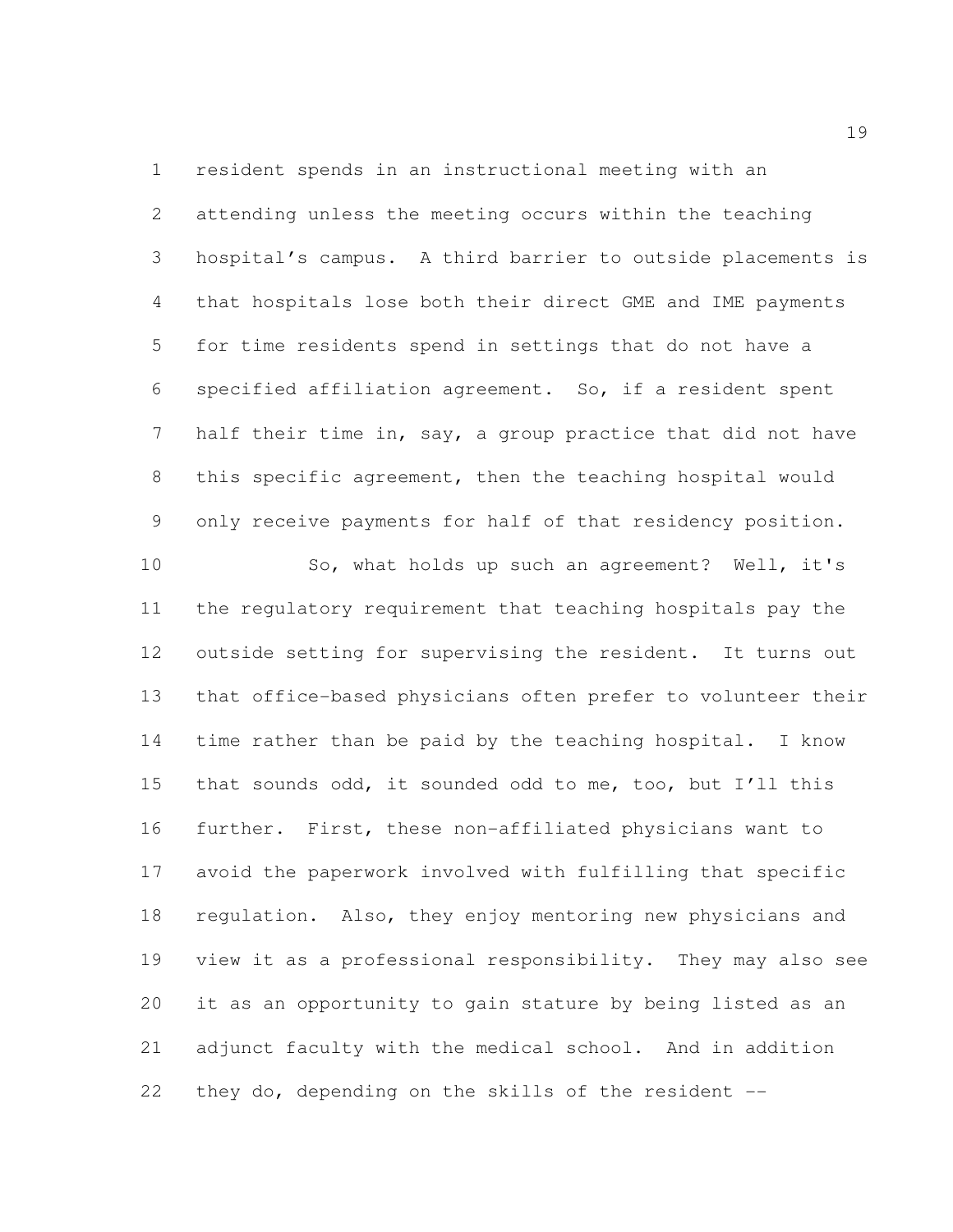resident spends in an instructional meeting with an attending unless the meeting occurs within the teaching hospital's campus. A third barrier to outside placements is that hospitals lose both their direct GME and IME payments for time residents spend in settings that do not have a specified affiliation agreement. So, if a resident spent 7 half their time in, say, a group practice that did not have this specific agreement, then the teaching hospital would only receive payments for half of that residency position. So, what holds up such an agreement? Well, it's the regulatory requirement that teaching hospitals pay the outside setting for supervising the resident. It turns out that office-based physicians often prefer to volunteer their time rather than be paid by the teaching hospital. I know that sounds odd, it sounded odd to me, too, but I'll this further. First, these non-affiliated physicians want to avoid the paperwork involved with fulfilling that specific regulation. Also, they enjoy mentoring new physicians and view it as a professional responsibility. They may also see it as an opportunity to gain stature by being listed as an adjunct faculty with the medical school. And in addition they do, depending on the skills of the resident --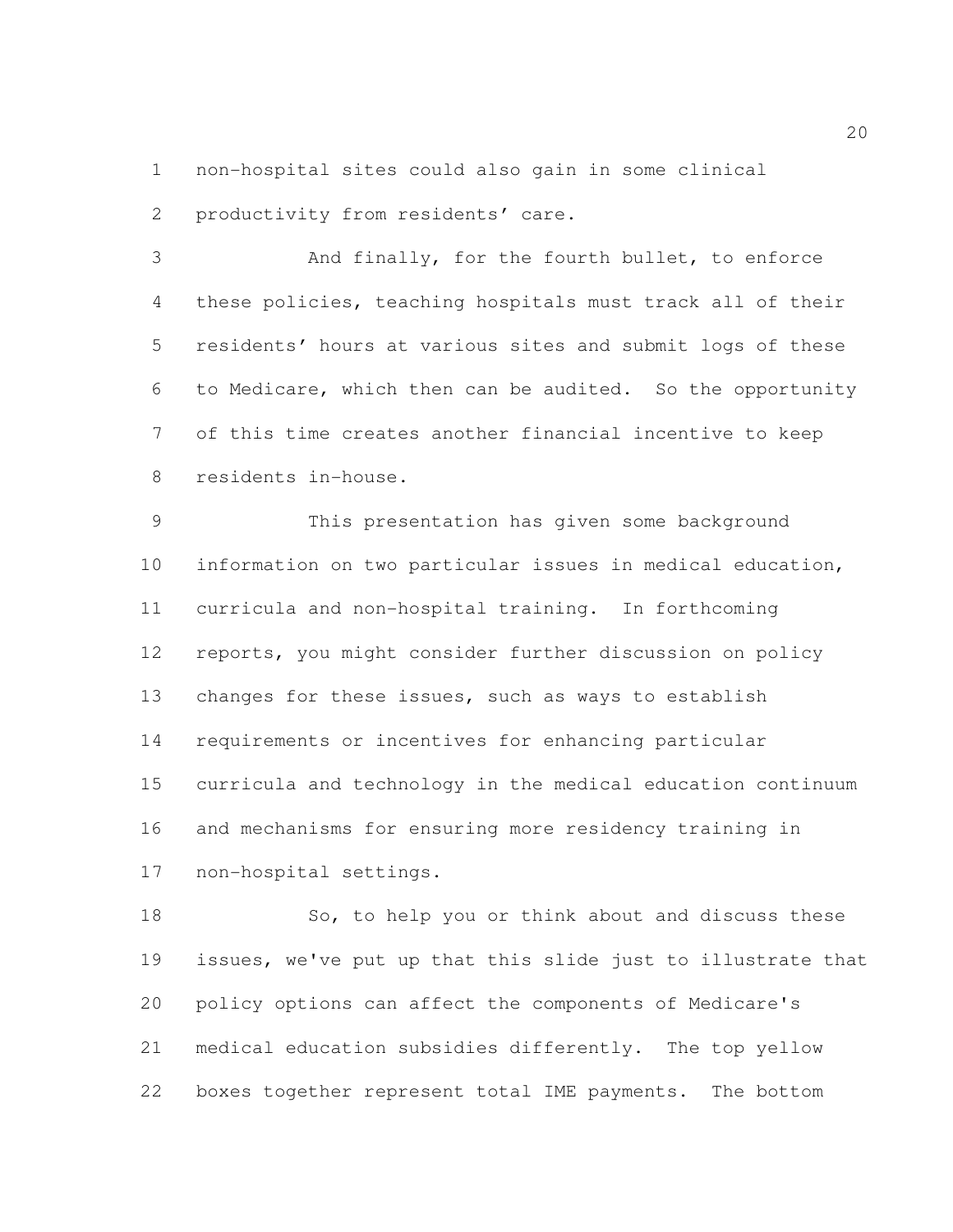non-hospital sites could also gain in some clinical productivity from residents' care.

 And finally, for the fourth bullet, to enforce these policies, teaching hospitals must track all of their residents' hours at various sites and submit logs of these to Medicare, which then can be audited. So the opportunity of this time creates another financial incentive to keep residents in-house.

 This presentation has given some background information on two particular issues in medical education, curricula and non-hospital training. In forthcoming reports, you might consider further discussion on policy changes for these issues, such as ways to establish requirements or incentives for enhancing particular curricula and technology in the medical education continuum and mechanisms for ensuring more residency training in non-hospital settings.

18 So, to help you or think about and discuss these issues, we've put up that this slide just to illustrate that policy options can affect the components of Medicare's medical education subsidies differently. The top yellow boxes together represent total IME payments. The bottom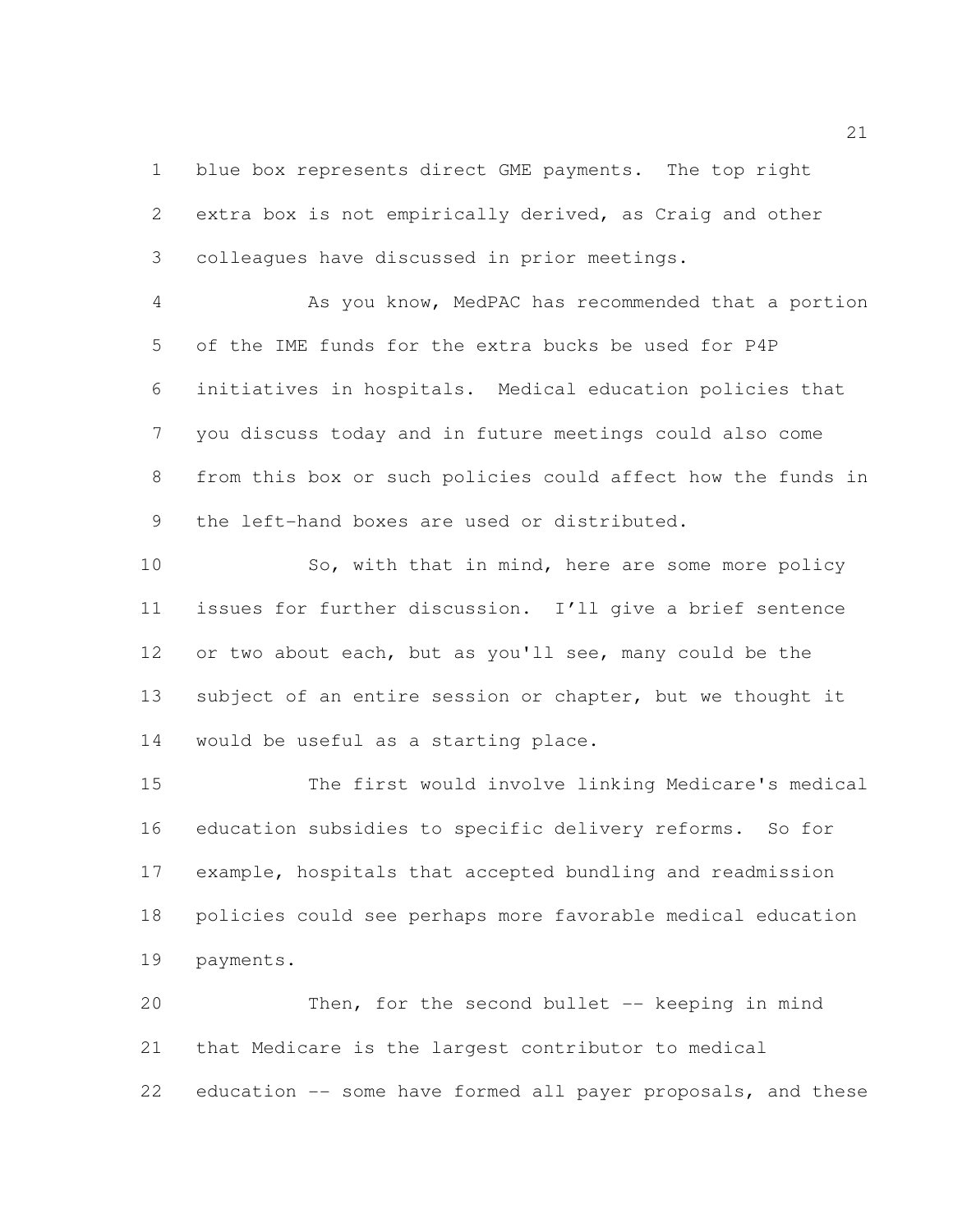blue box represents direct GME payments. The top right extra box is not empirically derived, as Craig and other colleagues have discussed in prior meetings.

 As you know, MedPAC has recommended that a portion of the IME funds for the extra bucks be used for P4P initiatives in hospitals. Medical education policies that you discuss today and in future meetings could also come from this box or such policies could affect how the funds in the left-hand boxes are used or distributed.

10 So, with that in mind, here are some more policy issues for further discussion. I'll give a brief sentence or two about each, but as you'll see, many could be the 13 subject of an entire session or chapter, but we thought it would be useful as a starting place.

 The first would involve linking Medicare's medical education subsidies to specific delivery reforms. So for example, hospitals that accepted bundling and readmission policies could see perhaps more favorable medical education payments.

 Then, for the second bullet -- keeping in mind that Medicare is the largest contributor to medical education -- some have formed all payer proposals, and these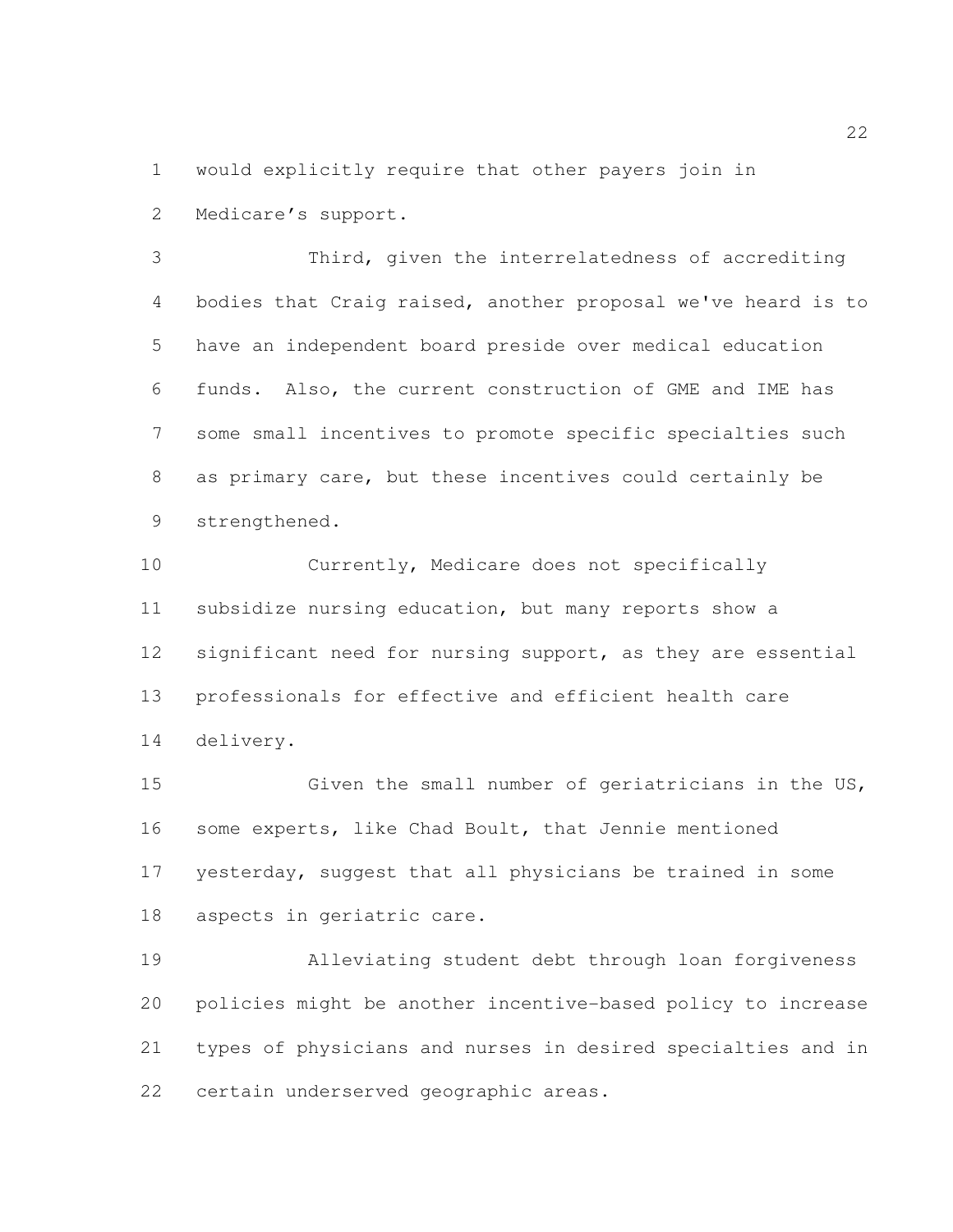would explicitly require that other payers join in Medicare's support.

 Third, given the interrelatedness of accrediting bodies that Craig raised, another proposal we've heard is to have an independent board preside over medical education funds. Also, the current construction of GME and IME has some small incentives to promote specific specialties such as primary care, but these incentives could certainly be strengthened.

 Currently, Medicare does not specifically subsidize nursing education, but many reports show a 12 significant need for nursing support, as they are essential professionals for effective and efficient health care delivery.

 Given the small number of geriatricians in the US, some experts, like Chad Boult, that Jennie mentioned yesterday, suggest that all physicians be trained in some aspects in geriatric care.

 Alleviating student debt through loan forgiveness policies might be another incentive-based policy to increase types of physicians and nurses in desired specialties and in certain underserved geographic areas.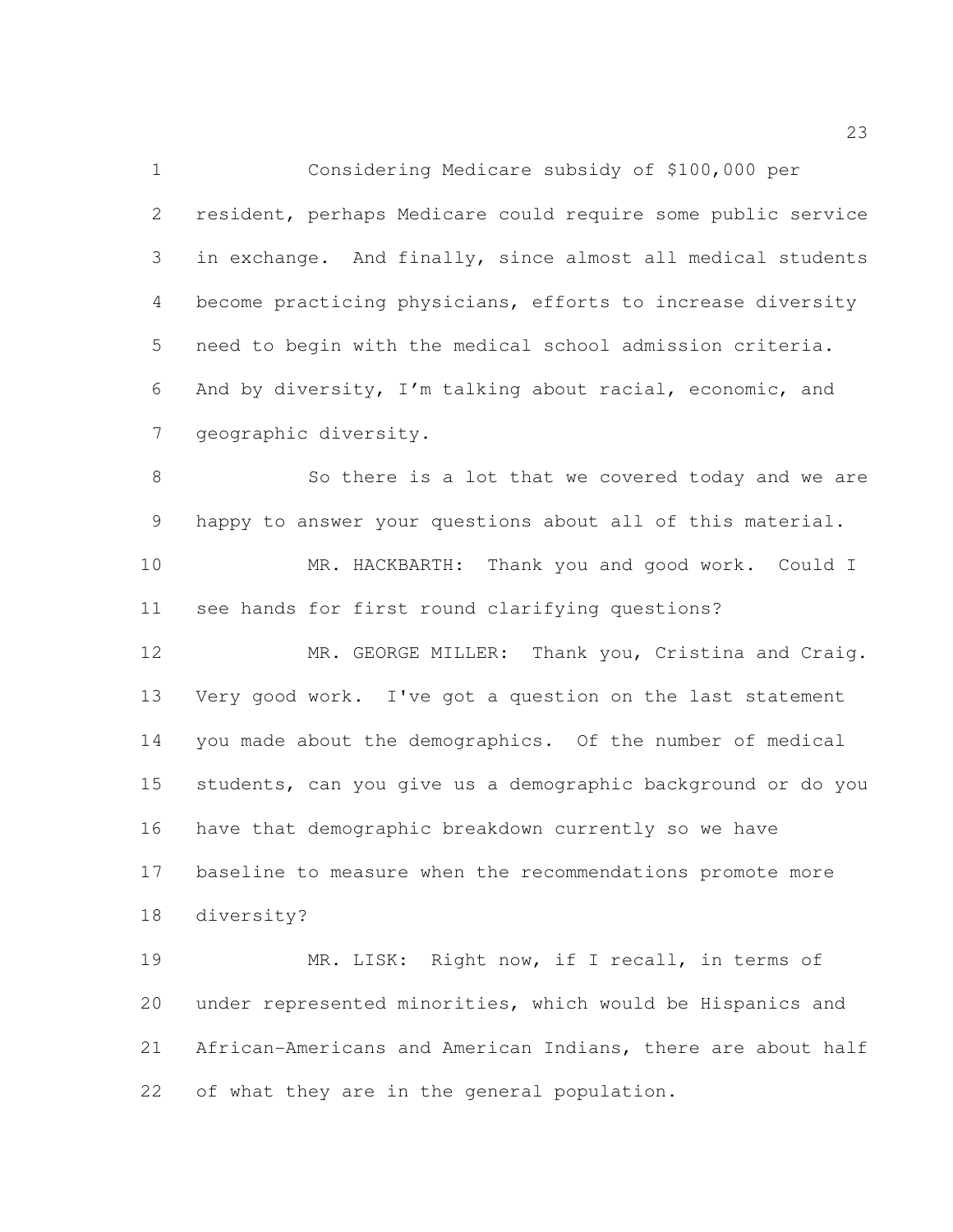Considering Medicare subsidy of \$100,000 per resident, perhaps Medicare could require some public service in exchange. And finally, since almost all medical students become practicing physicians, efforts to increase diversity need to begin with the medical school admission criteria. And by diversity, I'm talking about racial, economic, and geographic diversity.

 So there is a lot that we covered today and we are happy to answer your questions about all of this material. MR. HACKBARTH: Thank you and good work. Could I

see hands for first round clarifying questions?

 MR. GEORGE MILLER: Thank you, Cristina and Craig. Very good work. I've got a question on the last statement you made about the demographics. Of the number of medical students, can you give us a demographic background or do you have that demographic breakdown currently so we have baseline to measure when the recommendations promote more diversity?

 MR. LISK: Right now, if I recall, in terms of under represented minorities, which would be Hispanics and African-Americans and American Indians, there are about half of what they are in the general population.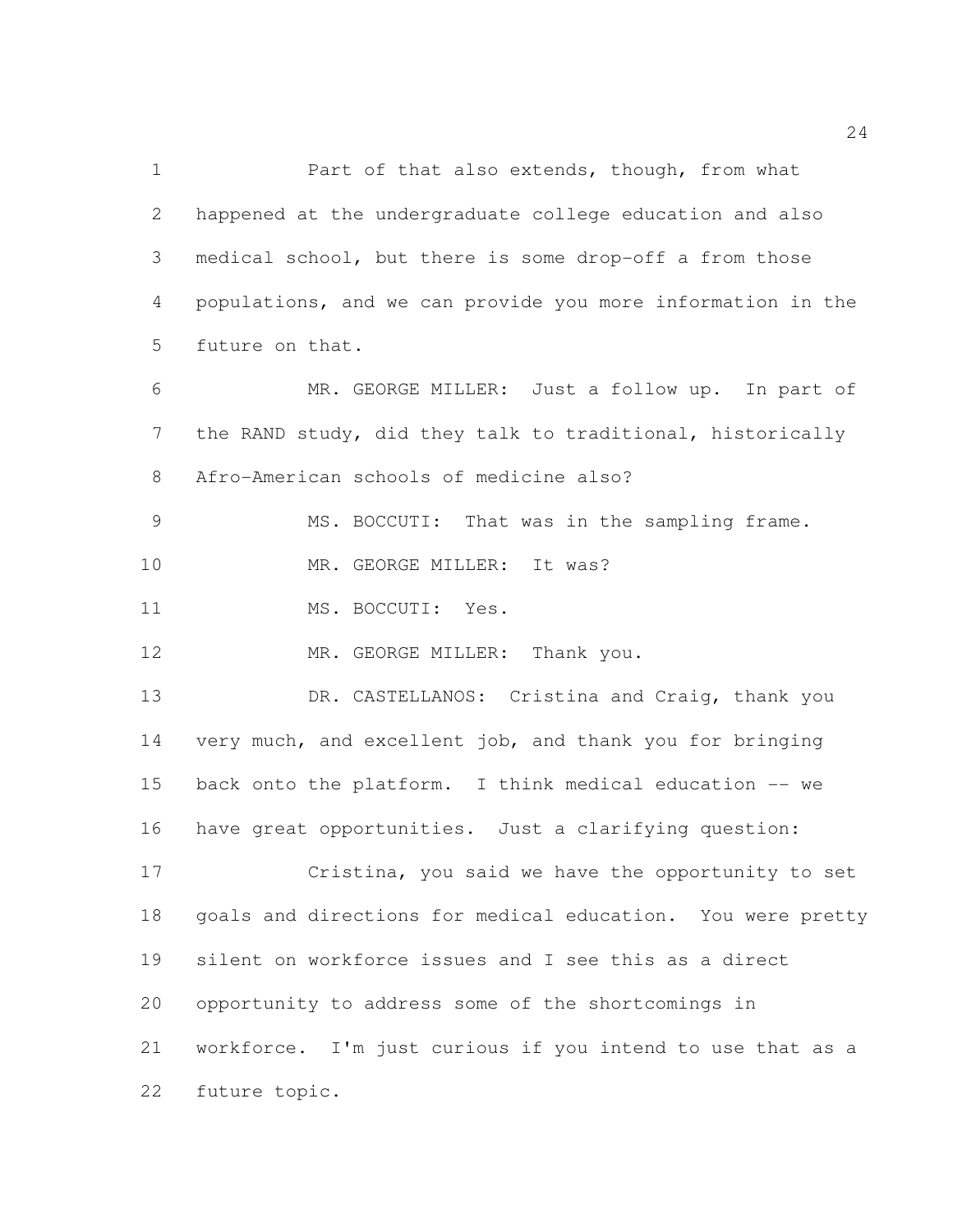1 Part of that also extends, though, from what happened at the undergraduate college education and also medical school, but there is some drop-off a from those populations, and we can provide you more information in the future on that. MR. GEORGE MILLER: Just a follow up. In part of the RAND study, did they talk to traditional, historically Afro-American schools of medicine also?

MS. BOCCUTI: That was in the sampling frame.

10 MR. GEORGE MILLER: It was?

11 MS. BOCCUTI: Yes.

12 MR. GEORGE MILLER: Thank you.

 DR. CASTELLANOS: Cristina and Craig, thank you very much, and excellent job, and thank you for bringing back onto the platform. I think medical education -- we have great opportunities. Just a clarifying question:

 Cristina, you said we have the opportunity to set goals and directions for medical education. You were pretty silent on workforce issues and I see this as a direct opportunity to address some of the shortcomings in workforce. I'm just curious if you intend to use that as a future topic.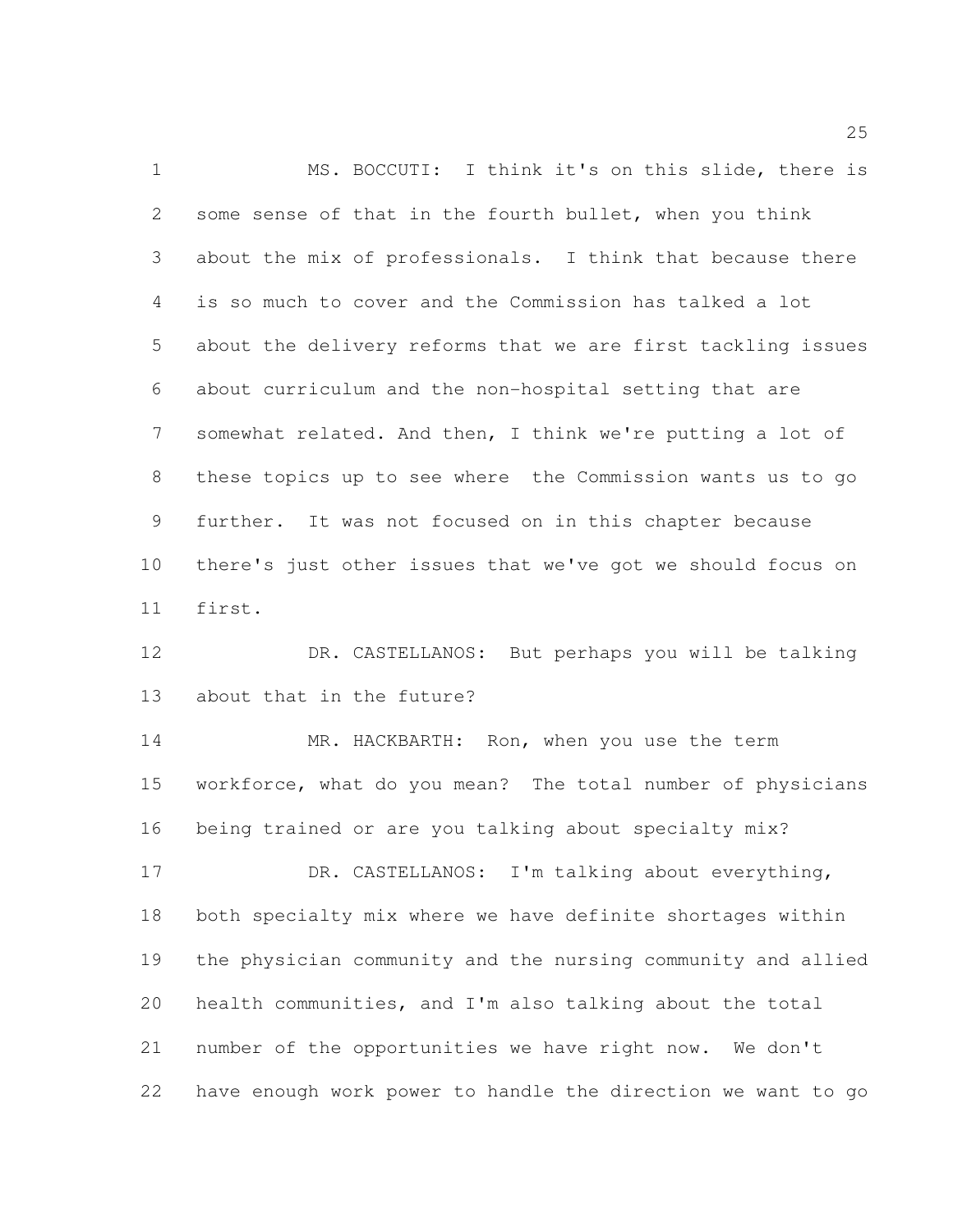MS. BOCCUTI: I think it's on this slide, there is some sense of that in the fourth bullet, when you think about the mix of professionals. I think that because there is so much to cover and the Commission has talked a lot about the delivery reforms that we are first tackling issues about curriculum and the non-hospital setting that are somewhat related. And then, I think we're putting a lot of these topics up to see where the Commission wants us to go further. It was not focused on in this chapter because there's just other issues that we've got we should focus on first.

 DR. CASTELLANOS: But perhaps you will be talking about that in the future?

14 MR. HACKBARTH: Ron, when you use the term workforce, what do you mean? The total number of physicians being trained or are you talking about specialty mix?

 DR. CASTELLANOS: I'm talking about everything, both specialty mix where we have definite shortages within the physician community and the nursing community and allied health communities, and I'm also talking about the total number of the opportunities we have right now. We don't have enough work power to handle the direction we want to go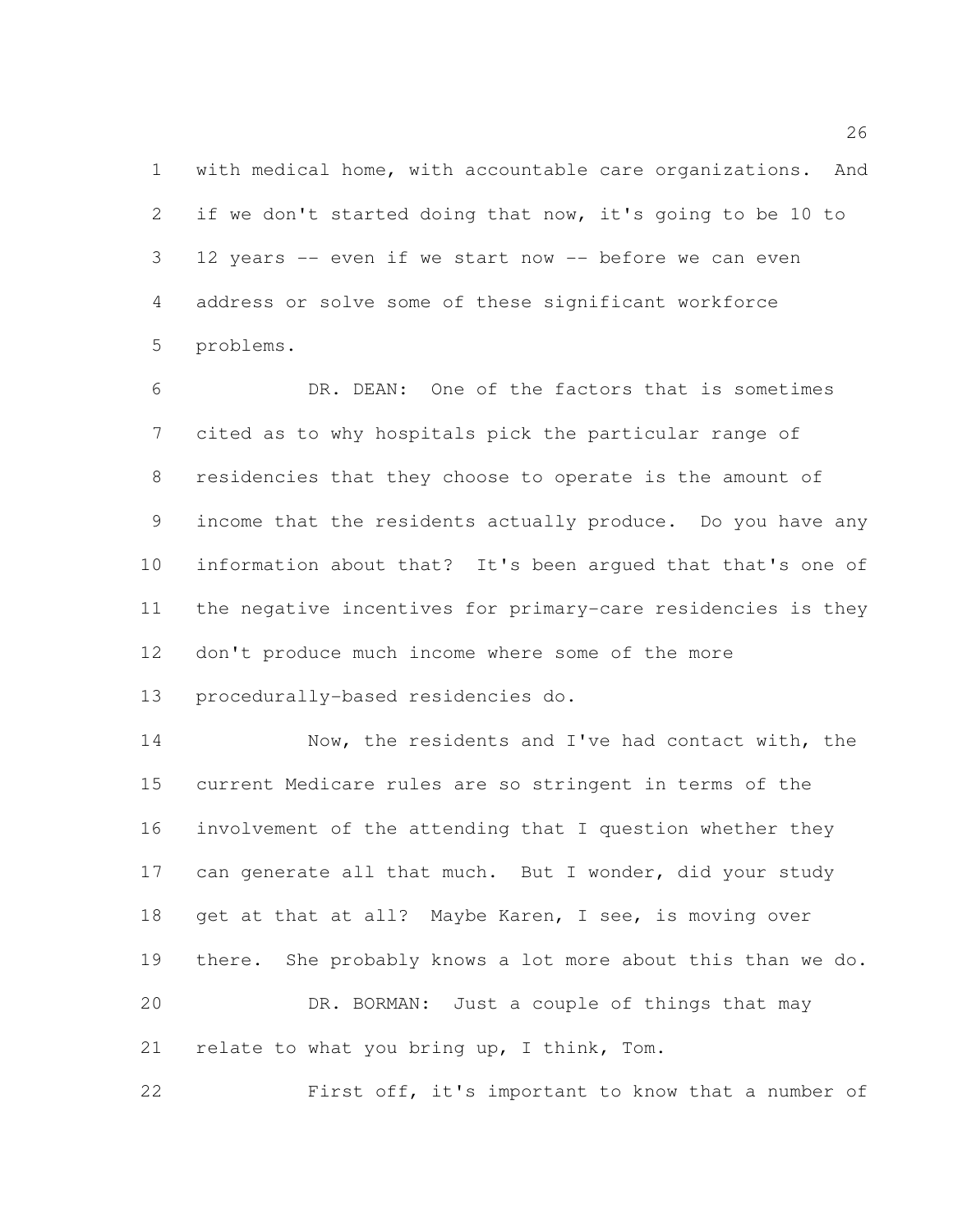with medical home, with accountable care organizations. And if we don't started doing that now, it's going to be 10 to 12 years -- even if we start now -- before we can even address or solve some of these significant workforce problems.

 DR. DEAN: One of the factors that is sometimes cited as to why hospitals pick the particular range of residencies that they choose to operate is the amount of income that the residents actually produce. Do you have any information about that? It's been argued that that's one of the negative incentives for primary-care residencies is they don't produce much income where some of the more procedurally-based residencies do.

14 Now, the residents and I've had contact with, the current Medicare rules are so stringent in terms of the involvement of the attending that I question whether they 17 can generate all that much. But I wonder, did your study 18 get at that at all? Maybe Karen, I see, is moving over there. She probably knows a lot more about this than we do. DR. BORMAN: Just a couple of things that may 21 relate to what you bring up, I think, Tom.

First off, it's important to know that a number of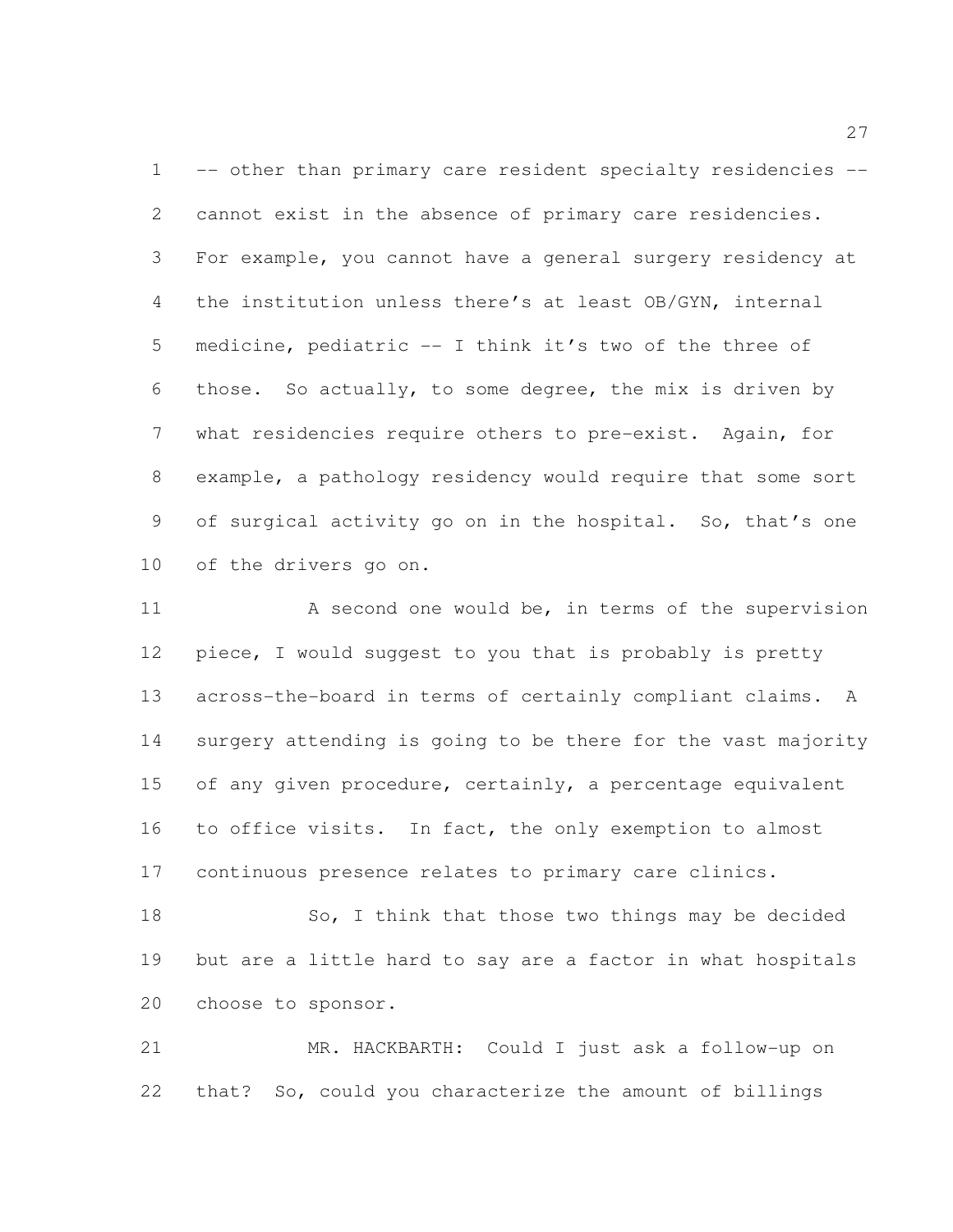-- other than primary care resident specialty residencies -- cannot exist in the absence of primary care residencies. For example, you cannot have a general surgery residency at the institution unless there's at least OB/GYN, internal medicine, pediatric -- I think it's two of the three of those. So actually, to some degree, the mix is driven by what residencies require others to pre-exist. Again, for example, a pathology residency would require that some sort of surgical activity go on in the hospital. So, that's one of the drivers go on.

11 A second one would be, in terms of the supervision piece, I would suggest to you that is probably is pretty across-the-board in terms of certainly compliant claims. A surgery attending is going to be there for the vast majority 15 of any given procedure, certainly, a percentage equivalent to office visits. In fact, the only exemption to almost continuous presence relates to primary care clinics.

18 So, I think that those two things may be decided but are a little hard to say are a factor in what hospitals choose to sponsor.

 MR. HACKBARTH: Could I just ask a follow-up on that? So, could you characterize the amount of billings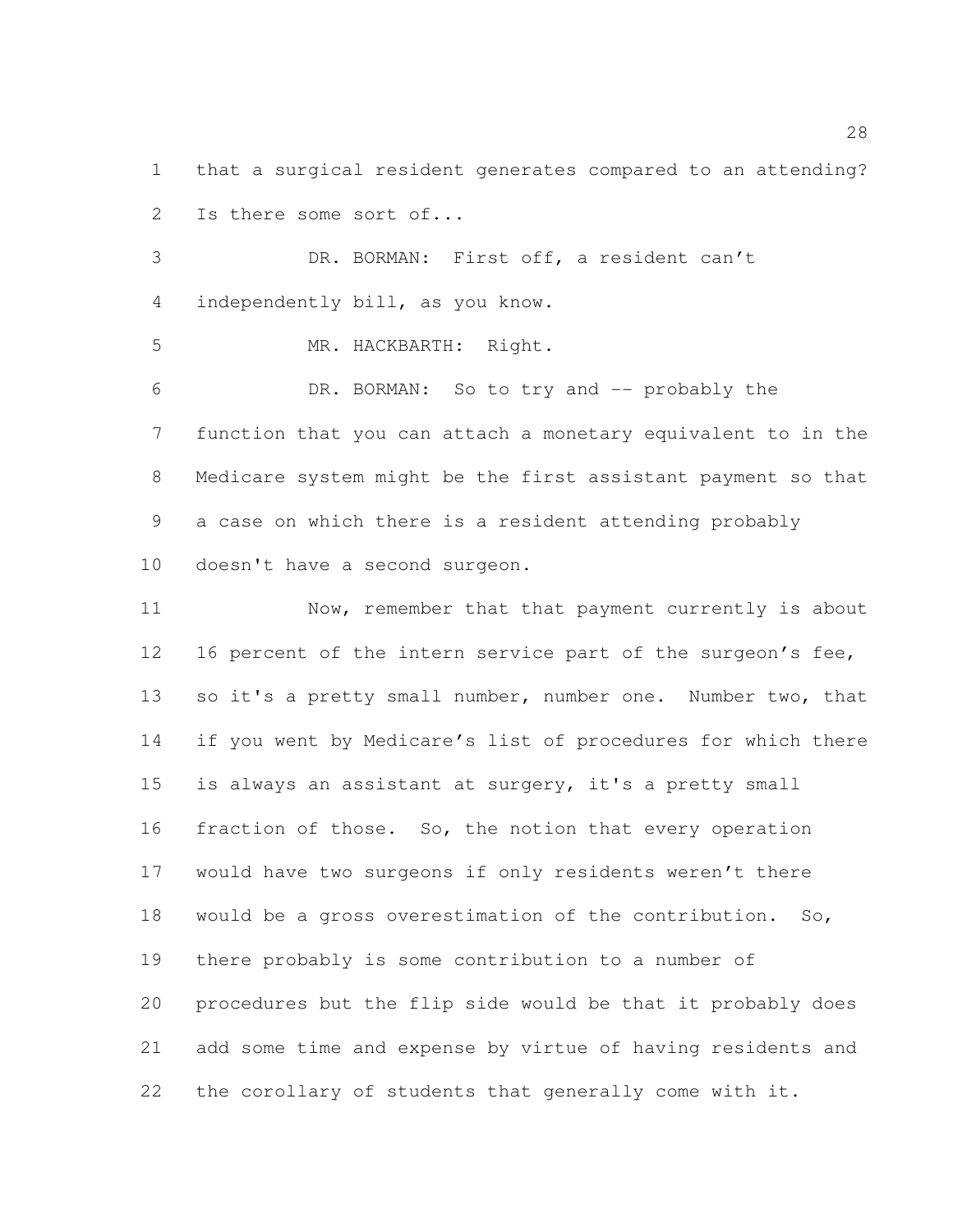that a surgical resident generates compared to an attending? Is there some sort of...

 DR. BORMAN: First off, a resident can't independently bill, as you know.

MR. HACKBARTH: Right.

 DR. BORMAN: So to try and -- probably the function that you can attach a monetary equivalent to in the Medicare system might be the first assistant payment so that a case on which there is a resident attending probably doesn't have a second surgeon.

 Now, remember that that payment currently is about 12 16 percent of the intern service part of the surgeon's fee, 13 so it's a pretty small number, number one. Number two, that if you went by Medicare's list of procedures for which there is always an assistant at surgery, it's a pretty small fraction of those. So, the notion that every operation would have two surgeons if only residents weren't there would be a gross overestimation of the contribution. So, there probably is some contribution to a number of procedures but the flip side would be that it probably does add some time and expense by virtue of having residents and the corollary of students that generally come with it.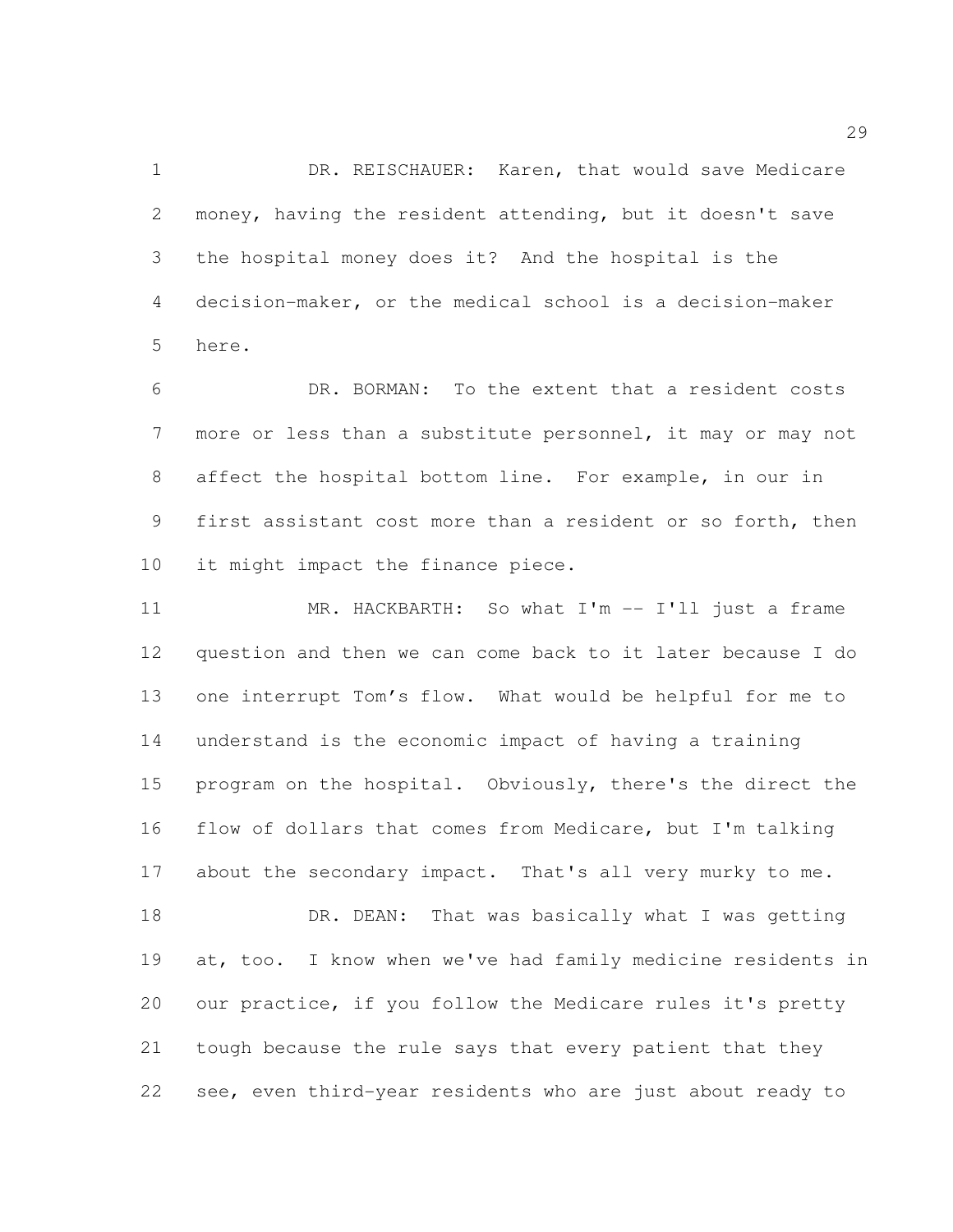DR. REISCHAUER: Karen, that would save Medicare money, having the resident attending, but it doesn't save the hospital money does it? And the hospital is the decision-maker, or the medical school is a decision-maker here.

 DR. BORMAN: To the extent that a resident costs more or less than a substitute personnel, it may or may not affect the hospital bottom line. For example, in our in first assistant cost more than a resident or so forth, then 10 it might impact the finance piece.

 MR. HACKBARTH: So what I'm -- I'll just a frame question and then we can come back to it later because I do one interrupt Tom's flow. What would be helpful for me to understand is the economic impact of having a training program on the hospital. Obviously, there's the direct the flow of dollars that comes from Medicare, but I'm talking 17 about the secondary impact. That's all very murky to me. 18 DR. DEAN: That was basically what I was getting

 at, too. I know when we've had family medicine residents in our practice, if you follow the Medicare rules it's pretty tough because the rule says that every patient that they see, even third-year residents who are just about ready to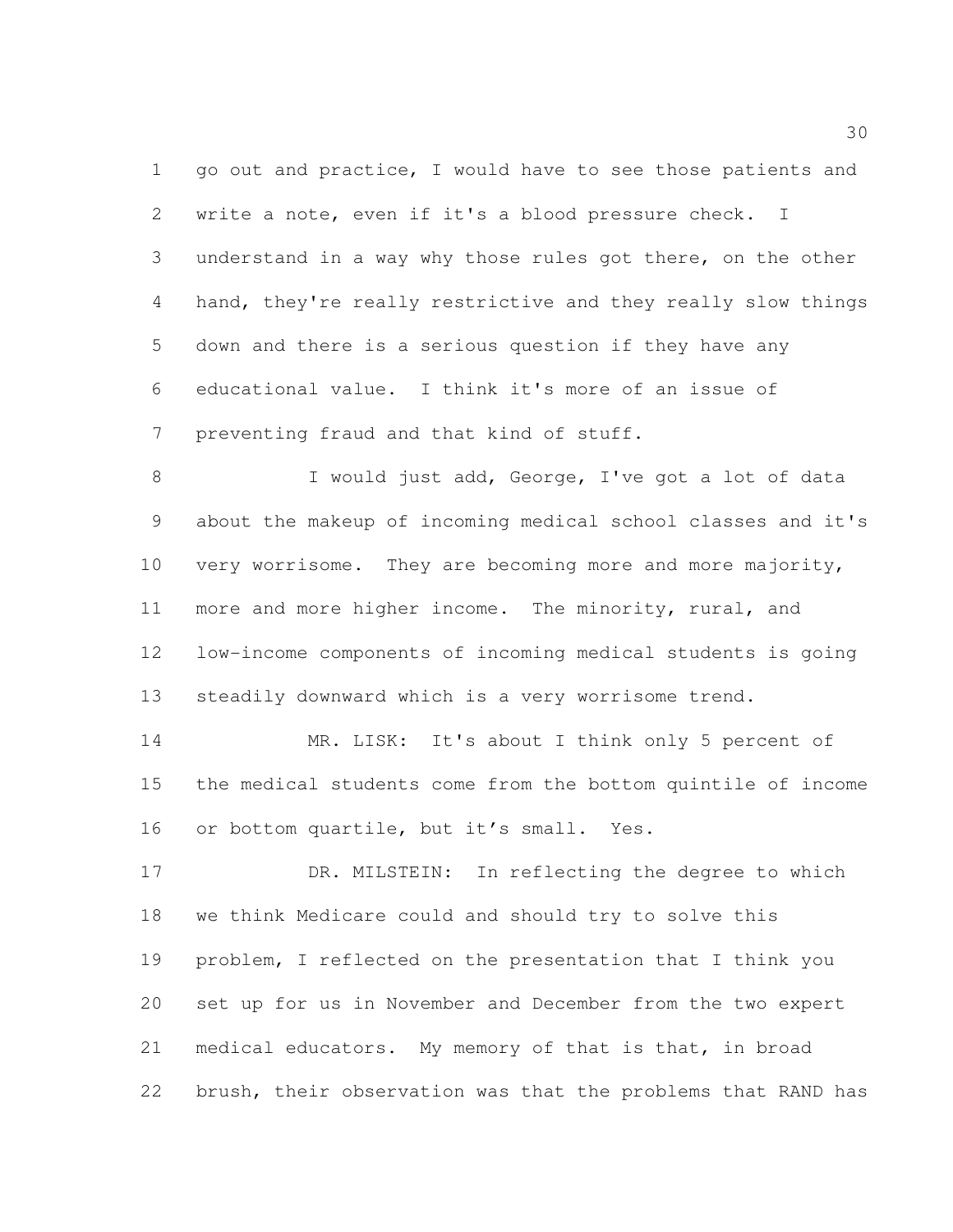1 go out and practice, I would have to see those patients and write a note, even if it's a blood pressure check. I understand in a way why those rules got there, on the other hand, they're really restrictive and they really slow things down and there is a serious question if they have any educational value. I think it's more of an issue of preventing fraud and that kind of stuff.

8 I would just add, George, I've got a lot of data about the makeup of incoming medical school classes and it's 10 very worrisome. They are becoming more and more majority, more and more higher income. The minority, rural, and low-income components of incoming medical students is going steadily downward which is a very worrisome trend.

 MR. LISK: It's about I think only 5 percent of the medical students come from the bottom quintile of income or bottom quartile, but it's small. Yes.

17 DR. MILSTEIN: In reflecting the degree to which we think Medicare could and should try to solve this problem, I reflected on the presentation that I think you set up for us in November and December from the two expert medical educators. My memory of that is that, in broad brush, their observation was that the problems that RAND has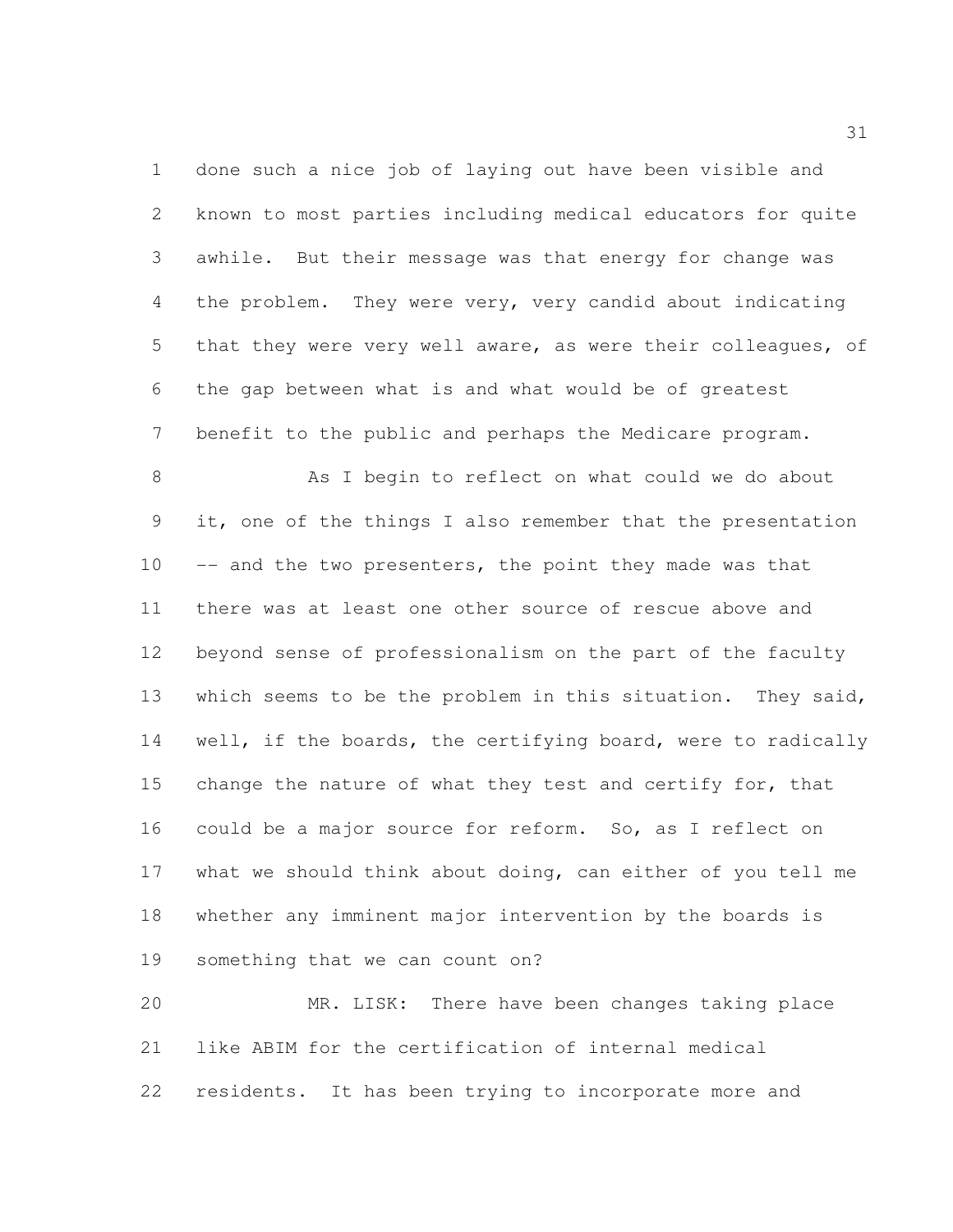done such a nice job of laying out have been visible and known to most parties including medical educators for quite awhile. But their message was that energy for change was the problem. They were very, very candid about indicating that they were very well aware, as were their colleagues, of the gap between what is and what would be of greatest benefit to the public and perhaps the Medicare program.

8 As I begin to reflect on what could we do about it, one of the things I also remember that the presentation 10 -- and the two presenters, the point they made was that there was at least one other source of rescue above and beyond sense of professionalism on the part of the faculty which seems to be the problem in this situation. They said, 14 well, if the boards, the certifying board, were to radically 15 change the nature of what they test and certify for, that could be a major source for reform. So, as I reflect on what we should think about doing, can either of you tell me whether any imminent major intervention by the boards is something that we can count on?

 MR. LISK: There have been changes taking place like ABIM for the certification of internal medical residents. It has been trying to incorporate more and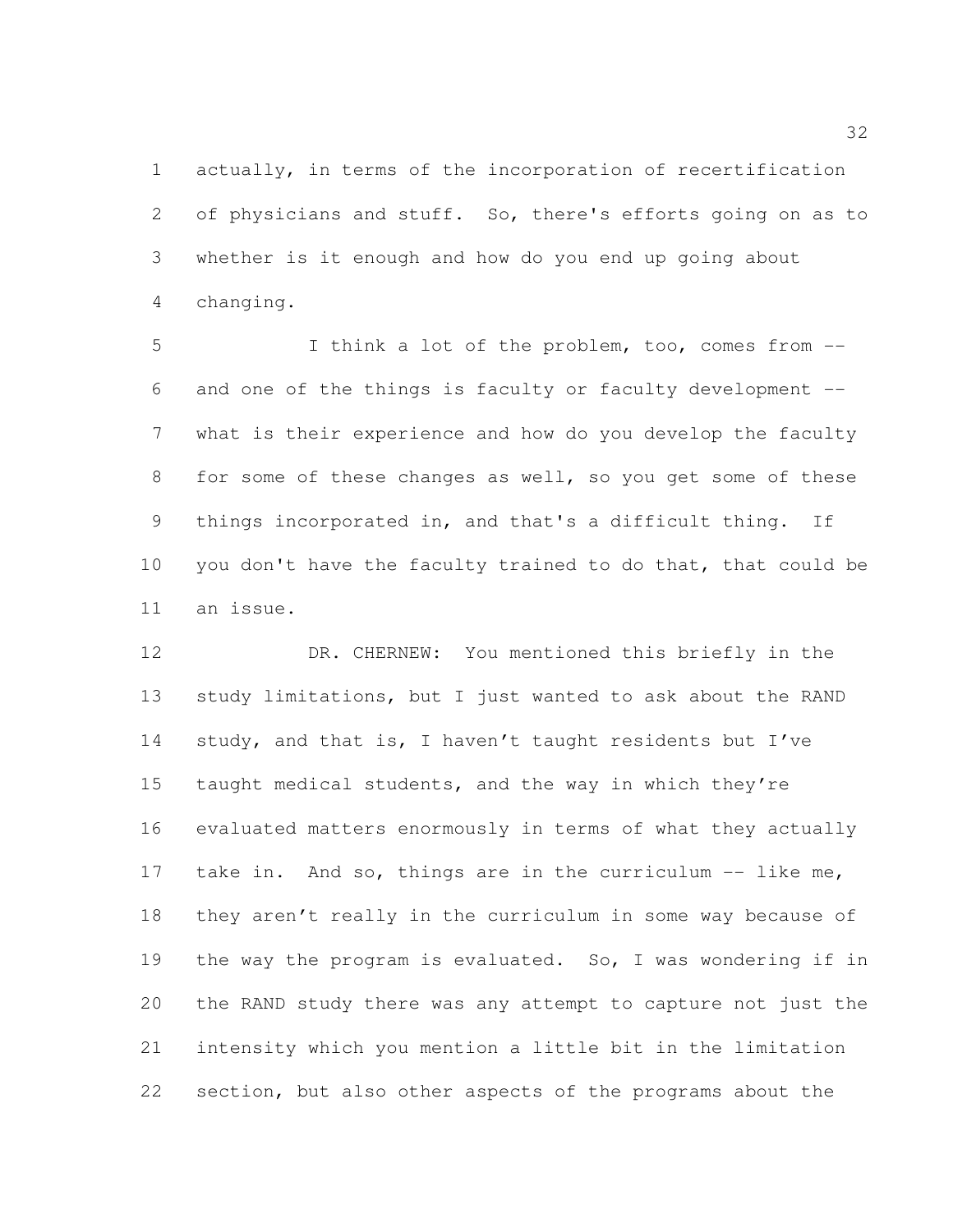actually, in terms of the incorporation of recertification of physicians and stuff. So, there's efforts going on as to whether is it enough and how do you end up going about changing.

 I think a lot of the problem, too, comes from -- and one of the things is faculty or faculty development -- what is their experience and how do you develop the faculty 8 for some of these changes as well, so you get some of these things incorporated in, and that's a difficult thing. If 10 you don't have the faculty trained to do that, that could be an issue.

 DR. CHERNEW: You mentioned this briefly in the 13 study limitations, but I just wanted to ask about the RAND study, and that is, I haven't taught residents but I've taught medical students, and the way in which they're evaluated matters enormously in terms of what they actually 17 take in. And so, things are in the curriculum -- like me, they aren't really in the curriculum in some way because of the way the program is evaluated. So, I was wondering if in the RAND study there was any attempt to capture not just the intensity which you mention a little bit in the limitation section, but also other aspects of the programs about the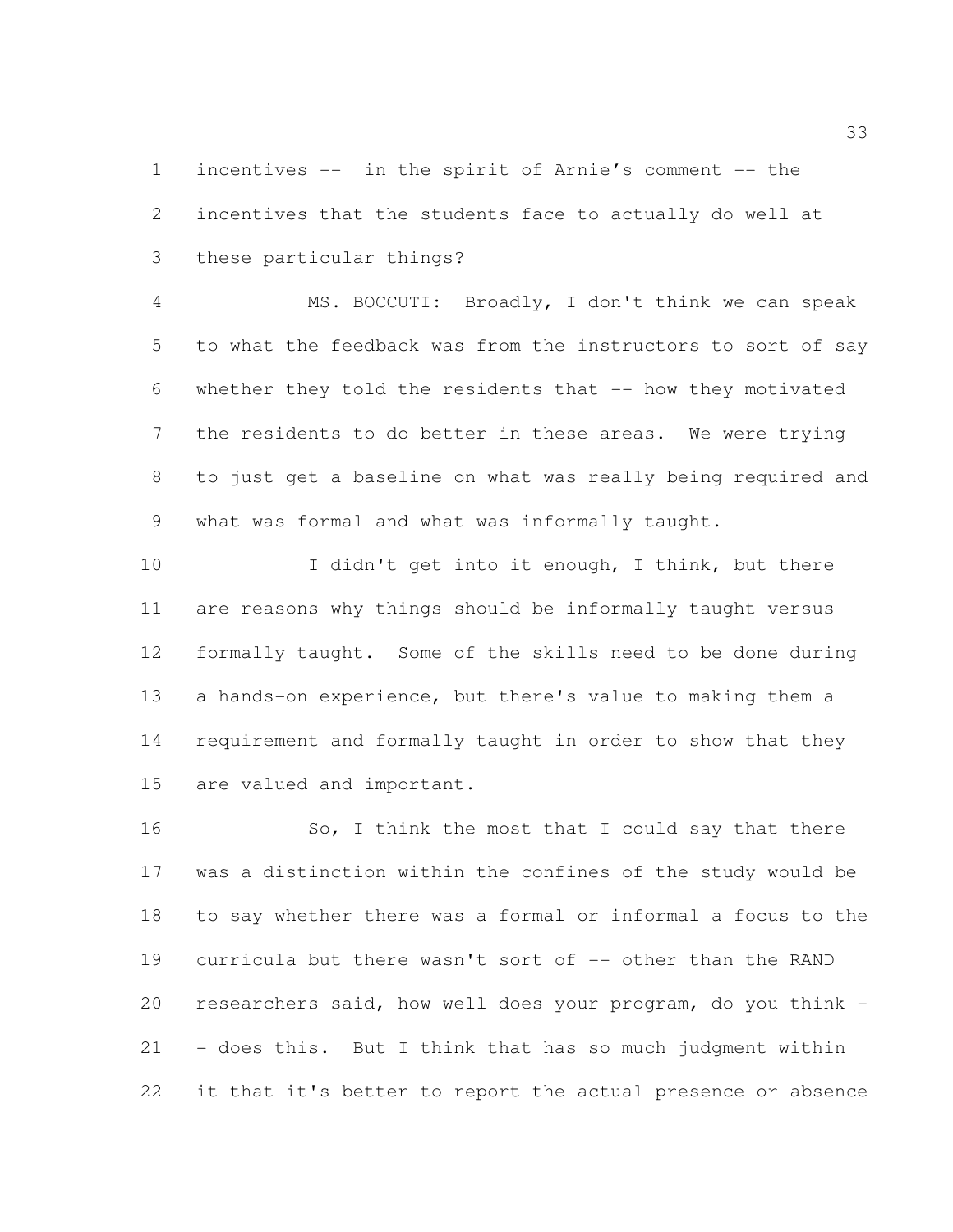incentives -- in the spirit of Arnie's comment -- the incentives that the students face to actually do well at these particular things?

 MS. BOCCUTI: Broadly, I don't think we can speak to what the feedback was from the instructors to sort of say whether they told the residents that -- how they motivated the residents to do better in these areas. We were trying to just get a baseline on what was really being required and what was formal and what was informally taught.

10 I didn't get into it enough, I think, but there are reasons why things should be informally taught versus formally taught. Some of the skills need to be done during a hands-on experience, but there's value to making them a requirement and formally taught in order to show that they are valued and important.

16 So, I think the most that I could say that there was a distinction within the confines of the study would be to say whether there was a formal or informal a focus to the 19 curricula but there wasn't sort of -- other than the RAND researchers said, how well does your program, do you think - - does this. But I think that has so much judgment within it that it's better to report the actual presence or absence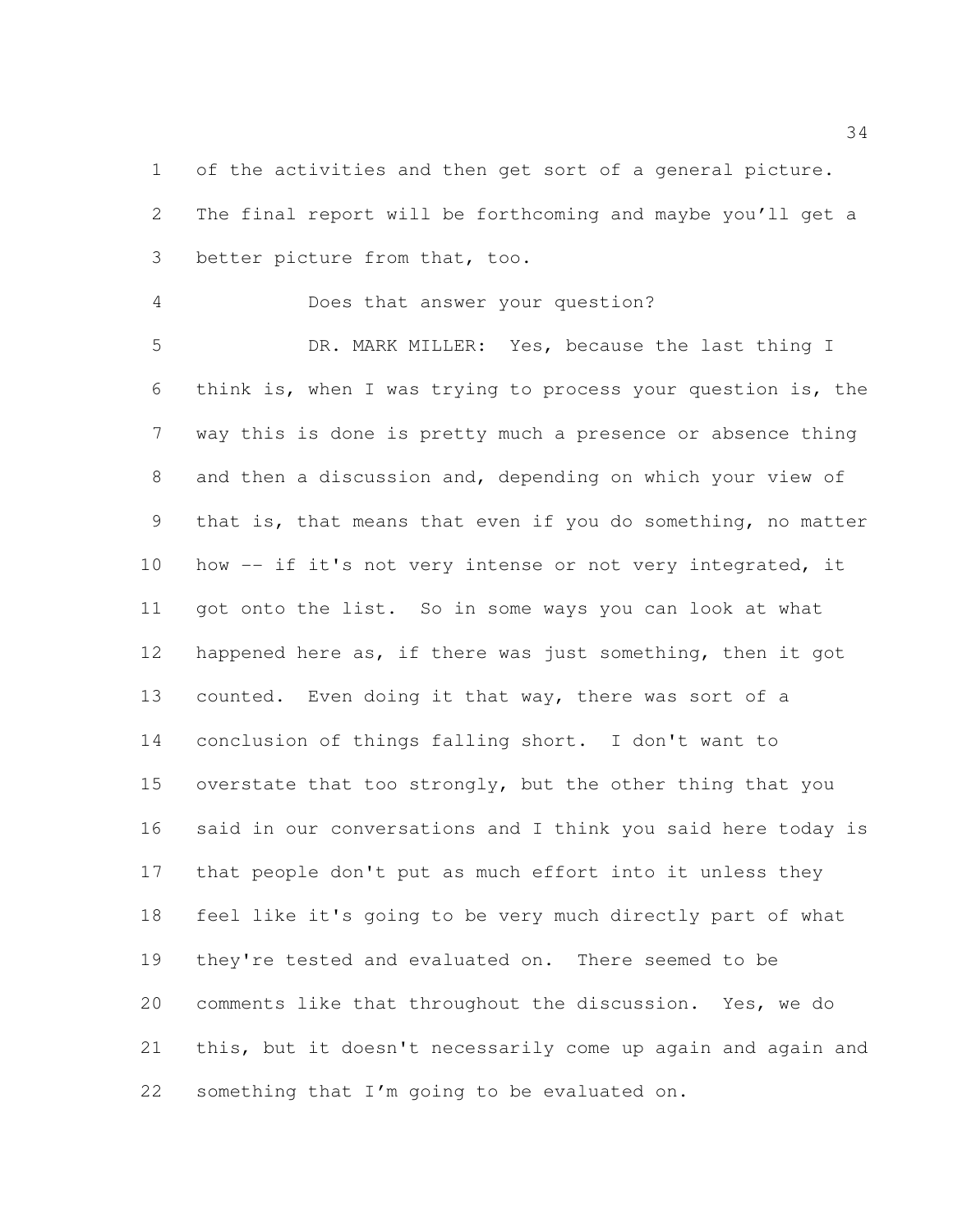of the activities and then get sort of a general picture. The final report will be forthcoming and maybe you'll get a better picture from that, too.

Does that answer your question?

 DR. MARK MILLER: Yes, because the last thing I think is, when I was trying to process your question is, the way this is done is pretty much a presence or absence thing and then a discussion and, depending on which your view of that is, that means that even if you do something, no matter how -- if it's not very intense or not very integrated, it got onto the list. So in some ways you can look at what 12 happened here as, if there was just something, then it got counted. Even doing it that way, there was sort of a conclusion of things falling short. I don't want to overstate that too strongly, but the other thing that you said in our conversations and I think you said here today is that people don't put as much effort into it unless they feel like it's going to be very much directly part of what they're tested and evaluated on. There seemed to be comments like that throughout the discussion. Yes, we do this, but it doesn't necessarily come up again and again and something that I'm going to be evaluated on.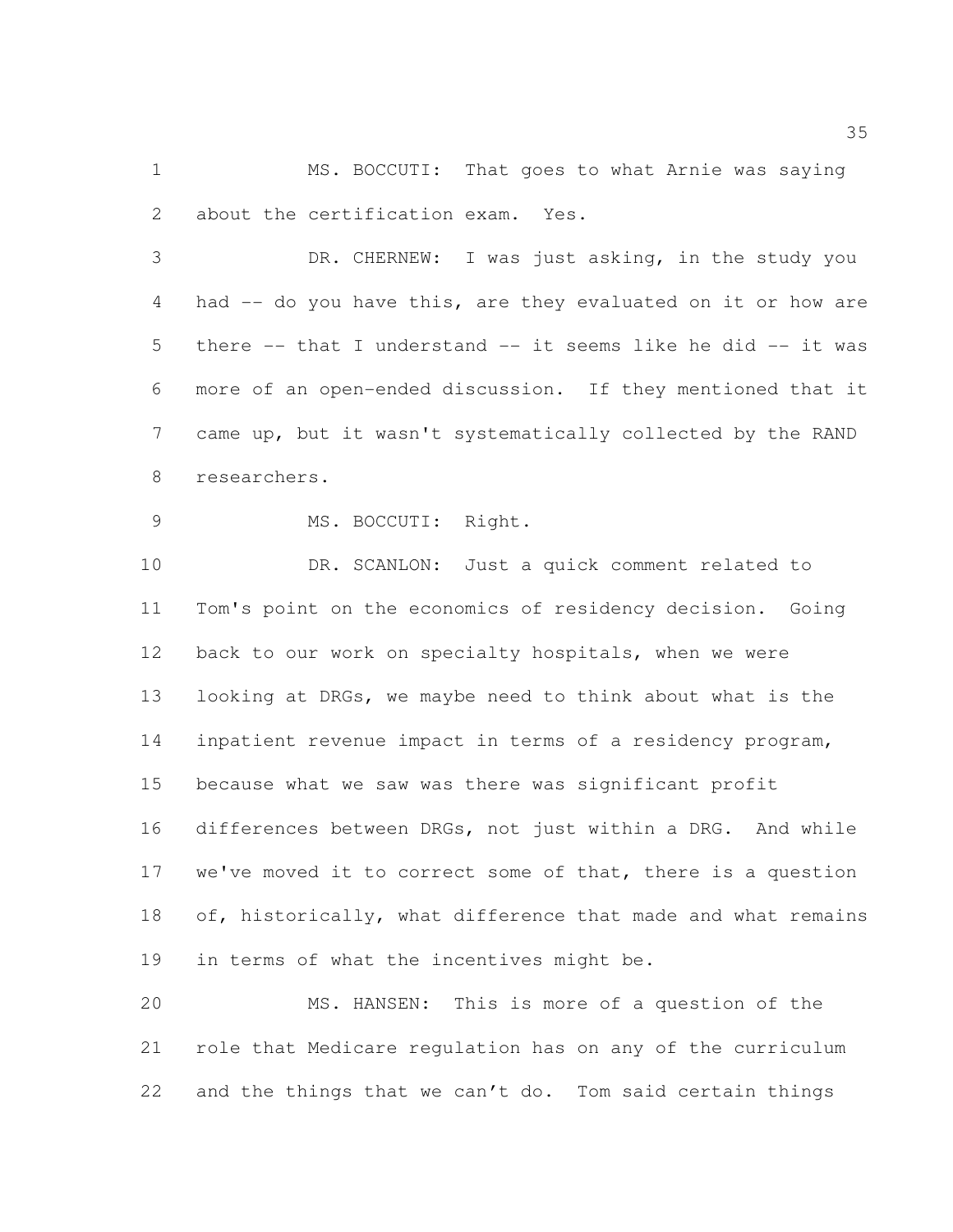MS. BOCCUTI: That goes to what Arnie was saying about the certification exam. Yes.

 DR. CHERNEW: I was just asking, in the study you had -- do you have this, are they evaluated on it or how are there -- that I understand -- it seems like he did -- it was more of an open-ended discussion. If they mentioned that it came up, but it wasn't systematically collected by the RAND researchers.

MS. BOCCUTI: Right.

 DR. SCANLON: Just a quick comment related to Tom's point on the economics of residency decision. Going back to our work on specialty hospitals, when we were looking at DRGs, we maybe need to think about what is the inpatient revenue impact in terms of a residency program, because what we saw was there was significant profit differences between DRGs, not just within a DRG. And while 17 we've moved it to correct some of that, there is a question 18 of, historically, what difference that made and what remains in terms of what the incentives might be.

 MS. HANSEN: This is more of a question of the role that Medicare regulation has on any of the curriculum and the things that we can't do. Tom said certain things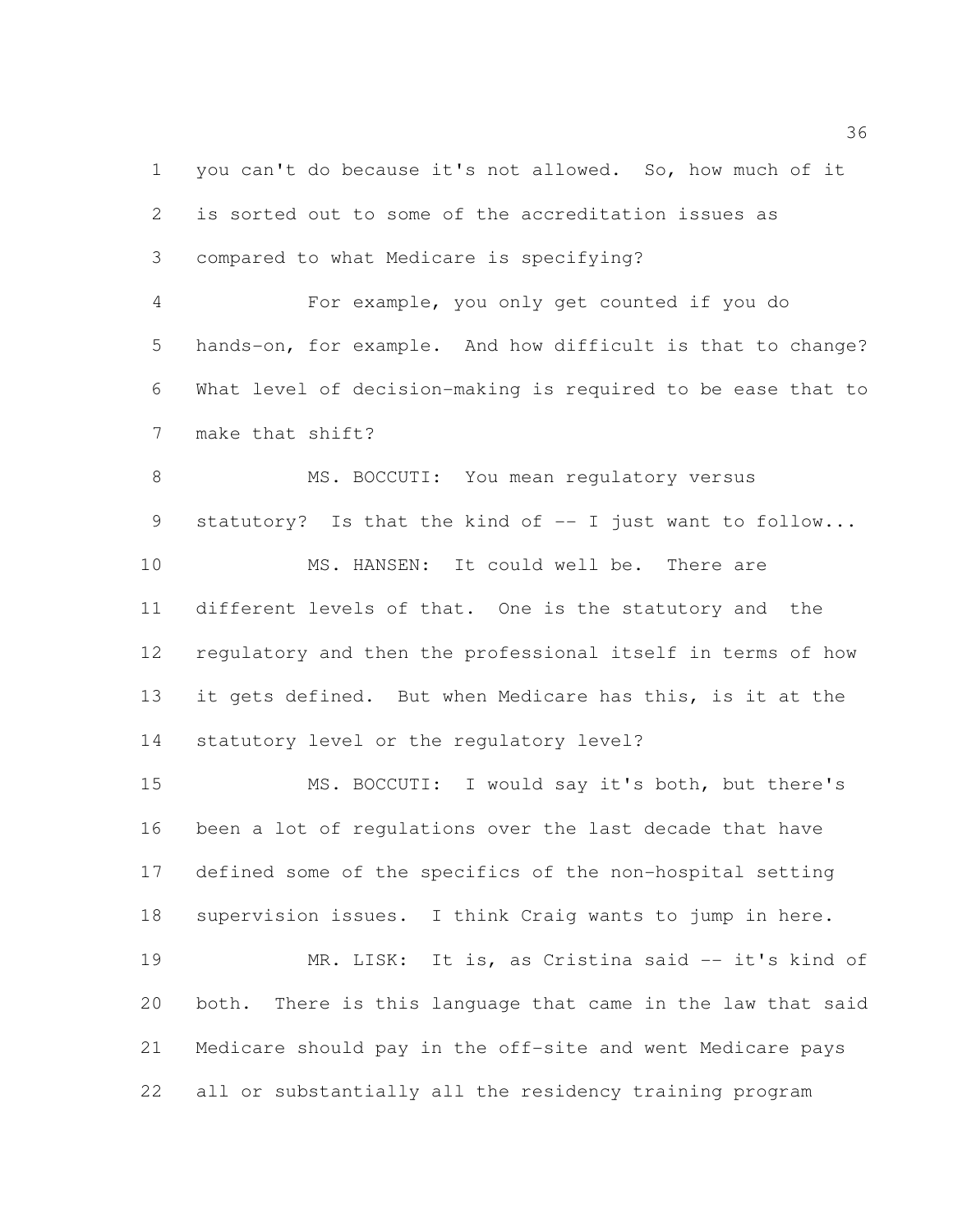you can't do because it's not allowed. So, how much of it is sorted out to some of the accreditation issues as compared to what Medicare is specifying? For example, you only get counted if you do hands-on, for example. And how difficult is that to change? What level of decision-making is required to be ease that to make that shift? 8 MS. BOCCUTI: You mean regulatory versus statutory? Is that the kind of -- I just want to follow... MS. HANSEN: It could well be. There are different levels of that. One is the statutory and the regulatory and then the professional itself in terms of how it gets defined. But when Medicare has this, is it at the statutory level or the regulatory level? MS. BOCCUTI: I would say it's both, but there's been a lot of regulations over the last decade that have defined some of the specifics of the non-hospital setting supervision issues. I think Craig wants to jump in here.

19 MR. LISK: It is, as Cristina said -- it's kind of both. There is this language that came in the law that said Medicare should pay in the off-site and went Medicare pays all or substantially all the residency training program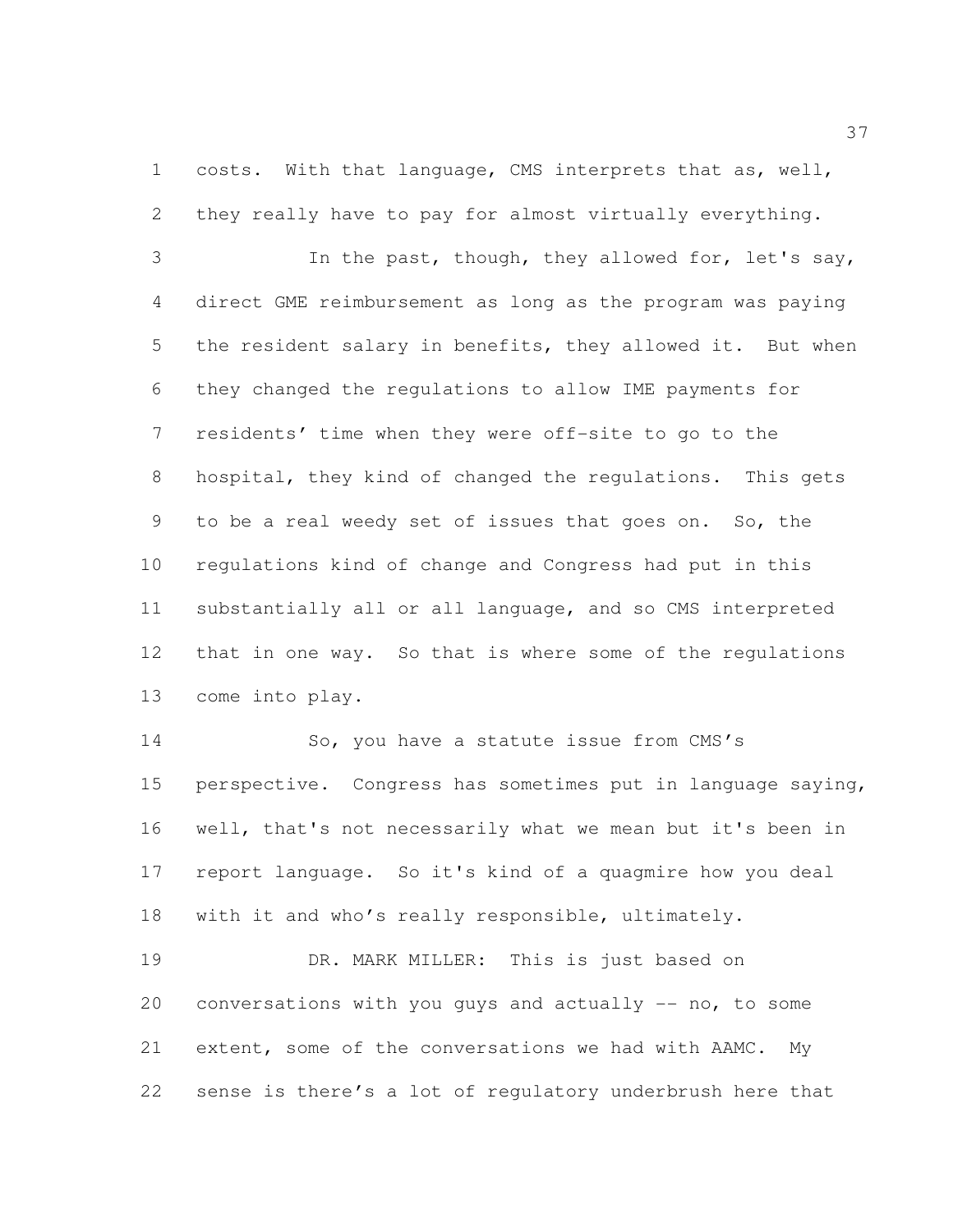costs. With that language, CMS interprets that as, well, they really have to pay for almost virtually everything.

 In the past, though, they allowed for, let's say, direct GME reimbursement as long as the program was paying the resident salary in benefits, they allowed it. But when they changed the regulations to allow IME payments for residents' time when they were off-site to go to the hospital, they kind of changed the regulations. This gets to be a real weedy set of issues that goes on. So, the regulations kind of change and Congress had put in this substantially all or all language, and so CMS interpreted that in one way. So that is where some of the regulations come into play.

14 So, you have a statute issue from CMS's perspective. Congress has sometimes put in language saying, well, that's not necessarily what we mean but it's been in report language. So it's kind of a quagmire how you deal with it and who's really responsible, ultimately.

 DR. MARK MILLER: This is just based on conversations with you guys and actually -- no, to some extent, some of the conversations we had with AAMC. My sense is there's a lot of regulatory underbrush here that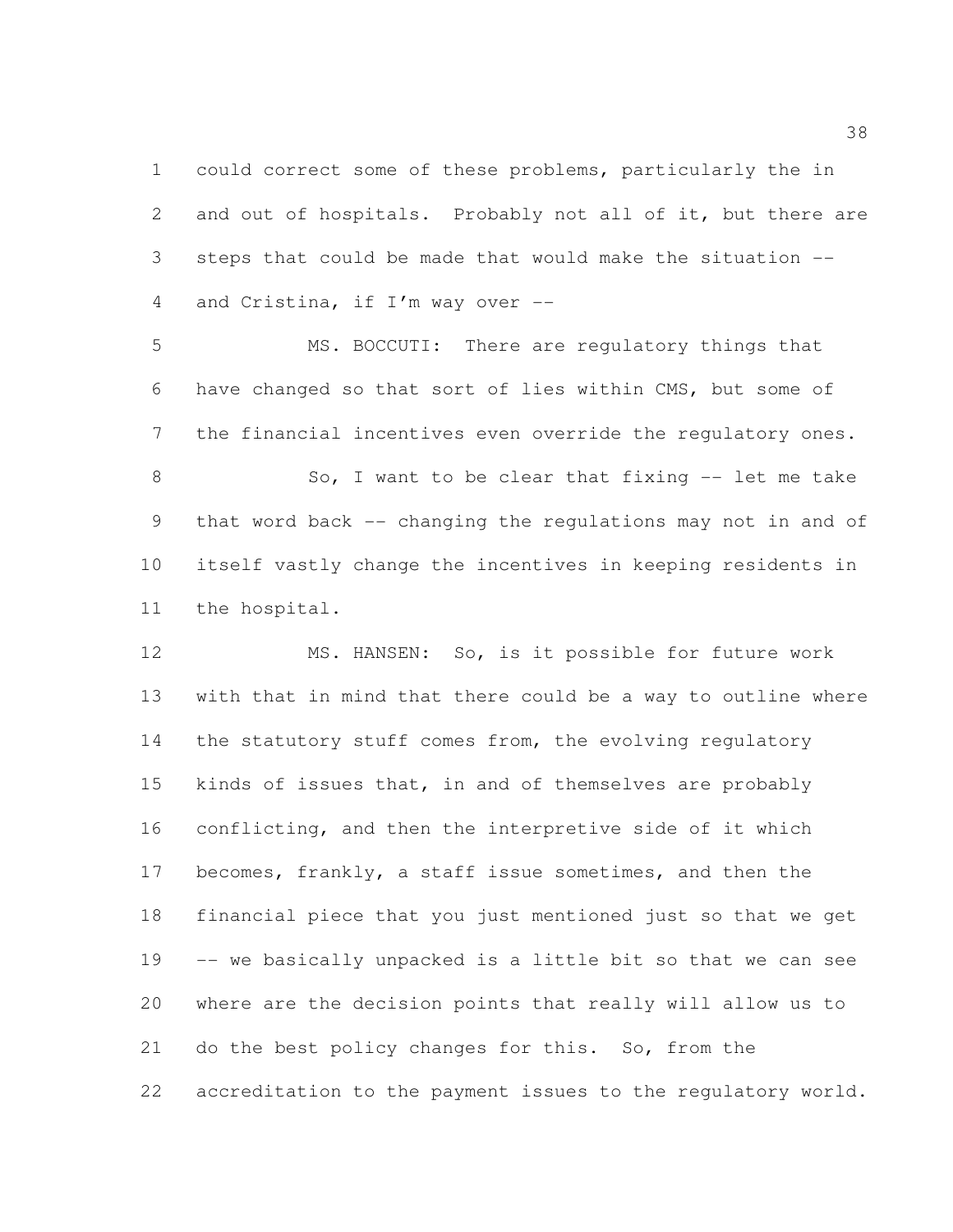could correct some of these problems, particularly the in and out of hospitals. Probably not all of it, but there are steps that could be made that would make the situation -- and Cristina, if I'm way over --

 MS. BOCCUTI: There are regulatory things that have changed so that sort of lies within CMS, but some of the financial incentives even override the regulatory ones. 8 So, I want to be clear that fixing -- let me take

 that word back -- changing the regulations may not in and of itself vastly change the incentives in keeping residents in the hospital.

 MS. HANSEN: So, is it possible for future work with that in mind that there could be a way to outline where the statutory stuff comes from, the evolving regulatory kinds of issues that, in and of themselves are probably conflicting, and then the interpretive side of it which becomes, frankly, a staff issue sometimes, and then the financial piece that you just mentioned just so that we get -- we basically unpacked is a little bit so that we can see where are the decision points that really will allow us to do the best policy changes for this. So, from the accreditation to the payment issues to the regulatory world.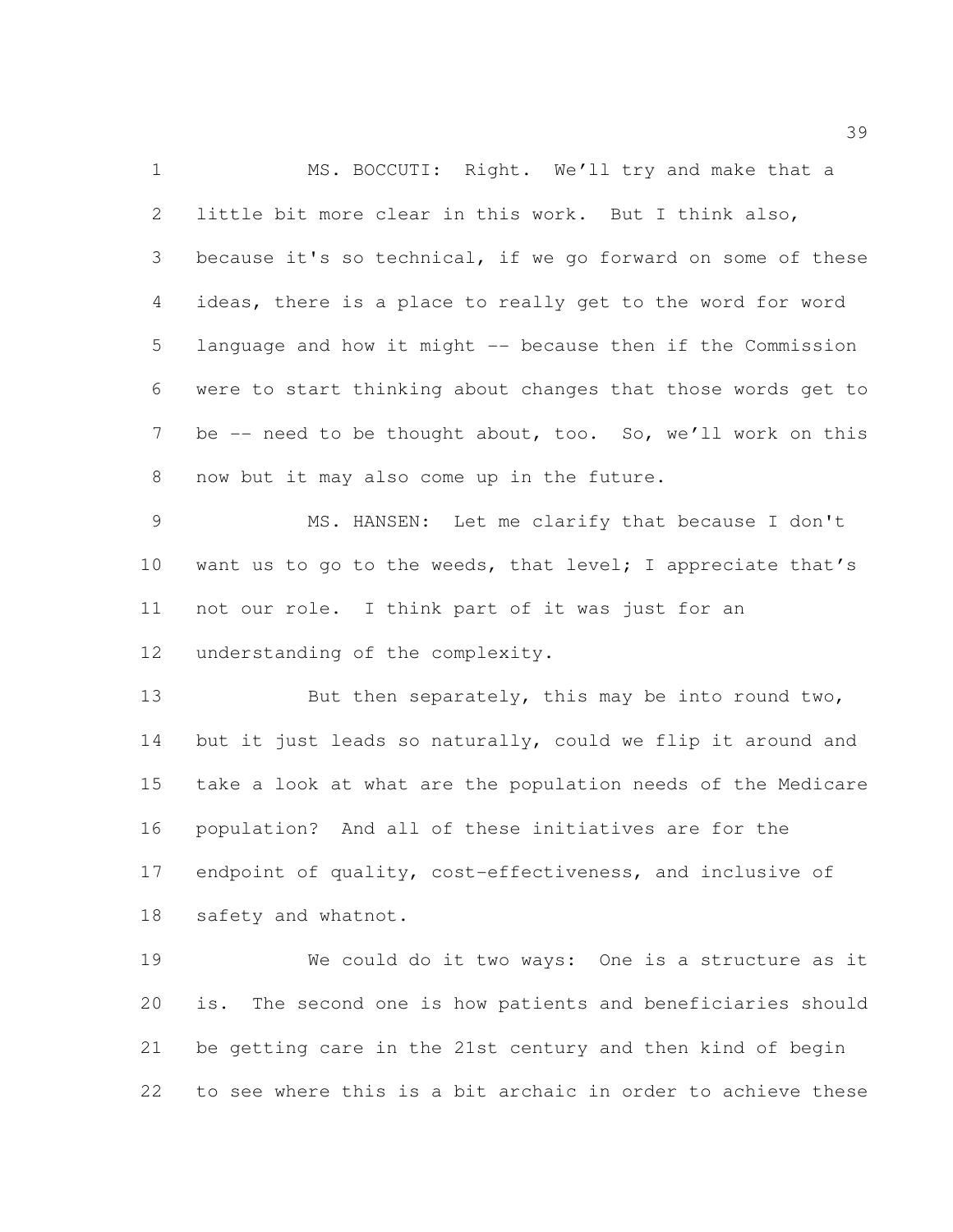1 MS. BOCCUTI: Right. We'll try and make that a little bit more clear in this work. But I think also, because it's so technical, if we go forward on some of these ideas, there is a place to really get to the word for word language and how it might -- because then if the Commission were to start thinking about changes that those words get to 7 be -- need to be thought about, too. So, we'll work on this now but it may also come up in the future. MS. HANSEN: Let me clarify that because I don't 10 want us to go to the weeds, that level; I appreciate that's not our role. I think part of it was just for an understanding of the complexity. 13 But then separately, this may be into round two, but it just leads so naturally, could we flip it around and take a look at what are the population needs of the Medicare population? And all of these initiatives are for the

 endpoint of quality, cost-effectiveness, and inclusive of safety and whatnot.

 We could do it two ways: One is a structure as it is. The second one is how patients and beneficiaries should be getting care in the 21st century and then kind of begin to see where this is a bit archaic in order to achieve these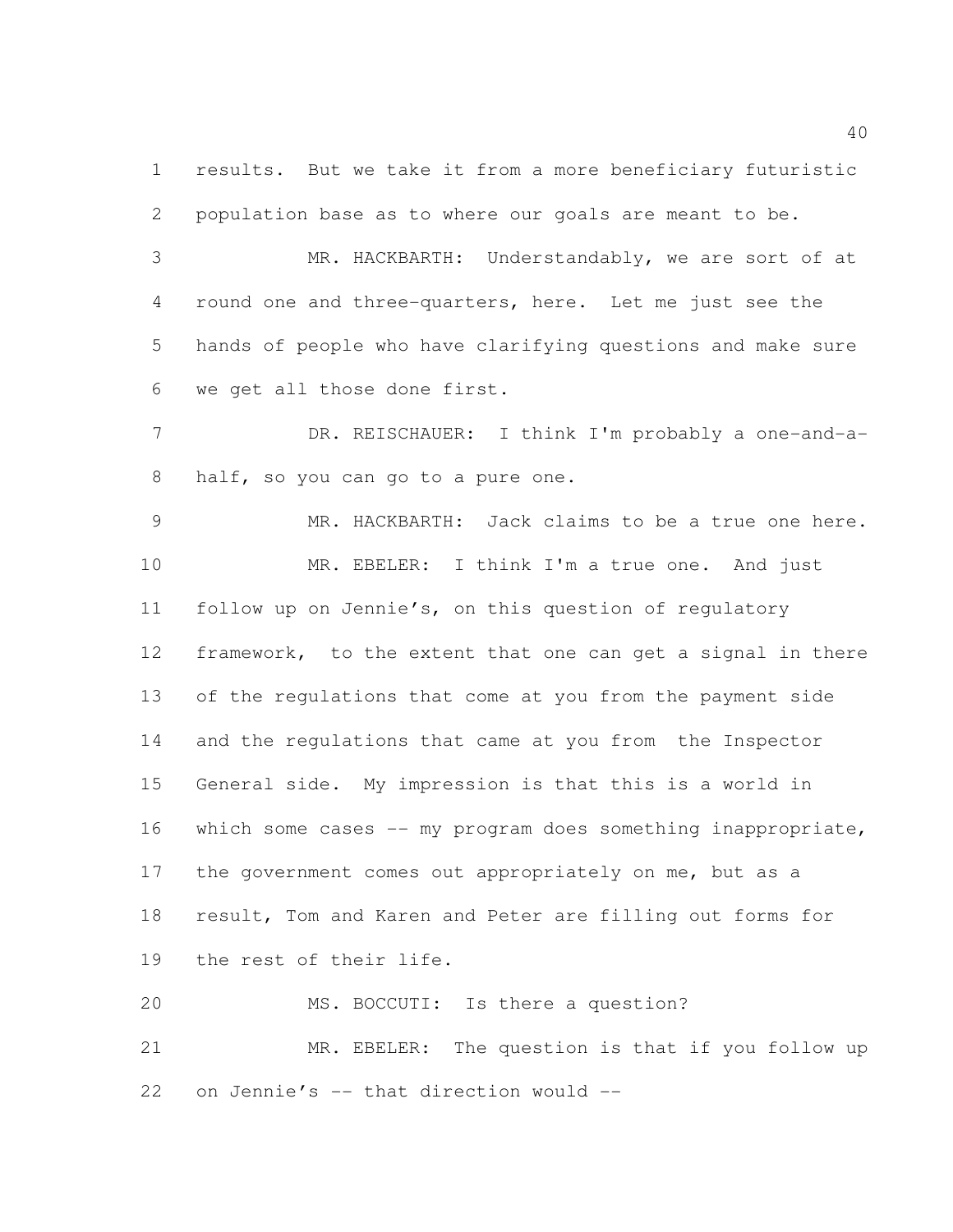results. But we take it from a more beneficiary futuristic population base as to where our goals are meant to be.

 MR. HACKBARTH: Understandably, we are sort of at round one and three-quarters, here. Let me just see the hands of people who have clarifying questions and make sure we get all those done first.

7 DR. REISCHAUER: I think I'm probably a one-and-a-half, so you can go to a pure one.

 MR. HACKBARTH: Jack claims to be a true one here. MR. EBELER: I think I'm a true one. And just follow up on Jennie's, on this question of regulatory framework, to the extent that one can get a signal in there of the regulations that come at you from the payment side and the regulations that came at you from the Inspector General side. My impression is that this is a world in which some cases -- my program does something inappropriate, 17 the government comes out appropriately on me, but as a result, Tom and Karen and Peter are filling out forms for the rest of their life.

 MS. BOCCUTI: Is there a question? MR. EBELER: The question is that if you follow up 22 on Jennie's  $-$  that direction would  $-$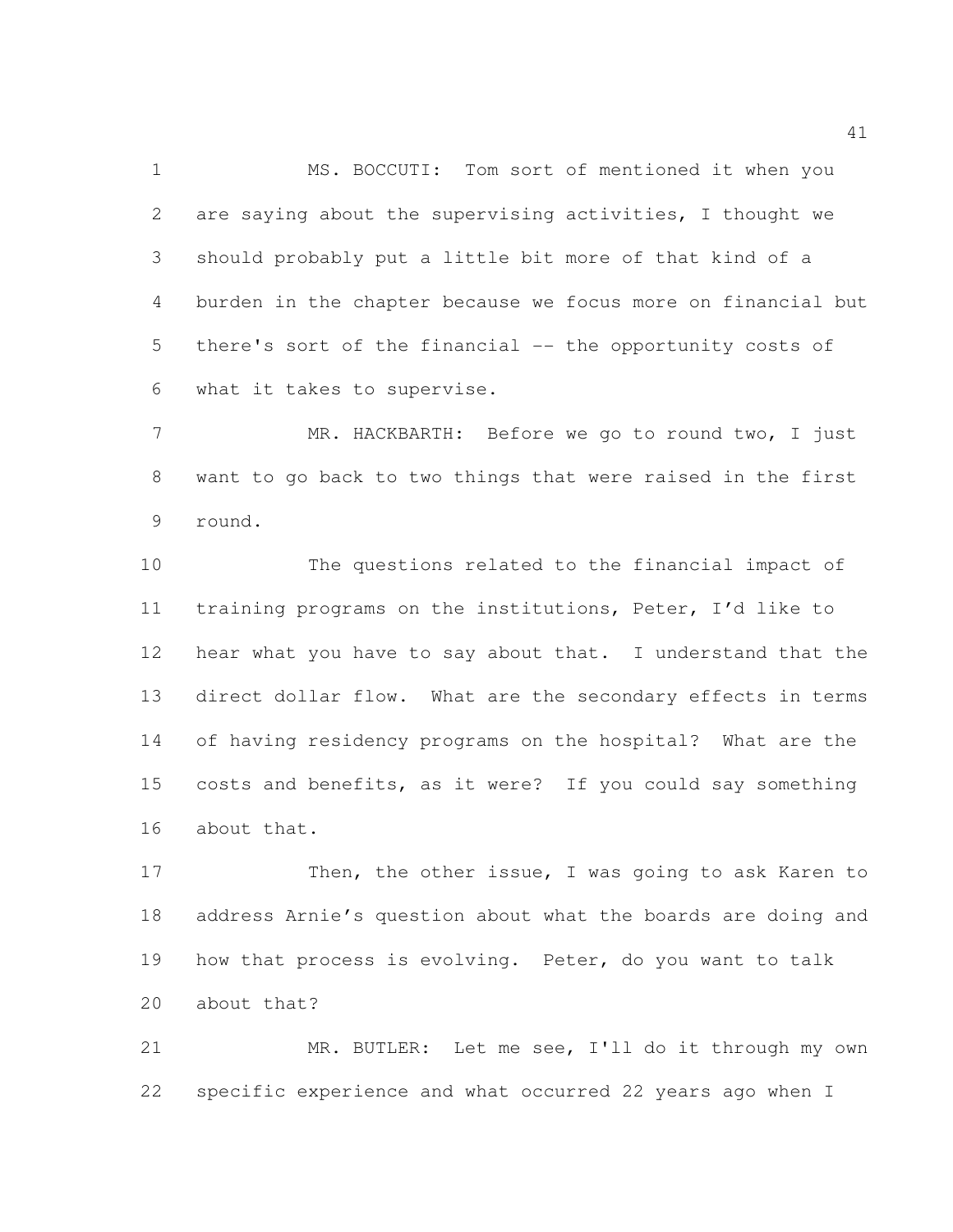MS. BOCCUTI: Tom sort of mentioned it when you are saying about the supervising activities, I thought we should probably put a little bit more of that kind of a burden in the chapter because we focus more on financial but there's sort of the financial -- the opportunity costs of what it takes to supervise.

 MR. HACKBARTH: Before we go to round two, I just want to go back to two things that were raised in the first round.

 The questions related to the financial impact of training programs on the institutions, Peter, I'd like to 12 hear what you have to say about that. I understand that the direct dollar flow. What are the secondary effects in terms of having residency programs on the hospital? What are the costs and benefits, as it were? If you could say something about that.

17 Then, the other issue, I was going to ask Karen to address Arnie's question about what the boards are doing and how that process is evolving. Peter, do you want to talk about that?

 MR. BUTLER: Let me see, I'll do it through my own specific experience and what occurred 22 years ago when I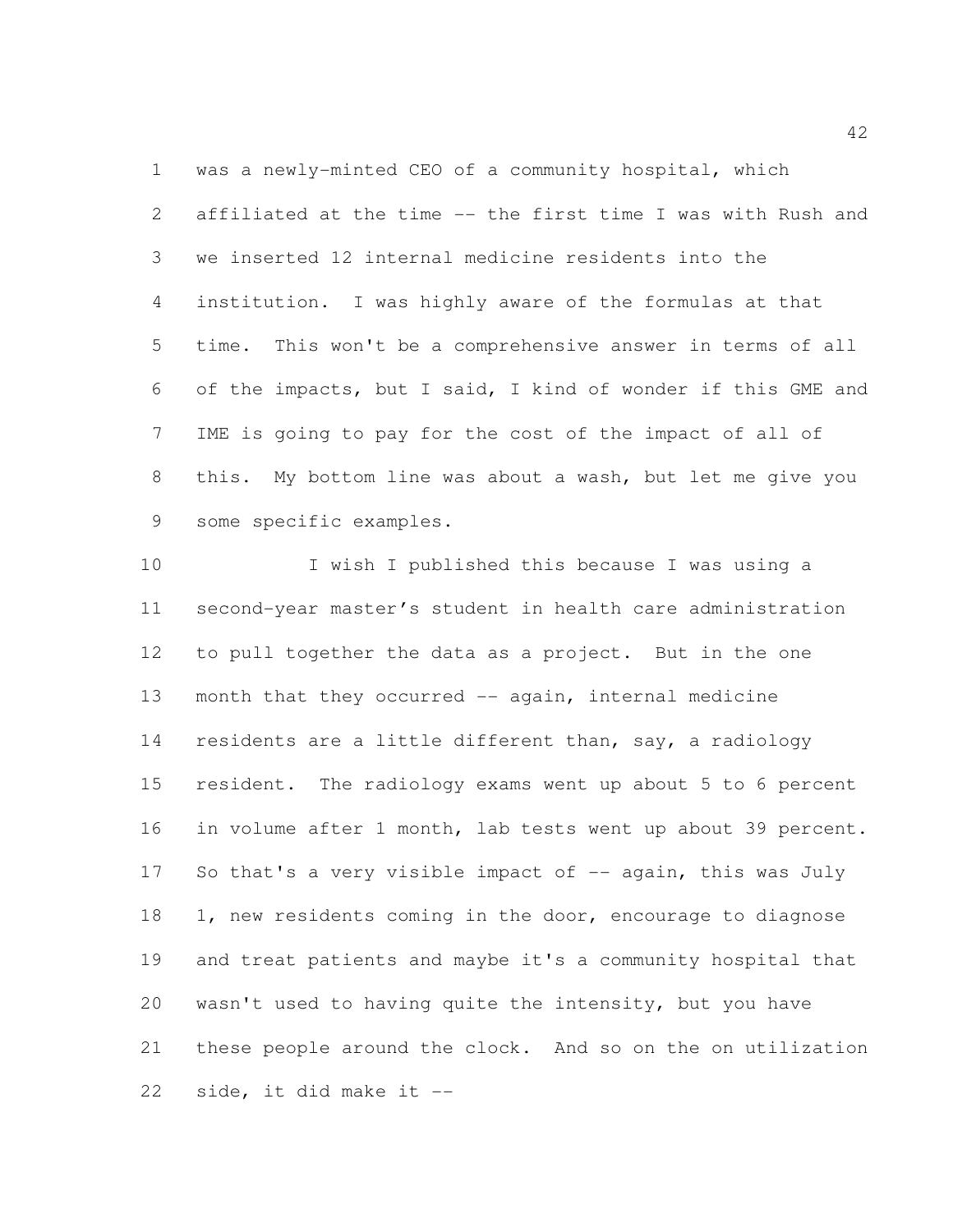was a newly-minted CEO of a community hospital, which affiliated at the time -- the first time I was with Rush and we inserted 12 internal medicine residents into the institution. I was highly aware of the formulas at that time. This won't be a comprehensive answer in terms of all of the impacts, but I said, I kind of wonder if this GME and IME is going to pay for the cost of the impact of all of this. My bottom line was about a wash, but let me give you some specific examples.

 I wish I published this because I was using a second-year master's student in health care administration to pull together the data as a project. But in the one month that they occurred -- again, internal medicine residents are a little different than, say, a radiology resident. The radiology exams went up about 5 to 6 percent in volume after 1 month, lab tests went up about 39 percent. 17 So that's a very visible impact of -- again, this was July 18 1, new residents coming in the door, encourage to diagnose and treat patients and maybe it's a community hospital that wasn't used to having quite the intensity, but you have these people around the clock. And so on the on utilization side, it did make it --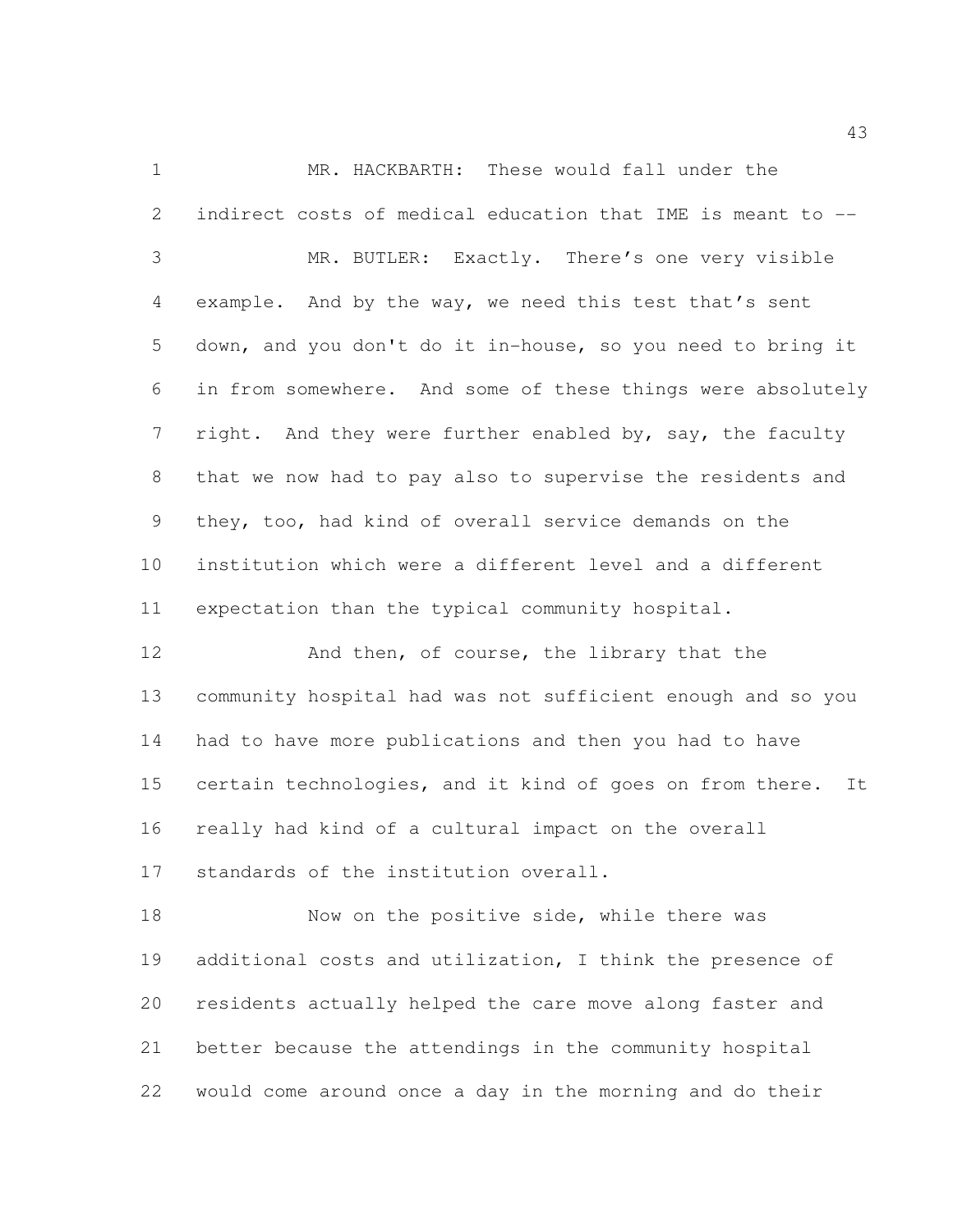MR. HACKBARTH: These would fall under the indirect costs of medical education that IME is meant to -- MR. BUTLER: Exactly. There's one very visible example. And by the way, we need this test that's sent down, and you don't do it in-house, so you need to bring it in from somewhere. And some of these things were absolutely 7 right. And they were further enabled by, say, the faculty that we now had to pay also to supervise the residents and they, too, had kind of overall service demands on the institution which were a different level and a different expectation than the typical community hospital. 12 And then, of course, the library that the community hospital had was not sufficient enough and so you

 had to have more publications and then you had to have certain technologies, and it kind of goes on from there. It really had kind of a cultural impact on the overall standards of the institution overall.

18 Now on the positive side, while there was additional costs and utilization, I think the presence of residents actually helped the care move along faster and better because the attendings in the community hospital would come around once a day in the morning and do their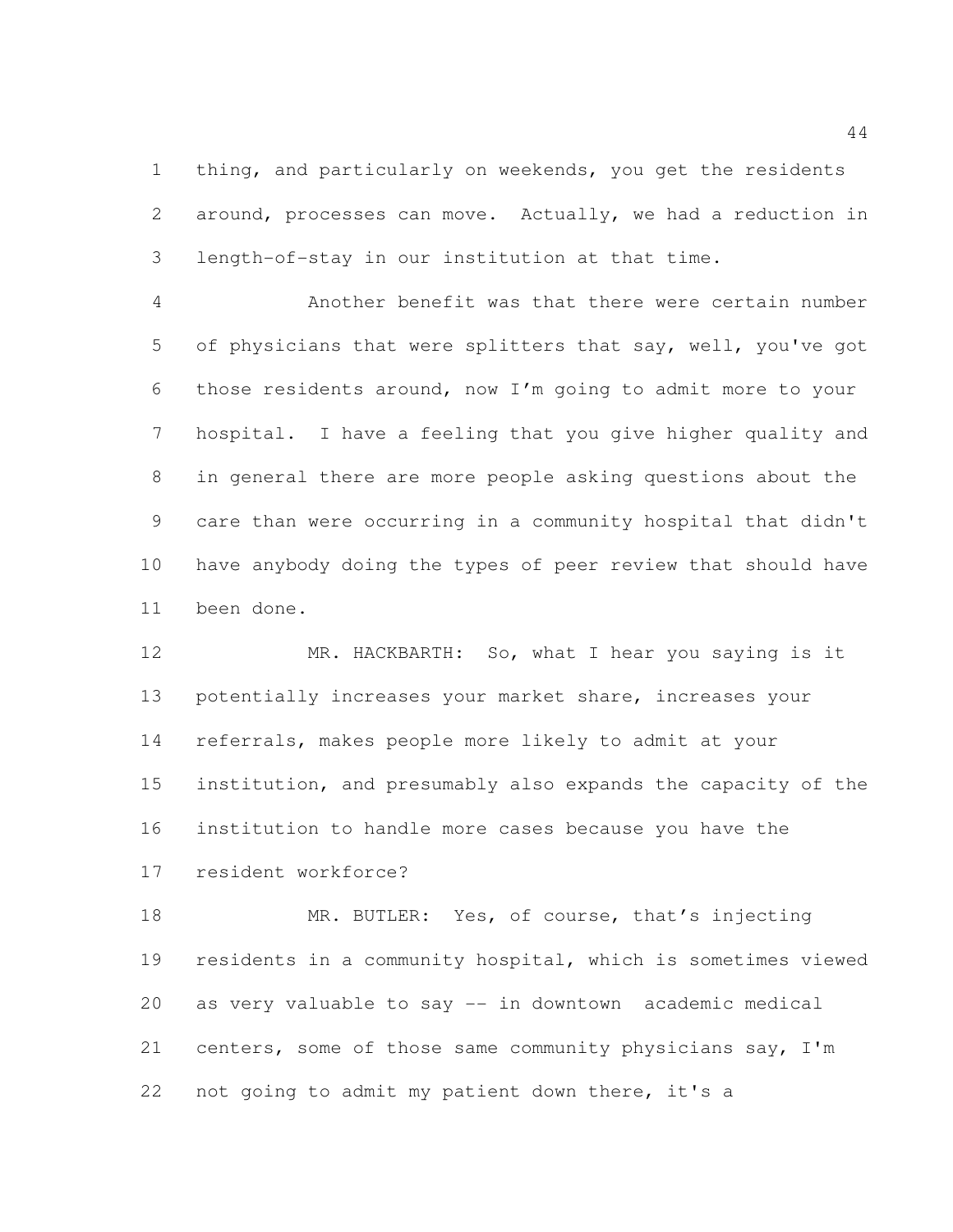thing, and particularly on weekends, you get the residents around, processes can move. Actually, we had a reduction in length-of-stay in our institution at that time.

 Another benefit was that there were certain number of physicians that were splitters that say, well, you've got those residents around, now I'm going to admit more to your hospital. I have a feeling that you give higher quality and in general there are more people asking questions about the care than were occurring in a community hospital that didn't have anybody doing the types of peer review that should have been done.

 MR. HACKBARTH: So, what I hear you saying is it potentially increases your market share, increases your referrals, makes people more likely to admit at your institution, and presumably also expands the capacity of the institution to handle more cases because you have the resident workforce?

18 MR. BUTLER: Yes, of course, that's injecting residents in a community hospital, which is sometimes viewed as very valuable to say -- in downtown academic medical centers, some of those same community physicians say, I'm not going to admit my patient down there, it's a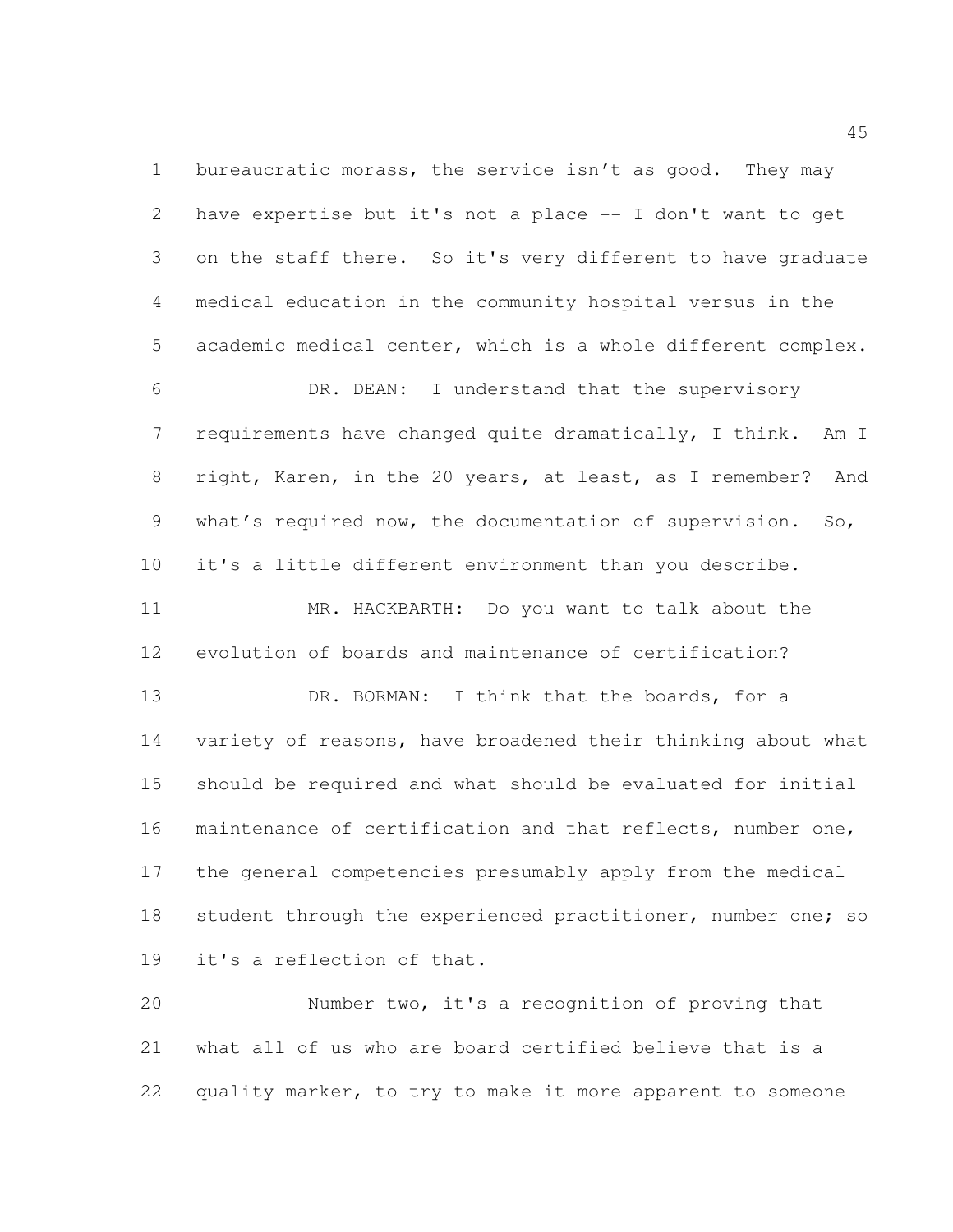1 bureaucratic morass, the service isn't as good. They may have expertise but it's not a place -- I don't want to get on the staff there. So it's very different to have graduate medical education in the community hospital versus in the academic medical center, which is a whole different complex.

 DR. DEAN: I understand that the supervisory requirements have changed quite dramatically, I think. Am I right, Karen, in the 20 years, at least, as I remember? And what's required now, the documentation of supervision. So, it's a little different environment than you describe. MR. HACKBARTH: Do you want to talk about the evolution of boards and maintenance of certification? 13 DR. BORMAN: I think that the boards, for a variety of reasons, have broadened their thinking about what should be required and what should be evaluated for initial maintenance of certification and that reflects, number one, the general competencies presumably apply from the medical 18 student through the experienced practitioner, number one; so

it's a reflection of that.

 Number two, it's a recognition of proving that what all of us who are board certified believe that is a quality marker, to try to make it more apparent to someone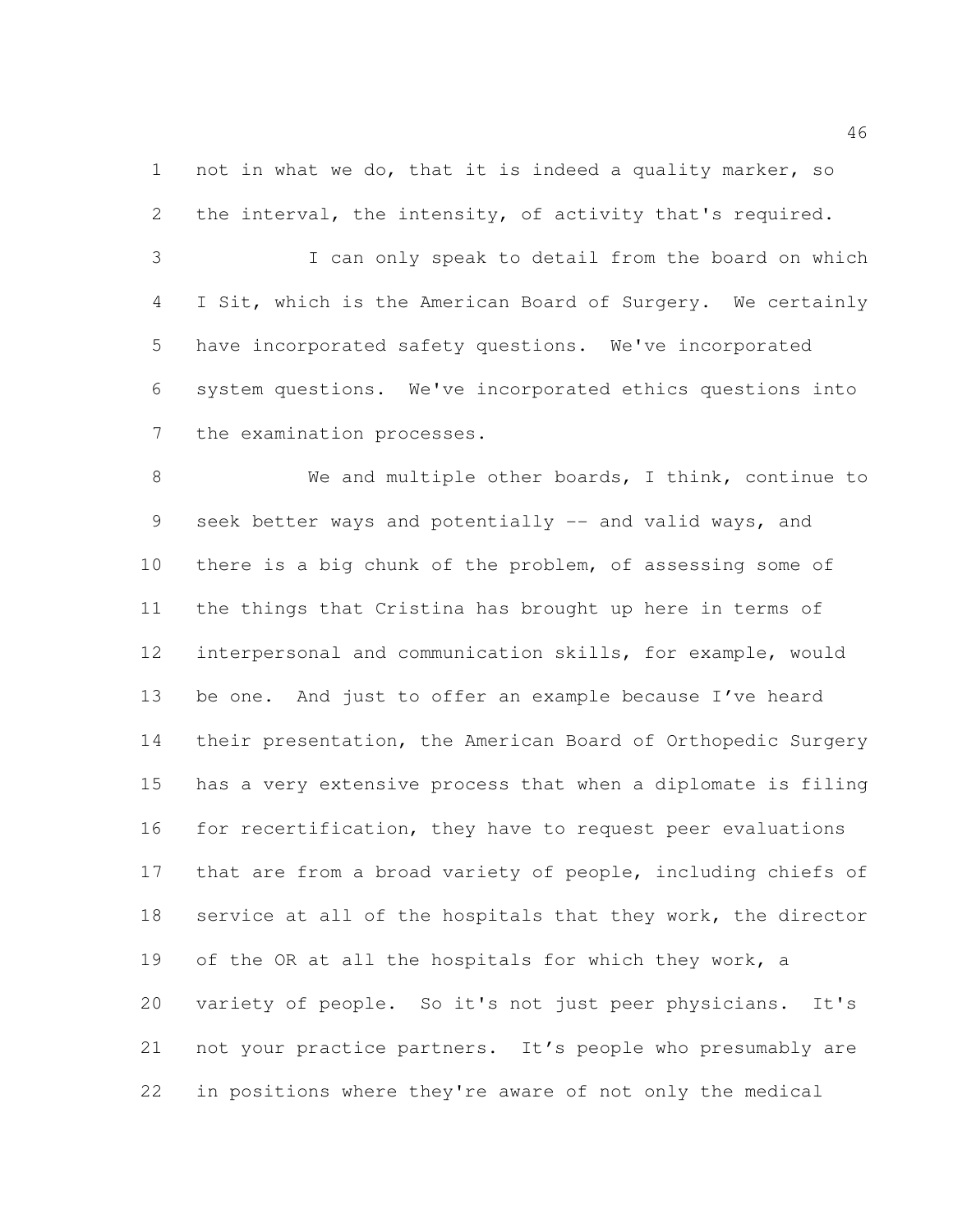not in what we do, that it is indeed a quality marker, so the interval, the intensity, of activity that's required.

 I can only speak to detail from the board on which I Sit, which is the American Board of Surgery. We certainly have incorporated safety questions. We've incorporated system questions. We've incorporated ethics questions into 7 the examination processes.

 We and multiple other boards, I think, continue to 9 seek better ways and potentially -- and valid ways, and there is a big chunk of the problem, of assessing some of the things that Cristina has brought up here in terms of interpersonal and communication skills, for example, would be one. And just to offer an example because I've heard their presentation, the American Board of Orthopedic Surgery has a very extensive process that when a diplomate is filing for recertification, they have to request peer evaluations that are from a broad variety of people, including chiefs of 18 service at all of the hospitals that they work, the director of the OR at all the hospitals for which they work, a variety of people. So it's not just peer physicians. It's not your practice partners. It's people who presumably are in positions where they're aware of not only the medical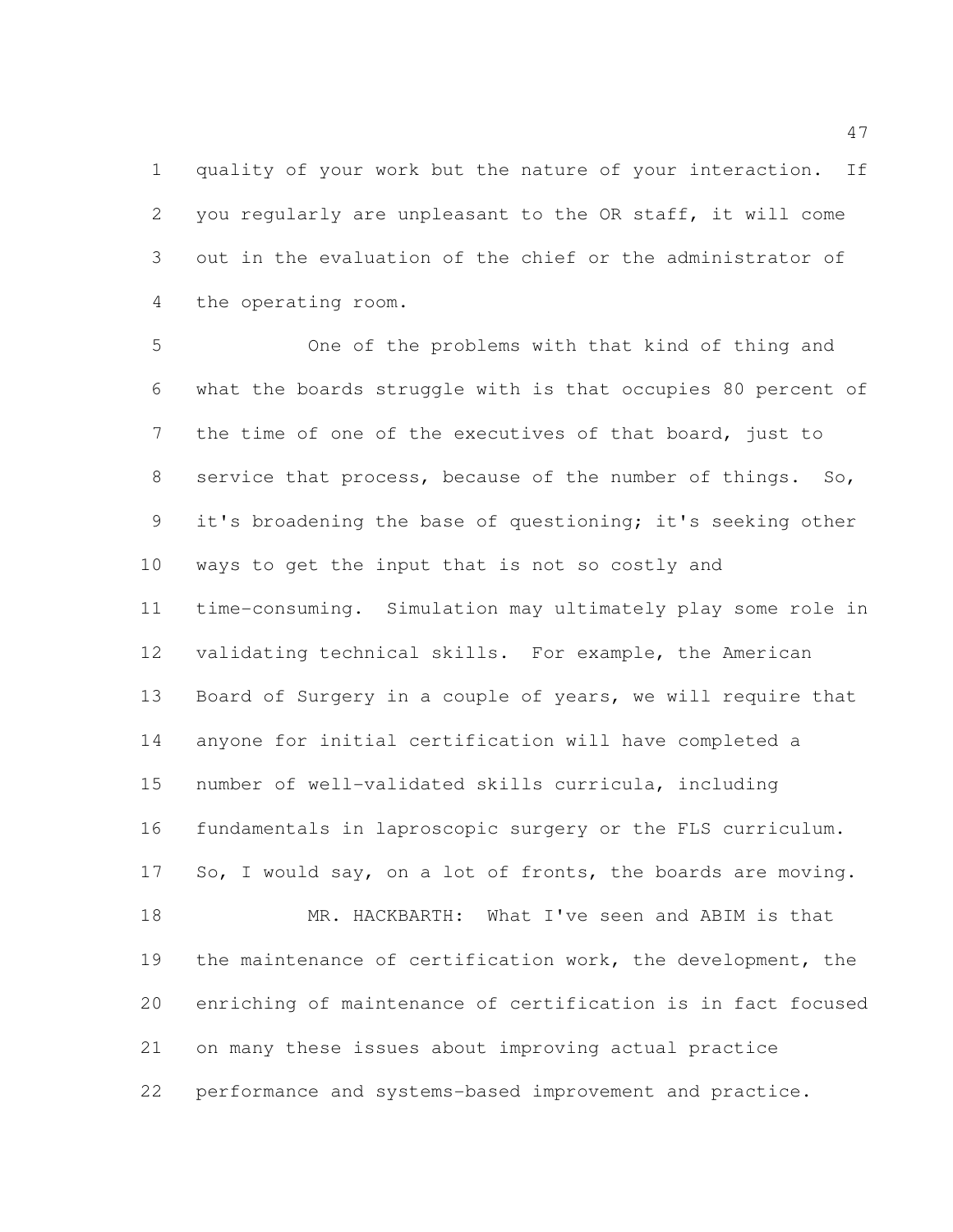quality of your work but the nature of your interaction. If you regularly are unpleasant to the OR staff, it will come out in the evaluation of the chief or the administrator of the operating room.

 One of the problems with that kind of thing and what the boards struggle with is that occupies 80 percent of the time of one of the executives of that board, just to service that process, because of the number of things. So, it's broadening the base of questioning; it's seeking other ways to get the input that is not so costly and time-consuming. Simulation may ultimately play some role in validating technical skills. For example, the American Board of Surgery in a couple of years, we will require that anyone for initial certification will have completed a number of well-validated skills curricula, including fundamentals in laproscopic surgery or the FLS curriculum. 17 So, I would say, on a lot of fronts, the boards are moving. MR. HACKBARTH: What I've seen and ABIM is that the maintenance of certification work, the development, the enriching of maintenance of certification is in fact focused on many these issues about improving actual practice performance and systems-based improvement and practice.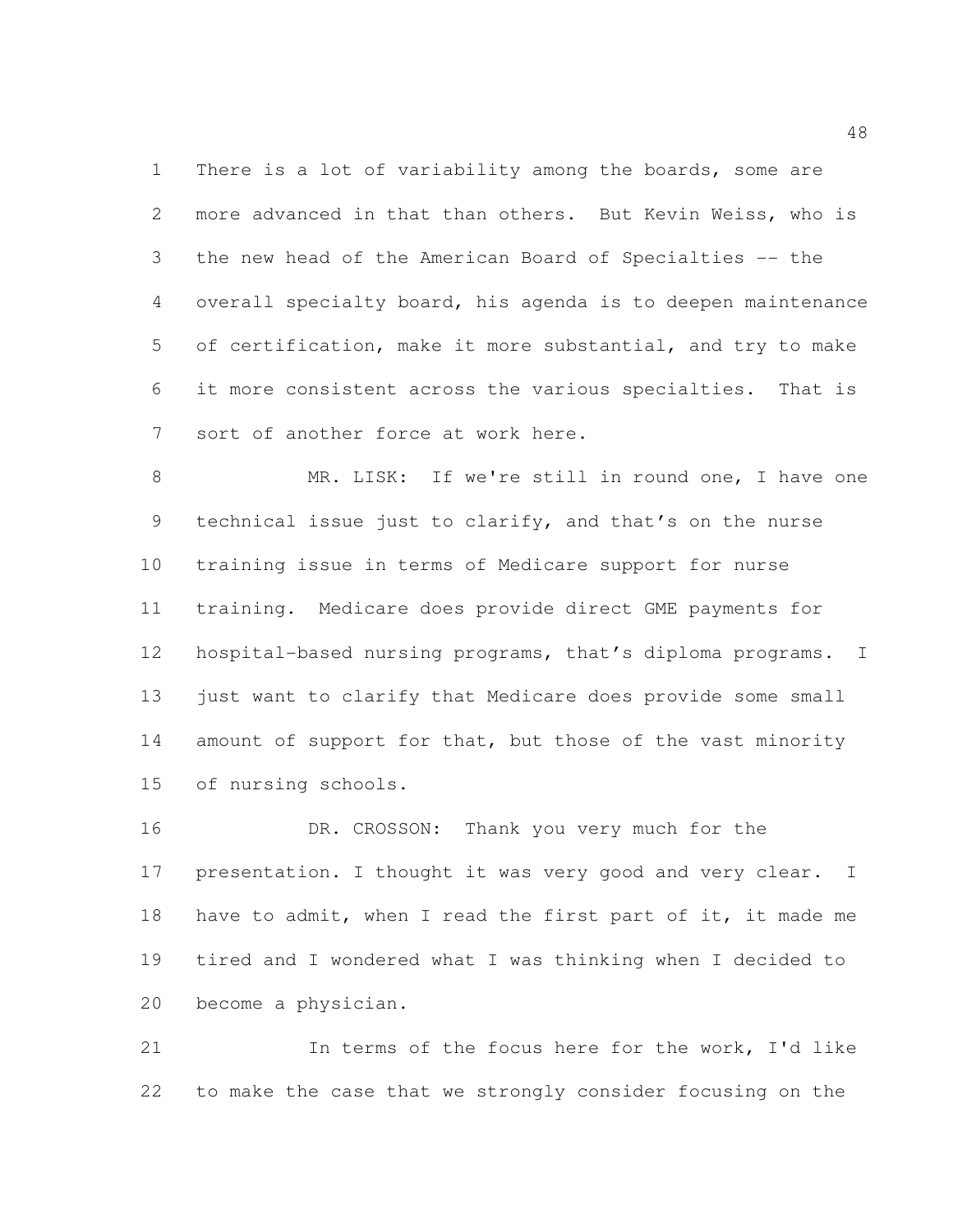There is a lot of variability among the boards, some are more advanced in that than others. But Kevin Weiss, who is the new head of the American Board of Specialties -- the overall specialty board, his agenda is to deepen maintenance of certification, make it more substantial, and try to make it more consistent across the various specialties. That is sort of another force at work here.

 MR. LISK: If we're still in round one, I have one technical issue just to clarify, and that's on the nurse training issue in terms of Medicare support for nurse training. Medicare does provide direct GME payments for hospital-based nursing programs, that's diploma programs. I 13 just want to clarify that Medicare does provide some small 14 amount of support for that, but those of the vast minority of nursing schools.

16 DR. CROSSON: Thank you very much for the 17 presentation. I thought it was very good and very clear. I 18 have to admit, when I read the first part of it, it made me tired and I wondered what I was thinking when I decided to become a physician.

 In terms of the focus here for the work, I'd like to make the case that we strongly consider focusing on the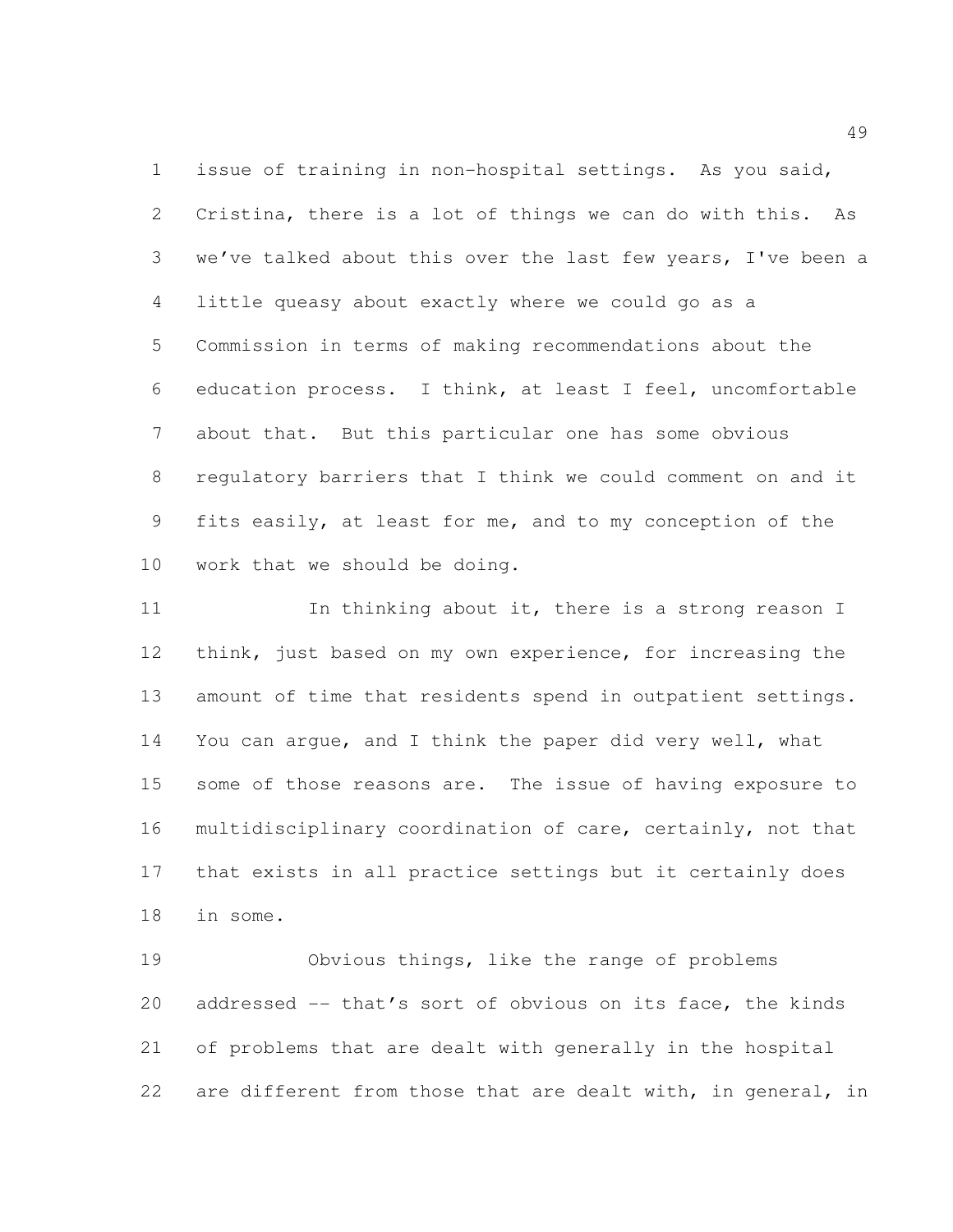issue of training in non-hospital settings. As you said, Cristina, there is a lot of things we can do with this. As we've talked about this over the last few years, I've been a little queasy about exactly where we could go as a Commission in terms of making recommendations about the education process. I think, at least I feel, uncomfortable about that. But this particular one has some obvious regulatory barriers that I think we could comment on and it fits easily, at least for me, and to my conception of the work that we should be doing.

11 In thinking about it, there is a strong reason I think, just based on my own experience, for increasing the 13 amount of time that residents spend in outpatient settings. You can argue, and I think the paper did very well, what some of those reasons are. The issue of having exposure to multidisciplinary coordination of care, certainly, not that that exists in all practice settings but it certainly does in some.

 Obvious things, like the range of problems 20 addressed -- that's sort of obvious on its face, the kinds of problems that are dealt with generally in the hospital are different from those that are dealt with, in general, in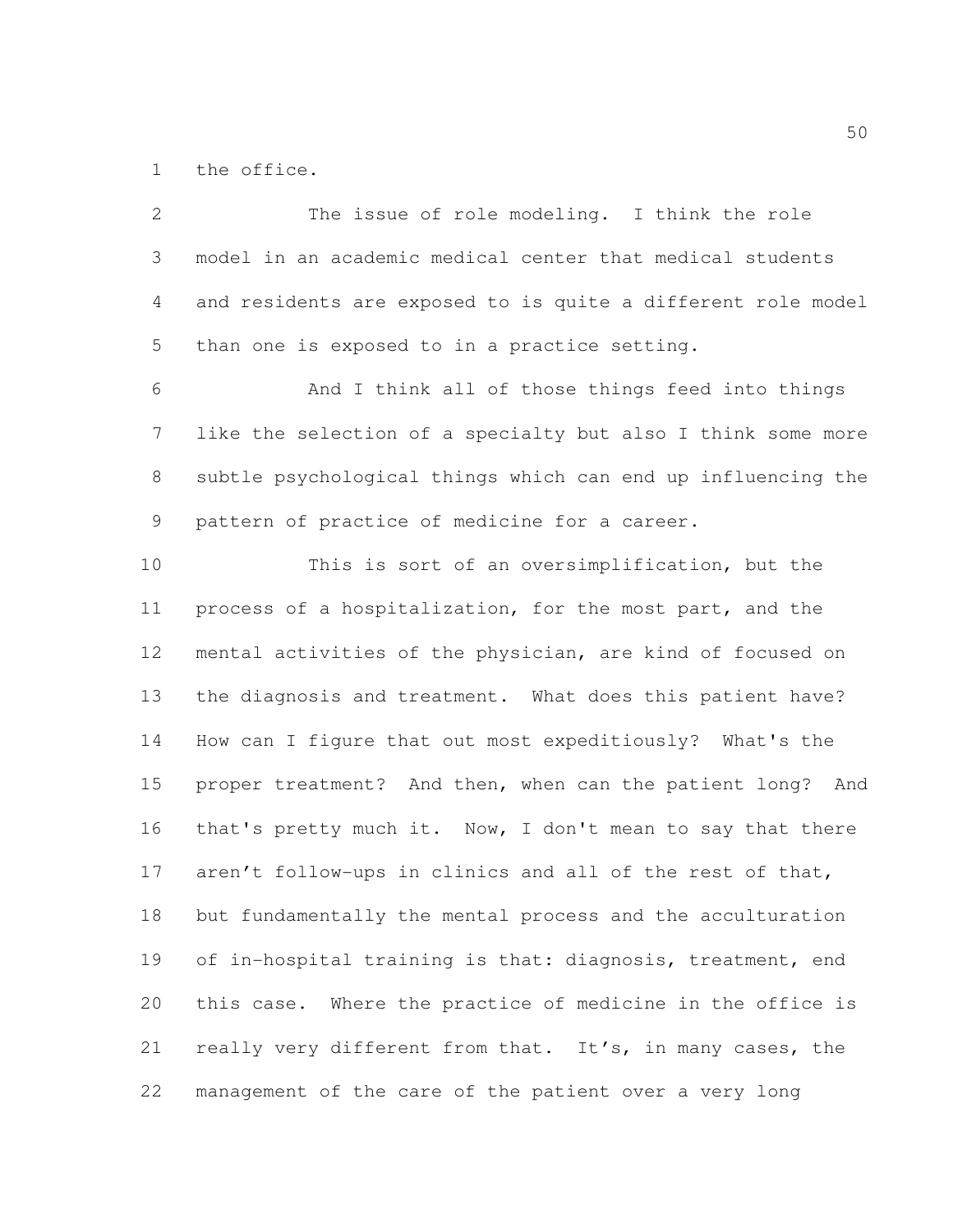the office.

 The issue of role modeling. I think the role model in an academic medical center that medical students and residents are exposed to is quite a different role model than one is exposed to in a practice setting. And I think all of those things feed into things like the selection of a specialty but also I think some more subtle psychological things which can end up influencing the pattern of practice of medicine for a career. This is sort of an oversimplification, but the process of a hospitalization, for the most part, and the mental activities of the physician, are kind of focused on the diagnosis and treatment. What does this patient have? How can I figure that out most expeditiously? What's the proper treatment? And then, when can the patient long? And that's pretty much it. Now, I don't mean to say that there aren't follow-ups in clinics and all of the rest of that, but fundamentally the mental process and the acculturation 19 of in-hospital training is that: diagnosis, treatment, end this case. Where the practice of medicine in the office is really very different from that. It's, in many cases, the management of the care of the patient over a very long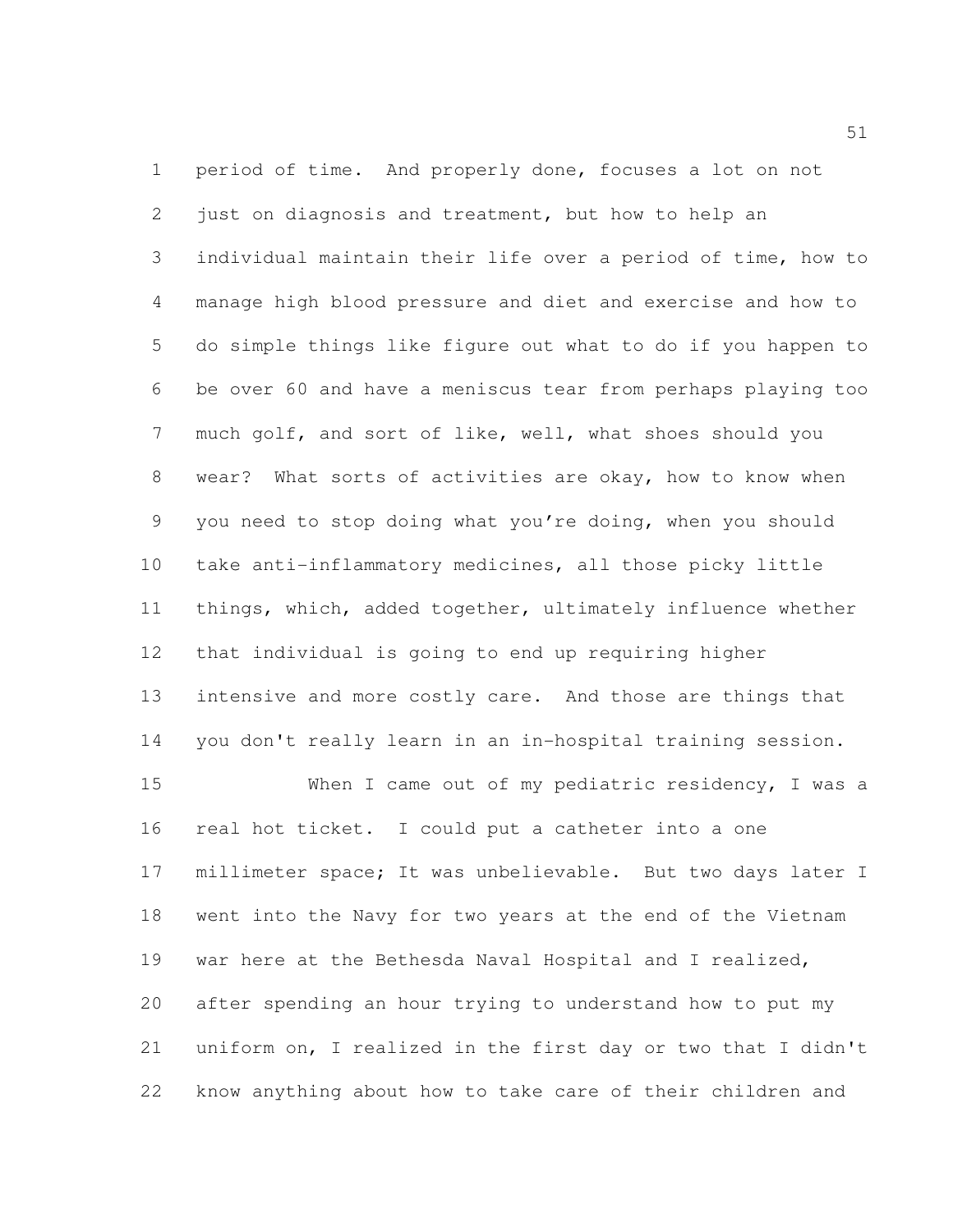period of time. And properly done, focuses a lot on not just on diagnosis and treatment, but how to help an individual maintain their life over a period of time, how to manage high blood pressure and diet and exercise and how to do simple things like figure out what to do if you happen to be over 60 and have a meniscus tear from perhaps playing too much golf, and sort of like, well, what shoes should you wear? What sorts of activities are okay, how to know when you need to stop doing what you're doing, when you should take anti-inflammatory medicines, all those picky little things, which, added together, ultimately influence whether that individual is going to end up requiring higher intensive and more costly care. And those are things that you don't really learn in an in-hospital training session. When I came out of my pediatric residency, I was a real hot ticket. I could put a catheter into a one millimeter space; It was unbelievable. But two days later I went into the Navy for two years at the end of the Vietnam

 war here at the Bethesda Naval Hospital and I realized, after spending an hour trying to understand how to put my uniform on, I realized in the first day or two that I didn't know anything about how to take care of their children and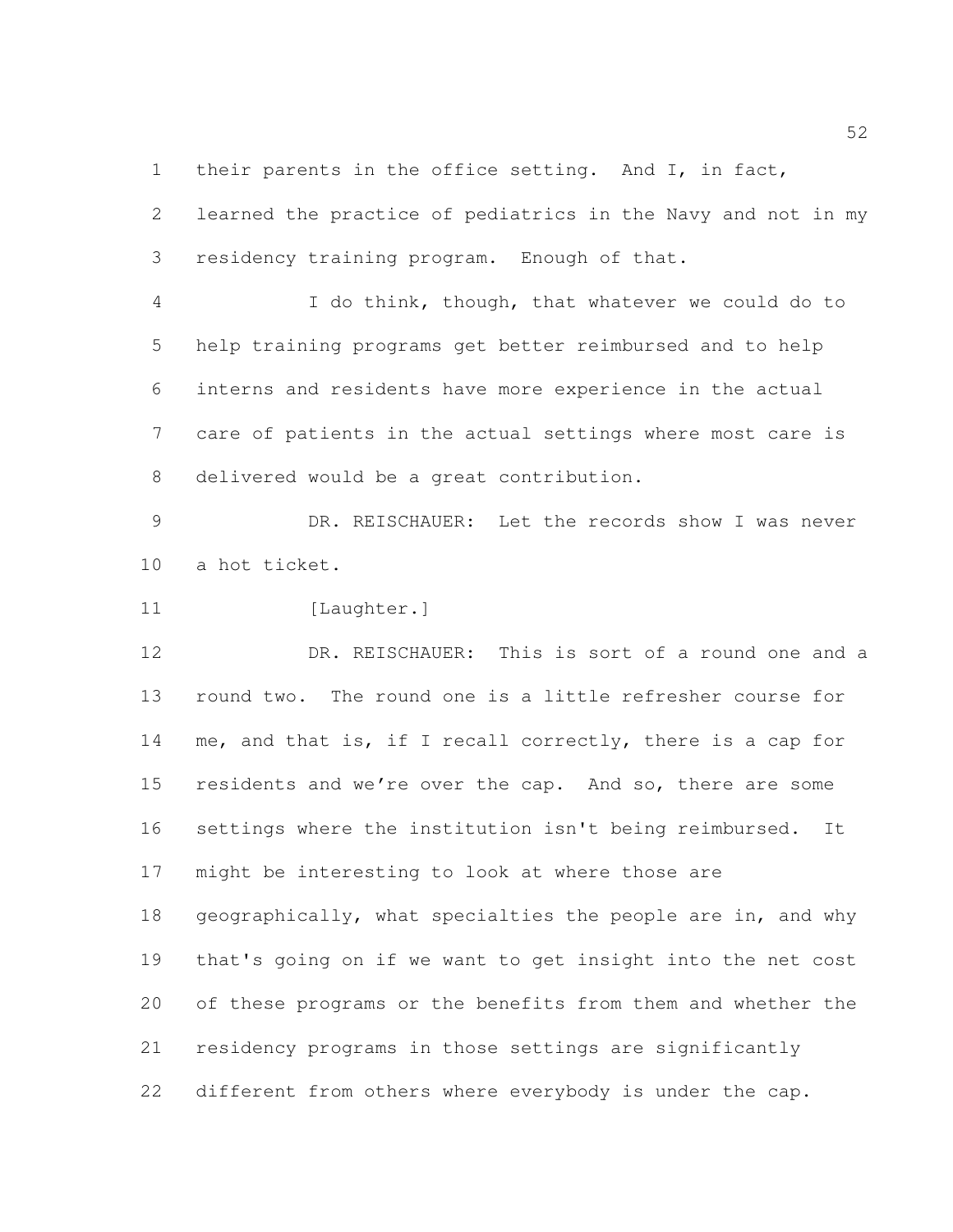1 their parents in the office setting. And I, in fact,

 learned the practice of pediatrics in the Navy and not in my residency training program. Enough of that.

 I do think, though, that whatever we could do to help training programs get better reimbursed and to help interns and residents have more experience in the actual care of patients in the actual settings where most care is delivered would be a great contribution.

 DR. REISCHAUER: Let the records show I was never a hot ticket.

11 [Laughter.]

 DR. REISCHAUER: This is sort of a round one and a round two. The round one is a little refresher course for me, and that is, if I recall correctly, there is a cap for residents and we're over the cap. And so, there are some settings where the institution isn't being reimbursed. It might be interesting to look at where those are 18 geographically, what specialties the people are in, and why

 that's going on if we want to get insight into the net cost of these programs or the benefits from them and whether the residency programs in those settings are significantly different from others where everybody is under the cap.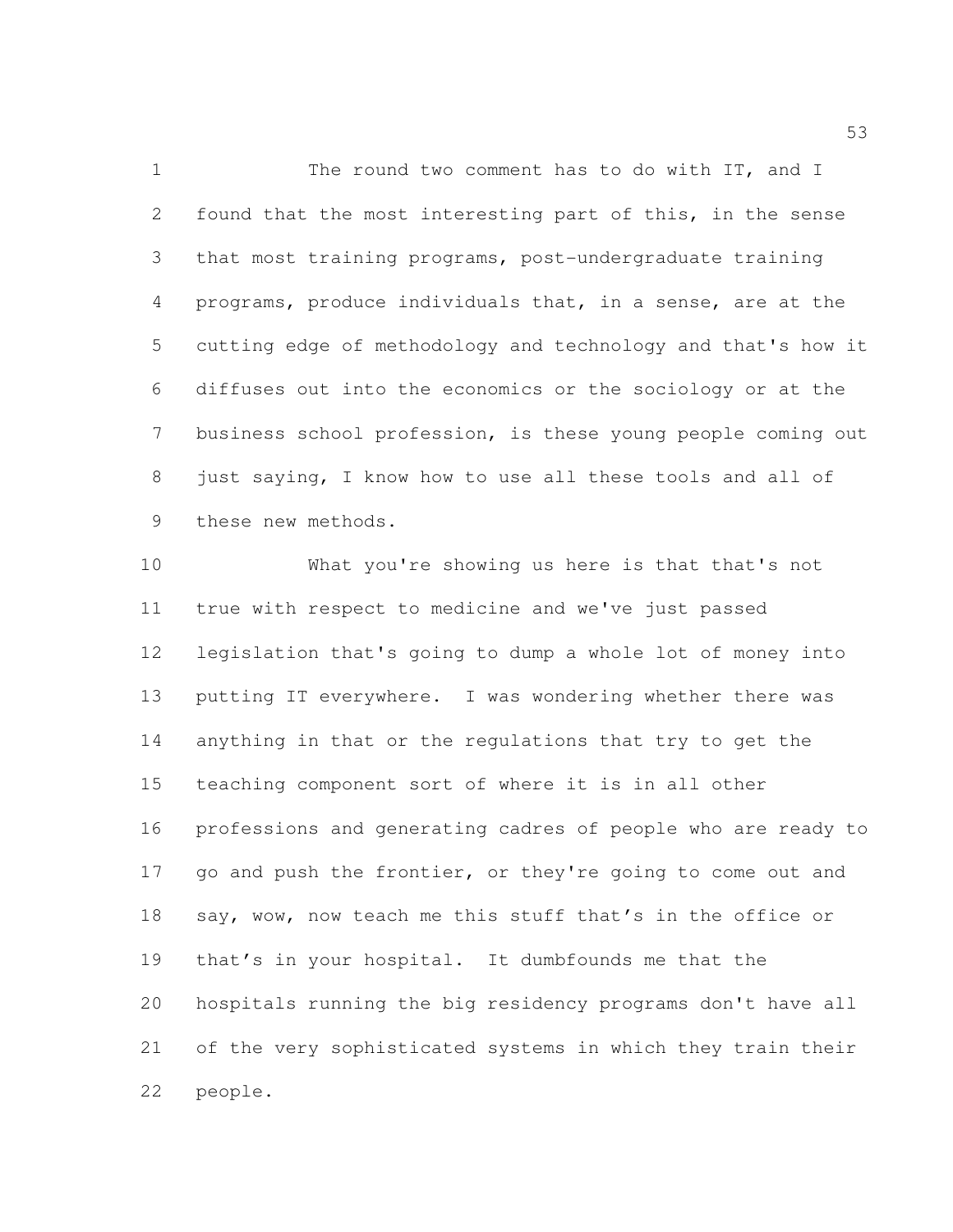1 The round two comment has to do with IT, and I found that the most interesting part of this, in the sense that most training programs, post-undergraduate training programs, produce individuals that, in a sense, are at the cutting edge of methodology and technology and that's how it diffuses out into the economics or the sociology or at the business school profession, is these young people coming out just saying, I know how to use all these tools and all of these new methods.

 What you're showing us here is that that's not true with respect to medicine and we've just passed legislation that's going to dump a whole lot of money into putting IT everywhere. I was wondering whether there was anything in that or the regulations that try to get the teaching component sort of where it is in all other professions and generating cadres of people who are ready to 17 go and push the frontier, or they're going to come out and 18 say, wow, now teach me this stuff that's in the office or that's in your hospital. It dumbfounds me that the hospitals running the big residency programs don't have all of the very sophisticated systems in which they train their people.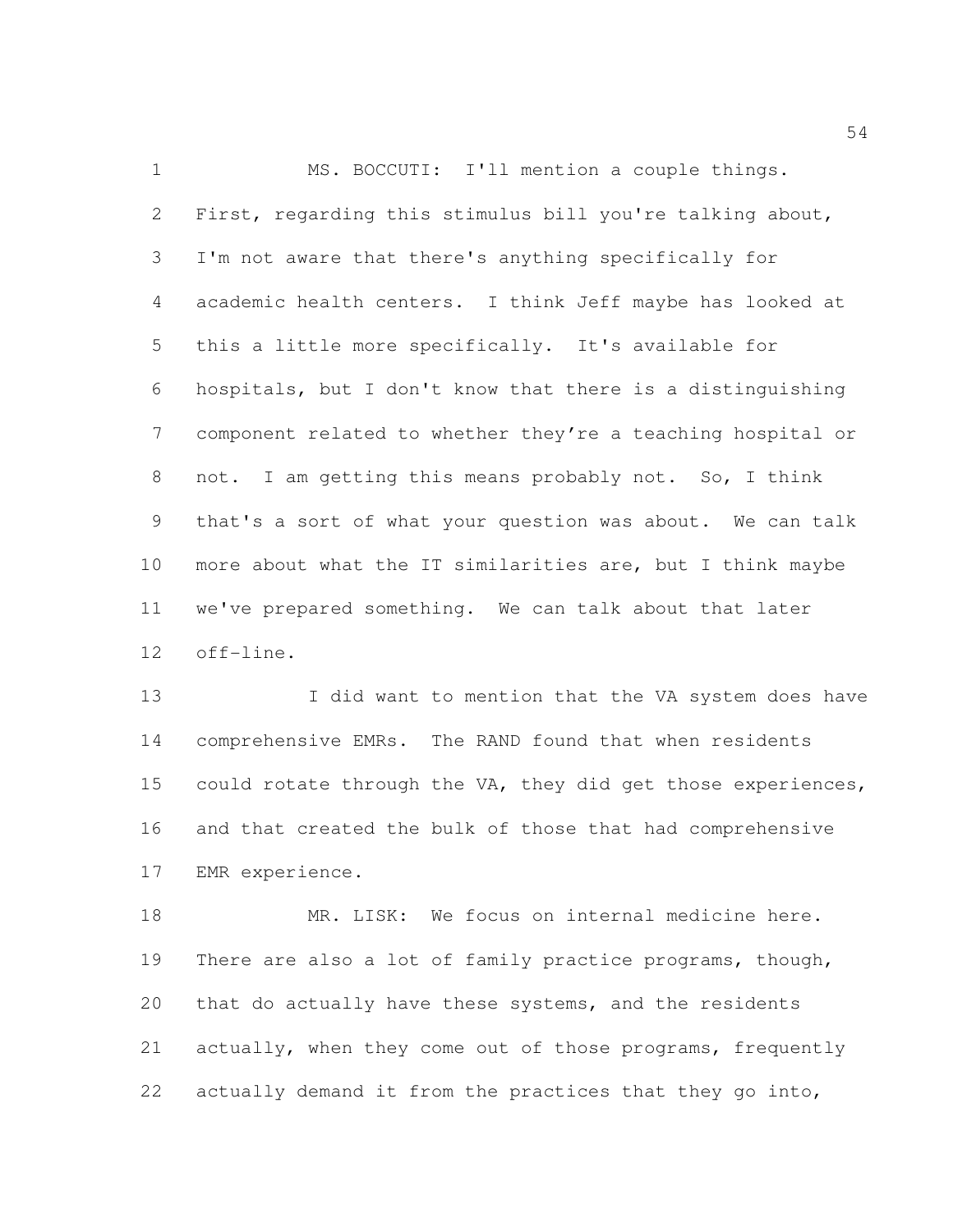MS. BOCCUTI: I'll mention a couple things. First, regarding this stimulus bill you're talking about, I'm not aware that there's anything specifically for academic health centers. I think Jeff maybe has looked at this a little more specifically. It's available for hospitals, but I don't know that there is a distinguishing component related to whether they're a teaching hospital or not. I am getting this means probably not. So, I think that's a sort of what your question was about. We can talk more about what the IT similarities are, but I think maybe we've prepared something. We can talk about that later off-line.

13 I did want to mention that the VA system does have comprehensive EMRs. The RAND found that when residents could rotate through the VA, they did get those experiences, and that created the bulk of those that had comprehensive EMR experience.

 MR. LISK: We focus on internal medicine here. 19 There are also a lot of family practice programs, though, that do actually have these systems, and the residents 21 actually, when they come out of those programs, frequently actually demand it from the practices that they go into,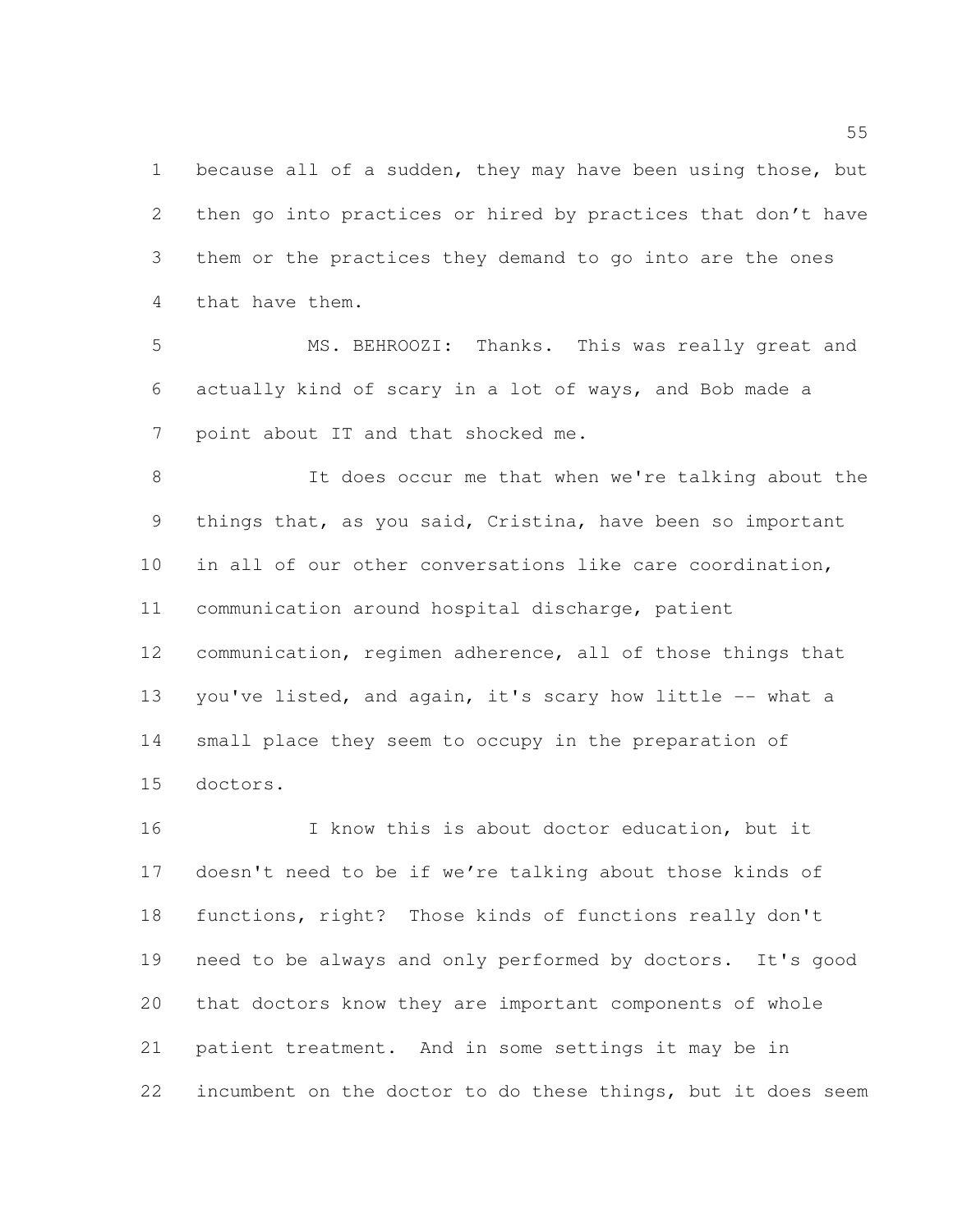1 because all of a sudden, they may have been using those, but then go into practices or hired by practices that don't have them or the practices they demand to go into are the ones that have them.

 MS. BEHROOZI: Thanks. This was really great and actually kind of scary in a lot of ways, and Bob made a point about IT and that shocked me.

 It does occur me that when we're talking about the things that, as you said, Cristina, have been so important in all of our other conversations like care coordination, communication around hospital discharge, patient communication, regimen adherence, all of those things that 13 you've listed, and again, it's scary how little -- what a small place they seem to occupy in the preparation of doctors.

 I know this is about doctor education, but it doesn't need to be if we're talking about those kinds of functions, right? Those kinds of functions really don't need to be always and only performed by doctors. It's good that doctors know they are important components of whole patient treatment. And in some settings it may be in incumbent on the doctor to do these things, but it does seem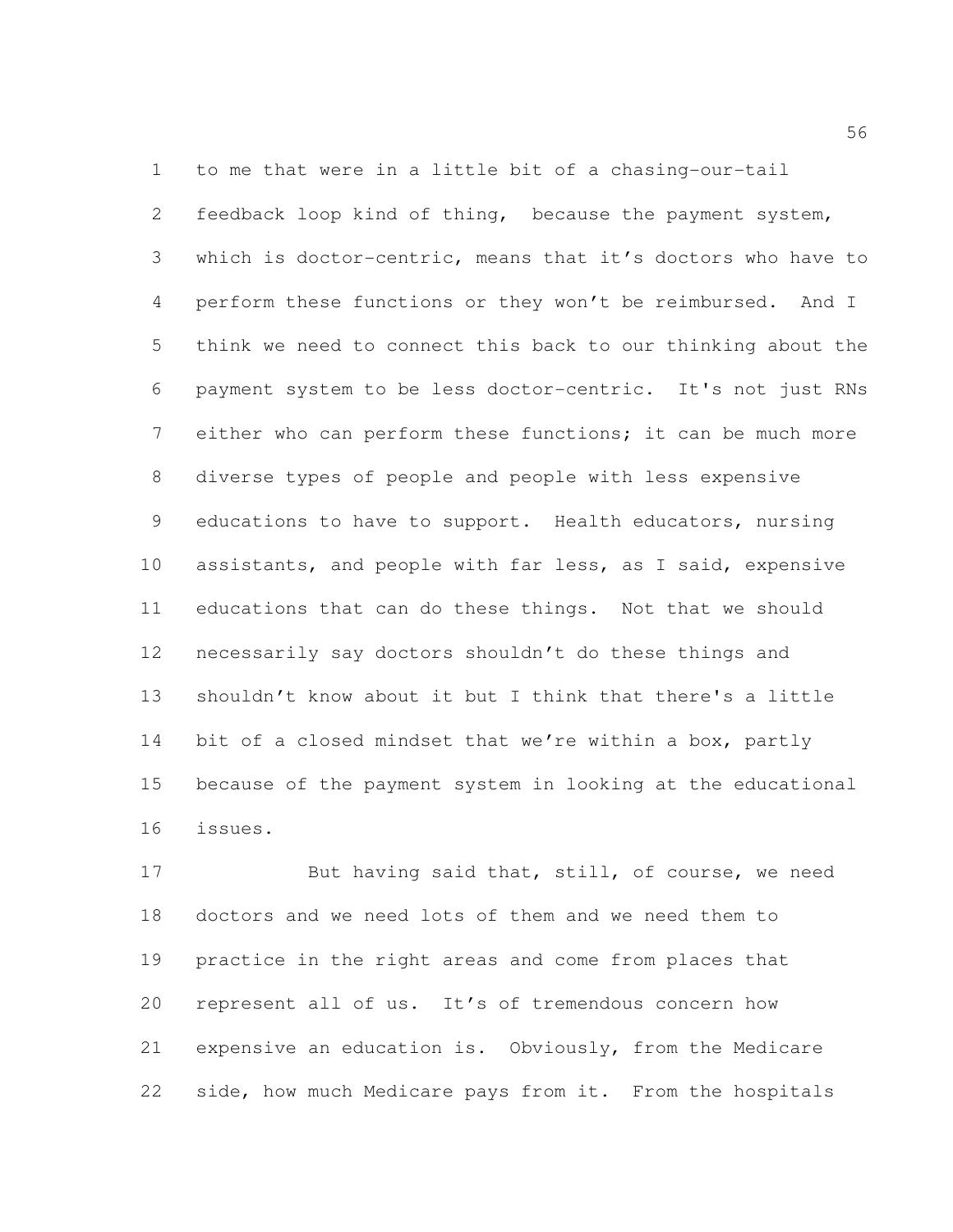to me that were in a little bit of a chasing-our-tail feedback loop kind of thing, because the payment system, which is doctor-centric, means that it's doctors who have to perform these functions or they won't be reimbursed. And I think we need to connect this back to our thinking about the payment system to be less doctor-centric. It's not just RNs either who can perform these functions; it can be much more diverse types of people and people with less expensive educations to have to support. Health educators, nursing assistants, and people with far less, as I said, expensive educations that can do these things. Not that we should necessarily say doctors shouldn't do these things and shouldn't know about it but I think that there's a little 14 bit of a closed mindset that we're within a box, partly because of the payment system in looking at the educational issues.

 But having said that, still, of course, we need doctors and we need lots of them and we need them to practice in the right areas and come from places that represent all of us. It's of tremendous concern how expensive an education is. Obviously, from the Medicare side, how much Medicare pays from it. From the hospitals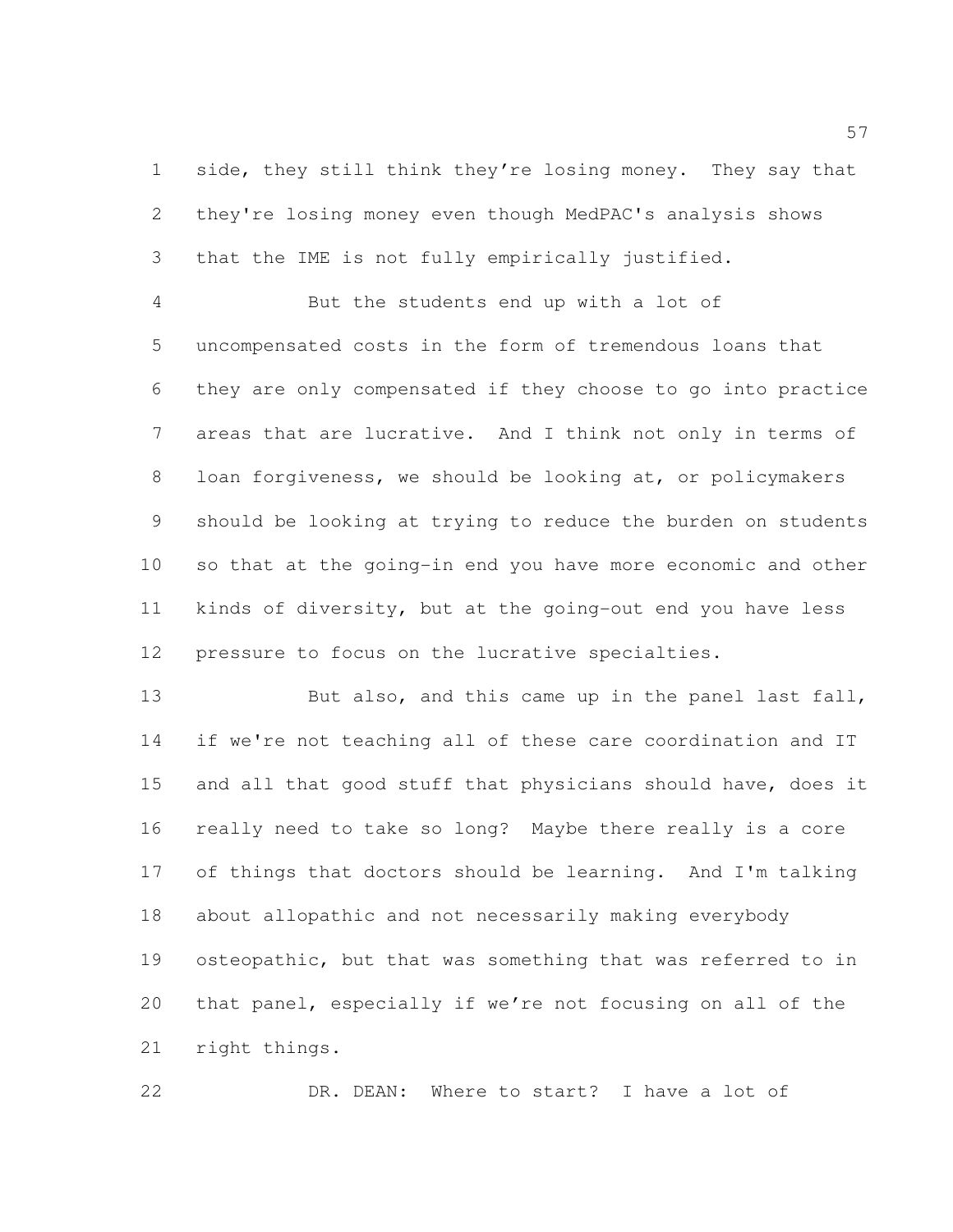side, they still think they're losing money. They say that they're losing money even though MedPAC's analysis shows that the IME is not fully empirically justified.

 But the students end up with a lot of uncompensated costs in the form of tremendous loans that they are only compensated if they choose to go into practice areas that are lucrative. And I think not only in terms of loan forgiveness, we should be looking at, or policymakers should be looking at trying to reduce the burden on students so that at the going-in end you have more economic and other kinds of diversity, but at the going-out end you have less pressure to focus on the lucrative specialties.

13 But also, and this came up in the panel last fall, if we're not teaching all of these care coordination and IT 15 and all that good stuff that physicians should have, does it really need to take so long? Maybe there really is a core of things that doctors should be learning. And I'm talking about allopathic and not necessarily making everybody osteopathic, but that was something that was referred to in that panel, especially if we're not focusing on all of the right things.

DR. DEAN: Where to start? I have a lot of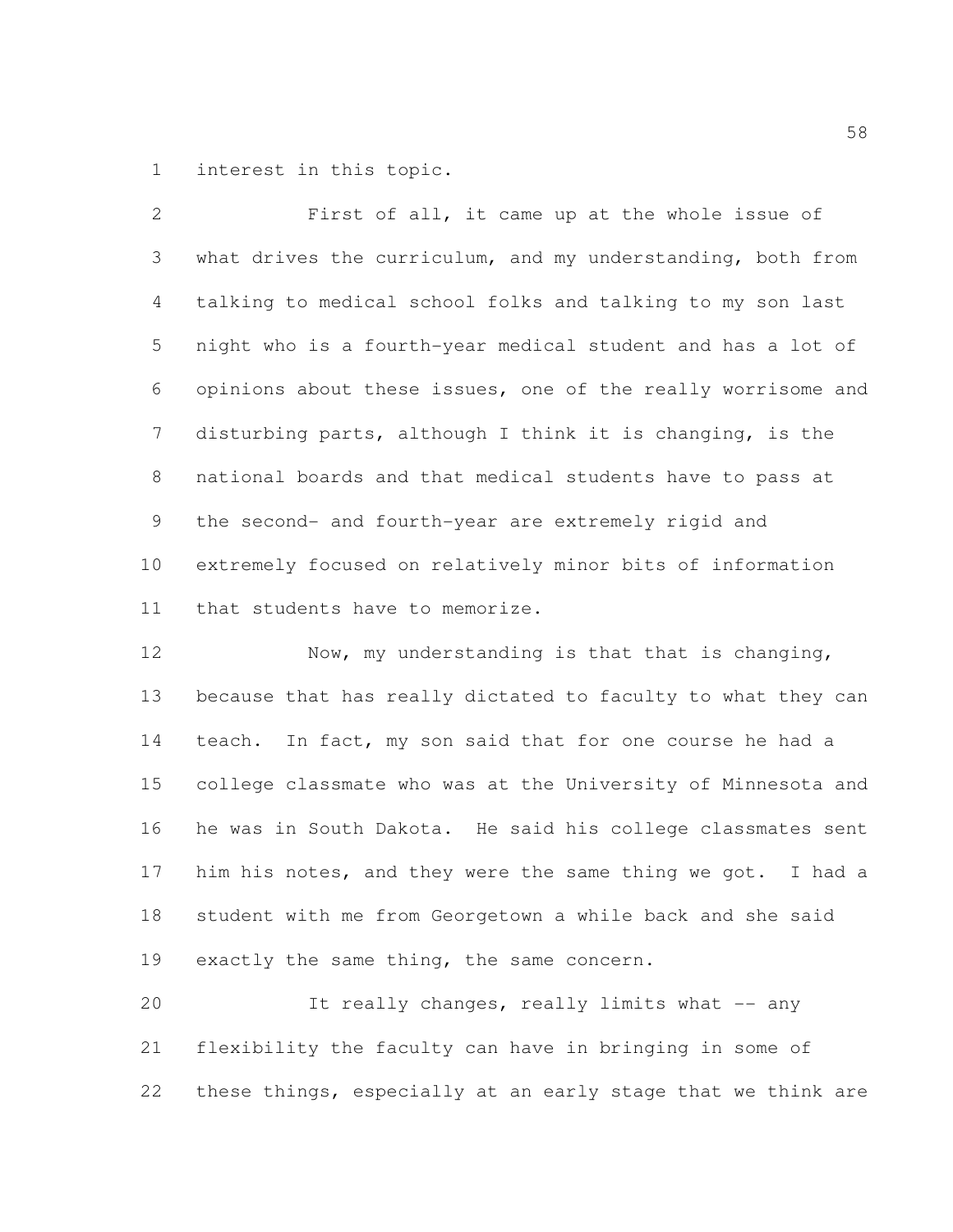interest in this topic.

 First of all, it came up at the whole issue of what drives the curriculum, and my understanding, both from talking to medical school folks and talking to my son last night who is a fourth-year medical student and has a lot of opinions about these issues, one of the really worrisome and disturbing parts, although I think it is changing, is the national boards and that medical students have to pass at the second- and fourth-year are extremely rigid and extremely focused on relatively minor bits of information that students have to memorize.

12 Now, my understanding is that that is changing, because that has really dictated to faculty to what they can teach. In fact, my son said that for one course he had a college classmate who was at the University of Minnesota and he was in South Dakota. He said his college classmates sent him his notes, and they were the same thing we got. I had a student with me from Georgetown a while back and she said 19 exactly the same thing, the same concern.

 It really changes, really limits what -- any flexibility the faculty can have in bringing in some of these things, especially at an early stage that we think are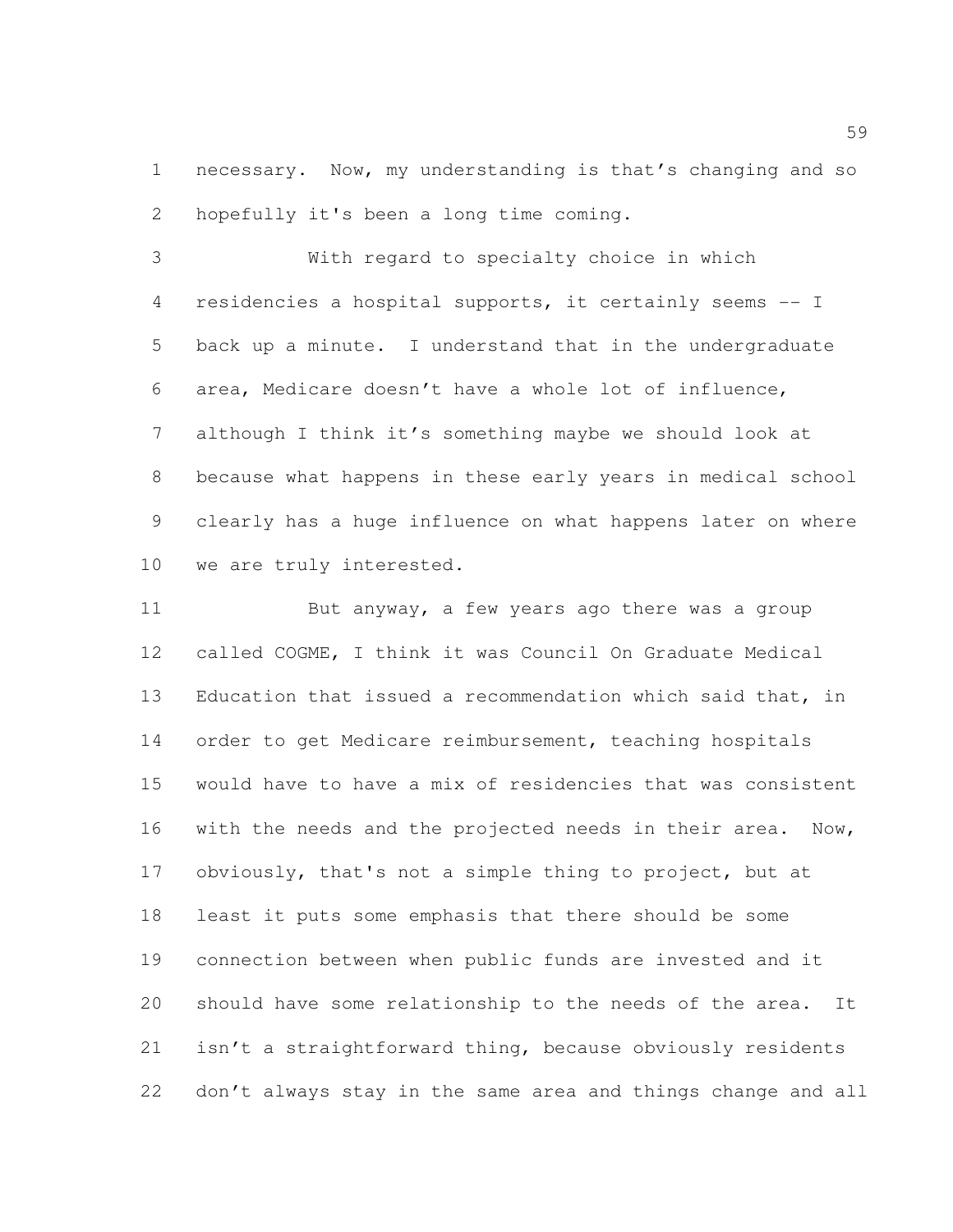necessary. Now, my understanding is that's changing and so hopefully it's been a long time coming.

 With regard to specialty choice in which residencies a hospital supports, it certainly seems -- I back up a minute. I understand that in the undergraduate area, Medicare doesn't have a whole lot of influence, although I think it's something maybe we should look at because what happens in these early years in medical school clearly has a huge influence on what happens later on where we are truly interested.

11 But anyway, a few years ago there was a group called COGME, I think it was Council On Graduate Medical Education that issued a recommendation which said that, in order to get Medicare reimbursement, teaching hospitals would have to have a mix of residencies that was consistent with the needs and the projected needs in their area. Now, obviously, that's not a simple thing to project, but at least it puts some emphasis that there should be some connection between when public funds are invested and it should have some relationship to the needs of the area. It isn't a straightforward thing, because obviously residents don't always stay in the same area and things change and all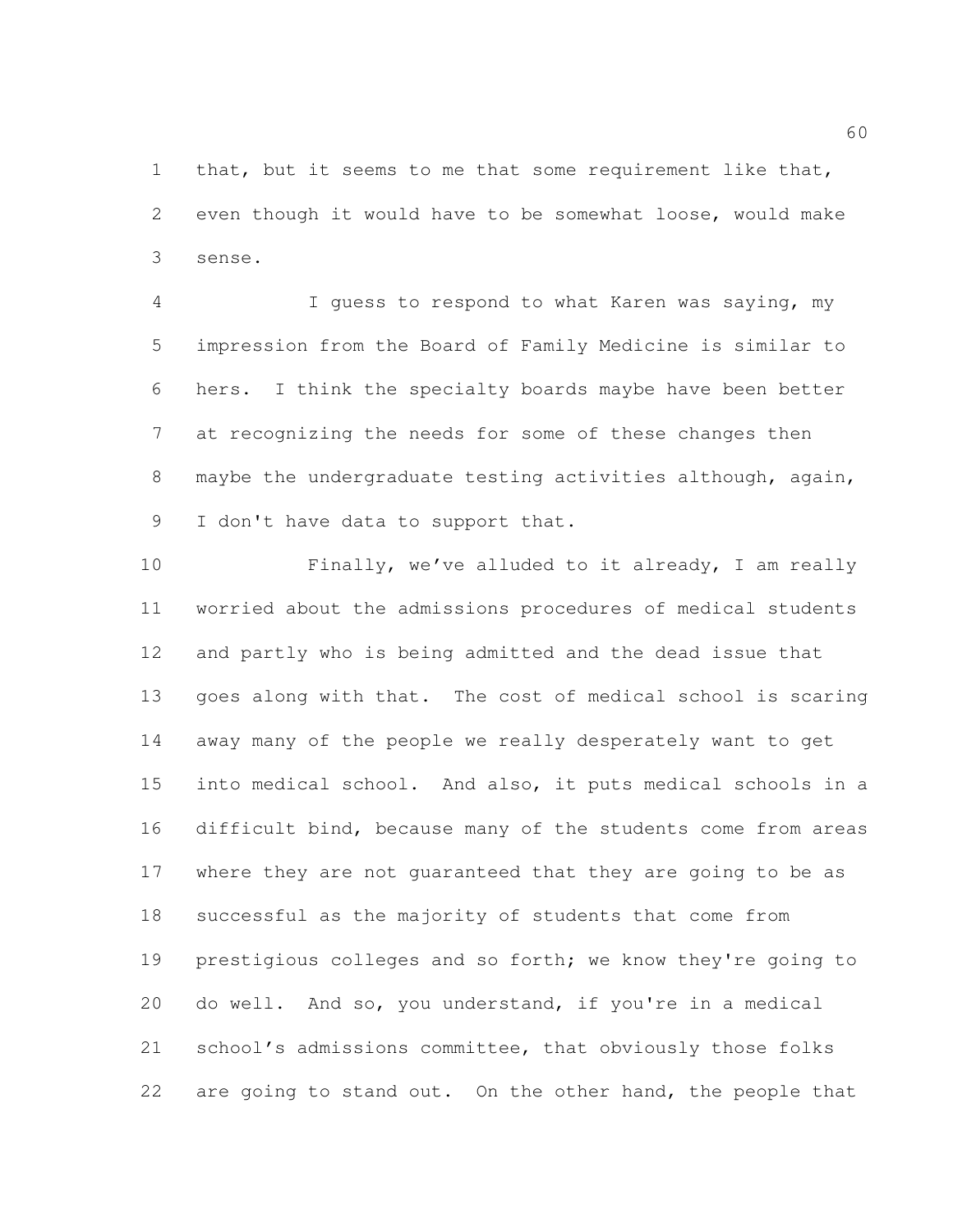that, but it seems to me that some requirement like that, even though it would have to be somewhat loose, would make sense.

 I guess to respond to what Karen was saying, my impression from the Board of Family Medicine is similar to hers. I think the specialty boards maybe have been better at recognizing the needs for some of these changes then maybe the undergraduate testing activities although, again, 9 I don't have data to support that.

 Finally, we've alluded to it already, I am really worried about the admissions procedures of medical students and partly who is being admitted and the dead issue that goes along with that. The cost of medical school is scaring away many of the people we really desperately want to get into medical school. And also, it puts medical schools in a difficult bind, because many of the students come from areas where they are not guaranteed that they are going to be as successful as the majority of students that come from prestigious colleges and so forth; we know they're going to do well. And so, you understand, if you're in a medical school's admissions committee, that obviously those folks 22 are going to stand out. On the other hand, the people that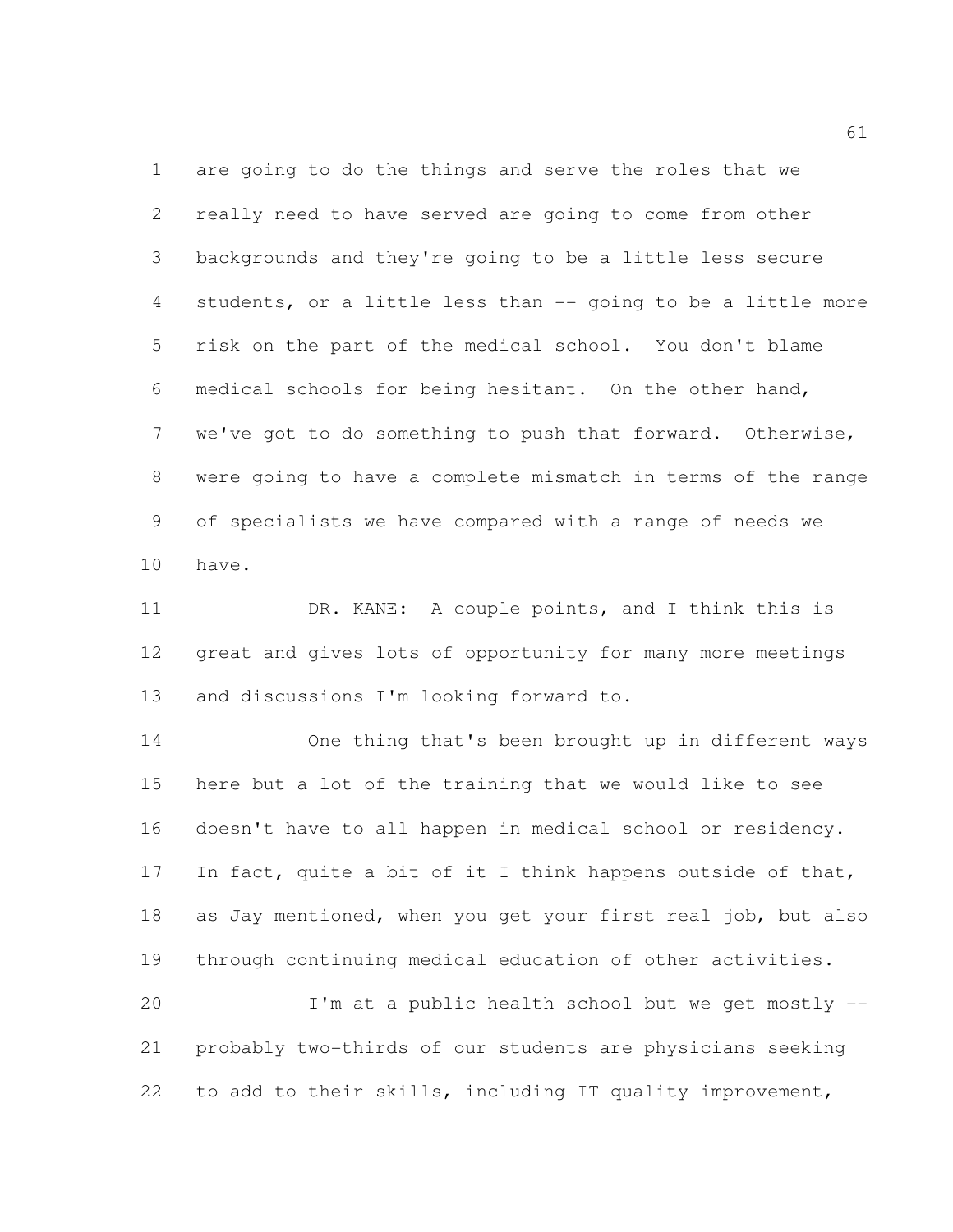are going to do the things and serve the roles that we really need to have served are going to come from other backgrounds and they're going to be a little less secure students, or a little less than -- going to be a little more risk on the part of the medical school. You don't blame medical schools for being hesitant. On the other hand, we've got to do something to push that forward. Otherwise, were going to have a complete mismatch in terms of the range of specialists we have compared with a range of needs we have.

 DR. KANE: A couple points, and I think this is great and gives lots of opportunity for many more meetings and discussions I'm looking forward to.

 One thing that's been brought up in different ways here but a lot of the training that we would like to see doesn't have to all happen in medical school or residency. 17 In fact, quite a bit of it I think happens outside of that, as Jay mentioned, when you get your first real job, but also through continuing medical education of other activities.

 I'm at a public health school but we get mostly -- probably two-thirds of our students are physicians seeking to add to their skills, including IT quality improvement,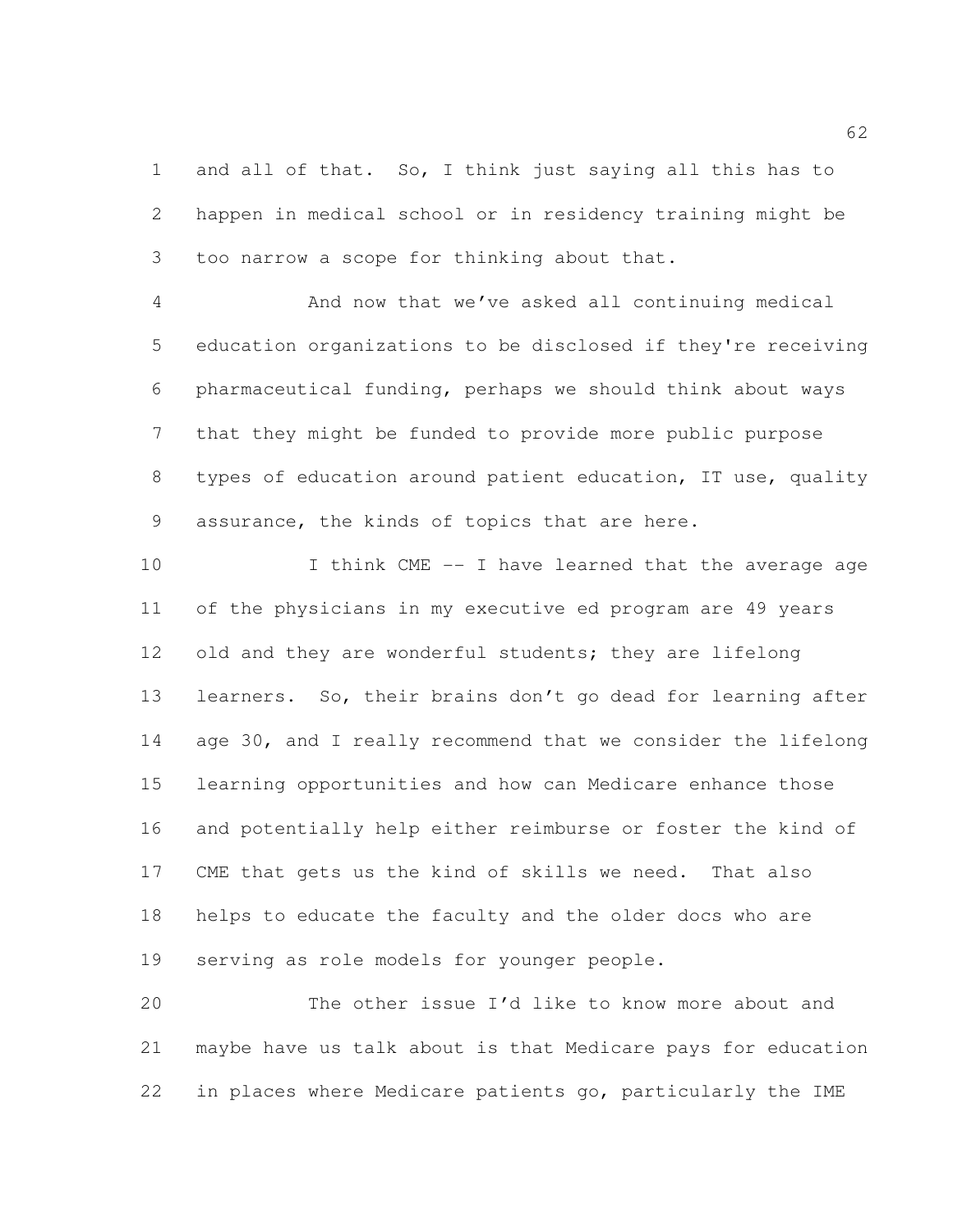and all of that. So, I think just saying all this has to happen in medical school or in residency training might be too narrow a scope for thinking about that.

 And now that we've asked all continuing medical education organizations to be disclosed if they're receiving pharmaceutical funding, perhaps we should think about ways that they might be funded to provide more public purpose types of education around patient education, IT use, quality assurance, the kinds of topics that are here.

10 I think CME -- I have learned that the average age of the physicians in my executive ed program are 49 years 12 old and they are wonderful students; they are lifelong learners. So, their brains don't go dead for learning after age 30, and I really recommend that we consider the lifelong learning opportunities and how can Medicare enhance those and potentially help either reimburse or foster the kind of CME that gets us the kind of skills we need. That also helps to educate the faculty and the older docs who are serving as role models for younger people.

 The other issue I'd like to know more about and maybe have us talk about is that Medicare pays for education in places where Medicare patients go, particularly the IME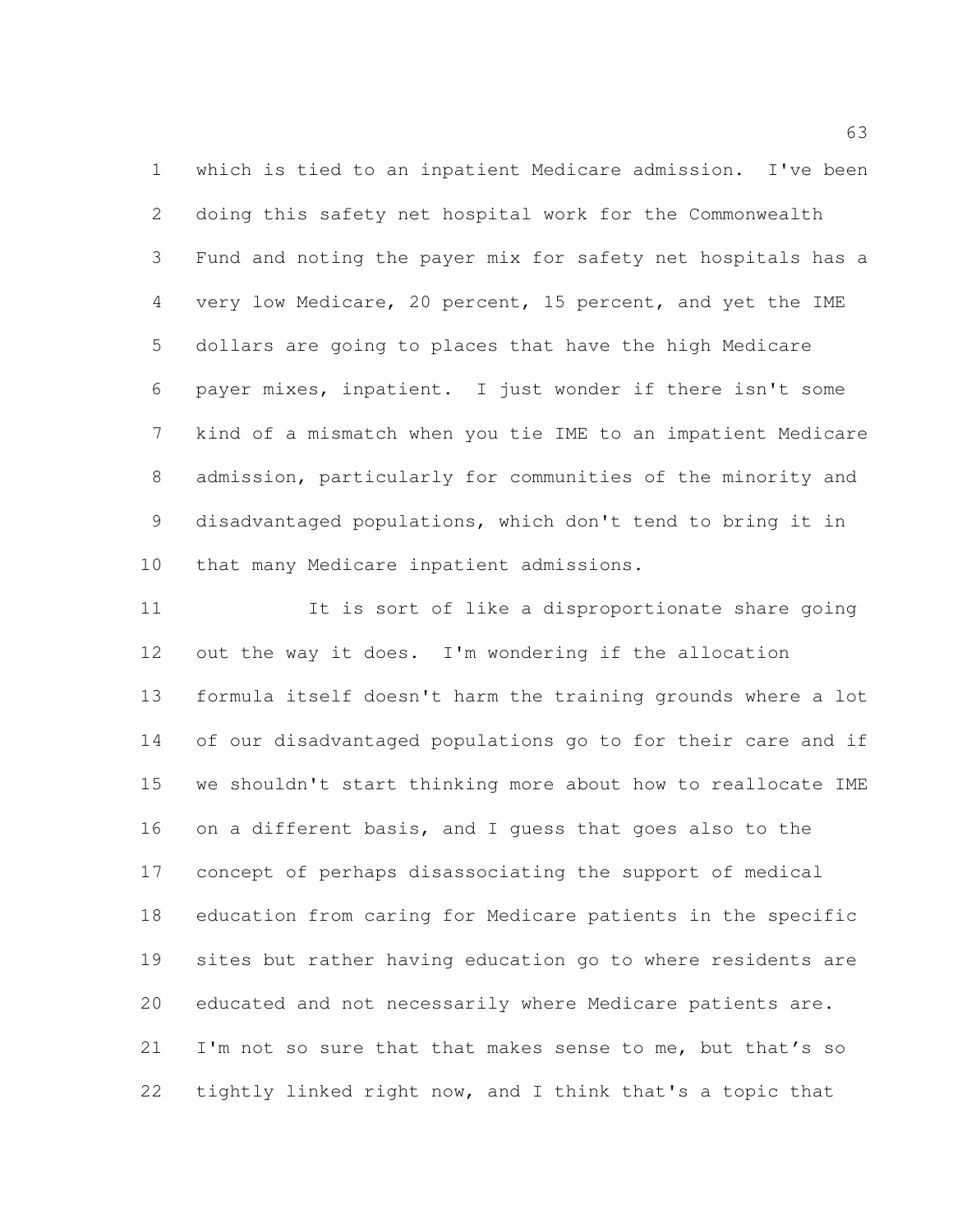which is tied to an inpatient Medicare admission. I've been doing this safety net hospital work for the Commonwealth Fund and noting the payer mix for safety net hospitals has a very low Medicare, 20 percent, 15 percent, and yet the IME dollars are going to places that have the high Medicare payer mixes, inpatient. I just wonder if there isn't some kind of a mismatch when you tie IME to an impatient Medicare admission, particularly for communities of the minority and disadvantaged populations, which don't tend to bring it in 10 that many Medicare inpatient admissions.

 It is sort of like a disproportionate share going out the way it does. I'm wondering if the allocation formula itself doesn't harm the training grounds where a lot of our disadvantaged populations go to for their care and if we shouldn't start thinking more about how to reallocate IME on a different basis, and I guess that goes also to the concept of perhaps disassociating the support of medical education from caring for Medicare patients in the specific sites but rather having education go to where residents are educated and not necessarily where Medicare patients are. 21 I'm not so sure that that makes sense to me, but that's so tightly linked right now, and I think that's a topic that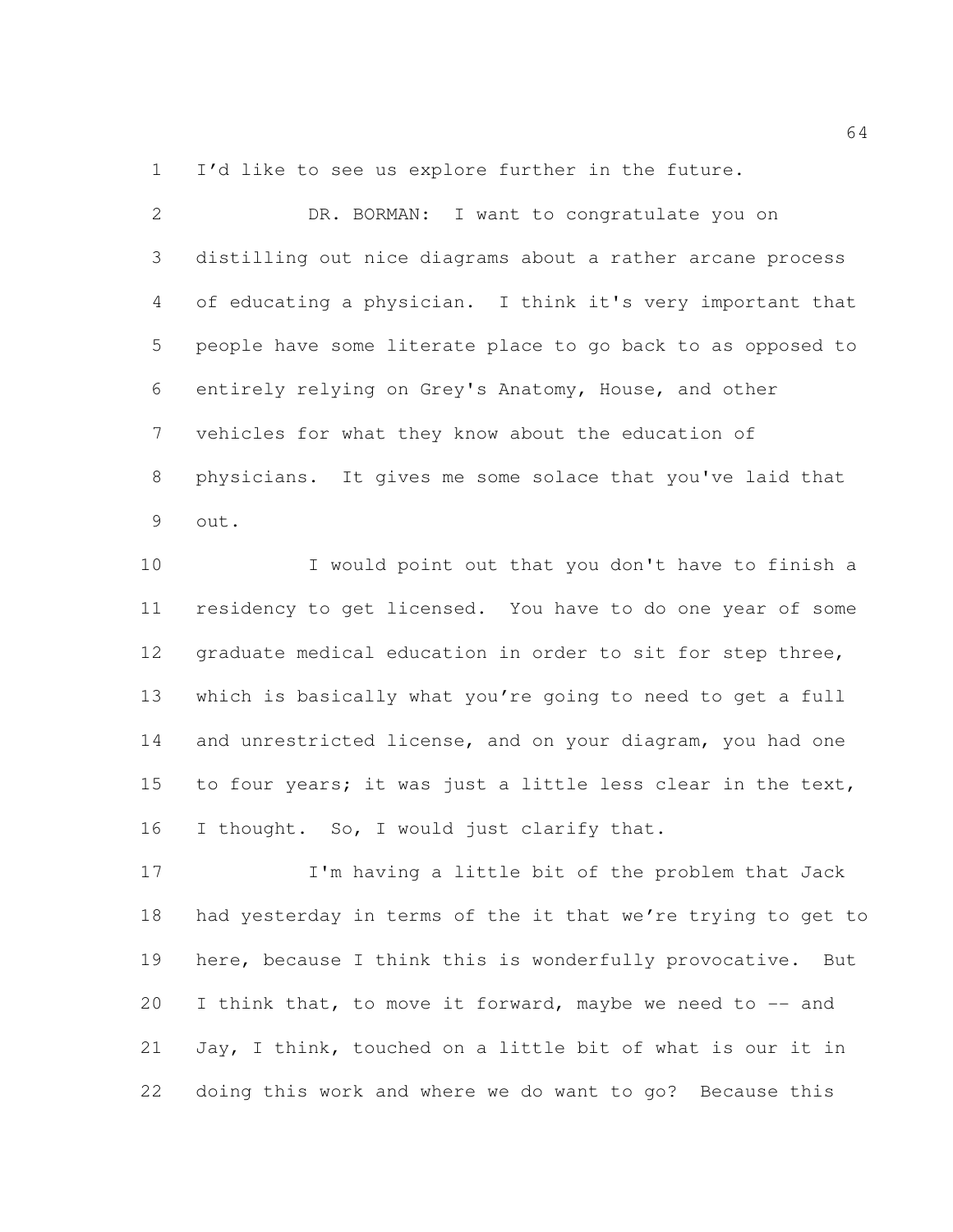I'd like to see us explore further in the future.

| $\mathcal{L}$  | DR. BORMAN: I want to congratulate you on                   |
|----------------|-------------------------------------------------------------|
| 3 <sup>7</sup> | distilling out nice diagrams about a rather arcane process  |
| 4              | of educating a physician. I think it's very important that  |
| 5              | people have some literate place to go back to as opposed to |
| 6              | entirely relying on Grey's Anatomy, House, and other        |
| $7\phantom{0}$ | vehicles for what they know about the education of          |
| 8              | physicians. It gives me some solace that you've laid that   |
| 9              | out.                                                        |

 I would point out that you don't have to finish a residency to get licensed. You have to do one year of some graduate medical education in order to sit for step three, which is basically what you're going to need to get a full and unrestricted license, and on your diagram, you had one to four years; it was just a little less clear in the text, 16 I thought. So, I would just clarify that.

17 I'm having a little bit of the problem that Jack had yesterday in terms of the it that we're trying to get to here, because I think this is wonderfully provocative. But 20 I think that, to move it forward, maybe we need to -- and Jay, I think, touched on a little bit of what is our it in doing this work and where we do want to go? Because this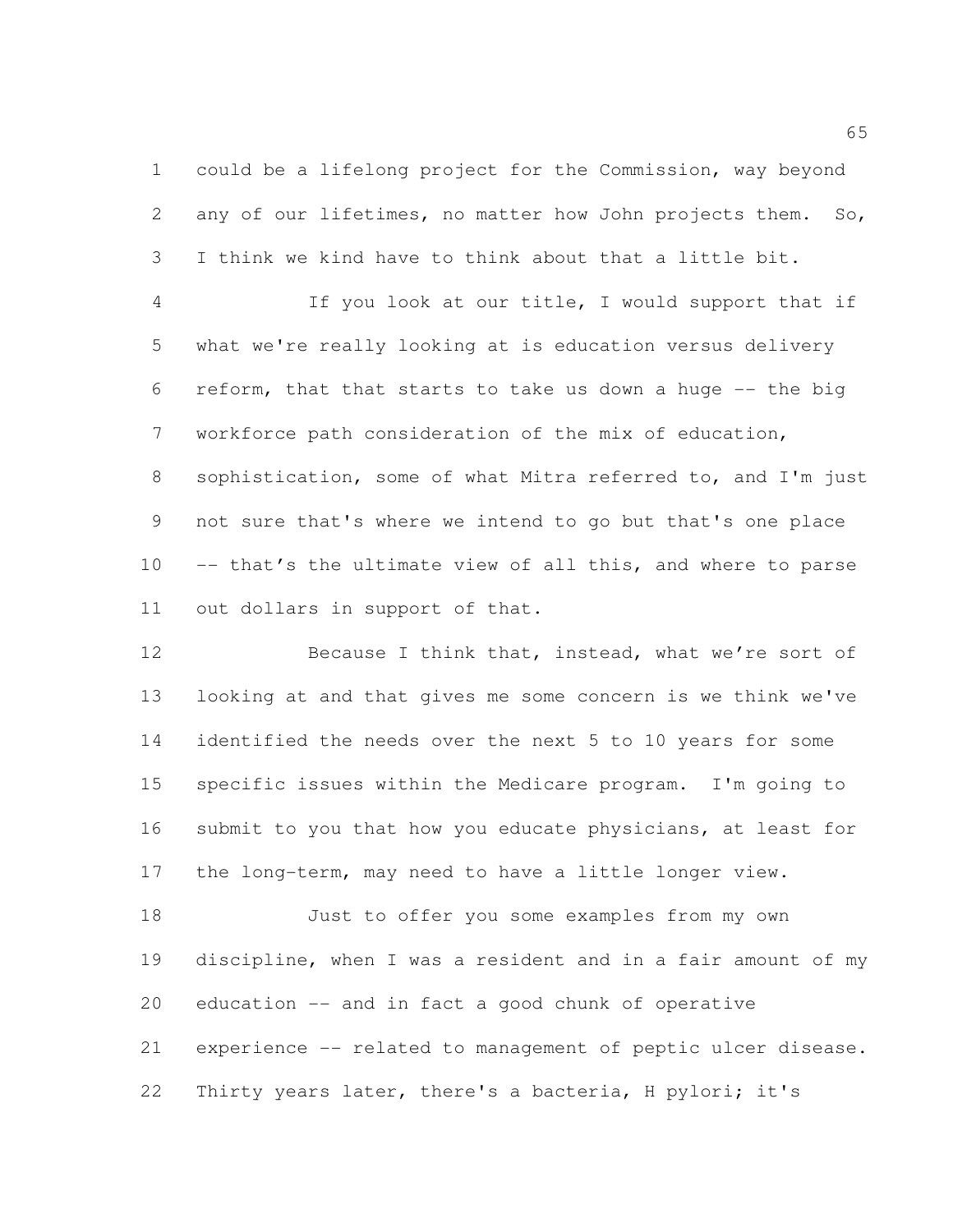could be a lifelong project for the Commission, way beyond 2 any of our lifetimes, no matter how John projects them. So, I think we kind have to think about that a little bit.

 If you look at our title, I would support that if what we're really looking at is education versus delivery reform, that that starts to take us down a huge -- the big workforce path consideration of the mix of education, sophistication, some of what Mitra referred to, and I'm just not sure that's where we intend to go but that's one place -- that's the ultimate view of all this, and where to parse out dollars in support of that.

12 Because I think that, instead, what we're sort of looking at and that gives me some concern is we think we've identified the needs over the next 5 to 10 years for some specific issues within the Medicare program. I'm going to submit to you that how you educate physicians, at least for the long-term, may need to have a little longer view.

 Just to offer you some examples from my own discipline, when I was a resident and in a fair amount of my education -- and in fact a good chunk of operative experience -- related to management of peptic ulcer disease. Thirty years later, there's a bacteria, H pylori; it's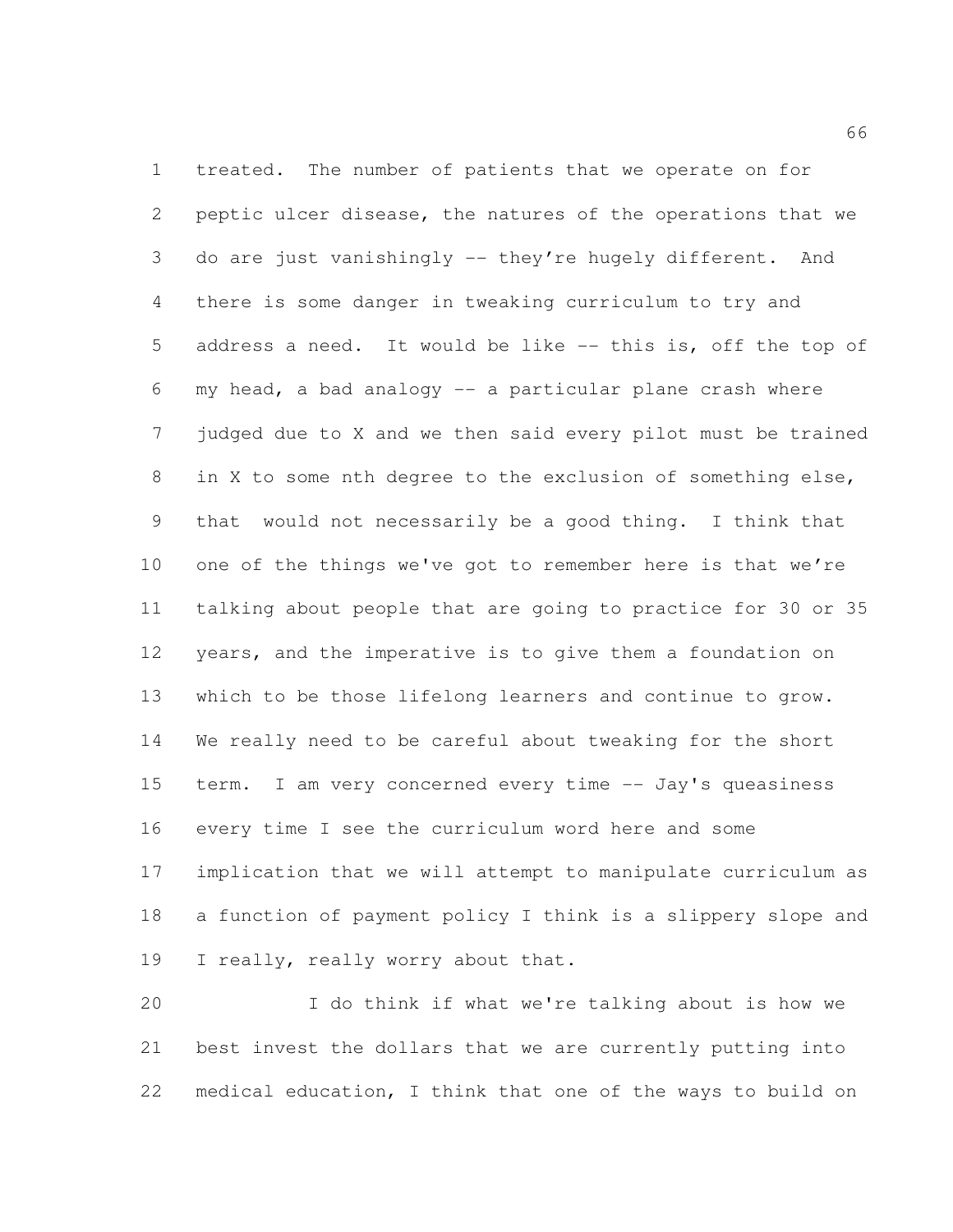treated. The number of patients that we operate on for peptic ulcer disease, the natures of the operations that we do are just vanishingly -- they're hugely different. And there is some danger in tweaking curriculum to try and 5 address a need. It would be like -- this is, off the top of my head, a bad analogy -- a particular plane crash where judged due to X and we then said every pilot must be trained in X to some nth degree to the exclusion of something else, that would not necessarily be a good thing. I think that one of the things we've got to remember here is that we're talking about people that are going to practice for 30 or 35 years, and the imperative is to give them a foundation on which to be those lifelong learners and continue to grow. We really need to be careful about tweaking for the short term. I am very concerned every time -- Jay's queasiness every time I see the curriculum word here and some implication that we will attempt to manipulate curriculum as a function of payment policy I think is a slippery slope and 19 I really, really worry about that.

 I do think if what we're talking about is how we best invest the dollars that we are currently putting into medical education, I think that one of the ways to build on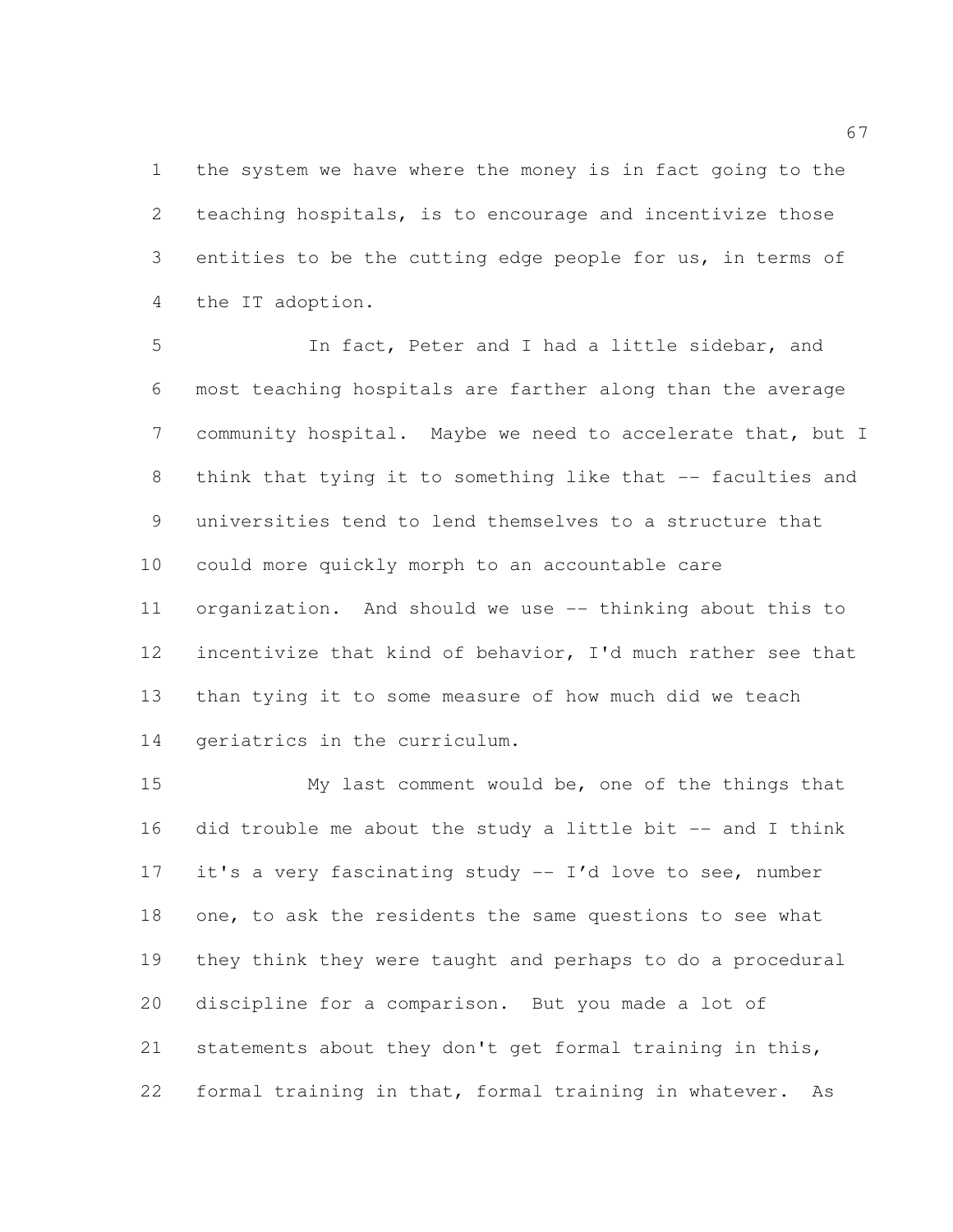the system we have where the money is in fact going to the teaching hospitals, is to encourage and incentivize those entities to be the cutting edge people for us, in terms of the IT adoption.

 In fact, Peter and I had a little sidebar, and most teaching hospitals are farther along than the average community hospital. Maybe we need to accelerate that, but I 8 think that tying it to something like that -- faculties and universities tend to lend themselves to a structure that could more quickly morph to an accountable care organization. And should we use -- thinking about this to incentivize that kind of behavior, I'd much rather see that than tying it to some measure of how much did we teach geriatrics in the curriculum.

 My last comment would be, one of the things that did trouble me about the study a little bit -- and I think it's a very fascinating study -- I'd love to see, number 18 one, to ask the residents the same questions to see what they think they were taught and perhaps to do a procedural discipline for a comparison. But you made a lot of statements about they don't get formal training in this, formal training in that, formal training in whatever. As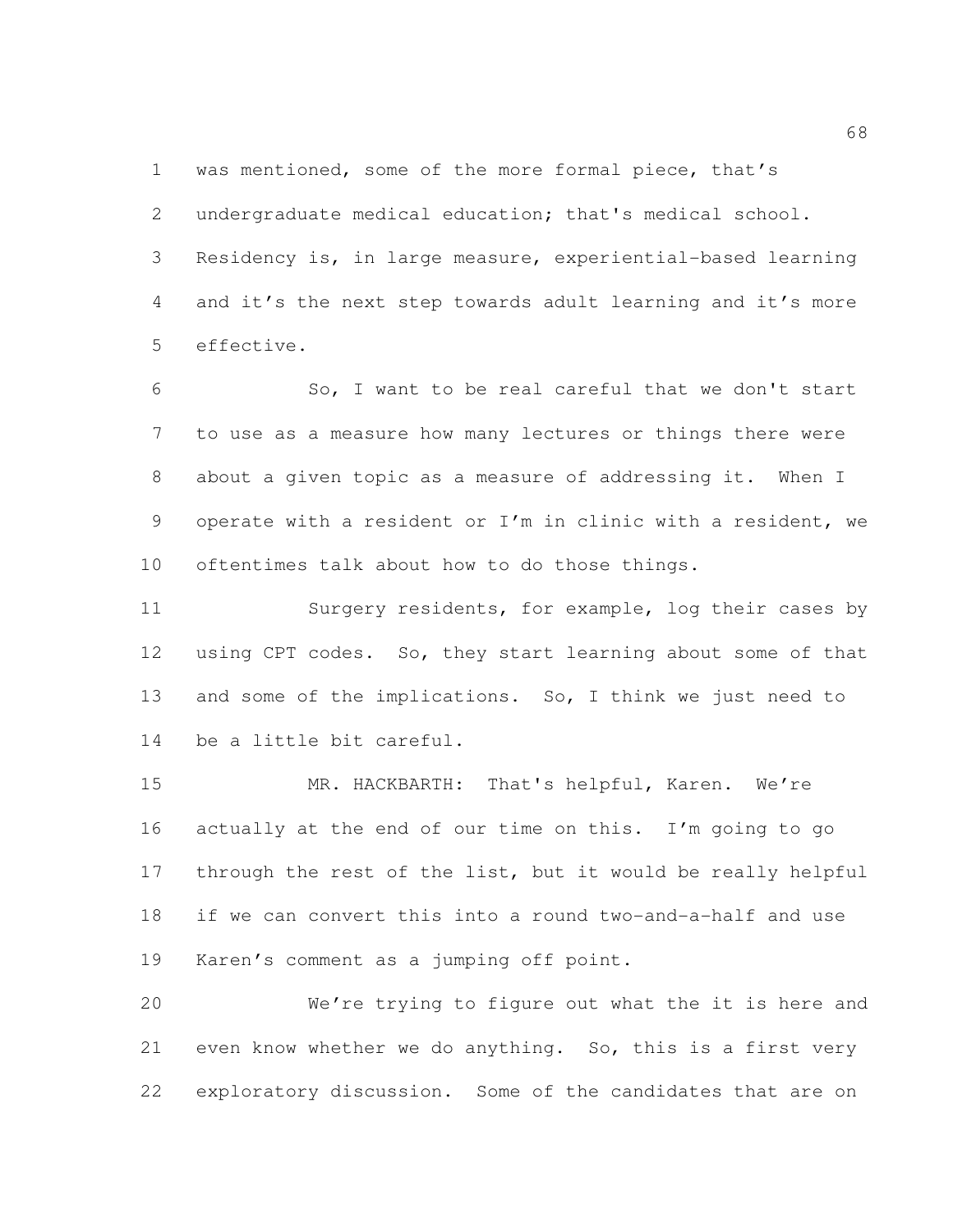was mentioned, some of the more formal piece, that's

 undergraduate medical education; that's medical school. Residency is, in large measure, experiential-based learning and it's the next step towards adult learning and it's more effective.

 So, I want to be real careful that we don't start to use as a measure how many lectures or things there were about a given topic as a measure of addressing it. When I operate with a resident or I'm in clinic with a resident, we oftentimes talk about how to do those things.

 Surgery residents, for example, log their cases by using CPT codes. So, they start learning about some of that and some of the implications. So, I think we just need to be a little bit careful.

 MR. HACKBARTH: That's helpful, Karen. We're actually at the end of our time on this. I'm going to go through the rest of the list, but it would be really helpful if we can convert this into a round two-and-a-half and use Karen's comment as a jumping off point.

 We're trying to figure out what the it is here and even know whether we do anything. So, this is a first very exploratory discussion. Some of the candidates that are on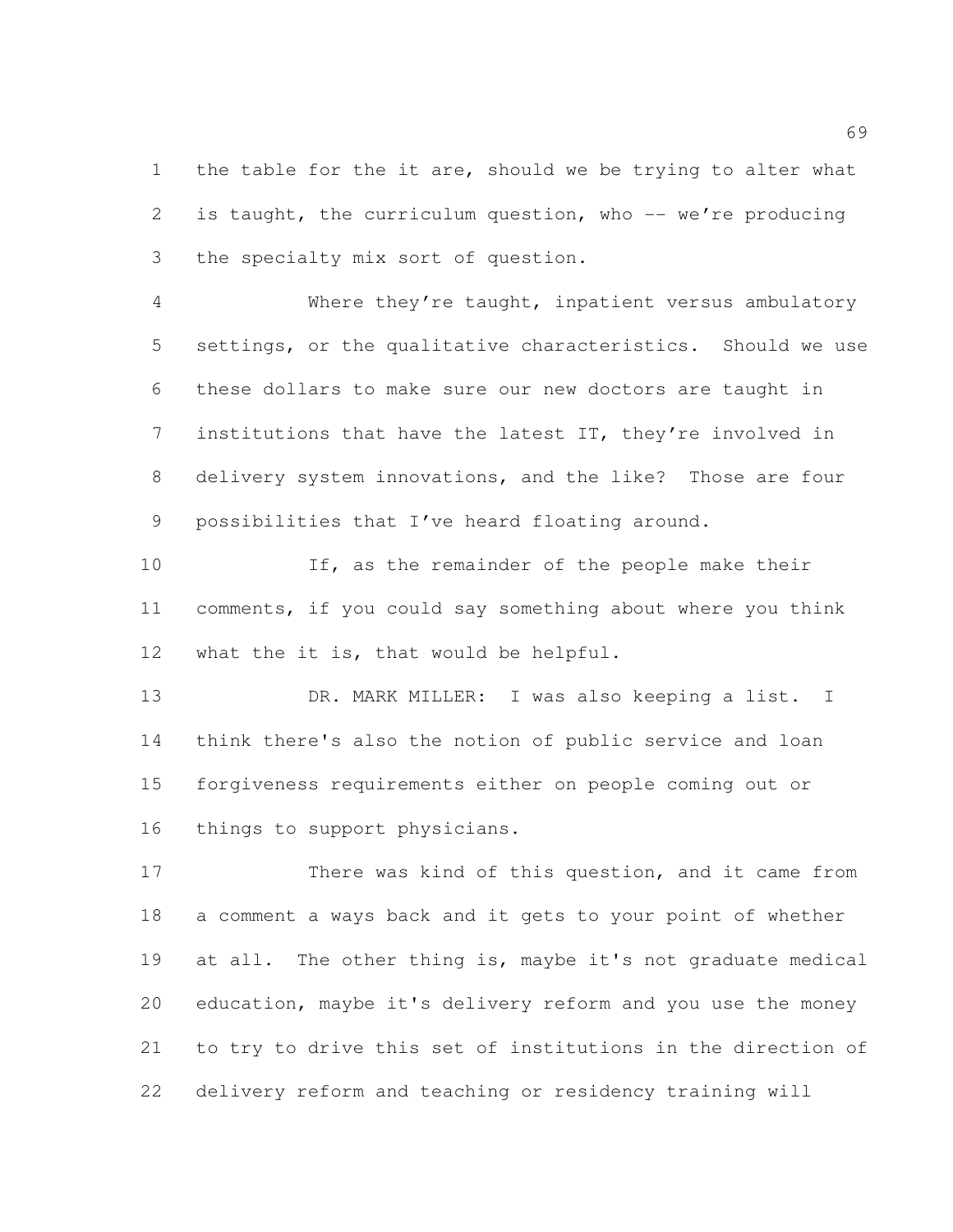1 the table for the it are, should we be trying to alter what is taught, the curriculum question, who -- we're producing the specialty mix sort of question.

 Where they're taught, inpatient versus ambulatory settings, or the qualitative characteristics. Should we use these dollars to make sure our new doctors are taught in institutions that have the latest IT, they're involved in delivery system innovations, and the like? Those are four possibilities that I've heard floating around.

 If, as the remainder of the people make their comments, if you could say something about where you think what the it is, that would be helpful.

 DR. MARK MILLER: I was also keeping a list. I think there's also the notion of public service and loan forgiveness requirements either on people coming out or things to support physicians.

 There was kind of this question, and it came from a comment a ways back and it gets to your point of whether 19 at all. The other thing is, maybe it's not graduate medical education, maybe it's delivery reform and you use the money to try to drive this set of institutions in the direction of delivery reform and teaching or residency training will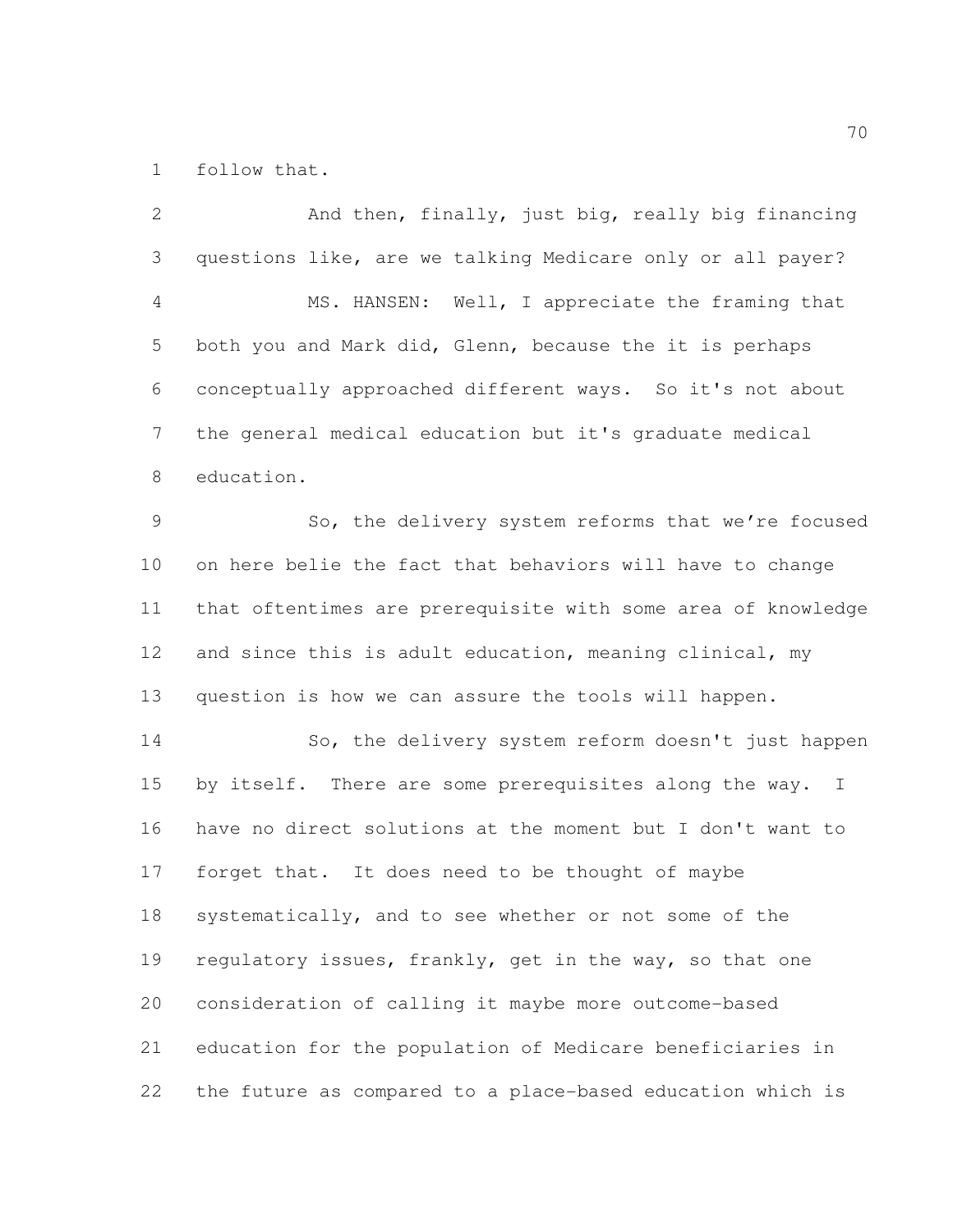follow that.

 And then, finally, just big, really big financing questions like, are we talking Medicare only or all payer? MS. HANSEN: Well, I appreciate the framing that both you and Mark did, Glenn, because the it is perhaps conceptually approached different ways. So it's not about the general medical education but it's graduate medical education. So, the delivery system reforms that we're focused on here belie the fact that behaviors will have to change that oftentimes are prerequisite with some area of knowledge and since this is adult education, meaning clinical, my question is how we can assure the tools will happen. So, the delivery system reform doesn't just happen 15 by itself. There are some prerequisites along the way. I have no direct solutions at the moment but I don't want to forget that. It does need to be thought of maybe systematically, and to see whether or not some of the 19 regulatory issues, frankly, get in the way, so that one consideration of calling it maybe more outcome-based education for the population of Medicare beneficiaries in the future as compared to a place-based education which is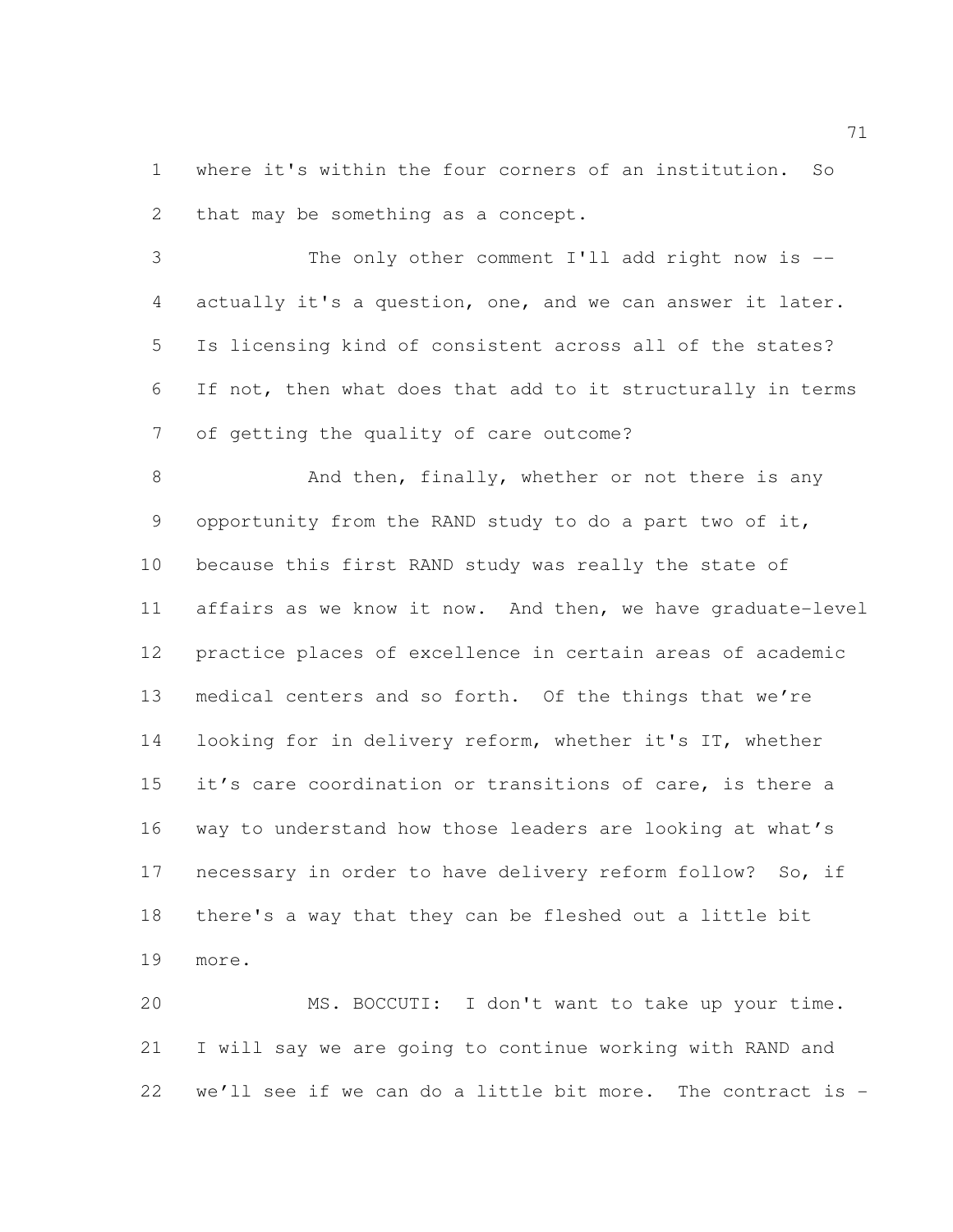where it's within the four corners of an institution. So that may be something as a concept.

 The only other comment I'll add right now is -- actually it's a question, one, and we can answer it later. Is licensing kind of consistent across all of the states? If not, then what does that add to it structurally in terms of getting the quality of care outcome?

8 And then, finally, whether or not there is any opportunity from the RAND study to do a part two of it, because this first RAND study was really the state of affairs as we know it now. And then, we have graduate-level practice places of excellence in certain areas of academic medical centers and so forth. Of the things that we're looking for in delivery reform, whether it's IT, whether it's care coordination or transitions of care, is there a way to understand how those leaders are looking at what's necessary in order to have delivery reform follow? So, if there's a way that they can be fleshed out a little bit more.

 MS. BOCCUTI: I don't want to take up your time. I will say we are going to continue working with RAND and we'll see if we can do a little bit more. The contract is -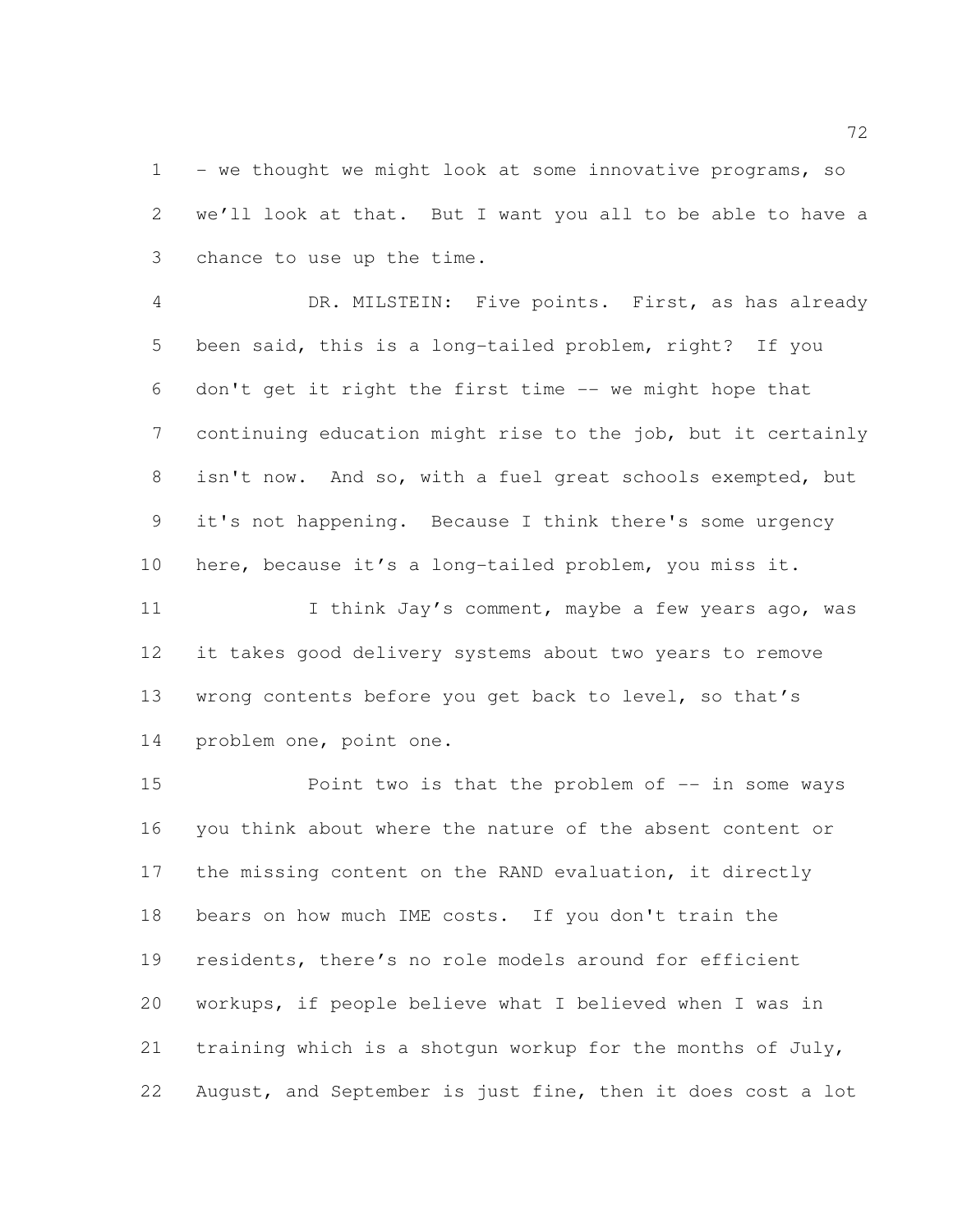1 - we thought we might look at some innovative programs, so we'll look at that. But I want you all to be able to have a chance to use up the time.

 DR. MILSTEIN: Five points. First, as has already been said, this is a long-tailed problem, right? If you don't get it right the first time -- we might hope that continuing education might rise to the job, but it certainly isn't now. And so, with a fuel great schools exempted, but it's not happening. Because I think there's some urgency here, because it's a long-tailed problem, you miss it.

11 I think Jay's comment, maybe a few years ago, was it takes good delivery systems about two years to remove wrong contents before you get back to level, so that's problem one, point one.

**Point two is that the problem of -- in some ways**  you think about where the nature of the absent content or the missing content on the RAND evaluation, it directly bears on how much IME costs. If you don't train the residents, there's no role models around for efficient workups, if people believe what I believed when I was in training which is a shotgun workup for the months of July, August, and September is just fine, then it does cost a lot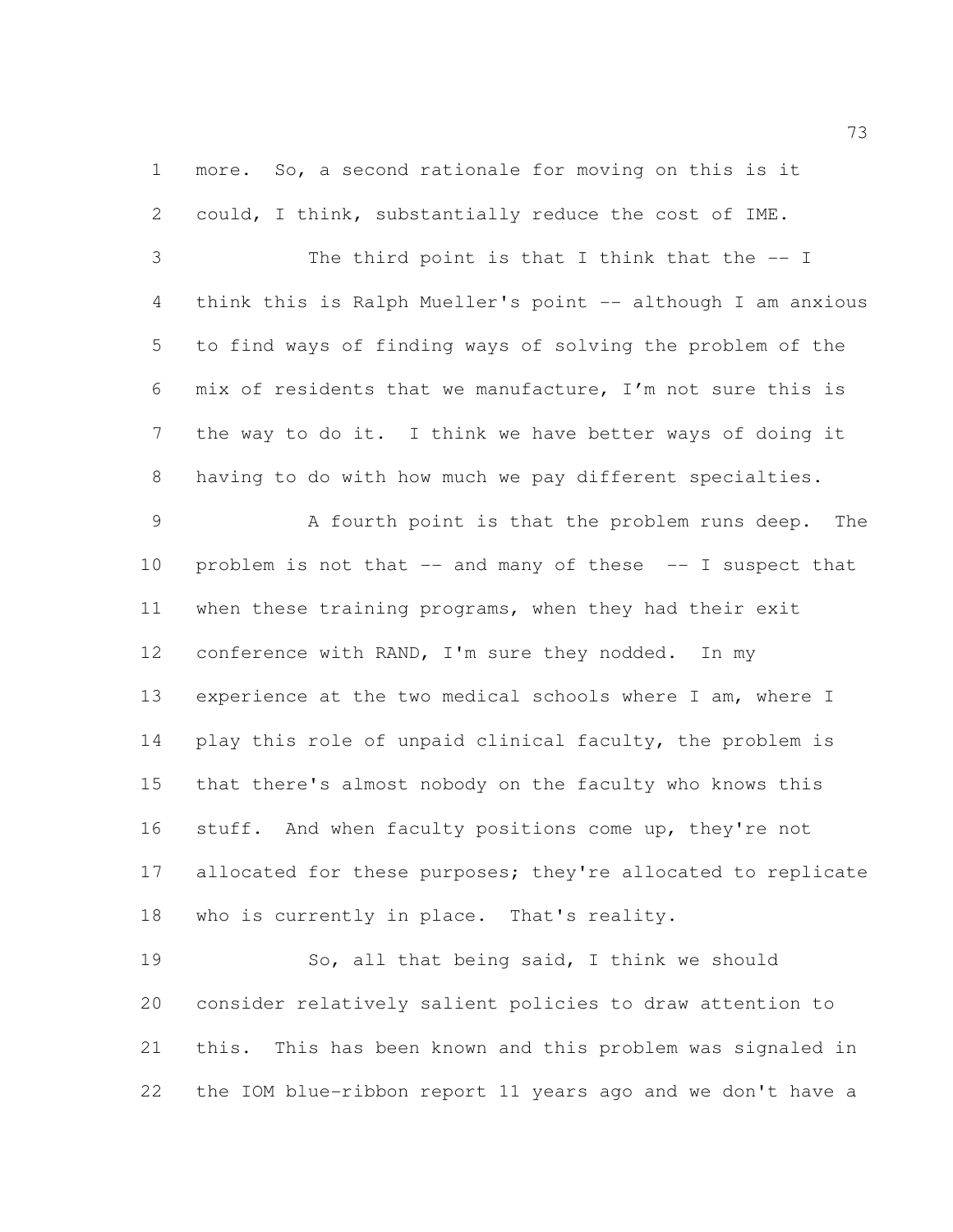more. So, a second rationale for moving on this is it could, I think, substantially reduce the cost of IME.

 The third point is that I think that the -- I think this is Ralph Mueller's point -- although I am anxious to find ways of finding ways of solving the problem of the mix of residents that we manufacture, I'm not sure this is the way to do it. I think we have better ways of doing it having to do with how much we pay different specialties.

 A fourth point is that the problem runs deep. The problem is not that -- and many of these -- I suspect that when these training programs, when they had their exit conference with RAND, I'm sure they nodded. In my experience at the two medical schools where I am, where I 14 play this role of unpaid clinical faculty, the problem is that there's almost nobody on the faculty who knows this stuff. And when faculty positions come up, they're not 17 allocated for these purposes; they're allocated to replicate who is currently in place. That's reality.

 So, all that being said, I think we should consider relatively salient policies to draw attention to this. This has been known and this problem was signaled in the IOM blue-ribbon report 11 years ago and we don't have a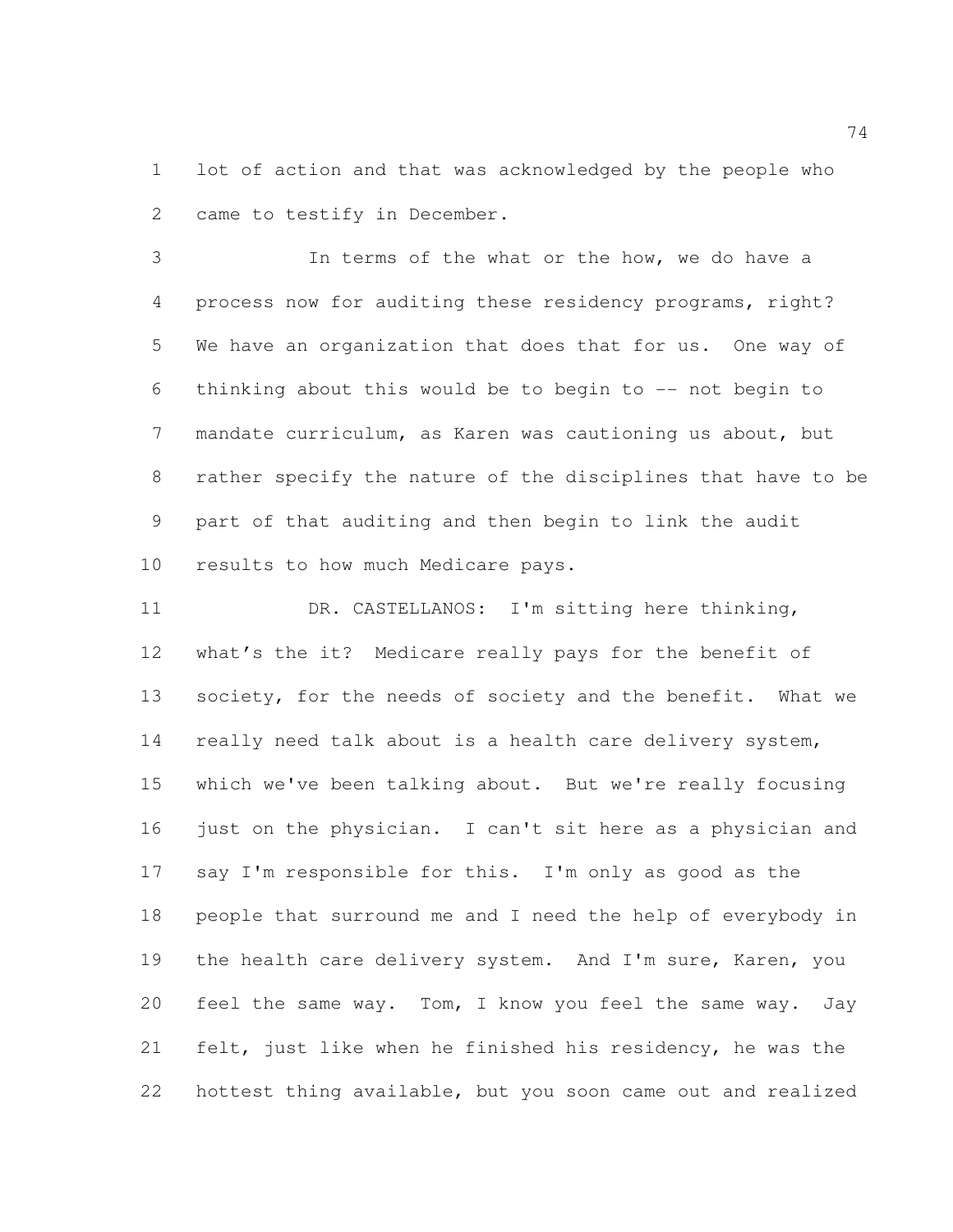lot of action and that was acknowledged by the people who came to testify in December.

 In terms of the what or the how, we do have a process now for auditing these residency programs, right? We have an organization that does that for us. One way of thinking about this would be to begin to -- not begin to mandate curriculum, as Karen was cautioning us about, but rather specify the nature of the disciplines that have to be part of that auditing and then begin to link the audit results to how much Medicare pays.

 DR. CASTELLANOS: I'm sitting here thinking, what's the it? Medicare really pays for the benefit of 13 society, for the needs of society and the benefit. What we really need talk about is a health care delivery system, which we've been talking about. But we're really focusing just on the physician. I can't sit here as a physician and say I'm responsible for this. I'm only as good as the people that surround me and I need the help of everybody in the health care delivery system. And I'm sure, Karen, you feel the same way. Tom, I know you feel the same way. Jay felt, just like when he finished his residency, he was the hottest thing available, but you soon came out and realized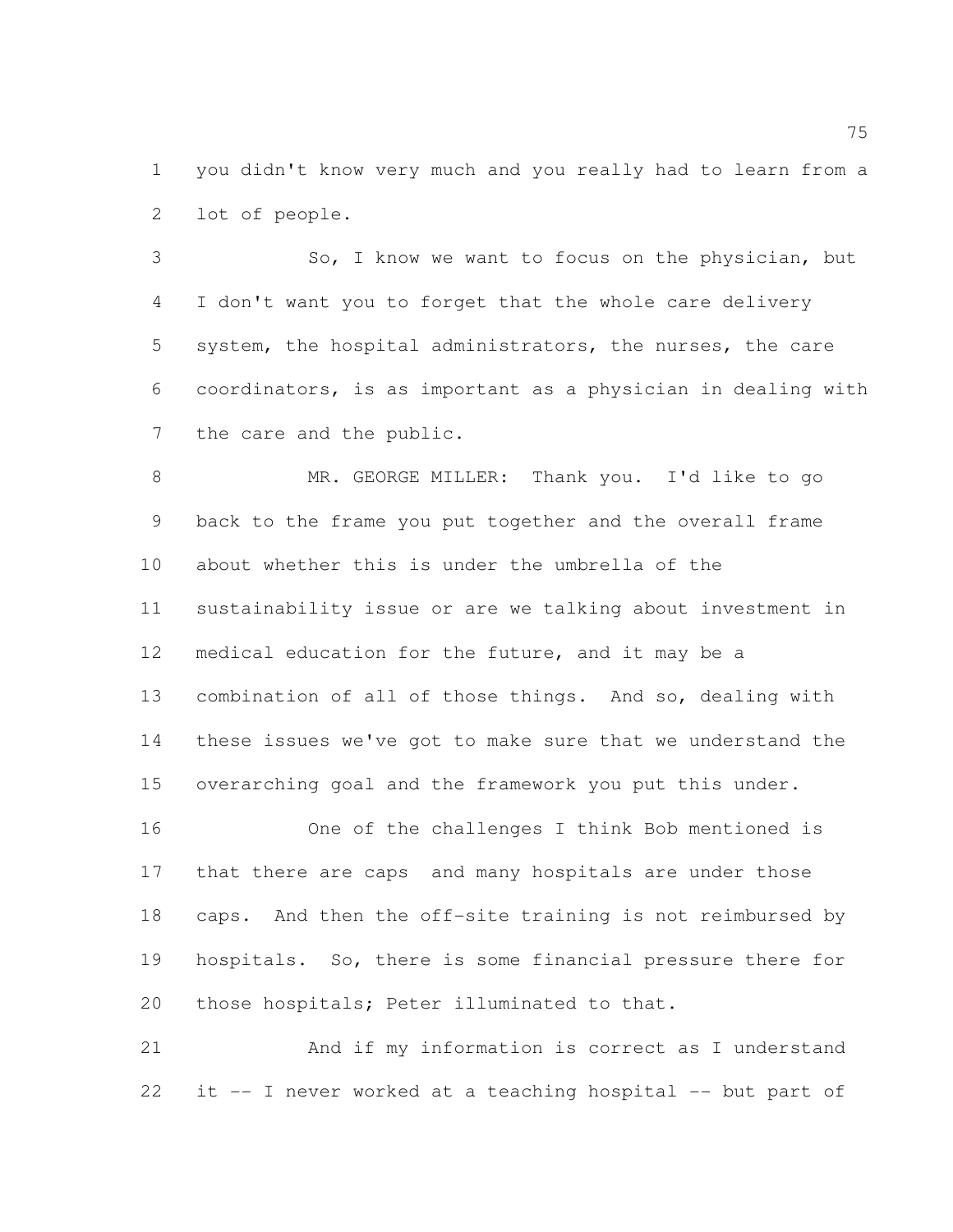you didn't know very much and you really had to learn from a lot of people.

 So, I know we want to focus on the physician, but I don't want you to forget that the whole care delivery system, the hospital administrators, the nurses, the care coordinators, is as important as a physician in dealing with the care and the public.

 MR. GEORGE MILLER: Thank you. I'd like to go back to the frame you put together and the overall frame about whether this is under the umbrella of the sustainability issue or are we talking about investment in medical education for the future, and it may be a combination of all of those things. And so, dealing with these issues we've got to make sure that we understand the overarching goal and the framework you put this under.

 One of the challenges I think Bob mentioned is that there are caps and many hospitals are under those caps. And then the off-site training is not reimbursed by hospitals. So, there is some financial pressure there for those hospitals; Peter illuminated to that.

 And if my information is correct as I understand it -- I never worked at a teaching hospital -- but part of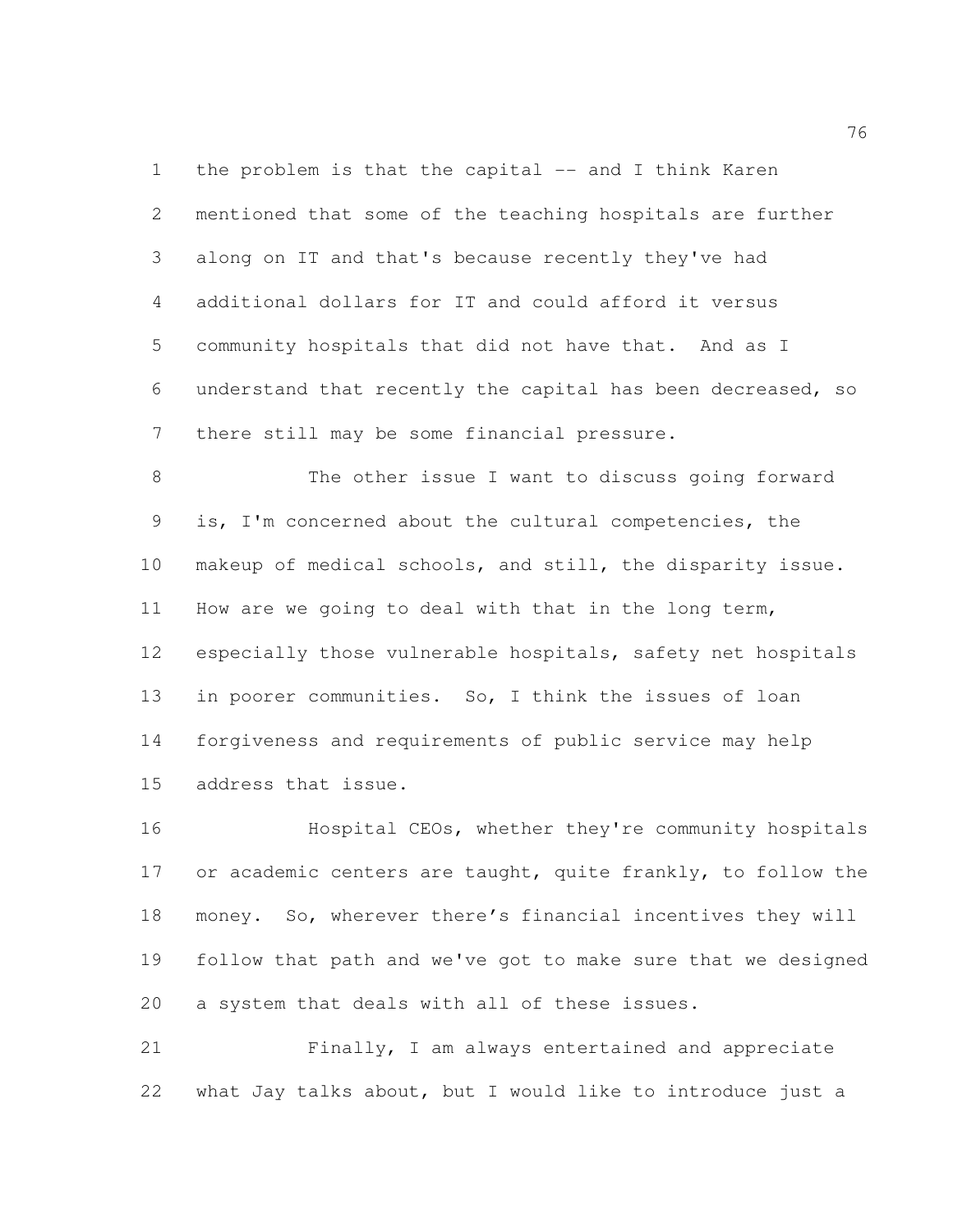1 the problem is that the capital -- and I think Karen mentioned that some of the teaching hospitals are further along on IT and that's because recently they've had additional dollars for IT and could afford it versus community hospitals that did not have that. And as I understand that recently the capital has been decreased, so there still may be some financial pressure.

 The other issue I want to discuss going forward is, I'm concerned about the cultural competencies, the makeup of medical schools, and still, the disparity issue. How are we going to deal with that in the long term, especially those vulnerable hospitals, safety net hospitals in poorer communities. So, I think the issues of loan forgiveness and requirements of public service may help address that issue.

 Hospital CEOs, whether they're community hospitals 17 or academic centers are taught, quite frankly, to follow the money. So, wherever there's financial incentives they will follow that path and we've got to make sure that we designed a system that deals with all of these issues.

 Finally, I am always entertained and appreciate what Jay talks about, but I would like to introduce just a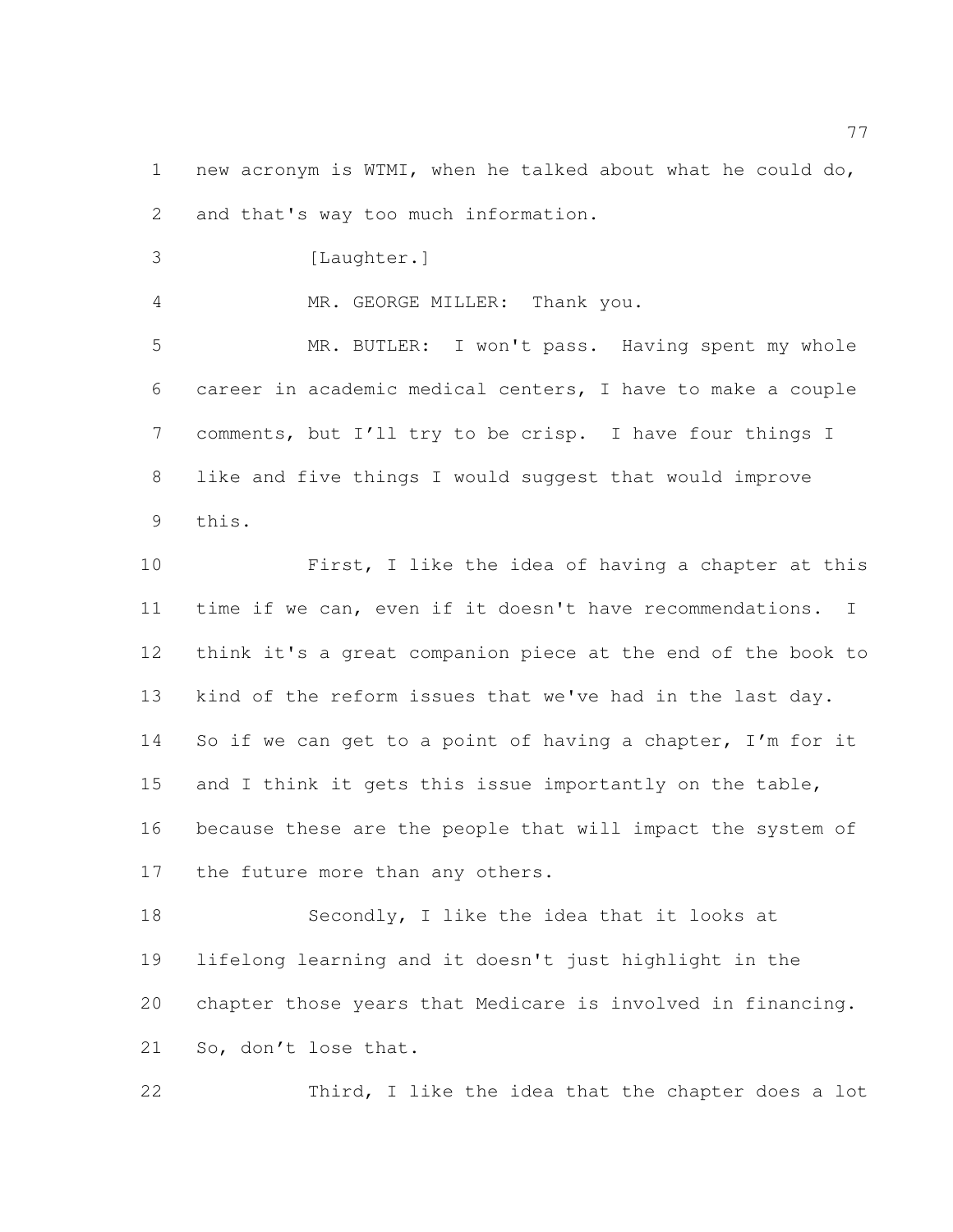new acronym is WTMI, when he talked about what he could do, and that's way too much information.

3 [Laughter.]

MR. GEORGE MILLER: Thank you.

 MR. BUTLER: I won't pass. Having spent my whole career in academic medical centers, I have to make a couple comments, but I'll try to be crisp. I have four things I like and five things I would suggest that would improve this.

 First, I like the idea of having a chapter at this time if we can, even if it doesn't have recommendations. I think it's a great companion piece at the end of the book to kind of the reform issues that we've had in the last day. 14 So if we can get to a point of having a chapter, I'm for it 15 and I think it gets this issue importantly on the table, because these are the people that will impact the system of 17 the future more than any others.

 Secondly, I like the idea that it looks at lifelong learning and it doesn't just highlight in the chapter those years that Medicare is involved in financing. So, don't lose that.

Third, I like the idea that the chapter does a lot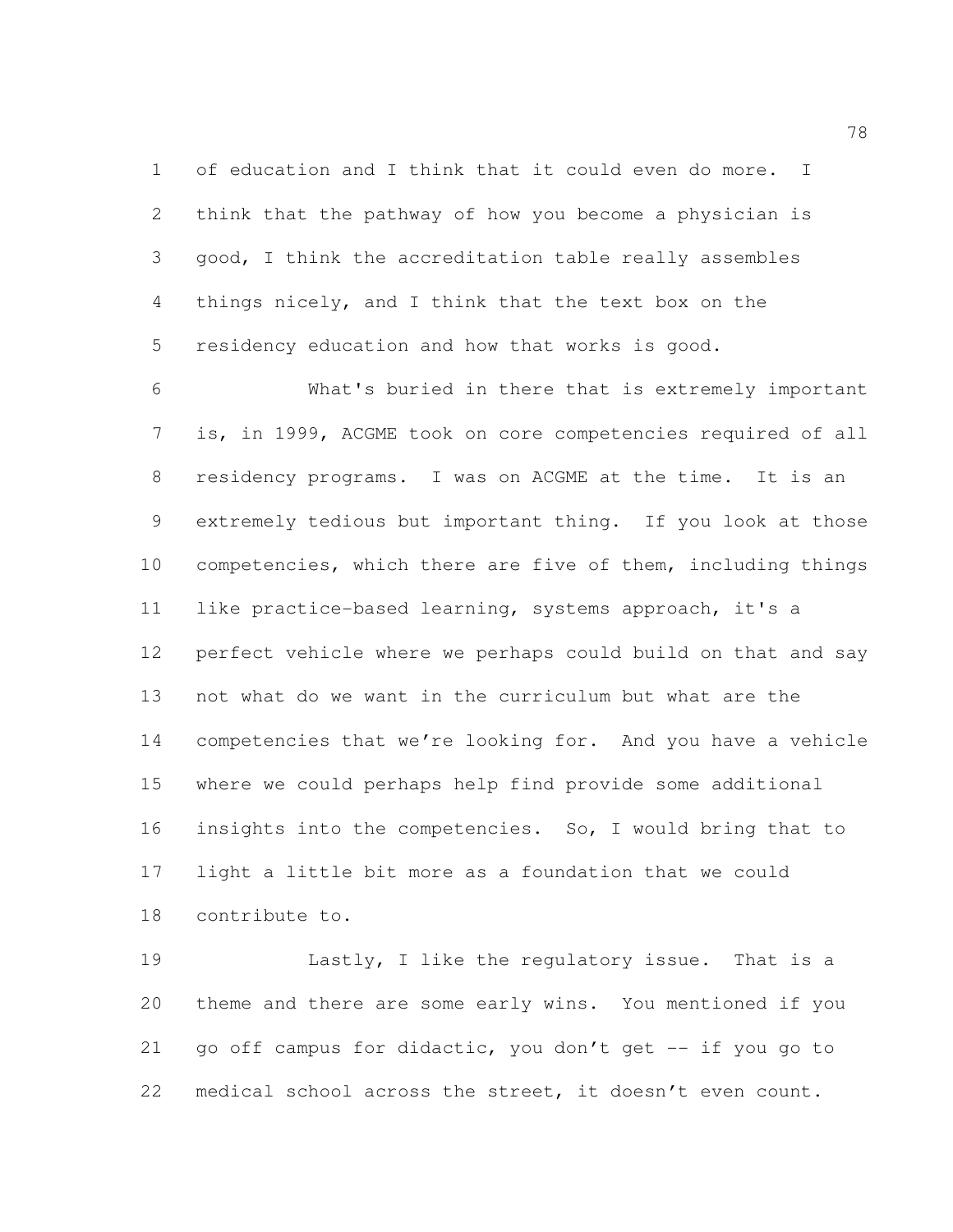of education and I think that it could even do more. I think that the pathway of how you become a physician is good, I think the accreditation table really assembles things nicely, and I think that the text box on the residency education and how that works is good.

 What's buried in there that is extremely important is, in 1999, ACGME took on core competencies required of all residency programs. I was on ACGME at the time. It is an extremely tedious but important thing. If you look at those competencies, which there are five of them, including things like practice-based learning, systems approach, it's a perfect vehicle where we perhaps could build on that and say not what do we want in the curriculum but what are the competencies that we're looking for. And you have a vehicle where we could perhaps help find provide some additional insights into the competencies. So, I would bring that to light a little bit more as a foundation that we could contribute to.

 Lastly, I like the regulatory issue. That is a theme and there are some early wins. You mentioned if you go off campus for didactic, you don't get -- if you go to medical school across the street, it doesn't even count.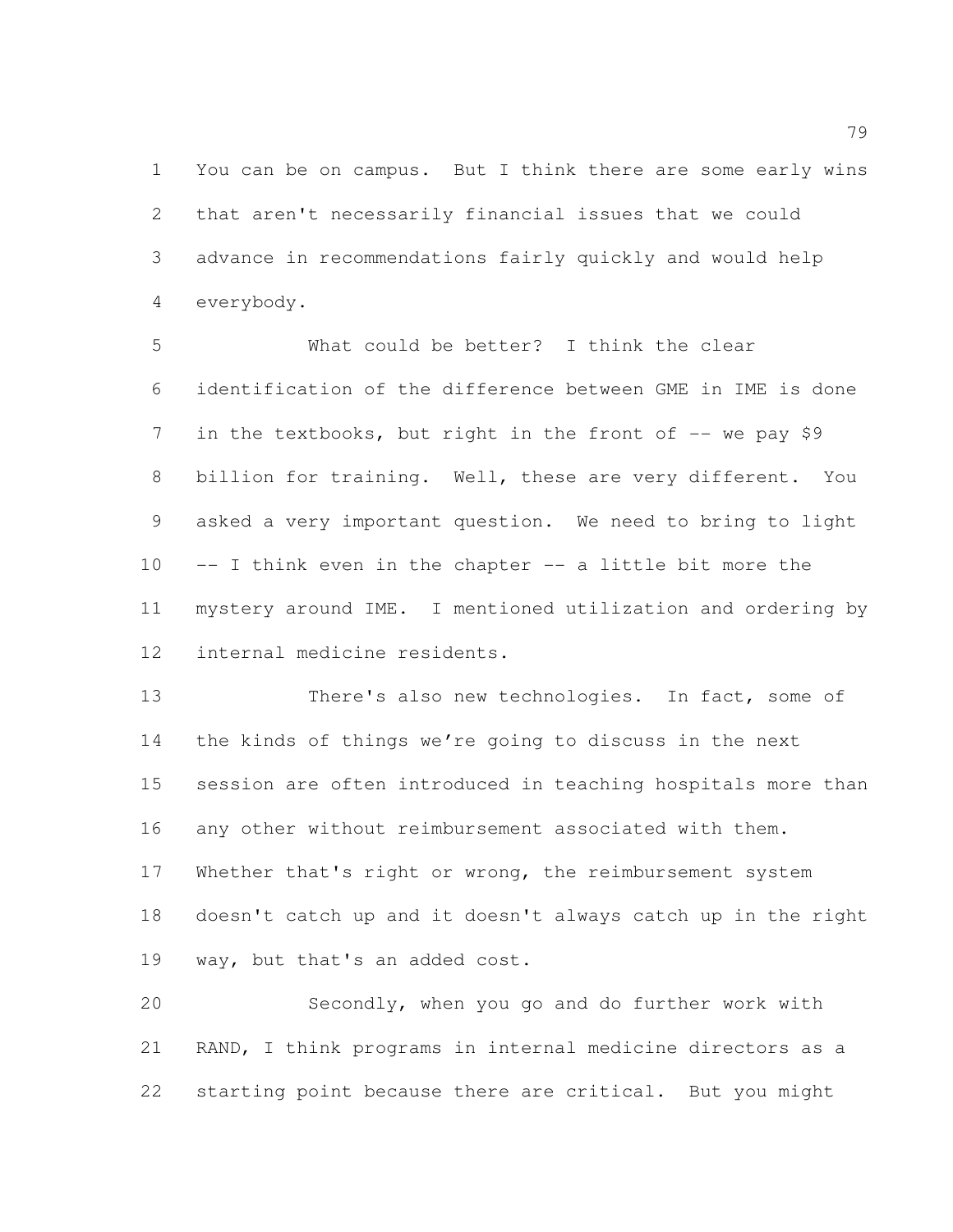You can be on campus. But I think there are some early wins that aren't necessarily financial issues that we could advance in recommendations fairly quickly and would help everybody.

 What could be better? I think the clear identification of the difference between GME in IME is done 7 in the textbooks, but right in the front of -- we pay \$9 billion for training. Well, these are very different. You asked a very important question. We need to bring to light -- I think even in the chapter -- a little bit more the mystery around IME. I mentioned utilization and ordering by internal medicine residents.

 There's also new technologies. In fact, some of the kinds of things we're going to discuss in the next session are often introduced in teaching hospitals more than any other without reimbursement associated with them. 17 Whether that's right or wrong, the reimbursement system doesn't catch up and it doesn't always catch up in the right way, but that's an added cost.

 Secondly, when you go and do further work with RAND, I think programs in internal medicine directors as a starting point because there are critical. But you might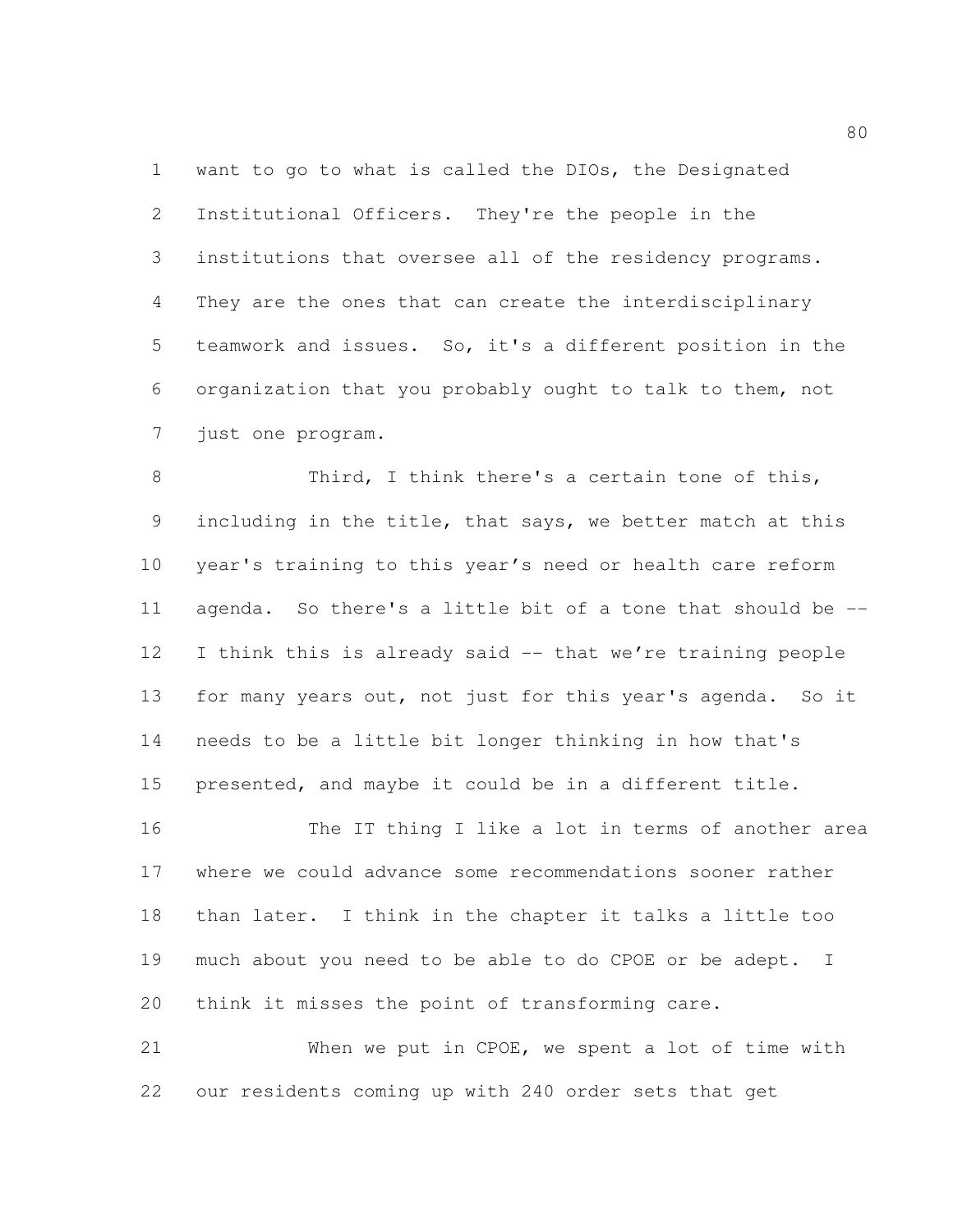want to go to what is called the DIOs, the Designated Institutional Officers. They're the people in the institutions that oversee all of the residency programs. They are the ones that can create the interdisciplinary teamwork and issues. So, it's a different position in the organization that you probably ought to talk to them, not just one program.

8 Third, I think there's a certain tone of this, including in the title, that says, we better match at this year's training to this year's need or health care reform agenda. So there's a little bit of a tone that should be -- I think this is already said -- that we're training people for many years out, not just for this year's agenda. So it needs to be a little bit longer thinking in how that's presented, and maybe it could be in a different title.

16 The IT thing I like a lot in terms of another area where we could advance some recommendations sooner rather than later. I think in the chapter it talks a little too much about you need to be able to do CPOE or be adept. I think it misses the point of transforming care.

 When we put in CPOE, we spent a lot of time with our residents coming up with 240 order sets that get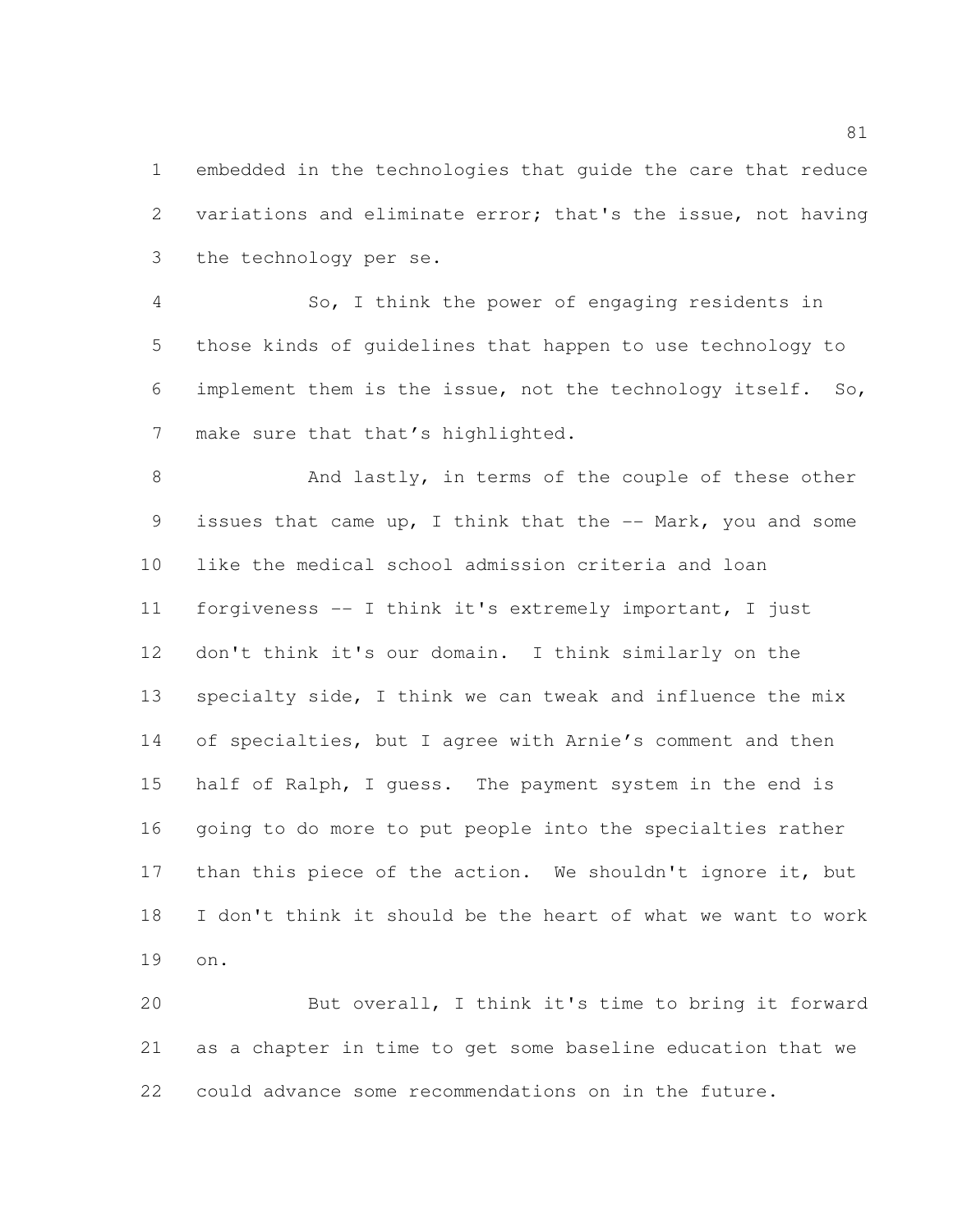embedded in the technologies that guide the care that reduce variations and eliminate error; that's the issue, not having the technology per se.

 So, I think the power of engaging residents in those kinds of guidelines that happen to use technology to implement them is the issue, not the technology itself. So, 7 make sure that that's highlighted.

8 And lastly, in terms of the couple of these other issues that came up, I think that the -- Mark, you and some like the medical school admission criteria and loan forgiveness -- I think it's extremely important, I just don't think it's our domain. I think similarly on the specialty side, I think we can tweak and influence the mix of specialties, but I agree with Arnie's comment and then half of Ralph, I guess. The payment system in the end is going to do more to put people into the specialties rather 17 than this piece of the action. We shouldn't ignore it, but I don't think it should be the heart of what we want to work on.

 But overall, I think it's time to bring it forward as a chapter in time to get some baseline education that we could advance some recommendations on in the future.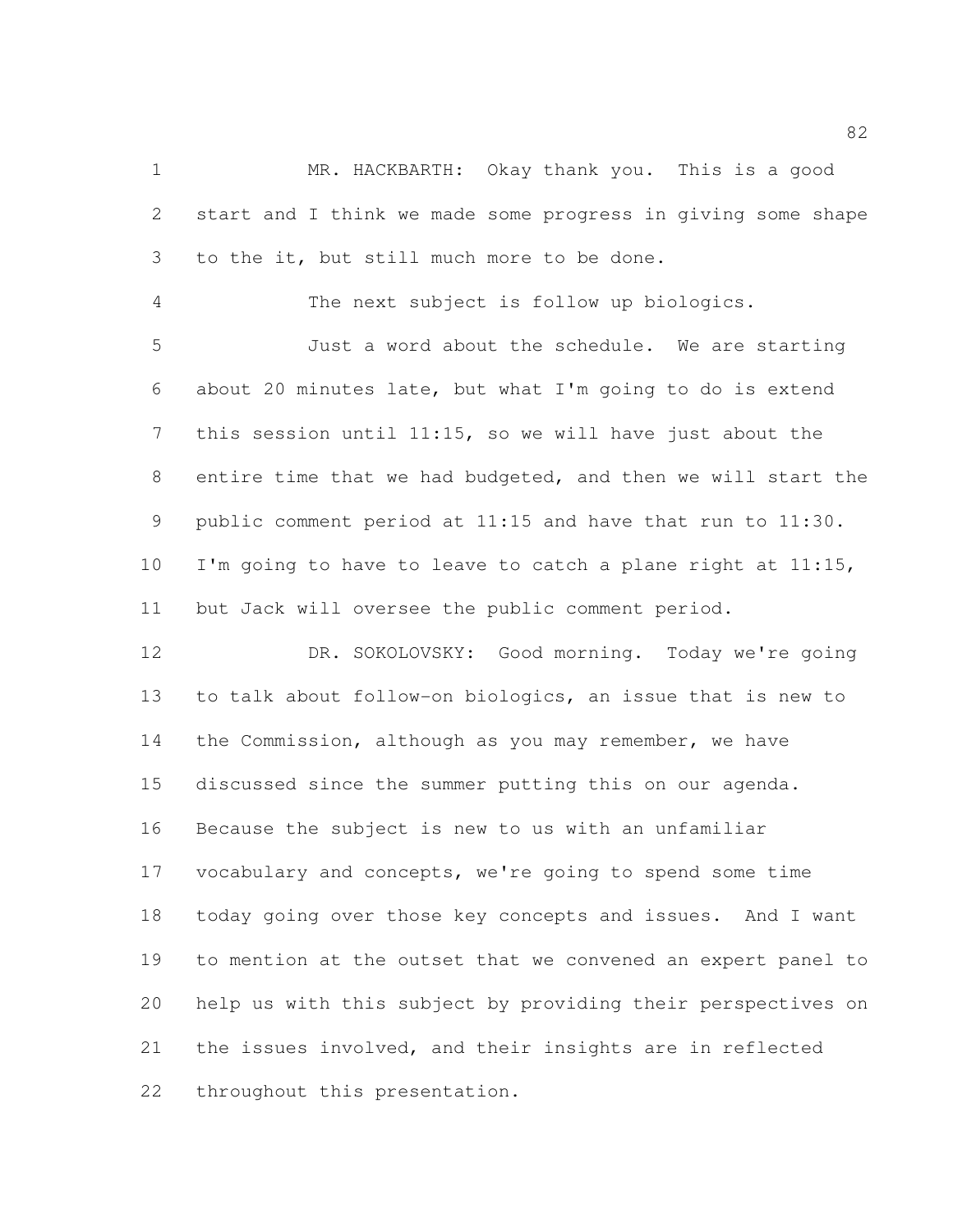MR. HACKBARTH: Okay thank you. This is a good start and I think we made some progress in giving some shape to the it, but still much more to be done.

The next subject is follow up biologics.

 Just a word about the schedule. We are starting about 20 minutes late, but what I'm going to do is extend this session until 11:15, so we will have just about the entire time that we had budgeted, and then we will start the public comment period at 11:15 and have that run to 11:30. 10 I'm going to have to leave to catch a plane right at 11:15, but Jack will oversee the public comment period.

 DR. SOKOLOVSKY: Good morning. Today we're going to talk about follow-on biologics, an issue that is new to the Commission, although as you may remember, we have discussed since the summer putting this on our agenda. Because the subject is new to us with an unfamiliar vocabulary and concepts, we're going to spend some time today going over those key concepts and issues. And I want to mention at the outset that we convened an expert panel to help us with this subject by providing their perspectives on the issues involved, and their insights are in reflected throughout this presentation.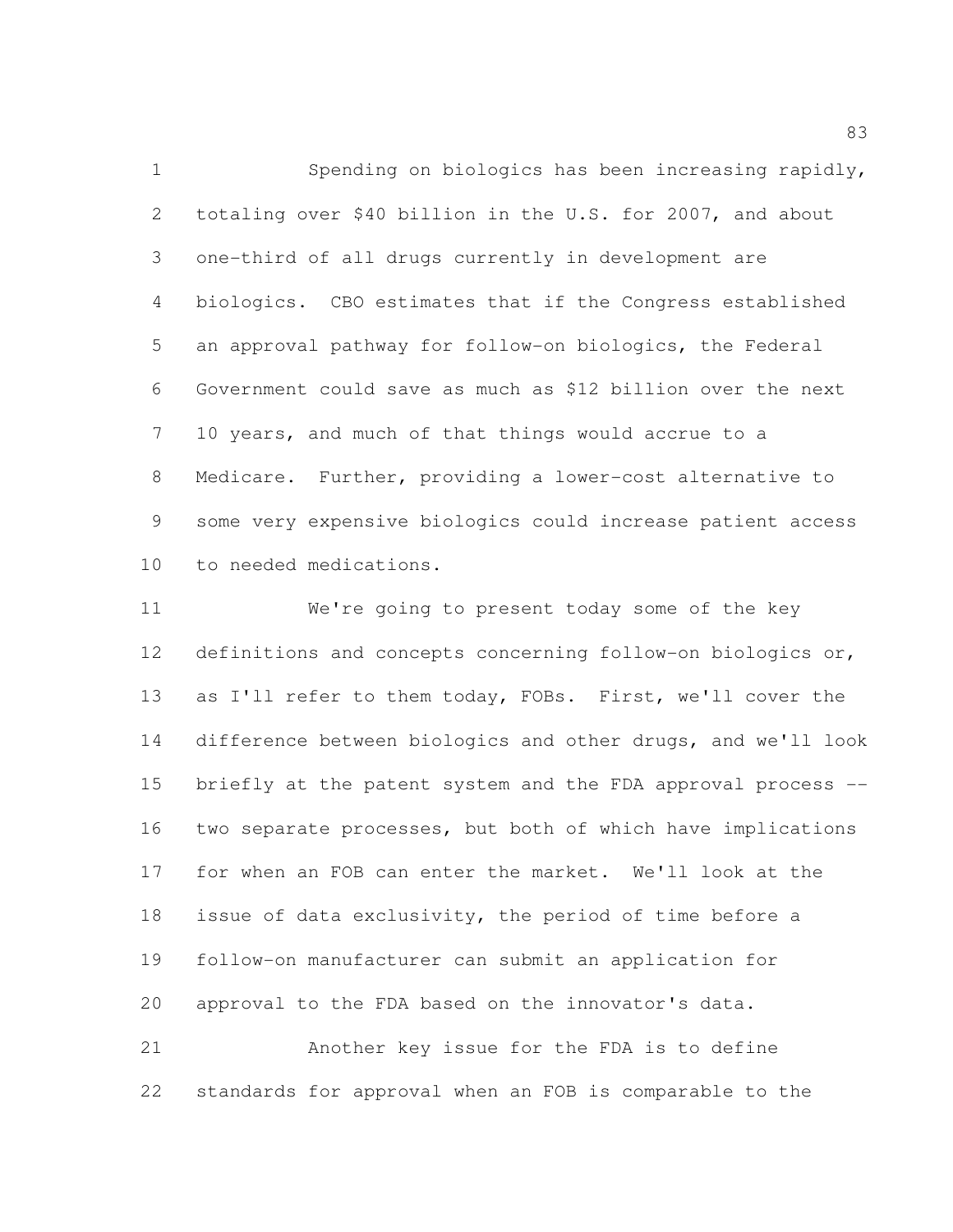Spending on biologics has been increasing rapidly, totaling over \$40 billion in the U.S. for 2007, and about one-third of all drugs currently in development are biologics. CBO estimates that if the Congress established an approval pathway for follow-on biologics, the Federal Government could save as much as \$12 billion over the next 10 years, and much of that things would accrue to a Medicare. Further, providing a lower-cost alternative to some very expensive biologics could increase patient access to needed medications.

 We're going to present today some of the key definitions and concepts concerning follow-on biologics or, as I'll refer to them today, FOBs. First, we'll cover the difference between biologics and other drugs, and we'll look briefly at the patent system and the FDA approval process -- two separate processes, but both of which have implications for when an FOB can enter the market. We'll look at the issue of data exclusivity, the period of time before a follow-on manufacturer can submit an application for approval to the FDA based on the innovator's data. Another key issue for the FDA is to define

standards for approval when an FOB is comparable to the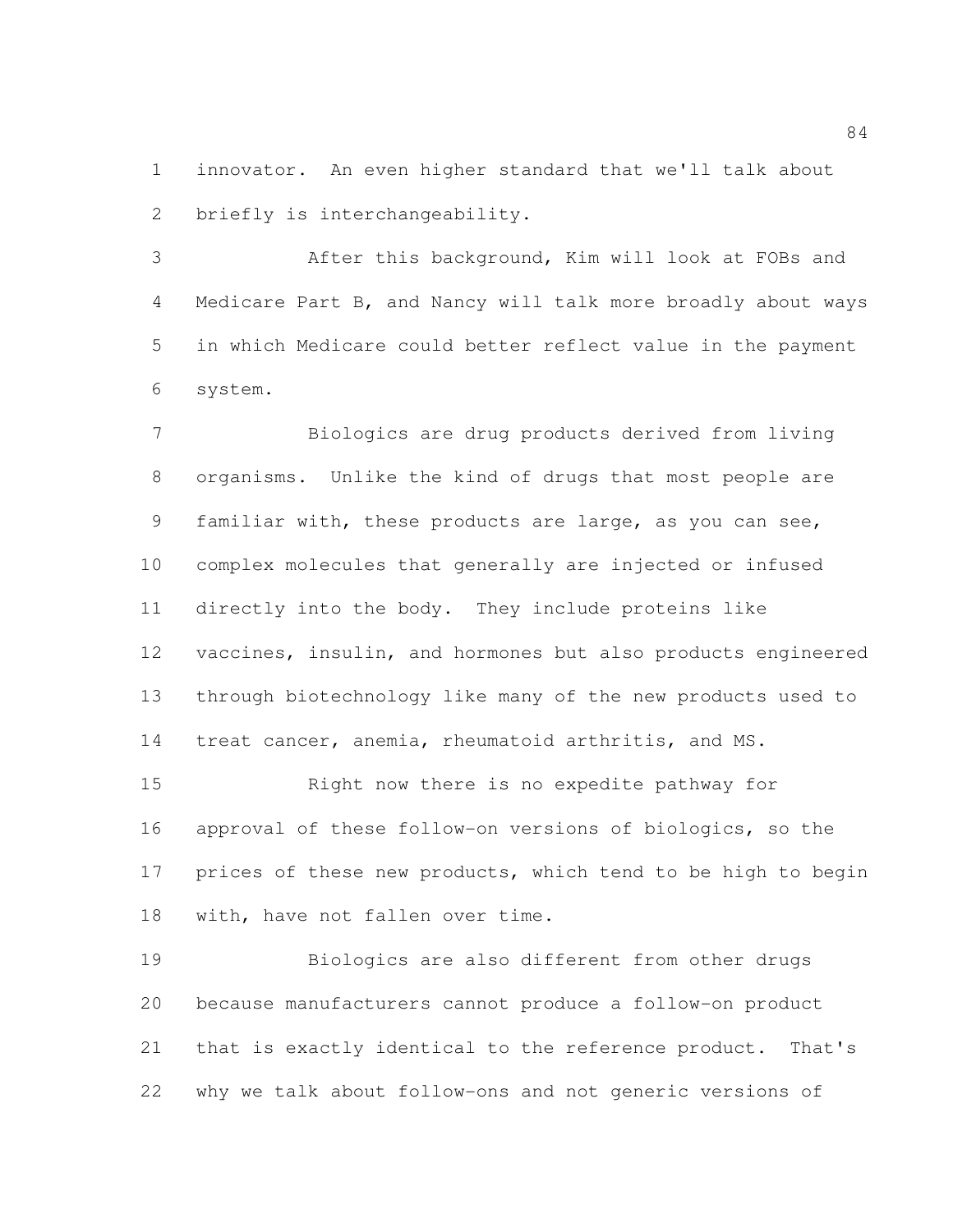innovator. An even higher standard that we'll talk about briefly is interchangeability.

 After this background, Kim will look at FOBs and Medicare Part B, and Nancy will talk more broadly about ways in which Medicare could better reflect value in the payment system.

 Biologics are drug products derived from living organisms. Unlike the kind of drugs that most people are familiar with, these products are large, as you can see, complex molecules that generally are injected or infused directly into the body. They include proteins like vaccines, insulin, and hormones but also products engineered through biotechnology like many of the new products used to treat cancer, anemia, rheumatoid arthritis, and MS.

 Right now there is no expedite pathway for approval of these follow-on versions of biologics, so the prices of these new products, which tend to be high to begin with, have not fallen over time.

 Biologics are also different from other drugs because manufacturers cannot produce a follow-on product that is exactly identical to the reference product. That's why we talk about follow-ons and not generic versions of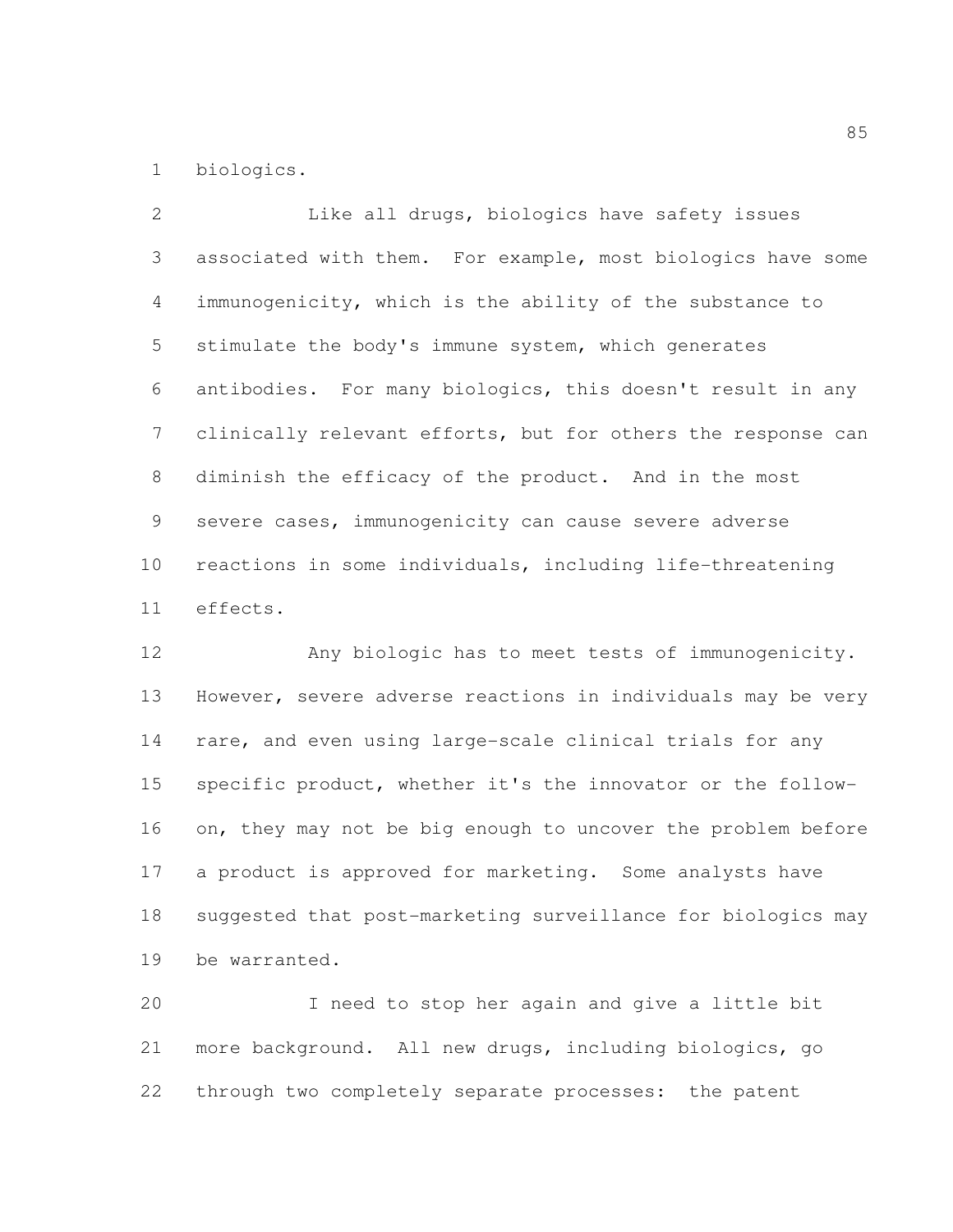biologics.

 Like all drugs, biologics have safety issues associated with them. For example, most biologics have some immunogenicity, which is the ability of the substance to stimulate the body's immune system, which generates antibodies. For many biologics, this doesn't result in any clinically relevant efforts, but for others the response can diminish the efficacy of the product. And in the most severe cases, immunogenicity can cause severe adverse reactions in some individuals, including life-threatening effects.

 Any biologic has to meet tests of immunogenicity. However, severe adverse reactions in individuals may be very rare, and even using large-scale clinical trials for any specific product, whether it's the innovator or the follow-16 on, they may not be big enough to uncover the problem before a product is approved for marketing. Some analysts have suggested that post-marketing surveillance for biologics may be warranted.

 I need to stop her again and give a little bit more background. All new drugs, including biologics, go through two completely separate processes: the patent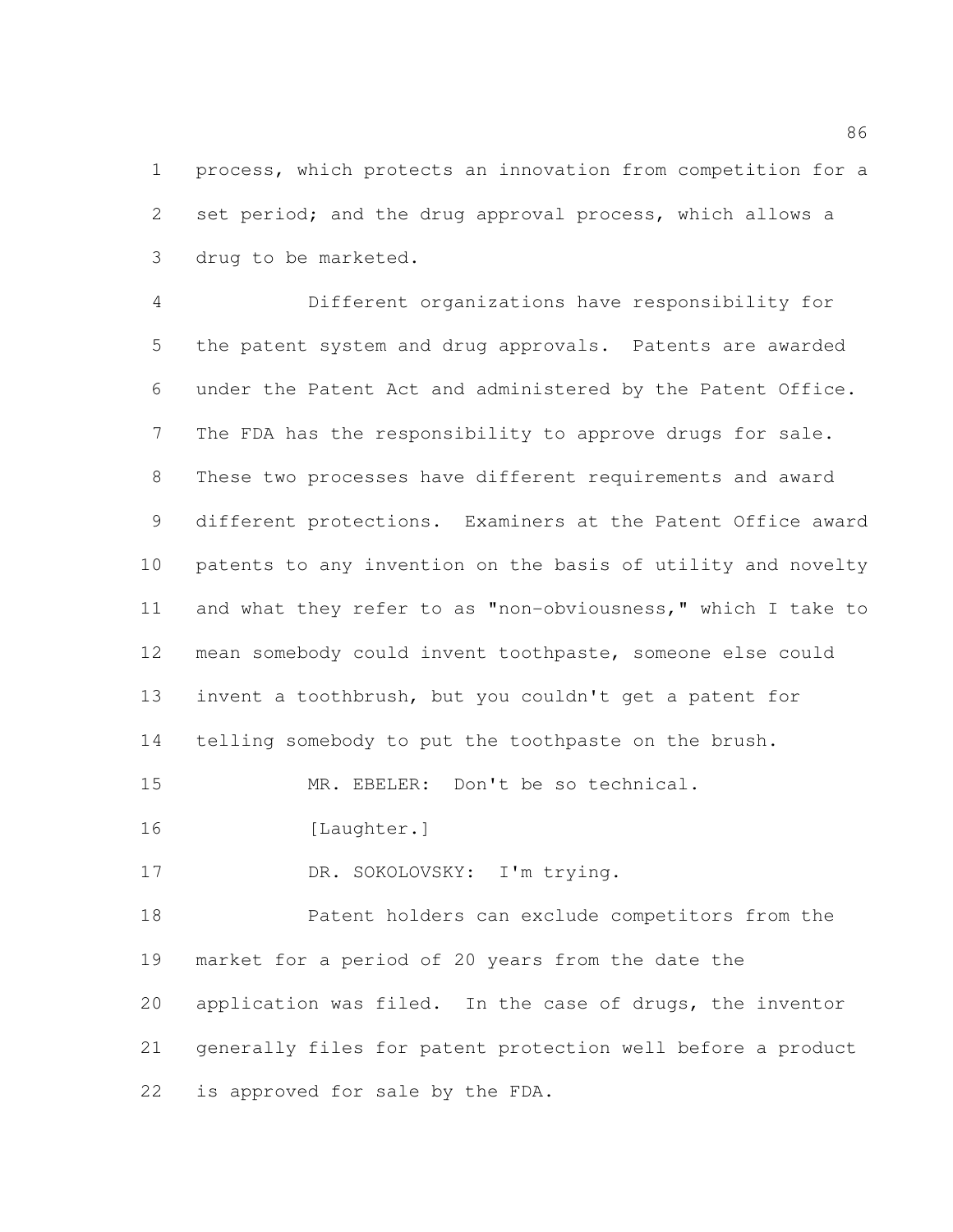process, which protects an innovation from competition for a set period; and the drug approval process, which allows a drug to be marketed.

 Different organizations have responsibility for the patent system and drug approvals. Patents are awarded under the Patent Act and administered by the Patent Office. The FDA has the responsibility to approve drugs for sale. These two processes have different requirements and award different protections. Examiners at the Patent Office award patents to any invention on the basis of utility and novelty and what they refer to as "non-obviousness," which I take to mean somebody could invent toothpaste, someone else could invent a toothbrush, but you couldn't get a patent for telling somebody to put the toothpaste on the brush. MR. EBELER: Don't be so technical.

16 [Laughter.]

17 DR. SOKOLOVSKY: I'm trying.

 Patent holders can exclude competitors from the market for a period of 20 years from the date the application was filed. In the case of drugs, the inventor generally files for patent protection well before a product is approved for sale by the FDA.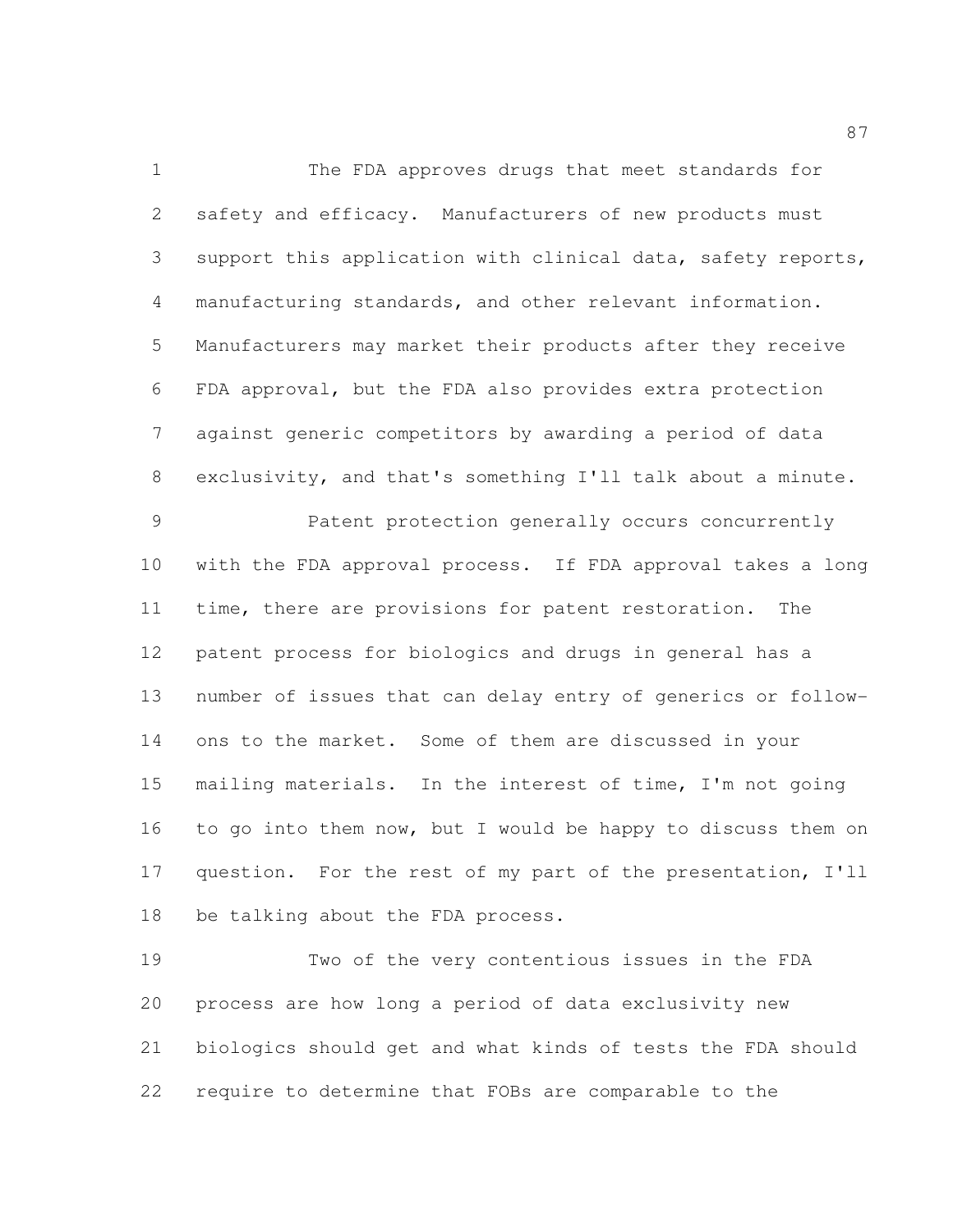The FDA approves drugs that meet standards for safety and efficacy. Manufacturers of new products must support this application with clinical data, safety reports, manufacturing standards, and other relevant information. Manufacturers may market their products after they receive FDA approval, but the FDA also provides extra protection against generic competitors by awarding a period of data exclusivity, and that's something I'll talk about a minute.

 Patent protection generally occurs concurrently with the FDA approval process. If FDA approval takes a long time, there are provisions for patent restoration. The patent process for biologics and drugs in general has a number of issues that can delay entry of generics or follow- ons to the market. Some of them are discussed in your mailing materials. In the interest of time, I'm not going to go into them now, but I would be happy to discuss them on question. For the rest of my part of the presentation, I'll be talking about the FDA process.

 Two of the very contentious issues in the FDA process are how long a period of data exclusivity new biologics should get and what kinds of tests the FDA should require to determine that FOBs are comparable to the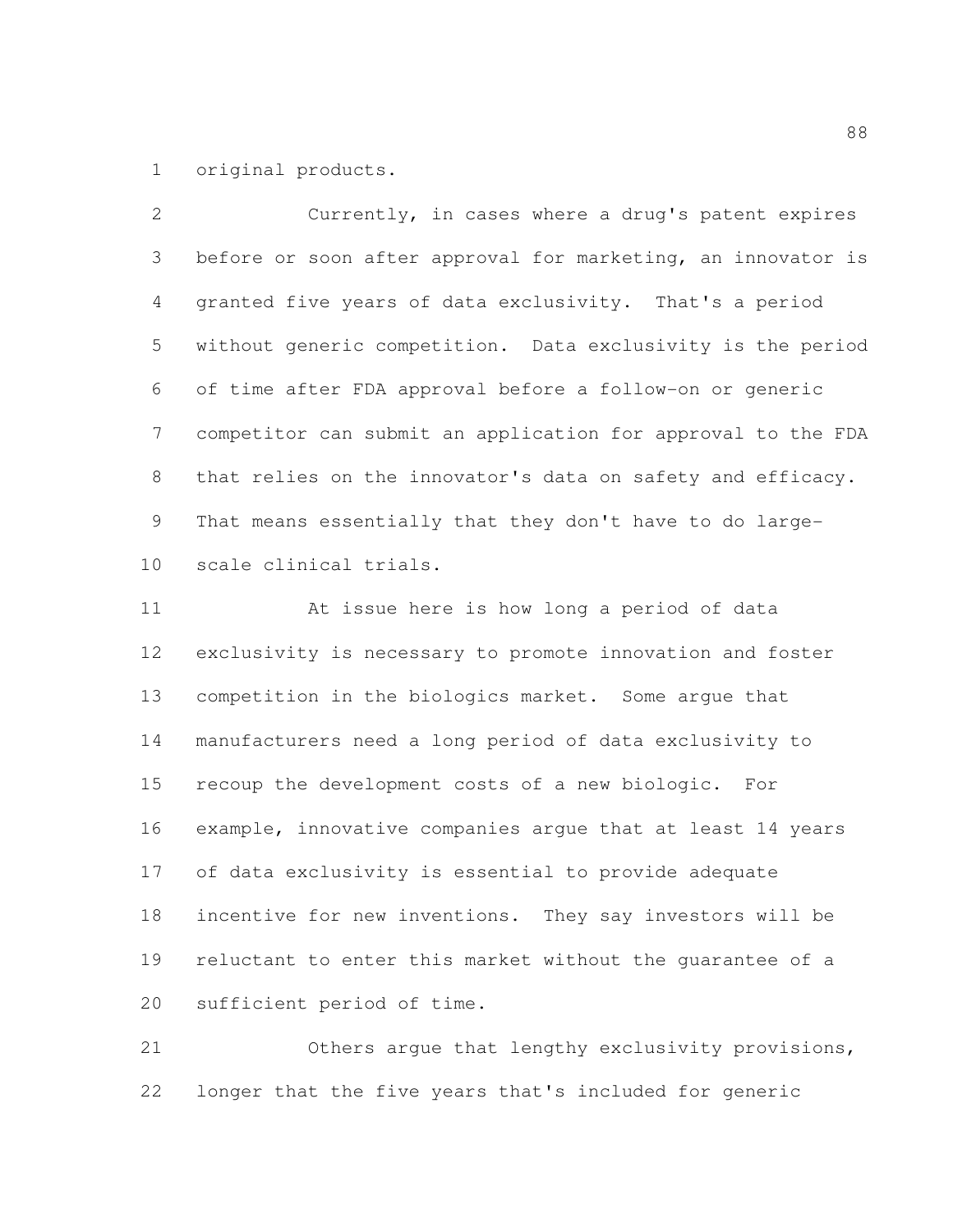original products.

 Currently, in cases where a drug's patent expires before or soon after approval for marketing, an innovator is granted five years of data exclusivity. That's a period without generic competition. Data exclusivity is the period of time after FDA approval before a follow-on or generic competitor can submit an application for approval to the FDA that relies on the innovator's data on safety and efficacy. That means essentially that they don't have to do large-scale clinical trials.

 At issue here is how long a period of data exclusivity is necessary to promote innovation and foster competition in the biologics market. Some argue that manufacturers need a long period of data exclusivity to recoup the development costs of a new biologic. For example, innovative companies argue that at least 14 years of data exclusivity is essential to provide adequate incentive for new inventions. They say investors will be reluctant to enter this market without the guarantee of a sufficient period of time.

 Others argue that lengthy exclusivity provisions, longer that the five years that's included for generic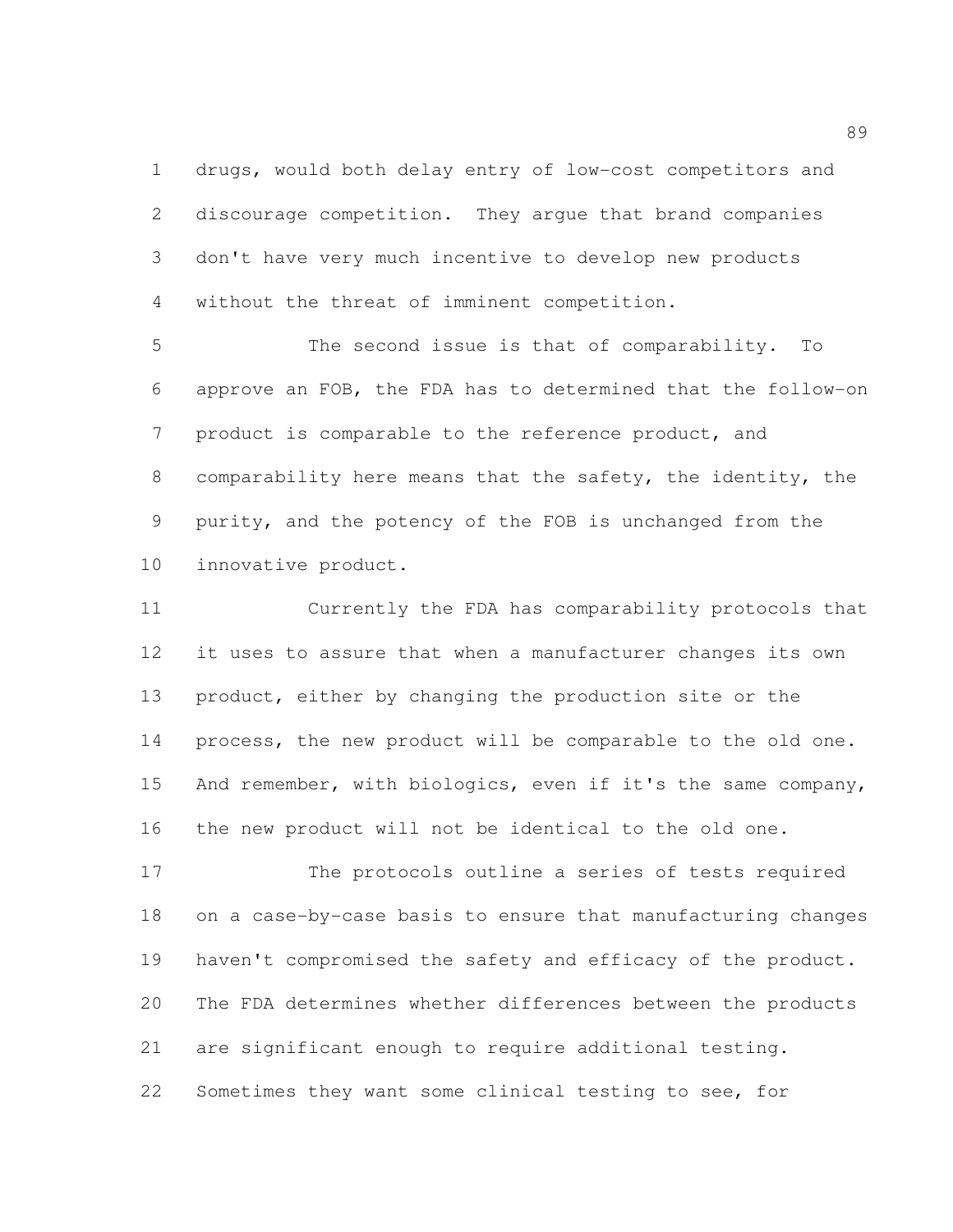drugs, would both delay entry of low-cost competitors and discourage competition. They argue that brand companies don't have very much incentive to develop new products without the threat of imminent competition.

 The second issue is that of comparability. To approve an FOB, the FDA has to determined that the follow-on product is comparable to the reference product, and comparability here means that the safety, the identity, the purity, and the potency of the FOB is unchanged from the innovative product.

 Currently the FDA has comparability protocols that it uses to assure that when a manufacturer changes its own product, either by changing the production site or the process, the new product will be comparable to the old one. And remember, with biologics, even if it's the same company, the new product will not be identical to the old one.

 The protocols outline a series of tests required on a case-by-case basis to ensure that manufacturing changes 19 haven't compromised the safety and efficacy of the product. The FDA determines whether differences between the products are significant enough to require additional testing. Sometimes they want some clinical testing to see, for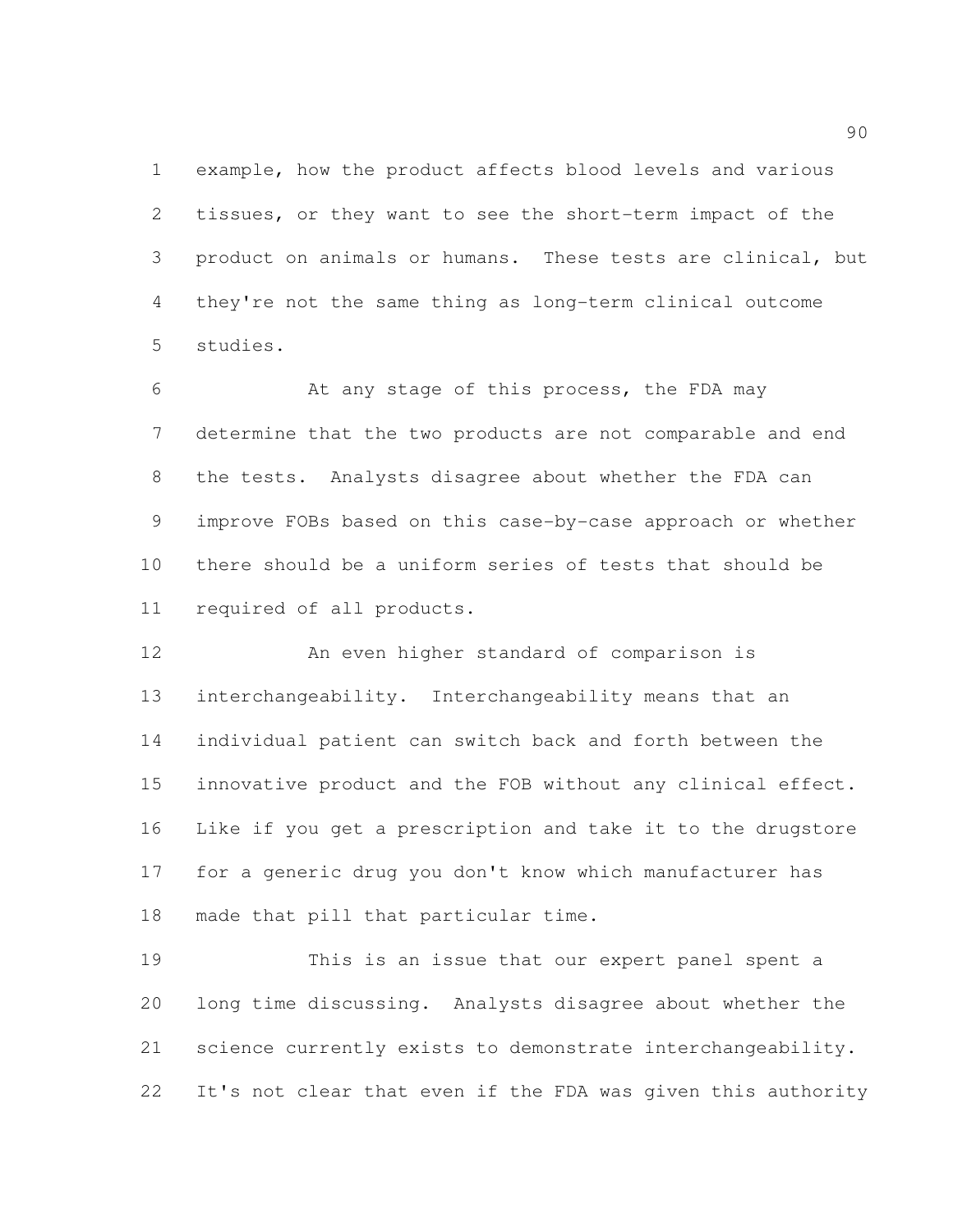example, how the product affects blood levels and various tissues, or they want to see the short-term impact of the product on animals or humans. These tests are clinical, but they're not the same thing as long-term clinical outcome studies.

6 6 At any stage of this process, the FDA may determine that the two products are not comparable and end the tests. Analysts disagree about whether the FDA can improve FOBs based on this case-by-case approach or whether there should be a uniform series of tests that should be required of all products.

 An even higher standard of comparison is interchangeability. Interchangeability means that an individual patient can switch back and forth between the innovative product and the FOB without any clinical effect. Like if you get a prescription and take it to the drugstore for a generic drug you don't know which manufacturer has made that pill that particular time.

 This is an issue that our expert panel spent a long time discussing. Analysts disagree about whether the science currently exists to demonstrate interchangeability. It's not clear that even if the FDA was given this authority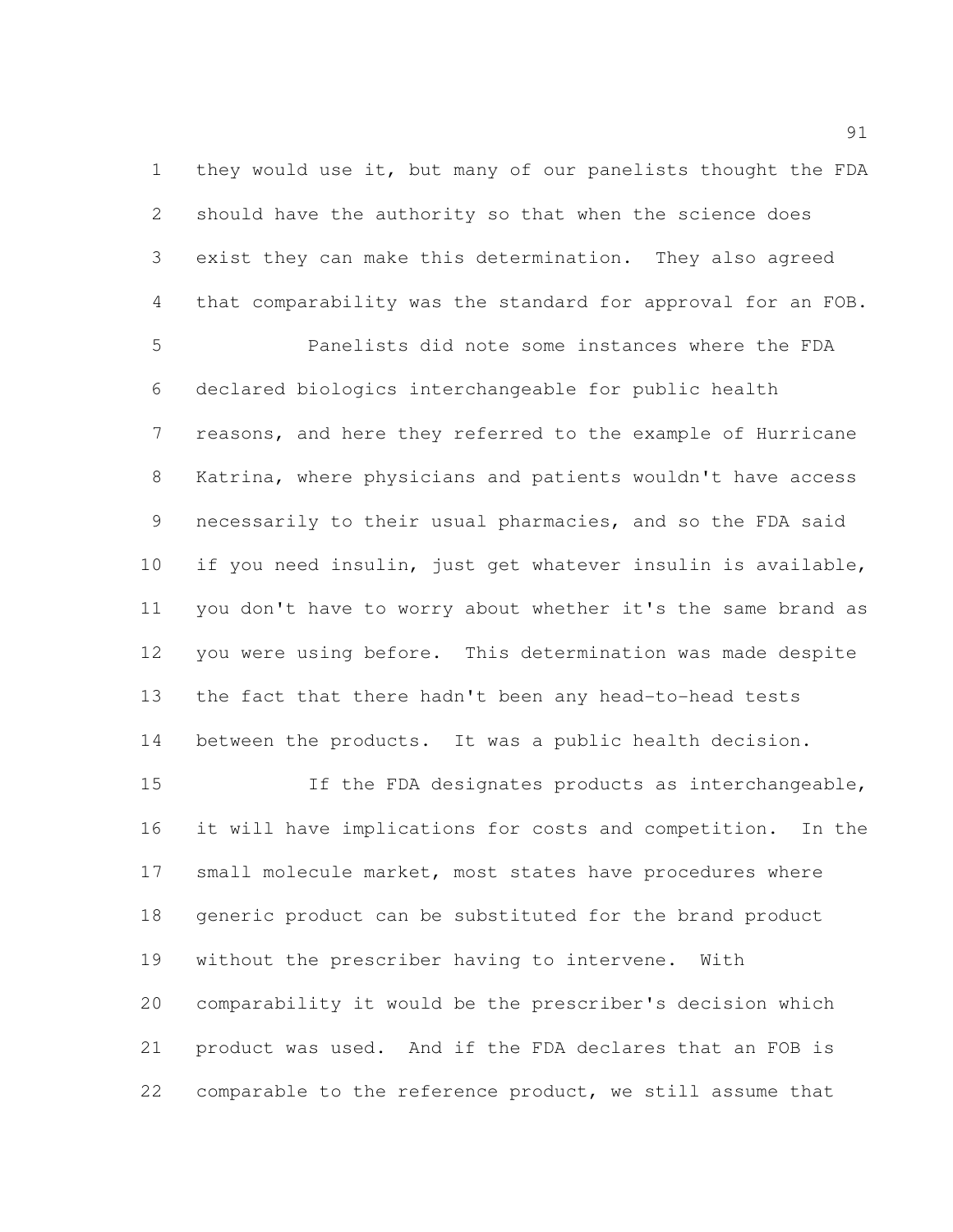they would use it, but many of our panelists thought the FDA should have the authority so that when the science does exist they can make this determination. They also agreed that comparability was the standard for approval for an FOB.

 Panelists did note some instances where the FDA declared biologics interchangeable for public health reasons, and here they referred to the example of Hurricane Katrina, where physicians and patients wouldn't have access necessarily to their usual pharmacies, and so the FDA said if you need insulin, just get whatever insulin is available, you don't have to worry about whether it's the same brand as you were using before. This determination was made despite the fact that there hadn't been any head-to-head tests between the products. It was a public health decision.

 If the FDA designates products as interchangeable, it will have implications for costs and competition. In the 17 small molecule market, most states have procedures where generic product can be substituted for the brand product without the prescriber having to intervene. With comparability it would be the prescriber's decision which product was used. And if the FDA declares that an FOB is comparable to the reference product, we still assume that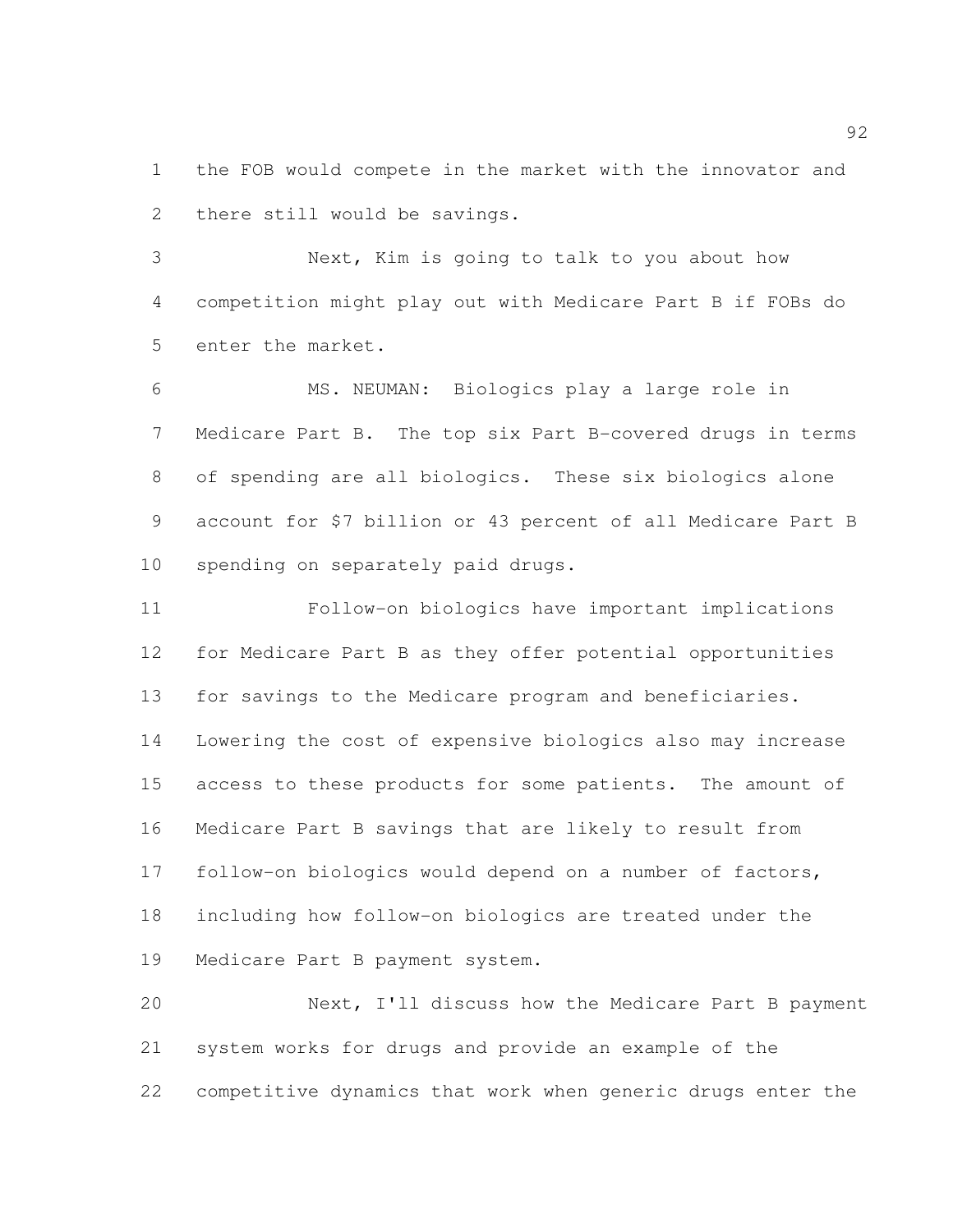the FOB would compete in the market with the innovator and there still would be savings.

 Next, Kim is going to talk to you about how competition might play out with Medicare Part B if FOBs do enter the market.

 MS. NEUMAN: Biologics play a large role in Medicare Part B. The top six Part B-covered drugs in terms of spending are all biologics. These six biologics alone account for \$7 billion or 43 percent of all Medicare Part B spending on separately paid drugs.

 Follow-on biologics have important implications for Medicare Part B as they offer potential opportunities for savings to the Medicare program and beneficiaries. Lowering the cost of expensive biologics also may increase access to these products for some patients. The amount of Medicare Part B savings that are likely to result from follow-on biologics would depend on a number of factors, including how follow-on biologics are treated under the Medicare Part B payment system.

 Next, I'll discuss how the Medicare Part B payment system works for drugs and provide an example of the competitive dynamics that work when generic drugs enter the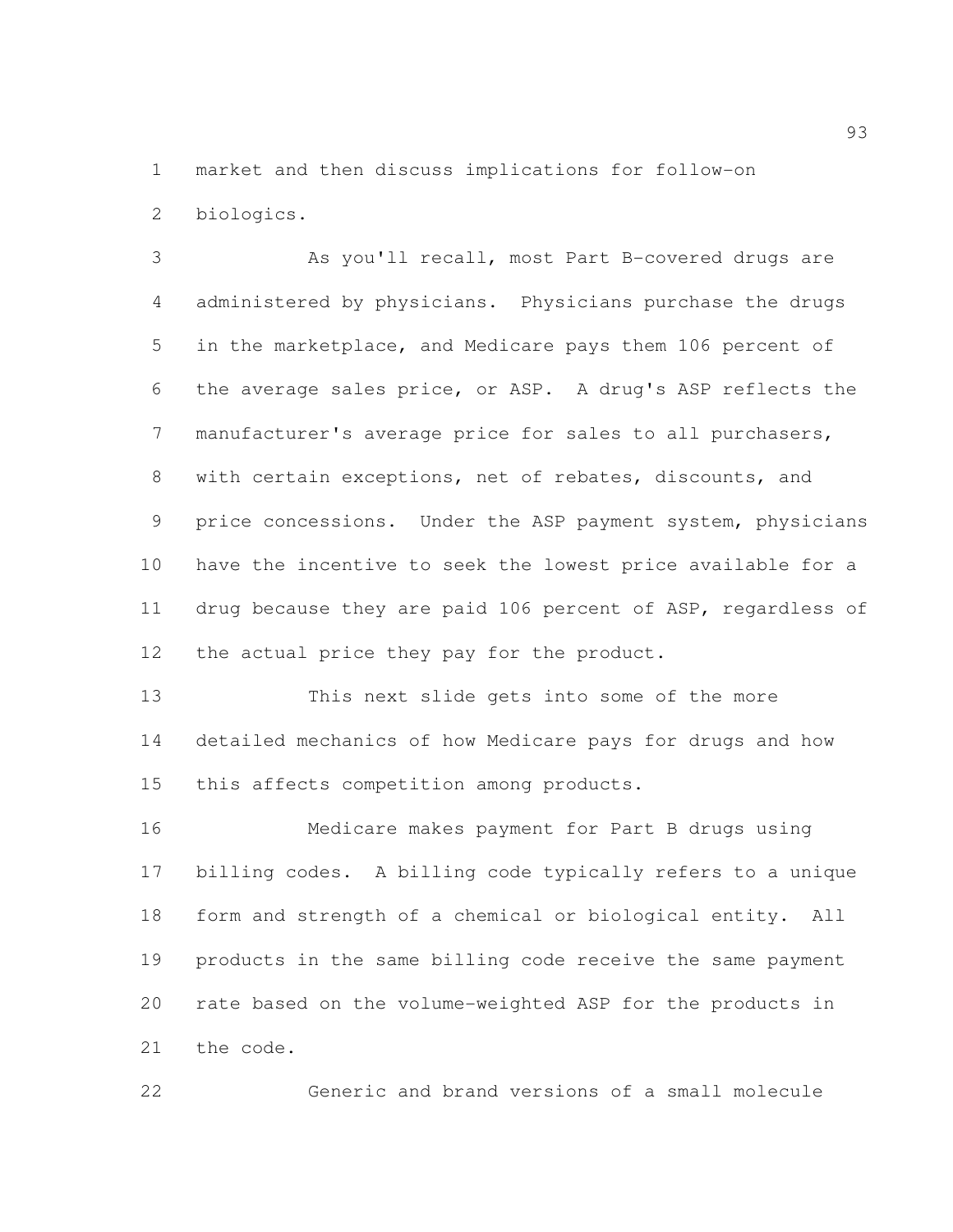market and then discuss implications for follow-on biologics.

 As you'll recall, most Part B-covered drugs are administered by physicians. Physicians purchase the drugs in the marketplace, and Medicare pays them 106 percent of the average sales price, or ASP. A drug's ASP reflects the manufacturer's average price for sales to all purchasers, with certain exceptions, net of rebates, discounts, and price concessions. Under the ASP payment system, physicians have the incentive to seek the lowest price available for a drug because they are paid 106 percent of ASP, regardless of 12 the actual price they pay for the product.

 This next slide gets into some of the more detailed mechanics of how Medicare pays for drugs and how this affects competition among products.

 Medicare makes payment for Part B drugs using billing codes. A billing code typically refers to a unique form and strength of a chemical or biological entity. All products in the same billing code receive the same payment rate based on the volume-weighted ASP for the products in the code.

Generic and brand versions of a small molecule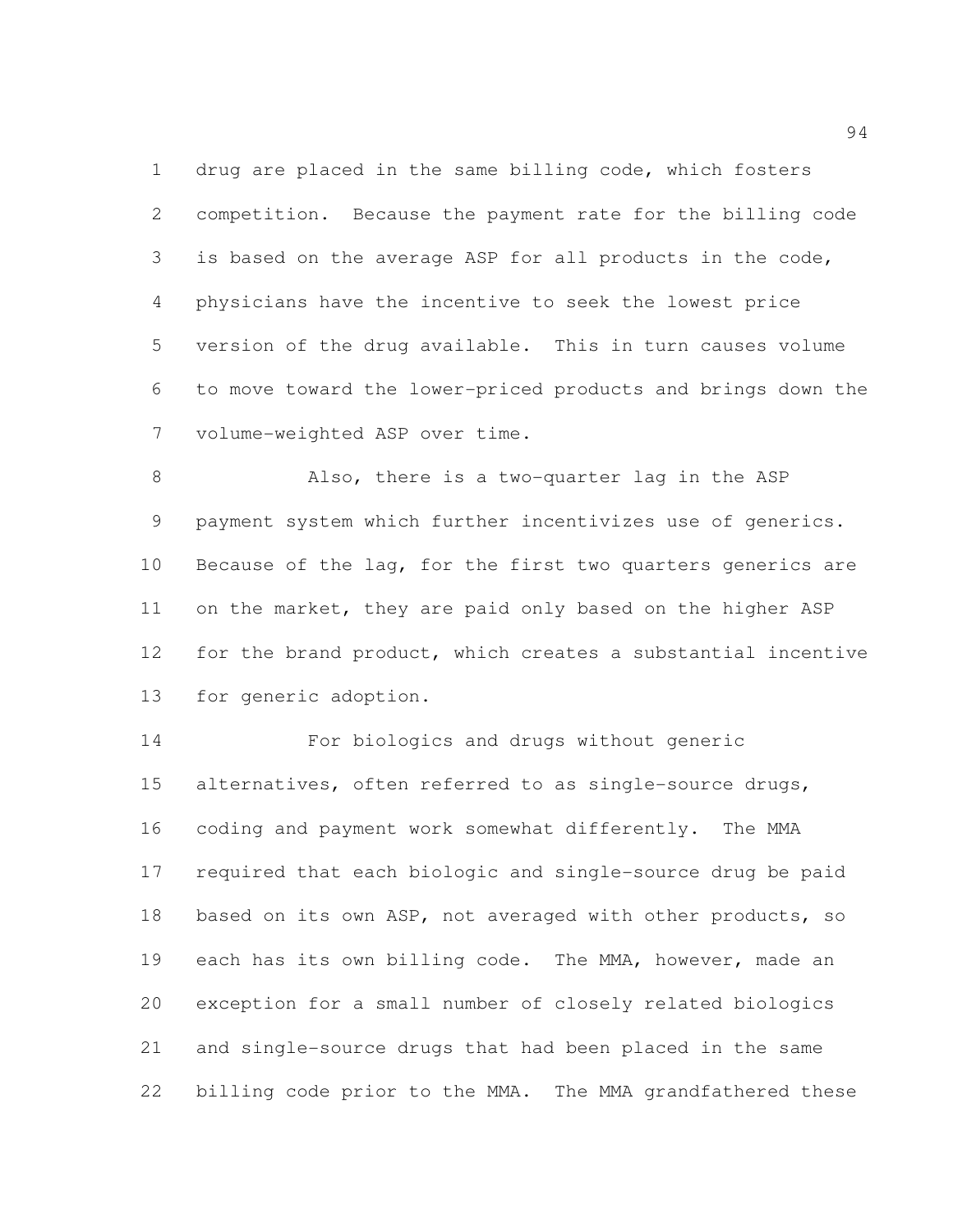drug are placed in the same billing code, which fosters competition. Because the payment rate for the billing code is based on the average ASP for all products in the code, physicians have the incentive to seek the lowest price version of the drug available. This in turn causes volume to move toward the lower-priced products and brings down the volume-weighted ASP over time.

 Also, there is a two-quarter lag in the ASP payment system which further incentivizes use of generics. Because of the lag, for the first two quarters generics are on the market, they are paid only based on the higher ASP for the brand product, which creates a substantial incentive for generic adoption.

 For biologics and drugs without generic 15 alternatives, often referred to as single-source drugs, coding and payment work somewhat differently. The MMA required that each biologic and single-source drug be paid based on its own ASP, not averaged with other products, so each has its own billing code. The MMA, however, made an exception for a small number of closely related biologics and single-source drugs that had been placed in the same billing code prior to the MMA. The MMA grandfathered these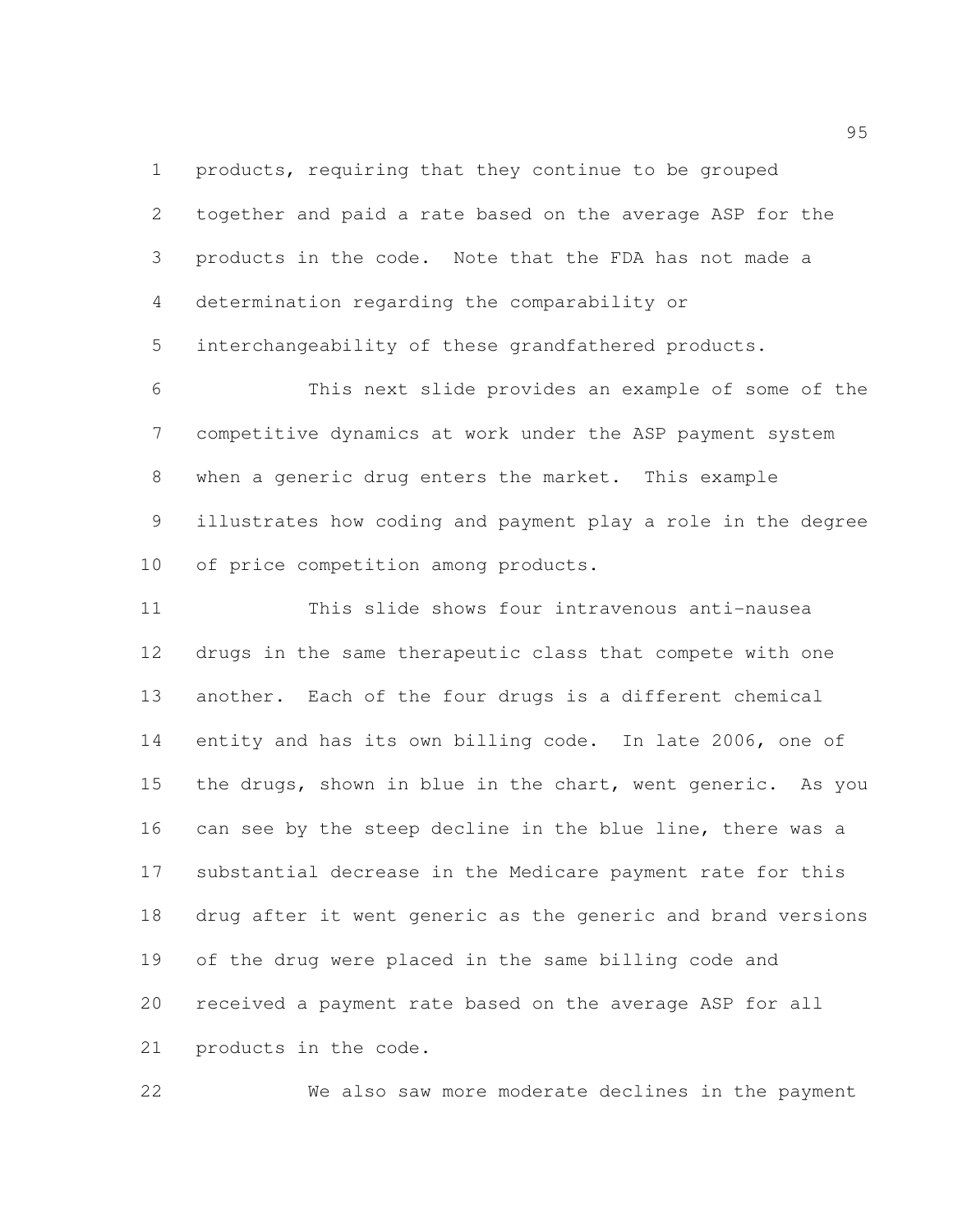products, requiring that they continue to be grouped

| $\mathbf{2}$    | together and paid a rate based on the average ASP for the    |
|-----------------|--------------------------------------------------------------|
| 3               | products in the code. Note that the FDA has not made a       |
| $\overline{4}$  | determination regarding the comparability or                 |
| 5               | interchangeability of these grandfathered products.          |
| 6               | This next slide provides an example of some of the           |
| $7\phantom{.0}$ | competitive dynamics at work under the ASP payment system    |
| 8               | when a generic drug enters the market. This example          |
| 9               | illustrates how coding and payment play a role in the degree |
| 10 <sub>o</sub> | of price competition among products.                         |
| 11              | This slide shows four intravenous anti-nausea                |
| 12              | drugs in the same therapeutic class that compete with one    |
| 13              | another. Each of the four drugs is a different chemical      |
| 14              | entity and has its own billing code. In late 2006, one of    |
| 15              | the drugs, shown in blue in the chart, went generic. As you  |
| 16              | can see by the steep decline in the blue line, there was a   |
| 17              | substantial decrease in the Medicare payment rate for this   |
| 18              | drug after it went generic as the generic and brand versions |
| 19              | of the drug were placed in the same billing code and         |

products in the code.

We also saw more moderate declines in the payment

received a payment rate based on the average ASP for all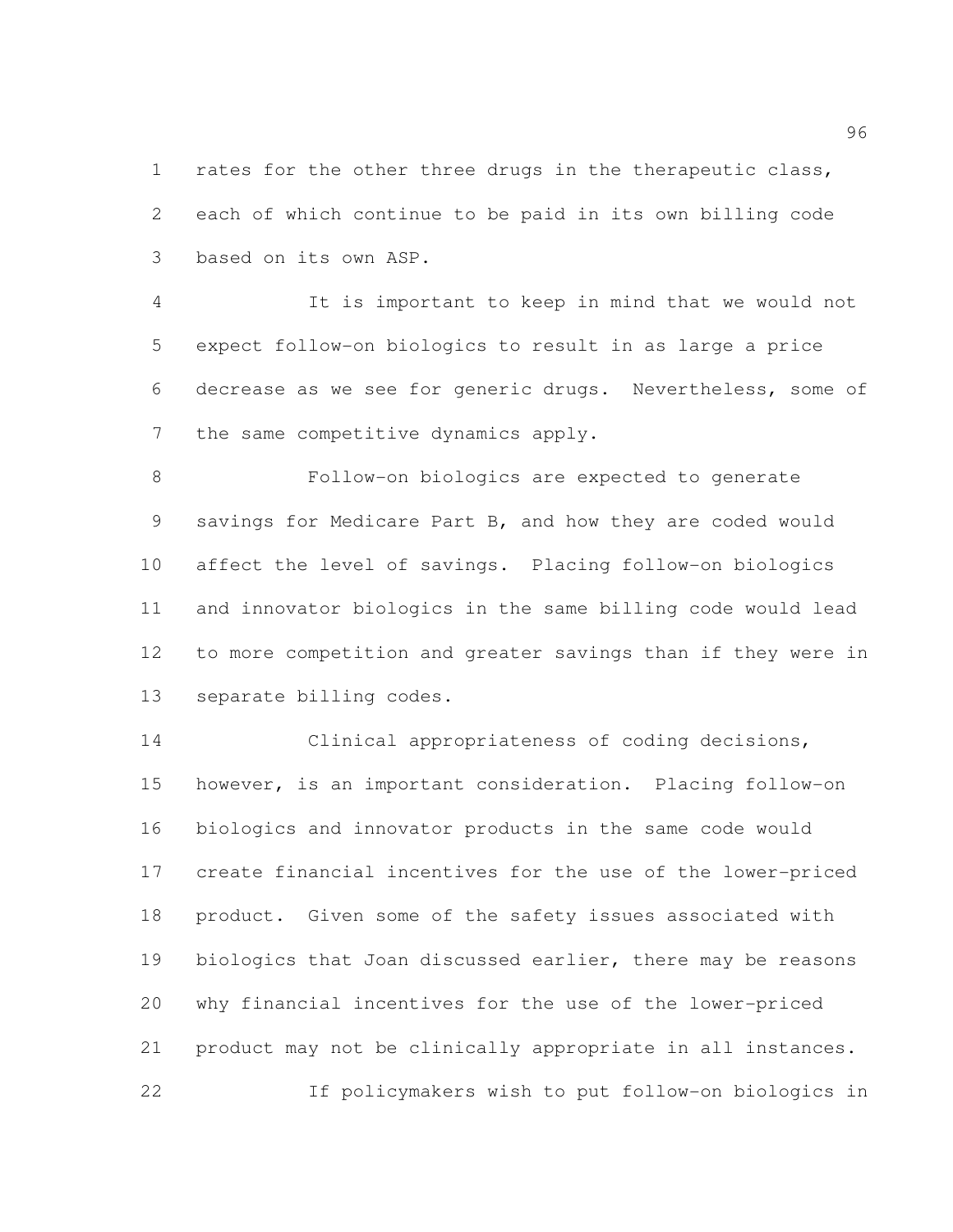1 rates for the other three drugs in the therapeutic class, each of which continue to be paid in its own billing code based on its own ASP.

 It is important to keep in mind that we would not expect follow-on biologics to result in as large a price decrease as we see for generic drugs. Nevertheless, some of the same competitive dynamics apply.

 Follow-on biologics are expected to generate savings for Medicare Part B, and how they are coded would affect the level of savings. Placing follow-on biologics and innovator biologics in the same billing code would lead to more competition and greater savings than if they were in separate billing codes.

 Clinical appropriateness of coding decisions, however, is an important consideration. Placing follow-on biologics and innovator products in the same code would create financial incentives for the use of the lower-priced product. Given some of the safety issues associated with biologics that Joan discussed earlier, there may be reasons why financial incentives for the use of the lower-priced product may not be clinically appropriate in all instances. If policymakers wish to put follow-on biologics in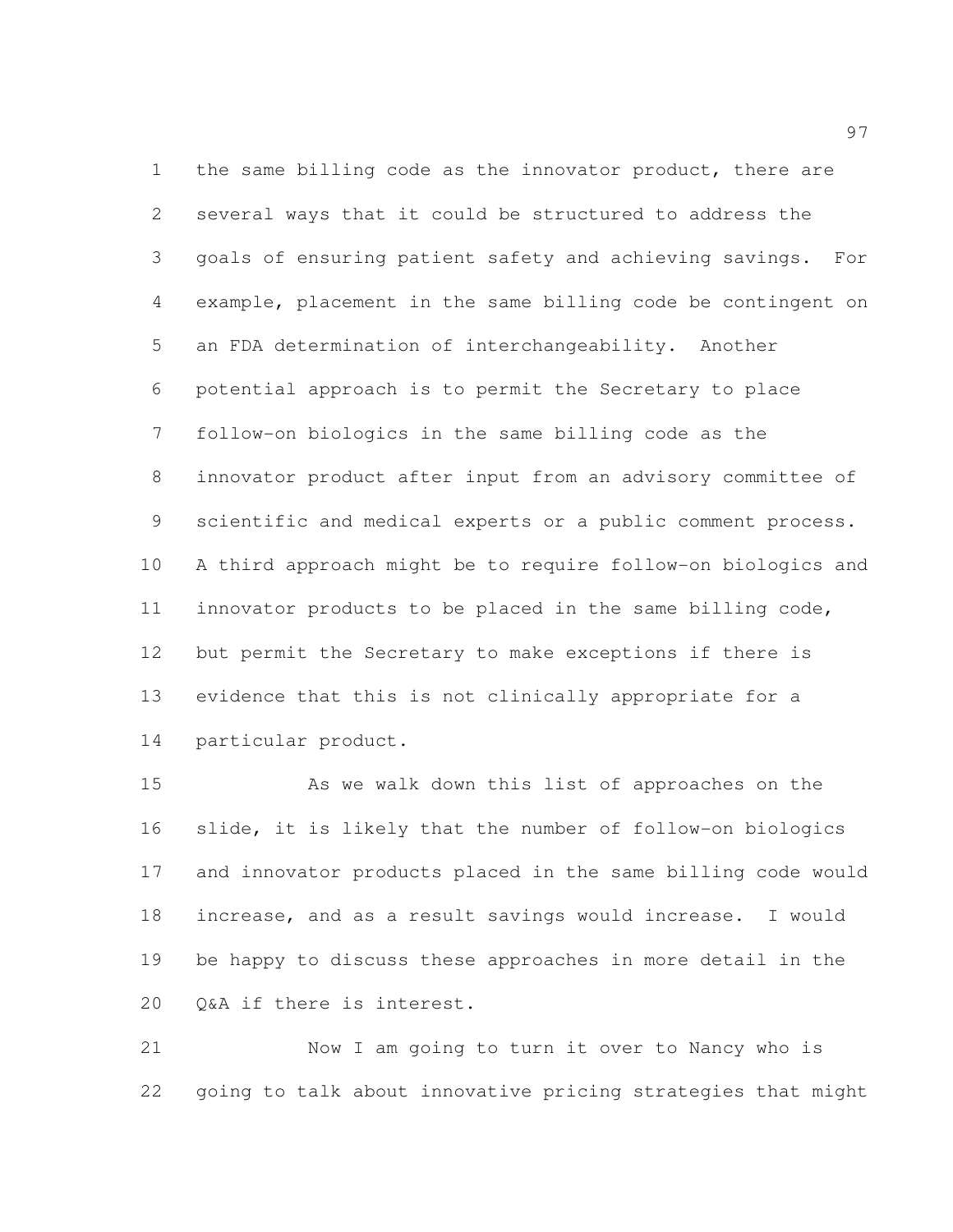the same billing code as the innovator product, there are several ways that it could be structured to address the goals of ensuring patient safety and achieving savings. For example, placement in the same billing code be contingent on an FDA determination of interchangeability. Another potential approach is to permit the Secretary to place follow-on biologics in the same billing code as the innovator product after input from an advisory committee of scientific and medical experts or a public comment process. A third approach might be to require follow-on biologics and innovator products to be placed in the same billing code, but permit the Secretary to make exceptions if there is evidence that this is not clinically appropriate for a particular product.

 As we walk down this list of approaches on the slide, it is likely that the number of follow-on biologics and innovator products placed in the same billing code would increase, and as a result savings would increase. I would be happy to discuss these approaches in more detail in the Q&A if there is interest.

 Now I am going to turn it over to Nancy who is going to talk about innovative pricing strategies that might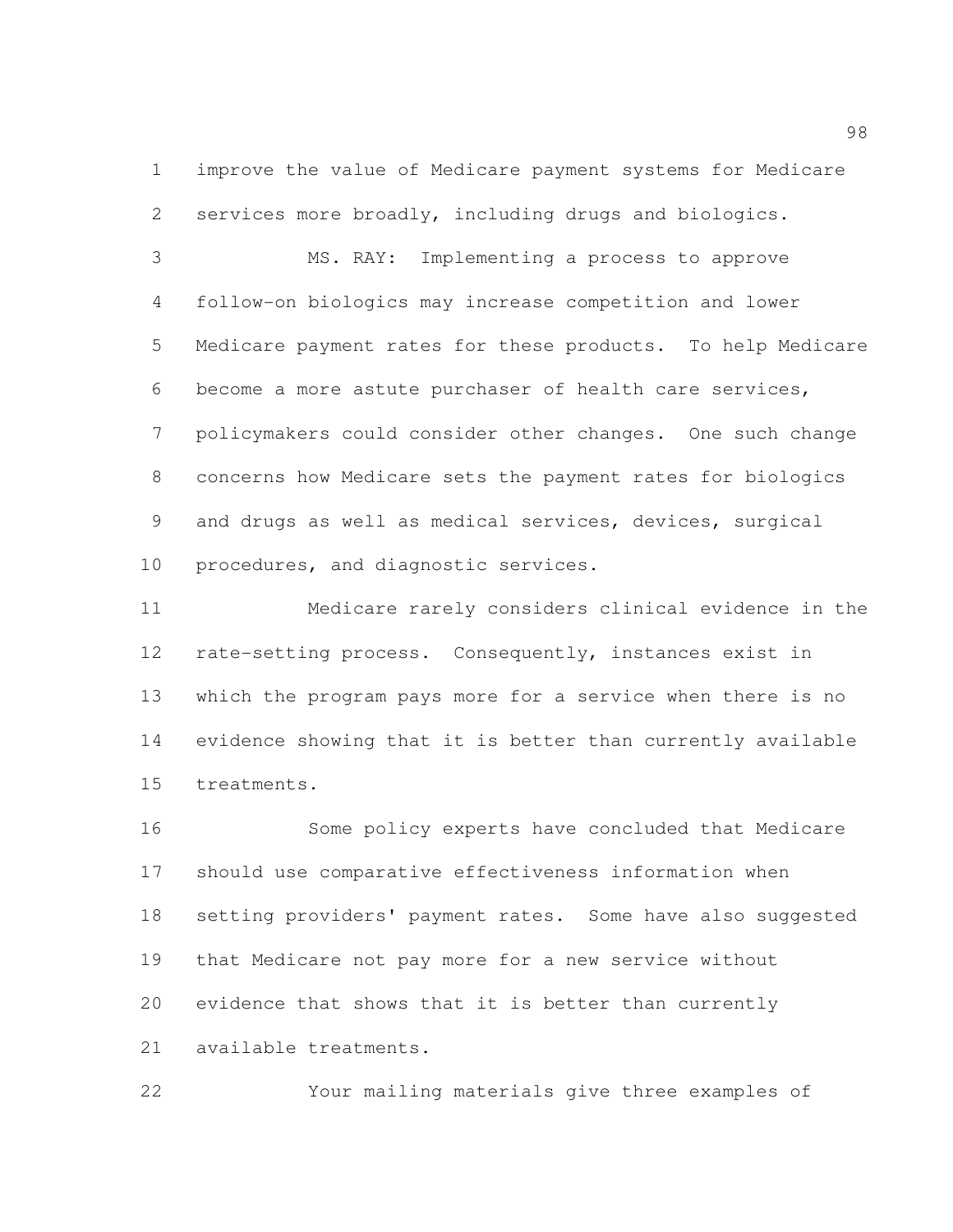improve the value of Medicare payment systems for Medicare services more broadly, including drugs and biologics.

 MS. RAY: Implementing a process to approve follow-on biologics may increase competition and lower Medicare payment rates for these products. To help Medicare become a more astute purchaser of health care services, policymakers could consider other changes. One such change concerns how Medicare sets the payment rates for biologics and drugs as well as medical services, devices, surgical procedures, and diagnostic services.

 Medicare rarely considers clinical evidence in the rate-setting process. Consequently, instances exist in which the program pays more for a service when there is no evidence showing that it is better than currently available treatments.

 Some policy experts have concluded that Medicare should use comparative effectiveness information when setting providers' payment rates. Some have also suggested that Medicare not pay more for a new service without evidence that shows that it is better than currently available treatments.

Your mailing materials give three examples of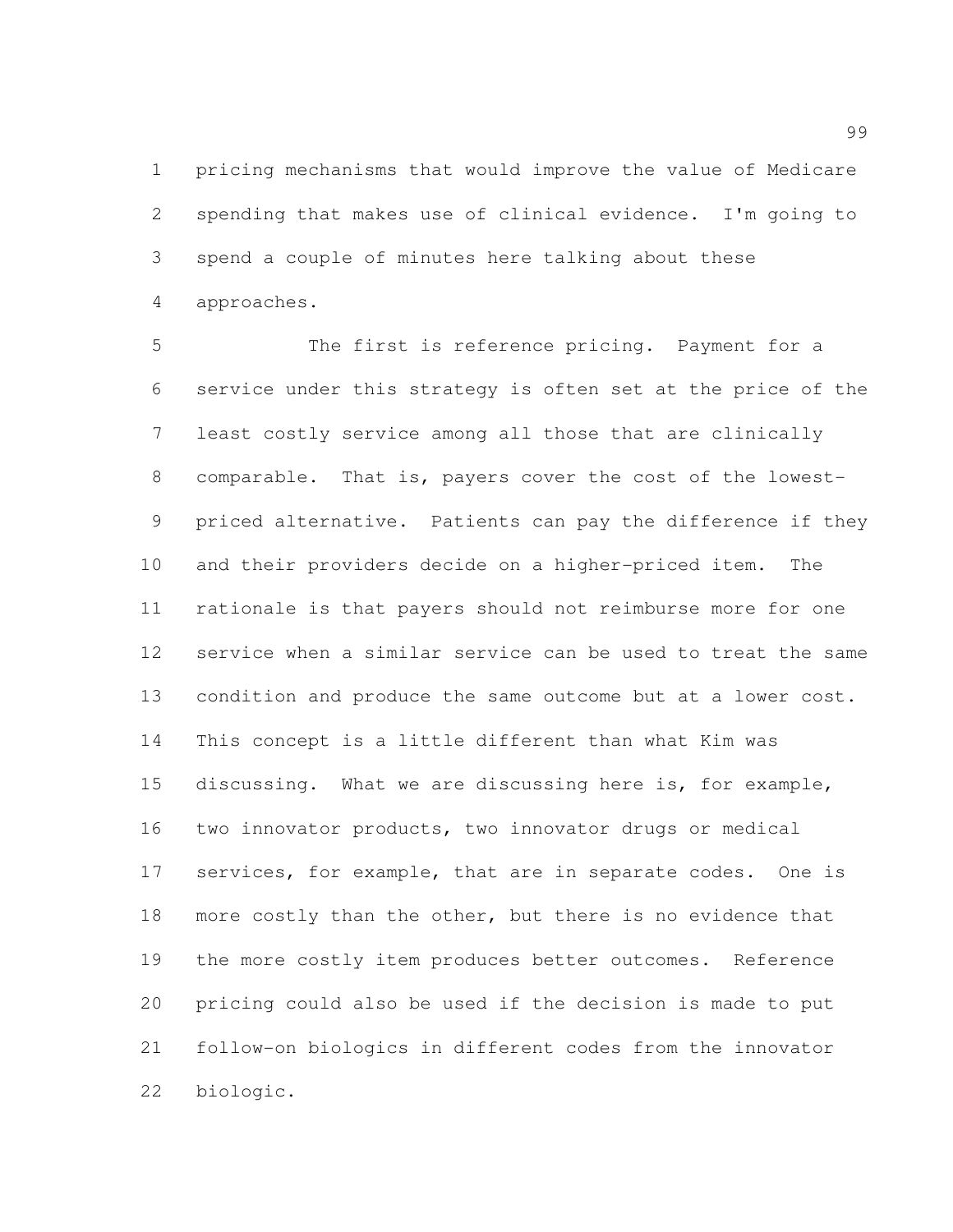pricing mechanisms that would improve the value of Medicare spending that makes use of clinical evidence. I'm going to spend a couple of minutes here talking about these approaches.

 The first is reference pricing. Payment for a service under this strategy is often set at the price of the least costly service among all those that are clinically comparable. That is, payers cover the cost of the lowest- priced alternative. Patients can pay the difference if they and their providers decide on a higher-priced item. The rationale is that payers should not reimburse more for one service when a similar service can be used to treat the same 13 condition and produce the same outcome but at a lower cost. This concept is a little different than what Kim was discussing. What we are discussing here is, for example, two innovator products, two innovator drugs or medical services, for example, that are in separate codes. One is 18 more costly than the other, but there is no evidence that the more costly item produces better outcomes. Reference pricing could also be used if the decision is made to put follow-on biologics in different codes from the innovator biologic.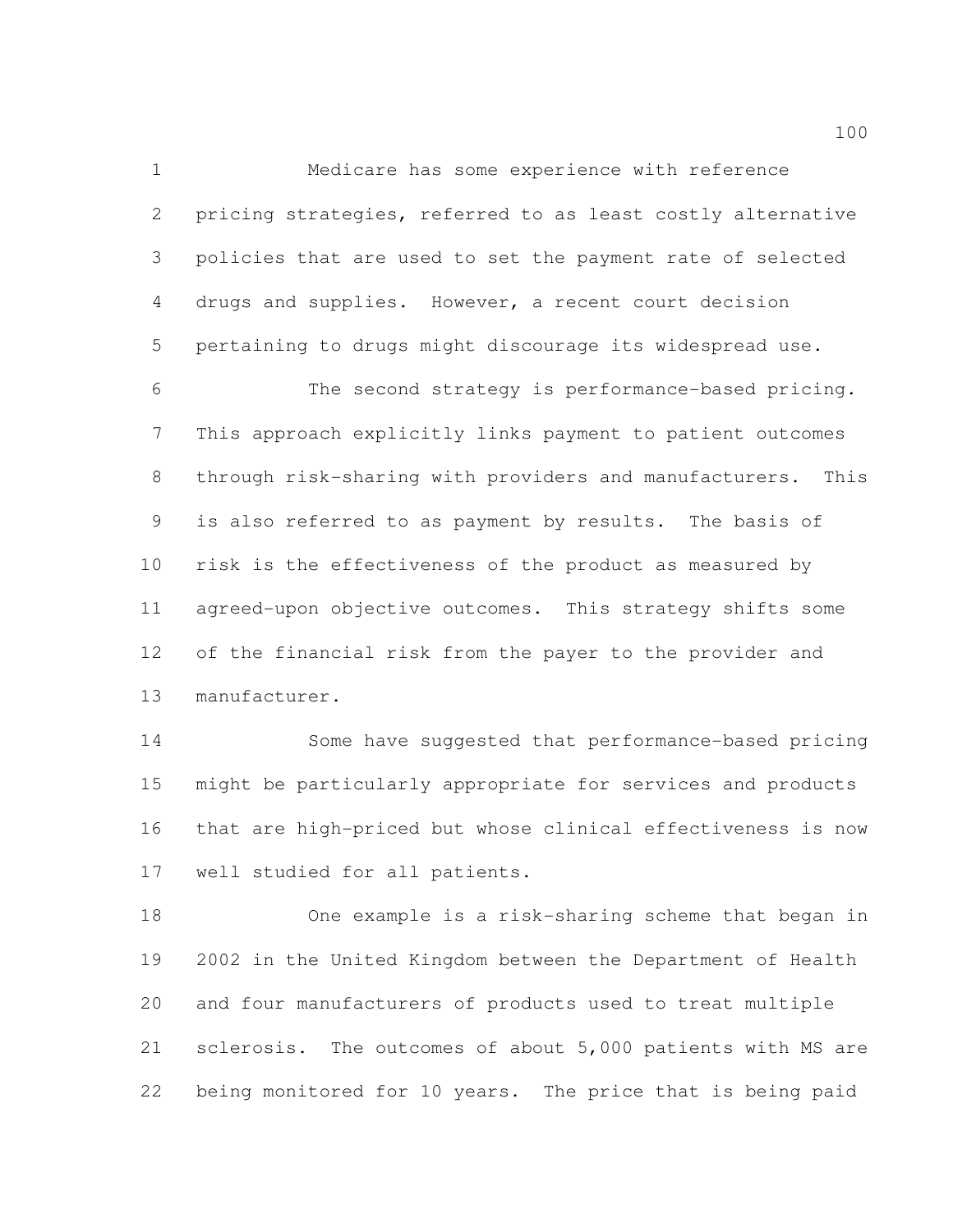Medicare has some experience with reference pricing strategies, referred to as least costly alternative policies that are used to set the payment rate of selected drugs and supplies. However, a recent court decision pertaining to drugs might discourage its widespread use.

 The second strategy is performance-based pricing. This approach explicitly links payment to patient outcomes through risk-sharing with providers and manufacturers. This is also referred to as payment by results. The basis of risk is the effectiveness of the product as measured by agreed-upon objective outcomes. This strategy shifts some of the financial risk from the payer to the provider and manufacturer.

 Some have suggested that performance-based pricing might be particularly appropriate for services and products that are high-priced but whose clinical effectiveness is now well studied for all patients.

 One example is a risk-sharing scheme that began in 2002 in the United Kingdom between the Department of Health and four manufacturers of products used to treat multiple sclerosis. The outcomes of about 5,000 patients with MS are being monitored for 10 years. The price that is being paid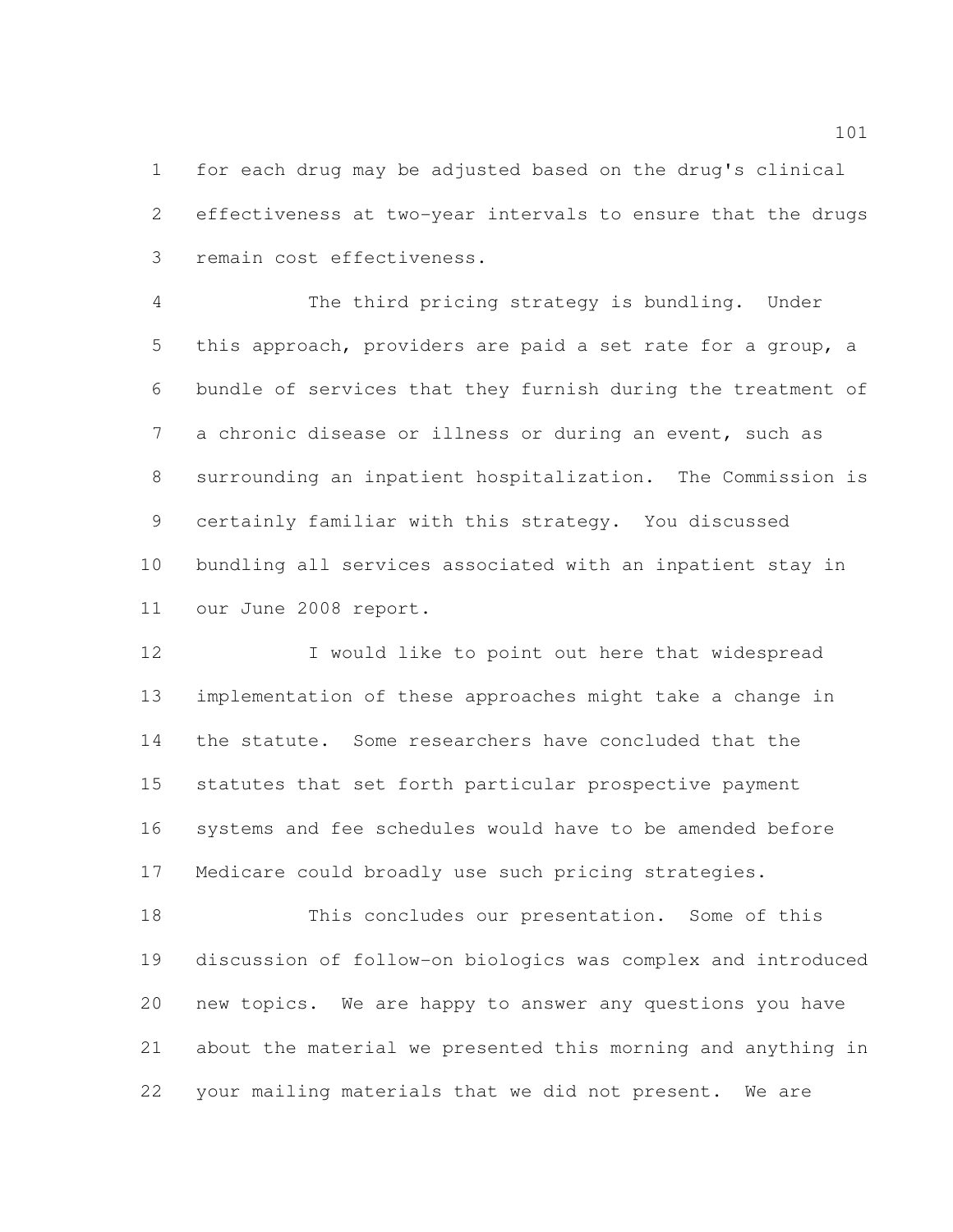for each drug may be adjusted based on the drug's clinical effectiveness at two-year intervals to ensure that the drugs remain cost effectiveness.

 The third pricing strategy is bundling. Under this approach, providers are paid a set rate for a group, a bundle of services that they furnish during the treatment of a chronic disease or illness or during an event, such as surrounding an inpatient hospitalization. The Commission is certainly familiar with this strategy. You discussed bundling all services associated with an inpatient stay in our June 2008 report.

 I would like to point out here that widespread implementation of these approaches might take a change in the statute. Some researchers have concluded that the statutes that set forth particular prospective payment systems and fee schedules would have to be amended before Medicare could broadly use such pricing strategies.

 This concludes our presentation. Some of this discussion of follow-on biologics was complex and introduced new topics. We are happy to answer any questions you have about the material we presented this morning and anything in your mailing materials that we did not present. We are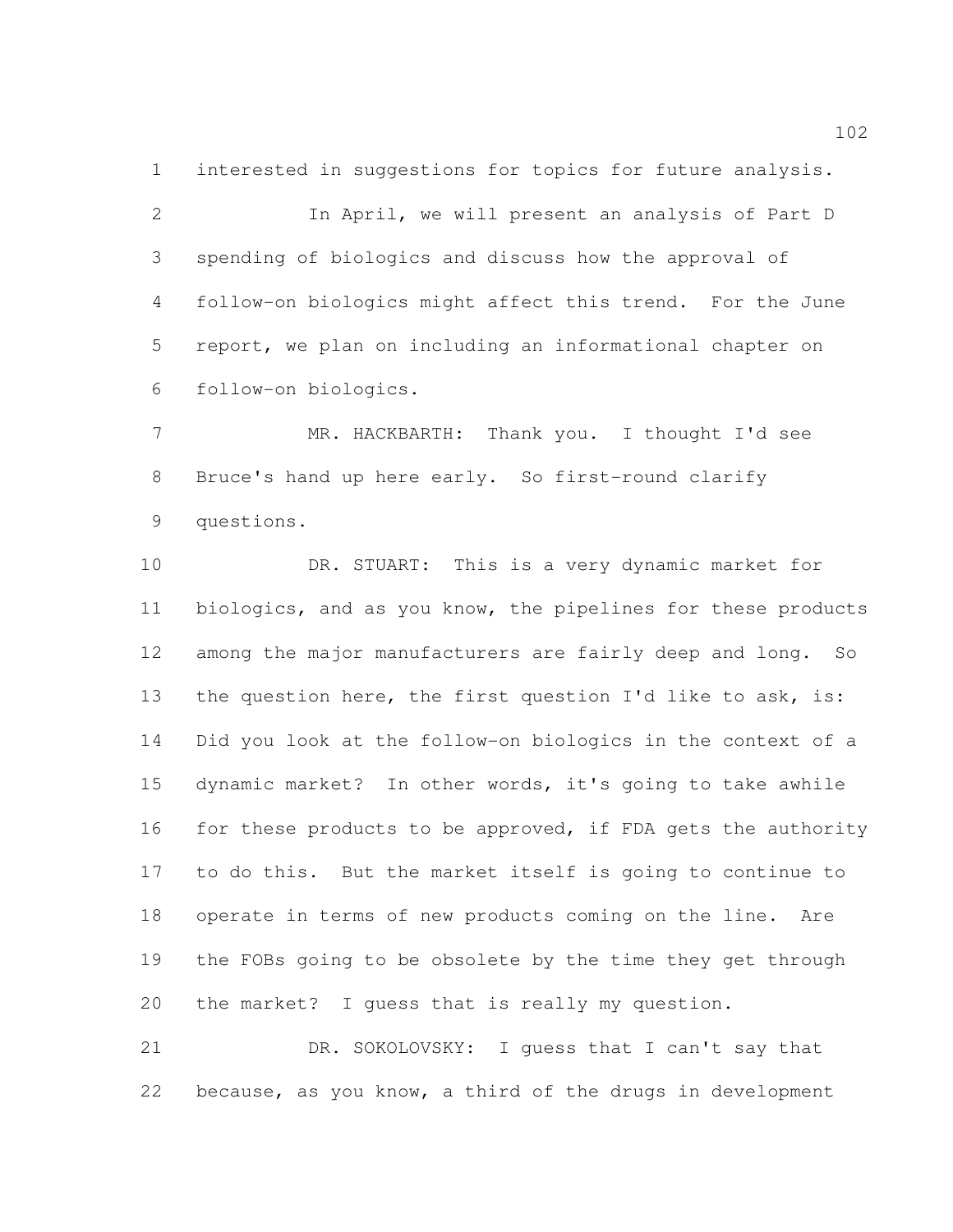interested in suggestions for topics for future analysis. In April, we will present an analysis of Part D spending of biologics and discuss how the approval of follow-on biologics might affect this trend. For the June report, we plan on including an informational chapter on follow-on biologics.

 MR. HACKBARTH: Thank you. I thought I'd see Bruce's hand up here early. So first-round clarify questions.

 DR. STUART: This is a very dynamic market for biologics, and as you know, the pipelines for these products among the major manufacturers are fairly deep and long. So 13 the question here, the first question I'd like to ask, is: Did you look at the follow-on biologics in the context of a dynamic market? In other words, it's going to take awhile for these products to be approved, if FDA gets the authority to do this. But the market itself is going to continue to operate in terms of new products coming on the line. Are the FOBs going to be obsolete by the time they get through the market? I guess that is really my question.

 DR. SOKOLOVSKY: I guess that I can't say that because, as you know, a third of the drugs in development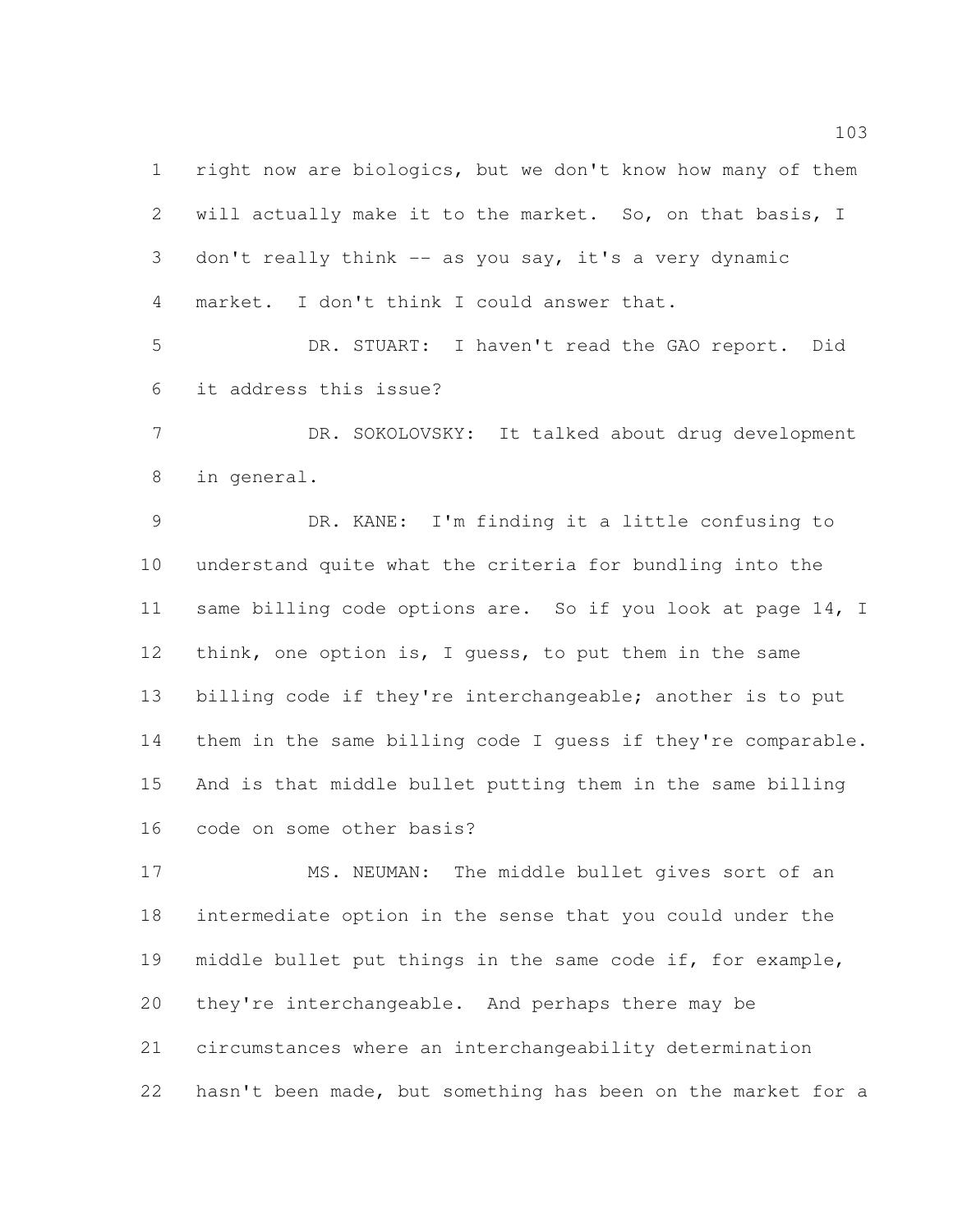right now are biologics, but we don't know how many of them will actually make it to the market. So, on that basis, I don't really think -- as you say, it's a very dynamic market. I don't think I could answer that.

 DR. STUART: I haven't read the GAO report. Did it address this issue?

 DR. SOKOLOVSKY: It talked about drug development in general.

 DR. KANE: I'm finding it a little confusing to understand quite what the criteria for bundling into the 11 same billing code options are. So if you look at page 14, I 12 think, one option is, I guess, to put them in the same billing code if they're interchangeable; another is to put them in the same billing code I guess if they're comparable. And is that middle bullet putting them in the same billing code on some other basis?

 MS. NEUMAN: The middle bullet gives sort of an intermediate option in the sense that you could under the middle bullet put things in the same code if, for example, they're interchangeable. And perhaps there may be circumstances where an interchangeability determination hasn't been made, but something has been on the market for a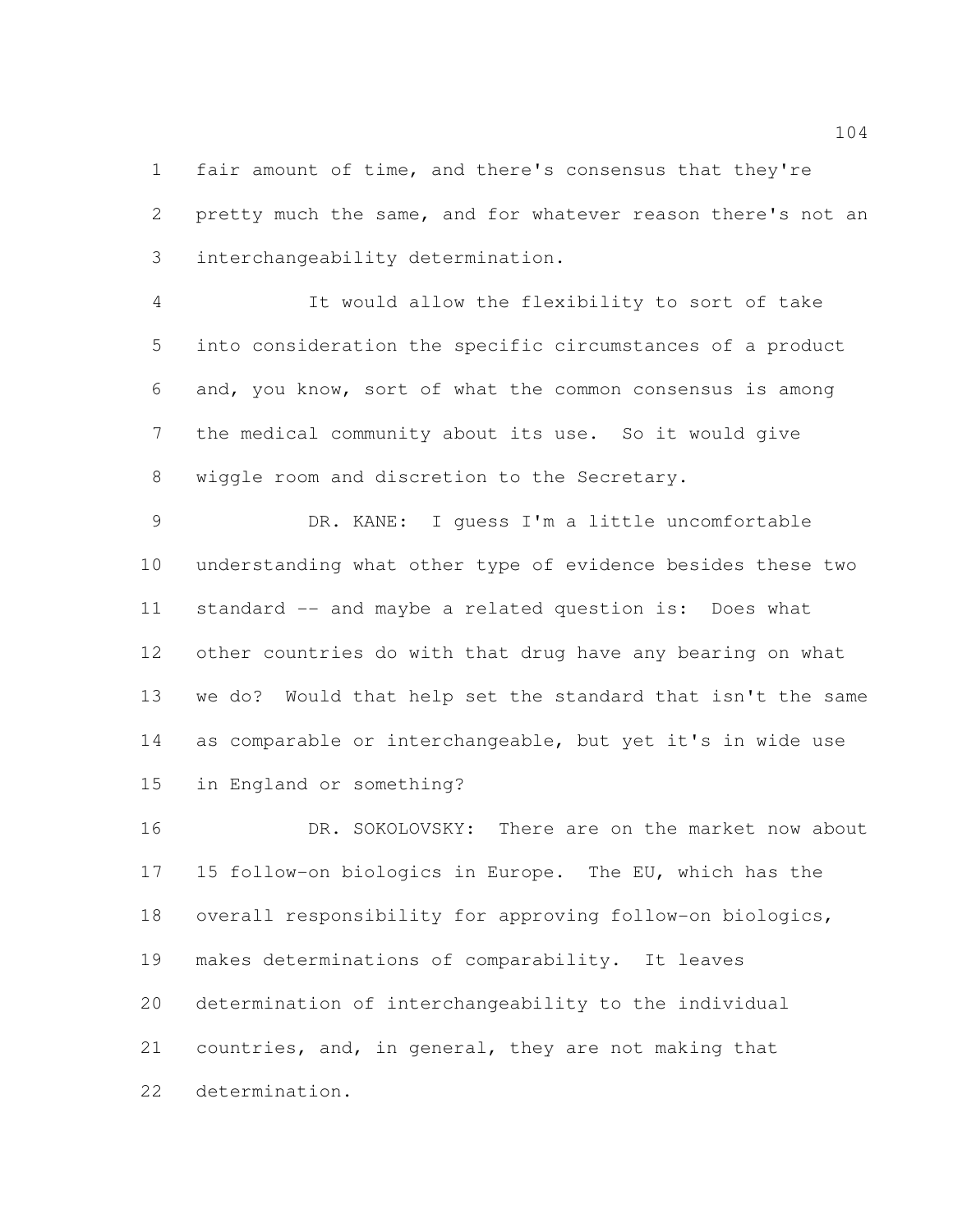fair amount of time, and there's consensus that they're pretty much the same, and for whatever reason there's not an interchangeability determination.

 It would allow the flexibility to sort of take into consideration the specific circumstances of a product and, you know, sort of what the common consensus is among the medical community about its use. So it would give wiggle room and discretion to the Secretary.

 DR. KANE: I guess I'm a little uncomfortable understanding what other type of evidence besides these two standard -- and maybe a related question is: Does what other countries do with that drug have any bearing on what we do? Would that help set the standard that isn't the same as comparable or interchangeable, but yet it's in wide use in England or something?

16 DR. SOKOLOVSKY: There are on the market now about 15 follow-on biologics in Europe. The EU, which has the overall responsibility for approving follow-on biologics, makes determinations of comparability. It leaves determination of interchangeability to the individual countries, and, in general, they are not making that determination.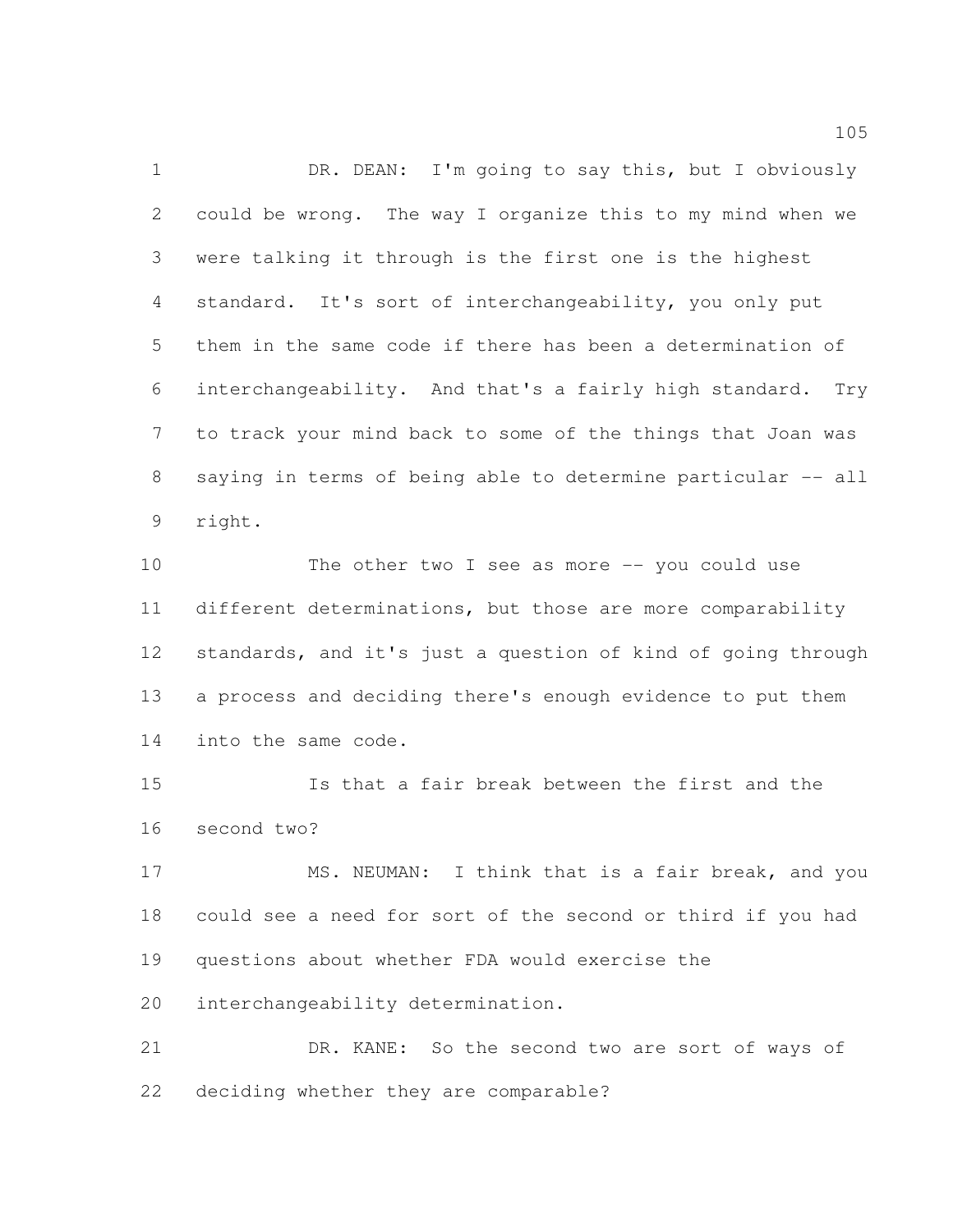1 DR. DEAN: I'm going to say this, but I obviously could be wrong. The way I organize this to my mind when we were talking it through is the first one is the highest standard. It's sort of interchangeability, you only put them in the same code if there has been a determination of interchangeability. And that's a fairly high standard. Try to track your mind back to some of the things that Joan was 8 saying in terms of being able to determine particular -- all right.

 The other two I see as more -- you could use different determinations, but those are more comparability standards, and it's just a question of kind of going through a process and deciding there's enough evidence to put them into the same code.

 Is that a fair break between the first and the second two?

17 MS. NEUMAN: I think that is a fair break, and you could see a need for sort of the second or third if you had questions about whether FDA would exercise the interchangeability determination.

 DR. KANE: So the second two are sort of ways of deciding whether they are comparable?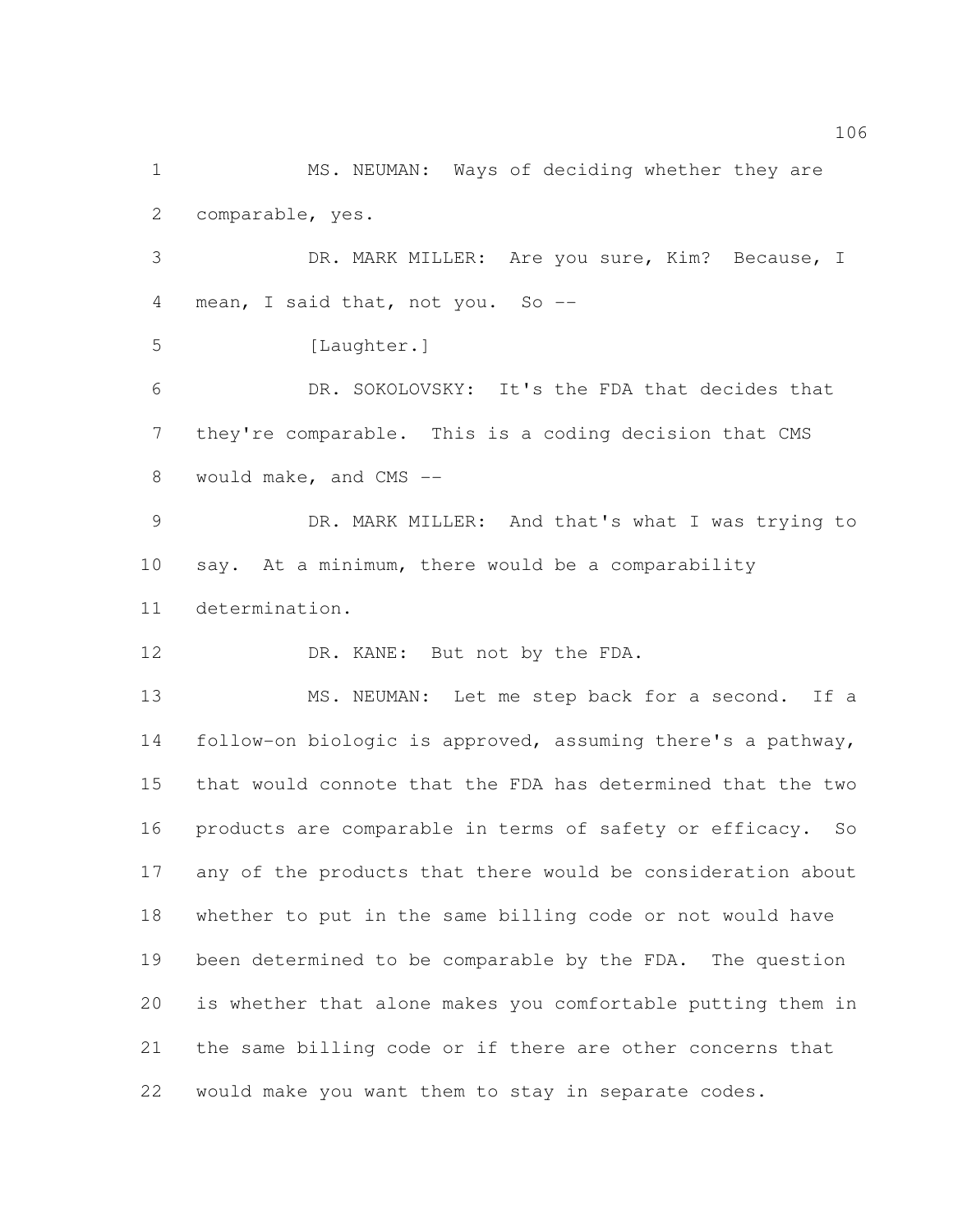MS. NEUMAN: Ways of deciding whether they are comparable, yes.

 DR. MARK MILLER: Are you sure, Kim? Because, I 4 mean, I said that, not you. So --

5 [Laughter.]

 DR. SOKOLOVSKY: It's the FDA that decides that they're comparable. This is a coding decision that CMS would make, and CMS --

 DR. MARK MILLER: And that's what I was trying to say. At a minimum, there would be a comparability determination.

12 DR. KANE: But not by the FDA.

 MS. NEUMAN: Let me step back for a second. If a follow-on biologic is approved, assuming there's a pathway, that would connote that the FDA has determined that the two products are comparable in terms of safety or efficacy. So any of the products that there would be consideration about whether to put in the same billing code or not would have been determined to be comparable by the FDA. The question is whether that alone makes you comfortable putting them in the same billing code or if there are other concerns that would make you want them to stay in separate codes.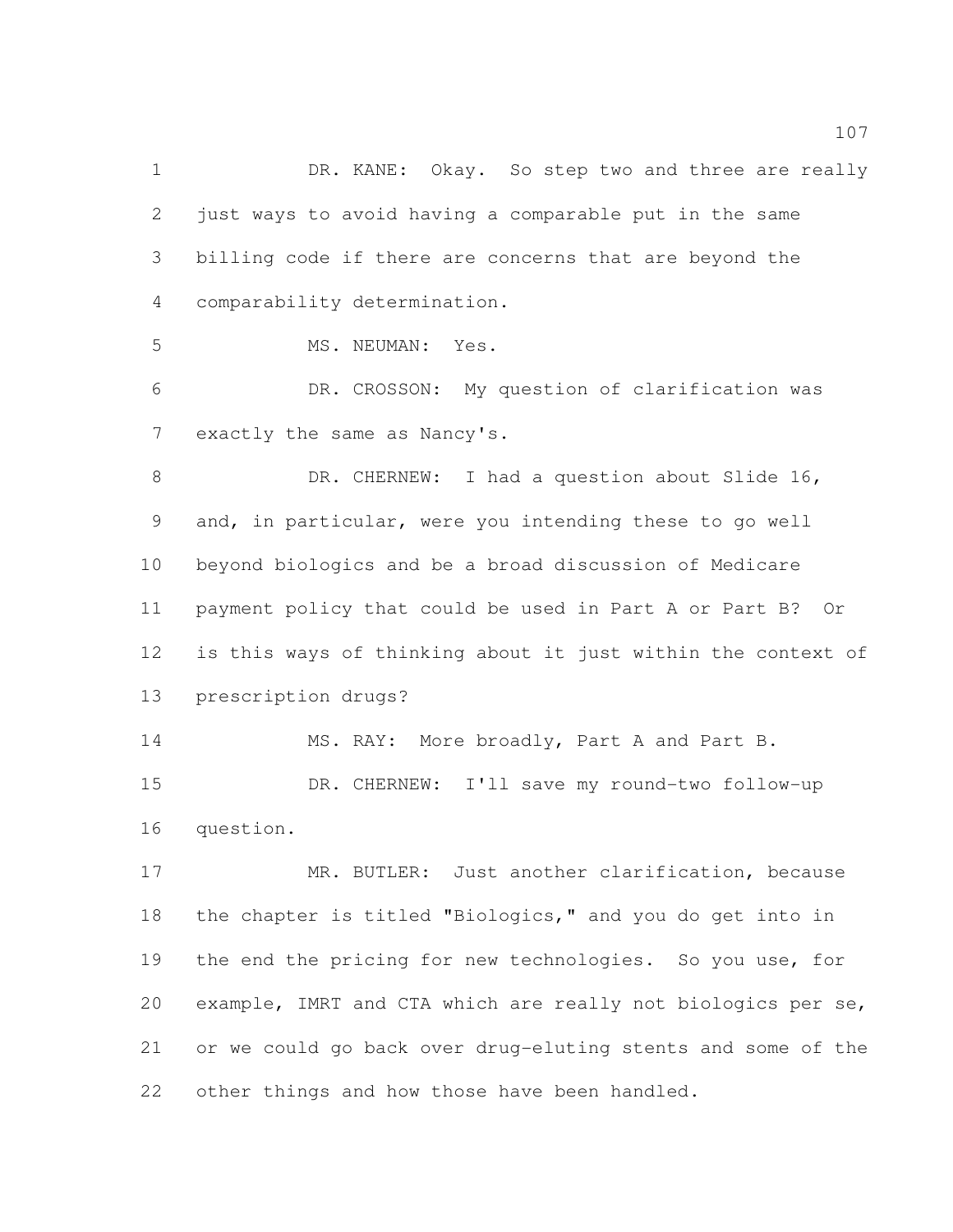1 DR. KANE: Okay. So step two and three are really just ways to avoid having a comparable put in the same billing code if there are concerns that are beyond the comparability determination.

MS. NEUMAN: Yes.

 DR. CROSSON: My question of clarification was exactly the same as Nancy's.

8 DR. CHERNEW: I had a question about Slide 16, and, in particular, were you intending these to go well beyond biologics and be a broad discussion of Medicare payment policy that could be used in Part A or Part B? Or is this ways of thinking about it just within the context of prescription drugs?

14 MS. RAY: More broadly, Part A and Part B. DR. CHERNEW: I'll save my round-two follow-up question.

17 MR. BUTLER: Just another clarification, because the chapter is titled "Biologics," and you do get into in 19 the end the pricing for new technologies. So you use, for example, IMRT and CTA which are really not biologics per se, or we could go back over drug-eluting stents and some of the 22 other things and how those have been handled.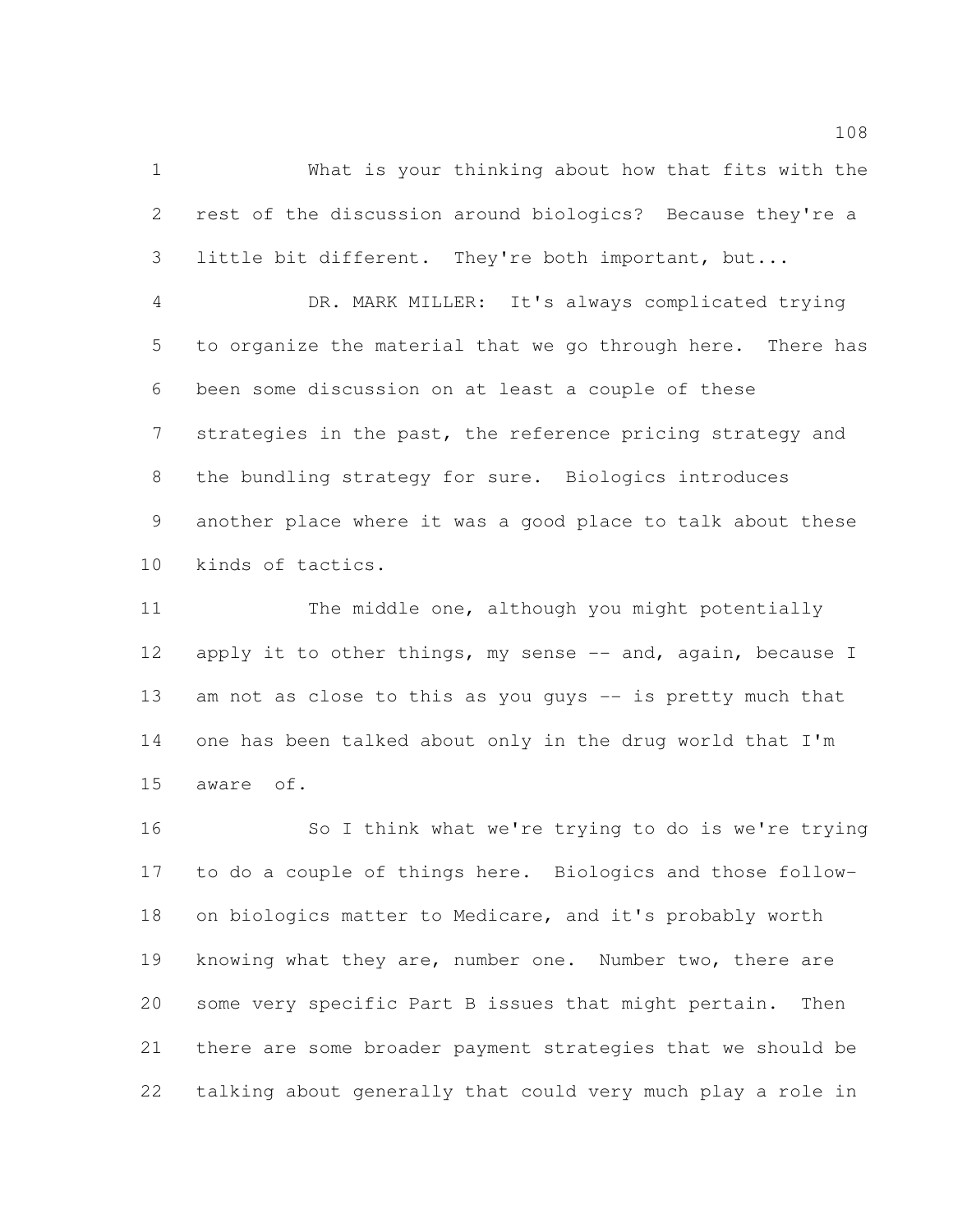What is your thinking about how that fits with the rest of the discussion around biologics? Because they're a little bit different. They're both important, but...

 DR. MARK MILLER: It's always complicated trying to organize the material that we go through here. There has been some discussion on at least a couple of these 7 strategies in the past, the reference pricing strategy and the bundling strategy for sure. Biologics introduces another place where it was a good place to talk about these kinds of tactics.

 The middle one, although you might potentially 12 apply it to other things, my sense -- and, again, because I 13 am not as close to this as you guys -- is pretty much that one has been talked about only in the drug world that I'm aware of.

 So I think what we're trying to do is we're trying to do a couple of things here. Biologics and those follow- on biologics matter to Medicare, and it's probably worth knowing what they are, number one. Number two, there are some very specific Part B issues that might pertain. Then there are some broader payment strategies that we should be talking about generally that could very much play a role in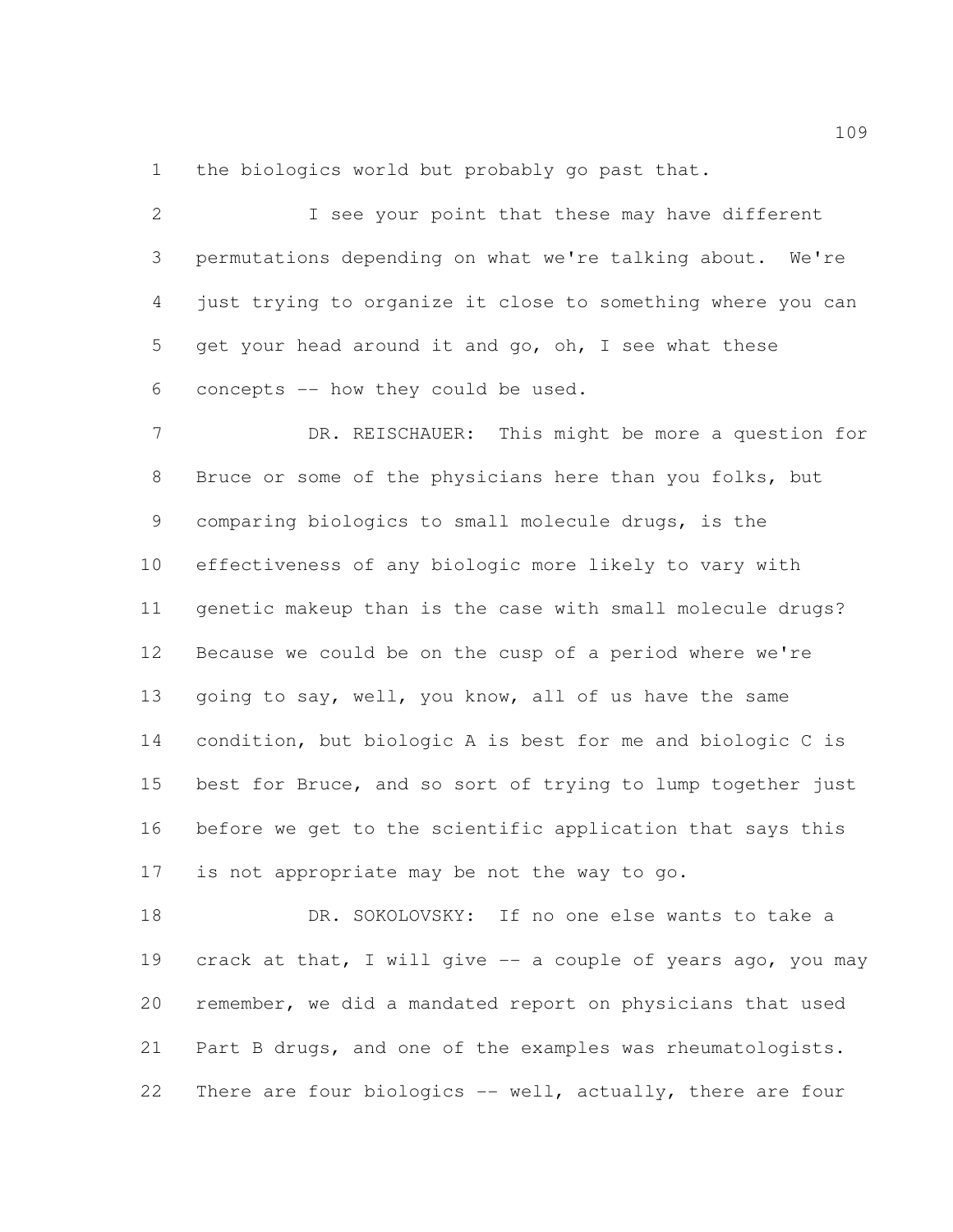1 the biologics world but probably go past that.

 I see your point that these may have different permutations depending on what we're talking about. We're just trying to organize it close to something where you can get your head around it and go, oh, I see what these concepts -- how they could be used.

7 DR. REISCHAUER: This might be more a question for Bruce or some of the physicians here than you folks, but comparing biologics to small molecule drugs, is the effectiveness of any biologic more likely to vary with genetic makeup than is the case with small molecule drugs? Because we could be on the cusp of a period where we're going to say, well, you know, all of us have the same condition, but biologic A is best for me and biologic C is best for Bruce, and so sort of trying to lump together just before we get to the scientific application that says this is not appropriate may be not the way to go.

 DR. SOKOLOVSKY: If no one else wants to take a crack at that, I will give -- a couple of years ago, you may remember, we did a mandated report on physicians that used Part B drugs, and one of the examples was rheumatologists. 22 There are four biologics -- well, actually, there are four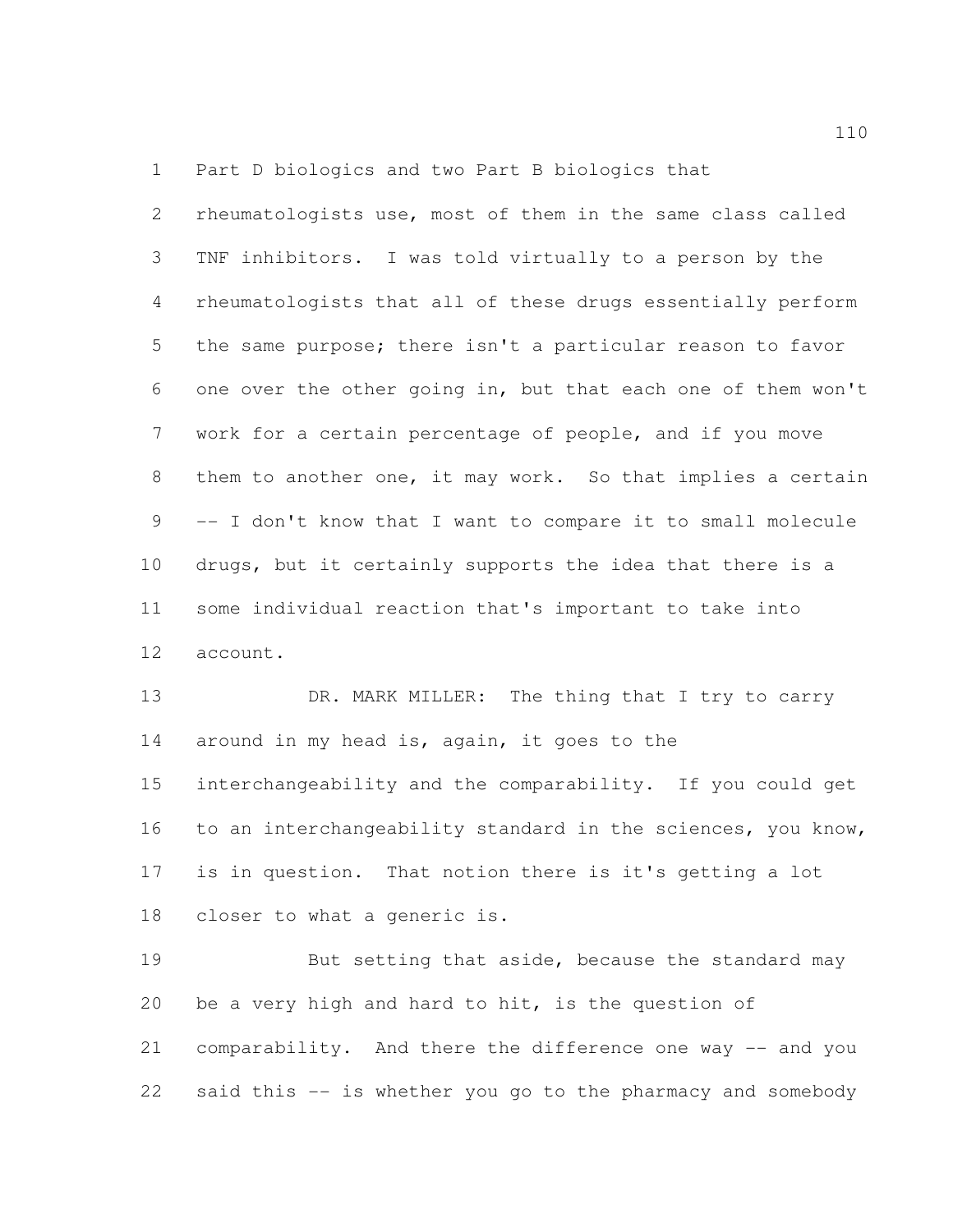Part D biologics and two Part B biologics that

 rheumatologists use, most of them in the same class called TNF inhibitors. I was told virtually to a person by the rheumatologists that all of these drugs essentially perform the same purpose; there isn't a particular reason to favor one over the other going in, but that each one of them won't work for a certain percentage of people, and if you move them to another one, it may work. So that implies a certain -- I don't know that I want to compare it to small molecule drugs, but it certainly supports the idea that there is a some individual reaction that's important to take into account.

13 DR. MARK MILLER: The thing that I try to carry around in my head is, again, it goes to the interchangeability and the comparability. If you could get to an interchangeability standard in the sciences, you know, is in question. That notion there is it's getting a lot closer to what a generic is.

19 But setting that aside, because the standard may be a very high and hard to hit, is the question of comparability. And there the difference one way -- and you said this -- is whether you go to the pharmacy and somebody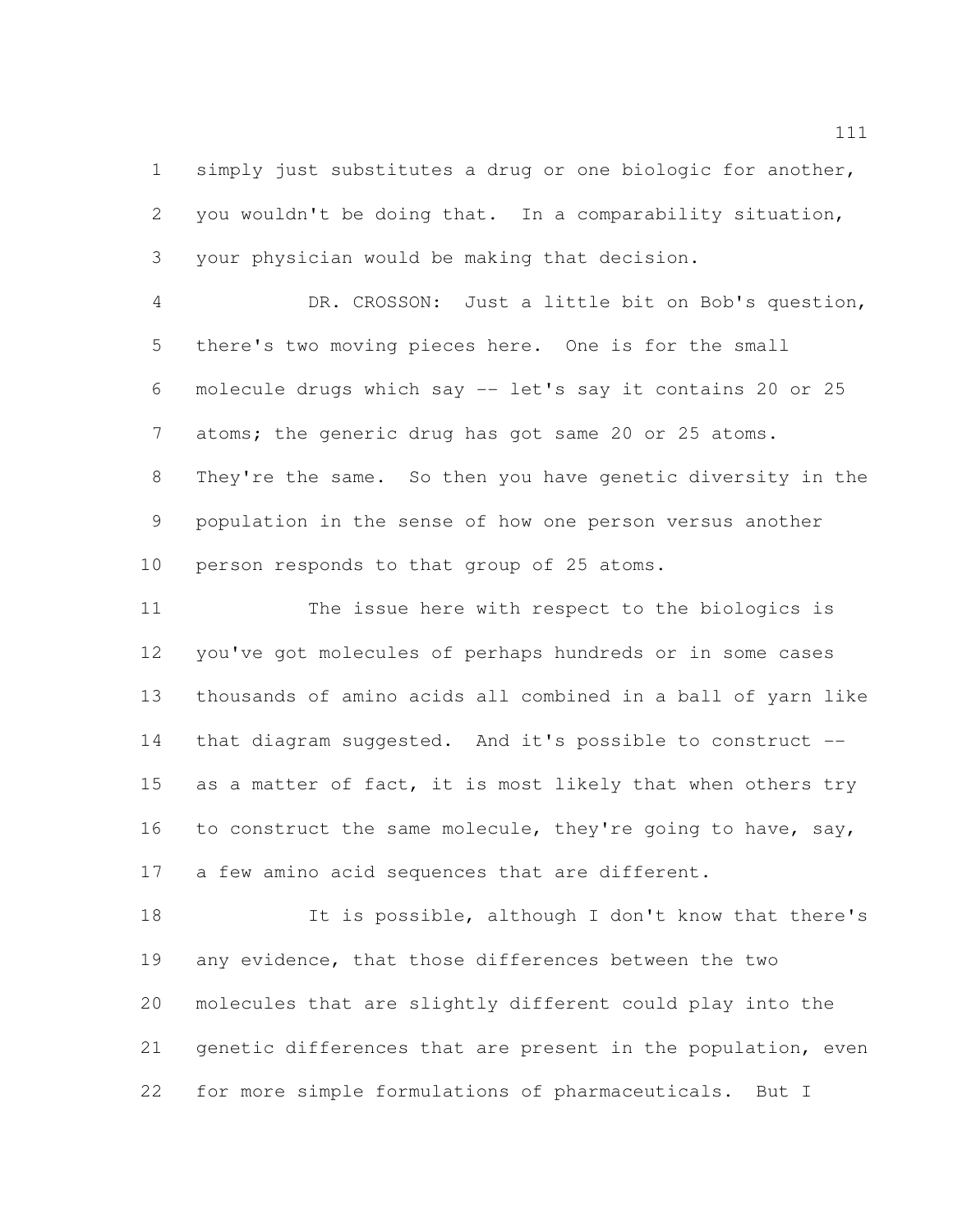simply just substitutes a drug or one biologic for another, you wouldn't be doing that. In a comparability situation, your physician would be making that decision.

 DR. CROSSON: Just a little bit on Bob's question, there's two moving pieces here. One is for the small molecule drugs which say -- let's say it contains 20 or 25 atoms; the generic drug has got same 20 or 25 atoms. They're the same. So then you have genetic diversity in the population in the sense of how one person versus another person responds to that group of 25 atoms.

 The issue here with respect to the biologics is you've got molecules of perhaps hundreds or in some cases thousands of amino acids all combined in a ball of yarn like that diagram suggested. And it's possible to construct -- 15 as a matter of fact, it is most likely that when others try 16 to construct the same molecule, they're going to have, say, 17 a few amino acid sequences that are different.

 It is possible, although I don't know that there's any evidence, that those differences between the two molecules that are slightly different could play into the genetic differences that are present in the population, even for more simple formulations of pharmaceuticals. But I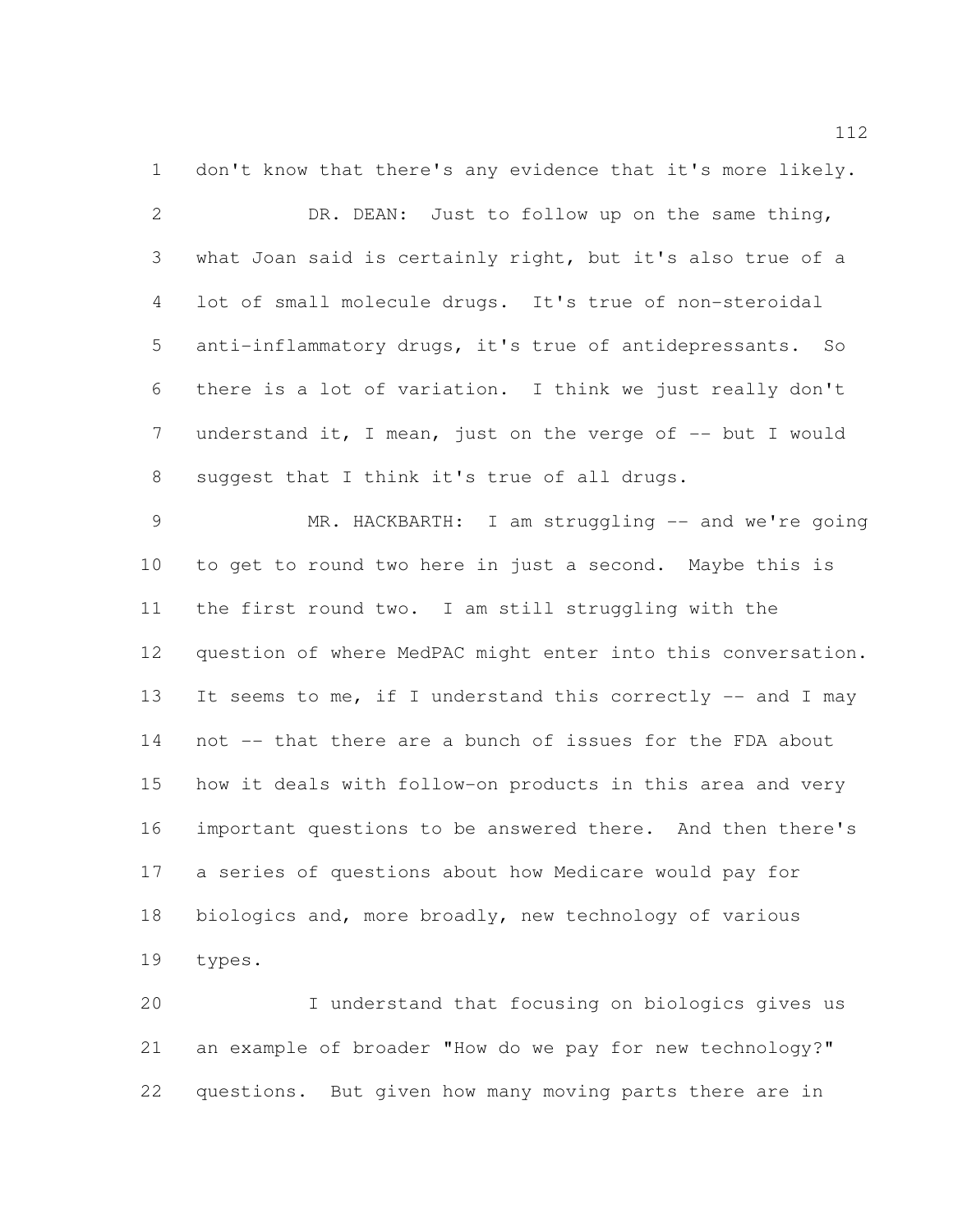don't know that there's any evidence that it's more likely. DR. DEAN: Just to follow up on the same thing, what Joan said is certainly right, but it's also true of a lot of small molecule drugs. It's true of non-steroidal anti-inflammatory drugs, it's true of antidepressants. So there is a lot of variation. I think we just really don't 7 understand it, I mean, just on the verge of -- but I would suggest that I think it's true of all drugs.

 MR. HACKBARTH: I am struggling -- and we're going to get to round two here in just a second. Maybe this is the first round two. I am still struggling with the question of where MedPAC might enter into this conversation. 13 It seems to me, if I understand this correctly -- and I may not -- that there are a bunch of issues for the FDA about how it deals with follow-on products in this area and very important questions to be answered there. And then there's a series of questions about how Medicare would pay for biologics and, more broadly, new technology of various types.

 I understand that focusing on biologics gives us an example of broader "How do we pay for new technology?" questions. But given how many moving parts there are in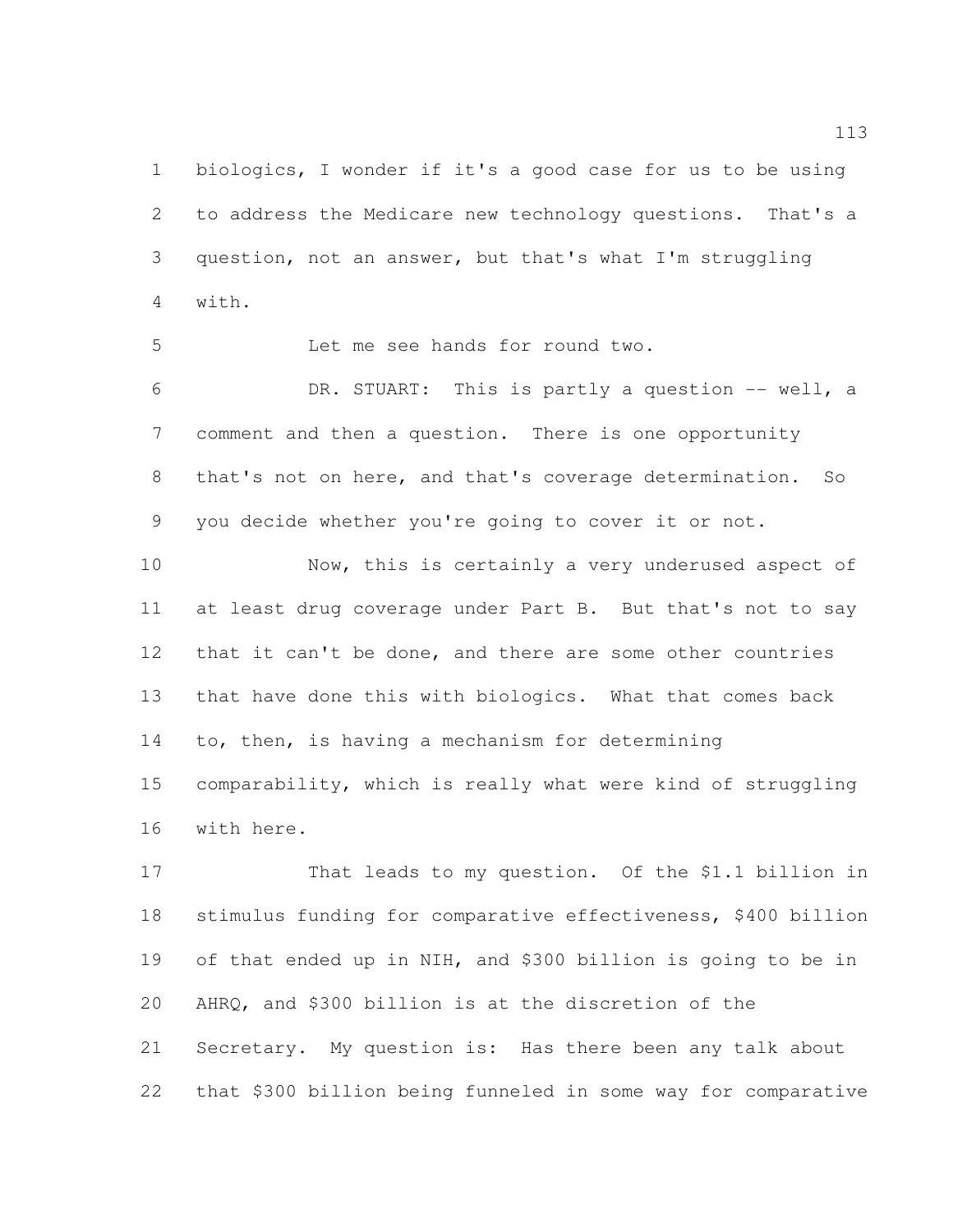biologics, I wonder if it's a good case for us to be using to address the Medicare new technology questions. That's a question, not an answer, but that's what I'm struggling with.

Let me see hands for round two.

 DR. STUART: This is partly a question -- well, a comment and then a question. There is one opportunity that's not on here, and that's coverage determination. So you decide whether you're going to cover it or not.

 Now, this is certainly a very underused aspect of at least drug coverage under Part B. But that's not to say that it can't be done, and there are some other countries that have done this with biologics. What that comes back to, then, is having a mechanism for determining comparability, which is really what were kind of struggling with here.

 That leads to my question. Of the \$1.1 billion in stimulus funding for comparative effectiveness, \$400 billion of that ended up in NIH, and \$300 billion is going to be in AHRQ, and \$300 billion is at the discretion of the Secretary. My question is: Has there been any talk about that \$300 billion being funneled in some way for comparative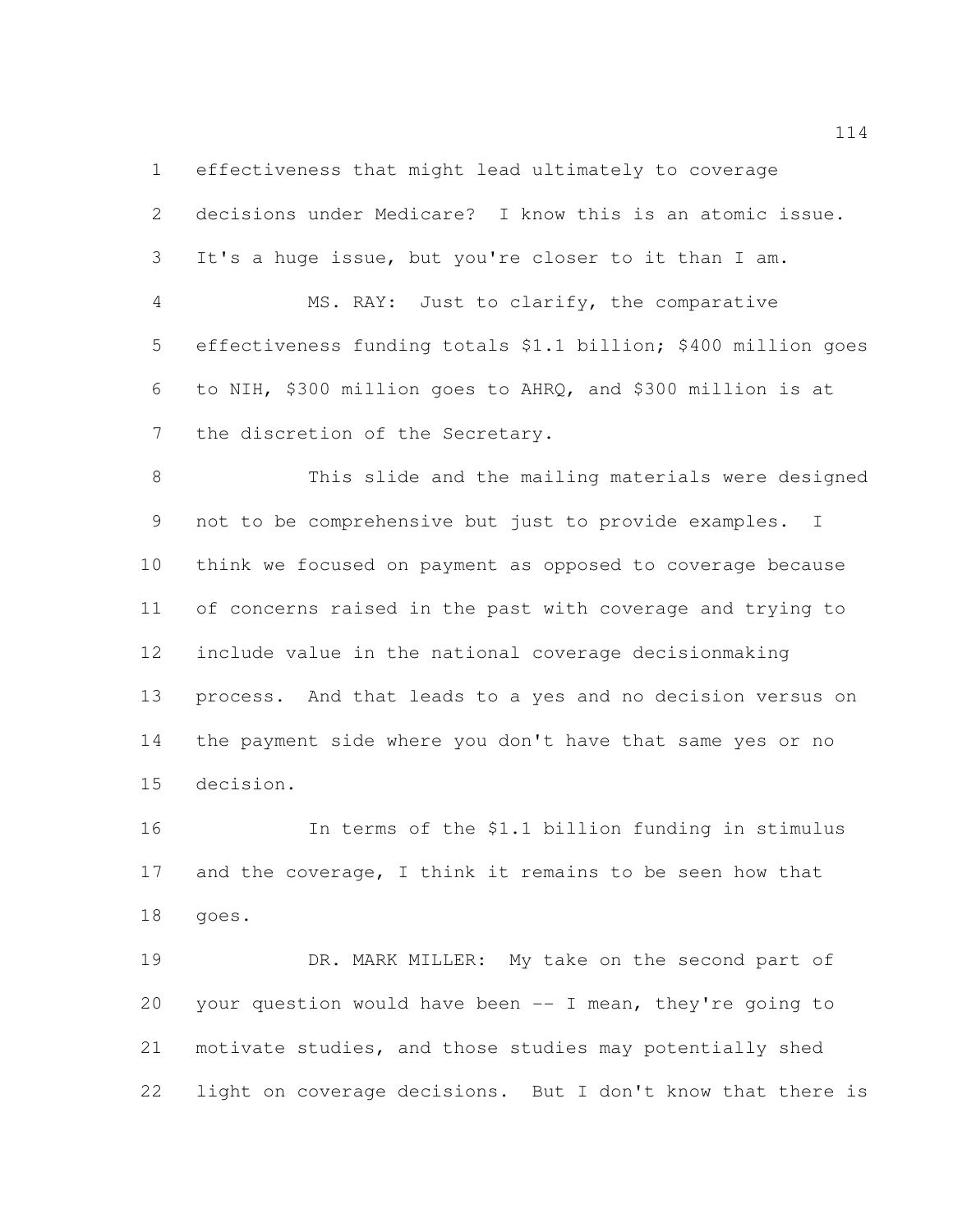effectiveness that might lead ultimately to coverage

 decisions under Medicare? I know this is an atomic issue. It's a huge issue, but you're closer to it than I am. MS. RAY: Just to clarify, the comparative effectiveness funding totals \$1.1 billion; \$400 million goes to NIH, \$300 million goes to AHRQ, and \$300 million is at the discretion of the Secretary. This slide and the mailing materials were designed not to be comprehensive but just to provide examples. I think we focused on payment as opposed to coverage because of concerns raised in the past with coverage and trying to include value in the national coverage decisionmaking process. And that leads to a yes and no decision versus on the payment side where you don't have that same yes or no decision.

 In terms of the \$1.1 billion funding in stimulus 17 and the coverage, I think it remains to be seen how that goes.

 DR. MARK MILLER: My take on the second part of your question would have been -- I mean, they're going to motivate studies, and those studies may potentially shed light on coverage decisions. But I don't know that there is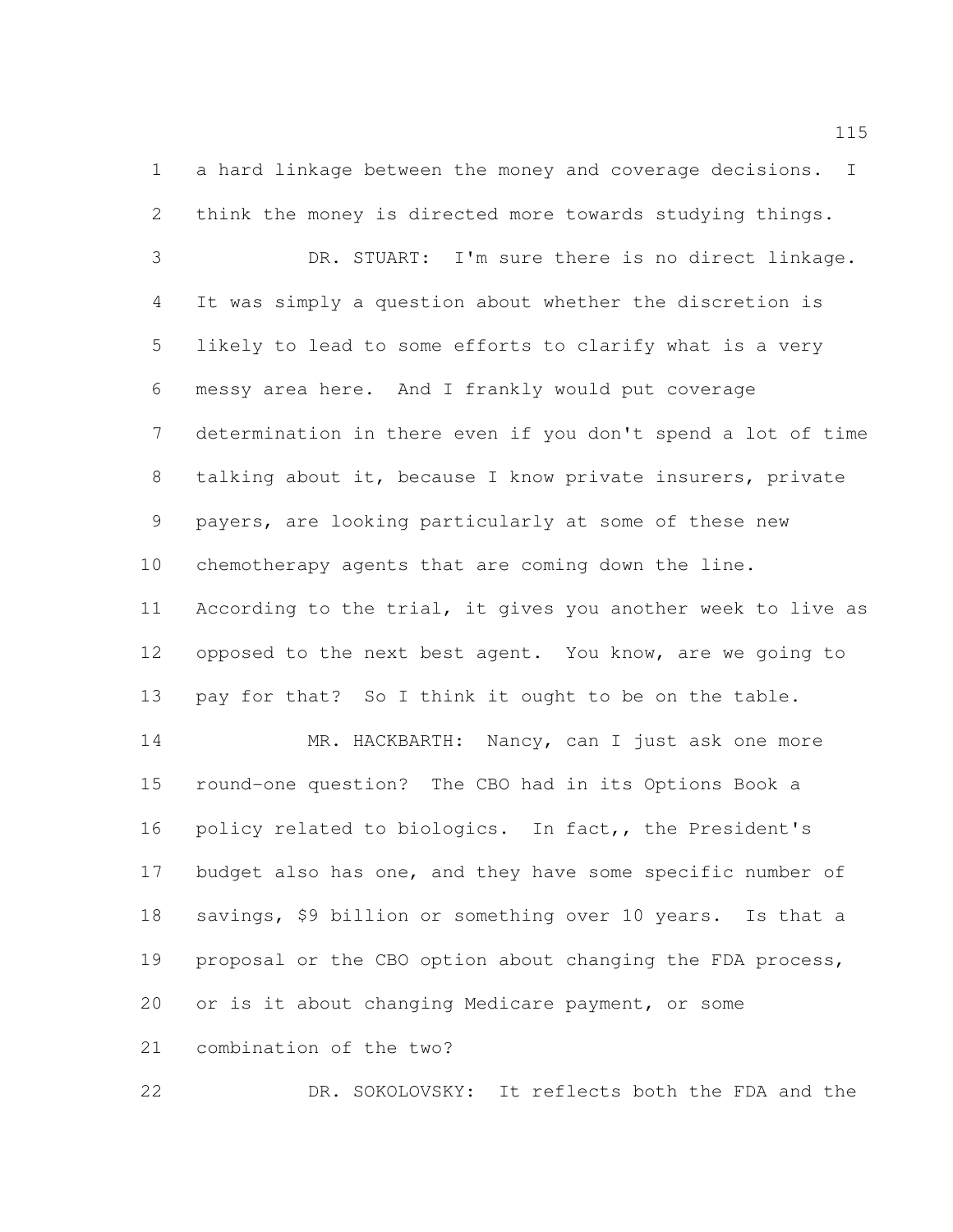a hard linkage between the money and coverage decisions. I think the money is directed more towards studying things.

 DR. STUART: I'm sure there is no direct linkage. It was simply a question about whether the discretion is likely to lead to some efforts to clarify what is a very messy area here. And I frankly would put coverage determination in there even if you don't spend a lot of time talking about it, because I know private insurers, private payers, are looking particularly at some of these new chemotherapy agents that are coming down the line. According to the trial, it gives you another week to live as opposed to the next best agent. You know, are we going to pay for that? So I think it ought to be on the table.

 MR. HACKBARTH: Nancy, can I just ask one more round-one question? The CBO had in its Options Book a policy related to biologics. In fact,, the President's 17 budget also has one, and they have some specific number of savings, \$9 billion or something over 10 years. Is that a 19 proposal or the CBO option about changing the FDA process, or is it about changing Medicare payment, or some combination of the two?

DR. SOKOLOVSKY: It reflects both the FDA and the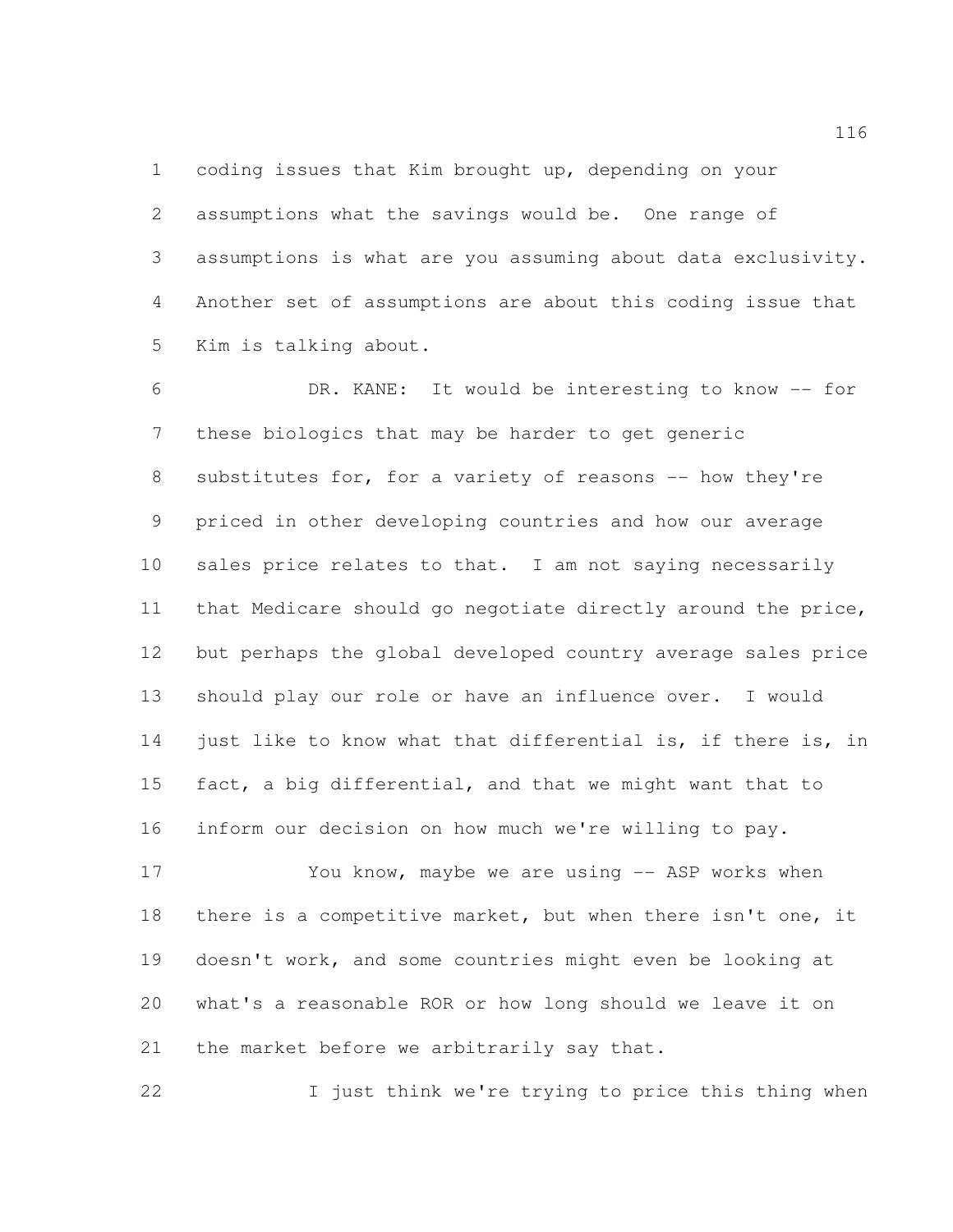coding issues that Kim brought up, depending on your assumptions what the savings would be. One range of assumptions is what are you assuming about data exclusivity. Another set of assumptions are about this coding issue that Kim is talking about.

 DR. KANE: It would be interesting to know -- for these biologics that may be harder to get generic 8 substitutes for, for a variety of reasons -- how they're priced in other developing countries and how our average sales price relates to that. I am not saying necessarily that Medicare should go negotiate directly around the price, but perhaps the global developed country average sales price should play our role or have an influence over. I would just like to know what that differential is, if there is, in fact, a big differential, and that we might want that to inform our decision on how much we're willing to pay.

17 You know, maybe we are using -- ASP works when there is a competitive market, but when there isn't one, it doesn't work, and some countries might even be looking at what's a reasonable ROR or how long should we leave it on 21 the market before we arbitrarily say that.

22 I just think we're trying to price this thing when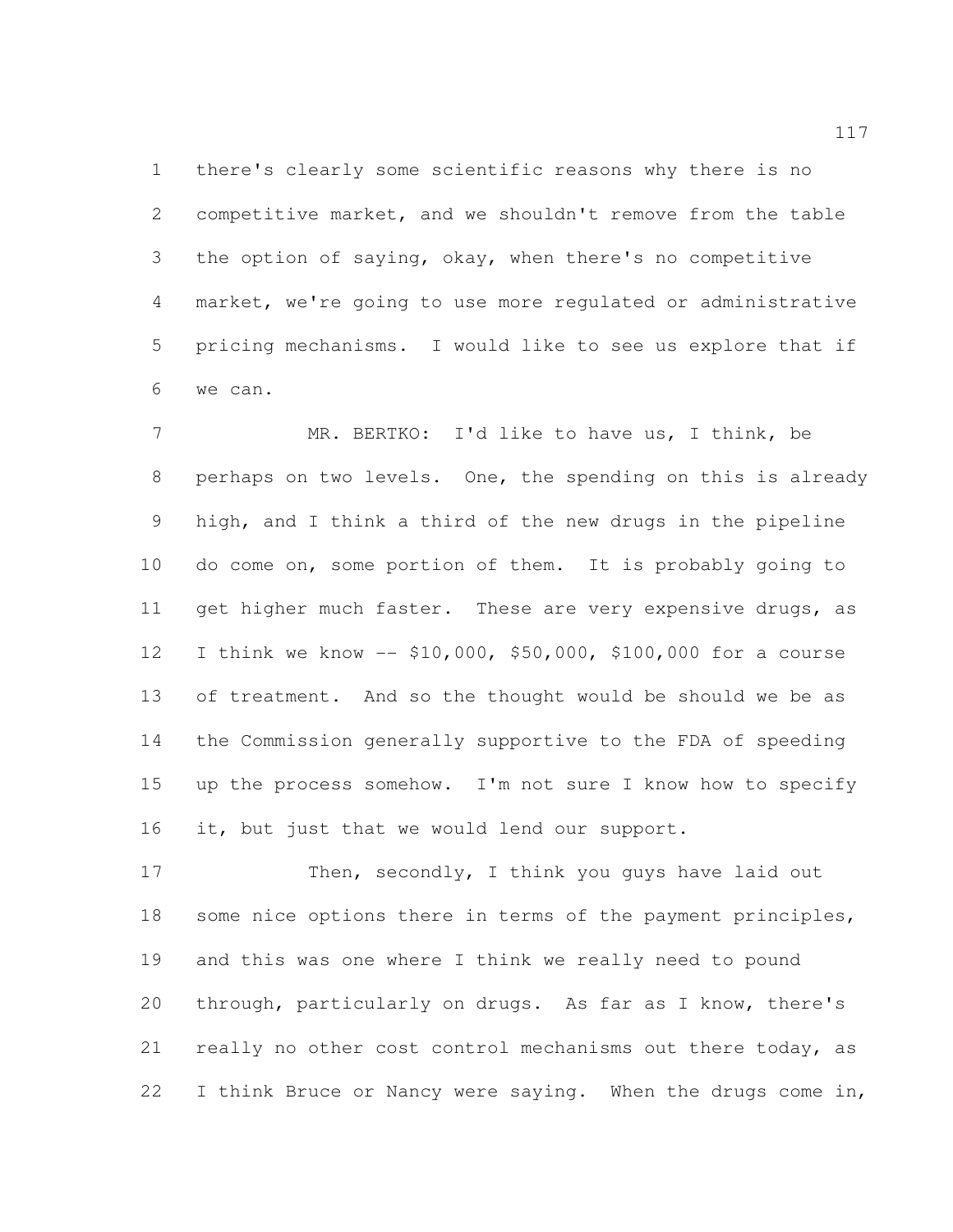there's clearly some scientific reasons why there is no competitive market, and we shouldn't remove from the table the option of saying, okay, when there's no competitive market, we're going to use more regulated or administrative pricing mechanisms. I would like to see us explore that if we can.

 MR. BERTKO: I'd like to have us, I think, be perhaps on two levels. One, the spending on this is already high, and I think a third of the new drugs in the pipeline do come on, some portion of them. It is probably going to 11 get higher much faster. These are very expensive drugs, as I think we know -- \$10,000, \$50,000, \$100,000 for a course of treatment. And so the thought would be should we be as the Commission generally supportive to the FDA of speeding up the process somehow. I'm not sure I know how to specify it, but just that we would lend our support.

17 Then, secondly, I think you guys have laid out 18 some nice options there in terms of the payment principles, and this was one where I think we really need to pound through, particularly on drugs. As far as I know, there's 21 really no other cost control mechanisms out there today, as 22 I think Bruce or Nancy were saying. When the drugs come in,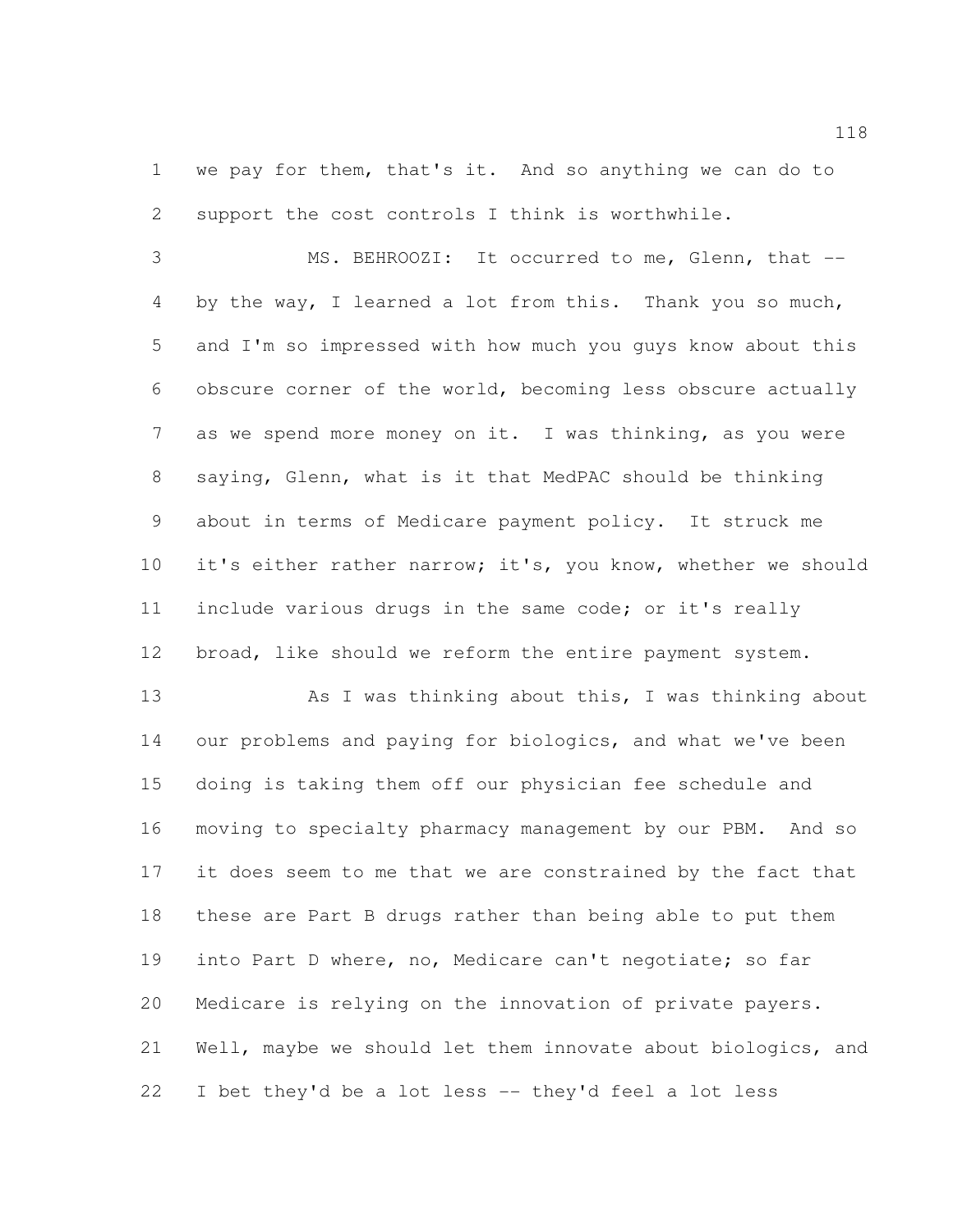we pay for them, that's it. And so anything we can do to support the cost controls I think is worthwhile.

 MS. BEHROOZI: It occurred to me, Glenn, that -- by the way, I learned a lot from this. Thank you so much, and I'm so impressed with how much you guys know about this obscure corner of the world, becoming less obscure actually as we spend more money on it. I was thinking, as you were saying, Glenn, what is it that MedPAC should be thinking about in terms of Medicare payment policy. It struck me 10 it's either rather narrow; it's, you know, whether we should include various drugs in the same code; or it's really broad, like should we reform the entire payment system.

 As I was thinking about this, I was thinking about our problems and paying for biologics, and what we've been doing is taking them off our physician fee schedule and moving to specialty pharmacy management by our PBM. And so it does seem to me that we are constrained by the fact that these are Part B drugs rather than being able to put them into Part D where, no, Medicare can't negotiate; so far Medicare is relying on the innovation of private payers. Well, maybe we should let them innovate about biologics, and I bet they'd be a lot less -- they'd feel a lot less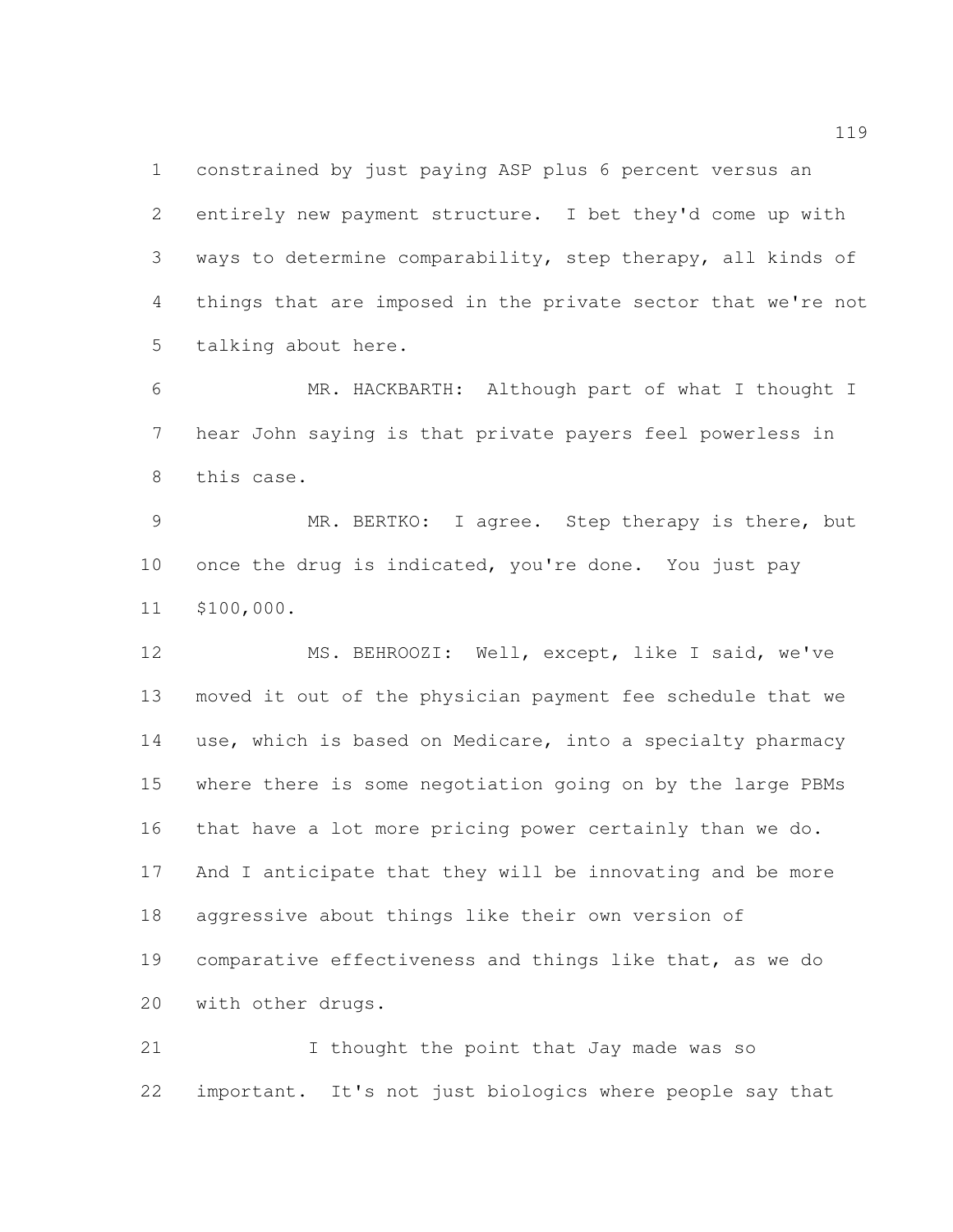constrained by just paying ASP plus 6 percent versus an entirely new payment structure. I bet they'd come up with ways to determine comparability, step therapy, all kinds of things that are imposed in the private sector that we're not talking about here.

 MR. HACKBARTH: Although part of what I thought I hear John saying is that private payers feel powerless in this case.

 MR. BERTKO: I agree. Step therapy is there, but once the drug is indicated, you're done. You just pay \$100,000.

 MS. BEHROOZI: Well, except, like I said, we've moved it out of the physician payment fee schedule that we use, which is based on Medicare, into a specialty pharmacy where there is some negotiation going on by the large PBMs that have a lot more pricing power certainly than we do. And I anticipate that they will be innovating and be more aggressive about things like their own version of comparative effectiveness and things like that, as we do with other drugs.

21 I thought the point that Jay made was so important. It's not just biologics where people say that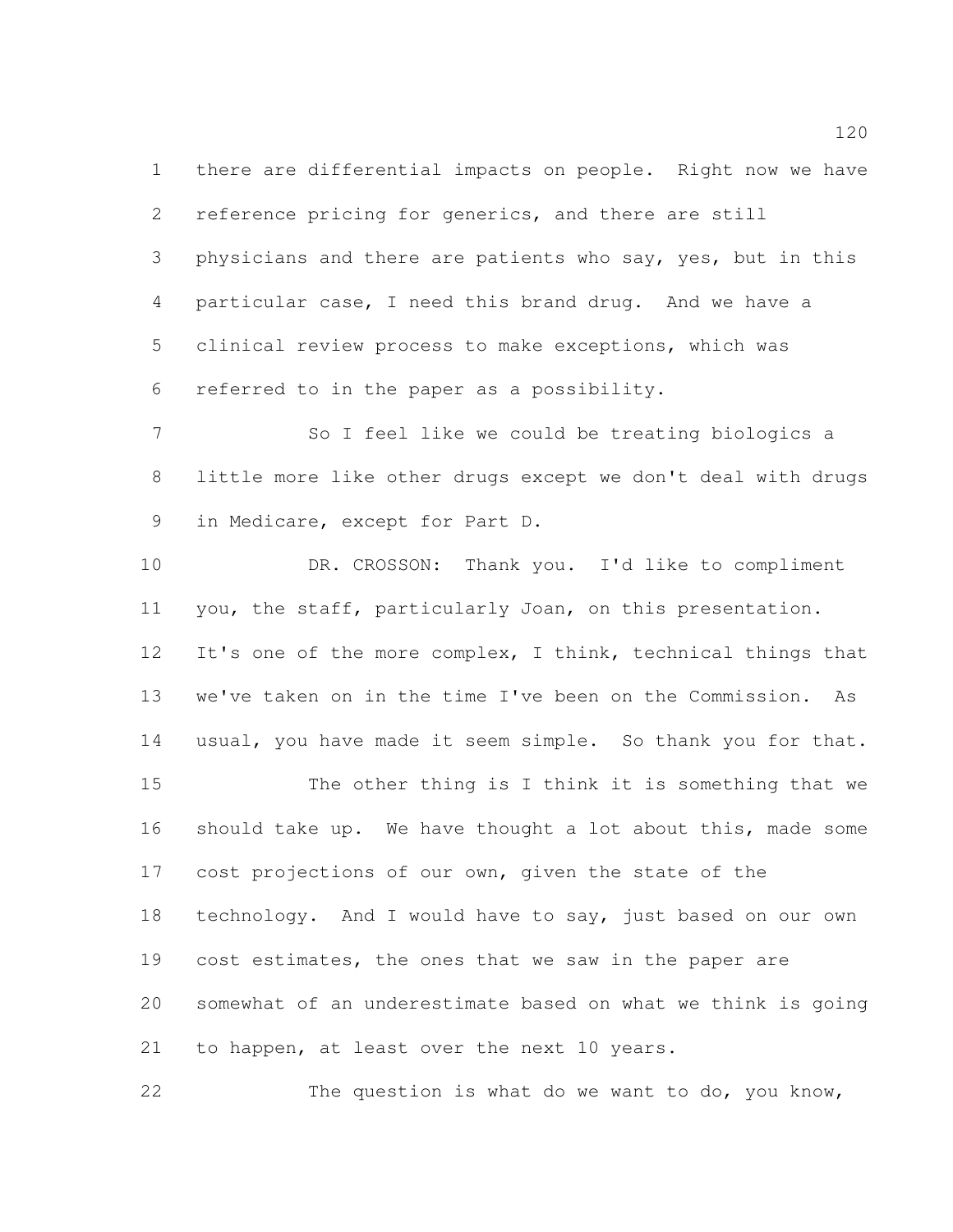there are differential impacts on people. Right now we have reference pricing for generics, and there are still physicians and there are patients who say, yes, but in this particular case, I need this brand drug. And we have a clinical review process to make exceptions, which was referred to in the paper as a possibility.

 So I feel like we could be treating biologics a little more like other drugs except we don't deal with drugs in Medicare, except for Part D.

10 DR. CROSSON: Thank you. I'd like to compliment you, the staff, particularly Joan, on this presentation. It's one of the more complex, I think, technical things that we've taken on in the time I've been on the Commission. As usual, you have made it seem simple. So thank you for that. The other thing is I think it is something that we should take up. We have thought a lot about this, made some cost projections of our own, given the state of the technology. And I would have to say, just based on our own 19 cost estimates, the ones that we saw in the paper are somewhat of an underestimate based on what we think is going to happen, at least over the next 10 years.

The question is what do we want to do, you know,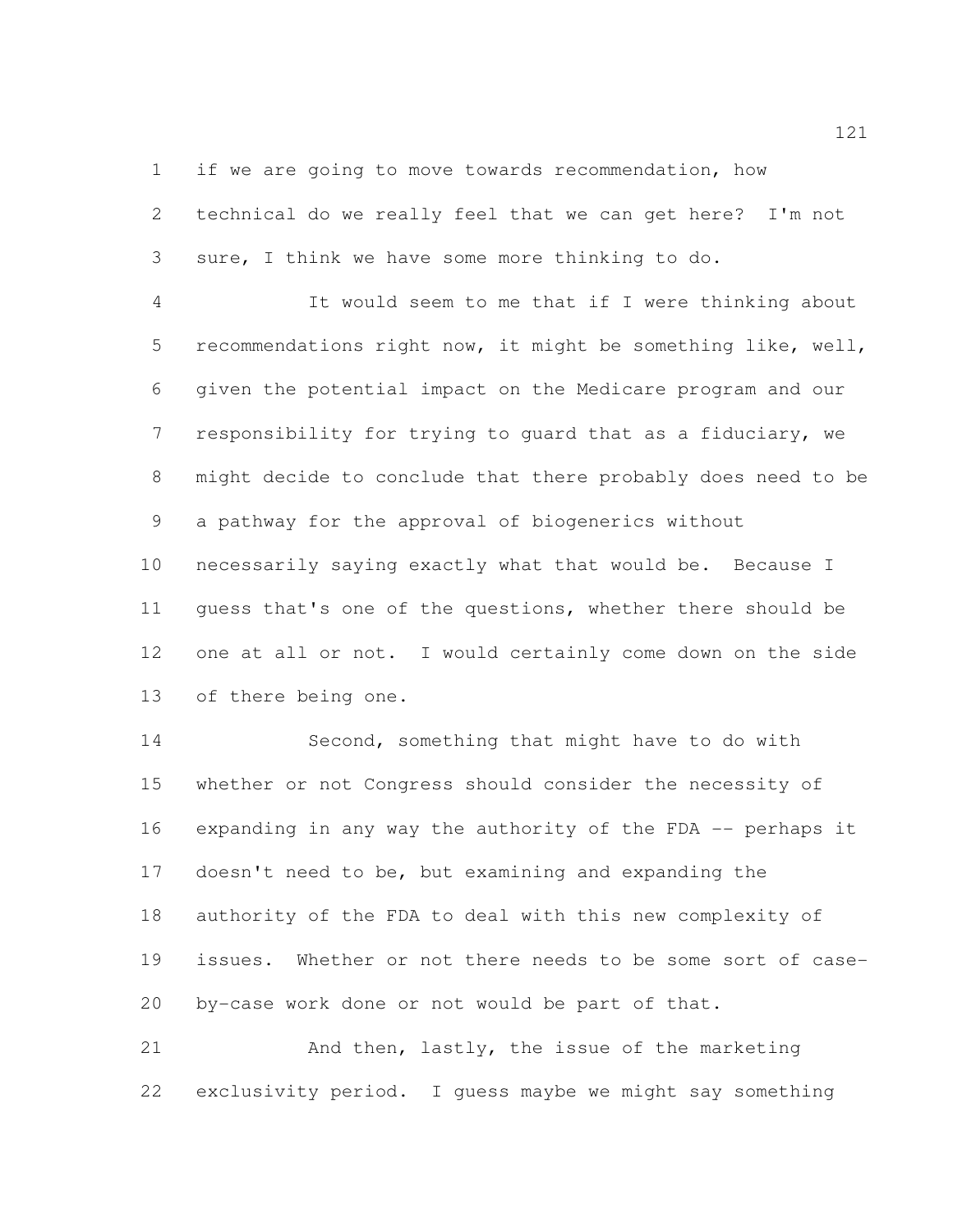if we are going to move towards recommendation, how

 technical do we really feel that we can get here? I'm not sure, I think we have some more thinking to do.

 It would seem to me that if I were thinking about recommendations right now, it might be something like, well, given the potential impact on the Medicare program and our responsibility for trying to guard that as a fiduciary, we might decide to conclude that there probably does need to be a pathway for the approval of biogenerics without necessarily saying exactly what that would be. Because I guess that's one of the questions, whether there should be one at all or not. I would certainly come down on the side of there being one.

 Second, something that might have to do with whether or not Congress should consider the necessity of expanding in any way the authority of the FDA -- perhaps it doesn't need to be, but examining and expanding the authority of the FDA to deal with this new complexity of issues. Whether or not there needs to be some sort of case-by-case work done or not would be part of that.

 And then, lastly, the issue of the marketing exclusivity period. I guess maybe we might say something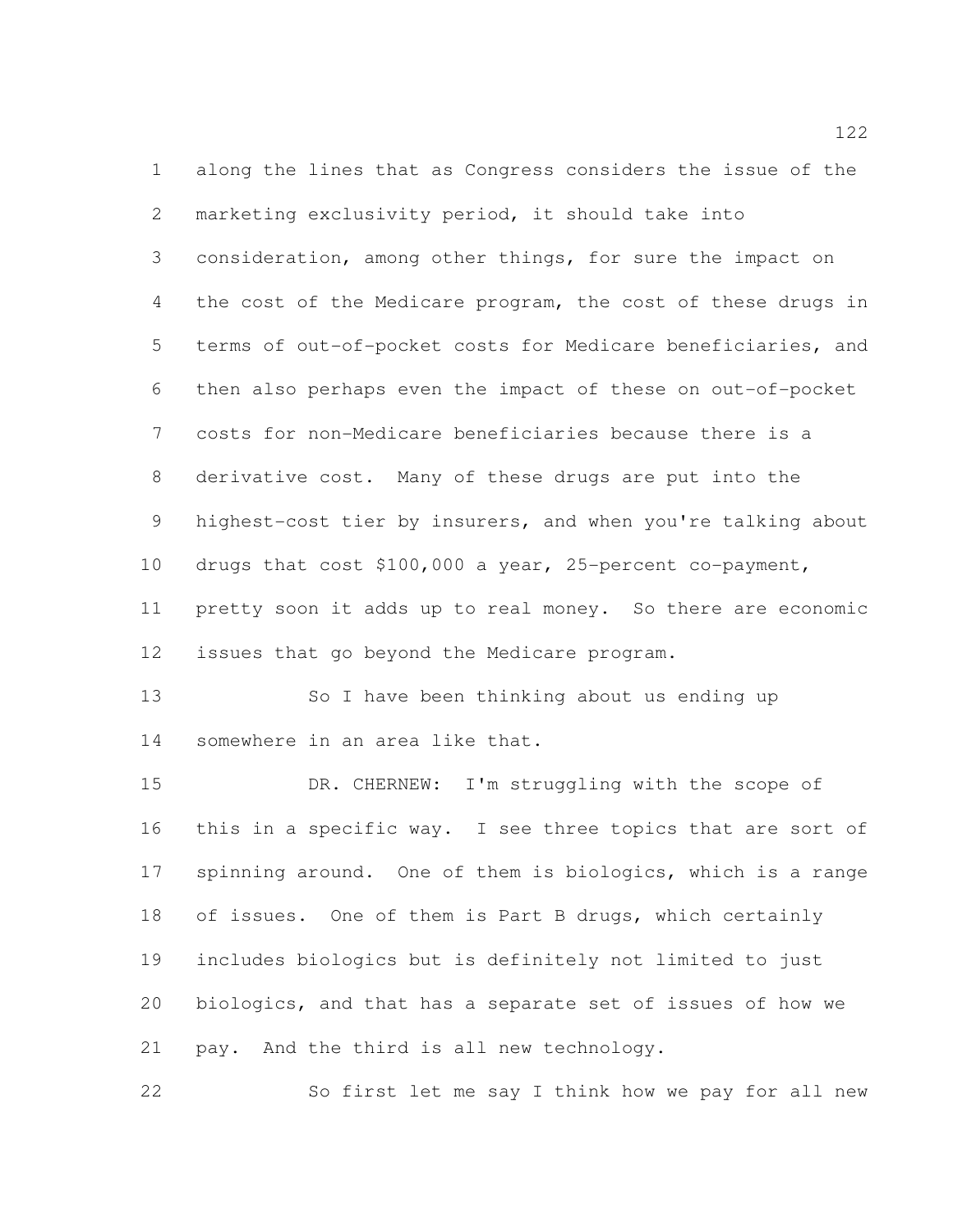along the lines that as Congress considers the issue of the marketing exclusivity period, it should take into consideration, among other things, for sure the impact on the cost of the Medicare program, the cost of these drugs in terms of out-of-pocket costs for Medicare beneficiaries, and then also perhaps even the impact of these on out-of-pocket costs for non-Medicare beneficiaries because there is a derivative cost. Many of these drugs are put into the highest-cost tier by insurers, and when you're talking about drugs that cost \$100,000 a year, 25-percent co-payment, pretty soon it adds up to real money. So there are economic issues that go beyond the Medicare program. 13 So I have been thinking about us ending up somewhere in an area like that.

 DR. CHERNEW: I'm struggling with the scope of this in a specific way. I see three topics that are sort of spinning around. One of them is biologics, which is a range of issues. One of them is Part B drugs, which certainly includes biologics but is definitely not limited to just biologics, and that has a separate set of issues of how we pay. And the third is all new technology.

So first let me say I think how we pay for all new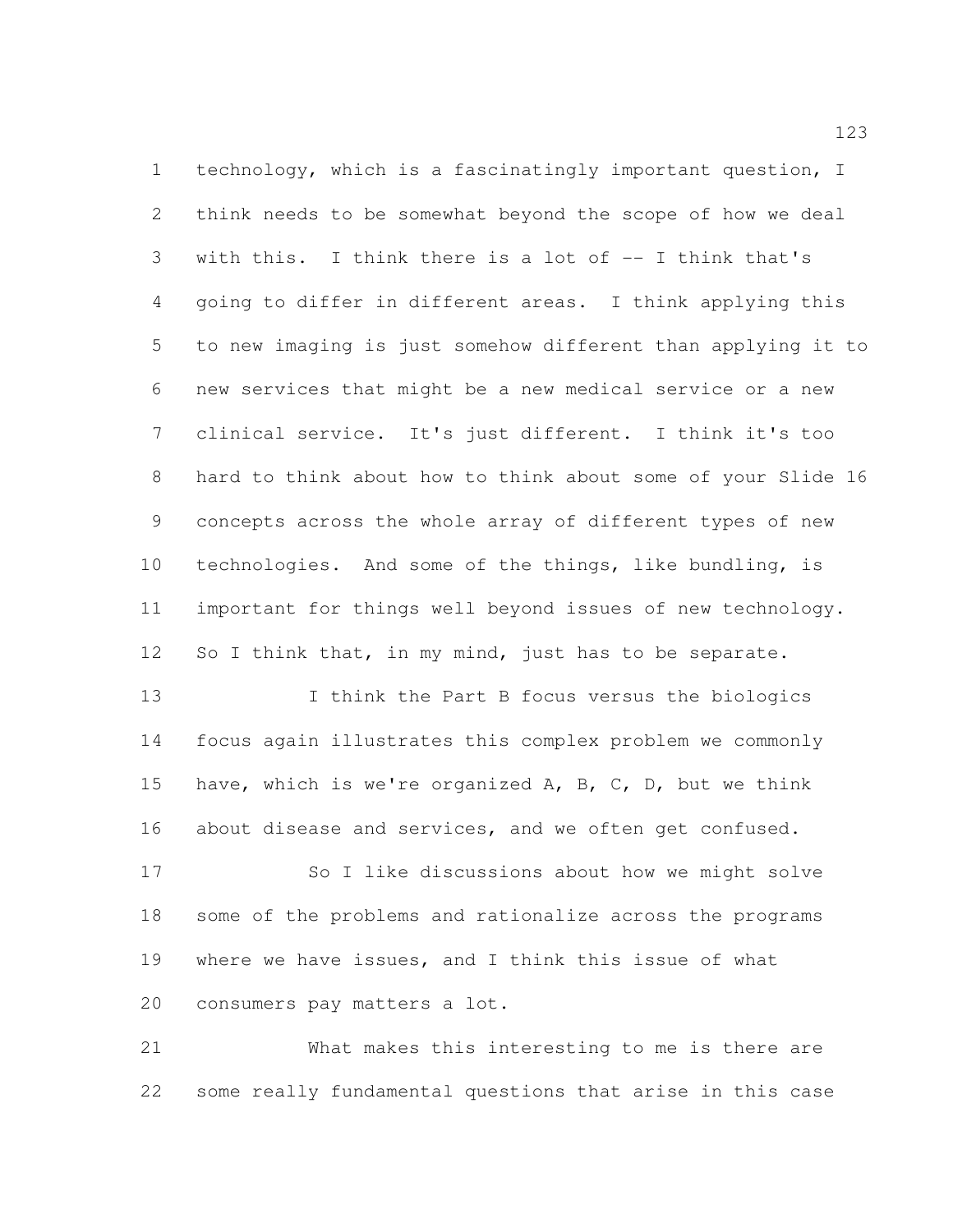technology, which is a fascinatingly important question, I think needs to be somewhat beyond the scope of how we deal with this. I think there is a lot of -- I think that's going to differ in different areas. I think applying this to new imaging is just somehow different than applying it to new services that might be a new medical service or a new clinical service. It's just different. I think it's too hard to think about how to think about some of your Slide 16 concepts across the whole array of different types of new technologies. And some of the things, like bundling, is important for things well beyond issues of new technology. 12 So I think that, in my mind, just has to be separate.

 I think the Part B focus versus the biologics focus again illustrates this complex problem we commonly have, which is we're organized A, B, C, D, but we think about disease and services, and we often get confused.

 So I like discussions about how we might solve some of the problems and rationalize across the programs where we have issues, and I think this issue of what consumers pay matters a lot.

 What makes this interesting to me is there are some really fundamental questions that arise in this case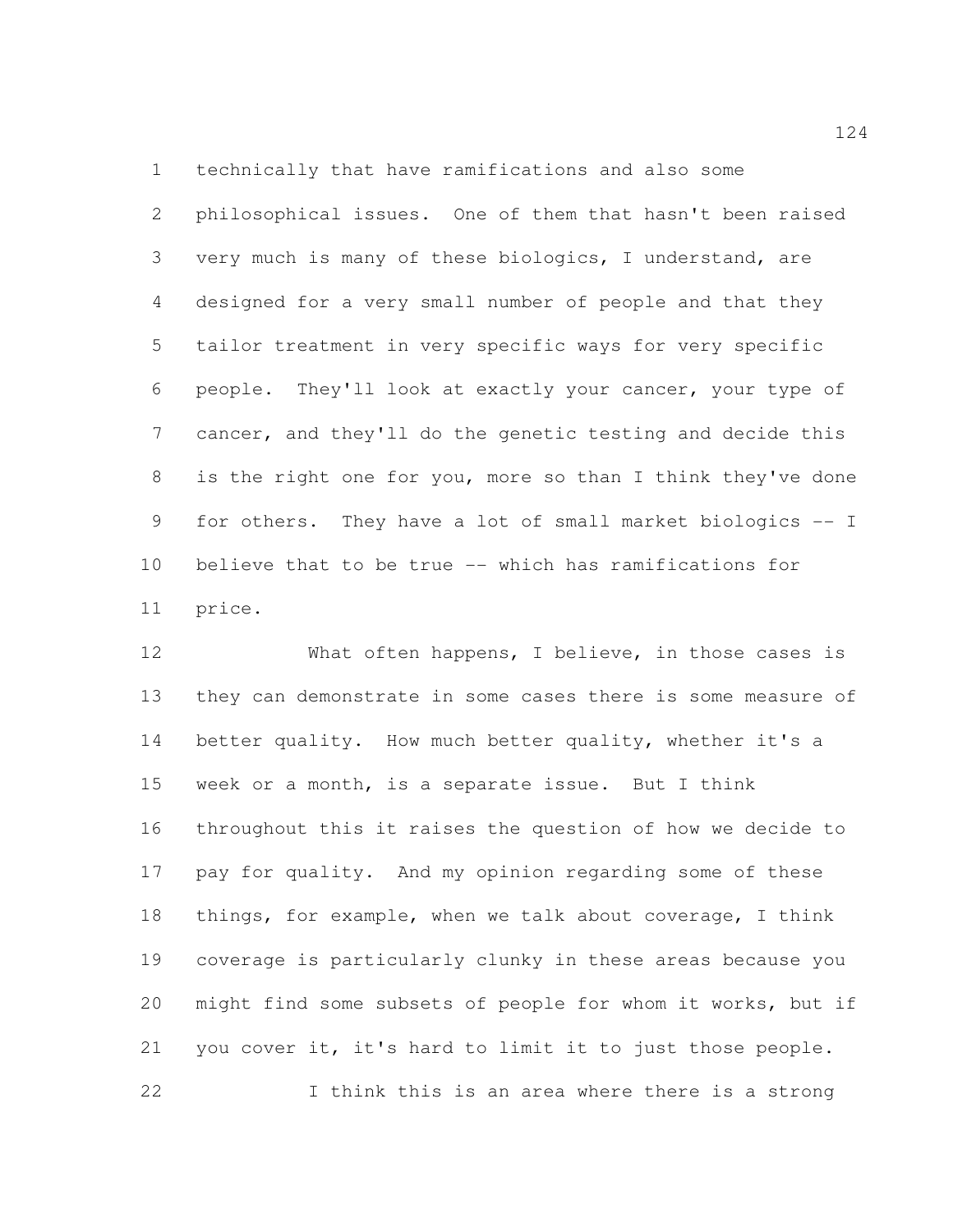technically that have ramifications and also some

 philosophical issues. One of them that hasn't been raised very much is many of these biologics, I understand, are designed for a very small number of people and that they tailor treatment in very specific ways for very specific people. They'll look at exactly your cancer, your type of cancer, and they'll do the genetic testing and decide this is the right one for you, more so than I think they've done for others. They have a lot of small market biologics -- I believe that to be true -- which has ramifications for price.

12 What often happens, I believe, in those cases is they can demonstrate in some cases there is some measure of better quality. How much better quality, whether it's a week or a month, is a separate issue. But I think throughout this it raises the question of how we decide to pay for quality. And my opinion regarding some of these things, for example, when we talk about coverage, I think coverage is particularly clunky in these areas because you might find some subsets of people for whom it works, but if you cover it, it's hard to limit it to just those people. I think this is an area where there is a strong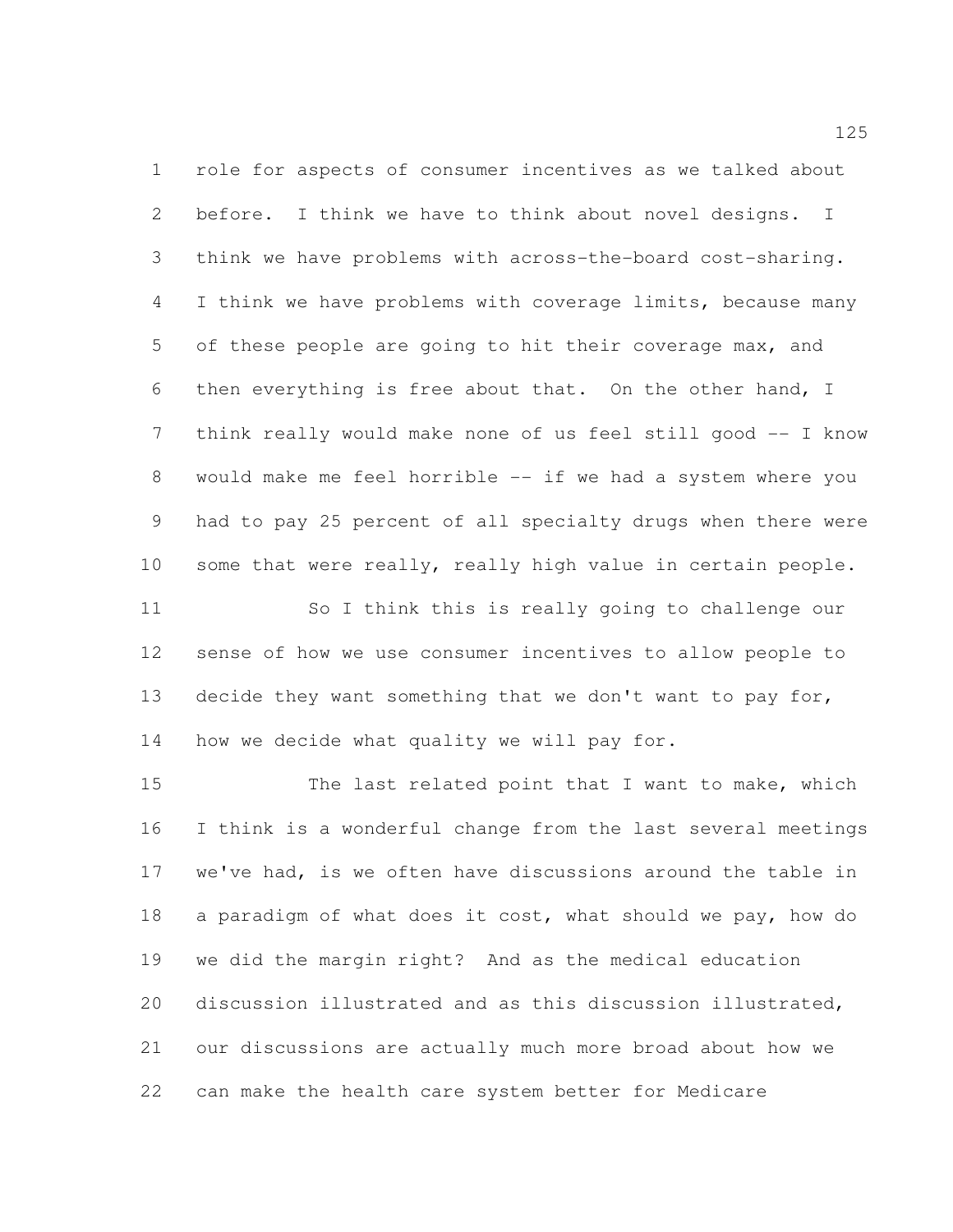role for aspects of consumer incentives as we talked about before. I think we have to think about novel designs. I think we have problems with across-the-board cost-sharing. I think we have problems with coverage limits, because many of these people are going to hit their coverage max, and then everything is free about that. On the other hand, I think really would make none of us feel still good -- I know would make me feel horrible -- if we had a system where you had to pay 25 percent of all specialty drugs when there were some that were really, really high value in certain people.

 So I think this is really going to challenge our sense of how we use consumer incentives to allow people to 13 decide they want something that we don't want to pay for, how we decide what quality we will pay for.

15 The last related point that I want to make, which I think is a wonderful change from the last several meetings we've had, is we often have discussions around the table in a paradigm of what does it cost, what should we pay, how do we did the margin right? And as the medical education discussion illustrated and as this discussion illustrated, our discussions are actually much more broad about how we can make the health care system better for Medicare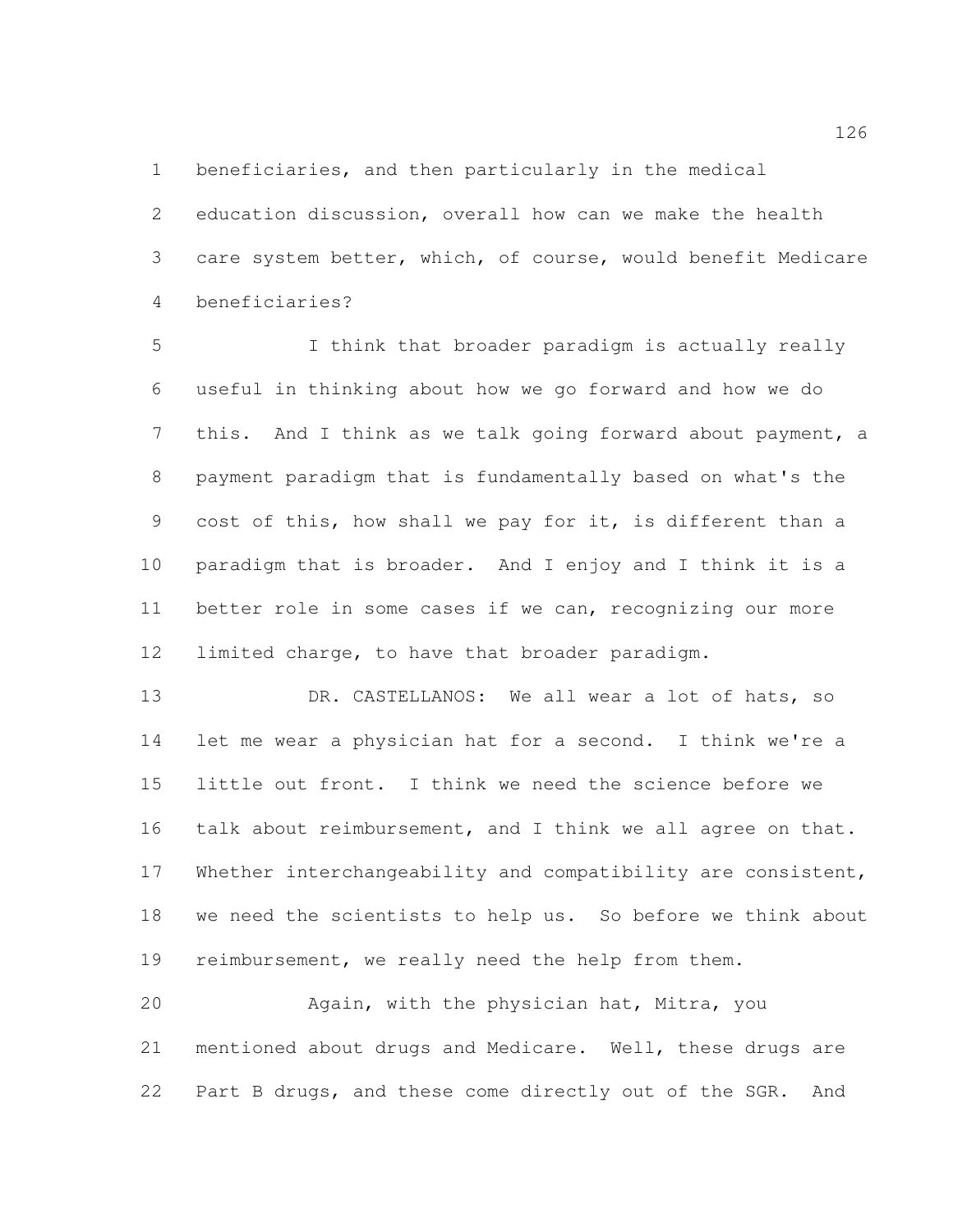beneficiaries, and then particularly in the medical

 education discussion, overall how can we make the health care system better, which, of course, would benefit Medicare beneficiaries?

 I think that broader paradigm is actually really useful in thinking about how we go forward and how we do this. And I think as we talk going forward about payment, a payment paradigm that is fundamentally based on what's the cost of this, how shall we pay for it, is different than a paradigm that is broader. And I enjoy and I think it is a better role in some cases if we can, recognizing our more limited charge, to have that broader paradigm.

13 DR. CASTELLANOS: We all wear a lot of hats, so let me wear a physician hat for a second. I think we're a little out front. I think we need the science before we talk about reimbursement, and I think we all agree on that. Whether interchangeability and compatibility are consistent, we need the scientists to help us. So before we think about reimbursement, we really need the help from them.

 Again, with the physician hat, Mitra, you mentioned about drugs and Medicare. Well, these drugs are Part B drugs, and these come directly out of the SGR. And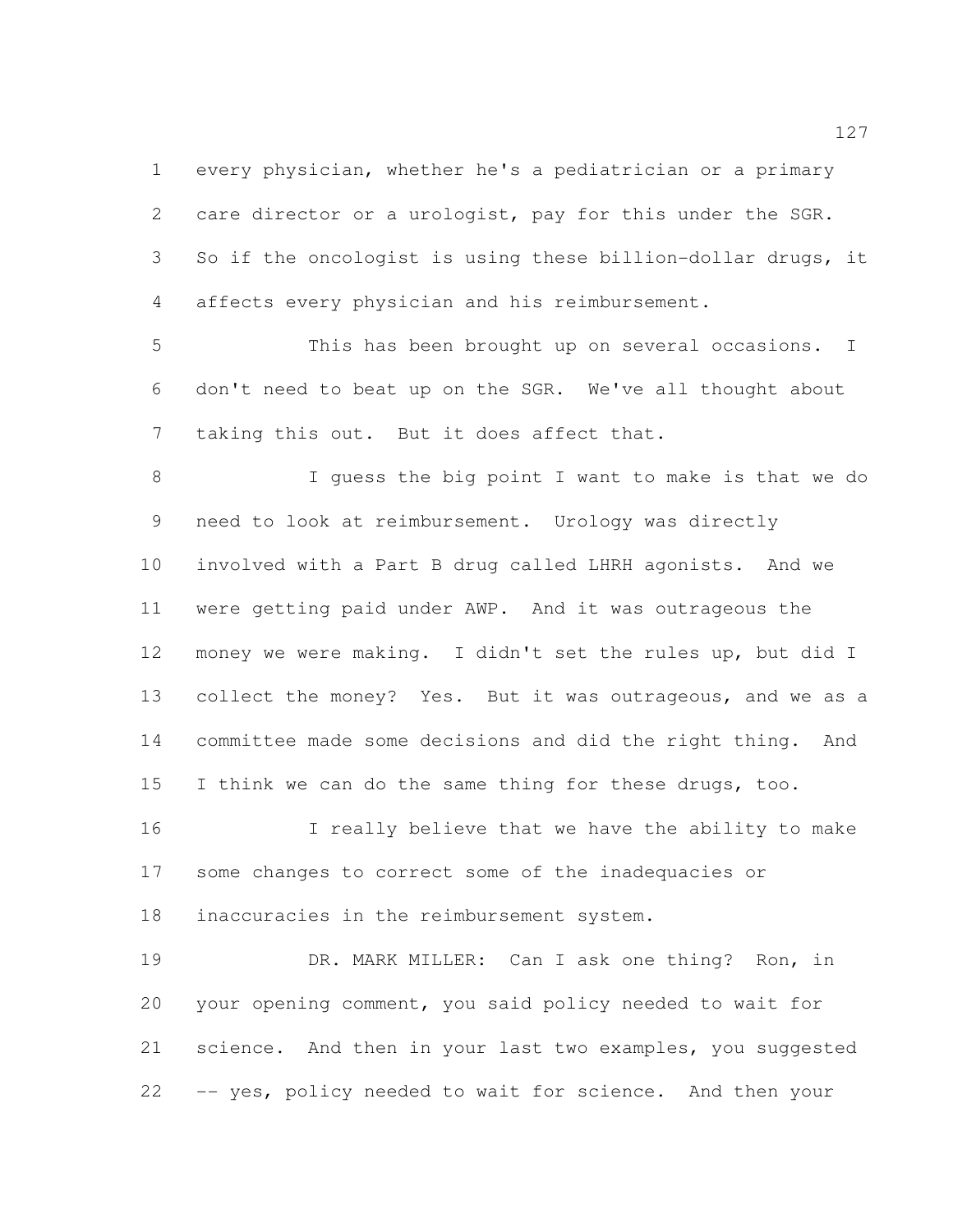every physician, whether he's a pediatrician or a primary care director or a urologist, pay for this under the SGR. 3 So if the oncologist is using these billion-dollar drugs, it affects every physician and his reimbursement.

 This has been brought up on several occasions. I don't need to beat up on the SGR. We've all thought about taking this out. But it does affect that.

 I guess the big point I want to make is that we do need to look at reimbursement. Urology was directly involved with a Part B drug called LHRH agonists. And we were getting paid under AWP. And it was outrageous the money we were making. I didn't set the rules up, but did I collect the money? Yes. But it was outrageous, and we as a committee made some decisions and did the right thing. And 15 I think we can do the same thing for these drugs, too.

16 I really believe that we have the ability to make some changes to correct some of the inadequacies or inaccuracies in the reimbursement system.

 DR. MARK MILLER: Can I ask one thing? Ron, in your opening comment, you said policy needed to wait for science. And then in your last two examples, you suggested -- yes, policy needed to wait for science. And then your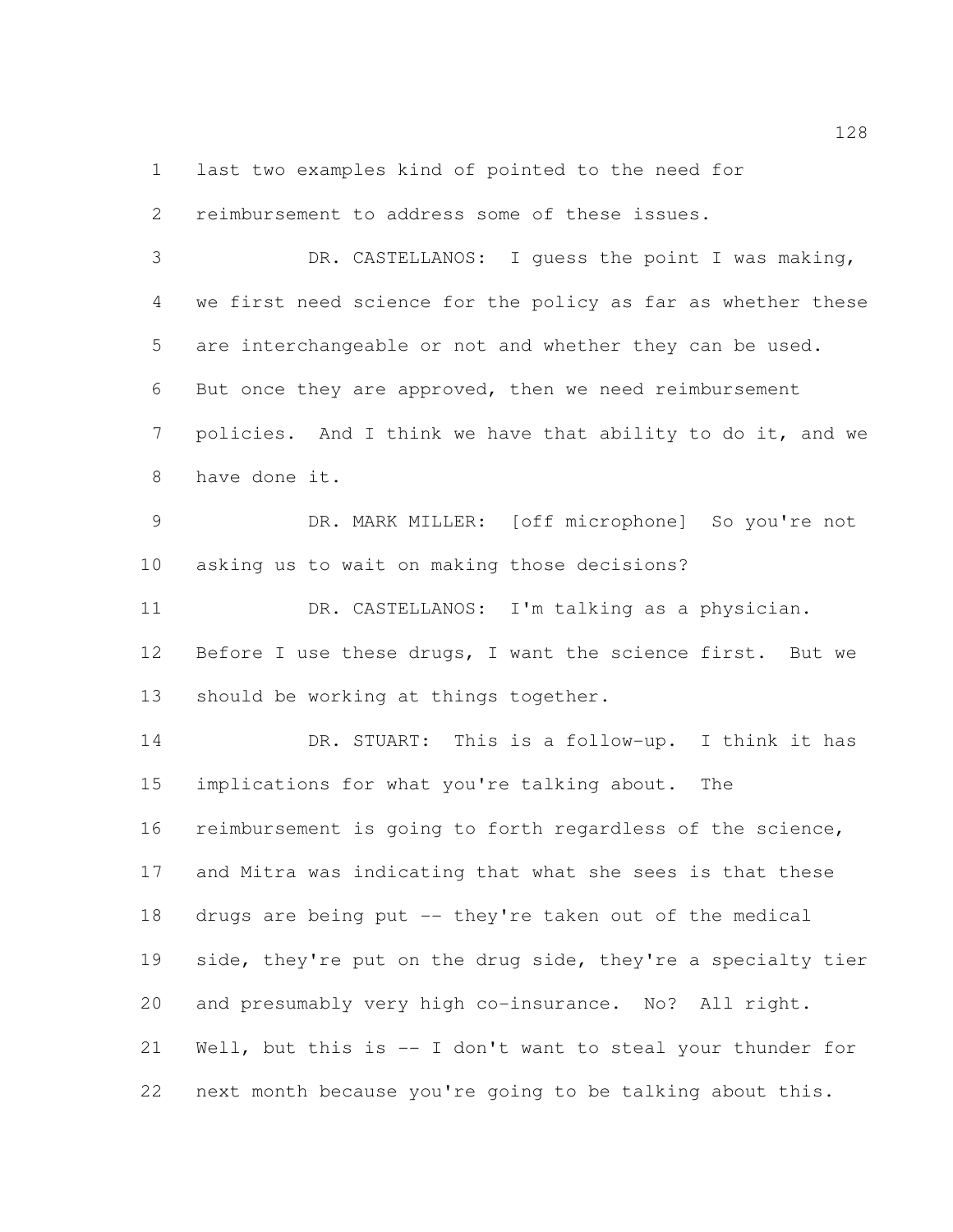last two examples kind of pointed to the need for

 reimbursement to address some of these issues. DR. CASTELLANOS: I guess the point I was making, we first need science for the policy as far as whether these are interchangeable or not and whether they can be used. But once they are approved, then we need reimbursement 7 policies. And I think we have that ability to do it, and we have done it. DR. MARK MILLER: [off microphone] So you're not asking us to wait on making those decisions? DR. CASTELLANOS: I'm talking as a physician. 12 Before I use these drugs, I want the science first. But we should be working at things together. DR. STUART: This is a follow-up. I think it has implications for what you're talking about. The reimbursement is going to forth regardless of the science, and Mitra was indicating that what she sees is that these drugs are being put -- they're taken out of the medical 19 side, they're put on the drug side, they're a specialty tier and presumably very high co-insurance. No? All right.

 Well, but this is -- I don't want to steal your thunder for next month because you're going to be talking about this.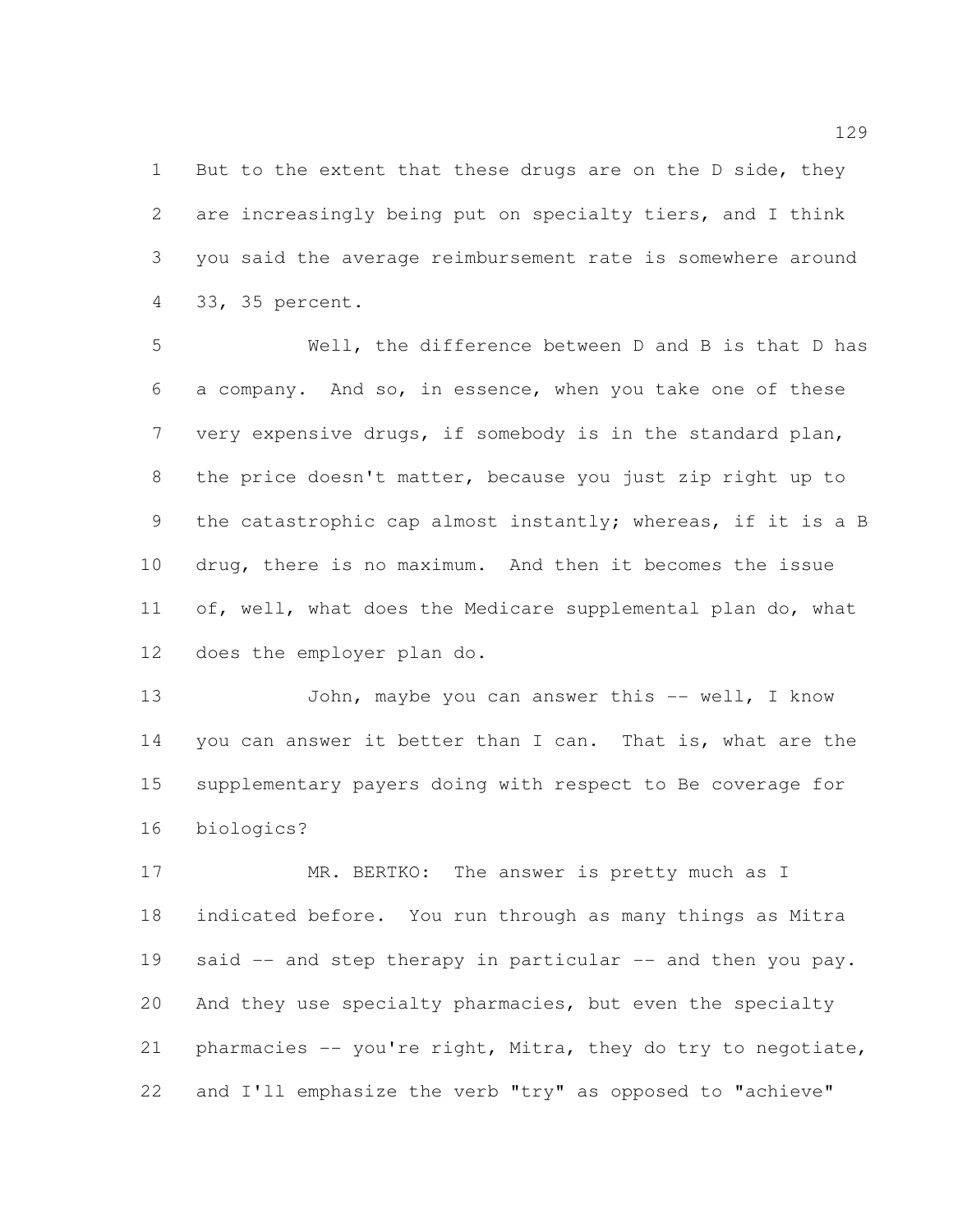1 But to the extent that these drugs are on the D side, they are increasingly being put on specialty tiers, and I think you said the average reimbursement rate is somewhere around 33, 35 percent.

 Well, the difference between D and B is that D has a company. And so, in essence, when you take one of these very expensive drugs, if somebody is in the standard plan, the price doesn't matter, because you just zip right up to the catastrophic cap almost instantly; whereas, if it is a B drug, there is no maximum. And then it becomes the issue 11 of, well, what does the Medicare supplemental plan do, what does the employer plan do.

13 John, maybe you can answer this -- well, I know 14 you can answer it better than I can. That is, what are the supplementary payers doing with respect to Be coverage for biologics?

17 MR. BERTKO: The answer is pretty much as I indicated before. You run through as many things as Mitra 19 said -- and step therapy in particular -- and then you pay. And they use specialty pharmacies, but even the specialty pharmacies -- you're right, Mitra, they do try to negotiate, 22 and I'll emphasize the verb "try" as opposed to "achieve"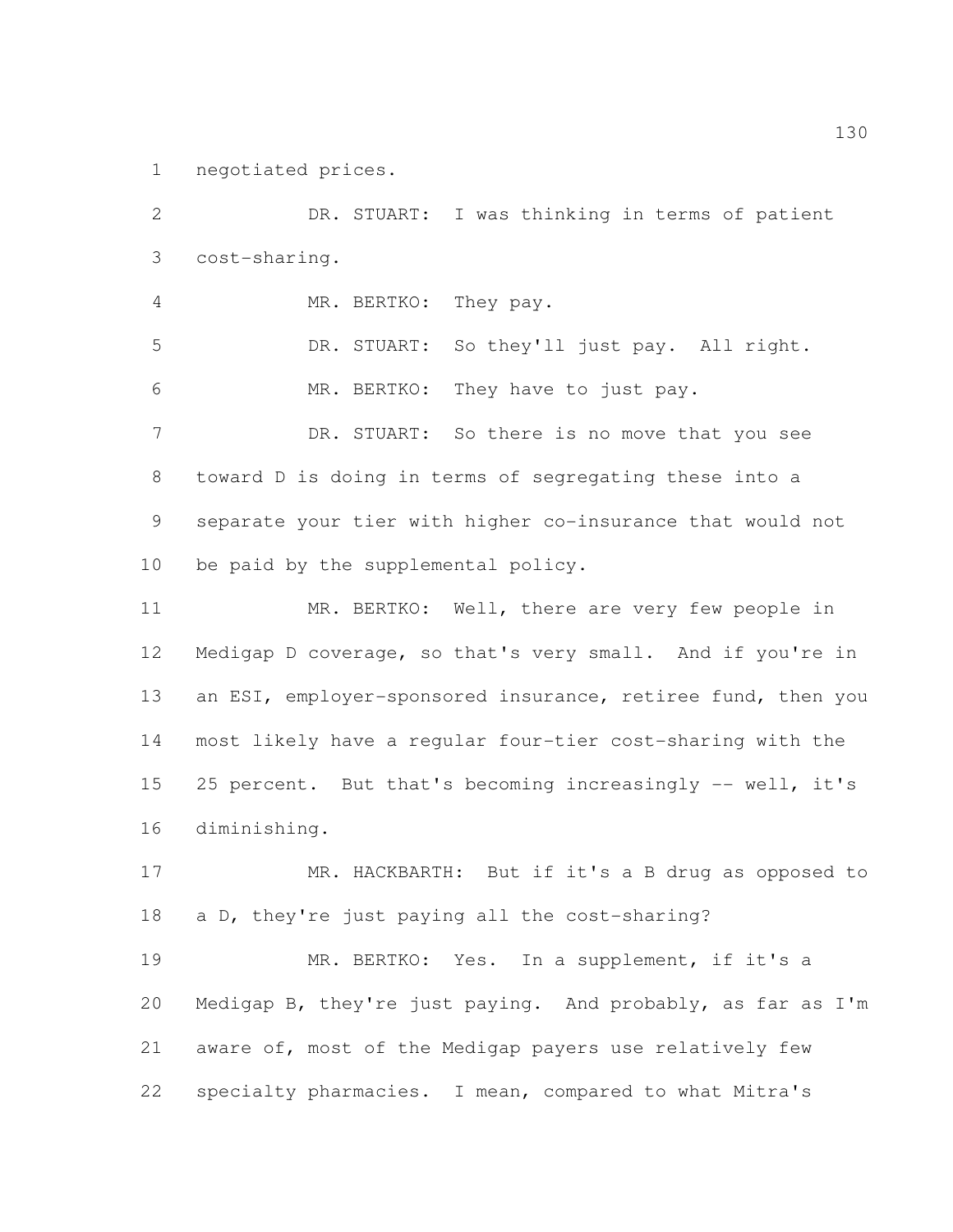negotiated prices.

 DR. STUART: I was thinking in terms of patient cost-sharing. MR. BERTKO: They pay. DR. STUART: So they'll just pay. All right. MR. BERTKO: They have to just pay. 7 DR. STUART: So there is no move that you see toward D is doing in terms of segregating these into a separate your tier with higher co-insurance that would not be paid by the supplemental policy. MR. BERTKO: Well, there are very few people in Medigap D coverage, so that's very small. And if you're in 13 an ESI, employer-sponsored insurance, retiree fund, then you most likely have a regular four-tier cost-sharing with the 15 25 percent. But that's becoming increasingly -- well, it's diminishing. MR. HACKBARTH: But if it's a B drug as opposed to a D, they're just paying all the cost-sharing? MR. BERTKO: Yes. In a supplement, if it's a Medigap B, they're just paying. And probably, as far as I'm aware of, most of the Medigap payers use relatively few specialty pharmacies. I mean, compared to what Mitra's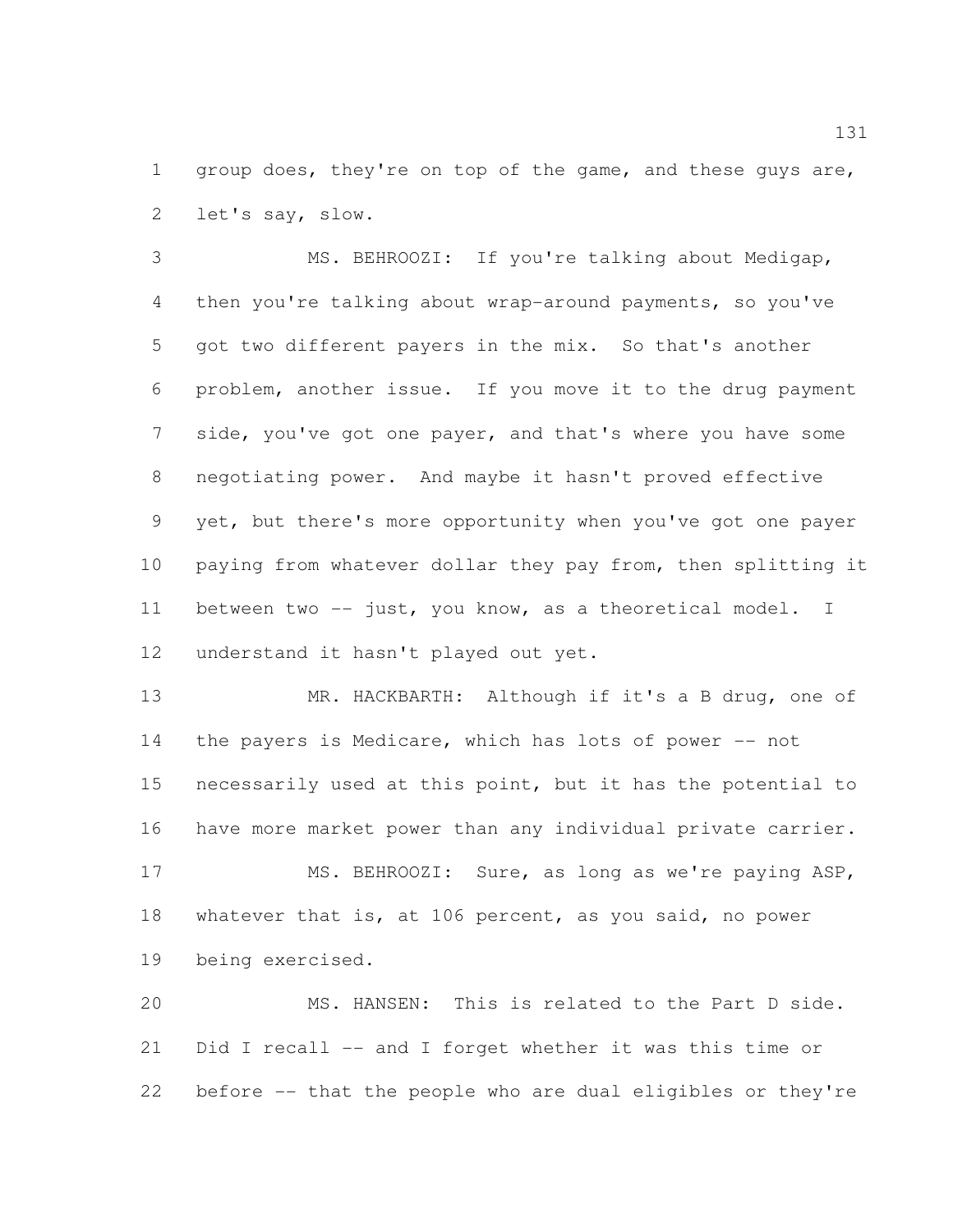1 group does, they're on top of the game, and these guys are, let's say, slow.

 MS. BEHROOZI: If you're talking about Medigap, then you're talking about wrap-around payments, so you've got two different payers in the mix. So that's another problem, another issue. If you move it to the drug payment side, you've got one payer, and that's where you have some negotiating power. And maybe it hasn't proved effective yet, but there's more opportunity when you've got one payer paying from whatever dollar they pay from, then splitting it between two -- just, you know, as a theoretical model. I understand it hasn't played out yet.

 MR. HACKBARTH: Although if it's a B drug, one of 14 the payers is Medicare, which has lots of power -- not necessarily used at this point, but it has the potential to have more market power than any individual private carrier.

 MS. BEHROOZI: Sure, as long as we're paying ASP, whatever that is, at 106 percent, as you said, no power being exercised.

 MS. HANSEN: This is related to the Part D side. Did I recall -- and I forget whether it was this time or before -- that the people who are dual eligibles or they're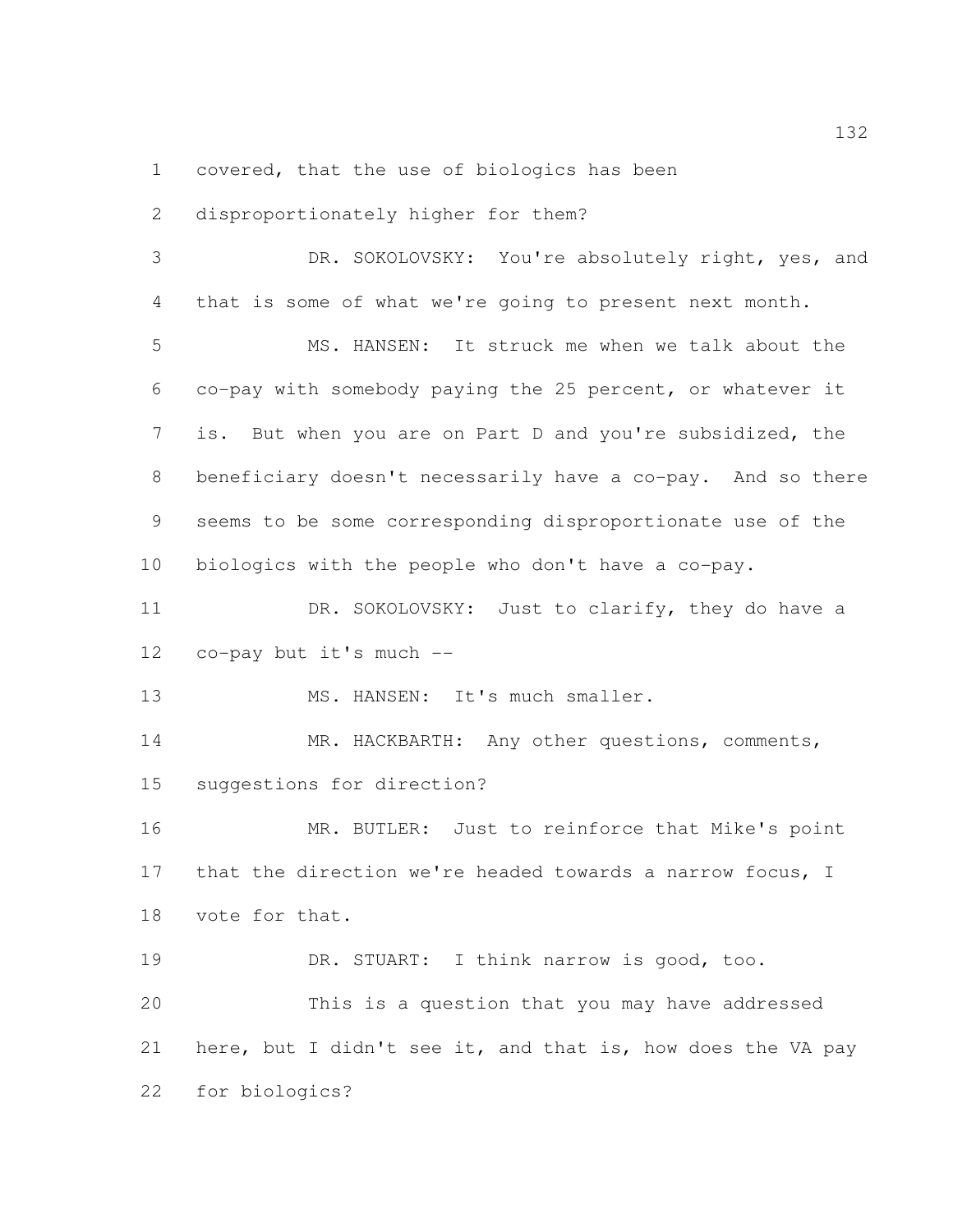covered, that the use of biologics has been

 disproportionately higher for them? DR. SOKOLOVSKY: You're absolutely right, yes, and that is some of what we're going to present next month. MS. HANSEN: It struck me when we talk about the co-pay with somebody paying the 25 percent, or whatever it is. But when you are on Part D and you're subsidized, the beneficiary doesn't necessarily have a co-pay. And so there seems to be some corresponding disproportionate use of the biologics with the people who don't have a co-pay. 11 DR. SOKOLOVSKY: Just to clarify, they do have a co-pay but it's much -- 13 MS. HANSEN: It's much smaller. MR. HACKBARTH: Any other questions, comments, suggestions for direction? MR. BUTLER: Just to reinforce that Mike's point that the direction we're headed towards a narrow focus, I vote for that. DR. STUART: I think narrow is good, too. This is a question that you may have addressed here, but I didn't see it, and that is, how does the VA pay for biologics?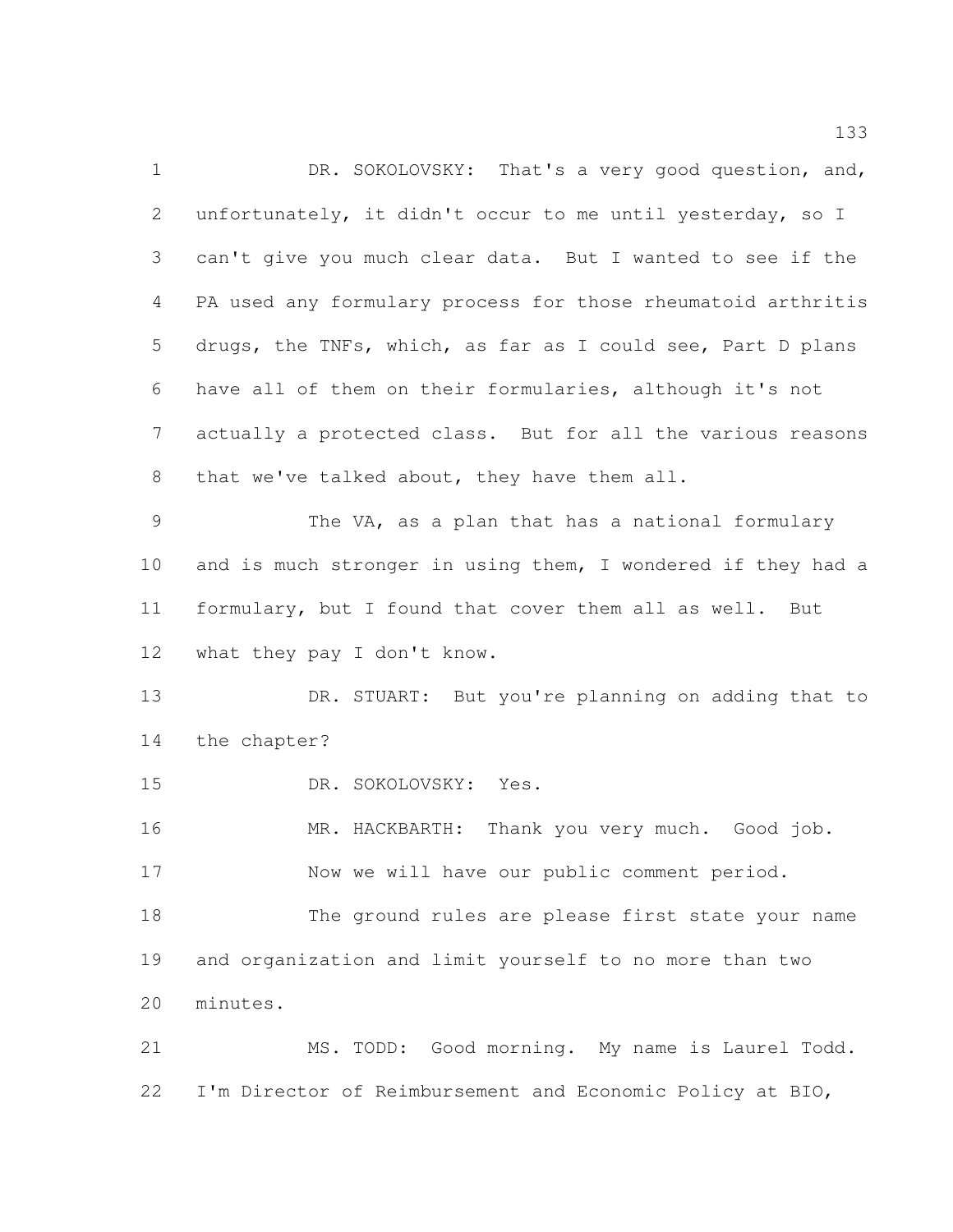1 DR. SOKOLOVSKY: That's a very good question, and, unfortunately, it didn't occur to me until yesterday, so I can't give you much clear data. But I wanted to see if the PA used any formulary process for those rheumatoid arthritis drugs, the TNFs, which, as far as I could see, Part D plans have all of them on their formularies, although it's not actually a protected class. But for all the various reasons 8 that we've talked about, they have them all. The VA, as a plan that has a national formulary and is much stronger in using them, I wondered if they had a formulary, but I found that cover them all as well. But 12 what they pay I don't know. DR. STUART: But you're planning on adding that to the chapter? DR. SOKOLOVSKY: Yes. MR. HACKBARTH: Thank you very much. Good job. Now we will have our public comment period. The ground rules are please first state your name and organization and limit yourself to no more than two minutes. MS. TODD: Good morning. My name is Laurel Todd. I'm Director of Reimbursement and Economic Policy at BIO,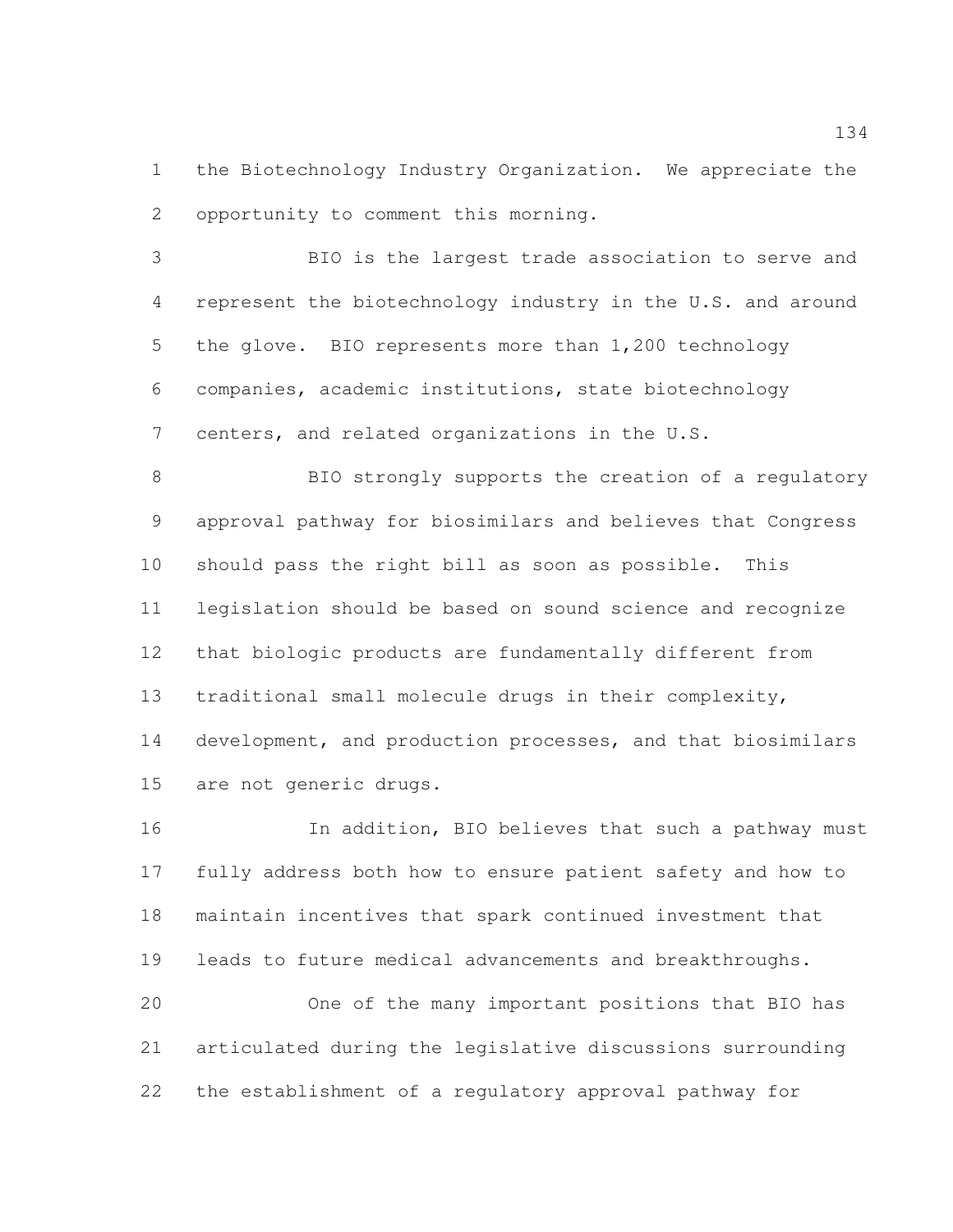the Biotechnology Industry Organization. We appreciate the opportunity to comment this morning.

 BIO is the largest trade association to serve and represent the biotechnology industry in the U.S. and around 5 the glove. BIO represents more than 1,200 technology companies, academic institutions, state biotechnology 7 centers, and related organizations in the U.S.

 BIO strongly supports the creation of a regulatory approval pathway for biosimilars and believes that Congress should pass the right bill as soon as possible. This legislation should be based on sound science and recognize that biologic products are fundamentally different from traditional small molecule drugs in their complexity, development, and production processes, and that biosimilars are not generic drugs.

 In addition, BIO believes that such a pathway must fully address both how to ensure patient safety and how to maintain incentives that spark continued investment that leads to future medical advancements and breakthroughs. One of the many important positions that BIO has articulated during the legislative discussions surrounding the establishment of a regulatory approval pathway for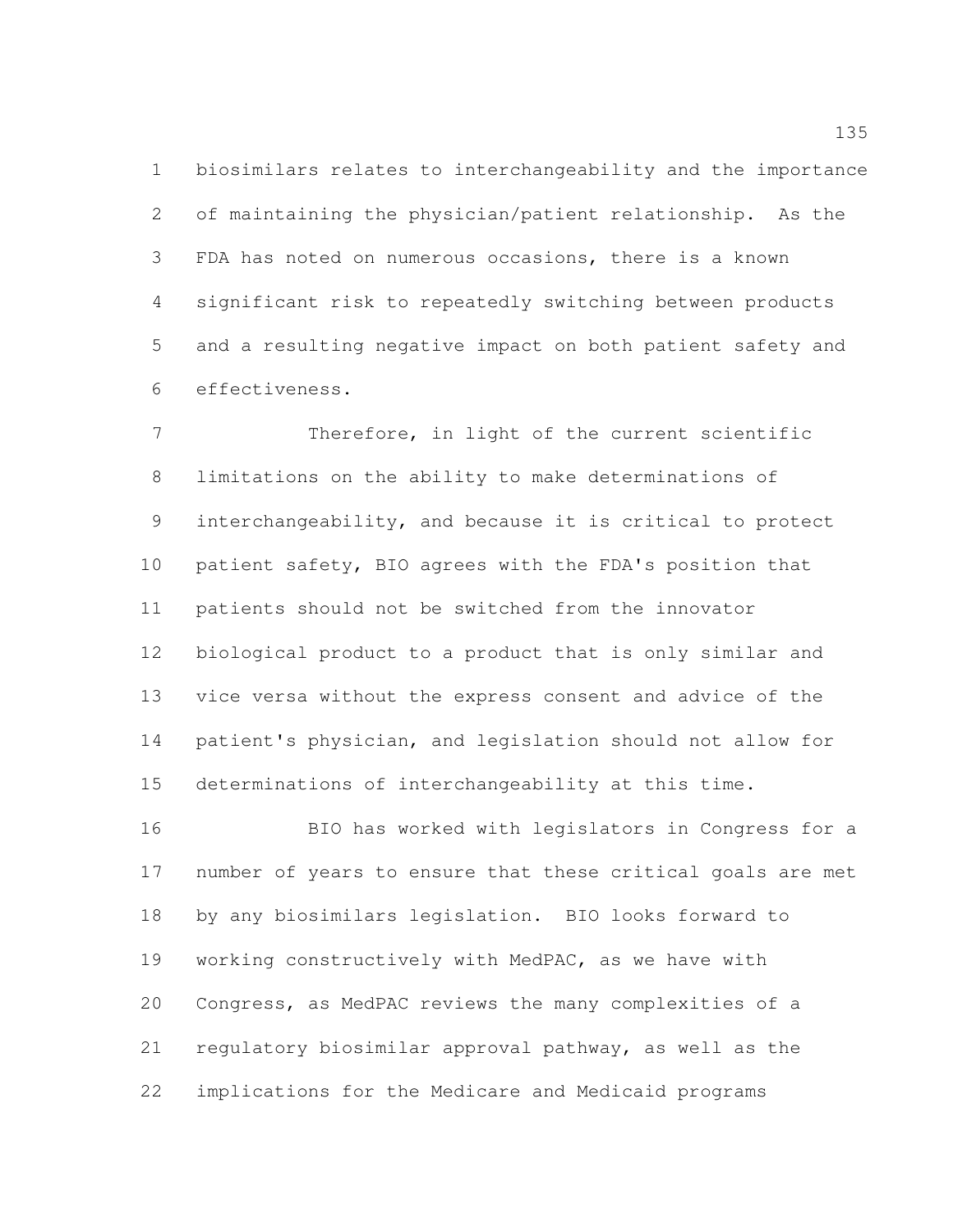biosimilars relates to interchangeability and the importance of maintaining the physician/patient relationship. As the FDA has noted on numerous occasions, there is a known significant risk to repeatedly switching between products and a resulting negative impact on both patient safety and effectiveness.

 Therefore, in light of the current scientific limitations on the ability to make determinations of interchangeability, and because it is critical to protect patient safety, BIO agrees with the FDA's position that patients should not be switched from the innovator biological product to a product that is only similar and vice versa without the express consent and advice of the patient's physician, and legislation should not allow for determinations of interchangeability at this time.

 BIO has worked with legislators in Congress for a number of years to ensure that these critical goals are met by any biosimilars legislation. BIO looks forward to working constructively with MedPAC, as we have with Congress, as MedPAC reviews the many complexities of a regulatory biosimilar approval pathway, as well as the implications for the Medicare and Medicaid programs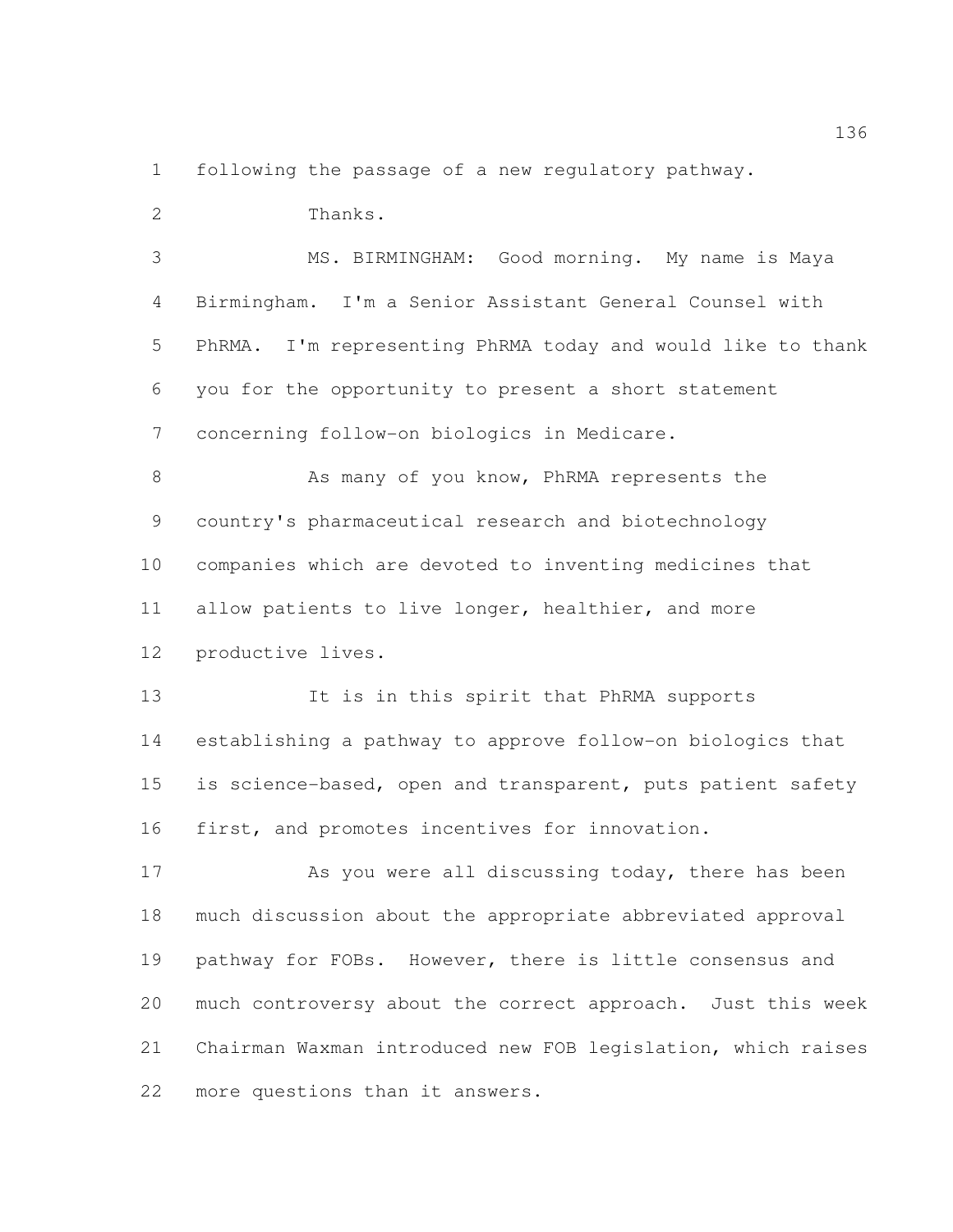following the passage of a new regulatory pathway.

Thanks.

 MS. BIRMINGHAM: Good morning. My name is Maya Birmingham. I'm a Senior Assistant General Counsel with PhRMA. I'm representing PhRMA today and would like to thank you for the opportunity to present a short statement concerning follow-on biologics in Medicare. 8 As many of you know, PhRMA represents the

 country's pharmaceutical research and biotechnology companies which are devoted to inventing medicines that allow patients to live longer, healthier, and more productive lives.

 It is in this spirit that PhRMA supports establishing a pathway to approve follow-on biologics that is science-based, open and transparent, puts patient safety first, and promotes incentives for innovation.

17 As you were all discussing today, there has been much discussion about the appropriate abbreviated approval pathway for FOBs. However, there is little consensus and much controversy about the correct approach. Just this week Chairman Waxman introduced new FOB legislation, which raises more questions than it answers.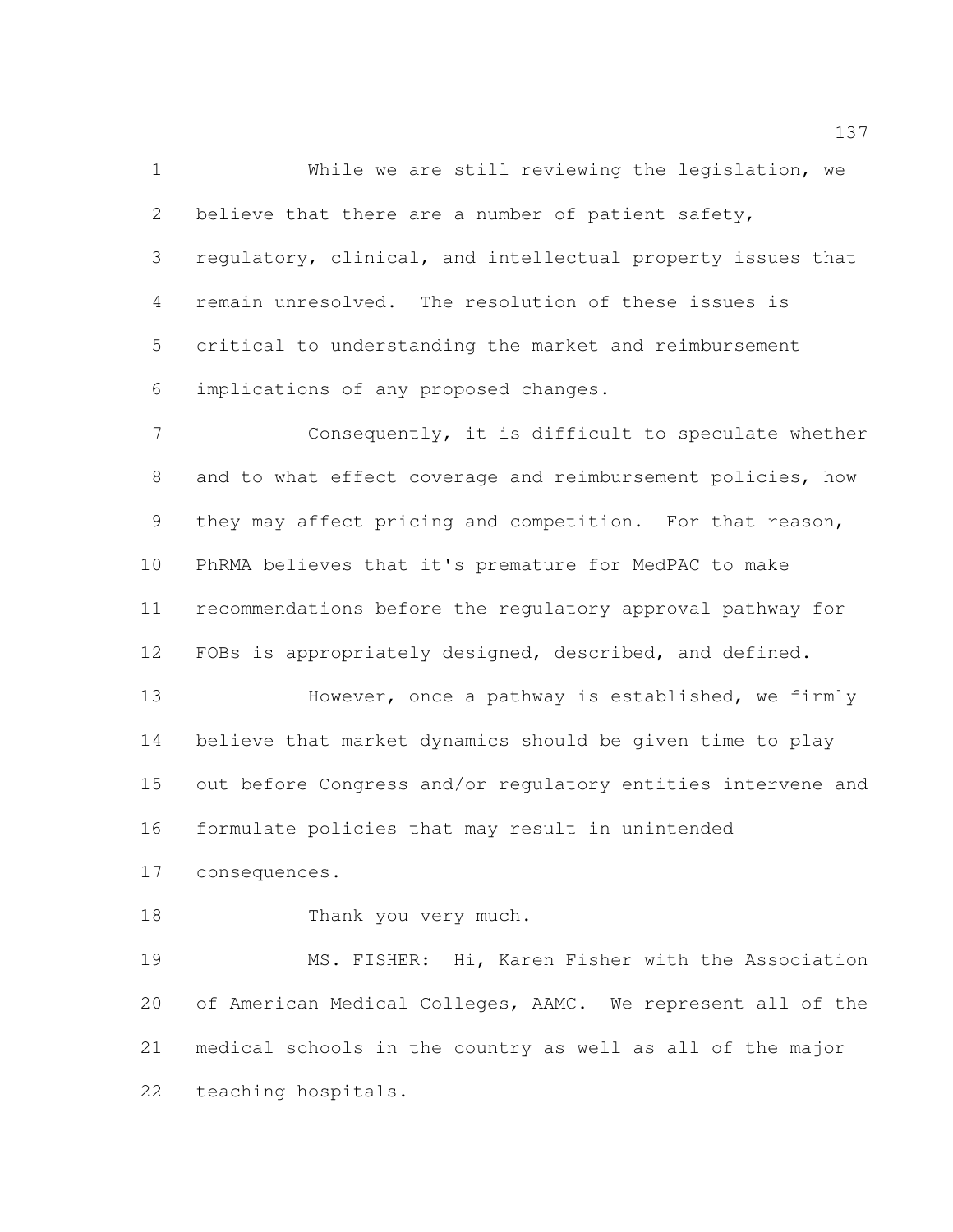While we are still reviewing the legislation, we 2 believe that there are a number of patient safety, regulatory, clinical, and intellectual property issues that remain unresolved. The resolution of these issues is critical to understanding the market and reimbursement implications of any proposed changes.

 Consequently, it is difficult to speculate whether and to what effect coverage and reimbursement policies, how they may affect pricing and competition. For that reason, PhRMA believes that it's premature for MedPAC to make recommendations before the regulatory approval pathway for FOBs is appropriately designed, described, and defined.

13 However, once a pathway is established, we firmly believe that market dynamics should be given time to play out before Congress and/or regulatory entities intervene and formulate policies that may result in unintended

consequences.

18 Thank you very much.

 MS. FISHER: Hi, Karen Fisher with the Association of American Medical Colleges, AAMC. We represent all of the medical schools in the country as well as all of the major teaching hospitals.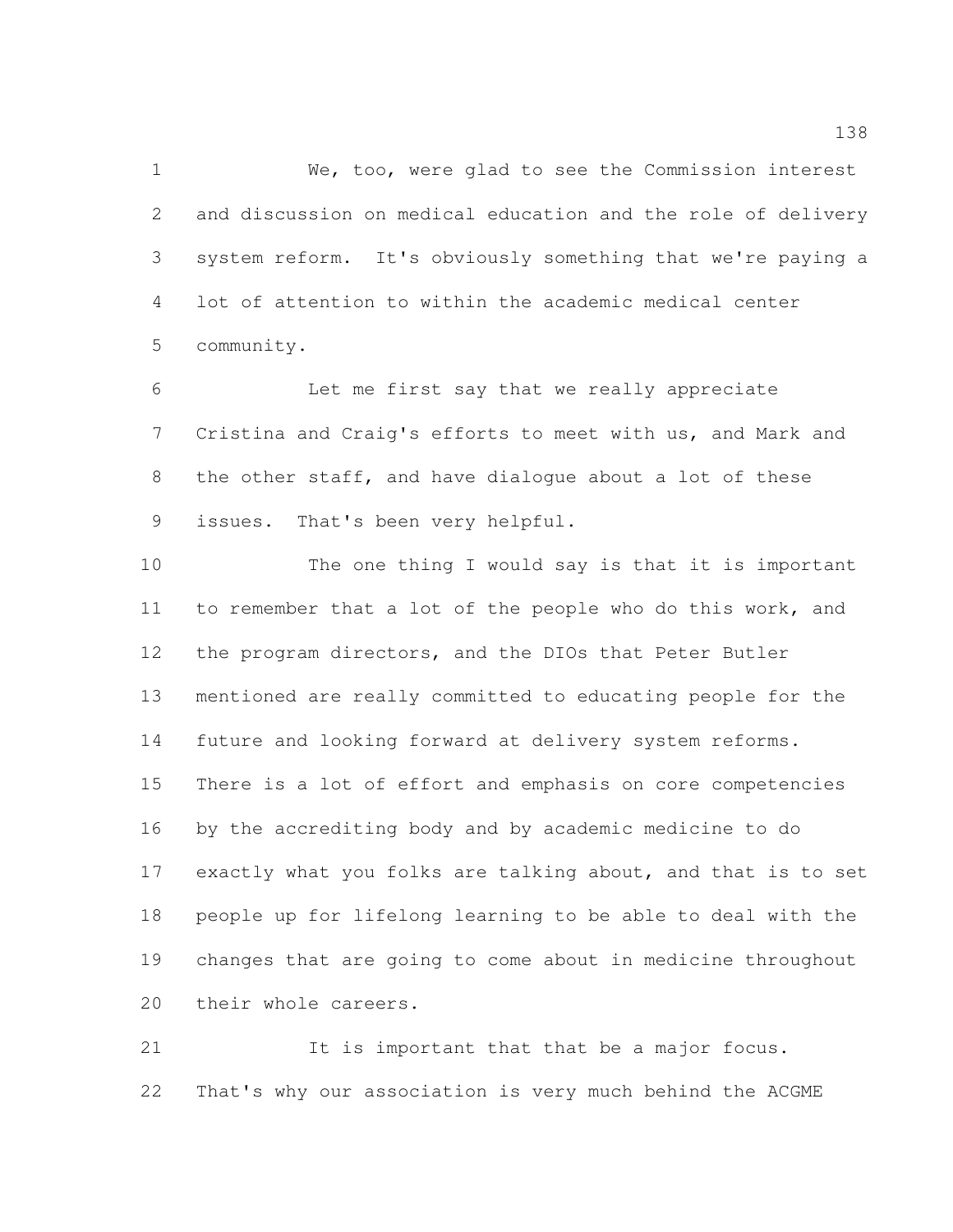We, too, were glad to see the Commission interest and discussion on medical education and the role of delivery system reform. It's obviously something that we're paying a lot of attention to within the academic medical center community.

 Let me first say that we really appreciate Cristina and Craig's efforts to meet with us, and Mark and the other staff, and have dialogue about a lot of these issues. That's been very helpful.

 The one thing I would say is that it is important to remember that a lot of the people who do this work, and the program directors, and the DIOs that Peter Butler mentioned are really committed to educating people for the future and looking forward at delivery system reforms. There is a lot of effort and emphasis on core competencies by the accrediting body and by academic medicine to do exactly what you folks are talking about, and that is to set people up for lifelong learning to be able to deal with the changes that are going to come about in medicine throughout their whole careers.

 It is important that that be a major focus. That's why our association is very much behind the ACGME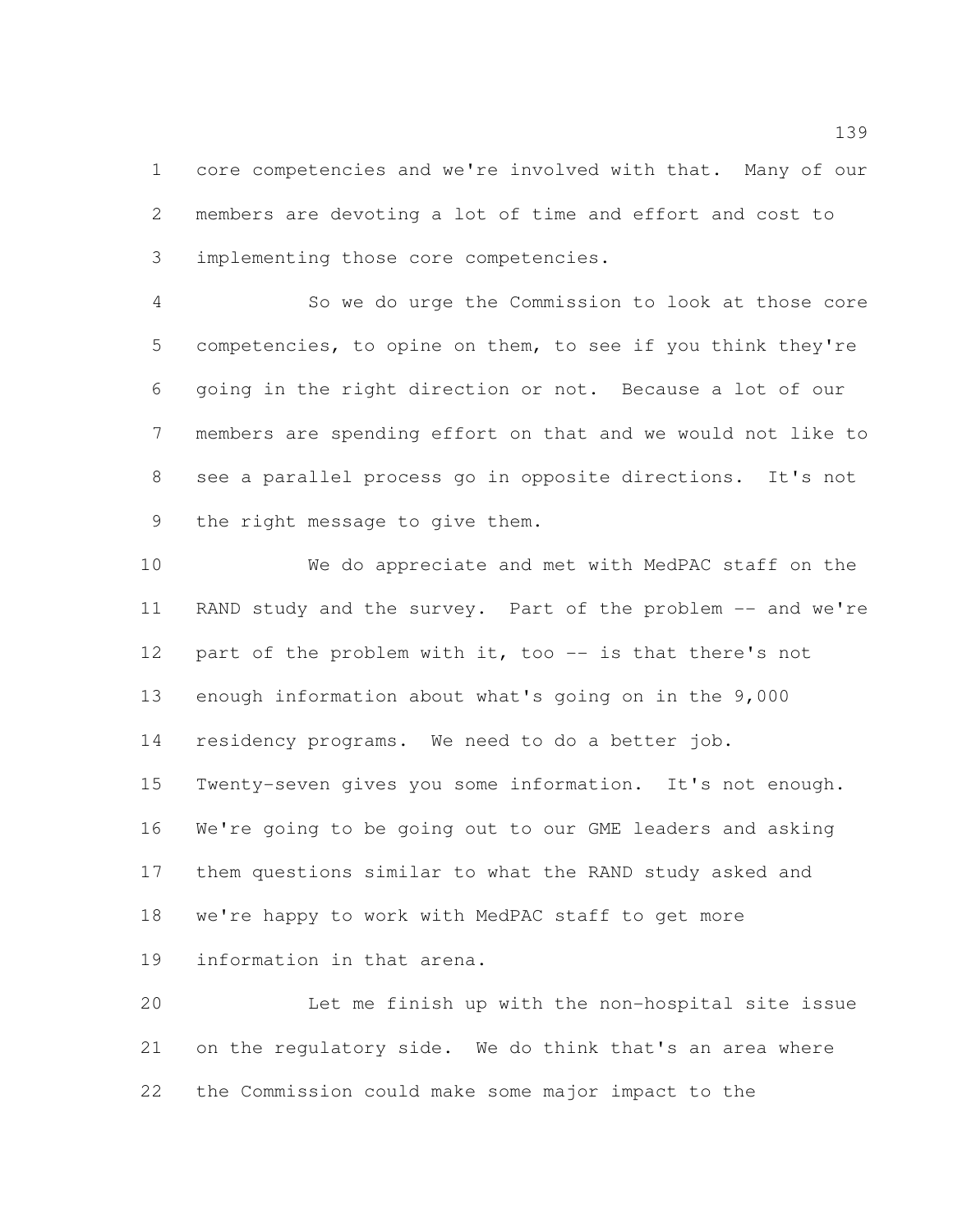core competencies and we're involved with that. Many of our members are devoting a lot of time and effort and cost to implementing those core competencies.

 So we do urge the Commission to look at those core competencies, to opine on them, to see if you think they're going in the right direction or not. Because a lot of our members are spending effort on that and we would not like to see a parallel process go in opposite directions. It's not the right message to give them.

 We do appreciate and met with MedPAC staff on the 11 RAND study and the survey. Part of the problem -- and we're 12 part of the problem with it, too -- is that there's not enough information about what's going on in the 9,000 residency programs. We need to do a better job. Twenty-seven gives you some information. It's not enough. We're going to be going out to our GME leaders and asking them questions similar to what the RAND study asked and we're happy to work with MedPAC staff to get more information in that arena.

 Let me finish up with the non-hospital site issue on the regulatory side. We do think that's an area where the Commission could make some major impact to the